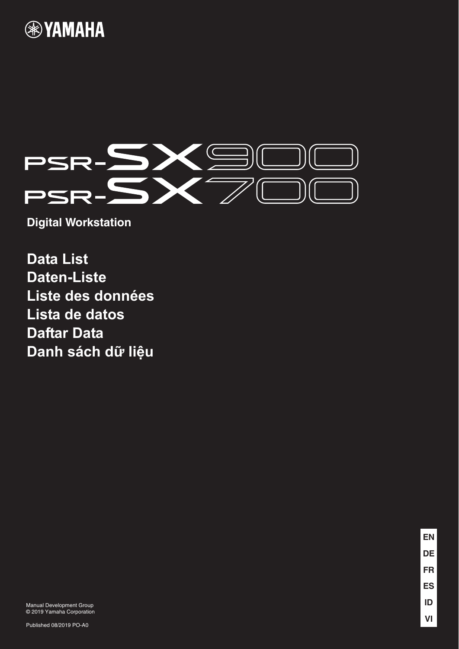



**Digital Workstation**

**Data List Daten-Liste Liste des données Lista de datos Daftar Data Danh sách dữ liệu**

> **EN VI ID ES FR DE**

Manual Development Group © 2019 Yamaha Corporation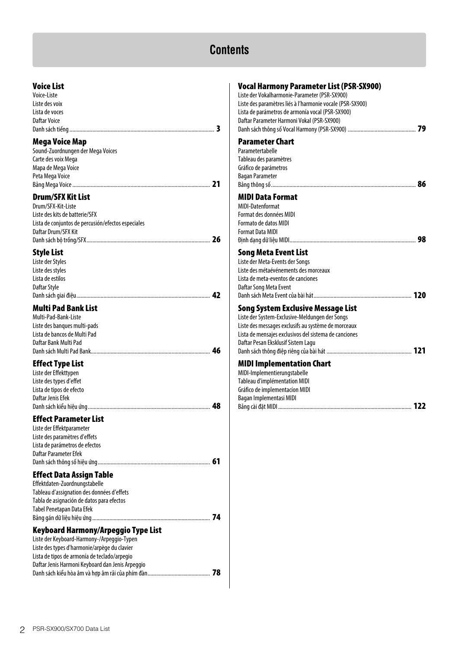# **Contents**

# **Voice List**

| Voice-Liste    |  |
|----------------|--|
| Liste des voix |  |
| Lista de voces |  |
| Daftar Voice   |  |
|                |  |
|                |  |

# **Mega Voice Map**

| Sound-Zuordnungen der Mega Voices |     |
|-----------------------------------|-----|
| Carte des voix Mega               |     |
| Mapa de Mega Voice                |     |
| Peta Mega Voice                   |     |
|                                   | -21 |
|                                   |     |

# **Drum/SFX Kit List**

| Drum/SFX-Kit-Liste                                 |  |
|----------------------------------------------------|--|
| Liste des kits de batterie/SFX                     |  |
| Lista de conjuntos de percusión/efectos especiales |  |
| Daftar Drum/SFX Kit                                |  |
|                                                    |  |
|                                                    |  |

# **Style List**

| Liste der Styles<br>Liste des styles<br>Lista de estilos<br>Daftar Style                                                                                                                                                              |  |
|---------------------------------------------------------------------------------------------------------------------------------------------------------------------------------------------------------------------------------------|--|
| <b>Multi Pad Bank List</b><br>Multi-Pad-Bank-Liste<br>Liste des banques multi-pads<br>Lista de bancos de Multi Pad<br>Daftar Bank Multi Pad                                                                                           |  |
| <b>Effect Type List</b><br>Liste der Effekttypen<br>Liste des types d'effet<br>Lista de tipos de efecto<br>Daftar Jenis Efek                                                                                                          |  |
| <b>Effect Parameter List</b><br>Liste der Effektparameter<br>Liste des paramètres d'effets<br>Lista de parámetros de efectos<br>Daftar Parameter Efek                                                                                 |  |
| Effect Data Assign Table<br>Effektdaten-Zuordnungstabelle<br>Tableau d'assignation des données d'effets<br>Tabla de asignación de datos para efectos<br>Tabel Penetapan Data Efek                                                     |  |
| Keyboard Harmony/Arpeggio Type List<br>Liste der Keyboard-Harmony-/Arpeggio-Typen<br>Liste des types d'harmonie/arpège du clavier<br>Lista de tipos de armonía de teclado/arpegio<br>Daftar Jenis Harmoni Keyboard dan Jenis Arpeggio |  |

# **[Vocal Harmony Parameter List \(PSR-SX900\)](#page-78-0)** Liste der Vokalharmonie-Parameter (PSR-SX900) Liste des paramètres liés à l'harmonie vocale (PSR-SX900) Lista de parámetros de armonía vocal (PSR-SX900) Daftar Parameter Harmoni Vokal (PSR-SX900) Danh sách thông số Vocal Harmony (PSR-SX900) ................................................ **79 Parameter Chart** Parametertabelle Tableau des paramètres Gráfico de parámetros Bagan Parameter [Bảng thông số ......................................................................................................](#page-85-0) **86 MIDI Data Format** MIDI-Datenformat Format des données MIDI Formato de datos MIDI Format Data MIDI [Định dạng dữ liệu MIDI.........................................................................................](#page-97-0) **98 Song Meta Event List** Liste der Meta-Events der Songs Liste des métaévénements des morceaux Lista de meta-eventos de canciones Daftar Song Meta Event [Danh sách Meta Event của bài hát.....................................................................](#page-119-0) **120 Song System Exclusive Message List** Liste der System-Exclusive-Meldungen der Songs Liste des messages exclusifs au système de morceaux Lista de mensajes exclusivos del sistema de canciones Daftar Pesan Eksklusif Sistem Lagu [Danh sách thông điệp riêng của bài hát ............................................................](#page-120-0) **121 MIDI Implementation Chart** MIDI-Implementierungstabelle Tableau d'implémentation MIDI Gráfico de implementacíon MIDI Bagan Implementasi MIDI [Bảng cài đặt MIDI ..............................................................................................](#page-121-0) **122**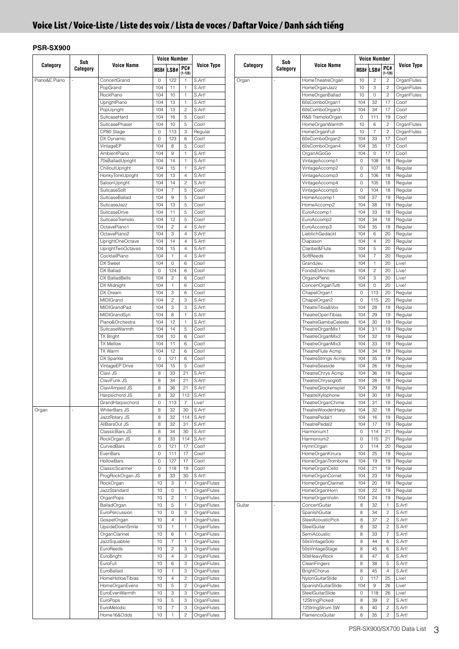<span id="page-2-0"></span>

| Sub           |          |                            | <b>Voice Number</b> |                           |                                    |                   | Sub      |          |                     | <b>Voice Number</b>        |                     |                      |                |
|---------------|----------|----------------------------|---------------------|---------------------------|------------------------------------|-------------------|----------|----------|---------------------|----------------------------|---------------------|----------------------|----------------|
| Category      | Category | <b>Voice Name</b>          |                     | MSB# LSB#                 | PC#                                | <b>Voice Type</b> | Category | Category | <b>Voice Name</b>   |                            | MSB# LSB#           | PC#                  | Voice Type     |
|               |          |                            |                     |                           | $(1 - 128)$                        |                   |          |          |                     |                            |                     | $(1 - 128)$          |                |
| Piano&E.Piano |          | ConcertGrand               | 0                   | 122                       | $\overline{1}$                     | S.Art!            | Organ    |          | HomeTheatreOrgan    | 10                         | $\sqrt{2}$          | $\overline{c}$       | OrganFlutes    |
|               |          | PopGrand                   | 104                 | 11                        | $\mathbf{1}$                       | S.Art!            |          |          | HomeOrganJazz       | 10                         | 3                   | $\overline{c}$       | OrganFlutes    |
|               |          | RockPiano                  | 104                 | 10                        | $\mathbf{1}$                       | S.Art!            |          |          | HomeOrganBallad     | 10                         | $\mathsf 0$         | $\overline{c}$       | OrganFlutes    |
|               |          | UprightPiano               | 104                 | 13                        | $\mathbf{1}$                       | S.Art!            |          |          | 60sComboOrgan1      | 104                        | 32                  | 17                   | Cool!          |
|               |          | PopUpright<br>SuitcaseHard | 104                 | 13                        | $\overline{c}$<br>$\,$ 5 $\,$      | S.Art!<br>Cool!   |          |          | 60sComboOrgan3      | 104<br>$\mathsf{O}\xspace$ | 34<br>111           | 17                   | Cool!<br>Cool! |
|               |          |                            | 104                 | 16                        |                                    |                   |          |          | R&B TremoloOrgan    |                            |                     | 19                   |                |
|               |          | SuitcasePhaser             | 104                 | 10                        | 5                                  | Cool!             |          |          | HomeOrganWarmth     | 10                         | 6<br>$\overline{7}$ | $\overline{c}$       | OrganFlutes    |
|               |          | CP80 Stage                 | 0<br>$\circ$        | 113<br>123                | $\ensuremath{\mathsf{3}}$<br>$\,6$ | Regular           |          |          | HomeOrganFull       | 10<br>104                  | 33                  | $\overline{c}$<br>17 | OrganFlutes    |
|               |          | DX Dynamic                 |                     |                           |                                    | Cool!             |          |          | 60sComboOrgan2      |                            |                     |                      | Cool!          |
|               |          | VintageEP                  | 104                 | 8                         | 5                                  | Cool!             |          |          | 60sComboOrgan4      | 104                        | 35                  | 17                   | Cool!          |
|               |          | AmbientPiano               | 104                 | $\,9$                     | $\mathbf{1}$                       | S.Art!            |          |          | OrganAGoGo          | 104                        | $\mathsf{O}\xspace$ | 17                   | Cool!          |
|               |          | 70sBalladUpright           | 104                 | 14                        | $\mathbf{1}$                       | S.Art!            |          |          | VintageAccomp1      | $\mathbb O$                | 108                 | 18                   | Regular        |
|               |          | ChilloutUpright            | 104                 | 15                        | $\mathbf{1}$                       | S.Art!            |          |          | VintageAccomp2      | $\mathbf 0$                | 107                 | 18                   | Regular        |
|               |          | HonkyTonkUpright           | 104                 | 13                        | $\overline{4}$                     | S.Art!            |          |          | VintageAccomp3      | $\mathbf 0$                | 106                 | 18                   | Regular        |
|               |          | SaloonUpright              | 104                 | 14                        | $\sqrt{2}$                         | S.Art!            |          |          | VintageAccomp4      | $\mathsf{O}\xspace$        | 105                 | 18                   | Regular        |
|               |          | SuitcaseSoft               | 104                 | $\overline{7}$            | 5                                  | Cool!             |          |          | VintageAccomp5      | $\circ$                    | 104                 | 18                   | Regular        |
|               |          | SuitcaseBallad             | 104                 | $\,9$                     | 5                                  | Cool!             |          |          | HomeAccomp1         | 104                        | 37                  | 19                   | Regular        |
|               |          | SuitcaseJazz               | 104                 | 13                        | $\sqrt{5}$                         | Cool!             |          |          | HomeAccomp2         | 104                        | 38                  | 19                   | Regular        |
|               |          | <b>SuitcaseDrive</b>       | 104                 | 11                        | 5                                  | Cool!             |          |          | EuroAccomp1         | 104                        | 33                  | 18                   | Regular        |
|               |          | SuitcaseTremolo            | 104                 | 12                        | 5                                  | Cool!             |          |          | EuroAccomp2         | 104                        | 34                  | 18                   | Regular        |
|               |          | OctavePiano1               | 104                 | $\sqrt{2}$                | $\overline{4}$                     | S.Art!            |          |          | EuroAccomp3         | 104                        | 35                  | 18                   | Regular        |
|               |          | OctavePiano2               | 104                 | 3                         | $\overline{4}$                     | S.Art!            |          |          | LieblichGedackt     | 104                        | $\,6\,$             | 20                   | Regular        |
|               |          | UprightOneOctave           | 104                 | 14                        | $\overline{4}$                     | S.Art!            |          |          | Diapason            | 104                        | $\overline{4}$      | 20                   | Regular        |
|               |          | UprightTwoOctaves          | 104                 | 15                        | $\overline{4}$                     | S.Art!            |          |          | Claribel&Flute      | 104                        | $\,$ 5 $\,$         | 20                   | Regular        |
|               |          | CocktailPiano              | 104                 | $\mathbf{1}$              | $\overline{4}$                     | S.Art!            |          |          | SoftReeds           | 104                        | $\overline{7}$      | 20                   | Regular        |
|               |          | DX Sweet                   | 104                 | $\mathsf{O}\xspace$       | 6                                  | Cool!             |          |          | GrandJeu            | 104                        | $\mathbf{1}$        | 20                   | Live!          |
|               |          | DX Ballad                  | $\mathbb O$         | 124                       | $\,6$                              | Cool!             |          |          | FondsEtAnches       | 104                        | $\sqrt{2}$          | 20                   | Live!          |
|               |          | DX BalladBells             | 104                 | $\overline{c}$            | 6                                  | Cool!             |          |          | OrganoPleno         | 104                        | 3                   | 20                   | Live!          |
|               |          | DX Midnight                | 104                 | $\mathbf{1}$              | 6                                  | Cool!             |          |          | ConcertOrganTutti   | 104                        | $\mathbb O$         | 20                   | Live!          |
|               |          | DX Dream                   | 104                 | 3                         | 6                                  | Cool!             |          |          | ChapelOrgan1        | $\mathbf 0$                | 113                 | 20                   | Regular        |
|               |          | MIDIGrand                  | 104                 | $\sqrt{2}$                | 3                                  | S.Art!            |          |          | ChapelOrgan2        | $\mathsf{O}\xspace$        | 115                 | 20                   | Regular        |
|               |          | MIDIGrandPad               | 104                 | $\ensuremath{\mathsf{3}}$ | $\ensuremath{\mathsf{3}}$          | S.Art!            |          |          | TheatreTibia&Vox    | 104                        | 28                  | 19                   | Regular        |
|               |          | MIDIGrandSyn               | 104                 | $\,$ 8 $\,$               | $\mathbf{1}$                       | S.Art!            |          |          | TheatreOpenTibias   | 104                        | 29                  | 19                   | Regular        |
|               |          | Piano&Orchestra            | 104                 | 12                        | $\mathbf{1}$                       | S.Art!            |          |          | TheatreGambaCeleste | 104                        | 30                  | 19                   | Regular        |
|               |          | SuitcaseWarmth             | 104                 | 14                        | 5                                  | Cool!             |          |          | TheatreOrganMix1    | 104                        | 31                  | 19                   | Regular        |
|               |          | <b>TX Bright</b>           | 104                 | 10                        | 6                                  | Cool!             |          |          | TheatreOrganMix2    | 104                        | 32                  | 19                   | Regular        |
|               |          | <b>TX Mellow</b>           | 104                 | 11                        | 6                                  | Cool!             |          |          | TheatreOrganMix3    | 104                        | 33                  | 19                   | Regular        |
|               |          | <b>TX Warm</b>             | 104                 | 12                        | 6                                  | Cool!             |          |          | TheatreFlute Acmp   | 104                        | 34                  | 19                   | Regular        |
|               |          | DX Sparkle                 | $\circ$             | 121                       | $\,6$                              | Cool!             |          |          | TheatreStrings Acmp | 104                        | 35                  | 19                   | Regular        |
|               |          | VintageEP Drive            | 104                 | 15                        | 5                                  | Cool!             |          |          | TheatreSeaside      | 104                        | 26                  | 19                   | Regular        |
|               |          | Clavi JS                   | 8                   | 33                        | 21                                 | S.Art!            |          |          | TheatreChrys Acmp   | 104                        | 36                  | 19                   | Regular        |
|               |          | ClaviFunk JS               | 8                   | 34                        | 21                                 | S.Art!            |          |          | TheatreChrysoglott  | 104                        | 28                  | 18                   | Regular        |
|               |          | ClaviAmped JS              | 8                   | 36                        | 21                                 | S.Art!            |          |          | TheatreGlockenspiel | 104                        | 29                  | 18                   | Regular        |
|               |          | Harpsichord JS             | 8                   | 32                        | 113                                | S.Art!            |          |          | TheatreXylophone    | 104                        | 30                  | 18                   | Regular        |
|               |          | GrandHarpsichord           | 0                   | 113                       | $\overline{7}$                     | Live!             |          |          | IneatreOrganChime   | 104                        | 31                  | 18                   | Regular        |
| Organ         |          | WhiterBars JS              | 8                   | 32                        | 30                                 | S.Art!            |          |          | TheatreWoodenHarp   | 104                        | 32                  | 18                   | Regular        |
|               |          | JazzRotary JS              | 8                   | 32                        | 114                                | S.Art!            |          |          | TheatrePedal1       | 104                        | 16                  | 19                   | Regular        |
|               |          | AllBarsOut JS              | 8                   | 32                        | 31                                 | S.Art!            |          |          | TheatrePedal2       | 104                        | 17                  | 19                   | Regular        |
|               |          | ClassicBars JS             | 8                   | 34                        | 30                                 | S.Art!            |          |          | Harmonium1          | $\circ$                    | 114                 | 21                   | Regular        |
|               |          | RockOrgan JS               | 8                   | 33                        | 114                                | S.Art!            |          |          | Harmonium2          | $\mathbb O$                | 115                 | 21                   | Regular        |
|               |          | CurvedBars                 | $\mathsf{O}\xspace$ | 121                       | 17                                 | Cool!             |          |          | HymnOrgan           | $\mathbf 0$                | 114                 | 20                   | Regular        |
|               |          | EvenBars                   | $\circ$             | 111                       | 17                                 | Cool!             |          |          | HomeOrganKinura     | 104                        | 25                  | 19                   | Regular        |
|               |          | <b>HollowBars</b>          | $\mathsf{O}\xspace$ | 127                       | 17                                 | Cool!             |          |          | HomeOrganTrombone   | 104                        | 19                  | 19                   | Regular        |
|               |          | ClassicScanner             | $\mathsf{O}\xspace$ | 118                       | 19                                 | Cool!             |          |          | HomeOrganCello      | 104                        | 21                  | 19                   | Regular        |
|               |          | ProgRockOrgan JS           | 8                   | 33                        | 30                                 | S.Art!            |          |          | HomeOrganCornet     | 104                        | 23                  | 19                   | Regular        |
|               |          | RockOrgan                  | 10                  | 3                         | $\mathbf{1}$                       | OrganFlutes       |          |          | HomeOrganClarinet   | 104                        | 20                  | 19                   | Regular        |
|               |          | <b>JazzStandard</b>        | 10                  | $\mathsf{O}$              | $\mathbf{1}$                       | OrganFlutes       |          |          | HomeOrganHorn       | 104                        | 22                  | 19                   | Regular        |
|               |          | OrganPops                  | 10                  | $\overline{c}$            | $\mathbf{1}$                       | OrganFlutes       |          |          | HomeOrganViolin     | 104                        | 24                  | 19                   | Regular        |
|               |          | <b>BalladOrgan</b>         | 10                  | $\overline{5}$            | $\mathbf{1}$                       | OrganFlutes       | Guitar   |          | ConcertGuitar       | 8                          | 32                  | $\overline{1}$       | S.Art!         |
|               |          | EuroPercussion             | 10                  | $\mathbb O$               | 3                                  | OrganFlutes       |          |          | SpanishGuitar       | $\,$ 8 $\,$                | 34                  | $\overline{c}$       | S.Art!         |
|               |          | GospelOrgan                | 10                  | $\overline{4}$            | $\overline{1}$                     | OrganFlutes       |          |          | SteelAcousticPick   | 8                          | 37                  | $\overline{c}$       | S.Art!         |
|               |          |                            |                     |                           |                                    |                   |          |          |                     |                            |                     |                      |                |
|               |          | UpsideDownSmile            | 10                  | $\mathbf{1}$              | $\mathbf{1}$                       | OrganFlutes       |          |          | SteelGuitar         | 8                          | 32                  | $\overline{c}$       | S.Art!         |
|               |          | OrganClarinet              | 10                  | $\,6\,$                   | $\mathbf{1}$                       | OrganFlutes       |          |          | SemiAcoustic        | $\,$ 8 $\,$                | 33                  | $\overline{7}$       | S.Art!         |
|               |          | JazzSquabble               | 10                  | $\sqrt{7}$                | $\mathbf{1}$                       | OrganFlutes       |          |          | 50sVintageSolo      | 8                          | 44                  | 6                    | S.Art!         |
|               |          | EuroReeds                  | 10                  | $\overline{c}$            | 3                                  | OrganFlutes       |          |          | 50sVintageStage     | $\,$ 8 $\,$                | 45                  | 6                    | S.Art!         |
|               |          | EuroBright                 | 10                  | $\overline{4}$            | 3                                  | OrganFlutes       |          |          | 50sHeavyRock        | 8                          | 47                  | 6                    | S.Art!         |
|               |          | EuroFull                   | 10                  | 6                         | 3                                  | OrganFlutes       |          |          | CleanFingers        | 8                          | 38                  | 5                    | S.Art!         |
|               |          | EuroBallad                 | 10                  | $\mathbf{1}$              | $\ensuremath{\mathsf{3}}$          | OrganFlutes       |          |          | <b>BrightChorus</b> | 8                          | 45                  | $\overline{4}$       | S.Art!         |
|               |          | HomeHollowTibias           | 10                  | $\sqrt{4}$                | $\overline{c}$                     | OrganFlutes       |          |          | NylonGuitarSlide    | $\mathsf{O}$               | 117                 | 25                   | Live!          |
|               |          | HomeOrganEvens             | 10                  | $\,$ 5 $\,$               | $\overline{c}$                     | OrganFlutes       |          |          | SpanishGuitarSlide  | 104                        | 9                   | 26                   | Live!          |
|               |          | EuroEvenWarmth             | 10                  | 3                         | 3                                  | OrganFlutes       |          |          | SteelGuitarSlide    | $\mathsf{O}\xspace$        | 118                 | 26                   | Live!          |
|               |          | EuroPops                   | 10                  | $\,$ 5 $\,$               | 3                                  | OrganFlutes       |          |          | 12StringPicked      | $\,$ 8 $\,$                | 39                  | $\overline{c}$       | S.Art!         |
|               |          | EuroMelodic                | 10                  | $\boldsymbol{7}$          | 3                                  | OrganFlutes       |          |          | 12StringStrum SW    | 8                          | 40                  | $\overline{c}$       | S.Art!         |
|               |          | Home16&Odds                | 10                  | $\mathbf{1}$              | $\overline{c}$                     | OrganFlutes       |          |          | FlamencoGuitar      | 8                          | 35                  | $\overline{c}$       | S.Art!         |
|               |          |                            |                     |                           |                                    |                   |          |          |                     |                            |                     |                      |                |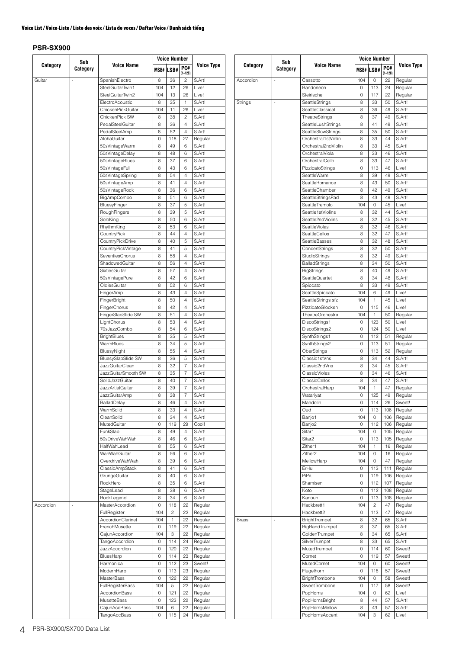#### **PSR-SX900**

| Sub       |          |                         | <b>Voice Number</b> |              |                    |                   |  | Sub          |          |                     | <b>Voice Number</b> |                     |                    |         |
|-----------|----------|-------------------------|---------------------|--------------|--------------------|-------------------|--|--------------|----------|---------------------|---------------------|---------------------|--------------------|---------|
| Category  | Category | <b>Voice Name</b>       |                     | MSB# LSB#    | PC#<br>$(1 - 128)$ | <b>Voice Type</b> |  | Category     | Category | <b>Voice Name</b>   |                     | MSB# LSB#           | PC#<br>$(1 - 128)$ | Voice   |
| Guitar    |          | SpanishElectro          | 8                   | 36           | $\overline{c}$     | S.Art!            |  | Accordion    |          | Cassotto            | 104                 | $\mathbf 0$         | 22                 | Regular |
|           |          | SteelGuitarTwin1        | 104                 | 12           | 26                 | Live!             |  |              |          | Bandoneon           | $\mathsf{O}\xspace$ | 113                 | 24                 | Regular |
|           |          | SteelGuitarTwin2        | 104                 | 13           | 26                 | Live!             |  |              |          | Steirische          | $\mathsf{O}\xspace$ | 117                 | 22                 | Regular |
|           |          | ElectroAcoustic         | 8                   | 35           | $\overline{1}$     | S.Art!            |  | Strings      |          | SeattleStrings      | $\,$ 8 $\,$         | 33                  | 50                 | S.Art!  |
|           |          | ChickenPickGuitar       | 104                 | 11           | 26                 | Live!             |  |              |          | SeattleClassical    | $\,$ 8 $\,$         | 36                  | 49                 | S.Art!  |
|           |          | ChickenPick SW          | 8                   | 38           | $\overline{c}$     | S.Art!            |  |              |          | TheatreStrings      | 8                   | 37                  | 49                 | S.Art!  |
|           |          | PedalSteelGuitar        | 8                   | 36           | $\overline{4}$     | S.Art!            |  |              |          | SeattleLushStrings  | $\,$ 8 $\,$         | 41                  | 49                 | S.Art!  |
|           |          | PedalSteelAmp           | 8                   | 52           | $\overline{4}$     | S.Art!            |  |              |          | SeattleSlowStrings  | 8                   | 35                  | 50                 | S.Art!  |
|           |          | AlohaGuitar             | $\circ$             | 118          | 27                 | Regular           |  |              |          | Orchestral1stViolin | 8                   | 33                  | 44                 | S.Art!  |
|           |          | 50sVintageWarm          | 8                   | 49           | 6                  | S.Art!            |  |              |          | Orchestral2ndViolin | $\,$ 8 $\,$         | 33                  | 45                 | S.Art!  |
|           |          | 50sVintageDelay         | 8                   | 48           | 6                  | S.Art!            |  |              |          | OrchestralViola     | 8                   | 33                  | 46                 | S.Art!  |
|           |          | 50sVintageBlues         | 8                   | 37           | 6                  | S.Art!            |  |              |          | OrchestralCello     | 8                   | 33                  | 47                 | S.Art!  |
|           |          | 50sVintageFull          | 8                   | 43           | 6                  | S.Art!            |  |              |          | PizzicatoStrings    | $\mathsf{O}\xspace$ | 113                 | 46                 | Live!   |
|           |          | 50sVintageSpring        | 8                   | 54           | $\overline{4}$     | S.Art!            |  |              |          | SeattleWarm         | 8                   | 39                  | 49                 | S.Art!  |
|           |          | 50sVintageAmp           | 8                   | 41           | $\overline{4}$     | S.Art!            |  |              |          | SeattleRomance      | 8                   | 43                  | 50                 | S.Art!  |
|           |          | 50sVintageRock          | 8                   | 36           | 6                  | S.Art!            |  |              |          | SeattleChamber      | $\,$ 8 $\,$         | 42                  | 49                 | S.Art!  |
|           |          | <b>BigAmpCombo</b>      | 8                   | 51           | 6                  | S.Art!            |  |              |          | SeattleStringsPad   | $\,$ 8 $\,$         | 43                  | 49                 | S.Art!  |
|           |          | BluesyFinger            | 8                   | 37           | 5                  | S.Art!            |  |              |          | SeattleTremolo      | 104                 | $\mathbf 0$         | 45                 | Live!   |
|           |          | RoughFingers            | 8                   | 39           | 5                  | S.Art!            |  |              |          | Seattle1stViolins   | 8                   | 32                  | 44                 | S.Art!  |
|           |          | SoloKing                | 8                   | 50           | 6                  | S.Art!            |  |              |          | Seattle2ndViolins   | 8                   | 32                  | 45                 | S.Art!  |
|           |          | RhythmKing              | 8                   | 53           | 6                  | S.Art!            |  |              |          | SeattleViolas       | 8                   | 32                  | 46                 | S.Art!  |
|           |          | CountryPick             | 8                   | 44           | $\overline{4}$     | S.Art!            |  |              |          | SeattleCellos       | $\,$ 8 $\,$         | 32                  | 47                 | S.Art!  |
|           |          | CountryPickDrive        | 8                   | 40           | $\sqrt{5}$         | S.Art!            |  |              |          | SeattleBasses       | 8                   | 32                  | 48                 | S.Art!  |
|           |          | CountryPickVintage      | 8                   | 41           | 5                  | S.Art!            |  |              |          | ConcertStrings      | 8                   | 32                  | 50                 | S.Art!  |
|           |          | SeventiesChorus         | 8                   | 58           | $\overline{4}$     | S.Art!            |  |              |          | StudioStrings       | 8                   | 32                  | 49                 | S.Art!  |
|           |          | ShadowedGuitar          | 8                   | 56           | $\overline{4}$     | S.Art!            |  |              |          | BalladStrings       | 8                   | 34                  | 50                 | S.Art!  |
|           |          | SixtiesGuitar           | 8                   | 57           | $\overline{4}$     | S.Art!            |  |              |          | <b>BigStrings</b>   | 8                   | 40                  | 49                 | S.Art!  |
|           |          | 50sVintagePure          | 8                   | 42           | 6                  | S.Art!            |  |              |          | SeattleQuartet      | 8                   | 34                  | 48                 | S.Art!  |
|           |          |                         | 8                   |              |                    | S.Art!            |  |              |          |                     | 8                   | 33                  | 49                 | S.Art!  |
|           |          | OldiesGuitar            |                     | 52           | 6                  |                   |  |              |          | Spiccato            |                     |                     |                    |         |
|           |          | FingerAmp               | 8                   | 43           | $\overline{4}$     | S.Art!            |  |              |          | SeattleSpiccato     | 104                 | 6                   | 49                 | Live!   |
|           |          | FingerBright            | 8                   | 50           | $\overline{4}$     | S.Art!            |  |              |          | SeattleStrings sfz  | 104                 | $\overline{1}$      | 45                 | Live!   |
|           |          | FingerChorus            | 8                   | 42           | $\overline{4}$     | S.Art!            |  |              |          | PizzicatoGlocken    | $\mathsf O$         | 115                 | 46                 | Live!   |
|           |          | FingerSlapSlide SW      | 8                   | 51           | $\overline{4}$     | S.Art!            |  |              |          | TheatreOrchestra    | 104                 | $\mathbf{1}$        | 50                 | Regular |
|           |          | LightChorus             | 8                   | 53           | $\overline{4}$     | S.Art!            |  |              |          | DiscoStrings1       | $\mathbb O$         | 123                 | 50                 | Live!   |
|           |          | 70sJazzCombo            | 8                   | 54           | 6                  | S.Art!            |  |              |          | DiscoStrings2       | $\mathsf{O}\xspace$ | 124                 | 50                 | Live!   |
|           |          | <b>BrightBlues</b>      | 8                   | 35           | 5                  | S.Art!            |  |              |          | SynthStrings1       | $\mathsf{O}\xspace$ | 112                 | 51                 | Regular |
|           |          | WarmBlues               | 8                   | 34           | 5                  | S.Art!            |  |              |          | SynthStrings2       | $\mathsf{O}\xspace$ | 113                 | 51                 | Regular |
|           |          | BluesyNight             | 8                   | 55           | $\overline{4}$     | S.Art!            |  |              |          | OberStrings         | $\mathsf{O}\xspace$ | 113                 | 52                 | Regular |
|           |          | BluesySlapSlide SW      | 8                   | 36           | 5                  | S.Art!            |  |              |          | Classic1stVns       | 8                   | 34                  | 44                 | S.Art!  |
|           |          | <b>JazzGuitarClean</b>  | 8                   | 32           | $\overline{7}$     | S.Art!            |  |              |          | Classic2ndVns       | $\,$ 8 $\,$         | 34                  | 45                 | S.Art!  |
|           |          | JazzGuitarSmooth SW     | 8                   | 35           | $\overline{7}$     | S.Art!            |  |              |          | ClassicViolas       | 8                   | 34                  | 46                 | S.Art!  |
|           |          | SolidJazzGuitar         | 8                   | 40           | $\overline{7}$     | S.Art!            |  |              |          | ClassicCellos       | 8                   | 34                  | 47                 | S.Art!  |
|           |          | <b>JazzArtistGuitar</b> | 8                   | 39           | $\overline{7}$     | S.Art!            |  |              |          | OrchestralHarp      | 104                 | $\mathbf{1}$        | 47                 | Regular |
|           |          | JazzGuitarAmp           | 8                   | 38           | $\overline{7}$     | S.Art!            |  |              |          | Watariyat           | $\mathbf 0$         | 125                 | 49                 | Regular |
|           |          | BalladDelay             | 8                   | 46           | 4                  | S.Art!            |  |              |          | Mandolin            | 0                   | 114                 | 26                 | Sweet!  |
|           |          | WarmSolid               | 8                   | 33           | $\overline{4}$     | S.Art!            |  |              |          | Oud                 | $\mathbf 0$         | 113                 | 106                | Regular |
|           |          | CleanSolid              | 8                   | 34           | $\overline{4}$     | S.Art!            |  |              |          | Banjo1              | 104                 | $\circ$             | 106                | Regular |
|           |          | MutedGuitar             | 0                   | 119          | 29                 | Cool!             |  |              |          | Banjo <sub>2</sub>  | $\mathsf{O}\xspace$ | 112                 | 106                | Regular |
|           |          | FunkSlap                | 8                   | 49           | $\overline{4}$     | S.Art!            |  |              |          | Sitar1              | 104                 | $\circ$             | 105                | Regular |
|           |          | 50sDriveWahWah          | 8                   | 46           | 6                  | S.Art!            |  |              |          | Sitar <sub>2</sub>  | $\mathbb O$         | 113                 | 105                | Regular |
|           |          | HalfWahLead             | 8                   | 55           | 6                  | S.Art!            |  |              |          | Zither1             | 104                 | $\mathbf{1}$        | 16                 | Regular |
|           |          | WahWahGuitar            | 8                   | 56           | 6                  | S.Art!            |  |              |          | Zither <sub>2</sub> | 104                 | $\mathbb O$         | 16                 | Regular |
|           |          | OverdriveWahWah         | 8                   | 39           | 6                  | S.Art!            |  |              |          | MellowHarp          | 104                 | $\circ$             | 47                 | Regular |
|           |          | <b>ClassicAmpStack</b>  | 8                   | 41           | 6                  | S.Art!            |  |              |          | ErHu                | $\mathsf{O}\xspace$ | 113                 | 111                | Regular |
|           |          | GrungeGuitar            | 8                   | 40           | 6                  | S.Art!            |  |              |          | PiPa                | $\mathbb O$         | 119                 | 106                | Regular |
|           |          | RockHero                | 8                   | 35           | 6                  | S.Art!            |  |              |          | Shamisen            | $\mathsf{O}\xspace$ | 112                 | 107                | Regular |
|           |          | StageLead               | 8                   | 38           | 6                  | S.Art!            |  |              |          | Koto                | $\mathbb O$         | 112                 | 108                | Regular |
|           |          | RockLegend              | 8                   | 34           | $\,6\,$            | S.Art!            |  |              |          | Kanoun              | $\mathsf{O}\xspace$ | 113                 | 108                | Regular |
| Accordion |          | MasterAccordion         | $\mathbf 0$         | 118          | 22                 | Regular           |  |              |          | Hackbrett1          | 104                 | $\overline{c}$      | 47                 | Regular |
|           |          | FullRegister            | 104                 | $\sqrt{2}$   | 22                 | Regular           |  |              |          | Hackbrett2          | $\mathsf{O}\xspace$ | 113                 | 47                 | Regular |
|           |          | AccordionClarinet       | 104                 | $\mathbf{1}$ | 22                 | Regular           |  | <b>Brass</b> |          | BrightTrumpet       | 8                   | 32                  | 65                 | S.Art!  |
|           |          | FrenchMusette           | $\circ$             | 119          | 22                 | Regular           |  |              |          | BigBandTrumpet      | 8                   | 37                  | 65                 | S.Art!  |
|           |          | CajunAccordion          | 104                 | 3            | 22                 | Regular           |  |              |          | GoldenTrumpet       | $\,$ 8 $\,$         | 34                  | 65                 | S.Art!  |
|           |          | <b>TangoAccordion</b>   | 0                   | 114          | 24                 | Regular           |  |              |          | SilverTrumpet       | $\,$ 8 $\,$         | 33                  | 65                 | S.Art!  |
|           |          | JazzAccordion           | $\mathbf 0$         | 120          | 22                 | Regular           |  |              |          | MutedTrumpet        | $\mathsf{O}\xspace$ | 114                 | 60                 | Sweet!  |
|           |          | BluesHarp               | $\mathbf 0$         | 114          | 23                 | Regular           |  |              |          | Cornet              | $\mathsf{O}\xspace$ | 119                 | 57                 | Sweet!  |
|           |          | Harmonica               | $\mathbf 0$         | 112          | 23                 | Sweet!            |  |              |          | MutedCornet         | 104                 | $\mathsf{O}\xspace$ | 60                 | Sweet!  |
|           |          |                         | $\circ$             |              |                    |                   |  |              |          |                     | $\mathbb O$         |                     |                    |         |
|           |          | ModernHarp              |                     | 113          | 23                 | Regular           |  |              |          | Flugelhorn          |                     | 118                 | 57                 | Sweet!  |
|           |          | <b>MasterBass</b>       | $\circ$             | 122          | 22                 | Regular           |  |              |          | BrightTrombone      | 104                 | $\circ$             | 58                 | Sweet!  |
|           |          | <b>FullRegisterBass</b> | 104                 | $\,$ 5 $\,$  | 22                 | Regular           |  |              |          | SweetTrombone       | $\mathbb O$         | 117                 | 58                 | Sweet!  |
|           |          | AccordionBass           | $\circ$             | 121          | 22                 | Regular           |  |              |          | PopHorns            | 104                 | $\circ$             | 62                 | Live!   |
|           |          | <b>MusetteBass</b>      | $\circ$             | 123          | 22                 | Regular           |  |              |          | PopHornsBright      | 8                   | 44                  | 57                 | S.Art!  |
|           |          | CajunAccBass            | 104                 | 6            | 22                 | Regular           |  |              |          | PopHornsMellow      | 8                   | 43                  | 57                 | S.Art!  |
|           |          | TangoAccBass            | $\circ$             | 115          | 24                 | Regular           |  |              |          | PopHornsAccent      | 104                 | 3                   | 62                 | Live!   |

Regular Regular<br>S.Art!

**Voice Type**

Regular Regular Regular S.Art! S.Art! S.Art! S.Art! Regular Regular Sweet! Regular Regular Regular Regular Regular Regular Regular Regular Regular Regular Regular Regular Regular Regular Regular<br>S.Art!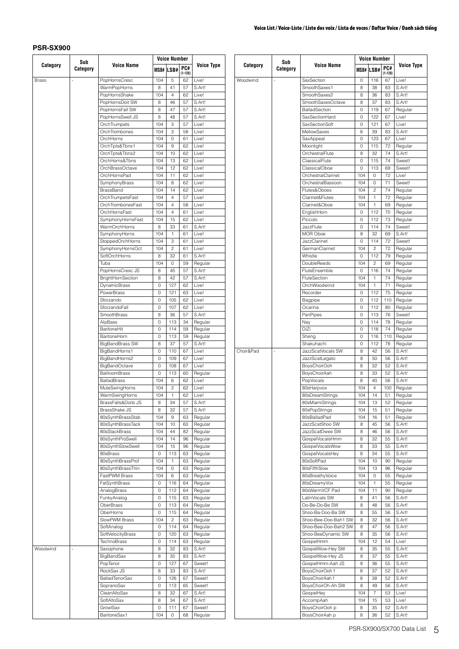|              | Sub      |                        |     | <b>Voice Number</b> |             |                   |  |           | Sub      |                       |                     | <b>Voice Number</b> |             |                   |
|--------------|----------|------------------------|-----|---------------------|-------------|-------------------|--|-----------|----------|-----------------------|---------------------|---------------------|-------------|-------------------|
| Category     | Category | <b>Voice Name</b>      |     | MSB# LSB#           | PC#         | <b>Voice Type</b> |  | Category  | Category | <b>Voice Name</b>     |                     | MSB# LSB#           | PC#         | Voice Type        |
|              |          |                        |     |                     | $(1 - 128)$ |                   |  |           |          |                       |                     |                     | $(1 - 128)$ |                   |
| <b>Brass</b> |          | PopHornsCresc          | 104 | $\sqrt{5}$          | 62          | Live!             |  | Woodwind  |          | SaxSection            | 0                   | 116                 | 67          | Live!             |
|              |          | WarmPopHorns           | 8   | 41                  | 57          | S.Art!            |  |           |          | SmoothSaxes1          | 8                   | 38                  | 83          | S.Art!            |
|              |          | PopHornsShake          | 104 | $\overline{4}$      | 62          | Live!             |  |           |          | SmoothSaxes2          | 8                   | 36                  | 83          | S.Art!            |
|              |          | PopHornsDoit SW        | 8   | 46                  | 57          | S.Art!            |  |           |          | SmoothSaxesOctave     | 8                   | 37                  | 83          | S.Art!            |
|              |          | PopHornsFall SW        | 8   | 47                  | 57          | S.Art!            |  |           |          | BalladSection         | $\mathsf 0$         | 119                 | 67          | Regular           |
|              |          | PopHornsSwell JS       | 8   | 48                  | 57          | S.Art!            |  |           |          | SaxSectionHard        | 0                   | 122                 | 67          | Live!             |
|              |          | OrchTrumpets           | 104 | 3                   | 57          | Live!             |  |           |          | SaxSectionSoft        | 0                   | 121                 | 67          | Live!             |
|              |          | OrchTrombones          | 104 | 3                   | 58          | Live!             |  |           |          | MellowSaxes           | 8                   | 39                  | 83          | S.Art!            |
|              |          | OrchHorns              | 104 | $\circ$             | 61          | Live!             |  |           |          | SaxAppeal             | $\mathsf{O}\xspace$ | 123                 | 67          | Live!             |
|              |          | OrchTpts&Tbns1         | 104 | 9                   | 62          | Live!             |  |           |          | Moonlight             | $\mathsf O$         | 115                 | 72          | Regular           |
|              |          | OrchTpts&Tbns2         | 104 | 10                  | 62          | Live!             |  |           |          | OrchestralFlute       | 8                   | 32                  | 74          | S.Art!            |
|              |          | OrchHorns&Tbns         | 104 | 13                  | 62          | Live!             |  |           |          | ClassicalFlute        | 0                   | 115                 | 74          | Sweet!            |
|              |          | OrchBrassOctave        | 104 | 12                  | 62          | Live!             |  |           |          | ClassicalOboe         | $\mathsf 0$         | 113                 | 69          | Sweet!            |
|              |          | OrchHornsPad           | 104 | 11                  | 62          | Live!             |  |           |          | OrchestralClarinet    | 104                 | $\mathbf 0$         | 72          | Live!             |
|              |          | SymphonyBrass          | 104 | 8                   | 62          | Live!             |  |           |          | OrchestralBassoon     | 104                 | $\mathsf{O}\xspace$ | 71          | Sweet!            |
|              |          | BrassBand              | 104 | 14                  | 62          | Live!             |  |           |          | Flutes&Oboes          | 104                 | $\mathbf{2}$        | 74          | Regular           |
|              |          | OrchTrumpetsFast       | 104 | $\overline{4}$      | 57          | Live!             |  |           |          | Clarinet&Flutes       | 104                 | $\mathbf{1}$        | 72          | Regular           |
|              |          | OrchTrombonesFast      | 104 | $\overline{4}$      | 58          | Live!             |  |           |          | Clarinet&Oboe         | 104                 | $\mathbf{1}$        | 69          | Regular           |
|              |          | OrchHornsFast          | 104 | $\overline{4}$      | 61          | Live!             |  |           |          | EnglishHorn           | 0                   | 112                 | 70          | Regular           |
|              |          | SymphonyHornsFast      | 104 | 15                  | 62          | Live!             |  |           |          | Piccolo               | $\mathsf{O}\xspace$ | 112                 | 73          | Regular           |
|              |          | WarmOrchHorns          | 8   | 33                  | 61          | S.Art!            |  |           |          | JazzFlute             | $\mathsf{O}\xspace$ | 114                 | 74          | Sweet!            |
|              |          | SymphonyHorns          | 104 | $\overline{1}$      | 61          | Live!             |  |           |          | <b>MOR Oboe</b>       | 8                   | 32                  | 69          | S.Art!            |
|              |          | StoppedOrchHorns       | 104 | 3                   | 61          | Live!             |  |           |          | JazzClarinet          | $\mathsf O$         | 114                 | 72          | Sweet!            |
|              |          | SymphonyHornsOct       | 104 | $\overline{c}$      | 61          | Live!             |  |           |          | GermanClarinet        | 104                 | $\mathbf{2}$        | 72          | Regular           |
|              |          | SoftOrchHorns          | 8   | 32                  | 61          | S.Art!            |  |           |          | Whistle               | $\mathsf{O}\xspace$ | 112                 | 79          | Regular           |
|              |          | Tuba                   | 104 | $\circ$             | 59          | Regular           |  |           |          | DoubleReeds           | 104                 | $\sqrt{2}$          | 69          | Regular           |
|              |          | PopHornsCresc JS       | 8   | 45                  | 57          | S.Art!            |  |           |          | FluteEnsemble         | $\mathsf{O}\xspace$ | 116                 | 74          | Regular           |
|              |          | BrightHornSection      | 8   | 42                  | 57          | S.Art!            |  |           |          | FluteSection          | 104                 | $\mathbf{1}$        | 74          | Regular           |
|              |          | DynamicBrass           | 0   | 127                 | 62          | Live!             |  |           |          | OrchWoodwind          | 104                 | $\mathbf{1}$        | 71          | Regular           |
|              |          | PowerBrass             | 0   | 121                 | 63          | Live!             |  |           |          | Recorder              | $\mathsf{O}\xspace$ | 112                 | 75          | Regular           |
|              |          | Sforzando              | 0   | 105                 | 62          | Live!             |  |           |          | Bagpipe               | 0                   | 112                 | 110         | Regular           |
|              |          | SforzandoFall          | 0   | 107                 | 62          | Live!             |  |           |          | Ocarina               | $\mathsf{O}\xspace$ | 112                 | 80          | Regular           |
|              |          | SmoothBrass            | 8   | 36                  | 57          | S.Art!            |  |           |          | PanPipes              | $\mathsf O$         | 113                 | 76          | Sweet!            |
|              |          | AlpBass                | 0   | 113                 | 34          | Regular           |  |           |          | Nay                   | $\mathsf{O}\xspace$ | 114                 | 78          | Regular           |
|              |          | BaritoneHit            | 0   | 114                 | 59          | Regular           |  |           |          | DiZi                  | $\mathsf O$         | 118                 | 74          | Regular           |
|              |          | BaritoneHorn           | 0   | 113                 | 59          |                   |  |           |          | Sheng                 | 0                   | 116                 | 110         |                   |
|              |          | <b>BigBandBrass SW</b> | 8   | 37                  | 57          | Regular<br>S.Art! |  |           |          | Shakuhachi            | $\mathsf{O}\xspace$ | 112                 | 78          | Regular           |
|              |          |                        | 0   |                     |             | Live!             |  | Choir&Pad |          | JazzScatVocals SW     | 8                   | 42                  | 56          | Regular<br>S.Art! |
|              |          | BigBandHorns1          |     | 110                 | 67          |                   |  |           |          |                       |                     |                     |             |                   |
|              |          | BigBandHorns2          | 0   | 109                 | 67          | Live!             |  |           |          | <b>JazzScatLegato</b> | 8                   | 50                  | 56          | S.Art!            |
|              |          | <b>BigBandOctave</b>   | 0   | 108                 | 67          | Live!             |  |           |          | BoysChoirOoh          | 8                   | 32                  | 52          | S.Art!            |
|              |          | BallroomBrass          | 0   | 113                 | 60          | Regular           |  |           |          | BoysChoirAah          | 8                   | 33                  | 52          | S.Art!            |
|              |          | <b>BalladBrass</b>     | 104 | 6                   | 62          | Live!             |  |           |          | PopVocals             | 8                   | 40                  | 56          | S.Art!            |
|              |          | MuteSwingHorns         | 104 | $\overline{c}$      | 62          | Live!             |  |           |          | 80sHarpvox            | 104                 | $\overline{4}$      | 100         | Regular           |
|              |          | WarmSwingHorns         | 104 | $\mathbf{1}$        | 62          | Live!             |  |           |          | 80sDreamStrings       | 104                 | 14                  | 51          | Regular           |
|              |          | BrassFalls&Doits JS    | 8   | 34                  | 57          | S.Art!            |  |           |          | 80sMiamiStrings       | 104                 | 13                  | 52          | Regular           |
|              |          | BrassShake JS          | 8   | 32                  | 57          | S.Art!            |  |           |          | 80sPopStrings         | 104                 | 15                  | 51          | Regular           |
|              |          | 80sSynthBrassStab      | 104 | 9                   | 63          | Regular           |  |           |          | 80sBalladPad          | 104                 | 16                  | 51          | Regular           |
|              |          | 80sSynthBrassTack      | 104 | 10                  | 63          | Regular           |  |           |          | JazzScatShoo SW       | 8                   | 45                  | 56          | S.Art!            |
|              |          | 80sStackBrass          | 104 | 44                  | 82          | Regular           |  |           |          | JazzScatDwee SW       | 8                   | 46                  | 56          | S.Art!            |
|              |          | 80sSynthProSwell       | 104 | 14                  | 96          | Regular           |  |           |          | GospelVocalsHmm       | 8                   | 32                  | 55          | S.Art!            |
|              |          | 80sSynthSlowSwell      | 104 | 15                  | 96          | Regular           |  |           |          | GospelVocalsWow       | 8                   | 33                  | 55          | S.Art!            |
|              |          | 80sBrass               | 0   | 113                 | 63          | Regular           |  |           |          | GospelVocalsHey       | 8                   | 34                  | 55          | S.Art!            |
|              |          | 80sSynthBrassProf      | 104 | $\overline{1}$      | 63          | Regular           |  |           |          | 80sSoftPad            | 104                 | 10                  | 90          | Regular           |
|              |          | 80sSynthBrassThin      | 104 | $\circ$             | 63          | Regular           |  |           |          | 80sFifthSlow          | 104                 | 13                  | 96          | Regular           |
|              |          | FastPWM Brass          | 104 | 6                   | 63          | Regular           |  |           |          | 80sBreathyVoice       | 104                 | $\mathsf{O}\xspace$ | 55          | Regular           |
|              |          | FatSynthBrass          | 0   | 116                 | 64          | Regular           |  |           |          | 80sDreamyVox          | 104                 | $\mathbf{1}$        | 55          | Regular           |
|              |          | AnalogBrass            | 0   | 112                 | 64          | Regular           |  |           |          | 80sWarmVCF Pad        | 104                 | 11                  | 90          | Regular           |
|              |          | FunkyAnalog            | 0   | 115                 | 63          | Regular           |  |           |          | LatinVocals SW        | 8                   | 41                  | 56          | S.Art!            |
|              |          | OberBrass              | 0   | 113                 | 64          | Regular           |  |           |          | Do-Be-Do-Be SW        | 8                   | 48                  | 56          | S.Art!            |
|              |          | OberHorns              | 0   | 115                 | 64          | Regular           |  |           |          | Shoo-Ba-Doo-Ba SW     | 8                   | 55                  | 56          | S.Art!            |
|              |          | SlowPWM Brass          | 104 | $\overline{c}$      | 63          | Regular           |  |           |          | Shoo-Bee-Doo-Bah1 SW  | 8                   | 32                  | 56          | S.Art!            |
|              |          | SoftAnalog             | 0   | 114                 | 64          | Regular           |  |           |          | Shoo-Bee-Doo-Bah2 SW  | 8                   | 47                  | 56          | S.Art!            |
|              |          | SoftVelocityBrass      | 0   | 120                 | 63          | Regular           |  |           |          | Shoo-BeeDynamic SW    | 8                   | 35                  | 56          | S.Art!            |
|              |          | <b>TechnoBrass</b>     | 0   | 114                 | 63          | Regular           |  |           |          | GospelHmm             | 104                 | 12                  | 54          | Live!             |
| Woodwind     |          | Saxophone              | 8   | 32                  | 83          | S.Art!            |  |           |          | GospelWow-Hey SW      | 8                   | 35                  | 55          | S.Art!            |
|              |          | BigBandSax             | 8   | 35                  | 83          | S.Art!            |  |           |          | GospelWow-Hey JS      | 8                   | 37                  | 55          | S.Art!            |
|              |          | PopTenor               | 0   | 127                 | 67          | Sweet!            |  |           |          | GospelHmm-Aah JS      | 8                   | 36                  | 55          | S.Art!            |
|              |          | RockSax JS             | 8   | 33                  | 83          | S.Art!            |  |           |          | BoysChoirOoh f        | 8                   | 37                  | 52          | S.Art!            |
|              |          | <b>BalladTenorSax</b>  | 0   | 126                 | 67          | Sweet!            |  |           |          | BoysChoirAah f        | 8                   | 38                  | 52          | S.Art!            |
|              |          | SopranoSax             | 0   | 113                 | 65          | Sweet!            |  |           |          | BoysChoirOh-Ah SW     | 8                   | 49                  | 56          | S.Art!            |
|              |          | CleanAltoSax           | 8   | 32                  | 67          | S.Art!            |  |           |          | GospelHey             | 104                 | $\overline{7}$      | 53          | Live!             |
|              |          | SoftAltoSax            | 8   | 34                  | 67          | S.Art!            |  |           |          | AccompAah             | 104                 | 15                  | 53          | Live!             |
|              |          | GrowlSax               | 0   | 111                 | 67          | Sweet!            |  |           |          | BoysChoirOoh p        | 8                   | 35                  | 52          | S.Art!            |
|              |          | BaritoneSax1           | 104 | $\circ$             | 68          | Regular           |  |           |          | BoysChoirAah p        | 8                   | 36                  | 52          | S.Art!            |
|              |          |                        |     |                     |             |                   |  |           |          |                       |                     |                     |             |                   |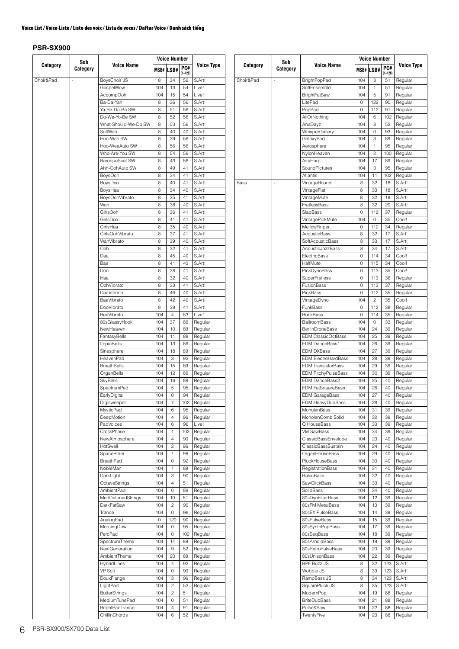|           | Sub      |                                       |            | Voice Number            |             |                    |  |    |
|-----------|----------|---------------------------------------|------------|-------------------------|-------------|--------------------|--|----|
| Category  | Category | <b>Voice Name</b>                     |            | MSB# LSB#               | PC#         | <b>Voice Type</b>  |  |    |
|           |          |                                       |            |                         | $(1 - 128)$ |                    |  |    |
| Choir&Pad | ÷,       | BoysChoir JS                          | 8          | 34                      | 52          | S.Art!             |  | Cł |
|           |          | GospelWow                             | 104        | 13                      | 54          | Live!<br>Live!     |  |    |
|           |          | AccompOoh                             | 104        | 15                      | 54          |                    |  |    |
|           |          | Ba-Da-Yah<br>Ya-Ba-Da-Ba SW           | 8<br>8     | 36<br>51                | 56<br>56    | S.Art!<br>S.Art!   |  |    |
|           |          | Do-We-Yo-Be SW                        | 8          | 52                      | 56          | S.Art!             |  |    |
|           |          | What-Should-We-Do SW                  | 8          | 53                      | 56          | S.Art!             |  |    |
|           |          | SoftWah                               | 8          | 40                      | 40          | S.Art!             |  |    |
|           |          | Hoo-Wah SW                            | 8          | 39                      | 56          | S.Art!             |  |    |
|           |          | Hoo-WeeAuto SW                        | 8          | 56                      | 56          | S.Art!             |  |    |
|           |          | Who-Are-You SW                        | 8          | 54                      | 56          | S.Art!             |  |    |
|           |          | BaroqueScat SW                        | 8          | 43                      | 56          | S.Art!             |  |    |
|           |          | Ahh-OohAuto SW                        | 8          | 49                      | 41          | S.Art!             |  |    |
|           |          | <b>BoysOoh</b>                        | 8          | 34                      | 41          | S.Art!             |  |    |
|           |          | BoysDoo                               | 8          | 40                      | 41          | S.Art!             |  | Ba |
|           |          | BoysHaa                               | 8          | 34                      | 40          | S.Art!             |  |    |
|           |          | BoysOohVibrato                        | 8          | 35                      | 41          | S.Art!             |  |    |
|           |          | Wah                                   | 8          | 38                      | 40          | S.Art!             |  |    |
|           |          | GirlsOoh                              | 8          | 36                      | 41          | S.Art!             |  |    |
|           |          | GirlsDoo                              | 8          | 41                      | 41          | S.Art!             |  |    |
|           |          | GirlsHaa                              | 8          | 35                      | 40          | S.Art!             |  |    |
|           |          | GirlsOohVibrato                       | 8          | 37                      | 41          | S.Art!             |  |    |
|           |          | WahVibrato                            | 8          | 39                      | 40          | S.Art!             |  |    |
|           |          | Ooh                                   | 8          | 32                      | 41          | S.Art!             |  |    |
|           |          | Daa                                   | 8          | 45                      | 40          | S.Art!             |  |    |
|           |          | Baa                                   | 8          | 41                      | 40          | S.Art!             |  |    |
|           |          | Doo                                   | 8          | 38                      | 41          | S.Art!             |  |    |
|           |          | Haa                                   | 8          | 32                      | 40          | S.Art!             |  |    |
|           |          | OohVibrato                            | 8          | 33                      | 41          | S.Art!             |  |    |
|           |          | DaaVibrato                            | 8          | 46                      | 40          | S.Art!             |  |    |
|           |          | BaaVibrato                            | 8          | 42                      | 40          | S.Art!             |  |    |
|           |          | DooVibrato                            | 8          | 39                      | 41          | S.Art!             |  |    |
|           |          | BeeVibrato                            | 104        | $\overline{4}$          | 53          | Live!              |  |    |
|           |          | 80sGlassyHook                         | 104        | 37                      | 89          | Regular            |  |    |
|           |          | NewHeaven                             | 104        | 10                      | 89          | Regular            |  |    |
|           |          | FantasyBells                          | 104        | 11                      | 89          | Regular            |  |    |
|           |          | <b>ItopiaBells</b><br>Sinesphere      | 104<br>104 | 13<br>18                | 89<br>89    | Regular            |  |    |
|           |          | HeavenPad                             | 104        | 3                       | 92          | Regular            |  |    |
|           |          | <b>BreathBells</b>                    | 104        | 15                      | 89          | Regular<br>Regular |  |    |
|           |          | OrganBells                            | 104        | 12                      | 89          | Regular            |  |    |
|           |          | SkyBells                              | 104        | 16                      | 89          | Regular            |  |    |
|           |          | SpectrumPad                           | 104        | 5                       | 95          | Regular            |  |    |
|           |          | EarlyDigital                          | 104        | 0                       | 94          | Regular            |  |    |
|           |          | Digisweeper                           | 104        | 7                       | 102         | Regular            |  |    |
|           |          | <b>MysticPad</b>                      | 104        | 6                       | 95          | Regular            |  |    |
|           |          | DeepMotion                            | 104        | 4                       | 96          | Regular            |  |    |
|           |          | PadVoices                             | 104        | 6                       | 96          | Live!              |  |    |
|           |          | CrossPhase                            | 104        | 1                       | 102         | Regular            |  |    |
|           |          | NewAtmosphere                         | 104        | 4                       | 90          | Regular            |  |    |
|           |          | HotSwell                              | 104        | $\overline{\mathbf{c}}$ | 96          | Regular            |  |    |
|           |          | SpaceRider                            | 104        | 1                       | 96          | Regular            |  |    |
|           |          | <b>BreathPad</b>                      | 104        | 0                       | 92          | Regular            |  |    |
|           |          | NobleMan                              | 104        | 1                       | 89          | Regular            |  |    |
|           |          | DarkLight                             | 104        | 3                       | 90          | Regular            |  |    |
|           |          | OctaveStrings                         | 104        | 4                       | 51          | Regular            |  |    |
|           |          | AmbientPad                            | 104        | 0                       | 89          | Regular            |  |    |
|           |          | MedDetunedStrings                     | 104        | 10                      | 51          | Regular            |  |    |
|           |          | DarkFatSaw                            | 104        | 2                       | 90          | Regular            |  |    |
|           |          | Trance                                | 104        | 0                       | 96          | Regular            |  |    |
|           |          | AnalogPad                             | 0          | 120                     | 90          | Regular            |  |    |
|           |          | MorningDew                            | 104        | 0                       | 95          | Regular            |  |    |
|           |          | PercPad                               | 104        | 0                       | 102         | Regular            |  |    |
|           |          | SpectrumTheme                         | 104        | 14                      | 89          | Regular            |  |    |
|           |          | NextGeneration                        | 104        | 9                       | 52          | Regular            |  |    |
|           |          | AmbientTheme                          | 104        | 20                      | 89          | Regular            |  |    |
|           |          | HybridLines                           | 104        | 4                       | 92          | Regular            |  |    |
|           |          | VP Soft                               | 104        | 0                       | 90          | Regular            |  |    |
|           |          | DouxFlange                            | 104        | 3                       | 96          | Regular            |  |    |
|           |          | LightPad                              | 104        | 2<br>$\overline{c}$     | 52          | Regular            |  |    |
|           |          | <b>ButterStrings</b><br>MediumTunePad | 104<br>104 | 0                       | 51<br>51    | Regular<br>Regular |  |    |
|           |          | <b>BrightPadTrance</b>                | 104        | 4                       | 91          | Regular            |  |    |
|           |          | ChillinChords                         | 104        | 6                       | 52          | Regular            |  |    |
|           |          |                                       |            |                         |             |                    |  |    |

|           | Sub                      |                                           |            | <b>Voice Number</b> |                   |                    |  |
|-----------|--------------------------|-------------------------------------------|------------|---------------------|-------------------|--------------------|--|
| Category  | Category                 | Voice Name                                |            | <b>MSB# LSB#</b>    | PC#               | <b>Voice Type</b>  |  |
| Choir&Pad |                          | <b>BrightPopPad</b>                       | 104        | 3                   | $(1 - 128)$<br>51 | Regular            |  |
|           |                          | SoftEnsemble                              | 104        | 1                   | 51                | Regular            |  |
|           |                          | <b>BrightFatSaw</b>                       | 104        | 5                   | 91                | Regular            |  |
|           |                          | LitePad                                   | 0          | 122                 | 90                | Regular            |  |
|           |                          | PopPad                                    | 0          | 112                 | 91                | Regular            |  |
|           |                          | AllOrNothing                              | 104        | 6                   | 102               | Regular            |  |
|           |                          | AnaDayz                                   | 104        | 3                   | 52                | Regular            |  |
|           |                          | WhisperGallery<br>GalaxyPad               | 104<br>104 | 0<br>3              | 93<br>89          | Regular<br>Regular |  |
|           |                          | Aerosphere                                | 104        | 1                   | 95                | Regular            |  |
|           |                          | NylonHeaven                               | 104        | $\overline{c}$      | 100               | Regular            |  |
|           |                          | AiryHarp                                  | 104        | 17                  | 89                | Regular            |  |
|           |                          | SoundPictures                             | 104        | 3                   | 95                | Regular            |  |
|           |                          | Atlantis                                  | 104        | 11                  | 102               | Regular            |  |
| Bass      | $\overline{\phantom{a}}$ | VintageRound                              | 8          | 32                  | 18                | S.Art!             |  |
|           |                          | VintageFlat                               | 8<br>8     | 33<br>32            | 18<br>19          | S.Art!<br>S.Art!   |  |
|           |                          | VintageMute<br>FretlessBass               | 8          | 32                  | 20                | S.Art!             |  |
|           |                          | SlapBass                                  | 0          | 112                 | 37                | Regular            |  |
|           |                          | VintagePickMute                           | 104        | 0                   | 35                | Cool!              |  |
|           |                          | MellowFinger                              | 0          | 112                 | 34                | Regular            |  |
|           |                          | AcousticBass                              | 8          | 32                  | 17                | S.Art!             |  |
|           |                          | SoftAcousticBass                          | 8          | 33                  | 17                | S.Art!             |  |
|           |                          | AcousticJazzBass                          | 8          | 34                  | 17                | S.Art!             |  |
|           |                          | ElectricBass                              | 0          | 114                 | 34                | Cool!              |  |
|           |                          | HalfMute                                  | 0          | 115                 | 34                | Cool!              |  |
|           |                          | PickDynoBass                              | 0          | 113                 | 35                | Cool!              |  |
|           |                          | <b>SuperFretless</b>                      | 0          | 113                 | 36                | Regular            |  |
|           |                          | FusionBass                                | 0          | 113                 | 37                | Regular            |  |
|           |                          | PickBass                                  | 0          | 112                 | 35                | Regular            |  |
|           |                          | VintageDyno<br>FunkBass                   | 104<br>0   | 2<br>112            | 35<br>38          | Cool!              |  |
|           |                          | RockBass                                  | 0          | 114                 | 35                | Regular<br>Regular |  |
|           |                          | <b>BallroomBass</b>                       | 104        | 0                   | 33                | Regular            |  |
|           |                          | <b>BerlinDroneBass</b>                    | 104        | 24                  | 39                | Regular            |  |
|           |                          | <b>EDM ClassicOctBass</b>                 | 104        | 25                  | 39                | Regular            |  |
|           |                          | EDM DanceBass1                            | 104        | 26                  | 39                | Regular            |  |
|           |                          | <b>EDM DXBass</b>                         | 104        | 27                  | 39                | Regular            |  |
|           |                          | <b>EDM ElectroHardBass</b>                | 104        | 28                  | 39                | Regular            |  |
|           |                          | <b>EDM TransistorBass</b>                 | 104        | 29                  | 39                | Regular            |  |
|           |                          | <b>EDM PitchyPulseBass</b>                | 104        | 30                  | 39                | Regular            |  |
|           |                          | <b>EDM DanceBass2</b>                     | 104        | 25                  | 40                | Regular            |  |
|           |                          | EDM FatSquareBass                         | 104<br>104 | 26<br>27            | 40<br>40          | Regular            |  |
|           |                          | <b>EDM GarageBass</b><br>EDM HeavyDubBass | 104        | 28                  | 40                | Regular<br>Regular |  |
|           |                          | MonolanBass                               | 104        | 31                  | 39                | Regular            |  |
|           |                          | MonolanCombiSolid                         | 104        | 32                  | 39                | Regular            |  |
|           |                          | Q HouseBass                               | 104        | 33                  | 39                | Regular            |  |
|           |                          | VM SawBass                                | 104        | 34                  | 39                | Regular            |  |
|           |                          | ClassicBassEnvelope                       | 104        | 23                  | 40                | Regular            |  |
|           |                          | ClassicBassSustain                        | 104        | 24                  | 40                | Regular            |  |
|           |                          | OrganHouseBass                            | 104        | 29                  | 40                | Regular            |  |
|           |                          | PluckHouseBass                            | 104        | 30                  | 40                | Regular            |  |
|           |                          | RegistrationBass                          | 104        | 31                  | 40                | Regular            |  |
|           |                          | BasicBass<br>SawClickBass                 | 104<br>104 | 32<br>33            | 40<br>40          | Regular<br>Regular |  |
|           |                          | SolidBass                                 | 104        | 34                  | 40                | Regular            |  |
|           |                          | 80sDynFilterBass                          | 104        | 12                  | 39                | Regular            |  |
|           |                          | 80sFM MetalBass                           | 104        | 13                  | 39                | Regular            |  |
|           |                          | 80sEX PulseBass                           | 104        | 14                  | 39                | Regular            |  |
|           |                          | 80sPulseBass                              | 104        | 15                  | 39                | Regular            |  |
|           |                          | 80sSynthPopBass                           | 104        | 17                  | 39                | Regular            |  |
|           |                          | 80sSeqBass                                | 104        | 18                  | 39                | Regular            |  |
|           |                          | 80sArnoldBass                             | 104        | 19                  | 39                | Regular            |  |
|           |                          | 80sRetroPulseBass                         | 104        | 20                  | 39                | Regular            |  |
|           |                          | 80sUnisonBass                             | 104        | 22                  | 39                | Regular            |  |
|           |                          | BPF Buzz JS                               | 8          | 32                  | 123               | S.Art!             |  |
|           |                          | Wobble JS<br>RampBass JS                  | 8<br>8     | 33<br>34            | 123<br>123        | S.Art!<br>S.Art!   |  |
|           |                          | SquarePluck JS                            | 8          | 35                  | 123               | S.Art!             |  |
|           |                          | ModernPop                                 | 104        | 19                  | 88                | Regular            |  |
|           |                          | <b>BriteDubBass</b>                       | 104        | 21                  | 88                | Regular            |  |
|           |                          | Pulse&Saw                                 | 104        | 22                  | 88                | Regular            |  |
|           |                          | TwentyFive                                | 104        | 23                  | 88                | Regular            |  |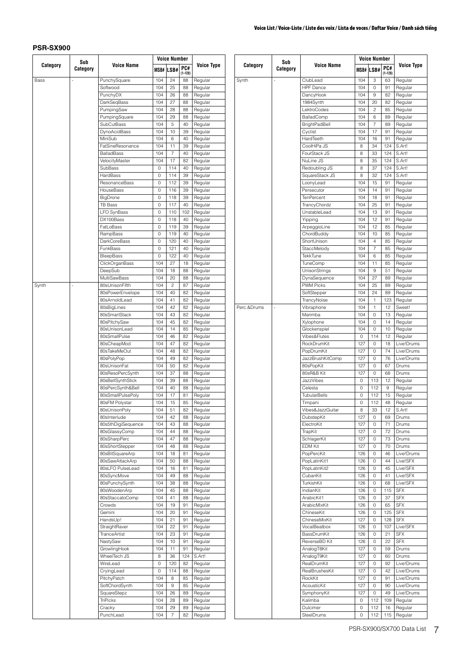|             | Sub<br>Category |                                |            | <b>Voice Number</b> |                    |                    |
|-------------|-----------------|--------------------------------|------------|---------------------|--------------------|--------------------|
| Category    |                 | <b>Voice Name</b>              |            | MSB# LSB#           | PC#<br>$(1 - 128)$ | <b>Voice Type</b>  |
| <b>Bass</b> | ä,              | PunchySquare                   | 104        | 24                  | 88                 | Regular            |
|             |                 | Softwood                       | 104        | 25                  | 88                 | Regular            |
|             |                 | PunchyDX                       | 104        | 26                  | 88                 | Regular            |
|             |                 | DarkSeqBass                    | 104        | 27                  | 88                 | Regular            |
|             |                 | PumpingSaw                     | 104        | 28                  | 88                 | Regular            |
|             |                 | PumpingSquare                  | 104        | 29                  | 88                 | Regular            |
|             |                 | SubCutBass<br>DynoAcidBass     | 104<br>104 | 5<br>10             | 40<br>39           | Regular<br>Regular |
|             |                 | MiniSub                        | 104        | 6                   | 40                 | Regular            |
|             |                 | FatSineResonance               | 104        | 11                  | 39                 | Regular            |
|             |                 | <b>BalladBass</b>              | 104        | 7                   | 40                 | Regular            |
|             |                 | VelocityMaster                 | 104        | 17                  | 82                 | Regular            |
|             |                 | SubBass                        | 0          | 114                 | 40                 | Regular            |
|             |                 | HardBass                       | 0          | 114                 | 39                 | Regular            |
|             |                 | ResonanceBass                  | 0          | 112                 | 39                 | Regular            |
|             |                 | HouseBass                      | 0          | 116                 | 39                 | Regular            |
|             |                 | BigDrone                       | 0          | 118                 | 39                 | Regular            |
|             |                 | TB Bass                        | 0          | 117                 | 40                 | Regular            |
|             |                 | <b>LFO SynBass</b>             | 0          | 110                 | 102                | Regular            |
|             |                 | DX100Bass                      | 0          | 118                 | 40                 | Regular            |
|             |                 | FatLoBass                      | 0          | 119                 | 39                 | Regular            |
|             |                 | RampBass                       | 0          | 119                 | 40                 | Regular            |
|             |                 | <b>DarkCoreBass</b>            | 0          | 120                 | 40                 | Regular            |
|             |                 | FunkBass                       | 0          | 121                 | 40                 | Regular            |
|             |                 | <b>BleepBass</b>               | 0          | 122                 | 40                 | Regular            |
|             |                 | ClickOrganBass                 | 104        | 27                  | 18                 | Regular            |
|             |                 | DeepSub                        | 104        | 18                  | 88                 | Regular            |
|             |                 | <b>MultiSawBass</b>            | 104        | 20                  | 88                 | Regular            |
| Synth       | ä,              | 80sUnisonFifth                 | 104        | 2                   | 87                 | Regular            |
|             |                 | 80sPowerEnvelope               | 104        | 40                  | 82                 | Regular            |
|             |                 | 80sArnoldLead                  | 104        | 41                  | 82                 | Regular            |
|             |                 | 80sBigLines                    | 104        | 42                  | 82                 | Regular            |
|             |                 | 80sSmartStack                  | 104        | 43                  | 82                 | Regular            |
|             |                 | 80sPitchySaw                   | 104        | 45                  | 82                 | Regular            |
|             |                 | 80sUnisonLead                  | 104        | 14                  | 85                 | Regular            |
|             |                 | 80sSmallPulse                  | 104        | 46                  | 82                 | Regular            |
|             |                 | 80sCheapMod                    | 104        | 47                  | 82                 | Regular            |
|             |                 | 80sTakeMeOut                   | 104        | 48                  | 82                 | Regular            |
|             |                 | 80sPolyPop                     | 104        | 49                  | 82                 | Regular            |
|             |                 | 80sUnisonFat                   | 104        | 50                  | 82                 | Regular            |
|             |                 | 80sResoPercSynth               | 104        | 37                  | 88                 | Regular            |
|             |                 | 80sBellSynthStick              | 104        | 39                  | 88                 | Regular            |
|             |                 | 80sPercSynth&Bell              | 104        | 40                  | 88                 | Regular            |
|             |                 | 80sSmallPulsePoly              | 104        | 17                  | 81                 | Regular            |
|             |                 | 80sFM Polystar                 | 104        | 15                  | 85                 | Regular            |
|             |                 | 80sUnisonPoly                  | 104        | 51                  | 82                 | Regular            |
|             |                 | 80sInterlude                   | 104        | 42                  | 88                 | Regular            |
|             |                 | 80s5thDigiSequence             | 104        | 43                  | 88                 | Regular            |
|             |                 | 80sGlassyComp                  | 104        | 44                  | 88                 | Regular            |
|             |                 | 80sSharpPerc                   | 104        | 47                  | 88                 | Regular            |
|             |                 | 80sShortStepper                | 104        | 48                  | 88                 | Regular            |
|             |                 | 80sBitSquareArp                | 104        | 18                  | 81                 | Regular            |
|             |                 | 80sSawAttackArp                | 104        | 50                  | 88                 | Regular            |
|             |                 | 80sLFO PulseLead               | 104        | 16                  | 81                 | Regular            |
|             |                 | 80sSyncMove                    | 104        | 49                  | 88                 | Regular            |
|             |                 | 80sPunchySynth                 | 104        | 38                  | 88                 | Regular            |
|             |                 | 80sWoodenArp                   | 104        | 45                  | 88                 | Regular            |
|             |                 | 80sStaccatoComp                | 104        | 41                  | 88                 | Regular            |
|             |                 | Crowds                         | 104        | 19                  | 91                 | Regular            |
|             |                 | Gemini                         | 104        | 20                  | 91                 | Regular            |
|             |                 | HandsUp!<br>StraightRaver      | 104<br>104 | 21<br>22            | 91<br>91           | Regular<br>Regular |
|             |                 | <b>TranceArtist</b>            | 104        | 23                  | 91                 | Regular            |
|             |                 | NastySaw                       | 104        | 10                  | 91                 | Regular            |
|             |                 | GrowlingHook                   | 104        | 11                  | 91                 | Regular            |
|             |                 | WheelTech JS                   | 8          | 36                  | 124                | S.Art!             |
|             |                 | WireLead                       | 0          |                     |                    |                    |
|             |                 |                                | 0          | 120<br>114          | 82                 | Regular            |
|             |                 | CryingLead                     | 104        |                     | 88                 | Regular            |
|             |                 | PitchyPatch<br>SoftChordSynth  | 104        | 8<br>9              | 85                 | Regular            |
|             |                 |                                | 104        |                     | 85                 | Regular            |
|             |                 | SquareStepz<br><b>TriPicks</b> |            | 26                  | 89<br>89           | Regular<br>Regular |
|             |                 |                                | 104<br>104 | 28<br>29            | 89                 |                    |
|             |                 | Cracky                         |            |                     |                    | Regular            |
|             |                 | PunchLead                      | 104        | $\overline{7}$      | 82                 | Regular            |

|             | Sub      |                                  |            | <b>Voice Number</b> |                    |                     |
|-------------|----------|----------------------------------|------------|---------------------|--------------------|---------------------|
| Category    | Category | <b>Voice Name</b>                |            | MSB# LSB#           | PC#<br>$(1 - 128)$ | <b>Voice Type</b>   |
| Synth       |          | ClubLead                         | 104        | 3                   | 63                 | Regular             |
|             |          | <b>HPF</b> Dance                 | 104        | 0                   | 91                 | Regular             |
|             |          | DancyHook                        | 104        | 9                   | 82                 | Regular             |
|             |          | 1984Synth                        | 104        | 20                  | 82                 | Regular             |
|             |          | LektroCodes                      | 104        | $\overline{c}$      | 85                 | Regular             |
|             |          | BalladComp                       | 104        | 6                   | 89                 | Regular             |
|             |          | <b>BrightPadBell</b>             | 104        | 7                   | 89                 | Regular             |
|             |          | Cyclist                          | 104        | 17                  | 91                 | Regular             |
|             |          | HardTeeth                        | 104        | 16                  | 91                 | Regular             |
|             |          | CoolHiPa JS                      | 8          | 34                  | 124                | S.Art!              |
|             |          | FourStack JS<br>NuLine JS        | 8<br>8     | 33<br>35            | 124<br>124         | S.Art!<br>S.Art!    |
|             |          | Redoubling JS                    | 8          | 37                  | 124                | S.Art!              |
|             |          | SquareStack JS                   | 8          | 32                  | 124                | S.Art!              |
|             |          | LoonyLead                        | 104        | 15                  | 91                 | Regular             |
|             |          | Persecutor                       | 104        | 14                  | 91                 | Regular             |
|             |          | <b>TenPercent</b>                | 104        | 18                  | 91                 | Regular             |
|             |          | TrancyChordz                     | 104        | 25                  | 91                 | Regular             |
|             |          | UnstableLead                     | 104        | 13                  | 91                 | Regular             |
|             |          | Yipping                          | 104        | 12                  | 91                 | Regular             |
|             |          | ArpeggioLine                     | 104        | 12                  | 85                 | Regular             |
|             |          | ChordBuddy                       | 104        | 10                  | 85                 | Regular             |
|             |          | ShortUnison                      | 104        | 4                   | 85                 | Regular             |
|             |          | StaccMelody                      | 104        | $\overline{7}$      | 85                 | Regular             |
|             |          | <b>TekkTune</b>                  | 104        | 6                   | 85                 | Regular             |
|             |          | TuneComp                         | 104        | 11                  | 85                 | Regular             |
|             |          | UnisonStrings                    | 104        | 9                   | 51                 | Regular             |
|             |          | DynaSequence<br><b>PWM Picks</b> | 104<br>104 | 27<br>25            | 89<br>89           | Regular<br>Regular  |
|             |          | SoftStepper                      | 104        | 24                  | 89                 | Regular             |
|             |          | TrancyNoise                      | 104        | 1                   | 123                | Regular             |
| Perc.&Drums | ÷,       | Vibraphone                       | 104        | 1                   | 12                 | Sweet!              |
|             |          | Marimba                          | 104        | 0                   | 13                 | Regular             |
|             |          | Xylophone                        | 104        | 0                   | 14                 | Regular             |
|             |          | Glockenspiel                     | 104        | 0                   | 10                 | Regular             |
|             |          | Vibes&Flutes                     | 0          | 114                 | 12                 | Regular             |
|             |          | RockDrumKit                      | 127        | 0                   | 18                 | Live!Drums          |
|             |          | PopDrumKit                       | 127        | 0                   | 74                 | Live!Drums          |
|             |          | JazzBrushKitComp                 | 127        | 0                   | 76                 | Live!Drums          |
|             |          | 80sPopKit                        | 127        | 0                   | 67                 | Drums               |
|             |          | 80sR&B Kit                       | 127        | 0                   | 68                 | Drums               |
|             |          | <b>JazzVibes</b>                 | 0          | 113                 | 12                 | Regular             |
|             |          | Celesta                          | 0          | 112                 | 9                  | Regular             |
|             |          | <b>TubularBells</b>              | 0          | 112                 | 15                 | Regular             |
|             |          | Timpani                          | 0          | 112                 | 48                 | Regular             |
|             |          | Vibes&JazzGuitar<br>DubstepKit   | 8          | 33                  | 12                 | S.Art!              |
|             |          |                                  | 127        | 0                   | 69                 | Drums               |
|             |          | ElectroKit<br>TrapKit            | 127<br>127 | 0<br>0              | 71<br>72           | Drums<br>Drums      |
|             |          | SchlagerKit                      | 127        | 0                   | 73                 | Drums               |
|             |          | <b>EDM Kit</b>                   | 127        | 0                   | 70                 | Drums               |
|             |          | PopPercKit                       | 126        | 0                   | 46                 | Live!Drums          |
|             |          | PopLatinKit1                     | 126        | 0                   | 44                 | Live!SFX            |
|             |          | PopLatinKit2                     | 126        | 0                   | 45                 | Live!SFX            |
|             |          | CubanKit                         | 126        | 0                   | 41                 | Live!SFX            |
|             |          | TurkishKit                       | 126        | 0                   | 68                 | Live!SFX            |
|             |          | IndianKit                        | 126        | 0                   | 115                | <b>SFX</b>          |
|             |          | ArabicKit1                       | 126        | 0                   | 37                 | <b>SFX</b>          |
|             |          | ArabicMixKit                     | 126        | 0                   | 65                 | <b>SFX</b>          |
|             |          | ChineseKit                       | 126        | 0                   | 125                | <b>SFX</b>          |
|             |          | ChineseMixKit                    | 127        | 0                   | 128                | <b>SFX</b>          |
|             |          | VocalBeatbox                     | 126        | 0                   | 107                | Live!SFX            |
|             |          | BassDrumKit                      | 126        | 0                   | 21                 | <b>SFX</b>          |
|             |          | ReverseBD Kit                    | 126        | 0                   | 22                 | <b>SFX</b>          |
|             |          | AnalogT8Kit                      | 127        | 0                   | 59                 | Drums               |
|             |          | AnalogT9Kit<br>RealDrumKit       | 127<br>127 | 0<br>0              | 60<br>92           | Drums<br>Live!Drums |
|             |          | RealBrushesKit                   | 127        | 0                   | 42                 | Live!Drums          |
|             |          | RockKit                          | 127        | 0                   | 91                 | Live!Drums          |
|             |          | AcousticKit                      | 127        | 0                   | 90                 | Live!Drums          |
|             |          | SymphonyKit                      | 127        | 0                   | 49                 | Live!Drums          |
|             |          | Kalimba                          | 0          | 112                 | 109                | Regular             |
|             |          | Dulcimer                         | 0          | 112                 | 16                 | Regular             |
|             |          | SteelDrums                       | 0          | 112                 | 115                | Regular             |
|             |          |                                  |            |                     |                    |                     |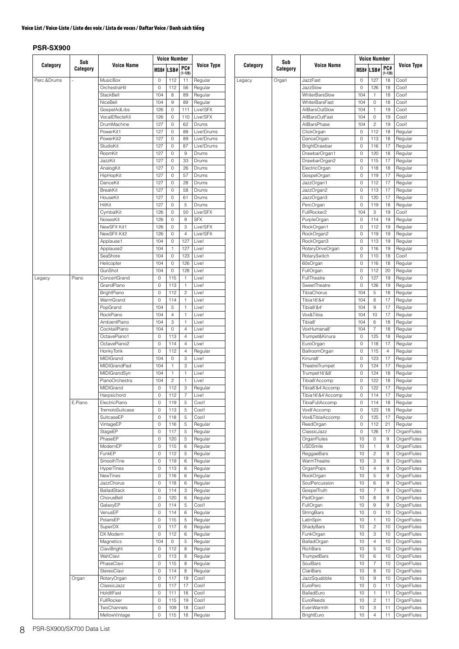Legacy

|             | Sub<br>Category |                                  |          | <b>Voice Number</b> |                |                    |
|-------------|-----------------|----------------------------------|----------|---------------------|----------------|--------------------|
| Category    |                 | <b>Voice Name</b>                |          | MSB# LSB#           | PC#            | <b>Voice Type</b>  |
|             |                 |                                  |          |                     | $(1 - 128)$    |                    |
| Perc.&Drums | i,              | MusicBox                         | 0        | 112<br>112          | 11             | Regular            |
|             |                 | OrchestraHit<br><b>StackBell</b> | 0<br>104 | 8                   | 56<br>89       | Regular<br>Regular |
|             |                 | NiceBell                         | 104      | 9                   | 89             | Regular            |
|             |                 | GospelAdLibs                     | 126      | 0                   | 111            | Live!SFX           |
|             |                 | VocalEffectsKit                  | 126      | 0                   | 110            | Live!SFX           |
|             |                 | DrumMachine                      | 127      | 0                   | 62             | Drums              |
|             |                 | PowerKit1                        | 127      | 0                   | 88             | Live!Drums         |
|             |                 | PowerKit2                        | 127      | 0                   | 89             | Live!Drums         |
|             |                 | StudioKit                        | 127      | 0                   | 87             | Live!Drums         |
|             |                 | RoomKit                          | 127      | 0                   | 9              | Drums              |
|             |                 | JazzKit                          | 127      | 0                   | 33             | Drums              |
|             |                 | AnalogKit                        | 127      | 0                   | 26             | Drums              |
|             |                 | HipHopKit                        | 127      | 0                   | 57             | Drums              |
|             |                 | DanceKit                         | 127      | 0                   | 28             | Drums              |
|             |                 | BreakKit                         | 127      | 0                   | 58             | Drums              |
|             |                 | HouseKit                         | 127      | 0                   | 61             | Drums              |
|             |                 | HitKit                           | 127      | 0                   | 5              | Drums              |
|             |                 | CymbalKit                        | 126      | 0                   | 50             | Live!SFX           |
|             |                 | NoisesKit                        | 126      | 0                   | 9              | <b>SFX</b>         |
|             |                 | NewSFX Kit1                      | 126      | 0                   | 3              | Live!SFX           |
|             |                 | NewSFX Kit2                      | 126      | 0                   | 4              | Live!SFX           |
|             |                 | Applause1                        | 104      | 0                   | 127            | Live!              |
|             |                 | Applause2                        | 104      | 1                   | 127            | Live!              |
|             |                 | SeaShore                         | 104      | 0                   | 123            | Live!              |
|             |                 | Helicopter                       | 104      | 0                   | 126            | Live!              |
|             |                 | GunShot                          | 104      | 0                   | 128            | Live!              |
| Legacy      | Piano           | ConcertGrand                     | 0        | 115                 | 1              | Live!              |
|             |                 | GrandPiano                       | 0        | 113                 | 1              | Live!              |
|             |                 | <b>BrightPiano</b><br>WarmGrand  | 0<br>0   | 112                 | 2              | Live!              |
|             |                 | PopGrand                         | 104      | 114<br>5            | 1<br>1         | Live!<br>Live!     |
|             |                 | RockPiano                        | 104      | $\overline{4}$      | 1              | Live!              |
|             |                 | <b>AmbientPiano</b>              | 104      | 3                   | 1              | Live!              |
|             |                 | CocktailPiano                    | 104      | 0                   | 4              | Live!              |
|             |                 | OctavePiano1                     | 0        | 113                 | 4              | Live!              |
|             |                 | OctavePiano2                     | 0        | 114                 | 4              | Live!              |
|             |                 | HonkyTonk                        | 0        | 112                 | 4              | Regular            |
|             |                 | MIDIGrand                        | 104      | 0                   | 3              | Live!              |
|             |                 | <b>MIDIGrandPad</b>              | 104      | 1                   | 3              | Live!              |
|             |                 | MIDIGrandSyn                     | 104      | 1                   | 1              | Live!              |
|             |                 | PianoOrchestra                   | 104      | 2                   | 1              | Live!              |
|             |                 | MIDIGrand                        | 0        | 112                 | 3              | Regular            |
|             |                 | Harpsichord                      | 0        | 112                 | $\overline{7}$ | Live!              |
|             | E.Piano         | ElectricPiano                    | 0        | 119                 | 5              | Cool!              |
|             |                 | TremoloSuitcase                  | 0        | 113                 | 5              | Cool!              |
|             |                 | SuitcaseEP                       | 0        | 118                 | 5              | Cool!              |
|             |                 | VintageEP                        | 0        | 116                 | 5              | Regular            |
|             |                 | StageEP                          | 0        | 117                 | 5              | Regular            |
|             |                 | PhaseEP                          | 0        | 120                 | 5              | Regular            |
|             |                 | ModernEP                         | 0        | 115                 | 6              | Regular            |
|             |                 | FunkEP                           | 0        | 112                 | 5              | Regular            |
|             |                 | SmoothTine                       | 0        | 119                 | 6              | Regular            |
|             |                 | <b>HyperTines</b>                | 0        | 113                 | 6              | Regular            |
|             |                 | NewTines                         | 0        | 116                 | 6              | Regular            |
|             |                 | JazzChorus                       | 0        | 118                 | 6              | Regular            |
|             |                 | <b>BalladStack</b>               | 0        | 114                 | 3              | Regular            |
|             |                 | ChorusBell                       | 0        | 120                 | 6              | Regular            |
|             |                 | GalaxyEP                         | 0        | 114                 | 5              | Cool!              |
|             |                 | VenusEP                          | 0        | 114                 | 6              | Regular            |
|             |                 | PolarisEP                        | 0        | 115                 | 5              | Regular            |
|             |                 | SuperDX                          | 0        | 117                 | 6              | Regular            |
|             |                 | DX Modern                        | 0        | 112                 | 6              | Regular            |
|             |                 | Magnetics                        | 104      | 0                   | 5              | Regular            |
|             |                 | ClaviBright                      | 0        | 112                 | 8              | Regular            |
|             |                 | WahClavi                         | 0        | 113                 | 8              | Regular            |
|             |                 | PhaseClavi                       | 0        | 115                 | 8              | Regular            |
|             |                 | StereoClavi                      | 0        | 114                 | 8              | Regular            |
|             | Organ           | RotaryOrgan                      | 0        | 117                 | 19             | Cool!              |
|             |                 | ClassicJazz                      | 0        | 117                 | 17             | Cool!              |
|             |                 | HoldItFast                       | 0        | 111                 | 18             | Cool!              |
|             |                 | FullRocker                       | 0        | 115                 | 19             | Cool!              |
|             |                 | TwoChannels                      | 0        | 109                 | 18             | Cool!              |
|             |                 | MellowVintage                    | 0        | 115                 | 18             | Regular            |

|          | Sub      | <b>Voice Number</b>              |               |            |                   |                            |         |
|----------|----------|----------------------------------|---------------|------------|-------------------|----------------------------|---------|
| Category | Category | Voice Name                       |               | MSB# LSB#  | PC#               | <b>Voice Type</b>          |         |
|          |          | <b>JazzFast</b>                  | 0             | 127        | $(1 - 128)$<br>18 | Cool!                      |         |
| gacy     | Organ    | JazzSlow                         | 0             | 126        | 18                | Cool!                      |         |
|          |          | <b>WhiterBarsSlow</b>            | 104           | 1          | 18                | Cool!                      |         |
|          |          | <b>WhiterBarsFast</b>            | 104           | 0          | 18                | Cool!                      |         |
|          |          | AllBarsOutSlow                   | 104           | 1          | 19                | Cool!                      |         |
|          |          | AllBarsOutFast                   | 104           | 0          | 19                | Cool!                      |         |
|          |          | AllBarsPhase                     | 104           | 2          | 19                | Cool!                      |         |
|          |          | ClickOrgan                       | 0             | 112        | 18                | Regular                    |         |
|          |          | DanceOrgan                       | 0             | 113        | 18                | Regular                    |         |
|          |          | BrightDrawbar                    | 0             | 116        | 17                | Regular                    |         |
|          |          |                                  | DrawbarOrgan1 | 0<br>0     | 120<br>115        | 18<br>17                   | Regular |
|          |          | DrawbarOrgan2<br>ElectricOrgan   | 0             | 118        | 18                | Regular<br>Regular         |         |
|          |          | GospelOrgan                      | 0             | 119        | 17                | Regular                    |         |
|          |          | JazzOrgan1                       | 0             | 112        | 17                | Regular                    |         |
|          |          | JazzOrgan2                       | 0             | 113        | 17                | Regular                    |         |
|          |          | JazzOrgan3                       | 0             | 120        | 17                | Regular                    |         |
|          |          | PercOrgan                        | 0             | 119        | 18                | Regular                    |         |
|          |          | FullRocker2                      | 104           | 3          | 19                | Cool!                      |         |
|          |          | PurpleOrgan                      | 0             | 114        | 19                | Regular                    |         |
|          |          | RockOrgan1                       | 0             | 112        | 19                | Regular                    |         |
|          |          | RockOrgan2                       | 0             | 119        | 19                | Regular                    |         |
|          |          | RockOrgan3                       | 0             | 113        | 19                | Regular                    |         |
|          |          | RotaryDriveOrgan                 | 0             | 116        | 19                | Regular                    |         |
|          |          | RotarySwitch<br>60sOrgan         | 0<br>0        | 110<br>116 | 18<br>18          | Cool!<br>Regular           |         |
|          |          | FullOrgan                        | 0             | 112        | 20                | Regular                    |         |
|          |          | FullTheatre                      | 0             | 127        | 19                | Regular                    |         |
|          |          | SweetTheatre                     | 0             | 126        | 19                | Regular                    |         |
|          |          | TibiaChorus                      | 104           | 5          | 18                | Regular                    |         |
|          |          | Tibia16'&4'                      | 104           | 8          | 17                | Regular                    |         |
|          |          | Tibia8'&4'                       | 104           | 9          | 17                | Regular                    |         |
|          |          | Vox&Tibia                        | 104           | 10         | 17                | Regular                    |         |
|          |          | Tibia8'                          | 104           | 6          | 18                | Regular                    |         |
|          |          | VoxHumana8'                      | 104           | 7          | 18                | Regular                    |         |
|          |          | Trumpet&Kinura                   | 0             | 125        | 18                | Regular                    |         |
|          |          | EuroOrgan                        | 0<br>0        | 118        | 17<br>4           | Regular                    |         |
|          |          | <b>BallroomOrgan</b><br>Kinura8' | 0             | 115<br>123 | 17                | Regular<br>Regular         |         |
|          |          | TheatreTrumpet                   | 0             | 124        | 17                | Regular                    |         |
|          |          | Trumpet16'&8'                    | 0             | 124        | 18                | Regular                    |         |
|          |          | Tibia8'Accomp                    | 0             | 122        | 18                | Regular                    |         |
|          |          | Tibia8'&4'Accomp                 | 0             | 122        | 17                | Regular                    |         |
|          |          | Tibia16'&4'Accomp                | 0             | 114        | 17                | Regular                    |         |
|          |          | I ibial-ullAccomp                | U             | 114        | 18                | Regular                    |         |
|          |          | Vox8'Accomp                      | 0             | 123        | 18                | Regular                    |         |
|          |          | Vox&TibiaAccomp                  | 0             | 125        | 17                | Regular                    |         |
|          |          | ReedOrgan                        | 0             | 112        | 21                | Regular                    |         |
|          |          | ClassicJazz                      | 0             | 126        | 17                | OrganFlutes                |         |
|          |          | OrganFlutes<br><b>USDSmile</b>   | 10<br>10      | 0<br>1     | 9<br>9            | OrganFlutes<br>OrganFlutes |         |
|          |          | ReggaeBars                       | 10            | 2          | 9                 | OrganFlutes                |         |
|          |          | WarmTheatre                      | 10            | 3          | 9                 | OrganFlutes                |         |
|          |          | OrganPops                        | 10            | 4          | 9                 | OrganFlutes                |         |
|          |          | RockOrgan                        | 10            | 5          | 9                 | OrganFlutes                |         |
|          |          | SoulPercussion                   | 10            | 6          | 9                 | OrganFlutes                |         |
|          |          | GospelTruth                      | 10            | 7          | 9                 | OrganFlutes                |         |
|          |          | PadOrgan                         | 10            | 8          | 9                 | OrganFlutes                |         |
|          |          | FullOrgan                        | 10            | 9          | 9                 | OrganFlutes                |         |
|          |          | StringBars                       | 10            | 0          | 10                | OrganFlutes                |         |
|          |          | LatinSpin                        | 10            | 1          | 10                | OrganFlutes                |         |
|          |          | ShadyBars                        | 10            | 2          | 10                | OrganFlutes                |         |
|          |          | FunkOrgan<br>BalladOrgan         | 10<br>10      | 3<br>4     | 10<br>10          | OrganFlutes<br>OrganFlutes |         |
|          |          | RichBars                         | 10            | 5          | 10                | OrganFlutes                |         |
|          |          | TrumpetBars                      | 10            | 6          | 10                | OrganFlutes                |         |
|          |          | SoulBars                         | 10            | 7          | 10                | OrganFlutes                |         |
|          |          | ClariBars                        | 10            | 8          | 10                | OrganFlutes                |         |
|          |          | JazzSquabble                     | 10            | 9          | 10                | OrganFlutes                |         |
|          |          | EuroPerc                         | 10            | 0          | 11                | OrganFlutes                |         |
|          |          | BalladEuro                       | 10            | 1          | 11                | OrganFlutes                |         |
|          |          | EuroReeds                        | 10            | 2          | 11                | OrganFlutes                |         |
|          |          | EvenWarmth                       | 10            | 3          | 11                | OrganFlutes                |         |
|          |          | BrightEuro                       | 10            | 4          | 11                | OrganFlutes                |         |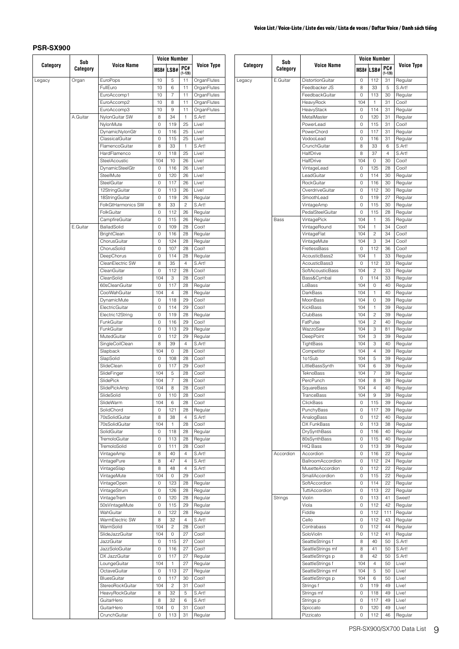|          | Sub      |                                |         | <b>Voice Number</b>     |                    |                   |  |
|----------|----------|--------------------------------|---------|-------------------------|--------------------|-------------------|--|
| Category | Category | <b>Voice Name</b>              |         | <b>MSB# LSB#</b>        | PC#<br>$(1 - 128)$ | <b>Voice Type</b> |  |
| Legacy   | Organ    | EuroPops                       | 10      | 5                       | 11                 | OrganFlutes       |  |
|          |          | FullEuro                       | 10      | 6                       | 11                 | OrganFlutes       |  |
|          |          | EuroAccomp1                    | 10      | $\overline{7}$          | 11                 | OrganFlutes       |  |
|          |          | EuroAccomp2                    | 10      | 8                       | 11                 | OrganFlutes       |  |
|          |          | EuroAccomp3                    | 10      | 9                       | 11                 | OrganFlutes       |  |
|          | A.Guitar | NylonGuitar SW                 | 8       | 34                      | 1                  | S.Art!            |  |
|          |          | NylonMute                      | 0       | 119                     | 25                 | Live!             |  |
|          |          | DynamicNylonGtr                | 0       | 116                     | 25                 | Live!             |  |
|          |          | ClassicalGuitar                | 0       | 115                     | 25                 | Live!             |  |
|          |          | FlamencoGuitar                 | 8       | 33                      | $\mathbf{1}$       | S.Art!            |  |
|          |          | HardFlamenco                   | 0       | 118                     | 25                 | Live!             |  |
|          |          | SteelAcoustic                  | 104     | 10                      | 26                 | Live!             |  |
|          |          | DynamicSteelGtr                | 0       | 116                     | 26                 | Live!             |  |
|          |          | SteelMute                      | 0       | 120                     | 26                 | Live!             |  |
|          |          | SteelGuitar                    | 0       | 117                     | 26                 | Live!             |  |
|          |          | 12StringGuitar                 | 0       | 113                     | 26                 | Live!             |  |
|          |          | 18StringGuitar                 | 0       | 119                     | 26                 | Regular           |  |
|          |          | FolkGtHarmonics SW             | 8       | 33                      | $\overline{c}$     | S.Art!            |  |
|          |          | FolkGuitar                     | 0       | 112                     | 26                 | Regular           |  |
|          |          | CampfireGuitar                 | 0       | 115                     | 26                 | Regular           |  |
|          | E.Guitar | BalladSolid                    | 0       | 109                     | 28                 | Cool!             |  |
|          |          | <b>BrightClean</b>             | 0       | 116                     | 28                 | Regular           |  |
|          |          | ChorusGuitar                   | 0       | 124                     | 28                 | Regular           |  |
|          |          | ChorusSolid                    | 0       | 107                     | 28                 | Cool!             |  |
|          |          | DeepChorus                     | 0       | 114                     | 28                 | Regular           |  |
|          |          | CleanElectric SW               | 8       | 35                      | $\overline{4}$     | S.Art!            |  |
|          |          | CleanGuitar                    | $\circ$ | 112                     | 28                 | Cool!             |  |
|          |          | CleanSolid                     | 104     | 3                       | 28                 | Cool!             |  |
|          |          | 60sCleanGuitar                 | 0       | 117                     | 28                 | Regular           |  |
|          |          | CoolWahGuitar                  | 104     | $\overline{4}$          | 28                 | Regular           |  |
|          |          | DynamicMute                    | 0       | 118                     | 29                 | Cool!             |  |
|          |          | ElectricGuitar                 | 0       | 114                     | 29                 | Cool!             |  |
|          |          |                                |         |                         |                    |                   |  |
|          |          | Electric12String<br>FunkGuitar | 0<br>0  | 119<br>116              | 28<br>29           | Regular<br>Cool!  |  |
|          |          | FunkGuitar                     | 0       | 113                     | 29                 |                   |  |
|          |          |                                |         |                         | 29                 | Regular           |  |
|          |          | MutedGuitar                    | 0       | 112                     | $\overline{4}$     | Regular<br>S.Art! |  |
|          |          | SingleCoilClean                | 8       | 39                      |                    |                   |  |
|          |          | Slapback                       | 104     | 0                       | 28                 | Cool!             |  |
|          |          | SlapSolid                      | 0       | 108                     | 28                 | Cool!             |  |
|          |          | SlideClean                     | 0       | 117                     | 29                 | Cool!             |  |
|          |          | SlideFinger                    | 104     | 5                       | 28                 | Cool!             |  |
|          |          | SlidePick                      | 104     | $\overline{7}$          | 28                 | Cool!             |  |
|          |          | SlidePickAmp                   | 104     | 8                       | 28                 | Cool!             |  |
|          |          | SlideSolid                     | 0       | 110                     | 28                 | Cool!             |  |
|          |          | SlideWarm                      | 104     | 6                       | 28                 | Cool!             |  |
|          |          | SolidChord                     | 0       | 121                     | 28                 | Regular           |  |
|          |          | 70sSolidGuitar                 | 8       | 38                      | $\overline{4}$     | S.Art!            |  |
|          |          | 70sSolidGuitar                 | 104     | 1                       | 28                 | Cool!             |  |
|          |          | SolidGuitar                    | 0       | 118                     | 28                 | Regular           |  |
|          |          | TremoloGuitar                  | 0       | 113                     | 28                 | Regular           |  |
|          |          | TremoloSolid                   | 0       | 111                     | 28                 | Cool!             |  |
|          |          | VintageAmp                     | 8       | 40                      | 4                  | S.Art!            |  |
|          |          | VintagePure                    | 8       | 47                      | 4                  | S.Art!            |  |
|          |          | VintageSlap                    | 8       | 48                      | 4                  | S.Art!            |  |
|          |          | VintageMute                    | 104     | 0                       | 29                 | Cool!             |  |
|          |          | VintageOpen                    | 0       | 123                     | 28                 | Regular           |  |
|          |          | VintageStrum                   | 0       | 126                     | 28                 | Regular           |  |
|          |          | VintageTrem                    | 0       | 120                     | 28                 | Regular           |  |
|          |          | 50sVintageMute                 | 0       | 115                     | 29                 | Regular           |  |
|          |          | WahGuitar                      | 0       | 122                     | 28                 | Regular           |  |
|          |          | WarmElectric SW                | 8       | 32                      | $\overline{4}$     | S.Art!            |  |
|          |          | WarmSolid                      | 104     | $\overline{c}$          | 28                 | Cool!             |  |
|          |          | SlideJazzGuitar                | 104     | 0                       | 27                 | Cool!             |  |
|          |          | JazzGuitar                     | 0       | 115                     | 27                 | Cool!             |  |
|          |          | JazzSoloGuitar                 | 0       | 116                     | 27                 | Cool!             |  |
|          |          | DX JazzGuitar                  | 0       | 117                     | 27                 | Regular           |  |
|          |          | LoungeGuitar                   | 104     | 1                       | 27                 | Regular           |  |
|          |          | OctaveGuitar                   | 0       | 113                     | 27                 | Regular           |  |
|          |          | <b>BluesGuitar</b>             | 0       | 117                     | 30                 | Cool!             |  |
|          |          | StereoRockGuitar               | 104     | $\overline{\mathbf{c}}$ | 31                 | Cool!             |  |
|          |          | HeavyRockGuitar                | 8       | 32                      | 5                  | S.Art!            |  |
|          |          | GuitarHero                     | 8       | 32                      | 6                  | S.Art!            |  |
|          |          | GuitarHero                     | 104     | 0                       | 31                 | Cool!             |  |
|          |          | CrunchGuitar                   | 0       | 113                     | 31                 | Regular           |  |
|          |          |                                |         |                         |                    |                   |  |

|          | Sub       |                       |     | <b>Voice Number</b> |                    |                   |  |  |
|----------|-----------|-----------------------|-----|---------------------|--------------------|-------------------|--|--|
| Category | Category  | <b>Voice Name</b>     |     | MSB# LSB#           | PC#<br>$(1 - 128)$ | <b>Voice Type</b> |  |  |
| Legacy   | E.Guitar  | DistortionGuitar      | 0   | 112                 | 31                 | Regular           |  |  |
|          |           | Feedbacker JS         | 8   | 33                  | 5                  | S.Art!            |  |  |
|          |           | FeedbackGuitar        | 0   | 113                 | 30                 | Regular           |  |  |
|          |           | HeavyRock             | 104 | 1                   | 31                 | Cool!             |  |  |
|          |           | HeavyStack            | 0   | 114                 | 31                 | Regular           |  |  |
|          |           | MetalMaster           | 0   | 120                 | 31                 | Regular           |  |  |
|          |           | PowerLead             | 0   | 115                 | 31                 | Cool!             |  |  |
|          |           | PowerChord            | 0   | 117                 | 31                 | Regular           |  |  |
|          |           | VodooLead             | 0   | 116                 | 31                 | Regular           |  |  |
|          |           | CrunchGuitar          | 8   | 33                  | 6                  | S.Art!            |  |  |
|          |           | HalfDrive             | 8   | 37                  | 4                  | S.Art!            |  |  |
|          |           | HalfDrive             | 104 | 0                   | 30                 | Cool!             |  |  |
|          |           | VintageLead           | 0   | 125                 | 28                 | Cool!             |  |  |
|          |           | LeadGuitar            | 0   | 114                 | 30                 | Regular           |  |  |
|          |           | RockGuitar            | 0   | 116                 | 30                 | Regular           |  |  |
|          |           | OverdriveGuitar       | 0   | 112                 | 30                 | Regular           |  |  |
|          |           | SmoothLead            | 0   | 119                 | 27                 | Regular           |  |  |
|          |           | VintageAmp            | 0   | 115                 | 30                 | Regular           |  |  |
|          |           | PedalSteelGuitar      | 0   | 115                 | 28                 | Regular           |  |  |
|          | Bass      | VintagePick           | 104 | 1                   | 35                 | Regular           |  |  |
|          |           | VintageRound          | 104 | 1                   | 34                 | Cool!             |  |  |
|          |           | VintageFlat           | 104 | 2                   | 34                 | Cool!             |  |  |
|          |           | VintageMute           | 104 | 3                   | 34                 | Cool!             |  |  |
|          |           | FretlessBass          | 0   | 112                 | 36                 | Cool!             |  |  |
|          |           | AcousticBass2         | 104 | 1                   | 33                 | Regular           |  |  |
|          |           | AcousticBass3         | 0   | 112                 | 33                 | Regular           |  |  |
|          |           | SoftAcousticBass      | 104 | 2                   | 33                 | Regular           |  |  |
|          |           | Bass&Cymbal           | 0   | 114                 | 33                 | Regular           |  |  |
|          |           | LoBass                | 104 | 0                   | 40                 | Regular           |  |  |
|          |           | DarkBass              | 104 | 1                   | 40                 | Regular           |  |  |
|          |           | MoonBass              | 104 | 0                   | 39                 | Regular           |  |  |
|          |           | KickBass              | 104 | 1                   | 39                 | Regular           |  |  |
|          |           | ClubBass              | 104 | 2                   | 39                 | Regular           |  |  |
|          |           | FatPulse              | 104 | 2                   | 40                 | Regular           |  |  |
|          |           | WazzoSaw              | 104 | 3                   | 81                 | Regular           |  |  |
|          |           | DeepPoint             | 104 | 3                   | 39                 | Regular           |  |  |
|          |           | TightBass             | 104 | 3                   | 40                 | Regular           |  |  |
|          |           | Competitor            | 104 | 4                   | 39                 | Regular           |  |  |
|          |           | 1o1Sub                | 104 | 5                   | 39                 | Regular           |  |  |
|          |           | LittleBassSynth       | 104 | 6                   | 39                 | Regular           |  |  |
|          |           | TeknoBass             | 104 | 7                   | 39                 | Regular           |  |  |
|          |           | PercPunch             | 104 | 8                   | 39                 | Regular           |  |  |
|          |           | SquareBass            | 104 | $\overline{4}$      | 40                 | Regular           |  |  |
|          |           | TranceBass            | 104 | 9                   | 39                 | Regular           |  |  |
|          |           | ClickBass             | 0   | 115                 | 39                 | Regular           |  |  |
|          |           | PunchyBass            | 0   | 117                 | 39                 | Regular           |  |  |
|          |           | AnalogBass            | 0   | 112                 | 40                 | Regular           |  |  |
|          |           | DX FunkBass           | 0   | 113                 | 38                 | Regular           |  |  |
|          |           | DrySynthBass          | 0   | 116                 | 40                 | Regular           |  |  |
|          |           | 80sSynthBass          | 0   | 115                 | 40                 | Regular           |  |  |
|          |           | HiQ Bass              | 0   | 113                 | 39                 | Regular           |  |  |
|          | Accordion | Accordion             | 0   | 116                 | 22                 | Regular           |  |  |
|          |           | BallroomAccordion     | 0   | 112                 | 24                 | Regular           |  |  |
|          |           | MusetteAccordion      | 0   | 112                 | 22                 | Regular           |  |  |
|          |           | SmallAccordion        | 0   | 115                 | 22                 | Regular           |  |  |
|          |           | SoftAccordion         | 0   | 114                 | 22                 | Regular           |  |  |
|          |           | <b>TuttiAccordion</b> | 0   | 113                 | 22                 | Regular           |  |  |
|          | Strings   | Violin                | 0   | 113                 | 41                 | Sweet!            |  |  |
|          |           | Viola                 | 0   | 112                 | 42                 | Regular           |  |  |
|          |           | Fiddle                | 0   | 112                 | 111                | Regular           |  |  |
|          |           | Cello                 | 0   | 112                 | 43                 | Regular           |  |  |
|          |           | Contrabass            | 0   | 112                 | 44                 | Regular           |  |  |
|          |           | SoloViolin            | 0   | 112                 | 41                 | Regular           |  |  |
|          |           | SeattleStrings f      | 8   | 40                  | 50                 | S.Art!            |  |  |
|          |           | SeattleStrings mf     | 8   | 41                  | 50                 | S.Art!            |  |  |
|          |           | SeattleStrings p      | 8   | 42                  | 50                 | S.Art!            |  |  |
|          |           | SeattleStrings f      | 104 | 4                   | 50                 | Live!             |  |  |
|          |           | SeattleStrings mf     | 104 | 5                   | 50                 | Live!             |  |  |
|          |           | SeattleStrings p      | 104 | 6                   | 50                 | Live!             |  |  |
|          |           | Strings f             | 0   | 119                 | 49                 | Live!             |  |  |
|          |           | Strings mf            | 0   | 118                 | 49                 | Live!             |  |  |
|          |           | Strings p             | 0   | 117                 | 49                 | Live!             |  |  |
|          |           | Spiccato              | 0   | 120                 | 49                 | Live!             |  |  |
|          |           | Pizzicato             | 0   | 112                 | 46                 | Regular           |  |  |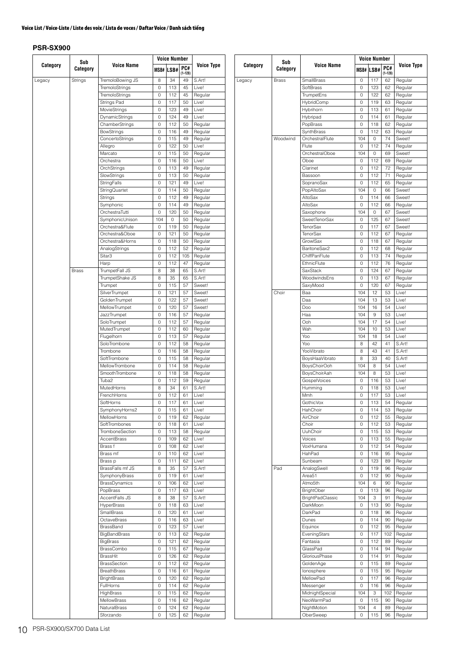|          |                 |                      |     | Voice Number |                   |                   |
|----------|-----------------|----------------------|-----|--------------|-------------------|-------------------|
| Category | Sub<br>Category | <b>Voice Name</b>    |     | MSB# LSB#    | PC#               | Voice Type        |
| Legacy   | Strings         | TremoloBowing JS     | 8   | 34           | $(1 - 128)$<br>49 | S.Art!            |
|          |                 | TremoloStrings       | 0   | 113          | 45                | Live!             |
|          |                 | TremoloStrings       | 0   | 112          | 45                | Regular           |
|          |                 | Strings Pad          | 0   | 117          | 50                | Live!             |
|          |                 | MovieStrings         | 0   | 123          | 49                | Live!             |
|          |                 | DynamicStrings       | 0   | 124          | 49                | Live!             |
|          |                 | ChamberStrings       | 0   | 112          | 50                | Regular           |
|          |                 | <b>BowStrings</b>    | 0   | 116          | 49                |                   |
|          |                 |                      | 0   | 115          | 49                | Regular           |
|          |                 | ConcertoStrings      |     |              |                   | Regular           |
|          |                 | Allegro              | 0   | 122          | 50                | Live!             |
|          |                 | Marcato              | 0   | 115          | 50                | Regular           |
|          |                 | Orchestra            | 0   | 116          | 50                | Live!             |
|          |                 | OrchStrings          | 0   | 113          | 49                | Regular           |
|          |                 | SlowStrings          | 0   | 113          | 50                | Regular           |
|          |                 | StringFalls          | 0   | 121          | 49                | Live!             |
|          |                 | StringQuartet        | 0   | 114          | 50                | Regular           |
|          |                 | Strings              | 0   | 112          | 49                | Regular           |
|          |                 | Symphonic            | 0   | 114          | 49                | Regular           |
|          |                 | OrchestraTutti       | 0   | 120          | 50                | Regular           |
|          |                 | SymphonicUnison      | 104 | 0            | 50                | Regular           |
|          |                 | Orchestra&Flute      | 0   | 119          | 50                | Regular           |
|          |                 | Orchestra&Oboe       | 0   | 121          | 50                | Regular           |
|          |                 | Orchestra&Horns      | 0   | 118          | 50                | Regular           |
|          |                 | AnalogStrings        | 0   | 112          | 52                | Regular           |
|          |                 | Sitar3               | 0   | 112          | 105               | Regular           |
|          |                 | Harp                 | 0   | 112          | 47                | Regular           |
|          | <b>Brass</b>    | TrumpetFall JS       | 8   | 38           | 65                | S.Art!            |
|          |                 | TrumpetShake JS      | 8   | 35           | 65                | S.Art!            |
|          |                 | Trumpet              | 0   | 115          | 57                | Sweet!            |
|          |                 | SilverTrumpet        | 0   | 121          | 57                | Sweet!            |
|          |                 | GoldenTrumpet        | 0   | 122          | 57                | Sweet!            |
|          |                 | MellowTrumpet        | 0   | 120          | 57                | Sweet!            |
|          |                 | JazzTrumpet          | 0   | 116          | 57                | Regular           |
|          |                 | SoloTrumpet          | 0   | 112          | 57                | Regular           |
|          |                 | MutedTrumpet         | 0   | 112          | 60                | Regular           |
|          |                 | Flugelhorn           | 0   | 113          | 57                | Regular           |
|          |                 | SoloTrombone         | 0   | 112          | 58                | Regular           |
|          |                 | Trombone             | 0   | 116          | 58                | Regular           |
|          |                 | SoftTrombone         | 0   | 115          | 58                | Regular           |
|          |                 | MellowTrombone       | 0   | 114          | 58                | Regular           |
|          |                 | SmoothTrombone       | 0   | 118          | 58                | Regular           |
|          |                 | Tuba2                | 0   | 112          | 59                |                   |
|          |                 | <b>MutedHorns</b>    |     |              |                   | Regular<br>S.Art! |
|          |                 |                      | 8   | 34<br>112    | 61                |                   |
|          |                 | FrenchHorns          | 0   |              | 61                | Live!             |
|          |                 | SoftHorns            | 0   | 117          | 61                | Live!             |
|          |                 | SymphonyHorns2       | 0   | 115          | 61                | Live!             |
|          |                 | MellowHorns          | 0   | 119          | 62                | Regular           |
|          |                 | SoftTrombones        | 0   | 118          | 61                | Live!             |
|          |                 | TromboneSection      | 0   | 113          | 58                | Regular           |
|          |                 | AccentBrass          | 0   | 109          | 62                | Live!             |
|          |                 | Brass f              | 0   | 108          | 62                | Live!             |
|          |                 | Brass mf             | 0   | 110          | 62                | Live!             |
|          |                 | Brass p              | 0   | 111          | 62                | Live!             |
|          |                 | BrassFalls mf JS     | 8   | 35           | 57                | S.Art!            |
|          |                 | SymphonyBrass        | 0   | 119          | 61                | Live!             |
|          |                 | <b>BrassDynamics</b> | 0   | 106          | 62                | Live!             |
|          |                 | PopBrass             | 0   | 117          | 63                | Live!             |
|          |                 | AccentFalls JS       | 8   | 38           | 57                | S.Art!            |
|          |                 | <b>HyperBrass</b>    | 0   | 118          | 63                | Live!             |
|          |                 | SmallBrass           | 0   | 120          | 61                | Live!             |
|          |                 | OctaveBrass          | 0   | 116          | 63                | Live!             |
|          |                 | BrassBand            | 0   | 123          | 57                | Live!             |
|          |                 | <b>BigBandBrass</b>  | 0   | 113          | 62                | Regular           |
|          |                 | <b>BigBrass</b>      | 0   | 121          | 62                | Regular           |
|          |                 | BrassCombo           | 0   | 115          | 67                | Regular           |
|          |                 | BrassHit             | 0   | 126          | 62                | Regular           |
|          |                 | <b>BrassSection</b>  | 0   | 112          | 62                | Regular           |
|          |                 | <b>BreathBrass</b>   | 0   | 116          | 61                |                   |
|          |                 | <b>BrightBrass</b>   | 0   | 120          | 62                | Regular           |
|          |                 |                      |     |              |                   | Regular           |
|          |                 | <b>FullHorns</b>     | 0   | 114          | 62                | Regular           |
|          |                 | HighBrass            | 0   | 115          | 62                | Regular           |
|          |                 | <b>MellowBrass</b>   | 0   | 116          | 62                | Regular           |
|          |                 | NaturalBrass         | 0   | 124          | 62                | Regular           |
|          |                 | Sforzando            | 0   | 125          | 62                | Regular           |

|          | Sub          |                               | <b>Voice Number</b> |            |             |                    |  |
|----------|--------------|-------------------------------|---------------------|------------|-------------|--------------------|--|
| Category | Category     | <b>Voice Name</b>             | MSB#                | LSB#       | PC#         | <b>Voice Type</b>  |  |
|          |              |                               |                     |            | $(1 - 128)$ |                    |  |
| Legacy   | <b>Brass</b> | <b>SmallBrass</b>             | 0                   | 117        | 62          | Regular            |  |
|          |              | SoftBrass                     | 0                   | 123        | 62          | Regular            |  |
|          |              | TrumpetEns                    | 0                   | 122        | 62          | Regular            |  |
|          |              | HybridComp                    | 0                   | 119        | 63          | Regular            |  |
|          |              | Hybrihorn                     | 0                   | 113        | 61          | Regular            |  |
|          |              | Hybripad                      | 0                   | 114        | 61          | Regular            |  |
|          |              | PopBrass                      | 0                   | 118        | 62          | Regular            |  |
|          | Woodwind     | SynthBrass<br>OrchestralFlute | 0<br>104            | 112        | 63<br>74    | Regular            |  |
|          |              | Flute                         |                     | 0<br>112   |             | Sweet!             |  |
|          |              | OrchestralOboe                | 0<br>104            | 0          | 74<br>69    | Regular            |  |
|          |              | Oboe                          | 0                   | 112        | 69          | Sweet!<br>Regular  |  |
|          |              | Clarinet                      | 0                   | 112        | 72          | Regular            |  |
|          |              | Bassoon                       | 0                   | 112        | 71          | Regular            |  |
|          |              | SopranoSax                    | 0                   | 112        | 65          | Regular            |  |
|          |              | PopAltoSax                    | 104                 | 0          | 66          | Sweet!             |  |
|          |              | AltoSax                       | 0                   | 114        | 66          | Sweet!             |  |
|          |              | AltoSax                       | 0                   | 112        | 66          | Regular            |  |
|          |              | Saxophone                     | 104                 | 0          | 67          | Sweet!             |  |
|          |              | SweetTenorSax                 | 0                   | 125        | 67          | Sweet!             |  |
|          |              | <b>TenorSax</b>               | 0                   | 117        | 67          | Sweet!             |  |
|          |              | <b>TenorSax</b>               | 0                   | 112        | 67          | Regular            |  |
|          |              | GrowlSax                      | 0                   | 118        | 67          | Regular            |  |
|          |              | BaritoneSax2                  | 0                   | 112        | 68          | Regular            |  |
|          |              | ChiffPanFlute                 | 0                   | 113        | 74          | Regular            |  |
|          |              | EthnicFlute                   | 0                   | 112        | 76          | Regular            |  |
|          |              | SaxStack                      | 0                   | 124        | 67          | Regular            |  |
|          |              | WoodwindsEns                  | 0                   | 113        | 67          | Regular            |  |
|          |              | SaxyMood                      | 0                   | 120        | 67          | Regular            |  |
|          | Choir        | Baa                           | 104                 | 12         | 53          | Live!              |  |
|          |              | Daa                           | 104                 | 13         | 53          | Live!              |  |
|          |              | Doo                           | 104                 | 16         | 54          | Live!              |  |
|          |              | Haa                           | 104                 | 9          | 53          | Live!              |  |
|          |              | Ooh                           | 104                 | 17         | 54          | Live!              |  |
|          |              | Wah                           | 104                 | 10         | 53          | Live!              |  |
|          |              | Yoo                           | 104                 | 18         | 54          | Live!              |  |
|          |              | Yoo                           | 8                   | 42         | 41          | S.Art!             |  |
|          |              | YooVibrato                    | 8                   | 43         | 41          | S.Art!             |  |
|          |              | BoysHaaVibrato                | 8                   | 33         | 40          | S.Art!             |  |
|          |              | BoysChoirOoh                  | 104                 | 8          | 54          | Live!              |  |
|          |              | BoysChoirAah                  | 104                 | 8          | 53          | Live!              |  |
|          |              | <b>GospelVoices</b>           | 0                   | 116        | 53          | Live!              |  |
|          |              | Humming                       | 0                   | 118        | 53          | Live!              |  |
|          |              | Mmh                           | 0                   | 117        | 53          | Live!              |  |
|          |              | <b>GothicVox</b>              | 0                   | 113        | 54          | Regular            |  |
|          |              | HahChoir                      | 0                   | 114        | 53          | Regular            |  |
|          |              | AirChoir                      | 0                   | 112        | 55          | Regular            |  |
|          |              | Choir                         | 0                   | 112        | 53          | Regular            |  |
|          |              | UuhChoir                      | 0                   | 115        | 53          | Regular            |  |
|          |              | Voices                        | 0                   | 113        | 55          | Regular            |  |
|          |              | VoxHumana                     | 0                   | 112        | 54          | Regular            |  |
|          |              | HahPad                        | 0                   | 116        | 95          | Regular            |  |
|          |              | Sunbeam                       | 0                   | 123        | 89          | Regular            |  |
|          | Pad          | AnalogSwell                   | 0                   | 119        | 96          | Regular            |  |
|          |              | Area <sub>51</sub>            | 0                   | 112        | 90          | Regular            |  |
|          |              | Atmo5th                       | 104                 | 6          | 90          | Regular            |  |
|          |              | <b>BrightOber</b>             | 0                   | 113        | 96          | Regular            |  |
|          |              | BrightPadClassic              | 104                 | З          | 91          | Regular            |  |
|          |              | DarkMoon                      | 0                   | 113        | 90          | Regular            |  |
|          |              | DarkPad                       | 0<br>0              | 118<br>114 | 96<br>90    | Regular            |  |
|          |              | Dunes                         |                     |            |             | Regular            |  |
|          |              | Equinox<br>EveningStars       | 0<br>0              | 112<br>117 | 95<br>102   | Regular<br>Regular |  |
|          |              | Fantasia                      | 0                   | 112        | 89          | Regular            |  |
|          |              | GlassPad                      | 0                   | 114        | 94          | Regular            |  |
|          |              | GloriousPhase                 | 0                   | 114        | 91          | Regular            |  |
|          |              | GoldenAge                     | 0                   | 115        | 89          | Regular            |  |
|          |              | lonosphere                    | 0                   | 115        | 95          | Regular            |  |
|          |              | MellowPad                     | 0                   | 117        | 96          | Regular            |  |
|          |              | Messenger                     | 0                   | 116        | 96          | Regular            |  |
|          |              | MidnightSpecial               | 104                 | 3          | 102         | Regular            |  |
|          |              | NeoWarmPad                    | 0                   | 115        | 90          | Regular            |  |
|          |              | NightMotion                   | 104                 | 4          | 89          | Regular            |  |
|          |              | OberSweep                     | 0                   | 115        | 96          | Regular            |  |
|          |              |                               |                     |            |             |                    |  |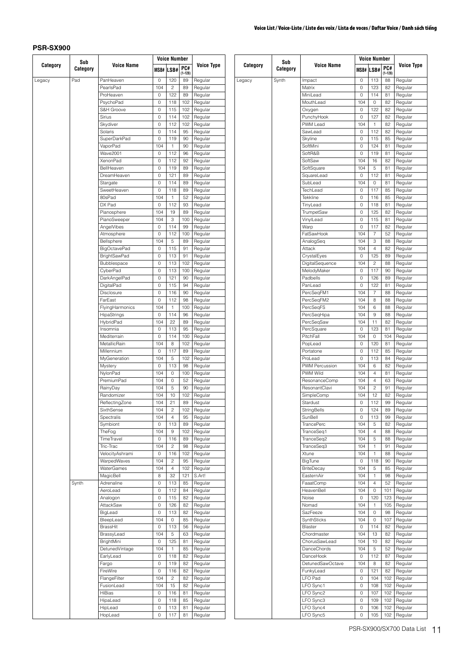Legacy

|          | Sub      |                     |      | <b>Voice Number</b>     |             |                   |  |  |
|----------|----------|---------------------|------|-------------------------|-------------|-------------------|--|--|
| Category | Category | <b>Voice Name</b>   | MSB# | LSB#                    | PC#         | <b>Voice Type</b> |  |  |
|          |          |                     |      |                         | $(1 - 128)$ |                   |  |  |
| Legacy   | Pad      | PanHeaven           | 0    | 120                     | 89          | Regular           |  |  |
|          |          | PearlsPad           | 104  | $\overline{c}$          | 89          | Regular           |  |  |
|          |          | ProHeaven           | 0    | 122                     | 89          | Regular           |  |  |
|          |          | PsychoPad           | 0    | 118                     | 102         | Regular           |  |  |
|          |          | S&H Groove          | 0    | 115                     | 102         | Regular           |  |  |
|          |          | Sirius              | 0    | 114                     | 102         | Regular           |  |  |
|          |          | Skydiver            | 0    | 112                     | 102         | Regular           |  |  |
|          |          | Solaris             | 0    | 114                     | 95          | Regular           |  |  |
|          |          | <b>SuperDarkPad</b> | 0    | 119                     | 90          | Regular           |  |  |
|          |          | VaporPad            | 104  | 1                       | 90          | Regular           |  |  |
|          |          | <b>Wave2001</b>     | 0    | 112                     | 96          | Regular           |  |  |
|          |          | <b>XenonPad</b>     | 0    | 112                     | 92          | Regular           |  |  |
|          |          |                     |      |                         |             |                   |  |  |
|          |          | BellHeaven          | 0    | 119                     | 89          | Regular           |  |  |
|          |          | DreamHeaven         | 0    | 121                     | 89          | Regular           |  |  |
|          |          | Stargate            | 0    | 114                     | 89          | Regular           |  |  |
|          |          | SweetHeaven         | 0    | 118                     | 89          | Regular           |  |  |
|          |          | 80sPad              | 104  | 1                       | 52          | Regular           |  |  |
|          |          | DX Pad              | 0    | 112                     | 93          | Regular           |  |  |
|          |          | Pianosphere         | 104  | 19                      | 89          | Regular           |  |  |
|          |          | PianoSweeper        | 104  | 3                       | 100         | Regular           |  |  |
|          |          | AngelVibes          | 0    | 114                     | 99          | Regular           |  |  |
|          |          | Atmosphere          | 0    | 112                     | 100         | Regular           |  |  |
|          |          | Bellsphere          | 104  | 5                       | 89          | Regular           |  |  |
|          |          | <b>BigOctavePad</b> | 0    | 115                     | 91          | Regular           |  |  |
|          |          | <b>BrightSawPad</b> | 0    | 113                     | 91          | Regular           |  |  |
|          |          |                     |      |                         |             |                   |  |  |
|          |          | Bubblespace         | 0    | 113                     | 102         | Regular           |  |  |
|          |          | CyberPad            | 0    | 113                     | 100         | Regular           |  |  |
|          |          | DarkAngelPad        | 0    | 121                     | 90          | Regular           |  |  |
|          |          | DigitalPad          | 0    | 115                     | 94          | Regular           |  |  |
|          |          | Disclosure          | 0    | 116                     | 90          | Regular           |  |  |
|          |          | FarEast             | 0    | 112                     | 98          | Regular           |  |  |
|          |          | FlyingHarmonics     | 104  | 1                       | 100         | Regular           |  |  |
|          |          | HipaStrings         | 0    | 114                     | 96          | Regular           |  |  |
|          |          | HybridPad           | 104  | 22                      | 89          | Regular           |  |  |
|          |          | Insomnia            | 0    | 113                     | 95          | Regular           |  |  |
|          |          | Mediterrain         | 0    | 114                     | 100         | Regular           |  |  |
|          |          | MetallicRain        | 104  | 8                       | 102         | Regular           |  |  |
|          |          | Millennium          | 0    | 117                     | 89          | Regular           |  |  |
|          |          |                     |      |                         |             |                   |  |  |
|          |          | MyGeneration        | 104  | 5                       | 102         | Regular           |  |  |
|          |          | Mystery             | 0    | 113                     | 98          | Regular           |  |  |
|          |          | NylonPad            | 104  | 0                       | 100         | Regular           |  |  |
|          |          | PremiumPad          | 104  | 0                       | 52          | Regular           |  |  |
|          |          | RainyDay            | 104  | 5                       | 90          | Regular           |  |  |
|          |          | Randomizer          | 104  | 10                      | 102         | Regular           |  |  |
|          |          | ReflectingZone      | 104  | 21                      | 89          | Regular           |  |  |
|          |          | SixthSense          | 104  | 2                       | 102         | Regular           |  |  |
|          |          | Spectralis          | 104  | 4                       | 95          | Regular           |  |  |
|          |          | Symbiont            | 0    | 113                     | 89          | Regular           |  |  |
|          |          | TheFog              | 104  | 9                       | 102         | Regular           |  |  |
|          |          | TimeTravel          | 0    | 116                     | 89          | Regular           |  |  |
|          |          | Tric-Trac           | 104  | 2                       | 98          | Regular           |  |  |
|          |          | VelocityAshrami     | 0    | 116                     | 102         | Regular           |  |  |
|          |          |                     |      |                         |             |                   |  |  |
|          |          | WarpedWaves         | 104  | $\overline{\mathbf{c}}$ | 95          | Regular           |  |  |
|          |          | <b>WaterGames</b>   | 104  | 4                       | 102         | Regular           |  |  |
|          |          | MagicBell           | 8    | 32                      | 121         | S.Art!            |  |  |
|          | Synth    | Adrenaline          | 0    | 113                     | 85          | Regular           |  |  |
|          |          | AeroLead            | 0    | 112                     | 84          | Regular           |  |  |
|          |          | Analogon            | 0    | 115                     | 82          | Regular           |  |  |
|          |          | AttackSaw           | 0    | 126                     | 82          | Regular           |  |  |
|          |          | BigLead             | 0    | 113                     | 82          | Regular           |  |  |
|          |          | BleepLead           | 104  | 0                       | 85          | Regular           |  |  |
|          |          | BrassHit            | 0    | 113                     | 56          | Regular           |  |  |
|          |          | BrassyLead          | 104  | 5                       | 63          | Regular           |  |  |
|          |          | BrightMini          | 0    | 125                     | 81          | Regular           |  |  |
|          |          |                     |      |                         |             |                   |  |  |
|          |          | DetunedVintage      | 104  | 1                       | 85          | Regular           |  |  |
|          |          | EarlyLead           | 0    | 118                     | 82          | Regular           |  |  |
|          |          | Fargo               | 0    | 119                     | 82          | Regular           |  |  |
|          |          | FireWire            | 0    | 116                     | 82          | Regular           |  |  |
|          |          | FlangeFilter        | 104  | $\overline{c}$          | 82          | Regular           |  |  |
|          |          | FusionLead          | 104  | 15                      | 82          | Regular           |  |  |
|          |          | HiBias              | 0    | 116                     | 81          | Regular           |  |  |
|          |          | HipaLead            | 0    | 118                     | 85          | Regular           |  |  |
|          |          | HipLead             | 0    | 113                     | 81          | Regular           |  |  |
|          |          | HopLead             |      | 117                     |             | Regular           |  |  |
|          |          |                     | 0    |                         | 81          |                   |  |  |

|          | Sub      |                                | <b>Voice Number</b> |                  |                   |                    |         |  |  |  |               |            |        |          |                    |
|----------|----------|--------------------------------|---------------------|------------------|-------------------|--------------------|---------|--|--|--|---------------|------------|--------|----------|--------------------|
| Category | Category | <b>Voice Name</b>              |                     | <b>MSB# LSB#</b> | PC#               | Voice Type         |         |  |  |  |               |            |        |          |                    |
| gacy     | Synth    | Impact                         | 0                   | 113              | $(1 - 128)$<br>88 | Regular            |         |  |  |  |               |            |        |          |                    |
|          |          | Matrix                         | 0                   | 123              | 82                | Regular            |         |  |  |  |               |            |        |          |                    |
|          |          | MiniLead                       | 0                   | 114              | 81                | Regular            |         |  |  |  |               |            |        |          |                    |
|          |          | MouthLead                      | 104                 | 0                | 82                | Regular            |         |  |  |  |               |            |        |          |                    |
|          |          | Oxygen                         | 0                   | 122              | 82                | Regular            |         |  |  |  |               |            |        |          |                    |
|          |          | PunchyHook                     | 0                   | 127              | 82                | Regular            |         |  |  |  |               |            |        |          |                    |
|          |          | PWM Lead                       | 104                 | 1                | 82                | Regular            |         |  |  |  |               |            |        |          |                    |
|          |          | SawLead                        | 0                   | 112              | 82                | Regular            |         |  |  |  |               |            |        |          |                    |
|          |          | Skyline                        | 0                   | 115              | 85                | Regular            |         |  |  |  |               |            |        |          |                    |
|          |          | SoftMini                       | 0                   | 124              | 81                | Regular            |         |  |  |  |               |            |        |          |                    |
|          |          | SoftR&B                        | 0                   | 119              | 81                | Regular            |         |  |  |  |               |            |        |          |                    |
|          |          | SoftSaw<br>SoftSquare          | 104<br>104          | 16<br>5          | 82<br>81          | Regular<br>Regular |         |  |  |  |               |            |        |          |                    |
|          |          | SquareLead                     | 0                   | 112              | 81                | Regular            |         |  |  |  |               |            |        |          |                    |
|          |          | SubLead                        | 104                 | 0                | 81                | Regular            |         |  |  |  |               |            |        |          |                    |
|          |          | TechLead                       | 0                   | 117              | 85                | Regular            |         |  |  |  |               |            |        |          |                    |
|          |          | Tekkline                       | 0                   | 116              | 85                | Regular            |         |  |  |  |               |            |        |          |                    |
|          |          | TinyLead                       | 0                   | 118              | 81                | Regular            |         |  |  |  |               |            |        |          |                    |
|          |          | TrumpetSaw                     | 0                   | 125              | 82                | Regular            |         |  |  |  |               |            |        |          |                    |
|          |          | VinylLead                      | 0                   | 115              | 81                | Regular            |         |  |  |  |               |            |        |          |                    |
|          |          | Warp                           | 0                   | 117              | 82                | Regular            |         |  |  |  |               |            |        |          |                    |
|          |          | FatSawHook                     | 104                 | 7                | 52                | Regular            |         |  |  |  |               |            |        |          |                    |
|          |          | AnalogSeq                      | 104                 | 3                | 88                | Regular            |         |  |  |  |               |            |        |          |                    |
|          |          | Attack                         | 104                 | 4                | 82                | Regular            |         |  |  |  |               |            |        |          |                    |
|          |          | CrystalEyes                    | 0                   | 125              | 89                | Regular            |         |  |  |  |               |            |        |          |                    |
|          |          | DigitalSequence<br>MelodyMaker | 104<br>0            | 2<br>117         | 88<br>90          | Regular            |         |  |  |  |               |            |        |          |                    |
|          |          | Padbells                       | 0                   | 126              | 89                | Regular<br>Regular |         |  |  |  |               |            |        |          |                    |
|          |          | PanLead                        | 0                   | 122              | 81                | Regular            |         |  |  |  |               |            |        |          |                    |
|          |          | PercSeqFM1                     | 104                 | 7                | 88                | Regular            |         |  |  |  |               |            |        |          |                    |
|          |          | PercSeqFM2                     | 104                 | 8                | 88                | Regular            |         |  |  |  |               |            |        |          |                    |
|          |          | PercSeqFS                      | 104                 | 6                | 88                | Regular            |         |  |  |  |               |            |        |          |                    |
|          |          | PercSeqHipa                    | 104                 | 9                | 88                | Regular            |         |  |  |  |               |            |        |          |                    |
|          |          | PercSeqSaw                     | 104                 | 11               | 82                | Regular            |         |  |  |  |               |            |        |          |                    |
|          |          | PercSquare                     | 0                   | 123              | 81                | Regular            |         |  |  |  |               |            |        |          |                    |
|          |          | PitchFall                      | 104                 | 0                | 104               | Regular            |         |  |  |  |               |            |        |          |                    |
|          |          | PopLead                        | 0                   | 120              | 81                | Regular            |         |  |  |  |               |            |        |          |                    |
|          |          | Portatone                      | 0                   | 112              | 85                | Regular            |         |  |  |  |               |            |        |          |                    |
|          |          | ProLead                        | 0                   | 113              | 84                | Regular            |         |  |  |  |               |            |        |          |                    |
|          |          | PWM Percussion<br>PWM Wild     | 104                 | 6                | 82                | Regular            |         |  |  |  |               |            |        |          |                    |
|          |          |                                |                     |                  |                   |                    |         |  |  |  | ResonanceComp | 104<br>104 | 4<br>4 | 81<br>63 | Regular<br>Regular |
|          |          | ResonantClavi                  | 104                 | 2                | 91                | Regular            |         |  |  |  |               |            |        |          |                    |
|          |          |                                | SimpleComp          | 104              | 12                | 82                 | Regular |  |  |  |               |            |        |          |                    |
|          |          | Stardust                       | U                   | 112              | 99                | Regular            |         |  |  |  |               |            |        |          |                    |
|          |          | StringBells                    | 0                   | 124              | 89                | Regular            |         |  |  |  |               |            |        |          |                    |
|          |          | SunBell                        | 0                   | 113              | 99                | Regular            |         |  |  |  |               |            |        |          |                    |
|          |          | TrancePerc                     | 104                 | 5                | 82                | Regular            |         |  |  |  |               |            |        |          |                    |
|          |          | TranceSeq1                     | 104                 | 4                | 88                | Regular            |         |  |  |  |               |            |        |          |                    |
|          |          | TranceSeq2                     | 104                 | 5                | 88                | Regular            |         |  |  |  |               |            |        |          |                    |
|          |          | TranceSeq3                     | 104                 | 1                | 91                | Regular            |         |  |  |  |               |            |        |          |                    |
|          |          | Xtune                          | 104                 | 1                | 88                | Regular            |         |  |  |  |               |            |        |          |                    |
|          |          | BigTune                        | 0                   | 118              | 90                | Regular            |         |  |  |  |               |            |        |          |                    |
|          |          | <b>BriteDecay</b>              | 104                 | 5                | 85                | Regular            |         |  |  |  |               |            |        |          |                    |
|          |          | EasternAir                     | 104<br>104          | 1<br>4           | 98                | Regular<br>Regular |         |  |  |  |               |            |        |          |                    |
|          |          | FaaatComp<br>HeavenBell        | 104                 | 0                | 52<br>101         | Regular            |         |  |  |  |               |            |        |          |                    |
|          |          | Noise                          | 0                   | 120              | 123               | Regular            |         |  |  |  |               |            |        |          |                    |
|          |          | Nomad                          | 104                 | 1                | 105               | Regular            |         |  |  |  |               |            |        |          |                    |
|          |          | SazFeeze                       | 104                 | 0                | 98                | Regular            |         |  |  |  |               |            |        |          |                    |
|          |          | SynthSticks                    | 104                 | 0                | 107               | Regular            |         |  |  |  |               |            |        |          |                    |
|          |          | Blaster                        | 0                   | 114              | 82                | Regular            |         |  |  |  |               |            |        |          |                    |
|          |          | Chordmaster                    | 104                 | 13               | 82                | Regular            |         |  |  |  |               |            |        |          |                    |
|          |          | ChorusSawLead                  | 104                 | 10               | 82                | Regular            |         |  |  |  |               |            |        |          |                    |
|          |          | DanceChords                    | 104                 | 5                | 52                | Regular            |         |  |  |  |               |            |        |          |                    |
|          |          | DanceHook                      | 0                   | 112              | 87                | Regular            |         |  |  |  |               |            |        |          |                    |
|          |          | DetunedSawOctave               | 104                 | 8                | 82                | Regular            |         |  |  |  |               |            |        |          |                    |
|          |          | FunkyLead                      | 0                   | 121              | 82                | Regular            |         |  |  |  |               |            |        |          |                    |
|          |          | LFO Pad                        | 0                   | 104              | 102               | Regular            |         |  |  |  |               |            |        |          |                    |
|          |          | LFO Sync1                      | 0                   | 108              | 102               | Regular            |         |  |  |  |               |            |        |          |                    |
|          |          | LFO Sync2<br>LFO Sync3         | 0<br>0              | 107<br>109       | 102<br>102        | Regular<br>Regular |         |  |  |  |               |            |        |          |                    |
|          |          | LFO Sync4                      | 0                   | 106              | 102               | Regular            |         |  |  |  |               |            |        |          |                    |
|          |          | LFO Sync5                      | 0                   | 105              | 102               | Regular            |         |  |  |  |               |            |        |          |                    |
|          |          |                                |                     |                  |                   |                    |         |  |  |  |               |            |        |          |                    |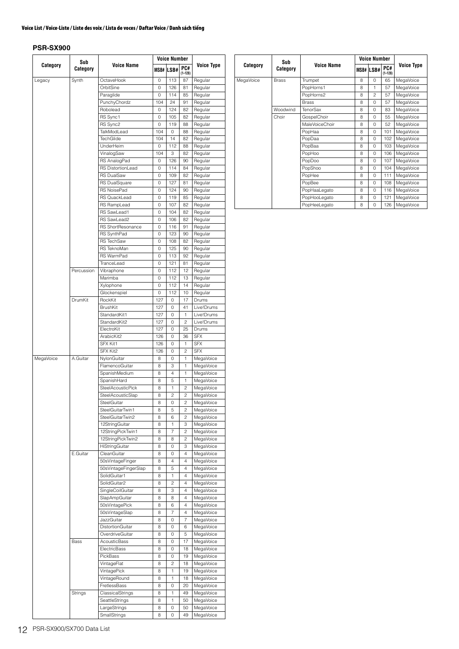|           | Sub        |                                        |              | <b>Voice Number</b> |                              |                        |  |  |
|-----------|------------|----------------------------------------|--------------|---------------------|------------------------------|------------------------|--|--|
| Category  | Category   | <b>Voice Name</b>                      |              | MSB# LSB#           | PC#<br>$(1 - 128)$           | <b>Voice Type</b>      |  |  |
| Legacy    | Synth      | OctaveHook                             | 0            | 113                 | 87                           | Regular                |  |  |
|           |            | OrbitSine                              | 0            | 126                 | 81                           | Regular                |  |  |
|           |            | Paraglide                              | 0            | 114                 | 85                           | Regular                |  |  |
|           |            | PunchyChordz                           | 104          | 24                  | 91                           | Regular                |  |  |
|           |            | Robolead                               | 0            | 124                 | 82                           | Regular                |  |  |
|           |            | RS Sync1<br>RS Sync2                   | 0<br>$\circ$ | 105<br>119          | 82<br>88                     | Regular<br>Regular     |  |  |
|           |            | TalkModLead                            | 104          | 0                   | 88                           | Regular                |  |  |
|           |            | TechGlide                              | 104          | 14                  | 82                           | Regular                |  |  |
|           |            | UnderHeim                              | 0            | 112                 | 88                           | Regular                |  |  |
|           |            | VinalogSaw                             | 104          | 3                   | 82                           | Regular                |  |  |
|           |            | RS AnalogPad                           | 0            | 126                 | 90                           | Regular                |  |  |
|           |            | RS DistortionLead                      | 0            | 114                 | 84                           | Regular                |  |  |
|           |            | <b>RS DualSaw</b><br>RS DualSquare     | 0<br>0       | 109<br>127          | 82<br>81                     | Regular                |  |  |
|           |            | RS NoisePad                            | 0            | 124                 | 90                           | Regular<br>Regular     |  |  |
|           |            | <b>RS QuackLead</b>                    | 0            | 119                 | 85                           | Regular                |  |  |
|           |            | RS RampLead                            | 0            | 107                 | 82                           | Regular                |  |  |
|           |            | RS SawLead1                            | 0            | 104                 | 82                           | Regular                |  |  |
|           |            | RS SawLead2                            | 0            | 106                 | 82                           | Regular                |  |  |
|           |            | RS ShortResonance                      | 0            | 116                 | 91                           | Regular                |  |  |
|           |            | RS SynthPad                            | 0            | 123                 | 90                           | Regular                |  |  |
|           |            | <b>RS TechSaw</b>                      | 0            | 108                 | 82                           | Regular                |  |  |
|           |            | RS TeknoMan                            | 0            | 125                 | 90                           | Regular                |  |  |
|           |            | <b>RS WarmPad</b>                      | 0            | 113                 | 92                           | Regular                |  |  |
|           | Percussion | TranceLead<br>Vibraphone               | 0<br>0       | 121<br>112          | 81<br>12                     | Regular<br>Regular     |  |  |
|           |            | Marimba                                | 0            | 112                 | 13                           | Regular                |  |  |
|           |            | Xylophone                              | 0            | 112                 | 14                           | Regular                |  |  |
|           |            | Glockenspiel                           | 0            | 112                 | 10                           | Regular                |  |  |
|           | DrumKit    | RockKit                                | 127          | 0                   | 17                           | Drums                  |  |  |
|           |            | <b>BrushKit</b>                        | 127          | 0                   | 41                           | Live!Drums             |  |  |
|           |            | StandardKit1                           | 127          | 0                   | 1                            | Live!Drums             |  |  |
|           |            | StandardKit2                           | 127          | 0                   | $\overline{c}$               | Live!Drums             |  |  |
|           |            | ElectroKit                             | 127          | 0                   | 25                           | Drums                  |  |  |
|           |            | ArabicKit2                             | 126          | 0                   | 36                           | <b>SFX</b>             |  |  |
|           |            | SFX Kit1                               | 126          | 0                   | 1                            | <b>SFX</b>             |  |  |
| MegaVoice | A.Guitar   | SFX Kit2<br>NylonGuitar                | 126<br>8     | 0<br>0              | $\overline{c}$<br>1          | <b>SFX</b>             |  |  |
|           |            | FlamencoGuitar                         | 8            | 3                   | 1                            | MegaVoice<br>MegaVoice |  |  |
|           |            | SpanishMedium                          | 8            | $\overline{4}$      | 1                            | MegaVoice              |  |  |
|           |            | SpanishHard                            | 8            | 5                   | $\mathbf{1}$                 | MegaVoice              |  |  |
|           |            | <b>SteelAcousticPick</b>               | 8            | 1                   | $\overline{c}$               | MegaVoice              |  |  |
|           |            | SteelAcousticSlap                      | 8            | $\overline{c}$      | $\overline{c}$               | MegaVoice              |  |  |
|           |            | SteelGuitar                            | 8            | 0                   | $\overline{\mathbf{c}}$      | MegaVoice              |  |  |
|           |            | SteelGuitarTwin1                       | 8            | 5                   | 2                            | MegaVoice              |  |  |
|           |            | SteelGuitarTwin2                       | 8            | 6                   | 2                            | MegaVoice              |  |  |
|           |            | 12StringGuitar                         | 8            | 1                   | З                            | MegaVoice              |  |  |
|           |            | 12StringPickTwin1<br>12StringPickTwin2 | 8            | 7                   | 2<br>$\overline{\mathbf{c}}$ | MegaVoice              |  |  |
|           |            | HiStringGuitar                         | 8<br>8       | 8<br>0              | 3                            | MegaVoice<br>MegaVoice |  |  |
|           | E.Guitar   | CleanGuitar                            | 8            | 0                   | 4                            | MegaVoice              |  |  |
|           |            | 50sVintageFinger                       | 8            | $\overline{4}$      | 4                            | MegaVoice              |  |  |
|           |            | 50sVintageFingerSlap                   | 8            | 5                   | 4                            | MegaVoice              |  |  |
|           |            | SolidGuitar1                           | 8            | 1                   | 4                            | MegaVoice              |  |  |
|           |            | SolidGuitar2                           | 8            | $\overline{c}$      | 4                            | MegaVoice              |  |  |
|           |            | SingleCoilGuitar                       | 8            | 3                   | 4                            | MegaVoice              |  |  |
|           |            | SlapAmpGuitar                          | 8            | 8                   | $\overline{4}$               | MegaVoice              |  |  |
|           |            | 50sVintagePick                         | 8            | 6                   | 4                            | MegaVoice              |  |  |
|           |            | 50sVintageSlap                         | 8            | 7                   | 4                            | MegaVoice              |  |  |
|           |            | JazzGuitar                             | 8            | 0                   | 7                            | MegaVoice              |  |  |
|           |            | DistortionGuitar<br>OverdriveGuitar    | 8<br>8       | 0<br>0              | 6<br>5                       | MegaVoice<br>MegaVoice |  |  |
|           | Bass       | AcousticBass                           | 8            | 0                   | 17                           | MegaVoice              |  |  |
|           |            | ElectricBass                           | 8            | 0                   | 18                           | MegaVoice              |  |  |
|           |            | PickBass                               | 8            | 0                   | 19                           | MegaVoice              |  |  |
|           |            | VintageFlat                            | 8            | $\overline{c}$      | 18                           | MegaVoice              |  |  |
|           |            | VintagePick                            | 8            | 1                   | 19                           | MegaVoice              |  |  |
|           |            | VintageRound                           | 8            | 1                   | 18                           | MegaVoice              |  |  |
|           |            | FretlessBass                           | 8            | 0                   | 20                           | MegaVoice              |  |  |
|           | Strings    | ClassicalStrings                       | 8            | 1                   | 49                           | MegaVoice              |  |  |
|           |            | SeattleStrings                         | 8            | 1                   | 50                           | MegaVoice              |  |  |
|           |            | LargeStrings                           | 8            | 0                   | 50                           | MegaVoice              |  |  |
|           |            | SmallStrings                           | 8            | 0                   | 49                           | MegaVoice              |  |  |

|           | Sub          |                   | <b>Voice Number</b> |                |                    |                   |
|-----------|--------------|-------------------|---------------------|----------------|--------------------|-------------------|
| Category  | Category     | <b>Voice Name</b> |                     | MSB# LSB#      | PC#<br>$(1 - 128)$ | <b>Voice Type</b> |
| MegaVoice | <b>Brass</b> | Trumpet           | 8                   | 0              | 65                 | MegaVoice         |
|           |              | PopHorns1         | 8                   | 1              | 57                 | MegaVoice         |
|           |              | PopHorns2         | 8                   | $\mathfrak{p}$ | 57                 | MegaVoice         |
|           |              | <b>Brass</b>      | 8                   | $\Omega$       | 57                 | MegaVoice         |
|           | Woodwind     | <b>TenorSax</b>   | 8                   | 0              | 83                 | MegaVoice         |
|           | Choir        | GospelChoir       | 8                   | 0              | 55                 | MegaVoice         |
|           |              | MaleVoiceChoir    | 8                   | $\Omega$       | 52                 | MegaVoice         |
|           |              | PopHaa            | 8                   | $\Omega$       | 101                | MegaVoice         |
|           |              | PopDaa            | 8                   | 0              | 102                | MegaVoice         |
|           |              | PopBaa            | 8                   | $\Omega$       | 103                | MegaVoice         |
|           |              | PopHoo            | 8                   | 0              | 106                | MegaVoice         |
|           |              | PopDoo            | 8                   | $\Omega$       | 107                | MegaVoice         |
|           |              | PopShoo           | 8                   | 0              | 104                | MegaVoice         |
|           |              | PopHee            | 8                   | 0              | 111                | MegaVoice         |
|           |              | PopBee            | 8                   | 0              | 108                | MegaVoice         |
|           |              | PopHaaLegato      | 8                   | $\Omega$       | 116                | MegaVoice         |
|           |              | PopHooLegato      | 8                   | $\Omega$       | 121                | MegaVoice         |
|           |              | PopHeeLegato      | 8                   | $\Omega$       | 126                | MegaVoice         |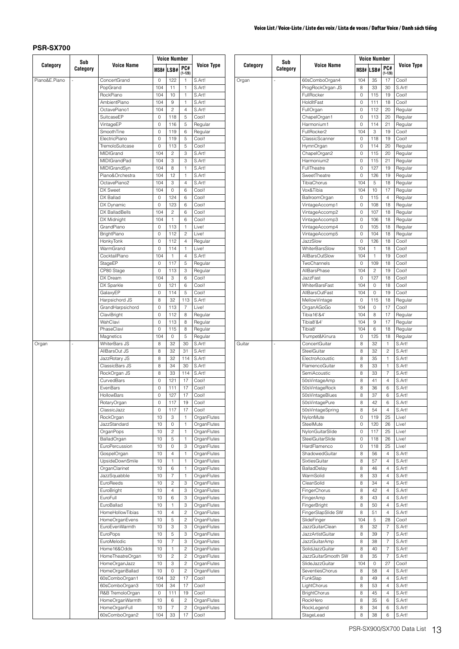| Category<br><b>Voice Name</b><br>Category<br><b>Voice Name</b><br>Voice Type<br>PC#<br>PC#<br>Category<br>Category<br>MSB# LSB#<br>MSB# LSB#<br>$(1 - 128)$<br>$(1 - 128)$<br>Piano&E.Piano<br>122<br>S.Art!<br>Organ<br>104<br>35<br>17<br>Cool!<br>ConcertGrand<br>$\mathbb O$<br>$\mathbf{1}$<br>60sComboOrgan4<br>S.Art!<br>ProgRockOrgan JS<br>33<br>S.Art!<br>PopGrand<br>104<br>11<br>$\mathbf{1}$<br>8<br>30<br>S.Art!<br>115<br>19<br>Cool!<br>RockPiano<br>104<br>10<br>$\mathbf{1}$<br>FullRocker<br>0<br>S.Art!<br>HoldItFast<br>18<br>Cool!<br>AmbientPiano<br>104<br>9<br>$\mathbf{1}$<br>0<br>111<br>OctavePiano1<br>104<br>$\overline{c}$<br>$\overline{4}$<br>S.Art!<br>FullOrgan<br>$\mathsf{O}\xspace$<br>112<br>20<br>Regular<br>SuitcaseEP<br>118<br>5<br>Cool!<br>113<br>20<br>$\mathsf{O}\xspace$<br>ChapelOrgan1<br>0<br>Regular<br>$\sqrt{5}$<br>114<br>$\mathsf{O}\xspace$<br>$\mathsf{O}\xspace$<br>21<br>VintageEP<br>116<br>Regular<br>Harmonium1<br>Regular<br>$\mathbf 0$<br>FullRocker2<br>104<br>3<br>SmoothTine<br>119<br>6<br>Regular<br>19<br>Cool!<br>ElectricPiano<br>5<br>Cool!<br>ClassicScanner<br>118<br>19<br>Cool!<br>0<br>119<br>0<br>5<br>Cool!<br>$\mathsf{O}\xspace$<br>114<br>Regular<br>TremoloSuitcase<br>$\mathsf{O}\xspace$<br>113<br>HymnOrgan<br>20<br>MIDIGrand<br>$\sqrt{2}$<br>3<br>S.Art!<br>ChapelOrgan2<br>115<br>20<br>104<br>0<br>Regular<br><b>MIDIGrandPad</b><br>3<br>3<br>S.Art!<br>Harmonium2<br>115<br>21<br>104<br>0<br>Regular<br>$\,$ 8 $\,$<br>$\mathsf{O}\xspace$<br>127<br>19<br>MIDIGrandSyn<br>104<br>$\mathbf{1}$<br>S.Art!<br>FullTheatre<br>Regular<br>12<br>S.Art!<br>126<br>19<br>Piano&Orchestra<br>104<br>$\mathbf{1}$<br>SweetTheatre<br>0<br>Regular<br>OctavePiano2<br>3<br>TibiaChorus<br>104<br>5<br>104<br>$\overline{4}$<br>S.Art!<br>18<br>Regular<br>$\mathbb O$<br>6<br>Cool!<br>104<br>10<br>DX Sweet<br>104<br>Vox&Tibia<br>17<br>Regular<br>DX Ballad<br>$\mathsf{O}\xspace$<br>6<br>Cool!<br>$\mathbb O$<br>115<br>$\overline{4}$<br>124<br><b>BallroomOrgan</b><br>Regular<br>$\mathsf{O}\xspace$<br>123<br>6<br>108<br>18<br>DX Dynamic<br>Cool!<br>VintageAccomp1<br>0<br>Regular<br>$\sqrt{2}$<br>6<br>Cool!<br>107<br>DX BalladBells<br>104<br>VintageAccomp2<br>0<br>18<br>Regular<br>DX Midnight<br>104<br>6<br>106<br>$\mathbf{1}$<br>Cool!<br>VintageAccomp3<br>0<br>18<br>Regular<br>Live!<br>105<br>GrandPiano<br>$\mathbf 0$<br>113<br>$\mathbf{1}$<br>VintageAccomp4<br>0<br>18<br>Regular<br>$\mathbf 0$<br>$\mathsf{O}\xspace$<br>$\overline{c}$<br>Live!<br>104<br>BrightPiano<br>112<br>VintageAccomp5<br>18<br>Regular<br>$\overline{4}$<br>JazzSlow<br>$\mathbf{0}$<br>126<br>18<br>HonkyTonk<br>$\mathsf{O}\xspace$<br>112<br>Regular<br>Cool!<br>$\mathbf 0$<br>Live!<br><b>WhiterBarsSlow</b><br>104<br>18<br>Cool!<br>WarmGrand<br>114<br>$\mathbf{1}$<br>$\mathbf{1}$<br>$\overline{4}$<br>104<br>19<br>CocktailPiano<br>104<br>S.Art!<br>AllBarsOutSlow<br>$\mathbf{1}$<br>Cool!<br>$\mathbf{1}$<br>5<br>TwoChannels<br>109<br>Cool!<br>StageEP<br>$\mathbf 0$<br>117<br>Regular<br>0<br>18<br>104<br>$\sqrt{2}$<br>Cool!<br>CP80 Stage<br>$\mathbf 0$<br>113<br>3<br>Regular<br>AllBarsPhase<br>19<br>$\ensuremath{\mathsf{3}}$<br>6<br>Cool!<br>JazzFast<br>127<br>18<br>Cool!<br>DX Dream<br>104<br>$\circ$<br>DX Sparkle<br>6<br>Cool!<br><b>WhiterBarsFast</b><br>104<br>$\mathsf{O}\xspace$<br>18<br>Cool!<br>$\mathsf{O}\xspace$<br>121<br>GalaxyEP<br>$\mathbf 0$<br>5<br>Cool!<br>104<br>$\mathsf{O}\xspace$<br>19<br>Cool!<br>114<br>AllBarsOutFast<br>8<br>115<br>Harpsichord JS<br>32<br>113<br>S.Art!<br>$\mathsf{O}\xspace$<br>MellowVintage<br>18<br>Regular<br>GrandHarpsichord<br>$\mathbf 0$<br>113<br>$\overline{7}$<br>Live!<br>OrganAGoGo<br>104<br>$\mathsf{O}\xspace$<br>17<br>Cool!<br>$\mathbf 0$<br>8<br>104<br>8<br>ClaviBright<br>112<br>Tibia16'&4'<br>17<br>Regular<br>Regular<br>WahClavi<br>$\mathbf 0$<br>104<br>$\boldsymbol{9}$<br>17<br>113<br>8<br>Regular<br>Tibia8'&4'<br>Regular<br>PhaseClavi<br>$\mathsf{O}\xspace$<br>104<br>6<br>115<br>8<br>Regular<br>Tibia8'<br>18<br>Regular<br>5<br>125<br>Magnetics<br>104<br>$\mathsf{O}\xspace$<br>Regular<br>Trumpet&Kinura<br>0<br>18<br>Regular<br>32<br>WhiterBars JS<br>8<br>30<br>ConcertGuitar<br>8<br>S.Art!<br>32<br>S.Art!<br>Guitar<br>$\mathbf{1}$<br>Organ<br>AllBarsOut JS<br>8<br>32<br>31<br>S.Art!<br>SteelGuitar<br>8<br>32<br>$\overline{c}$<br>S.Art!<br>8<br>32<br>S.Art!<br>8<br>35<br>$\mathbf{1}$<br>S.Art!<br>JazzRotary JS<br>114<br>ElectroAcoustic<br>S.Art!<br>8<br>34<br>30<br>S.Art!<br>FlamencoGuitar<br>8<br>33<br>ClassicBars JS<br>$\mathbf{1}$<br>RockOrgan JS<br>8<br>S.Art!<br>8<br>33<br>$\overline{7}$<br>S.Art!<br>33<br>114<br>SemiAcoustic<br>CurvedBars<br>8<br>S.Art!<br>$\mathbf 0$<br>121<br>17<br>Cool!<br>50sVintageAmp<br>41<br>4<br>$\mathbf 0$<br>17<br>8<br>36<br>EvenBars<br>111<br>Cool!<br>50sVintageRock<br>6<br>S.Art!<br>$\overline{0}$<br>8<br>37<br>127<br>17<br>Cool!<br>50sVintageBlues<br>6<br>S.Art!<br><b>HollowBars</b><br>117<br>19<br>Cool!<br>42<br>S.Art!<br>50sVintagePure<br>8<br>6<br>RotaryOrgan<br>0<br>$\mathbf 0$<br>Cool!<br>8<br>54<br>S.Art!<br>ClassicJazz<br>117<br>17<br>50sVintageSpring<br>$\overline{4}$<br>25<br>RockOrgan<br>10<br>3<br>OrganFlutes<br>NylonMute<br>0<br>119<br>Live!<br>$\mathbf{1}$<br>JazzStandard<br>$\mathsf{O}\xspace$<br>120<br>26<br>10<br>$\mathsf{O}$<br>$\mathbf{1}$<br>OrganFlutes<br>SteelMute<br>Live!<br>OrganPops<br>10<br>$\overline{c}$<br>OrganFlutes<br>NylonGuitarSlide<br>$\mathbb O$<br>117<br>25<br>Live!<br>1<br>118<br>26<br>Live!<br>BalladOrgan<br>10<br>5<br>$\mathbf{1}$<br>OrganFlutes<br>SteelGuitarSlide<br>0<br>$\mathsf{O}\xspace$<br>25<br>EuroPercussion<br>10<br>$\mathbb O$<br>3<br>OrganFlutes<br>HardFlamenco<br>118<br>Live!<br>56<br>S.Art!<br>GospelOrgan<br>10<br>$\overline{4}$<br>$\mathbf{1}$<br>OrganFlutes<br>ShadowedGuitar<br>8<br>$\overline{4}$<br>UpsideDownSmile<br>SixtiesGuitar<br>8<br>57<br>S.Art!<br>10<br>$\mathbf{1}$<br>1<br>OrganFlutes<br>$\overline{4}$<br>8<br>46<br>S.Art!<br>OrganClarinet<br>10<br>$\,6$<br>OrganFlutes<br>BalladDelay<br>1<br>4<br>$\boldsymbol{7}$<br>8<br>33<br>S.Art!<br>JazzSquabble<br>10<br>$\mathbf{1}$<br>OrganFlutes<br>WarmSolid<br>$\overline{4}$<br>EuroReeds<br>$\overline{c}$<br>10<br>3<br>OrganFlutes<br>CleanSolid<br>8<br>34<br>$\overline{4}$<br>S.Art!<br>3<br>8<br>42<br>S.Art!<br>EuroBright<br>10<br>$\overline{4}$<br>OrganFlutes<br>FingerChorus<br>4<br>EuroFull<br>8<br>43<br>S.Art!<br>10<br>6<br>3<br>OrganFlutes<br>FingerAmp<br>$\overline{4}$<br>EuroBallad<br>3<br>S.Art!<br>10<br>OrganFlutes<br><b>FingerBright</b><br>8<br>50<br>$\mathbf{1}$<br>4<br>$\overline{c}$<br>51<br>HomeHollowTibias<br>10<br>OrganFlutes<br>FingerSlapSlide SW<br>8<br>$\overline{4}$<br>S.Art!<br>$\overline{4}$<br>5<br>104<br>5<br>28<br>HomeOrganEvens<br>10<br>$\overline{\mathbf{c}}$<br>OrganFlutes<br>SlideFinger<br>Cool!<br>3<br>3<br>32<br>$\overline{7}$<br>S.Art!<br>EuroEvenWarmth<br>10<br>OrganFlutes<br><b>JazzGuitarClean</b><br>8<br>5<br>3<br>8<br>39<br>$\overline{7}$<br>S.Art!<br>EuroPops<br>10<br>OrganFlutes<br><b>JazzArtistGuitar</b><br>$\boldsymbol{7}$<br>$\ensuremath{\mathsf{3}}$<br>$\overline{7}$<br>S.Art!<br>EuroMelodic<br>10<br>OrganFlutes<br>JazzGuitarAmp<br>8<br>38<br>Home16&Odds<br>$\overline{c}$<br>$\overline{7}$<br>10<br>OrganFlutes<br>SolidJazzGuitar<br>8<br>40<br>S.Art!<br>$\mathbf{1}$<br>S.Art!<br>HomeTheatreOrgan<br>10<br>$\overline{\mathbf{c}}$<br>$\overline{\mathbf{c}}$<br>OrganFlutes<br>JazzGuitarSmooth SW<br>8<br>35<br>$\overline{7}$<br>$\mathsf{O}\xspace$<br>Cool!<br>HomeOrganJazz<br>10<br>3<br>$\overline{\mathbf{c}}$<br>OrganFlutes<br>SlideJazzGuitar<br>104<br>27<br>$\overline{c}$<br>HomeOrganBallad<br>10<br>$\mathsf O$<br>OrganFlutes<br>SeventiesChorus<br>8<br>58<br>$\overline{4}$<br>S.Art!<br>17<br>49<br>S.Art!<br>60sComboOrgan1<br>104<br>32<br>Cool!<br>FunkSlap<br>8<br>4<br>34<br>17<br>Cool!<br>8<br>53<br>S.Art!<br>60sComboOrgan3<br>104<br>LightChorus<br>$\overline{4}$<br>19<br>S.Art!<br>R&B TremoloOrgan<br>$\mathsf O$<br>111<br>Cool!<br><b>BrightChorus</b><br>8<br>45<br>$\overline{4}$<br>HomeOrganWarmth<br>$\overline{c}$<br>8<br>35<br>6<br>S.Art!<br>10<br>6<br>OrganFlutes<br>RockHero<br>HomeOrganFull<br>10<br>$\overline{7}$<br>$\overline{\mathbf{c}}$<br>OrganFlutes<br>RockLegend<br>8<br>34<br>6<br>S.Art! | Sub |                |     | <b>Voice Number</b> |    |                   | Sub |           |   | <b>Voice Number</b> |   |        |
|--------------------------------------------------------------------------------------------------------------------------------------------------------------------------------------------------------------------------------------------------------------------------------------------------------------------------------------------------------------------------------------------------------------------------------------------------------------------------------------------------------------------------------------------------------------------------------------------------------------------------------------------------------------------------------------------------------------------------------------------------------------------------------------------------------------------------------------------------------------------------------------------------------------------------------------------------------------------------------------------------------------------------------------------------------------------------------------------------------------------------------------------------------------------------------------------------------------------------------------------------------------------------------------------------------------------------------------------------------------------------------------------------------------------------------------------------------------------------------------------------------------------------------------------------------------------------------------------------------------------------------------------------------------------------------------------------------------------------------------------------------------------------------------------------------------------------------------------------------------------------------------------------------------------------------------------------------------------------------------------------------------------------------------------------------------------------------------------------------------------------------------------------------------------------------------------------------------------------------------------------------------------------------------------------------------------------------------------------------------------------------------------------------------------------------------------------------------------------------------------------------------------------------------------------------------------------------------------------------------------------------------------------------------------------------------------------------------------------------------------------------------------------------------------------------------------------------------------------------------------------------------------------------------------------------------------------------------------------------------------------------------------------------------------------------------------------------------------------------------------------------------------------------------------------------------------------------------------------------------------------------------------------------------------------------------------------------------------------------------------------------------------------------------------------------------------------------------------------------------------------------------------------------------------------------------------------------------------------------------------------------------------------------------------------------------------------------------------------------------------------------------------------------------------------------------------------------------------------------------------------------------------------------------------------------------------------------------------------------------------------------------------------------------------------------------------------------------------------------------------------------------------------------------------------------------------------------------------------------------------------------------------------------------------------------------------------------------------------------------------------------------------------------------------------------------------------------------------------------------------------------------------------------------------------------------------------------------------------------------------------------------------------------------------------------------------------------------------------------------------------------------------------------------------------------------------------------------------------------------------------------------------------------------------------------------------------------------------------------------------------------------------------------------------------------------------------------------------------------------------------------------------------------------------------------------------------------------------------------------------------------------------------------------------------------------------------------------------------------------------------------------------------------------------------------------------------------------------------------------------------------------------------------------------------------------------------------------------------------------------------------------------------------------------------------------------------------------------------------------------------------------------------------------------------------------------------------------------------------------------------------------------------------------------------------------------------------------------------------------------------------------------------------------------------------------------------------------------------------------------------------------------------------------------------------------------------------------------------------------------------------------------------------------------------------------------------------------------------------------------------------------------------------------------------------------------------------------------------------------------------------------------------------------------------------------------------------------------------------------------------------------------------------------------------------------------------------------------------------------------------------------------------------------------------------------------------------------------------------------------------------------------------------------------------------------------------------------------------------------------------------------------------------------------------------------------------------------------------------------------------------------------------------------------------------------------------------------------------------------------------------------------------------------------------------------------------------------------------------------------------------------------------------------------------------------------------------------------------------------------------------------------------------------------------------------------------------------------------------------------------------------------------------------------------------------------------------------------------------------------------------------------------------------------------------------------------------------------------------------------------------------------------------------------------------------------------------------------------------------------------------------------------------------------------------------------------------------------------------------------------------------------------------------------------------------------------------------------------------------------------------------------------------------------------------------------------------------------------------------------------------------------------------------------------------------------------------------------------------------------------------------------------------------------------------------------|-----|----------------|-----|---------------------|----|-------------------|-----|-----------|---|---------------------|---|--------|
|                                                                                                                                                                                                                                                                                                                                                                                                                                                                                                                                                                                                                                                                                                                                                                                                                                                                                                                                                                                                                                                                                                                                                                                                                                                                                                                                                                                                                                                                                                                                                                                                                                                                                                                                                                                                                                                                                                                                                                                                                                                                                                                                                                                                                                                                                                                                                                                                                                                                                                                                                                                                                                                                                                                                                                                                                                                                                                                                                                                                                                                                                                                                                                                                                                                                                                                                                                                                                                                                                                                                                                                                                                                                                                                                                                                                                                                                                                                                                                                                                                                                                                                                                                                                                                                                                                                                                                                                                                                                                                                                                                                                                                                                                                                                                                                                                                                                                                                                                                                                                                                                                                                                                                                                                                                                                                                                                                                                                                                                                                                                                                                                                                                                                                                                                                                                                                                                                                                                                                                                                                                                                                                                                                                                                                                                                                                                                                                                                                                                                                                                                                                                                                                                                                                                                                                                                                                                                                                                                                                                                                                                                                                                                                                                                                                                                                                                                                                                                                                                                                                                                                                                                                                                                                                                                                                                                                                                                                                                                                                                                                                                                                                                                                                                                                                                                                                                                                                                                                                                                                                                                                    |     |                |     |                     |    | <b>Voice Type</b> |     |           |   |                     |   |        |
|                                                                                                                                                                                                                                                                                                                                                                                                                                                                                                                                                                                                                                                                                                                                                                                                                                                                                                                                                                                                                                                                                                                                                                                                                                                                                                                                                                                                                                                                                                                                                                                                                                                                                                                                                                                                                                                                                                                                                                                                                                                                                                                                                                                                                                                                                                                                                                                                                                                                                                                                                                                                                                                                                                                                                                                                                                                                                                                                                                                                                                                                                                                                                                                                                                                                                                                                                                                                                                                                                                                                                                                                                                                                                                                                                                                                                                                                                                                                                                                                                                                                                                                                                                                                                                                                                                                                                                                                                                                                                                                                                                                                                                                                                                                                                                                                                                                                                                                                                                                                                                                                                                                                                                                                                                                                                                                                                                                                                                                                                                                                                                                                                                                                                                                                                                                                                                                                                                                                                                                                                                                                                                                                                                                                                                                                                                                                                                                                                                                                                                                                                                                                                                                                                                                                                                                                                                                                                                                                                                                                                                                                                                                                                                                                                                                                                                                                                                                                                                                                                                                                                                                                                                                                                                                                                                                                                                                                                                                                                                                                                                                                                                                                                                                                                                                                                                                                                                                                                                                                                                                                                                    |     |                |     |                     |    |                   |     |           |   |                     |   |        |
|                                                                                                                                                                                                                                                                                                                                                                                                                                                                                                                                                                                                                                                                                                                                                                                                                                                                                                                                                                                                                                                                                                                                                                                                                                                                                                                                                                                                                                                                                                                                                                                                                                                                                                                                                                                                                                                                                                                                                                                                                                                                                                                                                                                                                                                                                                                                                                                                                                                                                                                                                                                                                                                                                                                                                                                                                                                                                                                                                                                                                                                                                                                                                                                                                                                                                                                                                                                                                                                                                                                                                                                                                                                                                                                                                                                                                                                                                                                                                                                                                                                                                                                                                                                                                                                                                                                                                                                                                                                                                                                                                                                                                                                                                                                                                                                                                                                                                                                                                                                                                                                                                                                                                                                                                                                                                                                                                                                                                                                                                                                                                                                                                                                                                                                                                                                                                                                                                                                                                                                                                                                                                                                                                                                                                                                                                                                                                                                                                                                                                                                                                                                                                                                                                                                                                                                                                                                                                                                                                                                                                                                                                                                                                                                                                                                                                                                                                                                                                                                                                                                                                                                                                                                                                                                                                                                                                                                                                                                                                                                                                                                                                                                                                                                                                                                                                                                                                                                                                                                                                                                                                                    |     |                |     |                     |    |                   |     |           |   |                     |   |        |
|                                                                                                                                                                                                                                                                                                                                                                                                                                                                                                                                                                                                                                                                                                                                                                                                                                                                                                                                                                                                                                                                                                                                                                                                                                                                                                                                                                                                                                                                                                                                                                                                                                                                                                                                                                                                                                                                                                                                                                                                                                                                                                                                                                                                                                                                                                                                                                                                                                                                                                                                                                                                                                                                                                                                                                                                                                                                                                                                                                                                                                                                                                                                                                                                                                                                                                                                                                                                                                                                                                                                                                                                                                                                                                                                                                                                                                                                                                                                                                                                                                                                                                                                                                                                                                                                                                                                                                                                                                                                                                                                                                                                                                                                                                                                                                                                                                                                                                                                                                                                                                                                                                                                                                                                                                                                                                                                                                                                                                                                                                                                                                                                                                                                                                                                                                                                                                                                                                                                                                                                                                                                                                                                                                                                                                                                                                                                                                                                                                                                                                                                                                                                                                                                                                                                                                                                                                                                                                                                                                                                                                                                                                                                                                                                                                                                                                                                                                                                                                                                                                                                                                                                                                                                                                                                                                                                                                                                                                                                                                                                                                                                                                                                                                                                                                                                                                                                                                                                                                                                                                                                                                    |     |                |     |                     |    |                   |     |           |   |                     |   |        |
|                                                                                                                                                                                                                                                                                                                                                                                                                                                                                                                                                                                                                                                                                                                                                                                                                                                                                                                                                                                                                                                                                                                                                                                                                                                                                                                                                                                                                                                                                                                                                                                                                                                                                                                                                                                                                                                                                                                                                                                                                                                                                                                                                                                                                                                                                                                                                                                                                                                                                                                                                                                                                                                                                                                                                                                                                                                                                                                                                                                                                                                                                                                                                                                                                                                                                                                                                                                                                                                                                                                                                                                                                                                                                                                                                                                                                                                                                                                                                                                                                                                                                                                                                                                                                                                                                                                                                                                                                                                                                                                                                                                                                                                                                                                                                                                                                                                                                                                                                                                                                                                                                                                                                                                                                                                                                                                                                                                                                                                                                                                                                                                                                                                                                                                                                                                                                                                                                                                                                                                                                                                                                                                                                                                                                                                                                                                                                                                                                                                                                                                                                                                                                                                                                                                                                                                                                                                                                                                                                                                                                                                                                                                                                                                                                                                                                                                                                                                                                                                                                                                                                                                                                                                                                                                                                                                                                                                                                                                                                                                                                                                                                                                                                                                                                                                                                                                                                                                                                                                                                                                                                                    |     |                |     |                     |    |                   |     |           |   |                     |   |        |
|                                                                                                                                                                                                                                                                                                                                                                                                                                                                                                                                                                                                                                                                                                                                                                                                                                                                                                                                                                                                                                                                                                                                                                                                                                                                                                                                                                                                                                                                                                                                                                                                                                                                                                                                                                                                                                                                                                                                                                                                                                                                                                                                                                                                                                                                                                                                                                                                                                                                                                                                                                                                                                                                                                                                                                                                                                                                                                                                                                                                                                                                                                                                                                                                                                                                                                                                                                                                                                                                                                                                                                                                                                                                                                                                                                                                                                                                                                                                                                                                                                                                                                                                                                                                                                                                                                                                                                                                                                                                                                                                                                                                                                                                                                                                                                                                                                                                                                                                                                                                                                                                                                                                                                                                                                                                                                                                                                                                                                                                                                                                                                                                                                                                                                                                                                                                                                                                                                                                                                                                                                                                                                                                                                                                                                                                                                                                                                                                                                                                                                                                                                                                                                                                                                                                                                                                                                                                                                                                                                                                                                                                                                                                                                                                                                                                                                                                                                                                                                                                                                                                                                                                                                                                                                                                                                                                                                                                                                                                                                                                                                                                                                                                                                                                                                                                                                                                                                                                                                                                                                                                                                    |     |                |     |                     |    |                   |     |           |   |                     |   |        |
|                                                                                                                                                                                                                                                                                                                                                                                                                                                                                                                                                                                                                                                                                                                                                                                                                                                                                                                                                                                                                                                                                                                                                                                                                                                                                                                                                                                                                                                                                                                                                                                                                                                                                                                                                                                                                                                                                                                                                                                                                                                                                                                                                                                                                                                                                                                                                                                                                                                                                                                                                                                                                                                                                                                                                                                                                                                                                                                                                                                                                                                                                                                                                                                                                                                                                                                                                                                                                                                                                                                                                                                                                                                                                                                                                                                                                                                                                                                                                                                                                                                                                                                                                                                                                                                                                                                                                                                                                                                                                                                                                                                                                                                                                                                                                                                                                                                                                                                                                                                                                                                                                                                                                                                                                                                                                                                                                                                                                                                                                                                                                                                                                                                                                                                                                                                                                                                                                                                                                                                                                                                                                                                                                                                                                                                                                                                                                                                                                                                                                                                                                                                                                                                                                                                                                                                                                                                                                                                                                                                                                                                                                                                                                                                                                                                                                                                                                                                                                                                                                                                                                                                                                                                                                                                                                                                                                                                                                                                                                                                                                                                                                                                                                                                                                                                                                                                                                                                                                                                                                                                                                                    |     |                |     |                     |    |                   |     |           |   |                     |   |        |
|                                                                                                                                                                                                                                                                                                                                                                                                                                                                                                                                                                                                                                                                                                                                                                                                                                                                                                                                                                                                                                                                                                                                                                                                                                                                                                                                                                                                                                                                                                                                                                                                                                                                                                                                                                                                                                                                                                                                                                                                                                                                                                                                                                                                                                                                                                                                                                                                                                                                                                                                                                                                                                                                                                                                                                                                                                                                                                                                                                                                                                                                                                                                                                                                                                                                                                                                                                                                                                                                                                                                                                                                                                                                                                                                                                                                                                                                                                                                                                                                                                                                                                                                                                                                                                                                                                                                                                                                                                                                                                                                                                                                                                                                                                                                                                                                                                                                                                                                                                                                                                                                                                                                                                                                                                                                                                                                                                                                                                                                                                                                                                                                                                                                                                                                                                                                                                                                                                                                                                                                                                                                                                                                                                                                                                                                                                                                                                                                                                                                                                                                                                                                                                                                                                                                                                                                                                                                                                                                                                                                                                                                                                                                                                                                                                                                                                                                                                                                                                                                                                                                                                                                                                                                                                                                                                                                                                                                                                                                                                                                                                                                                                                                                                                                                                                                                                                                                                                                                                                                                                                                                                    |     |                |     |                     |    |                   |     |           |   |                     |   |        |
|                                                                                                                                                                                                                                                                                                                                                                                                                                                                                                                                                                                                                                                                                                                                                                                                                                                                                                                                                                                                                                                                                                                                                                                                                                                                                                                                                                                                                                                                                                                                                                                                                                                                                                                                                                                                                                                                                                                                                                                                                                                                                                                                                                                                                                                                                                                                                                                                                                                                                                                                                                                                                                                                                                                                                                                                                                                                                                                                                                                                                                                                                                                                                                                                                                                                                                                                                                                                                                                                                                                                                                                                                                                                                                                                                                                                                                                                                                                                                                                                                                                                                                                                                                                                                                                                                                                                                                                                                                                                                                                                                                                                                                                                                                                                                                                                                                                                                                                                                                                                                                                                                                                                                                                                                                                                                                                                                                                                                                                                                                                                                                                                                                                                                                                                                                                                                                                                                                                                                                                                                                                                                                                                                                                                                                                                                                                                                                                                                                                                                                                                                                                                                                                                                                                                                                                                                                                                                                                                                                                                                                                                                                                                                                                                                                                                                                                                                                                                                                                                                                                                                                                                                                                                                                                                                                                                                                                                                                                                                                                                                                                                                                                                                                                                                                                                                                                                                                                                                                                                                                                                                                    |     |                |     |                     |    |                   |     |           |   |                     |   |        |
|                                                                                                                                                                                                                                                                                                                                                                                                                                                                                                                                                                                                                                                                                                                                                                                                                                                                                                                                                                                                                                                                                                                                                                                                                                                                                                                                                                                                                                                                                                                                                                                                                                                                                                                                                                                                                                                                                                                                                                                                                                                                                                                                                                                                                                                                                                                                                                                                                                                                                                                                                                                                                                                                                                                                                                                                                                                                                                                                                                                                                                                                                                                                                                                                                                                                                                                                                                                                                                                                                                                                                                                                                                                                                                                                                                                                                                                                                                                                                                                                                                                                                                                                                                                                                                                                                                                                                                                                                                                                                                                                                                                                                                                                                                                                                                                                                                                                                                                                                                                                                                                                                                                                                                                                                                                                                                                                                                                                                                                                                                                                                                                                                                                                                                                                                                                                                                                                                                                                                                                                                                                                                                                                                                                                                                                                                                                                                                                                                                                                                                                                                                                                                                                                                                                                                                                                                                                                                                                                                                                                                                                                                                                                                                                                                                                                                                                                                                                                                                                                                                                                                                                                                                                                                                                                                                                                                                                                                                                                                                                                                                                                                                                                                                                                                                                                                                                                                                                                                                                                                                                                                                    |     |                |     |                     |    |                   |     |           |   |                     |   |        |
|                                                                                                                                                                                                                                                                                                                                                                                                                                                                                                                                                                                                                                                                                                                                                                                                                                                                                                                                                                                                                                                                                                                                                                                                                                                                                                                                                                                                                                                                                                                                                                                                                                                                                                                                                                                                                                                                                                                                                                                                                                                                                                                                                                                                                                                                                                                                                                                                                                                                                                                                                                                                                                                                                                                                                                                                                                                                                                                                                                                                                                                                                                                                                                                                                                                                                                                                                                                                                                                                                                                                                                                                                                                                                                                                                                                                                                                                                                                                                                                                                                                                                                                                                                                                                                                                                                                                                                                                                                                                                                                                                                                                                                                                                                                                                                                                                                                                                                                                                                                                                                                                                                                                                                                                                                                                                                                                                                                                                                                                                                                                                                                                                                                                                                                                                                                                                                                                                                                                                                                                                                                                                                                                                                                                                                                                                                                                                                                                                                                                                                                                                                                                                                                                                                                                                                                                                                                                                                                                                                                                                                                                                                                                                                                                                                                                                                                                                                                                                                                                                                                                                                                                                                                                                                                                                                                                                                                                                                                                                                                                                                                                                                                                                                                                                                                                                                                                                                                                                                                                                                                                                                    |     |                |     |                     |    |                   |     |           |   |                     |   |        |
|                                                                                                                                                                                                                                                                                                                                                                                                                                                                                                                                                                                                                                                                                                                                                                                                                                                                                                                                                                                                                                                                                                                                                                                                                                                                                                                                                                                                                                                                                                                                                                                                                                                                                                                                                                                                                                                                                                                                                                                                                                                                                                                                                                                                                                                                                                                                                                                                                                                                                                                                                                                                                                                                                                                                                                                                                                                                                                                                                                                                                                                                                                                                                                                                                                                                                                                                                                                                                                                                                                                                                                                                                                                                                                                                                                                                                                                                                                                                                                                                                                                                                                                                                                                                                                                                                                                                                                                                                                                                                                                                                                                                                                                                                                                                                                                                                                                                                                                                                                                                                                                                                                                                                                                                                                                                                                                                                                                                                                                                                                                                                                                                                                                                                                                                                                                                                                                                                                                                                                                                                                                                                                                                                                                                                                                                                                                                                                                                                                                                                                                                                                                                                                                                                                                                                                                                                                                                                                                                                                                                                                                                                                                                                                                                                                                                                                                                                                                                                                                                                                                                                                                                                                                                                                                                                                                                                                                                                                                                                                                                                                                                                                                                                                                                                                                                                                                                                                                                                                                                                                                                                                    |     |                |     |                     |    |                   |     |           |   |                     |   |        |
|                                                                                                                                                                                                                                                                                                                                                                                                                                                                                                                                                                                                                                                                                                                                                                                                                                                                                                                                                                                                                                                                                                                                                                                                                                                                                                                                                                                                                                                                                                                                                                                                                                                                                                                                                                                                                                                                                                                                                                                                                                                                                                                                                                                                                                                                                                                                                                                                                                                                                                                                                                                                                                                                                                                                                                                                                                                                                                                                                                                                                                                                                                                                                                                                                                                                                                                                                                                                                                                                                                                                                                                                                                                                                                                                                                                                                                                                                                                                                                                                                                                                                                                                                                                                                                                                                                                                                                                                                                                                                                                                                                                                                                                                                                                                                                                                                                                                                                                                                                                                                                                                                                                                                                                                                                                                                                                                                                                                                                                                                                                                                                                                                                                                                                                                                                                                                                                                                                                                                                                                                                                                                                                                                                                                                                                                                                                                                                                                                                                                                                                                                                                                                                                                                                                                                                                                                                                                                                                                                                                                                                                                                                                                                                                                                                                                                                                                                                                                                                                                                                                                                                                                                                                                                                                                                                                                                                                                                                                                                                                                                                                                                                                                                                                                                                                                                                                                                                                                                                                                                                                                                                    |     |                |     |                     |    |                   |     |           |   |                     |   |        |
|                                                                                                                                                                                                                                                                                                                                                                                                                                                                                                                                                                                                                                                                                                                                                                                                                                                                                                                                                                                                                                                                                                                                                                                                                                                                                                                                                                                                                                                                                                                                                                                                                                                                                                                                                                                                                                                                                                                                                                                                                                                                                                                                                                                                                                                                                                                                                                                                                                                                                                                                                                                                                                                                                                                                                                                                                                                                                                                                                                                                                                                                                                                                                                                                                                                                                                                                                                                                                                                                                                                                                                                                                                                                                                                                                                                                                                                                                                                                                                                                                                                                                                                                                                                                                                                                                                                                                                                                                                                                                                                                                                                                                                                                                                                                                                                                                                                                                                                                                                                                                                                                                                                                                                                                                                                                                                                                                                                                                                                                                                                                                                                                                                                                                                                                                                                                                                                                                                                                                                                                                                                                                                                                                                                                                                                                                                                                                                                                                                                                                                                                                                                                                                                                                                                                                                                                                                                                                                                                                                                                                                                                                                                                                                                                                                                                                                                                                                                                                                                                                                                                                                                                                                                                                                                                                                                                                                                                                                                                                                                                                                                                                                                                                                                                                                                                                                                                                                                                                                                                                                                                                                    |     |                |     |                     |    |                   |     |           |   |                     |   |        |
|                                                                                                                                                                                                                                                                                                                                                                                                                                                                                                                                                                                                                                                                                                                                                                                                                                                                                                                                                                                                                                                                                                                                                                                                                                                                                                                                                                                                                                                                                                                                                                                                                                                                                                                                                                                                                                                                                                                                                                                                                                                                                                                                                                                                                                                                                                                                                                                                                                                                                                                                                                                                                                                                                                                                                                                                                                                                                                                                                                                                                                                                                                                                                                                                                                                                                                                                                                                                                                                                                                                                                                                                                                                                                                                                                                                                                                                                                                                                                                                                                                                                                                                                                                                                                                                                                                                                                                                                                                                                                                                                                                                                                                                                                                                                                                                                                                                                                                                                                                                                                                                                                                                                                                                                                                                                                                                                                                                                                                                                                                                                                                                                                                                                                                                                                                                                                                                                                                                                                                                                                                                                                                                                                                                                                                                                                                                                                                                                                                                                                                                                                                                                                                                                                                                                                                                                                                                                                                                                                                                                                                                                                                                                                                                                                                                                                                                                                                                                                                                                                                                                                                                                                                                                                                                                                                                                                                                                                                                                                                                                                                                                                                                                                                                                                                                                                                                                                                                                                                                                                                                                                                    |     |                |     |                     |    |                   |     |           |   |                     |   |        |
|                                                                                                                                                                                                                                                                                                                                                                                                                                                                                                                                                                                                                                                                                                                                                                                                                                                                                                                                                                                                                                                                                                                                                                                                                                                                                                                                                                                                                                                                                                                                                                                                                                                                                                                                                                                                                                                                                                                                                                                                                                                                                                                                                                                                                                                                                                                                                                                                                                                                                                                                                                                                                                                                                                                                                                                                                                                                                                                                                                                                                                                                                                                                                                                                                                                                                                                                                                                                                                                                                                                                                                                                                                                                                                                                                                                                                                                                                                                                                                                                                                                                                                                                                                                                                                                                                                                                                                                                                                                                                                                                                                                                                                                                                                                                                                                                                                                                                                                                                                                                                                                                                                                                                                                                                                                                                                                                                                                                                                                                                                                                                                                                                                                                                                                                                                                                                                                                                                                                                                                                                                                                                                                                                                                                                                                                                                                                                                                                                                                                                                                                                                                                                                                                                                                                                                                                                                                                                                                                                                                                                                                                                                                                                                                                                                                                                                                                                                                                                                                                                                                                                                                                                                                                                                                                                                                                                                                                                                                                                                                                                                                                                                                                                                                                                                                                                                                                                                                                                                                                                                                                                                    |     |                |     |                     |    |                   |     |           |   |                     |   |        |
|                                                                                                                                                                                                                                                                                                                                                                                                                                                                                                                                                                                                                                                                                                                                                                                                                                                                                                                                                                                                                                                                                                                                                                                                                                                                                                                                                                                                                                                                                                                                                                                                                                                                                                                                                                                                                                                                                                                                                                                                                                                                                                                                                                                                                                                                                                                                                                                                                                                                                                                                                                                                                                                                                                                                                                                                                                                                                                                                                                                                                                                                                                                                                                                                                                                                                                                                                                                                                                                                                                                                                                                                                                                                                                                                                                                                                                                                                                                                                                                                                                                                                                                                                                                                                                                                                                                                                                                                                                                                                                                                                                                                                                                                                                                                                                                                                                                                                                                                                                                                                                                                                                                                                                                                                                                                                                                                                                                                                                                                                                                                                                                                                                                                                                                                                                                                                                                                                                                                                                                                                                                                                                                                                                                                                                                                                                                                                                                                                                                                                                                                                                                                                                                                                                                                                                                                                                                                                                                                                                                                                                                                                                                                                                                                                                                                                                                                                                                                                                                                                                                                                                                                                                                                                                                                                                                                                                                                                                                                                                                                                                                                                                                                                                                                                                                                                                                                                                                                                                                                                                                                                                    |     |                |     |                     |    |                   |     |           |   |                     |   |        |
|                                                                                                                                                                                                                                                                                                                                                                                                                                                                                                                                                                                                                                                                                                                                                                                                                                                                                                                                                                                                                                                                                                                                                                                                                                                                                                                                                                                                                                                                                                                                                                                                                                                                                                                                                                                                                                                                                                                                                                                                                                                                                                                                                                                                                                                                                                                                                                                                                                                                                                                                                                                                                                                                                                                                                                                                                                                                                                                                                                                                                                                                                                                                                                                                                                                                                                                                                                                                                                                                                                                                                                                                                                                                                                                                                                                                                                                                                                                                                                                                                                                                                                                                                                                                                                                                                                                                                                                                                                                                                                                                                                                                                                                                                                                                                                                                                                                                                                                                                                                                                                                                                                                                                                                                                                                                                                                                                                                                                                                                                                                                                                                                                                                                                                                                                                                                                                                                                                                                                                                                                                                                                                                                                                                                                                                                                                                                                                                                                                                                                                                                                                                                                                                                                                                                                                                                                                                                                                                                                                                                                                                                                                                                                                                                                                                                                                                                                                                                                                                                                                                                                                                                                                                                                                                                                                                                                                                                                                                                                                                                                                                                                                                                                                                                                                                                                                                                                                                                                                                                                                                                                                    |     |                |     |                     |    |                   |     |           |   |                     |   |        |
|                                                                                                                                                                                                                                                                                                                                                                                                                                                                                                                                                                                                                                                                                                                                                                                                                                                                                                                                                                                                                                                                                                                                                                                                                                                                                                                                                                                                                                                                                                                                                                                                                                                                                                                                                                                                                                                                                                                                                                                                                                                                                                                                                                                                                                                                                                                                                                                                                                                                                                                                                                                                                                                                                                                                                                                                                                                                                                                                                                                                                                                                                                                                                                                                                                                                                                                                                                                                                                                                                                                                                                                                                                                                                                                                                                                                                                                                                                                                                                                                                                                                                                                                                                                                                                                                                                                                                                                                                                                                                                                                                                                                                                                                                                                                                                                                                                                                                                                                                                                                                                                                                                                                                                                                                                                                                                                                                                                                                                                                                                                                                                                                                                                                                                                                                                                                                                                                                                                                                                                                                                                                                                                                                                                                                                                                                                                                                                                                                                                                                                                                                                                                                                                                                                                                                                                                                                                                                                                                                                                                                                                                                                                                                                                                                                                                                                                                                                                                                                                                                                                                                                                                                                                                                                                                                                                                                                                                                                                                                                                                                                                                                                                                                                                                                                                                                                                                                                                                                                                                                                                                                                    |     |                |     |                     |    |                   |     |           |   |                     |   |        |
|                                                                                                                                                                                                                                                                                                                                                                                                                                                                                                                                                                                                                                                                                                                                                                                                                                                                                                                                                                                                                                                                                                                                                                                                                                                                                                                                                                                                                                                                                                                                                                                                                                                                                                                                                                                                                                                                                                                                                                                                                                                                                                                                                                                                                                                                                                                                                                                                                                                                                                                                                                                                                                                                                                                                                                                                                                                                                                                                                                                                                                                                                                                                                                                                                                                                                                                                                                                                                                                                                                                                                                                                                                                                                                                                                                                                                                                                                                                                                                                                                                                                                                                                                                                                                                                                                                                                                                                                                                                                                                                                                                                                                                                                                                                                                                                                                                                                                                                                                                                                                                                                                                                                                                                                                                                                                                                                                                                                                                                                                                                                                                                                                                                                                                                                                                                                                                                                                                                                                                                                                                                                                                                                                                                                                                                                                                                                                                                                                                                                                                                                                                                                                                                                                                                                                                                                                                                                                                                                                                                                                                                                                                                                                                                                                                                                                                                                                                                                                                                                                                                                                                                                                                                                                                                                                                                                                                                                                                                                                                                                                                                                                                                                                                                                                                                                                                                                                                                                                                                                                                                                                                    |     |                |     |                     |    |                   |     |           |   |                     |   |        |
|                                                                                                                                                                                                                                                                                                                                                                                                                                                                                                                                                                                                                                                                                                                                                                                                                                                                                                                                                                                                                                                                                                                                                                                                                                                                                                                                                                                                                                                                                                                                                                                                                                                                                                                                                                                                                                                                                                                                                                                                                                                                                                                                                                                                                                                                                                                                                                                                                                                                                                                                                                                                                                                                                                                                                                                                                                                                                                                                                                                                                                                                                                                                                                                                                                                                                                                                                                                                                                                                                                                                                                                                                                                                                                                                                                                                                                                                                                                                                                                                                                                                                                                                                                                                                                                                                                                                                                                                                                                                                                                                                                                                                                                                                                                                                                                                                                                                                                                                                                                                                                                                                                                                                                                                                                                                                                                                                                                                                                                                                                                                                                                                                                                                                                                                                                                                                                                                                                                                                                                                                                                                                                                                                                                                                                                                                                                                                                                                                                                                                                                                                                                                                                                                                                                                                                                                                                                                                                                                                                                                                                                                                                                                                                                                                                                                                                                                                                                                                                                                                                                                                                                                                                                                                                                                                                                                                                                                                                                                                                                                                                                                                                                                                                                                                                                                                                                                                                                                                                                                                                                                                                    |     |                |     |                     |    |                   |     |           |   |                     |   |        |
|                                                                                                                                                                                                                                                                                                                                                                                                                                                                                                                                                                                                                                                                                                                                                                                                                                                                                                                                                                                                                                                                                                                                                                                                                                                                                                                                                                                                                                                                                                                                                                                                                                                                                                                                                                                                                                                                                                                                                                                                                                                                                                                                                                                                                                                                                                                                                                                                                                                                                                                                                                                                                                                                                                                                                                                                                                                                                                                                                                                                                                                                                                                                                                                                                                                                                                                                                                                                                                                                                                                                                                                                                                                                                                                                                                                                                                                                                                                                                                                                                                                                                                                                                                                                                                                                                                                                                                                                                                                                                                                                                                                                                                                                                                                                                                                                                                                                                                                                                                                                                                                                                                                                                                                                                                                                                                                                                                                                                                                                                                                                                                                                                                                                                                                                                                                                                                                                                                                                                                                                                                                                                                                                                                                                                                                                                                                                                                                                                                                                                                                                                                                                                                                                                                                                                                                                                                                                                                                                                                                                                                                                                                                                                                                                                                                                                                                                                                                                                                                                                                                                                                                                                                                                                                                                                                                                                                                                                                                                                                                                                                                                                                                                                                                                                                                                                                                                                                                                                                                                                                                                                                    |     |                |     |                     |    |                   |     |           |   |                     |   |        |
|                                                                                                                                                                                                                                                                                                                                                                                                                                                                                                                                                                                                                                                                                                                                                                                                                                                                                                                                                                                                                                                                                                                                                                                                                                                                                                                                                                                                                                                                                                                                                                                                                                                                                                                                                                                                                                                                                                                                                                                                                                                                                                                                                                                                                                                                                                                                                                                                                                                                                                                                                                                                                                                                                                                                                                                                                                                                                                                                                                                                                                                                                                                                                                                                                                                                                                                                                                                                                                                                                                                                                                                                                                                                                                                                                                                                                                                                                                                                                                                                                                                                                                                                                                                                                                                                                                                                                                                                                                                                                                                                                                                                                                                                                                                                                                                                                                                                                                                                                                                                                                                                                                                                                                                                                                                                                                                                                                                                                                                                                                                                                                                                                                                                                                                                                                                                                                                                                                                                                                                                                                                                                                                                                                                                                                                                                                                                                                                                                                                                                                                                                                                                                                                                                                                                                                                                                                                                                                                                                                                                                                                                                                                                                                                                                                                                                                                                                                                                                                                                                                                                                                                                                                                                                                                                                                                                                                                                                                                                                                                                                                                                                                                                                                                                                                                                                                                                                                                                                                                                                                                                                                    |     |                |     |                     |    |                   |     |           |   |                     |   |        |
|                                                                                                                                                                                                                                                                                                                                                                                                                                                                                                                                                                                                                                                                                                                                                                                                                                                                                                                                                                                                                                                                                                                                                                                                                                                                                                                                                                                                                                                                                                                                                                                                                                                                                                                                                                                                                                                                                                                                                                                                                                                                                                                                                                                                                                                                                                                                                                                                                                                                                                                                                                                                                                                                                                                                                                                                                                                                                                                                                                                                                                                                                                                                                                                                                                                                                                                                                                                                                                                                                                                                                                                                                                                                                                                                                                                                                                                                                                                                                                                                                                                                                                                                                                                                                                                                                                                                                                                                                                                                                                                                                                                                                                                                                                                                                                                                                                                                                                                                                                                                                                                                                                                                                                                                                                                                                                                                                                                                                                                                                                                                                                                                                                                                                                                                                                                                                                                                                                                                                                                                                                                                                                                                                                                                                                                                                                                                                                                                                                                                                                                                                                                                                                                                                                                                                                                                                                                                                                                                                                                                                                                                                                                                                                                                                                                                                                                                                                                                                                                                                                                                                                                                                                                                                                                                                                                                                                                                                                                                                                                                                                                                                                                                                                                                                                                                                                                                                                                                                                                                                                                                                                    |     |                |     |                     |    |                   |     |           |   |                     |   |        |
|                                                                                                                                                                                                                                                                                                                                                                                                                                                                                                                                                                                                                                                                                                                                                                                                                                                                                                                                                                                                                                                                                                                                                                                                                                                                                                                                                                                                                                                                                                                                                                                                                                                                                                                                                                                                                                                                                                                                                                                                                                                                                                                                                                                                                                                                                                                                                                                                                                                                                                                                                                                                                                                                                                                                                                                                                                                                                                                                                                                                                                                                                                                                                                                                                                                                                                                                                                                                                                                                                                                                                                                                                                                                                                                                                                                                                                                                                                                                                                                                                                                                                                                                                                                                                                                                                                                                                                                                                                                                                                                                                                                                                                                                                                                                                                                                                                                                                                                                                                                                                                                                                                                                                                                                                                                                                                                                                                                                                                                                                                                                                                                                                                                                                                                                                                                                                                                                                                                                                                                                                                                                                                                                                                                                                                                                                                                                                                                                                                                                                                                                                                                                                                                                                                                                                                                                                                                                                                                                                                                                                                                                                                                                                                                                                                                                                                                                                                                                                                                                                                                                                                                                                                                                                                                                                                                                                                                                                                                                                                                                                                                                                                                                                                                                                                                                                                                                                                                                                                                                                                                                                                    |     |                |     |                     |    |                   |     |           |   |                     |   |        |
|                                                                                                                                                                                                                                                                                                                                                                                                                                                                                                                                                                                                                                                                                                                                                                                                                                                                                                                                                                                                                                                                                                                                                                                                                                                                                                                                                                                                                                                                                                                                                                                                                                                                                                                                                                                                                                                                                                                                                                                                                                                                                                                                                                                                                                                                                                                                                                                                                                                                                                                                                                                                                                                                                                                                                                                                                                                                                                                                                                                                                                                                                                                                                                                                                                                                                                                                                                                                                                                                                                                                                                                                                                                                                                                                                                                                                                                                                                                                                                                                                                                                                                                                                                                                                                                                                                                                                                                                                                                                                                                                                                                                                                                                                                                                                                                                                                                                                                                                                                                                                                                                                                                                                                                                                                                                                                                                                                                                                                                                                                                                                                                                                                                                                                                                                                                                                                                                                                                                                                                                                                                                                                                                                                                                                                                                                                                                                                                                                                                                                                                                                                                                                                                                                                                                                                                                                                                                                                                                                                                                                                                                                                                                                                                                                                                                                                                                                                                                                                                                                                                                                                                                                                                                                                                                                                                                                                                                                                                                                                                                                                                                                                                                                                                                                                                                                                                                                                                                                                                                                                                                                                    |     |                |     |                     |    |                   |     |           |   |                     |   |        |
|                                                                                                                                                                                                                                                                                                                                                                                                                                                                                                                                                                                                                                                                                                                                                                                                                                                                                                                                                                                                                                                                                                                                                                                                                                                                                                                                                                                                                                                                                                                                                                                                                                                                                                                                                                                                                                                                                                                                                                                                                                                                                                                                                                                                                                                                                                                                                                                                                                                                                                                                                                                                                                                                                                                                                                                                                                                                                                                                                                                                                                                                                                                                                                                                                                                                                                                                                                                                                                                                                                                                                                                                                                                                                                                                                                                                                                                                                                                                                                                                                                                                                                                                                                                                                                                                                                                                                                                                                                                                                                                                                                                                                                                                                                                                                                                                                                                                                                                                                                                                                                                                                                                                                                                                                                                                                                                                                                                                                                                                                                                                                                                                                                                                                                                                                                                                                                                                                                                                                                                                                                                                                                                                                                                                                                                                                                                                                                                                                                                                                                                                                                                                                                                                                                                                                                                                                                                                                                                                                                                                                                                                                                                                                                                                                                                                                                                                                                                                                                                                                                                                                                                                                                                                                                                                                                                                                                                                                                                                                                                                                                                                                                                                                                                                                                                                                                                                                                                                                                                                                                                                                                    |     |                |     |                     |    |                   |     |           |   |                     |   |        |
|                                                                                                                                                                                                                                                                                                                                                                                                                                                                                                                                                                                                                                                                                                                                                                                                                                                                                                                                                                                                                                                                                                                                                                                                                                                                                                                                                                                                                                                                                                                                                                                                                                                                                                                                                                                                                                                                                                                                                                                                                                                                                                                                                                                                                                                                                                                                                                                                                                                                                                                                                                                                                                                                                                                                                                                                                                                                                                                                                                                                                                                                                                                                                                                                                                                                                                                                                                                                                                                                                                                                                                                                                                                                                                                                                                                                                                                                                                                                                                                                                                                                                                                                                                                                                                                                                                                                                                                                                                                                                                                                                                                                                                                                                                                                                                                                                                                                                                                                                                                                                                                                                                                                                                                                                                                                                                                                                                                                                                                                                                                                                                                                                                                                                                                                                                                                                                                                                                                                                                                                                                                                                                                                                                                                                                                                                                                                                                                                                                                                                                                                                                                                                                                                                                                                                                                                                                                                                                                                                                                                                                                                                                                                                                                                                                                                                                                                                                                                                                                                                                                                                                                                                                                                                                                                                                                                                                                                                                                                                                                                                                                                                                                                                                                                                                                                                                                                                                                                                                                                                                                                                                    |     |                |     |                     |    |                   |     |           |   |                     |   |        |
|                                                                                                                                                                                                                                                                                                                                                                                                                                                                                                                                                                                                                                                                                                                                                                                                                                                                                                                                                                                                                                                                                                                                                                                                                                                                                                                                                                                                                                                                                                                                                                                                                                                                                                                                                                                                                                                                                                                                                                                                                                                                                                                                                                                                                                                                                                                                                                                                                                                                                                                                                                                                                                                                                                                                                                                                                                                                                                                                                                                                                                                                                                                                                                                                                                                                                                                                                                                                                                                                                                                                                                                                                                                                                                                                                                                                                                                                                                                                                                                                                                                                                                                                                                                                                                                                                                                                                                                                                                                                                                                                                                                                                                                                                                                                                                                                                                                                                                                                                                                                                                                                                                                                                                                                                                                                                                                                                                                                                                                                                                                                                                                                                                                                                                                                                                                                                                                                                                                                                                                                                                                                                                                                                                                                                                                                                                                                                                                                                                                                                                                                                                                                                                                                                                                                                                                                                                                                                                                                                                                                                                                                                                                                                                                                                                                                                                                                                                                                                                                                                                                                                                                                                                                                                                                                                                                                                                                                                                                                                                                                                                                                                                                                                                                                                                                                                                                                                                                                                                                                                                                                                                    |     |                |     |                     |    |                   |     |           |   |                     |   |        |
|                                                                                                                                                                                                                                                                                                                                                                                                                                                                                                                                                                                                                                                                                                                                                                                                                                                                                                                                                                                                                                                                                                                                                                                                                                                                                                                                                                                                                                                                                                                                                                                                                                                                                                                                                                                                                                                                                                                                                                                                                                                                                                                                                                                                                                                                                                                                                                                                                                                                                                                                                                                                                                                                                                                                                                                                                                                                                                                                                                                                                                                                                                                                                                                                                                                                                                                                                                                                                                                                                                                                                                                                                                                                                                                                                                                                                                                                                                                                                                                                                                                                                                                                                                                                                                                                                                                                                                                                                                                                                                                                                                                                                                                                                                                                                                                                                                                                                                                                                                                                                                                                                                                                                                                                                                                                                                                                                                                                                                                                                                                                                                                                                                                                                                                                                                                                                                                                                                                                                                                                                                                                                                                                                                                                                                                                                                                                                                                                                                                                                                                                                                                                                                                                                                                                                                                                                                                                                                                                                                                                                                                                                                                                                                                                                                                                                                                                                                                                                                                                                                                                                                                                                                                                                                                                                                                                                                                                                                                                                                                                                                                                                                                                                                                                                                                                                                                                                                                                                                                                                                                                                                    |     |                |     |                     |    |                   |     |           |   |                     |   |        |
|                                                                                                                                                                                                                                                                                                                                                                                                                                                                                                                                                                                                                                                                                                                                                                                                                                                                                                                                                                                                                                                                                                                                                                                                                                                                                                                                                                                                                                                                                                                                                                                                                                                                                                                                                                                                                                                                                                                                                                                                                                                                                                                                                                                                                                                                                                                                                                                                                                                                                                                                                                                                                                                                                                                                                                                                                                                                                                                                                                                                                                                                                                                                                                                                                                                                                                                                                                                                                                                                                                                                                                                                                                                                                                                                                                                                                                                                                                                                                                                                                                                                                                                                                                                                                                                                                                                                                                                                                                                                                                                                                                                                                                                                                                                                                                                                                                                                                                                                                                                                                                                                                                                                                                                                                                                                                                                                                                                                                                                                                                                                                                                                                                                                                                                                                                                                                                                                                                                                                                                                                                                                                                                                                                                                                                                                                                                                                                                                                                                                                                                                                                                                                                                                                                                                                                                                                                                                                                                                                                                                                                                                                                                                                                                                                                                                                                                                                                                                                                                                                                                                                                                                                                                                                                                                                                                                                                                                                                                                                                                                                                                                                                                                                                                                                                                                                                                                                                                                                                                                                                                                                                    |     |                |     |                     |    |                   |     |           |   |                     |   |        |
|                                                                                                                                                                                                                                                                                                                                                                                                                                                                                                                                                                                                                                                                                                                                                                                                                                                                                                                                                                                                                                                                                                                                                                                                                                                                                                                                                                                                                                                                                                                                                                                                                                                                                                                                                                                                                                                                                                                                                                                                                                                                                                                                                                                                                                                                                                                                                                                                                                                                                                                                                                                                                                                                                                                                                                                                                                                                                                                                                                                                                                                                                                                                                                                                                                                                                                                                                                                                                                                                                                                                                                                                                                                                                                                                                                                                                                                                                                                                                                                                                                                                                                                                                                                                                                                                                                                                                                                                                                                                                                                                                                                                                                                                                                                                                                                                                                                                                                                                                                                                                                                                                                                                                                                                                                                                                                                                                                                                                                                                                                                                                                                                                                                                                                                                                                                                                                                                                                                                                                                                                                                                                                                                                                                                                                                                                                                                                                                                                                                                                                                                                                                                                                                                                                                                                                                                                                                                                                                                                                                                                                                                                                                                                                                                                                                                                                                                                                                                                                                                                                                                                                                                                                                                                                                                                                                                                                                                                                                                                                                                                                                                                                                                                                                                                                                                                                                                                                                                                                                                                                                                                                    |     |                |     |                     |    |                   |     |           |   |                     |   |        |
|                                                                                                                                                                                                                                                                                                                                                                                                                                                                                                                                                                                                                                                                                                                                                                                                                                                                                                                                                                                                                                                                                                                                                                                                                                                                                                                                                                                                                                                                                                                                                                                                                                                                                                                                                                                                                                                                                                                                                                                                                                                                                                                                                                                                                                                                                                                                                                                                                                                                                                                                                                                                                                                                                                                                                                                                                                                                                                                                                                                                                                                                                                                                                                                                                                                                                                                                                                                                                                                                                                                                                                                                                                                                                                                                                                                                                                                                                                                                                                                                                                                                                                                                                                                                                                                                                                                                                                                                                                                                                                                                                                                                                                                                                                                                                                                                                                                                                                                                                                                                                                                                                                                                                                                                                                                                                                                                                                                                                                                                                                                                                                                                                                                                                                                                                                                                                                                                                                                                                                                                                                                                                                                                                                                                                                                                                                                                                                                                                                                                                                                                                                                                                                                                                                                                                                                                                                                                                                                                                                                                                                                                                                                                                                                                                                                                                                                                                                                                                                                                                                                                                                                                                                                                                                                                                                                                                                                                                                                                                                                                                                                                                                                                                                                                                                                                                                                                                                                                                                                                                                                                                                    |     |                |     |                     |    |                   |     |           |   |                     |   |        |
|                                                                                                                                                                                                                                                                                                                                                                                                                                                                                                                                                                                                                                                                                                                                                                                                                                                                                                                                                                                                                                                                                                                                                                                                                                                                                                                                                                                                                                                                                                                                                                                                                                                                                                                                                                                                                                                                                                                                                                                                                                                                                                                                                                                                                                                                                                                                                                                                                                                                                                                                                                                                                                                                                                                                                                                                                                                                                                                                                                                                                                                                                                                                                                                                                                                                                                                                                                                                                                                                                                                                                                                                                                                                                                                                                                                                                                                                                                                                                                                                                                                                                                                                                                                                                                                                                                                                                                                                                                                                                                                                                                                                                                                                                                                                                                                                                                                                                                                                                                                                                                                                                                                                                                                                                                                                                                                                                                                                                                                                                                                                                                                                                                                                                                                                                                                                                                                                                                                                                                                                                                                                                                                                                                                                                                                                                                                                                                                                                                                                                                                                                                                                                                                                                                                                                                                                                                                                                                                                                                                                                                                                                                                                                                                                                                                                                                                                                                                                                                                                                                                                                                                                                                                                                                                                                                                                                                                                                                                                                                                                                                                                                                                                                                                                                                                                                                                                                                                                                                                                                                                                                                    |     |                |     |                     |    |                   |     |           |   |                     |   |        |
|                                                                                                                                                                                                                                                                                                                                                                                                                                                                                                                                                                                                                                                                                                                                                                                                                                                                                                                                                                                                                                                                                                                                                                                                                                                                                                                                                                                                                                                                                                                                                                                                                                                                                                                                                                                                                                                                                                                                                                                                                                                                                                                                                                                                                                                                                                                                                                                                                                                                                                                                                                                                                                                                                                                                                                                                                                                                                                                                                                                                                                                                                                                                                                                                                                                                                                                                                                                                                                                                                                                                                                                                                                                                                                                                                                                                                                                                                                                                                                                                                                                                                                                                                                                                                                                                                                                                                                                                                                                                                                                                                                                                                                                                                                                                                                                                                                                                                                                                                                                                                                                                                                                                                                                                                                                                                                                                                                                                                                                                                                                                                                                                                                                                                                                                                                                                                                                                                                                                                                                                                                                                                                                                                                                                                                                                                                                                                                                                                                                                                                                                                                                                                                                                                                                                                                                                                                                                                                                                                                                                                                                                                                                                                                                                                                                                                                                                                                                                                                                                                                                                                                                                                                                                                                                                                                                                                                                                                                                                                                                                                                                                                                                                                                                                                                                                                                                                                                                                                                                                                                                                                                    |     |                |     |                     |    |                   |     |           |   |                     |   |        |
|                                                                                                                                                                                                                                                                                                                                                                                                                                                                                                                                                                                                                                                                                                                                                                                                                                                                                                                                                                                                                                                                                                                                                                                                                                                                                                                                                                                                                                                                                                                                                                                                                                                                                                                                                                                                                                                                                                                                                                                                                                                                                                                                                                                                                                                                                                                                                                                                                                                                                                                                                                                                                                                                                                                                                                                                                                                                                                                                                                                                                                                                                                                                                                                                                                                                                                                                                                                                                                                                                                                                                                                                                                                                                                                                                                                                                                                                                                                                                                                                                                                                                                                                                                                                                                                                                                                                                                                                                                                                                                                                                                                                                                                                                                                                                                                                                                                                                                                                                                                                                                                                                                                                                                                                                                                                                                                                                                                                                                                                                                                                                                                                                                                                                                                                                                                                                                                                                                                                                                                                                                                                                                                                                                                                                                                                                                                                                                                                                                                                                                                                                                                                                                                                                                                                                                                                                                                                                                                                                                                                                                                                                                                                                                                                                                                                                                                                                                                                                                                                                                                                                                                                                                                                                                                                                                                                                                                                                                                                                                                                                                                                                                                                                                                                                                                                                                                                                                                                                                                                                                                                                                    |     |                |     |                     |    |                   |     |           |   |                     |   |        |
|                                                                                                                                                                                                                                                                                                                                                                                                                                                                                                                                                                                                                                                                                                                                                                                                                                                                                                                                                                                                                                                                                                                                                                                                                                                                                                                                                                                                                                                                                                                                                                                                                                                                                                                                                                                                                                                                                                                                                                                                                                                                                                                                                                                                                                                                                                                                                                                                                                                                                                                                                                                                                                                                                                                                                                                                                                                                                                                                                                                                                                                                                                                                                                                                                                                                                                                                                                                                                                                                                                                                                                                                                                                                                                                                                                                                                                                                                                                                                                                                                                                                                                                                                                                                                                                                                                                                                                                                                                                                                                                                                                                                                                                                                                                                                                                                                                                                                                                                                                                                                                                                                                                                                                                                                                                                                                                                                                                                                                                                                                                                                                                                                                                                                                                                                                                                                                                                                                                                                                                                                                                                                                                                                                                                                                                                                                                                                                                                                                                                                                                                                                                                                                                                                                                                                                                                                                                                                                                                                                                                                                                                                                                                                                                                                                                                                                                                                                                                                                                                                                                                                                                                                                                                                                                                                                                                                                                                                                                                                                                                                                                                                                                                                                                                                                                                                                                                                                                                                                                                                                                                                                    |     |                |     |                     |    |                   |     |           |   |                     |   |        |
|                                                                                                                                                                                                                                                                                                                                                                                                                                                                                                                                                                                                                                                                                                                                                                                                                                                                                                                                                                                                                                                                                                                                                                                                                                                                                                                                                                                                                                                                                                                                                                                                                                                                                                                                                                                                                                                                                                                                                                                                                                                                                                                                                                                                                                                                                                                                                                                                                                                                                                                                                                                                                                                                                                                                                                                                                                                                                                                                                                                                                                                                                                                                                                                                                                                                                                                                                                                                                                                                                                                                                                                                                                                                                                                                                                                                                                                                                                                                                                                                                                                                                                                                                                                                                                                                                                                                                                                                                                                                                                                                                                                                                                                                                                                                                                                                                                                                                                                                                                                                                                                                                                                                                                                                                                                                                                                                                                                                                                                                                                                                                                                                                                                                                                                                                                                                                                                                                                                                                                                                                                                                                                                                                                                                                                                                                                                                                                                                                                                                                                                                                                                                                                                                                                                                                                                                                                                                                                                                                                                                                                                                                                                                                                                                                                                                                                                                                                                                                                                                                                                                                                                                                                                                                                                                                                                                                                                                                                                                                                                                                                                                                                                                                                                                                                                                                                                                                                                                                                                                                                                                                                    |     |                |     |                     |    |                   |     |           |   |                     |   |        |
|                                                                                                                                                                                                                                                                                                                                                                                                                                                                                                                                                                                                                                                                                                                                                                                                                                                                                                                                                                                                                                                                                                                                                                                                                                                                                                                                                                                                                                                                                                                                                                                                                                                                                                                                                                                                                                                                                                                                                                                                                                                                                                                                                                                                                                                                                                                                                                                                                                                                                                                                                                                                                                                                                                                                                                                                                                                                                                                                                                                                                                                                                                                                                                                                                                                                                                                                                                                                                                                                                                                                                                                                                                                                                                                                                                                                                                                                                                                                                                                                                                                                                                                                                                                                                                                                                                                                                                                                                                                                                                                                                                                                                                                                                                                                                                                                                                                                                                                                                                                                                                                                                                                                                                                                                                                                                                                                                                                                                                                                                                                                                                                                                                                                                                                                                                                                                                                                                                                                                                                                                                                                                                                                                                                                                                                                                                                                                                                                                                                                                                                                                                                                                                                                                                                                                                                                                                                                                                                                                                                                                                                                                                                                                                                                                                                                                                                                                                                                                                                                                                                                                                                                                                                                                                                                                                                                                                                                                                                                                                                                                                                                                                                                                                                                                                                                                                                                                                                                                                                                                                                                                                    |     |                |     |                     |    |                   |     |           |   |                     |   |        |
|                                                                                                                                                                                                                                                                                                                                                                                                                                                                                                                                                                                                                                                                                                                                                                                                                                                                                                                                                                                                                                                                                                                                                                                                                                                                                                                                                                                                                                                                                                                                                                                                                                                                                                                                                                                                                                                                                                                                                                                                                                                                                                                                                                                                                                                                                                                                                                                                                                                                                                                                                                                                                                                                                                                                                                                                                                                                                                                                                                                                                                                                                                                                                                                                                                                                                                                                                                                                                                                                                                                                                                                                                                                                                                                                                                                                                                                                                                                                                                                                                                                                                                                                                                                                                                                                                                                                                                                                                                                                                                                                                                                                                                                                                                                                                                                                                                                                                                                                                                                                                                                                                                                                                                                                                                                                                                                                                                                                                                                                                                                                                                                                                                                                                                                                                                                                                                                                                                                                                                                                                                                                                                                                                                                                                                                                                                                                                                                                                                                                                                                                                                                                                                                                                                                                                                                                                                                                                                                                                                                                                                                                                                                                                                                                                                                                                                                                                                                                                                                                                                                                                                                                                                                                                                                                                                                                                                                                                                                                                                                                                                                                                                                                                                                                                                                                                                                                                                                                                                                                                                                                                                    |     |                |     |                     |    |                   |     |           |   |                     |   |        |
|                                                                                                                                                                                                                                                                                                                                                                                                                                                                                                                                                                                                                                                                                                                                                                                                                                                                                                                                                                                                                                                                                                                                                                                                                                                                                                                                                                                                                                                                                                                                                                                                                                                                                                                                                                                                                                                                                                                                                                                                                                                                                                                                                                                                                                                                                                                                                                                                                                                                                                                                                                                                                                                                                                                                                                                                                                                                                                                                                                                                                                                                                                                                                                                                                                                                                                                                                                                                                                                                                                                                                                                                                                                                                                                                                                                                                                                                                                                                                                                                                                                                                                                                                                                                                                                                                                                                                                                                                                                                                                                                                                                                                                                                                                                                                                                                                                                                                                                                                                                                                                                                                                                                                                                                                                                                                                                                                                                                                                                                                                                                                                                                                                                                                                                                                                                                                                                                                                                                                                                                                                                                                                                                                                                                                                                                                                                                                                                                                                                                                                                                                                                                                                                                                                                                                                                                                                                                                                                                                                                                                                                                                                                                                                                                                                                                                                                                                                                                                                                                                                                                                                                                                                                                                                                                                                                                                                                                                                                                                                                                                                                                                                                                                                                                                                                                                                                                                                                                                                                                                                                                                                    |     |                |     |                     |    |                   |     |           |   |                     |   |        |
|                                                                                                                                                                                                                                                                                                                                                                                                                                                                                                                                                                                                                                                                                                                                                                                                                                                                                                                                                                                                                                                                                                                                                                                                                                                                                                                                                                                                                                                                                                                                                                                                                                                                                                                                                                                                                                                                                                                                                                                                                                                                                                                                                                                                                                                                                                                                                                                                                                                                                                                                                                                                                                                                                                                                                                                                                                                                                                                                                                                                                                                                                                                                                                                                                                                                                                                                                                                                                                                                                                                                                                                                                                                                                                                                                                                                                                                                                                                                                                                                                                                                                                                                                                                                                                                                                                                                                                                                                                                                                                                                                                                                                                                                                                                                                                                                                                                                                                                                                                                                                                                                                                                                                                                                                                                                                                                                                                                                                                                                                                                                                                                                                                                                                                                                                                                                                                                                                                                                                                                                                                                                                                                                                                                                                                                                                                                                                                                                                                                                                                                                                                                                                                                                                                                                                                                                                                                                                                                                                                                                                                                                                                                                                                                                                                                                                                                                                                                                                                                                                                                                                                                                                                                                                                                                                                                                                                                                                                                                                                                                                                                                                                                                                                                                                                                                                                                                                                                                                                                                                                                                                                    |     |                |     |                     |    |                   |     |           |   |                     |   |        |
|                                                                                                                                                                                                                                                                                                                                                                                                                                                                                                                                                                                                                                                                                                                                                                                                                                                                                                                                                                                                                                                                                                                                                                                                                                                                                                                                                                                                                                                                                                                                                                                                                                                                                                                                                                                                                                                                                                                                                                                                                                                                                                                                                                                                                                                                                                                                                                                                                                                                                                                                                                                                                                                                                                                                                                                                                                                                                                                                                                                                                                                                                                                                                                                                                                                                                                                                                                                                                                                                                                                                                                                                                                                                                                                                                                                                                                                                                                                                                                                                                                                                                                                                                                                                                                                                                                                                                                                                                                                                                                                                                                                                                                                                                                                                                                                                                                                                                                                                                                                                                                                                                                                                                                                                                                                                                                                                                                                                                                                                                                                                                                                                                                                                                                                                                                                                                                                                                                                                                                                                                                                                                                                                                                                                                                                                                                                                                                                                                                                                                                                                                                                                                                                                                                                                                                                                                                                                                                                                                                                                                                                                                                                                                                                                                                                                                                                                                                                                                                                                                                                                                                                                                                                                                                                                                                                                                                                                                                                                                                                                                                                                                                                                                                                                                                                                                                                                                                                                                                                                                                                                                                    |     |                |     |                     |    |                   |     |           |   |                     |   |        |
|                                                                                                                                                                                                                                                                                                                                                                                                                                                                                                                                                                                                                                                                                                                                                                                                                                                                                                                                                                                                                                                                                                                                                                                                                                                                                                                                                                                                                                                                                                                                                                                                                                                                                                                                                                                                                                                                                                                                                                                                                                                                                                                                                                                                                                                                                                                                                                                                                                                                                                                                                                                                                                                                                                                                                                                                                                                                                                                                                                                                                                                                                                                                                                                                                                                                                                                                                                                                                                                                                                                                                                                                                                                                                                                                                                                                                                                                                                                                                                                                                                                                                                                                                                                                                                                                                                                                                                                                                                                                                                                                                                                                                                                                                                                                                                                                                                                                                                                                                                                                                                                                                                                                                                                                                                                                                                                                                                                                                                                                                                                                                                                                                                                                                                                                                                                                                                                                                                                                                                                                                                                                                                                                                                                                                                                                                                                                                                                                                                                                                                                                                                                                                                                                                                                                                                                                                                                                                                                                                                                                                                                                                                                                                                                                                                                                                                                                                                                                                                                                                                                                                                                                                                                                                                                                                                                                                                                                                                                                                                                                                                                                                                                                                                                                                                                                                                                                                                                                                                                                                                                                                                    |     |                |     |                     |    |                   |     |           |   |                     |   |        |
|                                                                                                                                                                                                                                                                                                                                                                                                                                                                                                                                                                                                                                                                                                                                                                                                                                                                                                                                                                                                                                                                                                                                                                                                                                                                                                                                                                                                                                                                                                                                                                                                                                                                                                                                                                                                                                                                                                                                                                                                                                                                                                                                                                                                                                                                                                                                                                                                                                                                                                                                                                                                                                                                                                                                                                                                                                                                                                                                                                                                                                                                                                                                                                                                                                                                                                                                                                                                                                                                                                                                                                                                                                                                                                                                                                                                                                                                                                                                                                                                                                                                                                                                                                                                                                                                                                                                                                                                                                                                                                                                                                                                                                                                                                                                                                                                                                                                                                                                                                                                                                                                                                                                                                                                                                                                                                                                                                                                                                                                                                                                                                                                                                                                                                                                                                                                                                                                                                                                                                                                                                                                                                                                                                                                                                                                                                                                                                                                                                                                                                                                                                                                                                                                                                                                                                                                                                                                                                                                                                                                                                                                                                                                                                                                                                                                                                                                                                                                                                                                                                                                                                                                                                                                                                                                                                                                                                                                                                                                                                                                                                                                                                                                                                                                                                                                                                                                                                                                                                                                                                                                                                    |     |                |     |                     |    |                   |     |           |   |                     |   |        |
|                                                                                                                                                                                                                                                                                                                                                                                                                                                                                                                                                                                                                                                                                                                                                                                                                                                                                                                                                                                                                                                                                                                                                                                                                                                                                                                                                                                                                                                                                                                                                                                                                                                                                                                                                                                                                                                                                                                                                                                                                                                                                                                                                                                                                                                                                                                                                                                                                                                                                                                                                                                                                                                                                                                                                                                                                                                                                                                                                                                                                                                                                                                                                                                                                                                                                                                                                                                                                                                                                                                                                                                                                                                                                                                                                                                                                                                                                                                                                                                                                                                                                                                                                                                                                                                                                                                                                                                                                                                                                                                                                                                                                                                                                                                                                                                                                                                                                                                                                                                                                                                                                                                                                                                                                                                                                                                                                                                                                                                                                                                                                                                                                                                                                                                                                                                                                                                                                                                                                                                                                                                                                                                                                                                                                                                                                                                                                                                                                                                                                                                                                                                                                                                                                                                                                                                                                                                                                                                                                                                                                                                                                                                                                                                                                                                                                                                                                                                                                                                                                                                                                                                                                                                                                                                                                                                                                                                                                                                                                                                                                                                                                                                                                                                                                                                                                                                                                                                                                                                                                                                                                                    |     |                |     |                     |    |                   |     |           |   |                     |   |        |
|                                                                                                                                                                                                                                                                                                                                                                                                                                                                                                                                                                                                                                                                                                                                                                                                                                                                                                                                                                                                                                                                                                                                                                                                                                                                                                                                                                                                                                                                                                                                                                                                                                                                                                                                                                                                                                                                                                                                                                                                                                                                                                                                                                                                                                                                                                                                                                                                                                                                                                                                                                                                                                                                                                                                                                                                                                                                                                                                                                                                                                                                                                                                                                                                                                                                                                                                                                                                                                                                                                                                                                                                                                                                                                                                                                                                                                                                                                                                                                                                                                                                                                                                                                                                                                                                                                                                                                                                                                                                                                                                                                                                                                                                                                                                                                                                                                                                                                                                                                                                                                                                                                                                                                                                                                                                                                                                                                                                                                                                                                                                                                                                                                                                                                                                                                                                                                                                                                                                                                                                                                                                                                                                                                                                                                                                                                                                                                                                                                                                                                                                                                                                                                                                                                                                                                                                                                                                                                                                                                                                                                                                                                                                                                                                                                                                                                                                                                                                                                                                                                                                                                                                                                                                                                                                                                                                                                                                                                                                                                                                                                                                                                                                                                                                                                                                                                                                                                                                                                                                                                                                                                    |     |                |     |                     |    |                   |     |           |   |                     |   |        |
|                                                                                                                                                                                                                                                                                                                                                                                                                                                                                                                                                                                                                                                                                                                                                                                                                                                                                                                                                                                                                                                                                                                                                                                                                                                                                                                                                                                                                                                                                                                                                                                                                                                                                                                                                                                                                                                                                                                                                                                                                                                                                                                                                                                                                                                                                                                                                                                                                                                                                                                                                                                                                                                                                                                                                                                                                                                                                                                                                                                                                                                                                                                                                                                                                                                                                                                                                                                                                                                                                                                                                                                                                                                                                                                                                                                                                                                                                                                                                                                                                                                                                                                                                                                                                                                                                                                                                                                                                                                                                                                                                                                                                                                                                                                                                                                                                                                                                                                                                                                                                                                                                                                                                                                                                                                                                                                                                                                                                                                                                                                                                                                                                                                                                                                                                                                                                                                                                                                                                                                                                                                                                                                                                                                                                                                                                                                                                                                                                                                                                                                                                                                                                                                                                                                                                                                                                                                                                                                                                                                                                                                                                                                                                                                                                                                                                                                                                                                                                                                                                                                                                                                                                                                                                                                                                                                                                                                                                                                                                                                                                                                                                                                                                                                                                                                                                                                                                                                                                                                                                                                                                                    |     |                |     |                     |    |                   |     |           |   |                     |   |        |
|                                                                                                                                                                                                                                                                                                                                                                                                                                                                                                                                                                                                                                                                                                                                                                                                                                                                                                                                                                                                                                                                                                                                                                                                                                                                                                                                                                                                                                                                                                                                                                                                                                                                                                                                                                                                                                                                                                                                                                                                                                                                                                                                                                                                                                                                                                                                                                                                                                                                                                                                                                                                                                                                                                                                                                                                                                                                                                                                                                                                                                                                                                                                                                                                                                                                                                                                                                                                                                                                                                                                                                                                                                                                                                                                                                                                                                                                                                                                                                                                                                                                                                                                                                                                                                                                                                                                                                                                                                                                                                                                                                                                                                                                                                                                                                                                                                                                                                                                                                                                                                                                                                                                                                                                                                                                                                                                                                                                                                                                                                                                                                                                                                                                                                                                                                                                                                                                                                                                                                                                                                                                                                                                                                                                                                                                                                                                                                                                                                                                                                                                                                                                                                                                                                                                                                                                                                                                                                                                                                                                                                                                                                                                                                                                                                                                                                                                                                                                                                                                                                                                                                                                                                                                                                                                                                                                                                                                                                                                                                                                                                                                                                                                                                                                                                                                                                                                                                                                                                                                                                                                                                    |     |                |     |                     |    |                   |     |           |   |                     |   |        |
|                                                                                                                                                                                                                                                                                                                                                                                                                                                                                                                                                                                                                                                                                                                                                                                                                                                                                                                                                                                                                                                                                                                                                                                                                                                                                                                                                                                                                                                                                                                                                                                                                                                                                                                                                                                                                                                                                                                                                                                                                                                                                                                                                                                                                                                                                                                                                                                                                                                                                                                                                                                                                                                                                                                                                                                                                                                                                                                                                                                                                                                                                                                                                                                                                                                                                                                                                                                                                                                                                                                                                                                                                                                                                                                                                                                                                                                                                                                                                                                                                                                                                                                                                                                                                                                                                                                                                                                                                                                                                                                                                                                                                                                                                                                                                                                                                                                                                                                                                                                                                                                                                                                                                                                                                                                                                                                                                                                                                                                                                                                                                                                                                                                                                                                                                                                                                                                                                                                                                                                                                                                                                                                                                                                                                                                                                                                                                                                                                                                                                                                                                                                                                                                                                                                                                                                                                                                                                                                                                                                                                                                                                                                                                                                                                                                                                                                                                                                                                                                                                                                                                                                                                                                                                                                                                                                                                                                                                                                                                                                                                                                                                                                                                                                                                                                                                                                                                                                                                                                                                                                                                                    |     |                |     |                     |    |                   |     |           |   |                     |   |        |
|                                                                                                                                                                                                                                                                                                                                                                                                                                                                                                                                                                                                                                                                                                                                                                                                                                                                                                                                                                                                                                                                                                                                                                                                                                                                                                                                                                                                                                                                                                                                                                                                                                                                                                                                                                                                                                                                                                                                                                                                                                                                                                                                                                                                                                                                                                                                                                                                                                                                                                                                                                                                                                                                                                                                                                                                                                                                                                                                                                                                                                                                                                                                                                                                                                                                                                                                                                                                                                                                                                                                                                                                                                                                                                                                                                                                                                                                                                                                                                                                                                                                                                                                                                                                                                                                                                                                                                                                                                                                                                                                                                                                                                                                                                                                                                                                                                                                                                                                                                                                                                                                                                                                                                                                                                                                                                                                                                                                                                                                                                                                                                                                                                                                                                                                                                                                                                                                                                                                                                                                                                                                                                                                                                                                                                                                                                                                                                                                                                                                                                                                                                                                                                                                                                                                                                                                                                                                                                                                                                                                                                                                                                                                                                                                                                                                                                                                                                                                                                                                                                                                                                                                                                                                                                                                                                                                                                                                                                                                                                                                                                                                                                                                                                                                                                                                                                                                                                                                                                                                                                                                                                    |     |                |     |                     |    |                   |     |           |   |                     |   |        |
|                                                                                                                                                                                                                                                                                                                                                                                                                                                                                                                                                                                                                                                                                                                                                                                                                                                                                                                                                                                                                                                                                                                                                                                                                                                                                                                                                                                                                                                                                                                                                                                                                                                                                                                                                                                                                                                                                                                                                                                                                                                                                                                                                                                                                                                                                                                                                                                                                                                                                                                                                                                                                                                                                                                                                                                                                                                                                                                                                                                                                                                                                                                                                                                                                                                                                                                                                                                                                                                                                                                                                                                                                                                                                                                                                                                                                                                                                                                                                                                                                                                                                                                                                                                                                                                                                                                                                                                                                                                                                                                                                                                                                                                                                                                                                                                                                                                                                                                                                                                                                                                                                                                                                                                                                                                                                                                                                                                                                                                                                                                                                                                                                                                                                                                                                                                                                                                                                                                                                                                                                                                                                                                                                                                                                                                                                                                                                                                                                                                                                                                                                                                                                                                                                                                                                                                                                                                                                                                                                                                                                                                                                                                                                                                                                                                                                                                                                                                                                                                                                                                                                                                                                                                                                                                                                                                                                                                                                                                                                                                                                                                                                                                                                                                                                                                                                                                                                                                                                                                                                                                                                                    |     |                |     |                     |    |                   |     |           |   |                     |   |        |
|                                                                                                                                                                                                                                                                                                                                                                                                                                                                                                                                                                                                                                                                                                                                                                                                                                                                                                                                                                                                                                                                                                                                                                                                                                                                                                                                                                                                                                                                                                                                                                                                                                                                                                                                                                                                                                                                                                                                                                                                                                                                                                                                                                                                                                                                                                                                                                                                                                                                                                                                                                                                                                                                                                                                                                                                                                                                                                                                                                                                                                                                                                                                                                                                                                                                                                                                                                                                                                                                                                                                                                                                                                                                                                                                                                                                                                                                                                                                                                                                                                                                                                                                                                                                                                                                                                                                                                                                                                                                                                                                                                                                                                                                                                                                                                                                                                                                                                                                                                                                                                                                                                                                                                                                                                                                                                                                                                                                                                                                                                                                                                                                                                                                                                                                                                                                                                                                                                                                                                                                                                                                                                                                                                                                                                                                                                                                                                                                                                                                                                                                                                                                                                                                                                                                                                                                                                                                                                                                                                                                                                                                                                                                                                                                                                                                                                                                                                                                                                                                                                                                                                                                                                                                                                                                                                                                                                                                                                                                                                                                                                                                                                                                                                                                                                                                                                                                                                                                                                                                                                                                                                    |     |                |     |                     |    |                   |     |           |   |                     |   |        |
|                                                                                                                                                                                                                                                                                                                                                                                                                                                                                                                                                                                                                                                                                                                                                                                                                                                                                                                                                                                                                                                                                                                                                                                                                                                                                                                                                                                                                                                                                                                                                                                                                                                                                                                                                                                                                                                                                                                                                                                                                                                                                                                                                                                                                                                                                                                                                                                                                                                                                                                                                                                                                                                                                                                                                                                                                                                                                                                                                                                                                                                                                                                                                                                                                                                                                                                                                                                                                                                                                                                                                                                                                                                                                                                                                                                                                                                                                                                                                                                                                                                                                                                                                                                                                                                                                                                                                                                                                                                                                                                                                                                                                                                                                                                                                                                                                                                                                                                                                                                                                                                                                                                                                                                                                                                                                                                                                                                                                                                                                                                                                                                                                                                                                                                                                                                                                                                                                                                                                                                                                                                                                                                                                                                                                                                                                                                                                                                                                                                                                                                                                                                                                                                                                                                                                                                                                                                                                                                                                                                                                                                                                                                                                                                                                                                                                                                                                                                                                                                                                                                                                                                                                                                                                                                                                                                                                                                                                                                                                                                                                                                                                                                                                                                                                                                                                                                                                                                                                                                                                                                                                                    |     |                |     |                     |    |                   |     |           |   |                     |   |        |
|                                                                                                                                                                                                                                                                                                                                                                                                                                                                                                                                                                                                                                                                                                                                                                                                                                                                                                                                                                                                                                                                                                                                                                                                                                                                                                                                                                                                                                                                                                                                                                                                                                                                                                                                                                                                                                                                                                                                                                                                                                                                                                                                                                                                                                                                                                                                                                                                                                                                                                                                                                                                                                                                                                                                                                                                                                                                                                                                                                                                                                                                                                                                                                                                                                                                                                                                                                                                                                                                                                                                                                                                                                                                                                                                                                                                                                                                                                                                                                                                                                                                                                                                                                                                                                                                                                                                                                                                                                                                                                                                                                                                                                                                                                                                                                                                                                                                                                                                                                                                                                                                                                                                                                                                                                                                                                                                                                                                                                                                                                                                                                                                                                                                                                                                                                                                                                                                                                                                                                                                                                                                                                                                                                                                                                                                                                                                                                                                                                                                                                                                                                                                                                                                                                                                                                                                                                                                                                                                                                                                                                                                                                                                                                                                                                                                                                                                                                                                                                                                                                                                                                                                                                                                                                                                                                                                                                                                                                                                                                                                                                                                                                                                                                                                                                                                                                                                                                                                                                                                                                                                                                    |     |                |     |                     |    |                   |     |           |   |                     |   |        |
|                                                                                                                                                                                                                                                                                                                                                                                                                                                                                                                                                                                                                                                                                                                                                                                                                                                                                                                                                                                                                                                                                                                                                                                                                                                                                                                                                                                                                                                                                                                                                                                                                                                                                                                                                                                                                                                                                                                                                                                                                                                                                                                                                                                                                                                                                                                                                                                                                                                                                                                                                                                                                                                                                                                                                                                                                                                                                                                                                                                                                                                                                                                                                                                                                                                                                                                                                                                                                                                                                                                                                                                                                                                                                                                                                                                                                                                                                                                                                                                                                                                                                                                                                                                                                                                                                                                                                                                                                                                                                                                                                                                                                                                                                                                                                                                                                                                                                                                                                                                                                                                                                                                                                                                                                                                                                                                                                                                                                                                                                                                                                                                                                                                                                                                                                                                                                                                                                                                                                                                                                                                                                                                                                                                                                                                                                                                                                                                                                                                                                                                                                                                                                                                                                                                                                                                                                                                                                                                                                                                                                                                                                                                                                                                                                                                                                                                                                                                                                                                                                                                                                                                                                                                                                                                                                                                                                                                                                                                                                                                                                                                                                                                                                                                                                                                                                                                                                                                                                                                                                                                                                                    |     |                |     |                     |    |                   |     |           |   |                     |   |        |
|                                                                                                                                                                                                                                                                                                                                                                                                                                                                                                                                                                                                                                                                                                                                                                                                                                                                                                                                                                                                                                                                                                                                                                                                                                                                                                                                                                                                                                                                                                                                                                                                                                                                                                                                                                                                                                                                                                                                                                                                                                                                                                                                                                                                                                                                                                                                                                                                                                                                                                                                                                                                                                                                                                                                                                                                                                                                                                                                                                                                                                                                                                                                                                                                                                                                                                                                                                                                                                                                                                                                                                                                                                                                                                                                                                                                                                                                                                                                                                                                                                                                                                                                                                                                                                                                                                                                                                                                                                                                                                                                                                                                                                                                                                                                                                                                                                                                                                                                                                                                                                                                                                                                                                                                                                                                                                                                                                                                                                                                                                                                                                                                                                                                                                                                                                                                                                                                                                                                                                                                                                                                                                                                                                                                                                                                                                                                                                                                                                                                                                                                                                                                                                                                                                                                                                                                                                                                                                                                                                                                                                                                                                                                                                                                                                                                                                                                                                                                                                                                                                                                                                                                                                                                                                                                                                                                                                                                                                                                                                                                                                                                                                                                                                                                                                                                                                                                                                                                                                                                                                                                                                    |     |                |     |                     |    |                   |     |           |   |                     |   |        |
|                                                                                                                                                                                                                                                                                                                                                                                                                                                                                                                                                                                                                                                                                                                                                                                                                                                                                                                                                                                                                                                                                                                                                                                                                                                                                                                                                                                                                                                                                                                                                                                                                                                                                                                                                                                                                                                                                                                                                                                                                                                                                                                                                                                                                                                                                                                                                                                                                                                                                                                                                                                                                                                                                                                                                                                                                                                                                                                                                                                                                                                                                                                                                                                                                                                                                                                                                                                                                                                                                                                                                                                                                                                                                                                                                                                                                                                                                                                                                                                                                                                                                                                                                                                                                                                                                                                                                                                                                                                                                                                                                                                                                                                                                                                                                                                                                                                                                                                                                                                                                                                                                                                                                                                                                                                                                                                                                                                                                                                                                                                                                                                                                                                                                                                                                                                                                                                                                                                                                                                                                                                                                                                                                                                                                                                                                                                                                                                                                                                                                                                                                                                                                                                                                                                                                                                                                                                                                                                                                                                                                                                                                                                                                                                                                                                                                                                                                                                                                                                                                                                                                                                                                                                                                                                                                                                                                                                                                                                                                                                                                                                                                                                                                                                                                                                                                                                                                                                                                                                                                                                                                                    |     |                |     |                     |    |                   |     |           |   |                     |   |        |
|                                                                                                                                                                                                                                                                                                                                                                                                                                                                                                                                                                                                                                                                                                                                                                                                                                                                                                                                                                                                                                                                                                                                                                                                                                                                                                                                                                                                                                                                                                                                                                                                                                                                                                                                                                                                                                                                                                                                                                                                                                                                                                                                                                                                                                                                                                                                                                                                                                                                                                                                                                                                                                                                                                                                                                                                                                                                                                                                                                                                                                                                                                                                                                                                                                                                                                                                                                                                                                                                                                                                                                                                                                                                                                                                                                                                                                                                                                                                                                                                                                                                                                                                                                                                                                                                                                                                                                                                                                                                                                                                                                                                                                                                                                                                                                                                                                                                                                                                                                                                                                                                                                                                                                                                                                                                                                                                                                                                                                                                                                                                                                                                                                                                                                                                                                                                                                                                                                                                                                                                                                                                                                                                                                                                                                                                                                                                                                                                                                                                                                                                                                                                                                                                                                                                                                                                                                                                                                                                                                                                                                                                                                                                                                                                                                                                                                                                                                                                                                                                                                                                                                                                                                                                                                                                                                                                                                                                                                                                                                                                                                                                                                                                                                                                                                                                                                                                                                                                                                                                                                                                                                    |     |                |     |                     |    |                   |     |           |   |                     |   |        |
|                                                                                                                                                                                                                                                                                                                                                                                                                                                                                                                                                                                                                                                                                                                                                                                                                                                                                                                                                                                                                                                                                                                                                                                                                                                                                                                                                                                                                                                                                                                                                                                                                                                                                                                                                                                                                                                                                                                                                                                                                                                                                                                                                                                                                                                                                                                                                                                                                                                                                                                                                                                                                                                                                                                                                                                                                                                                                                                                                                                                                                                                                                                                                                                                                                                                                                                                                                                                                                                                                                                                                                                                                                                                                                                                                                                                                                                                                                                                                                                                                                                                                                                                                                                                                                                                                                                                                                                                                                                                                                                                                                                                                                                                                                                                                                                                                                                                                                                                                                                                                                                                                                                                                                                                                                                                                                                                                                                                                                                                                                                                                                                                                                                                                                                                                                                                                                                                                                                                                                                                                                                                                                                                                                                                                                                                                                                                                                                                                                                                                                                                                                                                                                                                                                                                                                                                                                                                                                                                                                                                                                                                                                                                                                                                                                                                                                                                                                                                                                                                                                                                                                                                                                                                                                                                                                                                                                                                                                                                                                                                                                                                                                                                                                                                                                                                                                                                                                                                                                                                                                                                                                    |     |                |     |                     |    |                   |     |           |   |                     |   |        |
|                                                                                                                                                                                                                                                                                                                                                                                                                                                                                                                                                                                                                                                                                                                                                                                                                                                                                                                                                                                                                                                                                                                                                                                                                                                                                                                                                                                                                                                                                                                                                                                                                                                                                                                                                                                                                                                                                                                                                                                                                                                                                                                                                                                                                                                                                                                                                                                                                                                                                                                                                                                                                                                                                                                                                                                                                                                                                                                                                                                                                                                                                                                                                                                                                                                                                                                                                                                                                                                                                                                                                                                                                                                                                                                                                                                                                                                                                                                                                                                                                                                                                                                                                                                                                                                                                                                                                                                                                                                                                                                                                                                                                                                                                                                                                                                                                                                                                                                                                                                                                                                                                                                                                                                                                                                                                                                                                                                                                                                                                                                                                                                                                                                                                                                                                                                                                                                                                                                                                                                                                                                                                                                                                                                                                                                                                                                                                                                                                                                                                                                                                                                                                                                                                                                                                                                                                                                                                                                                                                                                                                                                                                                                                                                                                                                                                                                                                                                                                                                                                                                                                                                                                                                                                                                                                                                                                                                                                                                                                                                                                                                                                                                                                                                                                                                                                                                                                                                                                                                                                                                                                                    |     |                |     |                     |    |                   |     |           |   |                     |   |        |
|                                                                                                                                                                                                                                                                                                                                                                                                                                                                                                                                                                                                                                                                                                                                                                                                                                                                                                                                                                                                                                                                                                                                                                                                                                                                                                                                                                                                                                                                                                                                                                                                                                                                                                                                                                                                                                                                                                                                                                                                                                                                                                                                                                                                                                                                                                                                                                                                                                                                                                                                                                                                                                                                                                                                                                                                                                                                                                                                                                                                                                                                                                                                                                                                                                                                                                                                                                                                                                                                                                                                                                                                                                                                                                                                                                                                                                                                                                                                                                                                                                                                                                                                                                                                                                                                                                                                                                                                                                                                                                                                                                                                                                                                                                                                                                                                                                                                                                                                                                                                                                                                                                                                                                                                                                                                                                                                                                                                                                                                                                                                                                                                                                                                                                                                                                                                                                                                                                                                                                                                                                                                                                                                                                                                                                                                                                                                                                                                                                                                                                                                                                                                                                                                                                                                                                                                                                                                                                                                                                                                                                                                                                                                                                                                                                                                                                                                                                                                                                                                                                                                                                                                                                                                                                                                                                                                                                                                                                                                                                                                                                                                                                                                                                                                                                                                                                                                                                                                                                                                                                                                                                    |     |                |     |                     |    |                   |     |           |   |                     |   |        |
|                                                                                                                                                                                                                                                                                                                                                                                                                                                                                                                                                                                                                                                                                                                                                                                                                                                                                                                                                                                                                                                                                                                                                                                                                                                                                                                                                                                                                                                                                                                                                                                                                                                                                                                                                                                                                                                                                                                                                                                                                                                                                                                                                                                                                                                                                                                                                                                                                                                                                                                                                                                                                                                                                                                                                                                                                                                                                                                                                                                                                                                                                                                                                                                                                                                                                                                                                                                                                                                                                                                                                                                                                                                                                                                                                                                                                                                                                                                                                                                                                                                                                                                                                                                                                                                                                                                                                                                                                                                                                                                                                                                                                                                                                                                                                                                                                                                                                                                                                                                                                                                                                                                                                                                                                                                                                                                                                                                                                                                                                                                                                                                                                                                                                                                                                                                                                                                                                                                                                                                                                                                                                                                                                                                                                                                                                                                                                                                                                                                                                                                                                                                                                                                                                                                                                                                                                                                                                                                                                                                                                                                                                                                                                                                                                                                                                                                                                                                                                                                                                                                                                                                                                                                                                                                                                                                                                                                                                                                                                                                                                                                                                                                                                                                                                                                                                                                                                                                                                                                                                                                                                                    |     |                |     |                     |    |                   |     |           |   |                     |   |        |
|                                                                                                                                                                                                                                                                                                                                                                                                                                                                                                                                                                                                                                                                                                                                                                                                                                                                                                                                                                                                                                                                                                                                                                                                                                                                                                                                                                                                                                                                                                                                                                                                                                                                                                                                                                                                                                                                                                                                                                                                                                                                                                                                                                                                                                                                                                                                                                                                                                                                                                                                                                                                                                                                                                                                                                                                                                                                                                                                                                                                                                                                                                                                                                                                                                                                                                                                                                                                                                                                                                                                                                                                                                                                                                                                                                                                                                                                                                                                                                                                                                                                                                                                                                                                                                                                                                                                                                                                                                                                                                                                                                                                                                                                                                                                                                                                                                                                                                                                                                                                                                                                                                                                                                                                                                                                                                                                                                                                                                                                                                                                                                                                                                                                                                                                                                                                                                                                                                                                                                                                                                                                                                                                                                                                                                                                                                                                                                                                                                                                                                                                                                                                                                                                                                                                                                                                                                                                                                                                                                                                                                                                                                                                                                                                                                                                                                                                                                                                                                                                                                                                                                                                                                                                                                                                                                                                                                                                                                                                                                                                                                                                                                                                                                                                                                                                                                                                                                                                                                                                                                                                                                    |     |                |     |                     |    |                   |     |           |   |                     |   |        |
|                                                                                                                                                                                                                                                                                                                                                                                                                                                                                                                                                                                                                                                                                                                                                                                                                                                                                                                                                                                                                                                                                                                                                                                                                                                                                                                                                                                                                                                                                                                                                                                                                                                                                                                                                                                                                                                                                                                                                                                                                                                                                                                                                                                                                                                                                                                                                                                                                                                                                                                                                                                                                                                                                                                                                                                                                                                                                                                                                                                                                                                                                                                                                                                                                                                                                                                                                                                                                                                                                                                                                                                                                                                                                                                                                                                                                                                                                                                                                                                                                                                                                                                                                                                                                                                                                                                                                                                                                                                                                                                                                                                                                                                                                                                                                                                                                                                                                                                                                                                                                                                                                                                                                                                                                                                                                                                                                                                                                                                                                                                                                                                                                                                                                                                                                                                                                                                                                                                                                                                                                                                                                                                                                                                                                                                                                                                                                                                                                                                                                                                                                                                                                                                                                                                                                                                                                                                                                                                                                                                                                                                                                                                                                                                                                                                                                                                                                                                                                                                                                                                                                                                                                                                                                                                                                                                                                                                                                                                                                                                                                                                                                                                                                                                                                                                                                                                                                                                                                                                                                                                                                                    |     |                |     |                     |    |                   |     |           |   |                     |   |        |
|                                                                                                                                                                                                                                                                                                                                                                                                                                                                                                                                                                                                                                                                                                                                                                                                                                                                                                                                                                                                                                                                                                                                                                                                                                                                                                                                                                                                                                                                                                                                                                                                                                                                                                                                                                                                                                                                                                                                                                                                                                                                                                                                                                                                                                                                                                                                                                                                                                                                                                                                                                                                                                                                                                                                                                                                                                                                                                                                                                                                                                                                                                                                                                                                                                                                                                                                                                                                                                                                                                                                                                                                                                                                                                                                                                                                                                                                                                                                                                                                                                                                                                                                                                                                                                                                                                                                                                                                                                                                                                                                                                                                                                                                                                                                                                                                                                                                                                                                                                                                                                                                                                                                                                                                                                                                                                                                                                                                                                                                                                                                                                                                                                                                                                                                                                                                                                                                                                                                                                                                                                                                                                                                                                                                                                                                                                                                                                                                                                                                                                                                                                                                                                                                                                                                                                                                                                                                                                                                                                                                                                                                                                                                                                                                                                                                                                                                                                                                                                                                                                                                                                                                                                                                                                                                                                                                                                                                                                                                                                                                                                                                                                                                                                                                                                                                                                                                                                                                                                                                                                                                                                    |     |                |     |                     |    |                   |     |           |   |                     |   |        |
|                                                                                                                                                                                                                                                                                                                                                                                                                                                                                                                                                                                                                                                                                                                                                                                                                                                                                                                                                                                                                                                                                                                                                                                                                                                                                                                                                                                                                                                                                                                                                                                                                                                                                                                                                                                                                                                                                                                                                                                                                                                                                                                                                                                                                                                                                                                                                                                                                                                                                                                                                                                                                                                                                                                                                                                                                                                                                                                                                                                                                                                                                                                                                                                                                                                                                                                                                                                                                                                                                                                                                                                                                                                                                                                                                                                                                                                                                                                                                                                                                                                                                                                                                                                                                                                                                                                                                                                                                                                                                                                                                                                                                                                                                                                                                                                                                                                                                                                                                                                                                                                                                                                                                                                                                                                                                                                                                                                                                                                                                                                                                                                                                                                                                                                                                                                                                                                                                                                                                                                                                                                                                                                                                                                                                                                                                                                                                                                                                                                                                                                                                                                                                                                                                                                                                                                                                                                                                                                                                                                                                                                                                                                                                                                                                                                                                                                                                                                                                                                                                                                                                                                                                                                                                                                                                                                                                                                                                                                                                                                                                                                                                                                                                                                                                                                                                                                                                                                                                                                                                                                                                                    |     |                |     |                     |    |                   |     |           |   |                     |   |        |
|                                                                                                                                                                                                                                                                                                                                                                                                                                                                                                                                                                                                                                                                                                                                                                                                                                                                                                                                                                                                                                                                                                                                                                                                                                                                                                                                                                                                                                                                                                                                                                                                                                                                                                                                                                                                                                                                                                                                                                                                                                                                                                                                                                                                                                                                                                                                                                                                                                                                                                                                                                                                                                                                                                                                                                                                                                                                                                                                                                                                                                                                                                                                                                                                                                                                                                                                                                                                                                                                                                                                                                                                                                                                                                                                                                                                                                                                                                                                                                                                                                                                                                                                                                                                                                                                                                                                                                                                                                                                                                                                                                                                                                                                                                                                                                                                                                                                                                                                                                                                                                                                                                                                                                                                                                                                                                                                                                                                                                                                                                                                                                                                                                                                                                                                                                                                                                                                                                                                                                                                                                                                                                                                                                                                                                                                                                                                                                                                                                                                                                                                                                                                                                                                                                                                                                                                                                                                                                                                                                                                                                                                                                                                                                                                                                                                                                                                                                                                                                                                                                                                                                                                                                                                                                                                                                                                                                                                                                                                                                                                                                                                                                                                                                                                                                                                                                                                                                                                                                                                                                                                                                    |     |                |     |                     |    |                   |     |           |   |                     |   |        |
|                                                                                                                                                                                                                                                                                                                                                                                                                                                                                                                                                                                                                                                                                                                                                                                                                                                                                                                                                                                                                                                                                                                                                                                                                                                                                                                                                                                                                                                                                                                                                                                                                                                                                                                                                                                                                                                                                                                                                                                                                                                                                                                                                                                                                                                                                                                                                                                                                                                                                                                                                                                                                                                                                                                                                                                                                                                                                                                                                                                                                                                                                                                                                                                                                                                                                                                                                                                                                                                                                                                                                                                                                                                                                                                                                                                                                                                                                                                                                                                                                                                                                                                                                                                                                                                                                                                                                                                                                                                                                                                                                                                                                                                                                                                                                                                                                                                                                                                                                                                                                                                                                                                                                                                                                                                                                                                                                                                                                                                                                                                                                                                                                                                                                                                                                                                                                                                                                                                                                                                                                                                                                                                                                                                                                                                                                                                                                                                                                                                                                                                                                                                                                                                                                                                                                                                                                                                                                                                                                                                                                                                                                                                                                                                                                                                                                                                                                                                                                                                                                                                                                                                                                                                                                                                                                                                                                                                                                                                                                                                                                                                                                                                                                                                                                                                                                                                                                                                                                                                                                                                                                                    |     |                |     |                     |    |                   |     |           |   |                     |   |        |
|                                                                                                                                                                                                                                                                                                                                                                                                                                                                                                                                                                                                                                                                                                                                                                                                                                                                                                                                                                                                                                                                                                                                                                                                                                                                                                                                                                                                                                                                                                                                                                                                                                                                                                                                                                                                                                                                                                                                                                                                                                                                                                                                                                                                                                                                                                                                                                                                                                                                                                                                                                                                                                                                                                                                                                                                                                                                                                                                                                                                                                                                                                                                                                                                                                                                                                                                                                                                                                                                                                                                                                                                                                                                                                                                                                                                                                                                                                                                                                                                                                                                                                                                                                                                                                                                                                                                                                                                                                                                                                                                                                                                                                                                                                                                                                                                                                                                                                                                                                                                                                                                                                                                                                                                                                                                                                                                                                                                                                                                                                                                                                                                                                                                                                                                                                                                                                                                                                                                                                                                                                                                                                                                                                                                                                                                                                                                                                                                                                                                                                                                                                                                                                                                                                                                                                                                                                                                                                                                                                                                                                                                                                                                                                                                                                                                                                                                                                                                                                                                                                                                                                                                                                                                                                                                                                                                                                                                                                                                                                                                                                                                                                                                                                                                                                                                                                                                                                                                                                                                                                                                                                    |     |                |     |                     |    |                   |     |           |   |                     |   |        |
|                                                                                                                                                                                                                                                                                                                                                                                                                                                                                                                                                                                                                                                                                                                                                                                                                                                                                                                                                                                                                                                                                                                                                                                                                                                                                                                                                                                                                                                                                                                                                                                                                                                                                                                                                                                                                                                                                                                                                                                                                                                                                                                                                                                                                                                                                                                                                                                                                                                                                                                                                                                                                                                                                                                                                                                                                                                                                                                                                                                                                                                                                                                                                                                                                                                                                                                                                                                                                                                                                                                                                                                                                                                                                                                                                                                                                                                                                                                                                                                                                                                                                                                                                                                                                                                                                                                                                                                                                                                                                                                                                                                                                                                                                                                                                                                                                                                                                                                                                                                                                                                                                                                                                                                                                                                                                                                                                                                                                                                                                                                                                                                                                                                                                                                                                                                                                                                                                                                                                                                                                                                                                                                                                                                                                                                                                                                                                                                                                                                                                                                                                                                                                                                                                                                                                                                                                                                                                                                                                                                                                                                                                                                                                                                                                                                                                                                                                                                                                                                                                                                                                                                                                                                                                                                                                                                                                                                                                                                                                                                                                                                                                                                                                                                                                                                                                                                                                                                                                                                                                                                                                                    |     |                |     |                     |    |                   |     |           |   |                     |   |        |
|                                                                                                                                                                                                                                                                                                                                                                                                                                                                                                                                                                                                                                                                                                                                                                                                                                                                                                                                                                                                                                                                                                                                                                                                                                                                                                                                                                                                                                                                                                                                                                                                                                                                                                                                                                                                                                                                                                                                                                                                                                                                                                                                                                                                                                                                                                                                                                                                                                                                                                                                                                                                                                                                                                                                                                                                                                                                                                                                                                                                                                                                                                                                                                                                                                                                                                                                                                                                                                                                                                                                                                                                                                                                                                                                                                                                                                                                                                                                                                                                                                                                                                                                                                                                                                                                                                                                                                                                                                                                                                                                                                                                                                                                                                                                                                                                                                                                                                                                                                                                                                                                                                                                                                                                                                                                                                                                                                                                                                                                                                                                                                                                                                                                                                                                                                                                                                                                                                                                                                                                                                                                                                                                                                                                                                                                                                                                                                                                                                                                                                                                                                                                                                                                                                                                                                                                                                                                                                                                                                                                                                                                                                                                                                                                                                                                                                                                                                                                                                                                                                                                                                                                                                                                                                                                                                                                                                                                                                                                                                                                                                                                                                                                                                                                                                                                                                                                                                                                                                                                                                                                                                    |     |                |     |                     |    |                   |     |           |   |                     |   |        |
|                                                                                                                                                                                                                                                                                                                                                                                                                                                                                                                                                                                                                                                                                                                                                                                                                                                                                                                                                                                                                                                                                                                                                                                                                                                                                                                                                                                                                                                                                                                                                                                                                                                                                                                                                                                                                                                                                                                                                                                                                                                                                                                                                                                                                                                                                                                                                                                                                                                                                                                                                                                                                                                                                                                                                                                                                                                                                                                                                                                                                                                                                                                                                                                                                                                                                                                                                                                                                                                                                                                                                                                                                                                                                                                                                                                                                                                                                                                                                                                                                                                                                                                                                                                                                                                                                                                                                                                                                                                                                                                                                                                                                                                                                                                                                                                                                                                                                                                                                                                                                                                                                                                                                                                                                                                                                                                                                                                                                                                                                                                                                                                                                                                                                                                                                                                                                                                                                                                                                                                                                                                                                                                                                                                                                                                                                                                                                                                                                                                                                                                                                                                                                                                                                                                                                                                                                                                                                                                                                                                                                                                                                                                                                                                                                                                                                                                                                                                                                                                                                                                                                                                                                                                                                                                                                                                                                                                                                                                                                                                                                                                                                                                                                                                                                                                                                                                                                                                                                                                                                                                                                                    |     |                |     |                     |    |                   |     |           |   |                     |   |        |
|                                                                                                                                                                                                                                                                                                                                                                                                                                                                                                                                                                                                                                                                                                                                                                                                                                                                                                                                                                                                                                                                                                                                                                                                                                                                                                                                                                                                                                                                                                                                                                                                                                                                                                                                                                                                                                                                                                                                                                                                                                                                                                                                                                                                                                                                                                                                                                                                                                                                                                                                                                                                                                                                                                                                                                                                                                                                                                                                                                                                                                                                                                                                                                                                                                                                                                                                                                                                                                                                                                                                                                                                                                                                                                                                                                                                                                                                                                                                                                                                                                                                                                                                                                                                                                                                                                                                                                                                                                                                                                                                                                                                                                                                                                                                                                                                                                                                                                                                                                                                                                                                                                                                                                                                                                                                                                                                                                                                                                                                                                                                                                                                                                                                                                                                                                                                                                                                                                                                                                                                                                                                                                                                                                                                                                                                                                                                                                                                                                                                                                                                                                                                                                                                                                                                                                                                                                                                                                                                                                                                                                                                                                                                                                                                                                                                                                                                                                                                                                                                                                                                                                                                                                                                                                                                                                                                                                                                                                                                                                                                                                                                                                                                                                                                                                                                                                                                                                                                                                                                                                                                                                    |     |                |     |                     |    |                   |     |           |   |                     |   |        |
|                                                                                                                                                                                                                                                                                                                                                                                                                                                                                                                                                                                                                                                                                                                                                                                                                                                                                                                                                                                                                                                                                                                                                                                                                                                                                                                                                                                                                                                                                                                                                                                                                                                                                                                                                                                                                                                                                                                                                                                                                                                                                                                                                                                                                                                                                                                                                                                                                                                                                                                                                                                                                                                                                                                                                                                                                                                                                                                                                                                                                                                                                                                                                                                                                                                                                                                                                                                                                                                                                                                                                                                                                                                                                                                                                                                                                                                                                                                                                                                                                                                                                                                                                                                                                                                                                                                                                                                                                                                                                                                                                                                                                                                                                                                                                                                                                                                                                                                                                                                                                                                                                                                                                                                                                                                                                                                                                                                                                                                                                                                                                                                                                                                                                                                                                                                                                                                                                                                                                                                                                                                                                                                                                                                                                                                                                                                                                                                                                                                                                                                                                                                                                                                                                                                                                                                                                                                                                                                                                                                                                                                                                                                                                                                                                                                                                                                                                                                                                                                                                                                                                                                                                                                                                                                                                                                                                                                                                                                                                                                                                                                                                                                                                                                                                                                                                                                                                                                                                                                                                                                                                                    |     |                |     |                     |    |                   |     |           |   |                     |   |        |
|                                                                                                                                                                                                                                                                                                                                                                                                                                                                                                                                                                                                                                                                                                                                                                                                                                                                                                                                                                                                                                                                                                                                                                                                                                                                                                                                                                                                                                                                                                                                                                                                                                                                                                                                                                                                                                                                                                                                                                                                                                                                                                                                                                                                                                                                                                                                                                                                                                                                                                                                                                                                                                                                                                                                                                                                                                                                                                                                                                                                                                                                                                                                                                                                                                                                                                                                                                                                                                                                                                                                                                                                                                                                                                                                                                                                                                                                                                                                                                                                                                                                                                                                                                                                                                                                                                                                                                                                                                                                                                                                                                                                                                                                                                                                                                                                                                                                                                                                                                                                                                                                                                                                                                                                                                                                                                                                                                                                                                                                                                                                                                                                                                                                                                                                                                                                                                                                                                                                                                                                                                                                                                                                                                                                                                                                                                                                                                                                                                                                                                                                                                                                                                                                                                                                                                                                                                                                                                                                                                                                                                                                                                                                                                                                                                                                                                                                                                                                                                                                                                                                                                                                                                                                                                                                                                                                                                                                                                                                                                                                                                                                                                                                                                                                                                                                                                                                                                                                                                                                                                                                                                    |     |                |     |                     |    |                   |     |           |   |                     |   |        |
|                                                                                                                                                                                                                                                                                                                                                                                                                                                                                                                                                                                                                                                                                                                                                                                                                                                                                                                                                                                                                                                                                                                                                                                                                                                                                                                                                                                                                                                                                                                                                                                                                                                                                                                                                                                                                                                                                                                                                                                                                                                                                                                                                                                                                                                                                                                                                                                                                                                                                                                                                                                                                                                                                                                                                                                                                                                                                                                                                                                                                                                                                                                                                                                                                                                                                                                                                                                                                                                                                                                                                                                                                                                                                                                                                                                                                                                                                                                                                                                                                                                                                                                                                                                                                                                                                                                                                                                                                                                                                                                                                                                                                                                                                                                                                                                                                                                                                                                                                                                                                                                                                                                                                                                                                                                                                                                                                                                                                                                                                                                                                                                                                                                                                                                                                                                                                                                                                                                                                                                                                                                                                                                                                                                                                                                                                                                                                                                                                                                                                                                                                                                                                                                                                                                                                                                                                                                                                                                                                                                                                                                                                                                                                                                                                                                                                                                                                                                                                                                                                                                                                                                                                                                                                                                                                                                                                                                                                                                                                                                                                                                                                                                                                                                                                                                                                                                                                                                                                                                                                                                                                                    |     | 60sComboOrgan2 | 104 | 33                  | 17 | Cool!             |     | StageLead | 8 | 38                  | 6 | S.Art! |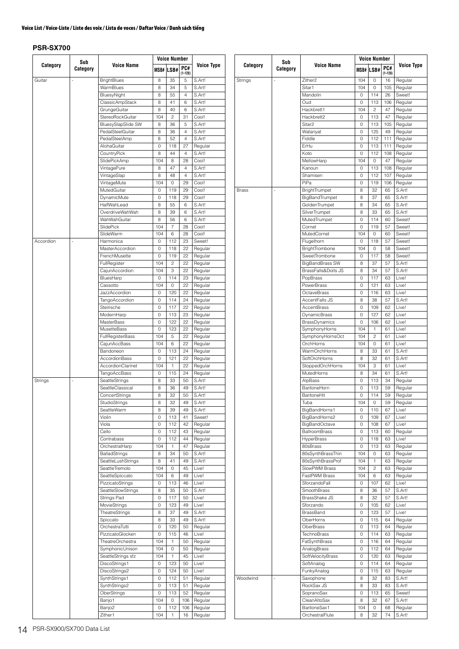| Category  | Sub      |                         |          | <b>Voice Number</b> |                    |                   |  |  |  |
|-----------|----------|-------------------------|----------|---------------------|--------------------|-------------------|--|--|--|
|           | Category | <b>Voice Name</b>       |          | MSB# LSB#           | PC#<br>$(1 - 128)$ | <b>Voice Type</b> |  |  |  |
| Guitar    |          | <b>BrightBlues</b>      | 8        | 35                  | 5                  | S.Art!            |  |  |  |
|           |          | WarmBlues               | 8        | 34                  | 5                  | S.Art!            |  |  |  |
|           |          | BluesyNight             | 8        | 55                  | 4                  | S.Art!            |  |  |  |
|           |          | ClassicAmpStack         | 8        | 41                  | 6                  | S.Art!            |  |  |  |
|           |          | GrungeGuitar            | 8        | 40                  | 6                  | S.Art!            |  |  |  |
|           |          | StereoRockGuitar        | 104      | $\overline{c}$      | 31                 | Cool!             |  |  |  |
|           |          | BluesySlapSlide SW      | 8        | 36                  | 5                  | S.Art!            |  |  |  |
|           |          | PedalSteelGuitar        | 8        | 36                  | 4                  | S.Art!            |  |  |  |
|           |          | PedalSteelAmp           | 8        | 52                  | 4                  | S.Art!            |  |  |  |
|           |          | AlohaGuitar             | 0        | 118                 | 27                 | Regular           |  |  |  |
|           |          | CountryPick             | 8        | 44                  | 4                  | S.Art!            |  |  |  |
|           |          | SlidePickAmp            | 104      | 8                   | 28                 | Cool!             |  |  |  |
|           |          | VintagePure             | 8        | 47                  | 4                  | S.Art!            |  |  |  |
|           |          | VintageSlap             | 8        | 48                  | 4                  | S.Art!            |  |  |  |
|           |          | VintageMute             | 104      | $\Omega$            | 29                 | Cool!             |  |  |  |
|           |          | MutedGuitar             | 0        | 119                 | 29                 | Cool!             |  |  |  |
|           |          | DynamicMute             | 0        | 118                 | 29                 | Cool!             |  |  |  |
|           |          | HalfWahLead             | 8        | 55                  | 6                  | S.Art!            |  |  |  |
|           |          | OverdriveWahWah         | 8        | 39                  | 6                  | S.Art!            |  |  |  |
|           |          | WahWahGuitar            | 8        | 56                  | 6                  | S.Art!            |  |  |  |
|           |          | SlidePick               | 104      | 7                   | 28                 | Cool!             |  |  |  |
|           |          | SlideWarm               | 104      | 6                   | 28                 | Cool!             |  |  |  |
| Accordion | ä,       | Harmonica               | 0        | 112                 | 23                 | Sweet!            |  |  |  |
|           |          | <b>MasterAccordion</b>  | $\Omega$ | 118                 | 22                 | Regular           |  |  |  |
|           |          | FrenchMusette           | 0        | 119                 | 22                 | Regular           |  |  |  |
|           |          | FullRegister            | 104      | 2                   | 22                 | Regular           |  |  |  |
|           |          | CajunAccordion          | 104      | 3                   | 22                 | Regular           |  |  |  |
|           |          | BluesHarp               | 0        | 114                 | 23                 | Regular           |  |  |  |
|           |          | Cassotto                | 104      | 0                   | 22                 | Regular           |  |  |  |
|           |          | JazzAccordion           | 0        | 120                 | 22                 | Regular           |  |  |  |
|           |          | <b>TangoAccordion</b>   | 0        | 114                 | 24                 | Regular           |  |  |  |
|           |          | Steirische              | 0        | 117                 | 22                 | Regular           |  |  |  |
|           |          | ModernHarp              | 0        | 113                 | 23                 | Regular           |  |  |  |
|           |          | <b>MasterBass</b>       | 0        | 122                 | 22                 | Regular           |  |  |  |
|           |          | MusetteBass             | 0        | 123                 | 22                 | Regular           |  |  |  |
|           |          | <b>FullRegisterBass</b> | 104      | 5                   | 22                 | Regular           |  |  |  |
|           |          | CajunAccBass            | 104      | 6                   | 22                 | Regular           |  |  |  |
|           |          | Bandoneon               | 0        | 113                 | 24                 | Regular           |  |  |  |
|           |          | AccordionBass           | 0        | 121                 | 22                 | Regular           |  |  |  |
|           |          | AccordionClarinet       | 104      | $\mathbf{1}$        | 22                 | Regular           |  |  |  |
|           |          | <b>TangoAccBass</b>     | 0        | 115                 | 24                 | Regular           |  |  |  |
| Strings   | L,       | SeattleStrings          | 8        | 33                  | 50                 | S.Art!            |  |  |  |
|           |          | SeattleClassical        | 8        | 36                  | 49                 | S.Art!            |  |  |  |
|           |          |                         |          | 32                  |                    |                   |  |  |  |
|           |          | ConcertStrings          | 8        |                     | 50                 | S.Art!            |  |  |  |
|           |          | StudioStrings           | 8        | 32                  | 49                 | S.Art!            |  |  |  |
|           |          | SeattleWarm             | 8        | 39                  | 49                 | S.Art!            |  |  |  |
|           |          | Violin                  | 0        | 113                 | 41                 | Sweet!            |  |  |  |
|           |          | Viola                   | 0        | 112                 | 42                 | Regular           |  |  |  |
|           |          | Cello                   | 0        | 112                 | 43                 | Regular           |  |  |  |
|           |          | Contrabass              | 0        | 112                 | 44                 | Regular           |  |  |  |
|           |          | OrchestralHarp          | 104      | 1                   | 47                 | Regular           |  |  |  |
|           |          | <b>BalladStrings</b>    | 8        | 34                  | 50                 | S.Art!            |  |  |  |
|           |          | SeattleLushStrings      | 8        | 41                  | 49                 | S.Art!            |  |  |  |
|           |          | SeattleTremolo          | 104      | 0                   | 45                 | Live!             |  |  |  |
|           |          | SeattleSpiccato         | 104      | 6                   | 49                 | Live!             |  |  |  |
|           |          | PizzicatoStrings        | 0        | 113                 | 46                 | Live!             |  |  |  |
|           |          | SeattleSlowStrings      | 8        | 35                  | 50                 | S.Art!            |  |  |  |
|           |          | Strings Pad             | 0        | 117                 | 50                 | Live!             |  |  |  |
|           |          | MovieStrings            | 0        | 123                 | 49                 | Live!             |  |  |  |
|           |          | TheatreStrings          | 8        | 37                  | 49                 | S.Art!            |  |  |  |
|           |          | Spiccato                | 8        | 33                  | 49                 | S.Art!            |  |  |  |
|           |          | OrchestraTutti          | 0        | 120                 | 50                 | Regular           |  |  |  |
|           |          | PizzicatoGlocken        | 0        | 115                 | 46                 | Live!             |  |  |  |
|           |          | TheatreOrchestra        | 104      | 1                   | 50                 | Regular           |  |  |  |
|           |          | SymphonicUnison         | 104      | 0                   | 50                 | Regular           |  |  |  |
|           |          | SeattleStrings sfz      | 104      | 1                   | 45                 | Live!             |  |  |  |
|           |          | DiscoStrings1           | 0        | 123                 | 50                 | Live!             |  |  |  |
|           |          | DiscoStrings2           | 0        | 124                 | 50                 | Live!             |  |  |  |
|           |          | SynthStrings1           | 0        | 112                 | 51                 | Regular           |  |  |  |
|           |          | SynthStrings2           | 0        | 113                 | 51                 | Regular           |  |  |  |
|           |          | OberStrings             | 0        | 113                 | 52                 | Regular           |  |  |  |
|           |          | Banjo1                  | 104      | 0                   | 106                | Regular           |  |  |  |
|           |          | Banjo <sub>2</sub>      | 0        | 112                 | 106                | Regular           |  |  |  |

|          | Sub      |                                        | Voice Number |                  |                    |                    |  |  |
|----------|----------|----------------------------------------|--------------|------------------|--------------------|--------------------|--|--|
| Category | Category | <b>Voice Name</b>                      |              | <b>MSB# LSB#</b> | PC#<br>$(1 - 128)$ | <b>Voice Type</b>  |  |  |
| Strings  | J,       | Zither <sub>2</sub>                    | 104          | 0                | 16                 | Regular            |  |  |
|          |          | Sitar1                                 | 104          | 0                | 105                | Regular            |  |  |
|          |          | Mandolin                               | 0            | 114              | 26                 | Sweet!             |  |  |
|          |          | Oud                                    | 0            | 113              | 106                | Regular            |  |  |
|          |          | Hackbrett1                             | 104          | 2                | 47                 | Regular            |  |  |
|          |          | Hackbrett2                             | 0            | 113              | 47                 | Regular            |  |  |
|          |          | Sitar <sub>2</sub>                     | 0            | 113              | 105                | Regular            |  |  |
|          |          | Watariyat                              | 0            | 125              | 49                 | Regular            |  |  |
|          |          | Fiddle<br>ErHu                         | 0<br>0       | 112<br>113       | 111<br>111         | Regular            |  |  |
|          |          | Koto                                   | 0            | 112              | 108                | Regular<br>Regular |  |  |
|          |          | MellowHarp                             | 104          | 0                | 47                 | Regular            |  |  |
|          |          | Kanoun                                 | 0            | 113              | 108                | Regular            |  |  |
|          |          | Shamisen                               | 0            | 112              | 107                | Regular            |  |  |
|          |          | PiPa                                   | 0            | 119              | 106                | Regular            |  |  |
| Brass    |          | BrightTrumpet                          | 8            | 32               | 65                 | S.Art!             |  |  |
|          |          | BigBandTrumpet                         | 8            | 37               | 65                 | S.Art!             |  |  |
|          |          | GoldenTrumpet                          | 8            | 34               | 65                 | S.Art!             |  |  |
|          |          | SilverTrumpet                          | 8            | 33               | 65                 | S.Art!             |  |  |
|          |          | MutedTrumpet                           | 0            | 114              | 60                 | Sweet!             |  |  |
|          |          | Cornet                                 | 0            | 119              | 57                 | Sweet!             |  |  |
|          |          | MutedCornet                            | 104          | 0                | 60                 | Sweet!             |  |  |
|          |          | Flugelhorn                             | 0<br>104     | 118<br>0         | 57<br>58           | Sweet!<br>Sweet!   |  |  |
|          |          | <b>BrightTrombone</b><br>SweetTrombone | 0            | 117              | 58                 | Sweet!             |  |  |
|          |          | <b>BigBandBrass SW</b>                 | 8            | 37               | 57                 | S.Art!             |  |  |
|          |          | BrassFalls&Doits JS                    | 8            | 34               | 57                 | S.Art!             |  |  |
|          |          | PopBrass                               | 0            | 117              | 63                 | Live!              |  |  |
|          |          | PowerBrass                             | 0            | 121              | 63                 | Live!              |  |  |
|          |          | OctaveBrass                            | 0            | 116              | 63                 | Live!              |  |  |
|          |          | AccentFalls JS                         | 8            | 38               | 57                 | S.Art!             |  |  |
|          |          | <b>AccentBrass</b>                     | 0            | 109              | 62                 | Live!              |  |  |
|          |          | DynamicBrass                           | 0            | 127              | 62                 | Live!              |  |  |
|          |          | BrassDynamics                          | 0            | 106              | 62                 | Live!              |  |  |
|          |          | SymphonyHorns                          | 104          | 1                | 61                 | Live!              |  |  |
|          |          | SymphonyHornsOct                       | 104          | $\overline{c}$   | 61                 | Live!              |  |  |
|          |          | OrchHorns                              | 104          | 0                | 61                 | Live!              |  |  |
|          |          | WarmOrchHorns                          | 8            | 33               | 61                 | S.Art!             |  |  |
|          |          | SoftOrchHorns                          | 8            | 32               | 61                 | S.Art!             |  |  |
|          |          | StoppedOrchHorns                       | 104          | 3                | 61                 | Live!              |  |  |
|          |          | MutedHorns                             | 8            | 34               | 61                 | S.Art!             |  |  |
|          |          | AlpBass<br>BaritoneHorn                | 0<br>0       | 113<br>113       | 34<br>59           | Regular<br>Regular |  |  |
|          |          | BaritoneHit                            | 0            | 114              | 59                 | Regular            |  |  |
|          |          | Tuba                                   | 104          | 0                | 59                 | Regular            |  |  |
|          |          | BigBandHorns1                          | 0            | 110              | 67                 | Live!              |  |  |
|          |          | BigBandHorns2                          | 0            | 109              | 67                 | Live!              |  |  |
|          |          | <b>BigBandOctave</b>                   | 0            | 108              | 67                 | Live!              |  |  |
|          |          | BallroomBrass                          | 0            | 113              | 60                 | Regular            |  |  |
|          |          | <b>HyperBrass</b>                      | 0            | 118              | 63                 | Live!              |  |  |
|          |          | 80sBrass                               | 0            | 113              | 63                 | Regular            |  |  |
|          |          | 80sSynthBrassThin                      | 104          | 0                | 63                 | Regular            |  |  |
|          |          | 80sSynthBrassProf                      | 104          | 1                | 63                 | Regular            |  |  |
|          |          | SlowPWM Brass                          | 104          | 2                | 63                 | Regular            |  |  |
|          |          | FastPWM Brass                          | 104          | 6                | 63                 | Regular            |  |  |
|          |          | SforzandoFall                          | 0            | 107              | 62                 | Live!              |  |  |
|          |          | <b>SmoothBrass</b>                     | 8            | 36               | 57                 | S.Art!             |  |  |
|          |          | BrassShake JS                          | 8            | 32               | 57                 | S.Art!             |  |  |
|          |          | Sforzando                              | 0            | 105              | 62                 | Live!              |  |  |
|          |          | BrassBand                              | 0            | 123              | 57                 | Live!              |  |  |
|          |          | OberHorns                              | 0            | 115              | 64                 | Regular            |  |  |
|          |          | OberBrass<br>TechnoBrass               | 0<br>0       | 113<br>114       | 64<br>63           | Regular<br>Regular |  |  |
|          |          | FatSynthBrass                          | 0            | 116              | 64                 | Regular            |  |  |
|          |          | AnalogBrass                            | 0            | 112              | 64                 | Regular            |  |  |
|          |          | SoftVelocityBrass                      | 0            | 120              | 63                 | Regular            |  |  |
|          |          | SoftAnalog                             | 0            | 114              | 64                 | Regular            |  |  |
|          |          | FunkyAnalog                            | 0            | 115              | 63                 | Regular            |  |  |
| Woodwind |          | Saxophone                              | 8            | 32               | 83                 | S.Art!             |  |  |
|          |          | RockSax JS                             | 8            | 33               | 83                 | S.Art!             |  |  |
|          |          | SopranoSax                             | 0            | 113              | 65                 | Sweet!             |  |  |
|          |          | CleanAltoSax                           | 8            | 32               | 67                 | S.Art!             |  |  |
|          |          | BaritoneSax1                           | 104          | 0                | 68                 | Regular            |  |  |
|          |          | OrchestralFlute                        | 8            | 32               | 74                 | S.Art!             |  |  |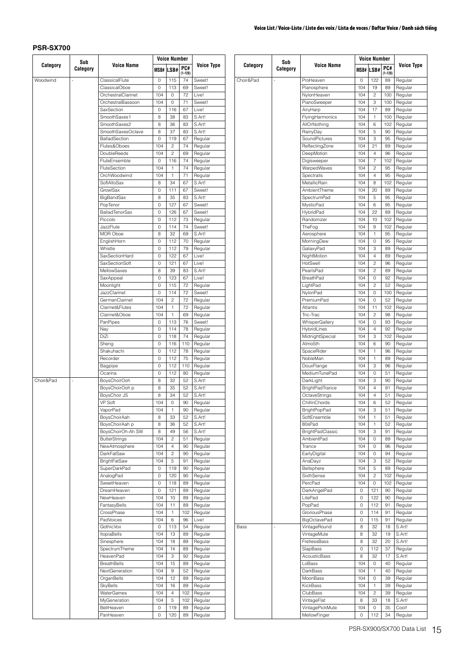|           | Sub      |                                     |             | <b>Voice Number</b>          |                    |                    |       |
|-----------|----------|-------------------------------------|-------------|------------------------------|--------------------|--------------------|-------|
| Category  | Category | <b>Voice Name</b>                   |             | MSB# LSB#                    | PC#<br>$(1 - 128)$ | <b>Voice Type</b>  |       |
| Woodwind  | i,       | ClassicalFlute                      | 0           | 115                          | 74                 | Sweet!             | Choir |
|           |          | <b>ClassicalOboe</b>                | $\mathbf 0$ | 113                          | 69                 | Sweet!             |       |
|           |          | OrchestralClarinet                  | 104         | 0                            | 72                 | Live!              |       |
|           |          | OrchestralBassoon                   | 104         | 0                            | 71                 | Sweet!             |       |
|           |          | SaxSection                          | 0           | 116                          | 67                 | Live!              |       |
|           |          | SmoothSaxes1                        | 8           | 38                           | 83                 | S.Art!             |       |
|           |          | SmoothSaxes2                        | 8           | 36                           | 83                 | S.Art!             |       |
|           |          | SmoothSaxesOctave                   | 8           | 37                           | 83                 | S.Art!             |       |
|           |          | BalladSection                       | 0           | 119                          | 67                 | Regular            |       |
|           |          | Flutes&Oboes                        | 104         | $\overline{c}$               | 74                 | Regular            |       |
|           |          | DoubleReeds                         | 104         | $\overline{c}$               | 69                 | Regular            |       |
|           |          | FluteEnsemble<br>FluteSection       | 0           | 116                          | 74                 | Regular            |       |
|           |          | OrchWoodwind                        | 104<br>104  | $\mathbf{1}$<br>$\mathbf{1}$ | 74<br>71           | Regular            |       |
|           |          | SoftAltoSax                         | 8           | 34                           | 67                 | Regular<br>S.Art!  |       |
|           |          | GrowlSax                            | 0           | 111                          | 67                 | Sweet!             |       |
|           |          | BigBandSax                          | 8           | 35                           | 83                 | S.Art!             |       |
|           |          | PopTenor                            | 0           | 127                          | 67                 | Sweet!             |       |
|           |          | <b>BalladTenorSax</b>               | 0           | 126                          | 67                 | Sweet!             |       |
|           |          | Piccolo                             | 0           | 112                          | 73                 | Regular            |       |
|           |          | JazzFlute                           | 0           | 114                          | 74                 | Sweet!             |       |
|           |          | MOR Oboe                            | 8           | 32                           | 69                 | S.Art!             |       |
|           |          | EnglishHorn                         | 0           | 112                          | 70                 | Regular            |       |
|           |          | Whistle                             | 0           | 112                          | 79                 | Regular            |       |
|           |          | SaxSectionHard                      | 0           | 122                          | 67                 | Live!              |       |
|           |          | <b>SaxSectionSoft</b>               | 0           | 121                          | 67                 | Live!              |       |
|           |          | MellowSaxes                         | 8           | 39                           | 83                 | S.Art!             |       |
|           |          | SaxAppeal                           | 0           | 123                          | 67                 | Live!              |       |
|           |          | Moonlight                           | 0           | 115                          | 72                 | Regular            |       |
|           |          | <b>JazzClarinet</b>                 | 0           | 114                          | 72                 | Sweet!             |       |
|           |          | GermanClarinet                      | 104         | $\overline{c}$               | 72                 | Regular            |       |
|           |          | Clarinet&Flutes                     | 104         | 1                            | 72                 | Regular            |       |
|           |          | Clarinet&Oboe                       | 104         | 1                            | 69                 | Regular            |       |
|           |          | PanPipes                            | 0           | 113                          | 76                 | Sweet!             |       |
|           |          | Nay                                 | 0           | 114                          | 78                 | Regular            |       |
|           |          | DiZi                                | 0           | 118                          | 74                 | Regular            |       |
|           |          | Sheng                               | 0           | 116                          | 110                | Regular            |       |
|           |          | Shakuhachi                          | 0           | 112                          | 78                 | Regular            |       |
|           |          | Recorder                            | 0           | 112                          | 75                 | Regular            |       |
|           |          | Bagpipe                             | 0           | 112                          | 110                | Regular            |       |
|           |          | Ocarina                             | 0           | 112                          | 80                 | Regular            |       |
| Choir&Pad | J,       | BoysChoirOoh                        | 8           | 32                           | 52                 | S.Art!             |       |
|           |          | BoysChoirOoh p                      | 8           | 35                           | 52                 | S.Art!             |       |
|           |          | BoysChoir JS                        | 8           | 34                           | 52                 | S.Art!             |       |
|           |          | VP Soft                             | 104         | U                            | 90                 | Regular            |       |
|           |          | VaporPad                            | 104         | 1                            | 90                 | Regular            |       |
|           |          | BoysChoirAah                        | 8           | 33                           | 52                 | S.Art!             |       |
|           |          | BoysChoirAah p                      | 8           | 36                           | 52                 | S.Art!             |       |
|           |          | BoysChoirOh-Ah SW                   | 8           | 49                           | 56                 | S.Art!             |       |
|           |          | <b>ButterStrings</b>                | 104         | $\overline{c}$               | 51                 | Regular            |       |
|           |          | NewAtmosphere                       | 104         | 4                            | 90                 | Regular            |       |
|           |          | DarkFatSaw                          | 104         | 2<br>5                       | 90                 | Regular            |       |
|           |          | <b>BrightFatSaw</b><br>SuperDarkPad | 104<br>0    |                              | 91<br>90           | Regular<br>Regular |       |
|           |          | AnalogPad                           | 0           | 119<br>120                   | 90                 | Regular            |       |
|           |          | SweetHeaven                         | 0           | 118                          | 89                 | Regular            |       |
|           |          | DreamHeaven                         | 0           | 121                          | 89                 | Regular            |       |
|           |          | NewHeaven                           | 104         | 10                           | 89                 | Regular            |       |
|           |          | FantasyBells                        | 104         | 11                           | 89                 | Regular            |       |
|           |          | CrossPhase                          | 104         | $\mathbf{1}$                 | 102                | Regular            |       |
|           |          | PadVoices                           | 104         | 6                            | 96                 | Live!              |       |
|           |          | GothicVox                           | 0           | 113                          | 54                 | Regular            | Bass  |
|           |          | <b>ItopiaBells</b>                  | 104         | 13                           | 89                 | Regular            |       |
|           |          | Sinesphere                          | 104         | 18                           | 89                 | Regular            |       |
|           |          | SpectrumTheme                       | 104         | 14                           | 89                 | Regular            |       |
|           |          | HeavenPad                           | 104         | 3                            | 92                 | Regular            |       |
|           |          | <b>BreathBells</b>                  | 104         | 15                           | 89                 | Regular            |       |
|           |          | NextGeneration                      | 104         | 9                            | 52                 | Regular            |       |
|           |          | OrganBells                          | 104         | 12                           | 89                 | Regular            |       |
|           |          | SkyBells                            | 104         | 16                           | 89                 | Regular            |       |
|           |          | WaterGames                          | 104         | 4                            | 102                | Regular            |       |
|           |          | MyGeneration                        | 104         | 5                            | 102                | Regular            |       |
|           |          | BellHeaven                          | 0           | 119                          | 89                 | Regular            |       |
|           |          | PanHeaven                           | 0           | 120                          | 89                 | Regular            |       |
|           |          |                                     |             |                              |                    |                    |       |

|           | Sub      |                                |            | <b>Voice Number</b> |                   |                    |
|-----------|----------|--------------------------------|------------|---------------------|-------------------|--------------------|
| Category  | Category | <b>Voice Name</b>              | MSB#       | LSB#                | PC#               | <b>Voice Type</b>  |
| Choir&Pad |          | ProHeaven                      | 0          | 122                 | $(1 - 128)$<br>89 | Regular            |
|           |          | Pianosphere                    | 104        | 19                  | 89                | Regular            |
|           |          | NylonHeaven                    | 104        | 2                   | 100               | Regular            |
|           |          | PianoSweeper                   | 104        | 3                   | 100               | Regular            |
|           |          | AiryHarp                       | 104        | 17                  | 89                | Regular            |
|           |          | FlyingHarmonics                | 104        | 1                   | 100               | Regular            |
|           |          | AllOrNothing                   | 104        | 6                   | 102               | Regular            |
|           |          | RainyDay                       | 104        | 5                   | 90                | Regular            |
|           |          | SoundPictures                  | 104        | 3                   | 95                | Regular            |
|           |          | ReflectingZone                 | 104        | 21                  | 89                | Regular            |
|           |          | DeepMotion                     | 104        | 4                   | 96                | Regular            |
|           |          | Digisweeper                    | 104        | 7                   | 102               | Regular            |
|           |          | WarpedWaves                    | 104        | 2                   | 95                | Regular            |
|           |          | Spectralis                     | 104        | 4                   | 95                | Regular            |
|           |          | MetallicRain                   | 104        | 8                   | 102               | Regular            |
|           |          | AmbientTheme                   | 104        | 20                  | 89                | Regular            |
|           |          | SpectrumPad                    | 104        | 5                   | 95                | Regular            |
|           |          | MysticPad                      | 104        | 6                   | 95                | Regular            |
|           |          | HybridPad                      | 104        | 22                  | 89                | Regular            |
|           |          | Randomizer                     | 104        | 10                  | 102               | Regular            |
|           |          | TheFog                         | 104        | 9                   | 102               | Regular            |
|           |          | Aerosphere                     | 104        | 1                   | 95                | Regular            |
|           |          | MorningDew                     | 104        | 0                   | 95                | Regular            |
|           |          | GalaxyPad                      | 104        | 3                   | 89                | Regular            |
|           |          | NightMotion                    | 104        | 4                   | 89                | Regular            |
|           |          | HotSwell                       | 104        | 2                   | 96                | Regular            |
|           |          | PearlsPad                      | 104        | 2                   | 89                | Regular            |
|           |          | BreathPad                      | 104        | 0                   | 92                | Regular            |
|           |          | LightPad                       | 104        | 2                   | 52                | Regular            |
|           |          | NylonPad                       | 104        | 0                   | 100               | Regular            |
|           |          | PremiumPad                     | 104        | 0                   | 52                | Regular            |
|           |          | Atlantis                       | 104        | 11                  | 102               | Regular            |
|           |          | Tric-Trac                      | 104        | 2                   | 98                | Regular            |
|           |          | WhisperGallery                 | 104        | 0                   | 93                | Regular            |
|           |          | HybridLines                    | 104        | 4                   | 92                | Regular            |
|           |          | MidnightSpecial                | 104        | 3                   | 102               | Regular            |
|           |          | Atmo5th                        | 104        | 6                   | 90                | Regular            |
|           |          | SpaceRider                     | 104        | 1                   | 96                | Regular            |
|           |          | NobleMan                       | 104        | 1                   | 89                | Regular            |
|           |          | DouxFlange<br>MediumTunePad    | 104        | 3                   | 96                | Regular            |
|           |          |                                | 104        | 0                   | 51                | Regular            |
|           |          | DarkLight                      | 104        | 3<br>4              | 90                | Regular            |
|           |          | <b>BrightPadTrance</b>         | 104<br>104 | 4                   | 91<br>51          | Regular<br>Regular |
|           |          | OctaveStrings<br>ChillinChords |            | 6                   | 52                |                    |
|           |          | <b>BrightPopPad</b>            | 104<br>104 | З                   | 51                | Regular<br>Regular |
|           |          | SoftEnsemble                   | 104        | 1                   | 51                | Regular            |
|           |          | 80sPad                         | 104        | 1                   | 52                | Regular            |
|           |          | <b>BrightPadClassic</b>        | 104        | 3                   | 91                | Regular            |
|           |          | <b>AmbientPad</b>              | 104        | 0                   | 89                | Regular            |
|           |          | Trance                         | 104        | 0                   | 96                | Regular            |
|           |          | EarlyDigital                   | 104        | 0                   | 94                | Regular            |
|           |          | AnaDayz                        | 104        | З                   | 52                | Regular            |
|           |          | Bellsphere                     | 104        | 5                   | 89                | Regular            |
|           |          | SixthSense                     | 104        | 2                   | 102               | Regular            |
|           |          | PercPad                        | 104        | 0                   | 102               | Regular            |
|           |          | DarkAngelPad                   | 0          | 121                 | 90                | Regular            |
|           |          | LitePad                        | 0          | 122                 | 90                | Regular            |
|           |          | PopPad                         | 0          | 112                 | 91                | Regular            |
|           |          | GloriousPhase                  | 0          | 114                 | 91                | Regular            |
|           |          | BigOctavePad                   | 0          | 115                 | 91                | Regular            |
| Bass      |          | VintageRound                   | 8          | 32                  | 18                | S.Art!             |
|           |          | VintageMute                    | 8          | 32                  | 19                | S.Art!             |
|           |          | FretlessBass                   | 8          | 32                  | 20                | S.Art!             |
|           |          | SlapBass                       | 0          | 112                 | 37                | Regular            |
|           |          | AcousticBass                   | 8          | 32                  | 17                | S.Art!             |
|           |          | LoBass                         | 104        | 0                   | 40                | Regular            |
|           |          | DarkBass                       | 104        | 1                   | 40                | Regular            |
|           |          | MoonBass                       | 104        | 0                   | 39                | Regular            |
|           |          | KickBass                       | 104        | 1                   | 39                | Regular            |
|           |          | ClubBass                       | 104        | 2                   | 39                | Regular            |
|           |          | VintageFlat                    | 8          | 33                  | 18                | S.Art!             |
|           |          | VintagePickMute                | 104        | 0                   | 35                | Cool!              |
|           |          | MellowFinger                   | 0          | 112                 | 34                | Regular            |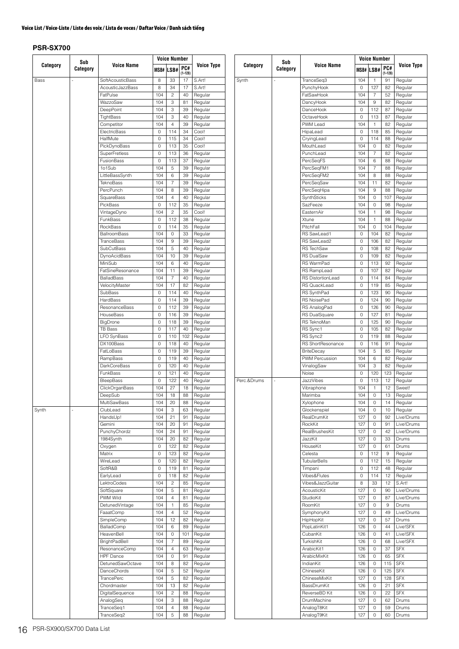|          | Sub      |                           |                        | <b>Voice Number</b>           |                    |                    |             | Sub      |                                   |                                            | <b>Voice Number</b>                     |                    |                          |
|----------|----------|---------------------------|------------------------|-------------------------------|--------------------|--------------------|-------------|----------|-----------------------------------|--------------------------------------------|-----------------------------------------|--------------------|--------------------------|
| Category | Category | <b>Voice Name</b>         | MSB#                   | LSB#                          | PC#<br>$(1 - 128)$ | <b>Voice Type</b>  | Category    | Category | <b>Voice Name</b>                 |                                            | MSB# LSB#                               | PC#<br>$(1 - 128)$ | Voice Type               |
| Bass     |          | SoftAcousticBass          | 8                      | 33                            | 17                 | S.Art!             | Synth       |          | TranceSeq3                        | 104                                        | $\mathbf{1}$                            | 91                 | Regular                  |
|          |          | AcousticJazzBass          | 8                      | 34                            | 17                 | S.Art!             |             |          | PunchyHook                        | $\mathsf O$                                | 127                                     | 82                 | Regular                  |
|          |          | FatPulse                  | 104                    | $\overline{c}$                | 40                 | Regular            |             |          | FatSawHook                        | 104                                        | $\overline{7}$                          | 52                 | Regular                  |
|          |          | WazzoSaw                  | 104                    | 3<br>3                        | 81                 | Regular            |             |          | DancyHook<br>DanceHook            | 104                                        | $\boldsymbol{9}$<br>112                 | 82                 | Regular                  |
|          |          | DeepPoint<br>TightBass    | 104<br>104             | 3                             | 39<br>40           | Regular<br>Regular |             |          | OctaveHook                        | $\mathsf O$<br>$\mathsf{O}\xspace$         | 113                                     | 87<br>87           | Regular<br>Regular       |
|          |          | Competitor                | 104                    | $\overline{4}$                | 39                 | Regular            |             |          | PWM Lead                          | 104                                        | $\mathbf{1}$                            | 82                 | Regular                  |
|          |          | ElectricBass              | $\circ$                | 114                           | 34                 | Cool!              |             |          | HipaLead                          | $\mathbf 0$                                | 118                                     | 85                 | Regular                  |
|          |          | HalfMute                  | $\mathbf 0$            | 115                           | 34                 | Cool!              |             |          | CryingLead                        | $\mathsf O$                                | 114                                     | 88                 | Regular                  |
|          |          | PickDynoBass              | $\mathbf 0$            | 113                           | 35                 | Cool!              |             |          | MouthLead                         | 104                                        | $\mathsf{O}\xspace$                     | 82                 | Regular                  |
|          |          | <b>SuperFretless</b>      | $\mathbf 0$            | 113                           | 36                 | Regular            |             |          | PunchLead                         | 104                                        | $\overline{7}$                          | 82                 | Regular                  |
|          |          | FusionBass                | $\circ$                | 113                           | 37                 | Regular            |             |          | PercSeqFS                         | 104                                        | 6                                       | 88                 | Regular                  |
|          |          | 1o1Sub                    | 104                    | $\sqrt{5}$                    | 39                 | Regular            |             |          | PercSeqFM1                        | 104                                        | $\overline{7}$                          | 88                 | Regular                  |
|          |          | LittleBassSynth           | 104                    | 6                             | 39                 | Regular            |             |          | PercSeqFM2                        | 104                                        | 8                                       | 88                 | Regular                  |
|          |          | TeknoBass                 | 104                    | $\overline{7}$                | 39                 | Regular            |             |          | PercSeqSaw                        | 104                                        | 11                                      | 82                 | Regular                  |
|          |          | PercPunch                 | 104<br>104             | 8<br>$\overline{4}$           | 39<br>40           | Regular            |             |          | PercSeqHipa                       | 104<br>104                                 | $\boldsymbol{9}$<br>$\mathsf{O}\xspace$ | 88<br>107          | Regular                  |
|          |          | SquareBass<br>PickBass    | $\circ$                | 112                           | 35                 | Regular<br>Regular |             |          | SynthSticks<br>SazFeeze           | 104                                        | $\mathsf{O}\xspace$                     | 98                 | Regular<br>Regular       |
|          |          | VintageDyno               | 104                    | $\overline{c}$                | 35                 | Cool!              |             |          | EasternAir                        | 104                                        | $\mathbf{1}$                            | 98                 | Regular                  |
|          |          | FunkBass                  | $\circ$                | 112                           | 38                 | Regular            |             |          | Xtune                             | 104                                        | $\mathbf{1}$                            | 88                 | Regular                  |
|          |          | RockBass                  | $\mathbf 0$            | 114                           | 35                 | Regular            |             |          | PitchFall                         | 104                                        | $\mathsf O$                             | 104                | Regular                  |
|          |          | <b>BallroomBass</b>       | 104                    | $\mathsf O$                   | 33                 | Regular            |             |          | RS SawLead1                       | $\mathsf O$                                | 104                                     | 82                 | Regular                  |
|          |          | TranceBass                | 104                    | $9\,$                         | 39                 | Regular            |             |          | RS SawLead2                       | $\mathsf{O}\xspace$                        | 106                                     | 82                 | Regular                  |
|          |          | SubCutBass                | 104                    | 5                             | 40                 | Regular            |             |          | <b>RS TechSaw</b>                 | $\mathsf O$                                | 108                                     | 82                 | Regular                  |
|          |          | DynoAcidBass              | 104                    | 10                            | 39                 | Regular            |             |          | <b>RS DualSaw</b>                 | $\mathsf{O}\xspace$                        | 109                                     | 82                 | Regular                  |
|          |          | MiniSub                   | 104                    | 6                             | 40                 | Regular            |             |          | RS WarmPad                        | $\mathsf{O}\xspace$                        | 113                                     | 92                 | Regular                  |
|          |          | FatSineResonance          | 104                    | 11                            | 39                 | Regular            |             |          | RS RampLead                       | $\mathbf 0$                                | 107                                     | 82                 | Regular                  |
|          |          | <b>BalladBass</b>         | 104                    | $\overline{7}$                | 40                 | Regular            |             |          | <b>RS</b> DistortionLead          | $\mathsf{O}\xspace$                        | 114                                     | 84                 | Regular                  |
|          |          | VelocityMaster            | 104                    | 17                            | 82                 | Regular            |             |          | <b>RS QuackLead</b>               | $\mathsf O$                                | 119                                     | 85                 | Regular                  |
|          |          | SubBass<br>HardBass       | $\mathbf 0$<br>$\circ$ | 114<br>114                    | 40<br>39           | Regular            |             |          | RS SynthPad<br><b>RS NoisePad</b> | $\mathsf{O}\xspace$<br>$\mathsf{O}\xspace$ | 123<br>124                              | 90<br>90           | Regular                  |
|          |          | ResonanceBass             | $\mathbf 0$            | 112                           | 39                 | Regular<br>Regular |             |          | RS AnalogPad                      | $\mathsf{O}\xspace$                        | 126                                     | 90                 | Regular<br>Regular       |
|          |          | HouseBass                 | $\mathbf 0$            | 116                           | 39                 | Regular            |             |          | RS DualSquare                     | $\mathsf{O}\xspace$                        | 127                                     | 81                 | Regular                  |
|          |          | BigDrone                  | $\circ$                | 118                           | 39                 | Regular            |             |          | RS TeknoMan                       | $\mathsf{O}\xspace$                        | 125                                     | 90                 | Regular                  |
|          |          | <b>TB Bass</b>            | $\mathbf 0$            | 117                           | 40                 | Regular            |             |          | RS Sync1                          | $\mathsf{O}\xspace$                        | 105                                     | 82                 | Regular                  |
|          |          | LFO SynBass               | $\mathbb O$            | 110                           | 102                | Regular            |             |          | RS Sync2                          | $\mathsf{O}\xspace$                        | 119                                     | 88                 | Regular                  |
|          |          | DX100Bass                 | $\mathbf 0$            | 118                           | 40                 | Regular            |             |          | RS ShortResonance                 | $\mathsf{O}\xspace$                        | 116                                     | 91                 | Regular                  |
|          |          | FatLoBass                 | $\circ$                | 119                           | 39                 | Regular            |             |          | <b>BriteDecay</b>                 | 104                                        | 5                                       | 85                 | Regular                  |
|          |          | RampBass                  | $\circ$                | 119                           | 40                 | Regular            |             |          | <b>PWM Percussion</b>             | 104                                        | 6                                       | 82                 | Regular                  |
|          |          | <b>DarkCoreBass</b>       | $\mathbf 0$            | 120                           | 40                 | Regular            |             |          | VinalogSaw                        | 104                                        | 3                                       | 82                 | Regular                  |
|          |          | FunkBass                  | $\circ$                | 121                           | 40                 | Regular            |             |          | Noise                             | $\mathsf O$                                | 120                                     | 123                | Regular                  |
|          |          | BleepBass                 | $\mathbf 0$            | 122                           | 40                 | Regular            | Perc.&Drums |          | <b>JazzVibes</b>                  | $\mathsf{O}\xspace$                        | 113                                     | 12                 | Regular                  |
|          |          | ClickOrganBass<br>DeepSub | 104<br>104             | 27<br>18                      | 18<br>88           | Regular<br>Regular |             |          | Vibraphone<br>Marimba             | 104<br>104                                 | $\mathbf{1}$<br>$\mathsf{O}\xspace$     | 12<br>13           | Sweet!                   |
|          |          | <b>MultiSawBass</b>       | 104                    | 20                            | 88                 | Regular            |             |          | Xylophone                         | 104                                        | 0                                       | 14                 | Regular<br>Regular       |
| Synth    |          | ClubLead                  | 104                    | 3                             | 63                 | Regular            |             |          | Glockenspiel                      | 104                                        | $\mathsf{O}\xspace$                     | 10                 | Regular                  |
|          |          | HandsUp!                  | 104                    | 21                            | 91                 | Regular            |             |          | RealDrumKit                       | 127                                        | $\mathsf O$                             | 92                 | Live!Drums               |
|          |          | Gemini                    | 104                    | 20                            | 91                 | Regular            |             |          | RockKit                           | 127                                        | $\mathsf O$                             | 91                 | Live!Drums               |
|          |          | PunchyChordz              | 104                    | 24                            | 91                 | Regular            |             |          | RealBrushesKit                    | 127                                        | $\mathsf{O}\xspace$                     | 42                 | Live!Drums               |
|          |          | 1984Synth                 | 104                    | 20                            | 82                 | Regular            |             |          | JazzKit                           | 127                                        | $\mathsf O$                             | 33                 | Drums                    |
|          |          | Oxygen                    | $\mathbf 0$            | 122                           | 82                 | Regular            |             |          | HouseKit                          | 127                                        | $\mathsf{O}\xspace$                     | 61                 | Drums                    |
|          |          | Matrix                    | $\circ$                | 123                           | 82                 | Regular            |             |          | Celesta                           | $\mathsf{O}\xspace$                        | 112                                     | 9                  | Regular                  |
|          |          | WireLead                  | $\mathsf O$            | 120                           | 82                 | Regular            |             |          | <b>TubularBells</b>               | $\mathsf O$                                | 112                                     | 15                 | Regular                  |
|          |          | SoftR&B                   | $\circ$                | 119                           | 81                 | Regular            |             |          | Timpani                           | $\mathsf{O}\xspace$                        | 112                                     | 48                 | Regular                  |
|          |          | EarlyLead                 | $\mathbb O$<br>104     | 118                           | 82                 | Regular<br>Regular |             |          | Vibes&Flutes<br>Vibes&JazzGuitar  | $\mathsf O$                                | 114<br>33                               | 12                 | Regular                  |
|          |          | LektroCodes<br>SoftSquare | 104                    | $\overline{c}$<br>$\,$ 5 $\,$ | 85<br>81           | Regular            |             |          | AcousticKit                       | 8<br>127                                   | $\mathsf O$                             | 12<br>90           | S.Art!<br>Live!Drums     |
|          |          | PWM Wild                  | 104                    | $\overline{4}$                | 81                 | Regular            |             |          | StudioKit                         | 127                                        | $\mathsf{O}\xspace$                     | 87                 | Live!Drums               |
|          |          | DetunedVintage            | 104                    | $\mathbf{1}$                  | 85                 | Regular            |             |          | RoomKit                           | 127                                        | $\mathsf O$                             | 9                  | Drums                    |
|          |          | FaaatComp                 | 104                    | $\overline{4}$                | 52                 | Regular            |             |          | SymphonyKit                       | 127                                        | $\mathsf O$                             | 49                 | Live!Drums               |
|          |          | SimpleComp                | 104                    | 12                            | 82                 | Regular            |             |          | HipHopKit                         | 127                                        | $\mathsf{O}\xspace$                     | 57                 | Drums                    |
|          |          | BalladComp                | 104                    | 6                             | 89                 | Regular            |             |          | PopLatinKit1                      | 126                                        | $\mathsf O$                             | 44                 | Live!SFX                 |
|          |          | HeavenBell                | 104                    | $\mathsf{O}\xspace$           | 101                | Regular            |             |          | CubanKit                          | 126                                        | $\mathsf{O}\xspace$                     | 41                 | Live!SFX                 |
|          |          | <b>BrightPadBell</b>      | 104                    | $\overline{7}$                | 89                 | Regular            |             |          | TurkishKit                        | 126                                        | $\mathsf{O}\xspace$                     | 68                 | Live!SFX                 |
|          |          | ResonanceComp             | 104                    | $\overline{4}$                | 63                 | Regular            |             |          | ArabicKit1                        | 126                                        | $\mathsf{O}\xspace$                     | 37                 | <b>SFX</b>               |
|          |          | <b>HPF</b> Dance          | 104                    | $\mathbb O$                   | 91                 | Regular            |             |          | ArabicMixKit                      | 126                                        | $\mathsf{O}\xspace$                     | 65                 | <b>SFX</b>               |
|          |          | DetunedSawOctave          | 104                    | 8                             | 82                 | Regular            |             |          | IndianKit                         | 126                                        | $\mathsf O$                             | 115                | <b>SFX</b>               |
|          |          | <b>DanceChords</b>        | 104                    | $\,$ 5 $\,$                   | 52                 | Regular            |             |          | ChineseKit                        | 126                                        | $\mathsf O$                             | 125                | <b>SFX</b>               |
|          |          | TrancePerc<br>Chordmaster | 104<br>104             | 5<br>13                       | 82<br>82           | Regular<br>Regular |             |          | ChineseMixKit<br>BassDrumKit      | 127<br>126                                 | $\mathsf O$<br>$\mathsf{O}\xspace$      | 128<br>21          | <b>SFX</b><br><b>SFX</b> |
|          |          | DigitalSequence           | 104                    | $\overline{c}$                | 88                 | Regular            |             |          | ReverseBD Kit                     | 126                                        | $\mathsf O$                             | 22                 | <b>SFX</b>               |
|          |          | AnalogSeq                 | 104                    | 3                             | 88                 | Regular            |             |          | DrumMachine                       | 127                                        | $\mathsf O$                             | 62                 | Drums                    |
|          |          | TranceSeq1                | 104                    | $\overline{4}$                | 88                 | Regular            |             |          | AnalogT8Kit                       | 127                                        | $\mathsf O$                             | 59                 | Drums                    |
|          |          | TranceSeq2                | 104                    | 5                             | 88                 | Regular            |             |          | AnalogT9Kit                       | 127                                        | $\circ$                                 | 60                 | Drums                    |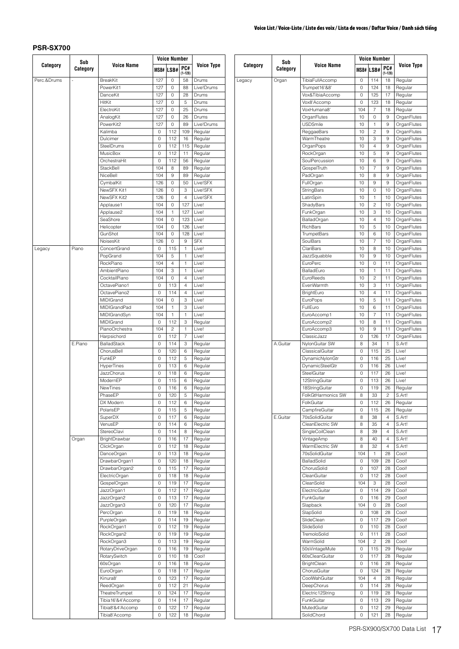|             | Sub      |                             |            | <b>Voice Number</b> |                    |                     |
|-------------|----------|-----------------------------|------------|---------------------|--------------------|---------------------|
| Category    | Category | <b>Voice Name</b>           |            | MSB# LSB#           | PC#<br>$(1 - 128)$ | <b>Voice Type</b>   |
| Perc.&Drums | i.       | <b>BreakKit</b>             | 127        | 0                   | 58                 | Drums               |
|             |          | PowerKit1                   | 127        | 0                   | 88                 | Live!Drums          |
|             |          | DanceKit                    | 127        | 0                   | 28                 | Drums               |
|             |          | HitKit                      | 127        | 0                   | 5                  | Drums               |
|             |          | ElectroKit                  | 127        | 0                   | 25                 | Drums               |
|             |          | AnalogKit                   | 127        | 0                   | 26                 | Drums               |
|             |          | PowerKit2                   | 127        | 0                   | 89                 | Live!Drums          |
|             |          | Kalimba                     | 0          | 112                 | 109                | Regular             |
|             |          | Dulcimer                    | 0          | 112                 | 16                 | Regular             |
|             |          | SteelDrums                  | 0          | 112                 | 115                | Regular             |
|             |          | <b>MusicBox</b>             | 0          | 112                 | 11                 | Regular             |
|             |          | OrchestraHit                | 0          | 112                 | 56                 | Regular             |
|             |          | StackBell                   | 104        | 8                   | 89                 | Regular             |
|             |          | NiceBell<br>CymbalKit       | 104<br>126 | 9<br>0              | 89<br>50           | Regular<br>Live!SFX |
|             |          | NewSFX Kit1                 | 126        | 0                   | 3                  | Live!SFX            |
|             |          | NewSFX Kit2                 | 126        | 0                   | $\overline{4}$     | Live!SFX            |
|             |          | Applause1                   | 104        | 0                   | 127                | Live!               |
|             |          | Applause2                   | 104        | 1                   | 127                | Live!               |
|             |          | SeaShore                    | 104        | 0                   | 123                | Live!               |
|             |          | Helicopter                  | 104        | 0                   | 126                | Live!               |
|             |          | GunShot                     | 104        | 0                   | 128                | Live!               |
|             |          | NoisesKit                   | 126        | 0                   | 9                  | <b>SFX</b>          |
| Legacy      | Piano    | ConcertGrand                | 0          | 115                 | $\mathbf{1}$       | Live!               |
|             |          | PopGrand                    | 104        | 5                   | 1                  | Live!               |
|             |          | RockPiano                   | 104        | 4                   | 1                  | Live!               |
|             |          | AmbientPiano                | 104        | 3                   | $\mathbf{1}$       | Live!               |
|             |          | CocktailPiano               | 104        | 0                   | $\overline{4}$     | Live!               |
|             |          | OctavePiano1                | 0          | 113                 | 4                  | Live!               |
|             |          | OctavePiano2                | 0          | 114                 | 4                  | Live!               |
|             |          | MIDIGrand                   | 104        | 0                   | 3                  | Live!               |
|             |          | MIDIGrandPad                | 104        | 1                   | 3                  | Live!               |
|             |          | MIDIGrandSyn                | 104        | 1                   | 1                  | Live!               |
|             |          | MIDIGrand                   | 0          | 112                 | 3                  | Regular             |
|             |          | PianoOrchestra              | 104        | $\overline{c}$      | 1                  | Live!               |
|             |          | Harpsichord                 | 0          | 112                 | 7                  | Live!               |
|             | E.Piano  | <b>BalladStack</b>          | 0          | 114                 | 3                  | Regular             |
|             |          | ChorusBell                  | 0          | 120                 | 6                  | Regular             |
|             |          | FunkEP<br><b>HyperTines</b> | 0<br>0     | 112<br>113          | 5<br>6             | Regular             |
|             |          | <b>JazzChorus</b>           | 0          | 118                 | 6                  | Regular<br>Regular  |
|             |          | ModernEP                    | 0          | 115                 | 6                  | Regular             |
|             |          | NewTines                    | 0          | 116                 | 6                  | Regular             |
|             |          | PhaseEP                     | 0          | 120                 | 5                  | Regular             |
|             |          | DX Modern                   | U          | 112                 | 6                  | Hegular             |
|             |          | PolarisEP                   | 0          | 115                 | 5                  | Regular             |
|             |          | SuperDX                     | 0          | 117                 | 6                  | Regular             |
|             |          | VenusEP                     | 0          | 114                 | 6                  | Regular             |
|             |          | StereoClavi                 | 0          | 114                 | 8                  | Regular             |
|             | Organ    | BrightDrawbar               | 0          | 116                 | 17                 | Regular             |
|             |          | ClickOrgan                  | 0          | 112                 | 18                 | Regular             |
|             |          | DanceOrgan                  | 0          | 113                 | 18                 | Regular             |
|             |          | DrawbarOrgan1               | 0          | 120                 | 18                 | Regular             |
|             |          | DrawbarOrgan2               | 0          | 115                 | 17                 | Regular             |
|             |          | ElectricOrgan               | 0          | 118                 | 18                 | Regular             |
|             |          | GospelOrgan                 | 0          | 119                 | 17                 | Regular             |
|             |          | JazzOrgan1                  | 0          | 112                 | 17                 | Regular             |
|             |          | JazzOrgan2                  | 0          | 113                 | 17                 | Regular             |
|             |          | JazzOrgan3                  | 0          | 120                 | 17                 | Regular             |
|             |          | PercOrgan                   | 0          | 119                 | 18                 | Regular             |
|             |          | PurpleOrgan                 | 0          | 114                 | 19                 | Regular             |
|             |          | RockOrgan1                  | 0          | 112                 | 19                 | Regular             |
|             |          | RockOrgan2                  | 0          | 119                 | 19                 | Regular             |
|             |          | RockOrgan3                  | 0          | 113                 | 19                 | Regular             |
|             |          | RotaryDriveOrgan            | 0          | 116                 | 19                 | Regular             |
|             |          | RotarySwitch                | 0          | 110                 | 18                 | Cool!               |
|             |          | 60sOrgan                    | 0          | 116                 | 18                 | Regular             |
|             |          | EuroOrgan                   | 0          | 118                 | 17                 | Regular             |
|             |          | Kinura8'                    | 0          | 123                 | 17                 | Regular             |
|             |          | ReedOrgan                   | 0          | 112                 | 21                 | Regular             |
|             |          | <b>TheatreTrumpet</b>       | 0          | 124                 | 17                 | Regular             |
|             |          | Tibia16'&4'Accomp           | 0          | 114                 | 17                 | Regular             |
|             |          | Tibia8'&4'Accomp            | 0          | 122                 | 17                 | Regular             |
|             |          | Tibia8'Accomp               | 0          | 122                 | 18                 | Regular             |

|          | Sub      |                    |     | <b>Voice Number</b> |                    |                   |
|----------|----------|--------------------|-----|---------------------|--------------------|-------------------|
| Category | Category | <b>Voice Name</b>  |     | MSB# LSB#           | PC#<br>$(1 - 128)$ | <b>Voice Type</b> |
| Legacy   | Organ    | TibiaFullAccomp    | 0   | 114                 | 18                 | Regular           |
|          |          | Trumpet16'&8'      | 0   | 124                 | 18                 | Regular           |
|          |          | Vox&TibiaAccomp    | 0   | 125                 | 17                 | Regular           |
|          |          | Vox8'Accomp        | 0   | 123                 | 18                 | Regular           |
|          |          | VoxHumana8'        | 104 | 7                   | 18                 | Regular           |
|          |          | OrganFlutes        | 10  | 0                   | 9                  | OrganFlutes       |
|          |          | <b>USDSmile</b>    | 10  | 1                   | 9                  | OrganFlutes       |
|          |          | ReggaeBars         | 10  | 2                   | 9                  | OrganFlutes       |
|          |          | WarmTheatre        | 10  | 3                   | 9                  | OrganFlutes       |
|          |          | OrganPops          | 10  | 4                   | 9                  | OrganFlutes       |
|          |          | RockOrgan          | 10  | 5                   | 9                  | OrganFlutes       |
|          |          | SoulPercussion     | 10  | 6                   | 9                  | OrganFlutes       |
|          |          | GospelTruth        | 10  | 7                   | 9                  | OrganFlutes       |
|          |          | PadOrgan           | 10  | 8                   | 9                  | OrganFlutes       |
|          |          | FullOrgan          | 10  | 9                   | 9                  | OrganFlutes       |
|          |          | StringBars         | 10  | 0                   | 10                 | OrganFlutes       |
|          |          | LatinSpin          | 10  | 1                   | 10                 | OrganFlutes       |
|          |          | ShadyBars          | 10  | $\overline{c}$      | 10                 | OrganFlutes       |
|          |          | FunkOrgan          | 10  | 3                   | 10                 | OrganFlutes       |
|          |          | <b>BalladOrgan</b> | 10  | 4                   | 10                 | OrganFlutes       |
|          |          | RichBars           | 10  | 5                   | 10                 | OrganFlutes       |
|          |          | <b>TrumpetBars</b> | 10  | 6                   | 10                 | OrganFlutes       |
|          |          | SoulBars           | 10  | 7                   | 10                 | OrganFlutes       |
|          |          | ClariBars          | 10  | 8                   | 10                 |                   |
|          |          |                    |     |                     |                    | OrganFlutes       |
|          |          | JazzSquabble       | 10  | 9                   | 10                 | OrganFlutes       |
|          |          | EuroPerc           | 10  | 0                   | 11                 | OrganFlutes       |
|          |          | BalladEuro         | 10  | 1                   | 11                 | OrganFlutes       |
|          |          | EuroReeds          | 10  | 2                   | 11                 | OrganFlutes       |
|          |          | EvenWarmth         | 10  | 3                   | 11                 | OrganFlutes       |
|          |          | BrightEuro         | 10  | 4                   | 11                 | OrganFlutes       |
|          |          | <b>EuroPops</b>    | 10  | 5                   | 11                 | OrganFlutes       |
|          |          | FullEuro           | 10  | 6                   | 11                 | OrganFlutes       |
|          |          | EuroAccomp1        | 10  | 7                   | 11                 | OrganFlutes       |
|          |          | EuroAccomp2        | 10  | 8                   | 11                 | OrganFlutes       |
|          |          | EuroAccomp3        | 10  | 9                   | 11                 | OrganFlutes       |
|          |          | ClassicJazz        | 0   | 126                 | 17                 | OrganFlutes       |
|          | A.Guitar | NylonGuitar SW     | 8   | 34                  | 1                  | S.Art!            |
|          |          | ClassicalGuitar    | 0   | 115                 | 25                 | Live!             |
|          |          | DynamicNylonGtr    | 0   | 116                 | 25                 | Live!             |
|          |          | DynamicSteelGtr    | 0   | 116                 | 26                 | Live!             |
|          |          | SteelGuitar        | 0   | 117                 | 26                 | Live!             |
|          |          | 12StringGuitar     | 0   | 113                 | 26                 | Live!             |
|          |          | 18StringGuitar     | 0   | 119                 | 26                 | Regular           |
|          |          | FolkGtHarmonics SW | 8   | 33                  | $\overline{c}$     | S.Art!            |
|          |          | FolkGuitar         | U   | 112                 | 26                 | Regular           |
|          |          | CampfireGuitar     | 0   | 115                 | 26                 | Regular           |
|          | E.Guitar | 70sSolidGuitar     | 8   | 38                  | 4                  | S.Art!            |
|          |          |                    |     |                     |                    |                   |
|          |          | CleanElectric SW   | 8   | 35                  | 4                  | S.Art!<br>S.Art!  |
|          |          | SingleCoilClean    | 8   | 39                  | 4                  |                   |
|          |          | VintageAmp         | 8   | 40                  | 4                  | S.Art!            |
|          |          | WarmElectric SW    | 8   | 32                  | 4                  | S.Art!            |
|          |          | 70sSolidGuitar     | 104 | 1                   | 28                 | Cool!             |
|          |          | BalladSolid        | 0   | 109                 | 28                 | Cool!             |
|          |          | ChorusSolid        | 0   | 107                 | 28                 | Cool!             |
|          |          | CleanGuitar        | 0   | 112                 | 28                 | Cool!             |
|          |          | CleanSolid         | 104 | 3                   | 28                 | Cool!             |
|          |          | ElectricGuitar     | 0   | 114                 | 29                 | Cool!             |
|          |          | FunkGuitar         | 0   | 116                 | 29                 | Cool!             |
|          |          | Slapback           | 104 | 0                   | 28                 | Cool!             |
|          |          | SlapSolid          | 0   | 108                 | 28                 | Cool!             |
|          |          | SlideClean         | 0   | 117                 | 29                 | Cool!             |
|          |          | SlideSolid         | 0   | 110                 | 28                 | Cool!             |
|          |          | TremoloSolid       | 0   | 111                 | 28                 | Cool!             |
|          |          | WarmSolid          | 104 | 2                   | 28                 | Cool!             |
|          |          | 50sVintageMute     | 0   | 115                 | 29                 | Regular           |
|          |          | 60sCleanGuitar     | 0   | 117                 | 28                 | Regular           |
|          |          | BrightClean        | 0   | 116                 | 28                 | Regular           |
|          |          | ChorusGuitar       | 0   | 124                 | 28                 | Regular           |
|          |          | CoolWahGuitar      | 104 | 4                   | 28                 | Regular           |
|          |          | DeepChorus         | 0   | 114                 | 28                 | Regular           |
|          |          |                    |     |                     |                    |                   |
|          |          | Electric12String   | 0   | 119                 | 28                 | Regular           |
|          |          | FunkGuitar         | 0   | 113                 | 29                 | Regular           |
|          |          | MutedGuitar        | 0   | 112                 | 29                 | Regular           |
|          |          | SolidChord         | 0   | 121                 | 28                 | Regular           |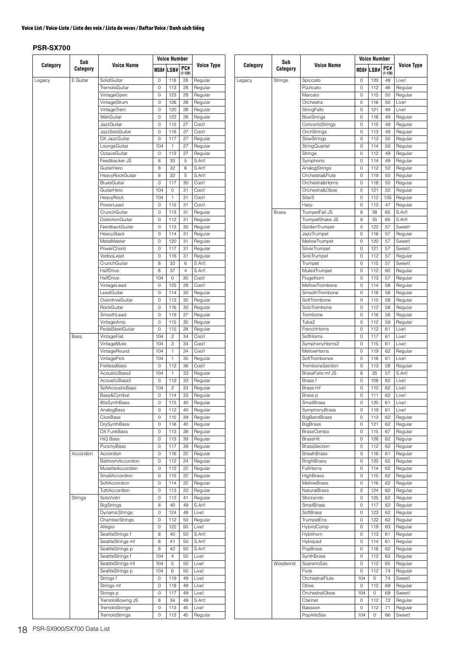|          | Sub       |                                       |        | Voice Number   |                   |                    |
|----------|-----------|---------------------------------------|--------|----------------|-------------------|--------------------|
| Category | Category  | Voice Name                            | MSB#   | LSB#           | PC#               | Voice Type         |
| Legacy   | E.Guitar  | SolidGuitar                           | 0      | 118            | $(1 - 128)$<br>28 | Regular            |
|          |           | TremoloGuitar                         | 0      | 113            | 28                | Regular            |
|          |           | VintageOpen                           | 0      | 123            | 28                | Regular            |
|          |           | VintageStrum                          | 0      | 126            | 28                | Regular            |
|          |           | VintageTrem                           | 0      | 120            | 28                | Regular            |
|          |           | WahGuitar                             | 0      | 122            | 28                | Regular            |
|          |           | JazzGuitar                            | 0      | 115            | 27                | Cool!              |
|          |           | JazzSoloGuitar                        | 0      | 116            | 27                | Cool!              |
|          |           | DX JazzGuitar                         | 0      | 117            | 27                | Regular            |
|          |           | LoungeGuitar                          | 104    | 1              | 27                | Regular            |
|          |           | OctaveGuitar                          | 0      | 113            | 27                | Regular            |
|          |           | Feedbacker JS                         | 8      | 33             | 5                 | S.Art!             |
|          |           | GuitarHero<br>HeavyRockGuitar         | 8<br>8 | 32<br>32       | 6<br>5            | S.Art!<br>S.Art!   |
|          |           | <b>BluesGuitar</b>                    | 0      | 117            | 30                | Cool!              |
|          |           | GuitarHero                            | 104    | 0              | 31                | Cool!              |
|          |           | HeavyRock                             | 104    | 1              | 31                | Cool!              |
|          |           | PowerLead                             | 0      | 115            | 31                | Cool!              |
|          |           | CrunchGuitar                          | 0      | 113            | 31                | Regular            |
|          |           | DistortionGuitar                      | 0      | 112            | 31                | Regular            |
|          |           | FeedbackGuitar                        | 0      | 113            | 30                | Regular            |
|          |           | HeavyStack                            | 0      | 114            | 31                | Regular            |
|          |           | MetalMaster                           | 0      | 120            | 31                | Regular            |
|          |           | PowerChord                            | 0      | 117            | 31                | Regular            |
|          |           | VodooLead                             | 0      | 116            | 31                | Regular            |
|          |           | CrunchGuitar                          | 8      | 33             | 6                 | S.Art!             |
|          |           | HalfDrive                             | 8      | 37             | $\overline{4}$    | S.Art!             |
|          |           | HalfDrive                             | 104    | 0              | 30                | Cool!              |
|          |           | VintageLead<br>LeadGuitar             | 0<br>0 | 125<br>114     | 28                | Cool!              |
|          |           | OverdriveGuitar                       | 0      | 112            | 30<br>30          | Regular<br>Regular |
|          |           | RockGuitar                            | 0      | 116            | 30                | Regular            |
|          |           | SmoothLead                            | 0      | 119            | 27                | Regular            |
|          |           | VintageAmp                            | 0      | 115            | 30                | Regular            |
|          |           | PedalSteelGuitar                      | 0      | 115            | 28                | Regular            |
|          | Bass      | VintageFlat                           | 104    | $\overline{c}$ | 34                | Cool!              |
|          |           | VintageMute                           | 104    | 3              | 34                | Cool!              |
|          |           | VintageRound                          | 104    | 1              | 34                | Cool!              |
|          |           | VintagePick                           | 104    | 1              | 35                | Regular            |
|          |           | FretlessBass                          | 0      | 112            | 36                | Cool!              |
|          |           | AcousticBass2                         | 104    | 1              | 33                | Regular            |
|          |           | AcousticBass3                         | 0      | 112            | 33                | Regular            |
|          |           | SoftAcousticBass                      | 104    | 2              | 33                | Regular            |
|          |           | Bass&Cymbal                           | 0      | 114            | 33                | Regular            |
|          |           | 80sSynthBass                          | 0      | 115            | 40                | Regular            |
|          |           | AnalogBass<br>ClickBass               | 0<br>0 | 112<br>115     | 40<br>39          | Regular            |
|          |           | DrySynthBass                          | 0      | 116            | 40                | Regular<br>Regular |
|          |           | DX FunkBass                           | 0      | 113            | 38                | Regular            |
|          |           | HiQ Bass                              | 0      | 113            | 39                | Regular            |
|          |           | PunchyBass                            | 0      | 117            | 39                | Regular            |
|          | Accordion | Accordion                             | 0      | 116            | 22                | Regular            |
|          |           | BallroomAccordion                     | 0      | 112            | 24                | Regular            |
|          |           | MusetteAccordion                      | 0      | 112            | 22                | Regular            |
|          |           | SmallAccordion                        | 0      | 115            | 22                | Regular            |
|          |           | SoftAccordion                         | 0      | 114            | 22                | Regular            |
|          |           | TuttiAccordion                        | 0      | 113            | 22                | Regular            |
|          | Strings   | SoloViolin                            | 0      | 112            | 41                | Regular            |
|          |           | <b>BigStrings</b>                     | 8      | 40             | 49                | S.Art!             |
|          |           | DynamicStrings                        | 0      | 124            | 49                | Live!              |
|          |           | ChamberStrings                        | 0      | 112            | 50                | Regular            |
|          |           | Allegro                               | 0      | 122            | 50                | Live!              |
|          |           | SeattleStrings f<br>SeattleStrings mf | 8<br>8 | 40<br>41       | 50<br>50          | S.Art!<br>S.Art!   |
|          |           | SeattleStrings p                      | 8      | 42             | 50                | S.Art!             |
|          |           | SeattleStrings f                      | 104    | 4              | 50                | Live!              |
|          |           | SeattleStrings mf                     | 104    | 5              | 50                | Live!              |
|          |           | SeattleStrings p                      | 104    | 6              | 50                | Live!              |
|          |           | Strings f                             | 0      | 119            | 49                | Live!              |
|          |           | Strings mf                            | 0      | 118            | 49                | Live!              |
|          |           | Strings p                             | 0      | 117            | 49                | Live!              |
|          |           | TremoloBowing JS                      | 8      | 34             | 49                | S.Art!             |
|          |           | TremoloStrings                        | 0      | 113            | 45                | Live!              |
|          |           | TremoloStrings                        | 0      | 112            | 45                | Regular            |

|          | Sub          |                                      |        | <b>Voice Number</b> |                    |                    |
|----------|--------------|--------------------------------------|--------|---------------------|--------------------|--------------------|
| Category | Category     | Voice Name                           |        | MSB# LSB#           | PC#<br>$(1 - 128)$ | <b>Voice Type</b>  |
| Legacy   | Strings      | Spiccato                             | 0      | 120                 | 49                 | Live!              |
|          |              | Pizzicato                            | 0      | 112                 | 46                 | Regular            |
|          |              | Marcato                              | 0      | 115                 | 50                 | Regular            |
|          |              | Orchestra                            | 0      | 116                 | 50                 | Live!              |
|          |              | StringFalls                          | 0      | 121<br>116          | 49<br>49           | Live!              |
|          |              | <b>BowStrings</b><br>ConcertoStrings | 0<br>0 | 115                 | 49                 | Regular<br>Regular |
|          |              | OrchStrings                          | 0      | 113                 | 49                 | Regular            |
|          |              | SlowStrings                          | 0      | 113                 | 50                 | Regular            |
|          |              | StringQuartet                        | 0      | 114                 | 50                 | Regular            |
|          |              | <b>Strings</b>                       | 0      | 112                 | 49                 | Regular            |
|          |              | Symphonic                            | 0      | 114                 | 49                 | Regular            |
|          |              | AnalogStrings                        | 0      | 112                 | 52                 | Regular            |
|          |              | Orchestra&Flute                      | 0      | 119                 | 50                 | Regular            |
|          |              | Orchestra&Horns                      | 0      | 118                 | 50                 | Regular            |
|          |              | Orchestra&Oboe                       | 0      | 121                 | 50                 | Regular            |
|          |              | Sitar3                               | 0      | 112                 | 105                | Regular            |
|          |              | Harp                                 | 0      | 112                 | 47                 | Regular            |
|          | <b>Brass</b> | TrumpetFall JS<br>TrumpetShake JS    | 8<br>8 | 38<br>35            | 65<br>65           | S.Art!<br>S.Art!   |
|          |              | GoldenTrumpet                        | 0      | 122                 | 57                 | Sweet!             |
|          |              | <b>JazzTrumpet</b>                   | 0      | 116                 | 57                 | Regular            |
|          |              | MellowTrumpet                        | 0      | 120                 | 57                 | Sweet!             |
|          |              | SilverTrumpet                        | 0      | 121                 | 57                 | Sweet!             |
|          |              | SoloTrumpet                          | 0      | 112                 | 57                 | Regular            |
|          |              | Trumpet                              | 0      | 115                 | 57                 | Sweet!             |
|          |              | MutedTrumpet                         | 0      | 112                 | 60                 | Regular            |
|          |              | Flugelhorn                           | 0      | 113                 | 57                 | Regular            |
|          |              | MellowTrombone                       | 0      | 114                 | 58                 | Regular            |
|          |              | SmoothTrombone                       | 0      | 118                 | 58                 | Regular            |
|          |              | SoftTrombone                         | 0      | 115                 | 58                 | Regular            |
|          |              | SoloTrombone                         | 0      | 112                 | 58                 | Regular            |
|          |              | Trombone                             | 0      | 116                 | 58                 | Regular            |
|          |              | Tuba2<br>FrenchHorns                 | 0      | 112                 | 59                 | Regular<br>Live!   |
|          |              | SoftHorns                            | 0<br>0 | 112<br>117          | 61<br>61           | Live!              |
|          |              | SymphonyHorns2                       | 0      | 115                 | 61                 | Live!              |
|          |              | MellowHorns                          | 0      | 119                 | 62                 | Regular            |
|          |              | SoftTrombones                        | 0      | 118                 | 61                 | Live!              |
|          |              | TromboneSection                      | 0      | 113                 | 58                 | Regular            |
|          |              | BrassFalls mf JS                     | 8      | 35                  | 57                 | S.Art!             |
|          |              | Brass f                              | 0      | 108                 | 62                 | Live!              |
|          |              | Brass mf                             | 0      | 110                 | 62                 | Live!              |
|          |              | Brass p                              | 0      | 111                 | 62                 | Live!              |
|          |              | SmallBrass                           | 0      | 120                 | 61                 | Live!              |
|          |              | SymphonyBrass                        | 0      | 119                 | 61                 | Live!              |
|          |              | BigBandBrass                         | 0      | 113                 | 62                 | Regular            |
|          |              | <b>BigBrass</b>                      | 0      | 121                 | 62                 | Regular            |
|          |              | BrassCombo<br>BrassHit               | 0<br>0 | 115<br>126          | 67<br>62           | Regular<br>Regular |
|          |              | <b>BrassSection</b>                  | 0      | 112                 | 62                 | Regular            |
|          |              | <b>BreathBrass</b>                   | 0      | 116                 | 61                 | Regular            |
|          |              | <b>BrightBrass</b>                   | 0      | 120                 | 62                 | Regular            |
|          |              | FullHorns                            | 0      | 114                 | 62                 | Regular            |
|          |              | HighBrass                            | 0      | 115                 | 62                 | Regular            |
|          |              | <b>MellowBrass</b>                   | 0      | 116                 | 62                 | Regular            |
|          |              | <b>NaturalBrass</b>                  | 0      | 124                 | 62                 | Regular            |
|          |              | Sforzando                            | 0      | 125                 | 62                 | Regular            |
|          |              | <b>SmallBrass</b>                    | 0      | 117                 | 62                 | Regular            |
|          |              | SoftBrass                            | 0      | 123                 | 62                 | Regular            |
|          |              | <b>TrumpetEns</b>                    | 0      | 122                 | 62                 | Regular            |
|          |              | HybridComp                           | 0      | 119                 | 63                 | Regular            |
|          |              | Hybrihorn                            | 0      | 113                 | 61                 | Regular            |
|          |              | Hybripad<br>PopBrass                 | 0<br>0 | 114<br>118          | 61<br>62           | Regular<br>Regular |
|          |              | SynthBrass                           | 0      | 112                 | 63                 | Regular            |
|          | Woodwind     | SopranoSax                           | 0      | 112                 | 65                 | Regular            |
|          |              | Flute                                | 0      | 112                 | 74                 | Regular            |
|          |              | OrchestralFlute                      | 104    | 0                   | 74                 | Sweet!             |
|          |              | Oboe                                 | 0      | 112                 | 69                 | Regular            |
|          |              | OrchestralOboe                       | 104    | 0                   | 69                 | Sweet!             |
|          |              | Clarinet                             | 0      | 112                 | 72                 | Regular            |
|          |              | Bassoon                              | 0      | 112                 | 71                 | Regular            |
|          |              | PopAltoSax                           | 104    | 0                   | 66                 | Sweet!             |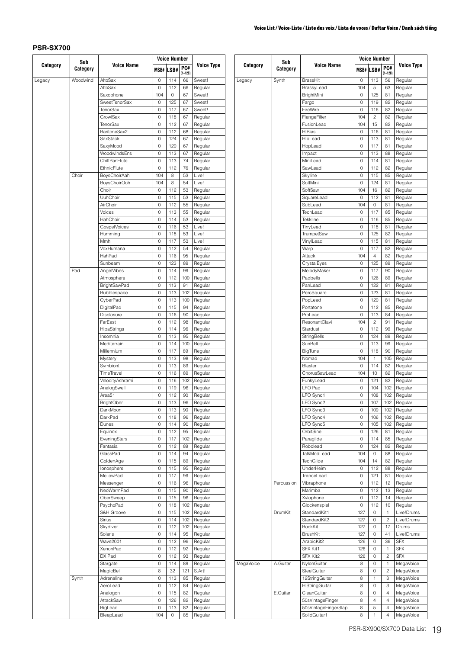|          | Sub      |                           |            | <b>Voice Number</b> |                    |                    |
|----------|----------|---------------------------|------------|---------------------|--------------------|--------------------|
| Category | Category | <b>Voice Name</b>         |            | MSB# LSB#           | PC#<br>$(1 - 128)$ | <b>Voice Type</b>  |
| Legacy   | Woodwind | AltoSax                   | 0          | 114                 | 66                 | Sweet!             |
|          |          | AltoSax                   | 0          | 112                 | 66                 | Regular            |
|          |          | Saxophone                 | 104        | 0                   | 67                 | Sweet!             |
|          |          | SweetTenorSax<br>TenorSax | 0<br>0     | 125<br>117          | 67<br>67           | Sweet!<br>Sweet!   |
|          |          | GrowlSax                  | 0          | 118                 | 67                 | Regular            |
|          |          | <b>TenorSax</b>           | 0          | 112                 | 67                 | Regular            |
|          |          | BaritoneSax2              | 0          | 112                 | 68                 | Regular            |
|          |          | SaxStack                  | 0          | 124                 | 67                 | Regular            |
|          |          | SaxyMood                  | 0          | 120                 | 67                 | Regular            |
|          |          | WoodwindsEns              | 0          | 113                 | 67                 | Regular            |
|          |          | ChiffPanFlute             | 0          | 113                 | 74                 | Regular            |
|          |          | EthnicFlute               | 0          | 112                 | 76                 | Regular            |
|          | Choir    | BoysChoirAah              | 104<br>104 | 8                   | 53<br>54           | Live!              |
|          |          | BoysChoirOoh<br>Choir     | 0          | 8<br>112            | 53                 | Live!<br>Regular   |
|          |          | UuhChoir                  | 0          | 115                 | 53                 | Regular            |
|          |          | AirChoir                  | 0          | 112                 | 55                 | Regular            |
|          |          | Voices                    | 0          | 113                 | 55                 | Regular            |
|          |          | HahChoir                  | 0          | 114                 | 53                 | Regular            |
|          |          | GospelVoices              | 0          | 116                 | 53                 | Live!              |
|          |          | Humming                   | 0          | 118                 | 53                 | Live!              |
|          |          | Mmh                       | 0          | 117                 | 53                 | Live!              |
|          |          | VoxHumana                 | 0          | 112                 | 54                 | Regular            |
|          |          | HahPad                    | 0          | 116                 | 95                 | Regular            |
|          |          | Sunbeam                   | 0          | 123                 | 89                 | Regular            |
|          | Pad      | AngelVibes                | 0          | 114                 | 99                 | Regular            |
|          |          | Atmosphere                | 0          | 112                 | 100                | Regular            |
|          |          | <b>BrightSawPad</b>       | 0          | 113                 | 91                 | Regular            |
|          |          | Bubblespace               | 0          | 113                 | 102<br>100         | Regular            |
|          |          | CyberPad<br>DigitalPad    | 0<br>0     | 113<br>115          | 94                 | Regular<br>Regular |
|          |          | Disclosure                | 0          | 116                 | 90                 | Regular            |
|          |          | FarEast                   | 0          | 112                 | 98                 | Regular            |
|          |          | HipaStrings               | 0          | 114                 | 96                 | Regular            |
|          |          | Insomnia                  | 0          | 113                 | 95                 | Regular            |
|          |          | Mediterrain               | 0          | 114                 | 100                | Regular            |
|          |          | Millennium                | 0          | 117                 | 89                 | Regular            |
|          |          | Mystery                   | 0          | 113                 | 98                 | Regular            |
|          |          | Symbiont                  | 0          | 113                 | 89                 | Regular            |
|          |          | TimeTravel                | 0          | 116                 | 89                 | Regular            |
|          |          | VelocityAshrami           | 0          | 116                 | 102                | Regular            |
|          |          | AnalogSwell               | 0          | 119                 | 96                 | Regular            |
|          |          | Area51                    | 0          | 112                 | 90                 | Regular            |
|          |          | <b>BrightOber</b>         | 0          | 113                 | 96                 | Regular            |
|          |          | DarkMoon                  | 0          | 113                 | 90                 | Regular            |
|          |          | DarkPad                   | 0          | 118                 | 96                 | Regular            |
|          |          | Dunes                     | 0<br>0     | 114<br>112          | 90<br>95           | Regular<br>Regular |
|          |          | Equinox<br>EveningStars   | 0          | 117                 | 102                | Regular            |
|          |          | Fantasia                  | 0          | 112                 | 89                 | Regular            |
|          |          | GlassPad                  | 0          | 114                 | 94                 | Regular            |
|          |          | GoldenAge                 | 0          | 115                 | 89                 | Regular            |
|          |          | lonosphere                | 0          | 115                 | 95                 | Regular            |
|          |          | MellowPad                 | 0          | 117                 | 96                 | Regular            |
|          |          | Messenger                 | 0          | 116                 | 96                 | Regular            |
|          |          | NeoWarmPad                | 0          | 115                 | 90                 | Regular            |
|          |          | OberSweep                 | 0          | 115                 | 96                 | Regular            |
|          |          | PsychoPad                 | 0          | 118                 | 102                | Regular            |
|          |          | S&H Groove                | 0          | 115                 | 102                | Regular            |
|          |          | Sirius                    | 0          | 114                 | 102                | Regular            |
|          |          | Skydiver                  | 0          | 112                 | 102                | Regular            |
|          |          | Solaris                   | 0          | 114                 | 95                 | Regular            |
|          |          | <b>Wave2001</b>           | 0          | 112                 | 96                 | Regular            |
|          |          | XenonPad                  | 0          | 112                 | 92                 | Regular            |
|          |          | DX Pad                    | 0          | 112<br>114          | 93                 | Regular            |
|          |          | Stargate<br>MagicBell     | 0<br>8     | 32                  | 89<br>121          | Regular<br>S.Art!  |
|          | Synth    | Adrenaline                | 0          | 113                 | 85                 | Regular            |
|          |          | AeroLead                  | 0          | 112                 | 84                 | Regular            |
|          |          | Analogon                  | 0          | 115                 | 82                 | Regular            |
|          |          | AttackSaw                 | 0          | 126                 | 82                 | Regular            |
|          |          | BigLead                   | 0          | 113                 | 82                 | Regular            |
|          |          | BleepLead                 | 104        | 0                   | 85                 | Regular            |
|          |          |                           |            |                     |                    |                    |

|           |                 |                            |          | Voice Number   |                         |                        |
|-----------|-----------------|----------------------------|----------|----------------|-------------------------|------------------------|
| Category  | Sub<br>Category | <b>Voice Name</b>          |          | MSB# LSB#      | PC#<br>$(1 - 128)$      | <b>Voice Type</b>      |
| Legacy    | Synth           | <b>BrassHit</b>            | 0        | 113            | 56                      | Regular                |
|           |                 | BrassyLead                 | 104      | 5              | 63                      | Regular                |
|           |                 | BrightMini                 | 0        | 125            | 81                      | Regular                |
|           |                 | Fargo<br>FireWire          | 0<br>0   | 119<br>116     | 82<br>82                | Regular                |
|           |                 | FlangeFilter               | 104      | $\overline{c}$ | 82                      | Regular<br>Regular     |
|           |                 | FusionLead                 | 104      | 15             | 82                      | Regular                |
|           |                 | <b>HiBias</b>              | 0        | 116            | 81                      | Regular                |
|           |                 | HipLead                    | 0        | 113            | 81                      | Regular                |
|           |                 | HopLead                    | 0        | 117            | 81                      | Regular                |
|           |                 | Impact                     | 0        | 113            | 88                      | Regular                |
|           |                 | MiniLead                   | 0        | 114            | 81                      | Regular                |
|           |                 | SawLead<br>Skyline         | 0<br>0   | 112<br>115     | 82<br>85                | Regular<br>Regular     |
|           |                 | SoftMini                   | 0        | 124            | 81                      | Regular                |
|           |                 | SoftSaw                    | 104      | 16             | 82                      | Regular                |
|           |                 | SquareLead                 | 0        | 112            | 81                      | Regular                |
|           |                 | SubLead                    | 104      | 0              | 81                      | Regular                |
|           |                 | <b>TechLead</b>            | 0        | 117            | 85                      | Regular                |
|           |                 | <b>Tekkline</b>            | 0        | 116            | 85                      | Regular                |
|           |                 | TinyLead                   | 0        | 118            | 81                      | Regular                |
|           |                 | TrumpetSaw                 | 0<br>0   | 125<br>115     | 82<br>81                | Regular                |
|           |                 | VinylLead<br>Warp          | 0        | 117            | 82                      | Regular<br>Regular     |
|           |                 | Attack                     | 104      | 4              | 82                      | Regular                |
|           |                 | CrystalEyes                | 0        | 125            | 89                      | Regular                |
|           |                 | MelodyMaker                | 0        | 117            | 90                      | Regular                |
|           |                 | Padbells                   | 0        | 126            | 89                      | Regular                |
|           |                 | PanLead                    | 0        | 122            | 81                      | Regular                |
|           |                 | PercSquare                 | 0        | 123            | 81                      | Regular                |
|           |                 | PopLead                    | 0        | 120            | 81                      | Regular                |
|           |                 | Portatone                  | 0        | 112            | 85                      | Regular                |
|           |                 | ProLead                    | 0        | 113            | 84                      | Regular                |
|           |                 | ResonantClavi<br>Stardust  | 104<br>0 | 2<br>112       | 91<br>99                | Regular<br>Regular     |
|           |                 | <b>StringBells</b>         | 0        | 124            | 89                      | Regular                |
|           |                 | SunBell                    | 0        | 113            | 99                      | Regular                |
|           |                 | <b>BigTune</b>             | 0        | 118            | 90                      | Regular                |
|           |                 | Nomad                      | 104      | 1              | 105                     | Regular                |
|           |                 | Blaster                    | 0        | 114            | 82                      | Regular                |
|           |                 | ChorusSawLead              | 104      | 10             | 82                      | Regular                |
|           |                 | FunkyLead                  | 0        | 121            | 82                      | Regular                |
|           |                 | LFO Pad                    | 0        | 104            | 102                     | Regular                |
|           |                 | LFO Sync1<br>LFO Sync2     | 0<br>0   | 108<br>107     | $\overline{10}2$<br>102 | Regular<br>Regular     |
|           |                 | LFO Sync3                  | 0        | 109            | 102                     | Regular                |
|           |                 | LFO Sync4                  | 0        | 106            | 102                     | Regular                |
|           |                 | LFO Sync5                  | 0        | 105            | 102                     | Regular                |
|           |                 | OrbitSine                  | 0        | 126            | 81                      | Regular                |
|           |                 | Paraglide                  | 0        | 114            | 85                      | Regular                |
|           |                 | Robolead                   | 0        | 124            | 82                      | Regular                |
|           |                 | TalkModLead                | 104      | 0              | 88                      | Regular                |
|           |                 | TechGlide                  | 104      | 14             | 82                      | Regular                |
|           |                 | UnderHeim                  | 0        | 112            | 88                      | Regular                |
|           | Percussion      | TranceLead<br>Vibraphone   | 0<br>0   | 121<br>112     | 81<br>12                | Regular<br>Regular     |
|           |                 | Marimba                    | 0        | 112            | 13                      | Regular                |
|           |                 | Xylophone                  | 0        | 112            | 14                      | Regular                |
|           |                 | Glockenspiel               | 0        | 112            | 10                      | Regular                |
|           | DrumKit         | StandardKit1               | 127      | 0              | 1                       | Live!Drums             |
|           |                 | StandardKit2               | 127      | 0              | 2                       | Live!Drums             |
|           |                 | RockKit                    | 127      | 0              | 17                      | Drums                  |
|           |                 | <b>BrushKit</b>            | 127      | 0              | 41                      | Live!Drums             |
|           |                 | ArabicKit2                 | 126      | 0              | 36                      | <b>SFX</b>             |
|           |                 | SFX Kit1                   | 126      | 0              | 1                       | <b>SFX</b>             |
|           |                 | SFX Kit2                   | 126      | 0              | 2<br>1                  | <b>SFX</b>             |
| MegaVoice | A.Guitar        | NylonGuitar<br>SteelGuitar | 8<br>8   | 0<br>0         | 2                       | MegaVoice<br>MegaVoice |
|           |                 | 12StringGuitar             | 8        | 1              | 3                       | MegaVoice              |
|           |                 | HiStringGuitar             | 8        | 0              | 3                       | MegaVoice              |
|           | E.Guitar        | CleanGuitar                | 8        | 0              | 4                       | MegaVoice              |
|           |                 | 50sVintageFinger           | 8        | 4              | 4                       | MegaVoice              |
|           |                 | 50sVintageFingerSlap       | 8        | 5              | 4                       | MegaVoice              |
|           |                 | SolidGuitar1               | 8        | 1              | 4                       | MegaVoice              |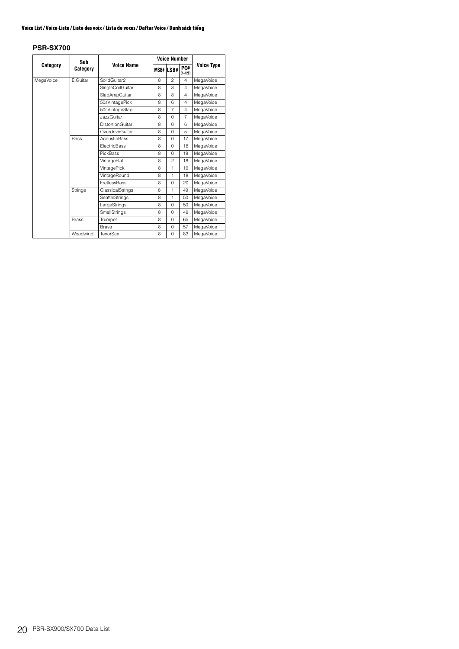|           | Sub                                                                                                                                                            |                                                                                                                                                       |   | <b>Voice Number</b> |                    |                   |  |  |  |  |  |  |
|-----------|----------------------------------------------------------------------------------------------------------------------------------------------------------------|-------------------------------------------------------------------------------------------------------------------------------------------------------|---|---------------------|--------------------|-------------------|--|--|--|--|--|--|
| Category  | Category                                                                                                                                                       | <b>Voice Name</b>                                                                                                                                     |   | MSB# LSB#           | PC#<br>$(1 - 128)$ | <b>Voice Type</b> |  |  |  |  |  |  |
| MegaVoice | E.Guitar                                                                                                                                                       | SolidGuitar2                                                                                                                                          | 8 | $\mathfrak{p}$      | 4                  | MegaVoice         |  |  |  |  |  |  |
|           |                                                                                                                                                                | SingleCoilGuitar                                                                                                                                      | 8 | 3                   | $\overline{4}$     | MegaVoice         |  |  |  |  |  |  |
|           |                                                                                                                                                                | SlapAmpGuitar                                                                                                                                         | 8 | 8                   | $\overline{4}$     | MegaVoice         |  |  |  |  |  |  |
|           |                                                                                                                                                                | 50sVintagePick                                                                                                                                        | 8 | 6                   | $\overline{4}$     | MegaVoice         |  |  |  |  |  |  |
|           |                                                                                                                                                                | 50sVintageSlap                                                                                                                                        | 8 | $\overline{7}$      | $\overline{4}$     | MegaVoice         |  |  |  |  |  |  |
|           |                                                                                                                                                                | <b>JazzGuitar</b>                                                                                                                                     | 8 | $\Omega$            | $\overline{7}$     | MegaVoice         |  |  |  |  |  |  |
|           |                                                                                                                                                                | <b>DistortionGuitar</b>                                                                                                                               | 8 | 0                   | 6                  | MegaVoice         |  |  |  |  |  |  |
|           |                                                                                                                                                                | OverdriveGuitar                                                                                                                                       | 8 | $\Omega$            | 5                  | MegaVoice         |  |  |  |  |  |  |
|           | <b>AcousticBass</b><br>17<br>MegaVoice<br><b>Bass</b><br>8<br>$\Omega$<br><b>FlectricBass</b><br>8<br>$\Omega$<br>18<br><b>PickBass</b><br>8<br>$\Omega$<br>19 |                                                                                                                                                       |   |                     |                    |                   |  |  |  |  |  |  |
|           |                                                                                                                                                                |                                                                                                                                                       |   |                     |                    | MegaVoice         |  |  |  |  |  |  |
|           |                                                                                                                                                                |                                                                                                                                                       |   |                     |                    | MegaVoice         |  |  |  |  |  |  |
|           |                                                                                                                                                                | VintageFlat                                                                                                                                           | 8 | 2                   | 18                 | MegaVoice         |  |  |  |  |  |  |
|           |                                                                                                                                                                | VintagePick                                                                                                                                           | 8 | $\mathbf{1}$        | 19                 | MegaVoice         |  |  |  |  |  |  |
|           |                                                                                                                                                                | VintageRound                                                                                                                                          | 8 | $\mathbf{1}$        | 18                 | MegaVoice         |  |  |  |  |  |  |
|           |                                                                                                                                                                | <b>FretlessBass</b>                                                                                                                                   | 8 | $\Omega$            | 20                 | MegaVoice         |  |  |  |  |  |  |
|           | Strings                                                                                                                                                        | ClassicalStrings                                                                                                                                      | 8 | 1                   | 49                 | MegaVoice         |  |  |  |  |  |  |
|           |                                                                                                                                                                | SeattleStrings<br>1<br>50<br>8<br>LargeStrings<br>8<br>$\Omega$<br>50<br><b>SmallStrings</b><br>8<br>$\Omega$<br>49<br>Trumpet<br>8<br>$\Omega$<br>65 |   | MegaVoice           |                    |                   |  |  |  |  |  |  |
|           |                                                                                                                                                                |                                                                                                                                                       |   |                     |                    | MegaVoice         |  |  |  |  |  |  |
|           |                                                                                                                                                                |                                                                                                                                                       |   |                     |                    | MegaVoice         |  |  |  |  |  |  |
|           | <b>Brass</b>                                                                                                                                                   |                                                                                                                                                       |   |                     |                    | MegaVoice         |  |  |  |  |  |  |
|           |                                                                                                                                                                | <b>Brass</b>                                                                                                                                          | 8 | $\Omega$            | 57                 | MegaVoice         |  |  |  |  |  |  |
|           | Woodwind                                                                                                                                                       | <b>TenorSax</b>                                                                                                                                       | 8 | $\Omega$            | 83                 | MegaVoice         |  |  |  |  |  |  |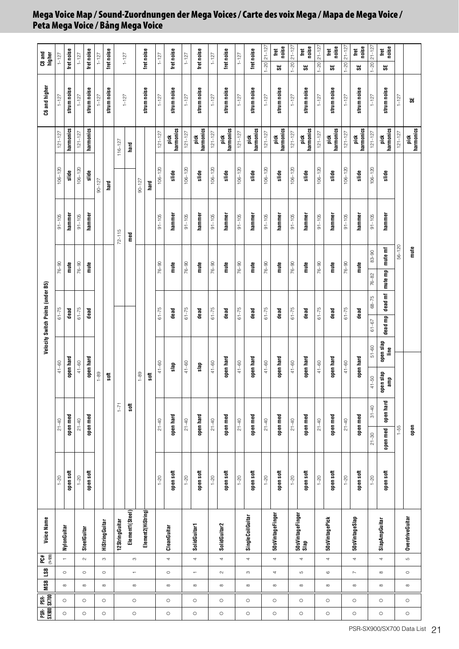| PSR- PSR-<br>SX900 SX700 |         | <b>MSB</b> LSB |                          | $(1-128)$<br>PC#         | <b>Voice Name</b>        |           |           |           |                |                   | Velocity Switch Points (under B5) |                 |            |            |             |                   | C6 and higher | C8 and<br>higher       |
|--------------------------|---------|----------------|--------------------------|--------------------------|--------------------------|-----------|-----------|-----------|----------------|-------------------|-----------------------------------|-----------------|------------|------------|-------------|-------------------|---------------|------------------------|
|                          |         |                |                          |                          |                          | $1 - 20$  | $21 - 40$ |           | $41 - 60$      |                   | $61 - 75$                         | $76 - 90$       |            | $91 - 105$ | $106 - 120$ | $121 - 127$       | $1 - 127$     | $1 - 127$              |
| $\circ$                  | $\circ$ | $\infty$       | $\circ$                  | $\overline{a}$           | NylonGuitar              | open soft | open med  |           | open hard      |                   | dead                              | mute            |            | hammer     | slide       | harmonics         | strum noise   | fret noise             |
|                          |         |                |                          |                          |                          |           |           |           |                |                   |                                   |                 |            |            |             |                   |               |                        |
| $\circ$                  | $\circ$ | $\infty$       | $\circ$                  | $\sim$                   | SteelGuitar              | $-20$     | $21 - 40$ |           | $41 - 60$      |                   | $61 - 75$                         | $76 - 90$       |            | $91 - 105$ | $106 - 120$ | $121 - 127$       | $1 - 127$     | $1 - 127$              |
|                          |         |                |                          |                          |                          | open soft | open med  |           | open hard      |                   | dead                              | file            |            | hammer     | slide       | harmonics         | strum noise   | fret noise             |
|                          |         |                |                          |                          |                          |           |           |           | $1 - 89$       |                   |                                   |                 |            |            | $90 - 127$  |                   | $1 - 127$     | $1 - 127$              |
| $\circ$                  | $\circ$ | $\infty$       | $\circ$                  | $\infty$                 | <b>HiString Guitar</b>   |           |           |           | <b>Soft</b>    |                   |                                   |                 |            |            | hard        |                   | strum noise   | fret noise             |
|                          |         |                |                          |                          | 12StringGuitar           |           |           | $1 - 71$  |                |                   |                                   |                 | $72 - 115$ |            |             | $116 - 127$       |               |                        |
| $\circ$                  | $\circ$ |                | $\overline{\phantom{a}}$ |                          | Element1(Steel)          |           |           | soft      |                |                   |                                   |                 | med        |            |             | hard              | $1 - 127$     | $1 - 127$              |
|                          |         |                |                          | $\infty$                 |                          |           |           |           | $1 - 89$       |                   |                                   |                 |            |            | $90 - 127$  |                   |               |                        |
|                          |         |                |                          |                          | Element2(HiString)       |           |           |           | soft           |                   |                                   |                 |            |            | hard        |                   | strum noise   | fret noise             |
|                          |         |                |                          |                          |                          | $1 - 20$  | $21 - 40$ |           | $41 - 60$      |                   | $61 - 75$                         | $76 - 90$       |            | $91 - 105$ | $106 - 120$ | $121 - 127$       | $1 - 127$     | $1 - 127$              |
| $\circ$                  | $\circ$ | ${}^{\circ}$   | $\circ$                  | 4                        | CleanGuitar              | open soft | open hard |           | slap           |                   | dead                              | mute            |            | hammer     | slide       | harmonics<br>pick | strum noise   | fret noise             |
|                          |         |                |                          |                          |                          | $1 - 20$  | $21 - 40$ |           | $41 - 60$      |                   | $61 - 75$                         | $76 - 90$       |            | $91 - 105$ | $106 - 120$ | $121 - 127$       | $1 - 127$     | $1 - 127$              |
| $\circ$                  | $\circ$ |                | $\overline{\phantom{a}}$ | 4                        | <b>SolidGuitar1</b>      | open soft | open hard |           | slap           |                   | dead                              | mute            |            | hammer     | slide       | pick<br>harmonics | strum noise   | fret noise             |
|                          |         |                |                          |                          |                          | $1 - 20$  | $21 - 40$ |           | $41 - 60$      |                   | $61 - 75$                         | $76 - 90$       |            | $91 - 105$ | $106 - 120$ | $121 - 127$       | $1 - 127$     | $1 - 127$              |
| $\circ$                  | $\circ$ |                | $\sim$                   | 4                        | SolidGuitar2             | open soft | open med  |           | open hard      |                   | dead                              | mute            |            | hammer     | slide       | pick<br>harmonics | strum noise   | fret noise             |
|                          |         |                |                          |                          |                          | $1 - 20$  | $21 - 40$ |           | $41 - 60$      |                   | $61 - 75$                         | $76 - 90$       |            | $91 - 105$ | $106 - 120$ | $121 - 127$       | $1 - 127$     | $1 - 127$              |
| $\circ$                  | $\circ$ |                | S                        | 4                        | SingleCoilGuitar         | open soft | open med  |           | open hard      |                   | dead                              | mute            |            | hammer     | slide       | pick<br>harmonics | strum noise   | fret noise             |
|                          |         |                |                          |                          |                          | $1 - 20$  | $21 - 40$ |           | $41 - 60$      |                   | $61 - 75$                         | $76 - 90$       |            | $91 - 105$ | $106 - 120$ | $121 - 127$       | $1 - 127$     | $1-20$ $21-127$        |
| $\circ$                  | $\circ$ | ${}^{\circ}$   | 4                        | 4                        | 50sVintageFinger         | open soft | open med  |           | open hard      |                   | dead                              | mute            |            | hammer     | slide       | harmonics<br>pick | strum noise   | noise<br>fret<br>ಜ     |
|                          |         |                |                          |                          |                          | $1 - 20$  | $21 - 40$ |           | $41 - 60$      |                   | $61 - 75$                         | $76 - 90$       |            | $91 - 105$ | $106 - 120$ | $121 - 127$       | $1 - 127$     | $21 - 127$<br>$1 - 20$ |
| $\circ$                  | $\circ$ |                | Б                        | 4                        | 50sVintageFinger<br>Slap | open soft | open med  |           | open hard      |                   | dead                              | mute            |            | hammer     | slide       | harmonics<br>jičk | strum noise   | noise<br>fret<br>မ္တ   |
|                          |         |                |                          |                          |                          | $1 - 20$  | $21 - 40$ |           | $41 - 60$      |                   | $61 - 75$                         | $76 - 90$       |            | $91 - 105$ | $106 - 120$ | $121 - 127$       | $1 - 127$     | $21 - 127$<br>$1 - 20$ |
| $\circ$                  | $\circ$ |                | $\circ$                  | 4                        | 50sVintagePick           | open soft | open med  |           | open hard      |                   | dead                              | mute            |            | hammer     | slide       | harmonics<br>pick | strum noise   | noise<br>tet<br>ಜ      |
|                          |         |                |                          |                          |                          | $1 - 20$  | $21 - 40$ |           | $41 - 60$      |                   | $61 - 75$                         | $76 - 90$       |            | $91 - 105$ | $106 - 120$ | $121 - 127$       | $1 - 127$     | $21 - 127$<br>$1 - 20$ |
| $\circ$                  | $\circ$ | ${}^{\infty}$  | $\sim$                   | 4                        | 50sVintageSlap           | open soft | open med  |           | open hard      |                   | dead                              | filte           |            | hammer     | slide       | pick<br>harmonics | strum noise   | noise<br>tet<br>SE,    |
|                          |         |                |                          |                          |                          | $1 - 20$  | $21 - 30$ | $31 - 40$ | $41 - 50$      | $51 - 60$         | $68 - 75$<br>$61 - 67$            | 76-82           | $83 - 90$  | $91 - 105$ | $106 - 120$ | $121 - 127$       | $1 - 127$     | $21 - 127$<br>$1 - 20$ |
| $\circ$                  | $\circ$ |                | ${}^{\circ}$             | $\overline{\phantom{a}}$ | SlapAmpGuitar            | open soft | open med  | open hard | open slap<br>Ê | open slap<br>Line | dead mf<br>dead mp                | mute mp mute mf |            | hammer     | slide       | harmonics<br>pick | strum noise   | noise<br>tet<br>မ္တ    |
|                          |         |                |                          |                          |                          |           | $1 - 55$  |           |                |                   |                                   |                 | $56 - 120$ |            |             | $121 - 127$       | $1 - 127$     |                        |
| $\circ$                  | $\circ$ |                | $\circ$                  | S                        | OverdriveGuitar          |           | gen       |           |                |                   |                                   |                 | mute       |            |             | pick<br>harmonics | S.            |                        |

# <span id="page-20-0"></span>**Mega Voice Map / Sound-Zuordnungen der Mega Voices / Carte des voix Mega / Mapa de Mega Voice / Peta Mega Voice / Bảng Mega Voice**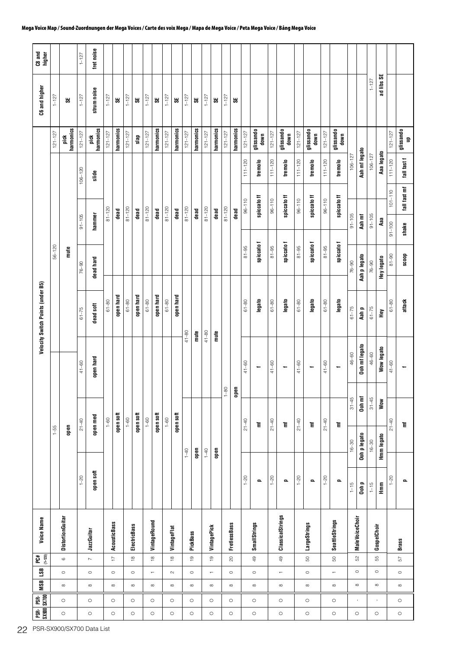| C8 and<br>higher                  |             |                          | $1 - 127$                 | fret noise        |             |                                     |             |                         |             |                                                    |             |                                |             |                                    |             |                               |             |                            |             |                   |             |                                  |             |                          |             |                                         |             |                           |             |                                                                                       | $121 - 127$<br>Aaa legato<br>$111 - 120$<br>fall fast f<br>fall fast mf<br>$101 - 110$<br>Aaa<br>$91 - 100$<br>shake<br>$8 - 90$<br>doos<br>attack<br>$61 - 80$<br>ĚУ<br>$41 - 60$<br>Wow<br>$21 - 40$<br>Ē<br>Hmm legato<br>$1 - 20$<br>o.<br>$\tilde{\mathbb{H}}$<br><b>Brass</b><br>57<br>$\circ$<br>$\infty$<br>$\circ$<br>$\circ$ |                 |
|-----------------------------------|-------------|--------------------------|---------------------------|-------------------|-------------|-------------------------------------|-------------|-------------------------|-------------|----------------------------------------------------|-------------|--------------------------------|-------------|------------------------------------|-------------|-------------------------------|-------------|----------------------------|-------------|-------------------|-------------|----------------------------------|-------------|--------------------------|-------------|-----------------------------------------|-------------|---------------------------|-------------|---------------------------------------------------------------------------------------|----------------------------------------------------------------------------------------------------------------------------------------------------------------------------------------------------------------------------------------------------------------------------------------------------------------------------------------|-----------------|
| C6 and higher                     | $1 - 127$   | S.                       | $1 - 127$                 | strum noise       | $1 - 127$   | 55                                  | $1 - 127$   | 55                      | $1 - 127$   | 55                                                 | $1 - 127$   | 5Ê                             | $1 - 127$   | 5                                  | $1 - 127$   | 说                             | $1 - 127$   | 55                         |             |                   |             |                                  |             |                          |             |                                         |             |                           | $1 - 127$   |                                                                                       |                                                                                                                                                                                                                                                                                                                                        |                 |
|                                   | $121 - 127$ | harmonics<br>pick        | $121 - 127$               | harmonics<br>pick | $121 - 127$ | harmonics                           | $121 - 127$ | slap                    | $121 - 127$ | harmonics                                          | $121 - 127$ | harmonics                      | $121 - 127$ | harmonics                          | $121 - 127$ | harmonics                     | $121 - 127$ | harmonics                  | $121 - 127$ | glissando<br>down | $121 - 127$ | glissando<br>down                | $121 - 127$ | glissando<br>down        | $121 - 127$ | glissando<br>down                       |             |                           |             |                                                                                       |                                                                                                                                                                                                                                                                                                                                        |                 |
|                                   |             |                          | $106 - 120$               | slide             |             |                                     |             |                         |             |                                                    |             |                                |             |                                    |             |                               |             |                            | $111 - 120$ | tremolo           | $111 - 120$ | tremolo                          | $111 - 120$ | tremolo                  | $111 - 120$ | tremolo                                 | $106 - 127$ | Aah mf legato             | $106 - 127$ |                                                                                       |                                                                                                                                                                                                                                                                                                                                        |                 |
|                                   |             |                          |                           |                   | $81 - 120$  | dead                                | $81 - 120$  | dead                    | $81 - 120$  | dead                                               | $81 - 120$  | dead                           | $81 - 120$  | dead                               | $81 - 120$  | dead                          | $81 - 120$  | dead                       | $96 - 110$  | spiccato ff       | $96 - 110$  | spiccato ff                      | $96 - 110$  | spiccato ff              | $96 - 110$  | spiccato ff                             |             |                           |             |                                                                                       |                                                                                                                                                                                                                                                                                                                                        | glissando<br>up |
|                                   |             |                          | $91 - 105$                | hammer            |             |                                     |             |                         |             |                                                    |             |                                |             |                                    |             |                               |             |                            |             |                   |             |                                  |             |                          |             |                                         | $91 - 105$  | Aah mf                    | $91 - 105$  |                                                                                       |                                                                                                                                                                                                                                                                                                                                        |                 |
|                                   | $56 - 120$  | film                     | $76 - 90$                 | dead hard         |             |                                     |             |                         |             |                                                    |             |                                |             |                                    |             |                               |             |                            | $81 - 95$   | spiccato f        | $81 - 95$   | spiccato f                       | $81 - 95$   | spiccato f               | $81 - 95$   | spiccato f                              | $76 - 90$   | Aah p legato              | $76 - 90$   | Hey legato                                                                            |                                                                                                                                                                                                                                                                                                                                        |                 |
| Velocity Switch Points (under B5) |             |                          | $61 - 75$                 | dead soft         | $61 - 80$   | open hard                           | $61 - 80$   | open hard               | $61 - 80$   | open hard                                          | $61 - 80$   | open hard                      |             |                                    |             |                               |             |                            | $61 - 80$   | legato            | $61 - 80$   | legato                           | $61 - 80$   | legato                   | $61 - 80$   | legato                                  | $61 - 75$   | Aah p                     | $61 - 75$   |                                                                                       |                                                                                                                                                                                                                                                                                                                                        |                 |
|                                   |             |                          | $41 - 60$                 | open hard         |             |                                     |             |                         |             |                                                    |             |                                | $41 - 80$   | mute                               | $41 - 80$   | mute                          |             |                            | $41 - 60$   | ÷                 | $41 - 60$   | ٠                                | $41 - 60$   | ÷                        | $41 - 60$   | ÷                                       | 46-60       | Ooh mf legato             | 46-60       | Wow legato                                                                            |                                                                                                                                                                                                                                                                                                                                        |                 |
|                                   |             |                          |                           |                   |             |                                     |             |                         |             |                                                    |             |                                |             |                                    |             |                               | $1 - 80$    | a<br>Per                   |             |                   |             |                                  |             |                          |             |                                         | $31 - 45$   | Ooh mf                    | $31 - 45$   |                                                                                       |                                                                                                                                                                                                                                                                                                                                        |                 |
|                                   | $1 - 55$    | open                     | $21 - 40$                 | open med          | $1 - 60$    | open soft                           | $1 - 60$    | open soft               | $1 - 60$    | open soft                                          | $1 - 60$    | open soft                      | $1-40$      | open                               | $1 - 40$    | abad                          |             |                            | $21 - 40$   | 盲                 | $21 - 40$   | Ē                                | $21 - 40$   | Ē                        | $21 - 40$   | Ē                                       | $16 - 30$   | Ooh p legato              | $16 - 30$   |                                                                                       |                                                                                                                                                                                                                                                                                                                                        |                 |
|                                   |             |                          | $1 - 20$                  | open soft         |             |                                     |             |                         |             |                                                    |             |                                |             |                                    |             |                               |             |                            | $1 - 20$    | o                 | $1 - 20$    | $\blacksquare$                   | $1 - 20$    | $\overline{\phantom{a}}$ | $1 - 20$    | o                                       | $1 - 15$    | Ooh p                     | $1 - 15$    |                                                                                       |                                                                                                                                                                                                                                                                                                                                        |                 |
| <b>Voice Name</b>                 |             | <b>Distortion Guitar</b> |                           | JazzGuitar        |             | <b>AcousticBass</b>                 |             | <b>ElectricBass</b>     |             | VintageRound                                       |             | VintageFlat                    |             | PickBass                           |             | VintagePick                   |             | <b>FretlessBass</b>        |             | SmallStrings      |             | ClassicalStrings                 |             | LargeStrings             |             | SeattleStrings                          |             | <b>MaleVoiceChoir</b>     |             |                                                                                       |                                                                                                                                                                                                                                                                                                                                        |                 |
| $(1 - 128)$<br>PC#                |             | $\circ$<br>$\circ$       |                           | $\sim$<br>$\circ$ |             | $\overline{\phantom{a}}$<br>$\circ$ |             | $\overset{\infty}{\,}$  |             | $\overset{\infty}{\,}$<br>$\overline{\phantom{0}}$ |             | $\overset{\circ}{=}$<br>$\sim$ |             | $\overline{\mathrm{G}}$<br>$\circ$ |             | $\frac{1}{2}$<br>$\leftarrow$ |             | $\overline{20}$<br>$\circ$ |             | $49$<br>$\circ$   |             | $49$<br>$\overline{\phantom{a}}$ |             | $\mbox{S}$<br>$\circ$    |             | $\mathbb S$<br>$\overline{\phantom{a}}$ |             | S <sub>2</sub><br>$\circ$ |             |                                                                                       |                                                                                                                                                                                                                                                                                                                                        |                 |
| <b>BST</b>   BSM                  |             |                          |                           |                   |             | $\infty$                            |             | $\circ$<br>${}^{\circ}$ |             |                                                    |             | $\infty$                       |             | $\infty$                           |             |                               |             | ${}^{\circ}$               |             |                   |             |                                  |             | $\infty$                 |             |                                         |             |                           |             |                                                                                       |                                                                                                                                                                                                                                                                                                                                        |                 |
| PSR- PSR-<br>SX900 SX700          |             | $\circ$                  |                           | $\circ$           |             | $\circ$                             |             | $\circ$                 |             | $\circ$                                            |             | $\circ$                        |             | $\circ$                            |             | $\circ$                       |             | $\circ$                    |             | $\circ$           |             | $\circ$                          |             | $\circ$                  |             | $\circ$                                 |             | $\mathbf{I}$              |             | ad libs SE<br>GospelChoir<br>55<br>$\circ$<br>${}^{\circ}$<br>$\mathbf{I}$<br>$\circ$ |                                                                                                                                                                                                                                                                                                                                        |                 |
|                                   |             | $\circ$                  | PSR-SX900/SX700 Data List | $\circ$           |             | $\circ$                             |             | $\circ$                 |             | $\circ$                                            |             | $\circ$                        |             | $\circ$                            |             | $\circ$                       |             | $\circ$                    |             | $\circ$           |             | $\circ$                          |             | $\circ$                  |             | $\circ$                                 |             | $\circ$                   |             |                                                                                       |                                                                                                                                                                                                                                                                                                                                        |                 |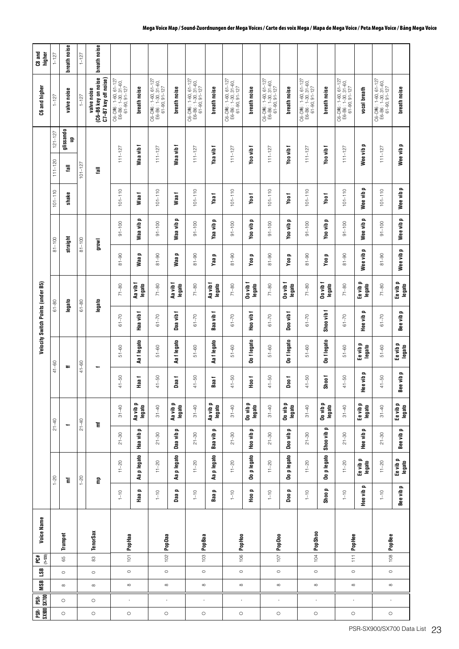|         | $\begin{array}{ c c }\n \hline\n \text{PSR-} & \text{PSR-} \\ \hline\n \text{SS900} & \text{S} \text{X700} & \text{ } \\ \hline\n \end{array}$ | <b>MSB</b>   | 58      | <b>Voice Name</b><br>$(1 - 128)$<br>PC# |           |                          |                                     |                    |                |                    | Velocity Switch Points (under B5) |                       |                         |                                     |             |             |                | C6 and higher                                                        | C8 and<br>higher |
|---------|------------------------------------------------------------------------------------------------------------------------------------------------|--------------|---------|-----------------------------------------|-----------|--------------------------|-------------------------------------|--------------------|----------------|--------------------|-----------------------------------|-----------------------|-------------------------|-------------------------------------|-------------|-------------|----------------|----------------------------------------------------------------------|------------------|
|         |                                                                                                                                                |              |         |                                         |           | $1 - 20$                 |                                     | $21 - 40$          |                | $41 - 60$          | $61 - 80$                         |                       | $81 - 100$              |                                     | $101 - 110$ | $111 - 120$ | $121 - 127$    | $1 - 127$                                                            | $1 - 127$        |
| $\circ$ | $\circ$                                                                                                                                        | ${}^{\circ}$ | $\circ$ | Trumpet<br>65                           |           | Έ                        |                                     |                    |                | ÷                  | legato                            |                       | straight                |                                     | shake       | le1         | glissando<br>물 | valve noise                                                          | breath noise     |
|         |                                                                                                                                                |              |         |                                         |           | $1 - 20$                 |                                     | $21 - 40$          |                | $41 - 60$          | $61 - 80$                         |                       | $81 - 100$              |                                     |             | $101 - 127$ |                | $1 - 127$                                                            | $1 - 127$        |
| $\circ$ | $\circ$                                                                                                                                        | ${}^{\circ}$ | $\circ$ | <b>TenorSax</b><br>$_{\rm 83}$          |           | $\mathsf{g}$             |                                     | 盲                  |                |                    | legato                            |                       | growl                   |                                     |             | ll a        |                | (C6-B6 key on noise<br>C7-B7 key off noise)<br>valve noise           | breath noise     |
| $\circ$ | $\mathbf{r}$                                                                                                                                   |              | $\circ$ | 101 PopHaa                              | $1 - 10$  | $11 - 20$                | $21 - 30$                           | $31 - 40$          | $41 - 50$      | $51 - 60$          | $61 - 70$                         | $71 - 80$             | $06 - 18$               | $91 - 100$                          | $101 - 110$ | $111 - 127$ |                | C6-D#6 : 1-60, 61-127<br>E6-B6 : 1-30, 31-60,<br>$61 - 90, 91 - 127$ |                  |
|         |                                                                                                                                                |              |         |                                         | Haap      | p legato<br>æ            | $\mathbf{r}$<br>Haa vib             | Aa vib p<br>legato | Haa 1          | Aa f legato        | ÷<br>Haa vib                      | Aa vib f<br>legato    | $\blacksquare$<br>Naa   | ᅌ<br>Waa vib                        | Waa f       | Waa vib f   |                | breath noise                                                         |                  |
| $\circ$ | $\mathbf{r}$                                                                                                                                   |              | $\circ$ | 102 PopDaa                              | $1 - 10$  | $11 - 20$                | $21 - 30$                           | $31 - 40$          | $41 - 50$      | $51 - 60$          | $61 - 70$                         | $71 - 80$             | $8 - 90$                | $91 - 100$                          | $101 - 110$ | $111 - 127$ |                | $C6-D\#6: 1-60, 61-127$<br>E6-B6 : 1-30, 31-60,<br>61-90, 91-127     |                  |
|         |                                                                                                                                                |              |         |                                         | Daa p     | Aa p legato              | $\overline{\phantom{a}}$<br>Daa vib | Aa vib p<br>legato | Daa f          | Aa f legato        | Daa vib                           | Aa vib f<br>legato    | o.<br>Naa               | o<br>Waa vib                        | Waa f       | Waa vib f   |                | breath noise                                                         |                  |
| $\circ$ | $\bar{\Gamma}$                                                                                                                                 |              | $\circ$ | 103 PopBaa                              | $1 - 10$  | $11 - 20$                | $21 - 30$                           | $31 - 40$          | $41 - 50$      | $51 - 60$          | $61 - 70$                         | $71 - 80$             | $8 - 90$                | $91 - 100$                          | $101 - 110$ | $111 - 127$ |                | C6-D#6 : 1-60, 61-127<br>E6-B6 : 1-30, 31-60,<br>$61 - 90, 91 - 127$ |                  |
|         |                                                                                                                                                |              |         |                                         | Baap      | Aa p legato              | o<br>Baa vib                        | Aa vib p<br>legato | Baa f          | Aa flegato         | Baa vibf                          | Aa vib f<br>legato    | Yaa p                   | Yaa vib p                           | Yaa f       | Yaa vib f   |                | breath noise                                                         |                  |
| $\circ$ | $\mathbf{r}$                                                                                                                                   |              | $\circ$ | 106 PopHoo                              | $1 - 10$  | $11 - 20$                | $21 - 30$                           | $31 - 40$          | $41 - 50$      | $51 - 60$          | $61 - 70$                         | $71 - 80$             | $81 - 90$               | $91 - 100$                          | $101 - 110$ | $111 - 127$ |                | C6-D#6 : 1-60, 61-127<br>E6-B6 : 1-30, 31-60,<br>$61 - 90, 91 - 127$ |                  |
|         |                                                                                                                                                |              |         |                                         | Hoo p     | Oo p legato              | $\overline{\phantom{a}}$<br>Hoo vib | Oo vib p<br>legato | T<br>Dec       | Oo flegato         | Hoo vib                           | Do vib f<br>legato    | Yoo p                   | Yoo vib p                           | Yoo f       | Yoo vib     |                | breath noise                                                         |                  |
| $\circ$ | $\mathbf{I}$                                                                                                                                   |              | $\circ$ | $107$ PopDoo                            | $1 - 10$  | $11 - 20$                | $21 - 30$                           | $31 - 40$          | $41 - 50$      | $51 - 60$          | $61 - 70$                         | $71 - 80$             | $8 - 90$                | $91 - 100$                          | $101 - 110$ | $111 - 127$ |                | $C6-D\#6: 1-60, 61-127$<br>E6-B6: 1-30, 31-60,<br>61-90, 91-127      |                  |
|         |                                                                                                                                                |              |         |                                         | Doo p     | Oo p legato              | $\overline{\phantom{a}}$<br>Doo vib | Oo vib p<br>legato | Doo f          | Oo flegato         | Doo vib                           | $0$ o vib f<br>legato | Yoo p                   | $\overline{\phantom{a}}$<br>Yoo vib | Yoo f       | Yoo vib f   |                | breath noise                                                         |                  |
| $\circ$ | $\mathbf{r}$                                                                                                                                   |              | $\circ$ | $104$ PopShoo                           | $1 - 10$  | $11 - 20$                | $21 - 30$                           | $31 - 40$          | $41 - 50$      | $51 - 60$          | $61 - 70$                         | $71 - 80$             | $81 - 90$               | $91 - 100$                          | $101 - 110$ | $111 - 127$ |                | C6-D#6 : 1-60, 61-127<br>E6-B6 : 1-30, 31-60,<br>$61 - 90, 91 - 127$ |                  |
|         |                                                                                                                                                |              |         |                                         | Shoo p    | Oo p legato              | $\blacksquare$<br>Shoo vib          | Oo vib p<br>legato | Shoof          | Oo flegato         | Shoo vib f                        | $00$ vib f<br>legato  | Yoo p                   | Yoo vib p                           | Yoo f       | Yoo vib f   |                | breath noise                                                         |                  |
| $\circ$ | $\mathbf{r}$                                                                                                                                   |              | $\circ$ | 111 PopHee                              | $1 - 10$  | $11 - 20$                | $21 - 30$                           | $31 - 40$          | $41 - 50$      | $51 - 60$          | $61 - 70$                         | $71 - 80$             | $8 - 18$                | $91 - 100$                          | $101 - 110$ | $111 - 127$ |                | C6-D#6 : 1-60, 61-127<br>E6-B6 : 1-30, 31-60,<br>$61 - 90, 91 - 127$ |                  |
|         |                                                                                                                                                |              |         |                                         | Hee vib   | Ee vib p<br>legato<br>o. | o.<br>Hee vib                       | Ee vib p<br>legato | lee vib p<br>ᆂ | Ee vib p<br>legato | o.<br>Hee vib                     | Ee vib p<br>legato    | $\mathbf{r}$<br>Wee vib | o.<br>Wee vib                       | Wee vib p   | Wee vib p   |                | vocal breath                                                         |                  |
| $\circ$ | $\mathbf{I}$                                                                                                                                   |              | $\circ$ | 108 PopBee                              | $1 - 10$  | $11 - 20$                | $21 - 30$                           | $31 - 40$          | $41 - 50$      | $51 - 60$          | $61 - 70$                         | $71 - 80$             | $8 - 90$                | $91 - 100$                          | $101 - 110$ | $111 - 127$ |                | $C6-DH6: 1-60, 61-127$<br>E6-B6 : 1-30, 31-60,<br>61-90, 91-127      |                  |
|         |                                                                                                                                                |              |         |                                         | Bee vib p | Ee vib p<br>legato       | Bee vib p                           | Ee vib p<br>legato | iee vib p<br>≃ | Ee vib p<br>legato | Bee vib p                         | Ee vib p<br>legato    | Wee vib p               | Wee vib p                           | Wee vib p   | Wee vib p   |                | breath noise                                                         |                  |

#### **Mega Voice Map / Sound-Zuordnungen der Mega Voices / Carte des voix Mega / Mapa de Mega Voice / Peta Mega Voice / Bảng Mega Voice**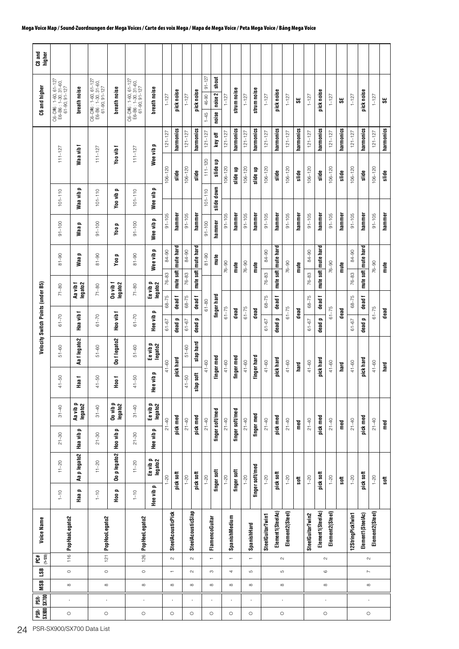| C8 and<br>higher                  |                                                              |                          |                                                                      |                                 |                                                            |                                     |                        |                            |                        |                    |                                 |                           |             |                          |             |                            |                        |                     |                   |           |                        |                     |                 |           |                        |                     |                 |  |
|-----------------------------------|--------------------------------------------------------------|--------------------------|----------------------------------------------------------------------|---------------------------------|------------------------------------------------------------|-------------------------------------|------------------------|----------------------------|------------------------|--------------------|---------------------------------|---------------------------|-------------|--------------------------|-------------|----------------------------|------------------------|---------------------|-------------------|-----------|------------------------|---------------------|-----------------|-----------|------------------------|---------------------|-----------------|--|
| C6 and higher                     | C6-D#6: 1-60, 61-127<br>E6-B6: 1-30, 31-60,<br>61-90, 91-127 | breath noise             | C6-D#6 : 1-60, 61-127<br>E6-B6 : 1-30, 31-60,<br>$61 - 90, 91 - 127$ | breath noise                    | C6-D#6:1-60, 61-127<br>E6-B6:1-30, 31-60,<br>61-90, 91-127 | breath noise                        | $1 - 127$              | pick noise                 | $1 - 127$              | pick noise         | $91 - 127$<br>46-90<br>$1 - 45$ | shout<br>noise 2<br>noise | $1 - 127$   | strum noise              | $1 - 127$   | strum noise                | $1 - 127$              | pick noise          | $1 - 127$         | မ္တ       | $1 - 127$              | pick noise          | $1 - 127$       | 3S        | $1 - 127$              | pick noise          | $1 - 127$       |  |
|                                   |                                                              |                          |                                                                      |                                 |                                                            |                                     | $121 - 127$            | harmonics                  | $121 - 127$            | harmonics          | $121 - 127$                     | key off                   | $121 - 127$ | harmonics                | $121 - 127$ | harmonics                  | $121 - 127$            | harmonics           | $121 - 127$       | harmonics | $121 - 127$            | harmonics           | $121 - 127$     | harmonics | $121 - 127$            | harmonics           | $121 - 127$     |  |
|                                   | $111 - 127$                                                  | Waa vib f                | $111 - 127$                                                          | Yoo vib f                       | $111 - 127$                                                | Wee vib p                           | $106 - 120$            | slide                      | $106 - 120$            | slide              | $111 - 120$                     | slide up                  | $106 - 120$ | slide up                 | $106 - 120$ | slide up                   | $106 - 120$            | slide               | $106 - 120$       | slide     | $106 - 120$            | slide               | $106 - 120$     | slide     | $106 - 120$            | slide               | $106 - 120$     |  |
|                                   | $101 - 110$                                                  | Waa vibp                 | $101 - 110$                                                          | Yoo vib p                       | $101 - 110$                                                | $\overline{\phantom{a}}$<br>Wee vib |                        |                            |                        |                    | $101 - 110$                     | slide down                |             |                          |             |                            |                        |                     |                   |           |                        |                     |                 |           |                        |                     |                 |  |
|                                   | $91 - 100$                                                   | o<br>Naa                 | $91 - 100$                                                           | $\overline{\phantom{a}}$<br>yoo | $91 - 100$                                                 | $\overline{\phantom{a}}$<br>Wee vib | $91 - 105$             | hammer                     | $91 - 105$             | hammer             | $91 - 100$                      | hammer                    | $91 - 105$  | hammer                   | $91 - 105$  | hammer                     | $91 - 105$             | hammer              | $91 - 105$        | hammer    | $91 - 105$             | hammer              | $91 - 105$      | hammer    | $91 - 105$             | hammer              | $91 - 105$      |  |
|                                   | $8 - 90$                                                     | Waa p                    | $8 - 90$                                                             | Yoo p                           | $8 - 90$                                                   | $\mathbf{r}$<br>Wee vib             | 84-90                  | mute hard                  | 84-90                  | mute hard          | $06 - 18$                       | mute                      | $76 - 90$   | mute                     | $76 - 90$   | mute                       | 84-90                  | mute soft mute hard | $76 - 90$         | mute      | 84-90                  | mute soft mute hard | $76 - 90$       | mute      | 84-90                  | mute soft mute hard | $76 - 90$       |  |
|                                   | $71 - 80$                                                    | Aa vib f<br>legato2      | $71 - 80$                                                            | Do vib f<br>legato2             | $71 - 80$                                                  | Ee vib p<br>legato2                 | $76 - 83$              | mute soft                  | $76 - 83$              | mute soft          |                                 |                           |             |                          |             |                            | 76-83                  |                     |                   |           | $76 - 83$              |                     |                 |           | 76-83                  |                     |                 |  |
| Velocity Switch Points (under B5) | $61 - 70$                                                    | Haa vib f                | $61 - 70$                                                            | Hoo vib f                       | $61 - 70$                                                  | $\blacksquare$<br>Hee vib           | $68 - 75$<br>$61 - 67$ | dead f<br>dead p           | $68 - 75$<br>$61 - 67$ | dead f<br>dead p   | $61 - 80$                       | finger hard               | $61 - 75$   | dead                     | $61 - 75$   | dead                       | $68 - 75$<br>$61 - 67$ | dead f<br>dead p    | $61 - 75$         | dead      | $68 - 75$<br>$61 - 67$ | dead f<br>dead p    | $61 - 75$       | dead      | $68 - 75$<br>$61 - 67$ | dead f<br>dead p    | $61 - 75$       |  |
|                                   | $51 - 60$                                                    | Aaflegato2               | $51 - 60$                                                            | Oo flegato2                     | $51 - 60$                                                  | Ee vib p<br>legato2                 |                        |                            | $51 - 60$              | slap hard          |                                 |                           |             |                          |             |                            |                        |                     |                   |           |                        |                     |                 |           |                        |                     |                 |  |
|                                   | $41 - 50$                                                    | Haa f                    | $41 - 50$                                                            | Hoo f                           | $41 - 50$                                                  | lee vib p                           | $41 - 60$              | pick hard                  | $41 - 50$              | slap soft          | $41 - 60$                       | finger med                | $41 - 60$   | finger med               | $41 - 60$   | finger hard                | $41 - 60$              | pick hard           | $41 - 60$         | hard      | $41 - 60$              | pick hard           | $41 - 60$       | hard      | $41 - 60$              | pick hard           | $41 - 60$       |  |
|                                   | $31 - 40$                                                    | Aa vib p<br>legato2      | $31 - 40$                                                            | Oo vib p<br>legato2             | $31 - 40$                                                  | ᆍ<br>Ee vib p<br>legato2            |                        |                            |                        |                    |                                 |                           |             |                          |             |                            |                        |                     |                   |           |                        |                     |                 |           |                        |                     |                 |  |
|                                   | $21 - 30$                                                    |                          | $21 - 30$                                                            |                                 | $21 - 30$                                                  | <b>Hee vibp</b>                     | $21 - 40$              | pick med                   | $21 - 40$              | pick med           | $21 - 40$                       | finger soft/med           | $21 - 40$   | finger soft/med          | $21 - 40$   | finger med                 | $21 - 40$              | pick med            | $21 - 40$         | med       | $21 - 40$              | pick med            | $21 - 40$       | med       | $21 - 40$              | pick med            | $21 - 40$       |  |
|                                   | $11 - 20$                                                    | Aa p legato2   Haa vib p | $11 - 20$                                                            | Oo p legato2   Hoo vib p        | $11 - 20$                                                  | Ee vib p<br>legato2                 | $-20$                  | pick soft                  | $1 - 20$               | pick soft          | $1 - 20$                        | finger soft               | $1 - 20$    | finger soft              | $1 - 20$    | finger soft/med            | $1 - 20$               | pick soft           | $1 - 20$          | soft      | $1 - 20$               | pick soft           | $1 - 20$        | soft      | $1 - 20$               | pick soft           | $1 - 20$        |  |
|                                   | $1 - 10$                                                     | Haap                     | $1 - 10$                                                             | Hoo p                           | $1 - 10$                                                   | Hee vib p                           |                        |                            |                        |                    |                                 |                           |             |                          |             |                            |                        |                     |                   |           |                        |                     |                 |           |                        |                     |                 |  |
| Voice Name                        | 116 PopHaaLegato2                                            |                          | PopHooLegato2                                                        |                                 | 126 PopHeeLegato2                                          |                                     |                        | <b>SteelAcousticPick</b>   |                        | SteelAcousticSlap  |                                 | FlamencoGuitar            |             | SpanishMedium            |             | SpanishHard                | SteelGuitarTwin1       | Element1(SteelAc)   | Element2(Steel)   |           | SteelGuitarTwin2       | Element1(SteelAc)   | Element2(Steel) |           | 12StringPickTwin1      | Element1(SteelAc)   | Element2(Steel) |  |
| $(1 - 128)$<br>PC#                |                                                              |                          | $\overline{121}$                                                     |                                 |                                                            |                                     |                        | $\sim$                     |                        | $\sim$             |                                 | $\overline{\phantom{m}}$  |             | $\overline{\phantom{0}}$ |             | $\overline{\phantom{m}}$   |                        |                     | $\sim$            |           |                        |                     | $\sim$          |           |                        |                     | $\sim$          |  |
| <b>MSB</b> LSB                    | $\circ$<br>$\infty$                                          |                          | $\circ$<br>${}^{\circ}$                                              |                                 | $\circ$<br>$\infty$                                        |                                     |                        | $\overline{ }$<br>$\infty$ |                        | $\sim$<br>$\infty$ |                                 | S<br>$\infty$             |             | 4                        |             | $\mathfrak{S}$<br>$\infty$ |                        |                     | Б<br>${}^{\circ}$ |           |                        |                     | $\circ$         |           |                        |                     | $\sim$          |  |
| e.<br>E                           | $\,$                                                         |                          | $\mathbf{I}$                                                         |                                 | $\mathbf{I}$                                               |                                     |                        |                            |                        |                    |                                 | $\blacksquare$            |             |                          |             | $\mathbf{I}$               |                        |                     | $\mathbf{r}$      |           |                        |                     | $\,$            |           |                        |                     |                 |  |
| SX900 SX700<br>pse.               | $\circ$                                                      |                          | $\circ$                                                              |                                 | $\circ$                                                    |                                     |                        | $\circ$                    |                        | $\circ$            |                                 |                           |             |                          |             |                            |                        |                     | $\circ$           |           |                        |                     | $\circ$         |           |                        |                     | $\circ$         |  |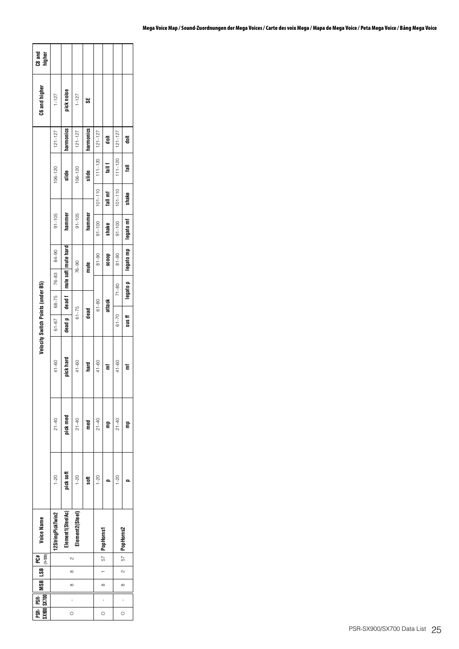| PSR- PSR-    MSB    LSB    PC#<br>\$x900 \$x700    MSB    LSB <sub>(1-128)</sub> |          |          |        | <b>Voice Name</b> |           |           |           | Velocity Switch Points (under B5) |                    |                                |            |             |             |             | C6 and higher | C8 and<br>higher |
|----------------------------------------------------------------------------------|----------|----------|--------|-------------------|-----------|-----------|-----------|-----------------------------------|--------------------|--------------------------------|------------|-------------|-------------|-------------|---------------|------------------|
|                                                                                  |          |          |        | 12StringPickTwin2 | $1 - 20$  | $21 - 40$ | $41 - 60$ | $61 - 67$                         | 76-83<br>$68 - 75$ | 84-90                          | $91 - 105$ |             | $106 - 120$ | $121 - 127$ | $1 - 127$     |                  |
| $\circ$                                                                          | $\infty$ | $\infty$ | $\sim$ | Element1(SteelAc) | pick soft | pick med  | pick hard | dead p                            |                    | dead f   mute soft   mute hard | hammer     |             | slide       | harmonics   | pick noise    |                  |
|                                                                                  |          |          |        | Element2(Steel)   | $1 - 20$  | $21 - 40$ | $41 - 60$ | $61 - 75$                         |                    | $76 - 90$                      | $91 - 105$ |             | $106 - 120$ | $121 - 127$ | $1 - 127$     |                  |
|                                                                                  |          |          |        |                   | soft      | ned       | hard      | dead                              |                    | mute                           | hammer     |             | slide       | harmonics   | œ             |                  |
|                                                                                  |          |          |        |                   | $1 - 20$  | $21 - 40$ | $41 - 60$ |                                   | $61 - 80$          | $81 - 90$                      | $91 - 100$ | $101 - 110$ | $111 - 120$ | $121 - 127$ |               |                  |
| $\frac{1}{2}$                                                                    | $\infty$ |          |        | 57 PopHorns1      |           | Ê         | Έ         |                                   | attack             | doos                           | shake      | fall mf     | $1$ all $1$ | ã           |               |                  |
|                                                                                  |          |          |        |                   | $1 - 20$  | $21 - 40$ | $41 - 60$ | $61 - 70$                         | $71 - 80$          | $81 - 90$                      | $91 - 100$ | $101 - 110$ | $111 - 120$ | $121 - 127$ |               |                  |
| $\circ$                                                                          | $\infty$ | $\sim$   |        | 57 PopHorns2      |           |           | Έ         | $sus$ ff                          | legato p           | legato mp                      | legato mf  | shake       | ᇛ           | ã           |               |                  |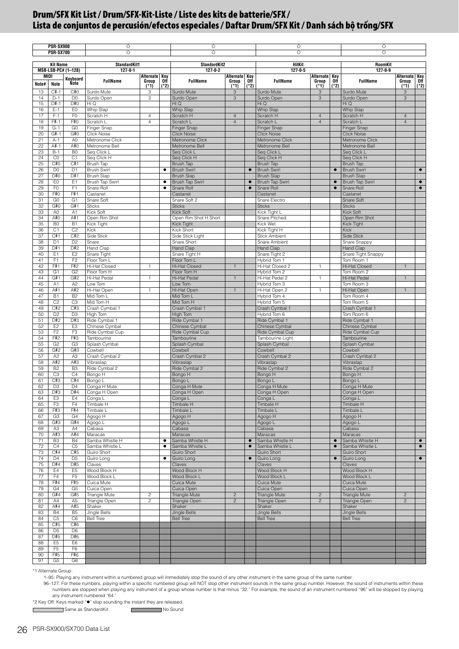<span id="page-25-0"></span>

|          | <b>PSR-SX900</b>                 |                                  | О                                       |                                      |           | O                                       |                                  |               | O                                       |                                  |                                                                    | O                                       |                                      |           |
|----------|----------------------------------|----------------------------------|-----------------------------------------|--------------------------------------|-----------|-----------------------------------------|----------------------------------|---------------|-----------------------------------------|----------------------------------|--------------------------------------------------------------------|-----------------------------------------|--------------------------------------|-----------|
|          | <b>PSR-SX700</b>                 |                                  | O                                       |                                      |           | $\circ$                                 |                                  |               | $\circ$                                 |                                  |                                                                    | $\circ$                                 |                                      |           |
|          | <b>Kit Name</b>                  |                                  | StandardKit1                            |                                      |           | StandardKit2                            |                                  |               | HitKit                                  |                                  |                                                                    | RoomKit                                 |                                      |           |
|          |                                  | MSB-LSB-PC# (1-128)              | $127 - 0 - 1$                           |                                      |           | $127 - 0 - 2$                           |                                  |               | $127 - 0 - 5$                           |                                  |                                                                    | $127 - 0 - 9$                           |                                      |           |
| Note#    | MIDI<br>Note                     | Keyboard<br>Note                 | <b>FullName</b>                         | Alternate Key<br>Group Off<br>$(*1)$ | $(*2)$    | <b>FullName</b>                         | Alternate Key<br>Group<br>$(*1)$ | 0ff<br>$(*2)$ | <b>FullName</b>                         | Alternate Key<br>Group<br>$(*1)$ | $\overline{\begin{smallmatrix} 0 \text{ff} \ 1 \end{smallmatrix}}$ | <b>FullName</b>                         | Alternate Key<br>Group Off<br>$(*1)$ | $(*2)$    |
| 13       | $C#-1$                           | C#O                              | Surdo Mute                              | 3                                    |           | Surdo Mute                              | 3                                |               | Surdo Mute                              | 3                                |                                                                    | Surdo Mute                              | 3                                    |           |
| 14       | $D-1$                            | D <sub>0</sub>                   | Surdo Open                              | 3                                    |           | Surdo Open                              | 3                                |               | Surdo Open                              | 3                                |                                                                    | Surdo Open                              | 3                                    |           |
| 15<br>16 | D#-1<br>$E-1$                    | D#0<br>EO                        | Hi Q<br>Whip Slap                       |                                      |           | Hi Q<br>Whip Slap                       |                                  |               | Hi Q<br>Whip Slap                       |                                  |                                                                    | Hi Q<br>Whip Slap                       |                                      |           |
| 17       | $F-1$                            | F <sub>0</sub>                   | Scratch H                               | $\overline{4}$                       |           | Scratch H                               | $\overline{4}$                   |               | Scratch H                               | $\overline{4}$                   |                                                                    | Scratch H                               | $\overline{4}$                       |           |
| 18       | F#-1                             | F#0                              | Scratch L                               | $\overline{4}$                       |           | Scratch L                               | $\overline{4}$                   |               | Scratch L                               | $\overline{4}$                   |                                                                    | Scratch L                               | $\overline{4}$                       |           |
| 19       | $G-1$                            | G <sub>0</sub>                   | Finger Snap                             |                                      |           | Finger Snap                             |                                  |               | Finger Snap                             |                                  |                                                                    | Finger Snap                             |                                      |           |
| 20       | G#-1<br>$A-1$                    | G#0                              | <b>Click Noise</b><br>Metronome Click   |                                      |           | <b>Click Noise</b><br>Metronome Click   |                                  |               | <b>Click Noise</b><br>Metronome Click   |                                  |                                                                    | <b>Click Noise</b><br>Metronome Click   |                                      |           |
| 21<br>22 | $A#-1$                           | A <sub>0</sub><br>A#O            | Metronome Bell                          |                                      |           | Metronome Bell                          |                                  |               | Metronome Bell                          |                                  |                                                                    | Metronome Bell                          |                                      |           |
| 23       | $B-1$                            | B <sub>0</sub>                   | Seg Click L                             |                                      |           | Seq Click L                             |                                  |               | Seq Click L                             |                                  |                                                                    | Seq Click L                             |                                      |           |
| 24       | CO                               | C <sub>1</sub>                   | Seq Click H                             |                                      |           | Seq Click H                             |                                  |               | Seq Click H                             |                                  |                                                                    | Seq Click H                             |                                      |           |
| 25       | C#0                              | C#1                              | Brush Tap                               |                                      |           | <b>Brush Tap</b>                        |                                  |               | Brush Tap                               |                                  |                                                                    | <b>Brush Tap</b>                        |                                      |           |
| 26<br>27 | D <sub>0</sub><br>D#0            | D <sub>1</sub><br>D#1            | <b>Brush Swirl</b><br><b>Brush Slap</b> |                                      | $\bullet$ | <b>Brush Swirl</b><br><b>Brush Slap</b> |                                  | $\bullet$     | <b>Brush Swirl</b><br><b>Brush Slap</b> |                                  | $\bullet$                                                          | <b>Brush Swirl</b><br><b>Brush Slap</b> |                                      | $\bullet$ |
| 28       | E <sub>0</sub>                   | E <sub>1</sub>                   | <b>Brush Tap Swirl</b>                  |                                      | ٠         | <b>Brush Tap Swirl</b>                  |                                  | $\bullet$     | <b>Brush Tap Swirl</b>                  |                                  | $\bullet$                                                          | <b>Brush Tap Swirl</b>                  |                                      | $\bullet$ |
| 29       | F <sub>0</sub>                   | F1                               | Snare Roll                              |                                      | ٠         | Snare Roll                              |                                  | $\bullet$     | Snare Roll                              |                                  | $\bullet$                                                          | Snare Roll                              |                                      | $\bullet$ |
| 30       | F#0                              | F#1                              | Castanet                                |                                      |           | Castanet                                |                                  |               | Castanet                                |                                  |                                                                    | Castanet                                |                                      |           |
| 31<br>32 | G <sub>0</sub><br>G#0            | G <sub>1</sub><br>G#1            | Snare Soft<br><b>Sticks</b>             |                                      |           | Snare Soft 2<br><b>Sticks</b>           |                                  |               | Snare Electro<br><b>Sticks</b>          |                                  |                                                                    | Snare Soft<br><b>Sticks</b>             |                                      |           |
| 33       | A <sub>0</sub>                   | A1                               | Kick Soft                               |                                      |           | Kick Soft                               |                                  |               | Kick Tight L                            |                                  |                                                                    | Kick Soft                               |                                      |           |
| 34       | A#0                              | A#1                              | Open Rim Shot                           |                                      |           | Open Rim Shot H Short                   |                                  |               | Snare Pitched                           |                                  |                                                                    | Open Rim Shot                           |                                      |           |
| 35       | B <sub>0</sub>                   | B <sub>1</sub>                   | Kick Tight                              |                                      |           | Kick Tight                              |                                  |               | Kick Wet                                |                                  |                                                                    | <b>Kick Tight</b>                       |                                      |           |
| 36<br>37 | C <sub>1</sub><br>C#1            | C <sub>2</sub><br>C#2            | Kick<br>Side Stick                      |                                      |           | Kick Short<br>Side Stick Light          |                                  |               | Kick Tight H<br><b>Stick Ambient</b>    |                                  |                                                                    | <b>Kick</b><br><b>Side Stick</b>        |                                      |           |
| 38       | D <sub>1</sub>                   | D <sub>2</sub>                   | Snare                                   |                                      |           | Snare Short                             |                                  |               | Snare Ambient                           |                                  |                                                                    | Snare Snappy                            |                                      |           |
| 39       | D#1                              | D#2                              | <b>Hand Clap</b>                        |                                      |           | <b>Hand Clap</b>                        |                                  |               | Hand Clap                               |                                  |                                                                    | <b>Hand Clap</b>                        |                                      |           |
| 40       | E <sub>1</sub>                   | E <sub>2</sub>                   | Snare Tight                             |                                      |           | Snare Tight H                           |                                  |               | Snare Tight 2                           |                                  |                                                                    | Snare Tight Snappy                      |                                      |           |
| 41       | F <sub>1</sub>                   | F <sub>2</sub>                   | Floor Tom L                             |                                      |           | Floor Tom L                             |                                  |               | Hybrid Tom 1                            |                                  |                                                                    | Tom Room 1                              |                                      |           |
| 42<br>43 | F#1<br>G <sub>1</sub>            | F#2<br>G <sub>2</sub>            | Hi-Hat Closed<br>Floor Tom H            | $\overline{1}$                       |           | Hi-Hat Closed<br>Floor Tom H            | $\mathbf{1}$                     |               | Hi-Hat Closed 2<br>Hybrid Tom 2         | $\mathbf{1}$                     |                                                                    | Hi-Hat Closed<br>Tom Room 2             | $\overline{1}$                       |           |
| 44       | G#1                              | G#2                              | Hi-Hat Pedal                            | $\mathbf{1}$                         |           | Hi-Hat Pedal                            | $\mathbf{1}$                     |               | Hi-Hat Pedal 2                          | $\mathbf{1}$                     |                                                                    | Hi-Hat Pedal                            | $\mathbf{1}$                         |           |
| 45       | A <sub>1</sub>                   | A <sub>2</sub>                   | Low Tom                                 |                                      |           | Low Tom                                 |                                  |               | Hybrid Tom 3                            |                                  |                                                                    | Tom Room 3                              |                                      |           |
| 46       | A#1                              | A#2                              | Hi-Hat Open                             | $\mathbf{1}$                         |           | Hi-Hat Open                             | $\mathbf{1}$                     |               | Hi-Hat Open 2                           | $\mathbf{1}$                     |                                                                    | Hi-Hat Open                             | $\mathbf{1}$                         |           |
| 47<br>48 | <b>B1</b><br>C <sub>2</sub>      | B <sub>2</sub><br>C <sub>3</sub> | Mid Tom L<br>Mid Tom H                  |                                      |           | Mid Tom L<br>Mid Tom H                  |                                  |               | Hybrid Tom 4<br>Hybrid Tom 5            |                                  |                                                                    | Tom Room 4<br>Tom Room 5                |                                      |           |
| 49       | C#2                              | C#3                              | Crash Cymbal 1                          |                                      |           | Crash Cymbal 1                          |                                  |               | Crash Cymbal 1                          |                                  |                                                                    | Crash Cymbal 1                          |                                      |           |
| 50       | D <sub>2</sub>                   | D <sub>3</sub>                   | High Tom                                |                                      |           | High Tom                                |                                  |               | Hybrid Tom 6                            |                                  |                                                                    | Tom Room 6                              |                                      |           |
| 51       | D#2                              | D#3                              | Ride Cymbal 1                           |                                      |           | Ride Cymbal 1                           |                                  |               | Ride Cymbal 1                           |                                  |                                                                    | Ride Cymbal 1                           |                                      |           |
| 52<br>53 | E <sub>2</sub><br>F <sub>2</sub> | E <sub>3</sub><br>F <sub>3</sub> | Chinese Cymbal<br>Ride Cymbal Cup       |                                      |           | Chinese Cymbal<br>Ride Cymbal Cup       |                                  |               | Chinese Cymbal<br>Ride Cymbal Cup       |                                  |                                                                    | Chinese Cymbal<br>Ride Cymbal Cup       |                                      |           |
| 54       | F#2                              | F#3                              | Tambourine                              |                                      |           | Tambourine                              |                                  |               | Tambourine Light                        |                                  |                                                                    | Tambourine                              |                                      |           |
| 55       | G <sub>2</sub>                   | G <sub>3</sub>                   | Splash Cymbal                           |                                      |           | Splash Cymbal                           |                                  |               | Splash Cymbal                           |                                  |                                                                    | Splash Cymbal                           |                                      |           |
| 56       | G#2                              | G#3                              | Cowbell                                 |                                      |           | Cowbell                                 |                                  |               | Cowbell                                 |                                  |                                                                    | Cowbell                                 |                                      |           |
| 57<br>58 | A <sub>2</sub><br>A#2            | A <sub>3</sub><br>A#3            | Crash Cymbal 2<br>Vibraslap             |                                      |           | Crash Cymbal 2<br>Vibraslap             |                                  |               | Crash Cymbal 2<br>Vibraslap             |                                  |                                                                    | Crash Cymbal 2<br>Vibraslap             |                                      |           |
| 59       | <b>B2</b>                        | B <sub>3</sub>                   | Ride Cymbal 2                           |                                      |           | Ride Cymbal 2                           |                                  |               | Ride Cymbal 2                           |                                  |                                                                    | Ride Cymbal 2                           |                                      |           |
| 60       | C <sub>3</sub>                   | C <sub>4</sub>                   | Bongo H                                 |                                      |           | Bongo H                                 |                                  |               | Bongo H                                 |                                  |                                                                    | Bongo H                                 |                                      |           |
| 61       | C#3                              | C#4                              | Bongo L                                 |                                      |           | Bongo L                                 |                                  |               | Bongo L                                 |                                  |                                                                    | Bongo L                                 |                                      |           |
| 62<br>63 | D <sub>3</sub><br>D#3            | D <sub>4</sub><br>D#4            | Conga H Mute<br>Conga H Open            |                                      |           | Conga H Mute<br>Conga H Open            |                                  |               | Conga H Mute<br>Conga H Open            |                                  |                                                                    | Conga H Mute<br>Conga H Open            |                                      |           |
| 64       | E <sub>3</sub>                   | E4                               | Conga L                                 |                                      |           | Conga L                                 |                                  |               | Conga L                                 |                                  |                                                                    | Conga L                                 |                                      |           |
| 65       | F <sub>3</sub>                   | F <sub>4</sub>                   | Timbale H                               |                                      |           | <b>Timbale H</b>                        |                                  |               | <b>Timbale H</b>                        |                                  |                                                                    | Timbale H                               |                                      |           |
| 66       | F#3                              | F#4                              | Timbale L                               |                                      |           | Timbale L                               |                                  |               | Timbale L                               |                                  |                                                                    | Timbale L                               |                                      |           |
| 67<br>68 | G <sub>3</sub><br>G#3            | G <sub>4</sub><br>G#4            | Agogo H<br>Agogo L                      |                                      |           | Agogo H<br>Agogo L                      |                                  |               | Agogo H<br>Agogo L                      |                                  |                                                                    | H opopA<br>Agogo L                      |                                      |           |
| 69       | A <sub>3</sub>                   | A4                               | Cabasa                                  |                                      |           | Cabasa                                  |                                  |               | Cabasa                                  |                                  |                                                                    | Cabasa                                  |                                      |           |
| 70       | A#3                              | A#4                              | Maracas                                 |                                      |           | Maracas                                 |                                  |               | Maracas                                 |                                  |                                                                    | Maracas                                 |                                      |           |
| 71       | B <sub>3</sub>                   | <b>B4</b>                        | Samba Whistle H                         |                                      |           | Samba Whistle H                         |                                  | $\bullet$     | Samba Whistle H                         |                                  | $\bullet$                                                          | Samba Whistle H                         |                                      | $\bullet$ |
| 72<br>73 | C4<br>C#4                        | C <sub>5</sub><br>C#5            | Samba Whistle L<br>Guiro Short          |                                      |           | Samba Whistle L<br>Guiro Short          |                                  | $\bullet$     | Samba Whistle L<br><b>Guiro Short</b>   |                                  | $\bullet$                                                          | Samba Whistle L<br>Guiro Short          |                                      | $\bullet$ |
| 74       | D <sub>4</sub>                   | D <sub>5</sub>                   | Guiro Long                              |                                      | ٠         | Guiro Long                              |                                  | $\bullet$     | Guiro Long                              |                                  | $\bullet$                                                          | Guiro Long                              |                                      | $\bullet$ |
| 75       | D#4                              | D#5                              | Claves                                  |                                      |           | Claves                                  |                                  |               | Claves                                  |                                  |                                                                    | Claves                                  |                                      |           |
| 76<br>77 | E4<br>F4                         | E <sub>5</sub><br>F <sub>5</sub> | Wood Block H<br>Wood Block L            |                                      |           | Wood Block H<br>Wood Block L            |                                  |               | Wood Block H<br>Wood Block L            |                                  |                                                                    | Wood Block H<br>Wood Block L            |                                      |           |
| 78       | F#4                              | F#5                              | Cuica Mute                              |                                      |           | Cuica Mute                              |                                  |               | Cuica Mute                              |                                  |                                                                    | Cuica Mute                              |                                      |           |
| 79       | G4                               | G <sub>5</sub>                   | Cuica Open                              |                                      |           | Cuica Open                              |                                  |               | Cuica Open                              |                                  |                                                                    | Cuica Open                              |                                      |           |
| 80       | G#4                              | G#5                              | Triangle Mute                           | $\sqrt{2}$                           |           | Triangle Mute                           | $\sqrt{2}$                       |               | Triangle Mute                           | $\sqrt{2}$                       |                                                                    | <b>Triangle Mute</b>                    | $\overline{c}$                       |           |
| 81<br>82 | A4<br>A#4                        | A <sub>5</sub>                   | Triangle Open                           | $\overline{c}$                       |           | Triangle Open<br>Shaker                 | $\overline{c}$                   |               | Triangle Open                           | $\overline{c}$                   |                                                                    | <b>Triangle Open</b>                    | $\overline{c}$                       |           |
| 83       | <b>B4</b>                        | A#5<br>B <sub>5</sub>            | Shaker<br>Jingle Bells                  |                                      |           | Jingle Bells                            |                                  |               | Shaker<br>Jingle Bells                  |                                  |                                                                    | Shaker<br><b>Jingle Bells</b>           |                                      |           |
| 84       | C <sub>5</sub>                   | C <sub>6</sub>                   | <b>Bell Tree</b>                        |                                      |           | <b>Bell Tree</b>                        |                                  |               | <b>Bell Tree</b>                        |                                  |                                                                    | <b>Bell Tree</b>                        |                                      |           |
| 85       | C#5                              | C#6                              |                                         |                                      |           |                                         |                                  |               |                                         |                                  |                                                                    |                                         |                                      |           |
| 86<br>87 | D <sub>5</sub><br>D#5            | D <sub>6</sub><br>D#6            |                                         |                                      |           |                                         |                                  |               |                                         |                                  |                                                                    |                                         |                                      |           |
| 88       | E <sub>5</sub>                   | E <sub>6</sub>                   |                                         |                                      |           |                                         |                                  |               |                                         |                                  |                                                                    |                                         |                                      |           |
| 89       | F <sub>5</sub>                   | F <sub>6</sub>                   |                                         |                                      |           |                                         |                                  |               |                                         |                                  |                                                                    |                                         |                                      |           |
| 90       | F#5                              | F#6                              |                                         |                                      |           |                                         |                                  |               |                                         |                                  |                                                                    |                                         |                                      |           |
| 91       | G <sub>5</sub>                   | G6                               |                                         |                                      |           |                                         |                                  |               |                                         |                                  |                                                                    |                                         |                                      |           |

\*1 Alternate Group:

1–95: Playing any instrument within a numbered group will immediately stop the sound of any other instrument in the same group of the same number.

96-127: For these numbers, playing within a specific numbered group will NOT stop other instrument sounds in the same group number. However, the sound of instruments within these numbers are stopped when playing any instru

\*2 Key Off: Keys marked " $\bullet$ " stop sounding the instant they are released.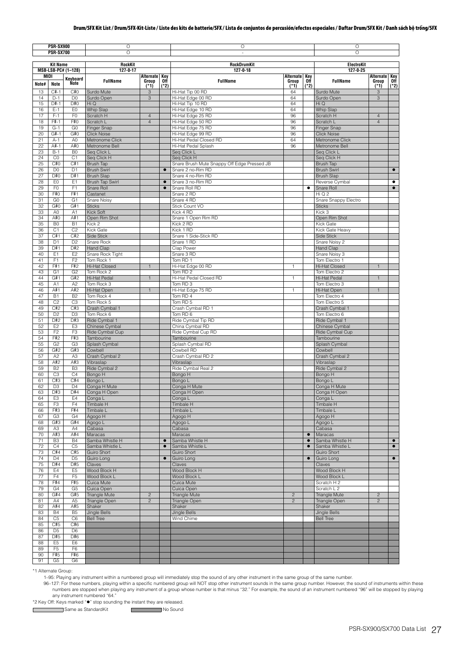|          | <b>PSR-SX900</b><br><b>PSR-SX700</b> |                                  | О<br>O                                      |                          |             | О<br>$\overline{\phantom{a}}$               |                |               | O<br>$\circ$                          |                   |             |
|----------|--------------------------------------|----------------------------------|---------------------------------------------|--------------------------|-------------|---------------------------------------------|----------------|---------------|---------------------------------------|-------------------|-------------|
|          | <b>Kit Name</b>                      |                                  | RockKit                                     |                          |             | RockDrumKit                                 |                |               | ElectroKit                            |                   |             |
| MIDI     |                                      | MSB-LSB-PC# (1-128)              | $127 - 0 - 17$                              | Alternate Key            |             | $127 - 0 - 18$                              | Alternate Key  |               | $127 - 0 - 25$                        | Alternate Key     |             |
| Note#    | Note                                 | Keyboard<br>Note                 | <b>FullName</b>                             | Group<br>$\frac{1}{(1)}$ | 0ff<br>(*2) | <b>FullName</b>                             | Group<br>(1)   | 0ff<br>$(*2)$ | <b>FullName</b>                       | Group<br>$(1^*1)$ | Off<br>(*2) |
| 13       | $C_{1}^{+} - 1$                      | C#0                              | Surdo Mute                                  | 3                        |             | Hi-Hat Tip 00 RD                            | 64             |               | Surdo Mute                            | 3                 |             |
| 14<br>15 | $D-1$<br>$D#-1$                      | D <sub>0</sub><br>D#0            | Surdo Open<br>Hi Q                          | 3                        |             | Hi-Hat Edge 00 RD<br>Hi-Hat Tip 10 RD       | 64<br>64       |               | Surdo Open<br>Hi Q                    | 3                 |             |
| 16       | $E-1$                                | E <sub>0</sub>                   | Whip Slap                                   |                          |             | Hi-Hat Edge 10 RD                           | 64             |               | Whip Slap                             |                   |             |
| 17       | $F-1$                                | F <sub>0</sub>                   | Scratch H                                   | $\overline{4}$           |             | Hi-Hat Edge 25 RD                           | 96             |               | Scratch H                             | $\overline{4}$    |             |
| 18<br>19 | F#-1<br>$G-1$                        | F#0<br>G <sub>0</sub>            | Scratch L<br>Finger Snap                    | $\overline{4}$           |             | Hi-Hat Edge 50 RD<br>Hi-Hat Edge 75 RD      | 96<br>96       |               | Scratch L<br>Finger Snap              | $\overline{4}$    |             |
| 20       | $G#-1$                               | G#O                              | <b>Click Noise</b>                          |                          |             | Hi-Hat Edge 99 RD                           | 96             |               | <b>Click Noise</b>                    |                   |             |
| 21       | $A-1$                                | A <sub>0</sub>                   | Metronome Click                             |                          |             | Hi-Hat Pedal Closed RD                      | 64             |               | Metronome Click                       |                   |             |
| 22       | A#-1<br>$B-1$                        | A#0<br>B <sub>0</sub>            | Metronome Bell                              |                          |             | Hi-Hat Pedal Splash                         | 96             |               | Metronome Bell                        |                   |             |
| 23<br>24 | C <sub>0</sub>                       | C <sub>1</sub>                   | Seq Click L<br>Seq Click H                  |                          |             | Seq Click L<br>Seq Click H                  |                |               | Seq Click L<br>Seq Click H            |                   |             |
| 25       | C#O                                  | C#1                              | Brush Tap                                   |                          |             | Snare Brush Mute Snappy Off Edge Pressed JB |                |               | Brush Tap                             |                   |             |
| 26       | D <sub>0</sub>                       | D <sub>1</sub>                   | <b>Brush Swirl</b>                          |                          | $\bullet$   | Snare 2 no-Rim RD                           |                |               | <b>Brush Swirl</b>                    |                   | $\bullet$   |
| 27<br>28 | D#0<br>E <sub>0</sub>                | D#1<br>E <sub>1</sub>            | <b>Brush Slap</b><br><b>Brush Tap Swirl</b> |                          | $\bullet$   | Snare 4 no-Rim RD<br>Snare 3 no-Rim RD      |                |               | <b>Brush Slap</b><br>Reverse Cymbal   |                   | $\bullet$   |
| 29       | F <sub>0</sub>                       | F <sub>1</sub>                   | Snare Roll                                  |                          | $\bullet$   | Snare Roll RD                               |                | $\bullet$     | Snare Roll                            |                   | $\bullet$   |
| 30       | F#0                                  | F#1                              | Castanet                                    |                          |             | Snare 2 RD                                  |                |               | Hi Q 2                                |                   |             |
| 31       | G <sub>0</sub>                       | G <sub>1</sub>                   | Snare Noisy                                 |                          |             | Snare 4 RD<br>Stick Count VO                |                |               | Snare Snappy Electro                  |                   |             |
| 32<br>33 | G#0<br>A <sub>0</sub>                | G#1<br>A1                        | <b>Sticks</b><br>Kick Soft                  |                          |             | Kick 4 RD                                   |                |               | <b>Sticks</b><br>Kick 3               |                   |             |
| 34       | A#0                                  | A#1                              | Open Rim Shot                               |                          |             | Snare 1 Open Rim RD                         |                |               | Open Rim Shot                         |                   |             |
| 35       | B <sub>0</sub>                       | <b>B1</b>                        | Kick 2                                      |                          |             | Kick 2 RD                                   |                |               | Kick Gate                             |                   |             |
| 36<br>37 | C1<br>C#1                            | C <sub>2</sub><br>C#2            | Kick Gate<br>Side Stick                     |                          |             | Kick 1 RD<br>Snare 1 Side-Stick RD          |                |               | Kick Gate Heavy<br>Side Stick         |                   |             |
| 38       | D <sub>1</sub>                       | D <sub>2</sub>                   | Snare Rock                                  |                          |             | Snare 1 RD                                  |                |               | Snare Noisy 2                         |                   |             |
| 39       | D#1                                  | D#2                              | Hand Clap                                   |                          |             | Clap Power                                  |                |               | <b>Hand Clap</b>                      |                   |             |
| 40       | E <sub>1</sub>                       | E <sub>2</sub>                   | Snare Rock Tight                            |                          |             | Snare 3 RD                                  |                |               | Snare Noisy 3                         |                   |             |
| 41<br>42 | F <sub>1</sub><br>F#1                | F <sub>2</sub><br>F#2            | Tom Rock 1<br>Hi-Hat Closed                 | $\mathbf{1}$             |             | Tom RD 1<br>Hi-Hat Edge 00 RD               | $\mathbf{1}$   |               | Tom Electro 1<br><b>Hi-Hat Closed</b> | $\mathbf{1}$      |             |
| 43       | G <sub>1</sub>                       | G <sub>2</sub>                   | Tom Rock 2                                  |                          |             | Tom RD 2                                    |                |               | Tom Electro 2                         |                   |             |
| 44       | G#1                                  | G#2                              | Hi-Hat Pedal                                | $\mathbf{1}$             |             | Hi-Hat Pedal Closed RD                      | $\mathbf{1}$   |               | Hi-Hat Pedal                          | $\mathbf{1}$      |             |
| 45       | A <sub>1</sub>                       | A <sub>2</sub>                   | Tom Rock 3                                  |                          |             | Tom RD 3                                    |                |               | Tom Electro 3                         |                   |             |
| 46<br>47 | A#1<br><b>B1</b>                     | A#2<br>B <sub>2</sub>            | Hi-Hat Open<br>Tom Rock 4                   | $\mathbf{1}$             |             | Hi-Hat Edge 75 RD<br>Tom RD 4               | $\mathbf{1}$   |               | Hi-Hat Open<br>Tom Electro 4          | $\mathbf{1}$      |             |
| 48       | C <sub>2</sub>                       | C <sub>3</sub>                   | Tom Rock 5                                  |                          |             | Tom RD 5                                    |                |               | Tom Electro 5                         |                   |             |
| 49       | C#2                                  | C#3                              | Crash Cymbal 1                              |                          |             | Crash Cymbal RD 1                           |                |               | Crash Cymbal                          |                   |             |
| 50       | D <sub>2</sub>                       | D <sub>3</sub>                   | Tom Rock 6                                  |                          |             | Tom RD 6                                    |                |               | Tom Electro 6                         |                   |             |
| 51<br>52 | D#2<br>E <sub>2</sub>                | D#3<br>E3                        | Ride Cymbal 1<br>Chinese Cymbal             |                          |             | Ride Cymbal Tip RD<br>China Cymbal RD       |                |               | Ride Cymbal 1<br>Chinese Cymbal       |                   |             |
| 53       | F <sub>2</sub>                       | F <sub>3</sub>                   | Ride Cymbal Cup                             |                          |             | Ride Cymbal Cup RD                          |                |               | Ride Cymbal Cup                       |                   |             |
| 54       | F#2                                  | F#3                              | Tambourine                                  |                          |             | Tambourine                                  |                |               | Tambourine                            |                   |             |
| 55<br>56 | G <sub>2</sub><br>G#2                | G <sub>3</sub><br>G#3            | Splash Cymbal<br>Cowbell                    |                          |             | Splash Cymbal RD<br>Cowbell RD              |                |               | Splash Cymbal<br>Cowbell              |                   |             |
| 57       | A <sub>2</sub>                       | A <sub>3</sub>                   | Crash Cymbal 2                              |                          |             | Crash Cymbal RD 2                           |                |               | Crash Cymbal 2                        |                   |             |
| 58       | A#2                                  | A#3                              | Vibraslap                                   |                          |             | Vibraslap                                   |                |               | Vibraslap                             |                   |             |
| 59       | B <sub>2</sub>                       | B <sub>3</sub>                   | Ride Cymbal 2                               |                          |             | Ride Cymbal Real 2                          |                |               | Ride Cymbal 2                         |                   |             |
| 60<br>61 | C <sub>3</sub><br>C#3                | C <sub>4</sub><br>C#4            | Bongo H<br>Bongo L                          |                          |             | Bongo H<br>Bongo L                          |                |               | Bongo H<br>Bongo L                    |                   |             |
| 62       | D3                                   | $\Box 4$                         | Conga H Mute                                |                          |             | Conga H Mute                                |                |               | Conga H Mute                          |                   |             |
| 63       | D#3                                  | D#4                              | Conga H Open                                |                          |             | Conga H Open                                |                |               | Conga H Open                          |                   |             |
| 64<br>65 | E <sub>3</sub><br>F <sub>3</sub>     | E4<br>F4                         | Conga L<br>Timbale H                        |                          |             | Conga L<br>Timbale H                        |                |               | Conga L<br><b>Timbale H</b>           |                   |             |
| 66       | F#3                                  | F#4                              | Timbale L                                   |                          |             | Timbale L                                   |                |               | Timbale L                             |                   |             |
| 67       | G <sub>3</sub>                       | G4                               | Agogo H                                     |                          |             | Agogo H                                     |                |               | Agogo H                               |                   |             |
| 68       | G#3                                  | G#4                              | Agogo L                                     |                          |             | Agogo L                                     |                |               | Agogo L                               |                   |             |
| 69<br>70 | A <sub>3</sub><br>A#3                | A4<br>A#4                        | Cabasa<br>Maracas                           |                          |             | Cabasa<br>Maracas                           |                | $\bullet$     | Cabasa<br>Maracas                     |                   |             |
| 71       | B <sub>3</sub>                       | <b>B4</b>                        | Samba Whistle H                             |                          | $\bullet$   | Samba Whistle H                             |                | $\bullet$     | Samba Whistle H                       |                   | $\bullet$   |
| 72       | C <sub>4</sub>                       | C <sub>5</sub>                   | Samba Whistle L                             |                          | $\bullet$   | Samba Whistle L                             |                | $\bullet$     | Samba Whistle L                       |                   | $\bullet$   |
| 73       | C#4                                  | C#5                              | <b>Guiro Short</b>                          |                          |             | Guiro Short                                 |                |               | Guiro Short                           |                   |             |
| 74<br>75 | D <sub>4</sub><br>D#4                | D <sub>5</sub><br>D#5            | Guiro Long<br>Claves                        |                          | $\bullet$   | Guiro Long<br>Claves                        |                | $\bullet$     | Guiro Long<br>Claves                  |                   | $\bullet$   |
| 76       | E4                                   | E <sub>5</sub>                   | Wood Block H                                |                          |             | Wood Block H                                |                |               | Wood Block H                          |                   |             |
| 77       | F4                                   | F <sub>5</sub>                   | Wood Block L                                |                          |             | Wood Block L                                |                |               | Wood Block L                          |                   |             |
| 78<br>79 | F#4<br>G <sub>4</sub>                | F#5<br>G <sub>5</sub>            | Cuica Mute<br>Cuica Open                    |                          |             | Cuica Mute<br>Cuica Open                    |                |               | Scratch H 2<br>Scratch L 2            |                   |             |
| 80       | G#4                                  | G#5                              | <b>Triangle Mute</b>                        | $\sqrt{2}$               |             | Triangle Mute                               | $\overline{c}$ |               | <b>Triangle Mute</b>                  | $\overline{c}$    |             |
| 81       | A4                                   | A <sub>5</sub>                   | Triangle Open                               | $\overline{c}$           |             | <b>Triangle Open</b>                        | $\overline{c}$ |               | Triangle Open                         | $\overline{c}$    |             |
| 82       | A#4                                  | A#5                              | Shaker                                      |                          |             | Shaker                                      |                |               | Shaker                                |                   |             |
| 83<br>84 | <b>B4</b><br>C <sub>5</sub>          | B <sub>5</sub><br>C <sub>6</sub> | Jingle Bells<br><b>Bell Tree</b>            |                          |             | Jingle Bells<br>Wind Chime                  |                |               | Jingle Bells<br><b>Bell Tree</b>      |                   |             |
| 85       | C#5                                  | C#6                              |                                             |                          |             |                                             |                |               |                                       |                   |             |
| 86       | D <sub>5</sub>                       | D <sub>6</sub>                   |                                             |                          |             |                                             |                |               |                                       |                   |             |
| 87       | D#5                                  | D#6                              |                                             |                          |             |                                             |                |               |                                       |                   |             |
| 88<br>89 | E <sub>5</sub><br>F <sub>5</sub>     | E <sub>6</sub><br>F <sub>6</sub> |                                             |                          |             |                                             |                |               |                                       |                   |             |
| 90       | F#5                                  | F#6                              |                                             |                          |             |                                             |                |               |                                       |                   |             |
| 91       | G <sub>5</sub>                       | G <sub>6</sub>                   |                                             |                          |             |                                             |                |               |                                       |                   |             |

\*1 Alternate Group:

 $\mathsf{r}$ 

1–95: Playing any instrument within a numbered group will immediately stop the sound of any other instrument in the same group of the same number.

96-127: For these numbers, playing within a specific numbered group will NOT stop other instrument sounds in the same group number. However, the sound of instruments within these numbers are stopped when playing any instru

\*2 Key Off: Keys marked "" stop sounding the instant they are released.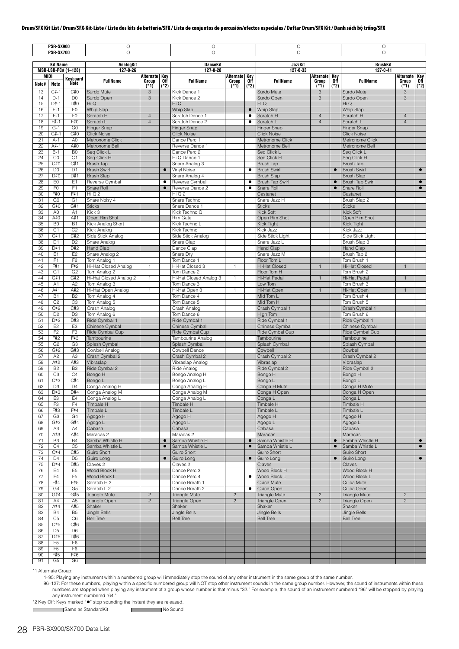|          | <b>PSR-SX900</b><br><b>PSR-SX700</b> |                                  | O<br>$\circ$                             |                                  |                | O<br>$\circ$                         |                                |                        | O<br>$\circ$                             |                              |                        | $\circ$<br>$\circ$                     |                                  |                        |
|----------|--------------------------------------|----------------------------------|------------------------------------------|----------------------------------|----------------|--------------------------------------|--------------------------------|------------------------|------------------------------------------|------------------------------|------------------------|----------------------------------------|----------------------------------|------------------------|
|          | <b>Kit Name</b>                      |                                  | AnalogKit                                |                                  |                | <b>DanceKit</b>                      |                                |                        | <b>JazzKit</b>                           |                              |                        | <b>BrushKit</b>                        |                                  |                        |
| MIDI     |                                      | MSB-LSB-PC# (1-128)              | 127-0-26                                 | Alternate   Key                  |                | 127-0-28                             | Alternate Key                  |                        | 127-0-33                                 | Alternate Key                |                        | $127 - 0 - 41$                         | Alternate Key                    |                        |
| Note#    | Note                                 | Keyboard<br><b>Note</b>          | <b>FullName</b>                          | Group<br>$(*1)$                  | 0ff<br>$(*2)$  | <b>FullName</b>                      | Group<br>$(*1)$                | 0ff<br>$(*2)$          | <b>FullName</b>                          | Group<br>$(*1)$              | 0ff<br>$(*2)$          | <b>FullName</b>                        | Group<br>(1)                     | Off<br>$(*2)$          |
| 13<br>14 | $C#-1$<br>$D-1$                      | C#O<br>D <sub>0</sub>            | Surdo Mute<br>Surdo Open                 | 3<br>3                           |                | Kick Dance 1<br>Kick Dance 2         |                                |                        | Surdo Mute<br>Surdo Open                 | $\sqrt{3}$<br>3              |                        | Surdo Mute<br>Surdo Open               | 3<br>3                           |                        |
| 15       | $D#-1$                               | D#0                              | Hi Q                                     |                                  |                | Hi Q                                 |                                |                        | Hi Q                                     |                              |                        | Hi Q                                   |                                  |                        |
| 16<br>17 | $E-1$<br>$F-1$                       | E <sub>0</sub><br>F <sub>0</sub> | Whip Slap<br>Scratch H                   | $\overline{4}$                   |                | Whip Slap<br>Scratch Dance 1         |                                | $\bullet$<br>$\bullet$ | Whip Slap<br>Scratch H                   | $\overline{4}$               |                        | Whip Slap<br>Scratch H                 | $\overline{4}$                   |                        |
| 18       | F#-1                                 | F#0                              | Scratch L                                | $\overline{4}$                   |                | Scratch Dance 2                      |                                | $\bullet$              | Scratch L                                | $\overline{4}$               |                        | Scratch L                              | $\overline{4}$                   |                        |
| 19<br>20 | $G-1$<br>$G#-1$                      | G <sub>0</sub><br>G#0            | <b>Finger Snap</b><br><b>Click Noise</b> |                                  |                | Finger Snap<br><b>Click Noise</b>    |                                |                        | <b>Finger Snap</b><br><b>Click Noise</b> |                              |                        | Finger Snap<br><b>Click Noise</b>      |                                  |                        |
| 21       | $A-1$                                | A <sub>0</sub>                   | Metronome Click                          |                                  |                | Dance Perc 1                         |                                |                        | Metronome Click                          |                              |                        | Metronome Click                        |                                  |                        |
| 22<br>23 | $A#-1$<br>$B-1$                      | A#0<br>B <sub>0</sub>            | Metronome Bell<br>Seq Click L            |                                  |                | Reverse Dance 1<br>Dance Perc 2      |                                |                        | Metronome Bell<br>Seq Click L            |                              |                        | Metronome Bell<br>Seq Click L          |                                  |                        |
| 24       | CO                                   | C <sub>1</sub>                   | Seg Click H                              |                                  |                | Hi Q Dance 1                         |                                |                        | Seq Click H                              |                              |                        | Seq Click H                            |                                  |                        |
| 25<br>26 | C#0<br>D <sub>0</sub>                | C#1<br>D <sub>1</sub>            | <b>Brush Tap</b><br><b>Brush Swirl</b>   |                                  | $\bullet$      | Snare Analog 3<br>Vinyl Noise        |                                | $\bullet$              | Brush Tap<br><b>Brush Swirl</b>          |                              | $\bullet$              | <b>Brush Tap</b><br><b>Brush Swirl</b> |                                  | $\bullet$              |
| 27       | D#0                                  | D#1                              | <b>Brush Slap</b>                        |                                  |                | Snare Analog 4                       |                                |                        | <b>Brush Slap</b>                        |                              |                        | <b>Brush Slap</b>                      |                                  |                        |
| 28<br>29 | EO<br>F <sub>0</sub>                 | E1<br>F <sub>1</sub>             | Reverse Cymbal<br>Snare Roll             |                                  | ٠<br>$\bullet$ | Reverse Cymbal<br>Reverse Dance 2    |                                | $\bullet$<br>$\bullet$ | Brush Tap Swirl<br>Snare Roll            |                              | $\bullet$<br>$\bullet$ | Brush Tap Swirl<br>Snare Roll          |                                  | $\bullet$<br>$\bullet$ |
| 30       | F#0                                  | F#1                              | Hi Q 2                                   |                                  |                | Hi Q 2                               |                                |                        | Castanet                                 |                              |                        | Castanet                               |                                  |                        |
| 31       | G <sub>0</sub>                       | G <sub>1</sub>                   | Snare Noisy 4                            |                                  |                | Snare Techno                         |                                |                        | Snare Jazz H                             |                              |                        | Brush Slap 2                           |                                  |                        |
| 32<br>33 | G#0<br>A <sub>0</sub>                | G#1<br>A1                        | <b>Sticks</b><br>Kick 3                  |                                  |                | Snare Dance 1<br>Kick Techno Q       |                                |                        | <b>Sticks</b><br><b>Kick Soft</b>        |                              |                        | <b>Sticks</b><br>Kick Soft             |                                  |                        |
| 34       | A#0                                  | A#1                              | Open Rim Shot                            |                                  |                | <b>Rim Gate</b>                      |                                |                        | Open Rim Shot                            |                              |                        | Open Rim Shot                          |                                  |                        |
| 35<br>36 | B <sub>0</sub><br>C <sub>1</sub>     | <b>B1</b><br>C <sub>2</sub>      | Kick Analog Short<br>Kick Analog         |                                  |                | Kick Techno L<br>Kick Techno         |                                |                        | Kick Tight<br>Kick Jazz                  |                              |                        | Kick Tight<br>Kick Jazz                |                                  |                        |
| 37       | C#1                                  | C#2                              | Side Stick Analog                        |                                  |                | Side Stick Analog                    |                                |                        | Side Stick Light                         |                              |                        | Side Stick Light                       |                                  |                        |
| 38       | D <sub>1</sub>                       | D <sub>2</sub>                   | Snare Analog                             |                                  |                | Snare Clap                           |                                |                        | Snare Jazz L                             |                              |                        | Brush Slap 3                           |                                  |                        |
| 39<br>40 | D#1<br>E <sub>1</sub>                | D#2<br>E <sub>2</sub>            | Hand Clap<br>Snare Analog 2              |                                  |                | Dance Clap<br>Snare Dry              |                                |                        | Hand Clap<br>Snare Jazz M                |                              |                        | Hand Clap<br>Brush Tap 2               |                                  |                        |
| 41       | F <sub>1</sub>                       | F <sub>2</sub>                   | Tom Analog 1                             |                                  |                | Tom Dance 1                          |                                |                        | Floor Tom L                              |                              |                        | Tom Brush 1                            |                                  |                        |
| 42<br>43 | F#1<br>G <sub>1</sub>                | F#2<br>G <sub>2</sub>            | Hi-Hat Closed Analog<br>Tom Analog 2     | $\mathbf{1}$                     |                | Hi-Hat Closed 3<br>Tom Dance 2       | $\mathbf{1}$                   |                        | Hi-Hat Closed<br>Floor Tom H             | $\overline{1}$               |                        | Hi-Hat Closed<br>Tom Brush 2           | $\mathbf{1}$                     |                        |
| 44       | G#1                                  | G#2                              | Hi-Hat Closed Analog 2                   | $\mathbf{1}$                     |                | Hi-Hat Closed Analog 3               | $\mathbf{1}$                   |                        | Hi-Hat Pedal                             | $\overline{1}$               |                        | Hi-Hat Pedal                           |                                  |                        |
| 45       | A <sub>1</sub>                       | A <sub>2</sub>                   | Tom Analog 3                             |                                  |                | Tom Dance 3                          |                                |                        | Low Tom                                  |                              |                        | Tom Brush 3                            |                                  |                        |
| 46<br>47 | A#1<br><b>B1</b>                     | A#2<br>B <sub>2</sub>            | Hi-Hat Open Analog<br>Tom Analog 4       | $\mathbf{1}$                     |                | Hi-Hat Open 3<br>Tom Dance 4         | $\mathbf{1}$                   |                        | Hi-Hat Open<br>Mid Tom L                 | $\mathbf{1}$                 |                        | Hi-Hat Open<br>Tom Brush 4             |                                  |                        |
| 48       | C <sub>2</sub>                       | C <sub>3</sub>                   | Tom Analog 5                             |                                  |                | Tom Dance 5                          |                                |                        | Mid Tom H                                |                              |                        | Tom Brush 5                            |                                  |                        |
| 49<br>50 | C#2<br>D <sub>2</sub>                | C#3<br>D <sub>3</sub>            | Crash Analog<br>Tom Analog 6             |                                  |                | Crash Analog<br>Tom Dance 6          |                                |                        | Crash Cymbal 1<br>High Tom               |                              |                        | Crash Cymbal 1<br>Tom Brush 6          |                                  |                        |
| 51       | D#2                                  | D#3                              | Ride Cymbal 1                            |                                  |                | Ride Cymbal 1                        |                                |                        | Ride Cymbal 1                            |                              |                        | Ride Cymbal 1                          |                                  |                        |
| 52       | E <sub>2</sub>                       | E <sub>3</sub>                   | Chinese Cymbal                           |                                  |                | Chinese Cymbal                       |                                |                        | Chinese Cymbal                           |                              |                        | Chinese Cymbal                         |                                  |                        |
| 53<br>54 | F <sub>2</sub><br>F#2                | F <sub>3</sub><br>F#3            | Ride Cymbal Cup<br>Tambourine            |                                  |                | Ride Cymbal Cup<br>Tambourine Analog |                                |                        | Ride Cymbal Cup<br>Tambourine            |                              |                        | Ride Cymbal Cup<br>Tambourine          |                                  |                        |
| 55       | G <sub>2</sub>                       | G <sub>3</sub>                   | Splash Cymbal                            |                                  |                | Splash Cymbal                        |                                |                        | Splash Cymbal                            |                              |                        | Splash Cymbal                          |                                  |                        |
| 56<br>57 | G#2<br>A <sub>2</sub>                | G#3<br>A3                        | Cowbell Analog<br>Crash Cymbal 2         |                                  |                | Cowbell Dance<br>Crash Cymbal 2      |                                |                        | Cowbell<br>Crash Cymbal 2                |                              |                        | Cowbell<br>Crash Cymbal 2              |                                  |                        |
| 58       | A#2                                  | A#3                              | Vibraslap                                |                                  |                | Vibraslap Analog                     |                                |                        | Vibraslap                                |                              |                        | Vibraslap                              |                                  |                        |
| 59       | B <sub>2</sub>                       | B <sub>3</sub>                   | Ride Cymbal 2                            |                                  |                | Ride Analog                          |                                |                        | Ride Cymbal 2                            |                              |                        | Ride Cymbal 2                          |                                  |                        |
| 60<br>61 | C <sub>3</sub><br>C#3                | C4<br>C#4                        | Bongo H<br>Bongo L                       |                                  |                | Bongo Analog H<br>Bongo Analog L     |                                |                        | Bongo H<br>Bongo L                       |                              |                        | Bongo H<br>Bongo L                     |                                  |                        |
| 62       | D <sub>3</sub>                       | D4                               | Conga Analog H                           |                                  |                | Conga Analog H                       |                                |                        | Conga H Mute                             |                              |                        | Conga H Mute                           |                                  |                        |
| 63<br>64 | D#3<br>E <sub>3</sub>                | D#4<br>E4                        | Conga Analog M<br>Conga Analog L         |                                  |                | Conga Analog M<br>Conga Analog L     |                                |                        | Conga H Open<br>Conga L                  |                              |                        | Conga H Open<br>Conga L                |                                  |                        |
| 65       | F <sub>3</sub>                       | F4                               | Timbale H                                |                                  |                | Timbale H                            |                                |                        | Timbale H                                |                              |                        | Timbale H                              |                                  |                        |
| 66       | F#3                                  | F#4                              | Timbale L                                |                                  |                | Timbale L                            |                                |                        | Timbale L                                |                              |                        | Timbale L                              |                                  |                        |
| 67<br>68 | G <sub>3</sub><br>G#3                | G4<br>G#4                        | Agogo H<br>Agogo L                       |                                  |                | Agogo H<br>Agogo L                   |                                |                        | H opopA<br>Agogo L                       |                              |                        | Agogo H<br>Agogo L                     |                                  |                        |
| 69       | A3                                   | A4                               | Cabasa                                   |                                  |                | Cabasa                               |                                |                        | Cabasa                                   |                              |                        | Cabasa                                 |                                  |                        |
| 70<br>71 | A#3<br>B <sub>3</sub>                | A#4<br><b>B4</b>                 | Maracas 2<br>Samba Whistle H             |                                  | $\bullet$      | Maracas 2<br>Samba Whistle H         |                                | $\bullet$              | Maracas<br>Samba Whistle H               |                              | $\bullet$              | Maracas<br>Samba Whistle H             |                                  | $\bullet$              |
| 72       | C4                                   | C <sub>5</sub>                   | Samba Whistle L                          |                                  | $\bullet$      | Samba Whistle L                      |                                | $\bullet$              | Samba Whistle L                          |                              |                        | Samba Whistle L                        |                                  | $\bullet$              |
| 73       | C#4<br>D <sub>4</sub>                | C#5                              | <b>Guiro Short</b>                       |                                  |                | Guiro Short                          |                                |                        | Guiro Short                              |                              | $\bullet$              | Guiro Short                            |                                  | $\bullet$              |
| 74<br>75 | D#4                                  | D <sub>5</sub><br>D#5            | Guiro Long<br>Claves <sub>2</sub>        |                                  | $\bullet$      | Guiro Long<br>Claves <sub>2</sub>    |                                | $\bullet$              | Guiro Long<br>Claves                     |                              |                        | Guiro Long<br>Claves                   |                                  |                        |
| 76       | E4                                   | E <sub>5</sub>                   | Wood Block H                             |                                  |                | Dance Perc 3                         |                                |                        | Wood Block H                             |                              |                        | Wood Block H                           |                                  |                        |
| 77<br>78 | F4<br>F#4                            | F <sub>5</sub><br>F#5            | Wood Block L<br>Scratch H 2              |                                  |                | Dance Perc 4<br>Dance Breath 1       |                                | ٠                      | Wood Block L<br>Cuica Mute               |                              |                        | Wood Block L<br>Cuica Mute             |                                  |                        |
| 79       | G4                                   | G <sub>5</sub>                   | Scratch L 2                              |                                  |                | Dance Breath 2                       |                                | $\bullet$              | Cuica Open                               |                              |                        | Cuica Open                             |                                  |                        |
| 80<br>81 | G#4<br>A4                            | G#5<br>A <sub>5</sub>            | Triangle Mute                            | $\overline{c}$<br>$\overline{c}$ |                | <b>Triangle Mute</b>                 | $\overline{c}$<br>$\mathbf{2}$ |                        | <b>Triangle Mute</b>                     | $\mathbf{2}$<br>$\mathbf{2}$ |                        | <b>Triangle Mute</b>                   | $\overline{c}$<br>$\overline{c}$ |                        |
| 82       | A#4                                  | A#5                              | Triangle Open<br>Shaker                  |                                  |                | Triangle Open<br>Shaker              |                                |                        | Triangle Open<br>Shaker                  |                              |                        | Triangle Open<br>Shaker                |                                  |                        |
| 83       | <b>B4</b>                            | B <sub>5</sub>                   | Jingle Bells                             |                                  |                | Jingle Bells                         |                                |                        | Jingle Bells                             |                              |                        | Jingle Bells                           |                                  |                        |
| 84<br>85 | C <sub>5</sub><br>C#5                | C <sub>6</sub><br>C#6            | <b>Bell Tree</b>                         |                                  |                | <b>Bell Tree</b>                     |                                |                        | <b>Bell Tree</b>                         |                              |                        | <b>Bell Tree</b>                       |                                  |                        |
| 86       | D <sub>5</sub>                       | D <sub>6</sub>                   |                                          |                                  |                |                                      |                                |                        |                                          |                              |                        |                                        |                                  |                        |
| 87<br>88 | D#5<br>E <sub>5</sub>                | D#6<br>E6                        |                                          |                                  |                |                                      |                                |                        |                                          |                              |                        |                                        |                                  |                        |
| 89       | F <sub>5</sub>                       | F <sub>6</sub>                   |                                          |                                  |                |                                      |                                |                        |                                          |                              |                        |                                        |                                  |                        |
| 90       | F#5                                  | F#6                              |                                          |                                  |                |                                      |                                |                        |                                          |                              |                        |                                        |                                  |                        |
| 91       | G5                                   | G6                               |                                          |                                  |                |                                      |                                |                        |                                          |                              |                        |                                        |                                  |                        |

\*1 Alternate Group:

1–95: Playing any instrument within a numbered group will immediately stop the sound of any other instrument in the same group of the same number.

96-127: For these numbers, playing within a specific numbered group will NOT stop other instrument sounds in the same group number. However, the sound of instruments within these numbers are stopped when playing any instru

\*2 Key Off: Keys marked " $\bullet$ " stop sounding the instant they are released.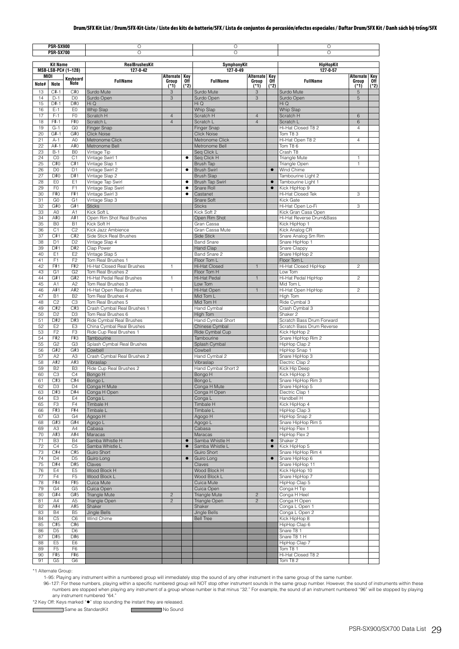|          | <b>PSR-SX900</b>                 |                       | $\overline{O}$                          |                              |                      | $\circ$                        |                                  |             | $\circ$                             |                              |                           |
|----------|----------------------------------|-----------------------|-----------------------------------------|------------------------------|----------------------|--------------------------------|----------------------------------|-------------|-------------------------------------|------------------------------|---------------------------|
|          | <b>PSR-SX700</b>                 |                       | O                                       |                              |                      | $\circ$                        |                                  |             | $\circ$                             |                              |                           |
|          |                                  |                       |                                         |                              |                      |                                |                                  |             |                                     |                              |                           |
|          | <b>Kit Name</b>                  |                       | <b>RealBrushesKit</b>                   |                              |                      | SymphonyKit                    |                                  |             | <b>HipHopKit</b>                    |                              |                           |
|          |                                  | MSB-LSB-PC# (1-128)   | $127 - 0 - 42$                          |                              |                      | 127-0-49                       |                                  |             | $127 - 0.57$                        |                              |                           |
| Note#    | MIDI<br>Note                     | Keyboard<br>Note      | <b>FullName</b>                         | Alternate<br>Group<br>$(*1)$ | Key<br>0ff<br>$(*2)$ | <b>FullName</b>                | Alternate Key<br>Group<br>$(*1)$ | 0ff<br>(*2) | <b>FullName</b>                     | Alternate<br>Group<br>$(*1)$ | <b>Key</b><br>0ff<br>(*2) |
| 13       | $C#-1$                           | C#0                   | Surdo Mute                              | 3                            |                      | Surdo Mute                     | 3                                |             | Surdo Mute                          | 5                            |                           |
| 14       | $D-1$                            | D <sub>0</sub>        | Surdo Open                              | 3                            |                      | Surdo Open                     | 3                                |             | Surdo Open                          | 5                            |                           |
| 15       | $D#-1$                           | D#0                   | Hi Q                                    |                              |                      | Hi Q                           |                                  |             | Hi Q                                |                              |                           |
| 16       | $E-1$                            | E <sub>0</sub>        | Whip Slap                               |                              |                      | Whip Slap                      |                                  |             | Whip Slap                           |                              |                           |
| 17       | $F-1$                            | F <sub>0</sub>        | Scratch H                               | $\overline{4}$               |                      | Scratch H                      | $\overline{4}$                   |             | Scratch H                           | 6                            |                           |
| 18       | F#-1                             | F#0                   | Scratch L                               | $\overline{4}$               |                      | Scratch L                      | $\overline{4}$                   |             | Scratch L                           | 6                            |                           |
| 19       | $G-1$                            | G <sub>0</sub>        | Finger Snap                             |                              |                      | Finger Snap                    |                                  |             | Hi-Hat Closed T8 2                  | $\overline{4}$               |                           |
| 20       | $G#-1$                           | G#0                   | <b>Click Noise</b>                      |                              |                      | <b>Click Noise</b>             |                                  |             | Tom T8 3                            |                              |                           |
| 21       | $A-1$                            | A <sub>0</sub>        | Metronome Click                         |                              |                      | Metronome Click                |                                  |             | Hi-Hat Open T8 2                    | $\overline{4}$               |                           |
| 22       | A#-1                             | A#0                   | Metronome Bell                          |                              |                      | Metronome Bell                 |                                  |             | Tom T8 6                            |                              |                           |
| 23       | $B-1$                            | B <sub>0</sub>        | Vintage Tip                             |                              |                      | Seq Click L                    |                                  |             | Crash T8                            |                              |                           |
| 24       | C <sub>0</sub>                   | C <sub>1</sub>        | Vintage Swirl 1                         |                              | $\bullet$            | Seq Click H                    |                                  |             | Triangle Mute                       | 1                            |                           |
| 25       | C#O                              | C#1                   | Vintage Slap 1                          |                              |                      | Brush Tap                      |                                  |             | Triangle Open                       | $\mathbf{1}$                 |                           |
| 26       | D <sub>0</sub>                   | D <sub>1</sub>        | Vintage Swirl 2                         |                              | $\bullet$            | <b>Brush Swirl</b>             |                                  | $\bullet$   | Wind Chime                          |                              |                           |
| 27<br>28 | D#0<br>E <sub>0</sub>            | D#1<br>E <sub>1</sub> | Vintage Slap 2                          |                              | $\bullet$            | <b>Brush Slap</b>              |                                  | $\bullet$   | Tambourine Light 2                  |                              |                           |
| 29       | F <sub>0</sub>                   | F <sub>1</sub>        | Vintage Tap Swirl<br>Vintage Slap Swirl |                              | $\bullet$            | Brush Tap Swirl<br>Snare Roll  |                                  | $\bullet$   | Tambourine Light 1<br>Kick HipHop 9 |                              |                           |
| 30       | F#0                              | F#1                   | Vintage Swirl 3                         |                              | $\bullet$            | Castanet                       |                                  |             | Hi-Hat Closed Tek                   | 3                            |                           |
| 31       | G <sub>0</sub>                   | G <sub>1</sub>        | Vintage Slap 3                          |                              |                      | Snare Soft                     |                                  |             | Kick Gate                           |                              |                           |
| 32       | G#0                              | G#1                   | <b>Sticks</b>                           |                              |                      | <b>Sticks</b>                  |                                  |             | Hi-Hat Open Lo-Fi                   | 3                            |                           |
| 33       | A <sub>0</sub>                   | A1                    | Kick Soft L                             |                              |                      | Kick Soft 2                    |                                  |             | Kick Gran Casa Open                 |                              |                           |
| 34       | A#0                              | A#1                   | Open Rim Shot Real Brushes              |                              |                      | Open Rim Shot                  |                                  |             | Hi-Hat Reverse Drum&Bass            |                              |                           |
| 35       | B <sub>0</sub>                   | <b>B1</b>             | Kick Soft H                             |                              |                      | Gran Cassa                     |                                  |             | Kick HipHop 1                       |                              |                           |
| 36       | C <sub>1</sub>                   | C <sub>2</sub>        | Kick Jazz Ambience                      |                              |                      | Gran Cassa Mute                |                                  |             | Kick Analog CR                      |                              |                           |
| 37       | C#1                              | C#2                   | Side Stick Real Brushes                 |                              |                      | Side Stick                     |                                  |             | Snare Analog Sm Rim                 |                              |                           |
| 38       | D <sub>1</sub>                   | D <sub>2</sub>        | Vintage Slap 4                          |                              |                      | <b>Band Snare</b>              |                                  |             | Snare HipHop 1                      |                              |                           |
| 39       | D#1                              | D#2                   | Clap Power                              |                              |                      | <b>Hand Clap</b>               |                                  |             | Snare Clappy                        |                              |                           |
| 40       | E <sub>1</sub>                   | E <sub>2</sub>        | Vintage Slap 5                          |                              |                      | Band Snare 2                   |                                  |             | Snare HipHop 2                      |                              |                           |
| 41       | F <sub>1</sub>                   | F <sub>2</sub>        | Tom Real Brushes 1                      |                              |                      | Floor Tom L                    |                                  |             | Floor Tom L                         |                              |                           |
| 42       | F#1                              | F#2                   | Hi-Hat Closed Real Brushes              | 1                            |                      | Hi-Hat Closed                  | $\mathbf{1}$                     |             | Hi-Hat Closed HipHop                | $\overline{c}$               |                           |
| 43       | G <sub>1</sub>                   | G <sub>2</sub>        | Tom Real Brushes 2                      |                              |                      | Floor Tom H                    |                                  |             | Low Tom                             |                              |                           |
| 44       | G#1                              | G#2                   | Hi-Hat Pedal Real Brushes               | 1                            |                      | Hi-Hat Pedal                   | $\mathbf{1}$                     |             | Hi-Hat Pedal HipHop                 | 2                            |                           |
| 45       | A1                               | A <sub>2</sub>        | Tom Real Brushes 3                      |                              |                      | Low Tom                        |                                  |             | Mid Tom L                           |                              |                           |
| 46       | A#1                              | A#2                   | Hi-Hat Open Real Brushes                | $\mathbf{1}$                 |                      | Hi-Hat Open                    | $\mathbf{1}$                     |             | Hi-Hat Open HipHop                  | $\overline{c}$               |                           |
| 47       | <b>B1</b>                        | <b>B2</b>             | Tom Real Brushes 4                      |                              |                      | Mid Tom L                      |                                  |             | High Tom                            |                              |                           |
| 48       | C <sub>2</sub>                   | C <sub>3</sub>        | Tom Real Brushes 5                      |                              |                      | Mid Tom H                      |                                  |             | Ride Cymbal 3                       |                              |                           |
| 49       | C#2                              | C#3                   | Crash Cymbal Real Brushes 1             |                              |                      | Hand Cymbal                    |                                  |             | Crash Cymbal 3                      |                              |                           |
| 50       | D <sub>2</sub>                   | D <sub>3</sub>        | Tom Real Brushes 6                      |                              |                      | High Tom                       |                                  |             | Shaker 2                            |                              |                           |
| 51       | D#2                              | D#3                   | Ride Cymbal Real Brushes                |                              |                      | Hand Cymbal Short              |                                  |             | Scratch Bass Drum Forward           |                              |                           |
| 52       | E <sub>2</sub>                   | E <sub>3</sub>        | China Cymbal Real Brushes               |                              |                      | Chinese Cymbal                 |                                  |             | Scratch Bass Drum Reverse           |                              |                           |
| 53       | F <sub>2</sub>                   | F <sub>3</sub>        | Ride Cup Real Brushes 1                 |                              |                      | Ride Cymbal Cup                |                                  |             | Kick HipHop 2                       |                              |                           |
| 54       | F#2                              | F#3                   | Tambourine                              |                              |                      | Tambourine                     |                                  |             | Snare HipHop Rim 2                  |                              |                           |
| 55       | G <sub>2</sub>                   | G <sub>3</sub>        | Splash Cymbal Real Brushes              |                              |                      | Splash Cymbal                  |                                  |             | HipHop Clap 2                       |                              |                           |
| 56       | G#2                              | G#3                   | Cowbell                                 |                              |                      | Cowbell                        |                                  |             | HipHop Snap 1                       |                              |                           |
| 57       | A <sub>2</sub>                   | A <sub>3</sub>        | Crash Cymbal Real Brushes 2             |                              |                      | Hand Cymbal 2                  |                                  |             | Snare HipHop 3                      |                              |                           |
| 58<br>59 | A#2                              | A#3                   | Vibraslap                               |                              |                      | Vibraslap                      |                                  |             | Electric Clap 2<br>Kick Hip Deep    |                              |                           |
| 60       | B <sub>2</sub><br>C <sub>3</sub> | B <sub>3</sub><br>C4  | Ride Cup Real Brushes 2<br>Bongo H      |                              |                      | Hand Cymbal Short 2<br>Bongo H |                                  |             | Kick HipHop 3                       |                              |                           |
| 61       | C#3                              | C#4                   | Bongo L                                 |                              |                      | Bongo L                        |                                  |             | Snare HipHop Rim 3                  |                              |                           |
| 62       | D <sub>3</sub>                   | D4                    | Conga H Mute                            |                              |                      | Conga H Mute                   |                                  |             | Snare HipHop 5                      |                              |                           |
| 63       | D#3                              | D#4                   | Conga H Open                            |                              |                      | Conga H Open                   |                                  |             | Electric Clap 1                     |                              |                           |
| 64       | E <sub>3</sub>                   | E4                    | Conga L                                 |                              |                      | Conga L                        |                                  |             | Handbell H                          |                              |                           |
| 65       | F <sub>3</sub>                   | F <sub>4</sub>        | Timbale H                               |                              |                      | <b>Timbale H</b>               |                                  |             | Kick HipHop 4                       |                              |                           |
| 66       | F#3                              | F#4                   | Timbale L                               |                              |                      | Timbale L                      |                                  |             | HipHop Clap 3                       |                              |                           |
| 67       | G <sub>3</sub>                   | G4                    | Agogo H                                 |                              |                      | H opopA                        |                                  |             | HipHop Snap 2                       |                              |                           |
| 68       | G#3                              | G#4                   | Agogo L                                 |                              |                      | Agogo L                        |                                  |             | Snare HipHop Rim 5                  |                              |                           |
| 69       | A <sub>3</sub>                   | A4                    | Cabasa                                  |                              |                      | Cabasa                         |                                  |             | HipHop Flex 1                       |                              |                           |
| 70       | A#3                              | A#4                   | <b>Maracas</b>                          |                              |                      | <b>Maracas</b>                 |                                  |             | HipHop Flex 2                       |                              |                           |
| 71       | B <sub>3</sub>                   | <b>B4</b>             | Samba Whistle H                         |                              | $\bullet$            | Samba Whistle H                |                                  | $\bullet$   | Shaker 2                            |                              |                           |
| 72       | C <sub>4</sub>                   | C <sub>5</sub>        | Samba Whistle L                         |                              | $\bullet$            | Samba Whistle L                |                                  | $\bullet$   | Kick HipHop 5                       |                              |                           |
| 73       | C#4                              | C#5                   | Guiro Short                             |                              |                      | Guiro Short                    |                                  |             | Snare HipHop Rim 4                  |                              |                           |
| 74       | D <sub>4</sub>                   | D <sub>5</sub>        | Guiro Long                              |                              | $\bullet$            | Guiro Long                     |                                  | $\bullet$   | Snare HipHop 6                      |                              |                           |
| 75       | D#4                              | D#5                   | Claves                                  |                              |                      | Claves                         |                                  |             | Snare HipHop 11                     |                              |                           |
| 76       | E4                               | E <sub>5</sub>        | Wood Block H                            |                              |                      | Wood Block H                   |                                  |             | Kick HipHop 10                      |                              |                           |
| 77       | F4                               | F <sub>5</sub>        | Wood Block L                            |                              |                      | Wood Block L                   |                                  |             | Snare HipHop 7                      |                              |                           |
| 78       | F#4                              | F#5                   | Cuica Mute                              |                              |                      | Cuica Mute                     |                                  |             | HipHop Clap 5                       |                              |                           |
| 79       | G <sub>4</sub>                   | G <sub>5</sub>        | Cuica Open                              |                              |                      | Cuica Open                     |                                  |             | Conga H Tip                         |                              |                           |
| 80       | G#4                              | G#5                   | Triangle Mute                           | $\overline{c}$               |                      | Triangle Mute                  | $\overline{c}$                   |             | Conga H Heel                        |                              |                           |
| 81       | A4                               | A <sub>5</sub>        | Triangle Open                           | $\overline{c}$               |                      | Triangle Open                  | $\overline{c}$                   |             | Conga H Open                        |                              |                           |
| 82       | A#4                              | A#5                   | Shaker                                  |                              |                      | Shaker                         |                                  |             | Conga L Open 1                      |                              |                           |
| 83       | <b>B4</b>                        | B <sub>5</sub>        | Jingle Bells                            |                              |                      | <b>Jingle Bells</b>            |                                  |             | Conga L Open 2                      |                              |                           |
| 84       | C <sub>5</sub>                   | C <sub>6</sub>        | Wind Chime                              |                              |                      | <b>Bell Tree</b>               |                                  |             | Kick HipHop 8                       |                              |                           |
| 85       | C#5                              | C#6                   |                                         |                              |                      |                                |                                  |             | HipHop Clap 6                       |                              |                           |
| 86       | D <sub>5</sub>                   | D <sub>6</sub>        |                                         |                              |                      |                                |                                  |             | Snare T8 1                          |                              |                           |
| 87<br>88 | D#5<br>E <sub>5</sub>            | D#6<br>E <sub>6</sub> |                                         |                              |                      |                                |                                  |             | Snare T8 1 H<br>HipHop Clap 7       |                              |                           |
| 89       | F <sub>5</sub>                   | F <sub>6</sub>        |                                         |                              |                      |                                |                                  |             | Tom T8 1                            |                              |                           |
| 90       | F#5                              | F#6                   |                                         |                              |                      |                                |                                  |             | Hi-Hat Closed T8 2                  |                              |                           |
| 91       | G <sub>5</sub>                   | G <sub>6</sub>        |                                         |                              |                      |                                |                                  |             | Tom T8 2                            |                              |                           |

\*1 Alternate Group:

 $\Box$ 

1–95: Playing any instrument within a numbered group will immediately stop the sound of any other instrument in the same group of the same number.

96–127: For these numbers, playing within a specific numbered group will NOT stop other instrument sounds in the same group number. However, the sound of instruments within these numbers are stopped when playing any instr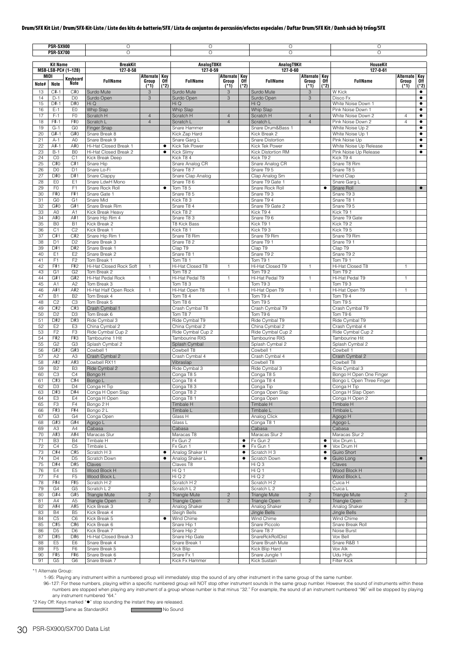|          | <b>PSR-SX900</b><br><b>PSR-SX700</b> |                                  | Ō<br>$\circ$                           |                                    |        | O<br>$\circ$                       |                                      |                | O<br>$\circ$                         |                                  |                | $\circ$<br>$\circ$                      |                                  |                        |
|----------|--------------------------------------|----------------------------------|----------------------------------------|------------------------------------|--------|------------------------------------|--------------------------------------|----------------|--------------------------------------|----------------------------------|----------------|-----------------------------------------|----------------------------------|------------------------|
|          | <b>Kit Name</b>                      |                                  | <b>BreakKit</b>                        |                                    |        | AnalogT8Kit                        |                                      |                | AnalogT9Kit                          |                                  |                | <b>HouseKit</b>                         |                                  |                        |
|          | MIDI                                 | MSB-LSB-PC# (1-128)              | 127-0-58                               |                                    |        | 127-0-59                           |                                      |                | 127-0-60                             | <b>Alternate Key</b>             |                | $127 - 0 - 61$                          | <b>Alternate Key</b>             |                        |
| Note#    | <b>Note</b>                          | Keyboard<br>Note                 | <b>FullName</b>                        | Alternate Key<br>Group Off<br>(*1) | $(*2)$ | <b>FullName</b>                    | Alternate Key<br>Group Off<br>$(*1)$ | $(*2)$         | <b>FullName</b>                      | Group<br>$(*1)$                  | 0ff<br>$(*2)$  | <b>FullName</b>                         | Group<br>$(*1)$                  | 0ff<br>$(*2)$          |
| 13       | $C#-1$                               | C#0                              | Surdo Mute                             | 3                                  |        | Surdo Mute                         | 3                                    |                | Surdo Mute                           | 3                                |                | W Kick                                  |                                  | ٠                      |
| 14<br>15 | $D-1$<br>D#-1                        | D <sub>0</sub><br>D#0            | Surdo Open<br>Hi Q                     | 3                                  |        | Surdo Open<br>Hi Q                 | 3                                    |                | Surdo Open<br>Hi Q                   | 3                                |                | Disco Fx<br>White Noise Down 1          |                                  | $\bullet$<br>$\bullet$ |
| 16       | $E-1$                                | E <sub>0</sub>                   | Whip Slap                              |                                    |        | <b>Whip Slap</b>                   |                                      |                | <b>Whip Slap</b>                     |                                  |                | Pink Noise Down 1                       |                                  | ٠                      |
| 17<br>18 | $F-1$<br>$F# - 1$                    | F <sub>0</sub><br>F#0            | Scratch H<br>Scratch L                 | $\overline{4}$<br>$\overline{4}$   |        | Scratch H<br>Scratch L             | $\overline{4}$<br>$\overline{4}$     |                | Scratch H<br>Scratch L               | $\overline{4}$<br>$\overline{4}$ |                | White Noise Down 2<br>Pink Noise Down 2 | $\overline{4}$<br>$\overline{4}$ | $\bullet$<br>٠         |
| 19       | $G-1$                                | G <sub>0</sub>                   | Finger Snap                            |                                    |        | Snare Hammer                       |                                      |                | Snare Drum&Bass 1                    |                                  |                | White Noise Up 2                        |                                  | ٠                      |
| 20       | $G#-1$                               | G#0                              | Snare Break 8                          |                                    |        | Kick Zap Hard                      |                                      |                | Kick Break 2                         |                                  |                | White Noise Up 1                        |                                  | $\bullet$              |
| 21<br>22 | $A-1$<br>$A# - 1$                    | A <sub>0</sub><br>A#O            | Snare Break 9<br>Hi-Hat Closed Break 1 |                                    | ٠      | Snare Garg L<br>Kick Tek Power     |                                      |                | Snare Distortion<br>Kick Tek Power   |                                  |                | Pink Noise Up<br>White Noise Up Release |                                  | $\bullet$<br>٠         |
| 23       | $B-1$                                | B <sub>0</sub>                   | Hi-Hat Closed Break 2                  |                                    | ٠      | <b>Kick Slimv</b>                  |                                      |                | Kick Distortion RM                   |                                  |                | Pink Noise Up Release                   |                                  | ٠                      |
| 24<br>25 | CO<br>C#O                            | C <sub>1</sub><br>C#1            | Kick Break Deep<br>Snare Hip           |                                    |        | Kick T84<br>Snare Analog CR        |                                      |                | Kick T92<br>Snare Analog CR          |                                  |                | Kick T94<br>Snare T8 Rim                |                                  |                        |
| 26       | D <sub>0</sub>                       | D <sub>1</sub>                   | Snare Lo-Fi                            |                                    |        | Snare T87                          |                                      |                | Snare T95                            |                                  |                | Snare T8 5                              |                                  |                        |
| 27       | D#O                                  | D#1                              | Snare Clappy                           |                                    |        | Snare Clap Analog                  |                                      |                | Clap Analog Sm                       |                                  |                | Hand Clap                               |                                  |                        |
| 28<br>29 | E <sub>0</sub><br>F <sub>0</sub>     | E1<br>F <sub>1</sub>             | Snare LdwH Mono<br>Snare Rock Roll     |                                    | ٠      | Snare T86<br>Tom T85               |                                      |                | Snare T9 Gate 1<br>Snare Rock Roll   |                                  | $\bullet$      | Snare Garg L<br>Snare Roll              |                                  | $\bullet$              |
| 30       | F#0                                  | F#1                              | Snare Gate 1                           |                                    |        | Snare T8 5                         |                                      |                | Snare T93                            |                                  |                | Snare T93                               |                                  |                        |
| 31       | G <sub>0</sub>                       | G <sub>1</sub>                   | Snare Mid                              |                                    |        | Kick T83                           |                                      |                | Snare T9 4                           |                                  |                | Snare T8 1                              |                                  |                        |
| 32<br>33 | G#0<br>A <sub>0</sub>                | G#1<br>A1                        | Snare Break Rim<br>Kick Break Heavy    |                                    |        | Snare T8 4<br>Kick T82             |                                      |                | Snare T9 Gate 2<br>Kick T94          |                                  |                | Snare T95<br>Kick T9 1                  |                                  |                        |
| 34       | A#0                                  | A#1                              | Snare Hip Rim 4                        |                                    |        | Snare T83                          |                                      |                | Snare T96                            |                                  |                | Snare T9 Gate                           |                                  |                        |
| 35<br>36 | B <sub>0</sub><br>C <sub>1</sub>     | <b>B1</b><br>C <sub>2</sub>      | Kick Break 2<br>Kick Break 1           |                                    |        | <b>T8 Kick Bass</b>                |                                      |                | Kick T9 1<br>Kick T93                |                                  |                | Kick T92<br>Kick T95                    |                                  |                        |
| 37       | C#1                                  | C#2                              | Snare Hip Rim 1                        |                                    |        | Kick T8 1<br>Snare T8 Rim          |                                      |                | Snare T9 Rim                         |                                  |                | Snare T9 Rim                            |                                  |                        |
| 38       | D <sub>1</sub>                       | D <sub>2</sub>                   | Snare Break 3                          |                                    |        | Snare T8 2                         |                                      |                | Snare T9 1                           |                                  |                | Snare T9 1                              |                                  |                        |
| 39<br>40 | D#1<br>E <sub>1</sub>                | D#2<br>E <sub>2</sub>            | Snare Break 1<br>Snare Break 2         |                                    |        | Clap T9<br>Snare T8 1              |                                      |                | Clap T9<br>Snare T9 2                |                                  |                | Clap T9<br>Snare T9 2                   |                                  |                        |
| 41       | F1                                   | F <sub>2</sub>                   | Tom Break 1                            |                                    |        | Tom T8 1                           |                                      |                | Tom T9 1                             |                                  |                | Tom T9 1                                |                                  |                        |
| 42       | F#1                                  | F#2                              | Hi-Hat Closed Rock Soft                | $\mathbf{1}$                       |        | Hi-Hat Closed T8                   | $\mathbf{1}$                         |                | Hi-Hat Closed T9                     | $\mathbf{1}$                     |                | Hi-Hat Closed T8                        | $\mathbf{1}$                     |                        |
| 43<br>44 | G <sub>1</sub><br>G#1                | G <sub>2</sub><br>G#2            | Tom Break 2<br>Hi-Hat Pedal Rock       | $\mathbf{1}$                       |        | <b>Tom T8 2</b><br>Hi-Hat Pedal T8 | $\mathbf{1}$                         |                | Tom T9 2<br>Hi-Hat Pedal T9          | 1                                |                | Tom T9 2<br>Hi-Hat Pedal T9             | $\mathbf{1}$                     |                        |
| 45       | A1                                   | A <sub>2</sub>                   | Tom Break 3                            |                                    |        | Tom T83                            |                                      |                | Tom T93                              |                                  |                | Tom T93                                 |                                  |                        |
| 46       | A#1                                  | A#2                              | Hi-Hat Half Open Rock                  | $\mathbf{1}$                       |        | Hi-Hat Open T8                     | $\mathbf{1}$                         |                | Hi-Hat Open T9                       | 1                                |                | Hi-Hat Open T9                          | $\mathbf{1}$                     |                        |
| 47<br>48 | <b>B1</b><br>C <sub>2</sub>          | B <sub>2</sub><br>C <sub>3</sub> | Tom Break 4<br>Tom Break 5             |                                    |        | <b>Tom T8 4</b><br>Tom T8 6        |                                      |                | Tom T9 4<br>Tom T9 5                 |                                  |                | Tom T9 4<br>Tom T9 5                    |                                  |                        |
| 49       | C#2                                  | C#3                              | Crash Cymbal 1                         |                                    |        | Crash Cymbal T8                    |                                      |                | Crash Cymbal T9                      |                                  |                | Crash Cymbal T9                         |                                  |                        |
| 50       | D <sub>2</sub><br>D#2                | D <sub>3</sub>                   | Tom Break 6                            |                                    |        | Tom T87                            |                                      |                | Tom T9 6                             |                                  |                | Tom T9 6                                |                                  |                        |
| 51<br>52 | E <sub>2</sub>                       | D#3<br>E <sub>3</sub>            | Ride Cymbal 3<br>China Cymbal 2        |                                    |        | Ride Cymbal T9<br>China Cymbal 2   |                                      |                | Ride Cymbal T9<br>China Cymbal 2     |                                  |                | Ride Cymbal T9<br>Crash Cymbal 4        |                                  |                        |
| 53       | F <sub>2</sub>                       | F <sub>3</sub>                   | Ride Cymbal Cup 2                      |                                    |        | Ride Cymbal Cup 2                  |                                      |                | Ride Cymbal Cup 2                    |                                  |                | Ride Cymbal Cup 2                       |                                  |                        |
| 54<br>55 | F#2<br>G <sub>2</sub>                | F#3<br>G <sub>3</sub>            | Tambourine 1 Hit<br>Splash Cymbal 2    |                                    |        | Tambourine RX5<br>Splash Cymbal    |                                      |                | Tambourine RX5<br>Splash Cymbal 2    |                                  |                | Tambourine Hit<br>Splash Cymbal 2       |                                  |                        |
| 56       | G#2                                  | G#3                              | Cowbell 1                              |                                    |        | Cowbell T8                         |                                      |                | Cowbell 1                            |                                  |                | Cowbell 1                               |                                  |                        |
| 57       | A <sub>2</sub>                       | A <sub>3</sub>                   | Crash Cymbal 2                         |                                    |        | Crash Cymbal 4                     |                                      |                | Crash Cymbal 4                       |                                  |                | Crash Cymbal 2                          |                                  |                        |
| 58<br>59 | A#2<br>B <sub>2</sub>                | A#3<br>B <sub>3</sub>            | Cowbell RX11<br>Ride Cymbal 2          |                                    |        | Vibraslap<br>Ride Cymbal 3         |                                      |                | Cowbell T8<br>Ride Cymbal 3          |                                  |                | Cowbell T8<br>Ride Cymbal 3             |                                  |                        |
| 60       | C <sub>3</sub>                       | C <sub>4</sub>                   | Bongo H                                |                                    |        | Conga T85                          |                                      |                | Conga T85                            |                                  |                | Bongo H Open One Finger                 |                                  |                        |
| 61       | C#3                                  | C#4                              | Bongo L                                |                                    |        | Conga T84                          |                                      |                | Conga T84                            |                                  |                | Bongo L Open Three Finger               |                                  |                        |
| 62<br>63 | D <sub>3</sub><br>D#3                | D4<br>D#4                        | Conga H Tip<br>Conga H Open Slap       |                                    |        | Conga T83<br>Conga T82             |                                      |                | Conga Tip<br>Conga Open Slap         |                                  |                | Conga H Tip<br>Conga H Slap Open        |                                  |                        |
| 64       | E <sub>3</sub>                       | E4                               | Conga H Open                           |                                    |        | Conga T8 1                         |                                      |                | Conga Open                           |                                  |                | Conga H Open 2                          |                                  |                        |
| 65       | F <sub>3</sub>                       | F <sub>4</sub>                   | Bongo 2 H                              |                                    |        | Timbale H<br>Timbale L             |                                      |                | <b>Timbale H</b><br><b>Timbale L</b> |                                  |                | Timbale H                               |                                  |                        |
| 66<br>67 | F#3<br>G <sub>3</sub>                | F#4<br>G4                        | Bongo 2 L<br>Conga Open                |                                    |        | Glass H                            |                                      |                | Analog Click                         |                                  |                | Timbale L<br>Agogo H                    |                                  |                        |
| 68       | G#3                                  | G#4                              | Agogo L                                |                                    |        | Glass L                            |                                      |                | Conga T81                            |                                  |                | Agogo L                                 |                                  |                        |
| 69<br>70 | A <sub>3</sub><br>A#3                | A4<br>A#4                        | Cabasa<br>Maracas Slur                 |                                    |        | Cabasa<br>Maracas T8               |                                      |                | Cabasa<br>Maracas Slur 2             |                                  |                | Cabasa<br>Maracas Slur 2                |                                  |                        |
| 71       | B <sub>3</sub>                       | <b>B4</b>                        | Timbale H                              |                                    |        | Fx Gun 2                           |                                      | ٠              | Fx Gun 2                             |                                  | $\bullet$      | Vox Drum L                              |                                  |                        |
| 72       | C <sub>4</sub>                       | C <sub>5</sub>                   | Timbale L                              |                                    |        | Fx Gun 1                           |                                      | ٠              | Fx Gun 1                             |                                  | $\bullet$      | Vox Drum H                              |                                  |                        |
| 73<br>74 | C#4<br>D <sub>4</sub>                | C#5<br>D <sub>5</sub>            | Scratch H 3<br>Scratch Down            |                                    | ٠<br>٠ | Analog Shaker H<br>Analog Shaker L |                                      | ٠<br>$\bullet$ | Scratch H 3<br>Scratch Down          |                                  | ٠<br>$\bullet$ | Guiro Short<br>Guiro Long               |                                  | $\bullet$              |
| 75       | D#4                                  | D#5                              | Claves                                 |                                    |        | Claves T8                          |                                      |                | Hi Q 3                               |                                  |                | Claves                                  |                                  |                        |
| 76       | E4                                   | E <sub>5</sub>                   | Wood Block H                           |                                    |        | Hi Q 1                             |                                      |                | HiQ1                                 |                                  |                | Wood Block H                            |                                  |                        |
| 77<br>78 | F4<br>F#4                            | F <sub>5</sub><br>F#5            | Wood Block L<br>Scratch H 2            |                                    |        | Hi Q 2<br>Scratch H <sub>2</sub>   |                                      |                | Hi Q 2<br>Scratch H 2                |                                  |                | Wood Block L<br>Cuica H                 |                                  |                        |
| 79       | G <sub>4</sub>                       | G <sub>5</sub>                   | Scratch L 2                            |                                    |        | Scratch L 2                        |                                      |                | Scratch L 2                          |                                  |                | Cuica L                                 |                                  |                        |
| 80       | G#4                                  | G#5                              | Triangle Mute                          | $\sqrt{2}$                         |        | <b>Triangle Mute</b>               | $\overline{c}$                       |                | <b>Triangle Mute</b>                 | $\overline{c}$                   |                | <b>Triangle Mute</b>                    | $\overline{c}$                   |                        |
| 81<br>82 | A4<br>A#4                            | A <sub>5</sub><br>A#5            | Triangle Open<br>Kick Break 3          | $\overline{c}$                     |        | Triangle Open<br>Analog Shaker     | $\overline{c}$                       |                | Triangle Open<br>Analog Shaker       | $\overline{c}$                   |                | Triangle Open<br>Analog Shaker          | $\overline{c}$                   |                        |
| 83       | <b>B4</b>                            | B <sub>5</sub>                   | Kick Break 4                           |                                    |        | Sleigh Bells                       |                                      |                | Jingle Bells                         |                                  |                | Jingle Bells                            |                                  |                        |
| 84<br>85 | C <sub>5</sub><br>C#5                | C <sub>6</sub><br>C#6            | Kick Break 5<br>Kick Break 6           |                                    | ٠      | Wind Chime<br>Snare Hip 1          |                                      |                | Wind Chime<br>Snare Piccolo          |                                  |                | Wind Chime<br>Snare Break Roll          |                                  |                        |
| 86       | D <sub>5</sub>                       | D <sub>6</sub>                   | Kick Break 7                           |                                    |        | Snare Hip 2                        |                                      |                | Snare T87                            |                                  |                | Noise Burst                             |                                  |                        |
| 87       | D#5                                  | D#6                              | Hi-Hat Closed Break 3                  |                                    |        | Snare Hip Gate                     |                                      |                | SnareRckRollDist                     |                                  |                | Vox Bell                                |                                  |                        |
| 88<br>89 | E <sub>5</sub><br>F <sub>5</sub>     | E6<br>F <sub>6</sub>             | Snare Break 4<br>Snare Break 5         |                                    |        | Snare Break 1<br>Kick Blip         |                                      |                | Snare Brush Mute<br>Kick Blip Hard   |                                  |                | Snare R&B 1<br>Vox Alk                  |                                  |                        |
| 90       | F#5                                  | F#6                              | Snare Break 6                          |                                    |        | Snare Fx 1                         |                                      |                | Snare Jungle 1                       |                                  |                | Udu High                                |                                  |                        |
| 91       | G <sub>5</sub>                       | G <sub>6</sub>                   | Snare Break 7                          |                                    |        | Kick Fx Hammer                     |                                      |                | Kick Sustain                         |                                  |                | <b>Filter Kick</b>                      |                                  |                        |

\*1 Alternate Group:

1–95: Playing any instrument within a numbered group will immediately stop the sound of any other instrument in the same group of the same number.

96-127: For these numbers, playing within a specific numbered group will NOT stop other instrument sounds in the same group number. However, the sound of instruments within these numbers are stopped when playing any instru

\*2 Key Off: Keys marked "" stop sounding the instant they are released.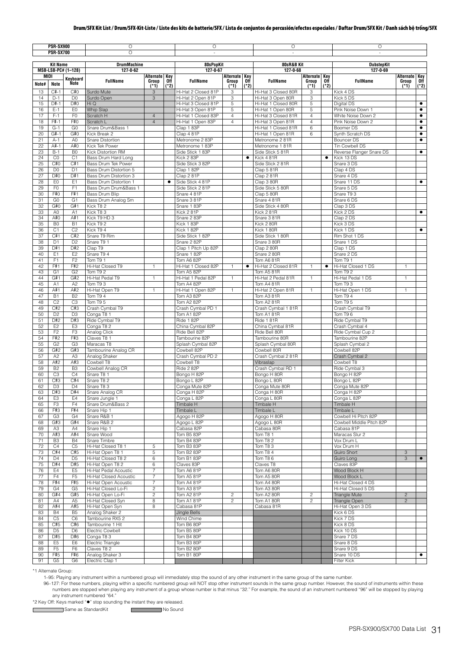|          | <b>PSR-SX900</b>                 |                                  | O<br>$\overline{O}$                     |                 |               | $\circ$                                  |                                      |           | O                                        |                 |               | O                                                |                                         |           |
|----------|----------------------------------|----------------------------------|-----------------------------------------|-----------------|---------------|------------------------------------------|--------------------------------------|-----------|------------------------------------------|-----------------|---------------|--------------------------------------------------|-----------------------------------------|-----------|
|          | <b>PSR-SX700</b>                 |                                  |                                         |                 |               | à.                                       |                                      |           | ÷,                                       |                 |               | ÷.                                               |                                         |           |
|          | <b>Kit Name</b>                  |                                  | <b>DrumMachine</b>                      |                 |               | 80sPopKit                                |                                      |           | 80sR&B Kit                               |                 |               | <b>DubstepKit</b>                                |                                         |           |
| MIDI     |                                  | MSB-LSB-PC# (1-128)              | 127-0-62                                | Alternate Key   |               | $127 - 0 - 67$                           |                                      |           | 127-0-68                                 | Alternate Key   |               | 127-0-69                                         |                                         |           |
| Note#    | Note                             | Keyboard<br><b>Note</b>          | <b>FullName</b>                         | Group<br>$(*1)$ | 0ff<br>$(*2)$ | <b>FullName</b>                          | Alternate Key<br>Group Off<br>$(*1)$ | $(*2)$    | <b>FullName</b>                          | Group<br>$(*1)$ | 0ff<br>$(*2)$ | <b>FullName</b>                                  | Alternate Key<br>Group Off<br>(*1) (*2) |           |
| 13       | $C#-1$                           | C#0                              | Surdo Mute                              | 3               |               | Hi-Hat 2 Closed 81P                      | 3                                    |           | Hi-Hat 3 Closed 80R                      | 3               |               | Kick 4 DS                                        |                                         |           |
| 14<br>15 | $D-1$<br>$D#-1$                  | D <sub>0</sub><br>D#0            | Surdo Open<br>Hi Q                      | 3               |               | Hi-Hat 2 Open 81P<br>Hi-Hat 3 Closed 81P | 3<br>5                               |           | Hi-Hat 3 Open 80R<br>Hi-Hat 1 Closed 80R | 3<br>5          |               | Kick 5 DS<br>Digital DS                          |                                         | $\bullet$ |
| 16       | $E-1$                            | E <sub>0</sub>                   | Whip Slap                               |                 |               | Hi-Hat 3 Open 81P                        | $\,$ 5 $\,$                          |           | Hi-Hat 1 Open 80R                        | 5               |               | Pink Noise Down 1                                |                                         | $\bullet$ |
| 17       | $F-1$                            | F <sub>0</sub>                   | Scratch H                               | $\overline{4}$  |               | Hi-Hat 1 Closed 83P                      | $\overline{4}$                       |           | Hi-Hat 3 Closed 81R                      | $\overline{4}$  |               | White Noise Down 2                               |                                         | $\bullet$ |
| 18       | $F# - 1$                         | F#0                              | Scratch L                               | $\overline{4}$  |               | Hi-Hat 1 Open 83P                        | $\overline{4}$                       |           | Hi-Hat 3 Open 81R                        | $\overline{4}$  |               | Pink Noise Down 2                                |                                         | $\bullet$ |
| 19       | $G-1$                            | G <sub>0</sub>                   | Snare Drum&Bass 1                       |                 |               | Clap 183P                                |                                      |           | Hi-Hat 1 Closed 81R                      | 6               |               | Boomer DS                                        |                                         | $\bullet$ |
| 20       | $G#-1$                           | G#0                              | Kick Break 2                            |                 |               | Clap 4 81P                               |                                      |           | Hi-Hat 1 Open 81R                        | 6               |               | Synth Scratch DS                                 |                                         | $\bullet$ |
| 21       | $A-1$                            | A <sub>0</sub>                   | Snare Distortion                        |                 |               | Metronome 2 83P                          |                                      |           | Metronome 2 81R                          |                 |               | Bouncer DS                                       |                                         | $\bullet$ |
| 22<br>23 | A#-1<br>$B-1$                    | A#0<br>B <sub>0</sub>            | Kick Tek Power<br>Kick Distortion RM    |                 |               | Metronome 1 83P<br>Side Stick 183P       |                                      |           | Metronome 181R<br>Side Stick 5 81R       |                 |               | Tin Cowbell DS<br>Reverse Flanger Snare DS       |                                         | $\bullet$ |
| 24       | C <sub>0</sub>                   | C <sub>1</sub>                   | Bass Drum Hard Long                     |                 |               | Kick 283P                                |                                      | $\bullet$ | Kick 481R                                |                 | $\bullet$     | Kick 13 DS                                       |                                         |           |
| 25       | C#0                              | C#1                              | Bass Drum Tek Power                     |                 |               | Side Stick 3 82P                         |                                      |           | Side Stick 2 81R                         |                 |               | Snare 3 DS                                       |                                         |           |
| 26       | D <sub>0</sub>                   | D <sub>1</sub>                   | Bass Drum Distortion 5                  |                 |               | Clap 1 82P                               |                                      |           | Clap 5 81R                               |                 |               | Clap 4 DS                                        |                                         |           |
| 27       | D#0                              | D#1                              | Bass Drum Distortion 3                  |                 |               | Clap 281P                                |                                      |           | Clap 281R                                |                 |               | Snare 4 DS                                       |                                         |           |
| 28       | E <sub>0</sub>                   | E1                               | Bass Drum Distortion 1                  |                 | ٠             | Side Stick 4 81P                         |                                      |           | Clap 3 80R                               |                 |               | Snare 11 DS                                      |                                         | $\bullet$ |
| 29<br>30 | F <sub>0</sub><br>F#0            | F <sub>1</sub><br>F#1            | Bass Drum Drum&Bass 1<br>Bass Drum Blip |                 |               | Side Stick 2 81P<br>Snare 481P           |                                      |           | Side Stick 5 80R<br>Clap 5 80R           |                 |               | Snare 5 DS<br>Snare T9 3                         |                                         |           |
| 31       | G <sub>0</sub>                   | G <sub>1</sub>                   | Bass Drum Analog Sm                     |                 |               | Snare 381P                               |                                      |           | Snare 4 81R                              |                 |               | Snare 6 DS                                       |                                         |           |
| 32       | G#0                              | G#1                              | Kick T82                                |                 |               | Snare 183P                               |                                      |           | Side Stick 4 80R                         |                 |               | Clap 3 DS                                        |                                         |           |
| 33       | A <sub>0</sub>                   | A <sub>1</sub>                   | Kick T83                                |                 |               | Kick 2 81P                               |                                      |           | Kick 281R                                |                 |               | Kick 2 DS                                        |                                         | $\bullet$ |
| 34       | A#0                              | A#1                              | Kick T9 HD 3                            |                 |               | Snare 2 83P                              |                                      |           | Snare 3 81R                              |                 |               | Clap 2 DS                                        |                                         |           |
| 35       | B <sub>0</sub>                   | <b>B1</b>                        | Kick T9 2                               |                 |               | Kick 1 83P                               |                                      |           | Kick 2 80R                               |                 |               | Kick 3 DS                                        |                                         |           |
| 36       | C1                               | C <sub>2</sub>                   | Kick T94                                |                 |               | Kick 182P                                |                                      |           | Kick 1 80R<br>Side Stick 1 80R           |                 |               | Kick 1 DS                                        |                                         | $\bullet$ |
| 37<br>38 | C#1<br>D <sub>1</sub>            | C#2<br>D <sub>2</sub>            | Snare T9 Rim<br>Snare T9 1              |                 |               | Side Stick 1 82P<br>Snare 2 82P          |                                      |           | Snare 3 80R                              |                 |               | Rim Shot 1 DS<br>Snare 1 DS                      |                                         |           |
| 39       | D#1                              | D#2                              | Clap T9                                 |                 |               | Clap 1 Pitch Up 82P                      |                                      |           | Clap 2 80R                               |                 |               | Clap 1 DS                                        |                                         |           |
| 40       | E <sub>1</sub>                   | E <sub>2</sub>                   | Snare T9 4                              |                 |               | Snare 1 82P                              |                                      |           | Snare 2 80R                              |                 |               | Snare 2 DS                                       |                                         |           |
| 41       | F <sub>1</sub>                   | F <sub>2</sub>                   | Tom T9 1                                |                 |               | Tom A6 82P                               |                                      |           | <b>Tom A6 81R</b>                        |                 |               | Tom T9 1                                         |                                         |           |
| 42       | F#1                              | F#2                              | Hi-Hat Closed T9                        | $\mathbf{1}$    |               | Hi-Hat 1 Closed 82P                      | $\mathbf{1}$                         | $\bullet$ | Hi-Hat 2 Closed 81R                      | $\mathbf{1}$    | $\bullet$     | Hi-Hat Closed 1 DS                               | $\mathbf{1}$                            |           |
| 43       | G <sub>1</sub>                   | G <sub>2</sub>                   | Tom T92                                 |                 |               | Tom A5 82P                               |                                      |           | <b>Tom A5 81R</b>                        |                 |               | <b>Tom T9 2</b>                                  |                                         |           |
| 44<br>45 | G#1<br>A1                        | G#2<br>A <sub>2</sub>            | Hi-Hat Pedal T9<br>Tom T93              | $\mathbf{1}$    |               | Hi-Hat 1 Pedal 82P<br>Tom A4 82P         | $\mathbf{1}$                         |           | Hi-Hat 2 Pedal 81R<br>Tom A4 81R         | $\mathbf{1}$    |               | Hi-Hat Pedal 1 DS<br>Tom T93                     | $\mathbf{1}$                            |           |
| 46       | A#1                              | A#2                              | Hi-Hat Open T9                          | $\mathbf{1}$    |               | Hi-Hat 1 Open 82P                        | $\mathbf{1}$                         |           | Hi-Hat 2 Open 81R                        | $\mathbf{1}$    |               | Hi-Hat Open 1 DS                                 | $\mathbf{1}$                            |           |
| 47       | <b>B1</b>                        | B <sub>2</sub>                   | Tom T9 4                                |                 |               | Tom A3 82P                               |                                      |           | Tom A3 81R                               |                 |               | Tom T9 4                                         |                                         |           |
| 48       | C <sub>2</sub>                   | C <sub>3</sub>                   | Tom T9 5                                |                 |               | Tom A2 82P                               |                                      |           | Tom A2 81R                               |                 |               | Tom T9 5                                         |                                         |           |
| 49       | C#2                              | C#3                              | Crash Cymbal T9                         |                 |               | Crash Cymbal PD 1                        |                                      |           | Crash Cymbal 181R                        |                 |               | Crash Cymbal T9                                  |                                         |           |
| 50       | D <sub>2</sub>                   | D <sub>3</sub>                   | Conga T8 1                              |                 |               | Tom A1 82P                               |                                      |           | Tom A181R                                |                 |               | Tom T <sub>96</sub>                              |                                         |           |
| 51       | D#2                              | D#3                              | Ride Cymbal T9                          |                 |               | Ride 1 82P                               |                                      |           | Ride 181R                                |                 |               | Ride Cymbal T9                                   |                                         |           |
| 52<br>53 | E <sub>2</sub><br>F <sub>2</sub> | E <sub>3</sub><br>F <sub>3</sub> | Conga T8 2<br>Analog Click              |                 |               | China Cymbal 82P<br>Ride Bell 82P        |                                      |           | China Cymbal 81R<br>Ride Bell 80R        |                 |               | Crash Cymbal 4<br>Ride Cymbal Cup 2              |                                         |           |
| 54       | F#2                              | F#3                              | Claves T8 1                             |                 |               | Tambourine 82P                           |                                      |           | Tambourine 80R                           |                 |               | Tambourine 82P                                   |                                         |           |
| 55       | G <sub>2</sub>                   | G <sub>3</sub>                   | Maracas T8                              |                 |               | Splash Cymbal 82P                        |                                      |           | Splash Cymbal 80R                        |                 |               | Splash Cymbal 2                                  |                                         |           |
| 56       | G#2                              | G#3                              | Tambourine Analog CR                    |                 |               | Cowbell 82P                              |                                      |           | Cowbell 80R                              |                 |               | Cowbell 82P                                      |                                         |           |
| 57       | A <sub>2</sub>                   | A <sub>3</sub>                   | Analog Shaker                           |                 |               | Crash Cymbal PD 2                        |                                      |           | Crash Cymbal 2 81R                       |                 |               | Crash Cymbal 2                                   |                                         |           |
| 58       | A#2                              | A#3                              | Cowbell T8                              |                 |               | Cowbell T8                               |                                      |           | Vibraslap                                |                 |               | Cowbell T8                                       |                                         |           |
| 59<br>60 | B <sub>2</sub><br>C <sub>3</sub> | B <sub>3</sub><br>C <sub>4</sub> | Cowbell Analog CR<br>Snare T8 1         |                 |               | Ride 2 82P                               |                                      |           | Crash Cymbal RD 1                        |                 |               | Ride Cymbal 3                                    |                                         |           |
| 61       | C#3                              | C#4                              | Snare T8 2                              |                 |               | Bongo H 82P<br>Bongo L 82P               |                                      |           | Bongo H 80R<br>Bongo L 80R               |                 |               | Bongo H 82P<br>Bongo L 82P                       |                                         |           |
| 62       | D <sub>3</sub>                   | D <sub>4</sub>                   | Snare T8 3                              |                 |               | Conga Mute 82P                           |                                      |           | Conga Mute 80R                           |                 |               | Conga Mute 82P                                   |                                         |           |
| 63       | D#3                              | D#4                              | Snare Analog CR                         |                 |               | Conga H 82P                              |                                      |           | Conga H 80R                              |                 |               | Conga H 82P                                      |                                         |           |
| 64       | E <sub>3</sub>                   | E4                               | Snare Jungle 1                          |                 |               | Conga L 82P                              |                                      |           | Conga L 80R                              |                 |               | Conga L 82P                                      |                                         |           |
| 65       | F <sub>3</sub>                   | F <sub>4</sub>                   | Snare Drum&Bass 2                       |                 |               | Timbale H                                |                                      |           | Timbale H                                |                 |               | Timbale H                                        |                                         |           |
| 66       | F#3                              | F#4                              | Snare Hip 1                             |                 |               | Timbale L                                |                                      |           | Timbale L                                |                 |               | Timbale L                                        |                                         |           |
| 67<br>68 | G <sub>3</sub><br>G#3            | G4<br>G#4                        | Snare R&B 1<br>Snare R&B 2              |                 |               | Agogo H 82P<br>Agogo L 82P               |                                      |           | Agogo H 80R<br>Agogo L 80R               |                 |               | Cowbell Hi Pitch 82P<br>Cowbell Middle Pitch 82P |                                         |           |
| 69       | A3                               | A4                               | Snare Hip 1                             |                 |               | Cabasa 82P                               |                                      |           | Cabasa 80R                               |                 |               | Cabasa 81P                                       |                                         |           |
| 70       | A#3                              | A#4                              | Snare Wood                              |                 |               | Tom B5 83P                               |                                      |           | Tom T81                                  |                 |               | Maracas Slur 2                                   |                                         |           |
| 71       | B <sub>3</sub>                   | <b>B4</b>                        | Snare Timbre                            |                 |               | Tom B4 83P                               |                                      |           | Tom T8 2                                 |                 |               | Vox Drum L                                       |                                         |           |
| 72       | C4                               | C <sub>5</sub>                   | Hi-Hat Closed T8 1                      | 5               |               | Tom B3 83P                               |                                      |           | Tom T83                                  |                 |               | Vox Drum H                                       |                                         |           |
| 73       | C#4                              | C#5                              | Hi-Hat Open T8 1                        | 5               |               | Tom B2 83P                               |                                      |           | Tom T84                                  |                 |               | <b>Guiro Short</b>                               | $\ensuremath{\mathsf{3}}$               |           |
| 74<br>75 | D <sub>4</sub><br>D#4            | D <sub>5</sub><br>D#5            | Hi-Hat Closed T8 2<br>Hi-Hat Open T8 2  | 6<br>6          |               | Tom B1 83P<br>Claves 83P                 |                                      |           | Tom T86<br>Claves T8                     |                 |               | Guiro Long<br>Claves 83P                         | 3                                       | $\bullet$ |
| 76       | E4                               | E <sub>5</sub>                   | Hi-Hat Pedal Acoustic                   | $\overline{7}$  |               | Tom A6 81P                               |                                      |           | Tom A6 80R                               |                 |               | Wood Block H                                     |                                         |           |
| 77       | F4                               | F <sub>5</sub>                   | Hi-Hat Closed Acoustic                  | $\overline{7}$  |               | Tom A5 81P                               |                                      |           | Tom A5 80R                               |                 |               | Wood Block L                                     |                                         |           |
| 78       | F#4                              | F#5                              | Hi-Hat Open Acoustic                    | $\overline{7}$  |               | Tom A4 81P                               |                                      |           | Tom A4 80R                               |                 |               | Hi-Hat Closed 4 DS                               |                                         |           |
| 79       | G4                               | G <sub>5</sub>                   | Hi-Hat Closed Lo-Fi                     | $\overline{c}$  |               | Tom A3 81P                               |                                      |           | Tom A3 80R                               |                 |               | Hi-Hat Closed 5 DS                               |                                         |           |
| 80       | G#4                              | G#5                              | Hi-Hat Open Lo-Fi                       | $\sqrt{2}$      |               | Tom A2 81P                               | $\overline{c}$                       |           | Tom A2 80R                               | $\overline{c}$  |               | <b>Triangle Mute</b>                             | $\sqrt{2}$                              |           |
| 81<br>82 | A4<br>A#4                        | A <sub>5</sub>                   | Hi-Hat Closed Syn                       | 8               |               | Tom A1 81P                               | $\overline{c}$                       |           | Tom A1 80R                               | $\overline{c}$  |               | Triangle Open                                    | $\overline{2}$                          |           |
| 83       | <b>B4</b>                        | A#5<br>B <sub>5</sub>            | Hi-Hat Open Syn<br>Analog Shaker 2      | 8               |               | Cabasa 81P<br>Jingle Bells               |                                      |           | Cabasa 81R                               |                 |               | Hi-Hat Open 3 DS<br>Kick 6 DS                    |                                         |           |
| 84       | C <sub>5</sub>                   | C <sub>6</sub>                   | Tambourine RX5 2                        |                 |               | Wind Chime                               |                                      |           |                                          |                 |               | Kick 7 DS                                        |                                         |           |
| 85       | C#5                              | C#6                              | Tambourine 1 Hit                        |                 |               | Tom B6 80P                               |                                      |           |                                          |                 |               | Kick 8 DS                                        |                                         |           |
| 86       | D <sub>5</sub>                   | D <sub>6</sub>                   | Electric Cowbell                        |                 |               | Tom B5 80P                               |                                      |           |                                          |                 |               | Kick 10 DS                                       |                                         |           |
| 87       | D#5                              | D#6                              | Conga T83                               |                 |               | Tom B4 80P                               |                                      |           |                                          |                 |               | Snare 7 DS                                       |                                         |           |
| 88       | E <sub>5</sub>                   | E <sub>6</sub>                   | Electric Triangle                       |                 |               | Tom B3 80P                               |                                      |           |                                          |                 |               | Snare 8 DS                                       |                                         |           |
| 89<br>90 | F <sub>5</sub><br>F#5            | F <sub>6</sub><br>F#6            | Claves T8 2<br>Analog Shaker 3          |                 |               | Tom B2 80P<br>Tom B1 80P                 |                                      |           |                                          |                 |               | Snare 9 DS<br>Snare 10 DS                        |                                         | $\bullet$ |
| 91       | G5                               | G6                               | Electric Clap 1                         |                 |               |                                          |                                      |           |                                          |                 |               | Filter Kick                                      |                                         |           |
|          |                                  |                                  |                                         |                 |               |                                          |                                      |           |                                          |                 |               |                                                  |                                         |           |

\*1 Alternate Group:

 $\Box$ 

1–95: Playing any instrument within a numbered group will immediately stop the sound of any other instrument in the same group of the same number.

96–127: For these numbers, playing within a specific numbered group will NOT stop other instrument sounds in the same group number. However, the sound of instruments within these numbers are stopped when playing any instr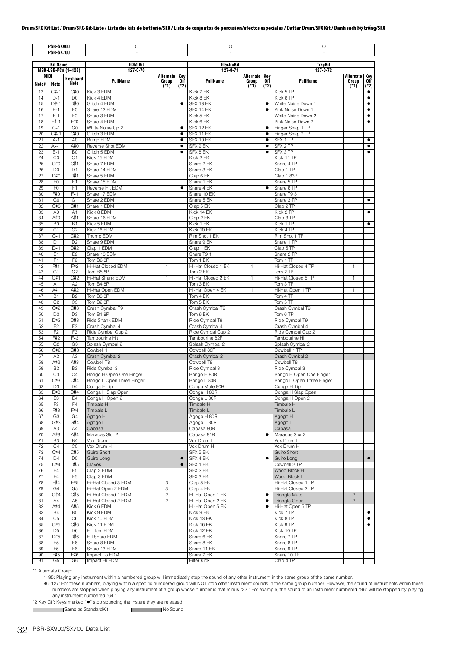|             | PSR-SX900<br><b>PSR-SX700</b> |                                  | Ο                                                    |                                  |                        | Ο                                    |                      |             | Ο                                                    |                 |                    |
|-------------|-------------------------------|----------------------------------|------------------------------------------------------|----------------------------------|------------------------|--------------------------------------|----------------------|-------------|------------------------------------------------------|-----------------|--------------------|
|             | <b>Kit Name</b>               |                                  | <b>EDM Kit</b>                                       |                                  |                        | ElectroKit                           |                      |             | <b>TrapKit</b>                                       |                 |                    |
| <b>MIDI</b> |                               | MSB-LSB-PC# (1-128)              | 127-0-70                                             |                                  |                        | 127-0-71                             | <b>Alternate Key</b> |             | 127-0-72                                             | Alternate       |                    |
| Note#       | Note                          | Keyboard<br><b>Note</b>          | <b>FullName</b>                                      | Alternate Key<br>Group<br>$(*1)$ | 0ff<br>$(*2)$          | <b>FullName</b>                      | Group<br>$(*1)$      | 0ff<br>(*2) | <b>FullName</b>                                      | Group<br>$(*1)$ | Key<br>0ff<br>(*2) |
| 13          | $C#-1$                        | C#0                              | Kick 3 EDM                                           |                                  |                        | Kick 7 EK                            |                      |             | Kick 5 TP                                            |                 | $\bullet$          |
| 14          | $D-1$                         | D <sub>0</sub>                   | Kick 4 EDM                                           |                                  |                        | Kick 8 EK                            |                      |             | Kick 6 TP                                            |                 | $\bullet$          |
| 15<br>16    | $D#-1$<br>$E-1$               | D#0<br>E <sub>0</sub>            | Glitch 4 EDM<br>Snare 12 EDM                         |                                  | $\bullet$              | SFX 13 EK<br>SFX 14 EK               |                      |             | White Noise Down 1<br>Pink Noise Down 1              |                 | $\bullet$          |
| 17          | $F-1$                         | F <sub>0</sub>                   | Snare 3 EDM                                          |                                  |                        | Kick 5 EK                            |                      |             | White Noise Down 2                                   |                 | $\bullet$          |
| 18          | F#-1                          | F#0                              | Snare 4 EDM                                          |                                  |                        | Kick 6 EK                            |                      |             | Pink Noise Down 2                                    |                 | $\bullet$          |
| 19<br>20    | $G-1$<br>$G#-1$               | G <sub>0</sub><br>G#0            | White Noise Up 2<br>Glitch 3 EDM                     |                                  | $\bullet$<br>$\bullet$ | SFX 12 EK<br>SFX 11 EK               |                      | ٠<br>٠      | Finger Snap 1 TP<br>Finger Snap 2 TP                 |                 |                    |
| 21          | $A-1$                         | A <sub>0</sub>                   | Bump EDM                                             |                                  | $\bullet$              | SFX 10 EK                            |                      | $\bullet$   | SFX 1 TP                                             |                 | ٠                  |
| 22          | $A#-1$                        | A#0                              | Reverse Shot EDM                                     |                                  | $\bullet$              | SFX 9 EK                             |                      | ٠           | SFX 2 TP                                             |                 | $\bullet$          |
| 23          | $B-1$                         | B <sub>0</sub>                   | Glitch 5 EDM                                         |                                  | $\bullet$              | SFX 8 EK                             |                      | ٠           | SFX 3 TP                                             |                 | $\bullet$          |
| 24<br>25    | C <sub>0</sub><br>C#O         | C <sub>1</sub><br>C#1            | Kick 15 EDM<br>Snare 7 EDM                           |                                  |                        | Kick 2 EK<br>Snare 2 EK              |                      |             | Kick 11 TP<br>Snare 4 TP                             |                 |                    |
| 26          | D <sub>0</sub>                | D <sub>1</sub>                   | Snare 14 EDM                                         |                                  |                        | Snare 3 EK                           |                      |             | Clap 1 TP                                            |                 |                    |
| 27          | D#0                           | D#1                              | Snare 5 EDM                                          |                                  |                        | Clap 6 EK                            |                      |             | Clap 183P                                            |                 |                    |
| 28          | E <sub>0</sub>                | E1                               | Snare 15 EDM                                         |                                  |                        | Snare 1 EK                           |                      |             | Snare 5 TP                                           |                 |                    |
| 29<br>30    | F <sub>0</sub><br>F#0         | F <sub>1</sub><br>F#1            | Reverse Hit EDM<br>Snare 17 EDM                      |                                  | ٠                      | Snare 4 EK<br>Snare 10 EK            |                      |             | Snare 6 TP<br>Snare T9 3                             |                 |                    |
| 31          | G <sub>0</sub>                | G <sub>1</sub>                   | Snare 2 EDM                                          |                                  |                        | Snare 5 EK                           |                      |             | Snare 3 TP                                           |                 | ٠                  |
| 32          | G#0                           | G#1                              | Snare 1 EDM                                          |                                  |                        | Clap 5 EK                            |                      |             | Clap 2 TP                                            |                 |                    |
| 33          | A <sub>0</sub>                | A1                               | Kick 8 EDM                                           |                                  |                        | Kick 14 EK                           |                      |             | Kick 2 TP                                            |                 | ٠                  |
| 34<br>35    | A#0<br>B <sub>0</sub>         | A#1<br><b>B1</b>                 | Snare 16 EDM<br>Kick 5 EDM                           |                                  |                        | Clap 2 EK<br>Kick 1 EK               |                      |             | Clap 3 TP<br>Kick 1 TP                               |                 | $\bullet$          |
| 36          | C <sub>1</sub>                | C <sub>2</sub>                   | Kick 16 EDM                                          |                                  |                        | Kick 10 EK                           |                      |             | Kick 4 TP                                            |                 |                    |
| 37          | C#1                           | C#2                              | Thump EDM                                            |                                  |                        | Rim Shot 1 EK                        |                      |             | Rim Shot 1 TP                                        |                 |                    |
| 38          | D <sub>1</sub>                | D <sub>2</sub>                   | Snare 9 EDM                                          |                                  |                        | Snare 9 EK                           |                      |             | Snare 1 TP                                           |                 |                    |
| 39<br>40    | D#1<br>E <sub>1</sub>         | D#2<br>E <sub>2</sub>            | Clap 1 EDM<br>Snare 10 EDM                           |                                  |                        | Clap 1 EK<br>Snare T9 1              |                      |             | Clap 5 TP<br>Snare 2 TP                              |                 |                    |
| 41          | F <sub>1</sub>                | F <sub>2</sub>                   | Tom B6 8P                                            |                                  |                        | Tom 1 EK                             |                      |             | Tom 1 TP                                             |                 |                    |
| 42          | F#1                           | F#2                              | Hi-Hat Closed EDM                                    | 1                                |                        | Hi-Hat Closed 1 EK                   | 1                    |             | Hi-Hat Closed 4 TP                                   | 1               |                    |
| 43          | G <sub>1</sub>                | G <sub>2</sub>                   | Tom B5 8P                                            |                                  |                        | Tom 2 EK                             |                      |             | Tom 2 TP                                             |                 |                    |
| 44          | G#1                           | G#2                              | Hi-Hat Shank EDM<br>Tom B4 8P                        | 1                                |                        | Hi-Hat Closed 2 EK                   | $\mathbf{1}$         |             | Hi-Hat Closed 5 TP                                   | 1.              |                    |
| 45<br>46    | A1<br>A#1                     | A2<br>A#2                        | Hi-Hat Open EDM                                      | $\mathbf{1}$                     |                        | Tom 3 EK<br>Hi-Hat Open 4 EK         | 1                    |             | Tom 3 TP<br>Hi-Hat Open 1 TP                         | 1               |                    |
| 47          | <b>B1</b>                     | <b>B2</b>                        | Tom B3 8P                                            |                                  |                        | Tom 4 EK                             |                      |             | Tom 4 TP                                             |                 |                    |
| 48          | C <sub>2</sub>                | C <sub>3</sub>                   | Tom B2 8P                                            |                                  |                        | Tom 5 EK                             |                      |             | Tom 5 TP                                             |                 |                    |
| 49          | C#2                           | C#3                              | Crash Cymbal T9                                      |                                  |                        | Crash Cymbal T9                      |                      |             | Crash Cymbal T9                                      |                 |                    |
| 50<br>51    | D <sub>2</sub><br>D#2         | D <sub>3</sub><br>D#3            | Tom B1 8P<br>Ride Shank EDM                          |                                  |                        | Tom 6 EK<br>Ride Cymbal T9           |                      |             | Tom 6 TP<br>Ride Cymbal T9                           |                 |                    |
| 52          | E <sub>2</sub>                | E <sub>3</sub>                   | Crash Cymbal 4                                       |                                  |                        | Crash Cymbal 4                       |                      |             | Crash Cymbal 4                                       |                 |                    |
| 53          | F <sub>2</sub>                | F <sub>3</sub>                   | Ride Cymbal Cup 2                                    |                                  |                        | Ride Cymbal Cup 2                    |                      |             | Ride Cymbal Cup 2                                    |                 |                    |
| 54          | F#2                           | F#3                              | Tambourine Hit                                       |                                  |                        | Tambourine 82P                       |                      |             | Tambourine Hit                                       |                 |                    |
| 55<br>56    | G <sub>2</sub><br>G#2         | G <sub>3</sub><br>G#3            | Splash Cymbal 2<br>Cowbell 1                         |                                  |                        | Splash Cymbal 2<br>Cowbell 80R       |                      |             | Splash Cymbal 2<br>Cowbell 1 TP                      |                 |                    |
| 57          | A2                            | A <sub>3</sub>                   | Crash Cymbal 2                                       |                                  |                        | Crash Cymbal 2                       |                      |             | Crash Cymbal 2                                       |                 |                    |
| 58          | A#2                           | A#3                              | Cowbell T8                                           |                                  |                        | Cowbell T8                           |                      |             | Cowbell T8                                           |                 |                    |
| 59          | B <sub>2</sub>                | B <sub>3</sub>                   | Ride Cymbal 3                                        |                                  |                        | Ride Cymbal 3                        |                      |             | Ride Cymbal 3                                        |                 |                    |
| 60<br>61    | C <sub>3</sub><br>C#3         | C <sub>4</sub><br>C#4            | Bongo H Open One Finger<br>Bongo L Open Three Finger |                                  |                        | Bongo H 80R<br>Bongo L 80R           |                      |             | Bongo H Open One Finger<br>Bongo L Open Three Finger |                 |                    |
| 62          | D3                            | D4                               | Conga H IIp                                          |                                  |                        | Conga Mute 80R                       |                      |             | Conga H Tip-                                         |                 |                    |
| 63          | D#3                           | D#4                              | Conga H Slap Open                                    |                                  |                        | Conga H 80R                          |                      |             | Conga H Slap Open                                    |                 |                    |
| 64          | E <sub>3</sub>                | E <sub>4</sub>                   | Conga H Open 2                                       |                                  |                        | Conga L 80R                          |                      |             | Conga H Open 2                                       |                 |                    |
| 65<br>66    | F <sub>3</sub><br>F#3         | F4<br>F#4                        | Timbale H<br>Timbale L                               |                                  |                        | <b>Timbale H</b><br>Timbale L        |                      |             | Timbale H<br>Timbale L                               |                 |                    |
| 67          | G <sub>3</sub>                | G <sub>4</sub>                   | Agogo H                                              |                                  |                        | Agogo H 80R                          |                      |             | Agogo H                                              |                 |                    |
| 68          | G#3                           | G#4                              | Agogo L                                              |                                  |                        | Agogo L 80R                          |                      |             | Agogo L                                              |                 |                    |
| 69          | A <sub>3</sub>                | A4                               | Cabasa                                               |                                  |                        | Cabasa 80R                           |                      |             | Cabasa                                               |                 |                    |
| 70<br>71    | A#3<br>B <sub>3</sub>         | A#4<br><b>B4</b>                 | Maracas Slur 2<br>Vox Drum L                         |                                  |                        | Cabasa 81R<br>Vox Drum L             |                      | ٠           | Maracas Slur 2<br>Vox Drum L                         |                 |                    |
| 72          | C <sub>4</sub>                | C <sub>5</sub>                   | Vox Drum H                                           |                                  |                        | Vox Drum H                           |                      |             | Vox Drum H                                           |                 |                    |
| 73          | C#4                           | C#5                              | Guiro Short                                          |                                  |                        | SFX 5 EK                             |                      |             | Guiro Short                                          |                 |                    |
| 74          | D <sub>4</sub>                | D <sub>5</sub>                   | Guiro Long                                           |                                  | $\bullet$              | SFX 4 EK                             |                      | ٠           | Guiro Long                                           |                 | $\bullet$          |
| 75          | D#4                           | D#5                              | Claves                                               |                                  | $\bullet$              | SFX 1 EK                             |                      |             | Cowbell 2 TP                                         |                 |                    |
| 76<br>77    | E4<br>F <sub>4</sub>          | E <sub>5</sub><br>F <sub>5</sub> | Clap 2 EDM<br>Clap 3 EDM                             |                                  |                        | SFX 2 EK<br>SFX 3 EK                 |                      |             | Wood Block H<br>Wood Block L                         |                 |                    |
| 78          | F#4                           | F#5                              | Hi-Hat Closed 3 EDM                                  | 3                                |                        | Clap 8 EK                            |                      |             | Hi-Hat Closed 1 TP                                   |                 |                    |
| 79          | G <sub>4</sub>                | G <sub>5</sub>                   | Hi-Hat Open 2 EDM                                    | 3                                |                        | Clap 4 EK                            |                      |             | Hi-Hat Closed 2 TP                                   |                 |                    |
| 80          | G#4                           | G#5                              | Hi-Hat Closed 1 EDM                                  | $\overline{c}$                   |                        | Hi-Hat Open 1 EK                     |                      | ٠           | Triangle Mute                                        | $\overline{c}$  |                    |
| 81<br>82    | A4<br>A#4                     | A <sub>5</sub><br>A#5            | Hi-Hat Closed 2 EDM<br>Kick 6 EDM                    | 2                                |                        | Hi-Hat Open 2 EK<br>Hi-Hat Open 5 EK |                      | ٠<br>٠      | Triangle Open<br>Hi-Hat Open 5 TP                    | $\overline{c}$  |                    |
| 83          | <b>B4</b>                     | B <sub>5</sub>                   | Kick 9 EDM                                           |                                  |                        | Kick 9 EK                            |                      |             | Kick 7 TP                                            |                 |                    |
| 84          | C <sub>5</sub>                | C <sub>6</sub>                   | Kick 10 EDM                                          |                                  |                        | Kick 13 EK                           |                      |             | Kick 8 TP                                            |                 |                    |
| 85          | C#5                           | C#6                              | Kick 11 EDM                                          |                                  |                        | Kick 16 EK                           |                      |             | Kick 9 TP                                            |                 | ٠                  |
| 86<br>87    | D <sub>5</sub><br>D#5         | D <sub>6</sub><br>D#6            | Fill Tom EDM<br>Fill Snare EDM                       |                                  |                        | Kick 12 EK<br>Snare 6 EK             |                      |             | Kick 10 TP<br>Snare 7 TP                             |                 |                    |
| 88          | E <sub>5</sub>                | E <sub>6</sub>                   | Snare 8 EDM                                          |                                  |                        | Snare 8 EK                           |                      |             | Snare 8 TP                                           |                 |                    |
| 89          | F <sub>5</sub>                | F <sub>6</sub>                   | Snare 13 EDM                                         |                                  |                        | Snare 11 EK                          |                      |             | Snare 9 TP                                           |                 |                    |
| 90          | F#5                           | F#6                              | Impact Lo EDM                                        |                                  |                        | Snare 7 EK                           |                      |             | Snare 10 TP                                          |                 |                    |
| 91          | G <sub>5</sub>                | G6                               | Impact Hi EDM                                        |                                  |                        | Filter Kick                          |                      |             | Clap 4 TP                                            |                 |                    |

\*1 Alternate Group:

1–95: Playing any instrument within a numbered group will immediately stop the sound of any other instrument in the same group of the same number.

96-127: For these numbers, playing within a specific numbered group will NOT stop other instrument sounds in the same group number. However, the sound of instruments within these numbers are stopped when playing any instru

\*2 Key Off: Keys marked "" stop sounding the instant they are released.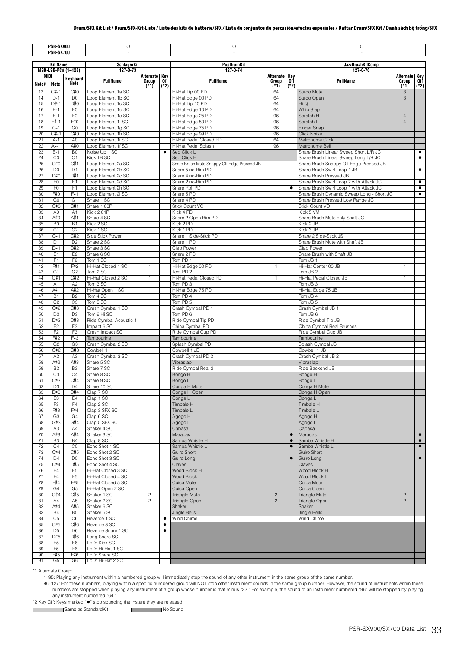|       | <b>PSR-SX900</b> |                     | $\overline{O}$         |                |           | $\circ$                                     |                |           | O                                         |                |           |
|-------|------------------|---------------------|------------------------|----------------|-----------|---------------------------------------------|----------------|-----------|-------------------------------------------|----------------|-----------|
|       | <b>PSR-SX700</b> |                     | ×.                     |                |           | ×,                                          |                |           | ×.                                        |                |           |
|       |                  |                     |                        |                |           |                                             |                |           |                                           |                |           |
|       | <b>Kit Name</b>  |                     | <b>SchlagerKit</b>     |                |           | PopDrumKit                                  |                |           | <b>JazzBrushKitComp</b>                   |                |           |
|       |                  | MSB-LSB-PC# (1-128) | 127-0-73               |                |           | $127 - 0 - 74$                              |                |           | 127-0-76                                  |                |           |
|       | MIDI             | Keyboard            |                        | Alternate Key  |           |                                             | Alternate Key  |           |                                           | Alternate Key  |           |
| Note# | <b>Note</b>      | Ñote                | <b>FullName</b>        | Group          | 0ff       | <b>FullName</b>                             | Group          | 0ff       | <b>FullName</b>                           | Group          | Off       |
| 13    | $C#-1$           | C#0                 | Loop Element 1a SC     | $(*1)$         | $(*2)$    | Hi-Hat Tip 00 PD                            | (*1)<br>64     | $(*2)$    |                                           | (*1)<br>3      | $(*2)$    |
| 14    | $D-1$            | D <sub>0</sub>      | Loop Element 1b SC     |                |           | Hi-Hat Edge 00 PD                           | 64             |           | Surdo Mute<br>Surdo Open                  | 3              |           |
| 15    | D#-1             | D#0                 | Loop Element 1c SC     |                |           | Hi-Hat Tip 10 PD                            | 64             |           | Hi Q                                      |                |           |
| 16    |                  | EO                  | Loop Element 1d SC     |                |           |                                             |                |           |                                           |                |           |
|       | $E-1$            |                     |                        |                |           | Hi-Hat Edge 10 PD                           | 64             |           | Whip Slap                                 |                |           |
| 17    | $F-1$            | F <sub>0</sub>      | Loop Element 1e SC     |                |           | Hi-Hat Edge 25 PD                           | 96             |           | Scratch H                                 | $\overline{4}$ |           |
| 18    | F#-1             | F#0                 | Loop Element 1f SC     |                |           | Hi-Hat Edge 50 PD                           | 96             |           | Scratch L                                 | $\overline{4}$ |           |
| 19    | $G-1$            | G0                  | Loop Element 1g SC     |                |           | Hi-Hat Edge 75 PD                           | 96             |           | Finger Snap                               |                |           |
| 20    | $G#-1$           | G#0                 | Loop Element 1h SC     |                |           | Hi-Hat Edge 99 PD                           | 96             |           | <b>Click Noise</b>                        |                |           |
| 21    | $A-1$            | A <sub>0</sub>      | Loop Element 1i SC     |                |           | Hi-Hat Pedal Closed PD                      | 64             |           | Metronome Click                           |                |           |
| 22    | A#-1             | A#0                 | Loop Element 1f SC     |                |           | Hi-Hat Pedal Splash                         | 96             |           | Metronome Bell                            |                |           |
| 23    | $B-1$            | B <sub>0</sub>      | Noise Up 1 SC          |                | $\bullet$ | Seg Click L                                 |                |           | Snare Brush Linear Sweep Short L/R JC     |                | $\bullet$ |
| 24    | CO               | C <sub>1</sub>      | Kick TB SC             |                |           | Seq Click H                                 |                |           | Snare Brush Linear Sweep Long L/R JC      |                | $\bullet$ |
| 25    | C#0              | C#1                 | Loop Element 2a SC     |                |           | Snare Brush Mute Snappy Off Edge Pressed JB |                |           | Snare Brush Snappy Off Edge Pressed JB    |                |           |
| 26    | D <sub>0</sub>   | D <sub>1</sub>      | Loop Element 2b SC     |                |           | Snare 5 no-Rim PD                           |                |           | Snare Brush Swirl Loop 1 JB               |                | $\bullet$ |
| 27    | D#0              | D#1                 | Loop Element 2c SC     |                |           | Snare 4 no-Rim PD                           |                |           | Snare Brush Pressed JB                    |                |           |
| 28    | EO               | E1                  | Loop Element 2d SC     |                |           | Snare 2 no-Rim PD                           |                |           | Snare Brush Swirl Loop 2 with Attack JC   |                | $\bullet$ |
| 29    | F <sub>0</sub>   | F <sub>1</sub>      | Loop Element 2h SC     |                |           | Snare Roll PD                               |                | $\bullet$ | Snare Brush Swirl Loop 1 with Attack JC   |                | $\bullet$ |
| 30    | F#0              | F#1                 | Loop Element 2i SC     |                |           | Snare 5 PD                                  |                |           | Snare Brush Dynamic Sweep Long - Short JC |                | $\bullet$ |
| 31    | G <sub>0</sub>   | G <sub>1</sub>      | Snare 1 SC             |                |           | Snare 4 PD                                  |                |           | Snare Brush Pressed Low Range JC          |                |           |
| 32    | G#0              | G#1                 | Snare 1 83P            |                |           | Stick Count VO                              |                |           | Stick Count VO                            |                |           |
| 33    | A0               | A1                  | Kick 281P              |                |           | Kick 4 PD                                   |                |           | Kick 5 VM                                 |                |           |
| 34    | A#0              | A#1                 | Snare 4 SC             |                |           | Snare 2 Open Rim PD                         |                |           | Snare Brush Mute only Shaft JC            |                |           |
| 35    | B <sub>0</sub>   | <b>B1</b>           | Kick 2 SC              |                |           | Kick 2 PD                                   |                |           | Kick 2 JB                                 |                |           |
| 36    | C <sub>1</sub>   | C <sub>2</sub>      | Kick 1 SC              |                |           | Kick 1 PD                                   |                |           | Kick 3 JB                                 |                |           |
| 37    | C#1              | C#2                 | Side Stick Power       |                |           | Snare 1 Side-Stick PD                       |                |           | Snare 2 Side-Stick JS                     |                |           |
| 38    | D <sub>1</sub>   | D <sub>2</sub>      | Snare 2 SC             |                |           | Snare 1 PD                                  |                |           | Snare Brush Mute with Shaft JB            |                |           |
| 39    | D#1              | D#2                 | Snare 3 SC             |                |           | Clap Power                                  |                |           | Clap Power                                |                |           |
| 40    | E <sub>1</sub>   | E <sub>2</sub>      | Snare 6 SC             |                |           | Snare 2 PD                                  |                |           | Snare Brush with Shaft JB                 |                |           |
| 41    | F <sub>1</sub>   | F <sub>2</sub>      | Tom 1 SC               |                |           | Tom PD 1                                    |                |           | Tom JB 1                                  |                |           |
| 42    | F#1              | F#2                 | Hi-Hat Closed 1 SC     | 1              |           | Hi-Hat Edge 00 PD                           | 1              |           | Hi-Hat Center 00 JB                       | 1              |           |
| 43    | G <sub>1</sub>   | G <sub>2</sub>      | Tom 2 SC               |                |           | Tom PD 2                                    |                |           | Tom JB 2                                  |                |           |
| 44    | G#1              | G#2                 | Hi-Hat Closed 2 SC     | -1             |           | Hi-Hat Pedal Closed PD                      | 1              |           | Hi-Hat Pedal Closed JB                    | 1              |           |
| 45    | A <sub>1</sub>   | A <sub>2</sub>      | Tom 3 SC               |                |           | Tom PD 3                                    |                |           | Tom JB 3                                  |                |           |
| 46    | A#1              | A#2                 | Hi-Hat Open 1 SC       | $\mathbf{1}$   |           | Hi-Hat Edge 75 PD                           | $\mathbf{1}$   |           | Hi-Hat Edge 75 JB                         | $\mathbf{1}$   |           |
| 47    | <b>B1</b>        | B <sub>2</sub>      | Tom 4 SC               |                |           | Tom PD 4                                    |                |           | Tom JB 4                                  |                |           |
| 48    | C <sub>2</sub>   | C <sub>3</sub>      | Tom 5 SC               |                |           | Tom PD 5                                    |                |           | Tom JB 5                                  |                |           |
| 49    | C#2              | C#3                 | Crash Cymbal 1 SC      |                |           | Crash Cymbal PD 1                           |                |           | Crash Cymbal JB 1                         |                |           |
| 50    | D <sub>2</sub>   | D <sub>3</sub>      | Tom 6 Hi SC            |                |           | Tom PD 6                                    |                |           | Tom JB 6                                  |                |           |
| 51    | D#2              | D#3                 |                        |                |           |                                             |                |           |                                           |                |           |
|       |                  |                     | Ride Cymbal Acoustic 1 |                |           | Ride Cymbal Tip PD                          |                |           | Ride Cymbal Tip JB                        |                |           |
| 52    | E <sub>2</sub>   | E3                  | Impact 6 SC            |                |           | China Cymbal PD                             |                |           | China Cymbal Real Brushes                 |                |           |
| 53    | F <sub>2</sub>   | F <sub>3</sub>      | Crash Impact SC        |                |           | Ride Cymbal Cup PD                          |                |           | Ride Cymbal Cup JB                        |                |           |
| 54    | F#2              | F#3                 | Tambourine             |                |           | Tambourine                                  |                |           | Tambourine                                |                |           |
| 55    | G <sub>2</sub>   | G3                  | Crash Cymbal 2 SC      |                |           | Splash Cymbal PD                            |                |           | Splash Cymbal JB                          |                |           |
| 56    | G#2              | G#3                 | Cowbell 1              |                |           | Cowbell 1 JB                                |                |           | Cowbell 1 JB                              |                |           |
| 57    | A2               | A3                  | Crash Cymbal 3 SC      |                |           | Crash Cymbal PD 2                           |                |           | Crash Cymbal JB 2                         |                |           |
| 58    | A#2              | A#3                 | Snare 5 SC             |                |           | Vibraslap                                   |                |           | Vibraslap                                 |                |           |
| 59    | B <sub>2</sub>   | B <sub>3</sub>      | Snare 7 SC             |                |           | Ride Cymbal Real 2                          |                |           | Ride Backend JB                           |                |           |
| 60    | C3               | C <sub>4</sub>      | Snare 8 SC             |                |           | Bongo H                                     |                |           | Bongo H                                   |                |           |
| 61    | C#3              | C#4                 | Snare 9 SC             |                |           | Bongo L                                     |                |           | Bongo L                                   |                |           |
| 62    | D <sub>3</sub>   | D4                  | Snare 10 SC            |                |           | Conga H Mute                                |                |           | Conga H Mute                              |                |           |
| 63    | D#3              | D#4                 | Clap 7 SC              |                |           | Conga H Open                                |                |           | Conga H Open                              |                |           |
| 64    | E <sub>3</sub>   | E4                  | Clap 1 SC              |                |           | Conga L                                     |                |           | Conga L                                   |                |           |
| 65    | F <sub>3</sub>   | F <sub>4</sub>      | Clap 2 SC              |                |           | <b>Timbale H</b>                            |                |           | Timbale H                                 |                |           |
| 66    | F#3              | F#4                 | Clap 3 SFX SC          |                |           | Timbale L                                   |                |           | Timbale L                                 |                |           |
| 67    | G <sub>3</sub>   | G4                  | Clap 6 SC              |                |           | H opopA                                     |                |           | <b>Agogo H</b>                            |                |           |
| 68    | G#3              | G#4                 | Clap 5 SFX SC          |                |           | Agogo L                                     |                |           | Agogo L                                   |                |           |
| 69    | A <sub>3</sub>   | A4                  | Shaker 4 SC            |                |           | Cabasa                                      |                |           | Cabasa                                    |                |           |
| 70    | A#3              | A#4                 | Shaker 3 SC            |                |           | Maracas                                     |                | $\bullet$ | Maracas                                   |                | $\bullet$ |
| 71    | B <sub>3</sub>   | <b>B4</b>           | Clap 8 SC              |                |           | Samba Whistle H                             |                | $\bullet$ | Samba Whistle H                           |                | $\bullet$ |
| 72    | C4               | C <sub>5</sub>      | Echo Shot 1 SC         |                |           | Samba Whistle L                             |                | $\bullet$ | Samba Whistle L                           |                | $\bullet$ |
| 73    | C#4              | C#5                 | Echo Shot 2 SC         |                |           | Guiro Short                                 |                |           | Guiro Short                               |                |           |
| 74    | D <sub>4</sub>   | D <sub>5</sub>      | Echo Shot 3 SC         |                |           | Guiro Long                                  |                | $\bullet$ | Guiro Long                                |                | $\bullet$ |
| 75    | D#4              | D#5                 | Echo Shot 4 SC         |                |           | Claves                                      |                |           | Claves                                    |                |           |
| 76    | E4               | E <sub>5</sub>      | Hi-Hat Closed 3 SC     |                |           | Wood Block H                                |                |           | Wood Block H                              |                |           |
| 77    | F4               | F <sub>5</sub>      | Hi-Hat Closed 4 SC     |                |           | Wood Block L                                |                |           | Wood Block L                              |                |           |
| 78    | F#4              | F#5                 | Hi-Hat Closed 5 SC     |                |           | Cuica Mute                                  |                |           | Cuica Mute                                |                |           |
| 79    | G4               | G <sub>5</sub>      | Hi-Hat Open 2 SC       |                |           | Cuica Open                                  |                |           | Cuica Open                                |                |           |
| 80    | G#4              | G#5                 | Shaker 1 SC            | $\sqrt{2}$     |           | Triangle Mute                               | $\overline{c}$ |           | Triangle Mute                             | $\overline{c}$ |           |
| 81    | A4               | A <sub>5</sub>      | Shaker 2 SC            | $\overline{c}$ |           | Triangle Open                               | $\overline{c}$ |           | Triangle Open                             | $\overline{2}$ |           |
| 82    | A#4              | A#5                 | Shaker 6 SC            |                |           | Shaker                                      |                |           | Shaker                                    |                |           |
| 83    | <b>B4</b>        | B <sub>5</sub>      | Shaker 5 SC            |                |           | Jingle Bells                                |                |           | Jingle Bells                              |                |           |
| 84    | C5               | C <sub>6</sub>      | Reverse 1 SC           |                | ٠         | Wind Chime                                  |                |           | Wind Chime                                |                |           |
| 85    | C#5              | C#6                 | Reverse 3 SC           |                | $\bullet$ |                                             |                |           |                                           |                |           |
| 86    | D <sub>5</sub>   | D <sub>6</sub>      | Reverse Snare 1 SC     |                | $\bullet$ |                                             |                |           |                                           |                |           |
| 87    | D#5              | D#6                 | Long Snare SC          |                |           |                                             |                |           |                                           |                |           |
| 88    | E <sub>5</sub>   | E <sub>6</sub>      | LpDr Kick SC           |                |           |                                             |                |           |                                           |                |           |
| 89    | F <sub>5</sub>   | F <sub>6</sub>      | LpDr Hi-Hat 1 SC       |                |           |                                             |                |           |                                           |                |           |
| 90    | F#5              | F#6                 | LpDr Snare SC          |                |           |                                             |                |           |                                           |                |           |
| 91    | G5               | G <sub>6</sub>      | LpDr Hi-Hat 2 SC       |                |           |                                             |                |           |                                           |                |           |

\*1 Alternate Group:

 $\mathsf{r}$ 

1–95: Playing any instrument within a numbered group will immediately stop the sound of any other instrument in the same group of the same number.

96-127: For these numbers, playing within a specific numbered group will NOT stop other instrument sounds in the same group number. However, the sound of instruments within these numbers are stopped when playing any instru

\*2 Key Off: Keys marked "" stop sounding the instant they are released.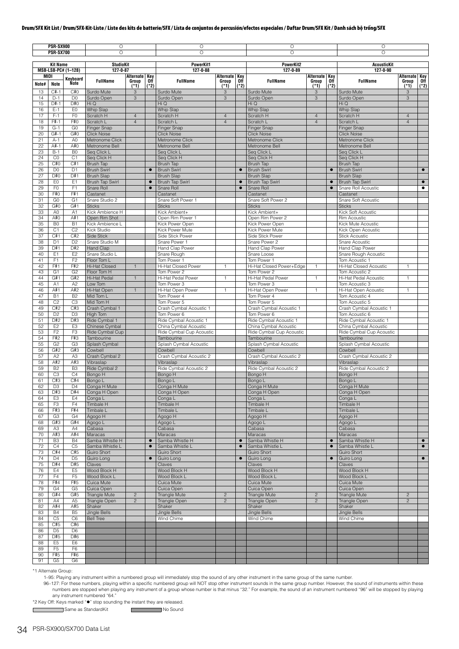|          | PSR-SX900<br><b>PSR-SX700</b> |                       | $\circ$<br>$\circ$                      |                                  |               | $\circ$<br>$\circ$                      |                                  |               | $\overline{O}$<br>$\circ$               |                                  |               | $\circ$<br>$\circ$                        |                                  |               |
|----------|-------------------------------|-----------------------|-----------------------------------------|----------------------------------|---------------|-----------------------------------------|----------------------------------|---------------|-----------------------------------------|----------------------------------|---------------|-------------------------------------------|----------------------------------|---------------|
|          |                               |                       |                                         |                                  |               |                                         |                                  |               |                                         |                                  |               |                                           |                                  |               |
|          | <b>Kit Name</b>               | MSB-LSB-PC# (1-128)   | <b>StudioKit</b><br>127-0-87            |                                  |               | <b>PowerKit1</b><br>127-0-88            |                                  |               | PowerKit2<br>127-0-89                   |                                  |               | <b>AcousticKit</b><br>127-0-90            |                                  |               |
|          | MIDI                          | Keyboard              |                                         | Alternate Key                    |               |                                         | Alternate Key                    |               |                                         | Alternate Key                    |               |                                           | <b>Alternate Key</b>             |               |
| Note#    | <b>Note</b>                   | <b>Note</b>           | <b>FullName</b>                         | Group<br>(1)                     | 0ff<br>$(*2)$ | <b>FullName</b>                         | Group<br>$(*1)$                  | 0ff<br>$(*2)$ | <b>FullName</b>                         | Group<br>$(*1)$                  | 0ff<br>$(*2)$ | <b>FullName</b>                           | Group<br>$(*1)$                  | 0ff<br>$(*2)$ |
| 13<br>14 | $C#-1$<br>$D-1$               | C#0<br>D <sub>0</sub> | Surdo Mute<br>Surdo Open                | 3<br>3                           |               | Surdo Mute<br>Surdo Open                | 3<br>3                           |               | Surdo Mute<br>Surdo Open                | 3<br>3                           |               | Surdo Mute<br>Surdo Open                  | 3<br>3                           |               |
| 15       | $D#-1$                        | D#0                   | Hi Q                                    |                                  |               | Hi Q                                    |                                  |               | Hi Q                                    |                                  |               | Hi Q                                      |                                  |               |
| 16       | $E-1$                         | E <sub>0</sub>        | Whip Slap                               |                                  |               | Whip Slap                               |                                  |               | Whip Slap                               |                                  |               | <b>Whip Slap</b>                          |                                  |               |
| 17<br>18 | $F-1$<br>F#-1                 | F <sub>0</sub><br>F#0 | Scratch H<br>Scratch L                  | $\overline{4}$<br>$\overline{4}$ |               | Scratch H<br>Scratch L                  | $\overline{4}$<br>$\overline{4}$ |               | Scratch H<br>Scratch L                  | $\overline{4}$<br>$\overline{4}$ |               | Scratch H<br>Scratch L                    | $\overline{4}$<br>$\overline{4}$ |               |
| 19       | $G-1$                         | G <sub>0</sub>        | Finger Snap                             |                                  |               | Finger Snap                             |                                  |               | Finger Snap                             |                                  |               | Finger Snap                               |                                  |               |
| 20       | $G#-1$                        | G#O                   | <b>Click Noise</b>                      |                                  |               | <b>Click Noise</b>                      |                                  |               | <b>Click Noise</b>                      |                                  |               | <b>Click Noise</b>                        |                                  |               |
| 21       | $A-1$<br>$A#-1$               | A <sub>0</sub><br>A#0 | Metronome Click<br>Metronome Bell       |                                  |               | Metronome Click<br>Metronome Bell       |                                  |               | Metronome Click<br>Metronome Bell       |                                  |               | Metronome Click<br>Metronome Bell         |                                  |               |
| 22<br>23 | $B-1$                         | B <sub>0</sub>        | Seq Click L                             |                                  |               | Seq Click L                             |                                  |               | Seq Click L                             |                                  |               | Seq Click L                               |                                  |               |
| 24       | $_{\rm CO}$                   | C <sub>1</sub>        | Seq Click H                             |                                  |               | Seq Click H                             |                                  |               | Seq Click H                             |                                  |               | Seq Click H                               |                                  |               |
| 25       | C#0                           | C#1                   | Brush Tap                               |                                  |               | <b>Brush Tap</b>                        |                                  |               | <b>Brush Tap</b>                        |                                  |               | <b>Brush Tap</b>                          |                                  |               |
| 26<br>27 | D <sub>0</sub><br>D#0         | D <sub>1</sub><br>D#1 | <b>Brush Swirl</b><br><b>Brush Slap</b> |                                  | $\bullet$     | <b>Brush Swirl</b><br><b>Brush Slap</b> |                                  | $\bullet$     | <b>Brush Swirl</b><br><b>Brush Slap</b> |                                  | $\bullet$     | <b>Brush Swirl</b><br><b>Brush Slap</b>   |                                  | $\bullet$     |
| 28       | EO                            | E1                    | Brush Tap Swirl                         |                                  | $\bullet$     | <b>Brush Tap Swirl</b>                  |                                  | $\bullet$     | Brush Tap Swirl                         |                                  | $\bullet$     | <b>Brush Tap Swirl</b>                    |                                  | $\bullet$     |
| 29       | F <sub>0</sub>                | F <sub>1</sub>        | Snare Roll                              |                                  | $\bullet$     | Snare Roll                              |                                  | $\bullet$     | Snare Roll                              |                                  | $\bullet$     | Snare Roll Acoustic                       |                                  | $\bullet$     |
| 30       | F#0                           | F#1                   | Castanet                                |                                  |               | Castanet                                |                                  |               | Castanet                                |                                  |               | Castanet                                  |                                  |               |
| 31       | G <sub>0</sub>                | G <sub>1</sub>        | Snare Studio 2                          |                                  |               | Snare Soft Power 1                      |                                  |               | Snare Soft Power 2                      |                                  |               | Snare Soft Acoustic                       |                                  |               |
| 32<br>33 | G#0<br>A <sub>0</sub>         | G#1<br>A1             | <b>Sticks</b><br>Kick Ambience H        |                                  |               | <b>Sticks</b>                           |                                  |               | <b>Sticks</b>                           |                                  |               | <b>Sticks</b>                             |                                  |               |
| 34       | A#0                           | A#1                   | Open Rim Shot                           |                                  |               | Kick Ambient+<br>Open Rim Power 1       |                                  |               | Kick Ambient+<br>Open Rim Power 2       |                                  |               | Kick Soft Acoustic<br><b>Rim Acoustic</b> |                                  |               |
| 35       | B <sub>0</sub>                | <b>B1</b>             | Kick Ambience L                         |                                  |               | Kick Power Open                         |                                  |               | Kick Power Open                         |                                  |               | Kick Mute Acoustic                        |                                  |               |
| 36       | C1                            | C <sub>2</sub>        | Kick Studio                             |                                  |               | Kick Power Mute                         |                                  |               | Kick Power Mute                         |                                  |               | Kick Open Acoustic                        |                                  |               |
| 37       | C#1                           | C#2                   | Side Stick                              |                                  |               | Side Stick Power                        |                                  |               | Side Stick Power                        |                                  |               | <b>Stick Acoustic</b>                     |                                  |               |
| 38<br>39 | D <sub>1</sub><br>D#1         | D <sub>2</sub><br>D#2 | Snare Studio M<br><b>Hand Clap</b>      |                                  |               | Snare Power 1<br>Hand Clap Power        |                                  |               | Snare Power 2<br>Hand Clap Power        |                                  |               | Snare Acoustic<br>Hand Clap Power         |                                  |               |
| 40       | E <sub>1</sub>                | E <sub>2</sub>        | Snare Studio L                          |                                  |               | Snare Rough                             |                                  |               | Snare Loose                             |                                  |               | Snare Rough Acoustic                      |                                  |               |
| 41       | F <sub>1</sub>                | F <sub>2</sub>        | Floor Tom L                             |                                  |               | Tom Power 1                             |                                  |               | Tom Power 1                             |                                  |               | Tom Acoustic 1                            |                                  |               |
| 42       | F#1                           | F#2                   | Hi-Hat Closed                           | $\overline{1}$                   |               | Hi-Hat Closed Power                     | $\mathbf{1}$                     |               | Hi-Hat Closed Power+Edge                | $\mathbf{1}$                     |               | Hi-Hat Closed Acoustic                    | $\mathbf{1}$                     |               |
| 43       | G <sub>1</sub>                | G <sub>2</sub>        | Floor Tom H                             |                                  |               | Tom Power 2                             |                                  |               | Tom Power 2                             |                                  |               | Tom Acoustic 2                            |                                  |               |
| 44<br>45 | G#1<br>A <sub>1</sub>         | G#2<br>A2             | Hi-Hat Pedal<br>Low Tom                 | $\overline{1}$                   |               | Hi-Hat Pedal Power<br>Tom Power 3       | $\mathbf{1}$                     |               | Hi-Hat Pedal Power<br>Tom Power 3       | $\mathbf{1}$                     |               | Hi-Hat Pedal Acoustic<br>Tom Acoustic 3   | $\mathbf{1}$                     |               |
| 46       | A#1                           | A#2                   | Hi-Hat Open                             | $\overline{1}$                   |               | Hi-Hat Open Power                       | $\mathbf{1}$                     |               | Hi-Hat Open Power                       | 1                                |               | Hi-Hat Open Acoustic                      | $\mathbf{1}$                     |               |
| 47       | <b>B1</b>                     | B <sub>2</sub>        | Mid Tom L                               |                                  |               | Tom Power 4                             |                                  |               | Tom Power 4                             |                                  |               | Tom Acoustic 4                            |                                  |               |
| 48       | C <sub>2</sub>                | C <sub>3</sub>        | Mid Tom H                               |                                  |               | Tom Power 5                             |                                  |               | Tom Power 5                             |                                  |               | Tom Acoustic 5                            |                                  |               |
| 49       | C#2                           | C#3                   | Crash Cymbal 1                          |                                  |               | Crash Cymbal Acoustic 1                 |                                  |               | Crash Cymbal Acoustic 1                 |                                  |               | Crash Cymbal Acoustic 1                   |                                  |               |
| 50<br>51 | D <sub>2</sub><br>D#2         | D <sub>3</sub><br>D#3 | High Tom<br>Ride Cymbal 1               |                                  |               | Tom Power 6<br>Ride Cymbal Acoustic 1   |                                  |               | Tom Power 6<br>Ride Cymbal Acoustic 1   |                                  |               | Tom Acoustic 6<br>Ride Cymbal Acoustic 1  |                                  |               |
| 52       | E <sub>2</sub>                | E <sub>3</sub>        | Chinese Cymbal                          |                                  |               | China Cymbal Acoustic                   |                                  |               | China Cymbal Acoustic                   |                                  |               | China Cymbal Acoustic                     |                                  |               |
| 53       | F <sub>2</sub>                | F <sub>3</sub>        | Ride Cymbal Cup                         |                                  |               | Ride Cymbal Cup Acoustic                |                                  |               | Ride Cymbal Cup Acoustic                |                                  |               | Ride Cymbal Cup Acoustic                  |                                  |               |
| 54       | F#2                           | F#3                   | Tambourine                              |                                  |               | Tambourine                              |                                  |               | Tambourine                              |                                  |               | Tambourine                                |                                  |               |
| 55       | G <sub>2</sub>                | G <sub>3</sub>        | Splash Cymbal                           |                                  |               | Splash Cymbal Acoustic                  |                                  |               | Splash Cymbal Acoustic                  |                                  |               | Splash Cymbal Acoustic                    |                                  |               |
| 56<br>57 | G#2<br>A2                     | G#3<br>A <sub>3</sub> | Cowbell<br>Crash Cymbal 2               |                                  |               | Cowbell<br>Crash Cymbal Acoustic 2      |                                  |               | Cowbell<br>Crash Cymbal Acoustic 2      |                                  |               | Cowbell<br>Crash Cymbal Acoustic 2        |                                  |               |
| 58       | A#2                           | A#3                   | Vibraslap                               |                                  |               | Vibraslap                               |                                  |               | Vibraslap                               |                                  |               | Vibraslap                                 |                                  |               |
| 59       | B <sub>2</sub>                | B <sub>3</sub>        | Ride Cymbal 2                           |                                  |               | Ride Cymbal Acoustic 2                  |                                  |               | Ride Cymbal Acoustic 2                  |                                  |               | Ride Cymbal Acoustic 2                    |                                  |               |
| 60       | C3                            | C <sub>4</sub>        | Bongo H                                 |                                  |               | Bongo H                                 |                                  |               | Bongo H                                 |                                  |               | Bongo H                                   |                                  |               |
| 61<br>62 | C#3<br>D <sub>3</sub>         | C#4<br>D <sub>4</sub> | Bongo L<br>Conga H Mute                 |                                  |               | Bongo L<br>Conga H Mute                 |                                  |               | Bongo L<br>Conga H Mute                 |                                  |               | Bongo L<br>Conga H Mute                   |                                  |               |
| 63       | D#3                           | D#4                   | Conga H Open                            |                                  |               | Conga H Open                            |                                  |               | Conga H Open                            |                                  |               | Conga H Open                              |                                  |               |
| 64       | E <sub>3</sub>                | E4                    | Conga L                                 |                                  |               | Conga L                                 |                                  |               | Conga L                                 |                                  |               | Conga L                                   |                                  |               |
| 65       | F <sub>3</sub>                | F <sub>4</sub>        | Timbale H                               |                                  |               | <b>Timbale H</b>                        |                                  |               | Timbale H                               |                                  |               | <b>Timbale H</b>                          |                                  |               |
| 66       | F#3                           | F#4                   | Timbale L                               |                                  |               | Timbale L                               |                                  |               | Timbale L                               |                                  |               | Timbale I                                 |                                  |               |
| 67<br>68 | G <sub>3</sub><br>G#3         | G <sub>4</sub><br>G#4 | Agogo H<br>Agogo L                      |                                  |               | H opopA<br>Agogo L                      |                                  |               | Agogo H<br>Agogo L                      |                                  |               | Agogo H<br>Agogo L                        |                                  |               |
| 69       | A3                            | A4                    | Cabasa                                  |                                  |               | Cabasa                                  |                                  |               | Cabasa                                  |                                  |               | Cabasa                                    |                                  |               |
| 70       | A#3                           | A#4                   | Maracas                                 |                                  |               | Maracas                                 |                                  |               | Maracas                                 |                                  |               | Maracas                                   |                                  |               |
| 71       | B <sub>3</sub>                | <b>B4</b>             | Samba Whistle H                         |                                  | $\bullet$     | Samba Whistle H                         |                                  | $\bullet$     | Samba Whistle H                         |                                  | $\bullet$     | Samba Whistle H                           |                                  | $\bullet$     |
| 72       | C <sub>4</sub>                | C <sub>5</sub>        | Samba Whistle L                         |                                  | $\bullet$     | Samba Whistle L                         |                                  | $\bullet$     | Samba Whistle L                         |                                  | $\bullet$     | Samba Whistle L                           |                                  | $\bullet$     |
| 73<br>74 | C#4<br>D <sub>4</sub>         | C#5<br>D <sub>5</sub> | Guiro Short<br>Guiro Long               |                                  | $\bullet$     | Guiro Short<br>Guiro Long               |                                  | $\bullet$     | Guiro Short<br>Guiro Long               |                                  | $\bullet$     | <b>Guiro Short</b><br>Guiro Long          |                                  | $\bullet$     |
| 75       | D#4                           | D#5                   | Claves                                  |                                  |               | Claves                                  |                                  |               | Claves                                  |                                  |               | Claves                                    |                                  |               |
| 76       | E4                            | E <sub>5</sub>        | Wood Block H                            |                                  |               | Wood Block H                            |                                  |               | Wood Block H                            |                                  |               | Wood Block H                              |                                  |               |
| 77       | F4                            | F <sub>5</sub>        | Wood Block L                            |                                  |               | Wood Block L                            |                                  |               | Wood Block L                            |                                  |               | Wood Block L                              |                                  |               |
| 78<br>79 | F#4<br>G <sub>4</sub>         | F#5<br>G <sub>5</sub> | Cuica Mute<br>Cuica Open                |                                  |               | Cuica Mute                              |                                  |               | Cuica Mute                              |                                  |               | Cuica Mute<br>Cuica Open                  |                                  |               |
| 80       | G#4                           | G#5                   | Triangle Mute                           | $\overline{c}$                   |               | Cuica Open<br><b>Triangle Mute</b>      | $\overline{c}$                   |               | Cuica Open<br><b>Triangle Mute</b>      | $\overline{c}$                   |               | <b>Triangle Mute</b>                      | $\overline{c}$                   |               |
| 81       | A4                            | A <sub>5</sub>        | Triangle Open                           | $\overline{c}$                   |               | Triangle Open                           | $\overline{c}$                   |               | Triangle Open                           | $\sqrt{2}$                       |               | Triangle Open                             | $\overline{c}$                   |               |
| 82       | A#4                           | A#5                   | Shaker                                  |                                  |               | Shaker                                  |                                  |               | Shaker                                  |                                  |               | Shaker                                    |                                  |               |
| 83       | <b>B4</b>                     | B <sub>5</sub>        | Jingle Bells                            |                                  |               | Jingle Bells                            |                                  |               | Jingle Bells                            |                                  |               | Jingle Bells                              |                                  |               |
| 84<br>85 | C <sub>5</sub><br>C#5         | C <sub>6</sub><br>C#6 | <b>Bell Tree</b>                        |                                  |               | Wind Chime                              |                                  |               | Wind Chime                              |                                  |               | Wind Chime                                |                                  |               |
| 86       | D <sub>5</sub>                | D <sub>6</sub>        |                                         |                                  |               |                                         |                                  |               |                                         |                                  |               |                                           |                                  |               |
| 87       | D#5                           | D#6                   |                                         |                                  |               |                                         |                                  |               |                                         |                                  |               |                                           |                                  |               |
| 88       | E <sub>5</sub>                | E <sub>6</sub>        |                                         |                                  |               |                                         |                                  |               |                                         |                                  |               |                                           |                                  |               |
| 89       | F <sub>5</sub>                | F <sub>6</sub><br>F#6 |                                         |                                  |               |                                         |                                  |               |                                         |                                  |               |                                           |                                  |               |
| 90<br>91 | F#5<br>G <sub>5</sub>         | G <sub>6</sub>        |                                         |                                  |               |                                         |                                  |               |                                         |                                  |               |                                           |                                  |               |

\*1 Alternate Group:

1–95: Playing any instrument within a numbered group will immediately stop the sound of any other instrument in the same group of the same number.

96-127: For these numbers, playing within a specific numbered group will NOT stop other instrument sounds in the same group number. However, the sound of instruments within these numbers are stopped when playing any instru

\*2 Key Off: Keys marked "" stop sounding the instant they are released.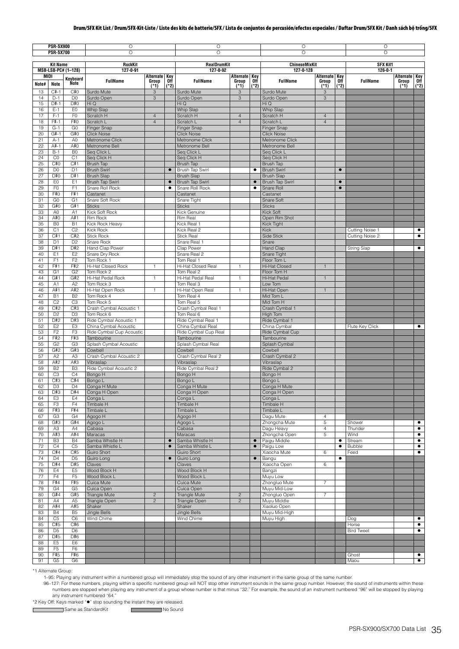| PSR-SX900<br><b>PSR-SX700</b> |                                  |                                  | О<br>$\circ$                              |                |                        | O<br>O                                    |                                        | O<br>$\circ$   | О<br>$\circ$                      |                     |                        |                    |                 |                        |
|-------------------------------|----------------------------------|----------------------------------|-------------------------------------------|----------------|------------------------|-------------------------------------------|----------------------------------------|----------------|-----------------------------------|---------------------|------------------------|--------------------|-----------------|------------------------|
| <b>Kit Name</b>               |                                  |                                  | RockKit                                   |                |                        | RealDrumKit                               |                                        |                | <b>ChineseMixKit</b>              |                     |                        | <b>SFX Kit1</b>    |                 |                        |
|                               | MIDI                             | MSB-LSB-PC# (1-128)              | $127 - 0 - 91$                            | Alternate Key  |                        | 127-0-92                                  |                                        |                | 127-0-128                         | Alternate Key       |                        | $126 - 0 - 1$      | Alternate Key   |                        |
| Note#                         | <b>Note</b>                      | Keyboard<br>Note                 | <b>FullName</b>                           | Group<br>(*1)  | 0ff<br>$(*2)$          | <b>FullName</b>                           | Alternate Key<br>Group Off<br>$(1^*1)$ | (*2)           | <b>FullName</b>                   | Group<br>$(*1)$     | 0ff<br>(*2)            | <b>FullName</b>    | Group<br>$(*1)$ | 0ff<br>$(*2)$          |
| 13                            | $C#-1$                           | C#0                              | Surdo Mute                                | 3              |                        | Surdo Mute                                | 3                                      |                | Surdo Mute                        | 3                   |                        |                    |                 |                        |
| 14<br>15                      | $D-1$<br>$D#-1$                  | D <sub>0</sub><br>D#0            | Surdo Open<br>Hi Q                        | 3              |                        | Surdo Open<br>Hi Q                        | 3                                      |                | Surdo Open<br>Hi Q                | 3                   |                        |                    |                 |                        |
| 16                            | $E-1$                            | EO                               | <b>Whip Slap</b>                          |                |                        | Whip Slap                                 |                                        |                | Whip Slap                         |                     |                        |                    |                 |                        |
| 17                            | $F-1$                            | F <sub>0</sub>                   | Scratch H                                 | $\overline{4}$ |                        | Scratch H                                 | $\overline{4}$                         |                | Scratch H                         | $\overline{4}$      |                        |                    |                 |                        |
| 18                            | F#-1                             | F#0                              | Scratch L                                 | $\overline{4}$ |                        | Scratch L                                 | $\sqrt{4}$                             |                | Scratch L                         | $\overline{4}$      |                        |                    |                 |                        |
| 19<br>20                      | $G-1$<br>$G#-1$                  | G <sub>0</sub><br>G#0            | Finger Snap<br><b>Click Noise</b>         |                |                        | Finger Snap<br><b>Click Noise</b>         |                                        |                | Finger Snap<br><b>Click Noise</b> |                     |                        |                    |                 |                        |
| 21                            | $A-1$                            | A <sub>0</sub>                   | Metronome Click                           |                |                        | Metronome Click                           |                                        |                | Metronome Click                   |                     |                        |                    |                 |                        |
| 22                            | A#-1                             | A#0                              | Metronome Bell                            |                |                        | Metronome Bell                            |                                        |                | Metronome Bell                    |                     |                        |                    |                 |                        |
| 23<br>24                      | $B-1$<br>Co                      | B <sub>0</sub><br>C <sub>1</sub> | Seg Click L<br>Seq Click H                |                |                        | Seq Click L<br>Seq Click H                |                                        |                | Seq Click L<br>Seq Click H        |                     |                        |                    |                 |                        |
| 25                            | C#O                              | C#1                              | Brush Tap                                 |                |                        | Brush Tap                                 |                                        |                | Brush Tap                         |                     |                        |                    |                 |                        |
| 26                            | D <sub>0</sub>                   | D <sub>1</sub>                   | <b>Brush Swirl</b>                        |                | $\bullet$              | <b>Brush Tap Swirl</b>                    |                                        | ٠              | <b>Brush Swirl</b>                |                     | $\bullet$              |                    |                 |                        |
| 27                            | D#0                              | D#1                              | <b>Brush Slap</b>                         |                |                        | <b>Brush Slap</b>                         |                                        |                | <b>Brush Slap</b>                 |                     |                        |                    |                 |                        |
| 28<br>29                      | EO<br>F <sub>0</sub>             | E <sub>1</sub><br>F <sub>1</sub> | <b>Brush Tap Swirl</b><br>Snare Roll Rock |                | $\bullet$<br>$\bullet$ | <b>Brush Tap Swirl</b><br>Snare Roll Rock |                                        | $\bullet$<br>٠ | Brush Tap Swirl<br>Snare Roll     |                     | $\bullet$<br>$\bullet$ |                    |                 |                        |
| 30                            | F#0                              | F#1                              | Castanet                                  |                |                        | Castanet                                  |                                        |                | Castanet                          |                     |                        |                    |                 |                        |
| 31                            | G <sub>0</sub>                   | G <sub>1</sub>                   | Snare Soft Rock                           |                |                        | Snare Tight                               |                                        |                | Snare Soft                        |                     |                        |                    |                 |                        |
| 32                            | G#0                              | G#1                              | <b>Sticks</b>                             |                |                        | <b>Sticks</b>                             |                                        |                | <b>Sticks</b>                     |                     |                        |                    |                 |                        |
| 33<br>34                      | A <sub>0</sub><br>A#0            | A1<br>A#1                        | Kick Soft Rock<br>Rim Rock                |                |                        | Kick Genuine<br>Rim Real                  |                                        |                | Kick Soft<br>Open Rim Shot        |                     |                        |                    |                 |                        |
| 35                            | B <sub>0</sub>                   | <b>B1</b>                        | Kick Rock Heavy                           |                |                        | Kick Real 1                               |                                        |                | <b>Kick Tight</b>                 |                     |                        |                    |                 |                        |
| 36                            | C <sub>1</sub>                   | C <sub>2</sub>                   | Kick Rock                                 |                |                        | Kick Real 2                               |                                        |                | <b>Kick</b>                       |                     |                        | Cutting Noise 1    |                 | $\bullet$              |
| 37                            | C#1                              | C#2                              | <b>Stick Rock</b>                         |                |                        | <b>Stick Real</b>                         |                                        |                | Side Stick                        |                     |                        | Cutting Noise 2    |                 | $\bullet$              |
| 38                            | D <sub>1</sub><br>D#1            | D <sub>2</sub>                   | Snare Rock                                |                |                        | Snare Real 1                              |                                        |                | Snare                             |                     |                        |                    |                 | $\bullet$              |
| 39<br>40                      | E <sub>1</sub>                   | D#2<br>E <sub>2</sub>            | Hand Clap Power<br>Snare Dry Rock         |                |                        | Clap Power<br>Snare Real 2                |                                        |                | Hand Clap<br>Snare Tight          |                     |                        | <b>String Slap</b> |                 |                        |
| 41                            | F <sub>1</sub>                   | F <sub>2</sub>                   | Tom Rock 1                                |                |                        | Tom Real 1                                |                                        |                | Floor Tom L                       |                     |                        |                    |                 |                        |
| 42                            | F#1                              | F#2                              | Hi-Hat Closed Rock                        | $\mathbf{1}$   |                        | Hi-Hat Closed Real                        | $\mathbf{1}$                           |                | Hi-Hat Closed                     | $\mathbf{1}$        |                        |                    |                 |                        |
| 43                            | G <sub>1</sub>                   | G <sub>2</sub>                   | Tom Rock 2                                |                |                        | Tom Real 2                                |                                        |                | Floor Tom H                       |                     |                        |                    |                 |                        |
| 44<br>45                      | G#1<br>A1                        | G#2<br>A <sub>2</sub>            | Hi-Hat Pedal Rock<br>Tom Rock 3           | $\mathbf{1}$   |                        | Hi-Hat Pedal Real<br>Tom Real 3           | $\overline{1}$                         |                | Hi-Hat Pedal<br>Low Tom           | $\mathbf{1}$        |                        |                    |                 |                        |
| 46                            | A#1                              | A#2                              | Hi-Hat Open Rock                          | $\mathbf{1}$   |                        | Hi-Hat Open Real                          | $\mathbf{1}$                           |                | Hi-Hat Open                       | $\mathbf{1}$        |                        |                    |                 |                        |
| 47                            | <b>B1</b>                        | B <sub>2</sub>                   | Tom Rock 4                                |                |                        | Tom Real 4                                |                                        |                | Mid Tom L                         |                     |                        |                    |                 |                        |
| 48                            | C <sub>2</sub>                   | C <sub>3</sub>                   | Tom Rock 5                                |                |                        | Tom Real 5                                |                                        |                | Mid Tom H                         |                     |                        |                    |                 |                        |
| 49<br>50                      | C#2<br>D <sub>2</sub>            | C#3<br>D <sub>3</sub>            | Crash Cymbal Acoustic 1<br>Tom Rock 6     |                |                        | Crash Cymbal Real 1<br>Tom Real 6         |                                        |                | Crash Cymbal 1<br>High Tom        |                     |                        |                    |                 |                        |
| 51                            | D#2                              | D#3                              | Ride Cymbal Acoustic 1                    |                |                        | Ride Cymbal Real 1                        |                                        |                | Ride Cymbal 1                     |                     |                        |                    |                 |                        |
| 52                            | E <sub>2</sub>                   | E <sub>3</sub>                   | China Cymbal Acoustic                     |                |                        | China Cymbal Real                         |                                        |                | China Cymbal                      |                     |                        | Flute Key Click    |                 | $\bullet$              |
| 53                            | F <sub>2</sub>                   | F <sub>3</sub>                   | Ride Cymbal Cup Acoustic                  |                |                        | Ride Cymbal Cup Real                      |                                        |                | Ride Cymbal Cup                   |                     |                        |                    |                 |                        |
| 54<br>55                      | F#2<br>G <sub>2</sub>            | F#3<br>G <sub>3</sub>            | Tambourine                                |                |                        | Tambourine                                |                                        |                | Tambourine                        |                     |                        |                    |                 |                        |
| 56                            | G#2                              | G#3                              | Splash Cymbal Acoustic<br>Cowbell         |                |                        | Splash Cymbal Real<br>Cowbell             |                                        |                | Splash Cymbal<br>Cowbell          |                     |                        |                    |                 |                        |
| 57                            | A <sub>2</sub>                   | A <sub>3</sub>                   | Crash Cymbal Acoustic 2                   |                |                        | Crash Cymbal Real 2                       |                                        |                | Crash Cymbal 2                    |                     |                        |                    |                 |                        |
| 58                            | A#2                              | A#3                              | Vibraslap                                 |                |                        | Vibraslap                                 |                                        |                | Vibraslap                         |                     |                        |                    |                 |                        |
| 59<br>60                      | B <sub>2</sub><br>C <sub>3</sub> | B <sub>3</sub><br>C <sub>4</sub> | Ride Cymbal Acoustic 2<br>Bongo H         |                |                        | Ride Cymbal Real 2<br>Bongo H             |                                        |                | Ride Cymbal 2<br>Bongo H          |                     |                        |                    |                 |                        |
| 61                            | C#3                              | C#4                              | Bongo L                                   |                |                        | Bongo L                                   |                                        |                | Bongo L                           |                     |                        |                    |                 |                        |
| 62                            | D <sub>3</sub>                   | D <sub>4</sub>                   | Conga H Mute                              |                |                        | Conga H Mute                              |                                        |                | Conga H Mute                      |                     |                        |                    |                 |                        |
| 63                            | D#3                              | D#4                              | Conga H Open                              |                |                        | Conga H Open                              |                                        |                | Conga H Open                      |                     |                        |                    |                 |                        |
| 64<br>65                      | E <sub>3</sub><br>F <sub>3</sub> | E4<br>F4                         | Conga L<br><b>Timbale H</b>               |                |                        | Conga L<br><b>Timbale H</b>               |                                        |                | Conga L<br>Timbale H              |                     |                        |                    |                 |                        |
| 66                            | F#3                              | F#4                              | Timbale L                                 |                |                        | Timbale L                                 |                                        |                | Timbale L                         |                     |                        |                    |                 |                        |
| 67                            | G <sub>3</sub>                   | G4                               | Agogo H                                   |                |                        | Agogo H                                   |                                        |                | Dagu Mute                         | 4                   |                        |                    |                 |                        |
| 68                            | G#3                              | G#4                              | Agogo L                                   |                |                        | Agogo L                                   |                                        |                | Zhongcha Mute                     | 5                   |                        | Shower             |                 | $\bullet$              |
| 69<br>70                      | A3<br>A#3                        | A4<br>A#4                        | Cabasa<br>Maracas                         |                |                        | Cabasa<br>Maracas                         |                                        |                | Dagu Heavy<br>Zhongcha Open       | $\overline{4}$<br>5 |                        | Thunder<br>Wind    |                 | $\bullet$<br>$\bullet$ |
| 71                            | B <sub>3</sub>                   | <b>B4</b>                        | Samba Whistle H                           |                | $\bullet$              | Samba Whistle H                           |                                        | $\bullet$      | Paigu Middle                      |                     | $\bullet$              | Stream             |                 | $\bullet$              |
| 72                            | C4                               | C <sub>5</sub>                   | Samba Whistle L                           |                | $\bullet$              | Samba Whistle L                           |                                        | $\bullet$      | Paigu Low                         |                     | $\bullet$              | Bubble             |                 | $\bullet$              |
| 73                            | C#4                              | C#5                              | Guiro Short                               |                |                        | Guiro Short                               |                                        |                | Xiaocha Mute                      | 6                   |                        | Feed               |                 | $\bullet$              |
| 74<br>75                      | D <sub>4</sub><br>D#4            | D <sub>5</sub><br>D#5            | Guiro Long<br>Claves                      |                | $\bullet$              | Guiro Long<br>Claves                      |                                        | $\bullet$      | Bangu<br>Xiaocha Open             | 6                   | $\bullet$              |                    |                 |                        |
| 76                            | E <sub>4</sub>                   | E <sub>5</sub>                   | Wood Block H                              |                |                        | Wood Block H                              |                                        |                | Bangzi                            |                     |                        |                    |                 |                        |
| 77                            | F4                               | F <sub>5</sub>                   | Wood Block L                              |                |                        | Wood Block L                              |                                        |                | Muyu Low                          |                     |                        |                    |                 |                        |
| 78                            | F#4                              | F#5                              | Cuica Mute                                |                |                        | Cuica Mute                                |                                        |                | Zhongluo Mute                     | $\overline{7}$      |                        |                    |                 |                        |
| 79<br>80                      | G4<br>G#4                        | G <sub>5</sub><br>G#5            | Cuica Open<br><b>Triangle Mute</b>        | $\mathbf{2}$   |                        | Cuica Open<br><b>Triangle Mute</b>        | $\overline{c}$                         |                | Muyu Mid-Low<br>Zhongluo Open     | $\overline{7}$      |                        |                    |                 |                        |
| 81                            | A4                               | A <sub>5</sub>                   | Triangle Open                             | $\overline{c}$ |                        | Triangle Open                             | $\overline{c}$                         |                | Muyu Middle                       |                     |                        |                    |                 |                        |
| 82                            | A#4                              | A#5                              | Shaker                                    |                |                        | Shaker                                    |                                        |                | Xiaoluo Open                      |                     |                        |                    |                 |                        |
| 83                            | <b>B4</b>                        | B <sub>5</sub>                   | Jingle Bells                              |                |                        | Jingle Bells                              |                                        |                | Muyu Mid-High                     |                     |                        |                    |                 |                        |
| 84<br>85                      | C <sub>5</sub><br>C#5            | C <sub>6</sub><br>C#6            | Wind Chime                                |                |                        | Wind Chime                                |                                        |                | Muyu High                         |                     |                        | Dog<br>Horse       |                 | $\bullet$<br>$\bullet$ |
| 86                            | D <sub>5</sub>                   | D <sub>6</sub>                   |                                           |                |                        |                                           |                                        |                |                                   |                     |                        | <b>Bird Tweet</b>  |                 | $\bullet$              |
| 87                            | D#5                              | D#6                              |                                           |                |                        |                                           |                                        |                |                                   |                     |                        |                    |                 |                        |
| 88                            | E <sub>5</sub>                   | E <sub>6</sub>                   |                                           |                |                        |                                           |                                        |                |                                   |                     |                        |                    |                 |                        |
| 89<br>90                      | F <sub>5</sub><br>F#5            | F <sub>6</sub><br>F#6            |                                           |                |                        |                                           |                                        |                |                                   |                     |                        | Ghost              |                 | $\bullet$              |
| 91                            | G5                               | G <sub>6</sub>                   |                                           |                |                        |                                           |                                        |                |                                   |                     |                        | Maou               |                 | $\bullet$              |

\*1 Alternate Group:

 $\mathsf{r}$ 

1–95: Playing any instrument within a numbered group will immediately stop the sound of any other instrument in the same group of the same number.

96-127: For these numbers, playing within a specific numbered group will NOT stop other instrument sounds in the same group number. However, the sound of instruments within these numbers are stopped when playing any instru

\*2 Key Off: Keys marked "" stop sounding the instant they are released.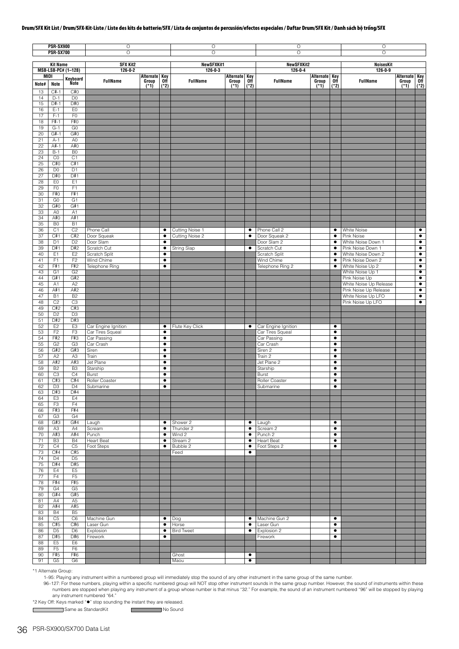| <b>PSR-SX900</b><br><b>PSR-SX700</b> |                                  |                                  | $\circ$<br>$\circ$                      |                 |                                | $\circ$<br>O               |                                |                | $\circ$<br>O                            |               |                        | $\circ$<br>O                                |                                         |                        |
|--------------------------------------|----------------------------------|----------------------------------|-----------------------------------------|-----------------|--------------------------------|----------------------------|--------------------------------|----------------|-----------------------------------------|---------------|------------------------|---------------------------------------------|-----------------------------------------|------------------------|
| <b>Kit Name</b>                      |                                  |                                  | <b>SFX Kit2</b>                         |                 |                                | <b>NewSFXKit1</b>          |                                |                | <b>NewSFXKit2</b>                       |               |                        | <b>NoisesKit</b>                            |                                         |                        |
| MSB-LSB-PC# (1-128)<br>MIDI          |                                  |                                  | $126 - 0 - 2$<br>Alternate Key          |                 | $126 - 0 - 3$<br>Alternate Key |                            | $126 - 0 - 4$<br>Alternate Key |                |                                         | $126 - 0 - 9$ |                        |                                             |                                         |                        |
| Note#                                | <b>Note</b>                      | Keyboard<br>Ńote                 | <b>FullName</b>                         | Group<br>$(*1)$ | 0ff<br>$(*2)$                  | <b>FullName</b>            | Group<br>$(*1)$                | 0ff<br>$(*2)$  | <b>FullName</b>                         | Group<br>(*1) | 0ff<br>$(*2)$          | <b>FullName</b>                             | <b>Alternate Key</b><br>Group<br>$(*1)$ | Off<br>(*2)            |
| 13                                   | $C#-1$                           | C#0                              |                                         |                 |                                |                            |                                |                |                                         |               |                        |                                             |                                         |                        |
| 14<br>15                             | $D-1$<br>$D#-1$                  | D <sub>0</sub><br>D#0            |                                         |                 |                                |                            |                                |                |                                         |               |                        |                                             |                                         |                        |
| 16<br>17                             | $E-1$<br>$F-1$                   | EO                               |                                         |                 |                                |                            |                                |                |                                         |               |                        |                                             |                                         |                        |
| 18                                   | F#-1                             | F <sub>0</sub><br>F#0            |                                         |                 |                                |                            |                                |                |                                         |               |                        |                                             |                                         |                        |
| 19<br>20                             | $G-1$<br>$G#-1$                  | G <sub>0</sub><br>G#0            |                                         |                 |                                |                            |                                |                |                                         |               |                        |                                             |                                         |                        |
| 21                                   | $A-1$                            | A <sub>0</sub>                   |                                         |                 |                                |                            |                                |                |                                         |               |                        |                                             |                                         |                        |
| 22<br>23                             | A#-1<br>$B-1$                    | A#0<br>B <sub>0</sub>            |                                         |                 |                                |                            |                                |                |                                         |               |                        |                                             |                                         |                        |
| 24                                   | CO                               | C <sub>1</sub>                   |                                         |                 |                                |                            |                                |                |                                         |               |                        |                                             |                                         |                        |
| 25<br>26                             | C#O<br>D <sub>0</sub>            | C#1<br>D <sub>1</sub>            |                                         |                 |                                |                            |                                |                |                                         |               |                        |                                             |                                         |                        |
| 27                                   | D#0                              | D#1                              |                                         |                 |                                |                            |                                |                |                                         |               |                        |                                             |                                         |                        |
| 28<br>29                             | EO<br>F <sub>0</sub>             | E <sub>1</sub><br>F1             |                                         |                 |                                |                            |                                |                |                                         |               |                        |                                             |                                         |                        |
| 30                                   | F#0                              | F#1                              |                                         |                 |                                |                            |                                |                |                                         |               |                        |                                             |                                         |                        |
| 31<br>32                             | G <sub>0</sub><br>G#0            | G <sub>1</sub><br>G#1            |                                         |                 |                                |                            |                                |                |                                         |               |                        |                                             |                                         |                        |
| 33                                   | A <sub>0</sub>                   | A1                               |                                         |                 |                                |                            |                                |                |                                         |               |                        |                                             |                                         |                        |
| 34<br>35                             | A#0<br>B <sub>0</sub>            | A#1<br>B1                        |                                         |                 |                                |                            |                                |                |                                         |               |                        |                                             |                                         |                        |
| 36                                   | C <sub>1</sub>                   | C <sub>2</sub>                   | Phone Call                              |                 | $\bullet$                      | Cutting Noise 1            |                                | $\bullet$      | Phone Call 2                            |               | ٠                      | White Noise                                 |                                         | $\bullet$              |
| 37<br>38                             | C#1<br>D <sub>1</sub>            | C#2<br>D <sub>2</sub>            | Door Squeak<br>Door Slam                |                 | $\bullet$<br>٠                 | Cutting Noise 2            |                                | $\bullet$      | Door Squeak 2<br>Door Slam 2            |               | $\bullet$<br>٠         | Pink Noise<br>White Noise Down 1            |                                         | $\bullet$<br>$\bullet$ |
| 39                                   | D#1                              | D#2                              | Scratch Cut                             |                 | $\bullet$                      | <b>String Slap</b>         |                                | ٠              | Scratch Cut                             |               | ٠                      | Pink Noise Down 1                           |                                         | ٠                      |
| 40<br>41                             | E <sub>1</sub><br>F <sub>1</sub> | E <sub>2</sub><br>F <sub>2</sub> | Scratch Split<br>Wind Chime             |                 | $\bullet$<br>$\bullet$         |                            |                                |                | Scratch Split<br>Wind Chime             |               | $\bullet$<br>$\bullet$ | White Noise Down 2<br>Pink Noise Down 2     |                                         | $\bullet$<br>$\bullet$ |
| 42                                   | F#1                              | F#2                              | Telephone Ring                          |                 | $\bullet$                      |                            |                                |                | Telephone Ring 2                        |               | $\bullet$              | White Noise Up 2                            |                                         | $\bullet$              |
| 43<br>44                             | G <sub>1</sub><br>G#1            | G <sub>2</sub><br>G#2            |                                         |                 |                                |                            |                                |                |                                         |               |                        | White Noise Up 1<br>Pink Noise Up           |                                         | $\bullet$<br>$\bullet$ |
| 45                                   | A <sub>1</sub>                   | A <sub>2</sub>                   |                                         |                 |                                |                            |                                |                |                                         |               |                        | White Noise Up Release                      |                                         | $\bullet$              |
| 46<br>47                             | A#1<br><b>B1</b>                 | A#2<br>B <sub>2</sub>            |                                         |                 |                                |                            |                                |                |                                         |               |                        | Pink Noise Up Release<br>White Noise Up LFO |                                         | $\bullet$<br>$\bullet$ |
| 48                                   | C <sub>2</sub>                   | C3                               |                                         |                 |                                |                            |                                |                |                                         |               |                        | Pink Noise Up LFO                           |                                         | $\bullet$              |
| 49<br>50                             | C#2<br>D <sub>2</sub>            | C#3<br>D <sub>3</sub>            |                                         |                 |                                |                            |                                |                |                                         |               |                        |                                             |                                         |                        |
| 51                                   | D#2                              | D#3                              |                                         |                 |                                |                            |                                |                |                                         |               |                        |                                             |                                         |                        |
| 52<br>53                             | E <sub>2</sub><br>F2             | E <sub>3</sub><br>F <sub>3</sub> | Car Engine Ignition<br>Car Tires Squeal |                 | ٠<br>$\bullet$                 | Flute Key Click            |                                | $\bullet$      | Car Engine Ignition<br>Car Tires Squeal |               | $\bullet$<br>$\bullet$ |                                             |                                         |                        |
| 54                                   | F#2                              | F#3                              | Car Passing                             |                 | $\bullet$                      |                            |                                |                | Car Passing                             |               | ٠                      |                                             |                                         |                        |
| 55<br>56                             | G <sub>2</sub><br>G#2            | G <sub>3</sub><br>G#3            | Car Crash<br>Siren                      |                 | $\bullet$<br>$\bullet$         |                            |                                |                | Car Crash<br>Siren 2                    |               | $\bullet$<br>$\bullet$ |                                             |                                         |                        |
| 57                                   | A2                               | A <sub>3</sub>                   | Train                                   |                 | $\bullet$                      |                            |                                |                | Train 2                                 |               | $\bullet$              |                                             |                                         |                        |
| 58<br>59                             | A#2<br>B <sub>2</sub>            | A#3<br>B <sub>3</sub>            | Jet Plane<br>Starship                   |                 | $\bullet$<br>$\bullet$         |                            |                                |                | Jet Plane 2<br>Starship                 |               | ٠<br>$\bullet$         |                                             |                                         |                        |
| 60                                   | C <sub>3</sub>                   | C4                               | Burst                                   |                 | $\bullet$                      |                            |                                |                | <b>Burst</b>                            |               | ٠                      |                                             |                                         |                        |
| 61<br>62                             | C#3<br>D <sub>3</sub>            | C#4<br>D4                        | Roller Coaster<br>Submarine             |                 | ٠                              |                            |                                |                | Roller Coaster<br>Submarine             |               | ٠<br>▼                 |                                             |                                         |                        |
| 63                                   | D#3                              | D#4                              |                                         |                 |                                |                            |                                |                |                                         |               |                        |                                             |                                         |                        |
| 64<br>65                             | E <sub>3</sub><br>F <sub>3</sub> | E4<br>F4                         |                                         |                 |                                |                            |                                |                |                                         |               |                        |                                             |                                         |                        |
| 66                                   | F#3                              | F#4                              |                                         |                 |                                |                            |                                |                |                                         |               |                        |                                             |                                         |                        |
| 67<br>68                             | G <sub>3</sub><br>G#3            | G4<br>G#4                        | Laugh                                   |                 | $\bullet$                      | Shower 2                   |                                | $\bullet$      | Laugh                                   |               | $\bullet$              |                                             |                                         |                        |
| 69                                   | A3                               | A4                               | Scream                                  |                 | $\bullet$                      | Thunder 2                  |                                | ٠              | Scream 2                                |               | $\bullet$              |                                             |                                         |                        |
| 70<br>71                             | A#3<br>B <sub>3</sub>            | A#4<br><b>B4</b>                 | Punch<br><b>Heart Beat</b>              |                 | $\bullet$<br>٠                 | Wind 2<br>Stream 2         |                                | ٠<br>٠         | Punch 2<br><b>Heart Beat</b>            |               | $\bullet$<br>٠         |                                             |                                         |                        |
| 72                                   | C4                               | C <sub>5</sub>                   | Foot Steps                              |                 | $\bullet$                      | Bubble 2                   |                                | ٠              | Foot Steps 2                            |               | $\bullet$              |                                             |                                         |                        |
| 73<br>74                             | C#4<br>D <sub>4</sub>            | C#5<br>D <sub>5</sub>            |                                         |                 |                                | Feed                       |                                | $\bullet$      |                                         |               |                        |                                             |                                         |                        |
| 75                                   | D#4                              | D#5                              |                                         |                 |                                |                            |                                |                |                                         |               |                        |                                             |                                         |                        |
| 76<br>77                             | E4<br>F4                         | E <sub>5</sub><br>F <sub>5</sub> |                                         |                 |                                |                            |                                |                |                                         |               |                        |                                             |                                         |                        |
| 78                                   | F#4                              | F#5                              |                                         |                 |                                |                            |                                |                |                                         |               |                        |                                             |                                         |                        |
| 79<br>80                             | G4<br>G#4                        | G <sub>5</sub><br>G#5            |                                         |                 |                                |                            |                                |                |                                         |               |                        |                                             |                                         |                        |
| 81                                   | A4                               | A <sub>5</sub>                   |                                         |                 |                                |                            |                                |                |                                         |               |                        |                                             |                                         |                        |
| 82<br>83                             | A#4<br><b>B4</b>                 | A#5<br>B <sub>5</sub>            |                                         |                 |                                |                            |                                |                |                                         |               |                        |                                             |                                         |                        |
| 84                                   | C5                               | C <sub>6</sub>                   | Machine Gun                             |                 | $\bullet$                      | Dog                        |                                | $\bullet$      | Machine Gun 2                           |               | $\bullet$              |                                             |                                         |                        |
| 85<br>86                             | C#5<br>D <sub>5</sub>            | C#6<br>D <sub>6</sub>            | Laser Gun<br>Explosion                  |                 | ٠<br>$\bullet$                 | Horse<br><b>Bird Tweet</b> |                                | $\bullet$<br>٠ | Laser Gun<br>Explosion 2                |               | $\bullet$<br>٠         |                                             |                                         |                        |
| 87                                   | D#5                              | D#6                              | Firework                                |                 | $\bullet$                      |                            |                                |                | Firework                                |               | $\bullet$              |                                             |                                         |                        |
| 88<br>89                             | E <sub>5</sub><br>F <sub>5</sub> | E <sub>6</sub><br>F <sub>6</sub> |                                         |                 |                                |                            |                                |                |                                         |               |                        |                                             |                                         |                        |
| 90                                   | F#5                              | F#6                              |                                         |                 |                                | Ghost                      |                                | $\bullet$      |                                         |               |                        |                                             |                                         |                        |
| 91                                   | G5                               | G <sub>6</sub>                   |                                         |                 |                                | Maou                       |                                | $\bullet$      |                                         |               |                        |                                             |                                         |                        |

\*1 Alternate Group:

1–95: Playing any instrument within a numbered group will immediately stop the sound of any other instrument in the same group of the same number.

96-127: For these numbers, playing within a specific numbered group will NOT stop other instrument sounds in the same group number. However, the sound of instruments within these numbers are stopped when playing any instru

\*2 Key Off: Keys marked "" stop sounding the instant they are released.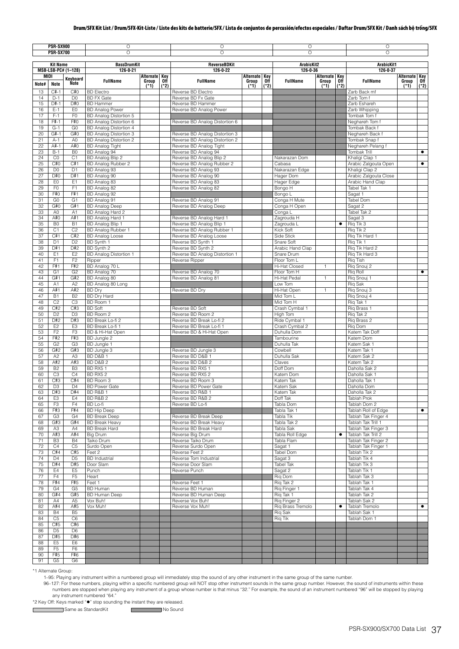| <b>PSR-SX900</b><br><b>PSR-SX700</b> |                       |                       | O                                                       |                            |        | $\circ$                                                | $\circ$                |        |                                   | O             |           |                                           |                            |           |
|--------------------------------------|-----------------------|-----------------------|---------------------------------------------------------|----------------------------|--------|--------------------------------------------------------|------------------------|--------|-----------------------------------|---------------|-----------|-------------------------------------------|----------------------------|-----------|
|                                      |                       |                       | $\overline{O}$                                          |                            |        | $\overline{O}$                                         |                        |        | $\circ$                           |               |           | $\circ$                                   |                            |           |
|                                      | <b>Kit Name</b>       |                       | <b>BassDrumKit</b>                                      |                            |        | <b>ReverseBDKit</b>                                    |                        |        | ArabicKit2                        |               |           | ArabicKit1                                |                            |           |
|                                      |                       | MSB-LSB-PC# (1-128)   | $126 - 0 - 21$                                          |                            |        | $126 - 0 - 22$                                         |                        |        | 126-0-36                          |               |           | $126 - 0 - 37$                            |                            |           |
| <b>MIDI</b>                          |                       | Kevboard              | <b>FullName</b>                                         | Alternate Key<br>Group Off |        | <b>FullName</b>                                        | Alternate Key<br>Group | Off    | <b>FullName</b>                   | Alternate Key | 0ff       | <b>FullName</b>                           | Alternate Key<br>Group Off |           |
| Note#                                | <b>Note</b>           | Note                  |                                                         | $(1^*1)$                   | $(*2)$ |                                                        | $(*1)$                 | $(*2)$ |                                   | Group<br>(*1) | $(*2)$    | Zarb Back mf                              | $(*1)$                     | $(*2)$    |
| 13<br>14                             | $C#-1$<br>$D-1$       | C#O<br>D <sub>0</sub> | <b>BD</b> Electro<br><b>BD FX Gate</b>                  |                            |        | Reverse BD Electro<br>Reverse BD Fx Gate               |                        |        |                                   |               |           | Zarb Tom f                                |                            |           |
| 15                                   | D#-1                  | D#0                   | <b>BD Hammer</b>                                        |                            |        | Reverse BD Hammer                                      |                        |        |                                   |               |           | Zarb Eshareh                              |                            |           |
| 16                                   | $E-1$                 | EO                    | <b>BD Analog Power</b>                                  |                            |        | Reverse BD Analog Power                                |                        |        |                                   |               |           | Zarb Whipping                             |                            |           |
| 17                                   | $F-1$                 | F <sub>0</sub>        | BD Analog Distortion 5                                  |                            |        |                                                        |                        |        |                                   |               |           | Tombak Tom f                              |                            |           |
| 18<br>19                             | F#-1<br>$G-1$         | F#0<br>G <sub>0</sub> | BD Analog Distortion 6<br><b>BD Analog Distortion 4</b> |                            |        | Reverse BD Analog Distortion 6                         |                        |        |                                   |               |           | Neghareh Tom f<br>Tombak Back f           |                            |           |
| 20                                   | $G#-1$                | G#0                   | BD Analog Distortion 3                                  |                            |        | Reverse BD Analog Distortion 3                         |                        |        |                                   |               |           | Neghareh Back f                           |                            |           |
| 21                                   | $A-1$                 | A <sub>0</sub>        | BD Analog Distortion 2                                  |                            |        | Reverse BD Analog Distortion 2                         |                        |        |                                   |               |           | Tombak Snap f                             |                            |           |
| 22                                   | A#-1                  | A#O                   | <b>BD Analog Tight</b>                                  |                            |        | Reverse BD Analog Tight                                |                        |        |                                   |               |           | Neghareh Pelang f                         |                            |           |
| 23                                   | $B-1$                 | B <sub>0</sub>        | BD Analog 94                                            |                            |        | Reverse BD Analog 94                                   |                        |        |                                   |               |           | <b>Tombak Trill</b>                       |                            | $\bullet$ |
| 24<br>25                             | C <sub>0</sub><br>C#O | C <sub>1</sub><br>C#1 | BD Analog Blip 2<br>BD Analog Rubber 2                  |                            |        | Reverse BD Analog Blip 2<br>Reverse BD Analog Rubber 2 |                        |        | Nakarazan Dom<br>Cabasa           |               |           | Khaligi Clap 1<br>Arabic Zalgouta Open    |                            | $\bullet$ |
| 26                                   | D <sub>0</sub>        | D <sub>1</sub>        | BD Analog 93                                            |                            |        | Reverse BD Analog 93                                   |                        |        | Nakarazan Edge                    |               |           | Khaligi Clap 2                            |                            |           |
| 27                                   | D#0                   | D#1                   | BD Analog 90                                            |                            |        | Reverse BD Analog 90                                   |                        |        | Hager Dom                         |               |           | Arabic Zalgouta Close                     |                            |           |
| 28                                   | E <sub>0</sub>        | E1                    | BD Analog 83                                            |                            |        | Reverse BD Analog 83                                   |                        |        | Hager Edge                        |               |           | Arabic Hand Clap                          |                            |           |
| 29                                   | F <sub>0</sub>        | F1                    | BD Analog 82                                            |                            |        | Reverse BD Analog 82                                   |                        |        | Bongo H                           |               |           | Tabel Tak 1                               |                            |           |
| 30                                   | F#0                   | F#1                   | BD Analog 92                                            |                            |        |                                                        |                        |        | Bongo L                           |               |           | Sagat 1                                   |                            |           |
| 31<br>32                             | G <sub>0</sub><br>G#0 | G <sub>1</sub><br>G#1 | BD Analog 91<br><b>BD Analog Deep</b>                   |                            |        | Reverse BD Analog 91<br>Reverse BD Analog Deep         |                        |        | Conga H Mute<br>Conga H Open      |               |           | <b>Tabel Dom</b><br>Sagat 2               |                            |           |
| 33                                   | A <sub>0</sub>        | A <sub>1</sub>        | BD Analog Hard 2                                        |                            |        |                                                        |                        |        | Conga L                           |               |           | Tabel Tak 2                               |                            |           |
| 34                                   | A#0                   | A#1                   | BD Analog Hard 1                                        |                            |        | Reverse BD Analog Hard 1                               |                        |        | Zagrouda H                        |               |           | Sagat 3                                   |                            |           |
| 35                                   | B <sub>0</sub>        | <b>B1</b>             | BD Analog Blip 1                                        |                            |        | Reverse BD Analog Blip 1                               |                        |        | Zagrouda L                        |               | $\bullet$ | Rig Tik 3                                 |                            |           |
| 36                                   | C1                    | C <sub>2</sub>        | <b>BD Analog Rubber 1</b>                               |                            |        | Reverse BD Analog Rubber 1                             |                        |        | Kick Soft                         |               |           | Rig Tik 2                                 |                            |           |
| 37                                   | C#1                   | C#2                   | <b>BD Analog Loose</b>                                  |                            |        | Reverse BD Analog Loose                                |                        |        | Side Stick                        |               |           | Rig Tik Hard 1                            |                            |           |
| 38                                   | D <sub>1</sub>        | D <sub>2</sub>        | BD Synth 1                                              |                            |        | Reverse BD Synth 1                                     |                        |        | Snare Soft                        |               |           | Rig Tik 1                                 |                            |           |
| 39<br>40                             | D#1<br>E1             | D#2<br>E <sub>2</sub> | BD Synth 2<br><b>BD Analog Distortion 1</b>             |                            |        | Reverse BD Synth 2<br>Reverse BD Analog Distortion 1   |                        |        | Arabic Hand Clap<br>Snare Drum    |               |           | Rig Tik Hard 2<br>Rig Tik Hard 3          |                            |           |
| 41                                   | F <sub>1</sub>        | F <sub>2</sub>        | Ripper                                                  |                            |        | <b>Reverse Ripper</b>                                  |                        |        | Floor Tom L                       |               |           | Rig Tish                                  |                            |           |
| 42                                   | F#1                   | F#2                   | BD Analog 70 L                                          |                            |        |                                                        |                        |        | <b>Hi-Hat Closed</b>              | 1             |           | Rig Snouj 2                               |                            |           |
| 43                                   | G <sub>1</sub>        | G <sub>2</sub>        | BD Analog 70                                            |                            |        | Reverse BD Analog 70                                   |                        |        | Floor Tom H                       |               |           | Rig Roll                                  |                            | $\bullet$ |
| 44                                   | G#1                   | G#2                   | BD Analog 80                                            |                            |        | Reverse BD Analog 81                                   |                        |        | Hi-Hat Pedal                      | 1             |           | Rig Snouj 1                               |                            |           |
| 45                                   | A <sub>1</sub>        | A <sub>2</sub>        | BD Analog 80 Long                                       |                            |        |                                                        |                        |        | Low Tom                           |               |           | Rig Sak                                   |                            |           |
| 46<br>47                             | A#1<br><b>B1</b>      | A#2<br>B <sub>2</sub> | <b>BD Dry</b><br><b>BD Dry Hard</b>                     |                            |        | Reverse BD Dry                                         |                        |        | Hi-Hat Open<br>Mid Tom L          | $\mathbf{1}$  |           | Rig Snouj 3<br>Rig Snouj 4                |                            |           |
| 48                                   | C <sub>2</sub>        | C <sub>3</sub>        | BD Room 1                                               |                            |        |                                                        |                        |        | Mid Tom H                         |               |           | Rig Tak 1                                 |                            |           |
| 49                                   | C#2                   | C#3                   | <b>BD Soft</b>                                          |                            |        | Reverse BD Soft                                        |                        |        | Crash Cymbal 1                    |               |           | Rig Brass 1                               |                            |           |
| 50                                   | D <sub>2</sub>        | D <sub>3</sub>        | BD Room 2                                               |                            |        | Reverse BD Room 2                                      |                        |        | High Tom                          |               |           | Rig Tak 2                                 |                            |           |
| 51                                   | D#2                   | D#3                   | BD Break Lo-fi 2                                        |                            |        | Reverse BD Break Lo-fi 2                               |                        |        | Ride Cymbal 1                     |               |           | Rig Brass 2                               |                            |           |
| 52                                   | E <sub>2</sub>        | E <sub>3</sub>        | BD Break Lo-fi 1                                        |                            |        | Reverse BD Break Lo-fi 1                               |                        |        | Crash Cymbal 2                    |               |           | Rig Dom                                   |                            |           |
| 53                                   | F <sub>2</sub>        | F <sub>3</sub>        | BD & Hi-Hat Open                                        |                            |        | Reverse BD & Hi-Hat Open                               |                        |        | Duhulla Dom                       |               |           | Katem Tak Doff                            |                            |           |
| 54<br>55                             | F#2<br>G <sub>2</sub> | F#3<br>G <sub>3</sub> | BD Jungle 2<br><b>BD</b> Jungle 1                       |                            |        |                                                        |                        |        | Tambourine<br>Duhulla Tak         |               |           | Katem Dom<br>Katem Sak 1                  |                            |           |
| 56                                   | G#2                   | G#3                   | BD Jungle 3                                             |                            |        | Reverse BD Jungle 3                                    |                        |        | Cowbell                           |               |           | Katem Tak 1                               |                            |           |
| 57                                   | A <sub>2</sub>        | A <sub>3</sub>        | <b>BD D&amp;B 1</b>                                     |                            |        | Reverse BD D&B 1                                       |                        |        | Duhulla Sak                       |               |           | Katem Sak 2                               |                            |           |
| 58                                   | A#2                   | A#3                   | BD D&B 2                                                |                            |        | Reverse BD D&B 2                                       |                        |        | Claves                            |               |           | Katem Tak 2                               |                            |           |
| 59                                   | B <sub>2</sub>        | B <sub>3</sub>        | BD RX5 1                                                |                            |        | Reverse BD RX5 1                                       |                        |        | Doff Dom                          |               |           | Daholla Sak 2                             |                            |           |
| 60<br>61                             | C <sub>3</sub><br>C#3 | C <sub>4</sub><br>C#4 | BD RX5 2<br>BD Room 3                                   |                            |        | Reverse BD RX5 2<br>Reverse BD Room 3                  |                        |        | Katem Dom<br>Katem Tak            |               |           | Daholla Sak 1<br>Daholla Tak 1            |                            |           |
| 62                                   | D <sub>3</sub>        | D <sub>4</sub>        | <b>BD Power Gate</b>                                    |                            |        | Reverse BD Power Gate                                  |                        |        | Katem Sak                         |               |           | Daholla Dom                               |                            |           |
| 63                                   | D#3                   | D#4                   | <b>BD R&amp;B 1</b>                                     |                            |        | Reverse BD R&B 1                                       |                        |        | Katem Tak                         |               |           | Daholla Tak 2                             |                            |           |
| 64                                   | E <sub>3</sub>        | E4                    | <b>BD R&amp;B 2</b>                                     |                            |        | Reverse BD R&B 2                                       |                        |        | Doff Tak                          |               |           | Tablah Prok                               |                            |           |
| 65                                   | F <sub>3</sub>        | F4                    | BD Lo-fi                                                |                            |        | Reverse BD Lo-fi                                       |                        |        | Tabla Dom                         |               |           | Tablah Dom 2                              |                            |           |
| 66                                   | F#3                   | F#4                   | <b>BD Hip Deep</b>                                      |                            |        |                                                        |                        |        | Tabla Tak 1                       |               |           | Tablah Roll of Edge                       |                            | $\bullet$ |
| 67                                   | G <sub>3</sub><br>G#3 | G4<br>G#4             | <b>BD Break Deep</b><br><b>BD Break Heavy</b>           |                            |        | Reverse BD Break Deep                                  |                        |        | Tabla Tik<br>Tabla Tak 2          |               |           | Tablah Tak Finger 4                       |                            |           |
| 68<br>69                             | A <sub>3</sub>        | A4                    | <b>BD Break Hard</b>                                    |                            |        | Reverse BD Break Heavy<br>Reverse BD Break Hard        |                        |        | Tabla Sak                         |               |           | Tablah Tak Trill 1<br>Tablah Tak Finger 3 |                            |           |
| 70                                   | A#3                   | A#4                   | <b>Big Drum</b>                                         |                            |        | Reverse Big Drum                                       |                        |        | Tabla Roll Edge                   |               | $\bullet$ | Tablah Tak Trill 2                        |                            |           |
| 71                                   | B <sub>3</sub>        | <b>B4</b>             | Taiko Drum                                              |                            |        | Reverse Taiko Drum                                     |                        |        | Tabla Flam                        |               |           | Tablah Tak Finger 2                       |                            |           |
| 72                                   | C4                    | C <sub>5</sub>        | Surdo Open                                              |                            |        | Reverse Surdo Open                                     |                        |        | Sagat 1                           |               |           | Tablah Tak Finger 1                       |                            |           |
| 73                                   | C#4                   | C#5                   | Feet 2                                                  |                            |        | Reverse Feet 2                                         |                        |        | <b>Tabel Dom</b>                  |               |           | Tablah Tik 2                              |                            |           |
| 74                                   | D <sub>4</sub>        | D <sub>5</sub>        | <b>BD</b> Industrial                                    |                            |        | Reverse Tom Industrial<br>Reverse Door Slam            |                        |        | Sagat 3                           |               |           | Tablah Tik 4                              |                            |           |
| 75<br>76                             | D#4<br>E4             | D#5<br>E <sub>5</sub> | Door Slam<br>Punch                                      |                            |        | Reverse Punch                                          |                        |        | <b>Tabel Tak</b><br>Sagat 2       |               |           | Tablah Tik 3<br>Tablah Tik 1              |                            |           |
| 77                                   | F <sub>4</sub>        | F <sub>5</sub>        | Heart                                                   |                            |        |                                                        |                        |        | Rig Dom                           |               |           | Tablah Tak 3                              |                            |           |
| 78                                   | F#4                   | F#5                   | Feet 1                                                  |                            |        | Reverse Feet 1                                         |                        |        | Rig Tak 2                         |               |           | Tablah Tak 1                              |                            |           |
| 79                                   | G4                    | G <sub>5</sub>        | <b>BD Human</b>                                         |                            |        | Reverse BD Human                                       |                        |        | Rig Finger 1                      |               |           | Tablah Tak 4                              |                            |           |
| 80                                   | G#4                   | G#5                   | <b>BD Human Deep</b>                                    |                            |        | Reverse BD Human Deep                                  |                        |        | Rig Tak 1                         |               |           | Tablah Tak 2                              |                            |           |
| 81                                   | A4<br>A#4             | A <sub>5</sub><br>A#5 | Vox Buh!<br>Vox Muh!                                    |                            |        | Reverse Vox Buh!<br>Reverse Vox Muh!                   |                        |        | Rig Finger 2<br>Rig Brass Tremolo |               |           | Tablah Sak 2<br>Tablah Tremolo            |                            | $\bullet$ |
| 82<br>83                             | <b>B4</b>             | B <sub>5</sub>        |                                                         |                            |        |                                                        |                        |        | Rig Sak                           |               | $\bullet$ | Tablah Sak 1                              |                            |           |
| 84                                   | C <sub>5</sub>        | C <sub>6</sub>        |                                                         |                            |        |                                                        |                        |        | Rig Tik                           |               |           | Tablah Dom 1                              |                            |           |
| 85                                   | C#5                   | C#6                   |                                                         |                            |        |                                                        |                        |        |                                   |               |           |                                           |                            |           |
| 86                                   | D <sub>5</sub>        | D <sub>6</sub>        |                                                         |                            |        |                                                        |                        |        |                                   |               |           |                                           |                            |           |
| 87                                   | D#5                   | D#6                   |                                                         |                            |        |                                                        |                        |        |                                   |               |           |                                           |                            |           |
| 88                                   | E <sub>5</sub>        | E <sub>6</sub>        |                                                         |                            |        |                                                        |                        |        |                                   |               |           |                                           |                            |           |
| 89<br>90                             | F <sub>5</sub><br>F#5 | F <sub>6</sub><br>F#6 |                                                         |                            |        |                                                        |                        |        |                                   |               |           |                                           |                            |           |
| 91                                   | G5                    | G <sub>6</sub>        |                                                         |                            |        |                                                        |                        |        |                                   |               |           |                                           |                            |           |

\*1 Alternate Group:

 $\mathsf{r}$ 

1–95: Playing any instrument within a numbered group will immediately stop the sound of any other instrument in the same group of the same number.

96-127: For these numbers, playing within a specific numbered group will NOT stop other instrument sounds in the same group number. However, the sound of instruments within these numbers are stopped when playing any instru

\*2 Key Off: Keys marked "" stop sounding the instant they are released.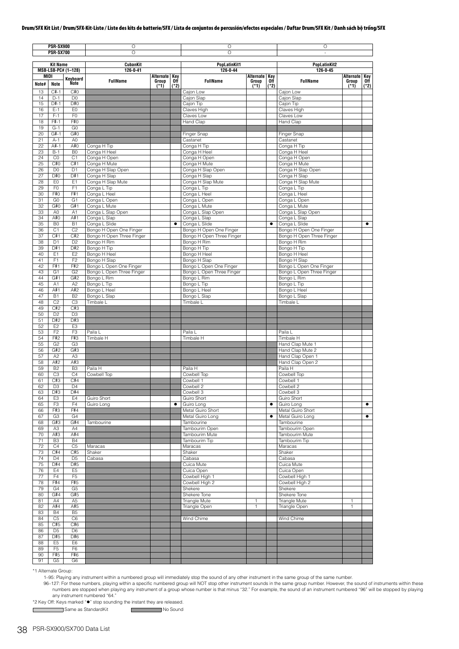|             | <b>PSR-SX900</b>                 |                                  | O                                                    |               |             | O                                                    |                 |               | О                                                    |                 |             |  |
|-------------|----------------------------------|----------------------------------|------------------------------------------------------|---------------|-------------|------------------------------------------------------|-----------------|---------------|------------------------------------------------------|-----------------|-------------|--|
|             | <b>PSR-SX700</b>                 |                                  | O                                                    |               |             | $\circ$                                              |                 |               |                                                      |                 |             |  |
|             | <b>Kit Name</b>                  |                                  | <b>CubanKit</b>                                      |               |             | PopLatinKit1                                         |                 |               | <b>PopLatinKit2</b>                                  |                 |             |  |
| <b>MIDI</b> |                                  | MSB-LSB-PC# (1-128)              | 126-0-41                                             | Alternate Key |             | 126-0-44                                             | Alternate Key   |               | 126-0-45                                             | Alternate       | Key         |  |
| Note#       | <b>Note</b>                      | Keyboard<br><b>Note</b>          | <b>FullName</b>                                      | Group<br>(*1) | 0ff<br>(*2) | <b>FullName</b>                                      | Group<br>$(*1)$ | 0ff<br>$(*2)$ | <b>FullName</b>                                      | Group<br>$(*1)$ | Off<br>(*2) |  |
| 13          | $C#-1$                           | C#0                              |                                                      |               |             | Caion Low                                            |                 |               | Cajon Low                                            |                 |             |  |
| 14<br>15    | $D-1$<br>$D#-1$                  | D <sub>0</sub><br>D#0            |                                                      |               |             | Cajon Slap<br>Cajon Tip                              |                 |               | Cajon Slap<br>Cajon Tip                              |                 |             |  |
| 16          | $E-1$                            | E <sub>0</sub>                   |                                                      |               |             | Claves High                                          |                 |               | Claves High                                          |                 |             |  |
| 17          | $F-1$                            | F <sub>0</sub>                   |                                                      |               |             | Claves Low                                           |                 |               | Claves Low                                           |                 |             |  |
| 18<br>19    | F#-1<br>$G-1$                    | F#0<br>G <sub>0</sub>            |                                                      |               |             | <b>Hand Clap</b>                                     |                 |               | Hand Clap                                            |                 |             |  |
| 20          | $G#-1$                           | G#0                              |                                                      |               |             | <b>Finger Snap</b>                                   |                 |               | Finger Snap                                          |                 |             |  |
| 21          | $A-1$                            | A <sub>0</sub>                   |                                                      |               |             | Castanet                                             |                 |               | Castanet                                             |                 |             |  |
| 22<br>23    | $A#-1$<br>$B-1$                  | A#0                              | Conga H Tip                                          |               |             | Conga H Tip                                          |                 |               | Conga H Tip<br>Conga H Heel                          |                 |             |  |
| 24          | C <sub>0</sub>                   | B <sub>0</sub><br>C <sub>1</sub> | Conga H Heel<br>Conga H Open                         |               |             | Conga H Heel<br>Conga H Open                         |                 |               | Conga H Open                                         |                 |             |  |
| 25          | C#O                              | C#1                              | Conga H Mute                                         |               |             | Conga H Mute                                         |                 |               | Conga H Mute                                         |                 |             |  |
| 26          | D <sub>0</sub>                   | D <sub>1</sub>                   | Conga H Slap Open                                    |               |             | Conga H Slap Open                                    |                 |               | Conga H Slap Open                                    |                 |             |  |
| 27<br>28    | D#0<br>E <sub>0</sub>            | D#1<br>E <sub>1</sub>            | Conga H Slap<br>Conga H Slap Mute                    |               |             | Conga H Slap<br>Conga H Slap Mute                    |                 |               | Conga H Slap<br>Conga H Slap Mute                    |                 |             |  |
| 29          | F <sub>0</sub>                   | F <sub>1</sub>                   | Conga L Tip                                          |               |             | Conga L Tip                                          |                 |               | Conga L Tip                                          |                 |             |  |
| 30          | F#0                              | F#1                              | Conga L Heel                                         |               |             | Conga L Heel                                         |                 |               | Conga L Heel                                         |                 |             |  |
| 31<br>32    | G <sub>0</sub><br>G#O            | G <sub>1</sub><br>G#1            | Conga L Open<br>Conga L Mute                         |               |             | Conga L Open<br>Conga L Mute                         |                 |               | Conga L Open<br>Conga L Mute                         |                 |             |  |
| 33          | A <sub>0</sub>                   | A <sub>1</sub>                   | Conga L Slap Open                                    |               |             | Conga L Slap Open                                    |                 |               | Conga L Slap Open                                    |                 |             |  |
| 34          | A#0                              | A#1                              | Conga L Slap                                         |               |             | Conga L Slap                                         |                 |               | Conga L Slap                                         |                 |             |  |
| 35          | B <sub>0</sub>                   | <b>B1</b>                        | Conga L Slide                                        |               | $\bullet$   | Conga L Slide                                        |                 | $\bullet$     | Conga L Slide                                        |                 | $\bullet$   |  |
| 36<br>37    | C <sub>1</sub><br>C#1            | C <sub>2</sub><br>C#2            | Bongo H Open One Finger<br>Bongo H Open Three Finger |               |             | Bongo H Open One Finger<br>Bongo H Open Three Finger |                 |               | Bongo H Open One Finger<br>Bongo H Open Three Finger |                 |             |  |
| 38          | D <sub>1</sub>                   | D <sub>2</sub>                   | Bongo H Rim                                          |               |             | Bongo H Rim                                          |                 |               | Bongo H Rim                                          |                 |             |  |
| 39          | D#1                              | D#2                              | Bongo H Tip                                          |               |             | Bongo H Tip                                          |                 |               | Bongo H Tip                                          |                 |             |  |
| 40<br>41    | E <sub>1</sub><br>F <sub>1</sub> | E <sub>2</sub><br>F <sub>2</sub> | Bongo H Heel<br>Bongo H Slap                         |               |             | Bongo H Heel<br>Bongo H Slap                         |                 |               | Bongo H Hee<br>Bongo H Slap                          |                 |             |  |
| 42          | F#1                              | F#2                              | Bongo L Open One Finger                              |               |             | Bongo L Open One Finger                              |                 |               | Bongo L Open One Finger                              |                 |             |  |
| 43          | G <sub>1</sub>                   | G <sub>2</sub>                   | Bongo L Open Three Finger                            |               |             | Bongo L Open Three Finger                            |                 |               | Bongo L Open Three Finger                            |                 |             |  |
| 44          | G#1                              | G#2                              | Bongo L Rim                                          |               |             | Bongo L Rim                                          |                 |               | Bongo L Rim                                          |                 |             |  |
| 45<br>46    | A1<br>A#1                        | A <sub>2</sub><br>A#2            | Bongo L Tip<br>Bongo L Heel                          |               |             | Bongo L Tip<br>Bongo L Heel                          |                 |               | Bongo L Tip<br>Bongo L Heel                          |                 |             |  |
| 47          | <b>B1</b>                        | <b>B2</b>                        | Bongo L Slap                                         |               |             | Bongo L Slap                                         |                 |               | Bongo L Slap                                         |                 |             |  |
| 48          | C <sub>2</sub>                   | C <sub>3</sub>                   | Timbale L                                            |               |             | Timbale L                                            |                 |               | Timbale L                                            |                 |             |  |
| 49<br>50    | C#2<br>D <sub>2</sub>            | C#3<br>D <sub>3</sub>            |                                                      |               |             |                                                      |                 |               |                                                      |                 |             |  |
| 51          | D#2                              | D#3                              |                                                      |               |             |                                                      |                 |               |                                                      |                 |             |  |
| 52          | E <sub>2</sub>                   | E <sub>3</sub>                   |                                                      |               |             |                                                      |                 |               |                                                      |                 |             |  |
| 53<br>54    | F <sub>2</sub><br>F#2            | F <sub>3</sub><br>F#3            | Paila L<br>Timbale H                                 |               |             | Paila L<br>Timbale H                                 |                 |               | Paila L<br>Timbale H                                 |                 |             |  |
| 55          | G <sub>2</sub>                   | G <sub>3</sub>                   |                                                      |               |             |                                                      |                 |               | Hand Clap Mute 1                                     |                 |             |  |
| 56          | G#2                              | G#3                              |                                                      |               |             |                                                      |                 |               | Hand Clap Mute 2                                     |                 |             |  |
| 57          | A2                               | A <sub>3</sub>                   |                                                      |               |             |                                                      |                 |               | Hand Clap Open 1                                     |                 |             |  |
| 58<br>59    | A#2<br>B <sub>2</sub>            | A#3<br>B <sub>3</sub>            | Paila H                                              |               |             | Paila H                                              |                 |               | Hand Clap Open 2<br>Paila H                          |                 |             |  |
| 60          | C <sub>3</sub>                   | C <sub>4</sub>                   | Cowbell Top                                          |               |             | Cowbell Top                                          |                 |               | Cowbell Top                                          |                 |             |  |
| 61          | C#3                              | C#4                              |                                                      |               |             | Cowbell 1                                            |                 |               | Cowbell 1                                            |                 |             |  |
| 62<br>63    | D3<br>D#3                        | D4<br>D#4                        |                                                      |               |             | Cowbell 2<br>Cowbell 3                               |                 |               | Compell 2<br>Cowbell 3                               |                 |             |  |
| 64          | E <sub>3</sub>                   | E4                               | Guiro Short                                          |               |             | Guiro Short                                          |                 |               | Guiro Short                                          |                 |             |  |
| 65          | F <sub>3</sub>                   | F4                               | Guiro Long                                           |               | ٠           | Guiro Long                                           |                 | $\bullet$     | Guiro Long                                           |                 | $\bullet$   |  |
| 66<br>67    | F#3<br>G3                        | F#4<br>G4                        |                                                      |               |             | Metal Guiro Short<br>Metal Guiro Long                |                 | $\bullet$     | Metal Guiro Short<br>Metal Guiro Long                |                 | $\bullet$   |  |
| 68          | G#3                              | G#4                              | Tambourine                                           |               |             | Tambourine                                           |                 |               | Tambourine                                           |                 |             |  |
| 69          | A <sub>3</sub>                   | A4                               |                                                      |               |             | Tambourim Open                                       |                 |               | Tambourim Open                                       |                 |             |  |
| 70          | A#3                              | A#4                              |                                                      |               |             | Tambourim Mute                                       |                 |               | Tambourim Mute                                       |                 |             |  |
| 71<br>72    | B <sub>3</sub><br>C4             | <b>B4</b><br>C <sub>5</sub>      | Maracas                                              |               |             | Tambourim Tip<br>Maracas                             |                 |               | Tambourim Tip<br>Maracas                             |                 |             |  |
| 73          | C#4                              | C#5                              | Shaker                                               |               |             | Shaker                                               |                 |               | Shaker                                               |                 |             |  |
| 74          | D <sub>4</sub>                   | D <sub>5</sub>                   | Cabasa                                               |               |             | Cabasa                                               |                 |               | Cabasa                                               |                 |             |  |
| 75<br>76    | D#4<br>E4                        | D#5<br>E <sub>5</sub>            |                                                      |               |             | Cuica Mute<br>Cuica Open                             |                 |               | Cuica Mute<br>Cuica Open                             |                 |             |  |
| 77          | F <sub>4</sub>                   | F <sub>5</sub>                   |                                                      |               |             | Cowbell High 1                                       |                 |               | Cowbell High 1                                       |                 |             |  |
| 78          | F#4                              | F#5                              |                                                      |               |             | Cowbell High 2                                       |                 |               | Cowbell High 2                                       |                 |             |  |
| 79          | G <sub>4</sub>                   | G <sub>5</sub>                   |                                                      |               |             | Shekere                                              |                 |               | Shekere                                              |                 |             |  |
| 80<br>81    | G#4<br>A4                        | G#5<br>A <sub>5</sub>            |                                                      |               |             | Shekere Tone<br>Triangle Mute                        | 1               |               | Shekere Tone<br><b>Triangle Mute</b>                 | $\mathbf{1}$    |             |  |
| 82          | A#4                              | A#5                              |                                                      |               |             | Triangle Open                                        | 1               |               | Triangle Open                                        | $\mathbf{1}$    |             |  |
| 83          | <b>B4</b>                        | B <sub>5</sub>                   |                                                      |               |             |                                                      |                 |               |                                                      |                 |             |  |
| 84<br>85    | C <sub>5</sub><br>C#5            | C <sub>6</sub><br>C#6            |                                                      |               |             | Wind Chime                                           |                 |               | Wind Chime                                           |                 |             |  |
| 86          | D <sub>5</sub>                   | D <sub>6</sub>                   |                                                      |               |             |                                                      |                 |               |                                                      |                 |             |  |
| 87          | D#5                              | D#6                              |                                                      |               |             |                                                      |                 |               |                                                      |                 |             |  |
| 88<br>89    | E <sub>5</sub><br>F <sub>5</sub> | E <sub>6</sub>                   |                                                      |               |             |                                                      |                 |               |                                                      |                 |             |  |
| 90          | F#5                              | F <sub>6</sub><br>F#6            |                                                      |               |             |                                                      |                 |               |                                                      |                 |             |  |
| 91          | G5                               | G6                               |                                                      |               |             |                                                      |                 |               |                                                      |                 |             |  |

\*1 Alternate Group:

1–95: Playing any instrument within a numbered group will immediately stop the sound of any other instrument in the same group of the same number.

96-127: For these numbers, playing within a specific numbered group will NOT stop other instrument sounds in the same group number. However, the sound of instruments within these numbers are stopped when playing any instru

\*2 Key Off: Keys marked "" stop sounding the instant they are released.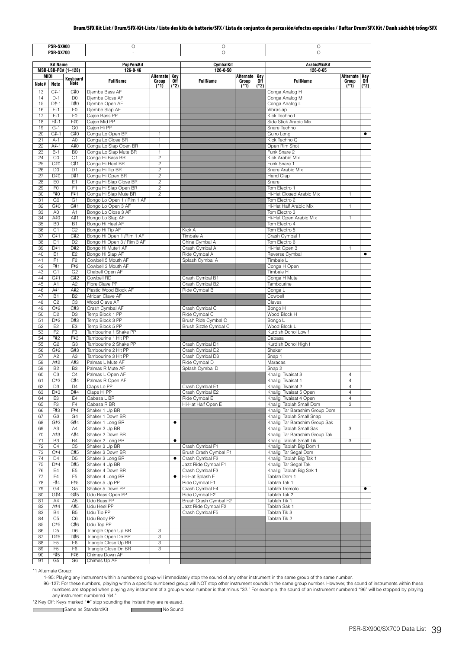|          | <b>PSR-SX900</b>                 |                         | O                                                |                                  |           |                                         |                    |            | O                                                          |                        |           |  |  |
|----------|----------------------------------|-------------------------|--------------------------------------------------|----------------------------------|-----------|-----------------------------------------|--------------------|------------|------------------------------------------------------------|------------------------|-----------|--|--|
|          | <b>PSR-SX700</b>                 |                         |                                                  |                                  |           | O                                       |                    |            | $\circ$                                                    |                        |           |  |  |
|          | <b>Kit Name</b>                  |                         | <b>PopPercKit</b>                                |                                  |           | CymbalKit                               |                    |            | <b>ArabicMixKit</b>                                        |                        |           |  |  |
|          |                                  | MSB-LSB-PC# (1-128)     | 126-0-46                                         |                                  |           | 126-0-50                                |                    |            | 126-0-65                                                   |                        |           |  |  |
| Note#    | MIDI                             | Keyboard<br><b>Note</b> | <b>FullName</b>                                  | Alternate Key<br>Group           | Off       | <b>FullName</b>                         | Alternate<br>Group | Key<br>0ff | <b>FullName</b>                                            | Alternate Key<br>Group | Off       |  |  |
| 13       | Note<br>$C#-1$                   | C#0                     | Djembe Bass AF                                   | $(*1)$                           | $(*2)$    |                                         | $(*1)$             | $(*2)$     | Conga Analog H                                             | $(*1)$                 | $(*2)$    |  |  |
| 14       | $D-1$                            | D <sub>0</sub>          | Djembe Close AF                                  |                                  |           |                                         |                    |            | Conga Analog M                                             |                        |           |  |  |
| 15       | $D#-1$                           | D#0                     | Djembe Open AF                                   |                                  |           |                                         |                    |            | Conga Analog L                                             |                        |           |  |  |
| 16       | $E-1$                            | E <sub>0</sub>          | Djembe Slap AF                                   |                                  |           |                                         |                    |            | Vibraslap                                                  |                        |           |  |  |
| 17<br>18 | $F-1$<br>F#-1                    | F <sub>0</sub><br>F#0   | Cajon Bass PP<br>Cajon Mid PP                    |                                  |           |                                         |                    |            | Kick Techno L<br>Side Stick Arabic Mix                     |                        |           |  |  |
| 19       | $G-1$                            | G <sub>0</sub>          | Cajon Hi PP                                      |                                  |           |                                         |                    |            | Snare Techno                                               |                        |           |  |  |
| 20       | $G#-1$                           | G#0                     | Conga Lo Open BR                                 | $\mathbf{1}$                     |           |                                         |                    |            | Guiro Lona                                                 |                        | ٠         |  |  |
| 21<br>22 | $A-1$<br>A#-1                    | A <sub>0</sub><br>A#O   | Conga Lo Close BR<br>Conga Lo Slap Open BR       | $\mathbf{1}$<br>$\mathbf{1}$     |           |                                         |                    |            | Kick Techno Q<br>Open Rim Shot                             |                        |           |  |  |
| 23       | $B-1$                            | B <sub>0</sub>          | Conga Lo Slap Mute BR                            | $\mathbf{1}$                     |           |                                         |                    |            | Funk Snare 2                                               |                        |           |  |  |
| 24       | C <sub>0</sub>                   | C <sub>1</sub>          | Conga Hi Bass BR                                 | $\overline{c}$                   |           |                                         |                    |            | Kick Arabic Mix                                            |                        |           |  |  |
| 25       | C#O                              | C#1                     | Conga Hi Heel BR                                 | $\overline{c}$                   |           |                                         |                    |            | Funk Snare 1                                               |                        |           |  |  |
| 26<br>27 | D <sub>0</sub><br>D#0            | D <sub>1</sub><br>D#1   | Conga Hi Tip BR<br>Conga Hi Open BR              | $\overline{c}$<br>$\overline{c}$ |           |                                         |                    |            | Snare Arabic Mix<br>Hand Clap                              |                        |           |  |  |
| 28       | E <sub>0</sub>                   | E <sub>1</sub>          | Conga Hi Slap Close BR                           | $\overline{c}$                   |           |                                         |                    |            | Snare                                                      |                        |           |  |  |
| 29       | F <sub>0</sub>                   | F <sub>1</sub>          | Conga Hi Slap Open BR                            | $\overline{c}$                   |           |                                         |                    |            | Tom Electro 1                                              |                        |           |  |  |
| 30       | F#0                              | F#1                     | Conga Hi Slap Mute BR                            | $\overline{c}$                   |           |                                         |                    |            | Hi-Hat Closed Arabic Mix                                   | 1                      |           |  |  |
| 31<br>32 | G <sub>0</sub><br>G#0            | G <sub>1</sub><br>G#1   | Bongo Lo Open 1 / Rim 1 AF<br>Bongo Lo Open 3 AF |                                  |           |                                         |                    |            | Tom Electro 2<br>Hi-Hat Half Arabic Mix                    | 1                      |           |  |  |
| 33       | A <sub>0</sub>                   | A <sub>1</sub>          | Bongo Lo Close 3 AF                              |                                  |           |                                         |                    |            | Tom Electro 3                                              |                        |           |  |  |
| 34       | A#0                              | A#1                     | Bongo Lo Slap AF                                 |                                  |           |                                         |                    |            | Hi-Hat Open Arabic Mix                                     | 1                      |           |  |  |
| 35       | B <sub>0</sub>                   | <b>B1</b>               | Bongo Hi Heel AF                                 |                                  |           |                                         |                    |            | Tom Electro 4                                              |                        |           |  |  |
| 36<br>37 | C <sub>1</sub><br>C#1            | C <sub>2</sub><br>C#2   | Bongo Hi Tip AF<br>Bongo Hi Open 1 / Rim 1 AF    |                                  |           | Kick A<br>Timbale A                     |                    |            | Tom Electro 5<br>Crash Cymbal 1                            |                        |           |  |  |
| 38       | D <sub>1</sub>                   | D <sub>2</sub>          | Bongo Hi Open 3 / Rim 3 AF                       |                                  |           | China Cymbal A                          |                    |            | Tom Electro 6                                              |                        |           |  |  |
| 39       | D#1                              | D#2                     | Bongo Hi Mute1 AF                                |                                  |           | Crash Cymbal A                          |                    |            | Hi-Hat Open 3                                              | 1                      |           |  |  |
| 40       | E1                               | E <sub>2</sub>          | Bongo Hi Slap AF                                 |                                  |           | Ride Cymbal A                           |                    |            | Reverse Cymbal                                             |                        | ٠         |  |  |
| 41       | F <sub>1</sub>                   | F <sub>2</sub>          | Cowbell 5 Mouth AF                               |                                  |           | Splash Cymbal A                         |                    |            | Timbale L                                                  |                        |           |  |  |
| 42<br>43 | F#1<br>G <sub>1</sub>            | F#2<br>G <sub>2</sub>   | Cowbell 3 Mouth AF<br>Chabell Open AF            |                                  |           |                                         |                    |            | Conga H Open<br>Timbale H                                  |                        |           |  |  |
| 44       | G#1                              | G#2                     | Cowbell RD                                       |                                  |           | Crash Cymbal B1                         |                    |            | Conga H Mute                                               |                        |           |  |  |
| 45       | A1                               | A2                      | Fibre Clave PP                                   |                                  |           | Crash Cymbal B2                         |                    |            | Tambourine                                                 |                        |           |  |  |
| 46       | A#1                              | A#2                     | Plastic Wood Block AF                            |                                  |           | Ride Cymbal B                           |                    |            | Conga L                                                    |                        |           |  |  |
| 47       | <b>B1</b>                        | B <sub>2</sub>          | African Clave AF                                 |                                  |           |                                         |                    |            | Cowbell                                                    |                        |           |  |  |
| 48<br>49 | C <sub>2</sub><br>C#2            | C <sub>3</sub><br>C#3   | Wood Clave AF<br>Crash Cymbal AF                 |                                  |           | Crash Cymbal C                          |                    |            | Claves<br>Bongo H                                          |                        |           |  |  |
| 50       | D <sub>2</sub>                   | D <sub>3</sub>          | Temp Block 1 PP                                  |                                  |           | Ride Cymbal C                           |                    |            | Wood Block H                                               |                        |           |  |  |
| 51       | D#2                              | D#3                     | Temp Block 3 PP                                  |                                  |           | Brush Ride Cymbal C                     |                    |            | Bongo L                                                    |                        |           |  |  |
| 52       | E <sub>2</sub>                   | E <sub>3</sub>          | Temp Block 5 PP                                  |                                  |           | Brush Sizzle Cymbal C                   |                    |            | Wood Block L                                               |                        |           |  |  |
| 53<br>54 | F <sub>2</sub><br>F#2            | F <sub>3</sub><br>F#3   | Tambourine 1 Shake PP<br>Tambourine 1 Hit PP     |                                  |           |                                         |                    |            | Kurdish Dohol Low f<br>Cabasa                              |                        |           |  |  |
| 55       | G <sub>2</sub>                   | G <sub>3</sub>          | Tambourine 2 Shake PP                            |                                  |           | Crash Cymbal D1                         |                    |            | Kurdish Dohol High f                                       |                        |           |  |  |
| 56       | G#2                              | G#3                     | Tambourine 2 Hit PP                              |                                  |           | Crash Cymbal D2                         |                    |            | Shaker                                                     |                        |           |  |  |
| 57       | A <sub>2</sub>                   | A <sub>3</sub>          | Tambourine 3 Hit PP                              |                                  |           | Crash Cymbal D3                         |                    |            | Snap 1                                                     |                        |           |  |  |
| 58<br>59 | A#2<br><b>B2</b>                 | A#3<br>B <sub>3</sub>   | Palmas L Mute AF<br>Palmas R Mute AF             |                                  |           | Ride Cymbal D<br>Splash Cymbal D        |                    |            | Maracas<br>Snap 2                                          |                        |           |  |  |
| 60       | C <sub>3</sub>                   | C <sub>4</sub>          | Palmas L Open AF                                 |                                  |           |                                         |                    |            | Khaligi Twaisat 3                                          | 4                      |           |  |  |
| 61       | C#3                              | C#4                     | Palmas R Open AF                                 |                                  |           |                                         |                    |            | Khaligi Twaisat 1                                          | $\overline{4}$         |           |  |  |
| 62       | D <sub>3</sub>                   | D <sub>4</sub>          | Claps Lo PP                                      |                                  |           | Crash Cymbal E1                         |                    |            | Khaligi Twaisat 2                                          | 4                      |           |  |  |
| 63       | D#3                              | D#4                     | Claps Hi PP                                      |                                  |           | Crash Cymbal E2                         |                    |            | Khaligi Twaisat 5 Open                                     | $\overline{4}$         |           |  |  |
| 64<br>65 | E <sub>3</sub><br>F <sub>3</sub> | E4<br>F4                | Cabasa L BR<br>Cabasa R BR                       |                                  |           | Ride Cymbal E<br>Hi-Hat Half Open E     |                    |            | Khaligi Twaisat 4 Open<br>Khaligi Tablah Small Dom         | $\overline{4}$<br>3    |           |  |  |
| 66       | F#3                              | F#4                     | Shaker 1 Up BR                                   |                                  |           |                                         |                    |            | Khaligi Tar Barashim Group Dom                             |                        |           |  |  |
| 67       | G <sub>3</sub>                   | G <sub>4</sub>          | Shaker 1 Down BR                                 |                                  |           |                                         |                    |            | Khaligi Tablah Small Snap                                  |                        |           |  |  |
| 68       | G#3                              | G#4                     | Shaker 1 Long BR                                 |                                  | ٠         |                                         |                    |            | Khaligi Tar Barashim Group Sak                             |                        |           |  |  |
| 69<br>70 | A <sub>3</sub><br>A#3            | A4<br>A#4               | Shaker 2 Up BR<br>Shaker 2 Down BR               |                                  |           |                                         |                    |            | Khaligi Tablah Small Sak<br>Khaligi Tar Barashim Group Tak | 3                      |           |  |  |
| 71       | B <sub>3</sub>                   | <b>B4</b>               | Shaker 2 Long BR                                 |                                  | $\bullet$ |                                         |                    |            | Khaligi Tablah Small Tik                                   | 3                      |           |  |  |
| 72       | C <sub>4</sub>                   | C <sub>5</sub>          | Shaker 3 Up BR                                   |                                  |           | Crash Cymbal F1                         |                    |            | Khaligi Tablah Big Dom 1                                   |                        |           |  |  |
| 73       | C#4                              | C#5                     | Shaker 3 Down BR                                 |                                  |           | Brush Crash Cymbal F1                   |                    |            | Khaligi Tar Segal Dom                                      |                        |           |  |  |
| 74       | D <sub>4</sub>                   | D <sub>5</sub>          | Shaker 3 Long BR<br>Shaker 4 Up BR               |                                  | ٠         | Crash Cymbal F2                         |                    |            | Khaligi Tablah Big Tak 1                                   |                        |           |  |  |
| 75<br>76 | D#4<br>E4                        | D#5<br>E <sub>5</sub>   | Shaker 4 Down BR                                 |                                  |           | Jazz Ride Cymbal F1<br>Crash Cymbal F3  |                    |            | Khaligi Tar Segal Tak<br>Khaligi Tablah Big Sak 1          |                        |           |  |  |
| 77       | F4                               | F <sub>5</sub>          | Shaker 4 Long BR                                 |                                  | ٠         | Hi-Hat Splash F                         |                    |            | Tablah Dom 1                                               |                        |           |  |  |
| 78       | F#4                              | F#5                     | Shaker 5 Up PP                                   |                                  |           | Ride Cymbal F1                          |                    |            | Tablah Tak 1                                               |                        |           |  |  |
| 79       | G <sub>4</sub>                   | G <sub>5</sub>          | Shaker 5 Down PP                                 |                                  |           | Crash Cymbal F4                         |                    |            | Tablah Tremolo                                             |                        | $\bullet$ |  |  |
| 80<br>81 | G#4<br>A4                        | G#5<br>A <sub>5</sub>   | Udu Bass Open PP<br>Udu Bass PP                  |                                  |           | Ride Cymbal F2<br>Brush Crash Cymbal F2 |                    |            | Tablah Tak 2<br>Tablah Tik 1                               |                        |           |  |  |
| 82       | A#4                              | A#5                     | Udu Heel PP                                      |                                  |           | Jazz Ride Cymbal F2                     |                    |            | Tablah Sak 1                                               |                        |           |  |  |
| 83       | <b>B4</b>                        | B <sub>5</sub>          | Udu Tip PP                                       |                                  |           | Crash Cymbal F5                         |                    |            | Tablah Tik 3                                               |                        |           |  |  |
| 84       | C <sub>5</sub>                   | C <sub>6</sub>          | Udu Body PP                                      |                                  |           |                                         |                    |            | Tablah Tik 2                                               |                        |           |  |  |
| 85       | C#5                              | C#6                     | Udu Top PP                                       |                                  |           |                                         |                    |            |                                                            |                        |           |  |  |
| 86<br>87 | D <sub>5</sub><br>D#5            | D <sub>6</sub><br>D#6   | Triangle Open Up BR<br>Triangle Open Dn BR       | 3<br>3                           |           |                                         |                    |            |                                                            |                        |           |  |  |
| 88       | E <sub>5</sub>                   | E <sub>6</sub>          | Triangle Close Up BR                             | 3                                |           |                                         |                    |            |                                                            |                        |           |  |  |
| 89       | F <sub>5</sub>                   | F <sub>6</sub>          | Triangle Close Dn BR                             | 3                                |           |                                         |                    |            |                                                            |                        |           |  |  |
| 90       | F#5                              | F#6                     | Chimes Down AF                                   |                                  |           |                                         |                    |            |                                                            |                        |           |  |  |
| 91       | G <sub>5</sub>                   | G <sub>6</sub>          | Chimes Up AF                                     |                                  |           |                                         |                    |            |                                                            |                        |           |  |  |

\*1 Alternate Group:

 $\mathsf{r}$ 

1–95: Playing any instrument within a numbered group will immediately stop the sound of any other instrument in the same group of the same number.

96-127: For these numbers, playing within a specific numbered group will NOT stop other instrument sounds in the same group number. However, the sound of instruments within these numbers are stopped when playing any instru

\*2 Key Off: Keys marked "" stop sounding the instant they are released.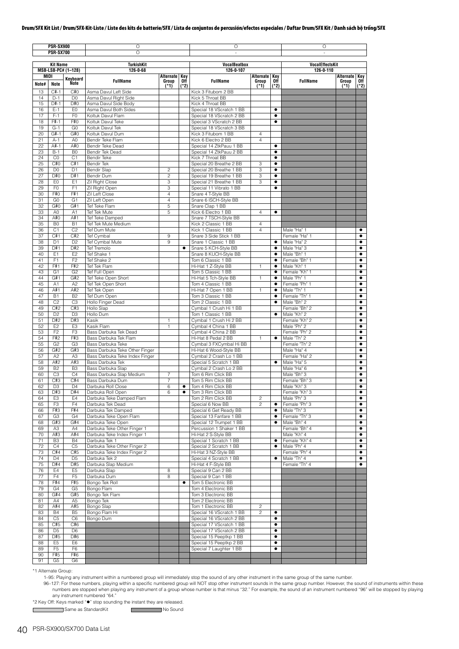|               | <b>PSR-SX900</b><br><b>PSR-SX700</b> |                                  | O<br>$\circ$                                               |                        |               | O                                                   |                    |                | O                            |                           |                        |
|---------------|--------------------------------------|----------------------------------|------------------------------------------------------------|------------------------|---------------|-----------------------------------------------------|--------------------|----------------|------------------------------|---------------------------|------------------------|
|               | <b>Kit Name</b>                      |                                  | <b>TurkishKit</b>                                          |                        |               | <b>VocalBeatbox</b>                                 |                    |                | <b>VocalEffectsKit</b>       |                           |                        |
|               |                                      | MSB-LSB-PC# (1-128)              | 126-0-68                                                   |                        |               | 126-0-107                                           |                    |                | 126-0-110                    |                           |                        |
| MIDI<br>Note# | Note                                 | Keyboard<br>Note                 | <b>FullName</b>                                            | Alternate Key<br>Group | 0ff<br>$(*2)$ | <b>FullName</b>                                     | Alternate<br>Group | Key<br>0ff     | <b>FullName</b>              | <b>Alternate</b><br>Group | Kev<br>0ff             |
| 13            | $C#-1$                               | C#0                              | Asma Davul Left Side                                       | $(*1)$                 |               | Kick 3 Fitubom 2 BB                                 | $(*1)$             | (*2)           |                              | $(*1)$                    | (*2)                   |
| 14            | $D-1$                                | D <sub>0</sub>                   | Asma Davul Right Side                                      |                        |               | Kick 5 Throat BB                                    |                    |                |                              |                           |                        |
| 15            | $D#-1$                               | D#0                              | Asma Davul Side Body                                       |                        |               | Kick 4 Throat BB                                    |                    |                |                              |                           |                        |
| 16            | $E-1$                                | E <sub>0</sub>                   | Asma Davul Both Sides                                      |                        |               | Special 18 VScratch 1 BB                            |                    | $\bullet$      |                              |                           |                        |
| 17            | $F-1$                                | F <sub>0</sub>                   | Koltuk Davul Flam                                          |                        |               | Special 18 VScratch 2 BB                            |                    | $\bullet$      |                              |                           |                        |
| 18<br>19      | $F# - 1$<br>$G-1$                    | F#0<br>G <sub>0</sub>            | Koltuk Davul Teke<br>Koltuk Davul Tek                      |                        |               | Special 3 VScratch 2 BB<br>Special 18 VScratch 3 BB |                    | ٠              |                              |                           |                        |
| 20            | $G#-1$                               | G#0                              | Koltuk Davul Dum                                           |                        |               | Kick 3 Fitubom 1 BB                                 | $\overline{4}$     |                |                              |                           |                        |
| 21            | $A-1$                                | A <sub>0</sub>                   | Bendir Teke Flam                                           |                        |               | Kick 6 Electro 2 BB                                 | $\overline{4}$     |                |                              |                           |                        |
| 22            | A#-1                                 | A#0                              | Bendir Teke Dead                                           |                        |               | Special 14 ZtkPauu 1 BB                             |                    | ٠              |                              |                           |                        |
| 23            | $B-1$                                | B <sub>0</sub>                   | Bendir Tek Dead                                            |                        |               | Special 14 ZtkPauu 2 BB                             |                    | ٠              |                              |                           |                        |
| 24            | C <sub>0</sub>                       | C1                               | <b>Bendir Teke</b>                                         |                        |               | Kick 7 Throat BB                                    |                    | ٠              |                              |                           |                        |
| 25            | C#0                                  | C#1                              | Bendir Tek                                                 |                        |               | Special 20 Breathe 2 BB                             | 3                  | ٠              |                              |                           |                        |
| 26            | D <sub>0</sub>                       | D <sub>1</sub>                   | <b>Bendir Slap</b>                                         | $\overline{c}$         |               | Special 20 Breathe 1 BB                             | 3                  | $\bullet$      |                              |                           |                        |
| 27            | D#0                                  | D#1                              | Bendir Dum                                                 | $\overline{c}$         |               | Special 19 Breathe 1 BB                             | 3                  | ٠              |                              |                           |                        |
| 28            | E <sub>0</sub>                       | E <sub>1</sub>                   | Zil Right Close                                            | 3                      |               | Special 21 Breathe 1 BB                             | 3                  | ٠              |                              |                           |                        |
| 29<br>30      | F0<br>F#0                            | F <sub>1</sub><br>F#1            | Zil Right Open<br>Zil Left Close                           | 3<br>$\overline{4}$    |               | Special 11 Vibrato 1 BB<br>Snare 4 T-Style BB       |                    | ٠              |                              |                           |                        |
| 31            | G <sub>0</sub>                       | G <sub>1</sub>                   | Zil Left Open                                              | $\overline{4}$         |               | Snare 6 ISCH-Style BB                               |                    |                |                              |                           |                        |
| 32            | G#O                                  | G#1                              | Tef Teke Flam                                              | 5                      |               | Snare Clap 1 BB                                     |                    |                |                              |                           |                        |
| 33            | A <sub>0</sub>                       | A1                               | <b>Tef Tek Mute</b>                                        | 5                      |               | Kick 6 Electro 1 BB                                 | $\overline{4}$     | $\bullet$      |                              |                           |                        |
| 34            | A#0                                  | A#1                              | Tef Teke Damped                                            |                        |               | Snare 7 TSCH-Style BB                               |                    |                |                              |                           |                        |
| 35            | B <sub>0</sub>                       | <b>B1</b>                        | Tef Tek Mute Medium                                        |                        |               | Kick 2 Classic 1 BB                                 | $\overline{4}$     |                |                              |                           |                        |
| 36            | C <sub>1</sub>                       | C <sub>2</sub>                   | Tef Dum Mute                                               |                        |               | Kick 1 Classic 1 BB                                 | $\overline{4}$     |                | Male "Ha" 1                  |                           | ٠                      |
| 37            | C#1                                  | C#2                              | <b>Tef Cymbal</b>                                          | 9                      |               | Snare 3 Side Stick 1 BB                             |                    |                | Female "Ha" 1                |                           | $\bullet$              |
| 38            | D <sub>1</sub>                       | D <sub>2</sub>                   | Tef Cymbal Mute                                            | 9                      |               | Snare 1 Classic 1 BB                                |                    | $\bullet$      | Male "Ha" 2                  |                           | $\bullet$              |
| 39            | D#1                                  | D#2<br>E <sub>2</sub>            | Tef Tremolo                                                |                        | ٠             | Snare 5 KCH-Style BB                                |                    | $\bullet$<br>٠ | Male "Ha" 3<br>Male "Bh" 1   |                           | $\bullet$              |
| 40<br>41      | E <sub>1</sub><br>F <sub>1</sub>     | F <sub>2</sub>                   | Tef Shake 1<br>Tef Shake 2                                 |                        |               | Snare 8 KUCH-Style BB<br>Tom 6 Classic 1 BB         |                    | $\bullet$      | Female "Bh" 1                |                           | $\bullet$              |
| 42            | F#1                                  | F#2                              | Tef Tek Flam                                               |                        |               | Hi-Hat 1 Z-Style BB                                 | 1                  | ٠              | Male "Kh" 1                  |                           | ٠                      |
| 43            | G <sub>1</sub>                       | G <sub>2</sub>                   | Tef Full Open                                              |                        |               | Tom 5 Classic 1 BB                                  |                    | $\bullet$      | Female "Kh" 1                |                           | $\bullet$              |
| 44            | G#1                                  | G#2                              | Tef Teke Open Short                                        |                        |               | Hi-Hat 5 Tch-Style BB                               | 1                  | $\bullet$      | Male "Ph" 1                  |                           | $\bullet$              |
| 45            | A1                                   | A2                               | Tef Tek Open Short                                         |                        |               | Tom 4 Classic 1 BB                                  |                    | ٠              | Female "Ph" 1                |                           | ٠                      |
| 46            | A#1                                  | A#2                              | Tef Tek Open                                               |                        |               | Hi-Hat 7 Open 1 BB                                  | 1                  | $\bullet$      | Male "Th" 1                  |                           | $\bullet$              |
| 47            | <b>B1</b>                            | <b>B2</b>                        | Tef Dum Open                                               |                        |               | Tom 3 Classic 1 BB                                  |                    | ٠              | Female "Th" 1                |                           | ٠                      |
| 48            | C <sub>2</sub>                       | C <sub>3</sub><br>C#3            | Hollo Finger Dead                                          |                        |               | Tom 2 Classic 1 BB                                  |                    | $\bullet$      | Male "Bh" 2                  |                           | $\bullet$              |
| 49<br>50      | C#2<br>D <sub>2</sub>                | D <sub>3</sub>                   | Hollo Slap<br>Hollo Dum                                    |                        |               | Cymbal 1 Crush Hi 1 BB<br>Tom 1 Classic 1 BB        |                    | $\bullet$      | Female "Bh" 2<br>Male "Kh" 2 |                           | $\bullet$<br>$\bullet$ |
| 51            | D#2                                  | D#3                              | Kasik                                                      | 1                      |               | Cymbal 1 Crush Hi 2 BB                              |                    |                | Female "Kh" 2                |                           | $\bullet$              |
| 52            | E <sub>2</sub>                       | E <sub>3</sub>                   | Kasik Flam                                                 | $\mathbf{1}$           |               | Cymbal 4 China 1 BB                                 |                    |                | Male "Ph" 2                  |                           | ٠                      |
| 53            | F <sub>2</sub>                       | F <sub>3</sub>                   | Bass Darbuka Tek Dead                                      |                        |               | Cymbal 4 China 2 BB                                 |                    |                | Female "Ph" 2                |                           | $\bullet$              |
| 54            | F#2                                  | F#3                              | Bass Darbuka Tek Flam                                      |                        |               | Hi-Hat 8 Pedal 2 BB                                 | $\mathbf{1}$       | $\bullet$      | Male "Th" 2                  |                           | $\bullet$              |
| 55            | G <sub>2</sub>                       | G <sub>3</sub>                   | Bass Darbuka Teke                                          |                        |               | Cymbal 3 FXCymbal Hi BB                             |                    |                | Female "Th" 2                |                           | $\bullet$              |
| 56            | G#2                                  | G#3                              | Bass Darbuka Teke Other Finger                             |                        |               | Hi-Hat 6 Wood-Style BB                              |                    |                | Male "Ha" 4                  |                           | $\bullet$              |
| 57            | A <sub>2</sub>                       | A <sub>3</sub>                   | Bass Darbuka Teke Index Finger                             |                        |               | Cymbal 2 Crash Lo 1 BB                              |                    |                | Female "Ha" 2                |                           | ٠                      |
| 58            | A#2                                  | A#3                              | Bass Darbuka Tek                                           |                        |               | Special 5 Scratch 1 BB                              |                    | $\bullet$      | Male "Ha" 5                  |                           | $\bullet$              |
| 59<br>60      | <b>B2</b><br>C <sub>3</sub>          | B <sub>3</sub><br>C <sub>4</sub> | Bass Darbuka Slap<br>Bass Darbuka Slap Medium              | 7                      |               | Cymbal 2 Crash Lo 2 BB<br>Tom 6 Rim Click BB        |                    |                | Male "Ha" 6<br>Male "Bh" 3   |                           | $\bullet$<br>٠         |
| 61            | C#3                                  | C#4                              | Bass Darbuka Dum                                           | $\overline{7}$         |               | Tom 5 Rim Click BB                                  |                    |                | Female "Bh" 3                |                           | $\bullet$              |
| 62            | D3                                   | D4                               | Darbuka Roll Close                                         | 6                      |               | Tom 4 Rim Click BB                                  |                    |                | Male "Kh" 3                  |                           |                        |
| 63            | D#3                                  | D#4                              | Darbuka Roll Open                                          | 6                      | $\bullet$     | Tom 3 Rim Click BB                                  |                    |                | Female "Kh" 3                |                           | $\bullet$              |
| 64            | E <sub>3</sub>                       | E4                               | Darbuka Teke Damped Flam                                   |                        |               | Tom 2 Rim Click BB                                  | $\overline{c}$     |                | Male "Ph" 3                  |                           | $\bullet$              |
| 65            | F3                                   | F4                               | Darbuka Tek Dead                                           |                        |               | Special 6 Now BB                                    | $\overline{c}$     | ٠              | Female "Ph" 3                |                           | ٠                      |
| 66            | F#3                                  | F#4                              | Darbuka Tek Damped                                         |                        |               | Special 6 Get Ready BB                              |                    | $\bullet$      | Male "Th" 3                  |                           | ٠                      |
| 67            | G <sub>3</sub>                       | G4                               | Darbuka Teke Open Flam                                     |                        |               | Special 13 Fanfare 1 BB                             |                    | ٠              | Female "Th" 3                |                           | ٠                      |
| 68            | G#3                                  | G#4                              | Darbuka Teke Open                                          |                        |               | Special 12 Trumpet 1 BB                             |                    | ٠              | Male "Bh" 4                  |                           | ٠                      |
| 69<br>70      | A <sub>3</sub><br>A#3                | A4<br>A#4                        | Darbuka Teke Other Finger 1<br>Darbuka Teke Index Finger 1 |                        |               | Percussion 1 Shaker 1 BB<br>Hi-Hat 2 S-Style BB     |                    |                | Female "Bh" 4<br>Male "Kh" 4 |                           | ٠<br>٠                 |
| 71            | B <sub>3</sub>                       | <b>B4</b>                        | Darbuka Tek 1                                              |                        |               | Special 1 Scratch 1 BB                              |                    | $\bullet$      | Female "Kh" 4                |                           | $\bullet$              |
| 72            | C4                                   | C <sub>5</sub>                   | Darbuka Teke Other Finger 2                                |                        |               | Special 2 Scratch 1 BB                              |                    | ٠              | Male "Ph" 4                  |                           | ٠                      |
| 73            | C#4                                  | C#5                              | Darbuka Teke Index Finger 2                                |                        |               | Hi-Hat 3 NZ-Style BB                                |                    |                | Female "Ph" 4                |                           | $\bullet$              |
| 74            | D <sub>4</sub>                       | D <sub>5</sub>                   | Darbuka Tek 2                                              |                        |               | Special 4 Scratch 1 BB                              |                    | $\bullet$      | Male "Th" 4                  |                           | $\bullet$              |
| 75            | D#4                                  | D#5                              | Darbuka Slap Medium                                        |                        |               | Hi-Hat 4 F-Style BB                                 |                    |                | Female "Th" 4                |                           | ٠                      |
| 76            | E4                                   | E <sub>5</sub>                   | Darbuka Slap                                               | 8                      |               | Special 9 Can 2 BB                                  |                    |                |                              |                           |                        |
| 77            | F4                                   | F <sub>5</sub>                   | Darbuka Dum                                                | 8                      |               | Special 9 Can 1 BB                                  |                    |                |                              |                           |                        |
| 78            | F#4                                  | F#5                              | Bongo Tek Roll                                             |                        | ٠             | Tom 5 Electronic BB                                 |                    |                |                              |                           |                        |
| 79            | G4                                   | G5                               | Bongo Flam                                                 |                        |               | Tom 4 Electronic BB                                 |                    |                |                              |                           |                        |
| 80            | G#4                                  | G#5<br>A <sub>5</sub>            | Bongo Tek Flam                                             |                        |               | Tom 3 Electronic BB                                 |                    |                |                              |                           |                        |
| 81<br>82      | A4<br>A#4                            | A#5                              | Bongo Tek<br>Bongo Slap                                    |                        |               | Tom 2 Electronic BB<br>Tom 1 Electronic BB          | $\overline{c}$     |                |                              |                           |                        |
| 83            | <b>B4</b>                            | <b>B5</b>                        | Bongo Flam Hi                                              |                        |               | Special 16 VScratch 1 BB                            | $\overline{c}$     | $\bullet$      |                              |                           |                        |
| 84            | C <sub>5</sub>                       | C6                               | Bongo Dum                                                  |                        |               | Special 16 VScratch 2 BB                            |                    | ٠              |                              |                           |                        |
| 85            | C#5                                  | C#6                              |                                                            |                        |               | Special 17 VScratch 1 BB                            |                    | ٠              |                              |                           |                        |
| 86            | D <sub>5</sub>                       | D <sub>6</sub>                   |                                                            |                        |               | Special 17 VScratch 2 BB                            |                    | $\bullet$      |                              |                           |                        |
| 87            | D#5                                  | D#6                              |                                                            |                        |               | Special 15 Peeptkp 1 BB                             |                    | ٠              |                              |                           |                        |
| 88            | E <sub>5</sub>                       | E <sub>6</sub>                   |                                                            |                        |               | Special 15 Peeptkp 2 BB                             |                    | ٠              |                              |                           |                        |
| 89            | F <sub>5</sub>                       | F <sub>6</sub>                   |                                                            |                        |               | Special 7 Laughter 1 BB                             |                    | ٠              |                              |                           |                        |
| 90            | F#5                                  | F#6                              |                                                            |                        |               |                                                     |                    |                |                              |                           |                        |
| 91            | G <sub>5</sub>                       | G6                               |                                                            |                        |               |                                                     |                    |                |                              |                           |                        |

\*1 Alternate Group:

 $\overline{\phantom{0}}$ 

1–95: Playing any instrument within a numbered group will immediately stop the sound of any other instrument in the same group of the same number.

96-127: For these numbers, playing within a specific numbered group will NOT stop other instrument sounds in the same group number. However, the sound of instruments within these numbers are stopped when playing any instru

\*2 Key Off: Keys marked " $\bullet$ " stop sounding the instant they are released.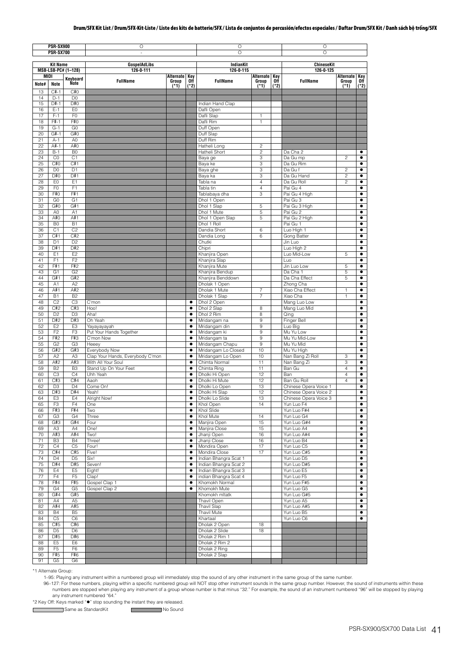|             | <b>PSR-SX900</b><br><b>PSR-SX700</b> |                                  | O<br>L.                           |                 |                        | O<br>O                                 |                     |             | O<br>O                              |                                  |                        |
|-------------|--------------------------------------|----------------------------------|-----------------------------------|-----------------|------------------------|----------------------------------------|---------------------|-------------|-------------------------------------|----------------------------------|------------------------|
|             |                                      |                                  |                                   |                 |                        |                                        |                     |             |                                     |                                  |                        |
|             | <b>Kit Name</b>                      | MSB-LSB-PC# (1-128)              | <b>GospelAdLibs</b><br>126-0-111  |                 |                        | <b>IndianKit</b><br>126-0-115          |                     |             | <b>ChineseKit</b><br>126-0-125      |                                  |                        |
| <b>MIDI</b> |                                      | Keyboard                         |                                   | Alternate       | Key                    |                                        | Alternate           | Key         |                                     | Alternate                        | Key                    |
| Note#       | Note                                 | Note                             | <b>FullName</b>                   | Group<br>$(*1)$ | 0ff<br>$(*2)$          | <b>FullName</b>                        | Group<br>$(*1)$     | Off<br>(*2) | <b>FullName</b>                     | Group<br>$(*1)$                  | Off<br>$(*2)$          |
| 13          | $C#-1$                               | C#0                              |                                   |                 |                        |                                        |                     |             |                                     |                                  |                        |
| 14<br>15    | $D-1$<br>D#-1                        | D <sub>0</sub><br>D#0            |                                   |                 |                        | Indian Hand Clap                       |                     |             |                                     |                                  |                        |
| 16          | $E-1$                                | E <sub>0</sub>                   |                                   |                 |                        | Dafli Open                             |                     |             |                                     |                                  |                        |
| 17          | $F-1$                                | F <sub>0</sub>                   |                                   |                 |                        | Dafli Slap                             | 1                   |             |                                     |                                  |                        |
| 18          | F#-1                                 | F#0                              |                                   |                 |                        | Dafli Rim                              | $\mathbf{1}$        |             |                                     |                                  |                        |
| 19<br>20    | $G-1$<br>$G#-1$                      | G <sub>0</sub><br>G#O            |                                   |                 |                        | Duff Open<br>Duff Slap                 |                     |             |                                     |                                  |                        |
| 21          | $A-1$                                | A <sub>0</sub>                   |                                   |                 |                        | Duff Rim                               |                     |             |                                     |                                  |                        |
| 22          | A#-1                                 | A#O                              |                                   |                 |                        | Hatheli Long                           | $\overline{c}$      |             |                                     |                                  |                        |
| 23<br>24    | $B-1$<br>$_{\rm CO}$                 | B <sub>0</sub><br>C <sub>1</sub> |                                   |                 |                        | Hatheli Short<br>Baya ge               | $\overline{c}$<br>3 |             | Da Cha 2<br>Da Gu mp                | $\overline{c}$                   | $\bullet$<br>$\bullet$ |
| 25          | C#0                                  | C#1                              |                                   |                 |                        | Baya ke                                | 3                   |             | Da Gu Rim                           |                                  | ٠                      |
| 26          | D <sub>0</sub>                       | D <sub>1</sub>                   |                                   |                 |                        | Baya ghe                               | 3                   |             | Da Gu f                             | $\overline{c}$                   | $\bullet$              |
| 27<br>28    | D#0<br>E <sub>0</sub>                | D#1<br>E <sub>1</sub>            |                                   |                 |                        | Baya ka                                | 3<br>$\overline{4}$ |             | Da Gu Hand<br>Da Gu Roll            | $\overline{c}$<br>$\overline{c}$ | $\bullet$<br>٠         |
| 29          | F <sub>0</sub>                       | F <sub>1</sub>                   |                                   |                 |                        | Tabla na<br>Tabla tin                  | $\overline{4}$      |             | Pai Gu 4                            |                                  | ٠                      |
| 30          | F#0                                  | F#1                              |                                   |                 |                        | Tablabaya dha                          | 3                   |             | Pai Gu 4 High                       |                                  | ٠                      |
| 31          | G <sub>0</sub>                       | G <sub>1</sub>                   |                                   |                 |                        | Dhol 1 Open                            |                     |             | Pai Gu 3                            |                                  | ٠                      |
| 32<br>33    | G#0<br>A <sub>0</sub>                | G#1<br>A1                        |                                   |                 |                        | Dhol 1 Slap<br>Dhol 1 Mute             | 5<br>5              |             | Pai Gu 3 High<br>Pai Gu 2           |                                  | $\bullet$<br>٠         |
| 34          | A#0                                  | A#1                              |                                   |                 |                        | Dhol 1 Open Slap                       | 5                   |             | Pai Gu 2 High                       |                                  |                        |
| 35          | B <sub>0</sub>                       | <b>B1</b>                        |                                   |                 |                        | Dhol 1 Roll                            |                     |             | Pai Gu 1                            |                                  | ٠                      |
| 36          | C <sub>1</sub>                       | C <sub>2</sub>                   |                                   |                 |                        | Dandia Short                           | 6                   |             | Luo High 1                          |                                  | $\bullet$              |
| 37<br>38    | C#1<br>D <sub>1</sub>                | C#2<br>D <sub>2</sub>            |                                   |                 |                        | Dandia Long<br>Chutki                  | 6                   |             | Gong Batter<br>Jin Luo              |                                  | $\bullet$<br>٠         |
| 39          | D#1                                  | D#2                              |                                   |                 |                        | Chipri                                 |                     |             | Luo High 2                          |                                  | ٠                      |
| 40          | E1                                   | E <sub>2</sub>                   |                                   |                 |                        | Khanjira Open                          |                     |             | Luo Mid-Low                         | 5                                | $\bullet$              |
| 41<br>42    | F <sub>1</sub><br>F#1                | F <sub>2</sub><br>F#2            |                                   |                 |                        | Khanjira Slap<br>Khanjira Mute         |                     |             | Luo<br>Jin Luo Low                  | 5                                | $\bullet$<br>$\bullet$ |
| 43          | G <sub>1</sub>                       | G <sub>2</sub>                   |                                   |                 |                        | Khanjira Bendup                        |                     |             | Da Cha 1                            | 5                                | ٠                      |
| 44          | G#1                                  | G#2                              |                                   |                 |                        | Khanjira Benddown                      |                     |             | Da Cha Effect                       | 5                                | ٠                      |
| 45          | A1                                   | A2                               |                                   |                 |                        | Dholak 1 Open                          |                     |             | Zhong Cha                           |                                  | $\bullet$              |
| 46<br>47    | A#1<br><b>B1</b>                     | A#2<br>B <sub>2</sub>            |                                   |                 |                        | Dholak 1 Mute<br>Dholak 1 Slap         | 7<br>$\overline{7}$ |             | Xiao Cha Effect<br>Xiao Cha         | 1<br>1                           | $\bullet$<br>$\bullet$ |
| 48          | C <sub>2</sub>                       | C <sub>3</sub>                   | C'mon                             |                 | $\bullet$              | Dhol 2 Open                            |                     |             | Mang Luo Low                        |                                  | ٠                      |
| 49          | C#2                                  | C#3                              | Hoo!                              |                 | $\bullet$              | Dhol 2 Slap                            | 8                   |             | Mang Luo Mid                        |                                  | ٠                      |
| 50<br>51    | D <sub>2</sub><br>D#2                | D <sub>3</sub><br>D#3            | Aha!<br>Oh Yeah                   |                 | ٠<br>$\bullet$         | Dhol 2 Rim<br>Mridangam na             | 8<br>9              |             | Qing<br>Finger Bell                 |                                  | ٠<br>٠                 |
| 52          | E <sub>2</sub>                       | E <sub>3</sub>                   | Yayayayayah                       |                 | $\bullet$              | Mridangam din                          | 9                   |             | Luo Big                             |                                  | $\bullet$              |
| 53          | F <sub>2</sub>                       | F <sub>3</sub>                   | Put Your Hands Together           |                 | ٠                      | Mridangam ki                           | 9                   |             | Mu Yu Low                           |                                  | ٠                      |
| 54          | F#2                                  | F#3                              | C'mon Now                         |                 | $\bullet$              | Mridangam ta                           | 9                   |             | Mu Yu Mid-Low                       |                                  | ٠                      |
| 55<br>56    | G <sub>2</sub><br>G#2                | G <sub>3</sub><br>G#3            | Heeev<br>Everybody Now            |                 | ٠<br>$\bullet$         | Mridangam Chapu<br>Mridangam Lo Closed | 9<br>10             |             | Mu Yu Mid<br>Mu Yu High             |                                  | ٠<br>$\bullet$         |
| 57          | A <sub>2</sub>                       | A <sub>3</sub>                   | Clap Your Hands, Everybody C'mon  |                 | ٠                      | Mridangam Lo Open                      | 10                  |             | Nan Bang Zi Roll                    | 3                                | $\bullet$              |
| 58          | A#2                                  | A#3                              | With All Your Soul                |                 | $\bullet$              | Chimta Normal                          | 11                  |             | Nan Bang Zi                         | 3                                | ٠                      |
| 59<br>60    | <b>B2</b><br>C <sub>3</sub>          | B <sub>3</sub><br>C <sub>4</sub> | Stand Up On Your Feet<br>Uhh Yeah |                 | $\bullet$<br>٠         | Chimta Ring<br>Dholki Hi Open          | 11<br>12            |             | Ban Gu<br>Ban                       | 4<br>4                           | $\bullet$<br>$\bullet$ |
| 61          | C#3                                  | C#4                              | Aaoh                              |                 | $\bullet$              | Dholki Hi Mute                         | 12                  |             | Ban Gu Roll                         | $\overline{4}$                   | $\bullet$              |
| 62          | D <sub>3</sub>                       | D4                               | Come On!                          |                 | ٠                      | Dholki Lo Open                         | 13                  |             | Chinese Opera Voice 1               |                                  | ٠                      |
| 63          | D#3                                  | D#4                              | Yeah!                             |                 | ٠                      | Dholki Hi Slap                         | 12                  |             | Chinese Opera Voice 2               |                                  | $\bullet$              |
| 64<br>65    | E <sub>3</sub><br>F <sub>3</sub>     | E4<br>F <sub>4</sub>             | <b>Alright Now!</b><br>One        |                 | $\bullet$<br>٠         | Dholki Lo Slide<br>Khol Open           | 13<br>14            |             | Chinese Opera Voice 3<br>Yun Luo F4 |                                  | $\bullet$<br>٠         |
| 66          | F#3                                  | F#4                              | Two                               |                 | ٠                      | Khol Slide                             |                     |             | Yun Luo F#4                         |                                  | $\bullet$              |
| 67          | G <sub>3</sub>                       | G <sub>4</sub>                   | Three                             |                 | ٠                      | Khol Mute                              | 14                  |             | Yun Luo G4                          |                                  | $\bullet$              |
| 68          | G#3                                  | G#4                              | Four                              |                 | $\bullet$              | Manjira Open                           | 15                  |             | Yun Luo G#4                         |                                  | $\bullet$              |
| 69<br>70    | A3<br>A#3                            | A4<br>A#4                        | One!<br>Two!                      |                 | $\bullet$<br>٠         | Manjira Close<br>Jhanji Open           | 15<br>16            |             | Yun Luo A4<br>Yun Luo A#4           |                                  | $\bullet$<br>٠         |
| 71          | B <sub>3</sub>                       | <b>B4</b>                        | Three!                            |                 | ٠                      | Jhanji Close                           | 16                  |             | Yun Luo B4                          |                                  | ٠                      |
| 72          | C <sub>4</sub>                       | C <sub>5</sub>                   | Four!                             |                 | $\bullet$              | Mondira Open                           | 17                  |             | Yun Luo C5                          |                                  | $\bullet$              |
| 73<br>74    | C#4<br>D <sub>4</sub>                | C#5<br>D <sub>5</sub>            | Five!<br>Six!                     |                 | ٠<br>$\bullet$         | Mondira Close<br>Indian Bhangra Scat 1 | 17                  |             | Yun Luo C#5<br>Yun Luo D5           |                                  | ٠<br>$\bullet$         |
| 75          | D#4                                  | D#5                              | Seven!                            |                 | ٠                      | Indian Bhangra Scat 2                  |                     |             | Yun Luo D#5                         |                                  | ٠                      |
| 76          | E4                                   | E <sub>5</sub>                   | Eight!                            |                 | ٠                      | Indian Bhangra Scat 3                  |                     |             | Yun Luo E5                          |                                  | ٠                      |
| 77          | F4                                   | F <sub>5</sub>                   | Clap!                             |                 | ٠                      | indian Bhangra Scat 4                  |                     |             | Yun Luo F5                          |                                  | $\bullet$              |
| 78<br>79    | F#4<br>G <sub>4</sub>                | F#5<br>G <sub>5</sub>            | Gospel Clap 1<br>Gospel Clap 2    |                 | $\bullet$<br>$\bullet$ | Khomokh Normal<br>Khomokh Mute         |                     |             | Yun Luo F#5<br>Yun Luo G5           |                                  | $\bullet$<br>$\bullet$ |
| 80          | G#4                                  | G#5                              |                                   |                 |                        | Khomokh mltatk                         |                     |             | Yun Luo G#5                         |                                  | $\bullet$              |
| 81          | A4                                   | A <sub>5</sub>                   |                                   |                 |                        | Thavil Open                            |                     |             | Yun Luo A5                          |                                  | ٠                      |
| 82          | A#4                                  | A#5                              |                                   |                 |                        | <b>Thavil Slap</b>                     |                     |             | Yun Luo A#5                         |                                  | $\bullet$              |
| 83<br>84    | <b>B4</b><br>C <sub>5</sub>          | B <sub>5</sub><br>C <sub>6</sub> |                                   |                 |                        | Thavil Mute<br>Khartaal                |                     |             | Yun Luo B5<br>Yun Luo C6            |                                  | ٠<br>$\bullet$         |
| 85          | C#5                                  | C#6                              |                                   |                 |                        | Dholak 2 Open                          | 18                  |             |                                     |                                  |                        |
| 86          | D <sub>5</sub>                       | D <sub>6</sub>                   |                                   |                 |                        | Dholak 2 Slide                         | 18                  |             |                                     |                                  |                        |
| 87<br>88    | D#5<br>E <sub>5</sub>                | D#6<br>E <sub>6</sub>            |                                   |                 |                        | Dholak 2 Rim 1<br>Dholak 2 Rim 2       |                     |             |                                     |                                  |                        |
| 89          | F <sub>5</sub>                       | F <sub>6</sub>                   |                                   |                 |                        | Dholak 2 Ring                          |                     |             |                                     |                                  |                        |
| 90          | F#5                                  | F#6                              |                                   |                 |                        | Dholak 2 Slap                          |                     |             |                                     |                                  |                        |
| 91          | G <sub>5</sub>                       | G <sub>6</sub>                   |                                   |                 |                        |                                        |                     |             |                                     |                                  |                        |

\*1 Alternate Group:

 $\mathsf{r}$ 

1–95: Playing any instrument within a numbered group will immediately stop the sound of any other instrument in the same group of the same number.

96-127: For these numbers, playing within a specific numbered group will NOT stop other instrument sounds in the same group number. However, the sound of instruments within these numbers are stopped when playing any instru

\*2 Key Off: Keys marked "" stop sounding the instant they are released.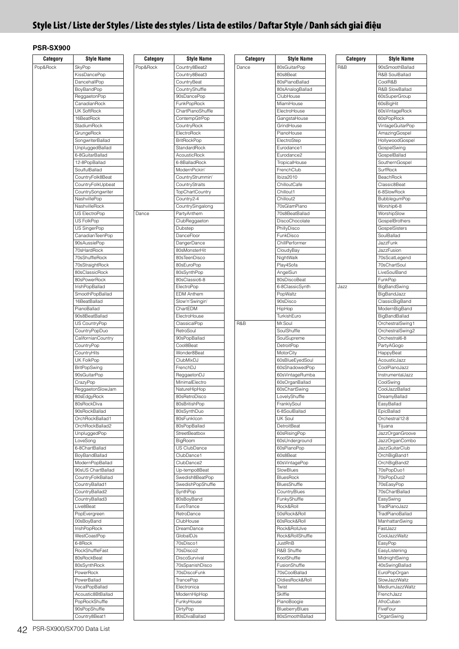# **Style List / Liste der Styles / Liste des styles / Lista de estilos / Daftar Style / Danh sách giai điệu**

| Category | <b>Style Name</b>       | Category | <b>Style Name</b>            | Category | <b>Style Name</b>            | Category | <b>Style Name</b>        |
|----------|-------------------------|----------|------------------------------|----------|------------------------------|----------|--------------------------|
| Pop&Rock | SkyPop                  | Pop&Rock | Country8Beat2                | Dance    | 80sGuitarPop                 | R&B      | 90sSmoothBallad          |
|          | KissDancePop            |          | Country8Beat3                |          | 80s8Beat                     |          | R&B SoulBallad           |
|          | DancehallPop            |          | CountryBeat                  |          | 80sPianoBallad               |          | CoolR&B                  |
|          | BoyBandPop              |          | CountryShuffle               |          | 80sAnalogBallad              |          | R&B SlowBallad           |
|          | ReggaetonPop            |          | 90sDancePop                  |          | ClubHouse                    |          | 60sSuperGroup            |
|          | CanadianRock            |          | <b>FunkPopRock</b>           |          | MiamiHouse                   |          | 60sBigHit                |
|          | <b>UK SoftRock</b>      |          | ChartPianoShuffle            |          | ElectroHouse                 |          | 60sVintageRock           |
|          | 16BeatRock              |          | ContempGtrPop                |          | GangstaHouse                 |          | 60sPopRock               |
|          | StadiumRock             |          | CountryRock                  |          | GrindHouse                   |          |                          |
|          |                         |          |                              |          |                              |          | VintageGuitarPop         |
|          | GrungeRock              |          | ElectroRock                  |          | PianoHouse                   |          | AmazingGospel            |
|          | <b>SongwriterBallad</b> |          | <b>BritRockPop</b>           |          | ElectroStep                  |          | HollywoodGospel          |
|          | UnpluggedBallad         |          | StandardRock                 |          | Eurodance1                   |          | GospelSwing              |
|          | 6-8GuitarBallad         |          | AcousticRock                 |          | Eurodance2                   |          | GospelBallad             |
|          | 12-8PopBallad           |          | 6-8BalladRock                |          | TropicalHouse                |          | SouthernGospel           |
|          | SoulfulBallad           |          | ModernPickin'                |          | FrenchClub                   |          | SurfRock                 |
|          | CountryFolk8Beat        |          | CountryStrummin'             |          | Ibiza2010                    |          | BeachRock                |
|          | CountryFolkUpbeat       |          | CountryStraits               |          | ChilloutCafe                 |          | Classic8Beat             |
|          | CountrySongwriter       |          | <b>TopChartCountry</b>       |          | Chillout1                    |          | 6-8SlowRock              |
|          | NashvillePop            |          | Country2-4                   |          | Chillout2                    |          | BubblegumPop             |
|          | NashvilleRock           |          | CountrySingalong             |          | 70sGlamPiano                 |          | Worship6-8               |
|          | US ElectroPop           | Dance    | PartyAnthem                  |          | 70s8BeatBallad               |          | WorshipSlow              |
|          | US FolkPop              |          | ClubReggaeton                |          | DiscoChocolate               |          | <b>GospelBrothers</b>    |
|          | US SingerPop            |          | Dubstep                      |          | PhillyDisco                  |          | GospelSisters            |
|          | CanadianTeenPop         |          | DanceFloor                   |          | FunkDisco                    |          | SoulBallad               |
|          | 90sAussiePop            |          | DangerDance                  |          | ChillPerformer               |          | JazzFunk                 |
|          | 70sHardRock             |          | 80sMonsterHit                |          | CloudyBay                    |          | JazzFusion               |
|          | 70sShuffleRock          |          | 80sTeenDisco                 |          | NightWalk                    |          |                          |
|          |                         |          |                              |          |                              |          | 70sScatLegend            |
|          | 70sStraightRock         |          | 80sEuroPop                   |          | Play4Sofa                    |          | 70sChartSoul             |
|          | 80sClassicRock          |          | 80sSynthPop                  |          | AngelSun                     |          | LiveSoulBand             |
|          | 80sPowerRock            |          | 80sClassic6-8                |          | 80sDiscoBeat                 |          | FunkPop                  |
|          | IrishPopBallad          |          | ElectroPop                   |          | 6-8ClassicSynth              | Jazz     | BigBandSwing             |
|          | SmoothPopBallad         |          | <b>EDM Anthem</b>            |          | PopWaltz                     |          | BigBandJazz              |
|          | 16BeatBallad            |          | Slow'n'Swingin'              |          | 90sDisco                     |          | ClassicBigBand           |
|          | PianoBallad             |          | ChartEDM                     |          | HipHop                       |          | ModernBigBand            |
|          | 90s8BeatBallad          |          | ElectroHouse                 |          | TurkishEuro                  |          | BigBandBallad            |
|          | US CountryPop           |          | ClassicalPop                 | R&B      | Mr.Soul                      |          | OrchestralSwing1         |
|          | CountryPopDuo           |          | RetroSoul                    |          | SoulShuffle                  |          | OrchestralSwing2         |
|          | CalifornianCountry      |          | 90sPopBallad                 |          | SoulSupreme                  |          | Orchestral6-8            |
|          | CountryPop              |          | Cool8Beat                    |          | DetroitPop                   |          | PartyAGogo               |
|          | CountryHits             |          | Wonder8Beat                  |          | MotorCity                    |          | HappyBeat                |
|          | UK FolkPop              |          | ClubMixDJ                    |          | 60sBlueEyedSoul              |          | AcousticJazz             |
|          | <b>BritPopSwing</b>     |          | FrenchDJ                     |          | 60sShadowedPop               |          | CoolPianoJazz            |
|          | 90sGuitarPop            |          | ReggaetonDJ                  |          | 60sVintageRumba              |          | InstrumentalJazz         |
|          | CrazyPop                |          | MinimalElectro               |          | 60sOrganBallad               |          | CoolSwing                |
|          | ReggaetonSlowJam        |          | NatureHipHop                 |          | 60sChartSwing                |          | CoolJazzBallad           |
|          | 80sEdgyRock             |          | 80sRetroDisco                |          | LovelyShuffle                |          | DreamyBallad             |
|          | 80sRockDiva             |          |                              |          |                              |          |                          |
|          | 90sRockBallad           |          | 80sBritishPop<br>80sSynthDuo |          | FranklySoul<br>6-8SoulBallad |          | EasyBallad<br>EpicBallad |
|          |                         |          |                              |          |                              |          |                          |
|          | OrchRockBallad1         |          | 80sFunklcon                  |          | <b>UK Soul</b>               |          | Orchestral12-8           |
|          | OrchRockBallad2         |          | 80sPopBallad                 |          | DetroitBeat                  |          | Tijuana                  |
|          | UnpluggedPop            |          | StreetBeatbox                |          | 60sRisingPop                 |          | JazzOrganGroove          |
|          | LoveSong                |          | BigRoom                      |          | 60sUnderground               |          | JazzOrganCombo           |
|          | 6-8ChartBallad          |          | US ClubDance                 |          | 60sPianoPop                  |          | <b>JazzGuitarClub</b>    |
|          | BoyBandBallad           |          | ClubDance1                   |          | 60s8Beat                     |          | OrchBigBand1             |
|          | ModernPopBallad         |          | ClubDance2                   |          | 60sVintagePop                |          | OrchBigBand2             |
|          | 90sUS ChartBallad       |          | Up-tempo8Beat                |          | SlowBlues                    |          | 70sPopDuo1               |
|          | CountryFolkBallad       |          | Swedish8BeatPop              |          | <b>BluesRock</b>             |          | 70sPopDuo2               |
|          | CountryBallad1          |          | SwedishPopShuffle            |          | BluesShuffle                 |          | 70sEasyPop               |
|          | CountryBallad2          |          | SynthPop                     |          | CountryBlues                 |          | 70sChartBallad           |
|          | CountryBallad3          |          | 80sBoyBand                   |          | FunkyShuffle                 |          | EasySwing                |
|          | Live8Beat               |          | EuroTrance                   |          | Rock&Roll                    |          | TradPianoJazz            |
|          | PopEvergreen            |          | RetroDance                   |          | 50sRock&Roll                 |          | TradPianoBallad          |
|          | 00sBoyBand              |          | ClubHouse                    |          | 60sRock&Roll                 |          | ManhattanSwing           |
|          | IrishPopRock            |          | DreamDance                   |          | Rock&RollJive                |          | FastJazz                 |
|          | WestCoastPop            |          | GlobalDJs                    |          | Rock&RollShuffle             |          | CoolJazzWaltz            |
|          | 6-8Rock                 |          | 70sDisco1                    |          | JustRnB                      |          | EasyPop                  |
|          | RockShuffleFast         |          | 70sDisco2                    |          | R&B Shuffle                  |          |                          |
|          |                         |          |                              |          |                              |          | EasyListening            |
|          | 80sRockBeat             |          | DiscoSurvival                |          | KoolShuffle                  |          | MidnightSwing            |
|          | 80sSynthRock            |          | 70sSpanishDisco              |          | FusionShuffle                |          | 40sSwingBallad           |
|          | PowerRock               |          | 70sDiscoFunk                 |          | 70sCoolBallad                |          | EuroPopOrgan             |
|          | PowerBallad             |          | TrancePop                    |          | OldiesRock&Roll              |          | SlowJazzWaltz            |
|          | VocalPopBallad          |          | Electronica                  |          | Twist                        |          | MediumJazzWaltz          |
|          | Acoustic8BtBallad       |          | ModernHipHop                 |          | Skiffle                      |          | FrenchJazz               |
|          | PopRockShuffle          |          | FunkyHouse                   |          | PianoBoogie                  |          | AfroCuban                |
|          | 90sPopShuffle           |          | DirtyPop                     |          | BlueberryBlues               |          | FiveFour                 |
|          | Country8Beat1           |          | 80sDivaBallad                |          | 80sSmoothBallad              |          | OrganSwing               |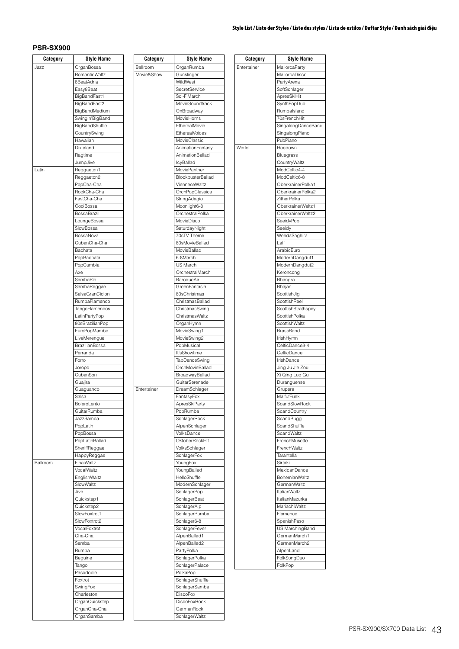## **Style List / Liste der Styles / Liste des styles / Lista de estilos / Daftar Style / Danh sách giai điệu**

| Category | <b>Style Name</b>                | Category    | <b>Style Name</b>                         |
|----------|----------------------------------|-------------|-------------------------------------------|
| Jazz     | OrganBossa                       | Ballroom    | OrganRumba                                |
|          | <b>RomanticWaltz</b>             | Movie&Show  | Gunslinger                                |
|          | 8BeatAdria                       |             | WildWest                                  |
|          | Easy8Beat                        |             | SecretService                             |
|          | BigBandFast1                     |             | Sci-FiMarch                               |
|          | BigBandFast2                     |             | MovieSoundtrack                           |
|          | BigBandMedium<br>Swingin'BigBand |             | OnBroadway<br>MovieHorns                  |
|          | BigBandShuffle                   |             | EtherealMovie                             |
|          | CountrySwing                     |             | <b>EtherealVoices</b>                     |
|          | Hawaiian                         |             | MovieClassic                              |
|          | Dixieland                        |             | AnimationFantasy                          |
|          | Ragtime                          |             | AnimationBallad                           |
|          | JumpJive                         |             | <b>IcyBallad</b>                          |
| Latin    | Reggaeton1                       |             | MoviePanther                              |
|          | Reggaeton2<br>PopCha-Cha         |             | <b>BlockbusterBallad</b><br>VienneseWaltz |
|          | RockCha-Cha                      |             | OrchPopClassics                           |
|          | FastCha-Cha                      |             | StringAdagio                              |
|          | CoolBossa                        |             | Moonlight6-8                              |
|          | BossaBrazil                      |             | OrchestralPolka                           |
|          | LoungeBossa                      |             | MovieDisco                                |
|          | SlowBossa                        |             | SaturdayNight                             |
|          | BossaNova                        |             | 70sTV Theme                               |
|          | CubanCha-Cha                     |             | 80sMovieBallad                            |
|          | Bachata                          |             | MovieBallad<br>6-8March                   |
|          | PopBachata<br>PopCumbia          |             | US March                                  |
|          | Axe                              |             | OrchestralMarch                           |
|          | SambaRio                         |             | BaroqueAir                                |
|          | SambaReggae                      |             | GreenFantasia                             |
|          | SalsaGranCiclon                  |             | 80sChristmas                              |
|          | RumbaFlamenco                    |             | ChristmasBallad                           |
|          | TangoFlamencos                   |             | ChristmasSwing                            |
|          | LatinPartyPop                    |             | ChristmasWaltz                            |
|          | 80sBrazilianPop                  |             | OrganHymn                                 |
|          | EuroPopMambo<br>LiveMerengue     |             | MovieSwing1<br>MovieSwing2                |
|          | <b>BrazilianBossa</b>            |             | PopMusical                                |
|          | Parranda                         |             | It'sShowtime                              |
|          | Forro                            |             | TapDanceSwing                             |
|          | Joropo                           |             | OrchMovieBallad                           |
|          | CubanSon                         |             | BroadwayBallad                            |
|          | Guajira                          |             | GuitarSerenade                            |
|          | Guaguanco                        | Entertainer | DreamSchlager                             |
|          | Salsa<br>BoleroLento             |             | FantasyFox<br>ApresSkiParty               |
|          | GuitarRumba                      |             | PopRumba                                  |
|          | JazzSamba                        |             | SchlagerRock                              |
|          | PopLatin                         |             | AlpenSchlager                             |
|          | PopBossa                         |             | VolksDance                                |
|          | PopLatinBallad                   |             | OktoberRockHit                            |
|          | SheriffReggae                    |             | VolksSchlager                             |
| Ballroom | HappyReggae<br>FinalWaltz        |             | SchlagerFox<br>YoungFox                   |
|          | VocalWaltz                       |             | YoungBallad                               |
|          | EnglishWaltz                     |             | HelloShuffle                              |
|          | SlowWaltz                        |             | ModernSchlager                            |
|          | Jive                             |             | SchlagerPop                               |
|          | Quickstep1                       |             | SchlagerBeat                              |
|          | Quickstep2                       |             | SchlagerAlp                               |
|          | SlowFoxtrot1                     |             | SchlagerRumba                             |
|          | SlowFoxtrot2<br>VocalFoxtrot     |             | Schlager6-8                               |
|          | Cha-Cha                          |             | SchlagerFever<br>AlpenBallad1             |
|          | Samba                            |             | AlpenBallad2                              |
|          | Rumba                            |             | PartyPolka                                |
|          | Beguine                          |             | SchlagerPolka                             |
|          | Tango                            |             | SchlagerPalace                            |
|          | Pasodoble                        |             | PolkaPop                                  |
|          | Foxtrot                          |             | SchlagerShuffle                           |
|          | SwingFox                         |             | SchlagerSamba                             |
|          | Charleston                       |             | <b>DiscoFox</b>                           |
|          | OrganQuickstep                   |             | <b>DiscoFoxRock</b><br>GermanRock         |
|          | OrganCha-Cha<br>OrganSamba       |             | SchlagerWaltz                             |
|          |                                  |             |                                           |

| Category    | Style Name                  |
|-------------|-----------------------------|
| Entertainer | MallorcaParty               |
|             | MallorcaDisco               |
|             | PartyArena                  |
|             | SoftSchlager                |
|             | ApresSkiHit                 |
|             | SynthPopDuo                 |
|             | Rumbalsland                 |
|             | 70sFrenchHit                |
|             | SingalongDanceBand          |
|             | SingalongPiano              |
|             | PubPiano                    |
| World       | Hoedown                     |
|             | Bluegrass                   |
|             | CountryWaltz                |
|             | ModCeltic4-4                |
|             | ModCeltic6-8                |
|             | OberkrainerPolka1           |
|             | OberkrainerPolka2           |
|             | ZitherPolka                 |
|             | OberkrainerWaltz1           |
|             | OberkrainerWaltz2           |
|             | SaeidyPop                   |
|             | Saeidy                      |
|             | WehdaSaghira<br>Laff        |
|             | ArabicEuro                  |
|             | ModernDangdut1              |
|             |                             |
|             | ModernDangdut2<br>Keroncong |
|             | Bhangra                     |
|             | Bhajan                      |
|             | ScottishJig                 |
|             | ScottishReel                |
|             | ScottishStrathspey          |
|             | ScottishPolka               |
|             | ScottishWaltz               |
|             | BrassBand                   |
|             | IrishHymn                   |
|             | CelticDance3-4              |
|             | CelticDance                 |
|             | IrishDance                  |
|             | Jing Ju Jie Zou             |
|             | Xi Qing Luo Gu              |
|             | Duranguense                 |
|             | Grupera                     |
|             | MalfufFunk                  |
|             | ScandSlowRock               |
|             | ScandCountry                |
|             | ScandBugg                   |
|             | ScandShuffle                |
|             | ScandWaltz                  |
|             | FrenchMusette               |
|             | FrenchWaltz                 |
|             | Tarantella                  |
|             | Sirtaki                     |
|             | MexicanDance                |
|             | BohemianWaltz               |
|             | GermanWaltz                 |
|             | <b>ItalianWaltz</b>         |
|             | ItalianMazurka              |
|             | MariachiWaltz               |
|             | Flamenco                    |
|             | SpanishPaso                 |
|             | US MarchingBand             |
|             | GermanMarch1                |
|             | GermanMarch2                |
|             | AlpenLand                   |
|             |                             |
|             | FolkSongDuo<br>FolkPop      |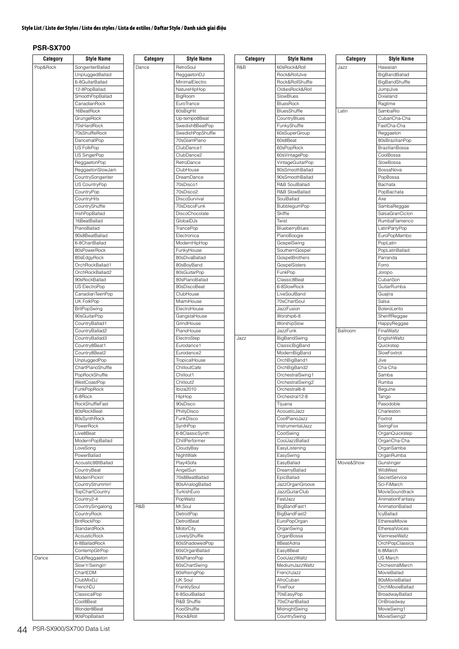## **Style List / Liste der Styles / Liste des styles / Lista de estilos / Daftar Style / Danh sách giai điệu**

| Category | <b>Style Name</b>       | Category | <b>Style Name</b> | Category | <b>Style Name</b>     | Category   | <b>Style Name</b>     |
|----------|-------------------------|----------|-------------------|----------|-----------------------|------------|-----------------------|
| Pop&Rock | <b>SongwriterBallad</b> | Dance    | RetroSoul         | R&B      | 60sRock&Roll          | Jazz       | Hawaiian              |
|          |                         |          |                   |          | Rock&RollJive         |            |                       |
|          | UnpluggedBallad         |          | ReggaetonDJ       |          |                       |            | BigBandBallad         |
|          | 6-8GuitarBallad         |          | MinimalElectro    |          | Rock&RollShuffle      |            | BigBandShuffle        |
|          | 12-8PopBallad           |          | NatureHipHop      |          | OldiesRock&Roll       |            | JumpJive              |
|          | SmoothPopBallad         |          | BigRoom           |          | SlowBlues             |            | Dixieland             |
|          | CanadianRock            |          | EuroTrance        |          | <b>BluesRock</b>      |            | Ragtime               |
|          | 16BeatRock              |          | 60sBigHit         |          | BluesShuffle          | Latin      | SambaRio              |
|          | GrungeRock              |          | Up-tempo8Beat     |          | CountryBlues          |            | CubanCha-Cha          |
|          | 70sHardRock             |          | Swedish8BeatPop   |          | FunkyShuffle          |            | FastCha-Cha           |
|          | 70sShuffleRock          |          | SwedishPopShuffle |          | 60sSuperGroup         |            | Reggaeton             |
|          |                         |          |                   |          |                       |            |                       |
|          | DancehallPop            |          | 70sGlamPiano      |          | 60s8Beat              |            | 80sBrazilianPop       |
|          | US FolkPop              |          | ClubDance1        |          | 60sPopRock            |            | <b>BrazilianBossa</b> |
|          | US SingerPop            |          | ClubDance2        |          | 60sVintagePop         |            | CoolBossa             |
|          | ReggaetonPop            |          | RetroDance        |          | VintageGuitarPop      |            | SlowBossa             |
|          | ReggaetonSlowJam        |          | ClubHouse         |          | 80sSmoothBallad       |            | BossaNova             |
|          | CountrySongwriter       |          | DreamDance        |          | 90sSmoothBallad       |            | PopBossa              |
|          | US CountryPop           |          | 70sDisco1         |          | R&B SoulBallad        |            | Bachata               |
|          | CountryPop              |          | 70sDisco2         |          | R&B SlowBallad        |            | PopBachata            |
|          | CountryHits             |          | DiscoSurvival     |          | SoulBallad            |            | Axe                   |
|          |                         |          | 70sDiscoFunk      |          |                       |            |                       |
|          | CountryShuffle          |          |                   |          | BubblegumPop          |            | SambaReggae           |
|          | <b>IrishPopBallad</b>   |          | DiscoChocolate    |          | Skiffle               |            | SalsaGranCiclon       |
|          | 16BeatBallad            |          | GlobalDJs         |          | Twist                 |            | RumbaFlamenco         |
|          | PianoBallad             |          | TrancePop         |          | BlueberryBlues        |            | LatinPartyPop         |
|          | 90s8BeatBallad          |          | Electronica       |          | PianoBoogie           |            | EuroPopMambo          |
|          | 6-8ChartBallad          |          | ModernHipHop      |          | GospelSwing           |            | PopLatin              |
|          | 80sPowerRock            |          | FunkyHouse        |          | SouthernGospel        |            | PopLatinBallad        |
|          | 80sEdgyRock             |          | 80sDivaBallad     |          | GospelBrothers        |            | Parranda              |
|          | OrchRockBallad1         |          | 80sBoyBand        |          | GospelSisters         |            | Forro                 |
|          | OrchRockBallad2         |          | 80sGuitarPop      |          | FunkPop               |            | Joropo                |
|          |                         |          |                   |          |                       |            |                       |
|          | 90sRockBallad           |          | 80sPianoBallad    |          | Classic8Beat          |            | CubanSon              |
|          | US ElectroPop           |          | 80sDiscoBeat      |          | 6-8SlowRock           |            | GuitarRumba           |
|          | CanadianTeenPop         |          | ClubHouse         |          | LiveSoulBand          |            | Guajira               |
|          | UK FolkPop              |          | MiamiHouse        |          | 70sChartSoul          |            | Salsa                 |
|          | <b>BritPopSwing</b>     |          | ElectroHouse      |          | JazzFusion            |            | BoleroLento           |
|          | 90sGuitarPop            |          | GangstaHouse      |          | Worship6-8            |            | SheriffReggae         |
|          | CountryBallad1          |          | GrindHouse        |          | WorshipSlow           |            | HappyReggae           |
|          | CountryBallad2          |          | PianoHouse        |          | JazzFunk              | Ballroom   | FinalWaltz            |
|          | CountryBallad3          |          | ElectroStep       | Jazz     | BigBandSwing          |            | EnglishWaltz          |
|          | Country8Beat1           |          | Eurodance1        |          | ClassicBigBand        |            | Quickstep             |
|          | Country8Beat2           |          | Eurodance2        |          | ModernBigBand         |            | SlowFoxtrot           |
|          |                         |          |                   |          |                       |            |                       |
|          | UnpluggedPop            |          | TropicalHouse     |          | OrchBigBand1          |            | Jive                  |
|          | ChartPianoShuffle       |          | ChilloutCafe      |          | OrchBigBand2          |            | Cha-Cha               |
|          | PopRockShuffle          |          | Chillout1         |          | OrchestralSwing1      |            | Samba                 |
|          | WestCoastPop            |          | Chillout2         |          | OrchestralSwing2      |            | Rumba                 |
|          | <b>FunkPopRock</b>      |          | Ibiza2010         |          | Orchestral6-8         |            | Bequine               |
|          | 6-8Rock                 |          | HipHop            |          | Orchestral12-8        |            | Tango                 |
|          | RockShuffleFast         |          | 90sDisco          |          | Tijuana               |            | Pasodoble             |
|          | 80sRockBeat             |          | PhillyDisco       |          | AcousticJazz          |            | Charleston            |
|          | 80sSynthRock            |          | FunkDisco         |          | CoolPianoJazz         |            | Foxtrot               |
|          | PowerRock               |          | SynthPop          |          | InstrumentalJazz      |            | SwingFox              |
|          | Live8Beat               |          | 6-8ClassicSynth   |          | CoolSwing             |            |                       |
|          |                         |          |                   |          |                       |            | OrganQuickstep        |
|          | ModernPopBallad         |          | ChillPerformer    |          | CoolJazzBallad        |            | OrganCha-Cha          |
|          | LoveSong                |          | CloudyBay         |          | EasyListening         |            | OrganSamba            |
|          | PowerBallad             |          | NightWalk         |          | EasySwing             |            | OrganRumba            |
|          | Acoustic8BtBallad       |          | Play4Sofa         |          | EasyBallad            | Movie&Show | Gunslinger            |
|          | CountryBeat             |          | AngelSun          |          | DreamyBallad          |            | WildWest              |
|          | ModernPickin'           |          | 70s8BeatBallad    |          | EpicBallad            |            | SecretService         |
|          | CountryStrummin'        |          | 80sAnalogBallad   |          | JazzOrganGroove       |            | Sci-FiMarch           |
|          | <b>TopChartCountry</b>  |          | TurkishEuro       |          | <b>JazzGuitarClub</b> |            | MovieSoundtrack       |
|          | Country2-4              |          | PopWaltz          |          | FastJazz              |            | AnimationFantasy      |
|          |                         | R&B      | Mr.Soul           |          |                       |            | AnimationBallad       |
|          | CountrySingalong        |          |                   |          | BigBandFast1          |            |                       |
|          | CountryRock             |          | DetroitPop        |          | BigBandFast2          |            | <b>IcyBallad</b>      |
|          | <b>BritRockPop</b>      |          | DetroitBeat       |          | EuroPopOrgan          |            | EtherealMovie         |
|          | StandardRock            |          | MotorCity         |          | OrganSwing            |            | <b>EtherealVoices</b> |
|          | <b>AcousticRock</b>     |          | LovelyShuffle     |          | OrganBossa            |            | VienneseWaltz         |
|          | 6-8BalladRock           |          | 60sShadowedPop    |          | 8BeatAdria            |            | OrchPopClassics       |
|          | ContempGtrPop           |          | 60sOrganBallad    |          | Easy8Beat             |            | 6-8March              |
| Dance    | ClubReggaeton           |          | 60sPianoPop       |          | CoolJazzWaltz         |            | US March              |
|          | Slow'n Swingin'         |          | 60sChartSwing     |          | MediumJazzWaltz       |            | OrchestralMarch       |
|          | ChartEDM                |          | 60sRisingPop      |          | FrenchJazz            |            | MovieBallad           |
|          | ClubMixDJ               |          | UK Soul           |          | AfroCuban             |            | 80sMovieBallad        |
|          |                         |          |                   |          |                       |            |                       |
|          | FrenchDJ                |          | FranklySoul       |          | FiveFour              |            | OrchMovieBallad       |
|          | ClassicalPop            |          | 6-8SoulBallad     |          | 70sEasyPop            |            | BroadwayBallad        |
|          | Cool8Beat               |          | R&B Shuffle       |          | 70sChartBallad        |            | OnBroadway            |
|          | Wonder8Beat             |          | KoolShuffle       |          | MidnightSwing         |            | MovieSwing1           |
|          | 90sPopBallad            |          | Rock&Roll         |          | CountrySwing          |            | MovieSwing2           |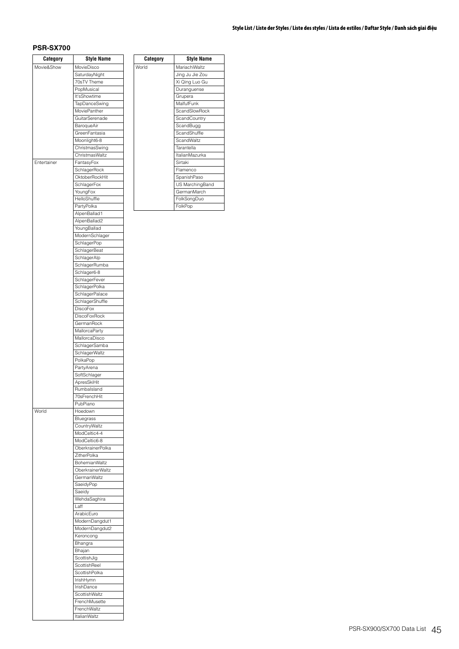## **PSR-SX700**

| Category    | <b>Style Name</b>           |
|-------------|-----------------------------|
| Movie&Show  | MovieDisco                  |
|             | SaturdayNight               |
|             | 70sTV Theme                 |
|             | PopMusical                  |
|             | It'sShowtime                |
|             | TapDanceSwing               |
|             | MoviePanther                |
|             | GuitarSerenade              |
|             | BaroqueAir                  |
|             | GreenFantasia               |
|             | Moonlight6-8                |
|             | ChristmasSwing              |
|             | ChristmasWaltz              |
| Entertainer | FantasyFox                  |
|             | SchlagerRock                |
|             | OktoberRockHit              |
|             | SchlagerFox                 |
|             | YoungFox                    |
|             | HelloShuffle                |
|             | PartyPolka                  |
|             | AlpenBallad1                |
|             | AlpenBallad2                |
|             | YoungBallad                 |
|             | ModernSchlager              |
|             | SchlagerPop                 |
|             | <b>SchlagerBeat</b>         |
|             | SchlagerAlp                 |
|             | SchlagerRumba               |
|             | Schlager6-8                 |
|             | SchlagerFever               |
|             | SchlagerPolka               |
|             | SchlagerPalace              |
|             | SchlagerShuffle             |
|             | <b>DiscoFox</b>             |
|             | <b>DiscoFoxRock</b>         |
|             | GermanRock                  |
|             | MallorcaParty               |
|             | MallorcaDisco               |
|             | SchlagerSamba               |
|             | SchlagerWaltz               |
|             | PolkaPop                    |
|             | PartyArena                  |
|             | SoftSchlager<br>ApresSkiHit |
|             | Rumbalsland                 |
|             | 70sFrenchHit                |
|             | PubPiano                    |
| World       | Hoedown                     |
|             | Bluegrass                   |
|             | CountryWaltz                |
|             | ModCeltic4-4                |
|             | ModCeltic6-8                |
|             | OberkrainerPolka            |
|             | ZitherPolka                 |
|             | <b>BohemianWaltz</b>        |
|             | OberkrainerWaltz            |
|             | GermanWaltz                 |
|             | SaeidyPop                   |
|             | Saeidy                      |
|             | WehdaSaghira                |
|             | Laff                        |
|             | ArabicEuro                  |
|             | ModernDangdut1              |
|             | ModernDangdut2              |
|             | Keroncong                   |
|             | Bhangra                     |
|             | Bhajan                      |
|             | ScottishJig                 |
|             | ScottishReel                |
|             | ScottishPolka               |
|             | IrishHymn                   |
|             | IrishDance                  |
|             | ScottishWaltz               |
|             | FrenchMusette               |
|             | FrenchWaltz                 |
|             | <b>ItalianWaltz</b>         |
|             |                             |

| Category | <b>Style Name</b> |
|----------|-------------------|
| rld      | MariachiWaltz     |
|          | Jing Ju Jie Zou   |
|          | Xi Qing Luo Gu    |
|          | Duranguense       |
|          | Grupera           |
|          | MalfufFunk        |
|          | ScandSlowRock     |
|          | ScandCountry      |
|          | ScandBugg         |
|          | ScandShuffle      |
|          | ScandWaltz        |
|          | Tarantella        |
|          | ItalianMazurka    |
|          | Sirtaki           |
|          | Flamenco          |
|          | SpanishPaso       |
|          | US MarchingBand   |
|          | GermanMarch       |
|          | FolkSongDuo       |
|          | FolkPop           |

World

## **Style List / Liste der Styles / Liste des styles / Lista de estilos / Daftar Style / Danh sách giai điệu**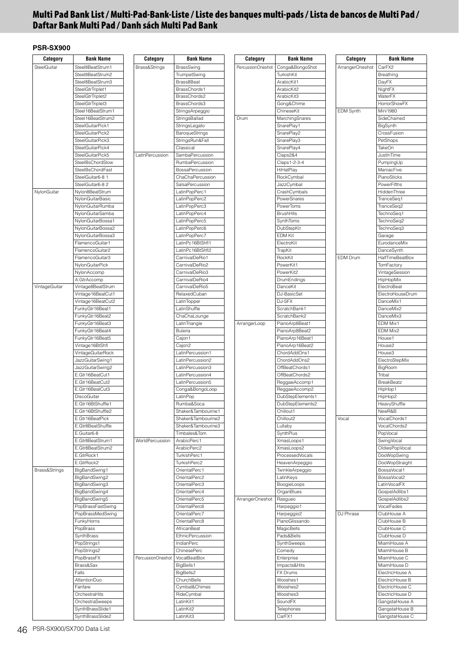# **Multi Pad Bank List / Multi-Pad-Bank-Liste / Liste des banques multi-pads / Lista de bancos de Multi Pad / Daftar Bank Multi Pad / Danh sách Multi Pad Bank**

| Category      | <b>Bank Name</b>                      | Category          | <b>Bank Name</b>                       | Category          | <b>Bank Name</b>                | Category         | <b>Bank Name</b>        |
|---------------|---------------------------------------|-------------------|----------------------------------------|-------------------|---------------------------------|------------------|-------------------------|
| SteelGuitar   | Steel8BeatStrum1                      | Brass&Strings     | <b>BrassSwing</b>                      | PercussionOneshot | Conga&BongoShot                 | ArrangerOneshot  | CarFX2                  |
|               | Steel8BeatStrum2                      |                   | TrumpetSwing                           |                   | TurkishKit                      |                  | Breathing               |
|               | Steel8BeatStrum3                      |                   | Brass8Beat                             |                   | ArabicKit1                      |                  | DayFX                   |
|               | SteelGtrTriplet1                      |                   | BrassChords1                           |                   | ArabicKit2                      |                  | NightFX                 |
|               | SteelGtrTriplet2                      |                   | BrassChords2                           |                   | ArabicKit3                      |                  | WaterFX                 |
|               | SteelGtrTriplet3                      |                   | BrassChords3                           |                   | Gong&Chime                      |                  | <b>HorrorShowFX</b>     |
|               | Steel16BeatStrum1                     |                   | StringsArpeggio                        |                   | ChineseKit                      | <b>EDM Synth</b> | <b>Mini1980</b>         |
|               | Steel16BeatStrum2                     |                   | StringsBallad                          | Drum              | MarchingSnares                  |                  | SideChained             |
|               | SteelGuitarPick1                      |                   | StringsLegato                          |                   | SnarePlay1                      |                  | BigSynth                |
|               | SteelGuitarPick2                      |                   | BaroqueStrings                         |                   | SnarePlay2                      |                  | CrossFusion             |
|               | SteelGuitarPick3                      |                   | StringsRun&Fall                        |                   | SnarePlay3                      |                  | PetShops                |
|               | SteelGuitarPick4                      |                   | Classical                              |                   | SnarePlay4                      |                  | <b>TakeOn</b>           |
|               | SteelGuitarPick5                      | LatinPercussion   | SambaPercussion                        |                   | Claps2&4                        |                  | JustInTime              |
|               |                                       |                   | RumbaPercussion                        |                   | Claps1-2-3-4                    |                  |                         |
|               | SteelBsChordSlow<br>SteelBsChordFast  |                   | BossaPercussion                        |                   | <b>HiHatPlay</b>                |                  | PumpingUp<br>ManiacFive |
|               | SteelGuitar6-8 1                      |                   | ChaChaPercussion                       |                   | RockCymbal                      |                  | PianoSticks             |
|               |                                       |                   |                                        |                   |                                 |                  |                         |
|               | SteelGuitar6-8 2                      |                   | SalsaPercussion                        |                   | JazzCymbal                      |                  | PowerFifths             |
| NylonGuitar   | Nylon8BeatStrum                       |                   | LatinPopPerc1                          |                   | CrashCymbals                    |                  | HiddenThree             |
|               | NylonGuitarBasic                      |                   | LatinPopPerc2                          |                   | PowerSnares                     |                  | TranceSeq1              |
|               | NylonGuitarRumba                      |                   | LatinPopPerc3                          |                   | PowerToms                       |                  | TranceSeq2              |
|               | NylonGuitarSamba                      |                   | LatinPopPerc4                          |                   | <b>BrushHits</b>                |                  | TechnoSeq1              |
|               | NylonGuitarBossa1                     |                   | LatinPopPerc5                          |                   | SynthToms                       |                  | TechnoSeq2              |
|               | NylonGuitarBossa2                     |                   | LatinPopPerc6                          |                   | DubStepKit                      |                  | TechnoSeq3              |
|               | NylonGuitarBossa3                     |                   | LatinPopPerc7                          |                   | <b>EDM Kit</b>                  |                  | Garage                  |
|               | FlamencoGuitar1                       |                   | LatinPc16BtShfl1                       |                   | ElectroKit                      |                  | EurodanceMix            |
|               | FlamencoGuitar2                       |                   | LatinPc16BtShfl2                       |                   | TrapKit                         |                  | DanceSynth              |
|               | FlamencoGuitar3                       |                   | CarnivalDeRio1                         |                   | RockKit                         | <b>EDM Drum</b>  | HalfTimeBeatBox         |
|               | NylonGuitarPick                       |                   | CarnivalDeRio2                         |                   | PowerKit1                       |                  | TomFactory              |
|               | NylonAccomp                           |                   | CarnivalDeRio3                         |                   | PowerKit2                       |                  | VintageSession          |
|               | A.GtrAccomp                           |                   | CarnivalDeRio4                         |                   | DrumEndings                     |                  | HipHopMix               |
| VintageGuitar | Vintage8BeatStrum                     |                   | CarnivalDeRio5                         |                   | DanceKit                        |                  | ElectroBeat             |
|               | Vintage16BeatCut1                     |                   | RelaxedCuban                           |                   | DJ-BasicSet                     |                  | ElectroHouseDrum        |
|               | Vintage16BeatCut2                     |                   | LatinTopper                            |                   | DJ-SFX                          |                  | DanceMix1               |
|               | FunkyGtr16Beat1                       |                   | LatinShuffle                           |                   | ScratchBank1                    |                  | DanceMix2               |
|               | FunkyGtr16Beat2                       |                   | ChaChaLounge                           |                   | ScratchBank2                    |                  | DanceMix3               |
|               | FunkyGtr16Beat3                       |                   | LatinTriangle                          | ArrangerLoop      | PianoArp8Beat1                  |                  | EDM Mix1                |
|               | FunkyGtr16Beat4                       |                   | <b>Buleria</b>                         |                   | PianoArp8Beat2                  |                  | EDM Mix2                |
|               | FunkyGtr16Beat5                       |                   | Cajon1                                 |                   | PianoArp16Beat1                 |                  | House1<br>House2        |
|               | Vintage16BtShfl                       |                   | Cajon <sub>2</sub><br>LatinPercussion1 |                   | PianoArp16Beat2<br>ChordAddOns1 |                  | House <sub>3</sub>      |
|               | VintageGuitarRock<br>JazzGuitarSwing1 |                   | LatinPercussion2                       |                   | ChordAddOns2                    |                  | ElectroStepMix          |
|               | JazzGuitarSwing2                      |                   | LatinPercussion3                       |                   | OffBeatChords1                  |                  | BigRoom                 |
|               | E.Gtr16BeatCut1                       |                   | LatinPercussion4                       |                   | OffBeatChords2                  |                  | Tribal                  |
|               | E.Gtr16BeatCut2                       |                   | LatinPercussion5                       |                   | ReggaeAccomp1                   |                  | <b>BreakBeatz</b>       |
|               | E.Gtr16BeatCut3                       |                   | Conga&BongoLoop                        |                   | ReggaeAccomp2                   |                  | HipHop1                 |
|               | DiscoGuitar                           |                   | LatinPop                               |                   | DubStepElements1                |                  | HipHop2                 |
|               | E.Gtr16BtShuffle1                     |                   | Rumba&Soca                             |                   | DubStepElements2                |                  | HeavyShuffle            |
|               | E.Gtr16BtShuffle2                     |                   | Shaker&Tambourine1                     |                   | Chillout1                       |                  | NewR&B                  |
|               | E.Gtr16BeatPick                       |                   | Shaker&Tambourine2                     |                   | Chillout <sub>2</sub>           | Vocal            | VocalChords1            |
|               | E.Gtr8BeatShuffle                     |                   | Shaker&Tambourine3                     |                   | Lullaby                         |                  | VocalChords2            |
|               | E.Guitar6-8                           |                   | Timbales&Tom                           |                   | SynthPlus                       |                  | PopVocal                |
|               | E.Gtr8BeatStrum1                      | WorldPercussion   | ArabicPerc1                            |                   | XmasLoops1                      |                  | <b>SwingVocal</b>       |
|               | E.Gtr8BeatStrum2                      |                   | ArabicPerc2                            |                   | XmasLoops2                      |                  | OldiesPopVocal          |
|               | E.GtrRock1                            |                   | TurkishPerc1                           |                   | ProcessedVocals                 |                  | DooWopSwing             |
|               | E.GtrRock2                            |                   | TurkishPerc2                           |                   | HeavenArpeggio                  |                  | DooWopStraight          |
| Brass&Strings | BigBandSwing1                         |                   | OrientalPerc1                          |                   | TwinkleArpeggio                 |                  | BossaVocal1             |
|               | BigBandSwing2                         |                   | OrientalPerc2                          |                   | LatinKeys                       |                  | BossaVocal2             |
|               | BigBandSwing3                         |                   | OrientalPerc3                          |                   | BoogieLoops                     |                  | LatinVocalFX            |
|               | BigBandSwing4                         |                   | OrientalPerc4                          |                   | OrganBlues                      |                  | GospelAdlibs1           |
|               | BigBandSwing5                         |                   | OrientalPerc5                          | ArrangerOneshot   | Rasqueo                         |                  | GospelAdlibs2           |
|               | PopBrassFastSwing                     |                   | OrientalPerc6                          |                   | Harpeggio1                      |                  | VocalFades              |
|               | PopBrassMedSwing                      |                   | OrientalPerc7                          |                   | Harpeggio2                      | DJ Phrase        | ClubHouse A             |
|               | FunkyHorns                            |                   | OrientalPerc8                          |                   | PianoGlissando                  |                  | ClubHouse B             |
|               | PopBrass                              |                   | AfricanBeat                            |                   | MagicBells                      |                  | ClubHouse C             |
|               | SynthBrass                            |                   | EthnicPercussion                       |                   | Pads&Bells                      |                  | ClubHouse D             |
|               | PopStrings1                           |                   | <b>IndianPerc</b>                      |                   | SynthSweeps                     |                  | MiamiHouse A            |
|               | PopStrings2                           |                   | ChinesePerc                            |                   | Comedy                          |                  | MiamiHouse B            |
|               | PopBrassFX                            | PercussionOneshot | VocalBeatBox                           |                   | Enterprise                      |                  | MiamiHouse C            |
|               | Brass&Sax                             |                   | BigBells1                              |                   | Impacts&Hits                    |                  | MiamiHouse D            |
|               | Falls                                 |                   | BigBells2                              |                   | FX Drums                        |                  | ElectricHouse A         |
|               | AttentionDuo                          |                   | ChurchBells                            |                   | Wooshes1                        |                  | ElectricHouse B         |
|               | Fanfare                               |                   | Cymbal&Chimes                          |                   | Wooshes2                        |                  | ElectricHouse C         |
|               | OrchestraHits                         |                   | RideCymbal                             |                   | Wooshes3                        |                  | ElectricHouse D         |
|               | OrchestraSweeps                       |                   | LatinKit1                              |                   | SoundFX                         |                  | GangstaHouse A          |
|               | SynthBrassSlide1                      |                   | LatinKit2                              |                   | Telephones                      |                  | GangstaHouse B          |
|               | SynthBrassSlide2                      |                   | LatinKit3                              |                   | CarFX1                          |                  | GangstaHouse C          |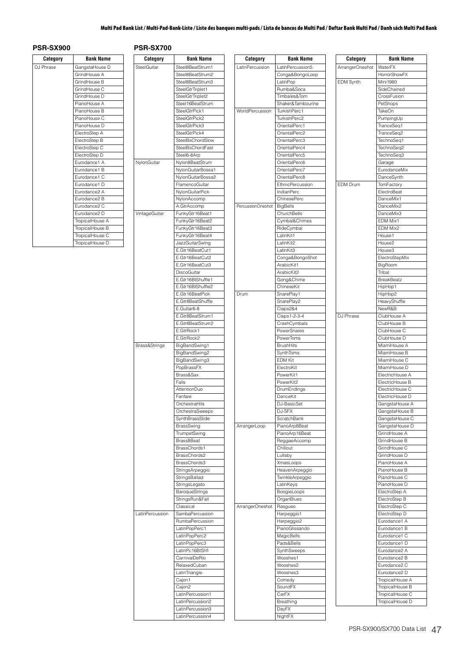## **Multi Pad Bank List / Multi-Pad-Bank-Liste / Liste des banques multi-pads / Lista de bancos de Multi Pad / Daftar Bank Multi Pad / Danh sách Multi Pad Bank**

# **PSR-SX900 PSR-SX700**

| Category  | <b>Bank Name</b>         |
|-----------|--------------------------|
| DJ Phrase | GangstaHouse D           |
|           | GrindHouse A             |
|           | GrindHouse B             |
|           | GrindHouse C             |
|           | GrindHouse D             |
|           | PianoHouse A             |
|           | PianoHouse B             |
|           | PianoHouse C             |
|           | PianoHouse D             |
|           | ElectroStep A            |
|           | ElectroStep B            |
|           | ElectroStep C            |
|           | ElectroStep D            |
|           | Eurodance1 A             |
|           | Eurodance1 B             |
|           | Eurodance1 C             |
|           | Eurodance1 D             |
|           | Eurodance <sub>2</sub> A |
|           | Eurodance <sub>2</sub> B |
|           | Eurodance <sub>2</sub> C |
|           | Eurodance <sub>2</sub> D |
|           | TropicalHouse A          |
|           | TropicalHouse B          |
|           | TropicalHouse C          |
|           | TropicalHouse D          |

| Category          | <b>Bank Name</b>                         | Category        | <b>Bank Name</b>                         |  | Category          | <b>Bank Name</b>              |
|-------------------|------------------------------------------|-----------------|------------------------------------------|--|-------------------|-------------------------------|
| <sup>h</sup> rase | GangstaHouse D                           | SteelGuitar     | Steel8BeatStrum1                         |  | LatinPercussion   | LatinPercussion5              |
|                   | GrindHouse A                             |                 | Steel8BeatStrum2                         |  |                   | Conga&BongoLo                 |
|                   | GrindHouse B                             |                 | Steel8BeatStrum3                         |  |                   | LatinPop                      |
|                   | GrindHouse C                             |                 | SteelGtrTriplet1                         |  |                   | Rumba&Soca                    |
|                   | GrindHouse D                             |                 | SteelGtrTriplet2                         |  |                   | Timbales&Tom                  |
|                   | PianoHouse A                             |                 | Steel16BeatStrum                         |  |                   | Shaker&Tambour                |
|                   | PianoHouse B                             |                 | SteelGtrPick1                            |  | WorldPercussion   | TurkishPerc1                  |
|                   | PianoHouse C<br>PianoHouse D             |                 | SteelGtrPick2                            |  |                   | TurkishPerc2<br>OrientalPerc1 |
|                   | ElectroStep A                            |                 | SteelGtrPick3<br>SteelGtrPick4           |  |                   | OrientalPerc2                 |
|                   | ElectroStep B                            |                 | SteelBsChordSlow                         |  |                   | OrientalPerc3                 |
|                   | ElectroStep C                            |                 | <b>SteelBsChordFast</b>                  |  |                   | OrientalPerc4                 |
|                   | ElectroStep D                            |                 | Steel6-8Arp                              |  |                   | OrientalPerc5                 |
|                   | Eurodance1 A                             | NylonGuitar     | Nylon8BeatStrum                          |  |                   | OrientalPerc6                 |
|                   | Eurodance1 B                             |                 | NylonGuitarBossa1                        |  |                   | OrientalPerc7                 |
|                   | Eurodance1 C                             |                 | NylonGuitarBossa2                        |  |                   | OrientalPerc8                 |
|                   | Eurodance1 D                             |                 | FlamencoGuitar                           |  |                   | <b>EthnicPercussior</b>       |
|                   | Eurodance <sub>2</sub> A<br>Eurodance2 B |                 | NylonGuitarPick                          |  |                   | IndianPerc<br>ChinesePerc     |
|                   | Eurodance2 C                             |                 | NylonAccomp<br>A.GtrAccomp               |  | PercussionOneshot | <b>BigBells</b>               |
|                   | Eurodance <sub>2</sub> D                 | VintageGuitar   | FunkyGtr16Beat1                          |  |                   | ChurchBells                   |
|                   | TropicalHouse A                          |                 | FunkyGtr16Beat2                          |  |                   | Cymbal&Chimes                 |
|                   | TropicalHouse B                          |                 | FunkyGtr16Beat3                          |  |                   | RideCymbal                    |
|                   | TropicalHouse C                          |                 | FunkyGtr16Beat4                          |  |                   | LatinKit1                     |
|                   | TropicalHouse D                          |                 | JazzGuitarSwing                          |  |                   | LatinKit2                     |
|                   |                                          |                 | E.Gtr16BeatCut1                          |  |                   | LatinKit3                     |
|                   |                                          |                 | E.Gtr16BeatCut2                          |  |                   | Conga&BongoSh                 |
|                   |                                          |                 | E.Gtr16BeatCut3                          |  |                   | ArabicKit1                    |
|                   |                                          |                 | DiscoGuitar<br>E.Gtr16BtShuffle1         |  |                   | ArabicKit2<br>Gong&Chime      |
|                   |                                          |                 | E.Gtr16BtShuffle2                        |  |                   | ChineseKit                    |
|                   |                                          |                 | E.Gtr16BeatPick                          |  | Drum              | SnarePlay1                    |
|                   |                                          |                 | E.Gtr8BeatShuffle                        |  |                   | SnarePlay2                    |
|                   |                                          |                 | E.Guitar6-8                              |  |                   | Claps2&4                      |
|                   |                                          |                 | E.Gtr8BeatStrum1                         |  |                   | Claps1-2-3-4                  |
|                   |                                          |                 | E.Gtr8BeatStrum2                         |  |                   | CrashCymbals                  |
|                   |                                          |                 | E.GtrRock1                               |  |                   | PowerSnares                   |
|                   |                                          |                 | E.GtrRock2                               |  |                   | PowerToms<br><b>BrushHits</b> |
|                   |                                          | Brass&Strings   | BigBandSwing1<br>BigBandSwing2           |  |                   | SynthToms                     |
|                   |                                          |                 | BigBandSwing3                            |  |                   | EDM Kit                       |
|                   |                                          |                 | PopBrassFX                               |  |                   | ElectroKit                    |
|                   |                                          |                 | Brass&Sax                                |  |                   | PowerKit1                     |
|                   |                                          |                 | Falls                                    |  |                   | PowerKit2                     |
|                   |                                          |                 | AttentionDuo                             |  |                   | DrumEndings                   |
|                   |                                          |                 | Fanfare                                  |  | DanceKit          |                               |
|                   |                                          |                 | OrchestraHits                            |  |                   | DJ-BasicSet                   |
|                   |                                          |                 | OrchestraSweeps                          |  |                   | DJ-SFX                        |
|                   |                                          |                 | SynthBrassSlide<br>BrassSwing            |  | ArrangerLoop      | ScratchBank<br>PianoArp8Beat  |
|                   |                                          |                 | TrumpetSwing                             |  |                   | PianoArp16Beat                |
|                   |                                          |                 | Brass8Beat                               |  |                   | ReggaeAccomp                  |
|                   |                                          |                 | BrassChords1                             |  |                   | Chillout                      |
|                   |                                          |                 | BrassChords2                             |  |                   | Lullaby                       |
|                   |                                          |                 | BrassChords3                             |  |                   | XmasLoops                     |
|                   |                                          |                 | StringsArpeggio                          |  |                   | HeavenArpeggio                |
|                   |                                          |                 | StringsBallad                            |  |                   | TwinkleArpeggio               |
|                   |                                          |                 | StringsLegato                            |  |                   | LatinKeys                     |
|                   |                                          |                 | <b>BaroqueStrings</b><br>StringsRun&Fall |  |                   | BoogieLoops<br>OrganBlues     |
|                   |                                          |                 | Classical                                |  | ArrangerOneshot   | Rasgueo                       |
|                   |                                          | LatinPercussion | SambaPercussion                          |  |                   | Harpeggio1                    |
|                   |                                          |                 | RumbaPercussion                          |  |                   | Harpeggio2                    |
|                   |                                          |                 | LatinPopPerc1                            |  |                   | PianoGlissando                |
|                   |                                          |                 | LatinPopPerc2                            |  |                   | MagicBells                    |
|                   |                                          |                 | LatinPopPerc3                            |  |                   | Pads&Bells                    |
|                   |                                          |                 | LatinPc16BtShfl                          |  |                   | SynthSweeps                   |
|                   |                                          |                 | CarnivalDeRio                            |  |                   | Wooshes1                      |
|                   |                                          |                 | RelaxedCuban                             |  |                   | Wooshes2                      |
|                   |                                          |                 | LatinTriangle                            |  |                   | Wooshes3                      |
|                   |                                          |                 | Cajon1<br>Cajon2                         |  |                   | Comedy<br>SoundFX             |
|                   |                                          |                 | LatinPercussion1                         |  |                   | CarFX                         |
|                   |                                          |                 | LatinPercussion2                         |  |                   | Breathing                     |
|                   |                                          |                 | LatinPercussion3                         |  |                   | DayFX                         |
|                   |                                          |                 | LatinPercussion4                         |  |                   | NightFX                       |

| Category            | Bank Name                    | Category         | Bank Name                      |
|---------------------|------------------------------|------------------|--------------------------------|
| Percussion          | LatinPercussion5             | ArrangerOneshot  | WaterFX                        |
|                     | Conga&BongoLoop              |                  | <b>HorrorShowFX</b>            |
|                     | LatinPop                     | <b>EDM Synth</b> | Mini1980                       |
|                     | Rumba&Soca                   |                  | SideChained                    |
|                     | Timbales&Tom                 |                  | CrossFusion                    |
|                     | Shaker&Tambourine            |                  | PetShops                       |
| <b>IdPercussion</b> | TurkishPerc1                 |                  | TakeOn                         |
|                     | TurkishPerc2                 |                  | PumpingUp                      |
|                     | OrientalPerc1                |                  | TranceSeq1                     |
|                     | OrientalPerc2                |                  | TranceSeq2                     |
|                     | OrientalPerc3                |                  | TechnoSeq1                     |
|                     | OrientalPerc4                |                  | TechnoSeq2                     |
|                     | OrientalPerc5                |                  | TechnoSeq3                     |
|                     | OrientalPerc6                |                  | Garage                         |
|                     | OrientalPerc7                |                  | EurodanceMix                   |
|                     | OrientalPerc8                |                  | DanceSynth                     |
|                     | EthnicPercussion             | <b>EDM Drum</b>  | TomFactory                     |
|                     | <b>IndianPerc</b>            |                  | ElectroBeat                    |
|                     | ChinesePerc                  |                  | DanceMix1                      |
| ussionOneshot       | <b>BigBells</b>              |                  | DanceMix2<br>DanceMix3         |
|                     | ChurchBells                  |                  | EDM Mix1                       |
|                     | Cymbal&Chimes                |                  | EDM Mix2                       |
|                     | RideCymbal                   |                  |                                |
|                     | LatinKit1<br>LatinKit2       |                  | House1<br>House2               |
|                     | LatinKit3                    |                  | House3                         |
|                     | Conga&BongoShot              |                  | ElectroStepMix                 |
|                     | ArabicKit1                   |                  | BigRoom                        |
|                     | ArabicKit2                   |                  | Tribal                         |
|                     | Gong&Chime                   |                  | <b>BreakBeatz</b>              |
|                     | ChineseKit                   |                  | HipHop1                        |
| η                   | SnarePlay1                   |                  | HipHop2                        |
|                     | SnarePlay2                   |                  | HeavyShuffle                   |
|                     | Claps2&4                     |                  | NewR&B                         |
|                     | Claps1-2-3-4                 | DJ Phrase        | ClubHouse A                    |
|                     | CrashCymbals                 |                  | ClubHouse B                    |
|                     | PowerSnares                  |                  | ClubHouse C                    |
|                     | PowerToms                    |                  | ClubHouse D                    |
|                     | <b>BrushHits</b>             |                  | MiamiHouse A                   |
|                     | SynthToms                    |                  | MiamiHouse B                   |
|                     | <b>EDM Kit</b>               |                  | MiamiHouse C                   |
|                     | ElectroKit                   |                  | MiamiHouse D                   |
|                     | PowerKit1                    |                  | ElectricHouse A                |
|                     | PowerKit2                    |                  | ElectricHouse B                |
|                     | DrumEndings                  |                  | ElectricHouse C                |
|                     | DanceKit                     |                  | ElectricHouse D                |
|                     | DJ-BasicSet                  |                  | GangstaHouse A                 |
|                     | DJ-SFX                       |                  | GangstaHouse B                 |
|                     | ScratchBank                  |                  | GangstaHouse C                 |
| ngerLoop            | PianoArp8Beat                |                  | GangstaHouse D                 |
|                     | PianoArp16Beat               |                  | GrindHouse A                   |
|                     | ReggaeAccomp                 |                  | GrindHouse B                   |
|                     | Chillout                     |                  | GrindHouse C                   |
|                     | Lullaby                      |                  | GrindHouse D                   |
|                     | XmasLoops                    |                  | PianoHouse A                   |
|                     | HeavenArpeggio               |                  | PianoHouse B                   |
|                     | TwinkleArpeggio              |                  | PianoHouse C                   |
|                     | LatinKeys                    |                  | PianoHouse D                   |
|                     | BoogieLoops                  |                  | ElectroStep A                  |
|                     | OrganBlues                   |                  | ElectroStep B                  |
| ngerOneshot         | Rasgueo                      |                  | ElectroStep C<br>ElectroStep D |
|                     | Harpeggio1<br>Harpeggio2     |                  | Eurodance1 A                   |
|                     |                              |                  | Eurodance1 B                   |
|                     | PianoGlissando<br>MagicBells |                  | Eurodance1 C                   |
|                     | Pads&Bells                   |                  | Eurodance1 D                   |
|                     | SynthSweeps                  |                  | Eurodance2 A                   |
|                     | Wooshes1                     |                  | Eurodance2 B                   |
|                     | Wooshes2                     |                  | Eurodance2 C                   |
|                     | Wooshes3                     |                  | Eurodance2 D                   |
|                     | Comedy                       |                  | TropicalHouse A                |
|                     | SoundFX                      |                  | TropicalHouse B                |
|                     | CarFX                        |                  | TropicalHouse C                |
|                     | Breathing                    |                  | TropicalHouse D                |
|                     | DayFX                        |                  |                                |

| ArrangerOneshot  | WaterFX                            |
|------------------|------------------------------------|
|                  | HorrorShowFX                       |
| <b>EDM Synth</b> | Mini 1980                          |
|                  | SideChained                        |
|                  | CrossFusion                        |
|                  |                                    |
|                  | PetShops                           |
|                  | <b>TakeOn</b>                      |
|                  | PumpingUp                          |
|                  | TranceSeq1                         |
|                  | TranceSeq2                         |
|                  |                                    |
|                  | TechnoSeq1                         |
|                  | TechnoSeq2                         |
|                  | TechnoSeq3                         |
|                  | Garage                             |
|                  | EurodanceMix                       |
|                  |                                    |
|                  | DanceSynth                         |
| <b>EDM Drum</b>  | TomFactory                         |
|                  | ElectroBeat                        |
|                  | DanceMix1                          |
|                  |                                    |
|                  | DanceMix2                          |
|                  | DanceMix3                          |
|                  | <b>EDM Mix1</b>                    |
|                  | EDM Mix2                           |
|                  | House1                             |
|                  |                                    |
|                  | House2                             |
|                  | House3                             |
|                  | ElectroStepMix                     |
|                  | BigRoom                            |
|                  |                                    |
|                  | Tribal                             |
|                  | <b>BreakBeatz</b>                  |
|                  | HipHop1                            |
|                  | HipHop2                            |
|                  |                                    |
|                  | HeavyShuffle                       |
|                  | NewR&B                             |
| DJ Phrase        | ClubHouse A                        |
|                  | ClubHouse B                        |
|                  | ClubHouse C                        |
|                  |                                    |
|                  | ClubHouse D                        |
|                  | MiamiHouse A                       |
|                  | MiamiHouse B                       |
|                  | MiamiHouse C                       |
|                  | MiamiHouse D                       |
|                  |                                    |
|                  | ElectricHouse A                    |
|                  | ElectricHouse B                    |
|                  | ElectricHouse C                    |
|                  | ElectricHouse D                    |
|                  |                                    |
|                  | GangstaHouse A                     |
|                  | GangstaHouse B                     |
|                  | GangstaHouse C                     |
|                  | GangstaHouse D                     |
|                  |                                    |
|                  | GrindHouse A                       |
|                  | GrindHouse B                       |
|                  | GrindHouse C                       |
|                  | GrindHouse D                       |
|                  | PianoHouse A                       |
|                  |                                    |
|                  | PianoHouse B                       |
|                  | PianoHouse C                       |
|                  | PianoHouse D                       |
|                  | ElectroStep A                      |
|                  |                                    |
|                  | ElectroStep B                      |
|                  |                                    |
|                  | ElectroStep C                      |
|                  | ElectroStep D                      |
|                  | Eurodance1 A                       |
|                  |                                    |
|                  | Eurodance1 B                       |
|                  | Eurodance1 C                       |
|                  | Eurodance1 D                       |
|                  | Eurodance2 A                       |
|                  |                                    |
|                  | Eurodance2 B                       |
|                  | Eurodance2 C                       |
|                  | Eurodance2 D                       |
|                  | TropicalHouse A                    |
|                  |                                    |
|                  | TropicalHouse B                    |
|                  | TropicalHouse C<br>TropicalHouse D |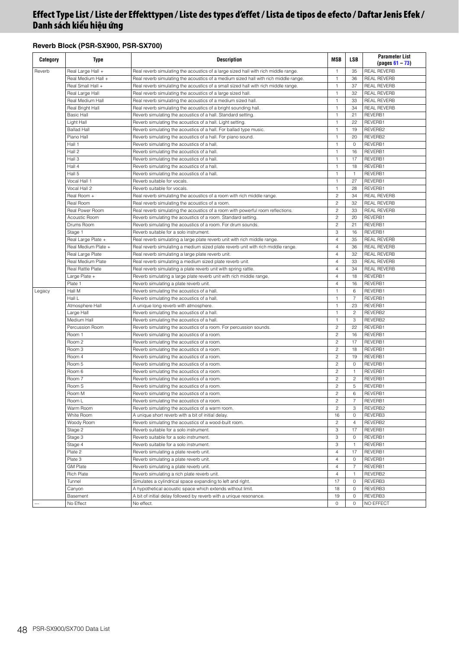# **Reverb Block (PSR-SX900, PSR-SX700)**

| Category | <b>Type</b>          | Description                                                                         | <b>MSB</b>     | <b>LSB</b>     | <b>Parameter List</b><br>$(pages 61 - 73)$ |
|----------|----------------------|-------------------------------------------------------------------------------------|----------------|----------------|--------------------------------------------|
| Reverb   | Real Large Hall +    | Real reverb simulating the acoustics of a large sized hall with rich middle range.  | $\overline{1}$ | 35             | <b>REAL REVERB</b>                         |
|          | Real Medium Hall +   | Real reverb simulating the acoustics of a medium sized hall with rich middle range. | $\overline{1}$ | 36             | <b>REAL REVERB</b>                         |
|          | Real Small Hall +    | Real reverb simulating the acoustics of a small sized hall with rich middle range.  | $\mathbf{1}$   | 37             | <b>REAL REVERB</b>                         |
|          | Real Large Hall      | Real reverb simulating the acoustics of a large sized hall.                         | $\mathbf{1}$   | 32             | <b>REAL REVERB</b>                         |
|          | Real Medium Hall     | Real reverb simulating the acoustics of a medium sized hall.                        | $\mathbf{1}$   | 33             | <b>REAL REVERB</b>                         |
|          | Real Bright Hall     | Real reverb simulating the acoustics of a bright sounding hall.                     | $\mathbf{1}$   | 34             | <b>REAL REVERB</b>                         |
|          | <b>Basic Hall</b>    | Reverb simulating the acoustics of a hall. Standard setting.                        | $\mathbf{1}$   | 21             | REVERB1                                    |
|          | Light Hall           | Reverb simulating the acoustics of a hall. Light setting.                           | $\mathbf{1}$   | 22             | REVERB1                                    |
|          | <b>Ballad Hall</b>   | Reverb simulating the acoustics of a hall. For ballad type music.                   | $\overline{1}$ | 19             | RFVFRB2                                    |
|          | Piano Hall           | Reverb simulating the acoustics of a hall. For piano sound.                         | $\mathbf{1}$   | 20             | REVERB2                                    |
|          | Hall 1               | Reverb simulating the acoustics of a hall.                                          | $\overline{1}$ | $\circ$        | REVERB1                                    |
|          | Hall 2               | Reverb simulating the acoustics of a hall.                                          | $\mathbf{1}$   | 16             | REVERB1                                    |
|          | Hall 3               | Reverb simulating the acoustics of a hall.                                          | $\mathbf{1}$   | 17             | REVERB1                                    |
|          | Hall 4               | Reverb simulating the acoustics of a hall.                                          | $\mathbf{1}$   | 18             | REVERB1                                    |
|          | Hall 5               | Reverb simulating the acoustics of a hall.                                          | $\mathbf{1}$   | $\mathbf{1}$   | REVERB1                                    |
|          | Vocal Hall 1         | Reverb suitable for vocals.                                                         | $\overline{1}$ | 27             | REVERB1                                    |
|          | Vocal Hall 2         | Reverb suitable for vocals.                                                         | $\mathbf{1}$   | 28             | REVERB1                                    |
|          | Real Room +          | Real reverb simulating the acoustics of a room with rich middle range.              | $\overline{c}$ | 34             | <b>REAL REVERB</b>                         |
|          | Real Room            | Real reverb simulating the acoustics of a room.                                     | $\overline{c}$ | 32             | <b>REAL REVERB</b>                         |
|          | Real Power Room      | Real reverb simulating the acoustics of a room with powerful room reflections.      | $\overline{c}$ | 33             | <b>REAL REVERB</b>                         |
|          | <b>Acoustic Room</b> | Reverb simulating the acoustics of a room. Standard setting.                        | $\overline{c}$ | 20             | REVERB1                                    |
|          | Drums Room           | Reverb simulating the acoustics of a room. For drum sounds.                         | $\overline{c}$ | 21             | REVERB1                                    |
|          | Stage 1              | Reverb suitable for a solo instrument.                                              | 3              | 16             | REVERB1                                    |
|          | Real Large Plate +   | Real reverb simulating a large plate reverb unit with rich middle range.            | $\overline{4}$ | 35             | <b>REAL REVERB</b>                         |
|          | Real Medium Plate +  | Real reverb simulating a medium sized plate reverb unit with rich middle range.     | $\overline{4}$ | 36             | <b>REAL REVERB</b>                         |
|          | Real Large Plate     | Real reverb simulating a large plate reverb unit.                                   | $\overline{4}$ | 32             | <b>REAL REVERB</b>                         |
|          | Real Medium Plate    | Real reverb simulating a medium sized plate reverb unit.                            | $\overline{4}$ | 33             | <b>REAL REVERB</b>                         |
|          | Real Rattle Plate    | Real reverb simulating a plate reverb unit with spring rattle.                      | $\overline{4}$ | 34             | <b>REAL REVERB</b>                         |
|          | Large Plate +        | Reverb simulating a large plate reverb unit with rich middle range.                 | $\overline{4}$ | 18             | REVERB1                                    |
|          | Plate 1              | Reverb simulating a plate reverb unit.                                              | $\overline{4}$ | 16             | REVERB1                                    |
| Legacy   | Hall M               | Reverb simulating the acoustics of a hall.                                          | $\overline{1}$ | 6              | REVERB1                                    |
|          | Hall L               | Reverb simulating the acoustics of a hall.                                          | $\mathbf{1}$   | $\overline{7}$ | REVERB1                                    |
|          | Atmosphere Hall      | A unique long reverb with atmosphere.                                               | $\mathbf{1}$   | 23             | REVERB1                                    |
|          | Large Hall           | Reverb simulating the acoustics of a hall.                                          | 1              | $\overline{c}$ | REVERB2                                    |
|          | Medium Hall          | Reverb simulating the acoustics of a hall.                                          | $\mathbf{1}$   | 3              | REVERB2                                    |
|          | Percussion Room      | Reverb simulating the acoustics of a room. For percussion sounds.                   | $\overline{c}$ | 22             | REVERB1                                    |
|          | Room 1               | Reverb simulating the acoustics of a room.                                          | $\overline{c}$ | 16             | REVERB1                                    |
|          | Room 2               | Reverb simulating the acoustics of a room.                                          | $\overline{c}$ | 17             | REVERB1                                    |
|          | Room 3               | Reverb simulating the acoustics of a room.                                          | 2              | 18             | REVERB1                                    |
|          | Room 4               | Reverb simulating the acoustics of a room.                                          | $\overline{c}$ | 19             | REVERB1                                    |
|          | Room 5               | Reverb simulating the acoustics of a room.                                          | $\overline{c}$ | $\circ$        | REVERB1                                    |
|          | Room 6               | Reverb simulating the acoustics of a room.                                          | $\overline{c}$ | $\mathbf{1}$   | REVERB1                                    |
|          | Room 7               | Reverb simulating the acoustics of a room.                                          | $\overline{c}$ | $\overline{c}$ | REVERB1                                    |
|          | Room S               | Reverb simulating the acoustics of a room.                                          | $\overline{c}$ | 5              | REVERB1                                    |
|          | Room M               | Reverb simulating the acoustics of a room.                                          | $\overline{c}$ | 6              | REVERB1                                    |
|          | Room L               | Reverb simulating the acoustics of a room.                                          | 2              | 7              | REVERB1                                    |
|          | Warm Room            | Reverb simulating the acoustics of a warm room.                                     | $\overline{c}$ | 3              | REVERB2                                    |
|          | White Room           | A unique short reverb with a bit of initial delay.                                  | 16             | 0              | REVERB3                                    |
|          | Woody Room           | Reverb simulating the acoustics of a wood-built room.                               | $\overline{c}$ | $\overline{4}$ | REVERB2                                    |
|          | Stage 2              | Reverb suitable for a solo instrument.                                              | 3              | 17             | REVERB1                                    |
|          | Stage 3              | Reverb suitable for a solo instrument.                                              | 3              | 0              | REVERB1                                    |
|          | Stage 4              | Reverb suitable for a solo instrument.                                              | 3              | 1              | REVERB1                                    |
|          | Plate 2              | Reverb simulating a plate reverb unit.                                              | $\overline{4}$ | 17             | REVERB1                                    |
|          | Plate 3              | Reverb simulating a plate reverb unit.                                              | $\overline{4}$ | 0              | REVERB1                                    |
|          | <b>GM Plate</b>      | Reverb simulating a plate reverb unit.                                              | $\overline{4}$ | $\overline{7}$ | REVERB1                                    |
|          | <b>Rich Plate</b>    | Reverb simulating a rich plate reverb unit.                                         | $\overline{4}$ | $\mathbf{1}$   | REVERB2                                    |
|          | Tunnel               | Simulates a cylindrical space expanding to left and right.                          | 17             | 0              | REVERB3                                    |
|          | Canyon               | A hypothetical acoustic space which extends without limit.                          | 18             | 0              | REVERB3                                    |
|          | Basement             | A bit of initial delay followed by reverb with a unique resonance.                  | 19             | 0              | REVERB3                                    |
| ---      | No Effect            | No effect.                                                                          | 0              | 0              | NO EFFECT                                  |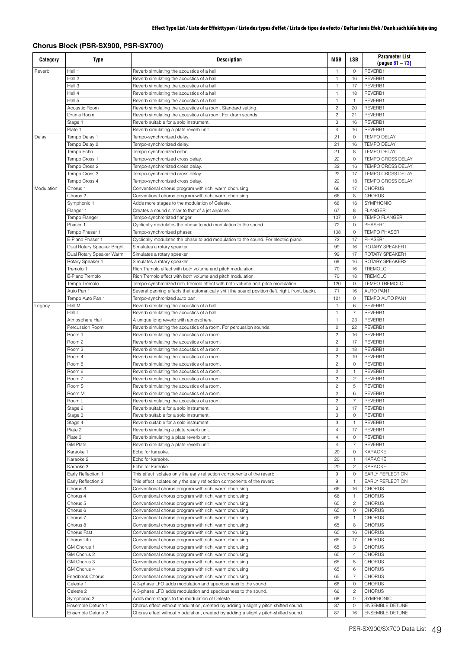# **Chorus Block (PSR-SX900, PSR-SX700)**

| Category   | <b>Type</b>                                  | <b>Description</b>                                                                                               | <b>MSB</b>                       | <b>LSB</b>          | <b>Parameter List</b><br>$(pages 61 - 73)$ |
|------------|----------------------------------------------|------------------------------------------------------------------------------------------------------------------|----------------------------------|---------------------|--------------------------------------------|
| Reverb     | Hall 1                                       | Reverb simulating the acoustics of a hall.                                                                       | $\mathbf{1}$                     | $\mathsf O$         | REVERB1                                    |
|            | Hall 2                                       | Reverb simulating the acoustics of a hall.                                                                       | $\mathbf{1}$                     | 16                  | REVERB1                                    |
|            | Hall 3<br>Hall 4                             | Reverb simulating the acoustics of a hall.<br>Reverb simulating the acoustics of a hall.                         | $\mathbf{1}$<br>$\mathbf{1}$     | 17<br>18            | REVERB1<br>REVERB1                         |
|            | Hall 5                                       | Reverb simulating the acoustics of a hall.                                                                       | $\mathbf{1}$                     | $\mathbf{1}$        | REVERB1                                    |
|            | Acoustic Room                                | Reverb simulating the acoustics of a room. Standard setting.                                                     | $\overline{c}$                   | 20                  | REVERB1                                    |
|            | Drums Room                                   | Reverb simulating the acoustics of a room. For drum sounds.                                                      | $\overline{c}$                   | 21                  | REVERB1                                    |
|            | Stage 1                                      | Reverb suitable for a solo instrument.                                                                           | 3                                | 16                  | REVERB1                                    |
|            | Plate 1                                      | Reverb simulating a plate reverb unit.                                                                           | $\overline{4}$                   | 16                  | REVERB1                                    |
| Delay      | Tempo Delay 1                                | Tempo-synchronized delay.                                                                                        | 21                               | $\circ$             | <b>TEMPO DELAY</b>                         |
|            | Tempo Delay 2                                | Tempo-synchronized delay.                                                                                        | 21                               | 16                  | <b>TEMPO DELAY</b>                         |
|            | Tempo Echo                                   | Tempo-synchronized echo.                                                                                         | 21                               | 8                   | <b>TEMPO DELAY</b>                         |
|            | Tempo Cross 1                                | Tempo-synchronized cross delay.                                                                                  | 22<br>22                         | 0<br>16             | TEMPO CROSS DELAY                          |
|            | Tempo Cross 2<br>Tempo Cross 3               | Tempo-synchronized cross delay.<br>Tempo-synchronized cross delay.                                               | 22                               | 17                  | TEMPO CROSS DELAY<br>TEMPO CROSS DELAY     |
|            | Tempo Cross 4                                | Tempo-synchronized cross delay.                                                                                  | 22                               | 18                  | TEMPO CROSS DELAY                          |
| Modulation | Chorus 1                                     | Conventional chorus program with rich, warm chorusing.                                                           | 66                               | 17                  | <b>CHORUS</b>                              |
|            | Chorus <sub>2</sub>                          | Conventional chorus program with rich, warm chorusing.                                                           | 66                               | 8                   | <b>CHORUS</b>                              |
|            | Symphonic 1                                  | Adds more stages to the modulation of Celeste.                                                                   | 68                               | 16                  | SYMPHONIC                                  |
|            | Flanger 1                                    | Creates a sound similar to that of a jet airplane.                                                               | 67                               | 8                   | <b>FLANGER</b>                             |
|            | Tempo Flanger                                | Tempo-synchronized flanger.                                                                                      | 107                              | $\circ$             | <b>TEMPO FLANGER</b>                       |
|            | Phaser 1                                     | Cyclically modulates the phase to add modulation to the sound.                                                   | 72                               | $\mathbf 0$         | PHASER1                                    |
|            | Tempo Phaser 1                               | Tempo-synchronized phaser.                                                                                       | 108                              | $\circ$             | <b>TEMPO PHASER</b>                        |
|            | E-Piano Phaser 1                             | Cyclically modulates the phase to add modulation to the sound. For electric piano.                               | 72                               | 17                  | PHASER1                                    |
|            | Dual Rotary Speaker Bright                   | Simulates a rotary speaker.                                                                                      | 99<br>99                         | 16<br>17            | ROTARY SPEAKER1<br>ROTARY SPEAKER1         |
|            | Dual Rotary Speaker Warm<br>Rotary Speaker 1 | Simulates a rotary speaker.<br>Simulates a rotary speaker.                                                       | 69                               | 16                  | ROTARY SPEAKER2                            |
|            | Tremolo 1                                    | Rich Tremolo effect with both volume and pitch modulation.                                                       | 70                               | 16                  | <b>TREMOLO</b>                             |
|            | E-Piano Tremolo                              | Rich Tremolo effect with both volume and pitch modulation.                                                       | 70                               | 18                  | <b>TREMOLO</b>                             |
|            | Tempo Tremolo                                | Tempo-synchronized rich Tremolo effect with both volume and pitch modulation.                                    | 120                              | $\circ$             | TEMPO TREMOLO                              |
|            | Auto Pan 1                                   | Several panning effects that automatically shift the sound position (left, right, front, back).                  | 71                               | 16                  | <b>AUTO PAN1</b>                           |
|            | Tempo Auto Pan 1                             | Tempo-synchronized auto pan.                                                                                     | 121                              | $\circ$             | TEMPO AUTO PAN1                            |
| Legacy     | Hall M                                       | Reverb simulating the acoustics of a hall.                                                                       | $\mathbf{1}$                     | 6                   | REVERB1                                    |
|            | Hall L                                       | Reverb simulating the acoustics of a hall.                                                                       | $\mathbf{1}$                     | $\overline{7}$      | REVERB1                                    |
|            | Atmosphere Hall                              | A unique long reverb with atmosphere.                                                                            | $\mathbf{1}$                     | 23                  | REVERB1                                    |
|            | Percussion Room                              | Reverb simulating the acoustics of a room. For percussion sounds.                                                | $\overline{c}$<br>$\overline{c}$ | 22                  | REVERB1                                    |
|            | Room 1<br>Room 2                             | Reverb simulating the acoustics of a room.<br>Reverb simulating the acoustics of a room.                         | $\overline{c}$                   | 16<br>17            | REVERB1<br>REVERB1                         |
|            | Room 3                                       | Reverb simulating the acoustics of a room.                                                                       | $\overline{c}$                   | 18                  | REVERB1                                    |
|            | Room 4                                       | Reverb simulating the acoustics of a room.                                                                       | $\overline{c}$                   | 19                  | REVERB1                                    |
|            | Room 5                                       | Reverb simulating the acoustics of a room.                                                                       | $\overline{c}$                   | $\circ$             | REVERB1                                    |
|            | Room 6                                       | Reverb simulating the acoustics of a room.                                                                       | $\overline{c}$                   | $\mathbf{1}$        | REVERB1                                    |
|            | Room 7                                       | Reverb simulating the acoustics of a room.                                                                       | $\overline{c}$                   | $\overline{c}$      | REVERB1                                    |
|            | Room S                                       | Reverb simulating the acoustics of a room.                                                                       | $\overline{c}$                   | 5                   | REVERB1                                    |
|            | Room M                                       | Reverb simulating the acoustics of a room.                                                                       | $\overline{c}$                   | 6                   | REVERB1                                    |
|            | Room L                                       | Reverb simulating the acoustics of a room.                                                                       | 2                                | 7                   | REVERB1                                    |
|            | Stage 2<br>Stage 3                           | Reverb suitable for a solo instrument.<br>Reverb suitable for a solo instrument.                                 | 3<br>3                           | 17<br>$\mathbf 0$   | REVERB1<br>REVERB1                         |
|            | Stage 4                                      | Reverb suitable for a solo instrument.                                                                           | 3                                | $\mathbf{1}$        | REVERB1                                    |
|            | Plate 2                                      | Reverb simulating a plate reverb unit.                                                                           | $\overline{4}$                   | 17                  | REVERB1                                    |
|            | Plate 3                                      | Reverb simulating a plate reverb unit.                                                                           | $\overline{4}$                   | $\mathbf 0$         | REVERB1                                    |
|            | <b>GM Plate</b>                              | Reverb simulating a plate reverb unit.                                                                           | $\overline{4}$                   | 7                   | REVERB1                                    |
|            | Karaoke 1                                    | Echo for karaoke.                                                                                                | 20                               | $\circ$             | KARAOKE                                    |
|            | Karaoke 2                                    | Echo for karaoke.                                                                                                | 20                               | $\mathbf{1}$        | <b>KARAOKE</b>                             |
|            | Karaoke 3                                    | Echo for karaoke.                                                                                                | 20                               | $\overline{c}$      | KARAOKE                                    |
|            | Early Reflection 1                           | This effect isolates only the early reflection components of the reverb.                                         | 9                                | $\circ$             | <b>EARLY REFLECTION</b>                    |
|            | Early Reflection 2                           | This effect isolates only the early reflection components of the reverb.                                         | $\mathsf g$                      | $\mathbf{1}$        | <b>EARLY REFLECTION</b>                    |
|            | Chorus 3<br>Chorus 4                         | Conventional chorus program with rich, warm chorusing.<br>Conventional chorus program with rich, warm chorusing. | 66<br>66                         | 16<br>$\mathbf{1}$  | <b>CHORUS</b><br><b>CHORUS</b>             |
|            | Chorus 5                                     | Conventional chorus program with rich, warm chorusing.                                                           | 65                               | $\overline{c}$      | <b>CHORUS</b>                              |
|            | Chorus <sub>6</sub>                          | Conventional chorus program with rich, warm chorusing.                                                           | 65                               | $\circ$             | <b>CHORUS</b>                              |
|            | Chorus <sub>7</sub>                          | Conventional chorus program with rich, warm chorusing.                                                           | 65                               | $\mathbf{1}$        | <b>CHORUS</b>                              |
|            | Chorus 8                                     | Conventional chorus program with rich, warm chorusing.                                                           | 65                               | 8                   | <b>CHORUS</b>                              |
|            | Chorus Fast                                  | Conventional chorus program with rich, warm chorusing.                                                           | 65                               | 16                  | <b>CHORUS</b>                              |
|            | Chorus Lite                                  | Conventional chorus program with rich, warm chorusing.                                                           | 65                               | 17                  | <b>CHORUS</b>                              |
|            | GM Chorus 1                                  | Conventional chorus program with rich, warm chorusing.                                                           | 65                               | 3                   | <b>CHORUS</b>                              |
|            | GM Chorus 2                                  | Conventional chorus program with rich, warm chorusing.                                                           | 65                               | $\overline{4}$      | <b>CHORUS</b>                              |
|            | GM Chorus 3                                  | Conventional chorus program with rich, warm chorusing.                                                           | 65                               | 5                   | <b>CHORUS</b><br><b>CHORUS</b>             |
|            | GM Chorus 4<br>Feedback Chorus               | Conventional chorus program with rich, warm chorusing.<br>Conventional chorus program with rich, warm chorusing. | 65<br>65                         | 6<br>$\overline{7}$ | <b>CHORUS</b>                              |
|            | Celeste 1                                    | A 3-phase LFO adds modulation and spaciousness to the sound.                                                     | 66                               | 0                   | <b>CHORUS</b>                              |
|            | Celeste 2                                    | A 3-phase LFO adds modulation and spaciousness to the sound.                                                     | 66                               | $\overline{c}$      | <b>CHORUS</b>                              |
|            | Symphonic 2                                  | Adds more stages to the modulation of Celeste.                                                                   | 68                               | 0                   | SYMPHONIC                                  |
|            | Ensemble Detune 1                            | Chorus effect without modulation, created by adding a slightly pitch-shifted sound.                              | 87                               | $\circ$             | <b>ENSEMBLE DETUNE</b>                     |
|            | Ensemble Detune 2                            | Chorus effect without modulation, created by adding a slightly pitch-shifted sound.                              | 87                               | 16                  | <b>ENSEMBLE DETUNE</b>                     |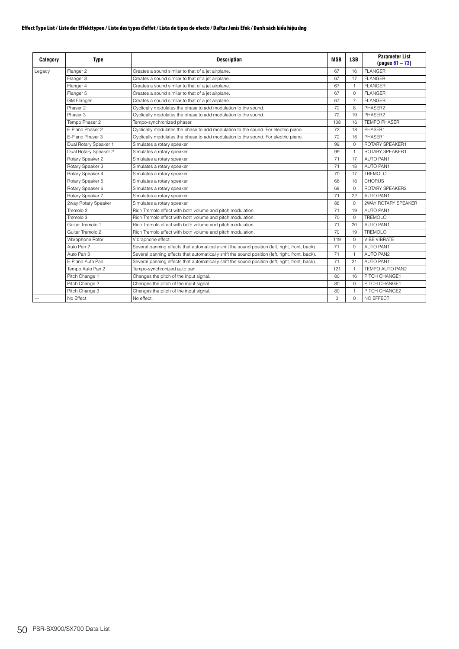| Category       | <b>Type</b>           | <b>Description</b>                                                                              | <b>MSB</b> | <b>LSB</b>     | <b>Parameter List</b><br>$( pages 61 - 73)$ |
|----------------|-----------------------|-------------------------------------------------------------------------------------------------|------------|----------------|---------------------------------------------|
| Legacy         | Flanger 2             | Creates a sound similar to that of a jet airplane.                                              | 67         | 16             | <b>FLANGER</b>                              |
|                | Flanger 3             | Creates a sound similar to that of a jet airplane.                                              | 67         | 17             | <b>FLANGER</b>                              |
|                | Flanger 4             | Creates a sound similar to that of a jet airplane.                                              | 67         | 1              | <b>FLANGER</b>                              |
|                | Flanger 5             | Creates a sound similar to that of a jet airplane.                                              | 67         | $\Omega$       | <b>FLANGER</b>                              |
|                | <b>GM Flanger</b>     | Creates a sound similar to that of a jet airplane.                                              | 67         | $\overline{7}$ | <b>FLANGER</b>                              |
|                | Phaser 2              | Cyclically modulates the phase to add modulation to the sound.                                  | 72         | 8              | PHASFR2                                     |
|                | Phaser 3              | Cyclically modulates the phase to add modulation to the sound.                                  | 72         | 19             | PHASER2                                     |
|                | Tempo Phaser 2        | Tempo-synchronized phaser.                                                                      | 108        | 16             | <b>TEMPO PHASER</b>                         |
|                | E-Piano Phaser 2      | Cyclically modulates the phase to add modulation to the sound. For electric piano.              | 72         | 18             | PHASER1                                     |
|                | F-Piano Phaser 3      | Cyclically modulates the phase to add modulation to the sound. For electric piano.              | 72         | 16             | PHASER1                                     |
|                | Dual Rotary Speaker 1 | Simulates a rotary speaker.                                                                     | 99         | $\Omega$       | ROTARY SPEAKER1                             |
|                | Dual Rotary Speaker 2 | Simulates a rotary speaker.                                                                     | 99         | $\mathbf{1}$   | ROTARY SPEAKER1                             |
|                | Rotary Speaker 2      | Simulates a rotary speaker.                                                                     | 71         | 17             | <b>AUTO PAN1</b>                            |
|                | Rotary Speaker 3      | Simulates a rotary speaker.                                                                     | 71         | 18             | <b>AUTO PAN1</b>                            |
|                | Rotary Speaker 4      | Simulates a rotary speaker.                                                                     | 70         | 17             | <b>TREMOLO</b>                              |
|                | Rotary Speaker 5      | Simulates a rotary speaker.                                                                     | 66         | 18             | <b>CHORUS</b>                               |
|                | Rotary Speaker 6      | Simulates a rotary speaker.                                                                     | 69         | $\Omega$       | ROTARY SPEAKER2                             |
|                | Rotary Speaker 7      | Simulates a rotary speaker.                                                                     | 71         | 22             | <b>AUTO PAN1</b>                            |
|                | 2way Rotary Speaker   | Simulates a rotary speaker.                                                                     | 86         | $\Omega$       | 2WAY ROTARY SPEAKER                         |
|                | Tremolo 2             | Rich Tremolo effect with both volume and pitch modulation.                                      | 71         | 19             | <b>AUTO PAN1</b>                            |
|                | Tremolo 3             | Rich Tremolo effect with both volume and pitch modulation.                                      | 70         | $\Omega$       | <b>TREMOLO</b>                              |
|                | Guitar Tremolo 1      | Rich Tremolo effect with both volume and pitch modulation.                                      | 71         | 20             | <b>AUTO PAN1</b>                            |
|                | Guitar Tremolo 2      | Rich Tremolo effect with both volume and pitch modulation.                                      | 70         | 19             | TREMOLO                                     |
|                | Vibraphone Rotor      | Vibraphone effect.                                                                              | 119        | $\circ$        | <b>VIBE VIBRATE</b>                         |
|                | Auto Pan 2            | Several panning effects that automatically shift the sound position (left, right, front, back). | 71         | $\Omega$       | <b>AUTO PAN1</b>                            |
|                | Auto Pan 3            | Several panning effects that automatically shift the sound position (left, right, front, back). | 71         | $\mathbf{1}$   | <b>AUTO PAN2</b>                            |
|                | F-Piano Auto Pan      | Several panning effects that automatically shift the sound position (left, right, front, back). | 71         | 21             | <b>AUTO PAN1</b>                            |
|                | Tempo Auto Pan 2      | Tempo-synchronized auto pan.                                                                    | 121        | $\mathbf{1}$   | TEMPO AUTO PAN2                             |
|                | Pitch Change 1        | Changes the pitch of the input signal.                                                          | 80         | 16             | PITCH CHANGE1                               |
|                | Pitch Change 2        | Changes the pitch of the input signal.                                                          | 80         | $\Omega$       | PITCH CHANGE1                               |
|                | Pitch Change 3        | Changes the pitch of the input signal.                                                          | 80         | $\mathbf{1}$   | PITCH CHANGE2                               |
| $\overline{a}$ | No Effect             | No effect.                                                                                      | $\Omega$   | $\Omega$       | NO EFFECT                                   |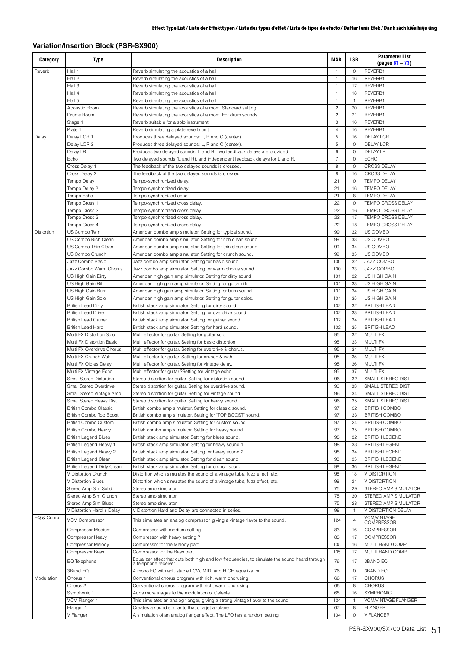# **Variation/Insertion Block (PSR-SX900)**

| Category   | Type                         | <b>Description</b>                                                                                                     | <b>MSB</b>          | <b>LSB</b>     | <b>Parameter List</b><br>$(pages 61 - 73)$ |
|------------|------------------------------|------------------------------------------------------------------------------------------------------------------------|---------------------|----------------|--------------------------------------------|
| Reverb     | Hall 1                       | Reverb simulating the acoustics of a hall.                                                                             |                     | 0              | REVERB1                                    |
|            | Hall 2                       | Reverb simulating the acoustics of a hall                                                                              | $\mathbf{1}$        | 16             | REVERB1                                    |
|            | Hall 3                       | Reverb simulating the acoustics of a hall.                                                                             | $\mathbf{1}$        | 17             | REVERB1                                    |
|            | Hall 4                       | Reverb simulating the acoustics of a hall.                                                                             | $\mathbf{1}$        | 18             | REVERB1                                    |
|            | Hall 5                       | Reverb simulating the acoustics of a hall.                                                                             | $\mathbf{1}$        | $\mathbf{1}$   | REVERB1                                    |
|            | <b>Acoustic Room</b>         | Reverb simulating the acoustics of a room. Standard setting.                                                           | $\overline{c}$      | 20             | REVERB1                                    |
|            | Drums Room                   | Reverb simulating the acoustics of a room. For drum sounds.                                                            | $\overline{c}$<br>3 | 21<br>16       | REVERB1<br>REVERB1                         |
|            | Stage 1<br>Plate 1           | Reverb suitable for a solo instrument.                                                                                 | $\overline{4}$      | 16             | REVERB1                                    |
| Delay      | Delay LCR 1                  | Reverb simulating a plate reverb unit.<br>Produces three delayed sounds: L, R and C (center).                          | 5                   | 16             | <b>DELAY LCR</b>                           |
|            | Delay LCR 2                  | Produces three delayed sounds: L, R and C (center).                                                                    | 5                   | $\circ$        | <b>DELAY LCR</b>                           |
|            | Delay LR                     | Produces two delayed sounds: L and R. Two feedback delays are provided.                                                | 6                   | $\circ$        | <b>DELAY LR</b>                            |
|            | Echo                         | Two delayed sounds (L and R), and independent feedback delays for L and R.                                             | $\overline{7}$      | $\circ$        | <b>ECHO</b>                                |
|            | Cross Delay 1                | The feedback of the two delayed sounds is crossed.                                                                     | 8                   | $\circ$        | <b>CROSS DELAY</b>                         |
|            | Cross Delay 2                | The feedback of the two delayed sounds is crossed.                                                                     | 8                   | 16             | <b>CROSS DELAY</b>                         |
|            | Tempo Delay 1                | Tempo-synchronized delay.                                                                                              | 21                  | $\circ$        | <b>TEMPO DELAY</b>                         |
|            | Tempo Delay 2                | Tempo-synchronized delay.                                                                                              | 21                  | 16             | <b>TEMPO DELAY</b>                         |
|            | Tempo Echo                   | Tempo-synchronized echo.                                                                                               | 21                  | 8              | <b>TEMPO DELAY</b>                         |
|            | Tempo Cross 1                | Tempo-synchronized cross delay.                                                                                        | 22                  | $\circ$        | TEMPO CROSS DELAY                          |
|            | Tempo Cross 2                | Tempo-synchronized cross delay.                                                                                        | 22                  | 16             | TEMPO CROSS DELAY                          |
|            | Tempo Cross 3                | Tempo-synchronized cross delay.                                                                                        | 22                  | 17             | TEMPO CROSS DELAY                          |
|            | Tempo Cross 4                | Tempo-synchronized cross delay.                                                                                        | 22                  | 18             | TEMPO CROSS DELAY                          |
| Distortion | US Combo Twin                | American combo amp simulator. Setting for typical sound.                                                               | 99                  | 32             | US COMBO                                   |
|            | US Combo Rich Clean          | American combo amp simulator. Setting for rich clean sound.                                                            | 99                  | 33             | US COMBO                                   |
|            | US Combo Thin Clean          | American combo amp simulator. Setting for thin clean sound.                                                            | 99                  | 34             | US COMBO                                   |
|            | US Combo Crunch              | American combo amp simulator. Setting for crunch sound.                                                                | 99                  | 35             | US COMBO                                   |
|            | Jazz Combo Basic             | Jazz combo amp simulator. Setting for basic sound.                                                                     | 100                 | 32             | JAZZ COMBO                                 |
|            | Jazz Combo Warm Chorus       | Jazz combo amp simulator. Setting for warm chorus sound.                                                               | 100                 | 33             | JAZZ COMBO                                 |
|            | US High Gain Dirty           | American high gain amp simulator. Setting for dirty sound.                                                             | 101                 | 32             | US HIGH GAIN                               |
|            | US High Gain Riff            | American high gain amp simulator. Setting for guitar riffs.                                                            | 101                 | 33             | US HIGH GAIN                               |
|            | US High Gain Burn            | American high gain amp simulator. Setting for burn sound.                                                              | 101                 | 34             | US HIGH GAIN                               |
|            | US High Gain Solo            | American high gain amp simulator. Setting for guitar solos.                                                            | 101                 | 35             | US HIGH GAIN                               |
|            | <b>British Lead Dirty</b>    | British stack amp simulator. Setting for dirty sound.                                                                  | 102                 | 32             | <b>BRITISH LEAD</b>                        |
|            | <b>British Lead Drive</b>    | British stack amp simulator. Setting for overdrive sound.                                                              | 102                 | 33             | <b>BRITISH LEAD</b>                        |
|            | <b>British Lead Gainer</b>   | British stack amp simulator. Setting for gainer sound.                                                                 | 102                 | 34             | <b>BRITISH LEAD</b>                        |
|            | <b>British Lead Hard</b>     | British stack amp simulator. Setting for hard sound.                                                                   | 102                 | 35             | <b>BRITISH LEAD</b>                        |
|            | Multi FX Distortion Solo     | Multi effector for guitar. Setting for guitar solo.                                                                    | 95                  | 32             | MULTI FX                                   |
|            | Multi FX Distortion Basic    | Multi effector for guitar. Setting for basic distortion.                                                               | 95                  | 33             | <b>MULTI FX</b>                            |
|            | Multi FX Overdrive Chorus    | Multi effector for guitar. Setting for overdrive & chorus.                                                             | 95                  | 34             | <b>MULTI FX</b>                            |
|            | Multi FX Crunch Wah          | Multi effector for guitar. Setting for crunch & wah.                                                                   | 95                  | 35             | <b>MULTI FX</b>                            |
|            | Multi FX Oldies Delay        | Multi effector for quitar. Setting for vintage delay.                                                                  | 95                  | 36             | MULTI FX                                   |
|            | Multi FX Vintage Echo        | Multi effector for guitar.?Setting for vintage echo.                                                                   | 95                  | 37             | <b>MULTI FX</b>                            |
|            | Small Stereo Distortion      | Stereo distortion for guitar. Setting for distortion sound.                                                            | 96                  | 32             | SMALL STEREO DIST                          |
|            | Small Stereo Overdrive       | Stereo distortion for guitar. Setting for overdrive sound.                                                             | 96                  | 33             | SMALL STEREO DIST                          |
|            | Small Stereo Vintage Amp     | Stereo distortion for quitar. Setting for vintage sound.                                                               | 96                  | 34             | SMALL STEREO DIST                          |
|            | Small Stereo Heavy Dist      | Stereo distortion for quitar. Setting for heavy sound.                                                                 | 96                  | 35             | SMALL STEREO DIST                          |
|            | <b>British Combo Classic</b> | British combo amp simulator. Setting for classic sound.                                                                | 97                  | 32             | <b>BRITISH COMBO</b>                       |
|            | British Combo Top Boost      | British combo amp simulator. Setting for "TOP BOOST" sound.                                                            | 97                  | 33             | <b>BRITISH COMBO</b>                       |
|            | British Combo Custom         | British combo amp simulator. Setting for custom sound.                                                                 | 97                  | 34             | <b>BRITISH COMBO</b>                       |
|            | <b>British Combo Heavy</b>   | British combo amp simulator. Setting for heavy sound.                                                                  | 97                  | 35             | <b>BRITISH COMBO</b>                       |
|            | <b>British Legend Blues</b>  | British stack amp simulator. Setting for blues sound.                                                                  | 98                  | 32             | <b>BRITISH LEGEND</b>                      |
|            | British Legend Heavy 1       | British stack amp simulator. Setting for heavy sound 1.                                                                | 98                  | 33             | <b>BRITISH LEGEND</b>                      |
|            | British Legend Heavy 2       | British stack amp simulator. Setting for heavy sound 2.                                                                | 98                  | 34             | <b>BRITISH LEGEND</b>                      |
|            | <b>British Legend Clean</b>  | British stack amp simulator. Setting for clean sound.                                                                  | 98                  | 35             | <b>BRITISH LEGEND</b>                      |
|            | British Legend Dirty Clean   | British stack amp simulator. Setting for crunch sound.                                                                 | 98                  | 36             | <b>BRITISH LEGEND</b>                      |
|            | V Distortion Crunch          | Distortion which simulates the sound of a vintage tube, fuzz effect, etc.                                              | 98                  | 18             | V DISTORTION                               |
|            | V Distortion Blues           | Distortion which simulates the sound of a vintage tube, fuzz effect, etc.                                              | 98                  | 21             | V DISTORTION                               |
|            | Stereo Amp Sim Solid         | Stereo amp simulator.                                                                                                  | 75                  | 29             | STEREO AMP SIMULATOR                       |
|            | Stereo Amp Sim Crunch        | Stereo amp simulator.                                                                                                  | 75                  | 30             | STEREO AMP SIMULATOR                       |
|            | Stereo Amp Sim Blues         | Stereo amp simulator.                                                                                                  | 75                  | 28             | STEREO AMP SIMULATOR                       |
|            | V Distortion Hard + Delay    | V Distortion Hard and Delay are connected in series.                                                                   | 98                  | $\mathbf{1}$   | V DISTORTION DELAY                         |
| EQ & Comp  | <b>VCM Compressor</b>        | This simulates an analog compressor, giving a vintage flavor to the sound.                                             | 124                 | $\overline{4}$ | <b>VCM/VINTAGE</b>                         |
|            |                              |                                                                                                                        |                     |                | <b>COMPRESSOR</b>                          |
|            | Compressor Medium            | Compressor with medium setting.                                                                                        | 83                  | 16             | <b>COMPRESSOR</b>                          |
|            | Compressor Heavy             | Compressor with heavy setting.?                                                                                        | 83                  | 17             | COMPRESSOR                                 |
|            | Compressor Melody            | Compressor for the Melody part.                                                                                        | 105                 | 16             | MULTI BAND COMP                            |
|            | Compressor Bass              | Compressor for the Bass part.                                                                                          | 105                 | 17             | MULTI BAND COMP                            |
|            | EQ Telephone                 | Equalizer effect that cuts both high and low frequencies, to simulate the sound heard through<br>a telephone receiver. | 76                  | 17             | 3BAND EQ                                   |
|            | 3Band EQ                     | A mono EQ with adjustable LOW, MID, and HIGH equalization.                                                             | 76                  | 0              | 3BAND EQ                                   |
| Modulation | Chorus 1                     | Conventional chorus program with rich, warm chorusing.                                                                 | 66                  | 17             | <b>CHORUS</b>                              |
|            | Chorus <sub>2</sub>          | Conventional chorus program with rich, warm chorusing.                                                                 | 66                  | 8              | <b>CHORUS</b>                              |
|            | Symphonic 1                  | Adds more stages to the modulation of Celeste.                                                                         | 68                  | 16             | SYMPHONIC                                  |
|            | VCM Flanger 1                | This simulates an analog flanger, giving a strong vintage flavor to the sound.                                         | 124                 | $\mathbf{1}$   | VCM/VINTAGE FLANGER                        |
|            | Flanger 1                    | Creates a sound similar to that of a jet airplane.                                                                     | 67                  | 8              | <b>FLANGER</b>                             |
|            | V Flanger                    | A simulation of an analog flanger effect. The LFO has a random setting.                                                | 104                 | $\circ$        | V FLANGER                                  |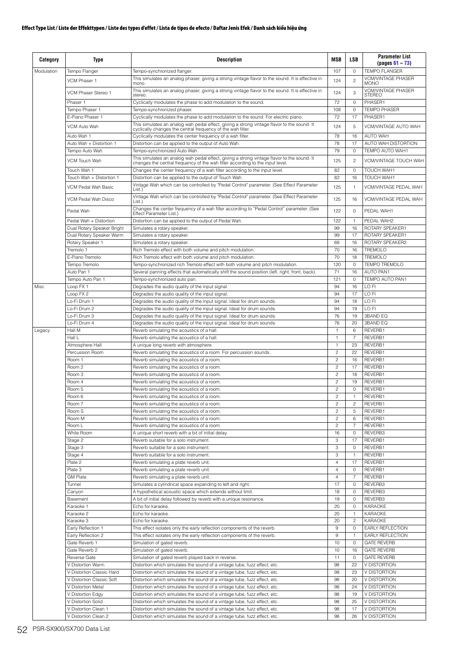| Category   | <b>Type</b>                                  | <b>Description</b>                                                                                                                                                       | MSB                              | LSB                 | <b>Parameter List</b><br>$(pa$ us 61 – 73)        |
|------------|----------------------------------------------|--------------------------------------------------------------------------------------------------------------------------------------------------------------------------|----------------------------------|---------------------|---------------------------------------------------|
| Modulation | Tempo Flanger                                | Tempo-synchronized flanger.<br>This simulates an analog phaser, giving a strong vintage flavor to the sound. It is effective in                                          | 107                              | 0                   | <b>TEMPO FLANGER</b><br><b>VCM/VINTAGE PHASER</b> |
|            | VCM Phaser 1                                 | mono.                                                                                                                                                                    | 124                              | $\overline{c}$      | <b>MONO</b>                                       |
|            | VCM Phaser Stereo 1                          | This simulates an analog phaser, giving a strong vintage flavor to the sound. It is effective in<br>stereo.                                                              | 124                              | 3                   | <b>VCM/VINTAGE PHASER</b><br><b>STEREO</b>        |
|            | Phaser 1                                     | Cyclically modulates the phase to add modulation to the sound.                                                                                                           | 72                               | 0                   | PHASER1                                           |
|            | Tempo Phaser 1                               | Tempo-synchronized phaser.                                                                                                                                               | 108                              | $\circ$             | <b>TEMPO PHASER</b>                               |
|            | E-Piano Phaser 1                             | Cyclically modulates the phase to add modulation to the sound. For electric piano.                                                                                       | 72                               | 17                  | PHASER1                                           |
|            | VCM Auto Wah                                 | This simulates an analog wah pedal effect, giving a strong vintage flavor to the sound. It cyclically changes the central frequency of the wah filter.                   | 124                              | 5                   | VCM/VINTAGE AUTO WAH                              |
|            | Auto Wah 1                                   | Cyclically modulates the center frequency of a wah filter.                                                                                                               | 78                               | 16                  | AUTO WAH                                          |
|            | Auto Wah + Distortion 1<br>Tempo Auto Wah    | Distortion can be applied to the output of Auto Wah.<br>Tempo-synchronized Auto Wah.                                                                                     | 78<br>79                         | 17<br>0             | AUTO WAH DISTORTION<br>TEMPO AUTO WAH1            |
|            |                                              |                                                                                                                                                                          |                                  |                     |                                                   |
|            | VCM Touch Wah                                | This simulates an analog wah pedal effect, giving a strong vintage flavor to the sound. It changes the central frequency of the wah filter according to the input level. | 125                              | $\overline{c}$      | VCM/VINTAGE TOUCH WAH                             |
|            | Touch Wah 1                                  | Changes the center frequency of a wah filter according to the input level.                                                                                               | 82                               | 0                   | TOUCH WAH1                                        |
|            | Touch Wah + Distortion 1                     | Distortion can be applied to the output of Touch Wah.<br>Vintage Wah which can be controlled by "Pedal Control" parameter. (See Effect Parameter                         | 82                               | 16                  | TOUCH WAH1                                        |
|            | VCM Pedal Wah Basic                          | List.)                                                                                                                                                                   | 125                              | $\mathbf{1}$        | VCM/VINTAGE PEDAL WAH                             |
|            | VCM Pedal Wah Disco                          | Vintage Wah which can be controlled by "Pedal Control" parameter. (See Effect Parameter<br>List.)                                                                        | 125                              | 16                  | VCM/VINTAGE PEDAL WAH                             |
|            | Pedal Wah                                    | Changes the center frequency of a wah filter according to "Pedal Control" parameter. (See<br>Effect Parameter List.)                                                     | 122                              | 0                   | PEDAL WAH1                                        |
|            | Pedal Wah + Distortion                       | Distortion can be applied to the output of Pedal Wah.                                                                                                                    | 122                              | 1                   | PFDAI WAH2                                        |
|            | Dual Rotary Speaker Bright                   | Simulates a rotary speaker.                                                                                                                                              | 99                               | 16                  | ROTARY SPEAKER1                                   |
|            | Dual Rotary Speaker Warm                     | Simulates a rotary speaker.                                                                                                                                              | 99                               | 17                  | ROTARY SPEAKER1                                   |
|            | Rotary Speaker 1<br>Tremolo 1                | Simulates a rotary speaker.<br>Rich Tremolo effect with both volume and pitch modulation.                                                                                | 69<br>70                         | 16<br>16            | ROTARY SPEAKER2<br><b>TREMOLO</b>                 |
|            | E-Piano Tremolo                              | Rich Tremolo effect with both volume and pitch modulation.                                                                                                               | 70                               | 18                  | <b>TREMOLO</b>                                    |
|            | Tempo Tremolo                                | Tempo-synchronized rich Tremolo effect with both volume and pitch modulation.                                                                                            | 120                              | $\circ$             | TEMPO TREMOLO                                     |
|            | Auto Pan 1                                   | Several panning effects that automatically shift the sound position (left, right, front, back).                                                                          | 71                               | 16                  | <b>AUTO PAN1</b>                                  |
|            | Tempo Auto Pan 1                             | Tempo-synchronized auto pan.                                                                                                                                             | 121                              | 0                   | <b>TEMPO AUTO PAN1</b>                            |
| Misc       | Loop FX 1                                    | Degrades the audio quality of the input signal.                                                                                                                          | 94                               | 16                  | LO FI                                             |
|            | Loop FX 2                                    | Degrades the audio quality of the input signal.                                                                                                                          | 94                               | 17                  | LO FI                                             |
|            | Lo-Fi Drum 1<br>Lo-Fi Drum 2                 | Degrades the audio quality of the input signal. Ideal for drum sounds.<br>Degrades the audio quality of the input signal. Ideal for drum sounds.                         | 94<br>94                         | 18<br>19            | LO FI<br>LO FI                                    |
|            | Lo-Fi Drum 3                                 | Degrades the audio quality of the input signal. Ideal for drum sounds.                                                                                                   | 76                               | 19                  | <b>3BAND EQ</b>                                   |
|            | Lo-Fi Drum 4                                 | Degrades the audio quality of the input signal. Ideal for drum sounds.                                                                                                   | 76                               | 20                  | 3BAND EQ                                          |
| Legacy     | Hall M                                       | Reverb simulating the acoustics of a hall.                                                                                                                               | $\overline{1}$                   | 6                   | REVERB1                                           |
|            | Hall L                                       | Reverb simulating the acoustics of a hall.                                                                                                                               | 1                                | $\overline{7}$      | REVERB1                                           |
|            | Atmosphere Hall                              | A unique long reverb with atmosphere.                                                                                                                                    | $\overline{1}$                   | 23                  | REVERB1                                           |
|            | Percussion Room<br>Room 1                    | Reverb simulating the acoustics of a room. For percussion sounds.<br>Reverb simulating the acoustics of a room.                                                          | $\overline{c}$<br>$\overline{c}$ | 22<br>16            | REVERB1<br>RFVFRB1                                |
|            | Room 2                                       | Reverb simulating the acoustics of a room.                                                                                                                               | $\overline{c}$                   | 17                  | RFVFRB1                                           |
|            | Room 3                                       | Reverb simulating the acoustics of a room.                                                                                                                               | $\overline{c}$                   | 18                  | REVERB1                                           |
|            | Room 4                                       | Reverb simulating the acoustics of a room.                                                                                                                               | $\overline{c}$                   | 19                  | REVERB1                                           |
|            | Room 5                                       | Reverb simulating the acoustics of a room.                                                                                                                               | $\overline{c}$                   | $\Omega$            | REVERB1                                           |
|            | Room 6                                       | Reverb simulating the acoustics of a room.                                                                                                                               | 2                                |                     | REVERB1                                           |
|            | Room 7<br>Room S                             | Reverb simulating the acoustics of a room.                                                                                                                               | $\overline{c}$<br>$\overline{c}$ | $\overline{c}$<br>5 | REVERB1<br>REVERB1                                |
|            | Room M                                       | Reverb simulating the acoustics of a room.<br>Reverb simulating the acoustics of a room.                                                                                 | $\overline{c}$                   | 6                   | REVERB1                                           |
|            | Room L                                       | Reverb simulating the acoustics of a room.                                                                                                                               | $\overline{c}$                   | $\overline{7}$      | REVERB1                                           |
|            | White Room                                   | A unique short reverb with a bit of initial delay.                                                                                                                       | 16                               | $\mathsf O$         | REVERB3                                           |
|            | Stage 2                                      | Reverb suitable for a solo instrument.                                                                                                                                   | 3                                | 17                  | REVERB1                                           |
|            | Stage 3                                      | Reverb suitable for a solo instrument.                                                                                                                                   | 3                                | $\mathsf O$         | REVERB1                                           |
|            | Stage 4<br>Plate 2                           | Reverb suitable for a solo instrument.<br>Reverb simulating a plate reverb unit.                                                                                         | 3<br>$\overline{4}$              | $\mathbf{1}$<br>17  | REVERB1<br>REVERB1                                |
|            | Plate 3                                      | Reverb simulating a plate reverb unit.                                                                                                                                   | $\overline{4}$                   | $\mathsf O$         | REVERB1                                           |
|            | <b>GM Plate</b>                              | Reverb simulating a plate reverb unit.                                                                                                                                   | $\overline{4}$                   | $\overline{7}$      | REVERB1                                           |
|            | Tunnel                                       | Simulates a cylindrical space expanding to left and right.                                                                                                               | 17                               | $\mathsf O$         | REVERB3                                           |
|            | Canyon                                       | A hypothetical acoustic space which extends without limit.                                                                                                               | 18                               | $\mathsf{O}\xspace$ | REVERB3                                           |
|            | Basement                                     | A bit of initial delay followed by reverb with a unique resonance.                                                                                                       | 19                               | 0                   | REVERB3                                           |
|            | Karaoke 1<br>Karaoke 2                       | Echo for karaoke.<br>Echo for karaoke.                                                                                                                                   | 20<br>20                         | $\circ$<br>1        | <b>KARAOKE</b><br>KARAOKE                         |
|            | Karaoke 3                                    | Echo for karaoke.                                                                                                                                                        | 20                               | $\overline{c}$      | KARAOKE                                           |
|            | Early Reflection 1                           | This effect isolates only the early reflection components of the reverb.                                                                                                 | $9\,$                            | $\mathsf O$         | EARLY REFLECTION                                  |
|            | Early Reflection 2                           | This effect isolates only the early reflection components of the reverb.                                                                                                 | $9\,$                            | $\mathbf{1}$        | EARLY REFLECTION                                  |
|            | Gate Reverb 1                                | Simulation of gated reverb.                                                                                                                                              | 10                               | $\circ$             | <b>GATE REVERB</b>                                |
|            | Gate Reverb 2                                | Simulation of gated reverb.                                                                                                                                              | 10                               | 16                  | <b>GATE REVERB</b>                                |
|            | <b>Reverse Gate</b><br>V Distortion Warm     | Simulation of gated reverb played back in reverse.                                                                                                                       | 11<br>98                         | $\mathsf O$<br>22   | <b>GATE REVERB</b>                                |
|            | V Distortion Classic Hard                    | Distortion which simulates the sound of a vintage tube, fuzz effect, etc.<br>Distortion which simulates the sound of a vintage tube, fuzz effect, etc.                   | 98                               | 23                  | V DISTORTION<br>V DISTORTION                      |
|            | V Distortion Classic Soft                    | Distortion which simulates the sound of a vintage tube, fuzz effect, etc.                                                                                                | 98                               | 20                  | V DISTORTION                                      |
|            | V Distortion Metal                           | Distortion which simulates the sound of a vintage tube, fuzz effect, etc.                                                                                                | 98                               | 24                  | V DISTORTION                                      |
|            | V Distortion Edgy                            | Distortion which simulates the sound of a vintage tube, fuzz effect, etc.                                                                                                | 98                               | 19                  | V DISTORTION                                      |
|            | V Distortion Solid                           | Distortion which simulates the sound of a vintage tube, fuzz effect, etc.                                                                                                | 98                               | 25                  | V DISTORTION                                      |
|            | V Distortion Clean 1<br>V Distortion Clean 2 | Distortion which simulates the sound of a vintage tube, fuzz effect, etc.<br>Distortion which simulates the sound of a vintage tube, fuzz effect, etc.                   | 98<br>98                         | 17<br>26            | V DISTORTION<br>V DISTORTION                      |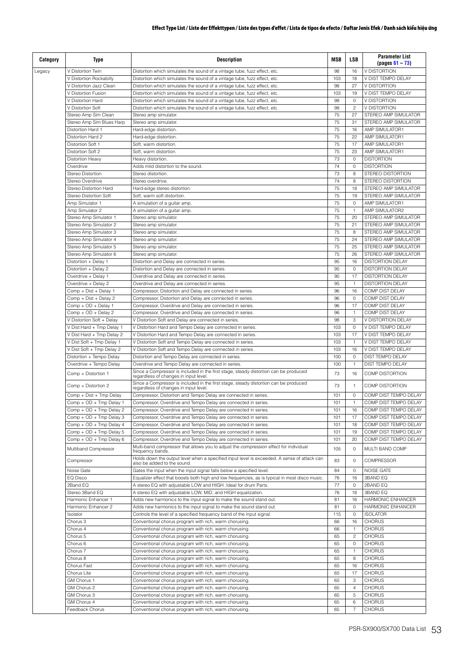| Category | Type                                                   | <b>Description</b>                                                                                                                                                                               | <b>MSB</b> | <b>LSB</b>        | <b>Parameter List</b><br>$( pages 61 - 73)$  |
|----------|--------------------------------------------------------|--------------------------------------------------------------------------------------------------------------------------------------------------------------------------------------------------|------------|-------------------|----------------------------------------------|
| Legacy   | V Distortion Twin                                      | Distortion which simulates the sound of a vintage tube, fuzz effect, etc.                                                                                                                        | 98         | 16                | V DISTORTION                                 |
|          | V Distortion Rockabilly                                | Distortion which simulates the sound of a vintage tube, fuzz effect, etc.                                                                                                                        | 103<br>98  | 18<br>27          | V DIST TEMPO DELAY<br>V DISTORTION           |
|          | V Distortion Jazz Clean<br>V Distortion Fusion         | Distortion which simulates the sound of a vintage tube, fuzz effect, etc.<br>Distortion which simulates the sound of a vintage tube, fuzz effect, etc.                                           | 103        | 19                | V DIST TEMPO DELAY                           |
|          | V Distortion Hard                                      | Distortion which simulates the sound of a vintage tube, fuzz effect, etc.                                                                                                                        | 98         | $\circ$           | <b>V DISTORTION</b>                          |
|          | V Distortion Soft                                      | Distortion which simulates the sound of a vintage tube, fuzz effect, etc.                                                                                                                        | 98         | $\overline{c}$    | V DISTORTION                                 |
|          | Stereo Amp Sim Clean                                   | Stereo amp simulator.                                                                                                                                                                            | 75         | 27                | STEREO AMP SIMULATOR                         |
|          | Stereo Amp Sim Blues Harp                              | Stereo amp simulator.                                                                                                                                                                            | 75         | 31                | STEREO AMP SIMULATOR                         |
|          | Distortion Hard 1                                      | Hard-edge distortion.                                                                                                                                                                            | 75         | 16                | AMP SIMULATOR1                               |
|          | Distortion Hard 2                                      | Hard-edge distortion.                                                                                                                                                                            | 75         | 22                | AMP SIMULATOR1                               |
|          | Distortion Soft 1<br>Distortion Soft 2                 | Soft, warm distortion.<br>Soft, warm distortion.                                                                                                                                                 | 75<br>75   | 17<br>23          | AMP SIMULATOR1<br>AMP SIMULATOR1             |
|          | <b>Distortion Heavy</b>                                | Heavy distortion.                                                                                                                                                                                | 73         | $\circ$           | <b>DISTORTION</b>                            |
|          | Overdrive                                              | Adds mild distortion to the sound.                                                                                                                                                               | 74         | $\circ$           | <b>DISTORTION</b>                            |
|          | Stereo Distortion                                      | Stereo distortion.                                                                                                                                                                               | 73         | 8                 | STEREO DISTORTION                            |
|          | Stereo Overdrive                                       | Stereo overdrive.                                                                                                                                                                                | 74         | 8                 | STEREO DISTORTION                            |
|          | Stereo Distortion Hard                                 | Hard-edge stereo distortion.                                                                                                                                                                     | 75         | 18                | STEREO AMP SIMULATOR                         |
|          | Stereo Distortion Soft                                 | Soft, warm soft distortion.                                                                                                                                                                      | 75         | 19                | STEREO AMP SIMULATOR                         |
|          | Amp Simulator 1                                        | A simulation of a guitar amp.                                                                                                                                                                    | 75         | $\circ$           | AMP SIMULATOR1                               |
|          | Amp Simulator 2                                        | A simulation of a quitar amp.                                                                                                                                                                    | 75         | $\mathbf{1}$      | AMP SIMULATOR2                               |
|          | Stereo Amp Simulator 1                                 | Stereo amp simulator.                                                                                                                                                                            | 75         | 20                | STEREO AMP SIMULATOR                         |
|          | Stereo Amp Simulator 2<br>Stereo Amp Simulator 3       | Stereo amp simulator.<br>Stereo amp simulator.                                                                                                                                                   | 75<br>75   | 21<br>8           | STEREO AMP SIMULATOR<br>STEREO AMP SIMULATOR |
|          | Stereo Amp Simulator 4                                 | Stereo amp simulator.                                                                                                                                                                            | 75         | 24                | STEREO AMP SIMULATOR                         |
|          | Stereo Amp Simulator 5                                 | Stereo amp simulator.                                                                                                                                                                            | 75         | 25                | STEREO AMP SIMULATOR                         |
|          | Stereo Amp Simulator 6                                 | Stereo amp simulator.                                                                                                                                                                            | 75         | 26                | STEREO AMP SIMULATOR                         |
|          | Distortion + Delay 1                                   | Distortion and Delay are connected in series.                                                                                                                                                    | 95         | 16                | <b>DISTORTION DELAY</b>                      |
|          | Distortion + Delay 2                                   | Distortion and Delay are connected in series.                                                                                                                                                    | 95         | $\circ$           | <b>DISTORTION DELAY</b>                      |
|          | Overdrive + Delay 1                                    | Overdrive and Delay are connected in series.                                                                                                                                                     | 95         | 17                | <b>DISTORTION DELAY</b>                      |
|          | Overdrive + Delay 2                                    | Overdrive and Delay are connected in series.                                                                                                                                                     | 95         | $\mathbf{1}$      | <b>DISTORTION DELAY</b>                      |
|          | Comp + Dist + Delay 1                                  | Compressor, Distortion and Delay are connected in series.                                                                                                                                        | 96         | 16                | COMP DIST DELAY                              |
|          | Comp + Dist + Delay 2                                  | Compressor, Distortion and Delay are connected in series.                                                                                                                                        | 96         | $\mathbf 0$       | COMP DIST DELAY                              |
|          | Comp + OD + Delay 1                                    | Compressor, Overdrive and Delay are connected in series.                                                                                                                                         | 96         | 17                | COMP DIST DELAY                              |
|          | Comp + OD + Delay 2                                    | Compressor, Overdrive and Delay are connected in series.                                                                                                                                         | 96         | $\mathbf{1}$      | COMP DIST DELAY                              |
|          | V Distortion Soft + Delay<br>V Dist Hard + Tmp Delay 1 | V Distortion Soft and Delay are connected in series.<br>V Distortion Hard and Tempo Delay are connected in series.                                                                               | 98<br>103  | 3<br>$\circ$      | V DISTORTION DELAY<br>V DIST TEMPO DELAY     |
|          | V Dist Hard + Tmp Delay 2                              | V Distortion Hard and Tempo Delay are connected in series.                                                                                                                                       | 103        | 17                | V DIST TEMPO DELAY                           |
|          | V Dist Soft + Tmp Delay 1                              | V Distortion Soft and Tempo Delay are connected in series.                                                                                                                                       | 103        | $\mathbf{1}$      | V DIST TEMPO DELAY                           |
|          | V Dist Soft + Tmp Delay 2                              | V Distortion Soft and Tempo Delay are connected in series.                                                                                                                                       | 103        | 16                | V DIST TEMPO DELAY                           |
|          | Distortion + Tempo Delay                               | Distortion and Tempo Delay are connected in series.                                                                                                                                              | 100        | $\circ$           | DIST TEMPO DELAY                             |
|          | Overdrive + Tempo Delay                                | Overdrive and Tempo Delay are connected in series.                                                                                                                                               | 100        | $\mathbf{1}$      | DIST TEMPO DELAY                             |
|          | Comp + Distortion 1                                    | Since a Compressor is included in the first stage, steady distortion can be produced regardless of changes in input level.                                                                       | 73         | 16                | <b>COMP DISTORTION</b>                       |
|          | Comp + Distortion 2<br>Comp + Dist + Tmp Delay         | Since a Compressor is included in the first stage, steady distortion can be produced<br>regardless of changes in input level.<br>Compressor, Distortion and Tempo Delay are connected in series. | 73<br>101  | $\mathbf{1}$<br>0 | COMP DISTORTION<br>COMP DIST TEMPO DELAY     |
|          | Comp + OD + Tmp Delay 1                                | Compressor, Overdrive and Tempo Delay are connected in series.                                                                                                                                   | 101        | $\mathbf{1}$      | COMP DIST TEMPO DELAY                        |
|          | Comp + OD + Tmp Delay 2                                | Compressor, Overdrive and Tempo Delay are connected in series.                                                                                                                                   | 101        | 16                | COMP DIST TEMPO DELAY                        |
|          | Comp + OD + Tmp Delay 3                                | Compressor, Overdrive and Tempo Delay are connected in series.                                                                                                                                   | 101        | 17                | COMP DIST TEMPO DELAY                        |
|          | Comp + OD + Tmp Delay 4                                | Compressor, Overdrive and Tempo Delay are connected in series.                                                                                                                                   | 101        | 18                | COMP DIST TEMPO DELAY                        |
|          | Comp + OD + Tmp Delay 5                                | Compressor, Overdrive and Tempo Delay are connected in series.                                                                                                                                   | 101        | 19                | COMP DIST TEMPO DELAY                        |
|          | Comp + OD + Tmp Delay 6                                | Compressor, Overdrive and Tempo Delay are connected in series.                                                                                                                                   | 101        | 20                | COMP DIST TEMPO DELAY                        |
|          | Multiband Compressor                                   | Multi-band compressor that allows you to adjust the compression effect for individual<br>frequency bands.                                                                                        | 105        | $\mathbf 0$       | MULTI BAND COMP                              |
|          | Compressor<br>Noise Gate                               | Holds down the output level when a specified input level is exceeded. A sense of attack can also be added to the sound.<br>Gates the input when the input signal falls below a specified level.  | 83<br>84   | $\mathbf 0$<br>0  | <b>COMPRESSOR</b><br><b>NOISE GATE</b>       |
|          | EQ Disco                                               | Equalizer effect that boosts both high and low frequencies, as is typical in most disco music.                                                                                                   | 76         | 16                | 3BAND EQ                                     |
|          | 2Band EQ                                               | A stereo EQ with adjustable LOW and HIGH. Ideal for drum Parts.                                                                                                                                  | 77         | 0                 | 2BAND EQ                                     |
|          | Stereo 3Band EQ                                        | A stereo EQ with adjustable LOW, MID, and HIGH equalization.                                                                                                                                     | 76         | 18                | 3BAND EQ                                     |
|          | Harmonic Enhancer 1                                    | Adds new harmonics to the input signal to make the sound stand out.                                                                                                                              | 81         | 16                | <b>HARMONIC ENHANCER</b>                     |
|          | Harmonic Enhancer 2                                    | Adds new harmonics to the input signal to make the sound stand out.                                                                                                                              | 81         | 0                 | <b>HARMONIC ENHANCER</b>                     |
|          | Isolator                                               | Controls the level of a specified frequency band of the input signal.                                                                                                                            | 115        | 0                 | <b>ISOLATOR</b>                              |
|          | Chorus 3                                               | Conventional chorus program with rich, warm chorusing.                                                                                                                                           | 66         | 16                | <b>CHORUS</b>                                |
|          | Chorus 4                                               | Conventional chorus program with rich, warm chorusing.                                                                                                                                           | 66         | $\mathbf{1}$      | <b>CHORUS</b>                                |
|          | Chorus 5                                               | Conventional chorus program with rich, warm chorusing                                                                                                                                            | 65<br>65   | 2<br>0            | <b>CHORUS</b>                                |
|          | Chorus 6<br>Chorus 7                                   | Conventional chorus program with rich, warm chorusing                                                                                                                                            | 65         | $\mathbf{1}$      | <b>CHORUS</b><br><b>CHORUS</b>               |
|          | Chorus 8                                               | Conventional chorus program with rich, warm chorusing.<br>Conventional chorus program with rich, warm chorusing.                                                                                 | 65         | 8                 | <b>CHORUS</b>                                |
|          | Chorus Fast                                            | Conventional chorus program with rich, warm chorusing.                                                                                                                                           | 65         | 16                | <b>CHORUS</b>                                |
|          | Chorus Lite                                            | Conventional chorus program with rich, warm chorusing                                                                                                                                            | 65         | 17                | <b>CHORUS</b>                                |
|          | GM Chorus 1                                            | Conventional chorus program with rich, warm chorusing                                                                                                                                            | 65         | 3                 | <b>CHORUS</b>                                |
|          | GM Chorus 2                                            | Conventional chorus program with rich, warm chorusing                                                                                                                                            | 65         | 4                 | <b>CHORUS</b>                                |
|          | GM Chorus 3                                            | Conventional chorus program with rich, warm chorusing.                                                                                                                                           | 65         | 5                 | <b>CHORUS</b>                                |
|          | GM Chorus 4                                            | Conventional chorus program with rich, warm chorusing.                                                                                                                                           | 65         | 6                 | <b>CHORUS</b>                                |
|          | Feedback Chorus                                        | Conventional chorus program with rich, warm chorusing.                                                                                                                                           | 65         | 7                 | <b>CHORUS</b>                                |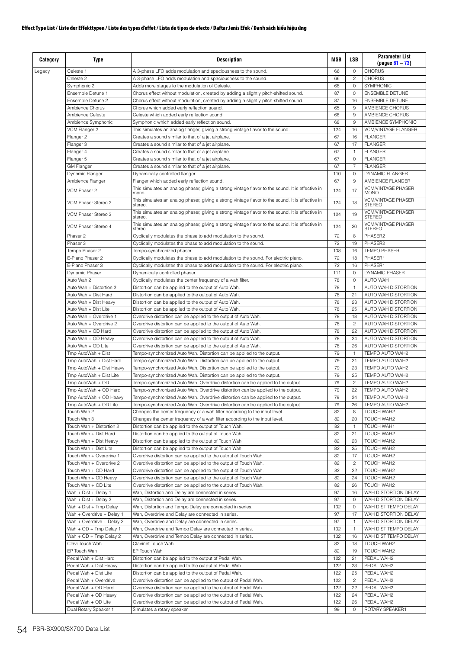| Category | Type                                               | <b>Description</b>                                                                                                                                                         | <b>MSB</b> | <b>LSB</b>           | <b>Parameter List</b><br>$(pa$ us 61 – 73)       |
|----------|----------------------------------------------------|----------------------------------------------------------------------------------------------------------------------------------------------------------------------------|------------|----------------------|--------------------------------------------------|
| Legacy   | Celeste 1                                          | A 3-phase LFO adds modulation and spaciousness to the sound.                                                                                                               | 66         | $\circ$              | <b>CHORUS</b>                                    |
|          | Celeste 2                                          | A 3-phase LFO adds modulation and spaciousness to the sound.                                                                                                               | 66         | $\overline{c}$       | <b>CHORUS</b>                                    |
|          | Symphonic 2                                        | Adds more stages to the modulation of Celeste.                                                                                                                             | 68         | $\mathbf{0}$         | SYMPHONIC                                        |
|          | Ensemble Detune 1<br>Ensemble Detune 2             | Chorus effect without modulation, created by adding a slightly pitch-shifted sound.<br>Chorus effect without modulation, created by adding a slightly pitch-shifted sound. | 87<br>87   | $\circ$<br>16        | <b>ENSEMBLE DETUNE</b><br><b>ENSEMBLE DETUNE</b> |
|          | Ambience Chorus                                    | Chorus which added early reflection sound.                                                                                                                                 | 65         | 9                    | AMBIENCE CHORUS                                  |
|          | Ambience Celeste                                   | Celeste which added early reflection sound.                                                                                                                                | 66         | 9                    | AMBIENCE CHORUS                                  |
|          | Ambience Symphonic                                 | Symphonic which added early reflection sound.                                                                                                                              | 68         | $\overline{9}$       | AMBIENCE SYMPHONIC                               |
|          | VCM Flanger 2                                      | This simulates an analog flanger, giving a strong vintage flavor to the sound.                                                                                             | 124        | 16                   | <b>VCM/VINTAGE FLANGER</b>                       |
|          | Flanger 2                                          | Creates a sound similar to that of a jet airplane.                                                                                                                         | 67         | 16                   | <b>FLANGER</b>                                   |
|          | Flanger 3                                          | Creates a sound similar to that of a jet airplane.                                                                                                                         | 67         | 17                   | <b>FLANGER</b>                                   |
|          | Flanger 4                                          | Creates a sound similar to that of a jet airplane.                                                                                                                         | 67         | $\mathbf{1}$         | <b>FLANGER</b>                                   |
|          | Flanger 5                                          | Creates a sound similar to that of a jet airplane.                                                                                                                         | 67         | $\mathbf{0}$         | FI ANGFR                                         |
|          | <b>GM Flanger</b>                                  | Creates a sound similar to that of a jet airplane.                                                                                                                         | 67         | $\overline{7}$       | <b>FLANGER</b>                                   |
|          | Dynamic Flanger<br>Ambience Flanger                | Dynamically controlled flanger.<br>Flanger which added early reflection sound.                                                                                             | 110<br>67  | $\mathbf{0}$<br>9    | DYNAMIC FLANGER<br>AMBIENCE FLANGER              |
|          |                                                    | This simulates an analog phaser, giving a strong vintage flavor to the sound. It is effective in                                                                           |            |                      | <b>VCM/VINTAGE PHASER</b>                        |
|          | VCM Phaser 2                                       | mono.<br>This simulates an analog phaser, giving a strong vintage flavor to the sound. It is effective in                                                                  | 124        | 17                   | <b>MONO</b><br><b>VCM/VINTAGE PHASER</b>         |
|          | VCM Phaser Stereo 2                                | stereo.                                                                                                                                                                    | 124        | 18                   | <b>STEREO</b>                                    |
|          | VCM Phaser Stereo 3                                | This simulates an analog phaser, giving a strong vintage flavor to the sound. It is effective in<br>stereo.                                                                | 124        | 19                   | <b>VCM/VINTAGE PHASER</b><br><b>STEREO</b>       |
|          | VCM Phaser Stereo 4                                | This simulates an analog phaser, giving a strong vintage flavor to the sound. It is effective in<br>stereo.                                                                | 124        | 20                   | <b>VCM/VINTAGE PHASER</b><br><b>STEREO</b>       |
|          | Phaser 2<br>Phaser 3                               | Cyclically modulates the phase to add modulation to the sound.<br>Cyclically modulates the phase to add modulation to the sound.                                           | 72<br>72   | 8<br>19              | PHASER2<br>PHASER2                               |
|          | Tempo Phaser 2                                     | Tempo-synchronized phaser.                                                                                                                                                 | 108        | 16                   | <b>TEMPO PHASER</b>                              |
|          | F-Piano Phaser 2                                   | Cyclically modulates the phase to add modulation to the sound. For electric piano.                                                                                         | 72         | 18                   | PHASER1                                          |
|          | F-Piano Phaser 3                                   | Cyclically modulates the phase to add modulation to the sound. For electric piano.                                                                                         | 72         | 16                   | PHASFR1                                          |
|          | Dynamic Phaser                                     | Dynamically controlled phaser.                                                                                                                                             | 111        | $\circ$              | DYNAMIC PHASER                                   |
|          | Auto Wah 2                                         | Cyclically modulates the center frequency of a wah filter.                                                                                                                 | 78         | $\mathbf 0$          | <b>AUTO WAH</b>                                  |
|          | Auto Wah + Distortion 2                            | Distortion can be applied to the output of Auto Wah.                                                                                                                       | 78         | $\mathbf{1}$         | AUTO WAH DISTORTION                              |
|          | Auto Wah + Dist Hard                               | Distortion can be applied to the output of Auto Wah.                                                                                                                       | 78         | 21                   | AUTO WAH DISTORTION                              |
|          | Auto Wah + Dist Heavy                              | Distortion can be applied to the output of Auto Wah.                                                                                                                       | 78         | 23                   | AUTO WAH DISTORTION                              |
|          | Auto Wah + Dist Lite                               | Distortion can be applied to the output of Auto Wah.                                                                                                                       | 78         | 25                   | AUTO WAH DISTORTION                              |
|          | Auto Wah + Overdrive 1                             | Overdrive distortion can be applied to the output of Auto Wah.                                                                                                             | 78         | 18                   | AUTO WAH DISTORTION                              |
|          | Auto Wah + Overdrive 2                             | Overdrive distortion can be applied to the output of Auto Wah.                                                                                                             | 78         | $\overline{c}$       | AUTO WAH DISTORTION                              |
|          | Auto Wah + OD Hard                                 | Overdrive distortion can be applied to the output of Auto Wah.                                                                                                             | 78         | 22                   | AUTO WAH DISTORTION                              |
|          | Auto Wah + OD Heavy                                | Overdrive distortion can be applied to the output of Auto Wah.                                                                                                             | 78         | 24                   | AUTO WAH DISTORTION                              |
|          | Auto Wah + OD Lite<br>Tmp AutoWah + Dist           | Overdrive distortion can be applied to the output of Auto Wah.                                                                                                             | 78<br>79   | 26<br>$\mathbf{1}$   | AUTO WAH DISTORTION<br>TEMPO AUTO WAH2           |
|          | Tmp AutoWah + Dist Hard                            | Tempo-synchronized Auto Wah. Distortion can be applied to the output.<br>Tempo-synchronized Auto Wah. Distortion can be applied to the output.                             | 79         | 21                   | TEMPO AUTO WAH2                                  |
|          | Tmp AutoWah + Dist Heavy                           | Tempo-synchronized Auto Wah. Distortion can be applied to the output.                                                                                                      | 79         | 23                   | TEMPO AUTO WAH2                                  |
|          | Tmp AutoWah + Dist Lite                            | Tempo-synchronized Auto Wah. Distortion can be applied to the output.                                                                                                      | 79         | 25                   | TEMPO AUTO WAH2                                  |
|          | Tmp AutoWah + OD                                   | Tempo-synchronized Auto Wah. Overdrive distortion can be applied to the output.                                                                                            | 79         | $\overline{c}$       | TEMPO AUTO WAH2                                  |
|          | Tmp AutoWah + OD Hard                              | Tempo-synchronized Auto Wah. Overdrive distortion can be applied to the output.                                                                                            | 79         | 22                   | TEMPO AUTO WAH2                                  |
|          | Tmp AutoWah + OD Heavy                             | Tempo-synchronized Auto Wah. Overdrive distortion can be applied to the output.                                                                                            | 79         | 24                   | TEMPO AUTO WAH2                                  |
|          | Tmp AutoWah + OD Lite                              | Tempo-synchronized Auto Wah. Overdrive distortion can be applied to the output.                                                                                            | 79         | 26                   | TEMPO AUTO WAH2                                  |
|          | Touch Wah 2                                        | Changes the center frequency of a wah filter according to the input level.                                                                                                 | 82         | 8                    | TOUCH WAH2                                       |
|          | Touch Wah 3                                        | Changes the center frequency of a wah filter according to the input level.                                                                                                 | 82         | 20                   | TOUCH WAH2                                       |
|          | Touch Wah + Distortion 2                           | Distortion can be applied to the output of Touch Wah.                                                                                                                      | 82         | $\mathbf{1}$         | TOUCH WAH1                                       |
|          | Touch Wah + Dist Hard                              | Distortion can be applied to the output of Touch Wah.                                                                                                                      | 82         | 21                   | TOUCH WAH2                                       |
|          | Touch Wah + Dist Heavy                             | Distortion can be applied to the output of Touch Wah.                                                                                                                      | 82         | 23                   | TOUCH WAH2                                       |
|          | Touch Wah + Dist Lite                              | Distortion can be applied to the output of Touch Wah.                                                                                                                      | 82<br>82   | 25                   | TOUCH WAH2                                       |
|          | Touch Wah + Overdrive 1<br>Touch Wah + Overdrive 2 | Overdrive distortion can be applied to the output of Touch Wah.<br>Overdrive distortion can be applied to the output of Touch Wah.                                         | 82         | 17<br>$\overline{c}$ | TOUCH WAH2<br>TOUCH WAH2                         |
|          | Touch Wah + OD Hard                                | Overdrive distortion can be applied to the output of Touch Wah.                                                                                                            | 82         | 22                   | TOUCH WAH2                                       |
|          | Touch Wah + OD Heavy                               | Overdrive distortion can be applied to the output of Touch Wah.                                                                                                            | 82         | 24                   | TOUCH WAH2                                       |
|          | Touch Wah + OD Lite                                | Overdrive distortion can be applied to the output of Touch Wah.                                                                                                            | 82         | 26                   | TOUCH WAH2                                       |
|          | Wah + Dist + Delay 1                               | Wah, Distortion and Delay are connected in series.                                                                                                                         | 97         | 16                   | WAH DISTORTION DELAY                             |
|          | Wah + Dist + Delay 2                               | Wah, Distortion and Delay are connected in series.                                                                                                                         | 97         | 0                    | WAH DISTORTION DELAY                             |
|          | Wah + Dist + Tmp Delay                             | Wah, Distortion and Tempo Delay are connected in series.                                                                                                                   | 102        | 0                    | WAH DIST TEMPO DELAY                             |
|          | Wah + Overdrive + Delay 1                          | Wah, Overdrive and Delay are connected in series.                                                                                                                          | 97         | 17                   | WAH DISTORTION DELAY                             |
|          | Wah + Overdrive + Delay 2                          | Wah, Overdrive and Delay are connected in series.                                                                                                                          | 97         | $\mathbf{1}$         | WAH DISTORTION DELAY                             |
|          | Wah + OD + Tmp Delay 1                             | Wah, Overdrive and Tempo Delay are connected in series.                                                                                                                    | 102        | $\mathbf{1}$         | WAH DIST TEMPO DELAY                             |
|          | Wah + OD + Tmp Delay 2                             | Wah, Overdrive and Tempo Delay are connected in series.                                                                                                                    | 102        | 16                   | WAH DIST TEMPO DELAY                             |
|          | Clavi Touch Wah                                    | Clavinet Touch Wah                                                                                                                                                         | 82         | 18                   | TOUCH WAH2                                       |
|          | EP Touch Wah                                       | EP Touch Wah                                                                                                                                                               | 82         | 19                   | TOUCH WAH2                                       |
|          | Pedal Wah + Dist Hard<br>Pedal Wah + Dist Heavy    | Distortion can be applied to the output of Pedal Wah.<br>Distortion can be applied to the output of Pedal Wah.                                                             | 122<br>122 | 21<br>23             | PEDAL WAH2<br>PEDAL WAH2                         |
|          | Pedal Wah + Dist Lite                              | Distortion can be applied to the output of Pedal Wah.                                                                                                                      | 122        | 25                   | PEDAL WAH2                                       |
|          | Pedal Wah + Overdrive                              | Overdrive distortion can be applied to the output of Pedal Wah.                                                                                                            | 122        | $\overline{c}$       | PEDAL WAH2                                       |
|          | Pedal Wah + OD Hard                                | Overdrive distortion can be applied to the output of Pedal Wah.                                                                                                            | 122        | 22                   | PEDAL WAH2                                       |
|          | Pedal Wah + OD Heavy                               | Overdrive distortion can be applied to the output of Pedal Wah.                                                                                                            | 122        | 24                   | PEDAL WAH2                                       |
|          | Pedal Wah + OD Lite                                | Overdrive distortion can be applied to the output of Pedal Wah.                                                                                                            | 122        | 26                   | PEDAL WAH2                                       |
|          | Dual Rotary Speaker 1                              | Simulates a rotary speaker.                                                                                                                                                | 99         | 0                    | ROTARY SPEAKER1                                  |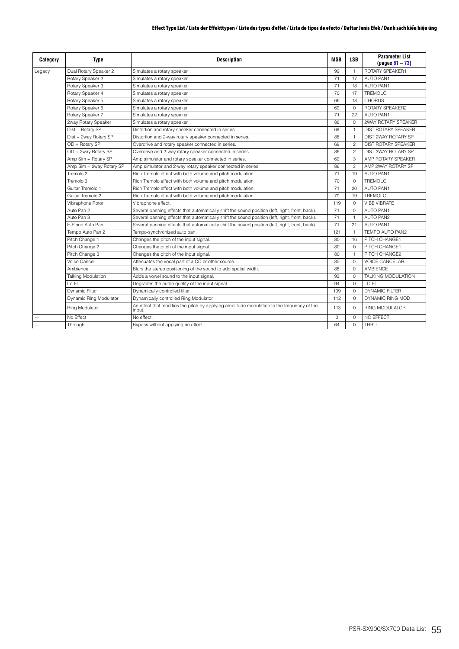| Category       | <b>Type</b>               | <b>Description</b>                                                                                   | <b>MSB</b> | <b>LSB</b>     | <b>Parameter List</b><br>$( pages 61 - 73)$ |
|----------------|---------------------------|------------------------------------------------------------------------------------------------------|------------|----------------|---------------------------------------------|
| Legacy         | Dual Rotary Speaker 2     | Simulates a rotary speaker.                                                                          | 99         | $\mathbf{1}$   | ROTARY SPEAKER1                             |
|                | Rotary Speaker 2          | Simulates a rotary speaker.                                                                          | 71         | 17             | <b>AUTO PAN1</b>                            |
|                | Rotary Speaker 3          | Simulates a rotary speaker.                                                                          | 71         | 18             | <b>AUTO PAN1</b>                            |
|                | Rotary Speaker 4          | Simulates a rotary speaker.                                                                          | 70         | 17             | <b>TREMOLO</b>                              |
|                | Rotary Speaker 5          | Simulates a rotary speaker.                                                                          | 66         | 18             | <b>CHORUS</b>                               |
|                | Rotary Speaker 6          | Simulates a rotary speaker.                                                                          | 69         | $\Omega$       | ROTARY SPEAKER2                             |
|                | Rotary Speaker 7          | Simulates a rotary speaker.                                                                          | 71         | 22             | <b>AUTO PAN1</b>                            |
|                | 2way Rotary Speaker       | Simulates a rotary speaker.                                                                          | 86         | $\Omega$       | 2WAY ROTARY SPEAKER                         |
|                | Dist + Rotary SP          | Distortion and rotary speaker connected in series.                                                   | 69         | $\mathbf{1}$   | <b>DIST ROTARY SPEAKER</b>                  |
|                | Dist + 2way Rotary SP     | Distortion and 2-way rotary speaker connected in series.                                             | 86         | $\mathbf{1}$   | DIST 2WAY ROTARY SP                         |
|                | OD + Rotary SP            | Overdrive and rotary speaker connected in series.                                                    | 69         | $\overline{c}$ | <b>DIST ROTARY SPEAKER</b>                  |
|                | OD + 2way Rotary SP       | Overdrive and 2-way rotary speaker connected in series.                                              | 86         | $\overline{c}$ | DIST 2WAY ROTARY SP                         |
|                | Amp Sim + Rotary SP       | Amp simulator and rotary speaker connected in series.                                                | 69         | 3              | AMP ROTARY SPEAKER                          |
|                | Amp Sim + 2way Rotary SP  | Amp simulator and 2-way rotary speaker connected in series.                                          | 86         | 3              | AMP 2WAY ROTARY SP                          |
|                | Tremolo 2                 | Rich Tremolo effect with both volume and pitch modulation.                                           | 71         | 19             | <b>AUTO PAN1</b>                            |
|                | Tremolo 3                 | Rich Tremolo effect with both volume and pitch modulation.                                           | 70         | $\Omega$       | TREMOLO                                     |
|                | Guitar Tremolo 1          | Rich Tremolo effect with both volume and pitch modulation.                                           | 71         | 20             | AUTO PAN1                                   |
|                | Guitar Tremolo 2          | Rich Tremolo effect with both volume and pitch modulation.                                           | 70         | 19             | <b>TREMOLO</b>                              |
|                | Vibraphone Rotor          | Vibraphone effect.                                                                                   | 119        | $\Omega$       | <b>VIBE VIBRATE</b>                         |
|                | Auto Pan 2                | Several panning effects that automatically shift the sound position (left, right, front, back).      | 71         | $\Omega$       | <b>AUTO PAN1</b>                            |
|                | Auto Pan 3                | Several panning effects that automatically shift the sound position (left, right, front, back).      | 71         | $\overline{1}$ | <b>AUTO PAN2</b>                            |
|                | F-Piano Auto Pan          | Several panning effects that automatically shift the sound position (left, right, front, back).      | 71         | 21             | <b>AUTO PAN1</b>                            |
|                | Tempo Auto Pan 2          | Tempo-synchronized auto pan.                                                                         | 121        | $\overline{1}$ | TEMPO AUTO PAN2                             |
|                | Pitch Change 1            | Changes the pitch of the input signal.                                                               | 80         | 16             | PITCH CHANGE1                               |
|                | Pitch Change 2            | Changes the pitch of the input signal.                                                               | 80         | $\Omega$       | PITCH CHANGE1                               |
|                | Pitch Change 3            | Changes the pitch of the input signal.                                                               | 80         | $\mathbf{1}$   | PITCH CHANGE2                               |
|                | Voice Cancel              | Attenuates the vocal part of a CD or other source.                                                   | 85         | $\Omega$       | <b>VOICE CANCELAR</b>                       |
|                | Ambience                  | Blurs the stereo positioning of the sound to add spatial width.                                      | 88         | $\Omega$       | AMBIENCE                                    |
|                | <b>Talking Modulation</b> | Adds a vowel sound to the input signal.                                                              | 93         | $\Omega$       | TALKING MODULATION                          |
|                | Lo-Fi                     | Degrades the audio quality of the input signal.                                                      | 94         | $\Omega$       | LO FI                                       |
|                | <b>Dynamic Filter</b>     | Dynamically controlled filter.                                                                       | 109        | $\Omega$       | <b>DYNAMIC FILTER</b>                       |
|                | Dynamic Ring Modulator    | Dynamically controlled Ring Modulator.                                                               | 112        | $\Omega$       | DYNAMIC RING MOD                            |
|                | <b>Ring Modulator</b>     | An effect that modifies the pitch by applying amplitude modulation to the frequency of the<br>input. | 113        | $\Omega$       | <b>RING MODULATOR</b>                       |
|                | No Effect                 | No effect.                                                                                           | $\circ$    | $\Omega$       | <b>NO EFFECT</b>                            |
| $\overline{a}$ | Through                   | Bypass without applying an effect.                                                                   | 64         | $\Omega$       | THRU                                        |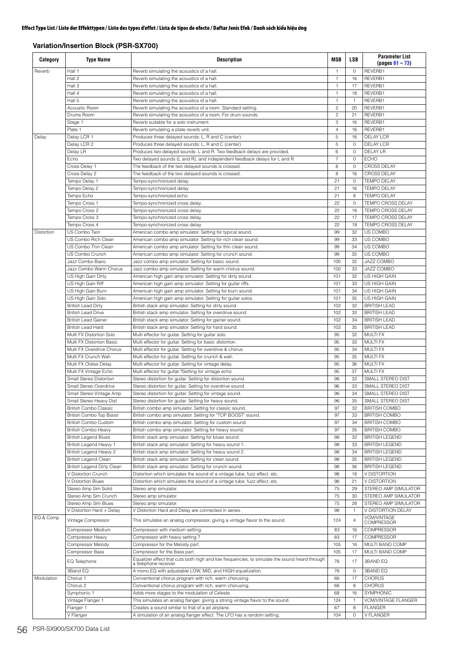# **Variation/Insertion Block (PSR-SX700)**

| Category   | <b>Type Name</b>                                      | <b>Description</b>                                                                                                                                    | <b>MSB</b>          | LSB               | <b>Parameter List</b><br>$(pages 61 - 73)$   |
|------------|-------------------------------------------------------|-------------------------------------------------------------------------------------------------------------------------------------------------------|---------------------|-------------------|----------------------------------------------|
| Reverb     | Hall 1                                                | Reverb simulating the acoustics of a hall.                                                                                                            | -1                  | $\mathbf{0}$      | REVERB1                                      |
|            | Hall 2                                                | Reverb simulating the acoustics of a hall.                                                                                                            | $\mathbf{1}$        | 16                | REVERB1                                      |
|            | Hall 3                                                | Reverb simulating the acoustics of a hall.                                                                                                            | $\mathbf{1}$        | 17                | REVERB1                                      |
|            | Hall 4                                                | Reverb simulating the acoustics of a hall.                                                                                                            | $\mathbf{1}$        | 18                | REVERB1                                      |
|            | Hall 5                                                | Reverb simulating the acoustics of a hall.                                                                                                            | $\mathbf{1}$        | $\mathbf{1}$      | REVERB1                                      |
|            | <b>Acoustic Room</b>                                  | Reverb simulating the acoustics of a room. Standard setting.                                                                                          | $\overline{c}$      | 20                | REVERB1                                      |
|            | Drums Room                                            | Reverb simulating the acoustics of a room. For drum sounds.                                                                                           | $\overline{c}$      | 21                | REVERB1                                      |
|            | Stage 1                                               | Reverb suitable for a solo instrument.                                                                                                                | 3                   | 16                | REVERB1                                      |
|            | Plate 1                                               | Reverb simulating a plate reverb unit.                                                                                                                | $\overline{4}$      | 16                | REVERB1                                      |
| Delay      | Delay LCR 1                                           | Produces three delayed sounds: L, R and C (center).                                                                                                   | 5                   | 16                | <b>DELAY LCR</b>                             |
|            | Delay LCR 2                                           | Produces three delayed sounds: L, R and C (center).                                                                                                   | 5                   | 0                 | <b>DELAY LCR</b>                             |
|            | Delay LR<br>Echo                                      | Produces two delayed sounds: L and R. Two feedback delays are provided.<br>Two delayed sounds (L and R), and independent feedback delays for L and R. | 6<br>$\overline{7}$ | 0<br>$\mathbf{0}$ | <b>DELAY LR</b><br><b>ECHO</b>               |
|            | Cross Delay 1                                         | The feedback of the two delayed sounds is crossed.                                                                                                    | 8                   | $\circ$           | <b>CROSS DELAY</b>                           |
|            | Cross Delay 2                                         | The feedback of the two delayed sounds is crossed.                                                                                                    | 8                   | 16                | <b>CROSS DELAY</b>                           |
|            | Tempo Delay 1                                         | Tempo-synchronized delay.                                                                                                                             | 21                  | 0                 | <b>TEMPO DELAY</b>                           |
|            | Tempo Delay 2                                         | Tempo-synchronized delay.                                                                                                                             | 21                  | 16                | <b>TEMPO DELAY</b>                           |
|            | Tempo Echo                                            | Tempo-synchronized echo.                                                                                                                              | 21                  | 8                 | <b>TEMPO DELAY</b>                           |
|            | Tempo Cross 1                                         | Tempo-synchronized cross delay.                                                                                                                       | 22                  | $\circ$           | TEMPO CROSS DELAY                            |
|            | Tempo Cross 2                                         | Tempo-synchronized cross delay.                                                                                                                       | 22                  | 16                | TEMPO CROSS DELAY                            |
|            | Tempo Cross 3                                         | Tempo-synchronized cross delay.                                                                                                                       | 22                  | 17                | TEMPO CROSS DELAY                            |
|            | Tempo Cross 4                                         | Tempo-synchronized cross delay.                                                                                                                       | 22                  | 18                | <b>TEMPO CROSS DELAY</b>                     |
| Distortion | US Combo Twin                                         | American combo amp simulator. Setting for typical sound.                                                                                              | 99                  | 32                | US COMBO                                     |
|            | <b>US Combo Rich Clean</b><br>US Combo Thin Clean     | American combo amp simulator. Setting for rich clean sound.                                                                                           | 99<br>99            | 33<br>34          | US COMBO                                     |
|            | US Combo Crunch                                       | American combo amp simulator. Setting for thin clean sound.<br>American combo amp simulator. Setting for crunch sound.                                | 99                  | 35                | US COMBO<br>US COMBO                         |
|            | Jazz Combo Basic                                      | Jazz combo amp simulator. Setting for basic sound.                                                                                                    | 100                 | 32                | <b>JAZZ COMBO</b>                            |
|            | Jazz Combo Warm Chorus                                | Jazz combo amp simulator. Setting for warm chorus sound.                                                                                              | 100                 | 33                | <b>JAZZ COMBO</b>                            |
|            | US High Gain Dirty                                    | American high gain amp simulator. Setting for dirty sound.                                                                                            | 101                 | 32                | US HIGH GAIN                                 |
|            | US High Gain Riff                                     | American high gain amp simulator. Setting for guitar riffs.                                                                                           | 101                 | 33                | US HIGH GAIN                                 |
|            | US High Gain Burn                                     | American high gain amp simulator. Setting for burn sound.                                                                                             | 101                 | 34                | US HIGH GAIN                                 |
|            | US High Gain Solo                                     | American high gain amp simulator. Setting for guitar solos.                                                                                           | 101                 | 35                | US HIGH GAIN                                 |
|            | <b>British Lead Dirty</b>                             | British stack amp simulator. Setting for dirty sound.                                                                                                 | 102                 | 32                | <b>BRITISH LEAD</b>                          |
|            | <b>British Lead Drive</b>                             | British stack amp simulator. Setting for overdrive sound.                                                                                             | 102                 | 33                | <b>BRITISH LEAD</b>                          |
|            | <b>British Lead Gainer</b>                            | British stack amp simulator. Setting for gainer sound.                                                                                                | 102                 | 34                | <b>BRITISH LEAD</b>                          |
|            | <b>British Lead Hard</b>                              | British stack amp simulator. Setting for hard sound.                                                                                                  | 102                 | 35                | <b>BRITISH LEAD</b>                          |
|            | Multi FX Distortion Solo<br>Multi FX Distortion Basic | Multi effector for guitar. Setting for guitar solo.                                                                                                   | 95<br>95            | 32<br>33          | <b>MULTI FX</b><br><b>MULTI FX</b>           |
|            | Multi FX Overdrive Chorus                             | Multi effector for guitar. Setting for basic distortion.<br>Multi effector for guitar. Setting for overdrive & chorus.                                | 95                  | 34                | <b>MULTI FX</b>                              |
|            | Multi FX Crunch Wah                                   | Multi effector for guitar. Setting for crunch & wah.                                                                                                  | 95                  | 35                | <b>MULTI FX</b>                              |
|            | Multi FX Oldies Delay                                 | Multi effector for guitar. Setting for vintage delay.                                                                                                 | 95                  | 36                | <b>MULTI FX</b>                              |
|            | Multi FX Vintage Echo                                 | Multi effector for guitar.?Setting for vintage echo.                                                                                                  | 95                  | 37                | <b>MULTI FX</b>                              |
|            | Small Stereo Distortion                               | Stereo distortion for guitar. Setting for distortion sound.                                                                                           | 96                  | 32                | SMALL STEREO DIST                            |
|            | Small Stereo Overdrive                                | Stereo distortion for quitar. Setting for overdrive sound.                                                                                            | 96                  | 33                | SMALL STEREO DIST                            |
|            | Small Stereo Vintage Amp                              | Stereo distortion for guitar. Setting for vintage sound.                                                                                              | 96                  | 34                | SMALL STEREO DIST                            |
|            | Small Stereo Heavy Dist                               | Stereo distortion for guitar. Setting for heavy sound.                                                                                                | 96                  | 35                | SMALL STEREO DIST                            |
|            | <b>British Combo Classic</b>                          | British combo amp simulator. Setting for classic sound.                                                                                               | 97                  | 32                | <b>BRITISH COMBO</b><br><b>BRITISH COMBO</b> |
|            | British Combo Top Boost<br>British Combo Custom       | British combo amp simulator. Setting for "TOP BOOST" sound.<br>British combo amp simulator. Setting for custom sound.                                 | 97<br>97            | 33<br>34          | <b>BRITISH COMBO</b>                         |
|            | <b>British Combo Heavy</b>                            | British combo amp simulator. Setting for heavy sound.                                                                                                 | 97                  | 35                | <b>BRITISH COMBO</b>                         |
|            | <b>British Legend Blues</b>                           | British stack amp simulator. Setting for blues sound.                                                                                                 | 98                  | 32                | <b>BRITISH LEGEND</b>                        |
|            | British Legend Heavy 1                                | British stack amp simulator. Setting for heavy sound 1.                                                                                               | 98                  | 33                | <b>BRITISH LEGEND</b>                        |
|            | British Legend Heavy 2                                | British stack amp simulator. Setting for heavy sound 2.                                                                                               | 98                  | 34                | <b>BRITISH LEGEND</b>                        |
|            | <b>British Legend Clean</b>                           | British stack amp simulator. Setting for clean sound.                                                                                                 | 98                  | 35                | <b>BRITISH LEGEND</b>                        |
|            | British Legend Dirty Clean                            | British stack amp simulator. Setting for crunch sound.                                                                                                | 98                  | 36                | <b>BRITISH LEGEND</b>                        |
|            | V Distortion Crunch                                   | Distortion which simulates the sound of a vintage tube, fuzz effect, etc.                                                                             | 98                  | 18                | V DISTORTION                                 |
|            | V Distortion Blues                                    | Distortion which simulates the sound of a vintage tube, fuzz effect, etc.                                                                             | 98                  | 21                | <b>V DISTORTION</b>                          |
|            | Stereo Amp Sim Solid                                  | Stereo amp simulator.                                                                                                                                 | 75                  | 29                | STEREO AMP SIMULATOR                         |
|            | Stereo Amp Sim Crunch                                 | Stereo amp simulator.                                                                                                                                 | 75<br>75            | 30<br>28          | STEREO AMP SIMULATOR<br>STEREO AMP SIMULATOR |
|            | Stereo Amp Sim Blues<br>V Distortion Hard + Delay     | Stereo amp simulator.<br>V Distortion Hard and Delay are connected in series.                                                                         | 98                  | 1                 | V DISTORTION DELAY                           |
| EQ & Comp  |                                                       |                                                                                                                                                       |                     |                   | VCM/VINTAGE                                  |
|            | Vintage Compressor                                    | This simulates an analog compressor, giving a vintage flavor to the sound.                                                                            | 124                 | $\overline{4}$    | <b>COMPRESSOR</b>                            |
|            | Compressor Medium                                     | Compressor with medium setting.                                                                                                                       | 83                  | 16                | <b>COMPRESSOR</b>                            |
|            | Compressor Heavy                                      | Compressor with heavy setting.?                                                                                                                       | 83                  | 17                | COMPRESSOR                                   |
|            | Compressor Melody                                     | Compressor for the Melody part.                                                                                                                       | 105                 | 16                | MULTI BAND COMP                              |
|            | Compressor Bass                                       | Compressor for the Bass part.                                                                                                                         | 105                 | 17                | MULTI BAND COMP                              |
|            | EQ Telephone                                          | Equalizer effect that cuts both high and low frequencies, to simulate the sound heard through<br>a telephone receiver.                                | 76                  | 17                | 3BAND EQ                                     |
|            | 3Band EQ                                              | A mono EQ with adjustable LOW, MID, and HIGH equalization.                                                                                            | 76                  | $\mathsf O$       | <b>3BAND EQ</b>                              |
| Modulation | Chorus 1                                              | Conventional chorus program with rich, warm chorusing.                                                                                                | 66                  | 17                | <b>CHORUS</b>                                |
|            | Chorus <sub>2</sub>                                   | Conventional chorus program with rich, warm chorusing.                                                                                                | 66                  | 8                 | <b>CHORUS</b>                                |
|            | Symphonic 1                                           | Adds more stages to the modulation of Celeste.                                                                                                        | 68                  | 16                | <b>SYMPHONIC</b>                             |
|            | Vintage Flanger 1                                     | This simulates an analog flanger, giving a strong vintage flavor to the sound.                                                                        | 124                 | 1                 | <b>VCM/VINTAGE FLANGER</b>                   |
|            | Flanger 1                                             | Creates a sound similar to that of a jet airplane.                                                                                                    | 67                  | 8                 | <b>FLANGER</b>                               |
|            | V Flanger                                             | A simulation of an analog flanger effect. The LFO has a random setting.                                                                               | 104                 | 0                 | V FLANGER                                    |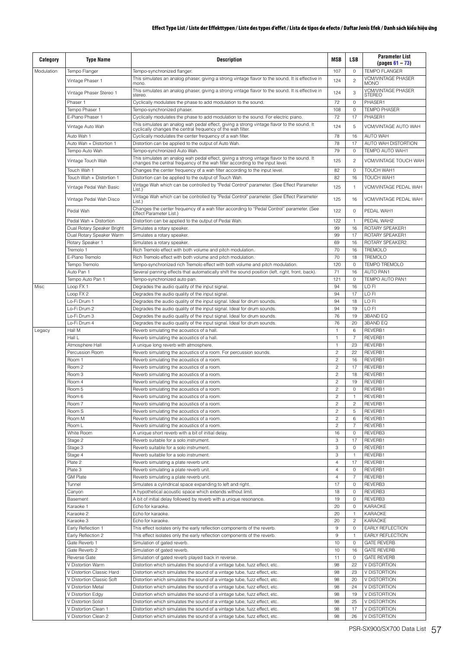| Category   | <b>Type Name</b>                                       | <b>Description</b>                                                                                                                                                       | MSB                     | LSB                  | <b>Parameter List</b><br>$(pa$ us 61 – 73)        |
|------------|--------------------------------------------------------|--------------------------------------------------------------------------------------------------------------------------------------------------------------------------|-------------------------|----------------------|---------------------------------------------------|
| Modulation | Tempo Flanger                                          | Tempo-synchronized flanger.<br>This simulates an analog phaser, giving a strong vintage flavor to the sound. It is effective in                                          | 107                     | 0                    | <b>TEMPO FLANGER</b><br><b>VCM/VINTAGE PHASER</b> |
|            | Vintage Phaser 1                                       | mono.                                                                                                                                                                    | 124                     | $\overline{c}$       | <b>MONO</b>                                       |
|            | Vintage Phaser Stereo 1                                | This simulates an analog phaser, giving a strong vintage flavor to the sound. It is effective in<br>stereo.                                                              | 124                     | 3                    | <b>VCM/VINTAGE PHASER</b><br><b>STEREO</b>        |
|            | Phaser 1                                               | Cyclically modulates the phase to add modulation to the sound.                                                                                                           | 72                      | 0                    | PHASER1                                           |
|            | Tempo Phaser 1                                         | Tempo-synchronized phaser.                                                                                                                                               | 108                     | $\circ$              | <b>TEMPO PHASER</b>                               |
|            | E-Piano Phaser 1                                       | Cyclically modulates the phase to add modulation to the sound. For electric piano.                                                                                       | 72                      | 17                   | PHASER1                                           |
|            | Vintage Auto Wah                                       | This simulates an analog wah pedal effect, giving a strong vintage flavor to the sound. It<br>cyclically changes the central frequency of the wah filter.                | 124                     | 5                    | VCM/VINTAGE AUTO WAH                              |
|            | Auto Wah 1                                             | Cyclically modulates the center frequency of a wah filter.                                                                                                               | 78                      | 16                   | <b>AUTO WAH</b>                                   |
|            | Auto Wah + Distortion 1                                | Distortion can be applied to the output of Auto Wah.                                                                                                                     | 78                      | 17                   | AUTO WAH DISTORTION                               |
|            | Tempo Auto Wah                                         | Tempo-synchronized Auto Wah.                                                                                                                                             | 79                      | 0                    | TEMPO AUTO WAH1                                   |
|            | Vintage Touch Wah                                      | This simulates an analog wah pedal effect, giving a strong vintage flavor to the sound. It changes the central frequency of the wah filter according to the input level. | 125                     | $\overline{c}$       | <b>VCM/VINTAGE TOUCH WAH</b>                      |
|            | Touch Wah 1                                            | Changes the center frequency of a wah filter according to the input level.                                                                                               | 82                      | 0                    | TOUCH WAH1                                        |
|            | Touch Wah + Distortion 1                               | Distortion can be applied to the output of Touch Wah.                                                                                                                    | 82                      | 16                   | <b>TOUCH WAH1</b>                                 |
|            | Vintage Pedal Wah Basic                                | Vintage Wah which can be controlled by "Pedal Control" parameter. (See Effect Parameter<br>List.)                                                                        | 125                     | $\mathbf{1}$         | VCM/VINTAGE PEDAL WAH                             |
|            | Vintage Pedal Wah Disco                                | Vintage Wah which can be controlled by "Pedal Control" parameter. (See Effect Parameter<br>List.)                                                                        | 125                     | 16                   | VCM/VINTAGE PEDAL WAH                             |
|            | Pedal Wah                                              | Changes the center frequency of a wah filter according to "Pedal Control" parameter. (See<br>Effect Parameter List.)                                                     | 122                     | $\circ$              | PEDAL WAH1                                        |
|            | Pedal Wah + Distortion                                 | Distortion can be applied to the output of Pedal Wah.                                                                                                                    | 122                     | $\mathbf{1}$         | PEDAL WAH2                                        |
|            | Dual Rotary Speaker Bright<br>Dual Rotary Speaker Warm | Simulates a rotary speaker.<br>Simulates a rotary speaker.                                                                                                               | 99<br>99                | 16<br>17             | ROTARY SPEAKER1<br>ROTARY SPEAKER1                |
|            | Rotary Speaker 1                                       | Simulates a rotary speaker.                                                                                                                                              | 69                      | 16                   | ROTARY SPEAKER2                                   |
|            | Tremolo 1                                              | Rich Tremolo effect with both volume and pitch modulation.                                                                                                               | 70                      | 16                   | <b>TREMOLO</b>                                    |
|            | E-Piano Tremolo                                        | Rich Tremolo effect with both volume and pitch modulation.                                                                                                               | 70                      | 18                   | <b>TREMOLO</b>                                    |
|            | Tempo Tremolo                                          | Tempo-synchronized rich Tremolo effect with both volume and pitch modulation.                                                                                            | 120                     | 0                    | <b>TEMPO TREMOLO</b>                              |
|            | Auto Pan 1                                             | Several panning effects that automatically shift the sound position (left, right, front, back).                                                                          | 71                      | 16                   | <b>AUTO PAN1</b>                                  |
|            | Tempo Auto Pan 1                                       | Tempo-synchronized auto pan.                                                                                                                                             | 121                     | 0                    | <b>TEMPO AUTO PAN1</b>                            |
| Misc       | Loop FX 1<br>Loop FX 2                                 | Degrades the audio quality of the input signal.<br>Degrades the audio quality of the input signal.                                                                       | 94<br>94                | 16<br>17             | LO FI<br>LO FI                                    |
|            | Lo-Fi Drum 1                                           | Degrades the audio quality of the input signal. Ideal for drum sounds.                                                                                                   | 94                      | 18                   | LO FI                                             |
|            | Lo-Fi Drum 2                                           | Degrades the audio quality of the input signal. Ideal for drum sounds.                                                                                                   | 94                      | 19                   | LO FI                                             |
|            | Lo-Fi Drum 3                                           | Degrades the audio quality of the input signal. Ideal for drum sounds.                                                                                                   | 76                      | 19                   | <b>3BAND EQ</b>                                   |
|            | Lo-Fi Drum 4                                           | Degrades the audio quality of the input signal. Ideal for drum sounds.                                                                                                   | 76                      | 20                   | <b>3BAND EQ</b>                                   |
| Legacy     | Hall M                                                 | Reverb simulating the acoustics of a hall.                                                                                                                               |                         | 6                    | REVERB1                                           |
|            | Hall L<br>Atmosphere Hall                              | Reverb simulating the acoustics of a hall.<br>A unique long reverb with atmosphere.                                                                                      | 1<br>$\mathbf{1}$       | $\overline{7}$<br>23 | REVERB1<br>REVERB1                                |
|            | Percussion Room                                        | Reverb simulating the acoustics of a room. For percussion sounds.                                                                                                        | $\overline{c}$          | 22                   | REVERB1                                           |
|            | Room 1                                                 | Reverb simulating the acoustics of a room.                                                                                                                               | $\overline{c}$          | 16                   | RFVFRB1                                           |
|            | Room <sub>2</sub>                                      | Reverb simulating the acoustics of a room.                                                                                                                               | $\overline{c}$          | 17                   | REVERB1                                           |
|            | Room 3                                                 | Reverb simulating the acoustics of a room.                                                                                                                               | $\overline{a}$          | 18                   | REVERB1                                           |
|            | Room 4                                                 | Reverb simulating the acoustics of a room.                                                                                                                               | $\overline{c}$          | 19                   | REVERB1                                           |
|            | Room 5                                                 | Reverb simulating the acoustics of a room.                                                                                                                               | $\overline{c}$          | $\Omega$             | RFVFRB1                                           |
|            | Room 6<br>Room 7                                       | Reverb simulating the acoustics of a room.<br>Reverb simulating the acoustics of a room.                                                                                 | 2<br>$\overline{c}$     | $\overline{c}$       | REVERB1<br>REVERB1                                |
|            | Room S                                                 | Reverb simulating the acoustics of a room.                                                                                                                               | $\overline{c}$          | 5                    | REVERB1                                           |
|            | Room M                                                 | Reverb simulating the acoustics of a room.                                                                                                                               | $\overline{c}$          | 6                    | REVERB1                                           |
|            | Room L                                                 | Reverb simulating the acoustics of a room.                                                                                                                               | $\overline{\mathbf{c}}$ | $\overline{7}$       | REVERB1                                           |
|            | White Room                                             | A unique short reverb with a bit of initial delay.                                                                                                                       | 16                      | $\circ$              | REVERB3                                           |
|            | Stage 2                                                | Reverb suitable for a solo instrument.                                                                                                                                   | 3                       | 17                   | REVERB1                                           |
|            | Stage 3<br>Stage 4                                     | Reverb suitable for a solo instrument.<br>Reverb suitable for a solo instrument.                                                                                         | 3<br>3                  | 0<br>$\mathbf{1}$    | REVERB1<br>REVERB1                                |
|            | Plate 2                                                | Reverb simulating a plate reverb unit.                                                                                                                                   | 4                       | 17                   | REVERB1                                           |
|            | Plate 3                                                | Reverb simulating a plate reverb unit.                                                                                                                                   | $\overline{4}$          | 0                    | REVERB1                                           |
|            | <b>GM Plate</b>                                        | Reverb simulating a plate reverb unit.                                                                                                                                   | $\overline{4}$          | $\overline{7}$       | REVERB1                                           |
|            | Tunnel                                                 | Simulates a cylindrical space expanding to left and right.                                                                                                               | 17                      | $\mathsf O$          | REVERB3                                           |
|            | Canyon                                                 | A hypothetical acoustic space which extends without limit.                                                                                                               | 18                      | 0                    | REVERB3                                           |
|            | Basement<br>Karaoke 1                                  | A bit of initial delay followed by reverb with a unique resonance.<br>Echo for karaoke.                                                                                  | 19<br>20                | 0<br>$\circ$         | REVERB3<br><b>KARAOKE</b>                         |
|            | Karaoke 2                                              | Echo for karaoke.                                                                                                                                                        | 20                      | 1                    | KARAOKE                                           |
|            | Karaoke 3                                              | Echo for karaoke.                                                                                                                                                        | 20                      | $\overline{c}$       | <b>KARAOKE</b>                                    |
|            | Early Reflection 1                                     | This effect isolates only the early reflection components of the reverb.                                                                                                 | $9\,$                   | $\mathsf O$          | EARLY REFLECTION                                  |
|            | Early Reflection 2                                     | This effect isolates only the early reflection components of the reverb.                                                                                                 | 9                       | $\mathbf{1}$         | EARLY REFLECTION                                  |
|            | Gate Reverb 1                                          | Simulation of gated reverb.                                                                                                                                              | 10                      | $\circ$              | <b>GATE REVERB</b>                                |
|            | Gate Reverb 2                                          | Simulation of gated reverb.                                                                                                                                              | 10                      | 16                   | <b>GATE REVERB</b>                                |
|            | <b>Reverse Gate</b><br>V Distortion Warm               | Simulation of gated reverb played back in reverse.<br>Distortion which simulates the sound of a vintage tube, fuzz effect, etc.                                          | 11<br>98                | $\circ$<br>22        | <b>GATE REVERB</b><br>V DISTORTION                |
|            | V Distortion Classic Hard                              | Distortion which simulates the sound of a vintage tube, fuzz effect, etc.                                                                                                | 98                      | 23                   | V DISTORTION                                      |
|            | V Distortion Classic Soft                              | Distortion which simulates the sound of a vintage tube, fuzz effect, etc.                                                                                                | 98                      | 20                   | V DISTORTION                                      |
|            | V Distortion Metal                                     | Distortion which simulates the sound of a vintage tube, fuzz effect, etc.                                                                                                | 98                      | 24                   | V DISTORTION                                      |
|            | V Distortion Edgy                                      | Distortion which simulates the sound of a vintage tube, fuzz effect, etc.                                                                                                | 98                      | 19                   | V DISTORTION                                      |
|            | V Distortion Solid                                     | Distortion which simulates the sound of a vintage tube, fuzz effect, etc.                                                                                                | 98                      | 25                   | V DISTORTION                                      |
|            | V Distortion Clean 1                                   | Distortion which simulates the sound of a vintage tube, fuzz effect, etc.                                                                                                | 98                      | 17                   | V DISTORTION                                      |
|            | V Distortion Clean 2                                   | Distortion which simulates the sound of a vintage tube, fuzz effect, etc.                                                                                                | 98                      | 26                   | V DISTORTION                                      |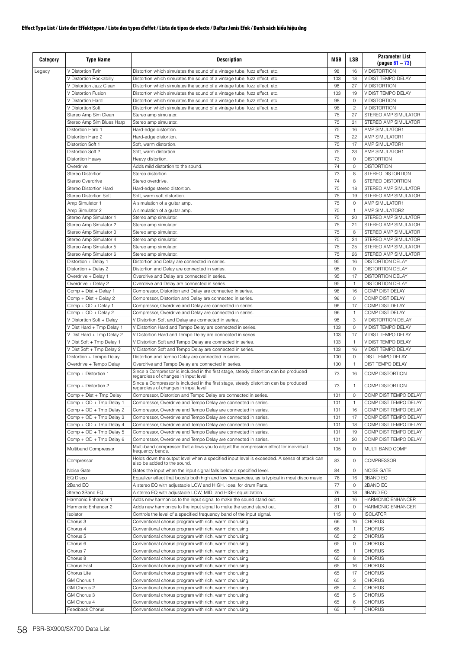| Category | <b>Type Name</b>                           | Description                                                                                                                   | <b>MSB</b> | <b>LSB</b>        | <b>Parameter List</b><br>$(pages 61 - 73)$ |
|----------|--------------------------------------------|-------------------------------------------------------------------------------------------------------------------------------|------------|-------------------|--------------------------------------------|
| Legacy   | V Distortion Twin                          | Distortion which simulates the sound of a vintage tube, fuzz effect, etc.                                                     | 98         | 16                | V DISTORTION                               |
|          | V Distortion Rockabilly                    | Distortion which simulates the sound of a vintage tube, fuzz effect, etc.                                                     | 103        | 18                | V DIST TEMPO DELAY                         |
|          | V Distortion Jazz Clean                    | Distortion which simulates the sound of a vintage tube, fuzz effect, etc.                                                     | 98         | 27                | <b>V DISTORTION</b>                        |
|          | V Distortion Fusion                        | Distortion which simulates the sound of a vintage tube, fuzz effect, etc.                                                     | 103        | 19                | V DIST TEMPO DELAY                         |
|          | V Distortion Hard                          | Distortion which simulates the sound of a vintage tube, fuzz effect, etc.                                                     | 98         | $\circ$           | V DISTORTION                               |
|          | V Distortion Soft                          | Distortion which simulates the sound of a vintage tube, fuzz effect, etc.                                                     | 98         | $\overline{c}$    | V DISTORTION                               |
|          | Stereo Amp Sim Clean                       | Stereo amp simulator.                                                                                                         | 75         | 27                | STEREO AMP SIMULATOR                       |
|          | Stereo Amp Sim Blues Harp                  | Stereo amp simulator.                                                                                                         | 75         | 31                | STEREO AMP SIMULATOR                       |
|          | Distortion Hard 1                          | Hard-edge distortion.                                                                                                         | 75         | 16                | AMP SIMULATOR1                             |
|          | Distortion Hard 2                          | Hard-edge distortion.                                                                                                         | 75         | 22                | AMP SIMULATOR1                             |
|          | Distortion Soft 1                          | Soft, warm distortion.                                                                                                        | 75         | 17                | AMP SIMULATOR1                             |
|          | Distortion Soft 2                          | Soft, warm distortion.                                                                                                        | 75         | 23                | AMP SIMULATOR1                             |
|          | <b>Distortion Heavy</b>                    | Heavy distortion.                                                                                                             | 73         | $\circ$           | <b>DISTORTION</b>                          |
|          | Overdrive                                  | Adds mild distortion to the sound                                                                                             | 74         | $\circ$           | <b>DISTORTION</b>                          |
|          | Stereo Distortion                          | Stereo distortion.                                                                                                            | 73         | 8                 | STEREO DISTORTION                          |
|          | Stereo Overdrive                           | Stereo overdrive.                                                                                                             | 74         | 8                 | STEREO DISTORTION                          |
|          | Stereo Distortion Hard                     | Hard-edge stereo distortion.                                                                                                  | 75         | 18                | STEREO AMP SIMULATOR                       |
|          | Stereo Distortion Soft                     | Soft, warm soft distortion.                                                                                                   | 75         | 19                | STEREO AMP SIMULATOR                       |
|          | Amp Simulator 1                            | A simulation of a guitar amp.                                                                                                 | 75         | $\circ$           | AMP SIMULATOR1                             |
|          | Amp Simulator 2                            | A simulation of a guitar amp.                                                                                                 | 75         | $\mathbf{1}$      | AMP SIMULATOR2                             |
|          | Stereo Amp Simulator 1                     | Stereo amp simulator.                                                                                                         | 75         | 20                | STEREO AMP SIMULATOR                       |
|          | Stereo Amp Simulator 2                     | Stereo amp simulator.                                                                                                         | 75         | 21                | STEREO AMP SIMULATOR                       |
|          | Stereo Amp Simulator 3                     | Stereo amp simulator.                                                                                                         | 75         | 8                 | STEREO AMP SIMULATOR                       |
|          | Stereo Amp Simulator 4                     | Stereo amp simulator.                                                                                                         | 75         | 24                | STEREO AMP SIMULATOR                       |
|          | Stereo Amp Simulator 5                     | Stereo amp simulator.                                                                                                         | 75         | 25                | STEREO AMP SIMULATOR                       |
|          | Stereo Amp Simulator 6                     | Stereo amp simulator.                                                                                                         | 75         | 26                | STEREO AMP SIMULATOR                       |
|          | Distortion + Delay 1                       | Distortion and Delay are connected in series.                                                                                 | 95         | 16                | <b>DISTORTION DELAY</b>                    |
|          | Distortion + Delay 2                       | Distortion and Delay are connected in series.                                                                                 | 95         | $\circ$           | <b>DISTORTION DELAY</b>                    |
|          | Overdrive + Delay 1                        | Overdrive and Delay are connected in series.                                                                                  | 95         | 17                | <b>DISTORTION DELAY</b>                    |
|          | Overdrive + Delay 2                        | Overdrive and Delay are connected in series.                                                                                  | 95         | $\mathbf{1}$      | <b>DISTORTION DELAY</b>                    |
|          | Comp + Dist + Delay 1                      | Compressor, Distortion and Delay are connected in series.                                                                     | 96         | 16                | COMP DIST DELAY                            |
|          | Comp + Dist + Delay 2                      | Compressor, Distortion and Delay are connected in series.                                                                     | 96<br>96   | $\circ$<br>17     | COMP DIST DELAY                            |
|          | Comp + OD + Delay 1<br>Comp + OD + Delay 2 | Compressor, Overdrive and Delay are connected in series.                                                                      | 96         |                   | COMP DIST DELAY<br>COMP DIST DELAY         |
|          | V Distortion Soft + Delay                  | Compressor, Overdrive and Delay are connected in series.                                                                      | 98         | $\mathbf{1}$<br>3 | V DISTORTION DELAY                         |
|          | V Dist Hard + Tmp Delay 1                  | V Distortion Soft and Delay are connected in series.<br>V Distortion Hard and Tempo Delay are connected in series.            | 103        | $\circ$           | V DIST TEMPO DELAY                         |
|          | V Dist Hard + Tmp Delay 2                  | V Distortion Hard and Tempo Delay are connected in series.                                                                    | 103        | 17                | V DIST TEMPO DELAY                         |
|          | V Dist Soft + Tmp Delay 1                  | V Distortion Soft and Tempo Delay are connected in series.                                                                    | 103        | $\mathbf{1}$      | V DIST TEMPO DELAY                         |
|          | V Dist Soft + Tmp Delay 2                  | V Distortion Soft and Tempo Delay are connected in series.                                                                    | 103        | 16                | V DIST TEMPO DELAY                         |
|          | Distortion + Tempo Delay                   | Distortion and Tempo Delay are connected in series.                                                                           | 100        | $\circ$           | DIST TEMPO DELAY                           |
|          | Overdrive + Tempo Delay                    | Overdrive and Tempo Delay are connected in series.                                                                            | 100        | $\mathbf{1}$      | DIST TEMPO DELAY                           |
|          |                                            | Since a Compressor is included in the first stage, steady distortion can be produced                                          |            |                   |                                            |
|          | Comp + Distortion 1                        | regardless of changes in input level.                                                                                         | 73         | 16                | COMP DISTORTION                            |
|          | Comp + Distortion 2                        | Since a Compressor is included in the first stage, steady distortion can be produced<br>regardless of changes in input level. | 73         | $\mathbf{1}$      | COMP DISTORTION                            |
|          | Comp + Dist + Tmp Delay                    | Compressor, Distortion and Tempo Delay are connected in series.                                                               | 101        | 0                 | COMP DIST TEMPO DELAY                      |
|          | Comp + OD + Tmp Delay 1                    | Compressor, Overdrive and Tempo Delay are connected in series.                                                                | 101        | $\mathbf{1}$      | COMP DIST TEMPO DELAY                      |
|          | Comp + OD + Tmp Delay 2                    | Compressor, Overdrive and Tempo Delay are connected in series.                                                                | 101        | 16                | COMP DIST TEMPO DELAY                      |
|          | Comp + OD + Tmp Delay 3                    | Compressor, Overdrive and Tempo Delay are connected in series.                                                                | 101        | 17                | COMP DIST TEMPO DELAY                      |
|          | Comp + OD + Tmp Delay 4                    | Compressor, Overdrive and Tempo Delay are connected in series.                                                                | 101        | 18                | COMP DIST TEMPO DELAY                      |
|          | Comp + OD + Tmp Delay 5                    | Compressor, Overdrive and Tempo Delay are connected in series.                                                                | 101        | 19                | COMP DIST TEMPO DELAY                      |
|          | Comp + OD + Tmp Delay 6                    | Compressor, Overdrive and Tempo Delay are connected in series.                                                                | 101        | 20                | COMP DIST TEMPO DELAY                      |
|          | Multiband Compressor                       | Multi-band compressor that allows you to adjust the compression effect for individual<br>frequency bands.                     | 105        | $\circ$           | MULTI BAND COMP                            |
|          | Compressor                                 | Holds down the output level when a specified input level is exceeded. A sense of attack can<br>also be added to the sound.    | 83         | $\mathbf 0$       | <b>COMPRESSOR</b>                          |
|          | Noise Gate                                 | Gates the input when the input signal falls below a specified level.                                                          | 84         | 0                 | NOISE GATE                                 |
|          | EQ Disco                                   | Equalizer effect that boosts both high and low frequencies, as is typical in most disco music.                                | 76         | 16                | <b>3BAND EQ</b>                            |
|          | 2Band EQ                                   | A stereo EQ with adjustable LOW and HIGH. Ideal for drum Parts.                                                               | 77         | $\mathbf 0$       | 2BAND EQ                                   |
|          | Stereo 3Band EQ                            | A stereo EQ with adjustable LOW, MID, and HIGH equalization.                                                                  | 76         | 18                | 3BAND EQ                                   |
|          | Harmonic Enhancer 1                        | Adds new harmonics to the input signal to make the sound stand out.                                                           | 81         | 16                | HARMONIC ENHANCER                          |
|          | Harmonic Enhancer 2                        | Adds new harmonics to the input signal to make the sound stand out.                                                           | 81         | $\mathbf 0$       | HARMONIC ENHANCER                          |
|          | Isolator                                   | Controls the level of a specified frequency band of the input signal.                                                         | 115        | 0                 | <b>ISOLATOR</b>                            |
|          | Chorus 3                                   | Conventional chorus program with rich, warm chorusing.                                                                        | 66         | 16                | <b>CHORUS</b>                              |
|          | Chorus 4                                   | Conventional chorus program with rich, warm chorusing.                                                                        | 66         | $\mathbf{1}$      | <b>CHORUS</b>                              |
|          | Chorus 5                                   | Conventional chorus program with rich, warm chorusing.                                                                        | 65         | $\overline{c}$    | <b>CHORUS</b>                              |
|          | Chorus 6                                   | Conventional chorus program with rich, warm chorusing.                                                                        | 65         | $\mathbf 0$       | <b>CHORUS</b>                              |
|          | Chorus <sub>7</sub>                        | Conventional chorus program with rich, warm chorusing.                                                                        | 65         | $\mathbf{1}$      | <b>CHORUS</b>                              |
|          | Chorus 8                                   | Conventional chorus program with rich, warm chorusing.                                                                        | 65         | 8                 | <b>CHORUS</b>                              |
|          | Chorus Fast                                | Conventional chorus program with rich, warm chorusing.                                                                        | 65         | 16                | <b>CHORUS</b>                              |
|          | Chorus Lite                                | Conventional chorus program with rich, warm chorusing.                                                                        | 65         | 17                | <b>CHORUS</b>                              |
|          | GM Chorus 1                                | Conventional chorus program with rich, warm chorusing.                                                                        | 65         | 3                 | <b>CHORUS</b>                              |
|          | GM Chorus 2                                | Conventional chorus program with rich, warm chorusing.                                                                        | 65         | $\overline{4}$    | <b>CHORUS</b>                              |
|          | GM Chorus 3                                | Conventional chorus program with rich, warm chorusing.                                                                        | 65         | 5                 | <b>CHORUS</b>                              |
|          | GM Chorus 4                                | Conventional chorus program with rich, warm chorusing.                                                                        | 65         | 6                 | <b>CHORUS</b>                              |
|          | Feedback Chorus                            | Conventional chorus program with rich, warm chorusing.                                                                        | 65         | $\overline{7}$    | <b>CHORUS</b>                              |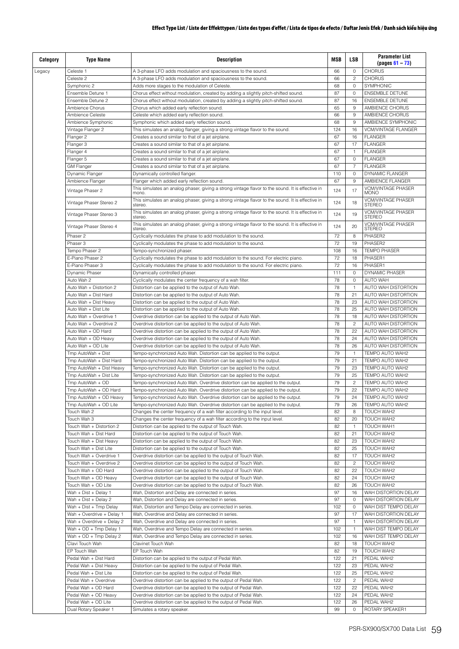| Category | <b>Type Name</b>          | <b>Description</b>                                                                                          | <b>MSB</b> | LSB            | <b>Parameter List</b><br>$(pages 61 - 73)$ |
|----------|---------------------------|-------------------------------------------------------------------------------------------------------------|------------|----------------|--------------------------------------------|
| Legacy   | Celeste 1                 | A 3-phase LFO adds modulation and spaciousness to the sound.                                                | 66         | $\circ$        | <b>CHORUS</b>                              |
|          | Celeste 2                 | A 3-phase LFO adds modulation and spaciousness to the sound.                                                | 66         | $\overline{c}$ | <b>CHORUS</b>                              |
|          | Symphonic 2               | Adds more stages to the modulation of Celeste.                                                              | 68         | $\circ$        | SYMPHONIC                                  |
|          | Ensemble Detune 1         | Chorus effect without modulation, created by adding a slightly pitch-shifted sound.                         | 87         | $\circ$        | <b>ENSEMBLE DETUNE</b>                     |
|          | Ensemble Detune 2         | Chorus effect without modulation, created by adding a slightly pitch-shifted sound.                         | 87         | 16             | <b>ENSEMBLE DETUNE</b>                     |
|          | Ambience Chorus           | Chorus which added early reflection sound.                                                                  | 65         | 9              | AMBIENCE CHORUS                            |
|          | Ambience Celeste          | Celeste which added early reflection sound.                                                                 | 66         | 9              | AMBIENCE CHORUS                            |
|          | Ambience Symphonic        | Symphonic which added early reflection sound.                                                               | 68         | 9              | AMBIENCE SYMPHONIC                         |
|          | Vintage Flanger 2         | This simulates an analog flanger, giving a strong vintage flavor to the sound.                              | 124        | 16             | <b>VCM/VINTAGE FLANGER</b>                 |
|          | Flanger 2                 | Creates a sound similar to that of a jet airplane.                                                          | 67         | 16             | <b>FLANGER</b>                             |
|          | Flanger 3                 | Creates a sound similar to that of a jet airplane.                                                          | 67         | 17             | <b>FLANGER</b>                             |
|          | Flanger 4                 | Creates a sound similar to that of a jet airplane.                                                          | 67         | $\mathbf{1}$   | <b>FLANGER</b>                             |
|          | Flanger 5                 | Creates a sound similar to that of a jet airplane.                                                          | 67         | $\circ$        | <b>FLANGER</b>                             |
|          | <b>GM Flanger</b>         | Creates a sound similar to that of a jet airplane.                                                          | 67         | $\overline{7}$ | <b>FLANGER</b>                             |
|          | Dynamic Flanger           | Dynamically controlled flanger.                                                                             | 110        | $\circ$        | DYNAMIC FLANGER                            |
|          | Ambience Flanger          | Flanger which added early reflection sound.                                                                 | 67         | 9              | AMBIENCE FLANGER                           |
|          | Vintage Phaser 2          | This simulates an analog phaser, giving a strong vintage flavor to the sound. It is effective in<br>mono.   | 124        | 17             | <b>VCM/VINTAGE PHASER</b><br><b>MONO</b>   |
|          | Vintage Phaser Stereo 2   | This simulates an analog phaser, giving a strong vintage flavor to the sound. It is effective in<br>stereo. | 124        | 18             | <b>VCM/VINTAGE PHASER</b><br><b>STEREO</b> |
|          | Vintage Phaser Stereo 3   | This simulates an analog phaser, giving a strong vintage flavor to the sound. It is effective in<br>stereo. | 124        | 19             | <b>VCM/VINTAGE PHASER</b><br><b>STEREO</b> |
|          | Vintage Phaser Stereo 4   | This simulates an analog phaser, giving a strong vintage flavor to the sound. It is effective in<br>stereo  | 124        | 20             | <b>VCM/VINTAGE PHASER</b><br><b>STEREO</b> |
|          | Phaser 2                  | Cyclically modulates the phase to add modulation to the sound.                                              | 72         | 8              | PHASER2                                    |
|          | Phaser 3                  | Cyclically modulates the phase to add modulation to the sound.                                              | 72         | 19             | PHASER2                                    |
|          | Tempo Phaser 2            | Tempo-synchronized phaser.                                                                                  | 108        | 16             | <b>TEMPO PHASER</b>                        |
|          | F-Piano Phaser 2          | Cyclically modulates the phase to add modulation to the sound. For electric piano.                          | 72         | 18             | PHASER1                                    |
|          | E-Piano Phaser 3          | Cyclically modulates the phase to add modulation to the sound. For electric piano.                          | 72         | 16             | PHASER1                                    |
|          | Dynamic Phaser            | Dynamically controlled phaser.                                                                              | 111        | $\circ$        | DYNAMIC PHASER                             |
|          | Auto Wah 2                | Cyclically modulates the center frequency of a wah filter.                                                  | 78         | $\circ$        | <b>AUTO WAH</b>                            |
|          | Auto Wah + Distortion 2   | Distortion can be applied to the output of Auto Wah.                                                        | 78         | $\mathbf{1}$   | AUTO WAH DISTORTION                        |
|          | Auto Wah + Dist Hard      | Distortion can be applied to the output of Auto Wah.                                                        | 78         | 21             | AUTO WAH DISTORTION                        |
|          | Auto Wah + Dist Heavy     | Distortion can be applied to the output of Auto Wah.                                                        | 78         | 23             | AUTO WAH DISTORTION                        |
|          | Auto Wah + Dist Lite      | Distortion can be applied to the output of Auto Wah.                                                        | 78         | 25             | AUTO WAH DISTORTION                        |
|          | Auto Wah + Overdrive 1    | Overdrive distortion can be applied to the output of Auto Wah.                                              | 78         | 18             | AUTO WAH DISTORTION                        |
|          | Auto Wah + Overdrive 2    | Overdrive distortion can be applied to the output of Auto Wah.                                              | 78         | $\overline{c}$ | AUTO WAH DISTORTION                        |
|          | Auto Wah + OD Hard        | Overdrive distortion can be applied to the output of Auto Wah.                                              | 78         | 22             | AUTO WAH DISTORTION                        |
|          | Auto Wah + OD Heavy       | Overdrive distortion can be applied to the output of Auto Wah.                                              | 78         | 24             | AUTO WAH DISTORTION                        |
|          | Auto Wah + OD Lite        | Overdrive distortion can be applied to the output of Auto Wah.                                              | 78         | 26             | AUTO WAH DISTORTION                        |
|          | Tmp AutoWah + Dist        | Tempo-synchronized Auto Wah. Distortion can be applied to the output.                                       | 79         | $\mathbf{1}$   | TEMPO AUTO WAH2                            |
|          | Tmp AutoWah + Dist Hard   | Tempo-synchronized Auto Wah. Distortion can be applied to the output.                                       | 79         | 21             | TEMPO AUTO WAH2                            |
|          | Tmp AutoWah + Dist Heavy  | Tempo-synchronized Auto Wah. Distortion can be applied to the output.                                       | 79         | 23             | TEMPO AUTO WAH2                            |
|          | Tmp AutoWah + Dist Lite   | Tempo-synchronized Auto Wah. Distortion can be applied to the output.                                       | 79         | 25             | TEMPO AUTO WAH2                            |
|          | Tmp AutoWah + OD          | Tempo-synchronized Auto Wah. Overdrive distortion can be applied to the output.                             | 79         | $\overline{c}$ | TEMPO AUTO WAH2                            |
|          | Tmp AutoWah + OD Hard     | Tempo-synchronized Auto Wah. Overdrive distortion can be applied to the output.                             | 79         | 22             | TEMPO AUTO WAH2                            |
|          | Tmp AutoWah + OD Heavy    | Tempo-synchronized Auto Wah. Overdrive distortion can be applied to the output.                             | 79         | 24             | TEMPO AUTO WAH2                            |
|          | Tmp AutoWah + OD Lite     | Tempo-synchronized Auto Wah. Overdrive distortion can be applied to the output.                             | 79         | 26             | TEMPO AUTO WAH2                            |
|          | Touch Wah 2               | Changes the center frequency of a wah filter according to the input level.                                  | 82         | 8              | TOUCH WAH2                                 |
|          | Touch Wah 3               | Changes the center frequency of a wah filter according to the input level.                                  | 82         | 20             | TOUCH WAH2                                 |
|          | Touch Wah + Distortion 2  | Distortion can be applied to the output of Touch Wah.                                                       | 82         | $\mathbf{1}$   | TOUCH WAH1                                 |
|          | Touch Wah + Dist Hard     | Distortion can be applied to the output of Touch Wah.                                                       | 82         | 21             | TOUCH WAH2                                 |
|          | Touch Wah + Dist Heavy    | Distortion can be applied to the output of Touch Wah.                                                       | 82         | 23             | TOUCH WAH2                                 |
|          | Touch Wah + Dist Lite     | Distortion can be applied to the output of Touch Wah.                                                       | 82         | 25             | TOUCH WAH2                                 |
|          | Touch Wah + Overdrive 1   | Overdrive distortion can be applied to the output of Touch Wah.                                             | 82         | 17             | TOUCH WAH2                                 |
|          | Touch Wah + Overdrive 2   | Overdrive distortion can be applied to the output of Touch Wah.                                             | 82         | 2              | TOUCH WAH2                                 |
|          | Touch Wah + OD Hard       | Overdrive distortion can be applied to the output of Touch Wah.                                             | 82         | 22             | TOUCH WAH2                                 |
|          | Touch Wah + OD Heavy      | Overdrive distortion can be applied to the output of Touch Wah.                                             | 82         | 24             | TOUCH WAH2                                 |
|          | Touch Wah + OD Lite       | Overdrive distortion can be applied to the output of Touch Wah.                                             | 82         | 26             | TOUCH WAH2                                 |
|          | Wah + Dist + Delay 1      | Wah, Distortion and Delay are connected in series.                                                          | 97         | 16             | WAH DISTORTION DELAY                       |
|          | Wah + Dist + Delay 2      | Wah, Distortion and Delay are connected in series.                                                          | 97         | 0              | WAH DISTORTION DELAY                       |
|          | Wah + Dist + Tmp Delay    | Wah, Distortion and Tempo Delay are connected in series.                                                    | 102        | 0              | WAH DIST TEMPO DELAY                       |
|          | Wah + Overdrive + Delay 1 | Wah, Overdrive and Delay are connected in series.                                                           | 97         | 17             | WAH DISTORTION DELAY                       |
|          | Wah + Overdrive + Delay 2 | Wah, Overdrive and Delay are connected in series.                                                           | 97         | $\mathbf{1}$   | WAH DISTORTION DELAY                       |
|          | Wah + OD + Tmp Delay 1    | Wah, Overdrive and Tempo Delay are connected in series.                                                     | 102        | $\mathbf{1}$   | WAH DIST TEMPO DELAY                       |
|          | Wah + OD + Tmp Delay 2    | Wah, Overdrive and Tempo Delay are connected in series.                                                     | 102        | 16             | WAH DIST TEMPO DELAY                       |
|          | Clavi Touch Wah           | Clavinet Touch Wah                                                                                          | 82         | 18             | TOUCH WAH2                                 |
|          | EP Touch Wah              | EP Touch Wah                                                                                                | 82         | 19             | TOUCH WAH2                                 |
|          | Pedal Wah + Dist Hard     | Distortion can be applied to the output of Pedal Wah.                                                       | 122        | 21             | PEDAL WAH2                                 |
|          | Pedal Wah + Dist Heavy    | Distortion can be applied to the output of Pedal Wah.                                                       | 122        | 23             | PEDAL WAH2                                 |
|          | Pedal Wah + Dist Lite     | Distortion can be applied to the output of Pedal Wah.                                                       | 122        | 25             | PEDAL WAH2                                 |
|          | Pedal Wah + Overdrive     | Overdrive distortion can be applied to the output of Pedal Wah.                                             | 122        | $\overline{c}$ | PEDAL WAH2                                 |
|          | Pedal Wah + OD Hard       | Overdrive distortion can be applied to the output of Pedal Wah.                                             | 122        | 22             | PEDAL WAH2                                 |
|          | Pedal Wah + OD Heavy      | Overdrive distortion can be applied to the output of Pedal Wah.                                             | 122        | 24             | PEDAL WAH2                                 |
|          | Pedal Wah + OD Lite       | Overdrive distortion can be applied to the output of Pedal Wah.                                             | 122        | 26             | PEDAL WAH2                                 |
|          | Dual Rotary Speaker 1     | Simulates a rotary speaker.                                                                                 | 99         | 0              | ROTARY SPEAKER1                            |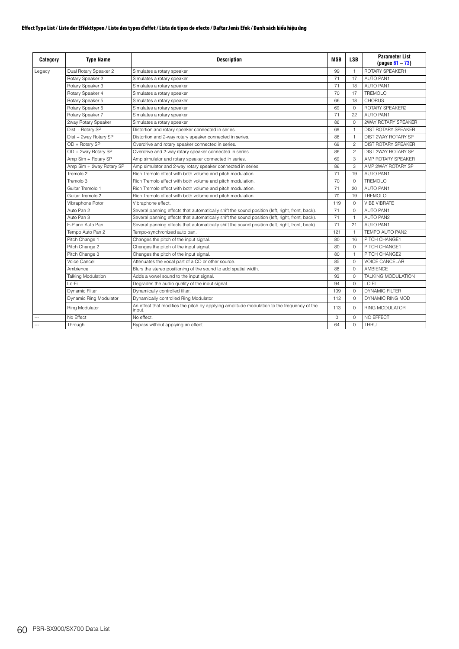| Category       | <b>Type Name</b>          | <b>Description</b>                                                                                   | <b>MSB</b>  | <b>LSB</b>     | <b>Parameter List</b><br>$(pa$ us 61 – 73) |
|----------------|---------------------------|------------------------------------------------------------------------------------------------------|-------------|----------------|--------------------------------------------|
| Legacy         | Dual Rotary Speaker 2     | Simulates a rotary speaker.                                                                          | 99          | $\mathbf{1}$   | ROTARY SPEAKER1                            |
|                | Rotary Speaker 2          | Simulates a rotary speaker.                                                                          | 71          | 17             | <b>AUTO PAN1</b>                           |
|                | Rotary Speaker 3          | Simulates a rotary speaker.                                                                          | 71          | 18             | <b>AUTO PAN1</b>                           |
|                | Rotary Speaker 4          | Simulates a rotary speaker.                                                                          | 70          | 17             | <b>TREMOLO</b>                             |
|                | Rotary Speaker 5          | Simulates a rotary speaker.                                                                          | 66          | 18             | <b>CHORUS</b>                              |
|                | Rotary Speaker 6          | Simulates a rotary speaker.                                                                          | 69          | $\Omega$       | ROTARY SPEAKER2                            |
|                | Rotary Speaker 7          | Simulates a rotary speaker.                                                                          | 71          | 22             | <b>AUTO PAN1</b>                           |
|                | 2way Rotary Speaker       | Simulates a rotary speaker.                                                                          | 86          | $\Omega$       | 2WAY ROTARY SPEAKER                        |
|                | Dist + Rotary SP          | Distortion and rotary speaker connected in series.                                                   | 69          | $\mathbf{1}$   | <b>DIST ROTARY SPEAKER</b>                 |
|                | Dist + 2way Rotary SP     | Distortion and 2-way rotary speaker connected in series.                                             | 86          | $\mathbf{1}$   | DIST 2WAY ROTARY SP                        |
|                | OD + Rotary SP            | Overdrive and rotary speaker connected in series.                                                    | 69          | $\overline{c}$ | <b>DIST ROTARY SPEAKER</b>                 |
|                | OD + 2way Rotary SP       | Overdrive and 2-way rotary speaker connected in series.                                              | 86          | $\overline{c}$ | DIST 2WAY ROTARY SP                        |
|                | Amp Sim + Rotary SP       | Amp simulator and rotary speaker connected in series.                                                | 69          | 3              | AMP ROTARY SPEAKER                         |
|                | Amp Sim + 2way Rotary SP  | Amp simulator and 2-way rotary speaker connected in series.                                          | 86          | 3              | AMP 2WAY ROTARY SP                         |
|                | Tremolo 2                 | Rich Tremolo effect with both volume and pitch modulation.                                           | 71          | 19             | <b>AUTO PAN1</b>                           |
|                | Tremolo 3                 | Rich Tremolo effect with both volume and pitch modulation.                                           | 70          | $\Omega$       | <b>TREMOLO</b>                             |
|                | Guitar Tremolo 1          | Rich Tremolo effect with both volume and pitch modulation.                                           | 71          | 20             | <b>AUTO PAN1</b>                           |
|                | Guitar Tremolo 2          | Rich Tremolo effect with both volume and pitch modulation.                                           | 70          | 19             | TREMOLO                                    |
|                | Vibraphone Rotor          | Vibraphone effect.                                                                                   | 119         | $\Omega$       | <b>VIBF VIBRATF</b>                        |
|                | Auto Pan 2                | Several panning effects that automatically shift the sound position (left, right, front, back).      | 71          | $\Omega$       | <b>AUTO PAN1</b>                           |
|                | Auto Pan 3                | Several panning effects that automatically shift the sound position (left, right, front, back).      | 71          | $\mathbf{1}$   | <b>AUTO PAN2</b>                           |
|                | F-Piano Auto Pan          | Several panning effects that automatically shift the sound position (left, right, front, back).      | 71          | 21             | <b>AUTO PAN1</b>                           |
|                | Tempo Auto Pan 2          | Tempo-synchronized auto pan.                                                                         | 121         | $\mathbf{1}$   | TEMPO AUTO PAN2                            |
|                | Pitch Change 1            | Changes the pitch of the input signal.                                                               | 80          | 16             | PITCH CHANGE1                              |
|                | Pitch Change 2            | Changes the pitch of the input signal.                                                               | 80          | $\Omega$       | PITCH CHANGE1                              |
|                | Pitch Change 3            | Changes the pitch of the input signal.                                                               | 80          | $\mathbf{1}$   | PITCH CHANGE2                              |
|                | Voice Cancel              | Attenuates the vocal part of a CD or other source.                                                   | 85          | $\Omega$       | <b>VOICE CANCELAR</b>                      |
|                | Ambience                  | Blurs the stereo positioning of the sound to add spatial width.                                      | 88          | $\Omega$       | <b>AMBIENCE</b>                            |
|                | <b>Talking Modulation</b> | Adds a vowel sound to the input signal.                                                              | 93          | $\Omega$       | TALKING MODULATION                         |
|                | l o-Fi                    | Degrades the audio quality of the input signal.                                                      | 94          | $\circ$        | LO FI                                      |
|                | <b>Dynamic Filter</b>     | Dynamically controlled filter.                                                                       | 109         | 0              | <b>DYNAMIC FILTER</b>                      |
|                | Dynamic Ring Modulator    | Dynamically controlled Ring Modulator.                                                               | 112         | $\circ$        | DYNAMIC RING MOD                           |
|                | Ring Modulator            | An effect that modifies the pitch by applying amplitude modulation to the frequency of the<br>input. | 113         | $\Omega$       | <b>RING MODULATOR</b>                      |
|                | No Effect                 | No effect.                                                                                           | $\mathbf 0$ | 0              | NO EFFECT                                  |
| $\overline{a}$ | Through                   | Bypass without applying an effect.                                                                   | 64          | $\Omega$       | THRU                                       |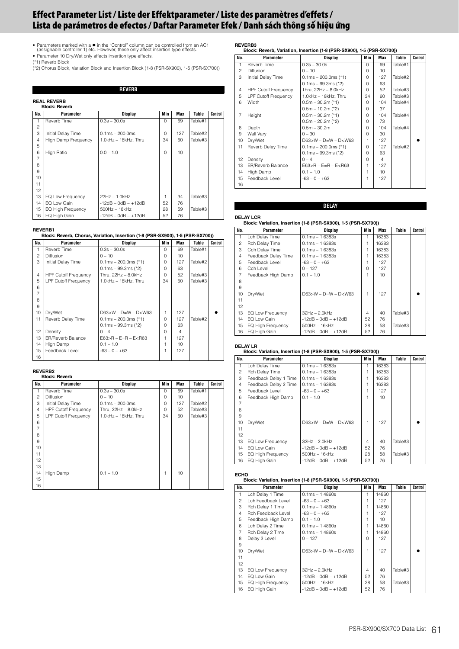- <span id="page-60-0"></span>• Parameters marked with a ● in the "Control" column can be controlled from an AC1<br>(assignable controller 1) etc. However, these only affect insertion type effects.<br>• Parameter 10 Dry/Wet only affects insertion type effect
- (\*1) Reverb Block
- (\*2) Chorus Block, Variation Block and Insertion Block (1-8 (PSR-SX900), 1-5 (PSR-SX700))

**REVERB**

# **REAL REVERB**

|                | REAL REVERD<br><b>Block: Reverb</b> |                       |          |     |         |         |
|----------------|-------------------------------------|-----------------------|----------|-----|---------|---------|
| No.            | Parameter                           | Display               | Min      | Max | Table   | Control |
|                | Reverb Time                         | $0.3s - 30.0s$        | $\Omega$ | 69  | Table#1 |         |
| $\overline{c}$ |                                     |                       |          |     |         |         |
| 3              | Initial Delay Time                  | $0.1ms - 200.0ms$     | $\Omega$ | 127 | Table#2 |         |
| $\overline{4}$ | <b>High Damp Frequency</b>          | 1.0kHz - 18kHz, Thru  | 34       | 60  | Table#3 |         |
| 5              |                                     |                       |          |     |         |         |
| 6              | <b>High Ratio</b>                   | $0.0 - 1.0$           | $\Omega$ | 10  |         |         |
| 7              |                                     |                       |          |     |         |         |
| 8              |                                     |                       |          |     |         |         |
| 9              |                                     |                       |          |     |         |         |
| 10             |                                     |                       |          |     |         |         |
| 11             |                                     |                       |          |     |         |         |
| 12             |                                     |                       |          |     |         |         |
| 13             | EQ Low Frequency                    | $22Hz - 1.0kHz$       | 1        | 34  | Table#3 |         |
| 14             | EQ Low Gain                         | $-12dB - OdB - +12dB$ | 52       | 76  |         |         |
| 15             | <b>EQ High Frequency</b>            | $500$ Hz $-18$ kHz    | 28       | 59  | Table#3 |         |
| 16             | EQ High Gain                        | $-12dB - OdB - +12dB$ | 52       | 76  |         |         |

### **REVERB1**

### **Block: Reverb, Chorus, Variation, Insertion (1-8 (PSR-SX900), 1-5 (PSR-SX700))**

| No.            | Parameter                   | Display                     | Min      | Max | Table   | Control |  |
|----------------|-----------------------------|-----------------------------|----------|-----|---------|---------|--|
| 1              | Reverb Time                 | $0.3s - 30.0s$              | $\Omega$ | 69  | Table#1 |         |  |
| $\overline{c}$ | <b>Diffusion</b>            | $0 - 10$                    | 0        | 10  |         |         |  |
| 3              | Initial Delay Time          | $0.1ms - 200.0ms$ (*1)      | 0        | 127 | Table#2 |         |  |
|                |                             | $0.1ms - 99.3ms$ (*2)       | 0        | 63  |         |         |  |
| 4              | <b>HPF Cutoff Frequency</b> | Thru, $22Hz - 8.0kHz$       | $\Omega$ | 52  | Table#3 |         |  |
| 5              | <b>LPF Cutoff Frequency</b> | 1.0kHz - 18kHz, Thru        | 34       | 60  | Table#3 |         |  |
| 6              |                             |                             |          |     |         |         |  |
| $\overline{7}$ |                             |                             |          |     |         |         |  |
| 8              |                             |                             |          |     |         |         |  |
| 9              |                             |                             |          |     |         |         |  |
| 10             | Dry/Wet                     | $D63 > W - D = W - D < W63$ | 1        | 127 |         |         |  |
| 11             | Reverb Delay Time           | $0.1ms - 200.0ms$ (*1)      | $\Omega$ | 127 | Table#2 |         |  |
|                |                             | $0.1ms - 99.3ms$ (*2)       | $\Omega$ | 63  |         |         |  |
| 12             | Density                     | $0 - 4$                     | $\Omega$ | 4   |         |         |  |
| 13             | <b>ER/Reverb Balance</b>    | $E63 > R - E = R - E < R63$ | 1        | 127 |         |         |  |
| 14             | High Damp                   | $0.1 - 1.0$                 | 1        | 10  |         |         |  |
| 15             | Feedback Level              | $-63 - 0 - +63$             | 1        | 127 |         |         |  |
| 16             |                             |                             |          |     |         |         |  |

# **REVERB2 Block: Reverb**

|                | DIULA. NEVEID               |                       |             |     |         |         |
|----------------|-----------------------------|-----------------------|-------------|-----|---------|---------|
| No.            | Parameter                   | <b>Display</b>        | Min         | Max | Table   | Control |
| 1              | Reverb Time                 | $0.3s - 30.0s$        | $\Omega$    | 69  | Table#1 |         |
| $\overline{c}$ | <b>Diffusion</b>            | $0 - 10$              | $\Omega$    | 10  |         |         |
| 3              | Initial Delay Time          | $0.1ms - 200.0ms$     | $\mathbf 0$ | 127 | Table#2 |         |
| $\overline{4}$ | <b>HPF Cutoff Frequency</b> | Thru, $22Hz - 8.0kHz$ | $\Omega$    | 52  | Table#3 |         |
| 5              | <b>LPF Cutoff Frequency</b> | 1.0kHz - 18kHz, Thru  | 34          | 60  | Table#3 |         |
| 6              |                             |                       |             |     |         |         |
| $\overline{7}$ |                             |                       |             |     |         |         |
| 8              |                             |                       |             |     |         |         |
| 9              |                             |                       |             |     |         |         |
| 10             |                             |                       |             |     |         |         |
| 11             |                             |                       |             |     |         |         |
| 12             |                             |                       |             |     |         |         |
| 13             |                             |                       |             |     |         |         |
| 14             | High Damp                   | $0.1 - 1.0$           | 1           | 10  |         |         |
| 15             |                             |                       |             |     |         |         |
| 16             |                             |                       |             |     |         |         |

### **REVERB3 Block: Reverb, Variation, Insertion (1-8 (PSR-SX900), 1-5 (PSR-SX700))**

| No.            | Parameter                   | Display                     | Min      | Max            | Table   | Control |
|----------------|-----------------------------|-----------------------------|----------|----------------|---------|---------|
| $\mathbf{1}$   | Reverb Time                 | $0.3s - 30.0s$              | $\cap$   | 69             | Table#1 |         |
| 2              | <b>Diffusion</b>            | $0 - 10$                    | $\Omega$ | 10             |         |         |
| 3              | Initial Delay Time          | $0.1ms - 200.0ms$ (*1)      | $\Omega$ | 127            | Table#2 |         |
|                |                             | $0.1ms - 99.3ms$ (*2)       | $\Omega$ | 63             |         |         |
| 4              | <b>HPF Cutoff Frequency</b> | Thru, $22Hz - 8.0kHz$       | $\Omega$ | 52             | Table#3 |         |
| 5              | <b>LPF Cutoff Frequency</b> | 1.0kHz - 18kHz. Thru        | 34       | 60             | Table#3 |         |
| 6              | Width                       | $0.5m - 30.2m$ (*1)         | $\Omega$ | 104            | Table#4 |         |
|                |                             | $0.5m - 10.2m$ (*2)         | $\Omega$ | 37             |         |         |
| $\overline{7}$ | Height                      | $0.5m - 30.2m$ (*1)         | $\Omega$ | 104            | Table#4 |         |
|                |                             | $0.5m - 20.2m$ (*2)         | $\Omega$ | 73             |         |         |
| 8              | Depth                       | $0.5m - 30.2m$              | $\cap$   | 104            | Table#4 |         |
| 9              | Wall Vary                   | $0 - 30$                    | $\cap$   | 30             |         |         |
| 10             | Dry/Wet                     | $D63>W - D=W - D< W63$      |          | 127            |         |         |
| 11             | Reverb Delay Time           | $0.1ms - 200.0ms$ (*1)      | $\Omega$ | 127            | Table#2 |         |
|                |                             | $0.1ms - 99.3ms$ (*2)       | $\Omega$ | 63             |         |         |
| 12             | Density                     | $0 - 4$                     | $\Omega$ | $\overline{4}$ |         |         |
| 13             | <b>ER/Reverb Balance</b>    | $E63 > R - E = R - E < R63$ |          | 127            |         |         |
| 14             | High Damp                   | $0.1 - 1.0$                 | 1        | 10             |         |         |
| 15             | Feedback Level              | $-63 - 0 - +63$             |          | 127            |         |         |
| 16             |                             |                             |          |                |         |         |

### **DELAY**

### **DELAY LCR**

## **Block: Variation, Insertion (1-8 (PSR-SX900), 1-5 (PSR-SX700))**

| No.            | Parameter           | Display                     | Min      | Max   | Table   | Control |
|----------------|---------------------|-----------------------------|----------|-------|---------|---------|
| 1.             | Lch Delay Time      | $0.1ms - 1.6383s$           |          | 16383 |         |         |
| 2              | Rch Delay Time      | $0.1ms - 1.6383s$           |          | 16383 |         |         |
| 3              | Cch Delay Time      | $0.1ms - 1.6383s$           |          | 16383 |         |         |
| 4              | Feedback Delay Time | $0.1ms - 1.6383s$           |          | 16383 |         |         |
| 5              | Feedback Level      | $-63 - 0 - +63$             |          | 127   |         |         |
| 6              | Cch Level           | $0 - 127$                   | $\Omega$ | 127   |         |         |
| $\overline{7}$ | Feedback High Damp  | $0.1 - 1.0$                 |          | 10    |         |         |
| 8              |                     |                             |          |       |         |         |
| 9              |                     |                             |          |       |         |         |
| 10             | Dry/Wet             | $D63 > W - D = W - D < W63$ | 1        | 127   |         |         |
| 11             |                     |                             |          |       |         |         |
| 12             |                     |                             |          |       |         |         |
| 13             | EQ Low Frequency    | $32Hz - 2.0kHz$             | 4        | 40    | Table#3 |         |
| 14             | EQ Low Gain         | $-12dB - OdB - +12dB$       | 52       | 76    |         |         |
| 15             | EQ High Frequency   | $500Hz - 16kHz$             | 28       | 58    | Table#3 |         |
| 16             | EQ High Gain        | $-12dB - OdB - +12dB$       | 52       | 76    |         |         |

# **DELAY LR**

# **Block: Variation, Insertion (1-8 (PSR-SX900), 1-5 (PSR-SX700))**

| No.             | Parameter                | Display                     | Min | Max   | Table   | Control |
|-----------------|--------------------------|-----------------------------|-----|-------|---------|---------|
| 1               | Lch Delay Time           | $0.1ms - 1.6383s$           |     | 16383 |         |         |
| $\mathfrak{p}$  | Rch Delay Time           | $0.1ms - 1.6383s$           |     | 16383 |         |         |
| 3               | Feedback Delay 1 Time    | $0.1ms - 1.6383s$           |     | 16383 |         |         |
| 4               | Feedback Delay 2 Time    | $0.1ms - 1.6383s$           |     | 16383 |         |         |
| 5               | Feedback Level           | $-63 - 0 - +63$             |     | 127   |         |         |
| 6               | Feedback High Damp       | $0.1 - 1.0$                 |     | 10    |         |         |
| 7               |                          |                             |     |       |         |         |
| 8               |                          |                             |     |       |         |         |
| 9               |                          |                             |     |       |         |         |
| 10              | Dry/Wet                  | $D63 > W - D = W - D < W63$ | 1   | 127   |         |         |
| 11              |                          |                             |     |       |         |         |
| 12 <sup>2</sup> |                          |                             |     |       |         |         |
| 13              | EQ Low Frequency         | $32Hz - 2.0kHz$             | 4   | 40    | Table#3 |         |
| 14              | EQ Low Gain              | $-12dB - OdB - +12dB$       | 52  | 76    |         |         |
| 15              | <b>EQ High Frequency</b> | 500Hz - 16kHz               | 28  | 58    | Table#3 |         |
| 16              | EQ High Gain             | $-12dB - OdB - +12dB$       | 52  | 76    |         |         |

# **ECHO Block: Variation, Insertion (1-8 (PSR-SX900), 1-5 (PSR-SX700))**

| No.            | Parameter                | Display                     | Min      | Max   | Table   | Control |
|----------------|--------------------------|-----------------------------|----------|-------|---------|---------|
| $\mathbf{1}$   | Lch Delay 1 Time         | $0.1ms - 1.4860s$           |          | 14860 |         |         |
| 2              | Lch Feedback Level       | $-63 - 0 - +63$             |          | 127   |         |         |
| 3              | Rch Delay 1 Time         | $0.1ms - 1.4860s$           |          | 14860 |         |         |
| $\overline{4}$ | Rch Feedback Level       | $-63 - 0 - +63$             |          | 127   |         |         |
| 5              | Feedback High Damp       | $0.1 - 1.0$                 |          | 10    |         |         |
| 6              | Lch Delay 2 Time         | $0.1ms - 1.4860s$           |          | 14860 |         |         |
| $\overline{7}$ | Rch Delay 2 Time         | $0.1ms - 1.4860s$           |          | 14860 |         |         |
| 8              | Delay 2 Level            | $0 - 127$                   | $\Omega$ | 127   |         |         |
| 9              |                          |                             |          |       |         |         |
| 10             | Dry/Wet                  | $D63 > W - D = W - D < W63$ | 1        | 127   |         |         |
| 11             |                          |                             |          |       |         |         |
| 12             |                          |                             |          |       |         |         |
| 13             | EQ Low Frequency         | $32Hz - 2.0kHz$             | 4        | 40    | Table#3 |         |
| 14             | EQ Low Gain              | $-12dB - OdB - +12dB$       | 52       | 76    |         |         |
| 15             | <b>EQ High Frequency</b> | $500Hz - 16kHz$             | 28       | 58    | Table#3 |         |
| 16             | EQ High Gain             | $-12dB - OdB - +12dB$       | 52       | 76    |         |         |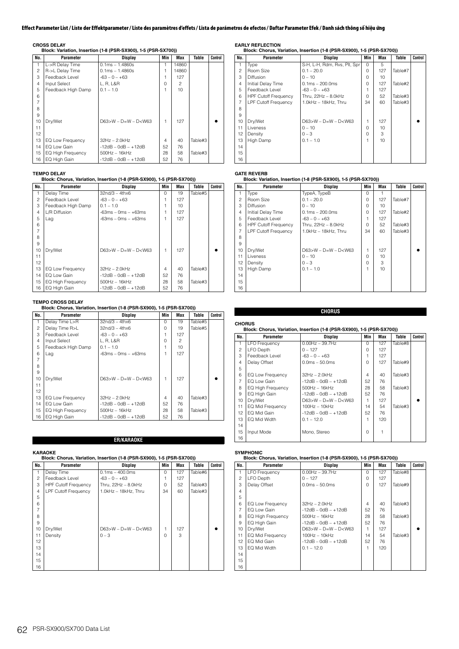**CROSS DELAY Block: Variation, Insertion (1-8 (PSR-SX900), 1-5 (PSR-SX700))**

| No.            | Parameter               | Display                     | Min      | Max            | Table   | Control |
|----------------|-------------------------|-----------------------------|----------|----------------|---------|---------|
| 1              | L->R Delay Time         | $0.1ms - 1.4860s$           |          | 14860          |         |         |
| $\overline{c}$ | R->L Delay Time         | $0.1ms - 1.4860s$           |          | 14860          |         |         |
| 3              | Feedback Level          | $-63 - 0 - +63$             |          | 127            |         |         |
| $\overline{4}$ | Input Select            | L. R. L&R                   | $\Omega$ | $\mathfrak{p}$ |         |         |
| 5              | Feedback High Damp      | $0.1 - 1.0$                 |          | 10             |         |         |
| 6              |                         |                             |          |                |         |         |
| $\overline{7}$ |                         |                             |          |                |         |         |
| 8              |                         |                             |          |                |         |         |
| 9              |                         |                             |          |                |         |         |
| 10             | Dry/Wet                 | $D63 > W - D = W - D < W63$ | 1        | 127            |         |         |
| 11             |                         |                             |          |                |         |         |
| 12             |                         |                             |          |                |         |         |
| 13             | <b>EQ Low Frequency</b> | $32Hz - 2.0kHz$             | 4        | 40             | Table#3 |         |
| 14             | EQ Low Gain             | $-12dB - OdB - +12dB$       | 52       | 76             |         |         |
| 15             | EQ High Frequency       | $500Hz - 16kHz$             | 28       | 58             | Table#3 |         |
| 16             | EQ High Gain            | $-12dB - OdB - +12dB$       | 52       | 76             |         |         |

## **TEMPO DELAY**

**Block: Chorus, Variation, Insertion (1-8 (PSR-SX900), 1-5 (PSR-SX700))**

| No.            | Parameter          | <b>Display</b>              | Min      | Max | Table   | Control |
|----------------|--------------------|-----------------------------|----------|-----|---------|---------|
| 1              | Delay Time         | $32nd/3 - 4thx6$            | $\Omega$ | 19  | Table#5 |         |
| $\mathfrak{p}$ | Feedback Level     | $-63 - 0 - +63$             |          | 127 |         |         |
| 3              | Feedback High Damp | $0.1 - 1.0$                 |          | 10  |         |         |
| 4              | L/R Diffusion      | $-63ms - 0ms - +63ms$       |          | 127 |         |         |
| 5              | Lag                | $-63ms - 0ms - +63ms$       |          | 127 |         |         |
| 6              |                    |                             |          |     |         |         |
| $\overline{7}$ |                    |                             |          |     |         |         |
| 8              |                    |                             |          |     |         |         |
| 9              |                    |                             |          |     |         |         |
| 10             | Dry/Wet            | $D63 > W - D = W - D < W63$ | 1        | 127 |         |         |
| 11             |                    |                             |          |     |         |         |
| 12             |                    |                             |          |     |         |         |
| 13             | EQ Low Frequency   | $32Hz - 2.0kHz$             | 4        | 40  | Table#3 |         |
| 14             | EQ Low Gain        | $-12dB - OdB - +12dB$       | 52       | 76  |         |         |
| 15             | EQ High Frequency  | $500$ Hz $-16$ kHz          | 28       | 58  | Table#3 |         |
| 16             | EQ High Gain       | $-12dB - OdB - +12dB$       | 52       | 76  |         |         |

**TEMPO CROSS DELAY Block: Chorus, Variation, Insertion (1-8 (PSR-SX900), 1-5 (PSR-SX700))**

| No.            | Parameter                | <b>Display</b>            | Min      | Max | Table   | Control |
|----------------|--------------------------|---------------------------|----------|-----|---------|---------|
| 1              | Delay Time L>R           | $32n d/3 - 4thx6$         | $\Omega$ | 19  | Table#5 |         |
| 2              | Delay Time R>L           | $32n d/3 - 4thx6$         | $\Omega$ | 19  | Table#5 |         |
| 3              | Feedback Level           | $-63 - 0 - +63$           |          | 127 |         |         |
| $\overline{4}$ | Input Select             | L, R, L&R                 | $\Omega$ | 2   |         |         |
| 5              | Feedback High Damp       | $0.1 - 1.0$               |          | 10  |         |         |
| 6              | Lag                      | $-63ms - 0ms - +63ms$     |          | 127 |         |         |
| $\overline{7}$ |                          |                           |          |     |         |         |
| 8              |                          |                           |          |     |         |         |
| 9              |                          |                           |          |     |         |         |
| 10             | Dry/Wet                  | $D63 > W - D=W - D < W63$ | 1        | 127 |         |         |
| 11             |                          |                           |          |     |         |         |
| 12             |                          |                           |          |     |         |         |
| 13             | EQ Low Frequency         | $32Hz - 2.0kHz$           | 4        | 40  | Table#3 |         |
| 14             | EQ Low Gain              | $-12dB - OdB - +12dB$     | 52       | 76  |         |         |
| 15             | <b>EQ High Frequency</b> | $500$ Hz $-16$ kHz        | 28       | 58  | Table#3 |         |
| 16             | EQ High Gain             | $-12dB - OdB - +12dB$     | 52       | 76  |         |         |

**ER/KARAOKE**

| No.            | Parameter                   | Display                | Min      | Max | Table   | Control |
|----------------|-----------------------------|------------------------|----------|-----|---------|---------|
| 1              | Delay Time                  | $0.1ms - 400.0ms$      | $\Omega$ | 127 | Table#6 |         |
| $\overline{c}$ | Feedback Level              | $-63 - 0 - +63$        |          | 127 |         |         |
| 3              | <b>HPF Cutoff Frequency</b> | Thru, $22Hz - 8.0kHz$  | $\Omega$ | 52  | Table#3 |         |
| $\overline{4}$ | <b>LPF Cutoff Frequency</b> | 1.0kHz - 18kHz, Thru   | 34       | 60  | Table#3 |         |
| 5              |                             |                        |          |     |         |         |
| 6              |                             |                        |          |     |         |         |
| 7              |                             |                        |          |     |         |         |
| 8              |                             |                        |          |     |         |         |
| 9              |                             |                        |          |     |         |         |
| 10             | Dry/Wet                     | $D63>W - D=W - D< W63$ | 1        | 127 |         |         |
| 11             | Density                     | $0 - 3$                | $\Omega$ | 3   |         |         |
| 12             |                             |                        |          |     |         |         |
| 13             |                             |                        |          |     |         |         |
| 14             |                             |                        |          |     |         |         |
| 15             |                             |                        |          |     |         |         |
| 16             |                             |                        |          |     |         |         |

**EARLY REFLECTION Block: Chorus, Variation, Insertion (1-8 (PSR-SX900), 1-5 (PSR-SX700))**

| No.            | <b>Parameter</b>            | Display                      | Min          | Max | Table   | Control |
|----------------|-----------------------------|------------------------------|--------------|-----|---------|---------|
| 1              | Type                        | S-H, L-H, Rdm, Rvs, Plt, Spr | $\Omega$     | 5   |         |         |
| 2              | Room Size                   | $0.1 - 20.0$                 | $\Omega$     | 127 | Table#7 |         |
| 3              | Diffusion                   | $0 - 10$                     | $\Omega$     | 10  |         |         |
| $\overline{4}$ | Initial Delay Time          | $0.1ms - 200.0ms$            | $\Omega$     | 127 | Table#2 |         |
| 5              | Feedback Level              | $-63 - 0 - +63$              |              | 127 |         |         |
| 6              | <b>HPF Cutoff Frequency</b> | Thru, $22Hz - 8.0kHz$        | $\Omega$     | 52  | Table#3 |         |
| $\overline{7}$ | <b>LPF Cutoff Frequency</b> | 1.0kHz - 18kHz, Thru         | 34           | 60  | Table#3 |         |
| 8              |                             |                              |              |     |         |         |
| 9              |                             |                              |              |     |         |         |
| 10             | Dry/Wet                     | $D63>W - D=W - D< W63$       | 1            | 127 |         |         |
| 11             | Liveness                    | $0 - 10$                     | $\Omega$     | 10  |         |         |
| 12             | Density                     | $0 - 3$                      | <sup>n</sup> | 3   |         |         |
| 13             | High Damp                   | $0.1 - 1.0$                  |              | 10  |         |         |
| 14             |                             |                              |              |     |         |         |
| 15             |                             |                              |              |     |         |         |
| 16             |                             |                              |              |     |         |         |

# **GATE REVERB Block: Variation, Insertion (1-8 (PSR-SX900), 1-5 (PSR-SX700))**

| No.            | Parameter                   | <b>Display</b>         | Min      | Max | Table   | Control |
|----------------|-----------------------------|------------------------|----------|-----|---------|---------|
| 1              | Type                        | TypeA, TypeB           | $\Omega$ |     |         |         |
| $\mathfrak{p}$ | Room Size                   | $0.1 - 20.0$           | $\Omega$ | 127 | Table#7 |         |
| 3              | Diffusion                   | $0 - 10$               | $\Omega$ | 10  |         |         |
| 4              | Initial Delay Time          | $0.1ms - 200.0ms$      | $\Omega$ | 127 | Table#2 |         |
| 5              | Feedback Level              | $-63 - 0 - +63$        |          | 127 |         |         |
| 6              | <b>HPF Cutoff Frequency</b> | Thru, $22Hz - 8.0kHz$  | $\cap$   | 52  | Table#3 |         |
| $\overline{7}$ | <b>LPF Cutoff Frequency</b> | 1.0kHz - 18kHz. Thru   | 34       | 60  | Table#3 |         |
| 8              |                             |                        |          |     |         |         |
| 9              |                             |                        |          |     |         |         |
| 10             | Dry/Wet                     | $D63>W - D=W - D< W63$ | 1        | 127 |         |         |
| 11             | Liveness                    | $0 - 10$               | $\Omega$ | 10  |         |         |
| 12             | Density                     | $0 - 3$                | O        | 3   |         |         |
| 13             | High Damp                   | $0.1 - 1.0$            | 1        | 10  |         |         |
| 14             |                             |                        |          |     |         |         |
| 15             |                             |                        |          |     |         |         |
| 16             |                             |                        |          |     |         |         |

**CHORUS Block: Chorus, Variation, Insertion (1-8 (PSR-SX900), 1-5 (PSR-SX700))**

**CHORUS**

| No.            | Parameter                | Display                | Min      | Max | Table   | Control |
|----------------|--------------------------|------------------------|----------|-----|---------|---------|
| 1              | <b>LFO Frequency</b>     | $0.00$ Hz $-$ 39.7Hz   | $\Omega$ | 127 | Table#8 |         |
| $\overline{c}$ | LFO Depth                | $0 - 127$              | $\Omega$ | 127 |         |         |
| 3              | Feedback Level           | $-63 - 0 - +63$        |          | 127 |         |         |
| 4              | Delay Offset             | $0.0ms - 50.0ms$       | $\Omega$ | 127 | Table#9 |         |
| 5              |                          |                        |          |     |         |         |
| 6              | EQ Low Frequency         | $32Hz - 2.0kHz$        | 4        | 40  | Table#3 |         |
| $\overline{7}$ | EQ Low Gain              | $-12dB - OdB - +12dB$  | 52       | 76  |         |         |
| 8              | <b>EQ High Frequency</b> | 500Hz - 16kHz          | 28       | 58  | Table#3 |         |
| 9              | EQ High Gain             | $-12dB - OdB - +12dB$  | 52       | 76  |         |         |
| 10             | Dry/Wet                  | $D63>W - D=W - D< W63$ |          | 127 |         |         |
| 11             | EQ Mid Frequency         | $100Hz - 10kHz$        | 14       | 54  | Table#3 |         |
| 12             | EQ Mid Gain              | $-12dB - OdB - +12dB$  | 52       | 76  |         |         |
| 13             | EQ Mid Width             | $0.1 - 12.0$           |          | 120 |         |         |
| 14             |                          |                        |          |     |         |         |
| 15             | Input Mode               | Mono, Stereo           | $\Omega$ |     |         |         |
| 16             |                          |                        |          |     |         |         |

## **SYMPHONIC**

### **Block: Chorus, Variation, Insertion (1-8 (PSR-SX900), 1-5 (PSR-SX700))**

| No.            | Parameter                | Display                | Min      | Max | Table   | Control |
|----------------|--------------------------|------------------------|----------|-----|---------|---------|
| $\mathbf{1}$   | <b>LFO Frequency</b>     | $0.00$ Hz $-$ 39.7Hz   | $\Omega$ | 127 | Table#8 |         |
| $\overline{c}$ | LFO Depth                | $0 - 127$              | $\Omega$ | 127 |         |         |
| 3              | Delay Offset             | $0.0ms - 50.0ms$       | $\cap$   | 127 | Table#9 |         |
| 4              |                          |                        |          |     |         |         |
| 5              |                          |                        |          |     |         |         |
| 6              | EQ Low Frequency         | $32Hz - 2.0kHz$        | 4        | 40  | Table#3 |         |
| 7              | EQ Low Gain              | $-12dB - OdB - +12dB$  | 52       | 76  |         |         |
| 8              | <b>EQ High Frequency</b> | $500Hz - 16kHz$        | 28       | 58  | Table#3 |         |
| 9              | EQ High Gain             | $-12dB - OdB - +12dB$  | 52       | 76  |         |         |
| 10             | Dry/Wet                  | $D63>W - D=W - D< W63$ |          | 127 |         |         |
| 11             | EQ Mid Frequency         | $100Hz - 10kHz$        | 14       | 54  | Table#3 |         |
| 12             | EQ Mid Gain              | $-12dB - OdB - +12dB$  | 52       | 76  |         |         |
| 13             | EQ Mid Width             | $0.1 - 12.0$           |          | 120 |         |         |
| 14             |                          |                        |          |     |         |         |
| 15             |                          |                        |          |     |         |         |
| 16             |                          |                        |          |     |         |         |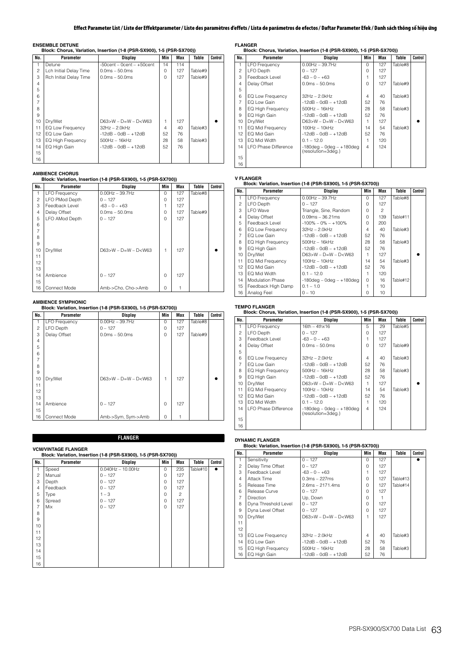**ENSEMBLE DETUNE Block: Chorus, Variation, Insertion (1-8 (PSR-SX900), 1-5 (PSR-SX700))**

| No.            | Parameter                | Display                          | Min | Max | Table   | Control |
|----------------|--------------------------|----------------------------------|-----|-----|---------|---------|
| 1              | Detune                   | $-50$ cent $-0$ cent $ +50$ cent | 14  | 114 |         |         |
| $\overline{c}$ | Lch Initial Delay Time   | $0.0ms - 50.0ms$                 | 0   | 127 | Table#9 |         |
| 3              | Rch Initial Delay Time   | $0.0ms - 50.0ms$                 | 0   | 127 | Table#9 |         |
| 4              |                          |                                  |     |     |         |         |
| 5              |                          |                                  |     |     |         |         |
| 6              |                          |                                  |     |     |         |         |
| $\overline{7}$ |                          |                                  |     |     |         |         |
| 8              |                          |                                  |     |     |         |         |
| 9              |                          |                                  |     |     |         |         |
| 10             | Dry/Wet                  | $D63>W - D=W - D< W63$           | 1   | 127 |         |         |
| 11             | EQ Low Frequency         | $32Hz - 2.0kHz$                  | 4   | 40  | Table#3 |         |
| 12             | EQ Low Gain              | $-12dB - OdB - +12dB$            | 52  | 76  |         |         |
| 13             | <b>EQ High Frequency</b> | $500Hz - 16kHz$                  | 28  | 58  | Table#3 |         |
| 14             | EQ High Gain             | $-12dB - OdB - +12dB$            | 52  | 76  |         |         |
| 15             |                          |                                  |     |     |         |         |
| 16             |                          |                                  |     |     |         |         |

## **AMBIENCE CHORUS**

## **Block: Variation, Insertion (1-8 (PSR-SX900), 1-5 (PSR-SX700))**

| No.            | Parameter            | Display                | Min      | Max | Table   | Control |
|----------------|----------------------|------------------------|----------|-----|---------|---------|
| 1              | <b>LFO Frequency</b> | $0.00$ Hz $-$ 39.7Hz   | $\Omega$ | 127 | Table#8 |         |
| $\overline{c}$ | LFO PMod Depth       | $0 - 127$              | 0        | 127 |         |         |
| 3              | Feedback Level       | $-63 - 0 - +63$        | 1        | 127 |         |         |
| 4              | Delay Offset         | $0.0ms - 50.0ms$       | $\Omega$ | 127 | Table#9 |         |
| 5              | LFO AMod Depth       | $0 - 127$              | $\Omega$ | 127 |         |         |
| 6              |                      |                        |          |     |         |         |
| 7              |                      |                        |          |     |         |         |
| 8              |                      |                        |          |     |         |         |
| 9              |                      |                        |          |     |         |         |
| 10             | Dry/Wet              | $D63>W - D=W - D< W63$ | 1        | 127 |         |         |
| 11             |                      |                        |          |     |         |         |
| 12             |                      |                        |          |     |         |         |
| 13             |                      |                        |          |     |         |         |
| 14             | Ambience             | $0 - 127$              | $\Omega$ | 127 |         |         |
| 15             |                      |                        |          |     |         |         |
| 16             | Connect Mode         | Amb->Cho, Cho->Amb     | $\Omega$ |     |         |         |

# **AMBIENCE SYMPHONIC Block: Variation, Insertion (1-8 (PSR-SX900), 1-5 (PSR-SX700))**

| No.            | Parameter            | <b>Display</b>            | Min      | Max | Table   | Control |
|----------------|----------------------|---------------------------|----------|-----|---------|---------|
| 1              | <b>LFO Frequency</b> | $0.00$ Hz $-$ 39.7Hz      | $\Omega$ | 127 | Table#8 |         |
| $\overline{c}$ | LFO Depth            | $0 - 127$                 | 0        | 127 |         |         |
| 3              | Delay Offset         | $0.0ms - 50.0ms$          | $\Omega$ | 127 | Table#9 |         |
| $\overline{4}$ |                      |                           |          |     |         |         |
| 5              |                      |                           |          |     |         |         |
| 6              |                      |                           |          |     |         |         |
| 7              |                      |                           |          |     |         |         |
| 8              |                      |                           |          |     |         |         |
| 9              |                      |                           |          |     |         |         |
| 10             | Dry/Wet              | $D63 > W - D=W - D < W63$ | 1        | 127 |         |         |
| 11             |                      |                           |          |     |         |         |
| 12             |                      |                           |          |     |         |         |
| 13             |                      |                           |          |     |         |         |
| 14             | Ambience             | $0 - 127$                 | $\Omega$ | 127 |         |         |
| 15             |                      |                           |          |     |         |         |
| 16             | Connect Mode         | Amb->Sym, Sym->Amb        | $\Omega$ | 1   |         |         |

**FLANGER**

# **VCM/VINTAGE FLANGER**

| Block: Variation, Insertion (1-8 (PSR-SX900), 1-5 (PSR-SX700)) |           |                         |          |                |          |         |  |  |
|----------------------------------------------------------------|-----------|-------------------------|----------|----------------|----------|---------|--|--|
| No.                                                            | Parameter | <b>Display</b>          | Min      | Max            | Table    | Control |  |  |
| $\mathbf{1}$                                                   | Speed     | $0.040$ Hz $- 10.00$ Hz | $\Omega$ | 235            | Table#10 |         |  |  |
| 2                                                              | Manual    | $0 - 127$               | $\Omega$ | 127            |          |         |  |  |
| 3                                                              | Depth     | $0 - 127$               | $\Omega$ | 127            |          |         |  |  |
| $\overline{4}$                                                 | Feedback  | $0 - 127$               | $\Omega$ | 127            |          |         |  |  |
| 5                                                              | Type      | $1 - 3$                 | $\Omega$ | $\overline{c}$ |          |         |  |  |
| 6                                                              | Spread    | $0 - 127$               | $\Omega$ | 127            |          |         |  |  |
| $\overline{7}$                                                 | Mix       | $0 - 127$               | $\Omega$ | 127            |          |         |  |  |
| 8                                                              |           |                         |          |                |          |         |  |  |
| 9                                                              |           |                         |          |                |          |         |  |  |
| 10                                                             |           |                         |          |                |          |         |  |  |
| 11                                                             |           |                         |          |                |          |         |  |  |
| 12                                                             |           |                         |          |                |          |         |  |  |
| 13                                                             |           |                         |          |                |          |         |  |  |
| 14                                                             |           |                         |          |                |          |         |  |  |
| 15                                                             |           |                         |          |                |          |         |  |  |
| 16                                                             |           |                         |          |                |          |         |  |  |

**FLANGER Block: Chorus, Variation, Insertion (1-8 (PSR-SX900), 1-5 (PSR-SX700))**

| No.            | Parameter                   | Display                                              | Min            | Max | Table   | Control |
|----------------|-----------------------------|------------------------------------------------------|----------------|-----|---------|---------|
| 1              | <b>LFO Frequency</b>        | $0.00Hz - 39.7Hz$                                    | $\Omega$       | 127 | Table#8 |         |
| 2              | LFO Depth                   | $0 - 127$                                            | $\Omega$       | 127 |         |         |
| 3              | Feedback Level              | $-63 - 0 - +63$                                      |                | 127 |         |         |
| 4              | Delay Offset                | $0.0ms - 50.0ms$                                     | $\Omega$       | 127 | Table#9 |         |
| 5              |                             |                                                      |                |     |         |         |
| 6              | EQ Low Frequency            | $32Hz - 2.0kHz$                                      | $\overline{4}$ | 40  | Table#3 |         |
| $\overline{7}$ | EQ Low Gain                 | $-12dB - OdB - +12dB$                                | 52             | 76  |         |         |
| 8              | <b>EQ High Frequency</b>    | $500Hz - 16kHz$                                      | 28             | 58  | Table#3 |         |
| 9              | EQ High Gain                | $-12dB - OdB - +12dB$                                | 52             | 76  |         |         |
| 10             | Dry/Wet                     | $D63>W - D=W - D< W63$                               |                | 127 |         |         |
| 11             | EQ Mid Frequency            | $100Hz - 10kHz$                                      | 14             | 54  | Table#3 |         |
| 12             | EQ Mid Gain                 | $-12dB - OdB - +12dB$                                | 52             | 76  |         |         |
| 13             | EQ Mid Width                | $0.1 - 12.0$                                         |                | 120 |         |         |
| 14             | <b>LFO Phase Difference</b> | $-180$ deg – 0deg – $+180$ deg<br>(resolution=3deg.) | $\overline{4}$ | 124 |         |         |
| 15             |                             |                                                      |                |     |         |         |
| 16             |                             |                                                      |                |     |         |         |

# **V FLANGER Block: Variation, Insertion (1-8 (PSR-SX900), 1-5 (PSR-SX700))**

| No.            | Parameter                | Display                        | Min                      | Max            | Table    | Control |
|----------------|--------------------------|--------------------------------|--------------------------|----------------|----------|---------|
| 1              | <b>LFO Frequency</b>     | $0.00$ Hz $-$ 39.7Hz           | $\Omega$                 | 127            | Table#8  |         |
| $\overline{c}$ | LFO Depth                | $0 - 127$                      | $\Omega$                 | 127            |          |         |
| 3              | <b>LFO</b> Wave          | Triangle, Sine, Random         | $\Omega$                 | $\mathfrak{p}$ |          |         |
| 4              | Delay Offset             | $0.09ms - 36.21ms$             | $\Omega$                 | 139            | Table#11 |         |
| 5              | Feedback Level           | $-100\% - 0\% - +100\%$        | $\Omega$                 | 200            |          |         |
| 6              | EQ Low Frequency         | $32Hz - 2.0kHz$                | $\overline{\mathcal{L}}$ | 40             | Table#3  |         |
| 7              | EQ Low Gain              | $-12dB - OdB - +12dB$          | 52                       | 76             |          |         |
| 8              | <b>EQ High Frequency</b> | $500Hz - 16kHz$                | 28                       | 58             | Table#3  |         |
| 9              | EQ High Gain             | $-12dB - OdB - +12dB$          | 52                       | 76             |          |         |
| 10             | Dry/Wet                  | $D63>W - D=W - D< W63$         |                          | 127            |          |         |
| 11             | <b>EQ Mid Frequency</b>  | $100Hz - 10kHz$                | 14                       | 54             | Table#3  |         |
| 12             | EQ Mid Gain              | $-12dB - OdB - +12dB$          | 52                       | 76             |          |         |
| 13             | EQ Mid Width             | $0.1 - 12.0$                   |                          | 120            |          |         |
| 14             | <b>Modulation Phase</b>  | $-180$ deg – 0deg – $+180$ deg | $\Omega$                 | 16             | Table#12 |         |
| 15             | Feedback High Damp       | $0.1 - 1.0$                    |                          | 10             |          |         |
| 16             | Analog Feel              | $0 - 10$                       | U                        | 10             |          |         |

# **TEMPO FLANGER Block: Chorus, Variation, Insertion (1-8 (PSR-SX900), 1-5 (PSR-SX700))**

| No.            | Parameter                | <b>Display</b>                                       | Min      | Max | Table   | Control |
|----------------|--------------------------|------------------------------------------------------|----------|-----|---------|---------|
| 1              | <b>LFO Frequency</b>     | $16th - 4th \times 16$                               | 5        | 29  | Table#5 |         |
| $\mathfrak{p}$ | LFO Depth                | $0 - 127$                                            | $\Omega$ | 127 |         |         |
| 3              | Feedback Level           | $-63 - 0 - +63$                                      |          | 127 |         |         |
| 4              | Delay Offset             | $0.0ms - 50.0ms$                                     | $\cap$   | 127 | Table#9 |         |
| 5              |                          |                                                      |          |     |         |         |
| 6              | EQ Low Frequency         | $32Hz - 2.0kHz$                                      | 4        | 40  | Table#3 |         |
| $\overline{7}$ | EQ Low Gain              | $-12dB - OdB - +12dB$                                | 52       | 76  |         |         |
| 8              | <b>EQ High Frequency</b> | $500Hz - 16kHz$                                      | 28       | 58  | Table#3 |         |
| 9              | EQ High Gain             | $-12dB - OdB - +12dB$                                | 52       | 76  |         |         |
| 10             | Dry/Wet                  | $D63 > W - D = W - D < W63$                          |          | 127 |         |         |
| 11             | EQ Mid Frequency         | $100Hz - 10kHz$                                      | 14       | 54  | Table#3 |         |
| 12             | EQ Mid Gain              | $-12dB - OdB - +12dB$                                | 52       | 76  |         |         |
| 13             | EQ Mid Width             | $0.1 - 12.0$                                         |          | 120 |         |         |
| 14             | I FO Phase Difference    | $-180$ deg – 0deg – $+180$ deg<br>(resolution=3deg.) | 4        | 124 |         |         |
| 15             |                          |                                                      |          |     |         |         |
| 16             |                          |                                                      |          |     |         |         |

# **DYNAMIC FLANGER Block: Variation, Insertion (1-8 (PSR-SX900), 1-5 (PSR-SX700))**

| No.            | Parameter                | <b>Display</b>            | Min            | Max | Table    | Control |
|----------------|--------------------------|---------------------------|----------------|-----|----------|---------|
| 1              | Sensitivity              | $0 - 127$                 | $\Omega$       | 127 |          |         |
| $\mathfrak{p}$ | Delay Time Offset        | $0 - 127$                 | $\Omega$       | 127 |          |         |
| 3              | Feedback Level           | $-63 - 0 - +63$           |                | 127 |          |         |
| 4              | Attack Time              | $0.3ms - 227ms$           | $\Omega$       | 127 | Table#13 |         |
| 5              | Release Time             | $2.6ms - 2171.4ms$        | $\Omega$       | 127 | Table#14 |         |
| 6              | Release Curve            | $0 - 127$                 | $\Omega$       | 127 |          |         |
| $\overline{7}$ | <b>Direction</b>         | Up, Down                  | $\Omega$       |     |          |         |
| 8              | Dyna Threshold Level     | $0 - 127$                 | $\Omega$       | 127 |          |         |
| 9              | Dyna Level Offset        | $0 - 127$                 | $\Omega$       | 127 |          |         |
| 10             | Dry/Wet                  | $D63 > W - D=W - D < W63$ | 1              | 127 |          |         |
| 11             |                          |                           |                |     |          |         |
| 12             |                          |                           |                |     |          |         |
| 13             | EQ Low Frequency         | $32Hz - 2.0kHz$           | $\overline{4}$ | 40  | Table#3  |         |
| 14             | EQ Low Gain              | $-12dB - OdB - +12dB$     | 52             | 76  |          |         |
| 15             | <b>EQ High Frequency</b> | $500Hz - 16kHz$           | 28             | 58  | Table#3  |         |
| 16             | EQ High Gain             | $-12dB - OdB - +12dB$     | 52             | 76  |          |         |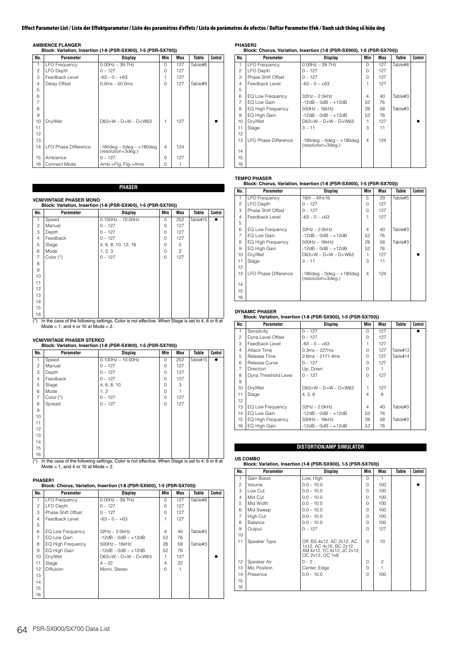|  |  |  |  |  |  | <b>AMBIENCE FLANGER</b> |  |
|--|--|--|--|--|--|-------------------------|--|
|--|--|--|--|--|--|-------------------------|--|

**AMBIENCE FLANGER Block: Variation, Insertion (1-8 (PSR-SX900), 1-5 (PSR-SX700))**

| No.            | Parameter                   | Display                                          | Min      | Max | Table   | Control |
|----------------|-----------------------------|--------------------------------------------------|----------|-----|---------|---------|
| 1              | <b>LFO Frequency</b>        | $0.00$ Hz $-$ 39.7Hz                             | $\Omega$ | 127 | Table#8 |         |
| $\overline{c}$ | LFO Depth                   | $0 - 127$                                        | $\Omega$ | 127 |         |         |
| 3              | Feedback Level              | $-63 - 0 - +63$                                  | 1        | 127 |         |         |
| $\overline{4}$ | Delay Offset                | $0.0ms - 50.0ms$                                 | $\Omega$ | 127 | Table#9 |         |
| 5              |                             |                                                  |          |     |         |         |
| 6              |                             |                                                  |          |     |         |         |
| 7              |                             |                                                  |          |     |         |         |
| 8              |                             |                                                  |          |     |         |         |
| 9              |                             |                                                  |          |     |         |         |
| 10             | Dry/Wet                     | $D63 > W - D = W - D < W63$                      | 1        | 127 |         |         |
| 11             |                             |                                                  |          |     |         |         |
| 12             |                             |                                                  |          |     |         |         |
| 13             |                             |                                                  |          |     |         |         |
| 14             | <b>LFO Phase Difference</b> | $-180deg - 0deg - +180deg$<br>(resolution=3deg.) | 4        | 124 |         |         |
| 15             | Ambience                    | $0 - 127$                                        | $\Omega$ | 127 |         |         |
| 16             | Connect Mode                | Amb->Flg, Flg->Amb                               | O        |     |         |         |

# **PHASER**

## **VCM/VINTAGE PHASER MONO**

| No.            | Parameter   | Display                 | Min      | Max            | Table    | Control |
|----------------|-------------|-------------------------|----------|----------------|----------|---------|
| 1              | Speed       | $0.100$ Hz $- 10.00$ Hz | $\Omega$ | 252            | Table#15 |         |
| $\overline{c}$ | Manual      | $0 - 127$               | $\Omega$ | 127            |          |         |
| 3              | Depth       | $0 - 127$               | $\Omega$ | 127            |          |         |
| 4              | Feedback    | $0 - 127$               | $\Omega$ | 127            |          |         |
| 5              | Stage       | 4, 6, 8, 10, 12, 16     | $\Omega$ | 5              |          |         |
| 6              | Mode        | 1, 2, 3                 | $\Omega$ | $\overline{c}$ |          |         |
| $\overline{7}$ | Color $(*)$ | $0 - 127$               | $\Omega$ | 127            |          |         |
| 8              |             |                         |          |                |          |         |
| 9              |             |                         |          |                |          |         |
| 10             |             |                         |          |                |          |         |
| 11             |             |                         |          |                |          |         |
| 12             |             |                         |          |                |          |         |
| 13             |             |                         |          |                |          |         |
| 14             |             |                         |          |                |          |         |
| 15             |             |                         |          |                |          |         |
| 16             |             |                         |          |                |          |         |

(\*) In the case of the following settings, Color is not effective. When Stage is set to 4, 6 or 8 at Mode = 1, and 4 or 10 at Mode = 2.

| No.            | Parameter   | Display                 | Min    | Max | Table    | Control |
|----------------|-------------|-------------------------|--------|-----|----------|---------|
| 1              | Speed       | $0.100$ Hz $- 10.00$ Hz | $\cap$ | 252 | Table#15 | ٠       |
| 2              | Manual      | $0 - 127$               | O      | 127 |          |         |
| 3              | Depth       | $0 - 127$               | O      | 127 |          |         |
| 4              | Feedback    | $0 - 127$               | O      | 127 |          |         |
| 5              | Stage       | 4, 6, 8, 10             | O      | 3   |          |         |
| 6              | Mode        | 1, 2                    | O      |     |          |         |
| $\overline{7}$ | Color $(*)$ | $0 - 127$               | O      | 127 |          |         |
| 8              | Spread      | $0 - 127$               | U      | 127 |          |         |
| 9              |             |                         |        |     |          |         |
| 10             |             |                         |        |     |          |         |
| 11             |             |                         |        |     |          |         |
| 12             |             |                         |        |     |          |         |
| 13             |             |                         |        |     |          |         |
| 14             |             |                         |        |     |          |         |
| 15             |             |                         |        |     |          |         |
| 16             |             |                         |        |     |          |         |

(\*) In the case of the following settings, Color is not effective. When Stage is set to 4, 6 or 8 at Mode = 1, and 4 or 10 at Mode = 2.

# **PHASER1 Block: Chorus, Variation, Insertion (1-8 (PSR-SX900), 1-5 (PSR-SX700))**

|                | <u>BIOCK. ONORG, VANADUL, INSCRIBITITY IT ON TOXYOOJ, IT ON TOXYOOJI</u> |                             |                |     |         |         |  |  |  |  |
|----------------|--------------------------------------------------------------------------|-----------------------------|----------------|-----|---------|---------|--|--|--|--|
| No.            | Parameter                                                                | Display                     | Min            | Max | Table   | Control |  |  |  |  |
| 1              | <b>LFO Frequency</b>                                                     | $0.00Hz - 39.7Hz$           | $\cap$         | 127 | Table#8 |         |  |  |  |  |
| $\overline{c}$ | LFO Depth                                                                | $0 - 127$                   | O              | 127 |         |         |  |  |  |  |
| 3              | Phase Shift Offset                                                       | $0 - 127$                   | O              | 127 |         |         |  |  |  |  |
| 4              | Feedback Level                                                           | $-63 - 0 - +63$             |                | 127 |         |         |  |  |  |  |
| 5              |                                                                          |                             |                |     |         |         |  |  |  |  |
| 6              | EQ Low Frequency                                                         | $32Hz - 2.0kHz$             | 4              | 40  | Table#3 |         |  |  |  |  |
| $\overline{7}$ | EQ Low Gain                                                              | $-12dB - OdB - +12dB$       | 52             | 76  |         |         |  |  |  |  |
| 8              | <b>EQ High Frequency</b>                                                 | $500$ Hz $-16$ kHz          | 28             | 58  | Table#3 |         |  |  |  |  |
| 9              | EQ High Gain                                                             | $-12dB - OdB - +12dB$       | 52             | 76  |         |         |  |  |  |  |
| 10             | Dry/Wet                                                                  | $D63 > W - D = W - D < W63$ |                | 127 |         |         |  |  |  |  |
| 11             | Stage                                                                    | $4 - 22$                    | $\overline{4}$ | 22  |         |         |  |  |  |  |
| 12             | <b>Diffusion</b>                                                         | Mono, Stereo                | $\cap$         |     |         |         |  |  |  |  |
| 13             |                                                                          |                             |                |     |         |         |  |  |  |  |
| 14             |                                                                          |                             |                |     |         |         |  |  |  |  |
| 15             |                                                                          |                             |                |     |         |         |  |  |  |  |
| 16             |                                                                          |                             |                |     |         |         |  |  |  |  |

**PHASER2 Block: Chorus, Variation, Insertion (1-8 (PSR-SX900), 1-5 (PSR-SX700))**

|                 |                          | $\ldots$ cricinal random models and $\ldots$ (ref. cricical) $\ldots$ (ref. cricical) |          |     |         |         |
|-----------------|--------------------------|---------------------------------------------------------------------------------------|----------|-----|---------|---------|
| No.             | Parameter                | Display                                                                               | Min      | Max | Table   | Control |
| 1               | <b>LFO Frequency</b>     | $0.00$ Hz $-$ 39.7Hz                                                                  | $\Omega$ | 127 | Table#8 |         |
| $\mathfrak{p}$  | LFO Depth                | $0 - 127$                                                                             | 0        | 127 |         |         |
| 3               | Phase Shift Offset       | $0 - 127$                                                                             | $\Omega$ | 127 |         |         |
| 4               | Feedback Level           | $-63 - 0 - +63$                                                                       | 1        | 127 |         |         |
| 5               |                          |                                                                                       |          |     |         |         |
| 6               | EQ Low Frequency         | $32Hz - 2.0kHz$                                                                       | 4        | 40  | Table#3 |         |
| $\overline{7}$  | EQ Low Gain              | $-12dB - OdB - +12dB$                                                                 | 52       | 76  |         |         |
| 8               | <b>EQ High Frequency</b> | $500Hz - 16kHz$                                                                       | 28       | 58  | Table#3 |         |
| 9               | EQ High Gain             | $-12dB - OdB - +12dB$                                                                 | 52       | 76  |         |         |
| 10              | Dry/Wet                  | $D63>W - D=W - D< W63$                                                                |          | 127 |         |         |
| 11              | Stage                    | $3 - 11$                                                                              | 3        | 11  |         |         |
| 12 <sup>°</sup> |                          |                                                                                       |          |     |         |         |
| 13              | I FO Phase Difference    | $-180deg - 0deg - +180deg$<br>(resolution=3deq.)                                      | 4        | 124 |         |         |
| 14              |                          |                                                                                       |          |     |         |         |
| 15              |                          |                                                                                       |          |     |         |         |
| 16              |                          |                                                                                       |          |     |         |         |

# **TEMPO PHASER Block: Chorus, Variation, Insertion (1-8 (PSR-SX900), 1-5 (PSR-SX700))**

| No.            | Parameter                   | Display                                              | Min      | Max | Table   | Control |
|----------------|-----------------------------|------------------------------------------------------|----------|-----|---------|---------|
| 1.             | <b>LFO Frequency</b>        | $16th - 4thx16$                                      | 5        | 29  | Table#5 |         |
| $\mathfrak{p}$ | LFO Depth                   | $0 - 127$                                            | 0        | 127 |         |         |
| 3              | Phase Shift Offset          | $0 - 127$                                            | $\Omega$ | 127 |         |         |
| 4              | Feedback Level              | $-63 - 0 - +63$                                      |          | 127 |         |         |
| 5              |                             |                                                      |          |     |         |         |
| 6              | EQ Low Frequency            | $32Hz - 2.0kHz$                                      | 4        | 40  | Table#3 |         |
| $\overline{7}$ | EQ Low Gain                 | $-12dB - OdB - +12dB$                                | 52       | 76  |         |         |
| 8              | <b>EQ High Frequency</b>    | $500Hz - 16kHz$                                      | 28       | 58  | Table#3 |         |
| 9              | EQ High Gain                | $-12dB - OdB - +12dB$                                | 52       | 76  |         |         |
| 10             | Dry/Wet                     | $D63>W - D=W - D< W63$                               |          | 127 |         |         |
| 11             | Stage                       | $3 - 11$                                             | 3        | 11  |         |         |
| 12             |                             |                                                      |          |     |         |         |
| 13             | <b>LFO Phase Difference</b> | $-180$ deg – 0deg – $+180$ deg<br>(resolution=3deg.) | 4        | 124 |         |         |
| 14             |                             |                                                      |          |     |         |         |
| 15             |                             |                                                      |          |     |         |         |
| 16             |                             |                                                      |          |     |         |         |

### **DYNAMIC PHASER**

### **Block: Variation, Insertion (1-8 (PSR-SX900), 1-5 (PSR-SX700))**

| No.            | Parameter                | Display                     | Min      | Max | Table    | Control |
|----------------|--------------------------|-----------------------------|----------|-----|----------|---------|
| 1              | Sensitivity              | $0 - 127$                   | $\Omega$ | 127 |          |         |
| $\overline{c}$ | Dyna Level Offset        | $0 - 127$                   | 0        | 127 |          |         |
| 3              | Feedback Level           | $-63 - 0 - +63$             |          | 127 |          |         |
| $\overline{4}$ | Attack Time              | $0.3ms - 227ms$             | $\Omega$ | 127 | Table#13 |         |
| 5              | Release Time             | $2.6ms - 2171.4ms$          | $\Omega$ | 127 | Table#14 |         |
| 6              | Release Curve            | $0 - 127$                   | $\Omega$ | 127 |          |         |
| 7              | <b>Direction</b>         | Up, Down                    | 0        |     |          |         |
| 8              | Dyna Threshold Level     | $0 - 127$                   | $\Omega$ | 127 |          |         |
| 9              |                          |                             |          |     |          |         |
| 10             | Dry/Wet                  | $D63 > W - D = W - D < W63$ | 1        | 127 |          |         |
| 11             | Stage                    | 4, 5, 6                     | 4        | 6   |          |         |
| 12             |                          |                             |          |     |          |         |
| 13             | EQ Low Frequency         | $32Hz - 2.0kHz$             | 4        | 40  | Table#3  |         |
| 14             | EQ Low Gain              | $-12dB - OdB - +12dB$       | 52       | 76  |          |         |
| 15             | <b>EQ High Frequency</b> | $500Hz - 16kHz$             | 28       | 58  | Table#3  |         |
| 16             | EQ High Gain             | $-12dB - OdB - +12dB$       | 52       | 76  |          |         |

# **DISTORTION/AMP SIMULATOR**

# **US COMBO Block: Variation, Insertion (1-8 (PSR-SX900), 1-5 (PSR-SX700))**

| No.            |              |                                                                                                       |          |                |       |         |
|----------------|--------------|-------------------------------------------------------------------------------------------------------|----------|----------------|-------|---------|
|                | Parameter    | Display                                                                                               | Min      | Max            | Table | Control |
| 1              | Gain Boost   | Low, High                                                                                             | $\Omega$ |                |       |         |
| $\overline{c}$ | Volume       | $0.0 - 10.0$                                                                                          | $\Omega$ | 100            |       |         |
| 3              | Low Cut      | $0.0 - 10.0$                                                                                          | $\Omega$ | 100            |       |         |
| $\overline{4}$ | Mid Cut      | $0.0 - 10.0$                                                                                          | O        | 100            |       |         |
| 5              | Mid Width    | $0.0 - 10.0$                                                                                          | $\Omega$ | 100            |       |         |
| 6              | Mid Sweep    | $0.0 - 10.0$                                                                                          | $\Omega$ | 100            |       |         |
| 7              | High Cut     | $0.0 - 10.0$                                                                                          | $\Omega$ | 100            |       |         |
| 8              | Balance      | $0.0 - 10.0$                                                                                          | $\Omega$ | 100            |       |         |
| 9              | Output       | $0 - 127$                                                                                             | $\Omega$ | 127            |       |         |
| 10             |              |                                                                                                       |          |                |       |         |
| 11             | Speaker Type | Off, BS 4x12, AC 2x12, AC<br>1x12, AC 4x10, BC 2x12,<br>AM 4x12, YC 4x12, JC 2x12,<br>OC 2x12, OC 1x8 | $\Omega$ | 10             |       |         |
| 12             | Speaker Air  | $0 - 2$                                                                                               | $\Omega$ | $\overline{c}$ |       |         |
| 13             | Mic Position | Center, Edge                                                                                          | $\Omega$ | 1              |       |         |
| 14             | Presence     | $0.0 - 10.0$                                                                                          | $\Omega$ | 100            |       |         |
| 15             |              |                                                                                                       |          |                |       |         |
| 16             |              |                                                                                                       |          |                |       |         |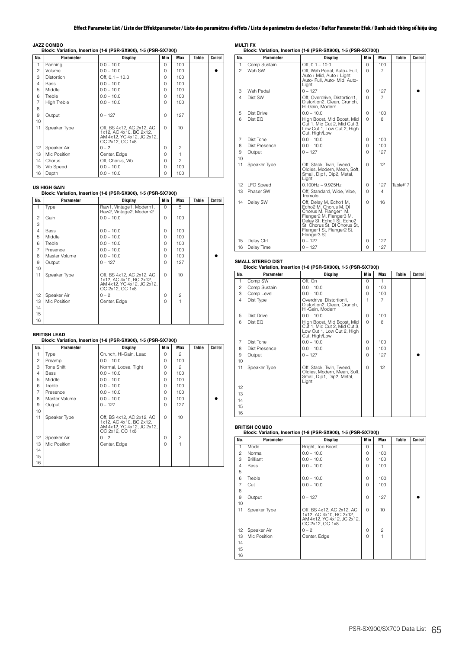### **JAZZ COMBO**

| Block: Variation, Insertion (1-8 (PSR-SX900), 1-5 (PSR-SX700)) |                   |                                                                                                       |          |                          |       |         |  |
|----------------------------------------------------------------|-------------------|-------------------------------------------------------------------------------------------------------|----------|--------------------------|-------|---------|--|
| No.                                                            | Parameter         | Display                                                                                               | Min      | Max                      | Table | Control |  |
| 1                                                              | Panning           | $0.0 - 10.0$                                                                                          | $\Omega$ | 100                      |       |         |  |
| $\overline{c}$                                                 | Volume            | $0.0 - 10.0$                                                                                          | $\Omega$ | 100                      |       |         |  |
| 3                                                              | <b>Distortion</b> | Off, $0.1 - 10.0$                                                                                     | $\Omega$ | 100                      |       |         |  |
| 4                                                              | Bass              | $0.0 - 10.0$                                                                                          | $\Omega$ | 100                      |       |         |  |
| 5                                                              | Middle            | $0.0 - 10.0$                                                                                          | $\Omega$ | 100                      |       |         |  |
| 6                                                              | Treble            | $0.0 - 10.0$                                                                                          | $\Omega$ | 100                      |       |         |  |
| $\overline{7}$                                                 | High Treble       | $0.0 - 10.0$                                                                                          | $\Omega$ | 100                      |       |         |  |
| 8                                                              |                   |                                                                                                       |          |                          |       |         |  |
| 9                                                              | Output            | $0 - 127$                                                                                             | $\Omega$ | 127                      |       |         |  |
| 10                                                             |                   |                                                                                                       |          |                          |       |         |  |
| 11                                                             | Speaker Type      | Off. BS 4x12, AC 2x12, AC<br>1x12, AC 4x10, BC 2x12,<br>AM 4x12, YC 4x12, JC 2x12,<br>OC 2x12, OC 1x8 | $\Omega$ | 10                       |       |         |  |
| 12                                                             | Speaker Air       | $0 - 2$                                                                                               | $\Omega$ | $\overline{c}$           |       |         |  |
| 13                                                             | Mic Position      | Center, Edge                                                                                          | $\Omega$ | 1                        |       |         |  |
| 14                                                             | Chorus            | Off, Chorus, Vib                                                                                      | $\Omega$ | $\overline{\phantom{a}}$ |       |         |  |
| 15                                                             | Vib Speed         | $0.0 - 10.0$                                                                                          | $\Omega$ | 100                      |       |         |  |
| 16                                                             | Depth             | $0.0 - 10.0$                                                                                          | $\Omega$ | 100                      |       |         |  |

**US HIGH GAIN Block: Variation, Insertion (1-8 (PSR-SX900), 1-5 (PSR-SX700))**

| No.            | Parameter     | <b>Display</b>                                                                                        | Min      | Max            | Table | Control |
|----------------|---------------|-------------------------------------------------------------------------------------------------------|----------|----------------|-------|---------|
| 1              | Type          | Raw1, Vintage1, Modern1,<br>Raw2, Vintage2, Modern2                                                   | $\Omega$ | 5              |       |         |
| $\overline{c}$ | Gain          | $0.0 - 10.0$                                                                                          | 0        | 100            |       |         |
| 3              |               |                                                                                                       |          |                |       |         |
| 4              | Bass          | $0.0 - 10.0$                                                                                          | 0        | 100            |       |         |
| 5              | Middle        | $0.0 - 10.0$                                                                                          | 0        | 100            |       |         |
| 6              | Treble        | $0.0 - 10.0$                                                                                          | O        | 100            |       |         |
| $\overline{7}$ | Presence      | $0.0 - 10.0$                                                                                          | O        | 100            |       |         |
| 8              | Master Volume | $0.0 - 10.0$                                                                                          | O        | 100            |       |         |
| 9              | Output        | $0 - 127$                                                                                             | $\Omega$ | 127            |       |         |
| 10             |               |                                                                                                       |          |                |       |         |
| 11             | Speaker Type  | Off, BS 4x12, AC 2x12, AC<br>1x12, AC 4x10, BC 2x12,<br>AM 4x12, YC 4x12, JC 2x12,<br>OC 2x12, OC 1x8 | $\Omega$ | 10             |       |         |
| 12             | Speaker Air   | $0 - 2$                                                                                               | 0        | $\overline{c}$ |       |         |
| 13             | Mic Position  | Center, Edge                                                                                          | $\Omega$ | 1              |       |         |
| 14             |               |                                                                                                       |          |                |       |         |
| 15             |               |                                                                                                       |          |                |       |         |
| 16             |               |                                                                                                       |          |                |       |         |

| No.            | Parameter     | Display                                                                                               | Min      | Max            | Table | Control |
|----------------|---------------|-------------------------------------------------------------------------------------------------------|----------|----------------|-------|---------|
| 1              | Type          | Crunch, Hi-Gain, Lead                                                                                 | $\cap$   | $\mathfrak{p}$ |       |         |
| $\overline{c}$ | Preamp        | $0.0 - 10.0$                                                                                          | O        | 100            |       |         |
| 3              | Tone Shift    | Normal, Loose, Tight                                                                                  | $\cap$   | 2              |       |         |
| $\overline{4}$ | Bass          | $0.0 - 10.0$                                                                                          | O        | 100            |       |         |
| 5              | Middle        | $0.0 - 10.0$                                                                                          | $\cap$   | 100            |       |         |
| 6              | Treble        | $0.0 - 10.0$                                                                                          | $\cap$   | 100            |       |         |
| $\overline{7}$ | Presence      | $0.0 - 10.0$                                                                                          | O        | 100            |       |         |
| 8              | Master Volume | $0.0 - 10.0$                                                                                          | O        | 100            |       |         |
| 9              | Output        | $0 - 127$                                                                                             | $\Omega$ | 127            |       |         |
| 10             |               |                                                                                                       |          |                |       |         |
| 11             | Speaker Type  | Off, BS 4x12, AC 2x12, AC<br>1x12, AC 4x10, BC 2x12,<br>AM 4x12, YC 4x12, JC 2x12,<br>OC 2x12, OC 1x8 | $\cap$   | 10             |       |         |
| 12             | Speaker Air   | $0 - 2$                                                                                               | 0        | $\overline{c}$ |       |         |
| 13             | Mic Position  | Center, Edge                                                                                          | $\cap$   | 1              |       |         |
| 14             |               |                                                                                                       |          |                |       |         |
| 15             |               |                                                                                                       |          |                |       |         |
| 16             |               |                                                                                                       |          |                |       |         |

**MULTI FX Block: Variation, Insertion (1-8 (PSR-SX900), 1-5 (PSR-SX700))**

| No.            | Parameter        | <b>Display</b>                                                                                                                                                                                               | Min      | Max            | Table    | Control |
|----------------|------------------|--------------------------------------------------------------------------------------------------------------------------------------------------------------------------------------------------------------|----------|----------------|----------|---------|
| $\mathbf{1}$   | Comp Sustain     | Off. $0.1 - 10.0$                                                                                                                                                                                            | $\Omega$ | 100            |          |         |
| $\mathfrak{p}$ | Wah SW           | Off. Wah Pedal. Auto+ Full.<br>Auto+ Mid, Auto+ Light,<br>Auto- Full, Auto- Mid. Auto-<br>Light                                                                                                              | $\Omega$ | $\overline{7}$ |          |         |
| 3              | Wah Pedal        | $0 - 127$                                                                                                                                                                                                    | $\Omega$ | 127            |          |         |
| $\overline{4}$ | Dist SW          | Off, Overdrive, Distortion1,<br>Distortion2, Clean, Crunch,<br>Hi-Gain, Modern                                                                                                                               | $\Omega$ | $\overline{7}$ |          |         |
| 5              | Dist Drive       | $0.0 - 10.0$                                                                                                                                                                                                 | 0        | 100            |          |         |
| 6              | Dist EQ          | High Boost, Mid Boost, Mid<br>Cut 1, Mid Cut 2, Mid Cut 3,<br>Low Cut 1, Low Cut 2, High<br>Cut, High/Low                                                                                                    | $\cap$   | 8              |          |         |
| $\overline{7}$ | Dist Tone        | $0.0 - 10.0$                                                                                                                                                                                                 | 0        | 100            |          |         |
| 8              | Dist Presence    | $0.0 - 10.0$                                                                                                                                                                                                 | $\Omega$ | 100            |          |         |
| 9              | Output           | $0 - 127$                                                                                                                                                                                                    | $\Omega$ | 127            |          |         |
| 10             |                  |                                                                                                                                                                                                              |          |                |          |         |
| 11             | Speaker Type     | Off, Stack, Twin, Tweed,<br>Oldies, Modern, Mean, Soft,<br>Small, Dip1, Dip2, Metal,<br>Light                                                                                                                | $\Omega$ | 12             |          |         |
| 12             | <b>LFO</b> Speed | $0.100Hz - 9.925Hz$                                                                                                                                                                                          | $\Omega$ | 127            | Table#17 |         |
| 13             | Phaser SW        | Off, Standard, Wide, Vibe,<br>Tremolo                                                                                                                                                                        | $\Omega$ | 4              |          |         |
| 14             | Delay SW         | Off, Delay M, Echo1 M,<br>Echo2 M, Chorus M, DI<br>Chorus M, Flanger1 M,<br>Flanger2 M, Flanger3 M,<br>Delay St, Echo1 St, Echo2<br>St. Chorus St. DI Chorus St.<br>Flanger1 St, Flanger2 St,<br>Flanger3 St | $\Omega$ | 16             |          |         |
| 15             | Delay Ctrl       | $0 - 127$                                                                                                                                                                                                    | $\Omega$ | 127            |          |         |
| 16             | Delay Time       | $0 - 127$                                                                                                                                                                                                    | $\Omega$ | 127            |          |         |

# **SMALL STEREO DIST Block: Variation, Insertion (1-8 (PSR-SX900), 1-5 (PSR-SX700))**

| No.            | <b>Parameter</b> | <b>Display</b>                                                                                            | Min      | Max            | Table | Control |
|----------------|------------------|-----------------------------------------------------------------------------------------------------------|----------|----------------|-------|---------|
| $\mathbf{1}$   | Comp SW          | Off, On                                                                                                   | $\Omega$ |                |       |         |
| 2              | Comp Sustain     | $0.0 - 10.0$                                                                                              | $\Omega$ | 100            |       |         |
| 3              | Comp Level       | $0.0 - 10.0$                                                                                              | 0        | 100            |       |         |
| 4              | Dist Type        | Overdrive, Distortion1.<br>Distortion2, Clean, Crunch,<br>Hi-Gain, Modern                                 | 1        | $\overline{7}$ |       |         |
| 5              | Dist Drive       | $0.0 - 10.0$                                                                                              | $\Omega$ | 100            |       |         |
| 6              | Dist EQ          | High Boost, Mid Boost, Mid<br>Cut 1, Mid Cut 2, Mid Cut 3,<br>Low Cut 1, Low Cut 2, High<br>Cut, High/Low | $\Omega$ | 8              |       |         |
| $\overline{7}$ | Dist Tone        | $0.0 - 10.0$                                                                                              | $\Omega$ | 100            |       |         |
| 8              | Dist Presence    | $0.0 - 10.0$                                                                                              | $\Omega$ | 100            |       |         |
| 9              | Output           | $0 - 127$                                                                                                 | $\Omega$ | 127            |       |         |
| 10             |                  |                                                                                                           |          |                |       |         |
| 11             | Speaker Type     | Off, Stack, Twin, Tweed,<br>Oldies, Modern, Mean, Soft,<br>Small, Dip1, Dip2, Metal,<br>Light             | $\Omega$ | 12             |       |         |
| 12             |                  |                                                                                                           |          |                |       |         |
| 13             |                  |                                                                                                           |          |                |       |         |
| 14             |                  |                                                                                                           |          |                |       |         |
| 15             |                  |                                                                                                           |          |                |       |         |
| 16             |                  |                                                                                                           |          |                |       |         |

### **BRITISH COMBO**

**Block: Variation, Insertion (1-8 (PSR-SX900), 1-5 (PSR-SX700))**

| No.            | <b>Parameter</b> | <b>Display</b>                                                                                        | Min      | <b>Max</b>     | Table | Control |
|----------------|------------------|-------------------------------------------------------------------------------------------------------|----------|----------------|-------|---------|
| 1              | Mode             | Bright, Top Boost                                                                                     | $\Omega$ |                |       |         |
| 2              | Normal           | $0.0 - 10.0$                                                                                          | 0        | 100            |       |         |
| 3              | <b>Brilliant</b> | $0.0 - 10.0$                                                                                          | 0        | 100            |       |         |
| $\overline{4}$ | Bass             | $0.0 - 10.0$                                                                                          | $\Omega$ | 100            |       |         |
| 5              |                  |                                                                                                       |          |                |       |         |
| 6              | Treble           | $0.0 - 10.0$                                                                                          | $\Omega$ | 100            |       |         |
| $\overline{7}$ | Cut              | $0.0 - 10.0$                                                                                          | $\Omega$ | 100            |       |         |
| 8              |                  |                                                                                                       |          |                |       |         |
| 9              | Output           | $0 - 127$                                                                                             | 0        | 127            |       |         |
| 10             |                  |                                                                                                       |          |                |       |         |
| 11             | Speaker Type     | Off, BS 4x12, AC 2x12, AC<br>1x12, AC 4x10, BC 2x12,<br>AM 4x12, YC 4x12, JC 2x12,<br>OC 2x12, OC 1x8 | $\Omega$ | 10             |       |         |
| 12             | Speaker Air      | $0 - 2$                                                                                               | $\Omega$ | $\overline{c}$ |       |         |
| 13             | Mic Position     | Center, Edge                                                                                          | $\Omega$ | 1              |       |         |
| 14             |                  |                                                                                                       |          |                |       |         |
| 15             |                  |                                                                                                       |          |                |       |         |
| 16             |                  |                                                                                                       |          |                |       |         |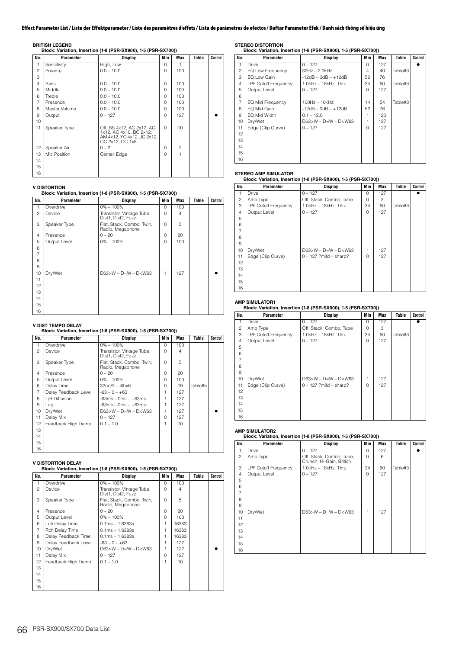**BRITISH LEGEND Block: Variation, Insertion (1-8 (PSR-SX900), 1-5 (PSR-SX700))**

| No.            | Parameter     | Display                                                                                               | Min      | Max            | Table | Control |
|----------------|---------------|-------------------------------------------------------------------------------------------------------|----------|----------------|-------|---------|
| 1              | Sensitivity   | High, Low                                                                                             | $\Omega$ | 1              |       |         |
| $\overline{c}$ | Preamp        | $0.0 - 10.0$                                                                                          | $\Omega$ | 100            |       |         |
| 3              |               |                                                                                                       |          |                |       |         |
| $\overline{4}$ | Bass          | $0.0 - 10.0$                                                                                          | $\Omega$ | 100            |       |         |
| 5              | Middle        | $0.0 - 10.0$                                                                                          | $\Omega$ | 100            |       |         |
| 6              | Treble        | $0.0 - 10.0$                                                                                          | $\Omega$ | 100            |       |         |
| $\overline{7}$ | Presence      | $0.0 - 10.0$                                                                                          | $\Omega$ | 100            |       |         |
| 8              | Master Volume | $0.0 - 10.0$                                                                                          | $\Omega$ | 100            |       |         |
| 9              | Output        | $0 - 127$                                                                                             | $\Omega$ | 127            |       |         |
| 10             |               |                                                                                                       |          |                |       |         |
| 11             | Speaker Type  | Off, BS 4x12, AC 2x12, AC<br>1x12, AC 4x10, BC 2x12,<br>AM 4x12, YC 4x12, JC 2x12,<br>OC 2x12, OC 1x8 | $\Omega$ | 10             |       |         |
| 12             | Speaker Air   | $0 - 2$                                                                                               | $\Omega$ | $\overline{c}$ |       |         |
| 13             | Mic Position  | Center, Edge                                                                                          | $\cap$   | 1              |       |         |
| 14             |               |                                                                                                       |          |                |       |         |
| 15             |               |                                                                                                       |          |                |       |         |
| 16             |               |                                                                                                       |          |                |       |         |

# **V DISTORTION Block: Variation, Insertion (1-8 (PSR-SX900), 1-5 (PSR-SX700))**

| No.            | Parameter    | <b>Display</b>                                  | Min      | Max            | Table | Control |  |  |
|----------------|--------------|-------------------------------------------------|----------|----------------|-------|---------|--|--|
| 1              | Overdrive    | $0\% - 100\%$                                   | $\Omega$ | 100            |       |         |  |  |
| $\overline{c}$ | Device       | Transistor, Vintage Tube,<br>Dist1, Dist2, Fuzz | 0        | $\overline{4}$ |       |         |  |  |
| 3              | Speaker Type | Flat, Stack, Combo, Twin,<br>Radio, Megaphone   | $\Omega$ | 5              |       |         |  |  |
| $\overline{4}$ | Presence     | $0 - 20$                                        | 0        | 20             |       |         |  |  |
| 5              | Output Level | $0\% - 100\%$                                   | 0        | 100            |       |         |  |  |
| 6              |              |                                                 |          |                |       |         |  |  |
| $\overline{7}$ |              |                                                 |          |                |       |         |  |  |
| 8              |              |                                                 |          |                |       |         |  |  |
| 9              |              |                                                 |          |                |       |         |  |  |
| 10             | Dry/Wet      | $D63 > W - D=W - D < W63$                       | 1        | 127            |       |         |  |  |
| 11             |              |                                                 |          |                |       |         |  |  |
| 12             |              |                                                 |          |                |       |         |  |  |
| 13             |              |                                                 |          |                |       |         |  |  |
| 14             |              |                                                 |          |                |       |         |  |  |
| 15             |              |                                                 |          |                |       |         |  |  |
| 16             |              |                                                 |          |                |       |         |  |  |

## **V DIST TEMPO DELAY**

### **Block: Variation, Insertion (1-8 (PSR-SX900), 1-5 (PSR-SX700))**

| No.            | Parameter            | Display                                         | Min    | Max     | Table   | Control |
|----------------|----------------------|-------------------------------------------------|--------|---------|---------|---------|
| 1              | Overdrive            | $0\% - 100\%$                                   | $\cap$ | 100     |         |         |
| $\mathfrak{p}$ | Device               | Transistor, Vintage Tube,<br>Dist1, Dist2, Fuzz | $\cap$ | 4       |         |         |
| 3              | Speaker Type         | Flat, Stack, Combo, Twin,<br>Radio, Megaphone   | $\cap$ | 5       |         |         |
| $\overline{4}$ | Presence             | $0 - 20$                                        | O      | 20      |         |         |
| 5              | Output Level         | $0\% - 100\%$                                   | $\cap$ | $100 -$ |         |         |
| 6              | Delay Time           | $32n d/3 - 4thx6$                               | O      | 19      | Table#5 |         |
| 7              | Delay Feedback Level | $-63 - 0 - +63$                                 |        | 127     |         |         |
| 8              | L/R Diffusion        | $-63ms - 0ms - +63ms$                           |        | 127     |         |         |
| 9              | Lag                  | $-63ms - 0ms - +63ms$                           |        | 127     |         |         |
| 10             | Dry/Wet              | $D63>W - D=W - D< W63$                          |        | 127     |         |         |
| 11             | Delay Mix            | $0 - 127$                                       | $\cap$ | 127     |         |         |
| 12             | Feedback High Damp   | $0.1 - 1.0$                                     |        | 10      |         |         |
| 13             |                      |                                                 |        |         |         |         |
| 14             |                      |                                                 |        |         |         |         |
| 15             |                      |                                                 |        |         |         |         |
| 16             |                      |                                                 |        |         |         |         |

# **V DISTORTION DELAY Block: Variation, Insertion (1-8 (PSR-SX900), 1-5 (PSR-SX700))**

| No.            | Parameter            | <b>Display</b>                                  | Min      | Max     | Table | Control |
|----------------|----------------------|-------------------------------------------------|----------|---------|-------|---------|
| 1              | Overdrive            | $0\% - 100\%$                                   | $\Omega$ | 100     |       |         |
| $\mathfrak{p}$ | Device               | Transistor, Vintage Tube,<br>Dist1, Dist2, Fuzz | $\cap$   | 4       |       |         |
| 3              | Speaker Type         | Flat, Stack, Combo, Twin,<br>Radio, Megaphone   | O        | 5       |       |         |
| $\overline{4}$ | Presence             | $0 - 20$                                        | O        | 20      |       |         |
| 5              | Output Level         | $0\% - 100\%$                                   | O        | $100 -$ |       |         |
| 6              | Lch Delay Time       | $0.1ms - 1.6383s$                               | 1        | 16383   |       |         |
| 7              | Rch Delay Time       | $0.1ms - 1.6383s$                               | 1        | 16383   |       |         |
| 8              | Delay Feedback Time  | $0.1ms - 1.6383s$                               |          | 16383   |       |         |
| 9              | Delay Feedback Level | $-63 - 0 - +63$                                 |          | 127     |       |         |
| 10             | Dry/Wet              | $D63 > W - D = W - D < W63$                     | 1        | 127     |       |         |
| 11             | Delay Mix            | $0 - 127$                                       | $\cap$   | 127     |       |         |
| 12             | Feedback High Damp   | $0.1 - 1.0$                                     | 1        | 10      |       |         |
| 13             |                      |                                                 |          |         |       |         |
| 14             |                      |                                                 |          |         |       |         |
| 15             |                      |                                                 |          |         |       |         |
| 16             |                      |                                                 |          |         |       |         |

**STEREO DISTORTION Block: Variation, Insertion (1-8 (PSR-SX900), 1-5 (PSR-SX700))**

| No.            | Parameter                   | <b>Display</b>              | Min      | Max | Table   | Control |
|----------------|-----------------------------|-----------------------------|----------|-----|---------|---------|
|                | Drive                       | $0 - 127$                   | $\Omega$ | 127 |         |         |
| 2              | EQ Low Frequency            | $32Hz - 2.0kHz$             | 4        | 40  | Table#3 |         |
| 3              | EQ Low Gain                 | $-12dB - OdB - +12dB$       | 52       | 76  |         |         |
| $\overline{4}$ | <b>LPF Cutoff Frequency</b> | 1.0kHz - 18kHz, Thru        | 34       | 60  | Table#3 |         |
| 5              | Output Level                | $0 - 127$                   | $\Omega$ | 127 |         |         |
| 6              |                             |                             |          |     |         |         |
| $\overline{7}$ | EQ Mid Frequency            | $100Hz - 10kHz$             | 14       | 54  | Table#3 |         |
| 8              | EQ Mid Gain                 | $-12dB - OdB - +12dB$       | 52       | 76  |         |         |
| 9              | EQ Mid Width                | $0.1 - 12.0$                |          | 120 |         |         |
| 10             | Dry/Wet                     | $D63 > W - D = W - D < W63$ |          | 127 |         |         |
| 11             | Edge (Clip Curve)           | $0 - 127$                   | $\cap$   | 127 |         |         |
| 12             |                             |                             |          |     |         |         |
| 13             |                             |                             |          |     |         |         |
| 14             |                             |                             |          |     |         |         |
| 15             |                             |                             |          |     |         |         |
| 16             |                             |                             |          |     |         |         |

# **STEREO AMP SIMULATOR Block: Variation, Insertion (1-8 (PSR-SX900), 1-5 (PSR-SX700))**

| No.            | Parameter                   | <b>Display</b>           | Min      | <b>Max</b> | Table   | Control |
|----------------|-----------------------------|--------------------------|----------|------------|---------|---------|
| 1              | Drive                       | $0 - 127$                | $\Omega$ | 127        |         |         |
| 2              | Amp Type                    | Off, Stack, Combo, Tube  | $\Omega$ | 3          |         |         |
| 3              | <b>LPF Cutoff Frequency</b> | 1.0kHz - 18kHz, Thru     | 34       | 60         | Table#3 |         |
| $\overline{4}$ | Output Level                | $0 - 127$                | $\Omega$ | 127        |         |         |
| 5              |                             |                          |          |            |         |         |
| 6              |                             |                          |          |            |         |         |
|                |                             |                          |          |            |         |         |
| 8              |                             |                          |          |            |         |         |
| 9              |                             |                          |          |            |         |         |
| 10             | Dry/Wet                     | $D63>W - D=W - D< W63$   | 1        | 127        |         |         |
| 11             | Edge (Clip Curve)           | $0 - 127$ ?mild – sharp? | $\cap$   | 127        |         |         |
| 12             |                             |                          |          |            |         |         |
| 13             |                             |                          |          |            |         |         |
| 14             |                             |                          |          |            |         |         |
| 15             |                             |                          |          |            |         |         |
| 16             |                             |                          |          |            |         |         |

# **AMP SIMULATOR1 Block: Variation, Insertion (1-8 (PSR-SX900), 1-5 (PSR-SX700))**

| No. | Parameter                   | <b>Display</b>            | Min      | Max | Table   | Control |
|-----|-----------------------------|---------------------------|----------|-----|---------|---------|
| 1   | Drive                       | $0 - 127$                 | $\Omega$ | 127 |         |         |
| 2   | Amp Type                    | Off, Stack, Combo, Tube   | $\Omega$ | 3   |         |         |
| 3   | <b>LPF Cutoff Frequency</b> | 1.0kHz - 18kHz, Thru      | 34       | 60  | Table#3 |         |
| 4   | Output Level                | $0 - 127$                 | 0        | 127 |         |         |
| 5   |                             |                           |          |     |         |         |
| 6   |                             |                           |          |     |         |         |
| 7   |                             |                           |          |     |         |         |
| 8   |                             |                           |          |     |         |         |
| 9   |                             |                           |          |     |         |         |
| 10  | Dry/Wet                     | $D63 > W - D=W - D < W63$ | 1        | 127 |         |         |
| 11  | Edge (Clip Curve)           | $0 - 127$ ?mild – sharp?  | $\Omega$ | 127 |         |         |
| 12  |                             |                           |          |     |         |         |
| 13  |                             |                           |          |     |         |         |
| 14  |                             |                           |          |     |         |         |
| 15  |                             |                           |          |     |         |         |
| 16  |                             |                           |          |     |         |         |

### **AMP SIMULATOR2**

## **Block: Variation, Insertion (1-8 (PSR-SX900), 1-5 (PSR-SX700))**

| No.            | Parameter                   | <b>Display</b>                                       | Min      | Max | Table   | Control |
|----------------|-----------------------------|------------------------------------------------------|----------|-----|---------|---------|
| 1              | <b>Drive</b>                | $0 - 127$                                            | $\Omega$ | 127 |         |         |
| $\mathfrak{p}$ | Amp Type                    | Off, Stack, Combo, Tube,<br>Crunch, Hi-Gain, British | $\Omega$ | 6   |         |         |
| 3              | <b>LPF Cutoff Frequency</b> | 1.0kHz - 18kHz, Thru                                 | 34       | 60  | Table#3 |         |
| 4              | Output Level                | $0 - 127$                                            | $\Omega$ | 127 |         |         |
| 5              |                             |                                                      |          |     |         |         |
| 6              |                             |                                                      |          |     |         |         |
| 7              |                             |                                                      |          |     |         |         |
| 8              |                             |                                                      |          |     |         |         |
| 9              |                             |                                                      |          |     |         |         |
| 10             | Dry/Wet                     | $D63 > W - D=W - D < W63$                            | 1        | 127 |         |         |
| 11             |                             |                                                      |          |     |         |         |
| 12             |                             |                                                      |          |     |         |         |
| 13             |                             |                                                      |          |     |         |         |
| 14             |                             |                                                      |          |     |         |         |
| 15             |                             |                                                      |          |     |         |         |
| 16             |                             |                                                      |          |     |         |         |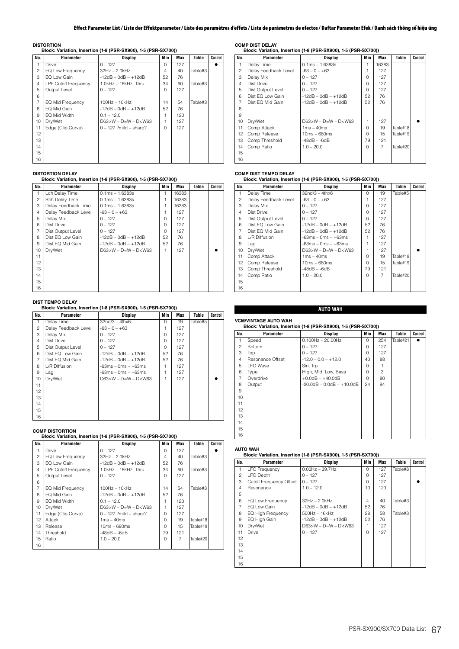**DISTORTION Block: Variation, Insertion (1-8 (PSR-SX900), 1-5 (PSR-SX700))**

| No.            | Parameter                   | <b>Display</b>           | Min      | Max | Table   | Control |
|----------------|-----------------------------|--------------------------|----------|-----|---------|---------|
| 1              | Drive                       | $0 - 127$                | $\Omega$ | 127 |         |         |
| 2              | EQ Low Frequency            | $32Hz - 2.0kHz$          | 4        | 40  | Table#3 |         |
| 3              | EQ Low Gain                 | $-12dB - OdB - +12dB$    | 52       | 76  |         |         |
| $\overline{4}$ | <b>LPF Cutoff Frequency</b> | $1.0kHz - 18kHz$ . Thru  | 34       | 60  | Table#3 |         |
| 5              | Output Level                | $0 - 127$                | $\Omega$ | 127 |         |         |
| 6              |                             |                          |          |     |         |         |
| $\overline{7}$ | <b>EQ Mid Frequency</b>     | $100Hz - 10kHz$          | 14       | 54  | Table#3 |         |
| 8              | EQ Mid Gain                 | $-12dB - OdB - +12dB$    | 52       | 76  |         |         |
| 9              | EQ Mid Width                | $0.1 - 12.0$             |          | 120 |         |         |
| 10             | Dry/Wet                     | $D63>W - D=W - D< W63$   |          | 127 |         |         |
| 11             | Edge (Clip Curve)           | $0 - 127$ ?mild - sharp? | $\Omega$ | 127 |         |         |
| 12             |                             |                          |          |     |         |         |
| 13             |                             |                          |          |     |         |         |
| 14             |                             |                          |          |     |         |         |
| 15             |                             |                          |          |     |         |         |
| 16             |                             |                          |          |     |         |         |

### **DISTORTION DELAY**

# **Block: Variation, Insertion (1-8 (PSR-SX900), 1-5 (PSR-SX700))**

| No.            | Parameter            | Display                | Min          | Max   | Table | Control |
|----------------|----------------------|------------------------|--------------|-------|-------|---------|
| 1              | Lch Delay Time       | $0.1ms - 1.6383s$      |              | 16383 |       |         |
| $\overline{c}$ | Rch Delay Time       | $0.1ms - 1.6383s$      |              | 16383 |       |         |
| 3              | Delay Feedback Time  | $0.1ms - 1.6383s$      |              | 16383 |       |         |
| 4              | Delay Feedback Level | $-63 - 0 - +63$        |              | 127   |       |         |
| 5              | Delay Mix            | $0 - 127$              | $\cap$       | 127   |       |         |
| 6              | Dist Drive           | $0 - 127$              | $\Omega$     | 127   |       |         |
| $\overline{7}$ | Dist Output Level    | $0 - 127$              | <sup>n</sup> | 127   |       |         |
| 8              | Dist EQ Low Gain     | $-12dB - OdB - +12dB$  | 52           | 76    |       |         |
| 9              | Dist EQ Mid Gain     | $-12dB - OdB - +12dB$  | 52           | 76    |       |         |
| 10             | Dry/Wet              | $D63>W - D=W - D< W63$ |              | 127   |       |         |
| 11             |                      |                        |              |       |       |         |
| 12             |                      |                        |              |       |       |         |
| 13             |                      |                        |              |       |       |         |
| 14             |                      |                        |              |       |       |         |
| 15             |                      |                        |              |       |       |         |
| 16             |                      |                        |              |       |       |         |

**DIST TEMPO DELAY Block: Variation, Insertion (1-8 (PSR-SX900), 1-5 (PSR-SX700))**

| No.            | Parameter            | Display                     | Min      | Max | Table   | Control |
|----------------|----------------------|-----------------------------|----------|-----|---------|---------|
| 1              | Delay Time           | $32n d/3 - 4thx6$           | $\Omega$ | 19  | Table#5 |         |
| $\overline{c}$ | Delay Feedback Level | $-63 - 0 - +63$             |          | 127 |         |         |
| 3              | Delay Mix            | $0 - 127$                   | $\Omega$ | 127 |         |         |
| $\overline{4}$ | Dist Drive           | $0 - 127$                   | O        | 127 |         |         |
| 5              | Dist Output Level    | $0 - 127$                   | $\Omega$ | 127 |         |         |
| 6              | Dist EQ Low Gain     | $-12dB - OdB - +12dB$       | 52       | 76  |         |         |
| 7              | Dist EQ Mid Gain     | $-12dB - OdB - +12dB$       | 52       | 76  |         |         |
| 8              | L/R Diffusion        | $-63ms - 0ms - +63ms$       |          | 127 |         |         |
| 9              | Lag                  | $-63ms - 0ms - +63ms$       |          | 127 |         |         |
| 10             | Dry/Wet              | $D63 > W - D = W - D < W63$ | 1        | 127 |         |         |
| 11             |                      |                             |          |     |         |         |
| 12             |                      |                             |          |     |         |         |
| 13             |                      |                             |          |     |         |         |
| 14             |                      |                             |          |     |         |         |
| 15             |                      |                             |          |     |         |         |
| 16             |                      |                             |          |     |         |         |

# **COMP DISTORTION Block: Variation, Insertion (1-8 (PSR-SX900), 1-5 (PSR-SX700))**

| No.            | Parameter                   | Display                  | Min      | Max            | Table    | Control |
|----------------|-----------------------------|--------------------------|----------|----------------|----------|---------|
| 1              | Drive                       | $0 - 127$                | $\Omega$ | 127            |          |         |
| $\mathfrak{p}$ | EQ Low Frequency            | $32Hz - 2.0kHz$          | 4        | 40             | Table#3  |         |
| 3              | EQ Low Gain                 | -12dB – 0dB – +12dB      | 52       | 76             |          |         |
| 4              | <b>LPF Cutoff Frequency</b> | 1.0kHz - 18kHz, Thru     | 34       | 60             | Table#3  |         |
| 5              | Output Level                | $0 - 127$                | $\Omega$ | 127            |          |         |
| 6              |                             |                          |          |                |          |         |
| $\overline{7}$ | EQ Mid Frequency            | $100Hz - 10kHz$          | 14       | 54             | Table#3  |         |
| 8              | EQ Mid Gain                 | $-12dB - OdB - +12dB$    | 52       | 76             |          |         |
| 9              | EQ Mid Width                | $0.1 - 12.0$             |          | 120            |          |         |
| 10             | Dry/Wet                     | $D63>W - D=W - D< W63$   | 1        | 127            |          |         |
| 11             | Edge (Clip Curve)           | $0 - 127$ ?mild - sharp? | $\cap$   | 127            |          |         |
| 12             | Attack                      | $1ms - 40ms$             | U        | 19             | Table#18 |         |
| 13             | Release                     | $10ms - 680ms$           | 0        | 15             | Table#19 |         |
| 14             | Threshold                   | -48dB – -6dB             | 79       | 121            |          |         |
| 15             | Ratio                       | $1.0 - 20.0$             | $\Omega$ | $\overline{7}$ | Table#20 |         |
| 16             |                             |                          |          |                |          |         |
|                |                             |                          |          |                |          |         |

**COMP DIST DELAY Block: Variation, Insertion (1-8 (PSR-SX900), 1-5 (PSR-SX700))**

| No.            | Parameter            | Display                | Min      | Max            | Table    | Control |
|----------------|----------------------|------------------------|----------|----------------|----------|---------|
| $\mathbf{1}$   | Delay Time           | $0.1ms - 1.6383s$      |          | 16383          |          |         |
| $\mathfrak{p}$ | Delay Feedback Level | $-63 - 0 - +63$        |          | 127            |          |         |
| 3              | Delay Mix            | $0 - 127$              | $\Omega$ | 127            |          |         |
| $\overline{4}$ | Dist Drive           | $0 - 127$              | $\Omega$ | 127            |          |         |
| 5              | Dist Output Level    | $0 - 127$              | O        | 127            |          |         |
| 6              | Dist EQ Low Gain     | $-12dB - OdB - +12dB$  | 52       | 76             |          |         |
| 7              | Dist EQ Mid Gain     | $-12dB - OdB - +12dB$  | 52       | 76             |          |         |
| 8              |                      |                        |          |                |          |         |
| 9              |                      |                        |          |                |          |         |
| 10             | Dry/Wet              | $D63>W - D=W - D< W63$ | 1        | 127            |          |         |
| 11             | Comp Attack          | $1ms - 40ms$           | $\Omega$ | 19             | Table#18 |         |
| 12             | Comp Release         | 10ms - 680ms           | O        | 15             | Table#19 |         |
| 13             | Comp Threshold       | $-48dB - -6dB$         | 79       | 121            |          |         |
| 14             | Comp Ratio           | $1.0 - 20.0$           | $\Omega$ | $\overline{7}$ | Table#20 |         |
| 15             |                      |                        |          |                |          |         |
| 16             |                      |                        |          |                |          |         |

## **COMP DIST TEMPO DELAY**

### **Block: Variation, Insertion (1-8 (PSR-SX900), 1-5 (PSR-SX700))**

| No.            | Parameter            | <b>Display</b>         | Min      | <b>Max</b>     | Table    | Control |
|----------------|----------------------|------------------------|----------|----------------|----------|---------|
| 1              | Delay Time           | $32nd/3 - 4thx6$       | $\Omega$ | 19             | Table#5  |         |
| 2              | Delay Feedback Level | $-63 - 0 - +63$        |          | 127            |          |         |
| 3              | Delay Mix            | $0 - 127$              | $\Omega$ | 127            |          |         |
| $\overline{4}$ | Dist Drive           | $0 - 127$              | $\Omega$ | 127            |          |         |
| 5              | Dist Output Level    | $0 - 127$              | $\cap$   | 127            |          |         |
| 6              | Dist EQ Low Gain     | $-12dB - OdB - +12dB$  | 52       | 76             |          |         |
| $\overline{7}$ | Dist EQ Mid Gain     | $-12dB - OdB - +12dB$  | 52       | 76             |          |         |
| 8              | L/R Diffusion        | $-63ms - 0ms - +63ms$  |          | 127            |          |         |
| 9              | Lag                  | $-63ms - 0ms - +63ms$  |          | 127            |          |         |
| 10             | Dry/Wet              | $D63>W - D=W - D< W63$ | 1        | 127            |          |         |
| 11             | Comp Attack          | $1ms - 40ms$           | $\cap$   | 19             | Table#18 |         |
| 12             | Comp Release         | $10ms - 680ms$         | U        | 15             | Table#19 |         |
| 13             | Comp Threshold       | $-48dB - -6dB$         | 79       | 121            |          |         |
| 14             | Comp Ratio           | $1.0 - 20.0$           | 0        | $\overline{7}$ | Table#20 |         |
| 15             |                      |                        |          |                |          |         |
| 16             |                      |                        |          |                |          |         |

# **AUTO WAH**

### **VCM/VINTAGE AUTO WAH Block: Variation, Insertion (1-8 (PSR-SX900), 1-5 (PSR-SX700))**

|                |                  |                                    |          | ,,  |          |         |
|----------------|------------------|------------------------------------|----------|-----|----------|---------|
| No.            | Parameter        | Display                            | Min      | Max | Table    | Control |
| $\mathbf{1}$   | Speed            | $0.100$ Hz $- 20.00$ Hz            | $\Omega$ | 254 | Table#21 |         |
| $\mathfrak{p}$ | <b>Bottom</b>    | $0 - 127$                          | $\Omega$ | 127 |          |         |
| 3              | Top              | $0 - 127$                          | $\Omega$ | 127 |          |         |
| $\overline{4}$ | Resonance Offset | $-12.0 - 0.0 - +12.0$              | 40       | 88  |          |         |
| 5              | <b>LFO</b> Wave  | Sin, Trp                           | 0        |     |          |         |
| 6              | Type             | High, Mid, Low, Bass               | $\Omega$ | 3   |          |         |
| $\overline{7}$ | Overdrive        | $+0.0$ dB $- +40.0$ dB             | $\Omega$ | 80  |          |         |
| 8              | Output           | $-20.0$ dB $- 0.0$ dB $- +10.0$ dB | 24       | 84  |          |         |
| 9              |                  |                                    |          |     |          |         |
| 10             |                  |                                    |          |     |          |         |
| 11             |                  |                                    |          |     |          |         |
| 12             |                  |                                    |          |     |          |         |
| 13             |                  |                                    |          |     |          |         |
| 14             |                  |                                    |          |     |          |         |
| 15             |                  |                                    |          |     |          |         |
| 16             |                  |                                    |          |     |          |         |

# **AUTO WAH Block: Variation, Insertion (1-8 (PSR-SX900), 1-5 (PSR-SX700))**

| No.            | <b>Parameter</b>         | Display                     | Min      | Max | Table   | Control |
|----------------|--------------------------|-----------------------------|----------|-----|---------|---------|
| 1              | <b>LFO Frequency</b>     | $0.00Hz - 39.7Hz$           | $\Omega$ | 127 | Table#8 |         |
| 2              | <b>LFO Depth</b>         | $0 - 127$                   | $\Omega$ | 127 |         |         |
| 3              | Cutoff Frequency Offset  | $0 - 127$                   | $\Omega$ | 127 |         |         |
| $\overline{4}$ | Resonance                | $1.0 - 12.0$                | 10       | 120 |         |         |
| 5              |                          |                             |          |     |         |         |
| 6              | EQ Low Frequency         | $32Hz - 2.0kHz$             | 4        | 40  | Table#3 |         |
| $\overline{7}$ | EQ Low Gain              | $-12dB - OdB - +12dB$       | 52       | 76  |         |         |
| 8              | <b>EQ High Frequency</b> | $500Hz - 16kHz$             | 28       | 58  | Table#3 |         |
| 9              | EQ High Gain             | $-12dB - OdB - +12dB$       | 52       | 76  |         |         |
| 10             | Dry/Wet                  | $D63 > W - D = W - D < W63$ | 1        | 127 |         |         |
| 11             | Drive                    | $0 - 127$                   | $\Omega$ | 127 |         |         |
| 12             |                          |                             |          |     |         |         |
| 13             |                          |                             |          |     |         |         |
| 14             |                          |                             |          |     |         |         |
| 15             |                          |                             |          |     |         |         |
| 16             |                          |                             |          |     |         |         |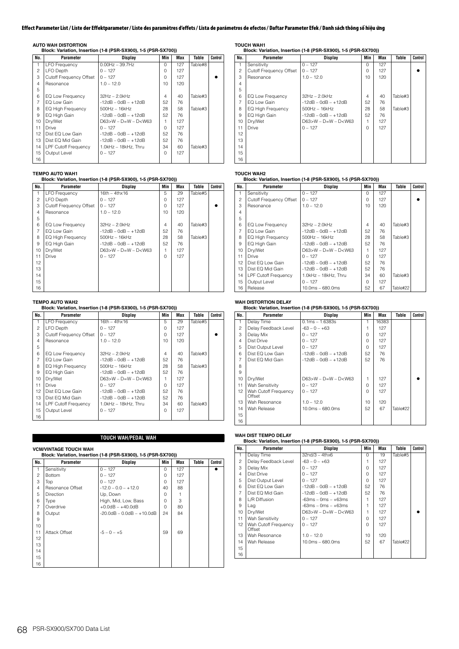**AUTO WAH DISTORTION Block: Variation, Insertion (1-8 (PSR-SX900), 1-5 (PSR-SX700))**

| No.            | Parameter                      | Display                     | Min      | Max | Table   | Control |
|----------------|--------------------------------|-----------------------------|----------|-----|---------|---------|
| 1              | <b>LFO Frequency</b>           | $0.00Hz - 39.7Hz$           | $\Omega$ | 127 | Table#8 |         |
| $\overline{c}$ | LFO Depth                      | $0 - 127$                   | O        | 127 |         |         |
| 3              | <b>Cutoff Frequency Offset</b> | $0 - 127$                   | $\Omega$ | 127 |         |         |
| $\overline{4}$ | Resonance                      | $1.0 - 12.0$                | 10       | 120 |         |         |
| 5              |                                |                             |          |     |         |         |
| 6              | EQ Low Frequency               | $32Hz - 2.0kHz$             | 4        | 40  | Table#3 |         |
| $\overline{7}$ | EQ Low Gain                    | $-12dB - OdB - +12dB$       | 52       | 76  |         |         |
| 8              | <b>EQ High Frequency</b>       | $500$ Hz $-16$ kHz          | 28       | 58  | Table#3 |         |
| 9              | EQ High Gain                   | $-12dB - OdB - +12dB$       | 52       | 76  |         |         |
| 10             | Dry/Wet                        | $D63 > W - D = W - D < W63$ | 1        | 127 |         |         |
| 11             | Drive                          | $0 - 127$                   | $\Omega$ | 127 |         |         |
| 12             | Dist EQ Low Gain               | $-12dB - OdB - +12dB$       | 52       | 76  |         |         |
| 13             | Dist EQ Mid Gain               | $-12dB - OdB - +12dB$       | 52       | 76  |         |         |
| 14             | <b>LPF Cutoff Frequency</b>    | $1.0kHz - 18kHz$ . Thru     | 34       | 60  | Table#3 |         |
| 15             | Output Level                   | $0 - 127$                   | $\Omega$ | 127 |         |         |
| 16             |                                |                             |          |     |         |         |

### **TEMPO AUTO WAH1**

### **Block: Variation, Insertion (1-8 (PSR-SX900), 1-5 (PSR-SX700))**

| No.            | Parameter                      | Display                | Min      | Max | Table   | Control |
|----------------|--------------------------------|------------------------|----------|-----|---------|---------|
| 1              | <b>LFO Frequency</b>           | $16th - 4thx16$        | 5        | 29  | Table#5 |         |
| $\overline{c}$ | LFO Depth                      | $0 - 127$              | $\Omega$ | 127 |         |         |
| 3              | <b>Cutoff Frequency Offset</b> | $0 - 127$              | O        | 127 |         |         |
| $\overline{4}$ | Resonance                      | $1.0 - 12.0$           | 10       | 120 |         |         |
| 5              |                                |                        |          |     |         |         |
| 6              | EQ Low Frequency               | $32Hz - 2.0kHz$        | 4        | 40  | Table#3 |         |
| $\overline{7}$ | EQ Low Gain                    | $-12dB - OdB - +12dB$  | 52       | 76  |         |         |
| 8              | <b>EQ High Frequency</b>       | $500$ Hz $-16$ kHz     | 28       | 58  | Table#3 |         |
| 9              | EQ High Gain                   | $-12dB - OdB - +12dB$  | 52       | 76  |         |         |
| 10             | Dry/Wet                        | $D63>W - D=W - D< W63$ | 1        | 127 |         |         |
| 11             | <b>Drive</b>                   | $0 - 127$              | $\Omega$ | 127 |         |         |
| 12             |                                |                        |          |     |         |         |
| 13             |                                |                        |          |     |         |         |
| 14             |                                |                        |          |     |         |         |
| 15             |                                |                        |          |     |         |         |
| 16             |                                |                        |          |     |         |         |

# **TEMPO AUTO WAH2 Block: Variation, Insertion (1-8 (PSR-SX900), 1-5 (PSR-SX700))**

| No.            | Parameter                   | Display                     | Min          | Max | Table   | Control |
|----------------|-----------------------------|-----------------------------|--------------|-----|---------|---------|
| 1              | <b>LFO Frequency</b>        | $16th - 4thx16$             | 5            | 29  | Table#5 |         |
| $\overline{c}$ | LFO Depth                   | $0 - 127$                   | $\Omega$     | 127 |         |         |
| 3              | Cutoff Frequency Offset     | $0 - 127$                   | O            | 127 |         |         |
| 4              | Resonance                   | $1.0 - 12.0$                | 10           | 120 |         |         |
| 5              |                             |                             |              |     |         |         |
| 6              | EQ Low Frequency            | $32Hz - 2.0kHz$             | 4            | 40  | Table#3 |         |
| 7              | EQ Low Gain                 | $-12dB - OdB - +12dB$       | 52           | 76  |         |         |
| 8              | <b>EQ High Frequency</b>    | $500$ Hz $-16$ kHz          | 28           | 58  | Table#3 |         |
| 9              | EQ High Gain                | $-12dB - OdB - +12dB$       | 52           | 76  |         |         |
| 10             | Dry/Wet                     | $D63 > W - D = W - D < W63$ | 1            | 127 |         |         |
| 11             | Drive                       | $0 - 127$                   | <sup>n</sup> | 127 |         |         |
| 12             | Dist EQ Low Gain            | $-12dB - 0dB - +12dB$       | 52           | 76  |         |         |
| 13             | Dist EQ Mid Gain            | $-12dB - OdB - +12dB$       | 52           | 76  |         |         |
| 14             | <b>LPF Cutoff Frequency</b> | 1.0kHz - 18kHz. Thru        | 34           | 60  | Table#3 |         |
| 15             | Output Level                | $0 - 127$                   | $\cap$       | 127 |         |         |
| 16             |                             |                             |              |     |         |         |

# **TOUCH WAH/PEDAL WAH**

### **VCM/VINTAGE TOUCH WAH Block: Variation, Insertion (1-8 (PSR-SX900), 1-5 (PSR-SX700)) No. Parameter Display Min Max Table Control** 1 Sensitivity 0 – 127 0 127 2 Bottom 0 – 127 0 127 3 Top 0 – 127 0 127 4 Resonance Offset  $-12.0 - 0.0 - +12.0$  40 88 5 Direction Up, Down 0 1<br>6 Type High, Mid, Low, Bass 0 3 Type  $\begin{vmatrix} \text{High, Mid, Low, Bass} \\ \text{O} & 3 \end{vmatrix}$ <br>Overdrive  $\begin{vmatrix} 0 & 3 \\ 0 & 8 \end{vmatrix}$ 7 Overdrive  $+0.0dB - +40.0dB$   $0$  80<br>8 Output -20.0dB - 0.0dB - 10.0dB 24 84 Output  $-20.0dB - 0.0dB - +10.0dB$  24 84 9 10 11 Attack Offset  $-5 - 0 - +5$  59 69 12 13 14 15 16

**TOUCH WAH1 Block: Variation, Insertion (1-8 (PSR-SX900), 1-5 (PSR-SX700))**

| No.            | Parameter                | <b>Display</b>              | Min      | <b>Max</b> | Table   | Control |
|----------------|--------------------------|-----------------------------|----------|------------|---------|---------|
| $\mathbf{1}$   | Sensitivity              | $0 - 127$                   | $\Omega$ | 127        |         |         |
| 2              | Cutoff Frequency Offset  | $0 - 127$                   | $\Omega$ | 127        |         |         |
| 3              | Resonance                | $1.0 - 12.0$                | 10       | 120        |         |         |
| 4              |                          |                             |          |            |         |         |
| 5              |                          |                             |          |            |         |         |
| 6              | EQ Low Frequency         | $32Hz - 2.0kHz$             | 4        | 40         | Table#3 |         |
| $\overline{7}$ | EQ Low Gain              | $-12dB - OdB - +12dB$       | 52       | 76         |         |         |
| 8              | <b>EQ High Frequency</b> | $500Hz - 16kHz$             | 28       | 58         | Table#3 |         |
| 9              | EQ High Gain             | $-12dB - OdB - +12dB$       | 52       | 76         |         |         |
| 10             | Dry/Wet                  | $D63 > W - D = W - D < W63$ | 1        | 127        |         |         |
| 11             | Drive                    | $0 - 127$                   | $\Omega$ | 127        |         |         |
| 12             |                          |                             |          |            |         |         |
| 13             |                          |                             |          |            |         |         |
| 14             |                          |                             |          |            |         |         |
| 15             |                          |                             |          |            |         |         |
| 16             |                          |                             |          |            |         |         |

### **TOUCH WAH2**

### **Block: Variation, Insertion (1-8 (PSR-SX900), 1-5 (PSR-SX700))**

| No.            | Parameter                   | <b>Display</b>              | Min      | Max | Table    | Control |
|----------------|-----------------------------|-----------------------------|----------|-----|----------|---------|
| 1              | Sensitivity                 | $0 - 127$                   | $\Omega$ | 127 |          |         |
| $\overline{c}$ | Cutoff Frequency Offset     | $0 - 127$                   | 0        | 127 |          |         |
| 3              | Resonance                   | $1.0 - 12.0$                | 10       | 120 |          |         |
| $\overline{4}$ |                             |                             |          |     |          |         |
| 5              |                             |                             |          |     |          |         |
| 6              | EQ Low Frequency            | $32Hz - 2.0kHz$             | 4        | 40  | Table#3  |         |
| $\overline{7}$ | EQ Low Gain                 | $-12dB - OdB - +12dB$       | 52       | 76  |          |         |
| 8              | <b>EQ High Frequency</b>    | $500Hz - 16kHz$             | 28       | 58  | Table#3  |         |
| 9              | EQ High Gain                | $-12dB - OdB - +12dB$       | 52       | 76  |          |         |
| 10             | Dry/Wet                     | $D63 > W - D = W - D < W63$ |          | 127 |          |         |
| 11             | Drive                       | $0 - 127$                   | $\cap$   | 127 |          |         |
| 12             | Dist EQ Low Gain            | $-12dB - OdB - +12dB$       | 52       | 76  |          |         |
| 13             | Dist EQ Mid Gain            | $-12dB - OdB - +12dB$       | 52       | 76  |          |         |
| 14             | <b>LPF Cutoff Frequency</b> | 1.0kHz - 18kHz. Thru        | 34       | 60  | Table#3  |         |
| 15             | Output Level                | $0 - 127$                   | 0        | 127 |          |         |
| 16             | Release                     | $10.0ms - 680.0ms$          | 52       | 67  | Table#22 |         |

# **WAH DISTORTION DELAY Block: Variation, Insertion (1-8 (PSR-SX900), 1-5 (PSR-SX700))**

| No.             | Parameter                      | <b>Display</b>         | Min | Max   | Table    | Control |
|-----------------|--------------------------------|------------------------|-----|-------|----------|---------|
| 1               | Delay Time                     | $0.1ms - 1.6383s$      | 1   | 16383 |          |         |
| 2               | Delay Feedback Level           | $-63 - 0 - +63$        |     | 127   |          |         |
| 3               | Delay Mix                      | $0 - 127$              | O   | 127   |          |         |
| 4               | Dist Drive                     | $0 - 127$              | O   | 127   |          |         |
| 5               | Dist Output Level              | $0 - 127$              | 0   | 127   |          |         |
| 6               | Dist EQ Low Gain               | $-12dB - OdB - +12dB$  | 52  | 76    |          |         |
| 7               | Dist EQ Mid Gain               | $-12dB - OdB - +12dB$  | 52  | 76    |          |         |
| 8               |                                |                        |     |       |          |         |
| 9               |                                |                        |     |       |          |         |
| 10              | Dry/Wet                        | $D63>W - D=W - D< W63$ | 1   | 127   |          |         |
| 11              | Wah Sensitivity                | $0 - 127$              | 0   | 127   |          |         |
| 12 <sup>°</sup> | Wah Cutoff Frequency<br>Offset | $0 - 127$              | 0   | 127   |          |         |
| 13              | Wah Resonance                  | $1.0 - 12.0$           | 10  | 120   |          |         |
| 14              | Wah Release                    | $10.0ms - 680.0ms$     | 52  | 67    | Table#22 |         |
| 15              |                                |                        |     |       |          |         |
| 16              |                                |                        |     |       |          |         |

## **WAH DIST TEMPO DELAY**

### **Block: Variation, Insertion (1-8 (PSR-SX900), 1-5 (PSR-SX700))**

| No.            | Parameter                      | Display                     | Min      | Max | Table    | Control |
|----------------|--------------------------------|-----------------------------|----------|-----|----------|---------|
| 1              | Delay Time                     | $32nd/3 - 4thx6$            | $\Omega$ | 19  | Table#5  |         |
| $\mathfrak{p}$ | Delay Feedback Level           | $-63 - 0 - +63$             | 1        | 127 |          |         |
| 3              | Delay Mix                      | $0 - 127$                   | 0        | 127 |          |         |
| 4              | Dist Drive                     | $0 - 127$                   | $\Omega$ | 127 |          |         |
| 5              | Dist Output Level              | $0 - 127$                   | 0        | 127 |          |         |
| 6              | Dist EQ Low Gain               | $-12dB - OdB - +12dB$       | 52       | 76  |          |         |
| 7              | Dist EQ Mid Gain               | $-12dB - OdB - +12dB$       | 52       | 76  |          |         |
| 8              | L/R Diffusion                  | $-63ms - 0ms - +63ms$       | 1        | 127 |          |         |
| 9              | Lag                            | $-63ms - 0ms - +63ms$       | 1        | 127 |          |         |
| 10             | Dry/Wet                        | $D63 > W - D = W - D < W63$ | 1        | 127 |          |         |
| 11             | Wah Sensitivity                | $0 - 127$                   | U        | 127 |          |         |
| 12             | Wah Cutoff Frequency<br>Offset | $0 - 127$                   | 0        | 127 |          |         |
| 13             | Wah Resonance                  | $1.0 - 12.0$                | 10       | 120 |          |         |
| 14             | Wah Release                    | $10.0$ ms – 680.0ms         | 52       | 67  | Table#22 |         |
| 15             |                                |                             |          |     |          |         |
| 16             |                                |                             |          |     |          |         |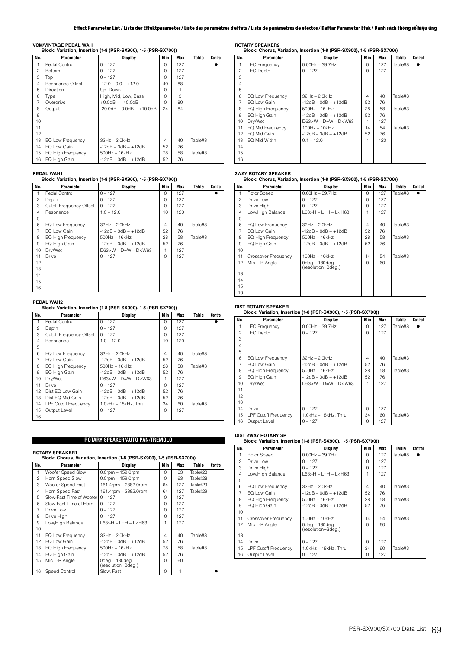**VCM/VINTAGE PEDAL WAH Block: Variation, Insertion (1-8 (PSR-SX900), 1-5 (PSR-SX700))**

| No.            | Parameter         | Display                            | Min      | Max | Table   | Control |
|----------------|-------------------|------------------------------------|----------|-----|---------|---------|
|                | Pedal Control     | $0 - 127$                          | $\Omega$ | 127 |         |         |
| $\overline{c}$ | <b>Bottom</b>     | $0 - 127$                          | O        | 127 |         |         |
| 3              | Top               | $0 - 127$                          | O        | 127 |         |         |
| $\overline{4}$ | Resonance Offset  | $-12.0 - 0.0 - +12.0$              | 40       | 88  |         |         |
| 5              | Direction         | Up, Down                           | U        |     |         |         |
| 6              | Type              | High, Mid, Low, Bass               | U        | 3   |         |         |
| $\overline{7}$ | Overdrive         | $+0.0$ d $B - +40.0$ d $B$         | $\cap$   | 80  |         |         |
| 8              | Output            | $-20.0$ dB $- 0.0$ dB $- +10.0$ dB | 24       | 84  |         |         |
| 9              |                   |                                    |          |     |         |         |
| 10             |                   |                                    |          |     |         |         |
| 11             |                   |                                    |          |     |         |         |
| 12             |                   |                                    |          |     |         |         |
| 13             | EQ Low Frequency  | $32Hz - 2.0kHz$                    | 4        | 40  | Table#3 |         |
| 14             | EQ Low Gain       | $-12dB - OdB - +12dB$              | 52       | 76  |         |         |
| 15             | EQ High Frequency | $500Hz - 16kHz$                    | 28       | 58  | Table#3 |         |
| 16             | EQ High Gain      | $-12dB - OdB - +12dB$              | 52       | 76  |         |         |

### **PEDAL WAH1**

### **Block: Variation, Insertion (1-8 (PSR-SX900), 1-5 (PSR-SX700))**

| No.            | Parameter                      | Display                | Min      | Max | Table   | Control |
|----------------|--------------------------------|------------------------|----------|-----|---------|---------|
|                | Pedal Control                  | $0 - 127$              | $\Omega$ | 127 |         |         |
| $\overline{c}$ | Depth                          | $0 - 127$              | $\Omega$ | 127 |         |         |
| 3              | <b>Cutoff Frequency Offset</b> | $0 - 127$              | $\Omega$ | 127 |         |         |
| 4              | Resonance                      | $1.0 - 12.0$           | 10       | 120 |         |         |
| 5              |                                |                        |          |     |         |         |
| 6              | EQ Low Frequency               | $32Hz - 2.0kHz$        | 4        | 40  | Table#3 |         |
| $\overline{7}$ | EQ Low Gain                    | $-12dB - OdB - +12dB$  | 52       | 76  |         |         |
| 8              | <b>EQ High Frequency</b>       | $500$ Hz $-16$ kHz     | 28       | 58  | Table#3 |         |
| 9              | EQ High Gain                   | $-12dB - OdB - +12dB$  | 52       | 76  |         |         |
| 10             | Dry/Wet                        | $D63>W - D=W - D< W63$ | 1        | 127 |         |         |
| 11             | Drive                          | $0 - 127$              | $\Omega$ | 127 |         |         |
| 12             |                                |                        |          |     |         |         |
| 13             |                                |                        |          |     |         |         |
| 14             |                                |                        |          |     |         |         |
| 15             |                                |                        |          |     |         |         |
| 16             |                                |                        |          |     |         |         |

# **PEDAL WAH2 Block: Variation, Insertion (1-8 (PSR-SX900), 1-5 (PSR-SX700))**

| No.            | Parameter                   | Display                    | Min          | Max | Table   | Control |
|----------------|-----------------------------|----------------------------|--------------|-----|---------|---------|
| 1              | Pedal Control               | $0 - 127$                  | $\cap$       | 127 |         |         |
| 2              | Depth                       | $0 - 127$                  | U            | 127 |         |         |
| 3              | Cutoff Frequency Offset     | $0 - 127$                  | U            | 127 |         |         |
| $\overline{4}$ | Resonance                   | $1.0 - 12.0$               | 10           | 120 |         |         |
| 5              |                             |                            |              |     |         |         |
| 6              | EQ Low Frequency            | $32Hz - 2.0kHz$            | 4            | 40  | Table#3 |         |
| $\overline{7}$ | EQ Low Gain                 | $-12dB - OdB - +12dB$      | 52           | 76  |         |         |
| 8              | EQ High Frequency           | $500Hz - 16kHz$            | 28           | 58  | Table#3 |         |
| 9              | EQ High Gain                | $-12$ dB $-$ 0dB $ +12$ dB | 52           | 76  |         |         |
| 10             | Dry/Wet                     | $D63>W - D=W - D< W63$     |              | 127 |         |         |
| 11             | Drive                       | $0 - 127$                  | $\cap$       | 127 |         |         |
| 12             | Dist EQ Low Gain            | $-12dB - OdB - +12dB$      | 52           | 76  |         |         |
| 13             | Dist EQ Mid Gain            | $-12dB - OdB - +12dB$      | 52           | 76  |         |         |
| 14             | <b>LPF Cutoff Frequency</b> | 1.0kHz - 18kHz, Thru       | 34           | 60  | Table#3 |         |
| 15             | Output Level                | $0 - 127$                  | <sup>n</sup> | 127 |         |         |
| 16             |                             |                            |              |     |         |         |

## **ROTARY SPEAKER/AUTO PAN/TREMOLO**

# **ROTARY SPEAKER1**

|                | Block: Chorus, Variation, Insertion (1-8 (PSR-SX900), 1-5 (PSR-SX700)) |                                        |              |     |          |         |  |  |
|----------------|------------------------------------------------------------------------|----------------------------------------|--------------|-----|----------|---------|--|--|
| No.            | Parameter                                                              | Display                                | Min          | Max | Table    | Control |  |  |
| 1              | Woofer Speed Slow                                                      | $0.0$ rpm $-159.0$ rpm                 | $\Omega$     | 63  | Table#28 |         |  |  |
| $\overline{c}$ | Horn Speed Slow                                                        | $0.0$ rpm $-159.0$ rpm                 | $\Omega$     | 63  | Table#28 |         |  |  |
| 3              | Woofer Speed Fast                                                      | 161.4rpm - 2382.0rpm                   | 64           | 127 | Table#29 |         |  |  |
| $\overline{4}$ | Horn Speed Fast                                                        | 161.4rpm - 2382.0rpm                   | 64           | 127 | Table#29 |         |  |  |
| 5              | Slow-Fast Time of Woofer                                               | $0 - 127$                              | <sup>n</sup> | 127 |          |         |  |  |
| 6              | Slow-Fast Time of Horn                                                 | $0 - 127$                              | U            | 127 |          |         |  |  |
| 7              | Drive Low                                                              | $0 - 127$                              | 0            | 127 |          |         |  |  |
| 8              | Drive High                                                             | $0 - 127$                              | $\Omega$     | 127 |          |         |  |  |
| 9              | Low/High Balance                                                       | $L63 > H - L = H - L < H63$            |              | 127 |          |         |  |  |
| 10             |                                                                        |                                        |              |     |          |         |  |  |
| 11             | EQ Low Frequency                                                       | $32Hz - 2.0kHz$                        | 4            | 40  | Table#3  |         |  |  |
| 12             | EQ Low Gain                                                            | $-12dB - OdB - +12dB$                  | 52           | 76  |          |         |  |  |
| 13             | EQ High Frequency                                                      | $500$ Hz $-16$ kHz                     | 28           | 58  | Table#3  |         |  |  |
| 14             | EQ High Gain                                                           | $-12dB - OdB - +12dB$                  | 52           | 76  |          |         |  |  |
| 15             | Mic L-R Angle                                                          | $0$ deg – 180deg<br>(resolution=3deg.) | $\cap$       | 60  |          |         |  |  |
| 16             | Speed Control                                                          | Slow, Fast                             | $\Omega$     |     |          |         |  |  |

**ROTARY SPEAKER2 Block: Chorus, Variation, Insertion (1-8 (PSR-SX900), 1-5 (PSR-SX700))**

| No.            | <b>Parameter</b>         | Display                     | Min            | Max | Table   | Control |
|----------------|--------------------------|-----------------------------|----------------|-----|---------|---------|
|                | <b>LFO Frequency</b>     | $0.00Hz - 39.7Hz$           | $\Omega$       | 127 | Table#8 |         |
| $\mathfrak{p}$ | LFO Depth                | $0 - 127$                   | $\Omega$       | 127 |         |         |
| 3              |                          |                             |                |     |         |         |
| 4              |                          |                             |                |     |         |         |
| 5              |                          |                             |                |     |         |         |
| 6              | EQ Low Frequency         | $32Hz - 2.0kHz$             | $\overline{4}$ | 40  | Table#3 |         |
| 7              | EQ Low Gain              | $-12dB - OdB - +12dB$       | 52             | 76  |         |         |
| 8              | <b>EQ High Frequency</b> | $500Hz - 16kHz$             | 28             | 58  | Table#3 |         |
| 9              | EQ High Gain             | $-12dB - OdB - +12dB$       | 52             | 76  |         |         |
| 10             | Dry/Wet                  | $D63 > W - D = W - D < W63$ |                | 127 |         |         |
| 11             | EQ Mid Frequency         | $100Hz - 10kHz$             | 14             | 54  | Table#3 |         |
| 12             | EQ Mid Gain              | $-12dB - OdB - +12dB$       | 52             | 76  |         |         |
| 13             | EQ Mid Width             | $0.1 - 12.0$                |                | 120 |         |         |
| 14             |                          |                             |                |     |         |         |
| 15             |                          |                             |                |     |         |         |
| 16             |                          |                             |                |     |         |         |

# **2WAY ROTARY SPEAKER Block: Chorus, Variation, Insertion (1-8 (PSR-SX900), 1-5 (PSR-SX700))**

| No.            | <b>Parameter</b>         | <b>Display</b>                         | Min    | Max | Table   | Control |
|----------------|--------------------------|----------------------------------------|--------|-----|---------|---------|
| 1              | Rotor Speed              | $0.00Hz - 39.7Hz$                      | $\cap$ | 127 | Table#8 |         |
| $\mathfrak{p}$ | Drive Low                | $0 - 127$                              | O      | 127 |         |         |
| 3              | Drive High               | $0 - 127$                              | $\cap$ | 127 |         |         |
| $\overline{4}$ | Low/High Balance         | $L63 > H - L = H - L < H63$            |        | 127 |         |         |
| 5              |                          |                                        |        |     |         |         |
| 6              | EQ Low Frequency         | $32Hz - 2.0kHz$                        | 4      | 40  | Table#3 |         |
| 7              | EQ Low Gain              | $-12dB - OdB - +12dB$                  | 52     | 76  |         |         |
| 8              | <b>EQ High Frequency</b> | $500Hz - 16kHz$                        | 28     | 58  | Table#3 |         |
| 9              | EQ High Gain             | $-12dB - OdB - +12dB$                  | 52     | 76  |         |         |
| 10             |                          |                                        |        |     |         |         |
| 11             | Crossover Frequency      | $100Hz - 10kHz$                        | 14     | 54  | Table#3 |         |
| 12             | Mic L-R Angle            | $0$ deg – 180deg<br>(resolution=3deg.) | $\cap$ | 60  |         |         |
| 13             |                          |                                        |        |     |         |         |
| 14             |                          |                                        |        |     |         |         |
| 15             |                          |                                        |        |     |         |         |
| 16             |                          |                                        |        |     |         |         |

# **DIST ROTARY SPEAKER Block: Variation, Insertion (1-8 (PSR-SX900), 1-5 (PSR-SX700))**

| No.              | Parameter                   | <b>Display</b>              | Min      | Max | Table   | Control |
|------------------|-----------------------------|-----------------------------|----------|-----|---------|---------|
| $\mathbf{1}$     | <b>LFO Frequency</b>        | $0.00Hz - 39.7Hz$           | $\Omega$ | 127 | Table#8 |         |
| $\mathfrak{p}$   | <b>LFO Depth</b>            | $0 - 127$                   | $\Omega$ | 127 |         |         |
| 3                |                             |                             |          |     |         |         |
| 4                |                             |                             |          |     |         |         |
| 5                |                             |                             |          |     |         |         |
| 6                | EQ Low Frequency            | $32Hz - 2.0kHz$             | 4        | 40  | Table#3 |         |
| 7                | EQ Low Gain                 | $-12dB - OdB - +12dB$       | 52       | 76  |         |         |
| 8                | <b>EQ High Frequency</b>    | 500Hz - 16kHz               | 28       | 58  | Table#3 |         |
| 9                | EQ High Gain                | $-12dB - OdB - +12dB$       | 52       | 76  |         |         |
| 10               | Dry/Wet                     | $D63 > W - D = W - D < W63$ | 1        | 127 |         |         |
| 11               |                             |                             |          |     |         |         |
| 12 <sup>2</sup>  |                             |                             |          |     |         |         |
| 13 <sup>13</sup> |                             |                             |          |     |         |         |
| 14               | Drive                       | $0 - 127$                   | $\Omega$ | 127 |         |         |
| 15               | <b>LPF Cutoff Frequency</b> | 1.0kHz - 18kHz, Thru        | 34       | 60  | Table#3 |         |
| 16               | Output Level                | $0 - 127$                   | 0        | 127 |         |         |

## **DIST 2WAY ROTARY SP**

## **Block: Variation, Insertion (1-8 (PSR-SX900), 1-5 (PSR-SX700))**

| No.            | Parameter                   | Display                                                                    | Min    | Max | Table   | Control |
|----------------|-----------------------------|----------------------------------------------------------------------------|--------|-----|---------|---------|
| 1              | Rotor Speed                 | $0.00$ Hz $- 39.7$ Hz                                                      | $\cap$ | 127 | Table#8 |         |
| $\mathfrak{p}$ | Drive Low                   | $0 - 127$                                                                  | $\cap$ | 127 |         |         |
| 3              | Drive High                  | $0 - 127$                                                                  | $\cap$ | 127 |         |         |
| $\overline{4}$ | Low/High Balance            | L63>H - L=H - L <h63< td=""><td></td><td>127</td><td></td><td></td></h63<> |        | 127 |         |         |
| 5              |                             |                                                                            |        |     |         |         |
| 6              | EQ Low Frequency            | $32Hz - 2.0kHz$                                                            | 4      | 40  | Table#3 |         |
| $\overline{7}$ | FO Low Gain                 | $-12dB - OdB - +12dB$                                                      | 52     | 76  |         |         |
| 8              | <b>EQ High Frequency</b>    | $500Hz - 16kHz$                                                            | 28     | 58  | Table#3 |         |
| 9              | EQ High Gain                | $-12dB - OdB - +12dB$                                                      | 52     | 76  |         |         |
| 10             |                             |                                                                            |        |     |         |         |
| 11             | Crossover Frequency         | $100Hz - 10kHz$                                                            | 14     | 54  | Table#3 |         |
| 12             | Mic L-R Angle               | $0$ deg – 180deg<br>(resolution=3deg.)                                     | $\cap$ | 60  |         |         |
| 13             |                             |                                                                            |        |     |         |         |
| 14             | Drive                       | $0 - 127$                                                                  | $\cap$ | 127 |         |         |
| 15             | <b>LPF Cutoff Frequency</b> | 1.0kHz - 18kHz, Thru                                                       | 34     | 60  | Table#3 |         |
| 16             | Output Level                | $0 - 127$                                                                  | 0      | 127 |         |         |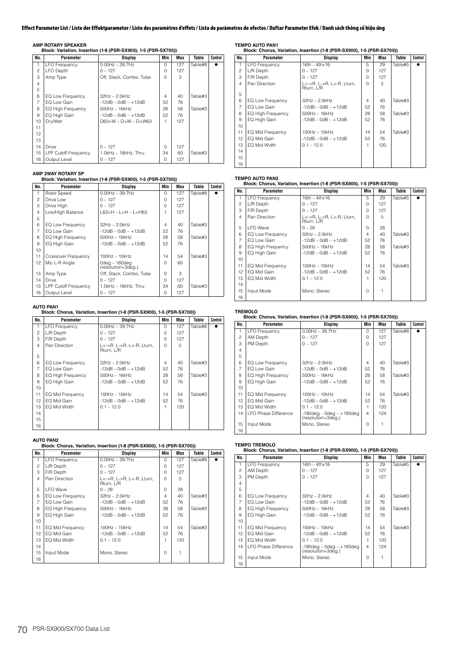**AMP ROTARY SPEAKER Block: Variation, Insertion (1-8 (PSR-SX900), 1-5 (PSR-SX700))**

| No.            | Parameter                   | Display                     | Min      | Max | Table   | Control |
|----------------|-----------------------------|-----------------------------|----------|-----|---------|---------|
|                | <b>LFO Frequency</b>        | $0.00$ Hz $-$ 39.7Hz        | $\Omega$ | 127 | Table#8 |         |
| $\overline{c}$ | LFO Depth                   | $0 - 127$                   | $\Omega$ | 127 |         |         |
| 3              | Amp Type                    | Off, Stack, Combo, Tube     | $\cap$   | 3   |         |         |
| $\overline{4}$ |                             |                             |          |     |         |         |
| 5              |                             |                             |          |     |         |         |
| 6              | EQ Low Frequency            | $32Hz - 2.0kHz$             | 4        | 40  | Table#3 |         |
| $\overline{7}$ | EQ Low Gain                 | $-12dB - OdB - +12dB$       | 52       | 76  |         |         |
| 8              | EQ High Frequency           | $500$ Hz $-16$ kHz          | 28       | 58  | Table#3 |         |
| 9              | EQ High Gain                | $-12dB - OdB - +12dB$       | 52       | 76  |         |         |
| 10             | Dry/Wet                     | $D63 > W - D = W - D < W63$ |          | 127 |         |         |
| 11             |                             |                             |          |     |         |         |
| 12             |                             |                             |          |     |         |         |
| 13             |                             |                             |          |     |         |         |
| 14             | Drive                       | $0 - 127$                   | $\Omega$ | 127 |         |         |
| 15             | <b>LPF Cutoff Frequency</b> | 1.0kHz - 18kHz, Thru        | 34       | 60  | Table#3 |         |
| 16             | Output Level                | $0 - 127$                   | O        | 127 |         |         |

## **AMP 2WAY ROTARY SP**

## **Block: Variation, Insertion (1-8 (PSR-SX900), 1-5 (PSR-SX700))**

| No.            | Parameter                   | Display                                                                    | Min          | Max | Table   | Control |
|----------------|-----------------------------|----------------------------------------------------------------------------|--------------|-----|---------|---------|
| 1              | Rotor Speed                 | $0.00$ Hz $-$ 39.7Hz                                                       | $\Omega$     | 127 | Table#8 |         |
| $\overline{c}$ | Drive Low                   | $0 - 127$                                                                  | O            | 127 |         |         |
| 3              | Drive High                  | $0 - 127$                                                                  | $\cap$       | 127 |         |         |
| 4              | Low/High Balance            | L63>H – L=H – L <h63< td=""><td></td><td>127</td><td></td><td></td></h63<> |              | 127 |         |         |
| 5              |                             |                                                                            |              |     |         |         |
| 6              | EQ Low Frequency            | $32Hz - 2.0kHz$                                                            | 4            | 40  | Table#3 |         |
| $\overline{7}$ | FO Low Gain                 | $-12dB - OdB - +12dB$                                                      | 52           | 76  |         |         |
| 8              | <b>EQ High Frequency</b>    | $500Hz - 16kHz$                                                            | 28           | 58  | Table#3 |         |
| 9              | EQ High Gain                | $-12$ dB $-$ 0dB $ +12$ dB                                                 | 52           | 76  |         |         |
| 10             |                             |                                                                            |              |     |         |         |
| 11             | Crossover Frequency         | $100Hz - 10kHz$                                                            | 14           | 54  | Table#3 |         |
| 12             | Mic L-R Angle               | 0deg – 180deg<br>(resolution=3deg.)                                        | <sup>n</sup> | 60  |         |         |
| 13             | Amp Type                    | Off, Stack, Combo, Tube                                                    | O            | 3   |         |         |
| 14             | Drive                       | $0 - 127$                                                                  | $\cap$       | 127 |         |         |
| 15             | <b>LPF Cutoff Frequency</b> | $1.0$ kHz $-$ 18kHz. Thru                                                  | 34           | 60  | Table#3 |         |
| 16             | Output Level                | $0 - 127$                                                                  | $\Omega$     | 127 |         |         |

## **AUTO PAN1**

|                | AUTO PAN1            | Block: Chorus, Variation, Insertion (1-8 (PSR-SX900), 1-5 (PSR-SX700)) |                |     |         |         |
|----------------|----------------------|------------------------------------------------------------------------|----------------|-----|---------|---------|
| No.            | Parameter            | Display                                                                | Min            | Max | Table   | Control |
| 1              | <b>LFO Frequency</b> | $0.00$ Hz $-$ 39.7Hz                                                   | O              | 127 | Table#8 |         |
| $\overline{c}$ | L/R Depth            | $0 - 127$                                                              | O              | 127 |         |         |
| 3              | F/R Depth            | $0 - 127$                                                              | $\Omega$       | 127 |         |         |
| 4              | Pan Direction        | L<->R, L->R, L<-R, Lturn,<br>Rturn, L/R                                | $\Omega$       | 5   |         |         |
| 5              |                      |                                                                        |                |     |         |         |
| 6              | EQ Low Frequency     | $32Hz - 2.0kHz$                                                        | $\overline{4}$ | 40  | Table#3 |         |
| $\overline{7}$ | EQ Low Gain          | $-12dB - OdB - +12dB$                                                  | 52             | 76  |         |         |
| 8              | EQ High Frequency    | $500$ Hz $-16$ kHz                                                     | 28             | 58  | Table#3 |         |
| 9              | EQ High Gain         | $-12dB - OdB - +12dB$                                                  | 52             | 76  |         |         |
| 10             |                      |                                                                        |                |     |         |         |
| 11             | EQ Mid Frequency     | $100Hz - 10kHz$                                                        | 14             | 54  | Table#3 |         |
| 12             | EQ Mid Gain          | $-12dB - OdB - +12dB$                                                  | 52             | 76  |         |         |
| 13             | EQ Mid Width         | $0.1 - 12.0$                                                           | 1              | 120 |         |         |
| 14             |                      |                                                                        |                |     |         |         |
| 15             |                      |                                                                        |                |     |         |         |
| 16             |                      |                                                                        |                |     |         |         |

# **AUTO PAN2 Block: Chorus, Variation, Insertion (1-8 (PSR-SX900), 1-5 (PSR-SX700))**

| No.            | Parameter            | Display                                 | Min      | Max | Table   | Control |
|----------------|----------------------|-----------------------------------------|----------|-----|---------|---------|
| 1              | <b>LFO Frequency</b> | $0.00Hz - 39.7Hz$                       | $\cap$   | 127 | Table#8 |         |
| $\overline{c}$ | L/R Depth            | $0 - 127$                               | O        | 127 |         |         |
| 3              | F/R Depth            | $0 - 127$                               | $\Omega$ | 127 |         |         |
| $\overline{4}$ | Pan Direction        | L<->R, L->R, L<-R, Lturn,<br>Rturn, L/R | $\cap$   | 5   |         |         |
| 5              | I FO Wave            | $0 - 28$                                | $\Omega$ | 28  |         |         |
| 6              | EQ Low Frequency     | $32Hz - 2.0kHz$                         | 4        | 40  | Table#3 |         |
| $\overline{7}$ | EQ Low Gain          | $-12dB - OdB - +12dB$                   | 52       | 76  |         |         |
| 8              | EQ High Frequency    | $500$ Hz $-16$ kHz                      | 28       | 58  | Table#3 |         |
| 9              | EQ High Gain         | $-12$ dB $-$ 0dB $ +12$ dB              | 52       | 76  |         |         |
| 10             |                      |                                         |          |     |         |         |
| 11             | EQ Mid Frequency     | $100Hz - 10kHz$                         | 14       | 54  | Table#3 |         |
| 12             | EQ Mid Gain          | $-12dB - OdB - +12dB$                   | 52       | 76  |         |         |
| 13             | EQ Mid Width         | $0.1 - 12.0$                            |          | 120 |         |         |
| 14             |                      |                                         |          |     |         |         |
| 15             | Input Mode           | Mono, Stereo                            | $\Omega$ | 1   |         |         |
| 16             |                      |                                         |          |     |         |         |

**TEMPO AUTO PAN1 Block: Chorus, Variation, Insertion (1-8 (PSR-SX900), 1-5 (PSR-SX700))**

| No.            | Parameter            | Display                                 | Min | Max | Table   | Control |
|----------------|----------------------|-----------------------------------------|-----|-----|---------|---------|
| 1              | <b>LFO Frequency</b> | $16th - 4thx16$                         | 5   | 29  | Table#5 |         |
| $\mathfrak{p}$ | L/R Depth            | $0 - 127$                               | 0   | 127 |         |         |
| 3              | F/R Depth            | $0 - 127$                               | 0   | 127 |         |         |
| 4              | Pan Direction        | L<->R, L->R, L<-R, Lturn,<br>Rturn, L/R | 0   | 5   |         |         |
| 5              |                      |                                         |     |     |         |         |
| 6              | EQ Low Frequency     | $32Hz - 2.0kHz$                         | 4   | 40  | Table#3 |         |
| 7              | EQ Low Gain          | $-12dB - OdB - +12dB$                   | 52  | 76  |         |         |
| 8              | EQ High Frequency    | $500Hz - 16kHz$                         | 28  | 58  | Table#3 |         |
| 9              | EQ High Gain         | $-12dB - OdB - +12dB$                   | 52  | 76  |         |         |
| 10             |                      |                                         |     |     |         |         |
| 11             | EQ Mid Frequency     | $100Hz - 10kHz$                         | 14  | 54  | Table#3 |         |
| 12             | EQ Mid Gain          | $-12dB - OdB - +12dB$                   | 52  | 76  |         |         |
| 13             | EQ Mid Width         | $0.1 - 12.0$                            | 1   | 120 |         |         |
| 14             |                      |                                         |     |     |         |         |
| 15             |                      |                                         |     |     |         |         |
| 16             |                      |                                         |     |     |         |         |

# **TEMPO AUTO PAN2 Block: Chorus, Variation, Insertion (1-8 (PSR-SX900), 1-5 (PSR-SX700))**

| No.            | Parameter                | Display                                 | Min      | Max | Table   | Control |
|----------------|--------------------------|-----------------------------------------|----------|-----|---------|---------|
| 1.             | <b>LFO Frequency</b>     | $16th - 4thx16$                         | 5        | 29  | Table#5 |         |
| 2              | L/R Depth                | $0 - 127$                               | 0        | 127 |         |         |
| 3              | F/R Depth                | $0 - 127$                               | O        | 127 |         |         |
| 4              | Pan Direction            | L<->R. L->R. L<-R. Lturn.<br>Rturn, L/R | $\Omega$ | 5   |         |         |
| 5              | <b>LFO</b> Wave          | $0 - 28$                                | 0        | 28  |         |         |
| 6              | EQ Low Frequency         | $32Hz - 2.0kHz$                         | 4        | 40  | Table#3 |         |
| $\overline{7}$ | EQ Low Gain              | $-12dB - OdB - +12dB$                   | 52       | 76  |         |         |
| 8              | <b>EQ High Frequency</b> | $500Hz - 16kHz$                         | 28       | 58  | Table#3 |         |
| 9              | EQ High Gain             | $-12dB - OdB - +12dB$                   | 52       | 76  |         |         |
| 10             |                          |                                         |          |     |         |         |
| 11             | EQ Mid Frequency         | $100Hz - 10kHz$                         | 14       | 54  | Table#3 |         |
| 12             | EQ Mid Gain              | $-12dB - OdB - +12dB$                   | 52       | 76  |         |         |
| 13             | EQ Mid Width             | $0.1 - 12.0$                            |          | 120 |         |         |
| 14             |                          |                                         |          |     |         |         |
| 15             | Input Mode               | Mono, Stereo                            | $\Omega$ | 1   |         |         |
| 16             |                          |                                         |          |     |         |         |

# **TREMOLO Block: Chorus, Variation, Insertion (1-8 (PSR-SX900), 1-5 (PSR-SX700))**

| No.              | Parameter                   | Display                                              | Min      | Max | Table   | Control |
|------------------|-----------------------------|------------------------------------------------------|----------|-----|---------|---------|
| 1                | <b>LFO Frequency</b>        | $0.00$ Hz $-$ 39.7Hz                                 | $\Omega$ | 127 | Table#8 |         |
| 2                | AM Depth                    | $0 - 127$                                            | O        | 127 |         |         |
| 3                | PM Depth                    | $0 - 127$                                            | 0        | 127 |         |         |
| 4                |                             |                                                      |          |     |         |         |
| 5                |                             |                                                      |          |     |         |         |
| 6                | EQ Low Frequency            | $32Hz - 2.0kHz$                                      | 4        | 40  | Table#3 |         |
| $\overline{7}$   | FO Low Gain                 | $-12dB - OdB - +12dB$                                | 52       | 76  |         |         |
| 8                | EQ High Frequency           | 500Hz - 16kHz                                        | 28       | 58  | Table#3 |         |
| 9                | EQ High Gain                | $-12dB - OdB - +12dB$                                | 52       | 76  |         |         |
| 10               |                             |                                                      |          |     |         |         |
| 11               | EQ Mid Frequency            | $100Hz - 10kHz$                                      | 14       | 54  | Table#3 |         |
| 12               | EQ Mid Gain                 | $-12dB - OdB - +12dB$                                | 52       | 76  |         |         |
| 13 <sup>13</sup> | FO Mid Width                | $0.1 - 12.0$                                         | 1        | 120 |         |         |
| 14               | <b>LFO Phase Difference</b> | $-180$ deg – 0deg – $+180$ deg<br>(resolution=3deg.) | 4        | 124 |         |         |
| 15               | Input Mode                  | Mono, Stereo                                         | $\Omega$ |     |         |         |
| 16               |                             |                                                      |          |     |         |         |

# **TEMPO TREMOLO Block: Chorus, Variation, Insertion (1-8 (PSR-SX900), 1-5 (PSR-SX700))**

| No.            | Parameter                   | Display                                              | Min    | Max | Table   | Control |
|----------------|-----------------------------|------------------------------------------------------|--------|-----|---------|---------|
|                | <b>LFO Frequency</b>        | $16th - 4thx16$                                      | 5      | 29  | Table#5 |         |
| $\mathfrak{p}$ | AM Depth                    | $0 - 127$                                            | O      | 127 |         |         |
| 3              | PM Depth                    | $0 - 127$                                            | O      | 127 |         |         |
| 4              |                             |                                                      |        |     |         |         |
| 5              |                             |                                                      |        |     |         |         |
| 6              | EQ Low Frequency            | $32Hz - 2.0kHz$                                      | 4      | 40  | Table#3 |         |
| $\overline{7}$ | EQ Low Gain                 | $-12dB - OdB - +12dB$                                | 52     | 76  |         |         |
| 8              | <b>EQ High Frequency</b>    | $500Hz - 16kHz$                                      | 28     | 58  | Table#3 |         |
| 9              | EQ High Gain                | $-12dB - OdB - +12dB$                                | 52     | 76  |         |         |
| 10             |                             |                                                      |        |     |         |         |
| 11             | EQ Mid Frequency            | $100Hz - 10kHz$                                      | 14     | 54  | Table#3 |         |
| 12             | EQ Mid Gain                 | $-12dB - OdB - +12dB$                                | 52     | 76  |         |         |
| 13             | EQ Mid Width                | $0.1 - 12.0$                                         |        | 120 |         |         |
| 14             | <b>LFO Phase Difference</b> | $-180$ deg - 0deg - $+180$ deg<br>(resolution=3deg.) | 4      | 124 |         |         |
| 15             | Input Mode                  | Mono, Stereo                                         | $\cap$ |     |         |         |
| 16             |                             |                                                      |        |     |         |         |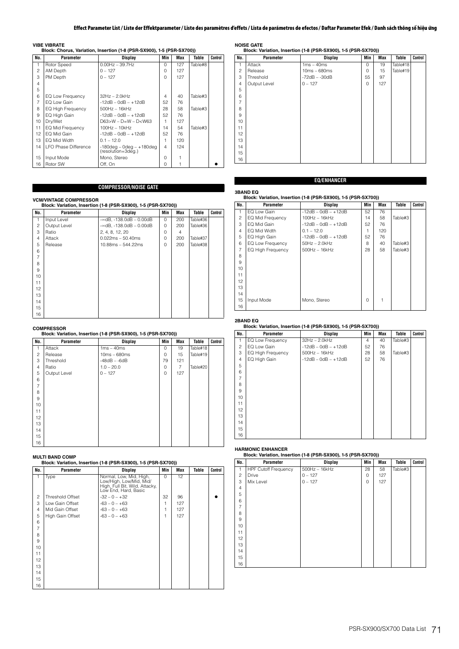### **VIBE VIBRATE**

| Block: Chorus, Variation, Insertion (1-8 (PSR-SX900), 1-5 (PSR-SX700)) |  |  |  |  |
|------------------------------------------------------------------------|--|--|--|--|
|                                                                        |  |  |  |  |

| No.            | Parameter                   | <b>Display</b>                                       | Min          | Max | Table   | Control |
|----------------|-----------------------------|------------------------------------------------------|--------------|-----|---------|---------|
| 1              | Rotor Speed                 | $0.00$ Hz $-$ 39.7Hz                                 | $\Omega$     | 127 | Table#8 |         |
| $\overline{c}$ | AM Depth                    | $0 - 127$                                            | $\cap$       | 127 |         |         |
| 3              | PM Depth                    | $0 - 127$                                            | $\Omega$     | 127 |         |         |
| 4              |                             |                                                      |              |     |         |         |
| 5              |                             |                                                      |              |     |         |         |
| 6              | EQ Low Frequency            | $32Hz - 2.0kHz$                                      | 4            | 40  | Table#3 |         |
| $\overline{7}$ | FO Low Gain                 | $-12dB - OdB - +12dB$                                | 52           | 76  |         |         |
| 8              | <b>EQ High Frequency</b>    | $500$ Hz $-16$ kHz                                   | 28           | 58  | Table#3 |         |
| 9              | EQ High Gain                | $-12dB - OdB - +12dB$                                | 52           | 76  |         |         |
| 10             | Dry/Wet                     | $D63 > W - D = W - D < W63$                          |              | 127 |         |         |
| 11             | EQ Mid Frequency            | $100Hz - 10kHz$                                      | 14           | 54  | Table#3 |         |
| 12             | EQ Mid Gain                 | $-12dB - OdB - +12dB$                                | 52           | 76  |         |         |
| 13             | EQ Mid Width                | $0.1 - 12.0$                                         | 1            | 120 |         |         |
| 14             | <b>LFO Phase Difference</b> | $-180$ deg – 0deg – $+180$ deg<br>(resolution=3deg.) | 4            | 124 |         |         |
| 15             | Input Mode                  | Mono, Stereo                                         | <sup>n</sup> |     |         |         |
| 16             | Rotor SW                    | Off, On                                              | <sup>n</sup> |     |         |         |

# **COMPRESSOR/NOISE GATE**

**VCM/VINTAGE COMPRESSOR**

|                |              |                                      | Block: Variation, Insertion (1-8 (PSR-SX900), 1-5 (PSR-SX700)) |     |          |         |  |  |  |  |
|----------------|--------------|--------------------------------------|----------------------------------------------------------------|-----|----------|---------|--|--|--|--|
| No.            | Parameter    | Display                              | Min                                                            | Max | Table    | Control |  |  |  |  |
| 1              | Input Level  | $-\infty$ dB, $-138.0$ dB $-0.00$ dB | $\Omega$                                                       | 200 | Table#36 |         |  |  |  |  |
| $\overline{c}$ | Output Level | $-\infty$ dB, $-138.0$ dB $-0.00$ dB | O                                                              | 200 | Table#36 |         |  |  |  |  |
| 3              | Ratio        | 2, 4, 8, 12, 20                      | 0                                                              | 4   |          |         |  |  |  |  |
| 4              | Attack       | $0.022ms - 50.40ms$                  | 0                                                              | 200 | Table#37 |         |  |  |  |  |
| 5              | Release      | $10.88ms - 544.22ms$                 | $\Omega$                                                       | 200 | Table#38 |         |  |  |  |  |
| 6              |              |                                      |                                                                |     |          |         |  |  |  |  |
| $\overline{7}$ |              |                                      |                                                                |     |          |         |  |  |  |  |
| 8              |              |                                      |                                                                |     |          |         |  |  |  |  |
| 9              |              |                                      |                                                                |     |          |         |  |  |  |  |
| 10             |              |                                      |                                                                |     |          |         |  |  |  |  |
| 11             |              |                                      |                                                                |     |          |         |  |  |  |  |
| 12             |              |                                      |                                                                |     |          |         |  |  |  |  |
| 13             |              |                                      |                                                                |     |          |         |  |  |  |  |
| 14             |              |                                      |                                                                |     |          |         |  |  |  |  |
| 15             |              |                                      |                                                                |     |          |         |  |  |  |  |
| 16             |              |                                      |                                                                |     |          |         |  |  |  |  |

### **COMPRESSOR**

**Block: Variation, Insertion (1-8 (PSR-SX900), 1-5 (PSR-SX700))**

| No.            | Parameter    | Display        | Min         | Max            | Table    | Control |
|----------------|--------------|----------------|-------------|----------------|----------|---------|
| 1              | Attack       | $1ms - 40ms$   | $\mathbf 0$ | 19             | Table#18 |         |
| $\overline{c}$ | Release      | $10ms - 680ms$ | 0           | 15             | Table#19 |         |
| 3              | Threshold    | $-48dB - -6dB$ | 79          | 121            |          |         |
| $\overline{4}$ | Ratio        | $1.0 - 20.0$   | $\Omega$    | $\overline{7}$ | Table#20 |         |
| 5              | Output Level | $0 - 127$      | 0           | 127            |          |         |
| 6              |              |                |             |                |          |         |
| $\overline{7}$ |              |                |             |                |          |         |
| 8              |              |                |             |                |          |         |
| 9              |              |                |             |                |          |         |
| 10             |              |                |             |                |          |         |
| 11             |              |                |             |                |          |         |
| 12             |              |                |             |                |          |         |
| 13             |              |                |             |                |          |         |
| 14             |              |                |             |                |          |         |
| 15             |              |                |             |                |          |         |
| 16             |              |                |             |                |          |         |

### **MULTI BAND COMP**

**Block: Variation, Insertion (1-8 (PSR-SX900), 1-5 (PSR-SX700))**

| No.            | Parameter               | Display                                                                                                      | Min      | Max | Table | Control |
|----------------|-------------------------|--------------------------------------------------------------------------------------------------------------|----------|-----|-------|---------|
| 1              | Type                    | Normal, Low, Mid, High,<br>Low/High, Low/Mid, Mid/<br>High, Full Bit, Wild, Attacky,<br>Low End, Hard, Basic | $\Omega$ | 12  |       |         |
| $\overline{c}$ | <b>Threshold Offset</b> | $-32 - 0 - +32$                                                                                              | 32       | 96  |       |         |
| 3              | Low Gain Offset         | $-63 - 0 - +63$                                                                                              | 1        | 127 |       |         |
| $\overline{4}$ | Mid Gain Offset         | $-63 - 0 - +63$                                                                                              | 1        | 127 |       |         |
| 5              | High Gain Offset        | $-63 - 0 - +63$                                                                                              | 1        | 127 |       |         |
| 6              |                         |                                                                                                              |          |     |       |         |
| $\overline{7}$ |                         |                                                                                                              |          |     |       |         |
| 8              |                         |                                                                                                              |          |     |       |         |
| 9              |                         |                                                                                                              |          |     |       |         |
| 10             |                         |                                                                                                              |          |     |       |         |
| 11             |                         |                                                                                                              |          |     |       |         |
| 12             |                         |                                                                                                              |          |     |       |         |
| 13             |                         |                                                                                                              |          |     |       |         |
| 14             |                         |                                                                                                              |          |     |       |         |
| 15             |                         |                                                                                                              |          |     |       |         |
| 16             |                         |                                                                                                              |          |     |       |         |

**NOISE GATE Block: Variation, Insertion (1-8 (PSR-SX900), 1-5 (PSR-SX700))**

| No.            | Parameter    | <b>Display</b>  | Min     | Max | Table    | Control |
|----------------|--------------|-----------------|---------|-----|----------|---------|
| 1              | Attack       | $1ms - 40ms$    | 0       | 19  | Table#18 |         |
| $\overline{c}$ | Release      | $10ms - 680ms$  | $\circ$ | 15  | Table#19 |         |
| 3              | Threshold    | $-72dB - -30dB$ | 55      | 97  |          |         |
| $\overline{4}$ | Output Level | $0 - 127$       | 0       | 127 |          |         |
| 5              |              |                 |         |     |          |         |
| 6              |              |                 |         |     |          |         |
| $\overline{7}$ |              |                 |         |     |          |         |
| 8              |              |                 |         |     |          |         |
| 9              |              |                 |         |     |          |         |
| 10             |              |                 |         |     |          |         |
| 11             |              |                 |         |     |          |         |
| 12             |              |                 |         |     |          |         |
| 13             |              |                 |         |     |          |         |
| 14             |              |                 |         |     |          |         |
| 15             |              |                 |         |     |          |         |
| 16             |              |                 |         |     |          |         |

# **EQ/ENHANCER**

### **3BAND EQ**

## **Block: Variation, Insertion (1-8 (PSR-SX900), 1-5 (PSR-SX700))**

| No.            | Parameter                | Display               | Min      | Max | Table   | Control |
|----------------|--------------------------|-----------------------|----------|-----|---------|---------|
|                |                          |                       |          |     |         |         |
|                | EQ Low Gain              | $-12dB - OdB - +12dB$ | 52       | 76  |         |         |
| $\overline{c}$ | <b>EQ Mid Frequency</b>  | $100Hz - 16kHz$       | 14       | 58  | Table#3 |         |
| 3              | EQ Mid Gain              | $-12dB - OdB - +12dB$ | 52       | 76  |         |         |
| $\overline{4}$ | EQ Mid Width             | $0.1 - 12.0$          |          | 120 |         |         |
| 5              | EQ High Gain             | $-12dB - OdB - +12dB$ | 52       | 76  |         |         |
| 6              | EQ Low Frequency         | $50Hz - 2.0kHz$       | 8        | 40  | Table#3 |         |
| $\overline{7}$ | <b>EQ High Frequency</b> | $500Hz - 16kHz$       | 28       | 58  | Table#3 |         |
| 8              |                          |                       |          |     |         |         |
| 9              |                          |                       |          |     |         |         |
| 10             |                          |                       |          |     |         |         |
| 11             |                          |                       |          |     |         |         |
| 12             |                          |                       |          |     |         |         |
| 13             |                          |                       |          |     |         |         |
| 14             |                          |                       |          |     |         |         |
| 15             | Input Mode               | Mono, Stereo          | $\Omega$ |     |         |         |
| 16             |                          |                       |          |     |         |         |

# **2BAND EQ Block: Variation, Insertion (1-8 (PSR-SX900), 1-5 (PSR-SX700))**

| No.            | Parameter         | Display               | Min | <b>Max</b> | Table   | Control |
|----------------|-------------------|-----------------------|-----|------------|---------|---------|
|                |                   |                       |     |            |         |         |
| 1              | EQ Low Frequency  | $32Hz - 2.0kHz$       | 4   | 40         | Table#3 |         |
| $\overline{c}$ | EQ Low Gain       | $-12dB - 0dB - +12dB$ | 52  | 76         |         |         |
| 3              | EQ High Frequency | $500Hz - 16kHz$       | 28  | 58         | Table#3 |         |
| $\overline{4}$ | EQ High Gain      | $-12dB - OdB - +12dB$ | 52  | 76         |         |         |
| 5              |                   |                       |     |            |         |         |
| 6              |                   |                       |     |            |         |         |
| $\overline{7}$ |                   |                       |     |            |         |         |
| 8              |                   |                       |     |            |         |         |
| 9              |                   |                       |     |            |         |         |
| 10             |                   |                       |     |            |         |         |
| 11             |                   |                       |     |            |         |         |
| 12             |                   |                       |     |            |         |         |
| 13             |                   |                       |     |            |         |         |
| 14             |                   |                       |     |            |         |         |
| 15             |                   |                       |     |            |         |         |
| 16             |                   |                       |     |            |         |         |

# **HARMONIC ENHANCER Block: Variation, Insertion (1-8 (PSR-SX900), 1-5 (PSR-SX700))**

| No.            | Parameter                   | <b>Display</b>  | Min | Max | Table   | Control |
|----------------|-----------------------------|-----------------|-----|-----|---------|---------|
| $\mathbf{1}$   | <b>HPF Cutoff Frequency</b> | $500Hz - 16kHz$ | 28  | 58  | Table#3 |         |
| $\overline{c}$ | Drive                       | $0 - 127$       | 0   | 127 |         |         |
| 3              | Mix Level                   | $0 - 127$       | 0   | 127 |         |         |
| $\overline{4}$ |                             |                 |     |     |         |         |
| 5              |                             |                 |     |     |         |         |
| 6              |                             |                 |     |     |         |         |
| $\overline{7}$ |                             |                 |     |     |         |         |
| 8              |                             |                 |     |     |         |         |
| 9              |                             |                 |     |     |         |         |
| 10             |                             |                 |     |     |         |         |
| 11             |                             |                 |     |     |         |         |
| 12             |                             |                 |     |     |         |         |
| 13             |                             |                 |     |     |         |         |
| 14             |                             |                 |     |     |         |         |
| 15             |                             |                 |     |     |         |         |
| 16             |                             |                 |     |     |         |         |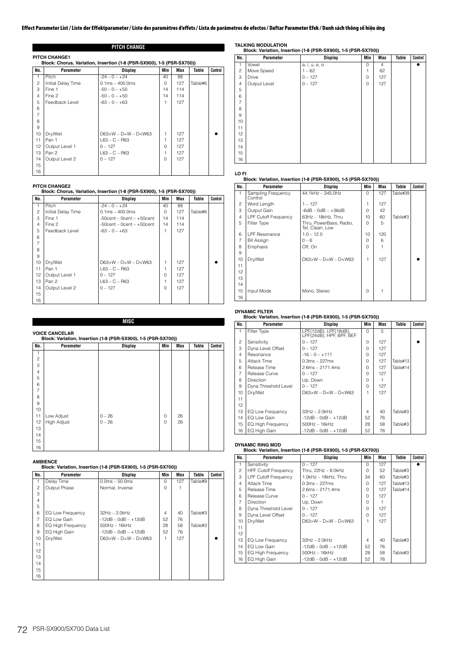## **PITCH CHANGE**

|                | <b>PITCH CHANGE1</b><br>Block: Chorus, Variation, Insertion (1-8 (PSR-SX900), 1-5 (PSR-SX700)) |                           |          |     |         |         |  |  |
|----------------|------------------------------------------------------------------------------------------------|---------------------------|----------|-----|---------|---------|--|--|
| No.            | Parameter                                                                                      | Display                   | Min      | Max | Table   | Control |  |  |
| 1              | Pitch                                                                                          | $-24 - 0 - +24$           | 40       | 88  |         |         |  |  |
| $\overline{c}$ | Initial Delay Time                                                                             | $0.1ms - 400.0ms$         | $\Omega$ | 127 | Table#6 |         |  |  |
| 3              | Fine 1                                                                                         | $-50 - 0 - +50$           | 14       | 114 |         |         |  |  |
| $\overline{4}$ | Fine 2                                                                                         | $-50 - 0 - +50$           | 14       | 114 |         |         |  |  |
| 5              | Feedback Level                                                                                 | $-63 - 0 - +63$           | 1        | 127 |         |         |  |  |
| 6              |                                                                                                |                           |          |     |         |         |  |  |
| 7              |                                                                                                |                           |          |     |         |         |  |  |
| 8              |                                                                                                |                           |          |     |         |         |  |  |
| 9              |                                                                                                |                           |          |     |         |         |  |  |
| 10             | Dry/Wet                                                                                        | $D63 > W - D=W - D < W63$ | 1        | 127 |         |         |  |  |
| 11             | Pan 1                                                                                          | $L63 - C - R63$           | 1        | 127 |         |         |  |  |
| 12             | Output Level 1                                                                                 | $0 - 127$                 | 0        | 127 |         |         |  |  |
| 13             | Pan 2                                                                                          | $L63 - C - R63$           | 1        | 127 |         |         |  |  |
| 14             | Output Level 2                                                                                 | $0 - 127$                 | $\Omega$ | 127 |         |         |  |  |
| 15             |                                                                                                |                           |          |     |         |         |  |  |
| 16             |                                                                                                |                           |          |     |         |         |  |  |

# **PITCH CHANGE2 Block: Chorus, Variation, Insertion (1-8 (PSR-SX900), 1-5 (PSR-SX700))**

| No.            | Parameter          | Display                          | Min      | Max | Table   | Control |  |
|----------------|--------------------|----------------------------------|----------|-----|---------|---------|--|
| 1              | Pitch              | $-24 - 0 - +24$                  | 40       | 88  |         |         |  |
| $\overline{c}$ | Initial Delay Time | $0.1ms - 400.0ms$                | $\Omega$ | 127 | Table#6 |         |  |
| 3              | Fine 1             | $-50$ cent $-$ 0cent $ +50$ cent | 14       | 114 |         |         |  |
| $\overline{4}$ | Fine 2             | $-50$ cent $-0$ cent $ +50$ cent | 14       | 114 |         |         |  |
| 5              | Feedback Level     | $-63 - 0 - +63$                  | 1        | 127 |         |         |  |
| 6              |                    |                                  |          |     |         |         |  |
| $\overline{7}$ |                    |                                  |          |     |         |         |  |
| 8              |                    |                                  |          |     |         |         |  |
| 9              |                    |                                  |          |     |         |         |  |
| 10             | Dry/Wet            | $D63>W - D=W - D< W63$           | 1        | 127 |         |         |  |
| 11             | Pan 1              | $L63 - C - R63$                  |          | 127 |         |         |  |
| 12             | Output Level 1     | $0 - 127$                        | $\Omega$ | 127 |         |         |  |
| 13             | Pan 2              | $L63 - C - R63$                  |          | 127 |         |         |  |
| 14             | Output Level 2     | $0 - 127$                        | $\Omega$ | 127 |         |         |  |
| 15             |                    |                                  |          |     |         |         |  |
| 16             |                    |                                  |          |     |         |         |  |

## **MISC**

## **VOICE CANCELAR**

| No.            | Parameter   | <b>Display</b> | Min      | <b>Max</b> | <b>Table</b> | Control |
|----------------|-------------|----------------|----------|------------|--------------|---------|
|                |             |                |          |            |              |         |
| $\overline{c}$ |             |                |          |            |              |         |
| 3              |             |                |          |            |              |         |
| $\overline{4}$ |             |                |          |            |              |         |
| 5              |             |                |          |            |              |         |
| 6              |             |                |          |            |              |         |
| $\overline{7}$ |             |                |          |            |              |         |
| 8              |             |                |          |            |              |         |
| 9              |             |                |          |            |              |         |
| 10             |             |                |          |            |              |         |
| 11             | Low Adjust  | $0 - 26$       | 0        | 26         |              |         |
| 12             | High Adjust | $0 - 26$       | $\Omega$ | 26         |              |         |
| 13             |             |                |          |            |              |         |
| 14             |             |                |          |            |              |         |
| 15             |             |                |          |            |              |         |
| 16             |             |                |          |            |              |         |

### **AMBIENCE**

# **Block: Variation, Insertion (1-8 (PSR-SX900), 1-5 (PSR-SX700))**

| No.            | Parameter                | Display                | Min      | Max | Table   | Control |
|----------------|--------------------------|------------------------|----------|-----|---------|---------|
| 1              | Delay Time               | $0.0ms - 50.0ms$       | $\Omega$ | 127 | Table#9 |         |
| $\overline{c}$ | Output Phase             | Normal, Inverse        | $\Omega$ |     |         |         |
| 3              |                          |                        |          |     |         |         |
| $\overline{4}$ |                          |                        |          |     |         |         |
| 5              |                          |                        |          |     |         |         |
| 6              | EQ Low Frequency         | $32Hz - 2.0kHz$        | 4        | 40  | Table#3 |         |
| $\overline{7}$ | EQ Low Gain              | $-12dB - OdB - +12dB$  | 52       | 76  |         |         |
| 8              | <b>EQ High Frequency</b> | $500$ Hz $-16$ kHz     | 28       | 58  | Table#3 |         |
| 9              | EQ High Gain             | $-12dB - OdB - +12dB$  | 52       | 76  |         |         |
| 10             | Dry/Wet                  | $D63>W - D=W - D< W63$ | 1        | 127 |         |         |
| 11             |                          |                        |          |     |         |         |
| 12             |                          |                        |          |     |         |         |
| 13             |                          |                        |          |     |         |         |
| 14             |                          |                        |          |     |         |         |
| 15             |                          |                        |          |     |         |         |
| 16             |                          |                        |          |     |         |         |

# **TALKING MODULATION Block: Variation, Insertion (1-8 (PSR-SX900), 1-5 (PSR-SX700))**

| No.            | Parameter    | <b>Display</b> | Min | Max            | Table | Control |
|----------------|--------------|----------------|-----|----------------|-------|---------|
| 1              | Vowel        | a, i, u, e, o  | 0   | $\overline{4}$ |       |         |
| $\overline{c}$ | Move Speed   | $1 - 62$       | 1   | 62             |       |         |
| 3              | Drive        | $0 - 127$      | 0   | 127            |       |         |
| $\overline{4}$ | Output Level | $0 - 127$      | 0   | 127            |       |         |
| 5              |              |                |     |                |       |         |
| 6              |              |                |     |                |       |         |
| $\overline{7}$ |              |                |     |                |       |         |
| 8              |              |                |     |                |       |         |
| 9              |              |                |     |                |       |         |
| 10             |              |                |     |                |       |         |
| 11             |              |                |     |                |       |         |
| 12             |              |                |     |                |       |         |
| 13             |              |                |     |                |       |         |
| 14             |              |                |     |                |       |         |
| 15             |              |                |     |                |       |         |
| 16             |              |                |     |                |       |         |

## **LO FI**

## **Block: Variation, Insertion (1-8 (PSR-SX900), 1-5 (PSR-SX700))**

| No.            | Parameter                     | <b>Display</b>                             | Min          | Max | Table    | Control |
|----------------|-------------------------------|--------------------------------------------|--------------|-----|----------|---------|
| 1              | Sampling Frequency<br>Control | 44.1kHz - 345.0Hz                          | $\Omega$     | 127 | Table#39 |         |
| 2              | Word Length                   | $1 - 127$                                  | 1            | 127 |          |         |
| 3              | Output Gain                   | $-6dB - 0dB - +36dB$                       | <sup>n</sup> | 42  |          |         |
| 4              | <b>LPF Cutoff Frequency</b>   | $63Hz - 18kHz$ . Thru                      | $10^{-1}$    | 60  | Table#3  |         |
| 5              | Filter Type                   | Thru, PowerBass, Radio,<br>Tel, Clean, Low | $\Omega$     | 5   |          |         |
| 6              | LPF Resonance                 | $1.0 - 12.0$                               | $10^{-1}$    | 120 |          |         |
| $\overline{7}$ | Bit Assign                    | $0 - 6$                                    | $\cap$       | 6   |          |         |
| 8              | Emphasis                      | Off, On                                    | $\Omega$     |     |          |         |
| 9              |                               |                                            |              |     |          |         |
| 10             | Dry/Wet                       | $D63 > W - D=W - D < W63$                  | 1            | 127 |          |         |
| 11             |                               |                                            |              |     |          |         |
| 12             |                               |                                            |              |     |          |         |
| 13             |                               |                                            |              |     |          |         |
| 14             |                               |                                            |              |     |          |         |
| 15             | Input Mode                    | Mono, Stereo                               | $\Omega$     |     |          |         |
| 16             |                               |                                            |              |     |          |         |

# **DYNAMIC FILTER Block: Variation, Insertion (1-8 (PSR-SX900), 1-5 (PSR-SX700))**

| No.            | Parameter                | Display                                           | Min      | Max | Table    | Control |  |
|----------------|--------------------------|---------------------------------------------------|----------|-----|----------|---------|--|
| 1              | Filter Type              | LPF(12dB), LPF(18dB),<br>LPF(24dB), HPF, BPF, BEF | $\Omega$ | 5   |          |         |  |
| $\overline{c}$ | Sensitivity              | $0 - 127$                                         | $\Omega$ | 127 |          |         |  |
| 3              | Dyna Level Offset        | $0 - 127$                                         | O        | 127 |          |         |  |
| 4              | Resonance                | $-16 - 0 - +111$                                  | $\Omega$ | 127 |          |         |  |
| 5              | Attack Time              | $0.3ms - 227ms$                                   | O        | 127 | Table#13 |         |  |
| 6              | Release Time             | $2.6ms - 2171.4ms$                                | $\Omega$ | 127 | Table#14 |         |  |
| $\overline{7}$ | Release Curve            | $0 - 127$                                         | $\cap$   | 127 |          |         |  |
| 8              | <b>Direction</b>         | Up, Down                                          | O        |     |          |         |  |
| 9              | Dyna Threshold Level     | $0 - 127$                                         | $\Omega$ | 127 |          |         |  |
| 10             | Dry/Wet                  | $D63 > W - D=W - D < W63$                         |          | 127 |          |         |  |
| 11             |                          |                                                   |          |     |          |         |  |
| 12             |                          |                                                   |          |     |          |         |  |
| 13             | EQ Low Frequency         | $32Hz - 2.0kHz$                                   | 4        | 40  | Table#3  |         |  |
| 14             | EQ Low Gain              | $-12dB - OdB - +12dB$                             | 52       | 76  |          |         |  |
| 15             | <b>EQ High Frequency</b> | $500Hz - 16kHz$                                   | 28       | 58  | Table#3  |         |  |
| 16             | EQ High Gain             | $-12dB - OdB - +12dB$                             | 52       | 76  |          |         |  |

# **DYNAMIC RING MOD Block: Variation, Insertion (1-8 (PSR-SX900), 1-5 (PSR-SX700))**

| No.            | Parameter                   | <b>Display</b>              | Min          | Max | Table    | Control |
|----------------|-----------------------------|-----------------------------|--------------|-----|----------|---------|
| 1              | Sensitivity                 | $0 - 127$                   | $\Omega$     | 127 |          |         |
| $\mathfrak{p}$ | <b>HPF Cutoff Frequency</b> | Thru, $22Hz - 8.0kHz$       | <sup>n</sup> | 52  | Table#3  |         |
| 3              | <b>LPF Cutoff Frequency</b> | 1.0kHz - 18kHz. Thru        | 34           | 60  | Table#3  |         |
| 4              | Attack Time                 | $0.3ms - 227ms$             | U            | 127 | Table#13 |         |
| 5              | Release Time                | $2.6ms - 2171.4ms$          | $\Omega$     | 127 | Table#14 |         |
| 6              | Release Curve               | $0 - 127$                   | $\Omega$     | 127 |          |         |
| 7              | <b>Direction</b>            | Up, Down                    | $\cap$       |     |          |         |
| 8              | Dyna Threshold Level        | $0 - 127$                   | $\Omega$     | 127 |          |         |
| 9              | Dyna Level Offset           | $0 - 127$                   | $\cap$       | 127 |          |         |
| 10             | Dry/Wet                     | $D63 > W - D = W - D < W63$ |              | 127 |          |         |
| 11             |                             |                             |              |     |          |         |
| 12             |                             |                             |              |     |          |         |
| 13             | EQ Low Frequency            | $32Hz - 2.0kHz$             | 4            | 40  | Table#3  |         |
| 14             | EQ Low Gain                 | $-12dB - OdB - +12dB$       | 52           | 76  |          |         |
| 15             | <b>EQ High Frequency</b>    | $500$ Hz $-16$ kHz          | 28           | 58  | Table#3  |         |
| 16             | EQ High Gain                | $-12dB - OdB - +12dB$       | 52           | 76  |          |         |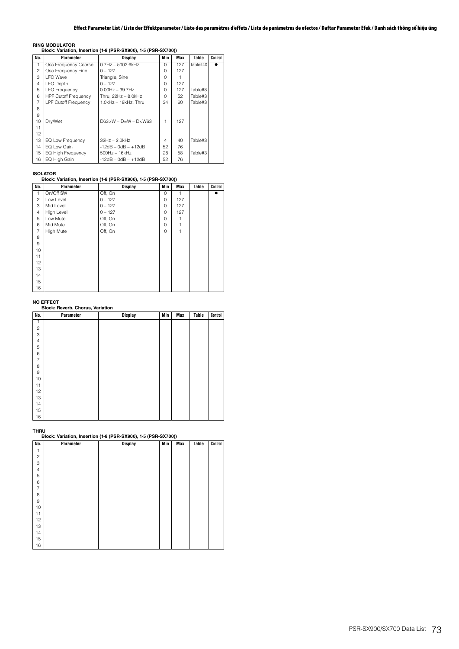# **Effect Parameter List / Liste der Effektparameter / Liste des paramètres d'effets / Lista de parámetros de efectos / Daftar Parameter Efek / Danh sách thông số hiệu ứng**

**RING MODULATOR Block: Variation, Insertion (1-8 (PSR-SX900), 1-5 (PSR-SX700))**

| No.            | Parameter                   | Display                     | Min            | Max | Table    | Control |
|----------------|-----------------------------|-----------------------------|----------------|-----|----------|---------|
|                | Osc Frequency Coarse        | $0.7$ Hz $-5002.6$ kHz      | O              | 127 | Table#40 |         |
| $\overline{c}$ | Osc Frequency Fine          | $0 - 127$                   | O              | 127 |          |         |
| 3              | I FO Wave                   | Triangle, Sine              | O              |     |          |         |
| 4              | <b>LFO</b> Depth            | $0 - 127$                   | $\Omega$       | 127 |          |         |
| 5              | <b>LFO Frequency</b>        | $0.00Hz - 39.7Hz$           | $\Omega$       | 127 | Table#8  |         |
| 6              | <b>HPF Cutoff Frequency</b> | Thru. 22Hz - 8.0kHz         | $\Omega$       | 52  | Table#3  |         |
| 7              | <b>LPF Cutoff Frequency</b> | 1.0kHz - 18kHz, Thru        | 34             | 60  | Table#3  |         |
| 8              |                             |                             |                |     |          |         |
| 9              |                             |                             |                |     |          |         |
| 10             | Dry/Wet                     | $D63 > W - D = W - D < W63$ | 1              | 127 |          |         |
| 11             |                             |                             |                |     |          |         |
| 12             |                             |                             |                |     |          |         |
| 13             | EQ Low Frequency            | $32Hz - 2.0kHz$             | $\overline{4}$ | 40  | Table#3  |         |
| 14             | FO Low Gain                 | $-12$ dB $-$ 0dB $ +12$ dB  | 52             | 76  |          |         |
| 15             | <b>EQ High Frequency</b>    | $500Hz - 16kHz$             | 28             | 58  | Table#3  |         |
| 16             | EQ High Gain                | $-12dB - OdB - +12dB$       | 52             | 76  |          |         |

# **ISOLATOR Block: Variation, Insertion (1-8 (PSR-SX900), 1-5 (PSR-SX700))**

| No.            | Parameter  | <b>Display</b> | Min         | Max          | Table | Control |
|----------------|------------|----------------|-------------|--------------|-------|---------|
| 1              | On/Off SW  | Off, On        | 0           | $\mathbf{1}$ |       |         |
| $\overline{c}$ | Low Level  | $0 - 127$      | $\mathbf 0$ | 127          |       |         |
| 3              | Mid Level  | $0 - 127$      | 0           | 127          |       |         |
| $\overline{4}$ | High Level | $0 - 127$      | 0           | 127          |       |         |
| 5              | Low Mute   | Off, On        | 0           |              |       |         |
| 6              | Mid Mute   | Off, On        | $\Omega$    |              |       |         |
| $\overline{7}$ | High Mute  | Off, On        | $\Omega$    |              |       |         |
| 8              |            |                |             |              |       |         |
| 9              |            |                |             |              |       |         |
| 10             |            |                |             |              |       |         |
| 11             |            |                |             |              |       |         |
| 12             |            |                |             |              |       |         |
| 13             |            |                |             |              |       |         |
| 14             |            |                |             |              |       |         |
| 15             |            |                |             |              |       |         |
| 16             |            |                |             |              |       |         |

# **NO EFFECT Block: Reverb, Chorus, Variation**

| No.                     | Parameter | Display | Min | Max | Table | Control |
|-------------------------|-----------|---------|-----|-----|-------|---------|
| 1                       |           |         |     |     |       |         |
| $\overline{\mathbf{c}}$ |           |         |     |     |       |         |
| 3                       |           |         |     |     |       |         |
| $\overline{4}$          |           |         |     |     |       |         |
| 5                       |           |         |     |     |       |         |
| 6                       |           |         |     |     |       |         |
| $\overline{7}$          |           |         |     |     |       |         |
| 8                       |           |         |     |     |       |         |
| $\hbox{9}$              |           |         |     |     |       |         |
| 10                      |           |         |     |     |       |         |
| 11                      |           |         |     |     |       |         |
| 12                      |           |         |     |     |       |         |
| 13                      |           |         |     |     |       |         |
| 14                      |           |         |     |     |       |         |
| 15                      |           |         |     |     |       |         |
| 16                      |           |         |     |     |       |         |

#### **THRU**

**Block: Variation, Insertion (1-8 (PSR-SX900), 1-5 (PSR-SX700))**

| No.            | Parameter | <b>Display</b> | Min | Max | Table | Control |
|----------------|-----------|----------------|-----|-----|-------|---------|
| 1              |           |                |     |     |       |         |
| $\overline{c}$ |           |                |     |     |       |         |
| 3              |           |                |     |     |       |         |
| $\overline{4}$ |           |                |     |     |       |         |
| 5              |           |                |     |     |       |         |
| 6              |           |                |     |     |       |         |
| $\overline{7}$ |           |                |     |     |       |         |
| 8              |           |                |     |     |       |         |
| 9              |           |                |     |     |       |         |
| 10             |           |                |     |     |       |         |
| 11             |           |                |     |     |       |         |
| 12             |           |                |     |     |       |         |
| 13             |           |                |     |     |       |         |
| 14             |           |                |     |     |       |         |
| 15             |           |                |     |     |       |         |
| 16             |           |                |     |     |       |         |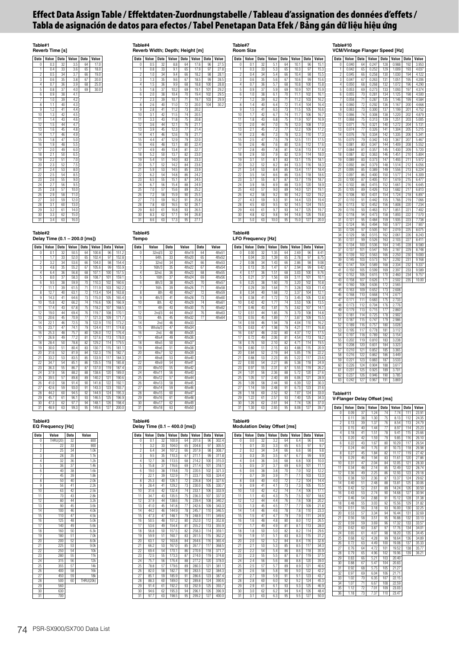# **Effect Data Assign Table / Effektdaten-Zuordnungstabelle / Tableau d'assignation des données d'effets / Tabla de asignación de datos para efectos / Tabel Penetapan Data Efek / Bảng gán dữ liệu hiệu ứng**

# **Table#1 Reverb Time [s]**



| $1d$ Die $#4$               |  |  |
|-----------------------------|--|--|
| Reverb Width: Depth: Height |  |  |

**Table#4**

**Table#5 Tempo**

**Reverb Width; Depth; Height [m] Data Value Data Value Data Value Data Value** 0 0.5 32 8.8 64 17.6 96 27.5 1 0.8 33 9.1 65 17.9 97 27.8 2 1.0 34 9.4 66 18.2 98 28.1 3 1.3 35 9.6 67 18.5 99 28.5 4 1.5 36 9.9 68 18.8 100 28.8 1.5 36 9.9 68 18.8 100 28.8<br>1.8 37 10.2 69 19.1 101 29.2 6 2.0 38 10.4 70 19.4 102 29.5 7 2.3 39 10.7 71 19.7 103 29.9 8 2.6 40 11.0 72 20.0 104 30.2 9 2.8 41 11.2 73 20.2 10 3.1 42 11.5 74 20.5 11.8 75 20.8 12 3.6 44 12.1 76 21.1 13 3.9 45 12.3 77 21.4 14 4.1 46 12.6 78 21.7 15 4.4 47 12.9 79 22.0 16 4.6 48 13.1 80 22.4  $\frac{13.1}{13.4}$ 18 5.2 50 13.7 82 23.0

19 5.4 51 14.0 83 23.3 20 5.7 52 14.2 84 23.6 21 5.9 53 14.5 85 23.9 22 6.2 54 14.8 86 24.2 23 6.5 55 15.1 87 24.5  $\begin{array}{cccc} 6.2 & 54 & 14.8 & 86 & 24.2 \\ 6.5 & 55 & 15.1 & 87 & 24.5 \\ 6.7 & 56 & 15.4 & 88 & 24.9 \\ 7.0 & 57 & 15.6 & 89 & 25.2 \end{array}$  $\frac{15.6}{15.6}$  89 26 7.2 58 15.9 90 25.5 27 7.5 59 16.2 91 25.8 28 7.8 60 16.5 92 26.1 29 8.0 61 16.8 93 26.5 30 8.3 62 17.1 94 26.8 31 8.6 63 17.3 95 27.1

| Table#7        | <b>Room Size</b> |             |                  |                 |       |             |       |
|----------------|------------------|-------------|------------------|-----------------|-------|-------------|-------|
| <b>Data</b>    | Value            | <b>Data</b> | Value            | <b>Data</b>     | Value | <b>Data</b> | Value |
| Ō              | 0.1              | 32          | 51               | 64              | 10.1  | 96          | 15.1  |
| 1              | 0.3              | 33          | 5.3              | 65              | 10.3  | 97          | 15.3  |
| $\overline{c}$ | 0.4              | 34          | 5.4              | 66              | 10.4  | 98          | 15.5  |
| 3              | 0.6              | 35          | 5.6              | 67              | 10.6  | 99          | 15.6  |
| 4              | 0.7              | 36          | 5.7              | 68              | 10.8  | 100         | 15.8  |
| 5              | 0.9              | 37          | 5.9              | 69              | 10.9  | 101         | 15.9  |
| 6              | 1.0              | 38          | 6.1              | 70              | 11.1  | 102         | 16.1  |
| 7              | 1.2              | 39          | 6.2              | $\overline{71}$ | 11.2  | 103         | 16.2  |
| 8              | 1.4              | 40          | 6.4              | 72              | 11.4  | 104         | 16.4  |
| g              | 1.5              | 41          | 6.5              | 73              | 11.5  | 105         | 16.6  |
| 10             | 1.7              | 42          | 6.7              | 74              | 11.7  | 106         | 16.7  |
| 11             | 1.8              | 43          | 6.8              | 75              | 11.9  | 107         | 16.9  |
| 12             | 20               | 44          | 7.0              | 76              | 12.0  | 108         | 17.0  |
| 13             | 2.1              | 45          | 7.2              | 77              | 12.2  | 109         | 17.2  |
| 14             | 2.3              | 46          | 7.3              | 78              | 12.3  | 110         | 17.3  |
| 15             | 2.5              | 47          | 7.5              | 79              | 12.5  | 111         | 17.5  |
| 16             | 2.6              | 48          | 7.6              | 80              | 12.6  | 112         | 17.6  |
| 17             | 2.8              | 49          | 7.8              | 81              | 12.8  | 113         | 17.8  |
| 18             | 2.9              | 50          | 7.9              | 82              | 12.9  | 114         | 18.0  |
| 19             | 3.1              | 51          | 8.1              | 83              | 13.1  | 115         | 18.1  |
| 20             | 3.2              | 52          | 8.2              | 84              | 13.3  | 116         | 18.3  |
| 21             | 3.4              | 53          | 8.4              | 85              | 13.4  | 117         | 18.4  |
| 22             | 3.5              | 54          | 8.6              | 86              | 13.6  | 118         | 18.6  |
| 23             | 3.7              | 55          | 8.7              | 87              | 13.7  | 119         | 18.7  |
| 24             | 3.9              | 56          | $\overline{8.9}$ | 88              | 13.9  | 120         | 18.9  |
| 25             | 4.0              | 57          | 9.0              | 89              | 14.0  | 121         | 19.1  |
| 26             | 4.2              | 58          | 9.2              | 90              | 14.2  | 122         | 19.2  |
| 27             | 4.3              | 59          | 9.3              | 91              | 14.4  | 123         | 19.4  |
| 28             | 4.5              | 60          | 9.5              | 92              | 14.5  | 124         | 19.5  |
| 29             | 4.6              | 61          | 9.7              | 93              | 14.7  | 125         | 19.7  |
| 30             | 4.8              | 62          | 9.8              | 94              | 14.8  | 126         | 19.8  |
| 31             | 5.0              | 63          | 10.0             | 95              | 15.0  | 127         | 20.0  |

#### **Table#8 LFO Frequency [Hz]**

**Data Value Data Value Data Value Data Value** 0 0.00 32 1.35 64 2.69 96 8.41 1 0.04 33 1.39 65 2.78 97 8.75 2 0.08 34 1.43 66 2.86 98 9.08 3 0.13 35 1.47 67 2.94 99 9.42 4 0.17 36 1.51 68 3.03 100 9.76 5 0.21 37 1.56 69 3.11 101 10.1 6 0.25 38 1.60 70 3.20 102 10.8 7 0.29 39 1.64 71 3.28 103 11.4 8 0.34 40 1.68 72 3.37 104 12.1 9 0.38 41 1.72 73 3.45 105 12.8 10 0.42 42 1.77 74 3.53 106 13.5 11 0.46 43 1.81 75 3.62 107 14.1 12 0.51 44 1.85 76 3.70 108 14.8 13 0.55 45 1.89 77 3.87 109 15.5 14 0.59 46 1.94 78 4.04 110 16.2 15 0.63 47 1.98 79 4.21 111 16.8 16 0.67 48 2.02 80 4.37 112 17.5 17 0.72 49 2.06 81 4.54 113 18.2 18 0.76 50 2.10 82 4.71 114 19.5 19 0.80 51 2.15 83 4.88 115 20.9 20 0.84 52 2.19 84 5.05 116 22.2 21 0.88 53 2.23 85 5.22 117 23.6 22 0.93 54 2.27 86 5.38 118 24.9 23 0.97 55 2.31 87 5.55 119 26.2 24 1.01 56 2.36 88 5.72 120 27.6 25 1.05 57 2.40 89 6.06 121 28.9 26 1.09 58 2.44 90 6.39 122 30.3 27 1.14 59 2.48 91 6.73 123 31.6 28 1.18 60 2.52 92 7.07 124 33.0 29 1.22 61 2.57 93 7.40 125 34.3 30 1.26 62 2.61 94 7.74 126 37.0 31 1.30 63 2.65 95 8.08 127 39.7

**Table#9 Modulation Delay Offset [ms]**

**Data Value Data Value Data Value Data Value** 0 0.0 32 3.2 64 6.4 96 9.6 1 0.1 33 3.3 65 6.5 97 9.7 2 0.2 34 3.4 66 6.6 98 9.8 3 0.3 35 3.5 67 6.7 99 9.9 4 0.4 36 3.6 68 6.8 100 10.0 5 0.5 37 3.7 69 6.9 101 11.1 6 0.6 38 3.8 70 7.0 102 12.2 7 0.7 39 3.9 71 7.1 103 13.3 8 0.8 40 4.0 72 7.2 104 14.4 9 0.9 41 4.1 73 7.3 105 15.5 10 1.0 42 4.2 74 7.4 106 17.1 11 1.1 43 4.3 75 7.5 107 18.6 12 12 44 44 76 76 108 202 13 1.3 45 4.5 77 7.7 109 21.8 14 1.4 46 4.6 78 7.8 110 23.3 15 1.5 47 4.7 7.9 7.9 1.11 24.9 16 1.6 48 4.8 80 8.0 112 26.5 17 1.7 49 4.9 81 8.1 113 28.0 18 1.8 50 5.0 82 8.2 114 29.6 19 1.9 51 5.1 83 8.3 115 31.2 20 2.0 52 5.2 84 8.4 116 32.8 21 2.1 53 5.3 85 8.5 117 34.3 22 2.2 54 5.4 86 8.6 118 35.9 23 2.3 55 5.5 87 8.7 119 37.5 24 24 56 56 88 88 120 390 25 2.5 57 5.7 89 8.9 121 40.6 26 2.6 58 5.8 90 9.0 122 42.2 27 2.7 59 5.9 91 9.1 123 43.7 28 2.8 60 6.0 92 9.2 124 45.3 29 2.9 61 6.1 93 9.3 125 46.9 30 3.0 62 6.2 94 9.4 126 48.4 31 3.1 63 6.3 95 9.5 127 50.0

|                 |                | <b>VCM/Vintage Flanger Speed [Hz]</b> |                |             |                |                  |                |
|-----------------|----------------|---------------------------------------|----------------|-------------|----------------|------------------|----------------|
| <b>Data</b>     | Value          | <b>Data</b>                           | Value          | <b>Data</b> | Value          | <b>Data</b>      | Value          |
| 0               | 0.040          | 64                                    | 0.247          | 128         | 0.988          | 192              | 3.953          |
| 1               | 0.042          | 65                                    | 0.252          | 129         | 1.009          | 193              | 4.037          |
| $\overline{c}$  | 0.045          | 66                                    | 0.258          | 130         | 1.030          | 194              | 4.122          |
| 3               | 0.047          | 67                                    | 0.263          | 131         | 1.051          | 195              | 4.206          |
| $\Delta$        | 0.050          | 68                                    | 0.268          | 132         | 1.072          | 196              | 4.290          |
| 5               | 0.053          | 69                                    | 0.273          | 133         | 1.093          | 197              | 4.374          |
| 6<br>7          | 0.055<br>0.058 | 70<br>71                              | 0.281<br>0.287 | 134<br>135  | 1.125<br>1.146 | 198<br>199       | 4.500<br>4.584 |
| 8               | 0.060          | 72                                    | 0.292          | 136         |                | 200              | 4.668          |
| 9               | 0.063          | 73                                    | 0.300          | 137         | 1.167<br>1.199 | 201              | 4.752          |
| 10              | 0.066          | 74                                    | 0.308          | 138         | 1.220          | 202              | 4.879          |
| 11              | 0.068          | 75                                    | 0.313          | 139         | 1.251          | 203              | 5.005          |
| $\overline{12}$ | 0.071          | 76                                    | 0.321          | 140         | 1.272          | 204              | 5.131          |
| 13              | 0.074          | 77                                    | 0.326          | 141         | 1.304          | 205              | 5.215          |
| 14              | 0.076          | 78                                    | 0.334          | 142         | 1.335          | 206              | 5.341          |
| 15              | 0.079          | 79                                    | 0.342          | 143         | 1.367          | 207              | 5.467          |
| 16              | 0.081          | 80                                    | 0.347          | 144         | 1.409          | 208              | 5.552          |
| 17              | 0.084          | 81                                    | 0.357          | 145         | 1.430          | 209              | 5.720          |
| 18              | 0.087          | 82                                    | 0.363          | 146         | 1.451          | $\overline{210}$ | 5.804          |
| 19              | 0.089          | 83                                    | 0.373          | 147         | 1.493          | 211              | 5.972          |
| 20              | 0.092          | 84                                    | 0.379          | 148         | 1.514          | 212              | 6.056          |
| 21              | 0.095          | 85                                    | 0.389          | 149         | 1.556          | 213              | 6.224          |
| $^{22}$         | 0.097          | 86                                    | 0.400          | 150         | 1.577          | 214              | 6.309          |
| 23              | 0.100          | 87                                    | 0.405          | 151         | 1.619          | 215              | 6.477          |
| 24              | 0.102          | 88                                    | 0.415          | 152         | 1.661          | 216              | 6.645          |
| 25              | 0.105          | 89                                    | 0.426          | 153         | 1.682          | 217              | 6.813          |
| 26              | 0.108          | 90                                    | 0.431          | 154         | 1.724          | 218              | 6.897          |
| 27              | 0.110          | 91                                    | 0.442          | 155         | 1.766          | 219              | 7.066          |
| 28              | 0.113          | 92                                    | 0.452          | 156         | 1.808          | 220              | 7.234          |
| 29<br>30        | 0.116          | 93<br>94                              | 0.463<br>0.473 | 157<br>158  | 1.851          | 221<br>222       | 7.402<br>7.570 |
| 31              | 0.118<br>0.121 | 95                                    | 0.484          | 159         | 1.893<br>1.935 | 223              | 7.736          |
| 32              | 0.124          | 96                                    | 0.494          | 160         | 1.977          | 224              | 7.907          |
| 33              | 0.126          | 97                                    | 0.505          | 161         | 2.019          | 225              | 8.075          |
| 34              | 0.129          | 98                                    | 0.515          | 162         | 2.061          | 226              | 8.243          |
| 35              | 0.131          | 99                                    | 0.526          | 163         | 2.103          | 227              | 8.411          |
| 36              | 0.134          | 100                                   | 0.536          | 164         | 2.145          | 228              | 8.580          |
| 37              | 0.137          | 101                                   | 0.547          | 165         | 2.187          | 229              | 8.748          |
| 38              | 0.139          | 102                                   | 0.563          | 166         | 2.250          | 230              | 9.000          |
| 39              | 0.145          | 103                                   | 0.573          | 167         | 2.292          | 231              | 9.168          |
| 40              | 0.147          | 104                                   | 0.589          | 168         | 2.334          | 232              | 9.337          |
| 41              | 0.150          | 105                                   | 0.599          | 169         | 2.397          | 233              | 9.589          |
| 42              | 0.152          | $\overline{106}$                      | 0.615          | 170         | 2.460          | 234              | 9.757          |
| 43              | 0.158          | 107                                   | 0.626          | 171         | 2.502          | 235              | 10.00          |
| 44              | 0.160          | 108                                   | 0.636          | 172         | 2.565          |                  |                |
| 45              | 0.163          | 109                                   | 0.652          | 173         | 2.608          |                  |                |
| 46              | 0.168          | 110                                   | 0.668          | 174         | 2.671          |                  |                |
| 47              | 0.171          | 111                                   | 0.683          | 175         | 2.733          |                  |                |
| 48<br>49        | 0.173          | 112                                   | 0.704          | 176         | 2.776          |                  |                |
| 50              | 0.179          | 113<br>114                            | 0.715          | 177<br>178  | 2.860<br>2.902 |                  |                |
| 51              | 0.181<br>0.187 | 115                                   | 0.725<br>0.747 | 179         | 2.986          |                  |                |
| 52              | 0.189          | 116                                   | 0.757          | 180         | 3.028          |                  |                |
| 53              | 0.195          | 117                                   | 0.778          | 181         | 3.112          |                  |                |
| 54              | 0.197          | 118                                   | 0.789          | 182         | 3.154          |                  |                |
| 55              | 0.202          | 119                                   | 0.810          | 183         | 3.238          |                  |                |
| 56              | 0.208          | 120                                   | 0.831          | 184         | 3.323          |                  |                |
| 57              | 0.210          | 121                                   | 0.852          | 185         | 3.365          |                  |                |
| 58              | 0.216          | 122                                   | 0.862          | 186         | 3.449          |                  |                |
| 59              | 0.221          | 123                                   | 0.883          | 187         | 3.533          |                  |                |
| 60              | 0.226          | 124                                   | 0.904          | 188         | 3.617          |                  |                |
| 61              | 0.231          | 125                                   | 0.925          | 189         | 3.701          |                  |                |
| 62              | 0.237          | 126                                   | 0.946          | 190         | 3.785          |                  |                |
| 63              | 0.242          | 127                                   | 0.967          | 191         | 3.869          |                  |                |

**Table#10**

#### **Table#11**

# **V-Flanger Delay Offset [ms]**

| <b>Data</b>    | Value | <b>Data</b>     | Value | <b>Data</b> | Value | Data | Value |
|----------------|-------|-----------------|-------|-------------|-------|------|-------|
| 0              | 0.09  | 37              | 1.24  | 74          | 7.74  | 111  | 23.91 |
| 1              | 0.11  | 38              | 1.30  | 75          | 8.13  | 112  | 24.35 |
| $\overline{2}$ | 0.13  | 39              | 1.37  | 76          | 8.54  | 113  | 24.79 |
| 3              | 0.15  | 40              | 1.44  | 77          | 8.97  | 114  | 25.23 |
| 4              | 0.18  | 41              | 1.51  | 78          | 9.41  | 115  | 25.66 |
| 5              | 0.20  | 42              | 1.59  | 79          | 9.85  | 116  | 26.10 |
| 6              | 0.22  | 43              | 1.67  | 80          | 10.29 | 117  | 26.54 |
| 7              | 0.24  | 44              | 1.76  | 81          | 10.73 | 118  | 26.98 |
| 8              | 0.27  | 45              | 1.84  | 82          | 11.17 | 119  | 27.42 |
| 9              | 0.29  | 46              | 1.94  | 83          | 11.61 | 120  | 27.86 |
| 10             | 0.31  | 47              | 2.04  | 84          | 12.05 | 121  | 28.30 |
| 11             | 0.34  | 48              | 2.14  | 85          | 12.49 | 122  | 28.74 |
| 12             | 0.36  | 49              | 2.25  | 86          | 12.93 | 123  | 29.18 |
| 13             | 0.38  | 50              | 2.36  | 87          | 13.37 | 124  | 29.62 |
| 14             | 0.40  | 51              | 2.48  | 88          | 13.81 | 125  | 30.06 |
| 15             | 0.42  | 52              | 2.61  | 89          | 14.24 | 126  | 30.50 |
| 16             | 0.43  | 53              | 2.74  | 90          | 14.68 | 127  | 30.94 |
| 17             | 0.46  | 54              | 2.88  | 91          | 15.12 | 128  | 31.38 |
| 18             | 0.48  | 55              | 3.03  | 92          | 15.56 | 129  | 31.82 |
| 19             | 0.51  | 56              | 3.18  | 93          | 16.00 | 130  | 32.25 |
| 20             | 0.53  | 57              | 3.34  | 94          | 16.44 | 131  | 32.69 |
| 21             | 0.56  | 58              | 3.51  | 95          | 16.88 | 132  | 33.13 |
| 22             | 0.59  | 59              | 3.69  | 96          | 17.32 | 133  | 33.57 |
| 23             | 0.62  | 60              | 3.87  | 97          | 17.76 | 134  | 34.01 |
| 24             | 0.65  | 61              | 4.07  | 98          | 18.20 | 135  | 34.45 |
| 25             | 0.68  | 62              | 4.28  | 99          | 18.64 | 136  | 34.89 |
| 26             | 0.72  | 63              | 4.49  | 100         | 19.08 | 137  | 35.33 |
| 27             | 0.76  | 64              | 4.72  | 101         | 19.52 | 138  | 35.77 |
| 28             | 0.79  | 65              | 4.96  | 102         | 19.96 | 139  | 36.21 |
| 29             | 0.83  | 66              | 5.21  | 103         | 20.40 |      |       |
| 30             | 0.88  | 67              | 5.47  | 104         | 20.83 |      |       |
| 31             | 0.92  | 68              | 5.75  | 105         | 21.27 |      |       |
| 32             | 0.97  | 69              | 6.04  | 106         | 21.71 |      |       |
| 33             | 1.02  | 70              | 6.35  | 107         | 22.15 |      |       |
| 34             | 1.07  | $\overline{71}$ | 6.67  | 108         | 22.59 |      |       |
| 35             | 1.12  | 72              | 7.01  | 109         | 23.03 |      |       |
| 36             | 1.18  | 73              | 7.37  | 110         | 23.47 |      |       |

**Table#2**

**Delay Time (0.1 – 200.0 [ms])**

| Data            | Value | Data | Value | Data | Value | Data | Value |
|-----------------|-------|------|-------|------|-------|------|-------|
| 0               | 0.1   | 32   | 50.5  | 64   | 100.8 | 96   | 151.2 |
| 1               | 1.7   | 33   | 52.0  | 65   | 102.4 | 97   | 152.8 |
| $\overline{2}$  | 3.2   | 34   | 53.6  | 66   | 104.0 | 98   | 154.4 |
| 3               | 4.8   | 35   | 55.2  | 67   | 105.6 | 99   | 155.9 |
| 4               | 6.4   | 36   | 56.8  | 68   | 107.1 | 100  | 157.5 |
| 5               | 8.0   | 37   | 58.3  | 69   | 108.7 | 101  | 159.1 |
| 6               | 9.5   | 38   | 59.9  | 70   | 110.3 | 102  | 160.6 |
| 7               | 11.1  | 39   | 61.5  | 71   | 111.9 | 103  | 162.2 |
| 8               | 12.7  | 40   | 63.1  | 72   | 113.4 | 104  | 163.8 |
| 9               | 14.3  | 41   | 64.6  | 73   | 115.0 | 105  | 165.4 |
| 10              | 15.8  | 42   | 66.2  | 74   | 116.6 | 106  | 166.9 |
| $\overline{11}$ | 17.4  | 43   | 67.8  | 75   | 118.2 | 107  | 168.5 |
| 12              | 19.0  | 44   | 69.4  | 76   | 119.7 | 108  | 170.1 |
| 13              | 20.6  | 45   | 70.9  | 77   | 121.3 | 109  | 171.7 |
| 14              | 22.1  | 46   | 72.5  | 78   | 122.9 | 110  | 173.2 |
| 15              | 23.7  | 47   | 74.1  | 79   | 124.4 | 111  | 174.8 |
| 16              | 25.3  | 48   | 75.7  | 80   | 126.0 | 112  | 176.4 |
| 17              | 26.9  | 49   | 77.2  | 81   | 127.6 | 113  | 178.0 |
| 18              | 28.4  | 50   | 78.8  | 82   | 129.2 | 114  | 179.5 |
| 19              | 30.0  | 51   | 80.4  | 83   | 130.7 | 115  | 181.1 |
| 20              | 31.6  | 52   | 81.9  | 84   | 132.3 | 116  | 182.7 |
| 21              | 33.2  | 53   | 83.5  | 85   | 133.9 | 117  | 184.3 |
| 22              | 34.7  | 54   | 85.1  | 86   | 135.5 | 118  | 185.8 |
| 23              | 36.3  | 55   | 86.7  | 87   | 137.0 | 119  | 187.4 |
| 24              | 37.9  | 56   | 88.2  | 88   | 138.6 | 120  | 189.0 |
| 25              | 39.5  | 57   | 89.8  | 89   | 140.2 | 121  | 190.6 |
| 26              | 41.0  | 58   | 91.4  | 90   | 141.8 | 122  | 192.1 |
| 27              | 42.6  | 59   | 93.0  | 91   | 143.3 | 123  | 193.7 |
| 28              | 44.2  | 60   | 94.5  | 92   | 144.9 | 124  | 195.3 |
| 29              | 45.7  | 61   | 96.1  | 93   | 146.5 | 125  | 196.9 |
| 30              | 47.3  | 62   | 97.7  | 94   | 148.1 | 126  | 198.4 |
| 31              | 48.9  | 63   | 99.3  | 95   | 149.6 | 127  | 200.0 |

**Table#3 EQ Frequency [Hz]**

| Data                     | Value   | Data | Value  | Data | Value  |
|--------------------------|---------|------|--------|------|--------|
| 0                        | 32nd/3  | 32   | 4thx19 | 64   | 4thx51 |
| 1                        | 64th.   | 33   | 4thx20 | 65   | 4thx52 |
| $\overline{\phantom{a}}$ | 32nd    | 34   | 4thx21 | 66   | 4thx53 |
| 3                        | 16th/3  | 35   | 4thx22 | 67   | 4thx54 |
| 4                        | 32nd.   | 36   | 4thx23 | 68   | 4thx55 |
| 5                        | 16th    | 37   | 4thx24 | 69   | 4thx56 |
| 6                        | 8th/3   | 38   | 4thx25 | 70   | 4thx57 |
| 7                        | 16th.   | 39   | 4thx26 | 71   | 4thx58 |
| 8                        | 8th     | 40   | 4thx27 | 72   | 4thx59 |
| 9                        | 4th/3   | 41   | 4thx28 | 73   | 4thx60 |
| 10                       | 8th.    | 42   | 4thx29 | 74   | 4thx61 |
| 11                       | 4th     | 43   | 4thx30 | 75   | 4thx62 |
| 12                       | 2nd/3   | 44   | 4thx31 | 76   | 4thx63 |
| 13                       | 4th.    | 45   | 4thx32 | 77   | 4thx64 |
| 14                       | 2nd     | 46   | 4thx33 |      |        |
| 15                       | Whole/3 | 47   | 4thx34 |      |        |
| 16                       | 2nd.    | 48   | 4thx35 |      |        |
| 17                       | 4thx4   | 49   | 4thx36 |      |        |
| 18                       | 4thx5   | 50   | 4thx37 |      |        |

| .<br>Delay Time (0.1 - 400.0 [ms]) |  |  |
|------------------------------------|--|--|
|                                    |  |  |

19 4thx6 51 4thx38 20 4thx7 52 4thx39 21 4thx8 53 4thx40 22 4thx9 54 4thx41 23 4thx10 55 4thx42 24 4thx11 56 4thx43 25 4thx12 57 4thx44 26 4thx13 58 4thx45 27 4thx14 59 4thx46 28 4thx15 60 4thx47 29 4thx16 61 4thx48 30 4thx17 62 4thx49 31 4thx18 63 4thx50

| <b>Data</b>     | Value | <b>Data</b> | Value | Data            | Value | Data | Value |
|-----------------|-------|-------------|-------|-----------------|-------|------|-------|
| $\theta$        | 0.1   | 32          | 100.9 | 64              | 201.6 | 96   | 302.4 |
| ī               | 3.2   | 33          | 104.0 | 65              | 204.8 | 97   | 305.5 |
| $\overline{2}$  | 6.4   | 34          | 107.2 | 66              | 207.9 | 98   | 308.7 |
| 3               | 9.5   | 35          | 110.3 | 67              | 211.1 | 99   | 311.8 |
| 4               | 12.7  | 36          | 113.5 | 68              | 214.2 | 100  | 315.0 |
| 5               | 15.8  | 37          | 116.6 | 69              | 217.4 | 101  | 318.1 |
| 6               | 19.0  | 38          | 119.8 | 70              | 220.5 | 102  | 321.3 |
| 7               | 22.1  | 39          | 122.9 | $\overline{71}$ | 223.7 | 103  | 324.4 |
| 8               | 25.3  | 40          | 126.1 | 72              | 226.8 | 104  | 327.6 |
| 9               | 28.4  | 41          | 129.2 | 73              | 230.0 | 105  | 330.7 |
| 10              | 31.6  | 42          | 132.4 | 74              | 233.1 | 106  | 333.9 |
| $\overline{11}$ | 34.7  | 43          | 135.5 | 75              | 236.3 | 107  | 337.0 |
| $\overline{12}$ | 37.9  | 44          | 138.6 | 76              | 239.4 | 108  | 340.2 |
| 13              | 41.0  | 45          | 141.8 | 77              | 242.6 | 109  | 343.3 |
| 14              | 44.2  | 46          | 144.9 | 78              | 245.7 | 110  | 346.5 |
| 15              | 47.3  | 47          | 148.1 | 79              | 248.9 | 111  | 349.6 |
| 16              | 50.5  | 48          | 151.2 | 80              | 252.0 | 112  | 352.8 |
| 17              | 53.6  | 49          | 154.4 | 81              | 255.2 | 113  | 355.9 |
| 18              | 56.8  | 50          | 157.5 | 82              | 258.3 | 114  | 359.1 |
| 19              | 59.9  | 51          | 160.7 | 83              | 261.5 | 115  | 362.2 |
| 20              | 63.1  | 52          | 163.8 | 84              | 264.6 | 116  | 365.4 |
| $\overline{21}$ | 66.2  | 53          | 167.0 | 85              | 267.7 | 117  | 368.5 |
| $\overline{22}$ | 69.4  | 54          | 170.1 | 86              | 270.9 | 118  | 371.7 |
| 23              | 72.5  | 55          | 173.3 | 87              | 274.0 | 119  | 374.8 |
| 24              | 75.7  | 56          | 176.4 | 88              | 277.2 | 120  | 378.0 |
| 25              | 78.8  | 57          | 179.6 | 89              | 280.3 | 121  | 381.1 |
| 26              | 82.0  | 58          | 182.7 | 90              | 283.5 | 122  | 384.3 |
| 27              | 85.1  | 59          | 185.9 | 91              | 286.6 | 123  | 387.4 |
| 28              | 88.3  | 60          | 189.0 | 92              | 289.8 | 124  | 390.6 |
| 29              | 91.4  | 61          | 192.2 | 93              | 292.9 | 125  | 393.7 |
| 30              | 94.6  | 62          | 195.3 | 94              | 296.1 | 126  | 396.9 |
| 31              | 97.7  | 63          | 198.5 | 95              | 299.2 | 127  | 400.0 |

| . .            | ∽  | 100.0 | . . | ---   | ັ   | ----  |  |
|----------------|----|-------|-----|-------|-----|-------|--|
| 3.2            | 33 | 104.0 | 65  | 204.8 | 97  | 305.5 |  |
| 6.4            | 34 | 107.2 | 66  | 207.9 | 98  | 308.7 |  |
| 9.5            | 35 | 110.3 | 67  | 211.1 | 99  | 311.8 |  |
| 12.7           | 36 | 113.5 | 68  | 214.2 | 100 | 315.0 |  |
| 15.8           | 37 | 116.6 | 69  | 217.4 | 101 | 318.1 |  |
| 19.0           | 38 | 119.8 | 70  | 220.5 | 102 | 321.3 |  |
| 22.1           | 39 | 122.9 | 71  | 223.7 | 103 | 324.4 |  |
| 25.3           | 40 | 126.1 | 72  | 226.8 | 104 | 327.6 |  |
| 28.4           | 41 | 129.2 | 73  | 230.0 | 105 | 330.7 |  |
| 31.6           | 42 | 132.4 | 74  | 233.1 | 106 | 333.9 |  |
| 34.7           | 43 | 135.5 | 75  | 236.3 | 107 | 337.0 |  |
| 37.9           | 44 | 138.6 | 76  | 239.4 | 108 | 340.2 |  |
| 41.0           | 45 | 141.8 | 77  | 242.6 | 109 | 343.3 |  |
| 44.2           | 46 | 144.9 | 78  | 245.7 | 110 | 346.5 |  |
| 47.3           | 47 | 148.1 | 79  | 248.9 | 111 | 349.6 |  |
| 50.5           | 48 | 151.2 | 80  | 252.0 | 112 | 352.8 |  |
| 53.6           | 49 | 154.4 | 81  | 255.2 | 113 | 355.9 |  |
| 56.8           | 50 | 157.5 | 82  | 258.3 | 114 | 359.1 |  |
| 59.9           | 51 | 160.7 | 83  | 261.5 | 115 | 362.2 |  |
| 63.1           | 52 | 163.8 | 84  | 264.6 | 116 | 365.4 |  |
| 66.2           | 53 | 167.0 | 85  | 267.7 | 117 | 368.5 |  |
| 69.4           | 54 | 170.1 | 86  | 270.9 | 118 | 371.7 |  |
| 72.5           | 55 | 173.3 | 87  | 274.0 | 119 | 374.8 |  |
| 75.7           | 56 | 176.4 | 88  | 277.2 | 120 | 378.0 |  |
| 78.8           | 57 | 179.6 | 89  | 280.3 | 121 | 381.1 |  |
| 82.0           | 58 | 182.7 | 90  | 283.5 | 122 | 384.3 |  |
| 85.1           | 59 | 185.9 | 91  | 286.6 | 123 | 387.4 |  |
| 88.3           | 60 | 189.0 | 92  | 289.8 | 124 | 390.6 |  |
| $Q1$ $\Lambda$ | 61 | 1022  | ۵ś  | 202 Q | 125 | 303 7 |  |

| Table#6                |
|------------------------|
| Delay Time $(0.1 - 40$ |

|  |  | Tal |
|--|--|-----|
|  |  | De  |
|  |  |     |

29 560 630 31 700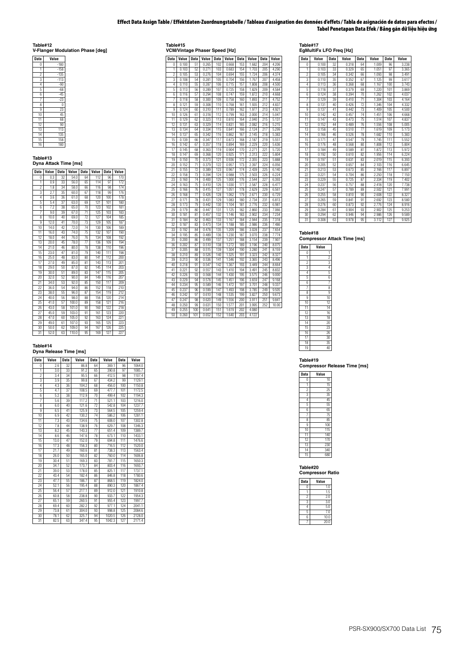### **Effect Data Assign Table / Effektdaten-Zuordnungstabelle / Tableau d'assignation des données d'effets / Tabla de asignación de datos para efectos / Tabel Penetapan Data Efek / Bảng gán dữ liệu hiệu ứng**

**Table#12 V-Flanger Modulation Phase [deg]**

| <b>Data</b>    | Value  |
|----------------|--------|
| 0              | $-180$ |
| 1              | $-158$ |
| $\overline{c}$ | $-135$ |
| 3              | $-113$ |
| 4              | $-90$  |
| 5              | $-68$  |
| 6              | $-45$  |
| 7              | $-23$  |
| 8              | 0      |
| g              | 23     |
| 10             | 45     |
| 11             | 68     |
| 12             | 90     |
| 13             | 113    |
| 14             | 135    |
| 15             | 158    |
| 16             | 180    |

# **Table#13**

**Dyna Attack Time [ms]**

| <b>Data</b>     | Value | <b>Data</b> | Value | <b>Data</b> | Value | <b>Data</b> | Value |
|-----------------|-------|-------------|-------|-------------|-------|-------------|-------|
| 0               | 0.3   | 32          | 54.0  | 64          | 112   | 96          | 170   |
| 1               | 0.9   | 33          | 56.0  | 65          | 114   | 97          | 172   |
| $\overline{2}$  | 1.8   | 34          | 58.0  | 66          | 116   | 98          | 174   |
| 3               | 2.7   | 35          | 60.0  | 67          | 118   | 99          | 176   |
| 4               | 3.6   | 36          | 61.0  | 68          | 120   | 100         | 178   |
| 5               | 5.4   | 37          | 63.0  | 69          | 121   | 101         | 180   |
| 6               | 7.2   | 38          | 65.0  | 70          | 123   | 102         | 181   |
| 7               | 9.0   | 39          | 67.0  | 71          | 125   | 103         | 183   |
| 8               | 10.0  | 40          | 69.0  | 72          | 127   | 104         | 185   |
| 9               | 12.0  | 41          | 70.0  | 73          | 129   | 105         | 187   |
| 10              | 14.0  | 42          | 72.0  | 74          | 130   | 106         | 189   |
| 11              | 16.0  | 43          | 74.0  | 75          | 132   | 107         | 190   |
| 12              | 18.0  | 44          | 76.0  | 76          | 134   | 108         | 192   |
| 13              | 20.0  | 45          | 78.0  | 77          | 136   | 109         | 194   |
| 14              | 21.0  | 46          | 80.0  | 78          | 138   | 110         | 196   |
| 15              | 23.0  | 47          | 81.0  | 79          | 140   | 111         | 198   |
| 16              | 25.0  | 48          | 83.0  | 80          | 141   | 112         | 200   |
| 17              | 27.0  | 49          | 85.0  | 81          | 143   | 113         | 201   |
| 18              | 29.0  | 50          | 87.0  | 82          | 145   | 114         | 203   |
| 19              | 30.0  | 51          | 89.0  | 83          | 147   | 115         | 205   |
| 20              | 32.0  | 52          | 90.0  | 84          | 149   | 116         | 207   |
| 21              | 34.0  | 53          | 92.0  | 85          | 150   | 117         | 209   |
| $\overline{22}$ | 36.0  | 54          | 94.0  | 86          | 152   | 118         | 210   |
| 23              | 38.0  | 55          | 96.0  | 87          | 154   | 119         | 212   |
| 24              | 40.0  | 56          | 98.0  | 88          | 156   | 120         | 214   |
| 25              | 41.0  | 57          | 100.0 | 89          | 158   | 121         | 216   |
| 26              | 43.0  | 58          | 101.0 | 90          | 160   | 122         | 218   |
| 27              | 45.0  | 59          | 103.0 | 91          | 161   | 123         | 220   |
| 28              | 47.0  | 60          | 105.0 | 92          | 163   | 124         | 221   |
| 29              | 49.0  | 61          | 107.0 | 93          | 165   | 125         | 223   |
| 30              | 50.0  | 62          | 109.0 | 94          | 167   | 126         | 225   |
| 31              | 52.0  | 63          | 110.0 | 95          | 169   | 127         | 227   |

#### **Table#14**

|  | Dyna Release Time [ms] |  |  |
|--|------------------------|--|--|
|--|------------------------|--|--|

| <b>Data</b>     | Value | Data | Value | Data | Value  | Data | Value  |
|-----------------|-------|------|-------|------|--------|------|--------|
| 0               | 2.6   | 32   | 86.8  | 64   | 369.1  | 96   | 1064.0 |
| 1               | 3.0   | 33   | 91.2  | 65   | 390.8  | 97   | 1085.7 |
| $\overline{2}$  | 3.4   | 34   | 95.5  | 66   | 412.5  | 98   | 1107.4 |
| 3               | 3.9   | 35   | 99.8  | 67   | 434.2  | 99   | 1129.1 |
| 4               | 4.3   | 36   | 104.2 | 68   | 456.0  | 100  | 1150.8 |
| 5               | 4.7   | 37   | 108.5 | 69   | 477.7  | 101  | 1172.5 |
| 6               | 5.2   | 38   | 112.9 | 70   | 499.4  | 102  | 1194.3 |
| 7               | 5.6   | 39   | 117.2 | 71   | 521.1  | 103  | 1216.0 |
| 8               | 6.0   | 40   | 121.6 | 72   | 542.8  | 104  | 1237.7 |
| 9               | 6.5   | 41   | 125.9 | 73   | 564.5  | 105  | 1259.4 |
| 10              | 6.9   | 42   | 130.2 | 74   | 586.2  | 106  | 1281.1 |
| 11              | 7.3   | 43   | 134.6 | 75   | 608.0  | 107  | 1302.8 |
| 12              | 7.8   | 44   | 138.9 | 76   | 629.7  | 108  | 1346.3 |
| 13              | 8.2   | 45   | 143.3 | 77   | 651.4  | 109  | 1389.7 |
| 14              | 8.6   | 46   | 147.6 | 78   | 673.1  | 110  | 1433.1 |
| 15              | 13.0  | 47   | 152.0 | 79   | 694.8  | 111  | 1476.6 |
| 16              | 17.3  | 48   | 156.3 | 80   | 716.5  | 112  | 1520.0 |
| 17              | 21.7  | 49   | 160.6 | 81   | 738.3  | 113  | 1563.4 |
| 18              | 26.0  | 50   | 165.0 | 82   | 760.0  | 114  | 1606.8 |
| 19              | 30.4  | 51   | 169.3 | 83   | 781.7  | 115  | 1650.3 |
| 20              | 34.7  | 52   | 173.7 | 84   | 803.4  | 116  | 1693.7 |
| $\overline{21}$ | 39.0  | 53   | 178.0 | 85   | 825.1  | 117  | 1737.1 |
| 22              | 43.4  | 54   | 182.4 | 86   | 846.8  | 118  | 1780.6 |
| 23              | 47.7  | 55   | 186.7 | 87   | 868.5  | 119  | 1824.0 |
| 24              | 52.1  | 56   | 195.4 | 88   | 890.3  | 120  | 1867.4 |
| 25              | 56.4  | 57   | 217.1 | 89   | 912.0  | 121  | 1910.8 |
| 26              | 60.8  | 58   | 238.8 | 90   | 933.7  | 122  | 1954.3 |
| 27              | 65.1  | 59   | 260.5 | 91   | 955.4  | 123  | 1997.7 |
| 28              | 69.4  | 60   | 282.2 | 92   | 977.1  | 124  | 2041.1 |
| 29              | 73.8  | 61   | 304.0 | 93   | 998.8  | 125  | 2084.6 |
| 30              | 78.1  | 62   | 325.7 | 94   | 1020.5 | 126  | 2128.0 |
| 31              | 82.5  | 63   | 347.4 | 95   | 1042.3 | 127  | 2171.4 |

**Table#15 VCM/Vintage Phaser Speed [Hz]**

**Data Value Data Value Data Value Data Value Data Value** 0 0.100 51 0.265 102 0.668 153 1.682 204 4.206 1 0.103 52 0.271 103 0.683 154 1.703 205 4.290 2 0.105 53 0.276 104 0.694 155 1.724 206 4.374 3 0.108 54 0.281 105 0.704 156 1.767 207 4.458 4 0.110 55 0.287 106 0.715 157 1.808 208 4.500 5 0.113 56 0.289 107 0.725 158 1.829 209 4.584 6 0.116 57 0.294 108 0.747 159 1.872 210 4.668 7 0.118 58 0.300 109 0.758 160 1.893 211 4.752 8 0.121 59 0.308 110 0.768 161 1.935 212 4.837 9 0.124 60 0.310 111 0.789 162 1.977 213 4.921 10 0.126 61 0.318 112 0.799 163 2.000 214 5.047 11 0.129 62 0.323 113 0.810 164 2.040 215 5.131 12 0.131 63 0.329 114 0.831 165 2.082 216 5.215 13 0.134 64 0.334 115 0.841 166 2.124 217 5.299 14 0.137 65 0.342 116 0.862 167 2.145 218 5.383 15 0.139 66 0.347 117 0.873 168 2.187 219 5.551 16 0.142 67 0.357 118 0.894 169 2.229 220 5.636 17 0.145 68 0.363 119 0.904 170 2.271 221 5.720 18 0.147 69 0.368 120 0.925 171 2.313 222 5.804 19 0.150 70 0.373 121 0.936 172 2.355 223 5.888 20 0.152 71 0.379 122 0.957 173 2.397 224 6.056 21 0.155 72 0.389 123 0.967 174 2.439 225 6.140 22 0.158 73 0.394 124 0.988 175 2.503 226 6.224 23 0.160 74 0.400 125 1.000 176 2.544 227 6.393 24 0.163 75 0.410 126 1.030 177 2.587 228 6.477 25 0.166 76 0.415 127 1.051 178 2.629 229 6.561 26 0.168 77 0.426 128 1.062 179 2.671 230 6.729 27 0.171 78 0.431 129 1.083 180 2.734 231 6.813 28 0.173 79 0.442 130 1.104 181 2.776 232 6.981 29 0.179 80 0.447 131 1.125 182 2.860 233 7.066 30 0.181 81 0.457 132 1.146 183 2.902 234 7.234 31 0.184 82 0.463 133 1.167 184 2.944 235 7.318 32 0.187 83 0.473 134 1.188 185 2.986 236 7.486 33 0.192 84 0.478 135 1.209 186 3.028 237 7.654 34 0.195 85 0.489 136 1.230 187 3.070 238 7.774 35 0.200 86 0.499 137 1.251 188 3.154 239 7.907 36 0.202 87 0.510 138 1.272 189 3.196 240 8.075 37 0.205 88 0.515 139 1.304 190 3.280 241 8.159 38 0.210 89 0.526 140 1.325 191 3.323 242 8.327 39 0.213 90 0.536 141 1.346 192 3.365 243 8.496 40 0.218 91 0.547 142 1.367 193 3.449 244 8.664 41 0.221 92 0.557 143 1.410 194 3.491 245 8.832 42 0.226 93 0.568 144 1.430 195 3.575 246 9.000 43 0.229 94 0.578 145 1.451 196 3.659 247 9.168 44 0.234 95 0.589 146 1.472 197 3.701 248 9.337 45 0.237 96 0.599 147 1.493 198 3.785 249 9.505 46 0.242 97 0.610 148 1.535 199 3.827 250 9.673 47 0.247 98 0.620 149 1.556 200 3.911 251 9.841 48 0.250 99 0.631 150 1.577 201 3.995 252 10.00 0.631 150 1.577 201 3.99 152 1.640 203 4.122

| Table#17                |  |
|-------------------------|--|
| EgMultiFx LFO Freq [Hz] |  |

| <b>Data</b>    | Value | <b>Data</b> | Value | <b>Data</b>     | Value | <b>Data</b> | Value |
|----------------|-------|-------------|-------|-----------------|-------|-------------|-------|
| $\theta$       | 0.100 | 32          | 0.318 | 64              | 1.009 | 96          | 3.238 |
| ī              | 0.103 | 33          | 0.329 | 65              | 1.051 | 97          | 3.365 |
| $\overline{c}$ | 0.105 | 34          | 0.342 | 66              | 1.093 | 98          | 3.491 |
| 3              | 0.110 | 35          | 0.352 | 67              | 1.125 | 99          | 3.617 |
| 4              | 0.113 | 36          | 0.368 | 68              | 1.167 | 100         | 3.743 |
| 5              | 0.118 | 37          | 0.379 | 69              | 1.220 | 101         | 3.869 |
| 6              | 0.124 | 38          | 0.394 | 70              | 1.262 | 102         | 4.037 |
| 7              | 0.129 | 39          | 0.410 | $\overline{71}$ | 1.304 | 103         | 4.164 |
| 8              | 0.131 | 40          | 0.426 | 72              | 1.346 | 104         | 4.332 |
| 9              | 0.137 | 41          | 0.442 | 73              | 1.409 | 105         | 4.500 |
| 10             | 0.142 | 42          | 0.457 | 74              | 1.451 | 106         | 4.668 |
| 11             | 0.147 | 43          | 0.473 | 75              | 1.514 | 107         | 4.837 |
| 12             | 0.152 | 44          | 0.489 | 76              | 1.556 | 108         | 5.005 |
| 13             | 0.158 | 45          | 0.510 | 77              | 1.619 | 109         | 5.173 |
| 14             | 0.166 | 46          | 0.526 | 78              | 1.682 | 110         | 5.383 |
| 15             | 0.171 | 47          | 0.547 | 79              | 1.745 | 111         | 5.552 |
| 16             | 0.176 | 48          | 0.568 | 80              | 1.808 | 112         | 5.804 |
| 17             | 0.184 | 49          | 0.589 | 81              | 1.872 | 113         | 5.972 |
| 18             | 0.192 | 50          | 0.610 | 82              | 1.956 | 114         | 6.224 |
| 19             | 0.197 | 51          | 0.631 | 83              | 2.019 | 115         | 6.393 |
| 20             | 0.205 | 52          | 0.657 | 84              | 2.103 | 116         | 6.645 |
| 21             | 0.213 | 53          | 0.673 | 85              | 2.166 | 117         | 6.897 |
| 22             | 0.221 | 54          | 0.704 | 86              | 2.250 | 118         | 7.150 |
| 23             | 0.229 | 55          | 0.725 | 87              | 2.334 | 119         | 7.402 |
| 24             | 0.237 | 56          | 0.757 | 88              | 2.418 | 120         | 7.738 |
| 25             | 0.247 | 57          | 0.789 | 89              | 2.502 | 121         | 7.991 |
| 26             | 0.255 | 58          | 0.810 | 90              | 2.608 | 122         | 8.327 |
| 27             | 0.265 | 59          | 0.841 | 91              | 2.692 | 123         | 8.580 |
| 28             | 0.276 | 60          | 0.873 | 92              | 2.776 | 124         | 8.916 |
| 29             | 0.284 | 61          | 0.904 | 93              | 2.902 | 125         | 9.253 |
| 30             | 0.294 | 62          | 0.946 | 94              | 2.986 | 126         | 9.589 |
| 31             | 0.308 | 63          | 0.978 | 95              | 3.112 | 127         | 9.925 |

#### **Table#18**

**Compressor Attack Time [ms]**

| Data           | Value           |
|----------------|-----------------|
| Ö              | 1               |
| 1              | $\overline{c}$  |
| $\overline{c}$ | 3               |
| 3              | $\overline{4}$  |
| 4              | 5               |
| 5              | 6               |
| 6              | 7               |
| 7              | 8               |
| 8              | g               |
| 9              | 10              |
| 10             | 12              |
| 11             | 14              |
| 12             | 16              |
| 13             | 18              |
| 14             | $\overline{20}$ |
| 15             | 23              |
| 16             | 26              |
| 17             | 30              |
| 18             | 35              |
| 19             | 40              |
|                |                 |

**Table#19 Compressor Release Time [ms]**

| compressor<br>ιc |                 |  |  |  |  |
|------------------|-----------------|--|--|--|--|
| <b>Data</b>      | Value           |  |  |  |  |
| Ō                | 10              |  |  |  |  |
| 1                | 15              |  |  |  |  |
| $\overline{c}$   | 25              |  |  |  |  |
| 3                | 35              |  |  |  |  |
| 4                | 45              |  |  |  |  |
| 5                | 55              |  |  |  |  |
| 6                | 65              |  |  |  |  |
| 7                | $\overline{75}$ |  |  |  |  |
| 8                | 85              |  |  |  |  |
| g                | 100             |  |  |  |  |
| 10               | 115             |  |  |  |  |
| 11               | 140             |  |  |  |  |
| 12               | 170             |  |  |  |  |
| 13               | 230             |  |  |  |  |
| 14               | 340             |  |  |  |  |
| 15               | 680             |  |  |  |  |

**Table#20 Compressor Ratio**

| <b>Data</b>    | Value |
|----------------|-------|
| 0              | 1.0   |
|                | 1.5   |
| $\overline{c}$ | 2.0   |
| 3              | 3.0   |
|                | 5.0   |
| 5              | 7.0   |
| 6              | 10.0  |
|                | 20.0  |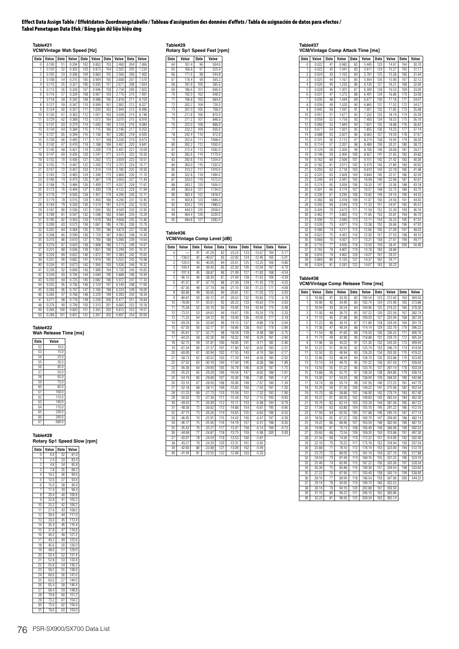#### **Effect Data Assign Table / Effektdaten-Zuordnungstabelle / Tableau d'assignation des données d'effets / Tabla de asignación de datos para efectos / Tabel Penetapan Data Efek / Bảng gán dữ liệu hiệu ứng**

**Table#21 VCM/Vintage Wah Speed [Hz]**

| Data            | Value | Data            | Value | <b>Data</b> | Value | <b>Data</b> | Value | <b>Data</b> | Value |
|-----------------|-------|-----------------|-------|-------------|-------|-------------|-------|-------------|-------|
| 0               | 0.100 | 51              | 0.294 | 102         | 0.852 | 153         | 2.460 | 204         | 7.066 |
| 1               | 0.103 | 52              | 0.302 | 103         | 0.873 | 154         | 2.502 | 205         | 7.234 |
| $\overline{c}$  | 0.105 | 53              | 0.308 | 104         | 0.883 | 155         | 2.566 | 206         | 7.402 |
| 3               | 0.108 | 54              | 0.315 | 105         | 0.904 | 156         | 2.608 | 207         | 7.570 |
| 4               | 0.110 | 55              | 0.321 | 106         | 0.935 | 157         | 2.671 | 208         | 7.654 |
| 5               | 0.113 | 56              | 0.326 | 107         | 0.946 | 158         | 2.734 | 209         | 7.823 |
| 6               | 0.116 | 57              | 0.334 | 108         | 0.967 | 159         | 2.776 | 210         | 7.991 |
| 7               | 0.118 | 58              | 0.342 | 109         | 0.988 | 160         | 2.818 | 211         | 8.159 |
| 8               | 0.121 | 59              | 0.347 | 110         | 0.999 | 161         | 2.902 | 212         | 8.327 |
| 9               | 0.124 | 60              | 0.357 | 111         | 1.020 | 162         | 2.944 | 213         | 8.496 |
| 10              | 0.126 | 61              | 0.363 | 112         | 1.051 | 163         | 3.028 | 214         | 8.748 |
| 11              | 0.129 | 62              | 0.368 | 113         | 1.072 | 164         | 3.070 | 215         | 8.916 |
| 12              | 0.131 | 63              | 0.379 | 114         | 1.093 | 165         | 3.154 | 216         | 9.084 |
| 13              | 0.134 | 64              | 0.384 | 115         | 1.115 | 166         | 3.196 | 217         | 9.253 |
| $\overline{14}$ | 0.137 | 65              | 0.394 | 116         | 1.136 | 167         | 3.280 | 218         | 9.505 |
| 15              | 0.139 | 66              | 0.405 | 117         | 1.157 | 168         | 3.336 | 219         | 9.673 |
| 16              | 0.142 | 67              | 0.410 | 118         | 1.188 | 169         | 3.407 | 220         | 9.841 |
| 17              | 0.145 | 68              | 0.421 | 119         | 1.209 | 170         | 3.491 | 221         | 10.09 |
| 18              | 0.147 | 69              | 0.426 | 120         | 1.241 | 171         | 3.575 | 222         | 10.26 |
| 19              | 0.152 | 70              | 0.436 | 121         | 1.262 | 172         | 3.659 | 223         | 10.51 |
| 20              | 0.155 | $\overline{71}$ | 0.447 | 122         | 1.293 | 173         | 3.701 | 224         | 10.77 |
| 21              | 0.157 | 72              | 0.457 | 123         | 1.314 | 174         | 3.785 | 225         | 10.93 |
| $\overline{22}$ | 0.163 | 73              | 0.463 | 124         | 1.346 | 175         | 3.869 | 226         | 11.10 |
| 23              | 0.166 | 74              | 0.473 | 125         | 1.367 | 176         | 3.953 | 227         | 11.44 |
| 24              | 0.168 | 75              | 0.484 | 126         | 1.409 | 177         | 4.037 | 228         | 11.61 |
| 25              | 0.173 | 76              | 0.494 | 127         | 1.430 | 178         | 4.122 | 229         | 11.94 |
| 26              | 0.176 | 77              | 0.505 | 128         | 1.451 | 179         | 4.206 | 230         | 12.11 |
| 27              | 0.179 | 78              | 0.515 | 129         | 1.493 | 180         | 4.290 | 231         | 12.45 |
| 28              | 0.184 | 79              | 0.526 | 130         | 1.514 | 181         | 4.374 | 232         | 12.62 |
| 29              | 0.187 | 80              | 0.536 | 131         | 1.556 | 182         | 4.500 | 233         | 12.95 |
| 30              | 0.189 | 81              | 0.547 | 132         | 1.598 | 183         | 4.584 | 234         | 13.29 |
| 31              | 0.195 | 82              | 0.563 | 133         | 1.619 | 184         | 4.668 | 235         | 13.46 |
| 32              | 0.200 | 83              | 0.573 | 134         | 1.661 | 185         | 4.795 | 236         | 13.79 |
| 33              | 0.202 | 84              | 0.584 | 135         | 1.703 | 186         | 4.879 | 237         | 13.96 |
| 34              | 0.208 | 85              | 0.599 | 136         | 1.724 | 187         | 4.963 | 238         | 14.30 |
| 35              | 0.210 | 86              | 0.610 | 137         | 1.766 | 188         | 5.090 | 239         | 14.64 |
| 36              | 0.216 | 87              | 0.620 | 138         | 1.808 | 189         | 5.173 | 240         | 14.97 |
| 37              | 0.221 | 88              | 0.636 | 139         | 1.851 | 190         | 5.299 | 241         | 15.31 |
| 38              | 0.226 | 89              | 0.652 | 140         | 1.872 | 191         | 5.383 | 242         | 15.65 |
| 39              | 0.231 | 90              | 0.662 | 141         | 1.914 | 192         | 5.552 | 243         | 15.98 |
| 40              | 0.234 | 91              | 0.673 | 142         | 1.956 | 193         | 5.636 | 244         | 16.32 |
| 41              | 0.239 | 92              | 0.694 | 143         | 1.999 | 194         | 5.720 | 245         | 16.65 |
| 42              | 0.244 | 93              | 0.704 | 144         | 2.040 | 195         | 5.888 | 246         | 16.99 |
| 43              | 0.250 | 94              | 0.725 | 145         | 2.082 | 196         | 5.972 | 247         | 17.33 |
| 44              | 0.255 | 95              | 0.736 | 146         | 2.124 | 197         | 6.140 | 248         | 17.66 |
| 45              | 0.260 | 96              | 0.747 | 147         | 2.166 | 198         | 6.224 | 249         | 18.00 |
| 46              | 0.265 | 97              | 0.768 | 148         | 2.229 | 199         | 6.393 | 250         | 18.34 |
| 47              | 0.271 | 98              | 0.778 | 149         | 2.250 | 200         | 6.477 | 251         | 18.84 |
| 48              | 0.276 | 99              | 0.799 | 150         | 2.313 | 201         | 6.665 | 252         | 19.18 |
| 49              | 0.284 | 100             | 0.820 | 151         | 2.355 | 202         | 6.813 | 253         | 19.51 |
| 50              | 0.289 | 101             | 0.831 | 152         | 2.397 | 203         | 6.897 | 254         | 20.00 |

**Table#22 Wah Release Time [ms]**

| Data | Value |
|------|-------|
| 52   | 10.0  |
| 53   | 15.0  |
| 54   | 25.0  |
| 55   | 35.0  |
| 56   | 45.0  |
| 57   | 55.0  |
| 58   | 65.0  |
| 59   | 75.0  |
| 60   | 85.0  |
| 61   | 100.0 |
| 62   | 115.0 |
| 63   | 140.0 |
| 64   | 170.0 |
| 65   | 230.0 |
| 66   | 340.0 |
| 67   | 680.0 |

**Table#28**

**Rotary Sp1 Speed Slow [rpm]**

| <b>Data</b>     | Value | <b>Data</b>     | Value |
|-----------------|-------|-----------------|-------|
| Ō               | 0.0   | 32              | 81.0  |
| 1               | 2.4   | 33              | 83.4  |
| 2               | 4.8   | 34              | 85.8  |
| 3               | 7.8   | $\overline{35}$ | 88.2  |
| 4               | 10.2  | 36              | 90.6  |
| 5               | 12.6  | 37              | 93.6  |
| 6               | 15.0  | 38              | 96.0  |
| 7               | 17.4  | 39              | 98.4  |
| 8               | 20.4  | 40              | 100.8 |
| 9               | 228   | 41              | 103.2 |
| 10              | 25.2  | 42              | 106.2 |
| $\overline{11}$ | 27.6  | 43              | 108.6 |
| 12              | 30.6  | 44              | 111.0 |
| 13              | 33.0  | 45              | 113.4 |
| $\overline{14}$ | 35.4  | 46              | 116.4 |
| 15              | 37.8  | 47              | 118.8 |
| 16              | 40.2  | 48              | 121.2 |
| $\overline{17}$ | 43.2  | 49              | 123.6 |
| 18              | 45.6  | 50              | 126.0 |
| 19              | 48.0  | 51              | 129.0 |
| $\overline{20}$ | 50.4  | 52              | 131.4 |
| 21              | 52.8  | 53              | 133.8 |
| 22              | 55.8  | 54              | 136.2 |
| 23              | 58.2  | 55              | 138.6 |
| $\overline{24}$ | 60.6  | 56              | 141.6 |
| 25              | 63.0  | 57              | 144.0 |
| 26              | 65.4  | 58              | 146.4 |
| 27              | 68.4  | 59              | 148.8 |
| 28              | 70.8  | 60              | 151.2 |
| 29              | 73.2  | 61              | 154.2 |
| 30              | 75.6  | 62              | 156.6 |
| 31              | 78.0  | 63              | 159.0 |

**Table#29 Rotary Sp1 Speed Fast [rpm]**

| <b>Data</b>     | Value | <b>Data</b> | Value  |
|-----------------|-------|-------------|--------|
| 64              | 161.4 | 96          | 504.6  |
| 65              | 166.8 | 97          | 525.0  |
| 66              | 171.6 | 98          | 544.8  |
| 67              | 176.4 | 99          | 565.2  |
| 68              | 181.8 | 100         | 585.6  |
| 69              | 186.6 | 101         | 606.0  |
| 70              | 192.0 | 102         | 648.0  |
| $\overline{71}$ | 196.8 | 103         | 684.0  |
| 72              | 202.2 | 104         | 726.0  |
| 73              | 207.0 | 105         | 768.0  |
| 74              | 211.8 | 106         | 810.0  |
| 75              | 217.2 | 107         | 846.0  |
| 76              | 222.0 | 108         | 888.0  |
| 77              | 232.2 | 109         | 930.0  |
| 78              | 242.4 | 110         | 972.0  |
| 79              | 252.6 | 111         | 1008.0 |
| 80              | 262.2 | 112         | 1050.0 |
| 81              | 272.4 | 113         | 1092.0 |
| 82              | 282.6 | 114         | 1170.0 |
| 83              | 292.8 | 115         | 1254.0 |
| 84              | 303.0 | 116         | 1332.0 |
| 85              | 313.2 | 117         | 1416.0 |
| 86              | 322.8 | 118         | 1494.0 |
| 87              | 333.0 | 119         | 1572.0 |
| 88              | 343.2 | 120         | 1656.0 |
| 89              | 363.6 | 121         | 1734.0 |
| 90              | 383.4 | 122         | 1818.0 |
| 91              | 403.8 | 123         | 1896.0 |
| 92              | 424.2 | 124         | 1980.0 |
| 93              | 444.0 | 125         | 2058.0 |
| 94              | 464.4 | 126         | 2220.0 |
| 95              | 484.8 | 127         | 2382.0 |

**Table#36 VCM/Vintage Comp Level [dB]**

| Data           | Value     | Data | Value    | Data | Value    | Data | Value    | Data | Value   |
|----------------|-----------|------|----------|------|----------|------|----------|------|---------|
| 0              | $-\infty$ | 41   | $-41.29$ | 82   | $-23.23$ | 123  | $-12.67$ | 164  | $-5.17$ |
| 1              | $-138.0$  | 42   | $-40.67$ | 83   | $-22.92$ | 124  | $-12.46$ | 165  | $-5.01$ |
| $\overline{2}$ | $-120.0$  | 43   | $-40.05$ | 84   | $-22.61$ | 125  | $-12.25$ | 166  | $-4.86$ |
| 3              | $-109.4$  | 44   | $-39.45$ | 85   | $-22.30$ | 126  | $-12.04$ | 167  | $-4.70$ |
| 4              | $-101.9$  | 45   | $-38.87$ | 86   | $-21.99$ | 127  | $-11.83$ | 168  | $-4.54$ |
| 5              | $-96.12$  | 46   | $-38.30$ | 87   | $-21.69$ | 128  | $-11.63$ | 169  | $-4.39$ |
| 6              | $-91.37$  | 47   | $-37.74$ | 88   | $-21.39$ | 129  | $-11.43$ | 170  | $-4.23$ |
| 7              | $-87.36$  | 48   | $-37.19$ | 89   | $-21.10$ | 130  | $-11.23$ | 171  | $-4.08$ |
| 8              | $-83.88$  | 49   | $-36.65$ | 90   | $-20.81$ | 131  | $-11.03$ | 172  | $-3.93$ |
| 9              | $-80.81$  | 50   | $-36.12$ | 91   | $-20.52$ | 132  | $-10.83$ | 173  | $-3.78$ |
| 10             | $-78.06$  | 51   | $-35.61$ | 92   | $-20.23$ | 133  | $-10.63$ | 174  | $-3.63$ |
| 11             | $-75.58$  | 52   | $-35.10$ | 93   | $-19.95$ | 134  | $-10.44$ | 175  | $-3.48$ |
| 12             | $-73.31$  | 53   | $-34.61$ | 94   | $-19.67$ | 135  | $-10.24$ | 176  | $-3.33$ |
| 13             | $-71.23$  | 54   | $-34.12$ | 95   | $-19.40$ | 136  | $-10.05$ | 177  | $-3.18$ |
| 14             | $-69.29$  | 55   | $-33.64$ | 96   | $-19.13$ | 137  | $-9.86$  | 178  | $-3.04$ |
| 15             | $-67.50$  | 56   | $-33.17$ | 97   | $-18.86$ | 138  | $-9.67$  | 179  | $-2.89$ |
| 16             | $-65.81$  | 57   | $-32.71$ | 98   | $-18.59$ | 139  | $-9.48$  | 180  | $-2.75$ |
| 17             | $-64.23$  | 58   | $-32.26$ | 99   | $-18.32$ | 140  | $-9.29$  | 181  | $-2.60$ |
| 18             | $-62.75$  | 59   | $-31.81$ | 100  | $-18.06$ | 141  | $-9.11$  | 182  | $-2.46$ |
| 19             | $-61.34$  | 60   | $-31.37$ | 101  | $-17.80$ | 142  | $-8.92$  | 183  | $-2.31$ |
| 20             | $-60.00$  | 61   | $-30.94$ | 102  | $-17.55$ | 143  | $-8.74$  | 184  | $-2.17$ |
| 21             | $-58.73$  | 62   | $-30.52$ | 103  | $-17.29$ | 144  | $-8.56$  | 185  | $-2.03$ |
| 22             | $-57.52$  | 63   | $-30.10$ | 104  | $-17.04$ | 145  | $-8.38$  | 186  | $-1.89$ |
| 23             | $-56.36$  | 64   | $-29.69$ | 105  | $-16.79$ | 146  | $-8.20$  | 187  | $-1.75$ |
| 24             | $-55.25$  | 65   | $-29.29$ | 106  | $-16.54$ | 147  | $-8.02$  | 188  | $-1.61$ |
| 25             | $-54.19$  | 66   | $-28.89$ | 107  | $-16.30$ | 148  | $-7.85$  | 189  | $-1.47$ |
| 26             | $-53.16$  | 67   | $-28.50$ | 108  | $-16.06$ | 149  | $-7.67$  | 190  | $-1.34$ |
| 27             | $-52.18$  | 68   | $-28.11$ | 109  | $-15.82$ | 150  | $-7.50$  | 191  | $-1.20$ |
| 28             | $-51.23$  | 69   | $-27.73$ | 110  | $-15.58$ | 151  | $-7.32$  | 192  | $-1.06$ |
| 29             | $-50.32$  | 70   | $-27.36$ | 111  | $-15.34$ | 152  | $-7.15$  | 193  | $-0.93$ |
| 30             | $-49.43$  | 71   | $-26.99$ | 112  | $-15.11$ | 153  | $-6.98$  | 194  | $-0.79$ |
| 31             | $-48.58$  | 72   | $-26.62$ | 113  | $-14.88$ | 154  | $-6.81$  | 195  | $-0.66$ |
| 32             | $-47.75$  | 73   | $-26.26$ | 114  | $-14.65$ | 155  | $-6.64$  | 196  | $-0.53$ |
| 33             | $-46.95$  | 74   | $-25.91$ | 115  | $-14.42$ | 156  | $-6.47$  | 197  | $-0.39$ |
| 34             | $-46.17$  | 75   | $-25.56$ | 116  | $-14.19$ | 157  | $-6.31$  | 198  | $-0.26$ |
| 35             | $-45.42$  | 76   | $-25.21$ | 117  | $-13.97$ | 158  | $-6.14$  | 199  | $-0.13$ |
| 36             | $-44.68$  | 77   | $-24.87$ | 118  | $-13.75$ | 159  | $-5.98$  | 200  | 0.00    |
| 37             | $-43.97$  | 78   | $-24.54$ | 119  | $-13.53$ | 160  | $-5.81$  |      |         |
| 38             | $-43.27$  | 79   | $-24.20$ | 120  | $-13.31$ | 161  | $-5.65$  |      |         |
| 39             | $-42.60$  | 80   | $-23.88$ | 121  | $-13.09$ | 162  | $-5.49$  |      |         |
| 40             | $-41.94$  | 81   | $-23.55$ | 122  | $-12.88$ | 163  | $-5.33$  |      |         |

**Table#37 VCM/Vintage Comp Attack Time [ms]**

| <b>Data</b>    | Value | <b>Data</b> | Value | <b>Data</b> | Value | <b>Data</b> | Value | <b>Data</b> | Value |
|----------------|-------|-------------|-------|-------------|-------|-------------|-------|-------------|-------|
| 0              | 0.022 | 41          | 0.982 | 82          | 5.445 | 123         | 14.97 | 164         | 30.70 |
| 1              | 0.023 | 42          | 1.041 | 83          | 5.611 | 124         | 15.27 | 165         | 31.17 |
| $\overline{c}$ | 0.024 | 43          | 1.103 | 84          | 5.781 | 125         | 15.58 | 166         | 31.64 |
| 3              | 0.025 | 44          | 1.167 | 85          | 5.954 | 126         | 15.90 | 167         | 32.12 |
| $\overline{4}$ | 0.026 | 45          | 1.233 | 86          | 6.130 | 127         | 16.21 | 168         | 32.60 |
| 5              | 0.028 | 46          | 1.301 | 87          | 6.309 | 128         | 16.53 | 169         | 33.09 |
| 6              | 0.031 | 47          | 1.372 | 88          | 6.491 | 129         | 16.86 | 170         | 33.58 |
| 7              | 0.035 | 48          | 1.444 | 89          | 6.677 | 130         | 17.18 | 171         | 34.07 |
| 8              | 0.039 | 49          | 1.520 | 90          | 6.865 | 131         | 17.52 | 172         | 34.57 |
| 9              | 0.045 | 50          | 1.597 | 91          | 7.057 | 132         | 17.85 | 173         | 35.08 |
| 10             | 0.051 | 51          | 1.677 | 92          | 7.252 | 133         | 18.19 | 174         | 35.59 |
| 11             | 0.059 | 52          | 1.759 | 93          | 7.450 | 134         | 18.53 | 175         | 36.10 |
| 12             | 0.068 | 53          | 1.844 | 94          | 7.651 | 135         | 18.88 | 176         | 36.62 |
| 13             | 0.077 | 54          | 1.931 | 95          | 7.855 | 136         | 19.23 | 177         | 37.14 |
| 14             | 0.088 | 55          | 2.021 | 96          | 8.063 | 137         | 19.59 | 178         | 37.67 |
| 15             | 0.101 | 56          | 2.113 | 97          | 8.274 | 138         | 19.95 | 179         | 38.20 |
| 16             | 0.114 | 57          | 2.207 | 98          | 8.489 | 139         | 20.31 | 180         | 38.73 |
| 17             | 0.129 | 58          | 2.304 | 99          | 8.706 | 140         | 20.68 | 181         | 39.27 |
| 18             | 0.146 | 59          | 2.404 | 100         | 8.927 | 141         | 21.05 | 182         | 39.82 |
| 19             | 0.163 | 60          | 2.506 | 101         | 9.151 | 142         | 21.42 | 183         | 40.36 |
| 20             | 0.182 | 61          | 2.611 | 102         | 9.379 | 143         | 21.80 | 184         | 40.92 |
| 21             | 0.203 | 62          | 2.718 | 103         | 9.610 | 144         | 22.18 | 185         | 41.48 |
| 22             | 0.225 | 63          | 2.828 | 104         | 9.844 | 145         | 22.57 | 186         | 42.04 |
| 23             | 0.249 | 64          | 2.941 | 105         | 10.09 | 146         | 22.96 | 187         | 42.61 |
| 24             | 0.274 | 65          | 3.056 | 106         | 10.33 | 147         | 23.36 | 188         | 43.18 |
| 25             | 0.301 | 66          | 3.174 | 107         | 10.57 | 148         | 23.75 | 189         | 43.75 |
| 26             | 0.330 | 67          | 3.295 | 108         | 10.82 | 149         | 24.16 | 190         | 44.33 |
| 27             | 0.360 | 68          | 3.418 | 109         | 11.07 | 150         | 24.56 | 191         | 44.92 |
| 28             | 0.393 | 69          | 3.544 | 110         | 11.33 | 151         | 24.97 | 192         | 45.51 |
| 29             | 0.426 | 70          | 3.673 | 111         | 11.59 | 152         | 25.39 | 193         | 46.10 |
| 30             | 0.462 | 71          | 3.805 | 112         | 11.85 | 153         | 25.81 | 194         | 46.70 |
| 31             | 0.500 | 72          | 3.940 | 113         | 12.11 | 154         | 26.23 | 195         | 47.31 |
| 32             | 0.539 | 73          | 4.077 | 114         | 12.38 | 155         | 26.66 | 196         | 47.91 |
| 33             | 0.580 | 74          | 4.217 | 115         | 12.66 | 156         | 27.09 | 197         | 48.53 |
| 34             | 0.623 | 75          | 4.361 | 116         | 12.93 | 157         | 27.53 | 198         | 49.15 |
| 35             | 0.668 | 76          | 4.507 | 117         | 13.21 | 158         | 27.97 | 199         | 49.77 |
| 36             | 0.716 | 77          | 4.656 | 118         | 13.50 | 159         | 28.41 | 200         | 50.40 |
| 37             | 0.765 | 78          | 4.807 | 119         | 13.78 | 160         | 28.86 |             |       |
| 38             | 0.816 | 79          | 4.962 | 120         | 14.07 | 161         | 29.31 |             |       |
| 39             | 0.869 | 80          | 5.120 | 121         | 14.37 | 162         | 29.77 |             |       |
| 40             | 0.924 | 81          | 5.281 | 122         | 14.67 | 163         | 30.23 |             |       |

**Table#38 VCM/Vintage Comp Release Time [ms]**

| <b>Data</b>    | Value | Data | Value | <b>Data</b> | Value  | Data | Value  | Data | Value  |
|----------------|-------|------|-------|-------------|--------|------|--------|------|--------|
| 0              | 10.88 | 41   | 33.30 | 82          | 100.54 | 123  | 212.60 | 164  | 369.50 |
| 1              | 10.90 | 42   | 34.40 | 83          | 102.74 | 124  | 215.90 | 165  | 373.88 |
| $\overline{c}$ | 10.94 | 43   | 35.54 | 84          | 104.96 | 125  | 219.22 | 166  | 378.30 |
| 3              | 11.00 | 44   | 36.70 | 85          | 107.22 | 126  | 222.56 | 167  | 382.74 |
| 4              | 11.10 | 45   | 37.88 | 86          | 109.50 | 127  | 225.94 | 168  | 387.20 |
| 5              | 11.22 | 46   | 39.10 | 87          | 111.80 | 128  | 229.34 | 169  | 391.70 |
| 6              | 11.36 | 47   | 40.34 | 88          | 114.14 | 129  | 232.76 | 170  | 396.22 |
| 7              | 11.54 | 48   | 41.60 | 89          | 116.50 | 130  | 236.22 | 171  | 400.76 |
| 8              | 11.74 | 49   | 42.90 | 90          | 118.88 | 131  | 239.70 | 172  | 405.34 |
| 9              | 11.96 | 50   | 44.22 | 91          | 121.30 | 132  | 243.20 | 173  | 409.94 |
| 10             | 12.22 | 51   | 45.56 | 92          | 123.74 | 133  | 246.74 | 174  | 414.56 |
| 11             | 12.50 | 52   | 46.94 | 93          | 126.20 | 134  | 250.30 | 175  | 419.22 |
| 12             | 12.80 | 53   | 48.34 | 94          | 128.70 | 135  | 253.88 | 176  | 423.90 |
| 13             | 13.14 | 54   | 49.76 | 95          | 131.22 | 136  | 257.50 | 177  | 428.60 |
| 14             | 13.50 | 55   | 51.22 | 96          | 133.76 | 137  | 261.14 | 178  | 433.34 |
| 15             | 13.88 | 56   | 52.70 | 97          | 136.34 | 138  | 264.80 | 179  | 438.10 |
| 16             | 14.30 | 57   | 54.20 | 98          | 138.94 | 139  | 268.50 | 180  | 442.88 |
| 17             | 14.74 | 58   | 55.74 | 99          | 141.56 | 140  | 272.22 | 181  | 447.70 |
| 18             | 15.20 | 59   | 57.30 | 100         | 144.22 | 141  | 275.96 | 182  | 452.54 |
| 19             | 15.70 | 60   | 58.88 | 101         | 146.90 | 142  | 279.74 | 183  | 457.40 |
| 20             | 16.22 | 61   | 60.50 | 102         | 149.60 | 143  | 283.54 | 184  | 462.30 |
| 21             | 16.76 | 62   | 62.14 | 103         | 152.34 | 144  | 287.36 | 185  | 467.22 |
| 22             | 17.34 | 63   | 63.80 | 104         | 155.10 | 145  | 291.22 | 186  | 472.16 |
| 23             | 17.94 | 64   | 65.50 | 105         | 157.88 | 146  | 295.10 | 187  | 477.14 |
| 24             | 18.56 | 65   | 67.22 | 106         | 160.70 | 147  | 299.00 | 188  | 482.14 |
| 25             | 19.22 | 66   | 68.96 | 107         | 163.54 | 148  | 302.94 | 189  | 487.16 |
| 26             | 19.90 | 67   | 70.74 | 108         | 166.40 | 149  | 306.90 | 190  | 492.22 |
| 27             | 20.60 | 68   | 72.54 | 109         | 169.30 | 150  | 310.88 | 191  | 497.30 |
| 28             | 21.34 | 69   | 74.36 | 110         | 172.22 | 151  | 314.90 | 192  | 502.40 |
| 29             | 22.10 | 70   | 76.22 | 111         | 175.16 | 152  | 318.94 | 193  | 507.54 |
| 30             | 22.88 | 71   | 78.10 | 112         | 178.14 | 153  | 323.00 | 194  | 512.70 |
| 31             | 23.70 | 72   | 80.00 | 113         | 181.14 | 154  | 327.10 | 195  | 517.88 |
| 32             | 24.54 | 73   | 81.94 | 114         | 184.16 | 155  | 331.22 | 196  | 523.10 |
| 33             | 25.40 | 74   | 83.90 | 115         | 187.22 | 156  | 335.36 | 197  | 528.34 |
| 34             | 26.30 | 75   | 85.88 | 116         | 190.30 | 157  | 339.54 | 198  | 533.60 |
| 35             | 27.22 | 76   | 87.90 | 117         | 193.40 | 158  | 343.74 | 199  | 538.90 |
| 36             | 28.16 | 77   | 89.94 | 118         | 196.54 | 159  | 347.96 | 200  | 544.22 |
| 37             | 29.14 | 78   | 92.00 | 119         | 199.70 | 160  | 352.22 |      |        |
| 38             | 30.14 | 79   | 94.10 | 120         | 202.88 | 161  | 356.50 |      |        |
| 39             | 31.16 | 80   | 96.22 | 121         | 206.10 | 162  | 360.80 |      |        |
| 40             | 32.22 | 81   | 98.36 | 122         | 209.34 | 163  | 365.14 |      |        |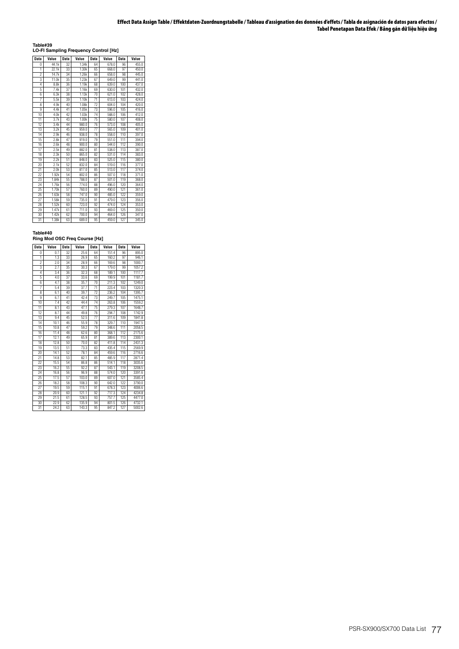**Table#39 LO-FI Sampling Frequency Control [Hz]**

| <b>Data</b>    | Value | <b>Data</b> | Value | <b>Data</b>     | Value | <b>Data</b> | Value |
|----------------|-------|-------------|-------|-----------------|-------|-------------|-------|
| n              | 44.1k | 32          | 1.34k | 64              | 678.0 | 96          | 455.0 |
| 1              | 22.1k | 33          | 1.30k | 65              | 668.0 | 97          | 450.0 |
| $\overline{2}$ | 14.7k | 34          | 1.26k | 66              | 658.0 | 98          | 445.0 |
| 3              | 11.0k | 35          | 1.23k | 67              | 649.0 | 99          | 441.0 |
| 4              | 8.8k  | 36          | 1.19k | 68              | 639.0 | 100         | 437.0 |
| 5              | 7.4k  | 37          | 1.16k | 69              | 630.0 | 101         | 432.0 |
| 6              | 6.3k  | 38          | 1.13k | 70              | 621.0 | 102         | 428.0 |
| 7              | 5.5k  | 39          | 1.10k | $\overline{71}$ | 613.0 | 103         | 424.0 |
| 8              | 4.9k  | 40          | 1.08k | 72              | 604.0 | 104         | 420.0 |
| 9              | 4.4k  | 41          | 1.05k | 73              | 596.0 | 105         | 416.0 |
| 10             | 4.0k  | 42          | 1.03k | 74              | 588.0 | 106         | 412.0 |
| 11             | 3.7k  | 43          | 1.00k | 75              | 580.0 | 107         | 408.0 |
| 12             | 3.4k  | 44          | 980.0 | 76              | 573.0 | 108         | 405.0 |
| 13             | 3.2k  | 45          | 959.0 | 77              | 565.0 | 109         | 401.0 |
| 14             | 2.9k  | 46          | 938.0 | 78              | 558.0 | 110         | 397.0 |
| 15             | 2.8k  | 47          | 919.0 | 79              | 551.0 | 111         | 394.0 |
| 16             | 2.6k  | 48          | 900.0 | 80              | 544.0 | 112         | 390.0 |
| 17             | 2.5k  | 49          | 882.0 | 81              | 538.0 | 113         | 387.0 |
| 18             | 2.3k  | 50          | 865.0 | 82              | 531.0 | 114         | 383.0 |
| 19             | 2.2k  | 51          | 848.0 | 83              | 525.0 | 115         | 380.0 |
| 20             | 2.1k  | 52          | 832.0 | 84              | 519.0 | 116         | 377.0 |
| 21             | 2.0k  | 53          | 817.0 | 85              | 513.0 | 117         | 374.0 |
| 22             | 1.92k | 54          | 802.0 | 86              | 507.0 | 118         | 371.0 |
| 23             | 1.84k | 55          | 788.0 | 87              | 501.0 | 119         | 368.0 |
| 24             | 1.76k | 56          | 774.0 | 88              | 496.0 | 120         | 364.0 |
| 25             | 1.70k | 57          | 760.0 | 89              | 490.0 | 121         | 361.0 |
| 26             | 1.63k | 58          | 747.0 | 90              | 485.0 | 122         | 359.0 |
| 27             | 1.58k | 59          | 735.0 | 91              | 479.0 | 123         | 356.0 |
| 28             | 1.52k | 60          | 723.0 | 92              | 474.0 | 124         | 353.0 |
| 29             | 1.47k | 61          | 711.0 | 93              | 469.0 | 125         | 350.0 |
| 30             | 1.42k | 62          | 700.0 | 94              | 464.0 | 126         | 347.0 |
| 31             | 1.38k | 63          | 689.0 | 95              | 459.0 | 127         | 345.0 |

**Table#40 Ring Mod OSC Freq Course [Hz]**

| <b>Data</b>             | Value | Data            | Value | <b>Data</b> | Value | <b>Data</b> | Value  |
|-------------------------|-------|-----------------|-------|-------------|-------|-------------|--------|
| 0                       | 0.7   | $\overline{32}$ | 25.6  | 64          | 151.4 | 96          | 895.0  |
| 1                       | 1.3   | 33              | 26.9  | 65          | 160.2 | 97          | 946.1  |
| $\overline{2}$          | 2.0   | 34              | 28.9  | 66          | 169.6 | 98          | 1000.7 |
| 3                       | 27    | 35              | 30.3  | 67          | 179.0 | 99          | 1057.2 |
| 4                       | 3.4   | 36              | 32.3  | 68          | 189.1 | 100         | 1117.7 |
| 5                       | 4.0   | 37              | 33.6  | 69          | 199.9 | 101         | 1181.7 |
| 6                       | 4.7   | 38              | 35.7  | 70          | 211.3 | 102         | 1249.0 |
| 7                       | 5.4   | 39              | 37.7  | 71          | 223.4 | 103         | 1320.3 |
| $\overline{\mathbf{g}}$ | 6.1   | 40              | 39.7  | 72          | 236.2 | 104         | 1395.7 |
| 9                       | 67    | 41              | 42.4  | 73          | 249.7 | 105         | 1475.1 |
| 10                      | 7.4   | 42              | 44.4  | 74          | 263.8 | 106         | 1559.2 |
| $\overline{11}$         | 8.1   | 43              | 47.1  | 75          | 279.3 | 107         | 1648.7 |
| 12                      | 8.7   | 44              | 49.8  | 76          | 294.7 | 108         | 1742.9 |
| 13                      | 9.4   | 45              | 52.5  | 77          | 311.6 | 109         | 1841.8 |
| 14                      | 10.1  | 46              | 55.9  | 78          | 329.7 | 110         | 1947.5 |
| 15                      | 10.8  | 47              | 59.2  | 79          | 348.6 | 111         | 2058.5 |
| 16                      | 11.4  | 48              | 62.6  | 80          | 368.1 | 112         | 2175.6 |
| 17                      | 12.1  | 49              | 65.9  | 81          | 389.6 | 113         | 2300.1 |
| 18                      | 12.8  | 50              | 70.0  | 82          | 411.8 | 114         | 2431.3 |
| 19                      | 13.5  | 51              | 73.3  | 83          | 435.4 | 115         | 2569.9 |
| 20                      | 14.1  | 52              | 78.1  | 84          | 459.6 | 116         | 2716.6 |
| 21                      | 14.8  | 53              | 82.1  | 85          | 485.9 | 117         | 2871.4 |
| 22                      | 15.5  | 54              | 86.8  | 86          | 514.1 | 118         | 3035.6 |
| 23                      | 16.2  | 55              | 92.2  | 87          | 543.1 | 119         | 3208.5 |
| 24                      | 16.8  | 56              | 96.9  | 88          | 574.0 | 120         | 3391.6 |
| 25                      | 17.5  | 57              | 103.0 | 89          | 607.0 | 121         | 3585.4 |
| 26                      | 18.2  | 58              | 108.3 | 90          | 642.0 | 122         | 3790.0 |
| 27                      | 19.5  | 59              | 115.1 | 91          | 678.3 | 123         | 4006.6 |
| 28                      | 20.9  | 60              | 121.1 | 92          | 717.3 | 124         | 4234.8 |
| 29                      | 21.5  | 61              | 128.5 | 93          | 757.7 | 125         | 4477.0 |
| 30                      | 22.9  | 62              | 135.9 | 94          | 801.5 | 126         | 4732.1 |
| 31                      | 24.2  | 63              | 143.3 | 95          | 847.2 | 127         | 5002.6 |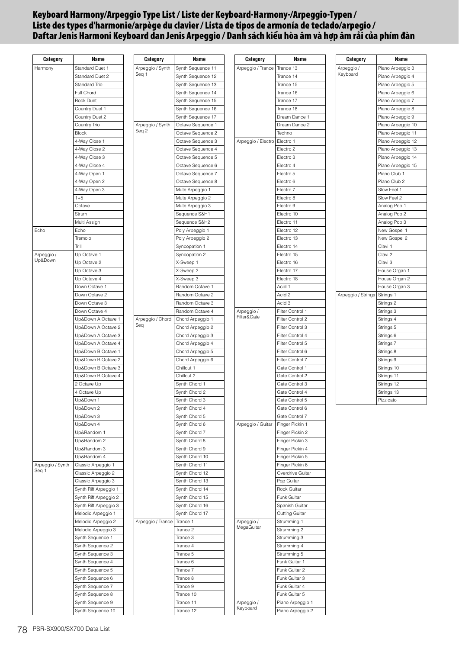# **Keyboard Harmony/Arpeggio Type List / Liste der Keyboard-Harmony-/Arpeggio-Typen / Liste des types d'harmonie/arpège du clavier / Lista de tipos de armonía de teclado/arpegio / Daftar Jenis Harmoni Keyboard dan Jenis Arpeggio / Danh sách kiểu hòa âm và hợp âm rải của phím đàn**

| Category         | Name                       | Category          | Name                           | Category           | Name                               | Category           | Name              |
|------------------|----------------------------|-------------------|--------------------------------|--------------------|------------------------------------|--------------------|-------------------|
| Harmony          | Standard Duet 1            | Arpeggio / Synth  | Synth Sequence 11              | Arpeggio / Trance  | Trance 13                          | Arpeggio /         | Piano Arpeggio 3  |
|                  | Standard Duet 2            | Seq 1             | Synth Sequence 12              |                    | Trance 14                          | Keyboard           | Piano Arpeggio 4  |
|                  | Standard Trio              |                   | Synth Sequence 13              |                    | Trance 15                          |                    | Piano Arpeggio 5  |
|                  | Full Chord                 |                   | Synth Sequence 14              |                    | Trance 16                          |                    | Piano Arpeggio 6  |
|                  | Rock Duet                  |                   | Synth Sequence 15              |                    | Trance 17                          |                    | Piano Arpeggio 7  |
|                  | Country Duet 1             |                   | Synth Sequence 16              |                    | Trance 18                          |                    | Piano Arpeggio 8  |
|                  | Country Duet 2             |                   | Synth Sequence 17              |                    | Dream Dance 1                      |                    | Piano Arpeggio 9  |
|                  | Country Trio               | Arpeggio / Synth  | Octave Sequence 1              |                    | Dream Dance 2                      |                    | Piano Arpeggio 10 |
|                  | <b>Block</b>               | Seq 2             | Octave Sequence 2              |                    | Techno                             |                    | Piano Arpeggio 11 |
|                  | 4-Way Close 1              |                   | Octave Sequence 3              | Arpeggio / Electro | Electro 1                          |                    | Piano Arpeggio 12 |
|                  | 4-Way Close 2              |                   | Octave Sequence 4              |                    | Electro <sub>2</sub>               |                    | Piano Arpeggio 13 |
|                  | 4-Way Close 3              |                   | Octave Sequence 5              |                    | Electro 3                          |                    | Piano Arpeggio 14 |
|                  | 4-Way Close 4              |                   | Octave Sequence 6              |                    | Electro 4                          |                    | Piano Arpeggio 15 |
|                  | 4-Way Open 1               |                   | Octave Sequence 7              |                    | Electro 5                          |                    | Piano Club 1      |
|                  | 4-Way Open 2               |                   | Octave Sequence 8              |                    | Electro 6                          |                    | Piano Club 2      |
|                  | 4-Way Open 3               |                   | Mute Arpeggio 1                |                    | Electro 7                          |                    | Slow Feel 1       |
|                  | $1 + 5$                    |                   | Mute Arpeggio 2                |                    | Electro 8                          |                    | Slow Feel 2       |
|                  | Octave                     |                   | Mute Arpeggio 3                |                    | Electro 9                          |                    | Analog Pop 1      |
|                  | Strum                      |                   | Sequence S&H1                  |                    | Electro 10                         |                    | Analog Pop 2      |
|                  | Multi Assign               |                   | Sequence S&H2                  |                    | Electro 11                         |                    | Analog Pop 3      |
| Echo             | Echo                       |                   | Poly Arpeggio 1                |                    | Electro 12                         |                    | New Gospel 1      |
|                  | Tremolo                    |                   | Poly Arpeggio 2                |                    | Electro 13                         |                    | New Gospel 2      |
|                  | Trill                      |                   | Syncopation 1                  |                    | Electro 14                         |                    | Clavi 1           |
| Arpeggio /       | Up Octave 1                |                   | Syncopation 2                  |                    | Electro 15                         |                    | Clavi 2           |
| Up&Down          | Up Octave 2                |                   | X-Sweep 1                      |                    | Electro 16                         |                    | Clavi 3           |
|                  | Up Octave 3                |                   | X-Sweep 2                      |                    | Electro 17                         |                    | House Organ 1     |
|                  | Up Octave 4                |                   | X-Sweep 3                      |                    | Electro 18                         |                    | House Organ 2     |
|                  | Down Octave 1              |                   | Random Octave 1                |                    | Acid 1                             |                    | House Organ 3     |
|                  | Down Octave 2              |                   | Random Octave 2                |                    | Acid 2                             | Arpeggio / Strings | Strings 1         |
|                  | Down Octave 3              |                   | Random Octave 3                |                    | Acid 3                             |                    | Strings 2         |
|                  | Down Octave 4              |                   | Random Octave 4                | Arpeggio /         | Filter Control 1                   |                    | Strings 3         |
|                  | Up&Down A Octave 1         | Arpeggio / Chord  | Chord Arpeggio 1               | Filter&Gate        | Filter Control 2                   |                    | Strings 4         |
|                  | Up&Down A Octave 2         | Seq               | Chord Arpeggio 2               |                    | Filter Control 3                   |                    | Strings 5         |
|                  | Up&Down A Octave 3         |                   | Chord Arpeggio 3               |                    | Filter Control 4                   |                    | Strings 6         |
|                  | Up&Down A Octave 4         |                   | Chord Arpeggio 4               |                    | Filter Control 5                   |                    | Strings 7         |
|                  | Up&Down B Octave 1         |                   | Chord Arpeggio 5               |                    | Filter Control 6                   |                    | Strings 8         |
|                  | Up&Down B Octave 2         |                   | Chord Arpeggio 6               |                    | Filter Control 7                   |                    | Strings 9         |
|                  | Up&Down B Octave 3         |                   | Chillout 1                     |                    | Gate Control 1                     |                    | Strings 10        |
|                  | Up&Down B Octave 4         |                   | Chillout 2                     |                    | Gate Control 2                     |                    | Strings 11        |
|                  | 2 Octave Up                |                   | Synth Chord 1                  |                    | Gate Control 3                     |                    | Strings 12        |
|                  | 4 Octave Up                |                   | Synth Chord 2                  |                    | Gate Control 4                     |                    | Strings 13        |
|                  | Up&Down 1                  |                   | Synth Chord 3                  |                    | Gate Control 5                     |                    | Pizzicato         |
|                  | Up&Down 2                  |                   | Synth Chord 4                  |                    | Gate Control 6                     |                    |                   |
|                  | Up&Down 3                  |                   | Synth Chord 5                  |                    | Gate Control 7                     |                    |                   |
|                  | Up&Down 4                  |                   | Synth Chord 6<br>Synth Chord 7 | Arpeggio / Guitar  | Finger Pickin 1<br>Finger Pickin 2 |                    |                   |
|                  | Up&Random 1<br>Up&Random 2 |                   | Synth Chord 8                  |                    | Finger Pickin 3                    |                    |                   |
|                  | Up&Random 3                |                   | Synth Chord 9                  |                    | Finger Pickin 4                    |                    |                   |
|                  | Up&Random 4                |                   | Synth Chord 10                 |                    | Finger Pickin 5                    |                    |                   |
| Arpeggio / Synth | Classic Arpeggio 1         |                   | Synth Chord 11                 |                    | Finger Pickin 6                    |                    |                   |
| Seq 1            | Classic Arpeggio 2         |                   | Synth Chord 12                 |                    | Overdrive Guitar                   |                    |                   |
|                  | Classic Arpeggio 3         |                   | Synth Chord 13                 |                    | Pop Guitar                         |                    |                   |
|                  | Synth Riff Arpeggio 1      |                   | Synth Chord 14                 |                    | Rock Guitar                        |                    |                   |
|                  | Synth Riff Arpeggio 2      |                   | Synth Chord 15                 |                    | Funk Guitar                        |                    |                   |
|                  | Synth Riff Arpeggio 3      |                   | Synth Chord 16                 |                    | Spanish Guitar                     |                    |                   |
|                  | Melodic Arpeggio 1         |                   | Synth Chord 17                 |                    | <b>Cutting Guitar</b>              |                    |                   |
|                  | Melodic Arpeggio 2         | Arpeggio / Trance | Trance 1                       | Arpeggio /         | Strumming 1                        |                    |                   |
|                  | Melodic Arpeggio 3         |                   | Trance 2                       | MegaGuitar         | Strumming 2                        |                    |                   |
|                  | Synth Sequence 1           |                   | Trance 3                       |                    | Strumming 3                        |                    |                   |
|                  | Synth Sequence 2           |                   | Trance 4                       |                    | Strumming 4                        |                    |                   |
|                  | Synth Sequence 3           |                   | Trance 5                       |                    | Strumming 5                        |                    |                   |
|                  | Synth Sequence 4           |                   | Trance 6                       |                    | Funk Guitar 1                      |                    |                   |
|                  | Synth Sequence 5           |                   | Trance 7                       |                    | Funk Guitar 2                      |                    |                   |
|                  | Synth Sequence 6           |                   | Trance 8                       |                    | Funk Guitar 3                      |                    |                   |
|                  | Synth Sequence 7           |                   | Trance 9                       |                    | Funk Guitar 4                      |                    |                   |
|                  | Synth Sequence 8           |                   | Trance 10                      |                    | Funk Guitar 5                      |                    |                   |
|                  | Synth Sequence 9           |                   | Trance 11                      | Arpeggio /         | Piano Arpeggio 1                   |                    |                   |
|                  | Synth Sequence 10          |                   | Trance 12                      | Keyboard           | Piano Arpeggio 2                   |                    |                   |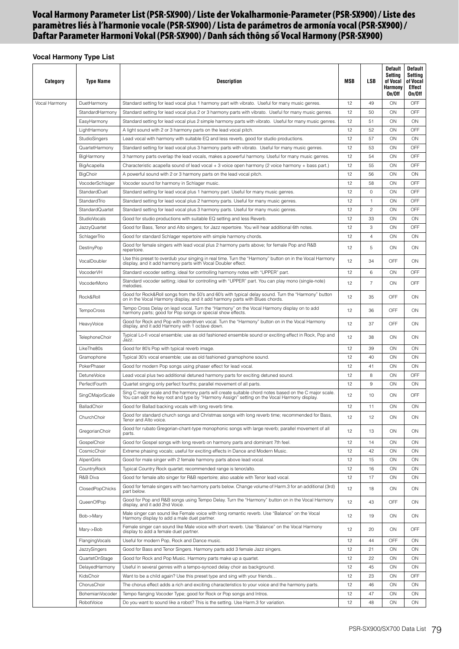# **Vocal Harmony Parameter List (PSR-SX900) / Liste der Vokalharmonie-Parameter (PSR-SX900) / Liste des paramètres liés à l'harmonie vocale (PSR-SX900) / Lista de parámetros de armonía vocal (PSR-SX900) / Daftar Parameter Harmoni Vokal (PSR-SX900) / Danh sách thông số Vocal Harmony (PSR-SX900)**

# **Vocal Harmony Type List**

| Category      | <b>Type Name</b>                                                                          | <b>Description</b>                                                                                                                                                                                    | MSB      | <b>LSB</b>     | <b>Default</b><br>Setting<br>of Vocal<br>Harmony<br>On/Off | Default<br>Setting<br>of Vocal<br>Effect<br>On/Off |
|---------------|-------------------------------------------------------------------------------------------|-------------------------------------------------------------------------------------------------------------------------------------------------------------------------------------------------------|----------|----------------|------------------------------------------------------------|----------------------------------------------------|
| Vocal Harmony | DuetHarmony                                                                               | Standard setting for lead vocal plus 1 harmony part with vibrato. Useful for many music genres.                                                                                                       | 12       | 49             | ON                                                         | OFF                                                |
|               | StandardHarmony                                                                           | Standard setting for lead vocal plus 2 or 3 harmony parts with vibrato. Useful for many music genres.                                                                                                 | 12       | 50             | ON                                                         | <b>OFF</b>                                         |
|               | EasyHarmony                                                                               | Standard setting for lead vocal plus 2 simple harmony parts with vibrato. Useful for many music genres.                                                                                               | 12       | 51             | ON                                                         | ON                                                 |
|               | LightHarmony                                                                              | A light sound with 2 or 3 harmony parts on the lead vocal pitch.                                                                                                                                      | 12       | 52             | ON                                                         | OFF                                                |
|               | StudioSingers                                                                             | Lead vocal with harmony with suitable EQ and less reverb, good for studio productions.                                                                                                                | 12       | 57             | ON                                                         | ON                                                 |
|               | QuartetHarmonv                                                                            | Standard setting for lead vocal plus 3 harmony parts with vibrato. Useful for many music genres.                                                                                                      | 12       | 53             | ON                                                         | OFF                                                |
|               | BigHarmony                                                                                | 3 harmony parts overlap the lead vocals, makes a powerful harmony. Useful for many music genres.                                                                                                      | 12<br>12 | 54<br>55       | ON<br>ON                                                   | OFF<br>OFF                                         |
|               | BigAcapella<br>BigChoir                                                                   | Characteristic acapella sound of lead vocal + 3 voice open harmony (2 voice harmony + bass part.)<br>A powerful sound with 2 or 3 harmony parts on the lead vocal pitch.                              | 12       | 56             | ON                                                         | ON                                                 |
|               | VocoderSchlager                                                                           | Vocoder sound for harmony in Schlager music.                                                                                                                                                          | 12       | 58             | ON                                                         | <b>OFF</b>                                         |
|               | StandardDuet                                                                              | Standard setting for lead vocal plus 1 harmony part. Useful for many music genres.                                                                                                                    | 12       | 0              | ON                                                         | <b>OFF</b>                                         |
|               | StandardTrio                                                                              | Standard setting for lead vocal plus 2 harmony parts. Useful for many music genres.                                                                                                                   | 12       | $\mathbf{1}$   | ON                                                         | OFF                                                |
|               | StandardQuartet                                                                           | Standard setting for lead vocal plus 3 harmony parts. Useful for many music genres.                                                                                                                   | 12       | $\overline{c}$ | ON                                                         | OFF                                                |
|               | <b>StudioVocals</b>                                                                       | Good for studio productions with suitable EQ setting and less Reverb.                                                                                                                                 | 12       | 33             | ON                                                         | ON                                                 |
|               | <b>JazzyQuartet</b>                                                                       | Good for Bass, Tenor and Alto singers; for Jazz repertoire. You will hear additional 6th notes.                                                                                                       | 12       | 3              | ON                                                         | <b>OFF</b>                                         |
|               | SchlagerTrio                                                                              | Good for standard Schlager repertoire with simple harmony chords.                                                                                                                                     | 12       | $\overline{4}$ | ON                                                         | ON                                                 |
|               | DestinyPop                                                                                | Good for female singers with lead vocal plus 2 harmony parts above; for female Pop and R&B                                                                                                            | 12       | 5              | ON                                                         | ON                                                 |
|               | VocalDoubler                                                                              | repertoire.<br>Use this preset to overdub your singing in real time. Turn the "Harmony" button on in the Vocal Harmony                                                                                | 12       | 34             | OFF                                                        | ON                                                 |
|               | VocoderVH                                                                                 | display, and it add harmony parts with Vocal Doubler effect.<br>Standard vocoder setting; ideal for controlling harmony notes with "UPPER" part.                                                      | 12       | 6              | ON                                                         | OFF                                                |
|               | VocoderMono                                                                               | Standard vocoder setting; ideal for controlling with "UPPER" part. You can play mono (single-note)                                                                                                    | 12       | $\overline{7}$ | ON                                                         | OFF                                                |
|               | Rock&Roll                                                                                 | melodies.<br>Good for Rock&Roll songs from the 50's and 60's with typical delay sound. Turn the "Harmony" button on in the Vocal Harmony display, and it add harmony parts with Blues chords.         | 12       | 35             | OFF                                                        | ON                                                 |
|               | <b>TempoCross</b>                                                                         | Tempo Cross Delay on lead vocal. Turn the "Harmony" on the Vocal Harmony display on to add<br>harmony parts; good for Pop songs or special show effects.                                              | 12       | 36             | OFF                                                        | ON                                                 |
|               | HeavyVoice                                                                                | Good for Rock and Pop with overdriven vocal. Turn the "Harmony" button on in the Vocal Harmony<br>display, and it add Harmony with 1 octave down.                                                     | 12       | 37             | OFF                                                        | ON                                                 |
|               | TelephoneChoir                                                                            | Typical Lo-fi vocal ensemble; use as old fashioned ensemble sound or exciting effect in Rock, Pop and<br>Jazz.                                                                                        | 12       | 38             | ON                                                         | ON                                                 |
|               | LikeThe80s                                                                                | Good for 80's Pop with typical reverb image.                                                                                                                                                          | 12       | 39             | ON                                                         | ON                                                 |
|               | Gramophone                                                                                | Typical 30's vocal ensemble; use as old fashioned gramophone sound.                                                                                                                                   | 12       | 40             | ON                                                         | ON                                                 |
|               | PokerPhaser                                                                               | Good for modern Pop songs using phaser effect for lead vocal.                                                                                                                                         | 12       | 41             | ON                                                         | ON                                                 |
|               | DetuneVoice                                                                               | Lead vocal plus two additional detuned harmony parts for exciting detuned sound.                                                                                                                      | 12       | 8              | ON                                                         | <b>OFF</b>                                         |
|               | PerfectFourth                                                                             | Quartet singing only perfect fourths; parallel movement of all parts.                                                                                                                                 | 12       | 9              | ON                                                         | ON                                                 |
|               | SingCMajorScale                                                                           | Sing C major scale and the harmony parts will create suitable chord notes based on the C major scale.<br>You can edit the key root and type by "Harmony Assign" setting on the Vocal Harmony display. | 12       | 10             | ON                                                         | OFF                                                |
|               | BalladChoir                                                                               | Good for Ballad backing vocals with long reverb time.                                                                                                                                                 | 12       | 11             | ON                                                         | ON                                                 |
|               | ChurchChoir                                                                               | Good for standard church songs and Christmas songs with long reverb time; recommended for Bass,<br>Tenor and Alto voice.                                                                              | 12       | 12             | ON                                                         | ON                                                 |
|               | GregorianChoir                                                                            | Good for rubato Gregorian-chant-type monophonic songs with large reverb; parallel movement of all<br>parts.                                                                                           | 12       | 13             | ON                                                         | ON                                                 |
|               | GospelChoir                                                                               | Good for Gospel songs with long reverb on harmony parts and dominant 7th feel.                                                                                                                        | 12       | 14             | ON                                                         | ON                                                 |
|               | CosmicChoir                                                                               | Extreme phasing vocals; useful for exciting effects in Dance and Modern Music.                                                                                                                        | 12       | 42             | ON                                                         | ON                                                 |
|               | AlpenGirls                                                                                | Good for male singer with 2 female harmony parts above lead vocal.                                                                                                                                    | 12       | 15             | ON                                                         | ON                                                 |
|               | CountryRock                                                                               | Typical Country Rock quartet; recommended range is tenor/alto.                                                                                                                                        | 12       | 16             | ON                                                         | ON                                                 |
|               | R&B Diva<br>ClosedPopChicks                                                               | Good for female alto singer for R&B repertoire; also usable with Tenor lead vocal.<br>Good for female singers with two harmony parts below. Change volume of Harm.3 for an additional (3rd)           | 12<br>12 | 17<br>18       | ON<br>ON                                                   | ON<br>ON                                           |
|               | QueenOfPop                                                                                | part below.<br>Good for Pop and R&B songs using Tempo Delay. Turn the "Harmony" button on in the Vocal Harmony                                                                                        | 12       | 43             | OFF                                                        | ON                                                 |
|               | Bob->Mary                                                                                 | display, and it add 2nd Voice.<br>Male singer can sound like Female voice with long romantic reverb. Use "Balance" on the Vocal                                                                       | 12       | 19             | ON                                                         | ON                                                 |
|               | Mary->Bob                                                                                 | Harmony display to add a male duet partner.<br>Female singer can sound like Male voice with short reverb. Use "Balance" on the Vocal Harmony                                                          | 12       | 20             | ON                                                         | <b>OFF</b>                                         |
|               | <b>FlangingVocals</b>                                                                     | display to add a female duet partner.<br>Useful for modern Pop, Rock and Dance music.                                                                                                                 | 12       | 44             | OFF                                                        | ON                                                 |
|               | JazzySingers                                                                              | Good for Bass and Tenor Singers. Harmony parts add 3 female Jazz singers.                                                                                                                             | 12       | 21             | ON                                                         | ON                                                 |
|               | QuartetOnStage<br>Good for Rock and Pop Music. Harmony parts make up a quartet.           |                                                                                                                                                                                                       | 12       | 22             | ON                                                         | ON                                                 |
|               | DelayedHarmony<br>Useful in several genres with a tempo-synced delay choir as background. |                                                                                                                                                                                                       |          |                | ON                                                         | ON                                                 |
|               | KidsChoir<br>Want to be a child again? Use this preset type and sing with your friends    |                                                                                                                                                                                                       |          | 45<br>23       | ON                                                         | OFF                                                |
|               | ChorusChoir                                                                               | The chorus effect adds a rich and exciting characteristics to your voice and the harmony parts.                                                                                                       | 12<br>12 | 46             | ON                                                         | ON                                                 |
|               | BohemianVocoder                                                                           | Tempo flanging Vocoder Type; good for Rock or Pop songs and Intros.                                                                                                                                   | 12       | 47             | ON                                                         | ON                                                 |
|               | RobotVoice                                                                                | Do you want to sound like a robot? This is the setting. Use Harm.3 for variation.                                                                                                                     | 12       | 48             | ON                                                         | ON                                                 |
|               |                                                                                           |                                                                                                                                                                                                       |          |                |                                                            |                                                    |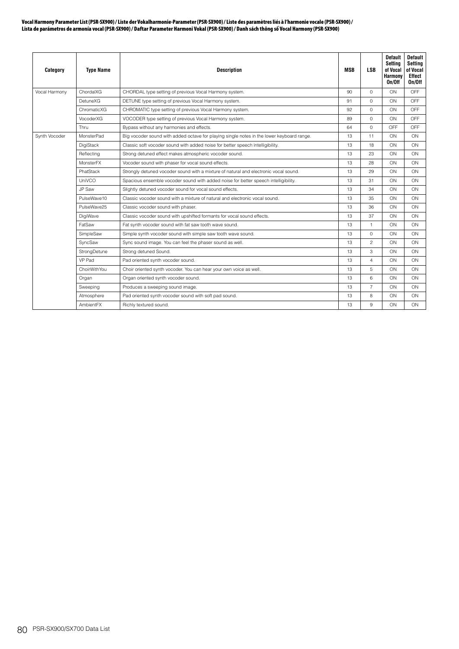#### **Vocal Harmony Parameter List (PSR-SX900) / Liste der Vokalharmonie-Parameter (PSR-SX900) / Liste des paramètres liés à l'harmonie vocale (PSR-SX900) / Lista de parámetros de armonía vocal (PSR-SX900) / Daftar Parameter Harmoni Vokal (PSR-SX900) / Danh sách thông số Vocal Harmony (PSR-SX900)**

| Category      | <b>Type Name</b> | <b>Description</b>                                                                        | <b>MSB</b> | <b>LSB</b>     | <b>Default</b><br>Setting<br>of Vocal<br>Harmony<br>On/Off | <b>Default</b><br>Setting<br>of Vocal<br>Effect<br>On/Off |
|---------------|------------------|-------------------------------------------------------------------------------------------|------------|----------------|------------------------------------------------------------|-----------------------------------------------------------|
| Vocal Harmony | ChordalXG        | CHORDAL type setting of previous Vocal Harmony system.                                    | 90         | $\Omega$       | ON                                                         | OFF                                                       |
|               | <b>DetuneXG</b>  | DETUNE type setting of previous Vocal Harmony system.                                     | 91         | 0              | ON                                                         | OFF                                                       |
|               | ChromaticXG      | CHROMATIC type setting of previous Vocal Harmony system.                                  | 92         | $\circ$        | ON                                                         | OFF                                                       |
|               | VocoderXG        | VOCODER type setting of previous Vocal Harmony system.                                    | 89         | $\Omega$       | ON                                                         | OFF                                                       |
|               | Thru             | Bypass without any harmonies and effects.                                                 | 64         | $\circ$        | OFF                                                        | OFF                                                       |
| Synth Vocoder | MonsterPad       | Big vocoder sound with added octave for playing single notes in the lower keyboard range. | 13         | 11             | ON                                                         | ON                                                        |
|               | DigiStack        | Classic soft vocoder sound with added noise for better speech intelligibility.            | 13         | 18             | ON                                                         | ON                                                        |
|               | Reflecting       | Strong detuned effect makes atmospheric vocoder sound.                                    | 13         | 23             | ON                                                         | ON                                                        |
|               | MonsterFX        | Vocoder sound with phaser for vocal sound effects.                                        |            | 28             | ON                                                         | ON                                                        |
|               | PhatStack        | Strongly detuned vocoder sound with a mixture of natural and electronic vocal sound.      | 13         | 29             | ON                                                         | ON                                                        |
|               | UniVCO           | Spacious ensemble vocoder sound with added noise for better speech intelligibility.       |            | 31             | ON                                                         | ON                                                        |
|               | JP Saw           | Slightly detuned vocoder sound for vocal sound effects.                                   |            | 34             | ON                                                         | ON                                                        |
|               | PulseWave10      | Classic vocoder sound with a mixture of natural and electronic vocal sound.               | 13         | 35             | ON                                                         | ON                                                        |
|               | PulseWave25      | Classic vocoder sound with phaser.                                                        | 13         | 36             | ON                                                         | ON                                                        |
|               | DigiWave         | Classic vocoder sound with upshifted formants for vocal sound effects.                    | 13         | 37             | ON                                                         | ON                                                        |
|               | FatSaw           | Fat synth vocoder sound with fat saw tooth wave sound.                                    | 13         | $\mathbf{1}$   | ON                                                         | ON                                                        |
|               | SimpleSaw        | Simple synth vocoder sound with simple saw tooth wave sound.                              | 13         | $\overline{0}$ | ON                                                         | ON                                                        |
|               | SyncSaw          | Sync sound image. You can feel the phaser sound as well.                                  | 13         | $\mathbf{2}$   | ON                                                         | ON                                                        |
|               | StrongDetune     | Strong detuned Sound.                                                                     | 13         | 3              | ON                                                         | ON                                                        |
|               | VP Pad           | Pad oriented synth vocoder sound.                                                         | 13         | $\overline{4}$ | ON                                                         | ON                                                        |
|               | ChoirWithYou     | Choir oriented synth vocoder. You can hear your own voice as well.                        | 13         | 5              | ON                                                         | ON                                                        |
|               | Organ            | Organ oriented synth vocoder sound.                                                       | 13         | 6              | ON                                                         | ON                                                        |
|               | Sweeping         | Produces a sweeping sound image.                                                          | 13         | $\overline{7}$ | ON                                                         | ON                                                        |
|               | Atmosphere       | Pad oriented synth vocoder sound with soft pad sound.                                     | 13         | 8              | ON                                                         | ON                                                        |
|               | AmbientFX        | Richly textured sound.                                                                    | 13         | 9              | ON                                                         | ON                                                        |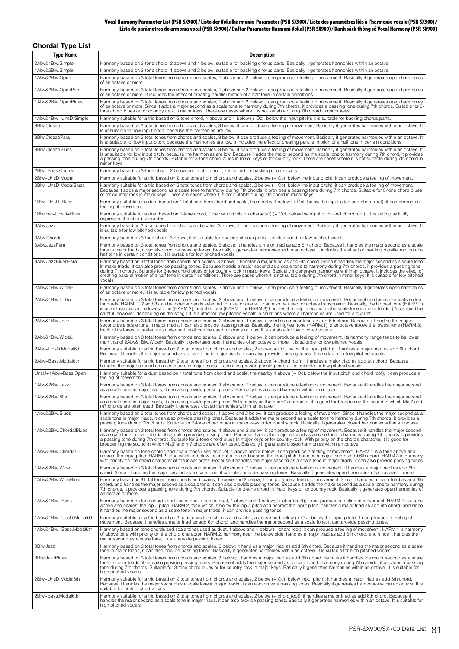#### **Vocal Harmony Parameter List (PSR-SX900) / Liste der Vokalharmonie-Parameter (PSR-SX900) / Liste des paramètres liés à l'harmonie vocale (PSR-SX900) / Lista de parámetros de armonía vocal (PSR-SX900) / Daftar Parameter Harmoni Vokal (PSR-SX900) / Danh sách thông số Vocal Harmony (PSR-SX900)**

| <b>Chordal Type List</b>                                                                                                                                                                                                                                                                                                                                                                                                                                                                                                                                                                                                                                                                                     |                                                                                                                                                                                                                                                                                                                                                                                                                                                                                                                                                                                                                      |
|--------------------------------------------------------------------------------------------------------------------------------------------------------------------------------------------------------------------------------------------------------------------------------------------------------------------------------------------------------------------------------------------------------------------------------------------------------------------------------------------------------------------------------------------------------------------------------------------------------------------------------------------------------------------------------------------------------------|----------------------------------------------------------------------------------------------------------------------------------------------------------------------------------------------------------------------------------------------------------------------------------------------------------------------------------------------------------------------------------------------------------------------------------------------------------------------------------------------------------------------------------------------------------------------------------------------------------------------|
| Type Name                                                                                                                                                                                                                                                                                                                                                                                                                                                                                                                                                                                                                                                                                                    | <b>Description</b>                                                                                                                                                                                                                                                                                                                                                                                                                                                                                                                                                                                                   |
| 2Abv&1Blw.Simple                                                                                                                                                                                                                                                                                                                                                                                                                                                                                                                                                                                                                                                                                             | Harmony based on 3-tone chord, 2 above and 1 below; suitable for backing chorus parts. Basically it generates harmonies within an octave.                                                                                                                                                                                                                                                                                                                                                                                                                                                                            |
| 1Abv&2Blw.Simple                                                                                                                                                                                                                                                                                                                                                                                                                                                                                                                                                                                                                                                                                             | Harmony based on 3-tone chord, 1 above and 2 below; suitable for backing chorus parts. Basically it generates harmonies within an octave.                                                                                                                                                                                                                                                                                                                                                                                                                                                                            |
| 1Abv&2Blw.Open                                                                                                                                                                                                                                                                                                                                                                                                                                                                                                                                                                                                                                                                                               | Harmony based on 3 total tones from chords and scales, 1 above and 2 below; it can produce a feeling of movement. Basically it generates open harmonies                                                                                                                                                                                                                                                                                                                                                                                                                                                              |
| 1Abv&2Blw.OpenPara                                                                                                                                                                                                                                                                                                                                                                                                                                                                                                                                                                                                                                                                                           | of an octave or more.<br>Harmony based on 3 total tones from chords and scales, 1 above and 2 below; it can produce a feeling of movement. Basically it generates open harmonies<br>of an octave or more. It includes the effect of creating parallel motion of a half tone in certain conditions.                                                                                                                                                                                                                                                                                                                   |
| 1Abv&2Blw.OpenBlues                                                                                                                                                                                                                                                                                                                                                                                                                                                                                                                                                                                                                                                                                          | Harmony based on 3 total tones from chords and scales, 1 above and 2 below; it can produce a feeling of movement. Basically it generates open harmonies<br>of an octave or more. Since it adds a major second as a scale tone to harmony during 7th chords, it provides a passing tone during 7th chords. Suitable for 3-                                                                                                                                                                                                                                                                                            |
| 1Abv&1Blw+UnsD.Simple                                                                                                                                                                                                                                                                                                                                                                                                                                                                                                                                                                                                                                                                                        | tone chord blues or for country rock in major keys. There are cases where it is not suitable during 7th chord in minor keys.<br>Harmony suitable for a trio based on 2-tone chord, 1 above and 1 below (+ Oct. below the input pitch); it is suitable for backing chorus parts.                                                                                                                                                                                                                                                                                                                                      |
| 3Blw.Closed                                                                                                                                                                                                                                                                                                                                                                                                                                                                                                                                                                                                                                                                                                  | Harmony based on 3 total tones from chords and scales, 3 below; it can produce a feeling of movement. Basically it generates harmonies within an octave. It<br>is unsuitable for low input pitch, because the harmonies are low.                                                                                                                                                                                                                                                                                                                                                                                     |
| 3Blw.ClosedPara                                                                                                                                                                                                                                                                                                                                                                                                                                                                                                                                                                                                                                                                                              | Harmony based on 3 total tones from chords and scales, 3 below; it can produce a feeling of movement. Basically it generates harmonies within an octave. It<br>is unsuitable for low input pitch, because the harmonies are low. It includes the effect of creating parallel motion of a half tone in certain conditions.                                                                                                                                                                                                                                                                                            |
| 3Blw.ClosedBlues                                                                                                                                                                                                                                                                                                                                                                                                                                                                                                                                                                                                                                                                                             | Harmony based on 3 total tones from chords and scales, 3 below; it can produce a feeling of movement. Basically it generates harmonies within an octave. It<br>is unsuitable for low input pitch, because the harmonies are low. Because it adds the major second as the scale tone to harmony during 7th chord, it provides<br>a passing tone during 7th chords. Suitable for 3-tone chord blues in major keys or for country rock. There are cases where it is not suitable during 7th chord in<br>minor keys.                                                                                                     |
| 2Blw+Bass.Chordal                                                                                                                                                                                                                                                                                                                                                                                                                                                                                                                                                                                                                                                                                            | Harmony based on 3-tone chord, 2 below and a chord root; it is suited for backing chorus parts.                                                                                                                                                                                                                                                                                                                                                                                                                                                                                                                      |
| 2Blw+UnsD.Modal<br>2Blw+UnsD.ModalBlues                                                                                                                                                                                                                                                                                                                                                                                                                                                                                                                                                                                                                                                                      | Harmony suitable for a trio based on 2 total tones from chords and scales, 2 below (+ Oct. below the input pitch); it can produce a feeling of movement.<br>Harmony suitable for a trio based on 2 total tones from chords and scales, 2 below (+ Oct. below the input pitch); it can produce a feeling of movement.<br>Because it adds a major second as a scale tone to harmony during 7th chords, it provides a passing tone during 7th chords. Suitable for 3-tone chord blues<br>or for country rock in major keys. There are cases where it is not suitable during 7th chord in minor keys.                    |
| 1Blw+UnsD+Bass                                                                                                                                                                                                                                                                                                                                                                                                                                                                                                                                                                                                                                                                                               | Harmony suitable for a duet based on 1 total tone from chord and scale, the nearby 1 below (+ Oct. below the input pitch and chord root); it can produce a<br>feeling of movement.                                                                                                                                                                                                                                                                                                                                                                                                                                   |
| 1Blw.Far+UnsD+Bass                                                                                                                                                                                                                                                                                                                                                                                                                                                                                                                                                                                                                                                                                           | Harmony suitable for a duet based on 1-tone chord, 1 below, (priority on character) (+ Oct. below the input pitch and chord root). This setting skillfully<br>expresses the chord character.                                                                                                                                                                                                                                                                                                                                                                                                                         |
| 3Abv.Jazz                                                                                                                                                                                                                                                                                                                                                                                                                                                                                                                                                                                                                                                                                                    | Harmony based on 3 total tones from chords and scales, 3 above; it can produce a feeling of movement. Basically it generates harmonies within an octave. It<br>is suitable for low pitched vocals.                                                                                                                                                                                                                                                                                                                                                                                                                   |
| 3Abv.Chordal                                                                                                                                                                                                                                                                                                                                                                                                                                                                                                                                                                                                                                                                                                 | Harmony based on 3-tone chord, 3 above; it is suitable for backing chorus parts. It is also good for low pitched vocals.                                                                                                                                                                                                                                                                                                                                                                                                                                                                                             |
| 3Abv.JazzPara                                                                                                                                                                                                                                                                                                                                                                                                                                                                                                                                                                                                                                                                                                | Harmony based on 3 total tones from chords and scales, 3 above; it handles a major triad as add 6th chord. Because it handles the major second as a scale<br>tone in major triads, it can also provide passing tones. Basically it generates harmonies within an octave. It includes the effect of creating parallel motion of a<br>half tone in certain conditions. It is suitable for low pitched vocals.                                                                                                                                                                                                          |
| 3Abv.JazzBluesPara<br>Harmony based on 3 total tones from chords and scales, 3 above; it handles a major triad as add 6th chord. Since it handles the major second as a scale tone<br>in major triads, it can also provide passing tones. Because it adds a major second as a scale tone to harmony during 7th chords, it provides a passing tone<br>during 7th chords. Suitable for 3-tone chord blues or for country rock in major keys. Basically it generates harmonies within an octave. It includes the effect of<br>creating parallel motion of a half tone in certain conditions. There are cases where it is not suitable during 7th chord in minor keys. It is suitable for low pitched<br>vocals. |                                                                                                                                                                                                                                                                                                                                                                                                                                                                                                                                                                                                                      |
| 2Abv&1Blw.WideH                                                                                                                                                                                                                                                                                                                                                                                                                                                                                                                                                                                                                                                                                              | Harmony based on 3 total tones from chords and scales, 2 above and 1 below; it can produce a feeling of movement. Basically it generates open harmonies<br>of an octave or more. It is suitable for low pitched vocals.                                                                                                                                                                                                                                                                                                                                                                                              |
| 2Abv&1Blw.forDuo<br>Harmony based on 3 total tones from chords and scales, 2 above and 1 below; it can produce a feeling of movement. Because it combines elements suited<br>for duets, HARM. 1, 2 and 3 can be independently selected for use for duets. It can also be used for octave transposing. Basically, the highest tone (HARM. 1)<br>is an octave above the lowest tone (HARM.3), and this tone (HARM.1 or HARM.3) handles the major second as the scale tone in major triads. (You should be<br>careful, however, depending on the song.) It is suited for low pitched vocals in situations where all harmonies are used for a quartet.                                                           |                                                                                                                                                                                                                                                                                                                                                                                                                                                                                                                                                                                                                      |
| 2Abv&1Blw.Jazz                                                                                                                                                                                                                                                                                                                                                                                                                                                                                                                                                                                                                                                                                               | Harmony based on 3 total tones from chords and scales, 2 above and 1 below; it handles a major triad as add 6th chord. Because it handles the major<br>second as a scale tone in major triads, it can also provide passing tones. Basically, the highest tone (HARM.1) is an octave above the lowest tone (HARM.3).<br>Each of its tones is treated as an element, so it can be used for duets or trios. It is suitable for low pitched vocals.                                                                                                                                                                      |
| 2Abv&1Blw.WideL                                                                                                                                                                                                                                                                                                                                                                                                                                                                                                                                                                                                                                                                                              | Harmony based on 3 total tones from chords and scales, 2 above and 1 below; it can produce a feeling of movement. Its harmony range tends to be lower<br>than that of 2Abv&1Blw.WideH. Basically it generates open harmonies of an octave or more. It is suitable for low pitched vocals.                                                                                                                                                                                                                                                                                                                            |
| 2Abv+UnsD.Modal6th                                                                                                                                                                                                                                                                                                                                                                                                                                                                                                                                                                                                                                                                                           | Harmony suitable for a trio based on 2 total tones from chords and scales, 2 above (+ Oct. below the input pitch); it handles a major triad as add 6th chord.<br>Because it handles the major second as a scale tone in major triads, it can also provide passing tones. It is suitable for low pitched vocals.                                                                                                                                                                                                                                                                                                      |
| 2Abv+Bass.Modal6th                                                                                                                                                                                                                                                                                                                                                                                                                                                                                                                                                                                                                                                                                           | Harmony suitable for a trio based on 2 total tones from chords and scales, 2 above (+ chord root); it handles a major triad as add 6th chord. Because it<br>handles the major second as a scale tone in major triads, it can also provide passing tones. It is suitable for low pitched vocals.                                                                                                                                                                                                                                                                                                                      |
| UnsU+1Abv+Bass.Open                                                                                                                                                                                                                                                                                                                                                                                                                                                                                                                                                                                                                                                                                          | Harmony suitable for a duet based on 1 total tone from chord and scale, the nearby 1 above (+ Oct. below the input pitch and chord root); it can produce a<br>feeling of movement.                                                                                                                                                                                                                                                                                                                                                                                                                                   |
| 1Abv&2Blw.Jazz                                                                                                                                                                                                                                                                                                                                                                                                                                                                                                                                                                                                                                                                                               | Harmony based on 3 total tones from chords and scales, 1 above and 2 below; it can produce a feeling of movement. Because it handles the major second<br>as a scale tone in major triads, it can also provide passing tones. Basically it is a closed harmony within an octave.                                                                                                                                                                                                                                                                                                                                      |
| 1Abv&2Blw.80s                                                                                                                                                                                                                                                                                                                                                                                                                                                                                                                                                                                                                                                                                                | Harmony based on 3 total tones from chords and scales, 1 above and 2 below; it can produce a feeling of movement. Because it handles the major second<br>as a scale tone in major triads, it can also provide passing tone. With priority on the chord's character, it is good for broadening the sound in which Maj7 and<br>m7 chords are often used. Basically it generates closed harmonies within an octave.                                                                                                                                                                                                     |
| 1Abv&2Blw.Blues                                                                                                                                                                                                                                                                                                                                                                                                                                                                                                                                                                                                                                                                                              | Harmony based on 3 total tones from chords and scales, 1 above and 2 below; it can produce a feeling of movement. Since it handles the major second as a<br>scale tone in major triads, it can also provide passing tones. Because it adds the major second as a scale tone to harmony during 7th chords, it provides a<br>passing tone during 7th chords. Suitable for 3-tone chord blues in major keys or for country rock. Basically it generates closed harmonies within an octave.                                                                                                                              |
| 1Abv&2Blw.ChordalBlues                                                                                                                                                                                                                                                                                                                                                                                                                                                                                                                                                                                                                                                                                       | Harmony based on 3 total tones from chords and scales, 1 above and 2 below; it can produce a feeling of movement. Because it handles the major second<br>as a scale tone in major triads, it can also provide passing tones. Because it adds the major second as a scale tone to harmony during 7th chords, it provides<br>a passing tone during 7th chords. Suitable for 3-tone chord blues in major keys or for country rock. With priority on the chord's character, it is good for<br>broadening the sound in which Maj7 and m7 chords are often used. Basically it generates closed harmonies within an octave. |
| 1Abv&2Blw.Chordal                                                                                                                                                                                                                                                                                                                                                                                                                                                                                                                                                                                                                                                                                            | Harmony based on tone chords and scale tones used as duet, 1 above and 2 below; it can produce a feeling of movement. HARM.1 is a tone above and<br>nearest the input pitch. HARM.2, tone which is below the input pitch and nearest the input pitch, handles a major triad as add 6th chord. HARM.3 is harmony<br>with priority on the chord character of the lower notes. Because it handles the major second as a scale tone in major triads, it can also provide passing tones.                                                                                                                                  |
| 1Abv&2Blw.Wide                                                                                                                                                                                                                                                                                                                                                                                                                                                                                                                                                                                                                                                                                               | Harmony based on 3 total tones from chords and scales, 1 above and 2 below; it can produce a feeling of movement. It handles a major triad as add 6th<br>chord. Since it handles the major second as a scale tone, it can also provide passing tones. Basically it generates open harmonies of an octave or more.                                                                                                                                                                                                                                                                                                    |
| 1Abv&2Blw.WideBlues                                                                                                                                                                                                                                                                                                                                                                                                                                                                                                                                                                                                                                                                                          | Harmony based on 3 total tones from chords and scales, 1 above and 2 below; it can produce a feeling of movement. Since it handles a major triad as add 6th<br>chord, and handles the major second as a scale tone, it can also provide passing tones. Because it adds the major second as a scale tone to harmony during<br>7th chords, it provides a passing tone during 7th chords. Suitable for 3-tone chord in major keys or for country rock. Basically it generates open harmonies of<br>an octave or more.                                                                                                   |
| 1Abv&1Blw+Bass                                                                                                                                                                                                                                                                                                                                                                                                                                                                                                                                                                                                                                                                                               | Harmony based on tone chords and scale tones used as duet, 1 above and 1 below; (+ chord root); it can produce a feeling of movement. HARM.1 is a tone<br>above and nearest the input pitch. HARM.2, tone which is below the input pitch and nearest the input pitch, handles a major triad as add 6th chord, and since<br>it handles the major second as a scale tone in major triads, it can provide passing tones.                                                                                                                                                                                                |
| 1Abv&1Blw+UnsD.Modal6th                                                                                                                                                                                                                                                                                                                                                                                                                                                                                                                                                                                                                                                                                      | Harmony suitable for a trio based on 2 total tones from chords and scales, a above and below (+ Oct. below the input pitch); it can produce a feeling of<br>movement. Because it handles a major triad as add 6th chord, and handles the major second as a scale tone, it can provide passing tones.                                                                                                                                                                                                                                                                                                                 |
| 1Abv&1Blw+Bass.Modal6th                                                                                                                                                                                                                                                                                                                                                                                                                                                                                                                                                                                                                                                                                      | Harmony based on tone chords and scale tones used as duet, 1 above and 1 below (+ chord root); it can produce a feeling of movement. HARM.1 is harmony<br>of above tone with priority on the chord character. HARM.2, harmony near the below side, handles a major triad as add 6th chord, and since it handles the<br>major second as a scale tone, it can provide passing tones.                                                                                                                                                                                                                                   |
| 3Blw.Jazz                                                                                                                                                                                                                                                                                                                                                                                                                                                                                                                                                                                                                                                                                                    | Harmony based on 3 total tones from chords and scales, 3 below; it handles a major triad as add 6th chord. Because it handles the major second as a scale<br>tone in major triads, it can also provide passing tones. Basically it generates harmonies within an octave. It is suitable for high pitched vocals.                                                                                                                                                                                                                                                                                                     |
| 3Blw.JazzBlues                                                                                                                                                                                                                                                                                                                                                                                                                                                                                                                                                                                                                                                                                               | Harmony based on 3 total tones from chords and scales, 3 below; it handles a major triad as add 6th chord. Because it handles the major second as a scale<br>tone in major triads, it can also provide passing tones. Because it adds the major second as a scale tone to harmony during 7th chords, it provides a passing<br>tone during 7th chords. Suitable for 3-tone chord blues or for country rock in major keys. Basically it generates harmonies within an octave. It is suitable for<br>high pitched vocals.                                                                                               |
| 2Blw+UnsD.Modal6th                                                                                                                                                                                                                                                                                                                                                                                                                                                                                                                                                                                                                                                                                           | Harmony suitable for a trio based on 2 total tones from chords and scales, 2 below (+ Oct. below input pitch); it handles a major triad as add 6th chord.<br>Because it handles the major second as a scale tone in major triads, it can also provide passing tones. Basically it generates harmonies within an octave. It is<br>suitable for high pitched vocals.                                                                                                                                                                                                                                                   |
| 2Blw+Bass.Modal6th                                                                                                                                                                                                                                                                                                                                                                                                                                                                                                                                                                                                                                                                                           | Harmony suitable for a trio based on 2 total tones from chords and scales, 2 below (+ chord root); it handles a major triad as add 6th chord. Because it<br>handles the major second as a scale tone in major triads, it can also provide passing tones. Basically it generates harmonies within an octave. It is suitable for<br>high pitched vocals.                                                                                                                                                                                                                                                               |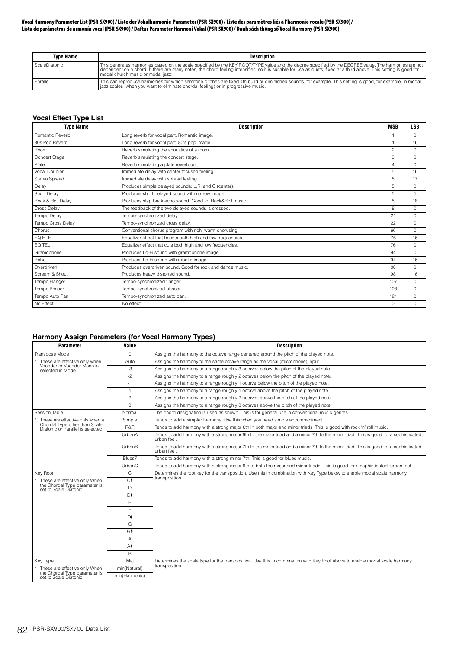#### **Vocal Harmony Parameter List (PSR-SX900) / Liste der Vokalharmonie-Parameter (PSR-SX900) / Liste des paramètres liés à l'harmonie vocale (PSR-SX900) / Lista de parámetros de armonía vocal (PSR-SX900) / Daftar Parameter Harmoni Vokal (PSR-SX900) / Danh sách thông số Vocal Harmony (PSR-SX900)**

| <b>Type Name</b> | <b>Description</b>                                                                                                                                                                                                                                                                                                                                              |
|------------------|-----------------------------------------------------------------------------------------------------------------------------------------------------------------------------------------------------------------------------------------------------------------------------------------------------------------------------------------------------------------|
| ScaleDiatonic    | This generates harmonies based on the scale specified by the KEY ROOT/TYPE value and the degree specified by the DEGREE value. The harmonies are not<br>dependent on a chord. If there are many notes, the chord feeling intensifies, so it is suitable for use as duets, fixed at a third above. This setting is good for<br>modal church music or modal jazz. |
| Parallel         | This can reproduce harmonies for which semitone pitches are fixed 4th build or diminished sounds, for example. This setting is good, for example, in modal<br>azz scales (when you want to eliminate chordal feeling) or in progressive music.                                                                                                                  |

# **Vocal Effect Type List**

| <b>Type Name</b>  | <b>Description</b>                                          | <b>MSB</b>     | <b>LSB</b> |
|-------------------|-------------------------------------------------------------|----------------|------------|
| Romantic Reverb   | Long reverb for vocal part. Romantic image.                 | $\overline{1}$ | $\Omega$   |
| 80s Pop Reverb    | Long reverb for vocal part. 80's pop image.                 |                | 16         |
| Room              | Reverb simulating the acoustics of a room.                  | 2              | $\Omega$   |
| Concert Stage     | Reverb simulating the concert stage.                        | 3              | $\Omega$   |
| Plate             | Reverb simulating a plate reverb unit.                      | $\overline{4}$ | $\Omega$   |
| Vocal Doubler     | Immediate delay with center focused feeling.                | 5              | 16         |
| Stereo Spread     | Immediate delay with spread feeling.                        | 5              | 17         |
| Delay             | Produces simple delayed sounds: L,R, and C (center).        | 5              | $\Omega$   |
| Short Delay       | Produces short delayed sound with narrow image.             | 5              | 1          |
| Rock & Roll Delay | Produces slap back echo sound. Good for Rock&Roll music.    | 5              | 18         |
| Cross Delay       | The feedback of the two delayed sounds is crossed.          | 8              | $\Omega$   |
| Tempo Delav       | Tempo-synchronized delay.                                   | 21             | $\Omega$   |
| Tempo Cross Delay | Tempo-synchronized cross delay.                             | 22             | $\Omega$   |
| Chorus            | Conventional chorus program with rich, warm chorusing.      | 66             | $\Omega$   |
| EQ Hi-Fi          | Equalizer effect that boosts both high and low frequencies. | 76             | 16         |
| EQ TEL            | Equalizer effect that cuts both high and low frequencies.   | 76             | $\Omega$   |
| Gramophone        | Produces Lo-Fi sound with gramophone image.                 | 94             | $\Omega$   |
| Robot             | Produces Lo-Fi sound with robotic image.                    | 94             | 16         |
| Overdriven        | Produces overdriven sound. Good for rock and dance music.   | 98             | $\Omega$   |
| Scream & Shout    | Produces heavy distorted sound.                             | 98             | 16         |
| Tempo Flanger     | Tempo-synchronized flanger.                                 | 107            | $\Omega$   |
| Tempo Phaser      | Tempo-synchronized phaser.                                  | 108            | $\Omega$   |
| Tempo Auto Pan    | Tempo-synchronized auto pan.                                | 121            | $\Omega$   |
| No Effect         | No effect.                                                  | $\Omega$       | $\Omega$   |

# **Harmony Assign Parameters (for Vocal Harmony Types)**

| Parameter                                                          | Value<br><b>Description</b> |                                                                                                                                                      |  |
|--------------------------------------------------------------------|-----------------------------|------------------------------------------------------------------------------------------------------------------------------------------------------|--|
| Transpose Mode<br>$\circ$                                          |                             | Assigns the harmony to the octave range centered around the pitch of the played note.                                                                |  |
| These are effective only when                                      | Auto                        | Assigns the harmony to the same octave range as the vocal (microphone) input.                                                                        |  |
| Vocoder or Vocoder-Mono is<br>selected in Mode.                    | -3                          | Assigns the harmony to a range roughly 3 octaves below the pitch of the played note.                                                                 |  |
|                                                                    | $-2$                        | Assigns the harmony to a range roughly 2 octaves below the pitch of the played note.                                                                 |  |
|                                                                    | $-1$                        | Assigns the harmony to a range roughly 1 octave below the pitch of the played note.                                                                  |  |
|                                                                    | $\mathbf{1}$                | Assigns the harmony to a range roughly 1 octave above the pitch of the played note.                                                                  |  |
|                                                                    | $\overline{c}$              | Assigns the harmony to a range roughly 2 octaves above the pitch of the played note.                                                                 |  |
|                                                                    | 3                           | Assigns the harmony to a range roughly 3 octaves above the pitch of the played note.                                                                 |  |
| Session Table                                                      | Normal                      | The chord designation is used as shown. This is for general use in conventional music genres.                                                        |  |
| These are effective only when a                                    | Simple                      | Tends to add a simpler harmony. Use this when you need simple accompaniment.                                                                         |  |
| Chordal Type other than Scale<br>Diatonic or Parallel is selected. | R&R                         | Tends to add harmony with a strong major 6th in both major and minor triads. This is good with rock 'n' roll music.                                  |  |
|                                                                    | UrbanA                      | Tends to add harmony with a strong major 6th to the major triad and a minor 7th to the minor triad. This is good for a sophisticated,<br>urban feel. |  |
|                                                                    | UrbanB                      | Tends to add harmony with a strong major 7th to the major triad and a minor 7th to the minor triad. This is good for a sophisticated,<br>urban feel. |  |
|                                                                    | Blues7                      | Tends to add harmony with a strong minor 7th. This is good for blues music.                                                                          |  |
|                                                                    | UrbanC                      | Tends to add harmony with a strong major 9th to both the major and minor triads. This is good for a sophisticated, urban feel.                       |  |
| Kev Root                                                           | C                           | Determines the root key for the transposition. Use this in combination with Key Type below to enable modal scale harmony                             |  |
| These are effective only When                                      | C#                          | transposition.                                                                                                                                       |  |
| the Chordal Type parameter is<br>set to Scale Diatonic.            | D.                          |                                                                                                                                                      |  |
|                                                                    | D#                          |                                                                                                                                                      |  |
|                                                                    | E                           |                                                                                                                                                      |  |
|                                                                    | F                           |                                                                                                                                                      |  |
|                                                                    | F#                          |                                                                                                                                                      |  |
|                                                                    | G                           |                                                                                                                                                      |  |
|                                                                    | G#                          |                                                                                                                                                      |  |
|                                                                    | Α                           |                                                                                                                                                      |  |
|                                                                    | A#                          |                                                                                                                                                      |  |
|                                                                    | B                           |                                                                                                                                                      |  |
| Key Type                                                           | Maj                         | Determines the scale type for the transposition. Use this in combination with Key Root above to enable modal scale harmony                           |  |
| These are effective only When                                      | min(Natural)                | transposition.                                                                                                                                       |  |
| the Chordal Type parameter is<br>set to Scale Diatonic.            | min(Harmonic)               |                                                                                                                                                      |  |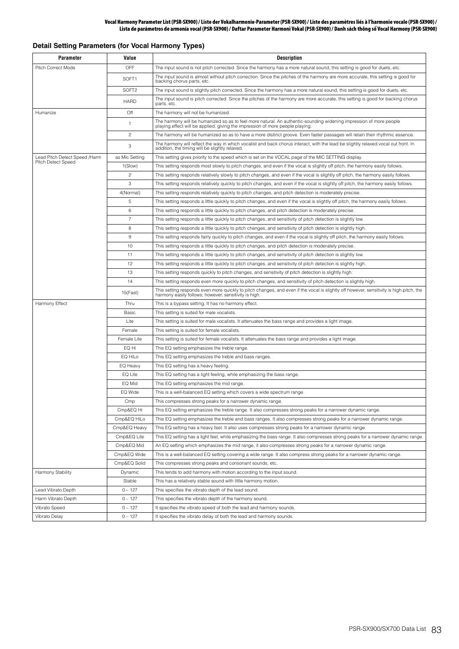# **Detail Setting Parameters (for Vocal Harmony Types)**

| <b>Parameter</b>                                    | Value             | <b>Description</b>                                                                                                                                                                                  |
|-----------------------------------------------------|-------------------|-----------------------------------------------------------------------------------------------------------------------------------------------------------------------------------------------------|
| Pitch Correct Mode                                  | <b>OFF</b>        | The input sound is not pitch corrected. Since the harmony has a more natural sound, this setting is good for duets, etc.                                                                            |
|                                                     | SOFT <sub>1</sub> | The input sound is almost without pitch correction. Since the pitches of the harmony are more accurate, this setting is good for<br>backing chorus parts, etc.                                      |
|                                                     | SOFT <sub>2</sub> | The input sound is slightly pitch corrected. Since the harmony has a more natural sound, this setting is good for duets, etc.                                                                       |
|                                                     | <b>HARD</b>       | The input sound is pitch corrected. Since the pitches of the harmony are more accurate, this setting is good for backing chorus<br>parts, etc.                                                      |
| Humanize                                            | Off               | The harmony will not be humanized.                                                                                                                                                                  |
|                                                     | $\mathbf{1}$      | The harmony will be humanized so as to feel more natural. An authentic-sounding widening impression of more people<br>playing effect will be applied, giving the impression of more people playing. |
|                                                     | $\overline{c}$    | The harmony will be humanized so as to have a more distinct groove. Even faster passages will retain their rhythmic essence.                                                                        |
|                                                     | 3                 | The harmony will reflect the way in which vocalist and back chorus interact, with the lead be slightly relaxed vocal out front. In<br>addition, the timing will be slightly relaxed.                |
| Lead Pitch Detect Speed /Harm<br>Pitch Detect Speed | as Mic Setting    | This setting gives priority to the speed which is set on the VOCAL page of the MIC SETTING display.                                                                                                 |
|                                                     | 1(Slow)           | This setting responds most slowly to pitch changes, and even if the vocal is slightly off pitch, the harmony easily follows.                                                                        |
|                                                     | $\overline{c}$    | This setting responds relatively slowly to pitch changes, and even if the vocal is slightly off pitch, the harmony easily follows.                                                                  |
|                                                     | 3                 | This setting responds relatively quickly to pitch changes, and even if the vocal is slightly off pitch, the harmony easily follows.                                                                 |
|                                                     | 4(Normal)         | This setting responds relatively quickly to pitch changes, and pitch detection is moderately precise.                                                                                               |
|                                                     | 5                 | This setting responds a little quickly to pitch changes, and even if the vocal is slightly off pitch, the harmony easily follows.                                                                   |
|                                                     | 6                 | This setting responds a little quickly to pitch changes, and pitch detection is moderately precise.                                                                                                 |
|                                                     | $\overline{7}$    | This setting responds a little quickly to pitch changes, and sensitivity of pitch detection is slightly low.                                                                                        |
|                                                     | 8                 | This setting responds a little quickly to pitch changes, and sensitivity of pitch detection is slightly high.                                                                                       |
|                                                     | 9                 | This setting responds fairly quickly to pitch changes, and even if the vocal is slightly off pitch, the harmony easily follows.                                                                     |
|                                                     | 10                | This setting responds a little quickly to pitch changes, and pitch detection is moderately precise.                                                                                                 |
|                                                     | 11                | This setting responds a little quickly to pitch changes, and sensitivity of pitch detection is slightly low.                                                                                        |
|                                                     | 12                | This setting responds a little quickly to pitch changes, and sensitivity of pitch detection is slightly high.                                                                                       |
|                                                     | 13                | This setting responds quickly to pitch changes, and sensitivity of pitch detection is slightly high.                                                                                                |
|                                                     | 14                | This setting responds even more quickly to pitch changes, and sensitivity of pitch detection is slightly high.                                                                                      |
|                                                     | 15(Fast)          | This setting responds even more quickly to pitch changes, and even if the vocal is slightly off however, sensitivity is high.pitch, the<br>harmony easily follows; however, sensitivity is high.    |
| Harmony Effect                                      | Thru              | This is a bypass setting. It has no harmony effect.                                                                                                                                                 |
|                                                     | Basic             | This setting is suited for male vocalists.                                                                                                                                                          |
|                                                     | Lite              | This setting is suited for male vocalists. It attenuates the bass range and provides a light image.                                                                                                 |
|                                                     | Female            | This setting is suited for female vocalists.                                                                                                                                                        |
|                                                     | Female Lite       | This setting is suited for female vocalists. It attenuates the bass range and provides a light image.                                                                                               |
|                                                     | EQ Hi             | This EQ setting emphasizes the treble range.                                                                                                                                                        |
|                                                     | EQ HiLo           | This EQ setting emphasizes the treble and bass ranges.                                                                                                                                              |
|                                                     | EQ Heavy          | This EQ setting has a heavy feeling.                                                                                                                                                                |
|                                                     | EQ Lite           | This EQ setting has a light feeling, while emphasizing the bass range.                                                                                                                              |
|                                                     | EQ Mid            | This EQ setting emphasizes the mid range.                                                                                                                                                           |
|                                                     | EQ Wide           | This is a well-balanced EQ setting which covers a wide spectrum range.                                                                                                                              |
|                                                     | Cmp               | This compresses strong peaks for a narrower dynamic range.                                                                                                                                          |
|                                                     | Cmp&EQ Hi         | This EQ setting emphasizes the treble range. It also compresses strong peaks for a narrower dynamic range.                                                                                          |
|                                                     | Cmp&EQ HiLo       | This EQ setting emphasizes the treble and bass ranges. It also compresses strong peaks for a narrower dynamic range.                                                                                |
|                                                     | Cmp&EQ Heavy      | This EQ setting has a heavy feel. It also uses compresses strong peaks for a narrower dynamic range.                                                                                                |
|                                                     | Cmp&EQ Lite       | This EQ setting has a light feel, while emphasizing the bass range. It also compresses strong peaks for a narrower dynamic range.                                                                   |
|                                                     | Cmp&EQ Mid        | An EQ setting which emphasizes the mid range, it also compresses strong peaks for a narrower dynamic range.                                                                                         |
|                                                     | Cmp&EQ Wide       | This is a well-balanced EQ setting covering a wide range. It also compress strong peaks for a narrower dynamic range.                                                                               |
|                                                     | Cmp&EQ Solid      | This compresses strong peaks and consonant sounds, etc.                                                                                                                                             |
| Harmony Stability                                   | Dynamic           | This tends to add harmony with motion according to the input sound.                                                                                                                                 |
|                                                     | Stable            | This has a relatively stable sound with little harmony motion.                                                                                                                                      |
| Lead Vibrato Depth                                  | $0 - 127$         | This specifies the vibrato depth of the lead sound.                                                                                                                                                 |
| Harm Vibrato Depth                                  | $0 - 127$         | This specifies the vibrato depth of the harmony sound.                                                                                                                                              |
| Vibrato Speed                                       | $0 - 127$         | It specifies the vibrato speed of both the lead and harmony sounds.                                                                                                                                 |
| Vibrato Delay                                       | $0 - 127$         | It specifies the vibrato delay of both the lead and harmony sounds.                                                                                                                                 |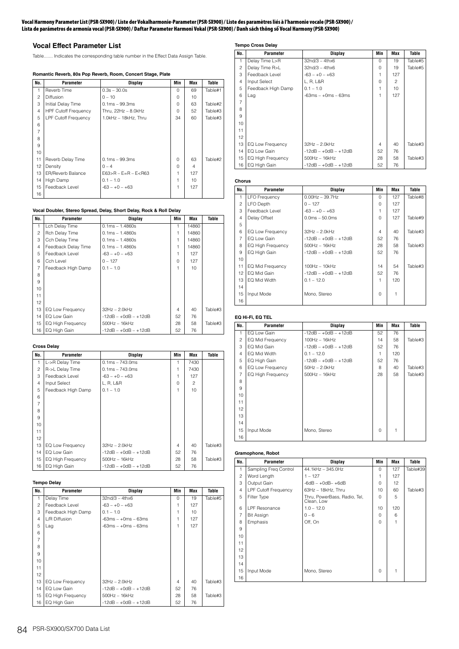#### **Vocal Harmony Parameter List (PSR-SX900) / Liste der Vokalharmonie-Parameter (PSR-SX900) / Liste des paramètres liés à l'harmonie vocale (PSR-SX900) / Lista de parámetros de armonía vocal (PSR-SX900) / Daftar Parameter Harmoni Vokal (PSR-SX900) / Danh sách thông số Vocal Harmony (PSR-SX900)**

# **Vocal Effect Parameter List**

Table....... Indicates the corresponding table number in the Effect Data Assign Table.

### **Romantic Reverb, 80s Pop Reverb, Room, Concert Stage, Plate**

| No.            | <b>Parameter</b>            | <b>Display</b>              | Min      | Max | Table   |
|----------------|-----------------------------|-----------------------------|----------|-----|---------|
| 1              | Reverb Time                 | $0.3s - 30.0s$              | $\Omega$ | 69  | Table#1 |
| $\overline{c}$ | Diffusion                   | $0 - 10$                    | 0        | 10  |         |
| 3              | Initial Delay Time          | $0.1ms - 99.3ms$            | $\Omega$ | 63  | Table#2 |
| $\overline{4}$ | <b>HPF Cutoff Frequency</b> | Thru, 22Hz - 8.0kHz         | $\Omega$ | 52  | Table#3 |
| 5              | <b>LPF Cutoff Frequency</b> | 1.0kHz - 18kHz, Thru        | 34       | 60  | Table#3 |
| 6              |                             |                             |          |     |         |
| $\overline{7}$ |                             |                             |          |     |         |
| 8              |                             |                             |          |     |         |
| 9              |                             |                             |          |     |         |
| 10             |                             |                             |          |     |         |
| 11             | Reverb Delay Time           | $0.1ms - 99.3ms$            | $\Omega$ | 63  | Table#2 |
| 12             | Density                     | $0 - 4$                     | $\Omega$ | 4   |         |
| 13             | <b>ER/Reverb Balance</b>    | $E63 > R - E = R - E < R63$ | 1        | 127 |         |
| 14             | High Damp                   | $0.1 - 1.0$                 | 1        | 10  |         |
| 15             | Feedback Level              | $-63 - +0 - +63$            | 1        | 127 |         |
| 16             |                             |                             |          |     |         |

#### **Vocal Doubler, Stereo Spread, Delay, Short Delay, Rock & Roll Delay**

| No.            | Parameter           | Display                | Min      | <b>Max</b> | Table   |
|----------------|---------------------|------------------------|----------|------------|---------|
| 1              | Lch Delay Time      | $0.1ms - 1.4860s$      | 1        | 14860      |         |
| $\overline{c}$ | Rch Delay Time      | $0.1ms - 1.4860s$      | 1        | 14860      |         |
| 3              | Cch Delay Time      | $0.1ms - 1.4860s$      | 1        | 14860      |         |
| $\overline{4}$ | Feedback Delay Time | $0.1ms - 1.4860s$      | 1        | 14860      |         |
| 5              | Feedback Level      | $-63 - +0 - +63$       | 1        | 127        |         |
| 6              | Cch Level           | $0 - 127$              | $\Omega$ | 127        |         |
| $\overline{7}$ | Feedback High Damp  | $0.1 - 1.0$            | 1        | 10         |         |
| 8              |                     |                        |          |            |         |
| 9              |                     |                        |          |            |         |
| 10             |                     |                        |          |            |         |
| 11             |                     |                        |          |            |         |
| 12             |                     |                        |          |            |         |
| 13             | EQ Low Frequency    | $32Hz - 2.0kHz$        | 4        | 40         | Table#3 |
| 14             | EQ Low Gain         | $-12dB - +0dB - +12dB$ | 52       | 76         |         |
| 15             | EQ High Frequency   | $500Hz - 16kHz$        | 28       | 58         | Table#3 |
| 16             | EQ High Gain        | $-12dB - +0dB - +12dB$ | 52       | 76         |         |

#### **Cross Delay**

| No.            | Parameter                | Display                | Min      | <b>Max</b> | Table   |
|----------------|--------------------------|------------------------|----------|------------|---------|
| 1              | L->R Delay Time          | $0.1ms - 743.0ms$      | 1        | 7430       |         |
| $\overline{c}$ | R->L Delay Time          | $0.1ms - 743.0ms$      | 1        | 7430       |         |
| 3              | Feedback Level           | $-63 - +0 - +63$       | 1        | 127        |         |
| $\overline{4}$ | Input Select             | L, R, L&R              | $\Omega$ | 2          |         |
| 5              | Feedback High Damp       | $0.1 - 1.0$            | 1        | 10         |         |
| 6              |                          |                        |          |            |         |
| $\overline{7}$ |                          |                        |          |            |         |
| 8              |                          |                        |          |            |         |
| 9              |                          |                        |          |            |         |
| 10             |                          |                        |          |            |         |
| 11             |                          |                        |          |            |         |
| 12             |                          |                        |          |            |         |
| 13             | EQ Low Frequency         | $32Hz - 2.0kHz$        | 4        | 40         | Table#3 |
| 14             | EQ Low Gain              | $-12dB - +0dB - +12dB$ | 52       | 76         |         |
| 15             | <b>EQ High Frequency</b> | $500Hz - 16kHz$        | 28       | 58         | Table#3 |
| 16             | EQ High Gain             | $-12dB - +0dB - +12dB$ | 52       | 76         |         |

#### **Tempo Delay**

| No.            | Parameter                | Display                | Min      | Max | Table   |
|----------------|--------------------------|------------------------|----------|-----|---------|
| 1              | Delay Time               | $32n d/3 - 4thx6$      | $\Omega$ | 19  | Table#5 |
| $\overline{c}$ | Feedback Level           | $-63 - +0 - +63$       | 1        | 127 |         |
| 3              | Feedback High Damp       | $0.1 - 1.0$            | 1        | 10  |         |
| $\overline{4}$ | L/R Diffusion            | $-63ms - +0ms - 63ms$  | 1        | 127 |         |
| 5              | Lag                      | $-63ms - +0ms - 63ms$  | 1        | 127 |         |
| 6              |                          |                        |          |     |         |
| $\overline{7}$ |                          |                        |          |     |         |
| 8              |                          |                        |          |     |         |
| 9              |                          |                        |          |     |         |
| 10             |                          |                        |          |     |         |
| 11             |                          |                        |          |     |         |
| 12             |                          |                        |          |     |         |
| 13             | EQ Low Frequency         | $32Hz - 2.0kHz$        | 4        | 40  | Table#3 |
| 14             | EQ Low Gain              | $-12dB - +0dB - +12dB$ | 52       | 76  |         |
| 15             | <b>EQ High Frequency</b> | $500Hz - 16kHz$        | 28       | 58  | Table#3 |
| 16             | EQ High Gain             | $-12dB - +0dB - +12dB$ | 52       | 76  |         |

# **Tempo Cross Delay**

| No.            | Parameter          | Display                | Min            | Max            | Table   |
|----------------|--------------------|------------------------|----------------|----------------|---------|
| 1              | Delay Time L>R     | $32nd/3 - 4thx6$       | $\Omega$       | 19             | Table#5 |
| $\overline{c}$ | Delay Time R>L     | $32nd/3 - 4thx6$       | $\Omega$       | 19             | Table#5 |
| 3              | Feedback Level     | $-63 - +0 - +63$       | 1              | 127            |         |
| 4              | Input Select       | L, R, L&R              | $\Omega$       | $\mathfrak{D}$ |         |
| 5              | Feedback High Damp | $0.1 - 1.0$            |                | 10             |         |
| 6              | Lag                | $-63ms - +0ms - 63ms$  | 1              | 127            |         |
| $\overline{7}$ |                    |                        |                |                |         |
| 8              |                    |                        |                |                |         |
| 9              |                    |                        |                |                |         |
| 10             |                    |                        |                |                |         |
| 11             |                    |                        |                |                |         |
| 12             |                    |                        |                |                |         |
| 13             | EQ Low Frequency   | $32Hz - 2.0kHz$        | $\overline{4}$ | 40             | Table#3 |
| 14             | EQ Low Gain        | $-12dB - +0dB - +12dB$ | 52             | 76             |         |
| 15             | EQ High Frequency  | $500Hz - 16kHz$        | 28             | 58             | Table#3 |
| 16             | EQ High Gain       | $-12dB - +0dB - +12dB$ | 52             | 76             |         |

#### **Chorus**

| No.            | Parameter                | Display                | Min      | Max | Table   |
|----------------|--------------------------|------------------------|----------|-----|---------|
| 1              | <b>LFO Frequency</b>     | $0.00Hz - 39.7Hz$      | $\Omega$ | 127 | Table#8 |
| $\overline{c}$ | <b>LFO</b> Depth         | $0 - 127$              | 0        | 127 |         |
| 3              | Feedback Level           | $-63 - +0 - +63$       | 1        | 127 |         |
| $\overline{4}$ | Delay Offset             | $0.0ms - 50.0ms$       | 0        | 127 | Table#9 |
| 5              |                          |                        |          |     |         |
| 6              | EQ Low Frequency         | $32Hz - 2.0kHz$        | 4        | 40  | Table#3 |
| $\overline{7}$ | EQ Low Gain              | $-12dB - +0dB - +12dB$ | 52       | 76  |         |
| 8              | <b>EQ High Frequency</b> | $500$ Hz $-16$ kHz     | 28       | 58  | Table#3 |
| 9              | EQ High Gain             | $-12dB - +0dB - +12dB$ | 52       | 76  |         |
| 10             |                          |                        |          |     |         |
| 11             | EQ Mid Frequency         | $100Hz - 10kHz$        | 14       | 54  | Table#3 |
| 12             | EQ Mid Gain              | $-12dB - +0dB - +12dB$ | 52       | 76  |         |
| 13             | EQ Mid Width             | $0.1 - 12.0$           | 1        | 120 |         |
| 14             |                          |                        |          |     |         |
| 15             | Input Mode               | Mono, Stereo           | $\Omega$ |     |         |
| 16             |                          |                        |          |     |         |

# **EQ Hi-Fi, EQ TEL**

| No.            | Parameter                | Display                | Min      | Max | Table   |
|----------------|--------------------------|------------------------|----------|-----|---------|
| 1              | EQ Low Gain              | $-12dB - +0dB - +12dB$ | 52       | 76  |         |
| $\overline{c}$ | EQ Mid Frequency         | $100Hz - 16kHz$        | 14       | 58  | Table#3 |
| 3              | EQ Mid Gain              | $-12dB - +0dB - +12dB$ | 52       | 76  |         |
| 4              | EQ Mid Width             | $0.1 - 12.0$           | 1        | 120 |         |
| 5              | EQ High Gain             | $-12dB - +0dB - +12dB$ | 52       | 76  |         |
| 6              | EQ Low Frequency         | $50Hz - 2.0kHz$        | 8        | 40  | Table#3 |
| $\overline{7}$ | <b>EQ High Frequency</b> | $500Hz - 16kHz$        | 28       | 58  | Table#3 |
| 8              |                          |                        |          |     |         |
| 9              |                          |                        |          |     |         |
| 10             |                          |                        |          |     |         |
| 11             |                          |                        |          |     |         |
| 12             |                          |                        |          |     |         |
| 13             |                          |                        |          |     |         |
| 14             |                          |                        |          |     |         |
| 15             | Input Mode               | Mono, Stereo           | $\Omega$ |     |         |
| 16             |                          |                        |          |     |         |

#### **Gramophone, Robot**

| No.            | Parameter                   | Display                                    | Min      | Max | Table    |
|----------------|-----------------------------|--------------------------------------------|----------|-----|----------|
| 1              | Sampling Freq Control       | 44.1kHz - 345.0Hz                          | $\Omega$ | 127 | Table#39 |
| 2              | Word Length                 | $1 - 127$                                  | 1        | 127 |          |
| 3              | Output Gain                 | $-6dB - +0dB - +6dB$                       | 0        | 12  |          |
| 4              | <b>LPF Cutoff Frequency</b> | 63Hz - 18kHz, Thru                         | 10       | 60  | Table#3  |
| 5              | Filter Type                 | Thru, PowerBass, Radio, Tel,<br>Clean, Low | 0        | 5   |          |
| 6              | LPF Resonance               | $1.0 - 12.0$                               | 10       | 120 |          |
| $\overline{7}$ | <b>Bit Assign</b>           | $0 - 6$                                    | 0        | 6   |          |
| 8              | Emphasis                    | Off, On                                    | $\Omega$ | 1   |          |
| 9              |                             |                                            |          |     |          |
| 10             |                             |                                            |          |     |          |
| 11             |                             |                                            |          |     |          |
| 12             |                             |                                            |          |     |          |
| 13             |                             |                                            |          |     |          |
| 14             |                             |                                            |          |     |          |
| 15             | Input Mode                  | Mono, Stereo                               | 0        | 1   |          |
| 16             |                             |                                            |          |     |          |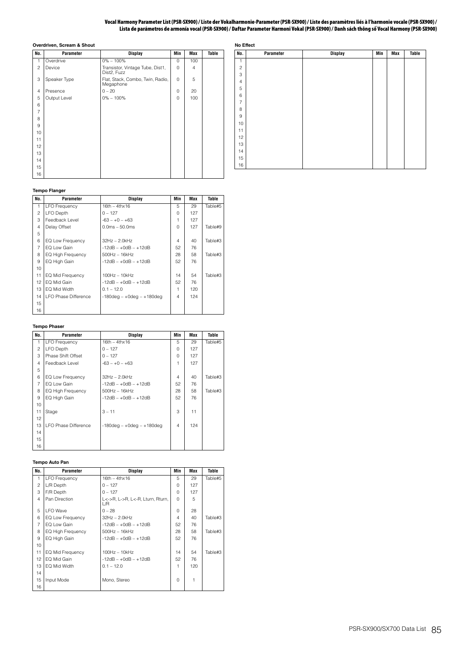#### **Vocal Harmony Parameter List (PSR-SX900) / Liste der Vokalharmonie-Parameter (PSR-SX900) / Liste des paramètres liés à l'harmonie vocale (PSR-SX900) / Lista de parámetros de armonía vocal (PSR-SX900) / Daftar Parameter Harmoni Vokal (PSR-SX900) / Danh sách thông số Vocal Harmony (PSR-SX900)**

|                | Overdriven, Scream & Shout |                                                 |          |                |       |
|----------------|----------------------------|-------------------------------------------------|----------|----------------|-------|
| No.            | <b>Parameter</b>           | <b>Display</b>                                  | Min      | <b>Max</b>     | Table |
| 1              | Overdrive                  | $0\% - 100\%$                                   | $\Omega$ | 100            |       |
| $\overline{c}$ | Device                     | Transistor, Vintage Tube, Dist1,<br>Dist2, Fuzz | 0        | $\overline{4}$ |       |
| 3              | Speaker Type               | Flat, Stack, Combo, Twin, Radio,<br>Megaphone   | 0        | 5              |       |
| 4              | Presence                   | $0 - 20$                                        | 0        | 20             |       |
| 5              | Output Level               | $0\% - 100\%$                                   | 0        | 100            |       |
| 6              |                            |                                                 |          |                |       |
| $\overline{7}$ |                            |                                                 |          |                |       |
| 8              |                            |                                                 |          |                |       |
| 9              |                            |                                                 |          |                |       |
| 10             |                            |                                                 |          |                |       |
| 11             |                            |                                                 |          |                |       |
| 12             |                            |                                                 |          |                |       |
| 13             |                            |                                                 |          |                |       |
| 14             |                            |                                                 |          |                |       |
| 15             |                            |                                                 |          |                |       |
| 16             |                            |                                                 |          |                |       |

| No Effect        |           |                |     |     |              |  |  |  |  |  |  |  |  |
|------------------|-----------|----------------|-----|-----|--------------|--|--|--|--|--|--|--|--|
| No.              | Parameter | <b>Display</b> | Min | Max | <b>Table</b> |  |  |  |  |  |  |  |  |
| $\mathbf{1}$     |           |                |     |     |              |  |  |  |  |  |  |  |  |
| $\overline{c}$   |           |                |     |     |              |  |  |  |  |  |  |  |  |
| 3                |           |                |     |     |              |  |  |  |  |  |  |  |  |
| $\overline{4}$   |           |                |     |     |              |  |  |  |  |  |  |  |  |
| 5                |           |                |     |     |              |  |  |  |  |  |  |  |  |
| 6                |           |                |     |     |              |  |  |  |  |  |  |  |  |
| $\overline{7}$   |           |                |     |     |              |  |  |  |  |  |  |  |  |
| 8                |           |                |     |     |              |  |  |  |  |  |  |  |  |
| $\boldsymbol{9}$ |           |                |     |     |              |  |  |  |  |  |  |  |  |
| 10               |           |                |     |     |              |  |  |  |  |  |  |  |  |
| 11               |           |                |     |     |              |  |  |  |  |  |  |  |  |
| 12               |           |                |     |     |              |  |  |  |  |  |  |  |  |
| 13               |           |                |     |     |              |  |  |  |  |  |  |  |  |
| 14               |           |                |     |     |              |  |  |  |  |  |  |  |  |
| 15               |           |                |     |     |              |  |  |  |  |  |  |  |  |
| 16               |           |                |     |     |              |  |  |  |  |  |  |  |  |

### **Tempo Flanger**

| No.            | Parameter                   | <b>Display</b>                     | Min      | Max | Table   |
|----------------|-----------------------------|------------------------------------|----------|-----|---------|
| 1              | <b>LFO Frequency</b>        | $16th - 4thx16$                    | 5        | 29  | Table#5 |
| $\overline{c}$ | <b>LFO</b> Depth            | $0 - 127$                          | $\Omega$ | 127 |         |
| 3              | Feedback Level              | $-63 - +0 - +63$                   | 1        | 127 |         |
| $\overline{4}$ | Delay Offset                | $0.0ms - 50.0ms$                   | $\Omega$ | 127 | Table#9 |
| 5              |                             |                                    |          |     |         |
| 6              | EQ Low Frequency            | $32Hz - 2.0kHz$                    | 4        | 40  | Table#3 |
| $\overline{7}$ | EQ Low Gain                 | $-12dB - +0dB - +12dB$             | 52       | 76  |         |
| 8              | <b>EQ High Frequency</b>    | $500Hz - 16kHz$                    | 28       | 58  | Table#3 |
| 9              | EQ High Gain                | $-12dB - +0dB - +12dB$             | 52       | 76  |         |
| 10             |                             |                                    |          |     |         |
| 11             | EQ Mid Frequency            | $100Hz - 10kHz$                    | 14       | 54  | Table#3 |
| 12             | EQ Mid Gain                 | $-12dB - +0dB - +12dB$             | 52       | 76  |         |
| 13             | EQ Mid Width                | $0.1 - 12.0$                       | 1        | 120 |         |
| 14             | <b>LFO Phase Difference</b> | $-180$ deg - $+0$ deg - $+180$ deg | 4        | 124 |         |
| 15             |                             |                                    |          |     |         |
| 16             |                             |                                    |          |     |         |

#### **Tempo Phaser**

| No.            | <b>Parameter</b>            | Display                            | Min      | Max | Table   |
|----------------|-----------------------------|------------------------------------|----------|-----|---------|
| 1              | <b>LFO Frequency</b>        | $16th - 4thx16$                    | 5        | 29  | Table#5 |
| $\overline{c}$ | <b>LFO</b> Depth            | $0 - 127$                          | $\Omega$ | 127 |         |
| 3              | Phase Shift Offset          | $0 - 127$                          | $\Omega$ | 127 |         |
| $\overline{4}$ | Feedback Level              | $-63 - +0 - +63$                   | 1        | 127 |         |
| 5              |                             |                                    |          |     |         |
| 6              | EQ Low Frequency            | $32Hz - 2.0kHz$                    | 4        | 40  | Table#3 |
| $\overline{7}$ | EQ Low Gain                 | $-12dB - +0dB - +12dB$             | 52       | 76  |         |
| 8              | <b>EQ High Frequency</b>    | $500Hz - 16kHz$                    | 28       | 58  | Table#3 |
| 9              | EQ High Gain                | $-12dB - +0dB - +12dB$             | 52       | 76  |         |
| 10             |                             |                                    |          |     |         |
| 11             | Stage                       | $3 - 11$                           | 3        | 11  |         |
| 12             |                             |                                    |          |     |         |
| 13             | <b>LFO Phase Difference</b> | $-180$ deg - $+0$ deg - $+180$ deg | 4        | 124 |         |
| 14             |                             |                                    |          |     |         |
| 15             |                             |                                    |          |     |         |
| 16             |                             |                                    |          |     |         |

### **Tempo Auto Pan**

| No.            | <b>Parameter</b>         | Display                                 | Min      | <b>Max</b> | Table   |
|----------------|--------------------------|-----------------------------------------|----------|------------|---------|
| 1              | <b>LFO Frequency</b>     | $16th - 4thx16$                         | 5        | 29         | Table#5 |
| $\mathfrak{p}$ | L/R Depth                | $0 - 127$                               | 0        | 127        |         |
| 3              | F/R Depth                | $0 - 127$                               | $\Omega$ | 127        |         |
| 4              | Pan Direction            | L<->R, L->R, L<-R, Lturn, Rturn,<br>L/R | $\Omega$ | 5          |         |
| 5              | <b>LFO</b> Wave          | $0 - 28$                                | $\Omega$ | 28         |         |
| 6              | EQ Low Frequency         | $32Hz - 2.0kHz$                         | 4        | 40         | Table#3 |
| $\overline{7}$ | EQ Low Gain              | $-12dB - +0dB - +12dB$                  | 52       | 76         |         |
| 8              | <b>EQ High Frequency</b> | $500Hz - 16kHz$                         | 28       | 58         | Table#3 |
| 9              | EQ High Gain             | $-12dB - +0dB - +12dB$                  | 52       | 76         |         |
| 10             |                          |                                         |          |            |         |
| 11             | EQ Mid Frequency         | $100Hz - 10kHz$                         | 14       | 54         | Table#3 |
| 12             | EQ Mid Gain              | $-12dB - +0dB - +12dB$                  | 52       | 76         |         |
| 13             | EQ Mid Width             | $0.1 - 12.0$                            | 1        | 120        |         |
| 14             |                          |                                         |          |            |         |
| 15             | Input Mode               | Mono, Stereo                            | $\Omega$ | 1          |         |
| 16             |                          |                                         |          |            |         |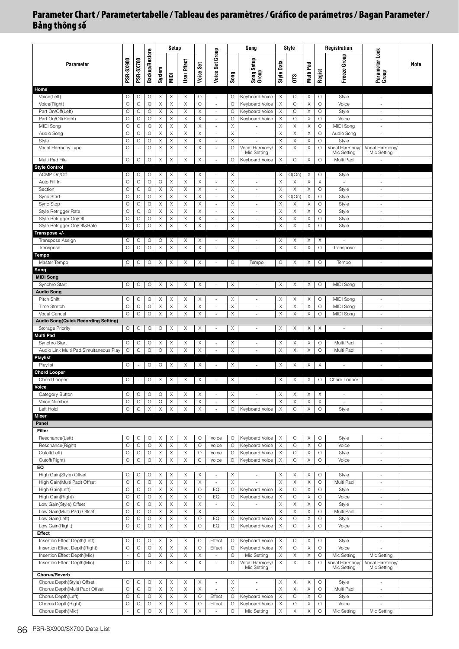|                                                                |                          |                          |                       |             | Setup       |               |              |                                                      |                       | Song                             |                       | Style        |                  |                    | <b>Registration</b>      |                                    |      |
|----------------------------------------------------------------|--------------------------|--------------------------|-----------------------|-------------|-------------|---------------|--------------|------------------------------------------------------|-----------------------|----------------------------------|-----------------------|--------------|------------------|--------------------|--------------------------|------------------------------------|------|
| Parameter                                                      | <b>PSR-SX900</b>         | <b>PSR-SX700</b>         | <b>Backup/Restore</b> | System      | <b>NIDI</b> | User Effect   | Voice Set    | Voice Set Group                                      | Song                  | Song Setup<br>Group              | Data<br><b>Style</b>  | CТS          | Pad<br>Multi     | Regist             | Freeze Group             | Parameter Lock<br>Group            | Note |
| Home                                                           |                          |                          |                       |             |             |               |              |                                                      |                       |                                  |                       |              |                  |                    |                          |                                    |      |
| Voice(Left)                                                    | O                        | O                        | O                     | Χ           | Χ           | X             | O            | $\overline{\phantom{a}}$                             | 0                     | Keyboard Voice                   | $\times$              | O            | Χ                | O                  | Style                    | $\overline{\phantom{a}}$           |      |
| Voice(Right)                                                   | $\circ$                  | $\circ$                  | $\circ$               | X           | X           | $\mathsf X$   | $\circ$      | $\overline{\phantom{a}}$                             | O                     | Keyboard Voice                   | X                     | $\circ$      | X                | $\circ$            | Voice                    | ×                                  |      |
| Part On/Off(Left)                                              | $\circ$                  | O                        | O                     | Χ           | Χ           | X             | Χ            | $\overline{\phantom{a}}$                             | O                     | Keyboard Voice                   | X                     | O            | Χ                | O                  | Style                    | $\overline{\phantom{a}}$           |      |
| Part On/Off(Right)<br>MIDI Song                                | $\circ$<br>$\circ$       | $\circ$<br>$\circ$       | 0<br>O                | Χ<br>Χ      | X<br>X      | $\times$<br>X | X<br>Χ       | $\overline{\phantom{a}}$<br>$\overline{\phantom{a}}$ | O<br>X                | Keyboard Voice                   | Χ<br>X                | $\circ$<br>Χ | X<br>Χ           | $\circ$<br>$\circ$ | Voice<br>MIDI Song       | $\overline{\phantom{a}}$<br>$\sim$ |      |
| Audio Song                                                     | $\circ$                  | $\circ$                  | O                     | X           | Χ           | X             | X            | $\overline{\phantom{a}}$                             | X                     | $\sim$                           | X                     | X            | X                | O                  | Audio Song               | $\sim$                             |      |
| Style                                                          | $\circ$                  | $\circ$                  | $\circ$               | X           | X           | $\mathsf X$   | X            | $\overline{\phantom{a}}$                             | X                     |                                  | X                     | X            | Χ                | $\circ$            | Style                    |                                    |      |
| Vocal Harmony Type                                             | $\circ$                  | ÷.                       | O                     | Χ           | Χ           | Χ             | Χ            | $\sim$                                               | O                     | Vocal Harmony/                   | Χ                     | Χ            | X                | O                  | Vocal Harmony/           | Vocal Harmony/                     |      |
|                                                                |                          |                          |                       |             |             |               |              |                                                      |                       | Mic Setting                      |                       |              |                  |                    | Mic Setting              | Mic Setting                        |      |
| Multi Pad File                                                 | $\circ$                  | O                        | O                     | Χ           | Χ           | X             | X            | ×.                                                   | O                     | Keyboard Voice                   | X                     | $\circ$      | Χ                | O                  | Multi Pad                | $\sim$                             |      |
| <b>Style Control</b><br>ACMP On/Off                            | O                        | $\circ$                  | O                     | Χ           | Χ           | X             | Χ            | $\sim$                                               | Χ                     | $\sim$                           | Χ                     | O(On)        | X                | O                  | Style                    | $\sim$                             |      |
| Auto Fill In                                                   | $\circ$                  | $\circ$                  | O                     | O           | Χ           | X             | $\times$     | $\overline{\phantom{a}}$                             | Χ                     | $\overline{\phantom{a}}$         | X                     | X            | X                | X                  | $\sim$                   | $\overline{\phantom{a}}$           |      |
| Section                                                        | $\circ$                  | $\circ$                  | O                     | Χ           | Χ           | X             | X            | ÷                                                    | X                     | ×.                               | X                     | X            | X                | $\circ$            | Style                    | ×.                                 |      |
| Sync Start                                                     | $\circ$                  | $\circ$                  | O                     | Χ           | Χ           | X             | Χ            | $\overline{\phantom{a}}$                             | $\boldsymbol{\times}$ | ×.                               | X                     | O(On)        | X                | $\circ$            | Style                    | $\sim$                             |      |
| Sync Stop                                                      | $\circ$                  | O                        | O                     | Χ           | Χ           | X             | X            | ÷                                                    | Χ                     | ×.                               | X                     | Χ            | Χ                | O                  | Style                    | $\overline{\phantom{a}}$           |      |
| Style Retrigger Rate                                           | $\circ$                  | $\circ$                  | 0                     | X           | Χ           | X             | X            | $\overline{\phantom{a}}$                             | X                     | $\overline{\phantom{a}}$         | X                     | X            | Χ                | O                  | Style                    | $\overline{\phantom{a}}$           |      |
| Style Retrigger On/Off                                         | $\circ$                  | $\circ$                  | $\circ$               | X           | X           | X             | $\mathsf X$  | $\overline{\phantom{a}}$                             | Χ                     | ×                                | $\boldsymbol{\times}$ | Χ            | X                | $\circ$            | Style                    | $\omega$                           |      |
| Style Retrigger On/Off&Rate                                    | $\circ$                  | $\circ$                  | $\circ$               | Χ           | Χ           | X             | Χ            | $\overline{\phantom{a}}$                             | Χ                     | $\sim$                           | Χ                     | Χ            | Χ                | $\circ$            | Style                    | $\overline{\phantom{a}}$           |      |
| Transpose +/-                                                  |                          |                          |                       |             |             |               |              |                                                      |                       |                                  |                       |              |                  |                    |                          |                                    |      |
| Transpose Assign<br>Transpose                                  | O<br>$\circ$             | O<br>O                   | О<br>O                | O<br>Χ      | Х<br>X      | Χ<br>X        | Χ<br>X       | $\overline{\phantom{a}}$<br>$\sim$                   | Χ<br>Χ                | $\overline{\phantom{a}}$<br>×,   | Χ<br>X                | Χ<br>X       | Х<br>X           | Χ<br>$\circ$       | ä,<br>Transpose          | $\sim$<br>$\sim$                   |      |
| Tempo                                                          |                          |                          |                       |             |             |               |              |                                                      |                       |                                  |                       |              |                  |                    |                          |                                    |      |
| Master Tempo                                                   | 0                        | O                        | О                     | X           | X           | X             | X            | ÷                                                    | O                     | Tempo                            | O                     | X            | X                | O                  | Tempo                    | $\sim$                             |      |
| Song                                                           |                          |                          |                       |             |             |               |              |                                                      |                       |                                  |                       |              |                  |                    |                          |                                    |      |
| <b>MIDI Song</b>                                               |                          |                          |                       |             |             |               |              |                                                      |                       |                                  |                       |              |                  |                    |                          |                                    |      |
| Synchro Start                                                  | O                        | $\circ$                  | O                     | Χ           | X           | Χ             | Χ            | ÷                                                    | X                     | ×.                               | X                     | Χ            | Χ                | O                  | MIDI Song                | $\sim$                             |      |
| <b>Audio Song</b>                                              |                          |                          |                       |             |             |               |              |                                                      |                       |                                  |                       |              |                  |                    |                          |                                    |      |
| Pitch Shift                                                    | O                        | O                        | О                     | Χ           | Х           | Χ             | X            | $\overline{\phantom{a}}$                             | X                     | $\sim$                           | X                     | Χ            | Χ                | O                  | MIDI Song                | $\overline{\phantom{a}}$           |      |
| Time Stretch                                                   | $\circ$                  | O                        | O                     | X           | Χ           | Χ             | X            | $\overline{\phantom{a}}$                             | X                     | $\overline{\phantom{a}}$         | X                     | X            | Χ                | $\circ$            | MIDI Song                | $\overline{\phantom{a}}$           |      |
| Vocal Cancel                                                   | $\circ$                  | $\circ$                  | O                     | Χ           | Χ           | X             | X            | $\overline{\phantom{a}}$                             | Χ                     | ×,                               | X                     | X            | Χ                | $\circ$            | MIDI Song                | $\overline{\phantom{a}}$           |      |
| <b>Audio Song(Quick Recording Setting)</b><br>Storage Priority | O                        | O                        | O                     | O           | Χ           | X             | Χ            | ×.                                                   | X                     | ×.                               | X                     | Χ            | Χ                | Χ                  | ä,                       | ×.                                 |      |
| <b>Multi Pad</b>                                               |                          |                          |                       |             |             |               |              |                                                      |                       |                                  |                       |              |                  |                    |                          |                                    |      |
| Synchro Start                                                  | O                        | O                        | 0                     | Χ           | Х           | X             | Χ            | $\overline{\phantom{a}}$                             | Χ                     | $\overline{\phantom{a}}$         | Χ                     | X            | Х                | O                  | Multi Pad                | $\sim$                             |      |
| Audio Link Multi Pad Simultaneous Play                         | $\circ$                  | $\circ$                  | $\circ$               | $\circ$     | X           | $\mathsf X$   | $\mathsf X$  | $\sim$                                               | $\boldsymbol{\times}$ | ×.                               | X                     | X            | Χ                | $\circ$            | Multi Pad                | ÷                                  |      |
| <b>Playlist</b>                                                |                          |                          |                       |             |             |               |              |                                                      |                       |                                  |                       |              |                  |                    |                          |                                    |      |
| Playlist                                                       | $\circ$                  |                          | О                     | O           | Χ           | Χ             | Χ            | $\overline{\phantom{a}}$                             | Χ                     | $\overline{\phantom{a}}$         | Χ                     | X            | X                | Χ                  | $\overline{\phantom{a}}$ | $\overline{\phantom{a}}$           |      |
| <b>Chord Looper</b>                                            |                          |                          |                       |             |             |               |              |                                                      |                       |                                  |                       |              |                  |                    |                          |                                    |      |
| Chord Looper                                                   | O                        | $\overline{\phantom{a}}$ | O                     | Χ           | Χ           | X             | X            | $\overline{\phantom{a}}$                             | Χ                     | $\overline{\phantom{a}}$         | X                     | Χ            | X                | O                  | Chord Looper             | $\overline{\phantom{a}}$           |      |
| /oice                                                          | O                        | O                        | O                     | O           | Χ           | Χ             | Χ            | $\overline{\phantom{a}}$                             |                       | $\sim$                           | Χ                     |              | X                | Χ                  | $\sim$                   | $\sim$                             |      |
| Category Button<br>Voice Number                                | $\circ$                  | $\circ$                  | $\circ$               | $\circ$     | Χ           | X             | X            | $\overline{\phantom{a}}$                             | X<br>X                |                                  | X                     | Χ<br>X       | X                | X                  | $\blacksquare$           | $\overline{\phantom{a}}$           |      |
| Left Hold                                                      | $\circ$                  | $\circ$                  | $\mathsf X$           | $\mathsf X$ | X           | $\mathsf X$   | $\mathsf X$  | $\overline{\phantom{a}}$                             | $\circ$               | Keyboard Voice                   | $\mathsf X$           | $\circ$      | Χ                | $\circ$            | Style                    | $\sim$                             |      |
| Mixer                                                          |                          |                          |                       |             |             |               |              |                                                      |                       |                                  |                       |              |                  |                    |                          |                                    |      |
| Panel                                                          |                          |                          |                       |             |             |               |              |                                                      |                       |                                  |                       |              |                  |                    |                          |                                    |      |
| Filter                                                         |                          |                          |                       |             |             |               |              |                                                      |                       |                                  |                       |              |                  |                    |                          |                                    |      |
| Resonance(Left)                                                | O                        | O                        | O                     | Χ           | X           | Χ             | $\circ$      | Voice                                                | O                     | Keyboard Voice                   | $\times$              | $\circ$      | X                | $\circ$            | Style                    | $\sim$                             |      |
| Resonance(Right)                                               | $\circ$                  | $\circ$                  | $\circ$               | Χ           | Χ           | X             | $\circ$      | Voice                                                | O                     | Keyboard Voice                   | Χ                     | $\circ$      | Χ                | $\circ$            | Voice                    | $\overline{\phantom{a}}$           |      |
| Cutoff(Left)                                                   | $\circ$                  | $\circ$                  | O                     | Χ           | Χ           | X             | $\circ$      | Voice                                                | O                     | Keyboard Voice                   | $\times$              | $\circ$      | Χ                | $\circ$            | Style                    | $\overline{\phantom{a}}$           |      |
| Cutoff(Right)<br>EQ                                            | $\circ$                  | $\circ$                  | O                     | X           | X           | $\mathsf X$   | $\circ$      | Voice                                                | O                     | Keyboard Voice                   | $\times$              | $\circ$      | X                | $\circ$            | Voice                    | $\sim$                             |      |
| High Gain(Style) Offset                                        | $\circ$                  | $\circ$                  | O                     | Χ           | X           | X             | X            | $\overline{\phantom{a}}$                             | X                     |                                  | X                     | $\mathsf X$  | Χ                | $\circ$            | Style                    | $\overline{\phantom{a}}$           |      |
| High Gain(Multi Pad) Offset                                    | $\circ$                  | $\circ$                  | O                     | Χ           | Χ           | X             | Χ            | $\overline{\phantom{a}}$                             | X                     | $\overline{\phantom{a}}$         | $\mathsf X$           | Χ            | X                | O                  | Multi Pad                | $\overline{\phantom{a}}$           |      |
| High Gain(Left)                                                | $\circ$                  | $\circ$                  | $\circ$               | X           | Χ           | X             | $\circ$      | EQ                                                   | O                     | Keyboard Voice                   | Χ                     | $\circ$      | X                | $\circ$            | Style                    | $\overline{\phantom{a}}$           |      |
| High Gain(Right)                                               | $\circ$                  | $\circ$                  | O                     | Χ           | Χ           | X             | $\circ$      | EQ                                                   | O                     | Keyboard Voice                   | $\times$              | $\circ$      | X                | $\circ$            | Voice                    | $\overline{\phantom{a}}$           |      |
| Low Gain(Style) Offset                                         | $\circ$                  | $\circ$                  | O                     | Χ           | Χ           | X             | X            | $\sim$                                               | Χ                     |                                  | Χ                     | Χ            | X                | O                  | Style                    | $\sim$                             |      |
| Low Gain(Multi Pad) Offset                                     | $\circ$                  | $\circ$                  | O                     | Χ           | Χ           | X             | X            | $\overline{\phantom{a}}$                             | X                     |                                  | X                     | X            | X                | $\circ$            | Multi Pad                | $\overline{\phantom{a}}$           |      |
| Low Gain(Left)                                                 | $\circ$                  | $\circ$                  | $\circ$               | X           | X           | $\mathsf X$   | $\circ$      | EQ                                                   | $\circ$               | Keyboard Voice                   | X                     | $\circ$      | Χ                | $\circ$            | Style                    | $\overline{\phantom{a}}$           |      |
| Low Gain(Right)                                                | $\circ$                  | $\circ$                  | $\circ$               | X           | X           | X             | O            | EQ                                                   | O                     | Keyboard Voice                   | $\times$              | $\circ$      | X                | $\circ$            | Voice                    | ÷                                  |      |
| Effect                                                         |                          |                          |                       |             |             |               |              |                                                      |                       |                                  |                       | $\circ$      |                  |                    |                          |                                    |      |
| Insertion Effect Depth(Left)<br>Insertion Effect Depth(Right)  | O<br>$\circ$             | O<br>$\circ$             | O<br>$\circ$          | Χ<br>X      | X<br>X      | X<br>X        | O<br>$\circ$ | Effect<br>Effect                                     | O<br>O                | Keyboard Voice<br>Keyboard Voice | $\times$<br>$\times$  | $\circ$      | Х<br>$\mathsf X$ | O<br>$\circ$       | Style<br>Voice           | $\overline{\phantom{a}}$<br>÷,     |      |
| Insertion Effect Depth(Mic)                                    | ÷,                       | $\circ$                  | O                     | X           | Χ           | X             | X            | $\overline{\phantom{a}}$                             | $\circ$               | Mic Setting                      | X                     | Χ            | Χ                | $\circ$            | Mic Setting              | Mic Setting                        |      |
| Insertion Effect Depth(Mic)                                    | $\circ$                  | ÷,                       | $\circ$               | $\mathsf X$ | X           | X             | $\mathsf X$  | $\overline{\phantom{a}}$                             | O                     | Vocal Harmony/                   | X                     | $\times$     | X                | $\circ$            | Vocal Harmony/           | Vocal Harmony/                     |      |
|                                                                |                          |                          |                       |             |             |               |              |                                                      |                       | Mic Setting                      |                       |              |                  |                    | Mic Setting              | Mic Setting                        |      |
| <b>Chorus/Reverb</b>                                           |                          |                          |                       |             |             |               |              |                                                      |                       |                                  |                       |              |                  |                    |                          |                                    |      |
| Chorus Depth(Style) Offset<br>Chorus Depth(Multi Pad) Offset   | $\circ$<br>$\circ$       | $\circ$<br>$\circ$       | $\circ$<br>$\circ$    | X<br>X      | X<br>X      | X<br>X        | X<br>X       | $\overline{\phantom{a}}$<br>$\overline{\phantom{a}}$ | X<br>X                | $\overline{\phantom{a}}$<br>×.   | X<br>X                | X<br>X       | X<br>$\mathsf X$ | $\circ$<br>$\circ$ | Style<br>Multi Pad       | $\overline{\phantom{a}}$<br>$\sim$ |      |
| Chorus Depth(Left)                                             | $\circ$                  | $\circ$                  | O                     | X           | Χ           | X             | O            | Effect                                               | O                     | Keyboard Voice                   | $\times$              | $\circ$      | X                | O                  | Style                    | $\overline{\phantom{a}}$           |      |
| Chorus Depth(Right)                                            | $\circ$                  | $\circ$                  | O                     | X           | X           | X             | $\circ$      | Effect                                               | O                     | Keyboard Voice                   | Χ                     | $\circ$      | Χ                | $\circ$            | Voice                    |                                    |      |
| Chorus Depth(Mic)                                              | $\overline{\phantom{a}}$ | O                        | $\circ$               | Χ           | $\mathsf X$ | $\mathsf X$   | X            | $\overline{\phantom{a}}$                             | O                     | Mic Setting                      | X                     | Χ            | Χ                | $\circ$            | Mic Setting              | Mic Setting                        |      |
|                                                                |                          |                          |                       |             |             |               |              |                                                      |                       |                                  |                       |              |                  |                    |                          |                                    |      |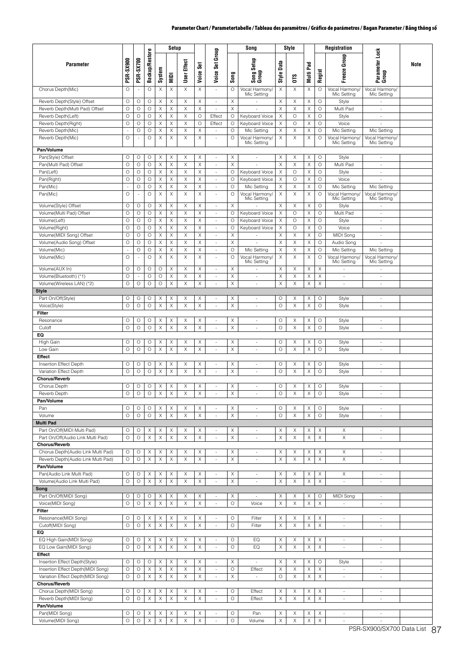|                                                                          |                    |                               |                       |              | Setup                     |               |               |                                                      |               | Song                           |                    | Style                 |              |              | Registration                      |                                |      |
|--------------------------------------------------------------------------|--------------------|-------------------------------|-----------------------|--------------|---------------------------|---------------|---------------|------------------------------------------------------|---------------|--------------------------------|--------------------|-----------------------|--------------|--------------|-----------------------------------|--------------------------------|------|
| Parameter                                                                | PSR-SX900          | PSR-SX700                     | <b>Backup/Restore</b> | System       | MIDI                      | User Effect   | క్షి<br>Voice | Set Group<br>Voice:                                  | Song          | Setup<br>Song S                | Data<br>Style      | ĴΩ                    | Pad<br>Multi | Regist       | Group<br>Freeze                   | Parameter Lock<br>Group        | Note |
| Chorus Depth(Mic)                                                        | $\circ$            |                               | O                     | X            | Χ                         | X             | X             | ×.                                                   | O             | Vocal Harmony<br>Mic Setting   | Χ                  | X                     | X            | O            | Vocal Harmony/<br>Mic Setting     | Vocal Harmony/<br>Mic Setting  |      |
| Reverb Depth(Style) Offset                                               | $\circ$            | O                             | O                     | X            | Χ                         | Χ             | Х             | $\sim$                                               | Χ             |                                | Χ                  | Χ                     | Χ            | O            | Style                             |                                |      |
| Reverb Depth(Multi Pad) Offset                                           | O                  | O                             | O                     | X            | X                         | X             | Χ             |                                                      | X             |                                | X                  | Χ                     | X            | $\circ$      | Multi Pad                         | $\frac{1}{2}$                  |      |
| Reverb Depth(Left)                                                       | O                  | O                             | O                     | Χ            | X                         | Χ             | O             | Effect                                               | O             | Keyboard Voice                 | Χ                  | O                     | X            | O            | Style                             | $\sim$                         |      |
| Reverb Depth(Right)<br>Reverb Depth(Mic)                                 | O<br>×,            | O<br>O                        | O<br>O                | Χ<br>Χ       | Χ<br>Χ                    | Χ<br>X        | $\circ$<br>Χ  | Effect<br>$\overline{\phantom{a}}$                   | O<br>O        | Keyboard Voice<br>Mic Setting  | X<br>X             | $\circ$<br>Χ          | X<br>X       | O<br>O       | Voice<br>Mic Setting              | $\sim$<br>Mic Setting          |      |
| Reverb Depth(Mic)                                                        | $\circ$            |                               | O                     | X            | Χ                         | X             | X             | $\sim$                                               | O             | Vocal Harmony<br>Mic Setting   | Χ                  | X                     | Χ            | $\circ$      | Vocal Harmony/<br>Mic Setting     | Vocal Harmony/<br>Mic Setting  |      |
| Pan/Volume                                                               |                    |                               |                       |              |                           |               |               |                                                      |               |                                |                    |                       |              |              |                                   |                                |      |
| Pan(Style) Offset<br>Pan(Multi Pad) Offset                               | О<br>O             | O<br>O                        | O<br>O                | Χ<br>X       | Χ<br>$\mathsf X$          | X<br>$\times$ | Χ<br>X        | ÷,<br>$\sim$                                         | X<br>$\times$ |                                | X<br>X             | Χ<br>X                | X<br>X       | O<br>$\circ$ | Style<br>Multi Pad                | ÷,<br>$\sim$                   |      |
| Pan(Left)                                                                | O                  | О                             | O                     | Χ            | Χ                         | Χ             | Χ             | $\overline{\phantom{a}}$                             | O             | Keyboard Voice                 | X                  | O                     | Χ            | $\circ$      | Style                             | $\overline{\phantom{a}}$       |      |
| Pan(Right)                                                               | $\circ$            | $\circ$                       | $\circ$               | X            | Χ                         | X             | Χ             | $\overline{\phantom{a}}$                             | O             | Keyboard Voice                 | X                  | $\circ$               | X            | $\circ$      | Voice                             | ×,                             |      |
| Pan(Mic)                                                                 | $\sim$             | О                             | O                     | Χ            | Χ                         | X             | Χ             | $\overline{\phantom{a}}$                             | O             | Mic Setting                    | Χ                  | Χ                     | X            | O            | Mic Setting                       | Mic Setting                    |      |
| Pan(Mic)                                                                 | $\circ$            | $\sim$                        | O                     | Χ            | X                         | X             | Χ             | ×.                                                   | O             | Vocal Harmony<br>Mic Setting   | Χ                  | X                     | Χ            | $\circ$      | Vocal Harmony<br>Mic Setting      | Vocal Harmony/<br>Mic Setting  |      |
| Volume(Style) Offset                                                     | $\circ$            | O                             | O                     | X            | Χ                         | X             | X             | $\overline{\phantom{a}}$                             | X             |                                | X                  | X                     | X            | $\circ$      | Style                             | $\overline{\phantom{a}}$       |      |
| Volume(Multi Pad) Offset                                                 | O                  | O                             | $\circ$               | X            | X                         | $\times$      | X             | $\overline{\phantom{a}}$                             | $\circ$       | Keyboard Voice                 | $\mathsf X$        | $\circ$               | X            | $\circ$      | Multi Pad                         | $\overline{\phantom{a}}$       |      |
| Volume(Left)                                                             | O                  | O                             | O                     | Χ            | Χ                         | Χ             | Χ             | $\sim$                                               | O             | Keyboard Voice                 | Χ                  | O                     | X            | O            | Style                             | $\sim$                         |      |
| Volume(Right)                                                            | $\circ$            | O                             | $\circ$               | X            | X                         | X             | Χ             | $\overline{\phantom{a}}$                             | O             | Keyboard Voice                 | X                  | $\circ$               | X            | $\circ$      | Voice                             | $\frac{1}{2}$                  |      |
| Volume(MIDI Song) Offset                                                 | $\circ$            | $\circ$                       | $\circ$               | X            | Χ                         | Χ             | Χ             | ×.                                                   | X             |                                | Χ                  | Χ                     | Χ            | $\circ$      | MIDI Song                         | ä,                             |      |
| Volume(Audio Song) Offset<br>Volume(Mic)                                 | $\circ$<br>÷,      | O<br>O                        | O<br>O                | Χ<br>Χ       | X<br>Χ                    | X<br>X        | Χ<br>Χ        | $\overline{\phantom{a}}$<br>$\overline{\phantom{a}}$ | X<br>O        | Mic Setting                    | X<br>X             | X<br>Χ                | Χ<br>X       | O<br>$\circ$ | Audio Song<br>Mic Setting         | ä,<br>Mic Setting              |      |
| Volume(Mic)                                                              | $\circ$            |                               | $\circ$               | $\times$     | $\boldsymbol{\mathsf{X}}$ | $\times$      | X             | ×.                                                   | O             | Vocal Harmony                  | X                  | X                     | X            | O            | Vocal Harmony/                    | Vocal Harmony/                 |      |
|                                                                          |                    |                               |                       |              |                           |               |               |                                                      |               | Mic Setting                    |                    |                       |              |              | Mic Setting                       | Mic Setting                    |      |
| Volume(AUX In)                                                           | $\circ$<br>$\circ$ | O<br>$\overline{\phantom{a}}$ | O<br>$\circ$          | O<br>$\circ$ | Χ<br>Χ                    | Χ<br>X        | Χ<br>X        | $\overline{\phantom{a}}$                             | X<br>$\times$ | ÷.                             | X<br>X             | Χ<br>X                | Χ<br>X       | X<br>X       | $\sim$                            | ×.                             |      |
| Volume(Bluetooth) (*1)<br>Volume(Wireless LAN) (*2)                      | $\circ$            | O                             | O                     | $\circ$      | X                         | $\times$      | X             | $\overline{\phantom{a}}$<br>×.                       | X             | ÷,<br>×.                       | $\times$           | X                     | X            | X            | ÷,<br>$\mathcal{L}_{\mathcal{A}}$ | ×                              |      |
| <b>Style</b>                                                             |                    |                               |                       |              |                           |               |               |                                                      |               |                                |                    |                       |              |              |                                   |                                |      |
| Part On/Off(Style)                                                       | О                  | O                             | O                     | Χ            | Χ                         | Χ             | X             | $\overline{\phantom{a}}$                             | $\times$      | ÷,                             | O                  | Χ                     | X            | O            | Style                             | ÷,                             |      |
| Voice(Style)                                                             | $\circ$            | O                             | O                     | $\mathsf X$  | X                         | Χ             | Χ             | ×.                                                   | X             | $\overline{\phantom{a}}$       | $\circ$            | Χ                     | X            | O            | Style                             | $\overline{\phantom{a}}$       |      |
| Filter                                                                   |                    |                               |                       |              |                           |               |               |                                                      |               |                                |                    |                       |              |              |                                   |                                |      |
| Resonance                                                                | O<br>$\circ$       | O<br>O                        | O                     | X            | Χ                         | X             | X             | $\overline{\phantom{a}}$<br>×,                       | X             | ÷,<br>×,                       | $\circ$<br>$\circ$ | Χ<br>X                | X            | O<br>$\circ$ | Style                             | ÷,                             |      |
| Cutoff<br>EQ                                                             |                    |                               | $\circ$               | X            | X                         | Χ             | Χ             |                                                      | X             |                                |                    |                       | X            |              | Style                             | $\sim$                         |      |
| <b>High Gain</b>                                                         | О                  | O                             | O                     | Χ            | Χ                         | Χ             | Χ             | $\overline{\phantom{a}}$                             | X             | $\overline{\phantom{a}}$       | $\circ$            | Χ                     | X            | O            | Style                             | $\overline{\phantom{a}}$       |      |
| Low Gain                                                                 | $\circ$            | O                             | $\circ$               | $\mathsf X$  | $\boldsymbol{\mathsf{X}}$ | $\times$      | $\mathsf X$   | $\sim$                                               | $\mathsf X$   | $\sim$                         | $\circ$            | X                     | $\mathsf X$  | $\circ$      | Style                             | $\sim$                         |      |
| Effect<br>Insertion Effect Depth                                         | O                  | O                             | O                     | X            | Χ                         | X             | X             | ÷,                                                   | X             | ÷,                             | $\circ$            | Χ                     | X            | O            |                                   | ÷,                             |      |
| Variation Effect Depth                                                   | O                  | O                             | O                     | X            | X                         | X             | X             | $\bar{a}$                                            | X             | ×,                             | $\circ$            | X                     | X            | O            | Style<br>Style                    | $\sim$                         |      |
| <b>Chorus/Reverb</b>                                                     |                    |                               |                       |              |                           |               |               |                                                      |               |                                |                    |                       |              |              |                                   |                                |      |
| Chorus Depth                                                             | О                  | O                             | O                     | Χ            | Χ                         | X             | X             | ÷,                                                   | X             |                                | O                  | Χ                     | Χ            | O            | Style                             |                                |      |
| Reverb Depth                                                             | О                  | О                             | $\circ$               | X            | X                         | X             | X.            | $\overline{\phantom{a}}$                             | X             | $\overline{\phantom{a}}$       | О                  | X                     | X.           | О            | Style                             | $\overline{\phantom{a}}$       |      |
| Pan/Volume                                                               |                    |                               |                       |              |                           |               |               |                                                      |               |                                |                    |                       |              |              |                                   |                                |      |
| Pan<br>Volume                                                            | O<br>$\circ$       | О<br>$\circ$                  | O<br>O                | Χ<br>X       | Χ<br>X                    | Χ<br>X        | Χ<br>X        | $\overline{\phantom{a}}$<br>$\bar{a}$                | X<br>Χ        | $\overline{\phantom{a}}$<br>÷, | O<br>$\circ$       | X<br>X                | Χ<br>Χ       | O<br>$\circ$ | Style<br>Style                    | $\overline{\phantom{a}}$<br>×. |      |
| <b>Multi Pad</b>                                                         |                    |                               |                       |              |                           |               |               |                                                      |               |                                |                    |                       |              |              |                                   |                                |      |
| Part On/Off(MIDI Multi Pad)                                              | О                  | O                             | Χ                     | Χ            | Χ                         | Χ             | Χ             | $\overline{\phantom{a}}$                             | Χ             | $\overline{\phantom{a}}$       | Χ                  | Χ                     | Χ            | Χ            | Χ                                 | $\overline{\phantom{a}}$       |      |
| Part On/Off(Audio Link Multi Pad)                                        | $\circ$            | $\circ$                       | $\mathsf X$           | $\mathsf X$  | X                         | $\mathsf X$   | X             | $\overline{\phantom{a}}$                             | $\mathsf X$   | $\overline{\phantom{a}}$       | X                  | $\boldsymbol{\times}$ | X            | X            | X                                 | $\overline{\phantom{a}}$       |      |
| <b>Chorus/Reverb</b>                                                     |                    |                               |                       |              |                           |               |               |                                                      |               |                                |                    |                       |              |              |                                   |                                |      |
| Chorus Depth(Audio Link Multi Pad)<br>Reverb Depth(Audio Link Multi Pad) | O<br>$\circ$       | O                             | Χ                     | X            | Χ                         | Χ             | Χ             | $\overline{\phantom{a}}$                             | X             | ÷,                             | X                  | Χ<br>$\mathsf X$      | X            | Χ            | X                                 | $\overline{\phantom{a}}$       |      |
| Pan/Volume                                                               |                    | $\bigcirc$                    | X                     | X            | $\mathsf X$               | X             | $\mathsf X$   | $\overline{\phantom{a}}$                             | X             | $\overline{\phantom{a}}$       | $\mathsf X$        |                       | $\mathsf X$  | X            | X                                 | ×                              |      |
| Pan(Audio Link Multi Pad)                                                | O                  | O                             | X                     | Χ            | Χ                         | Χ             | Χ             | $\overline{\phantom{a}}$                             | Χ             | $\overline{\phantom{a}}$       | Χ                  | Χ                     | Χ            | Χ            | Χ                                 | $\overline{\phantom{a}}$       |      |
| Volume(Audio Link Multi Pad)                                             | $\circ$            | $\circ$                       | $\mathsf X$           | $\mathsf X$  | $\mathsf X$               | $\mathsf X$   | X             | $\omega$                                             | $\mathsf X$   | $\overline{\phantom{a}}$       | $\mathsf X$        | Χ                     | X            | X            | ÷.                                | $\omega$                       |      |
| Song                                                                     |                    |                               |                       |              |                           |               |               |                                                      |               |                                |                    |                       |              |              |                                   |                                |      |
| Part On/Off(MIDI Song)                                                   | $\circ$            | O                             | O                     | Χ            | Χ                         | Χ             | Χ             | $\overline{\phantom{a}}$                             | Χ             | ÷,                             | X                  | Χ                     | Χ            | O            | MIDI Song                         | $\overline{\phantom{a}}$       |      |
| Voice(MIDI Song)<br>Filter                                               | $\circ$            | $\circ$                       | X                     | X            | X                         | $\mathsf X$   | X             | $\overline{\phantom{a}}$                             | $\circ$       | Voice                          | X                  | X                     | $\mathsf X$  | X            | ä,                                | $\overline{\phantom{a}}$       |      |
| Resonance(MIDI Song)                                                     | О                  | O                             | Χ                     | X            | Χ                         | Χ             | X             | $\overline{\phantom{a}}$                             | O             | Filter                         | X                  | Χ                     | Χ            | Χ            | $\overline{\phantom{a}}$          | $\overline{\phantom{a}}$       |      |
| Cutoff(MIDI Song)                                                        | $\circ$            | $\circ$                       | $\mathsf X$           | $\mathsf X$  | X                         | $\mathsf X$   | X             | $\overline{\phantom{a}}$                             | $\circ$       | Filter                         | X                  | X                     | X            | X            | $\sim$                            | $\sim$                         |      |
| EQ                                                                       |                    |                               |                       |              |                           |               |               |                                                      |               |                                |                    |                       |              |              |                                   |                                |      |
| EQ High Gain(MIDI Song)                                                  | O                  | O                             | X                     | Χ            | Χ                         | X             | Χ             | $\overline{\phantom{a}}$                             | O             | EQ                             | X                  | X                     | Χ            | Χ            | $\overline{\phantom{a}}$          | $\overline{\phantom{a}}$       |      |
| EQ Low Gain(MIDI Song)                                                   | $\circ$            | $\circ$                       | $\mathsf X$           | $\mathsf X$  | $\mathsf X$               | $\mathsf X$   | X             | $\omega$                                             | $\circ$       | EQ                             | $\mathsf X$        | X                     | $\mathsf X$  | $\times$     | $\omega$                          | $\sim$                         |      |
| <b>Effect</b><br>Insertion Effect Depth(Style)                           | O                  | O                             | O                     | Χ            | X                         | X             | X             | $\overline{\phantom{a}}$                             | X             | $\overline{\phantom{a}}$       | X                  | X                     | X            | O            |                                   | $\overline{\phantom{a}}$       |      |
| Insertion Effect Depth(MIDI Song)                                        | $\circ$            | $\circ$                       | Χ                     | X            | X                         | $\mathsf X$   | X             | $\sim$                                               | $\circ$       | Effect                         | $\mathsf X$        | X                     | $\mathsf X$  | X            | Style<br>$\overline{\phantom{a}}$ | $\overline{\phantom{a}}$       |      |
| Variation Effect Depth(MIDI Song)                                        | $\circ$            | $\circ$                       | $\mathsf X$           | X            | X                         | X             | Χ             | $\overline{\phantom{a}}$                             | Χ             | $\overline{\phantom{a}}$       | О                  | X                     | Χ            | X            | $\overline{\phantom{a}}$          | $\overline{\phantom{a}}$       |      |
| <b>Chorus/Reverb</b>                                                     |                    |                               |                       |              |                           |               |               |                                                      |               |                                |                    |                       |              |              |                                   |                                |      |
| Chorus Depth(MIDI Song)                                                  | O                  | O                             | Χ                     | Χ            | Χ                         | X             | Χ             | $\overline{\phantom{a}}$                             | O             | Effect                         | X                  | Χ                     | X            | Χ            | $\mathcal{L}_{\mathcal{A}}$       | $\sim$                         |      |
| Reverb Depth(MIDI Song)<br>Pan/Volume                                    | $\circ$            | O                             | Χ                     | Χ            | X                         | Χ             | X             | $\overline{\phantom{a}}$                             | O             | Effect                         | Χ                  | X                     | X            | X            | $\omega$                          | ÷                              |      |
| Pan(MIDI Song)                                                           | O                  | O                             | X                     | Χ            | Χ                         | Χ             | Χ             | $\omega$                                             | $\circ$       | Pan                            | X                  | Χ                     | X            | Χ            | $\mathcal{L}_{\mathcal{A}}$       | $\sim$                         |      |
| Volume(MIDI Song)                                                        | $\circ$            | $\circ$                       | X                     | X            | X                         | X             | X             | $\blacksquare$                                       | $\circ$       | Volume                         | X                  | X                     | X            | X            | $\overline{\phantom{a}}$          | $\overline{\phantom{a}}$       |      |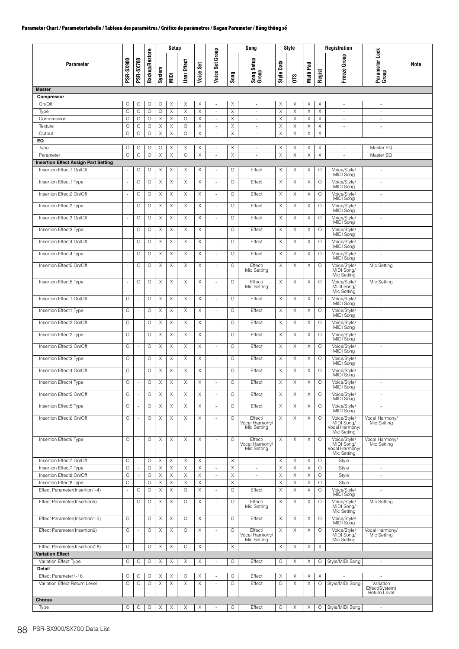|                                                                         |                          |                                            |                       |                  | Setup            |                       |           |                          |              | Song                                     |            | Style            |              |                  | <b>Registration</b>                                         |                                                      |      |
|-------------------------------------------------------------------------|--------------------------|--------------------------------------------|-----------------------|------------------|------------------|-----------------------|-----------|--------------------------|--------------|------------------------------------------|------------|------------------|--------------|------------------|-------------------------------------------------------------|------------------------------------------------------|------|
| Parameter                                                               | <b>PSR-SX900</b>         | <b>PSR-SX700</b>                           | <b>Backup/Restore</b> | System           | $\overline{M}$   | <b>Effect</b><br>User | Voice Set | Voice Set Group          | Song         | Song Setup<br>Group                      | Style Data | <b>OTS</b>       | Pad<br>Multi | Regist           | Group<br>Freeze                                             | Parameter Lock<br>Group                              | Note |
| <b>Master</b>                                                           |                          |                                            |                       |                  |                  |                       |           |                          |              |                                          |            |                  |              |                  |                                                             |                                                      |      |
| Compressor<br>On/Off                                                    | О                        | О                                          | O                     | O                | Χ                | X                     | Χ         | $\overline{\phantom{a}}$ | Χ            | $\overline{\phantom{a}}$                 | X          | Χ                | Χ            | Χ                | $\overline{\phantom{a}}$                                    | $\overline{\phantom{a}}$                             |      |
| Type                                                                    | $\circ$                  | $\circ$                                    | O                     | $\circ$          | X                | $\mathsf X$           | X         | $\sim$                   | X            | $\sim$                                   | Χ          | X                | X            | X                | $\overline{\phantom{a}}$                                    | $\overline{\phantom{a}}$                             |      |
| Compression                                                             | $\circ$                  | O                                          | O                     | X                | X                | $\circ$               | Χ         | $\overline{\phantom{a}}$ | X            | ×.                                       | X          | X                | Χ            | $\mathsf X$      | $\sim$                                                      | $\sim$                                               |      |
| Texture<br>Output                                                       | $\circ$<br>O             | O<br>O                                     | O<br>O                | X<br>$\mathsf X$ | X<br>$\mathsf X$ | O<br>$\circ$          | Χ<br>Χ    | $\overline{\phantom{a}}$ | X<br>Χ       | $\overline{\phantom{a}}$                 | Χ<br>Χ     | X<br>$\mathsf X$ | Χ<br>Χ       | Χ<br>$\mathsf X$ | ÷,                                                          | $\overline{\phantom{a}}$                             |      |
| EQ                                                                      |                          |                                            |                       |                  |                  |                       |           | $\overline{\phantom{a}}$ |              | $\overline{\phantom{a}}$                 |            |                  |              |                  | $\overline{\phantom{a}}$                                    | $\overline{\phantom{a}}$                             |      |
| Type                                                                    | $\circ$                  | O                                          | O                     | $\circ$          | X                | X                     | Χ         | $\overline{\phantom{a}}$ | X            | $\overline{\phantom{a}}$                 | X          | X                | Χ            | Χ                | $\overline{\phantom{a}}$                                    | Master EQ                                            |      |
| Parameter                                                               | $\circ$                  | $\circ$                                    | $\circ$               | X                | $\mathsf X$      | $\circ$               | X         | ÷,                       | X            | ÷,                                       | Χ          | X                | X            | $\mathsf X$      | $\omega$                                                    | Master EQ                                            |      |
| <b>Insertion Effect Assign Part Setting</b><br>Insertion Effect1 On/Off | $\blacksquare$           | О                                          | О                     | X                | X                | X                     | X         |                          | O            | Effect                                   | X          | Χ                | Χ            | O                | Voice/Style/                                                | ÷,                                                   |      |
|                                                                         |                          |                                            |                       |                  |                  |                       |           |                          |              |                                          |            |                  |              |                  | MIDI Song                                                   |                                                      |      |
| Insertion Effect1 Type                                                  | $\overline{\phantom{a}}$ | $\circ$                                    | O                     | X                | $\mathsf X$      | $\mathsf X$           | X         |                          | $\circ$      | Effect                                   | Χ          | X                | Χ            | $\circ$          | Voice/Style/<br>MIDI Song                                   | $\sim$                                               |      |
| Insertion Effect2 On/Off                                                | $\sim$                   | $\circ$                                    | $\circ$               | X                | X                | X                     | Χ         | $\sim$                   | $\circ$      | Effect                                   | Χ          | X                | X            | $\circ$          | Voice/Style/<br>MIDI Song                                   | $\sim$                                               |      |
| Insertion Effect2 Type                                                  | ÷,                       | $\circ$                                    | O                     | X                | X                | X                     | Χ         | $\overline{\phantom{a}}$ | $\circ$      | Effect                                   | X          | X                | Χ            | $\circ$          | Voice/Style/<br>MIDI Song                                   | ÷,                                                   |      |
| Insertion Effect3 On/Off                                                | $\overline{\phantom{a}}$ | O                                          | O                     | Χ                | X                | X                     | Χ         | $\sim$                   | $\circ$      | Effect                                   | Χ          | Χ                | Χ            | O                |                                                             | à.                                                   |      |
|                                                                         |                          |                                            |                       |                  |                  |                       |           |                          |              |                                          |            |                  |              |                  | Voice/Style/<br>MIDI Song                                   |                                                      |      |
| Insertion Effect3 Type                                                  | ÷,                       | O                                          | O                     | X                | X                | X                     | X         | ×.                       | $\circ$      | Effect                                   | X          | X                | Χ            | O                | Voice/Style/<br>MIDI Song                                   | ÷                                                    |      |
| Insertion Effect4 On/Off                                                | $\overline{\phantom{a}}$ | $\circ$                                    | О                     | X                | X                | X                     | X         | ×.                       | $\circ$      | Effect                                   | X          | X                | X            | $\circ$          | Voice/Style/<br>MIDI Song                                   | $\overline{\phantom{a}}$                             |      |
| Insertion Effect4 Type                                                  | $\blacksquare$           | O                                          | O                     | X                | $\mathsf X$      | $\times$              | X         | $\sim$                   | $\circ$      | Effect                                   | X          | X                | X            | $\circ$          | Voice/Style/                                                | $\sim$                                               |      |
| Insertion Effect5 On/Off                                                | $\overline{\phantom{a}}$ | $\circ$                                    | $\circ$               | X                | X                | X                     | X         | $\overline{\phantom{a}}$ | O            | Effect/                                  | Χ          | X                | Χ            | $\circ$          | MIDI Song                                                   | Mic Setting                                          |      |
|                                                                         |                          |                                            |                       |                  |                  |                       |           |                          |              | Mic Setting                              |            |                  |              |                  | Voice/Style/<br>MIDI Song/<br>Mic Setting                   |                                                      |      |
| Insertion Effect5 Type                                                  |                          | $\circ$                                    | О                     | X                | X                | X                     | Χ         |                          | $\circ$      | Effect/<br>Mic Setting                   | X          | X                | Χ            | $\circ$          | Voice/Style/<br>MIDI Song/<br>Mic Setting                   | Mic Setting                                          |      |
| Insertion Effect1 On/Off                                                | O                        | $\overline{\phantom{a}}$                   | О                     | Χ                | X                | X                     | Χ         | ×.                       | O            | Effect                                   | Χ          | Χ                | Χ            | O                | Voice/Style/                                                | à.                                                   |      |
| Insertion Effect1 Type                                                  | O                        | ÷,                                         | О                     | X                | X                | X                     | X         | $\sim$                   | O            | Effect                                   | Χ          | X                | Χ            | O                | MIDI Song<br>Voice/Style/                                   | $\sim$                                               |      |
| Insertion Effect2 On/Off                                                | O                        |                                            | O                     | X                | X                | X                     | X         | ×.                       | $\circ$      | Effect                                   | X          | X                | X            | $\circ$          | MIDI Song                                                   | à.                                                   |      |
|                                                                         |                          |                                            |                       |                  |                  |                       |           |                          |              |                                          |            |                  |              |                  | Voice/Style/<br>MIDI Song                                   |                                                      |      |
| Insertion Effect2 Type                                                  | $\circ$                  | $\sim$                                     | O                     | $\mathsf X$      | $\mathsf X$      | $\mathsf X$           | X         | ×.                       | $\circ$      | Effect                                   | X          | $\mathsf X$      | X            | $\circ$          | Voice/Style/<br>MIDI Song                                   | ÷,                                                   |      |
| Insertion Effect3 On/Off                                                | O                        | $\overline{\phantom{a}}$                   | O                     | X                | X                | X                     | X         | $\sim$                   | $\circ$      | Effect                                   | Χ          | X                | X            | O                | Voice/Style/<br>MIDI Song                                   | $\sim$                                               |      |
| Insertion Effect3 Type                                                  | O                        | ÷,                                         | O                     | X                | $\times$         | X                     | Χ         | $\overline{\phantom{a}}$ | $\circ$      | Effect                                   | Χ          | Χ                | Χ            | $\circ$          | Voice/Style/<br>MIDI Song                                   | ÷,                                                   |      |
| Insertion Effect4 On/Off                                                | O                        | ×,                                         | О                     | X                | X                | Χ                     | X         | ×.                       | O            | Effect                                   | X          | Χ                | Χ            | O                | Voice/Style/<br>MIDI Song                                   | $\sim$                                               |      |
| Insertion Effect4 Type                                                  | O                        | $\overline{\phantom{a}}$                   | O                     | X                | X                | X                     | Χ         | $\sim$                   | O            | Effect                                   | Χ          | X                | Χ            | O                | Voice/Style/                                                | ÷                                                    |      |
| Insertion Effect5 On/Off                                                | O                        | ÷,                                         | O                     | X                | X                | Χ                     | Χ         |                          | $\circ$      | Effect                                   | X          | X                | Χ            | O                | MIDI Song<br>Voice/Style/                                   |                                                      |      |
| Insertion Effect5 Type                                                  | $\circ$                  | $\overline{\phantom{a}}$                   | O                     | X                | $\times$         | X                     | Χ         | $\sim$                   | $\circ$      | Effect                                   | Χ          | X                | X            | $\circ$          | MIDI Song<br>Voice/Style/                                   | $\sim$                                               |      |
|                                                                         |                          |                                            |                       |                  |                  |                       |           |                          |              |                                          |            |                  |              |                  | MIDI Song                                                   |                                                      |      |
| Insertion Effect6 On/Off                                                | $\circ$                  | $\overline{\phantom{a}}$                   | O                     | X                | X                | X                     | X         | $\sim$                   | $\circ$      | Effect/<br>Vocal Harmony/<br>Mic Setting | Χ          | X                | Χ            | $\circ$          | Voice/Style/<br>MIDI Song/<br>Vocal Harmony/<br>Mic Setting | Vocal Harmony/<br>Mic Setting                        |      |
| Insertion Effect6 Type                                                  | $\circ$                  | ÷,                                         | O                     | X                | X                | X                     | Χ         |                          | $\circ$      | Effect/<br>Vocal Harmony/<br>Mic Setting | Χ          | X                | Χ            | $\circ$          | Voice/Style/<br>MIDI Song/<br>Vocal Harmony/<br>Mic Setting | Vocal Harmony/<br>Mic Setting                        |      |
| Insertion Effect7 On/Off                                                | O                        | $\mathcal{L}$                              | O<br>O                | Χ<br>X           | Χ                | X<br>X                | X         | ÷,                       | X<br>X       | $\bar{a}$                                | Χ          | Χ<br>X           | X            | O                | Style                                                       | $\omega$                                             |      |
| Insertion Effect7 Type<br>Insertion Effect8 On/Off                      | O<br>O                   | $\overline{\phantom{a}}$<br>$\blacksquare$ | O                     | X                | X<br>X           | Χ                     | Χ<br>X    |                          | Χ            | $\sim$<br>÷,                             | Χ<br>X     | X                | Χ<br>Χ       | O<br>$\circ$     | Style<br>Style                                              | $\overline{\phantom{a}}$<br>$\overline{\phantom{a}}$ |      |
| Insertion Effect8 Type                                                  | $\circ$                  | $\sim$                                     | O                     | X                | X                | X                     | Χ         | $\overline{\phantom{a}}$ | X            | $\overline{\phantom{a}}$                 | Χ          | X                | Χ            | $\circ$          | Style                                                       | $\sim$                                               |      |
| Effect Parameter(Insertion1-4)                                          | ÷,                       | $\circ$                                    | $\circ$               | X                | $\times$         | $\circ$               | X         | $\sim$                   | $\circ$      | Effect                                   | X          | X                | X            | $\circ$          | Voice/Style/<br>MIDI Song                                   | ÷                                                    |      |
| Effect Parameter(Insertion5)                                            | $\overline{\phantom{a}}$ | $\circ$                                    | O                     | X                | $\times$         | $\circ$               | Χ         | $\overline{\phantom{a}}$ | $\circ$      | Effect/<br>Mic Setting                   | Χ          | X                | Χ            | $\circ$          | Voice/Style/<br>MIDI Song/<br>Mic Setting                   | Mic Setting                                          |      |
| Effect Parameter(Insertion1-5)                                          | O                        | $\sim$                                     | O                     | Χ                | Χ                | O                     | Χ         | ×.                       | O            | Effect                                   | X          | Χ                | Χ            | O                | Voice/Style/<br>MIDI Song                                   | ÷.                                                   |      |
| Effect Parameter(Insertion6)                                            | O                        | ×,                                         | O                     | X                | $\times$         | O                     | X         |                          | O            | Effect/<br>Vocal Harmony/<br>Mic Setting | Χ          | Χ                | X            | O                | Voice/Style/<br>MIDI Song/<br>Mic Setting                   | Vocal Harmony/<br>Mic Setting                        |      |
| Effect Parameter(Insertion7-8)                                          | $\circ$                  | ÷,                                         | O                     | X                | $\times$         | $\circ$               | Χ         |                          | X            |                                          | X          | X                | Χ            | X                |                                                             | $\overline{\phantom{a}}$                             |      |
| <b>Variation Effect</b><br>Variation Effect Type                        | O                        | О                                          | $\circ$               | X                | X                | Χ                     | X         | $\sim$                   | $\circ$      | Effect                                   | $\circ$    | Χ                | X            | O                | Style/MIDI Song                                             | $\omega$                                             |      |
| Detail                                                                  |                          |                                            |                       |                  |                  |                       |           |                          |              |                                          |            |                  |              |                  |                                                             |                                                      |      |
| Effect Parameter1-16<br>Variation Effect Return Level                   | О<br>O                   | O<br>$\circ$                               | О<br>$\circ$          | Χ<br>X           | Χ<br>X           | O<br>X                | Χ<br>Χ    | $\sim$                   | $\circ$<br>O | Effect<br>Effect                         | X<br>O     | X<br>X           | X<br>X       | X<br>O           | Style/MIDI Song                                             | Variation<br>Effect(System)<br>Return Level          |      |
| Chorus                                                                  |                          |                                            |                       |                  |                  |                       |           |                          |              |                                          |            |                  |              |                  |                                                             |                                                      |      |
| Type                                                                    | О                        | O                                          | O                     | X                | X                | X                     | X         | ÷                        | $\circ$      | Effect                                   | $\circ$    | Χ                | Χ            | О                | Style/MIDI Song                                             | $\overline{\phantom{a}}$                             |      |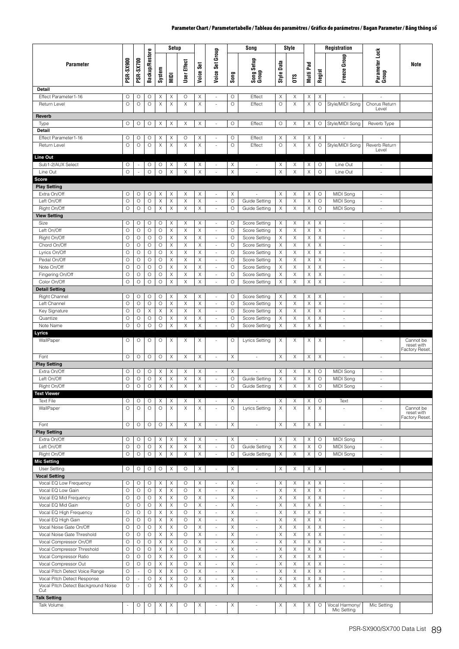|                                                        |                    |                          |                       |             | Setup                     |                    |           |                                                      |              | Song                                                 |                 | Style  |                       |         | Registration                                         |                                           |                                           |
|--------------------------------------------------------|--------------------|--------------------------|-----------------------|-------------|---------------------------|--------------------|-----------|------------------------------------------------------|--------------|------------------------------------------------------|-----------------|--------|-----------------------|---------|------------------------------------------------------|-------------------------------------------|-------------------------------------------|
| <b>Parameter</b>                                       | PSR-SX900          | <b>PSR-SX700</b>         | <b>Backup/Restore</b> | System      | NIDI                      | User Effect        | Voice Set | Voice Set Group                                      | Song         | Song Setup<br>Group                                  | Data<br>Style I | СTS    | Multi Pad             | Regist  | Freeze Group                                         | Parameter Lock<br>Group                   | Note                                      |
| Detail<br>Effect Parameter1-16                         | O                  | О                        | O                     | Χ           | Χ                         | O                  | X         | $\overline{\phantom{a}}$                             | O            | Effect                                               | Χ               | X      | Χ                     | Χ       | $\sim$                                               | ä,                                        |                                           |
| Return Level                                           | $\circ$            | O                        | $\circ$               | X           | Χ                         | X                  | X         | ÷,                                                   | $\circ$      | Effect                                               | O               | X      | X                     | O       | Style/MIDI Song                                      | Chorus Return<br>Level                    |                                           |
| Reverb<br>Type                                         | O                  | O                        | O                     | X           | $\boldsymbol{\times}$     | X                  | X         | ÷,                                                   | O            | Effect                                               | $\circ$         | Χ      | X                     | O       | Style/MIDI Song                                      | Reverb Type                               |                                           |
| Detail                                                 |                    |                          |                       |             |                           |                    |           |                                                      |              |                                                      |                 |        |                       |         |                                                      |                                           |                                           |
| Effect Parameter1-16                                   | O                  | О                        | O                     | Χ           | Χ                         | O                  | X         | ÷,                                                   | O            | Effect                                               | Χ               | X      | Χ                     | Χ       | $\sim$                                               | ÷,                                        |                                           |
| Return Level                                           | O                  | $\circ$                  | $\circ$               | X           | X                         | X                  | X         | ÷,                                                   | $\circ$      | Effect                                               | $\circ$         | X      | X                     | O       | Style/MIDI Song                                      | Reverb Return<br>Level                    |                                           |
| <b>Line Out</b>                                        |                    |                          |                       |             |                           |                    |           |                                                      |              |                                                      |                 |        |                       |         |                                                      |                                           |                                           |
| Sub1-2/AUX Select                                      | О                  | $\sim$                   | О                     | O           | Χ                         | Χ                  | Χ         | $\overline{\phantom{a}}$                             | Χ            | $\overline{\phantom{a}}$                             | Χ               | Χ      | X                     | O       | Line Out                                             | $\overline{\phantom{a}}$                  |                                           |
| Line Out<br>Score                                      | $\circ$            |                          | $\circ$               | $\circ$     | Χ                         | $\mathsf X$        | Χ         | ÷,                                                   | X            | ÷,                                                   | Χ               | Χ      | Χ                     | $\circ$ | Line Out                                             | ä,                                        |                                           |
| <b>Play Setting</b>                                    |                    |                          |                       |             |                           |                    |           |                                                      |              |                                                      |                 |        |                       |         |                                                      |                                           |                                           |
| Extra On/Off                                           | O                  | O                        | O                     | Χ           | Χ                         | X                  | Χ         | $\overline{\phantom{a}}$                             | Χ            | ä,                                                   | X               | X      | Χ                     | O       | MIDI Song                                            | $\overline{\phantom{a}}$                  |                                           |
| Left On/Off                                            | $\circ$            | $\circ$                  | $\bigcirc$            | $\mathsf X$ | X                         | X                  | X         | $\overline{\phantom{a}}$                             | $\circ$      | <b>Guide Setting</b>                                 | X               | Χ      | $\boldsymbol{\times}$ | $\circ$ | MIDI Song                                            | $\sim$                                    |                                           |
| Right On/Off<br><b>View Setting</b>                    | O                  | $\circ$                  | $\circ$               | $\mathsf X$ | X                         | X                  | Χ         | ÷,                                                   | O            | <b>Guide Setting</b>                                 | Χ               | X      | X                     | O       | MIDI Song                                            | ä,                                        |                                           |
| Size                                                   | О                  | O                        | О                     | O           | X                         | X                  | Χ         | $\overline{\phantom{a}}$                             | O            | Score Setting                                        | Χ               | Χ      | Χ                     | Χ       | $\sim$                                               | $\overline{\phantom{a}}$                  |                                           |
| Left On/Off                                            | O                  | O                        | О                     | O           | Χ                         | X                  | X         | $\overline{\phantom{a}}$                             | $\circ$      | Score Setting                                        | X               | X      | X                     | Χ       | $\overline{\phantom{a}}$                             | $\omega$                                  |                                           |
| Right On/Off                                           | $\circ$            | O                        | O                     | O           | Χ                         | X                  | X         | ÷,                                                   | O            | Score Setting                                        | Χ               | Χ      | Χ                     | Χ       | $\overline{\phantom{a}}$                             | ÷,                                        |                                           |
| Chord On/Off                                           | O                  | O                        | $\circ$               | O           | Χ                         | X                  | X         | $\overline{\phantom{a}}$                             | $\circ$      | Score Setting                                        | Χ               | X      | Χ                     | Χ       | $\overline{\phantom{a}}$                             | $\overline{\phantom{a}}$                  |                                           |
| Lyrics On/Off                                          | O                  | O                        | O                     | O           | X                         | X                  | X         | $\omega$                                             | O            | Score Setting                                        | Χ               | X      | X                     | Χ       | $\sim$                                               | ä,                                        |                                           |
| Pedal On/Off<br>Note On/Off                            | $\circ$<br>$\circ$ | O<br>O                   | O<br>$\circ$          | O<br>O      | X<br>X                    | X<br>Χ             | Χ<br>Χ    | $\overline{\phantom{a}}$<br>$\overline{\phantom{a}}$ | O<br>$\circ$ | Score Setting<br>Score Setting                       | Χ<br>X          | X<br>Χ | Χ<br>X                | X<br>X  | $\overline{\phantom{a}}$<br>$\overline{\phantom{a}}$ | ÷,<br>$\overline{\phantom{a}}$            |                                           |
| Fingering On/Off                                       | O                  | O                        | O                     | O           | Χ                         | X                  | Χ         | $\overline{\phantom{a}}$                             | O            | Score Setting                                        | Χ               | Χ      | X                     | Χ       | $\sim$                                               | $\sim$                                    |                                           |
| Color On/Off                                           | $\circ$            | $\circ$                  | $\circ$               | $\circ$     | X                         | Χ                  | X         | $\overline{\phantom{a}}$                             | $\circ$      | Score Setting                                        | X               | X      | Χ                     | X       | $\overline{\phantom{a}}$                             | $\overline{\phantom{a}}$                  |                                           |
| <b>Detail Setting</b>                                  |                    |                          |                       |             |                           |                    |           |                                                      |              |                                                      |                 |        |                       |         |                                                      |                                           |                                           |
| <b>Right Channel</b>                                   | O                  | O                        | O                     | O           | Χ                         | X                  | Χ         | $\overline{\phantom{a}}$                             | $\circ$      | Score Setting                                        | Χ               | Χ      | X                     | Χ       | $\overline{\phantom{a}}$                             | $\overline{\phantom{a}}$                  |                                           |
| Left Channel                                           | $\circ$<br>O       | O<br>O                   | O<br>X                | O<br>X      | X<br>X                    | X<br>X             | Χ<br>X    | $\overline{\phantom{a}}$                             | $\circ$<br>O | Score Setting                                        | Χ<br>X          | Χ<br>X | X<br>Χ                | X<br>Χ  | $\overline{\phantom{a}}$                             | $\overline{\phantom{a}}$                  |                                           |
| Key Signature<br>Quantize                              | $\circ$            | $\circ$                  | $\circ$               | $\circ$     | X                         | X                  | X         | $\overline{\phantom{a}}$<br>$\overline{\phantom{a}}$ | $\circ$      | Score Setting<br>Score Setting                       | X               | Χ      | X                     | X       | $\overline{\phantom{a}}$<br>×                        | $\overline{\phantom{a}}$<br>$\sim$        |                                           |
| Note Name                                              | $\circ$            | $\circ$                  | $\circ$               | $\circ$     | X                         | X                  | Χ         | ÷,                                                   | $\circ$      | Score Setting                                        | X               | X      | Χ                     | X       | $\overline{\phantom{a}}$                             | $\blacksquare$                            |                                           |
| Lyrics                                                 |                    |                          |                       |             |                           |                    |           |                                                      |              |                                                      |                 |        |                       |         |                                                      |                                           |                                           |
| WallPaper                                              | O                  | O                        | О                     | O           | X                         | Χ                  | Χ         | $\overline{\phantom{a}}$                             | O            | <b>Lyrics Setting</b>                                | Χ               | X      | Χ                     | Χ       | $\overline{\phantom{a}}$                             | $\overline{\phantom{a}}$                  | Cannot be<br>reset with<br>Factory Reset. |
| Font                                                   | $\circ$            | O                        | O                     | O           | X                         | X                  | Χ         | ÷,                                                   | Χ            |                                                      | Χ               | Χ      | X                     | Χ       | $\overline{\phantom{a}}$                             | ÷,                                        |                                           |
| <b>Play Setting</b><br>Extra On/Off                    | O                  | O                        | O                     | Χ           | X                         | X                  | Χ         | $\sim$                                               | Χ            | ×.                                                   | X               | X      | X                     | $\circ$ | MIDI Song                                            | $\sim$                                    |                                           |
| Left On/Off                                            | O                  | $\circ$                  | $\circ$               | Χ           | X                         | X                  | Χ         | $\overline{\phantom{a}}$                             | $\circ$      | <b>Guide Setting</b>                                 | X               | Χ      | X                     | $\circ$ | MIDI Song                                            | $\overline{\phantom{a}}$                  |                                           |
| Right On/Off                                           | $\circ$            | $\circ$                  | $\circ$               | $\mathsf X$ | $\boldsymbol{\times}$     | $\times$           | X         | ×,                                                   | $\circ$      | <b>Guide Setting</b>                                 | X               | Χ      | $\times$              | $\circ$ | MIDI Song                                            | $\sim$                                    |                                           |
| <b>Text Viewer</b>                                     |                    |                          |                       |             |                           |                    |           |                                                      |              |                                                      |                 |        |                       |         |                                                      |                                           |                                           |
| <b>Text File</b>                                       | O                  | O                        | 0                     | Χ           | Χ                         | Χ                  | Χ         | $\overline{\phantom{a}}$                             | Χ            | ÷,                                                   | Χ               | Χ      | Χ                     | O       | Text                                                 | $\overline{\phantom{a}}$                  |                                           |
| WallPaper                                              | $\circ$            | $\circ$                  | $\circ$               | $\circ$     | $\mathsf X$               | X                  | X         | $\sim$                                               | $\circ$      | <b>Lyrics Setting</b>                                | X               | X      | $\times$              | X       | $\sim$                                               | ä,                                        | Cannot be<br>reset with<br>Factory Reset. |
| Font<br><b>Play Setting</b>                            | $\circ$            | $\circ$                  | $\circ$               | $\circ$     | X                         | X                  | Χ         | $\omega$                                             | X            | $\sim$                                               | X               | X      | X                     | X       | $\omega$                                             | $\sim$                                    |                                           |
| Extra On/Off                                           | $\circ$            | O                        | $\circ$               | Χ           | Χ                         | X                  | Χ         | $\overline{\phantom{a}}$                             | X            | ä,                                                   | Χ               | Χ      | X                     | O       | MIDI Song                                            | $\overline{\phantom{a}}$                  |                                           |
| Left On/Off                                            | $\circ$            | O                        | O                     | X           | X                         | X                  | Χ         | $\overline{\phantom{a}}$                             | $\circ$      | Guide Setting                                        | X               | X      | X                     | $\circ$ | MIDI Song                                            | $\overline{\phantom{a}}$                  |                                           |
| Right On/Off                                           | $\circ$            | $\circ$                  | $\circ$               | $\mathsf X$ | X                         | X                  | Χ         | ÷,                                                   | $\circ$      | <b>Guide Setting</b>                                 | X               | X      | Χ                     | $\circ$ | <b>MIDI Song</b>                                     | $\frac{1}{2}$                             |                                           |
| <b>Mic Setting</b>                                     |                    |                          |                       |             |                           |                    |           |                                                      |              |                                                      |                 |        |                       |         |                                                      |                                           |                                           |
| <b>User Setting</b><br><b>Vocal Setting</b>            | O                  | 0                        | $\circ$               | $\circ$     | $\boldsymbol{\mathsf{X}}$ | $\circ$            | $\times$  | $\overline{\phantom{a}}$                             | X            | $\overline{\phantom{a}}$                             | X               | Χ      | X                     | Χ       | $\overline{\phantom{a}}$                             | $\overline{\phantom{a}}$                  |                                           |
| Vocal EQ Low Frequency                                 | О                  | O                        | O                     | Χ           | Χ                         | O                  | Χ         | $\overline{\phantom{a}}$                             | Χ            | $\overline{\phantom{a}}$                             | X               | Χ      | Χ                     | Χ       | $\overline{\phantom{a}}$                             | $\overline{\phantom{a}}$                  |                                           |
| Vocal EQ Low Gain                                      | $\circ$            | $\circ$                  | $\circ$               | X           | $\boldsymbol{\mathsf{X}}$ | $\circ$            | X         | $\sim$                                               | X            | ä,                                                   | X               | X      | X                     | X       | $\omega$                                             | $\omega$                                  |                                           |
| Vocal EQ Mid Frequency                                 | $\circ$            | O                        | $\circ$               | X           | X                         | $\circ$            | X         | $\overline{\phantom{a}}$                             | X            | $\overline{\phantom{a}}$                             | X               | X      | X                     | X       | $\overline{\phantom{a}}$                             | $\overline{\phantom{a}}$                  |                                           |
| Vocal EQ Mid Gain                                      | $\circ$            | $\circ$                  | $\circ$               | $\mathsf X$ | X                         | $\circ$            | X         | $\overline{\phantom{a}}$                             | $\mathsf X$  | ÷.                                                   | X               | X      | X                     | X       | $\sim$                                               | $\overline{\phantom{a}}$                  |                                           |
| Vocal EQ High Frequency<br>Vocal EQ High Gain          | O<br>$\circ$       | $\circ$<br>$\circ$       | $\circ$<br>$\circ$    | X<br>X      | Χ<br>X                    | $\circ$<br>$\circ$ | X<br>X    | $\overline{\phantom{a}}$<br>÷,                       | X<br>X       | $\overline{\phantom{a}}$<br>$\overline{\phantom{a}}$ | X<br>X          | X<br>X | X<br>X                | X<br>X  | $\sim$<br>$\overline{\phantom{a}}$                   | $\overline{\phantom{a}}$<br>$\frac{1}{2}$ |                                           |
| Vocal Noise Gate On/Off                                | O                  | $\circ$                  | $\circ$               | X           | X                         | $\circ$            | X         | $\sim$                                               | X            | $\overline{\phantom{a}}$                             | X               | X      | Χ                     | X       | $\overline{\phantom{a}}$                             | $\overline{\phantom{a}}$                  |                                           |
| Vocal Noise Gate Threshold                             | $\circ$            | $\circ$                  | $\circ$               | X           | X                         | $\circ$            | Χ         | $\overline{\phantom{a}}$                             | X            | $\overline{\phantom{a}}$                             | X               | X      | Χ                     | X       | $\overline{\phantom{a}}$                             | $\overline{\phantom{a}}$                  |                                           |
| Vocal Compressor On/Off                                | $\circ$            | $\circ$                  | $\circ$               | X           | X                         | $\circ$            | X         | $\overline{\phantom{a}}$                             | X            | $\frac{1}{2}$                                        | Χ               | X      | X                     | X       | $\overline{\phantom{a}}$                             | $\overline{\phantom{a}}$                  |                                           |
| Vocal Compressor Threshold                             | $\circ$            | O                        | $\circ$               | X           | X                         | $\circ$            | X         | $\overline{\phantom{a}}$                             | $\mathsf X$  | $\overline{\phantom{a}}$                             | X               | X      | Χ                     | X       | $\overline{\phantom{a}}$                             | $\overline{\phantom{a}}$                  |                                           |
| Vocal Compressor Ratio                                 | O<br>$\circ$       | $\circ$                  | $\circ$               | X           | X                         | $\circ$            | $\times$  | ×.                                                   | X            | $\sim$                                               | Χ               | X      | X                     | X       | $\sim$                                               | $\sim$                                    |                                           |
| Vocal Compressor Out<br>Vocal Pitch Detect Voice Range | $\circ$            | $\circ$<br>$\sim$        | $\circ$<br>$\circ$    | X<br>Χ      | X<br>Χ                    | $\circ$<br>$\circ$ | X<br>X    | $\overline{\phantom{a}}$<br>$\sim$                   | X<br>Χ       | $\overline{\phantom{a}}$<br>ä,                       | X<br>Χ          | X<br>X | X<br>X                | X<br>X  | $\overline{\phantom{a}}$<br>$\bar{a}$                | $\overline{\phantom{a}}$<br>×.            |                                           |
| Vocal Pitch Detect Response                            | $\circ$            | $\overline{\phantom{a}}$ | $\circ$               | X           | X                         | $\circ$            | X         | $\overline{\phantom{a}}$                             | X            | $\overline{\phantom{a}}$                             | Χ               | X      | X                     | X       | $\bar{a}$                                            | $\sim$                                    |                                           |
| Vocal Pitch Detect Background Noise                    | $\circ$            | ÷,                       | $\circ$               | X           | X                         | $\circ$            | X         | ÷,                                                   | X            | ÷,                                                   | X               | X      | X                     | X       | $\overline{\phantom{a}}$                             | $\frac{1}{2}$                             |                                           |
| Cut<br><b>Talk Setting</b>                             |                    |                          |                       |             |                           |                    |           |                                                      |              |                                                      |                 |        |                       |         |                                                      |                                           |                                           |
| Talk Volume                                            | ×.                 | O                        | O                     | X           | X                         | O                  | Χ         | ÷,                                                   | Χ            | $\sim$                                               | Χ               | Χ      | Χ                     | O       | Vocal Harmony/                                       | Mic Setting                               |                                           |
|                                                        |                    |                          |                       |             |                           |                    |           |                                                      |              |                                                      |                 |        |                       |         | Mic Setting                                          |                                           |                                           |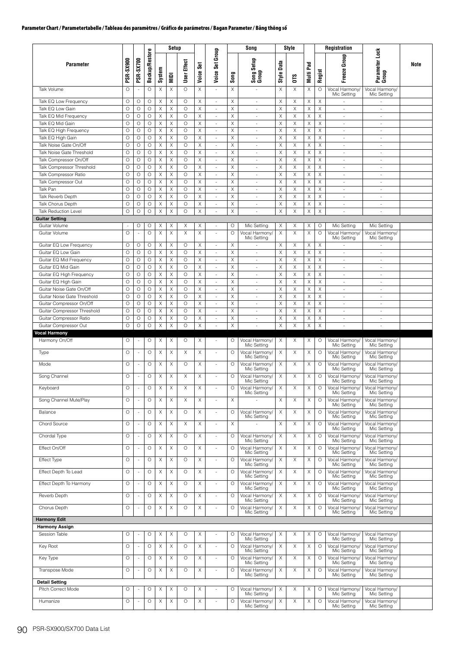|                                                         |                                     |                               |                       |                  | Setup                     |                    |               |                                                      |                    | Song                                         |                            | Style         |                            |                            | <b>Registration</b>                          |                                              |             |
|---------------------------------------------------------|-------------------------------------|-------------------------------|-----------------------|------------------|---------------------------|--------------------|---------------|------------------------------------------------------|--------------------|----------------------------------------------|----------------------------|---------------|----------------------------|----------------------------|----------------------------------------------|----------------------------------------------|-------------|
| <b>Parameter</b>                                        | PSR-SX900                           | <b>PSR-SX700</b>              | <b>Backup/Restore</b> | System           | NIDI                      | User Effect        | Set<br>Voice: | Group<br>Voice Set                                   | Song               | Song Setup<br>Group                          | Data<br>Style I            | <b>OTS</b>    | Pad<br>Multi               | Regist                     | Group<br>Freeze <sup>1</sup>                 | Parameter Lock<br>Group                      | <b>Note</b> |
| Talk Volume                                             | O                                   | $\sim$                        | O                     | Χ                | Χ                         | $\circ$            | Χ             | ä,                                                   | Χ                  |                                              | X                          | X             | Χ                          | O                          | Vocal Harmony/<br>Mic Setting                | Vocal Harmony/<br>Mic Setting                |             |
| Talk EQ Low Frequency                                   | O                                   | О                             | О                     | Χ                | X                         | $\circ$<br>$\circ$ | Χ             | ä,                                                   | X                  | ×.                                           | X                          | Χ             | Χ                          | Χ<br>$\mathsf X$           |                                              |                                              |             |
| Talk EQ Low Gain<br>Talk EQ Mid Frequency               | $\circ$<br>$\circ$                  | O<br>$\circ$                  | O<br>$\circ$          | X<br>$\mathsf X$ | X<br>X                    | $\circ$            | X<br>X        | $\overline{\phantom{a}}$<br>×.                       | Χ<br>X             | $\overline{\phantom{a}}$<br>$\sim$           | $\mathsf X$<br>X           | X<br>X        | X<br>$\boldsymbol{\times}$ | $\mathsf X$                | $\sim$<br>$\overline{\phantom{a}}$           | $\overline{\phantom{a}}$<br>$\sim$           |             |
| Talk EQ Mid Gain                                        | O                                   | O                             | O                     | X                | X                         | $\circ$            | Χ             | $\overline{\phantom{a}}$                             | Χ                  | $\overline{\phantom{a}}$                     | X                          | X             | X                          | X                          | $\overline{\phantom{a}}$                     | $\overline{\phantom{a}}$                     |             |
| Talk EQ High Frequency                                  | $\circ$                             | $\circ$                       | $\circ$               | X                | X                         | $\circ$            | Χ             | ×.                                                   | Χ                  | $\sim$                                       | X                          | X             | $\boldsymbol{\times}$      | $\mathsf X$                | $\sim$                                       | $\sim$                                       |             |
| Talk EQ High Gain<br>Talk Noise Gate On/Off             | $\circ$<br>$\circ$                  | $\circ$<br>O                  | $\circ$<br>O          | X<br>X           | X<br>X                    | $\circ$<br>$\circ$ | Χ<br>X        | $\overline{\phantom{a}}$<br>$\overline{\phantom{a}}$ | X<br>Χ             | $\sim$<br>$\overline{\phantom{a}}$           | X<br>Χ                     | X<br>X        | X<br>X                     | $\mathsf X$<br>Χ           | ÷.<br>÷,                                     | $\sim$<br>$\overline{\phantom{a}}$           |             |
| Talk Noise Gate Threshold                               | $\circ$                             | $\circ$                       | $\circ$               | $\mathsf X$      | X                         | $\circ$            | X             | $\overline{\phantom{a}}$                             | Χ                  | $\sim$                                       | X                          | X             | $\mathsf X$                | $\mathsf X$                | $\sim$                                       | $\sim$                                       |             |
| Talk Compressor On/Off                                  | $\circ$                             | O                             | O                     | $\mathsf X$      | $\boldsymbol{\mathsf{X}}$ | $\circ$            | X             | $\overline{\phantom{a}}$                             | X                  | ×.                                           | $\mathsf X$                | X             | $\mathsf X$                | $\mathsf X$                | $\sim$                                       | ×                                            |             |
| Talk Compressor Threshold<br>Talk Compressor Ratio      | O<br>$\circ$                        | O<br>$\circ$                  | $\circ$<br>$\circ$    | X<br>X           | Χ<br>X                    | $\circ$<br>$\circ$ | Χ<br>X        | $\overline{\phantom{a}}$<br>$\overline{\phantom{a}}$ | Χ<br>Χ             | $\sim$<br>×.                                 | X<br>X                     | X<br>X        | X<br>X                     | X<br>$\times$              | ÷,<br>$\sim$                                 | $\overline{\phantom{a}}$<br>$\sim$           |             |
| Talk Compressor Out                                     | $\circ$                             | $\circ$                       | $\circ$               | X                | X                         | $\circ$            | Χ             | ÷                                                    | X                  | $\sim$                                       | Χ                          | X             | X                          | $\mathsf X$                | $\sim$                                       | $\sim$                                       |             |
| Talk Pan                                                | $\circ$                             | $\circ$                       | O                     | X                | Χ                         | $\circ$            | X             | ÷,                                                   | Χ                  | $\sim$                                       | X                          | X             | X                          | X                          | ÷,                                           | $\overline{\phantom{a}}$                     |             |
| Talk Reverb Depth                                       | O                                   | O                             | O                     | X                | Χ                         | $\circ$<br>$\circ$ | X             | $\overline{\phantom{a}}$                             | Χ                  | $\overline{\phantom{a}}$                     | $\mathsf X$                | X             | X                          | $\mathsf X$<br>$\mathsf X$ | $\overline{\phantom{a}}$                     | $\overline{\phantom{a}}$                     |             |
| Talk Chorus Depth<br><b>Talk Reduction Level</b>        | $\circ$<br>$\circ$                  | $\circ$<br>O                  | O<br>$\circ$          | X<br>X           | Χ<br>Χ                    | $\circ$            | Χ<br>X        | $\sim$<br>$\overline{\phantom{a}}$                   | X<br>Χ             | $\sim$<br>×.                                 | X<br>X                     | X<br>X        | X<br>X                     | X                          | $\sim$<br>$\overline{\phantom{a}}$           | $\sim$<br>à.                                 |             |
| <b>Guitar Setting</b>                                   |                                     |                               |                       |                  |                           |                    |               |                                                      |                    |                                              |                            |               |                            |                            |                                              |                                              |             |
| Guitar Volume<br>Guitar Volume                          | $\overline{\phantom{a}}$<br>$\circ$ | О<br>$\overline{\phantom{a}}$ | О<br>$\circ$          | Χ<br>X           | Χ<br>Χ                    | Χ<br>X             | Χ<br>X        | $\sim$<br>÷,                                         | $\circ$<br>$\circ$ | Mic Setting<br>Vocal Harmony/<br>Mic Settina | Χ<br>X                     | Χ<br>$\times$ | Χ<br>X                     | О<br>$\circ$               | Mic Setting<br>Vocal Harmony/<br>Mic Setting | Mic Setting<br>Vocal Harmony/<br>Mic Setting |             |
| Guitar EQ Low Frequency                                 | O                                   | О                             | O                     | X                | Χ                         | $\circ$            | X             | $\overline{\phantom{a}}$                             | X                  |                                              | X                          | X             | X                          | X                          | $\overline{\phantom{a}}$                     | ٠                                            |             |
| Guitar EQ Low Gain                                      | $\circ$<br>$\circ$                  | $\circ$<br>O                  | $\circ$<br>$\circ$    | X<br>X           | X<br>Χ                    | $\circ$<br>$\circ$ | Χ             | $\overline{\phantom{a}}$                             | X<br>Χ             | $\omega$                                     | X                          | X<br>X        | X<br>X                     | $\mathsf X$<br>X           | $\omega$                                     | $\sim$                                       |             |
| Guitar EQ Mid Frequency<br>Guitar EQ Mid Gain           | $\circ$                             | $\circ$                       | $\circ$               | X                | X                         | $\circ$            | Χ<br>X        | ÷,<br>$\overline{\phantom{a}}$                       | Χ                  | $\sim$<br>×.                                 | X<br>X                     | X             | X                          | $\times$                   | ÷,<br>÷.                                     | $\overline{\phantom{a}}$<br>$\sim$           |             |
| Guitar EQ High Frequency                                | $\circ$                             | O                             | O                     | Χ                | Χ                         | O                  | X             | ÷                                                    | X                  | $\sim$                                       | Χ                          | X             | X                          | X                          | ÷.                                           | $\sim$                                       |             |
| Guitar EQ High Gain                                     | O                                   | $\circ$                       | O                     | X                | X                         | $\circ$            | X             | $\overline{\phantom{a}}$                             | Χ                  | $\sim$                                       | $\boldsymbol{\times}$      | X             | X                          | X                          | $\overline{\phantom{a}}$                     | $\overline{\phantom{a}}$                     |             |
| Guitar Noise Gate On/Off<br>Guitar Noise Gate Threshold | O<br>$\circ$                        | O<br>$\circ$                  | O<br>$\circ$          | X<br>X           | Χ<br>X                    | $\circ$<br>$\circ$ | X<br>X        | $\overline{\phantom{a}}$<br>$\sim$                   | Χ<br>X             | $\overline{\phantom{a}}$<br>$\sim$           | $\mathsf X$<br>X           | X<br>X        | $\mathsf X$<br>X           | $\mathsf X$<br>$\mathsf X$ | $\overline{\phantom{a}}$<br>$\sim$           | $\overline{\phantom{a}}$<br>$\sim$           |             |
| Guitar Compressor On/Off                                | O                                   | O                             | O                     | X                | Χ                         | $\circ$            | Χ             | $\overline{\phantom{a}}$                             | Χ                  | $\overline{\phantom{a}}$                     | X                          | X             | X                          | X                          | $\overline{\phantom{a}}$                     | $\overline{\phantom{a}}$                     |             |
| Guitar Compressor Threshold                             | $\circ$                             | $\circ$                       | $\circ$               | X                | X                         | $\circ$            | Χ             | $\overline{\phantom{a}}$                             | Χ                  | $\sim$                                       | Χ                          | $\times$      | X                          | X                          | $\sim$                                       | $\overline{\phantom{a}}$                     |             |
| Guitar Compressor Ratio<br>Guitar Compressor Out        | $\circ$<br>$\circ$                  | O<br>$\circ$                  | $\circ$<br>$\circ$    | X<br>$\mathsf X$ | X<br>X                    | $\circ$<br>$\circ$ | X<br>X        | $\overline{\phantom{a}}$<br>÷,                       | X<br>Χ             | $\sim$                                       | $\boldsymbol{\times}$<br>X | X<br>X        | X<br>Χ                     | X<br>$\mathsf X$           | $\sim$<br>÷,                                 | $\sim$<br>$\overline{\phantom{a}}$           |             |
| <b>Vocal Harmony</b>                                    |                                     |                               |                       |                  |                           |                    |               |                                                      |                    |                                              |                            |               |                            |                            |                                              |                                              |             |
| Harmony On/Off                                          | O                                   | $\sim$                        | О                     | Χ                | Χ                         | O                  | Χ             | $\sim$                                               | O                  | Vocal Harmony/<br>Mic Setting                | Χ                          | Χ             | Χ                          | O                          | Vocal Harmony/<br>Mic Setting                | Vocal Harmony/<br>Mic Setting                |             |
| Type                                                    | $\circ$                             |                               | $\circ$               | X                | X                         | X                  | Χ             | ÷,                                                   | O                  | Vocal Harmony/<br>Mic Setting                | Χ                          | X             | Χ                          | O                          | Vocal Harmony/<br>Mic Setting                | Vocal Harmony/<br>Mic Setting                |             |
| Mode                                                    | $\circ$                             |                               | $\circ$               | X                | X                         | $\circ$            | X             | ×.                                                   | $\circ$            | Vocal Harmony/<br>Mic Setting                | Χ                          | X             | X                          | O                          | Vocal Harmony/<br>Mic Setting                | Vocal Harmony/<br>Mic Setting                |             |
| Song Channel                                            | O                                   |                               | O                     | X                | Χ                         | Χ                  | Χ             | ä,                                                   | O                  | Vocal Harmony/<br>Mic Setting                | X                          | X             | Χ                          | O                          | Vocal Harmony/<br>Mic Setting                | Vocal Harmony/<br>Mic Setting                |             |
| Keyboard                                                | $\hbox{O}$                          |                               | $\circ$               | $\mathsf X$      | $\mathsf X$               | X                  | $\mathsf X$   |                                                      | $\circ$            | Vocal Harmony/<br>Mic Setting                | $\times$                   | X             | X                          | $\circ$                    | Vocal Harmony/<br>Mic Setting                | Vocal Harmony/<br>Mic Setting                |             |
| Song Channel Mute/Play                                  | $\circ$                             | $\overline{\phantom{a}}$      | $\circ$               | X                | X                         | X                  | X             | ä,                                                   | X                  |                                              | $\times$                   | X             | X                          | O                          | Vocal Harmony<br>Mic Setting                 | Vocal Harmony/<br>Mic Setting                |             |
| Balance                                                 | $\circ$                             | $\overline{\phantom{a}}$      | $\circ$               | X                | X                         | $\circ$            | Χ             | ×.                                                   | O                  | Vocal Harmony/<br>Mic Setting                | X                          | X             | X                          | O                          | Vocal Harmony/<br>Mic Setting                | Vocal Harmony/<br>Mic Setting                |             |
| Chord Source                                            | $\circ$                             |                               | O                     | X                | X                         | X                  | Χ             | ł,                                                   | Χ                  |                                              | X                          | X             | Χ                          | O                          | Vocal Harmony/<br>Mic Settina                | Vocal Harmony/<br>Mic Setting                |             |
| Chordal Type                                            | O                                   | $\overline{\phantom{a}}$      | О                     | X                | Χ                         | $\circ$            | Χ             | ä,                                                   | О                  | Vocal Harmony/<br>Mic Setting                | Χ                          | X             | Χ                          | O                          | Vocal Harmony<br>Mic Setting                 | Vocal Harmony/<br>Mic Setting                |             |
| Effect On/Off                                           | O                                   |                               | $\circ$               | X                | Χ                         | $\circ$            | Χ             | ä,                                                   | $\circ$            | Vocal Harmony/                               | X                          | Χ             | X                          | O                          | Vocal Harmony                                | Vocal Harmony/                               |             |
| Effect Type                                             | O                                   |                               | $\circ$               | X                | Χ                         | $\circ$            | Χ             |                                                      | О                  | Mic Setting<br>Vocal Harmony/                | X                          | X             | Χ                          | O                          | Mic Setting<br>Vocal Harmony                 | Mic Setting<br>Vocal Harmony/                |             |
| Effect Depth To Lead                                    | $\circ$                             | $\overline{\phantom{a}}$      | $\circ$               | X                | X                         | $\circ$            | X             | ä,                                                   | O                  | Mic Setting<br>Vocal Harmony/                | X                          | X             | Χ                          | O                          | Mic Setting<br>Vocal Harmony                 | Mic Setting<br>Vocal Harmony/                |             |
| Effect Depth To Harmony                                 | $\circ$                             | ä,                            | O                     | X                | X                         | $\circ$            |               | ä,                                                   | O                  | Mic Setting<br>Vocal Harmony/                | X                          | X             | Χ                          | $\circ$                    | Mic Setting<br>Vocal Harmony/                | Mic Setting<br>Vocal Harmony/                |             |
|                                                         |                                     |                               |                       |                  |                           |                    | X             |                                                      |                    | Mic Setting                                  |                            |               |                            |                            | Mic Setting                                  | Mic Setting                                  |             |
| Reverb Depth                                            | O                                   |                               | O                     | X                | X                         | $\circ$            | X             | ÷,                                                   | O                  | Vocal Harmony/<br>Mic Setting                | X                          | X             | X                          | O                          | Vocal Harmony<br>Mic Setting                 | Vocal Harmony/<br>Mic Setting                |             |
| Chorus Depth                                            | O                                   |                               | $\circ$               | Χ                | X                         | $\circ$            | Χ             | ä,                                                   | O                  | Vocal Harmony/<br>Mic Setting                | Χ                          | Χ             | Χ                          | O                          | Vocal Harmony<br>Mic Setting                 | Vocal Harmony/<br>Mic Setting                |             |
| <b>Harmony Edit</b><br><b>Harmony Assign</b>            |                                     |                               |                       |                  |                           |                    |               |                                                      |                    |                                              |                            |               |                            |                            |                                              |                                              |             |
| Session Table                                           | O                                   |                               | О                     | Χ                | Χ                         | $\circ$            | X             |                                                      | О                  | Vocal Harmony/                               | X                          | X             | Χ                          | Ο                          | Vocal Harmony/                               | Vocal Harmony/                               |             |
|                                                         | $\circ$                             |                               |                       |                  |                           | $\circ$            |               |                                                      | O                  | Mic Setting                                  |                            | X             | X                          |                            | Mic Setting                                  | Mic Setting                                  |             |
| Key Root                                                |                                     | $\overline{\phantom{a}}$      | $\circ$               | X                | Χ                         |                    | Χ             | ÷,                                                   |                    | Vocal Harmony/<br>Mic Setting                | X                          |               |                            | O                          | Vocal Harmony/<br>Mic Setting                | Vocal Harmony/<br>Mic Setting                |             |
| Key Type                                                | O                                   | $\overline{\phantom{a}}$      | O                     | X                | Χ                         | $\circ$            | X             | ÷,                                                   | O                  | Vocal Harmony/<br>Mic Setting                | X                          | X             | Χ                          | $\circ$                    | Vocal Harmony/<br>Mic Setting                | Vocal Harmony/<br>Mic Setting                |             |
| Transpose Mode                                          | $\circ$                             | $\sim$                        | $\circ$               | X                | X                         | $\circ$            | Χ             | $\overline{\phantom{a}}$                             | O                  | Vocal Harmony/<br>Mic Setting                | X                          | X             | X                          | O                          | Vocal Harmony,<br>Mic Setting                | Vocal Harmony/<br>Mic Setting                |             |
| <b>Detail Setting</b>                                   |                                     |                               |                       |                  |                           |                    |               |                                                      |                    |                                              |                            |               |                            |                            |                                              |                                              |             |
| Pitch Correct Mode                                      | O                                   |                               | О                     | Χ                | Χ                         | $\circ$            | Χ             |                                                      | O                  | Vocal Harmony/<br>Mic Setting                | X                          | X             | Χ                          | О                          | Vocal Harmony/<br>Mic Setting                | Vocal Harmony/<br>Mic Setting                |             |
| Humanize                                                | $\circ$                             | $\sim$                        | $\circ$               | X                | X                         | $\circ$            | X             | ÷,                                                   | O                  | Vocal Harmony/<br>Mic Setting                | X                          | X             | X                          | $\circ$                    | Vocal Harmony/<br>Mic Setting                | Vocal Harmony/<br>Mic Setting                |             |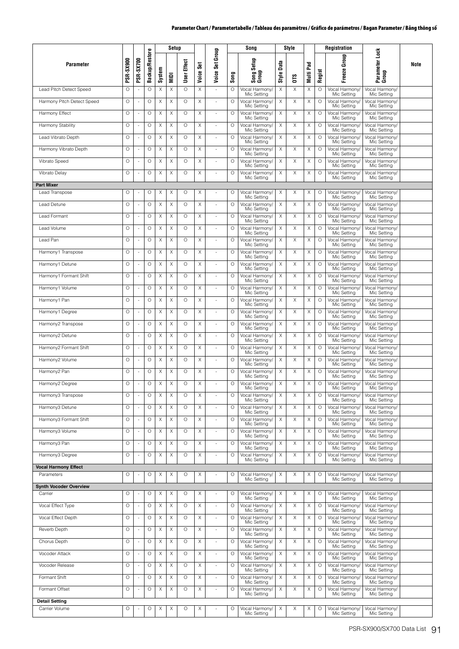|                                          | Setup<br>Song |                  |                       | Style  |             |             |               | Registration             |         |                               |                      |             |              |         |                               |                               |      |
|------------------------------------------|---------------|------------------|-----------------------|--------|-------------|-------------|---------------|--------------------------|---------|-------------------------------|----------------------|-------------|--------------|---------|-------------------------------|-------------------------------|------|
| <b>Parameter</b>                         | PSR-SX900     | <b>PSR-SX700</b> | <b>Backup/Restore</b> | System | <b>Idik</b> | User Effect | Set<br>Voice: | Voice Set Group          | Song    | Setup<br>Song S<br>Group      | Data<br><b>Style</b> | <b>OTS</b>  | Pad<br>Multi | Regist  | Freeze Group                  | Parameter Lock<br>Group       | Note |
| Lead Pitch Detect Speed                  | $\circ$       |                  | O                     | X      | Χ           | $\circ$     | X             |                          | O       | Vocal Harmony<br>Mic Setting  | X                    | X           | Χ            | $\circ$ | Vocal Harmony<br>Mic Setting  | Vocal Harmony/<br>Mic Setting |      |
| Harmony Pitch Detect Speed               | $\circ$       | ä,               | $\circ$               | X      | X           | $\circ$     | $\mathsf X$   | ÷,                       | $\circ$ | Vocal Harmony/<br>Mic Setting | X                    | X           | X            | $\circ$ | Vocal Harmony<br>Mic Setting  | Vocal Harmony/<br>Mic Setting |      |
| Harmony Effect                           | $\circ$       | ä,               | $\circ$               | X      | X           | $\circ$     | X             | $\sim$                   | O       | Vocal Harmony/<br>Mic Setting | X                    | X           | X            | $\circ$ | Vocal Harmony/<br>Mic Setting | Vocal Harmony/<br>Mic Setting |      |
| Harmony Stability                        | $\circ$       | ÷,               | $\circ$               | X      | Χ           | $\circ$     | X             | $\overline{\phantom{a}}$ | O       | Vocal Harmony/<br>Mic Setting | X                    | X           | Χ            | $\circ$ | Vocal Harmony<br>Mic Setting  | Vocal Harmony/<br>Mic Setting |      |
| Lead Vibrato Depth                       | $\circ$       | ä,               | O                     | Χ      | Χ           | $\circ$     | Χ             | ÷.                       | O       | Vocal Harmony/<br>Mic Setting | X                    | X           | Χ            | $\circ$ | Vocal Harmony<br>Mic Setting  | Vocal Harmony/<br>Mic Setting |      |
| Harmony Vibrato Depth                    | O             |                  | O                     | X      | X           | $\circ$     | Χ             | ä,                       | O       | Vocal Harmony/<br>Mic Setting | X                    | X           | X            | $\circ$ | Vocal Harmony<br>Mic Setting  | Vocal Harmony/<br>Mic Setting |      |
| Vibrato Speed                            | O             |                  | O                     | X      | Χ           | $\circ$     | X             | ä,                       | O       | Vocal Harmony/<br>Mic Setting | X                    | X           | Χ            | $\circ$ | Vocal Harmony<br>Mic Setting  | Vocal Harmony/<br>Mic Setting |      |
| Vibrato Delay                            | $\circ$       | ä,               | $\circ$               | X      | $\times$    | $\circ$     | X             | ÷,                       | $\circ$ | Vocal Harmony/<br>Mic Setting | X                    | X           | X            | $\circ$ | Vocal Harmony/<br>Mic Setting | Vocal Harmony/<br>Mic Setting |      |
| <b>Part Mixer</b>                        |               |                  |                       |        |             |             |               |                          |         |                               |                      |             |              |         |                               |                               |      |
| Lead Transpose                           | O             | ä,               | O                     | X      | Χ           | O           | X             | ä,                       | O       | Vocal Harmony/<br>Mic Setting | X                    | X           | Χ            | $\circ$ | Vocal Harmony/<br>Mic Setting | Vocal Harmony/<br>Mic Setting |      |
| Lead Detune                              | $\circ$       | ä,               | O                     | Χ      | Χ           | $\circ$     | Χ             | ×,                       | $\circ$ | Vocal Harmony/<br>Mic Setting | Χ                    | X           | X            | O       | Vocal Harmony/<br>Mic Setting | Vocal Harmony/<br>Mic Setting |      |
| Lead Formant                             | O             |                  | O                     | Χ      | Χ           | $\circ$     | Χ             | ä,                       | O       | Vocal Harmony/<br>Mic Setting | X                    | X           | Χ            | $\circ$ | Vocal Harmony,<br>Mic Setting | Vocal Harmony/<br>Mic Setting |      |
| Lead Volume                              | $\circ$       |                  | O                     | X      | X           | $\circ$     | X             | ÷,                       | O       | Vocal Harmony/<br>Mic Setting | X                    | X           | X            | $\circ$ | Vocal Harmony<br>Mic Setting  | Vocal Harmony/<br>Mic Setting |      |
| I ead Pan                                | $\circ$       | ä,               | O                     | X      | X           | $\circ$     | X             | ×,                       | $\circ$ | Vocal Harmony/<br>Mic Setting | X                    | X           | Χ            | O       | Vocal Harmony/<br>Mic Settina | Vocal Harmony/<br>Mic Setting |      |
| Harmony1 Transpose                       | $\circ$       | ÷,               | $\circ$               | X      | $\times$    | $\circ$     | X             | $\sim$                   | O       | Vocal Harmony/<br>Mic Setting | X                    | X           | X            | $\circ$ | Vocal Harmony/<br>Mic Setting | Vocal Harmony/<br>Mic Settina |      |
| Harmony1 Detune                          | $\circ$       | ä,               | O                     | X      | X           | $\circ$     | X             | ÷,                       | O       | Vocal Harmony/<br>Mic Setting | X                    | X           | Χ            | $\circ$ | Vocal Harmony/<br>Mic Setting | Vocal Harmony/<br>Mic Setting |      |
| Harmony1 Formant Shift                   | $\circ$       |                  | O                     | X      | Χ           | O           | Χ             | ×,                       | O       | Vocal Harmony/<br>Mic Setting | X                    | X           | Χ            | $\circ$ | Vocal Harmony<br>Mic Setting  | Vocal Harmony/<br>Mic Setting |      |
| Harmony1 Volume                          | $\circ$       |                  | $\circ$               | X      | Χ           | $\circ$     | Χ             | ×.                       | O       | Vocal Harmony/<br>Mic Setting | X                    | X           | X            | $\circ$ | Vocal Harmony/<br>Mic Setting | Vocal Harmony/<br>Mic Setting |      |
| Harmony1 Pan                             | O             |                  | O                     | X      | Χ           | $\circ$     | X             | ä,                       | O       | Vocal Harmony/<br>Mic Setting | X                    | $\mathsf X$ | X            | $\circ$ | Vocal Harmony<br>Mic Setting  | Vocal Harmony/<br>Mic Setting |      |
| Harmony1 Degree                          | $\circ$       | ä,               | $\circ$               | X      | X           | $\circ$     | X             | ×,                       | $\circ$ | Vocal Harmony/<br>Mic Setting | X                    | X           | X            | $\circ$ | Vocal Harmony/<br>Mic Setting | Vocal Harmony/<br>Mic Setting |      |
| Harmony2 Transpose                       | $\circ$       | ä,               | $\circ$               | X      | X           | $\circ$     | X             | ÷,                       | O       | Vocal Harmony/<br>Mic Setting | Χ                    | X           | X            | $\circ$ | Vocal Harmony/<br>Mic Setting | Vocal Harmony/<br>Mic Setting |      |
| Harmony2 Detune                          | $\circ$       |                  | $\circ$               | X      | X           | $\circ$     | X             | ×,                       | $\circ$ | Vocal Harmony/<br>Mic Setting | X                    | X           | X            | $\circ$ | Vocal Harmony/<br>Mic Setting | Vocal Harmony/<br>Mic Setting |      |
| Harmony2 Formant Shift                   | $\circ$       |                  | O                     | X      | Χ           | O           | Χ             | ×,                       | O       | Vocal Harmony/<br>Mic Setting | X                    | X           | Χ            | O       | Vocal Harmony/<br>Mic Setting | Vocal Harmony/<br>Mic Setting |      |
| Harmony2 Volume                          | O             |                  | O                     | X      | Χ           | O           | Χ             | ×,                       | O       | Vocal Harmony/<br>Mic Setting | Χ                    | X           | X            | $\circ$ | Vocal Harmony,<br>Mic Setting | Vocal Harmony/<br>Mic Setting |      |
| Harmony <sub>2</sub> Pan                 | O             |                  | O                     | X      | X           | $\circ$     | X             | ä,                       | O       | Vocal Harmony/<br>Mic Setting | X                    | X           | X            | $\circ$ | Vocal Harmony/<br>Mic Setting | Vocal Harmony/<br>Mic Setting |      |
| Harmony2 Degree                          | O             | ä,               | O                     | X      | Χ           | $\circ$     | $\mathsf X$   | ä,                       | O       | Vocal Harmony/<br>Mic Setting | X                    | X           | X            | $\circ$ | Vocal Harmony/<br>Mic Setting | Vocal Harmony/<br>Mic Setting |      |
| Harmony3 Transpose                       | O             |                  | $\circ$               | X      | Χ           | O           | X             | $\sim$                   | O       | Vocal Harmony/<br>Mic Setting | X                    | Χ           | Χ            | O       | Vocal Harmony/<br>Mic Setting | Vocal Harmony/<br>Mic Setting |      |
| Harmony3 Detune                          | $\circ$       |                  | $\circ$               | X      | Χ           | $\circ$     | X             | ×,                       | $\circ$ | Vocal Harmony/                | Χ                    | X           | X            | $\circ$ | Vocal Harmony                 | Vocal Harmony/                |      |
| Harmony3 Formant Shift                   | $\circ$       |                  | O                     | Χ      | Χ           | O           | Χ             | ×,                       | O       | Mic Setting<br>Vocal Harmony/ | X                    | Χ           | Χ            | $\circ$ | Mic Setting<br>Vocal Harmony  | Mic Settina<br>Vocal Harmony/ |      |
| Harmony3 Volume                          | O             |                  | $\circ$               | X      | Χ           | O           | Χ             | L,                       | O       | Mic Setting<br>Vocal Harmony/ | X                    | Χ           | Χ            | $\circ$ | Mic Setting<br>Vocal Harmony, | Mic Setting<br>Vocal Harmony/ |      |
| Harmony3 Pan                             | O             |                  | O                     | X      | Χ           | O           | X             | ä,                       | $\circ$ | Mic Setting<br>Vocal Harmony/ | X                    | X           | X            | $\circ$ | Mic Setting<br>Vocal Harmony  | Mic Setting<br>Vocal Harmony/ |      |
| Harmony3 Degree                          | $\circ$       |                  | $\circ$               | X      | X           | O           | X             | ×,                       | $\circ$ | Mic Settina<br>Vocal Harmony/ | X                    | X           | X            | $\circ$ | Mic Setting<br>Vocal Harmony  | Mic Setting<br>Vocal Harmony/ |      |
| <b>Vocal Harmony Effect</b>              |               |                  |                       |        |             |             |               |                          |         | Mic Setting                   |                      |             |              |         | Mic Setting                   | Mic Setting                   |      |
| Parameters                               | O             |                  | O                     | X      | Χ           | O           | Χ             |                          | O       | Vocal Harmony/<br>Mic Setting | X                    | Χ           | Х            | $\circ$ | Vocal Harmony/<br>Mic Settina | Vocal Harmony/<br>Mic Settina |      |
| <b>Synth Vocoder Overview</b><br>Carrier | O             |                  | O                     | Χ      | Χ           | O           | X             |                          | O       | Vocal Harmony/                | X                    | Χ           | Χ            | O       | Vocal Harmony                 | Vocal Harmony/                |      |
|                                          |               |                  |                       |        |             |             |               | i.                       |         | Mic Setting                   |                      |             |              |         | Mic Setting                   | Mic Setting                   |      |
| Vocal Effect Type                        | O             |                  | O                     | X      | X           | $\circ$     | X             | ä,                       | O       | Vocal Harmony/<br>Mic Setting | X                    | X           | X            | $\circ$ | Vocal Harmony<br>Mic Setting  | Vocal Harmony/<br>Mic Setting |      |
| Vocal Effect Depth                       | $\circ$       | ä,               | $\circ$               | X      | X           | $\circ$     | X             | ÷,                       | O       | Vocal Harmony/<br>Mic Setting | X                    | X           | X            | $\circ$ | Vocal Harmony/<br>Mic Setting | Vocal Harmony/<br>Mic Setting |      |
| Reverb Depth                             | $\circ$       |                  | O                     | Χ      | Χ           | O           | Χ             | ÷,                       | O       | Vocal Harmony/<br>Mic Setting | X                    | Χ           | X            | $\circ$ | Vocal Harmony/<br>Mic Setting | Vocal Harmony/<br>Mic Setting |      |
| Chorus Depth                             | $\circ$       |                  | $\circ$               | Χ      | Χ           | $\circ$     | X             | ×,                       | $\circ$ | Vocal Harmony/<br>Mic Setting | X                    | Χ           | Χ            | $\circ$ | Vocal Harmony<br>Mic Setting  | Vocal Harmony/<br>Mic Setting |      |
| Vocoder Attack                           | $\circ$       |                  | O                     | X      | Χ           | $\circ$     | Χ             | ×,                       | $\circ$ | Vocal Harmony<br>Mic Setting  | X                    | Χ           | Χ            | $\circ$ | Vocal Harmony,<br>Mic Setting | Vocal Harmony/<br>Mic Setting |      |
| Vocoder Release                          | $\circ$       |                  | O                     | X      | X           | O           | Χ             | ÷,                       | O       | Vocal Harmony/<br>Mic Setting | X                    | X           | Χ            | $\circ$ | Vocal Harmony<br>Mic Setting  | Vocal Harmony/<br>Mic Setting |      |
| Formant Shift                            | O             |                  | O                     | Χ      | Χ           | $\circ$     | X             | ä,                       | O       | Vocal Harmony/<br>Mic Setting | Χ                    | X           | Χ            | $\circ$ | Vocal Harmony<br>Mic Setting  | Vocal Harmony/<br>Mic Setting |      |
| Formant Offset                           | $\circ$       | ä,               | $\circ$               | X      | Χ           | O           | Χ             | ×,                       | $\circ$ | Vocal Harmony/<br>Mic Setting | X                    | Χ           | Χ            | $\circ$ | Vocal Harmony/<br>Mic Setting | Vocal Harmony/<br>Mic Setting |      |
| Detail Setting<br>Carrier Volume         | O             |                  | $\circ$               | X      | Χ           | O           | X             |                          | O       | Vocal Harmony/                | X                    | Χ           | X            | $\circ$ | Vocal Harmony/                | Vocal Harmony/                |      |
|                                          |               |                  |                       |        |             |             |               |                          |         | Mic Setting                   |                      |             |              |         | Mic Setting                   | Mic Setting                   |      |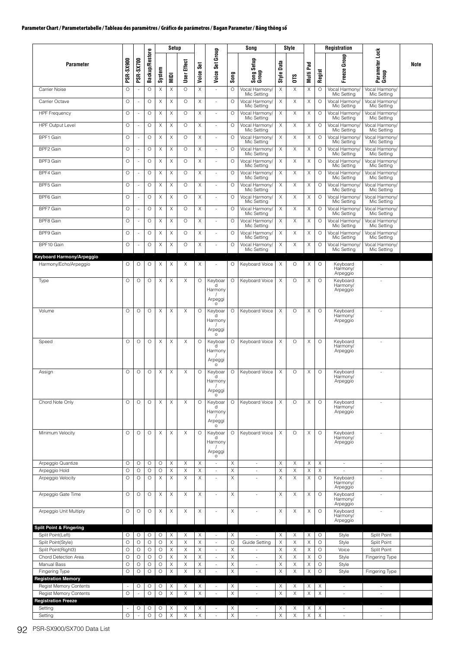|                                                                                              |                    |                          |                       |              | Setup          |             |              |                                                     |             | Song                           |             | Style       |             |                       | <b>Registration</b>                    |                                    |      |
|----------------------------------------------------------------------------------------------|--------------------|--------------------------|-----------------------|--------------|----------------|-------------|--------------|-----------------------------------------------------|-------------|--------------------------------|-------------|-------------|-------------|-----------------------|----------------------------------------|------------------------------------|------|
| <b>Parameter</b>                                                                             | PSR-SX900          | <b>PSR-SX700</b>         | <b>Backup/Restore</b> | System       | $\overline{M}$ | User Effect | Set<br>Voice | Voice Set Group                                     | Song        | Song Setup<br>Group            | Style Data  | <b>OTS</b>  | Multi Pad   | Regist                | Group<br>Freeze <sup>1</sup>           | Parameter Lock<br>Group            | Note |
| Carrier Noise                                                                                | O                  | $\overline{\phantom{a}}$ | O                     | Χ            | $\times$       | $\circ$     | Χ            |                                                     | $\circ$     | Vocal Harmony/<br>Mic Setting  | Χ           | X           | Χ           | O                     | Vocal Harmony<br>Mic Setting           | Vocal Harmony/<br>Mic Setting      |      |
| Carrier Octave                                                                               | O                  | ×,                       | O                     | Χ            | Χ              | O           | Χ            | ×.                                                  | O           | Vocal Harmony/<br>Mic Setting  | Χ           | Χ           | X           | O                     | Vocal Harmony/<br>Mic Setting          | Vocal Harmony/<br>Mic Setting      |      |
| <b>HPF Frequency</b>                                                                         | $\circ$            | ÷,                       | O                     | X            | $\times$       | $\circ$     | Χ            |                                                     | $\circ$     | Vocal Harmony/<br>Mic Setting  | X           | X           | Χ           | O                     | Vocal Harmony<br>Mic Setting           | Vocal Harmony/<br>Mic Setting      |      |
| <b>HPF Output Level</b>                                                                      | O                  | ÷,                       | O                     | X            | $\mathsf X$    | $\circ$     | Χ            |                                                     | O           | Vocal Harmony/<br>Mic Setting  | X           | X           | X           | O                     | Vocal Harmony/<br>Mic Setting          | Vocal Harmony/<br>Mic Setting      |      |
| BPF1 Gain                                                                                    | $\circ$            | $\overline{\phantom{a}}$ | O                     | X            | X              | $\circ$     | Χ            | $\sim$                                              | $\circ$     | Vocal Harmony/<br>Mic Setting  | X           | X           | Χ           | $\circ$               | Vocal Harmony/<br>Mic Settina          | Vocal Harmony/<br>Mic Setting      |      |
| BPF2 Gain                                                                                    | $\circ$            | ÷,                       | O                     | X            | $\times$       | $\circ$     | Χ            |                                                     | $\circ$     | Vocal Harmony/<br>Mic Setting  | Χ           | $\times$    | Χ           | $\circ$               | Vocal Harmony/                         | Vocal Harmony/<br>Mic Settina      |      |
| BPF3 Gain                                                                                    | O                  | $\overline{\phantom{a}}$ | O                     | X            | X              | $\circ$     | Χ            | $\sim$                                              | $\circ$     | Vocal Harmony/                 | Χ           | X           | Χ           | O                     | Mic Setting<br>Vocal Harmony/          | Vocal Harmony/                     |      |
| BPF4 Gain                                                                                    | $\circ$            | $\overline{\phantom{a}}$ | O                     | X            | X              | O           | Χ            | $\sim$                                              | O           | Mic Setting<br>Vocal Harmony/  | Χ           | X           | Χ           | O                     | Mic Setting<br>Vocal Harmony/          | Mic Setting<br>Vocal Harmony/      |      |
| BPF5 Gain                                                                                    | $\circ$            | ×,                       | O                     | X            | $\times$       | $\circ$     | Χ            | ×.                                                  | $\circ$     | Mic Setting<br>Vocal Harmony/  | X           | X           | X           | O                     | Mic Setting<br>Vocal Harmony/          | Mic Setting<br>Vocal Harmony/      |      |
| BPF6 Gain                                                                                    | $\circ$            | $\overline{\phantom{a}}$ | O                     | $\mathsf X$  | $\mathsf X$    | $\circ$     | X            |                                                     | O           | Mic Setting<br>Vocal Harmony/  | X           | $\times$    | X           | O                     | Mic Setting<br>Vocal Harmony/          | Mic Setting<br>Vocal Harmony/      |      |
| BPF7 Gain                                                                                    | $\circ$            | $\overline{\phantom{a}}$ | O                     | X            | $\times$       | $\circ$     | Χ            | $\sim$                                              | O           | Mic Setting<br>Vocal Harmony/  | Χ           | X           | X           | O                     | Mic Setting<br>Vocal Harmony/          | Mic Setting<br>Vocal Harmony/      |      |
| BPF8 Gain                                                                                    | $\circ$            | ÷,                       | O                     | X            | $\times$       | $\circ$     | Χ            | $\overline{\phantom{a}}$                            | $\circ$     | Mic Setting<br>Vocal Harmony/  | Χ           | X           | X           | $\circ$               | Mic Setting<br>Vocal Harmony/          | Mic Setting<br>Vocal Harmony/      |      |
| BPF9 Gain                                                                                    | O                  | ÷,                       | O                     | Χ            | $\times$       | O           | Χ            | ×.                                                  | O           | Mic Setting<br>Vocal Harmony/  | X           | $\times$    | X           | O                     | Mic Setting<br>Vocal Harmony           | Mic Setting<br>Vocal Harmony/      |      |
|                                                                                              |                    |                          |                       |              |                |             |              |                                                     |             | Mic Setting                    |             |             |             |                       | Mic Setting                            | Mic Setting                        |      |
| BPF10 Gain                                                                                   | O                  | ×,                       | O                     | X            | X              | $\circ$     | Χ            | $\sim$                                              | O           | Vocal Harmony/<br>Mic Setting  | Χ           | X           | Χ           | O                     | Vocal Harmony/<br>Mic Setting          | Vocal Harmony/<br>Mic Setting      |      |
| <b>Keyboard Harmony/Arpeggio</b><br>Harmony/Echo/Arpeggio                                    | О                  | О                        | $\circ$               | X            | X              | Χ           | X            |                                                     | O           | Keyboard Voice                 | Χ           | $\circ$     | Χ           | $\circ$               | Keyboard<br>Harmony/<br>Arpeggio       | $\sim$                             |      |
| Type                                                                                         | $\circ$            | $\circ$                  | $\circ$               | X            | X              | X           | $\circ$      | Keyboar<br>d<br>Harmony<br>Arpeggi<br>$\circ$       | $\circ$     | Keyboard Voice                 | X           | $\circ$     | Χ           | O                     | Keyboard<br>Harmony/<br>Arpeggio       | $\sim$                             |      |
| Volume                                                                                       | $\circ$            | $\circ$                  | $\circ$               | X            | X              | X           | $\circ$      | Keyboar<br>d<br>Harmony<br>Arpeggi<br>$\circ$       | O           | Keyboard Voice                 | X           | $\circ$     | Χ           | $\circ$               | Keyboard<br>Harmony/<br>Arpeggio       | $\sim$                             |      |
| Speed                                                                                        | O                  | $\circ$                  | $\circ$               | Χ            | X              | X           | $\circ$      | Keyboar<br>d<br>Harmony<br>Arpeggi                  | O           | Keyboard Voice                 | Χ           | $\circ$     | Χ           | O                     | Keyboard<br>Harmony/<br>Arpeggio       | $\sim$                             |      |
| Assign                                                                                       | O                  | O                        | O                     | X            | X              | X           | O            | $\circ$<br>Keyboar<br>d<br>Harmony<br>Arpeggi       | O           | Keyboard Voice                 | Χ           | $\circ$     | Χ           | O                     | Keyboard<br>Harmony/<br>Arpeggio       | $\overline{\phantom{a}}$           |      |
| Chord Note Only                                                                              | $\circ$            | $\circ$                  | O                     | X            | X              | X           | O            | $\circ$<br>Keyboar<br>Harmony<br>Arpeggi<br>$\circ$ | O           | Keyboard Voice                 | X           | $\circ$     | X           | $\circ$               | Keyboard<br>Harmony/<br>Arpeggio       |                                    |      |
| Minimum Velocity                                                                             | $\circ$            | $\circ$                  | $\circ$               | $\mathsf X$  | $\mathsf X$    | $\mathsf X$ | $\circ$      | Keyboar<br>d<br>Harmony<br>Arpeggi<br>O             | $\circ$     | Keyboard Voice                 | X           | $\circ$     | X           | $\circ$               | Keyboard<br>Harmony/<br>Arpeggio       | à.                                 |      |
| Arpeggio Quantize                                                                            | O                  | O                        | O                     | O            | X              | X           | Χ            | $\sim$                                              | X           | ×.                             | Χ           | X           | Χ           | X                     | $\overline{\phantom{a}}$               | $\sim$                             |      |
| Arpeggio Hold<br>Arpeggio Velocity                                                           | $\circ$<br>$\circ$ | $\circ$<br>$\circ$       | O<br>O                | $\circ$<br>Χ | $\times$<br>X  | X<br>X      | Χ<br>Χ       | $\overline{\phantom{a}}$<br>$\sim$                  | Χ<br>X      | $\overline{\phantom{a}}$<br>÷. | Χ<br>Χ      | X<br>X      | Χ<br>Χ      | X<br>$\circ$          | ×,<br>Keyboard<br>Harmony/<br>Arpeggio | $\overline{\phantom{a}}$<br>$\sim$ |      |
| Arpeggio Gate Time                                                                           | O                  | O                        | $\circ$               | X            | $\times$       | X           | Χ            |                                                     | X           | ÷.                             | X           | Χ           | Χ           | O                     | Keyboard<br>Harmony/<br>Arpeggio       | ÷.                                 |      |
| Arpeggio Unit Multiply                                                                       | $\circ$            | $\circ$                  | O                     | X            | X              | X           | Χ            |                                                     | Χ           | $\sim$                         | X           | X           | Χ           | O                     | Keyboard<br>Harmony/<br>Arpeggio       | ÷,                                 |      |
| <b>Split Point &amp; Fingering</b><br>Split Point(Left)                                      | O                  | O                        | O                     | O            | X              | Χ           | Χ            | $\overline{\phantom{a}}$                            | Χ           | $\sim$                         | Χ           | Χ           | Χ           | O                     | Style                                  | Split Point                        |      |
| Split Point(Style)                                                                           | $\circ$            | $\circ$                  | $\circ$               | $\circ$      | $\times$       | X           | Χ            | $\overline{\phantom{a}}$                            | $\circ$     | <b>Guide Setting</b>           | Χ           | X           | X           | $\circ$               | Style                                  | Split Point                        |      |
| Split Point(Right3)<br>Chord Detection Area                                                  | O<br>$\circ$       | O<br>O                   | О<br>O                | O<br>$\circ$ | Χ<br>X         | X<br>X      | X<br>Χ       | $\sim$<br>$\sim$                                    | X<br>X      | à.<br>×.                       | Χ<br>Χ      | Χ<br>X      | X<br>Χ      | $\circ$<br>O          | Voice<br>Style                         | Split Point<br>Fingering Type      |      |
| <b>Manual Bass</b>                                                                           | О                  | О                        | O                     | O            | $\times$       | X           | Χ            | $\overline{\phantom{a}}$                            | Χ           | $\overline{\phantom{a}}$       | Χ           | X           | $\mathsf X$ | O                     | Style                                  |                                    |      |
| Fingering Type                                                                               | $\circ$            | $\circ$                  | O                     | $\circ$      | $\mathsf X$    | $\mathsf X$ | $\mathsf X$  | $\sim$                                              | $\mathsf X$ | $\omega$                       | $\mathsf X$ | $\mathsf X$ | $\mathsf X$ | $\circ$               | Style                                  | Fingering Type                     |      |
| <b>Registration Memory</b><br><b>Regist Memory Contents</b><br><b>Regist Memory Contents</b> | ÷.<br>$\circ$      | О<br>÷,                  | O<br>$\circ$          | О<br>$\circ$ | Χ<br>$\times$  | Χ<br>X      | Χ<br>X       | ×.<br>×.                                            | X<br>Χ      | $\overline{\phantom{a}}$<br>×. | X<br>Χ      | Χ<br>X      | Х<br>X      | X<br>$\mathsf X$      | $\overline{\phantom{a}}$<br>÷.         | $\overline{\phantom{a}}$<br>à.     |      |
| <b>Registration Freeze</b><br>Setting                                                        |                    | О                        | O                     | O            | Χ              | Χ           | Χ            | $\overline{\phantom{a}}$                            | Χ           | $\overline{\phantom{a}}$       | Х           | Χ           | Х           | Χ                     | $\overline{\phantom{a}}$               | $\overline{\phantom{a}}$           |      |
| Setting                                                                                      | $\circ$            | ÷,                       | $\circ$               | $\circ$      | $\mathsf X$    | $\mathsf X$ | X            | $\sim$                                              | $\mathsf X$ | ×.                             | X           | X           | $\mathsf X$ | $\boldsymbol{\times}$ | ÷.                                     | $\sim$                             |      |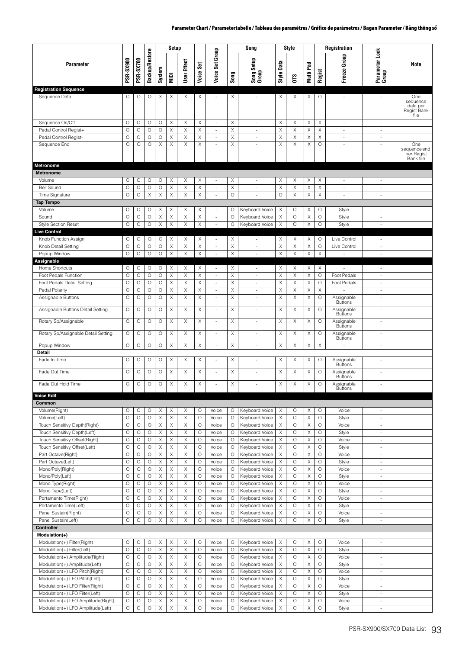|                                                                   |                    |                  |                       |               | Setup  |                  |                    |                                                      |                    | Song                             |                 | Style              |                                                |                    | Registration                          |                                                      |                                                    |
|-------------------------------------------------------------------|--------------------|------------------|-----------------------|---------------|--------|------------------|--------------------|------------------------------------------------------|--------------------|----------------------------------|-----------------|--------------------|------------------------------------------------|--------------------|---------------------------------------|------------------------------------------------------|----------------------------------------------------|
| <b>Parameter</b>                                                  | PSR-SX900          | <b>PSR-SX700</b> | <b>Backup/Restore</b> | System        | MIDI   | User Effect      | Set<br>Voice:      | Group<br>Set<br>Voice:                               | Song               | Song Setup<br>Group              | Data<br>Style I | CТS                | Pad<br>Multi                                   | Regist             | Freeze Group                          | Parameter Lock<br>Group                              | <b>Note</b>                                        |
| <b>Registration Sequence</b>                                      |                    |                  |                       |               |        |                  |                    |                                                      |                    |                                  |                 |                    |                                                |                    |                                       |                                                      |                                                    |
| Sequence Data                                                     | O                  | O                | O                     | Х             | Χ      | Χ                | Χ                  | $\overline{\phantom{a}}$                             | Χ                  | $\sim$                           | Χ               | Х                  | Χ                                              | O                  | $\sim$                                | $\sim$                                               | One<br>sequence<br>data per<br>Regist Bank<br>file |
| Sequence On/Off                                                   | O                  | O                | O                     | O             | Χ      | Χ                | Χ                  | $\overline{\phantom{a}}$                             | Χ                  | $\overline{\phantom{a}}$         | Χ               | Χ                  | Χ                                              | X                  | $\overline{\phantom{a}}$              | $\overline{\phantom{a}}$                             |                                                    |
| Pedal Control Regist+                                             | $\circ$            | $\circ$          | $\circ$               | $\circ$       | Χ      | X                | X                  | $\sim$                                               | Χ                  | ÷,                               | X               | X                  | $\mathsf X$                                    | $\mathsf X$        | $\sim$                                | ÷                                                    |                                                    |
| Pedal Control Regist-<br>Sequence End                             | $\circ$<br>$\circ$ | O<br>$\circ$     | O<br>$\circ$          | O<br>$\times$ | X<br>X | X<br>$\mathsf X$ | Χ<br>Χ             | $\frac{1}{2}$<br>ä,                                  | X<br>X             | ÷,                               | Χ<br>X          | Χ<br>X             | X<br>$\times$                                  | Χ<br>$\circ$       | $\overline{\phantom{a}}$<br>$\bar{a}$ | $\overline{\phantom{a}}$                             | One                                                |
|                                                                   |                    |                  |                       |               |        |                  |                    |                                                      |                    |                                  |                 |                    |                                                |                    |                                       |                                                      | sequence end<br>per Regist<br>Bank file            |
| <b>Metronome</b>                                                  |                    |                  |                       |               |        |                  |                    |                                                      |                    |                                  |                 |                    |                                                |                    |                                       |                                                      |                                                    |
| <b>Metronome</b>                                                  |                    |                  |                       |               |        |                  |                    |                                                      |                    |                                  |                 |                    |                                                |                    |                                       |                                                      |                                                    |
| Volume                                                            | 0                  | O                | O                     | O             | Χ      | X                | Χ                  | $\overline{\phantom{a}}$                             | Χ                  | $\sim$                           | X               | Х                  | Χ                                              | Χ                  | $\sim$                                | $\sim$                                               |                                                    |
| <b>Bell Sound</b><br>Time Signature                               | $\circ$<br>O       | $\circ$<br>O     | $\circ$<br>X          | $\circ$<br>Χ  | Χ<br>X | X<br>X           | Χ<br>X             | $\overline{\phantom{a}}$<br>÷,                       | Χ<br>$\circ$       | ÷,<br>ä,                         | X<br>$\circ$    | X<br>Χ             | $\times$<br>X                                  | X<br>X             | $\sim$<br>ä,                          | $\sim$<br>à.                                         |                                                    |
| <b>Tap Tempo</b>                                                  |                    |                  |                       |               |        |                  |                    |                                                      |                    |                                  |                 |                    |                                                |                    |                                       |                                                      |                                                    |
| Volume                                                            | 0                  | O                | O                     | X             | Χ      | X                | $\times$           | ×.                                                   | 0                  | Keyboard Voice                   | Χ               | O                  | X                                              | O                  | Style                                 | $\sim$                                               |                                                    |
| Sound                                                             | $\circ$            | O                | O                     | Χ             | Χ      | Χ                | Χ                  | $\overline{\phantom{a}}$                             | $\circ$            | Keyboard Voice                   | X               | O                  | X                                              | $\circ$            | Style                                 | $\overline{\phantom{a}}$                             |                                                    |
| <b>Style Section Reset</b>                                        | $\circ$            | O                | $\circ$               | X             | X      | X                | X                  | ÷,                                                   | $\circ$            | Keyboard Voice                   | Χ               | $\circ$            | $\times$                                       | $\circ$            | Style                                 | $\sim$                                               |                                                    |
| <b>Live Control</b>                                               |                    |                  |                       |               |        |                  |                    |                                                      |                    |                                  |                 |                    |                                                |                    |                                       |                                                      |                                                    |
| Knob Function Assign<br>Knob Detail Setting                       | 0<br>О             | O<br>O           | O<br>O                | O<br>$\circ$  | Χ<br>X | X<br>Χ           | X<br>X             | $\overline{\phantom{a}}$<br>$\overline{\phantom{a}}$ | Χ<br>X             | ÷,<br>$\overline{\phantom{a}}$   | X<br>X          | Χ<br>X             | X<br>$\mathsf X$                               | $\circ$<br>$\circ$ | Live Control<br>Live Control          | $\overline{\phantom{a}}$<br>$\overline{\phantom{a}}$ |                                                    |
| Popup Window                                                      | O                  | O                | $\circ$               | $\circ$       | X      | $\times$         | X                  | $\sim$                                               | X                  | $\omega$                         | X               | X                  | X                                              | X                  | $\omega$                              | $\overline{\phantom{a}}$                             |                                                    |
| Assignable                                                        |                    |                  |                       |               |        |                  |                    |                                                      |                    |                                  |                 |                    |                                                |                    |                                       |                                                      |                                                    |
| Home Shortcuts                                                    | O                  | О                | O                     | O             | Χ      | X                | Χ                  | $\overline{\phantom{a}}$                             | Χ                  | $\overline{\phantom{a}}$         | Χ               | Х                  | X                                              | X                  | ä,                                    | ×.                                                   |                                                    |
| Foot Pedals Function                                              | O                  | О                | O                     | O             | Χ      | X                | Χ                  | ×.                                                   | Χ                  | ä,                               | X               | X                  | X                                              | O                  | Foot Pedals                           | ×.                                                   |                                                    |
| Foot Pedals Detail Setting                                        | O                  | O                | O                     | O             | X      | X                | X                  | $\overline{\phantom{a}}$                             | X                  | ä,                               | X               | X                  | X                                              | $\circ$            | Foot Pedals                           | $\sim$                                               |                                                    |
| Pedal Polarity                                                    | О<br>$\circ$       | O<br>$\circ$     | O<br>$\circ$          | O<br>$\circ$  | Χ<br>Χ | X<br>X           | Χ<br>Χ             | $\overline{\phantom{a}}$<br>$\sim$                   | X<br>X             | $\overline{\phantom{a}}$<br>÷.   | Χ<br>X          | Χ<br>Χ             | $\mathsf X$<br>$\boldsymbol{\times}$           | Χ<br>O             | Assignable                            | $\overline{\phantom{a}}$<br>÷,                       |                                                    |
| Assignable Buttons                                                |                    |                  |                       |               |        |                  |                    |                                                      |                    |                                  |                 |                    |                                                |                    | <b>Buttons</b>                        |                                                      |                                                    |
| Assignable Buttons Detail Setting                                 | O                  | O                | $\circ$               | $\circ$       | Χ      | X                | X                  | ÷,                                                   | X                  |                                  | X               | X                  | X                                              | $\circ$            | Assignable<br><b>Buttons</b>          |                                                      |                                                    |
| Rotary Sp/Assignable                                              | O                  | O                | $\circ$               | $\circ$       | Χ      | X                | X                  | ÷.                                                   | X                  |                                  | Χ               | X                  | X                                              | $\circ$            | Assignable<br><b>Buttons</b>          | ÷,                                                   |                                                    |
| Rotary Sp/Assignable Detail Setting                               | O                  | O                | O                     | O             | X      | Χ                | Χ                  | ×,                                                   | X                  | ÷,                               | X               | X                  | X                                              | O                  | Assignable<br><b>Buttons</b>          | ÷,                                                   |                                                    |
| Popup Window                                                      | O                  | O                | O                     | $\circ$       | Χ      | X                | X                  | ÷,                                                   | X                  | ÷,                               | X               | X                  | $\boldsymbol{\times}$                          | X                  | ÷,                                    | $\overline{\phantom{a}}$                             |                                                    |
| Detail<br>Fade In Time                                            | O                  | O                | O                     | O             | Χ      | Χ                | Χ                  | $\overline{\phantom{a}}$                             | X                  | ÷,                               | Χ               | Χ                  | X                                              | O                  | Assignable                            | ÷,                                                   |                                                    |
|                                                                   |                    |                  |                       |               |        |                  |                    |                                                      |                    |                                  |                 |                    |                                                |                    | <b>Buttons</b>                        |                                                      |                                                    |
| Fade Out Time                                                     | O                  | О                | O                     | O             | X      | X                | X                  | ÷,                                                   | X                  | ÷,                               | X               | X                  | X                                              | O                  | Assignable<br><b>Buttons</b>          | ÷,                                                   |                                                    |
| Fade Out Hold Time<br><b>Voice Edit</b>                           | O                  | O                | O                     | $\circ$       | Χ      | X                | X                  | $\sim$                                               | Χ                  |                                  | X               | X                  | X                                              | $\circ$            | Assignable<br><b>Buttons</b>          | ÷,                                                   |                                                    |
| Common                                                            |                    |                  |                       |               |        |                  |                    |                                                      |                    |                                  |                 |                    |                                                |                    |                                       |                                                      |                                                    |
| Volume(Right)                                                     | О                  | О                | O                     | Χ             | Χ      | Χ                | O                  | Voice                                                | O                  | Keyboard Voice                   | Χ               | О                  | X                                              | O                  | Voice                                 | $\overline{\phantom{a}}$                             |                                                    |
| Volume(Left)                                                      | $\circ$            | $\circ$          | $\circ$               | X             | X      | X                | $\circ$            | Voice                                                | O                  | Keyboard Voice                   | X               | $\circ$            | $\times$                                       | $\circ$            | Style                                 | ÷                                                    |                                                    |
| Touch Sensitivy Depth(Right)                                      | $\circ$            | O                | $\circ$               | X             | Χ      | X                | O                  | Voice                                                | O                  | Keyboard Voice                   | Χ               | $\circ$            | X                                              | $\circ$            | Voice                                 | $\overline{\phantom{a}}$                             |                                                    |
| Touch Sensitivy Depth(Left)<br>Touch Sensitivy Offset(Right)      | $\circ$<br>$\circ$ | O<br>О           | $\circ$               | X<br>X        | Χ<br>X | $\mathsf X$<br>X | $\circ$<br>O       | Voice                                                | $\circ$<br>$\circ$ | Keyboard Voice<br>Keyboard Voice | Χ               | $\circ$<br>O       | $\boldsymbol{\times}$<br>$\boldsymbol{\times}$ | $\circ$<br>$\circ$ | Style<br>Voice                        | ×.                                                   |                                                    |
| Touch Sensitivy Offset(Left)                                      | $\circ$            | O                | O<br>O                | X             | X      | X                | $\circ$            | Voice<br>Voice                                       | $\circ$            | Keyboard Voice                   | Χ<br>X          | $\circ$            | $\boldsymbol{\times}$                          | $\circ$            | Style                                 | $\overline{\phantom{a}}$<br>$\overline{\phantom{a}}$ |                                                    |
| Part Octave(Right)                                                | $\circ$            | O                | $\circ$               | X             | X      | $\mathsf X$      | O                  | Voice                                                | $\circ$            | Keyboard Voice                   | Χ               | O                  | $\mathsf X$                                    | $\circ$            | Voice                                 | $\overline{\phantom{a}}$                             |                                                    |
| Part Octave(Left)                                                 | $\circ$            | O                | $\circ$               | X             | Χ      | X                | O                  | Voice                                                | O                  | Keyboard Voice                   | X               | $\circ$            | $\boldsymbol{\times}$                          | O                  | Style                                 | $\overline{\phantom{a}}$                             |                                                    |
| Mono/Poly(Right)                                                  | $\circ$            | $\circ$          | $\circ$               | X             | Χ      | X                | O                  | Voice                                                | O                  | Keyboard Voice                   | Χ               | $\circ$            | X                                              | $\circ$            | Voice                                 | $\overline{\phantom{a}}$                             |                                                    |
| Mono/Poly(Left)                                                   | $\bigcirc$         | O                | $\bigcirc$            | X             | X      | $\mathsf X$      | $\circ$            | Voice                                                | $\circ$            | Keyboard Voice                   | Χ               | $\circ$            | $\mathsf X$                                    | $\circ$            | Style                                 | $\overline{\phantom{a}}$                             |                                                    |
| Mono Type(Right)<br>Mono Type(Left)                               | $\circ$<br>$\circ$ | O<br>O           | O<br>$\circ$          | X<br>X        | X<br>X | X<br>X           | $\circ$<br>$\circ$ | Voice<br>Voice                                       | $\circ$<br>$\circ$ | Keyboard Voice<br>Keyboard Voice | Χ<br>X          | $\circ$<br>$\circ$ | $\boldsymbol{\times}$<br>X                     | O<br>$\circ$       | Voice<br>Style                        | $\overline{\phantom{a}}$<br>$\overline{\phantom{a}}$ |                                                    |
| Portamento Time(Right)                                            | O                  | O                | О                     | X             | X      | Χ                | O                  | Voice                                                | $\circ$            | Keyboard Voice                   | X               | $\circ$            | $\mathsf X$                                    | $\circ$            | Voice                                 | $\overline{\phantom{a}}$                             |                                                    |
| Portamento Time(Left)                                             | $\circ$            | O                | O                     | X             | Χ      | X                | O                  | Voice                                                | O                  | Keyboard Voice                   | Χ               | $\circ$            | $\boldsymbol{\times}$                          | O                  | Style                                 | $\overline{\phantom{a}}$                             |                                                    |
| Panel Sustain(Right)                                              | $\circ$            | $\circ$          | O                     | X             | Χ      | X                | $\circ$            | Voice                                                | O                  | Keyboard Voice                   | Χ               | $\circ$            | X                                              | $\circ$            | Voice                                 | $\overline{\phantom{a}}$                             |                                                    |
| Panel Sustain(Left)                                               | $\circ$            | O                | $\circ$               | X             | X      | $\mathsf X$      | $\circ$            | Voice                                                | $\circ$            | Keyboard Voice                   | Χ               | O                  | $\mathsf X$                                    | $\circ$            | Style                                 | $\overline{\phantom{a}}$                             |                                                    |
| Controller                                                        |                    |                  |                       |               |        |                  |                    |                                                      |                    |                                  |                 |                    |                                                |                    |                                       |                                                      |                                                    |
| Modulation(+)<br>Modulation(+) Filter(Right)                      | O                  | O                | O                     | X             | Χ      | Χ                | O                  | Voice                                                | O                  | Keyboard Voice                   | X               | $\circ$            | $\boldsymbol{\times}$                          | $\circ$            | Voice                                 | $\overline{\phantom{a}}$                             |                                                    |
| Modulation(+) Filter(Left)                                        | $\circ$            | O                | O                     | X             | Χ      | X                | O                  | Voice                                                | O                  | Keyboard Voice                   | X               | $\circ$            | X                                              | O                  | Style                                 | $\overline{\phantom{a}}$                             |                                                    |
| Modulation(+) Amplitude(Right)                                    | $\circ$            | $\circ$          | $\circ$               | Χ             | Χ      | X                | O                  | Voice                                                | O                  | Keyboard Voice                   | Χ               | O                  | X                                              | O                  | Voice                                 | ÷,                                                   |                                                    |
| Modulation(+) Amplitude(Left)                                     | $\circ$            | O                | $\circ$               | X             | X      | $\mathsf X$      | $\circ$            | Voice                                                | O                  | Keyboard Voice                   | Χ               | $\circ$            | X                                              | $\circ$            | Style                                 | ×.                                                   |                                                    |
| Modulation(+) LFO Pitch(Right)                                    | $\circ$            | O                | O                     | X             | Χ      | X                | O                  | Voice                                                | $\circ$            | Keyboard Voice                   | Χ               | $\circ$            | $\boldsymbol{\times}$                          | O                  | Voice                                 | $\overline{\phantom{a}}$                             |                                                    |
| Modulation(+) LFO Pitch(Left)                                     | $\circ$            | O                | O                     | X             | X      | X                | $\circ$            | Voice                                                | $\circ$            | Keyboard Voice                   | Χ               | $\circ$            | X                                              | $\circ$            | Style                                 | $\overline{\phantom{a}}$                             |                                                    |
| Modulation(+) LFO Filter(Right)<br>Modulation(+) LFO Filter(Left) | $\circ$<br>$\circ$ | O<br>$\circ$     | O<br>O                | X<br>X        | X<br>Χ | $\mathsf X$<br>X | $\circ$<br>O       | Voice<br>Voice                                       | $\circ$<br>O       | Keyboard Voice<br>Keyboard Voice | X<br>Χ          | $\circ$<br>$\circ$ | $\mathsf X$<br>$\boldsymbol{\times}$           | $\circ$<br>O       | Voice<br>Style                        | $\blacksquare$<br>$\overline{\phantom{a}}$           |                                                    |
| Modulation(+) LFO Amplitude(Right)                                | $\circ$            | O                | О                     | X             | X      | X                | O                  | Voice                                                | $\circ$            | Keyboard Voice                   | X               | O                  | X                                              | $\circ$            | Voice                                 | $\overline{\phantom{a}}$                             |                                                    |
| Modulation(+) LFO Amplitude(Left)                                 | $\circ$            | О                | О                     | X             | X      | X                | O                  | Voice                                                | $\circ$            | Keyboard Voice                   | Χ               | O                  | X                                              | $\circ$            | Style                                 | $\overline{\phantom{a}}$                             |                                                    |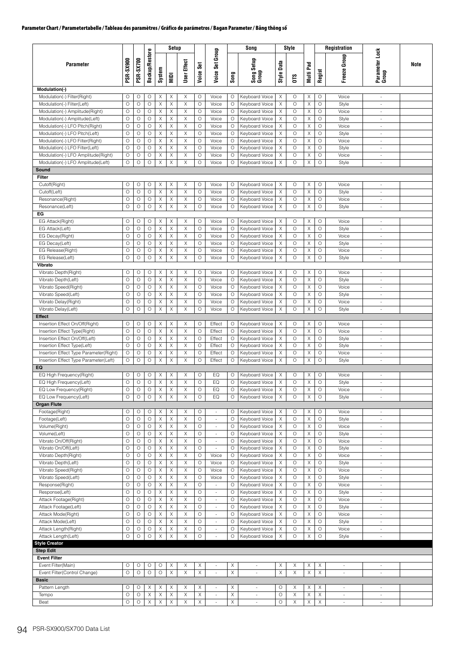|                                                              |                    |                  |                       |                  | Setup                     |                                      |              |                                    |                    | Song                             |                                       | Style        |           |                    | Registration             |                                                      |      |
|--------------------------------------------------------------|--------------------|------------------|-----------------------|------------------|---------------------------|--------------------------------------|--------------|------------------------------------|--------------------|----------------------------------|---------------------------------------|--------------|-----------|--------------------|--------------------------|------------------------------------------------------|------|
| <b>Parameter</b>                                             | <b>PSR-SX900</b>   | <b>PSR-SX700</b> | <b>Backup/Restore</b> | System           | <b>Idim</b>               | User Effect                          | Voice Set    | Voice Set Group                    | Song               | Song Setup<br>Group              | Style Data                            |              | Multi Pad | Regist             | Group<br>Freeze          | Parameter Lock<br>Group                              | Note |
|                                                              |                    |                  |                       |                  |                           |                                      |              |                                    |                    |                                  |                                       | <b>OTS</b>   |           |                    |                          |                                                      |      |
| Modulation(-)                                                |                    |                  |                       |                  |                           |                                      |              |                                    |                    |                                  |                                       |              |           |                    |                          |                                                      |      |
| Modulation(-) Filter(Right)                                  | O                  | O                | O                     | Χ                | Χ                         | $\boldsymbol{\times}$                | O            | Voice                              | O                  | Keyboard Voice                   | X                                     | O            | Χ         | O                  | Voice                    | $\overline{\phantom{a}}$                             |      |
| Modulation(-) Filter(Left)<br>Modulation(-) Amplitude(Right) | $\circ$<br>$\circ$ | O<br>O           | O<br>$\circ$          | X<br>Χ           | X<br>X                    | $\mathsf X$<br>$\boldsymbol{\times}$ | $\circ$<br>O | Voice<br>Voice                     | $\circ$<br>O       | Keyboard Voice<br>Keyboard Voice | X<br>$\boldsymbol{\mathsf{X}}$        | $\circ$<br>O | Χ<br>Χ    | O<br>$\circ$       | Style<br>Voice           | $\overline{\phantom{a}}$<br>٠                        |      |
| Modulation(-) Amplitude(Left)                                | O                  | О                | O                     | Χ                | Χ                         | X                                    | O            | Voice                              | $\circ$            | Keyboard Voice                   | Χ                                     | O            | Χ         | $\circ$            | Style                    | $\overline{\phantom{a}}$                             |      |
| Modulation(-) LFO Pitch(Right)                               | $\circ$            | $\circ$          | $\circ$               | Χ                | Χ                         | X                                    | $\circ$      | Voice                              | $\circ$            | Keyboard Voice                   | Χ                                     | O            | Χ         | $\circ$            | Voice                    | $\sim$                                               |      |
| Modulation(-) LFO Pitch(Left)                                | $\circ$            | O                | O                     | X                | $\boldsymbol{\mathsf{X}}$ | $\boldsymbol{\times}$                | O            | Voice                              | $\circ$            | Keyboard Voice                   | Χ                                     | $\circ$      | Χ         | O                  | Style                    | $\overline{\phantom{a}}$                             |      |
| Modulation(-) LFO Filter(Right)                              | O                  | $\circ$          | $\circ$               | Χ                | X                         | $\boldsymbol{\times}$                | O            | Voice                              | $\circ$            | Keyboard Voice                   | X                                     | O            | Χ         | O                  | Voice                    | $\overline{\phantom{a}}$                             |      |
| Modulation(-) LFO Filter(Left)                               | O                  | O                | O                     | X                | X                         | $\mathsf X$                          | O            | Voice                              | O                  | Keyboard Voice                   | X                                     | $\circ$      | Χ         | O                  | Style                    | $\sim$                                               |      |
| Modulation(-) LFO Amplitude(Right)                           | $\circ$            | O                | $\circ$               | Χ                | X                         | $\boldsymbol{\times}$                | $\circ$      | Voice                              | $\circ$            | Keyboard Voice                   | X                                     | $\circ$      | X         | O                  | Voice                    | ÷                                                    |      |
| Modulation(-) LFO Amplitude(Left)                            | O                  | O                | $\circ$               | Χ                | X                         | $\mathsf X$                          | O            | Voice                              | $\circ$            | Keyboard Voice                   | X                                     | O            | Χ         | $\circ$            | Style                    | $\sim$                                               |      |
| Sound                                                        |                    |                  |                       |                  |                           |                                      |              |                                    |                    |                                  |                                       |              |           |                    |                          |                                                      |      |
| Filter                                                       |                    |                  |                       |                  |                           |                                      |              |                                    |                    |                                  |                                       |              |           |                    |                          |                                                      |      |
| Cutoff(Right)<br>Cutoff(Left)                                | O<br>$\circ$       | O<br>O           | O<br>O                | X<br>X           | Χ<br>X                    | X<br>$\mathsf X$                     | O<br>$\circ$ | Voice<br>Voice                     | $\circ$<br>$\circ$ | Keyboard Voice<br>Keyboard Voice | X<br>$\mathsf X$                      | O<br>$\circ$ | Χ<br>Χ    | $\circ$<br>$\circ$ | Voice<br>Style           | $\overline{\phantom{a}}$<br>$\sim$                   |      |
| Resonance(Right)                                             | $\circ$            | O                | $\circ$               | X                | X                         | X                                    | O            | Voice                              | O                  | Keyboard Voice                   | X                                     | O            | X         | $\circ$            | Voice                    | $\sim$                                               |      |
| Resonance(Left)                                              | $\circ$            | O                | $\circ$               | X                | $\mathsf X$               | $\times$                             | O            | Voice                              | $\circ$            | Keyboard Voice                   | X                                     | O            | Χ         | $\circ$            | Style                    | $\overline{\phantom{a}}$                             |      |
| EG                                                           |                    |                  |                       |                  |                           |                                      |              |                                    |                    |                                  |                                       |              |           |                    |                          |                                                      |      |
| EG Attack(Right)                                             | O                  | О                | O                     | X                | X                         | X                                    | O            | Voice                              | $\circ$            | Keyboard Voice                   | Χ                                     | O            | Χ         | O                  | Voice                    | ä,                                                   |      |
| EG Attack(Left)                                              | O                  | O                | O                     | X                | X                         | X                                    | $\circ$      | Voice                              | $\circ$            | Keyboard Voice                   | X                                     | O            | Χ         | O                  | Style                    | $\overline{\phantom{a}}$                             |      |
| EG Decay(Right)                                              | $\circ$            | $\circ$          | $\circ$               | X                | X                         | $\mathsf X$                          | O            | Voice                              | O                  | Keyboard Voice                   | X                                     | $\circ$      | Χ         | $\circ$            | Voice                    | $\sim$                                               |      |
| EG Decay(Left)                                               | O                  | O                | O                     | Χ                | X                         | $\times$                             | O            | Voice                              | $\circ$            | Keyboard Voice                   | X                                     | $\circ$      | Χ         | $\circ$            | Style                    | $\overline{\phantom{a}}$                             |      |
| EG Release(Right)                                            | O                  | $\circ$          | $\circ$               | X                | X                         | X                                    | $\circ$      | Voice                              | $\circ$            | Keyboard Voice                   | X                                     | O            | Χ         | $\circ$            | Voice                    | $\sim$                                               |      |
| EG Release(Left)                                             | $\circ$            | O                | $\circ$               | X                | $\mathsf X$               | X                                    | O            | Voice                              | $\circ$            | Keyboard Voice                   | X                                     | O            | Χ         | $\circ$            | Style                    | $\bar{a}$                                            |      |
| Vibrato                                                      |                    |                  |                       |                  |                           |                                      |              |                                    |                    |                                  |                                       |              |           |                    |                          |                                                      |      |
| Vibrato Depth(Right)                                         | O<br>$\circ$       | O<br>O           | O<br>O                | Χ                | X<br>$\mathsf X$          | X                                    | O<br>$\circ$ | Voice                              | $\circ$            | Keyboard Voice                   | $\boldsymbol{\mathsf{X}}$             | O<br>$\circ$ | Χ         | O                  | Voice                    | $\overline{\phantom{a}}$                             |      |
| Vibrato Depth(Left)<br>Vibrato Speed(Right)                  | O                  | O                | O                     | Χ<br>Χ           | Χ                         | $\mathsf X$<br>X                     | O            | Voice<br>Voice                     | $\circ$<br>O       | Keyboard Voice<br>Keyboard Voice | $\mathsf X$<br>X                      | O            | X<br>Χ    | $\circ$<br>$\circ$ | Style<br>Voice           | $\sim$<br>$\overline{\phantom{a}}$                   |      |
| Vibrato Speed(Left)                                          | $\circ$            | О                | $\circ$               | X                | X                         | $\mathsf X$                          | $\circ$      | Voice                              | $\circ$            | Keyboard Voice                   | $\boldsymbol{\mathsf{X}}$             | O            | Χ         | O                  | Style                    | ä,                                                   |      |
| Vibrato Delay(Right)                                         | O                  | О                | $\circ$               | Χ                | Χ                         | Χ                                    | O            | Voice                              | $\circ$            | Keyboard Voice                   | Χ                                     | $\circ$      | Χ         | $\circ$            | Voice                    | $\overline{\phantom{a}}$                             |      |
| Vibrato Delay(Left)                                          | $\circ$            | O                | O                     | X                | X                         | $\boldsymbol{\times}$                | $\circ$      | Voice                              | $\circ$            | Keyboard Voice                   | X                                     | $\circ$      | Χ         | $\circ$            | Style                    | ä,                                                   |      |
| <b>Effect</b>                                                |                    |                  |                       |                  |                           |                                      |              |                                    |                    |                                  |                                       |              |           |                    |                          |                                                      |      |
| Insertion Effect On/Off(Right)                               | О                  | O                | O                     | X                | Χ                         | X                                    | O            | Effect                             | $\circ$            | Keyboard Voice                   | $\boldsymbol{\mathsf{X}}$             | $\circ$      | Χ         | $\circ$            | Voice                    | ÷                                                    |      |
| Insertion Effect Type(Right)                                 | $\circ$            | O                | O                     | X                | X                         | $\boldsymbol{\times}$                | $\circ$      | Effect                             | $\circ$            | Keyboard Voice                   | X                                     | $\circ$      | Χ         | $\circ$            | Voice                    | $\frac{1}{2}$                                        |      |
| Insertion Effect On/Off(Left)                                | O                  | $\circ$          | $\circ$               | Χ                | Χ                         | X                                    | $\circ$      | Effect                             | $\circ$            | Keyboard Voice                   | X                                     | O            | Χ         | $\circ$            | Style                    | $\sim$                                               |      |
| Insertion Effect Type(Left)                                  | O                  | O                | $\circ$               | X                | X                         | $\boldsymbol{\times}$                | $\circ$      | Effect                             | $\circ$            | Keyboard Voice                   | Χ                                     | $\circ$      | Χ         | $\circ$            | Style                    | $\overline{\phantom{a}}$                             |      |
| Insertion Effect Type Parameter(Right)                       | O                  | O                | O                     | Χ                | X                         | X                                    | $\circ$      | Effect                             | $\circ$            | Keyboard Voice                   | X                                     | O            | Χ         | O                  | Voice                    | $\frac{1}{2}$                                        |      |
| Insertion Effect Type Parameter(Left)                        | O                  | O                | O                     | X                | $\boldsymbol{\mathsf{X}}$ | $\times$                             | O            | Effect                             | O                  | Keyboard Voice                   | X                                     | O            | Χ         | $\circ$            | Style                    | ٠                                                    |      |
| EQ<br>EQ High Frequency(Right)                               | $\circ$            | О                | O                     | Χ                | Χ                         | $\boldsymbol{\times}$                | O            | EQ                                 | O                  | Keyboard Voice                   | Χ                                     | $\circ$      | Χ         | $\circ$            | Voice                    | $\overline{\phantom{a}}$                             |      |
| EQ High Frequency(Left)                                      | $\circ$            | O                | $\circ$               | Χ                | $\mathsf X$               | X                                    | $\circ$      | EQ                                 | $\circ$            | Keyboard Voice                   | X                                     | O            | Χ         | O                  | Style                    | $\sim$                                               |      |
| EQ Low Frequency(Right)                                      | О                  | O                | O                     | Χ                | X                         | Χ                                    | O            | EQ                                 | O                  | Keyboard Voice                   | Х                                     | O            | Χ         | O                  | Voice                    | $\bar{\phantom{a}}$                                  |      |
| EQ Low Frequency(Left)                                       | O                  | O                | $\circ$               | Χ                | X                         | X                                    | $\circ$      | EQ                                 | $\circ$            | Keyboard Voice                   | X                                     | $\circ$      | Χ         | $\circ$            | Style                    |                                                      |      |
| <b>Organ Flute</b>                                           |                    |                  |                       |                  |                           |                                      |              |                                    |                    |                                  |                                       |              |           |                    |                          |                                                      |      |
| Footage(Right)                                               | O                  | O                | O                     | Χ                | Χ                         | Χ                                    | O            | $\sim$                             | O                  | Keyboard Voice                   | $\times$                              | O            | X         | $\circ$            | Voice                    | $\overline{\phantom{a}}$                             |      |
| Footage(Left)                                                | $\circ$            | O                | $\circ$               | Χ                | X                         | X                                    | $\circ$      | $\overline{\phantom{a}}$           | $\circ$            | Keyboard Voice                   | X                                     | $\circ$      | X         | $\circ$            | Style                    | $\blacksquare$                                       |      |
| Volume(Right)                                                | $\circ$            | $\circ$          | $\circ$               | Χ                | Χ                         | X                                    | O            | $\overline{\phantom{a}}$           | $\circ$            | Keyboard Voice                   | Χ                                     | O            | X         | $\circ$            | Voice                    | $\overline{\phantom{a}}$                             |      |
| Volume(Left)                                                 | O                  | O                | $\circ$               | X                | $\times$                  | X                                    | O            | $\overline{\phantom{a}}$           | $\circ$            | Keyboard Voice                   | Χ                                     | $\circ$      | Χ         | $\circ$            | Style                    | $\sim$                                               |      |
| Vibrato On/Off(Right)                                        | $\circ$            | O<br>O           | O<br>$\circ$          | X                | X                         | $\boldsymbol{\times}$<br>$\mathsf X$ | $\circ$<br>O | $\frac{1}{2}$                      | $\circ$            | Keyboard Voice                   | X                                     | O<br>O       | Χ         | $\circ$<br>$\circ$ | Voice                    | ÷,                                                   |      |
| Vibrato On/Off(Left)<br>Vibrato Depth(Right)                 | O<br>O             | O                | $\circ$               | X<br>X           | X<br>X                    | Χ                                    | $\circ$      | ä,<br>Voice                        | $\circ$<br>$\circ$ | Keyboard Voice<br>Keyboard Voice | $\boldsymbol{\mathsf{X}}$<br>$\times$ | O            | Χ<br>X    | O                  | Style<br>Voice           | $\overline{\phantom{a}}$<br>$\overline{\phantom{a}}$ |      |
| Vibrato Depth(Left)                                          | $\circ$            | O                | $\circ$               | Χ                | X                         | X                                    | O            | Voice                              | O                  | Keyboard Voice                   | Χ                                     | $\circ$      | Χ         | $\circ$            | Style                    | $\blacksquare$                                       |      |
| Vibrato Speed(Right)                                         | $\circ$            | $\bigcirc$       | $\circ$               | Χ                | X                         | $\times$                             | $\circ$      | Voice                              | $\circ$            | Keyboard Voice                   | Χ                                     | $\circ$      | X         | $\circ$            | Voice                    | $\overline{\phantom{a}}$                             |      |
| Vibrato Speed(Left)                                          | O                  | $\circ$          | $\circ$               | Χ                | X                         | Χ                                    | O            | Voice                              | $\circ$            | Keyboard Voice                   | Χ                                     | $\circ$      | Χ         | O                  | Style                    | $\sim$                                               |      |
| Response(Right)                                              | $\circ$            | O                | $\circ$               | X                | X                         | X                                    | $\circ$      |                                    | $\circ$            | Keyboard Voice                   | $\boldsymbol{\mathsf{X}}$             | $\circ$      | Χ         | O                  | Voice                    | $\overline{\phantom{a}}$                             |      |
| Response(Left)                                               | O                  | O                | $\circ$               | X                | X                         | $\mathsf X$                          | O            | ÷,                                 | $\circ$            | Keyboard Voice                   | X                                     | O            | X         | $\circ$            | Style                    | $\overline{\phantom{a}}$                             |      |
| Attack Footage(Right)                                        | O                  | $\circ$          | $\circ$               | X                | $\mathsf X$               | $\mathsf X$                          | O            | $\overline{\phantom{a}}$           | $\circ$            | Keyboard Voice                   | $\times$                              | O            | X         | O                  | Voice                    | $\overline{\phantom{a}}$                             |      |
| Attack Footage(Left)                                         | $\circ$            | O                | $\circ$               | Χ                | X                         | X                                    | $\circ$      | $\blacksquare$                     | $\circ$            | Keyboard Voice                   | X                                     | $\circ$      | Χ         | $\circ$            | Style                    | $\overline{\phantom{a}}$                             |      |
| Attack Mode(Right)                                           | $\circ$            | О                | $\circ$               | Χ                | X                         | $\mathsf X$                          | O            | $\overline{\phantom{a}}$           | $\circ$            | Keyboard Voice                   | Χ                                     | О            | Χ         | $\circ$            | Voice                    | $\overline{\phantom{a}}$                             |      |
| Attack Mode(Left)                                            | $\circ$            | O                | $\circ$               | X                | X                         | X                                    | $\circ$      | $\overline{\phantom{a}}$           | $\circ$            | Keyboard Voice                   | Χ                                     | $\circ$      | Χ         | $\circ$            | Style                    | $\sim$                                               |      |
| Attack Length(Right)                                         | $\circ$<br>O       | O<br>O           | O<br>$\circ$          | X<br>$\mathsf X$ | X<br>$\mathsf X$          | Χ<br>$\mathsf X$                     | O<br>O       | $\qquad \qquad \blacksquare$<br>÷, | $\circ$<br>O       | Keyboard Voice<br>Keyboard Voice | Χ<br>X                                | O<br>O       | Χ<br>Χ    | O<br>$\circ$       | Voice                    | $\overline{\phantom{a}}$<br>$\blacksquare$           |      |
| Attack Length(Left)<br><b>Style Creator</b>                  |                    |                  |                       |                  |                           |                                      |              |                                    |                    |                                  |                                       |              |           |                    | Style                    |                                                      |      |
| <b>Step Edit</b>                                             |                    |                  |                       |                  |                           |                                      |              |                                    |                    |                                  |                                       |              |           |                    |                          |                                                      |      |
| <b>Event Filter</b>                                          |                    |                  |                       |                  |                           |                                      |              |                                    |                    |                                  |                                       |              |           |                    |                          |                                                      |      |
| Event Filter(Main)                                           | О                  | O                | O                     | O                | Χ                         | X                                    | X            | $\overline{\phantom{a}}$           | Χ                  | $\overline{\phantom{a}}$         | X                                     | Χ            | Χ         | Χ                  | $\sim$                   | $\overline{\phantom{a}}$                             |      |
| Event Filter(Control Change)                                 | $\circ$            | O                | $\circ$               | $\circ$          | $\mathsf X$               | $\mathsf X$                          | Χ            | i,                                 | X                  |                                  | X                                     | X            | Χ         | X                  | ÷,                       |                                                      |      |
| <b>Basic</b>                                                 |                    |                  |                       |                  |                           |                                      |              |                                    |                    |                                  |                                       |              |           |                    |                          |                                                      |      |
| Pattern Length                                               | O                  | O                | Χ                     | Χ                | Χ                         | X                                    | Χ            | $\overline{\phantom{a}}$           | X                  | $\overline{\phantom{a}}$         | O                                     | Χ            | Χ         | X                  | $\overline{\phantom{a}}$ | $\overline{\phantom{a}}$                             |      |
| Tempo                                                        | $\circ$            | $\circ$          | X                     | X                | X                         | X                                    | X            | ÷,                                 | X                  | $\overline{\phantom{a}}$         | $\circ$                               | X            | X         | $\mathsf X$        | $\overline{\phantom{a}}$ | $\overline{\phantom{a}}$                             |      |
| Beat                                                         | O                  | O                | Χ                     | X                | X                         | X                                    | Χ            | $\overline{\phantom{a}}$           | X                  | $\overline{\phantom{a}}$         | $\circ$                               | X            | X         | X                  | $\overline{\phantom{a}}$ | $\overline{\phantom{a}}$                             |      |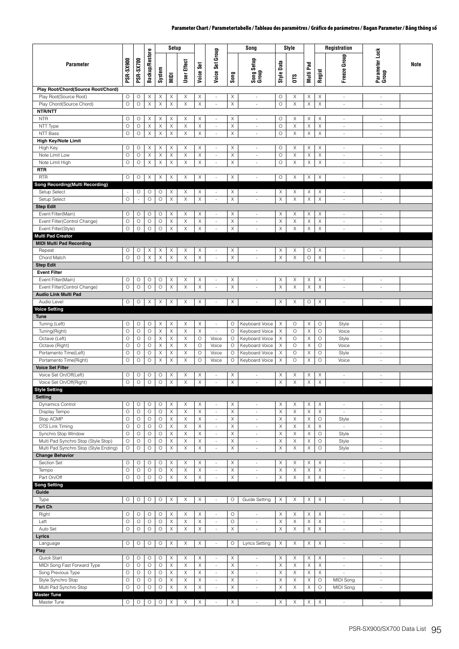|                                                                 |                       |                    |                            |                    | Setup                      |                            |                       |                                                      |                                | Song                                                 |                            | Style            |                  |                        | Registration                      |                                    |      |
|-----------------------------------------------------------------|-----------------------|--------------------|----------------------------|--------------------|----------------------------|----------------------------|-----------------------|------------------------------------------------------|--------------------------------|------------------------------------------------------|----------------------------|------------------|------------------|------------------------|-----------------------------------|------------------------------------|------|
| Parameter                                                       | <b>PSR-SX900</b>      | <b>PSR-SX700</b>   | <b>Backup/Restore</b>      | System             | NIDI                       | User Effect                | Set<br>Voice:         | Voice Set Group                                      | Song                           | Song Setup<br>Group                                  | Data<br>Style              | <b>OTS</b>       | Pad<br>Multi I   | Regist                 | Freeze Group                      | Parameter Lock<br>Group            | Note |
| Play Root/Chord(Source Root/Chord)                              |                       |                    |                            |                    |                            |                            |                       |                                                      |                                |                                                      |                            |                  |                  |                        |                                   |                                    |      |
| Play Root(Source Root)<br>Play Chord(Source Chord)<br>NTR/NTT   | $\circ$<br>$\circ$    | O<br>$\circ$       | X<br>$\mathsf X$           | Χ<br>$\mathsf X$   | Χ<br>$\boldsymbol{\times}$ | X<br>$\mathsf X$           | X<br>$\mathsf X$      | $\overline{\phantom{a}}$<br>×.                       | X<br>X                         | $\overline{\phantom{a}}$<br>×.                       | О<br>$\circ$               | Χ<br>X           | Χ<br>X           | X<br>$\mathsf X$       | $\sim$<br>$\sim$                  | $\overline{\phantom{a}}$<br>$\sim$ |      |
| <b>NTR</b><br>NTT Type                                          | $\circ$<br>$\circ$    | $\circ$<br>$\circ$ | Χ<br>$\boldsymbol{\times}$ | Χ<br>X             | Χ<br>X                     | X<br>$\mathsf X$           | Χ<br>X                | $\sim$<br>$\overline{\phantom{a}}$                   | Χ<br>Χ                         | ×.<br>$\overline{\phantom{a}}$                       | $\circ$<br>$\circ$         | X<br>$\mathsf X$ | Χ<br>X           | Χ<br>X                 | ä,<br>$\mathcal{L}_{\mathcal{A}}$ | ×.<br>$\sim$                       |      |
| NTT Bass                                                        | $\circ$               | $\circ$            | $\mathsf X$                | X                  | X                          | $\mathsf X$                | X                     | $\overline{\phantom{a}}$                             | X                              | $\overline{\phantom{a}}$                             | $\circ$                    | $\mathsf X$      | X                | X                      | $\overline{\phantom{a}}$          | $\overline{\phantom{a}}$           |      |
| <b>High Key/Note Limit</b>                                      |                       |                    |                            |                    |                            |                            |                       |                                                      |                                |                                                      |                            |                  |                  |                        |                                   |                                    |      |
| High Key<br>Note Limit Low                                      | $\circ$<br>$\circ$    | O<br>$\circ$       | X<br>X                     | Χ<br>X             | Χ<br>Χ                     | X<br>X                     | X<br>X                | $\overline{\phantom{a}}$<br>$\overline{\phantom{a}}$ | $\boldsymbol{\mathsf{X}}$<br>X | $\sim$<br>$\overline{\phantom{a}}$                   | $\circ$<br>$\circ$         | Χ<br>X           | X<br>X           | X<br>X                 | $\sim$<br>÷,                      | $\sim$<br>$\overline{\phantom{a}}$ |      |
| Note Limit High                                                 | $\circ$               | $\circ$            | $\mathsf X$                | $\mathsf X$        | X                          | $\mathsf X$                | $\mathsf X$           | $\bar{\phantom{a}}$                                  | X                              | $\sim$                                               | $\circ$                    | Χ                | $\mathsf X$      | $\mathsf X$            | $\omega$                          | $\sim$                             |      |
| <b>RTR</b>                                                      |                       |                    |                            |                    |                            |                            |                       |                                                      |                                |                                                      |                            |                  |                  |                        |                                   |                                    |      |
| <b>RTR</b>                                                      | $\circ$               | $\circ$            | X                          | X                  | X                          | X                          | X                     | $\overline{\phantom{a}}$                             | X                              | $\overline{\phantom{a}}$                             | $\circ$                    | Χ                | X                | X                      | $\blacksquare$                    | $\overline{\phantom{a}}$           |      |
| Song Recording(Multi Recording)                                 |                       |                    |                            |                    |                            |                            |                       |                                                      |                                |                                                      |                            |                  |                  |                        |                                   |                                    |      |
| Setup Select                                                    | $\omega$              | O                  | O                          | O                  | X                          | X                          | Χ                     | $\overline{\phantom{a}}$                             | X                              | ×                                                    | $\mathsf X$                | X                | X                | X                      | $\sim$                            | $\sim$                             |      |
| Setup Select                                                    | $\circ$               | $\sim$             | $\circ$                    | $\circ$            | X                          | X                          | X                     | $\overline{\phantom{a}}$                             | X                              | $\overline{\phantom{a}}$                             | X                          | X                | X                | $\mathsf X$            | ä,                                | $\overline{\phantom{a}}$           |      |
| <b>Step Edit</b><br>Event Filter(Main)                          | O                     | $\circ$            | O                          | O                  | Χ                          | Χ                          | X                     | $\overline{\phantom{a}}$                             | Χ                              | $\sim$                                               | $\mathsf X$                | X                | X                | Χ                      | $\mathcal{L}_{\mathcal{A}}$       | $\sim$                             |      |
| Event Filter(Control Change)                                    | $\circ$               | $\circ$            | $\circ$                    | O                  | Χ                          | X                          | X                     | $\overline{\phantom{a}}$                             | X                              | $\overline{\phantom{a}}$                             | X                          | X                | Χ                | X                      | $\overline{\phantom{a}}$          | $\overline{\phantom{a}}$           |      |
| Event Filter(Style)                                             | $\bigcirc$            | $\circ$            | $\circ$                    | $\circ$            | $\boldsymbol{\times}$      | $\mathsf X$                | $\mathsf X$           | $\sim$                                               | $\boldsymbol{\times}$          | $\sim$                                               | $\mathsf X$                | $\mathsf X$      | $\mathsf X$      | $\mathsf X$            | $\overline{\phantom{a}}$          | $\omega$                           |      |
| <b>Multi Pad Creator</b>                                        |                       |                    |                            |                    |                            |                            |                       |                                                      |                                |                                                      |                            |                  |                  |                        |                                   |                                    |      |
| <b>MIDI Multi Pad Recording</b>                                 |                       |                    |                            |                    |                            |                            |                       |                                                      |                                |                                                      |                            |                  |                  |                        |                                   |                                    |      |
| Repeat                                                          | O                     | $\circ$            | Χ                          | Х                  | Х                          | Χ                          | Χ                     | $\overline{\phantom{a}}$                             | Χ                              | $\overline{\phantom{a}}$                             | Χ                          | Χ                | O                | Χ                      | $\bar{a}$                         | $\sim$                             |      |
| Chord Match                                                     | $\circ$               | $\circ$            | $\boldsymbol{\times}$      | X                  | X                          | $\mathsf X$                | Χ                     | ÷,                                                   | X                              | $\sim$                                               | $\mathsf X$                | $\mathsf X$      | $\circ$          | X                      | $\overline{\phantom{a}}$          | ×.                                 |      |
| <b>Step Edit</b>                                                |                       |                    |                            |                    |                            |                            |                       |                                                      |                                |                                                      |                            |                  |                  |                        |                                   |                                    |      |
| <b>Event Filter</b><br>Event Filter(Main)                       | $\circ$               | O                  | O                          | O                  | X                          | Χ                          | Χ                     | $\overline{\phantom{a}}$                             | X                              | $\overline{\phantom{a}}$                             | X                          | X                | X                | X                      | $\overline{\phantom{a}}$          | $\overline{\phantom{a}}$           |      |
| Event Filter(Control Change)                                    | $\circ$               | $\circ$            | $\circ$                    | $\circ$            | X                          | X                          | X                     | $\overline{\phantom{a}}$                             | X                              | $\overline{\phantom{a}}$                             | X                          | Χ                | X                | X                      | ÷,                                | $\overline{\phantom{a}}$           |      |
| <b>Audio Link Multi Pad</b>                                     |                       |                    |                            |                    |                            |                            |                       |                                                      |                                |                                                      |                            |                  |                  |                        |                                   |                                    |      |
| Audio Level                                                     | O                     | $\circ$            | Χ                          | Χ                  | X                          | Χ                          | Χ                     | $\overline{\phantom{a}}$                             | X                              | $\overline{\phantom{a}}$                             | Χ                          | X                | О                | Χ                      | $\overline{\phantom{a}}$          | $\overline{\phantom{a}}$           |      |
| <b>Voice Setting</b>                                            |                       |                    |                            |                    |                            |                            |                       |                                                      |                                |                                                      |                            |                  |                  |                        |                                   |                                    |      |
| <b>Tune</b>                                                     |                       |                    |                            |                    |                            |                            |                       |                                                      |                                |                                                      |                            |                  |                  |                        |                                   |                                    |      |
| Tuning (Left)                                                   | O<br>$\circ$          | $\circ$<br>$\circ$ | O<br>$\circ$               | Χ<br>Χ             | Χ<br>Χ                     | X<br>X                     | X<br>Χ                | $\overline{\phantom{a}}$<br>$\sim$                   | $\circ$<br>O                   | Keyboard Voice<br>Keyboard Voice                     | Χ<br>$\times$              | O<br>$\circ$     | X<br>Χ           | O<br>O                 | Style<br>Voice                    | $\sim$<br>$\overline{\phantom{a}}$ |      |
| Tuning(Right)<br>Octave (Left)                                  | $\circ$               | $\circ$            | $\circ$                    | X                  | X                          | $\mathsf X$                | $\circ$               | Voice                                                | O                              | Keyboard Voice                                       | $\times$                   | $\circ$          | X                | $\circ$                | Style                             | ×.                                 |      |
| Octave (Right)                                                  | $\circ$               | $\circ$            | O                          | X                  | Χ                          | X                          | O                     | Voice                                                | O                              | Keyboard Voice                                       | $\times$                   | O                | X                | $\circ$                | Voice                             | $\overline{\phantom{a}}$           |      |
| Portamento Time(Left)                                           | $\circ$               | $\circ$            | $\circ$                    | $\mathsf X$        | X                          | $\mathsf X$                | $\circ$               | Voice                                                | О                              | Keyboard Voice                                       | $\mathsf X$                | $\circ$          | $\mathsf X$      | $\circ$                | Style                             | $\overline{\phantom{a}}$           |      |
| Portamento Time(Right)                                          | $\circ$               | $\circ$            | $\circ$                    | $\mathsf X$        | Χ                          | X                          | $\circ$               | Voice                                                | O                              | Keyboard Voice                                       | $\times$                   | $\circ$          | $\mathsf X$      | $\circ$                | Voice                             | $\overline{\phantom{a}}$           |      |
| <b>Voice Set Filter</b>                                         |                       |                    |                            |                    |                            |                            |                       |                                                      |                                |                                                      |                            |                  |                  |                        |                                   |                                    |      |
| Voice Set On/Off(Left)                                          | O                     | O                  | О                          | O                  | Х                          | Χ                          | Χ                     | $\overline{\phantom{a}}$                             | X                              | $\overline{\phantom{a}}$                             | Χ                          | Χ                | X                | Χ                      | $\overline{\phantom{a}}$          | $\sim$                             |      |
| Voice Set On/Off(Right)                                         | $\circ$               | $\circ$            | $\bigcirc$                 | $\bigcirc$         | Χ                          | $\mathsf X$                | $\mathsf X$           | ×.                                                   | X                              |                                                      | $\mathsf X$                | $\mathsf X$      | $\mathsf X$      | $\mathsf X$            | ÷.                                | $\sim$                             |      |
| <b>Style Setting</b><br>Setting                                 |                       |                    |                            |                    |                            |                            |                       |                                                      |                                |                                                      |                            |                  |                  |                        |                                   |                                    |      |
| Dynamics Control                                                | $\circ$               | $\circ$            | O                          | O                  | X                          | X                          | $\boldsymbol{\times}$ | $\overline{\phantom{a}}$                             | $\boldsymbol{\times}$          | $\overline{\phantom{a}}$                             | $\mathsf X$                | $\mathsf X$      | X                | X                      | $\sim$                            | $\overline{\phantom{a}}$           |      |
| Display Tempo                                                   | $\circ$               | $\circ$            | $\circ$                    | $\circ$            | X                          | X                          | Χ                     | $\overline{\phantom{a}}$                             | X                              | $\overline{\phantom{a}}$                             | X                          | X                | X                | $\mathsf X$            | $\sim$                            | $\overline{\phantom{a}}$           |      |
| Stop ACMP                                                       | $\circ$               | $\circ$            | $\circ$                    | O                  | Χ                          | X                          | Χ                     | $\overline{\phantom{a}}$                             | X                              | $\overline{\phantom{a}}$                             | $\mathsf X$                | X                | X                | $\circ$                | Style                             | $\overline{\phantom{a}}$           |      |
| OTS Link Timing                                                 | $\bigcirc$            | $\circ$            | $\circ$                    | $\circ$            | X                          | $\mathsf X$                | Χ                     | $\overline{\phantom{a}}$                             | $\mathsf X$                    | $\overline{\phantom{a}}$                             | $\times$                   | $\mathsf X$      | $\mathsf X$      | X                      | $\omega$                          | $\overline{\phantom{a}}$           |      |
| Synchro Stop Window                                             | $\circ$               | $\circ$            | $\circ$                    | $\circ$            | X                          | X                          | X                     | ÷.                                                   | X                              | $\overline{\phantom{a}}$                             | X                          | X                | X                | $\circ$                | Style                             | $\overline{\phantom{a}}$           |      |
| Multi Pad Synchro Stop (Style Stop)                             | $\circ$               | $\circ$            | O                          | O                  | X                          | $\mathsf X$                | $\mathsf X$           | $\overline{\phantom{a}}$                             | $\boldsymbol{\times}$          | $\overline{\phantom{a}}$                             | X                          | $\mathsf X$      | X                | $\circ$                | Style                             | $\overline{\phantom{a}}$           |      |
| Multi Pad Synchro Stop (Style Ending)<br><b>Change Behavior</b> | $\circ$               | $\circ$            | $\bigcirc$                 | $\circ$            | $\mathsf X$                | $\mathsf X$                | $\mathsf X$           | ä,                                                   | $\mathsf X$                    | $\sim$                                               | $\mathsf X$                | $\mathsf X$      | $\mathsf X$      | $\bigcirc$             | Style                             | $\sim$                             |      |
| Section Set                                                     | $\circ$               | $\circ$            | O                          | O                  | Χ                          | Χ                          | Χ                     | $\sim$                                               | $\boldsymbol{\mathsf{X}}$      | $\overline{\phantom{a}}$                             | $\times$                   | Χ                | Χ                | Χ                      | $\sim$                            | $\sim$                             |      |
| Tempo                                                           | $\bigcirc$            | $\circ$            | $\circ$                    | $\circ$            | X                          | $\mathsf X$                | X                     | $\overline{\phantom{a}}$                             | $\mathsf X$                    | $\overline{\phantom{a}}$                             | $\times$                   | X                | X                | X                      | $\overline{\phantom{a}}$          | $\overline{\phantom{a}}$           |      |
| Part On/Off                                                     | $\circ$               | $\circ$            | $\circ$                    | $\circ$            | X                          | $\mathsf X$                | Χ                     | $\overline{\phantom{a}}$                             | X                              | $\overline{\phantom{a}}$                             | X                          | $\mathsf X$      | Χ                | X                      | ä,                                | $\sim$                             |      |
| <b>Song Setting</b>                                             |                       |                    |                            |                    |                            |                            |                       |                                                      |                                |                                                      |                            |                  |                  |                        |                                   |                                    |      |
| Guide                                                           |                       |                    |                            |                    |                            |                            |                       |                                                      |                                |                                                      |                            |                  |                  |                        |                                   |                                    |      |
| Type                                                            | O                     | $\circ$            | $\circ$                    | $\circ$            | $\boldsymbol{\times}$      | X                          | X                     | $\overline{\phantom{a}}$                             | O                              | Guide Setting                                        | $\times$                   | X                | Χ                | X                      | $\Box$                            | $\overline{\phantom{a}}$           |      |
| Part Ch<br>Right                                                | $\circ$               | $\circ$            | $\circ$                    | $\circ$            | X                          | X                          | X                     | $\overline{\phantom{a}}$                             | $\circ$                        | $\overline{\phantom{a}}$                             | $\times$                   | X                | X                | X                      | ä,                                | $\omega$                           |      |
| Left                                                            | $\circ$               | $\circ$            | $\circ$                    | $\circ$            | X                          | X                          | X                     | $\overline{\phantom{a}}$                             | $\circ$                        | $\overline{\phantom{a}}$                             | X                          | X                | X                | X                      | $\overline{\phantom{a}}$          | $\overline{\phantom{a}}$           |      |
| Auto Set                                                        | O                     | $\bigcirc$         | $\bigcirc$                 | $\bigcirc$         | $\boldsymbol{\times}$      | $\mathsf X$                | $\mathsf X$           | ÷.                                                   | $\mathsf X$                    | $\overline{\phantom{a}}$                             | $\mathsf X$                | $\mathsf X$      | $\mathsf X$      | $\mathsf X$            | $\overline{\phantom{a}}$          | $\overline{\phantom{a}}$           |      |
| Lyrics                                                          |                       |                    |                            |                    |                            |                            |                       |                                                      |                                |                                                      |                            |                  |                  |                        |                                   |                                    |      |
| Language                                                        | $\circ$               | $\circ$            | $\circ$                    | $\circ$            | X                          | X                          | X                     | $\overline{\phantom{a}}$                             | $\circ$                        | Lyrics Setting                                       | $\times$                   | X                | X                | X                      | $\sim$                            | $\overline{\phantom{a}}$           |      |
| Play                                                            |                       |                    |                            |                    |                            |                            |                       |                                                      |                                |                                                      |                            |                  |                  |                        |                                   |                                    |      |
| Quick Start                                                     | $\circ$               | $\circ$            | $\circ$                    | $\circ$            | X                          | X                          | Χ                     | $\omega$                                             | $\mathsf X$                    | $\overline{\phantom{a}}$                             | $\mathsf X$                | X                | X                | X                      | $\omega$                          | $\omega$                           |      |
| MIDI Song Fast Forward Type                                     | $\circ$               | $\circ$            | $\circ$                    | $\circ$            | X                          | X                          | X                     | $\overline{\phantom{a}}$                             | $\boldsymbol{\times}$          | $\overline{\phantom{a}}$                             | X                          | $\mathsf X$      | $\mathsf X$      | $\mathsf X$            | $\overline{\phantom{a}}$          | $\overline{\phantom{a}}$           |      |
| Song Previous Type<br>Style Synchro Stop                        | $\circ$<br>$\bigcirc$ | $\circ$<br>$\circ$ | $\circ$<br>$\circ$         | $\circ$<br>$\circ$ | X<br>X                     | $\mathsf X$<br>$\mathsf X$ | X<br>X                | $\overline{\phantom{a}}$<br>$\overline{\phantom{a}}$ | $\mathsf X$<br>$\mathsf X$     | $\overline{\phantom{a}}$<br>$\overline{\phantom{a}}$ | $\mathsf X$<br>$\mathsf X$ | X<br>Χ           | $\mathsf X$<br>X | $\mathsf X$<br>$\circ$ | ÷,<br>MIDI Song                   | $\sim$<br>$\overline{\phantom{a}}$ |      |
| Multi Pad Synchro Stop                                          | $\circ$               | $\circ$            | $\bigcirc$                 | $\bigcirc$         | Χ                          | $\mathsf X$                | X                     | ä,                                                   | Χ                              | $\overline{\phantom{a}}$                             | $\mathsf X$                | $\mathsf X$      | Χ                | $\circ$                | MIDI Song                         | $\sim$                             |      |
| <b>Master Tune</b>                                              |                       |                    |                            |                    |                            |                            |                       |                                                      |                                |                                                      |                            |                  |                  |                        |                                   |                                    |      |
| Master Tune                                                     | $\circ$               | $\circ$            | $\circ$                    | $\circ$            | Χ                          | Χ                          | X                     | $\sim$                                               | $\times$                       | $\sim$                                               | X                          | Χ                | X                | X                      | $\sim$                            | $\sim$                             |      |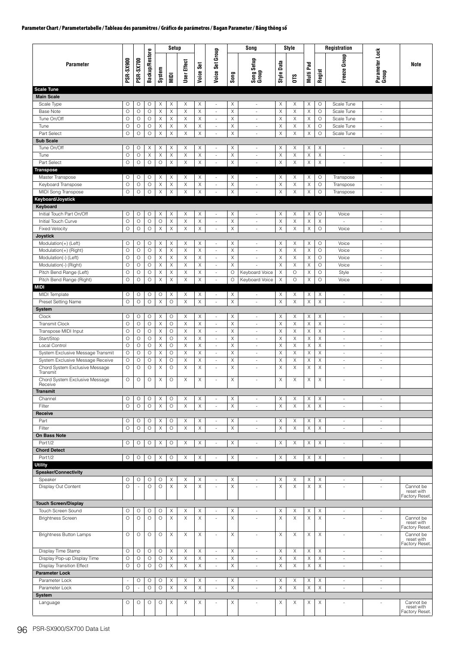| Voice Set Group<br>Parameter Lock<br>Group<br><b>Backup/Restore</b><br>Group<br><b>PSR-SX700</b><br>Song Setup<br>Group<br><b>PSR-SX900</b><br>User Effect<br>Style Data<br>Voice Set<br>Pad<br>Parameter<br>Note<br>System<br>Freeze<br>Regist<br>Multi I<br>Song<br>NIDI<br><b>OTS</b><br><b>Scale Tune</b><br><b>Main Scale</b><br>$\boldsymbol{\times}$<br>Scale Type<br>O<br>O<br>O<br>X<br>Χ<br>Χ<br>Χ<br>X<br>Χ<br>Χ<br>O<br>Scale Tune<br>$\overline{\phantom{a}}$<br>$\overline{\phantom{a}}$<br>$\sim$<br>$\circ$<br>$\circ$<br>$\circ$<br>X<br>X<br>X<br>X<br>X<br>X<br>X<br>X<br>$\circ$<br><b>Base Note</b><br>Scale Tune<br>$\overline{\phantom{a}}$<br>ä,<br>$\overline{\phantom{a}}$<br>$\circ$<br>$\boldsymbol{\mathsf{X}}$<br>$\mathsf X$<br>X<br>Tune On/Off<br>$\circ$<br>$\circ$<br>X<br>X<br>X<br>X<br>X<br>$\circ$<br>Scale Tune<br>$\overline{\phantom{a}}$<br>$\omega$<br>×.<br>$\circ$<br>$\circ$<br>X<br>X<br>X<br>X<br>X<br>X<br>X<br>Tune<br>O<br>X<br>O<br>Scale Tune<br>$\overline{\phantom{a}}$<br>$\sim$<br>$\sim$<br>$\times$<br>$\mathsf X$<br>Part Select<br>$\circ$<br>$\circ$<br>$\circ$<br>X<br>X<br>Χ<br>X<br>X<br>X<br>O<br>Scale Tune<br>$\frac{1}{2}$<br>÷,<br>$\overline{\phantom{a}}$<br><b>Sub Scale</b><br>X<br>X<br>X<br>Tune On/Off<br>O<br>O<br>Χ<br>Χ<br>Χ<br>Χ<br>X<br>Χ<br>X<br>$\overline{\phantom{a}}$<br>÷<br>$\sim$<br>$\sim$<br>$\circ$<br>$\circ$<br>X<br>X<br>X<br>X<br>X<br>Χ<br>X<br>X<br>X<br>Tune<br>Χ<br>$\overline{\phantom{a}}$<br>$\overline{\phantom{a}}$<br>$\overline{\phantom{a}}$<br>$\overline{\phantom{a}}$<br>$\circ$<br>$\circ$<br>$\circ$<br>$\circ$<br>$\mathsf X$<br>$\boldsymbol{\mathsf{X}}$<br>X<br>X<br>X<br>$\boldsymbol{\times}$<br>X<br>Part Select<br>Χ<br>ä,<br>$\sim$<br>$\sim$<br>$\sim$<br><b>Transpose</b><br>Master Transpose<br>O<br>Χ<br>X<br>Χ<br>Χ<br>X<br>Χ<br>O<br>О<br>0<br>Χ<br>Χ<br>Transpose<br>$\overline{\phantom{a}}$<br>$\overline{\phantom{a}}$<br>$\overline{\phantom{a}}$<br>$\circ$<br>$\circ$<br>X<br>X<br>$\boldsymbol{\mathsf{X}}$<br>X<br>Χ<br>X<br>X<br>X<br>$\circ$<br>Keyboard Transpose<br>O<br>Transpose<br>$\sim$<br>$\sim$<br>$\sim$<br>$\mathsf X$<br>Χ<br>$\mathsf X$<br>$\mathsf X$<br>MIDI Song Transpose<br>O<br>$\circ$<br>$\circ$<br>X<br>X<br>X<br>X<br>$\circ$<br>ä,<br>Transpose<br>$\overline{\phantom{a}}$<br>÷<br>Keyboard/Joystick<br>Keyboard<br>Initial Touch Part On/Off<br>O<br>O<br>$\circ$<br>Χ<br>Χ<br>X<br>X<br>Χ<br>X<br>X<br>Χ<br>O<br>Voice<br>$\overline{\phantom{a}}$<br>$\overline{\phantom{a}}$<br>$\overline{\phantom{a}}$<br>$\mathsf X$<br>Initial Touch Curve<br>$\circ$<br>$\circ$<br>$\circ$<br>O<br>X<br>X<br>X<br>X<br>X<br>X<br>X<br>$\overline{\phantom{a}}$<br>$\overline{\phantom{a}}$<br>$\overline{\phantom{a}}$<br>$\overline{\phantom{a}}$<br>$\mathsf X$<br>X<br>$\mathsf X$<br>O<br>$\circ$<br>$\circ$<br>X<br>$\boldsymbol{\mathsf{X}}$<br>X<br>X<br>X<br>$\circ$<br><b>Fixed Velocity</b><br>Voice<br>$\blacksquare$<br>$\overline{\phantom{a}}$<br>÷<br><b>Joystick</b><br>O<br>Modulation(+) (Left)<br>O<br>O<br>O<br>X<br>Χ<br>X<br>Χ<br>X<br>Χ<br>X<br>Χ<br>Voice<br>$\overline{\phantom{a}}$<br>$\overline{\phantom{a}}$<br>$\overline{\phantom{a}}$<br>$\circ$<br>$\circ$<br>$\circ$<br>X<br>X<br>$\boldsymbol{\mathsf{X}}$<br>X<br>X<br>X<br>X<br>X<br>$\circ$<br>Voice<br>Modulation(+) (Right)<br>÷,<br>ä,<br>÷<br>$\circ$<br>$\circ$<br>X<br>X<br>X<br>X<br>Χ<br>X<br>X<br>Voice<br>Modulation(-) (Left)<br>O<br>X<br>O<br>$\overline{\phantom{a}}$<br>$\sim$<br>$\sim$<br>$\circ$<br>$\circ$<br>$\circ$<br>X<br>X<br>X<br>X<br>Χ<br>X<br>X<br>Χ<br>$\circ$<br>Modulation(-) (Right)<br>Voice<br>$\blacksquare$<br>$\overline{\phantom{a}}$<br>÷,<br>$\circ$<br>$\circ$<br>$\circ$<br>X<br>X<br>X<br>Keyboard Voice<br>$\circ$<br>X<br>$\circ$<br>Pitch Bend Range (Left)<br>Χ<br>О<br>X<br>Style<br>$\sim$<br>$\sim$<br>$\circ$<br>$\mathsf X$<br>$\mathsf X$<br>Pitch Bend Range (Right)<br>$\circ$<br>$\circ$<br>X<br>X<br>$\circ$<br>Keyboard Voice<br>X<br>$\circ$<br>X<br>O<br>$\Box$<br>Voice<br>$\omega$<br>MIDI<br>X<br>X<br>MIDI Template<br>O<br>О<br>O<br>O<br>Χ<br>Χ<br>Χ<br>Χ<br>Χ<br>Χ<br>$\overline{\phantom{a}}$<br>$\omega$<br>$\sim$<br>$\omega$<br>$\circ$<br>$\mathsf X$<br>Preset Setting Name<br>$\circ$<br>$\circ$<br>$\circ$<br>X<br>X<br>X<br>X<br>X<br>X<br>X<br>$\overline{\phantom{a}}$<br>$\overline{\phantom{a}}$<br>$\overline{\phantom{a}}$<br>$\sim$<br>System<br>Clock<br>Χ<br>X<br>O<br>О<br>O<br>Χ<br>О<br>X<br>Χ<br>X<br>X<br>Χ<br>$\overline{\phantom{a}}$<br>$\overline{\phantom{a}}$<br>$\overline{\phantom{a}}$<br>$\overline{\phantom{a}}$<br>$\mathsf X$<br>Transmit Clock<br>$\circ$<br>$\circ$<br>$\circ$<br>$\circ$<br>X<br>X<br>X<br>X<br>X<br>X<br>X<br>×.<br>÷<br>$\sim$<br>$\sim$<br>$\circ$<br>$\circ$<br>X<br>$\boldsymbol{\mathsf{X}}$<br>X<br>X<br>X<br>X<br>Transpose MIDI Input<br>O<br>O<br>Χ<br>X<br>$\overline{\phantom{a}}$<br>$\overline{\phantom{a}}$<br>$\overline{\phantom{a}}$<br>$\overline{\phantom{a}}$<br>$\circ$<br>Start/Stop<br>$\circ$<br>$\circ$<br>X<br>$\circ$<br>X<br>Χ<br>X<br>X<br>X<br>X<br>Χ<br>÷.<br>à.<br>$\sim$<br>$\sim$<br>$\circ$<br>$\circ$<br>$\circ$<br>X<br>$\circ$<br>X<br>X<br>Χ<br>X<br>X<br>X<br>X<br>Local Control<br>$\overline{\phantom{a}}$<br>$\sim$<br>$\sim$<br>$\sim$<br>X<br>$\mathsf X$<br>X<br>X<br>$\mathsf X$<br>System Exclusive Message Transmit<br>$\circ$<br>$\circ$<br>$\circ$<br>O<br>X<br>X<br>X<br>$\overline{\phantom{a}}$<br>$\overline{\phantom{a}}$<br>$\overline{\phantom{a}}$<br>$\overline{\phantom{a}}$<br>O<br>$\circ$<br>$\circ$<br>X<br>$\circ$<br>X<br>Χ<br>X<br>$\boldsymbol{\times}$<br>X<br>System Exclusive Message Receive<br>Χ<br>X<br>$\sim$<br>$\sim$<br>$\sim$<br>$\sim$<br>$\circ$<br>$\circ$<br>$\circ$<br>X<br>$\circ$<br>X<br>X<br>X<br>X<br>X<br>X<br>X<br>Chord System Exclusive Message<br>ä,<br>÷<br>×.<br>÷<br>Transmit<br>Chord System Exclusive Message<br>$\circ$<br>$\circ$<br>$\circ$<br>Χ<br>O<br>X<br>Χ<br>X<br>X<br>X<br>Χ<br>X<br>ä,<br>$\overline{\phantom{a}}$<br>$\sim$<br>$\sim$<br>Receive<br><b>Transmit</b><br>Channel<br>O<br>O<br>$\circ$<br>Χ<br>O<br>X<br>Χ<br>Χ<br>Χ<br>Χ<br>Χ<br>X<br>$\overline{\phantom{a}}$<br>$\overline{\phantom{a}}$<br>$\overline{\phantom{a}}$<br>$\sim$<br>$\mathsf X$<br>$\circ$<br>$\boldsymbol{\times}$<br>$\mathsf X$<br>$\mathsf X$<br>$\mathsf X$<br>Χ<br>$\mathsf X$<br>$\mathsf X$<br>Filter<br>$\circ$<br>$\circ$<br>$\circ$<br>$\overline{\phantom{a}}$<br>$\sim$<br>$\overline{\phantom{a}}$<br>٠<br>Receive<br>Part<br>О<br>О<br>O<br>Χ<br>O<br>X<br>Χ<br>Χ<br>X<br>X<br>X<br>Χ<br>$\blacksquare$<br>$\overline{\phantom{a}}$<br>$\overline{\phantom{a}}$<br>$\overline{\phantom{a}}$<br>$\circ$<br>$\circ$<br>$\circ$<br>$\mathsf X$<br>$\circ$<br>$\mathsf X$<br>$\mathsf X$<br>$\mathsf X$<br>$\mathsf X$<br>$\mathsf X$<br>$\boldsymbol{\times}$<br>$\mathsf X$<br>Filter<br>ä,<br>$\blacksquare$<br>$\omega$<br>÷<br>On Bass Note<br>Port1/2<br>X<br>O<br>O<br>$\circ$<br>O<br>X<br>Χ<br>Χ<br>X<br>Χ<br>X<br>Χ<br>$\overline{\phantom{a}}$<br>à.<br>$\sim$<br>÷<br><b>Chord Detect</b><br>$\mathsf X$<br>$\mathsf X$<br>$\mathsf X$<br>$\mathsf X$<br>Port1/2<br>O<br>$\circ$<br>$\circ$<br>$\boldsymbol{\mathsf{X}}$<br>O<br>X<br>X<br>Χ<br>÷,<br>÷,<br>$\omega$<br>$\sim$<br><b>Utility</b><br><b>Speaker/Connectivity</b><br>Speaker<br>О<br>O<br>$\circ$<br>O<br>Χ<br>Χ<br>Χ<br>Χ<br>Χ<br>Χ<br>Χ<br>Χ<br>$\overline{\phantom{a}}$<br>$\sim$<br>$\sim$<br>$\sim$<br>Display Out Content<br>$\circ$<br>$\circ$<br>$\circ$<br>X<br>X<br>X<br>X<br>X<br>X<br>X<br>X<br>Cannot be<br>$\blacksquare$<br>÷,<br>×.<br>$\overline{\phantom{a}}$<br>ä,<br>reset with<br>Factory Reset.<br><b>Touch Screen/Display</b><br>Touch Screen Sound<br>$\circ$<br>X<br>X<br>X<br>Χ<br>X<br>X<br>X<br>X<br>O<br>O<br>О<br>$\overline{\phantom{a}}$<br>$\overline{\phantom{a}}$<br>$\overline{\phantom{a}}$<br>$\overline{\phantom{a}}$<br>$\circ$<br><b>Brightness Screen</b><br>$\circ$<br>$\circ$<br>$\circ$<br>X<br>X<br>Χ<br>X<br>X<br>X<br>X<br>Χ<br>Cannot be<br>ä,<br>÷.<br>$\sim$<br>$\sim$<br>reset with<br>Factory Reset.<br><b>Brightness Button Lamps</b><br>$\circ$<br>$\circ$<br>$\circ$<br>$\circ$<br>X<br>X<br>X<br>X<br>X<br>Cannot be<br>Χ<br>Χ<br>Χ<br>$\overline{\phantom{a}}$<br>à.<br>$\sim$<br>÷<br>reset with<br>Factory Reset.<br>Display Time Stamp<br>$\circ$<br>$\circ$<br>X<br>$\circ$<br>O<br>Χ<br>Χ<br>Χ<br>Χ<br>Χ<br>Χ<br>Χ<br>÷,<br>×.<br>$\sim$<br>÷<br>X<br>$\mathsf X$<br>Display Pop-up Display Time<br>O<br>$\circ$<br>$\circ$<br>$\circ$<br>X<br>X<br>Χ<br>X<br>$\times$<br>X<br>$\overline{\phantom{a}}$<br>$\overline{\phantom{a}}$<br>$\overline{\phantom{a}}$<br>$\overline{\phantom{a}}$<br>$\circ$<br>$\circ$<br>$\circ$<br>$\mathsf X$<br>$\mathsf X$<br>$\mathsf X$<br>X<br>$\mathsf X$<br>$\mathsf X$<br>$\mathsf X$<br>$\mathsf X$<br><b>Display Transition Effect</b><br>$\circ$<br>$\overline{\phantom{a}}$<br>$\overline{\phantom{a}}$<br>$\sim$<br>$\overline{\phantom{a}}$<br><b>Parameter Lock</b><br>Parameter Lock<br>$\circ$<br>O<br>X<br>X<br>X<br>X<br>X<br>X<br>X<br>О<br>Χ<br>×.<br>$\overline{\phantom{a}}$<br>$\overline{\phantom{a}}$<br>$\overline{\phantom{a}}$<br>$\overline{\phantom{a}}$<br>$\circ$<br>$\circ$<br>O<br>X<br>$\boldsymbol{\times}$<br>$\mathsf X$<br>Parameter Lock<br>X<br>X<br>X<br>X<br>X<br>$\overline{\phantom{a}}$<br>$\overline{\phantom{a}}$<br>$\overline{\phantom{a}}$<br>$\overline{\phantom{a}}$<br>System<br>X<br>X<br>О<br>$\circ$<br>$\circ$<br>О<br>Χ<br>Χ<br>Χ<br>X<br>Χ<br>Χ<br>Cannot be<br>Language<br>÷<br>$\overline{\phantom{a}}$<br>$\overline{\phantom{a}}$<br>$\overline{\phantom{a}}$<br>reset with |  |  | Setup |  |  | Song | Style |  | Registration |  |
|---------------------------------------------------------------------------------------------------------------------------------------------------------------------------------------------------------------------------------------------------------------------------------------------------------------------------------------------------------------------------------------------------------------------------------------------------------------------------------------------------------------------------------------------------------------------------------------------------------------------------------------------------------------------------------------------------------------------------------------------------------------------------------------------------------------------------------------------------------------------------------------------------------------------------------------------------------------------------------------------------------------------------------------------------------------------------------------------------------------------------------------------------------------------------------------------------------------------------------------------------------------------------------------------------------------------------------------------------------------------------------------------------------------------------------------------------------------------------------------------------------------------------------------------------------------------------------------------------------------------------------------------------------------------------------------------------------------------------------------------------------------------------------------------------------------------------------------------------------------------------------------------------------------------------------------------------------------------------------------------------------------------------------------------------------------------------------------------------------------------------------------------------------------------------------------------------------------------------------------------------------------------------------------------------------------------------------------------------------------------------------------------------------------------------------------------------------------------------------------------------------------------------------------------------------------------------------------------------------------------------------------------------------------------------------------------------------------------------------------------------------------------------------------------------------------------------------------------------------------------------------------------------------------------------------------------------------------------------------------------------------------------------------------------------------------------------------------------------------------------------------------------------------------------------------------------------------------------------------------------------------------------------------------------------------------------------------------------------------------------------------------------------------------------------------------------------------------------------------------------------------------------------------------------------------------------------------------------------------------------------------------------------------------------------------------------------------------------------------------------------------------------------------------------------------------------------------------------------------------------------------------------------------------------------------------------------------------------------------------------------------------------------------------------------------------------------------------------------------------------------------------------------------------------------------------------------------------------------------------------------------------------------------------------------------------------------------------------------------------------------------------------------------------------------------------------------------------------------------------------------------------------------------------------------------------------------------------------------------------------------------------------------------------------------------------------------------------------------------------------------------------------------------------------------------------------------------------------------------------------------------------------------------------------------------------------------------------------------------------------------------------------------------------------------------------------------------------------------------------------------------------------------------------------------------------------------------------------------------------------------------------------------------------------------------------------------------------------------------------------------------------------------------------------------------------------------------------------------------------------------------------------------------------------------------------------------------------------------------------------------------------------------------------------------------------------------------------------------------------------------------------------------------------------------------------------------------------------------------------------------------------------------------------------------------------------------------------------------------------------------------------------------------------------------------------------------------------------------------------------------------------------------------------------------------------------------------------------------------------------------------------------------------------------------------------------------------------------------------------------------------------------------------------------------------------------------------------------------------------------------------------------------------------------------------------------------------------------------------------------------------------------------------------------------------------------------------------------------------------------------------------------------------------------------------------------------------------------------------------------------------------------------------------------------------------------------------------------------------------------------------------------------------------------------------------------------------------------------------------------------------------------------------------------------------------------------------------------------------------------------------------------------------------------------------------------------------------------------------------------------------------------------------------------------------------------------------------------------------------------------------------------------------------------------------------------------------------------------------------------------------------------------------------------------------------------------------------------------------------------------------------------------------------------------------------------------------------------------------------------------------------------------------------------------------------------------------------------------------------------------------------------------------------------------------------------------------------------------------------------------------------------------------------------------------------------------------------------------------------------------------------------------------------------------------------------------------------------------------------------------------------------------------------------------------------------------------------------------------------------------------------------------------------------------------------------------------------------------------------------------------------------------------------------------------------------------------------------------------------------------------------------------------------------------------------------------------------------------------------------------------------------------------------------------------------------------------------------------------------------------------------------------------------------------------------------------------------------------------------------------------------------------------------------------------------------------------------------------------------------------------------------------------------------------------------------------------------------------------------------------------------------------------------------------------------------------------------------------------------------------------------------------------------------------------------------------------------------------------------------------------------------------------------------------------------------------------------------------------------------------------------------------------------------------------------|--|--|-------|--|--|------|-------|--|--------------|--|
|                                                                                                                                                                                                                                                                                                                                                                                                                                                                                                                                                                                                                                                                                                                                                                                                                                                                                                                                                                                                                                                                                                                                                                                                                                                                                                                                                                                                                                                                                                                                                                                                                                                                                                                                                                                                                                                                                                                                                                                                                                                                                                                                                                                                                                                                                                                                                                                                                                                                                                                                                                                                                                                                                                                                                                                                                                                                                                                                                                                                                                                                                                                                                                                                                                                                                                                                                                                                                                                                                                                                                                                                                                                                                                                                                                                                                                                                                                                                                                                                                                                                                                                                                                                                                                                                                                                                                                                                                                                                                                                                                                                                                                                                                                                                                                                                                                                                                                                                                                                                                                                                                                                                                                                                                                                                                                                                                                                                                                                                                                                                                                                                                                                                                                                                                                                                                                                                                                                                                                                                                                                                                                                                                                                                                                                                                                                                                                                                                                                                                                                                                                                                                                                                                                                                                                                                                                                                                                                                                                                                                                                                                                                                                                                                                                                                                                                                                                                                                                                                                                                                                                                                                                                                                                                                                                                                                                                                                                                                                                                                                                                                                                                                                                                                                                                                                                                                                                                                                                                                                                                                                                                                                                                                                                                                                                                                                                                                                                                                                                                                                                                                                                                                                                                                                                                                                                                                                                                                                                                                                                                                                                                                                                                                                                                                                                                                               |  |  |       |  |  |      |       |  |              |  |
|                                                                                                                                                                                                                                                                                                                                                                                                                                                                                                                                                                                                                                                                                                                                                                                                                                                                                                                                                                                                                                                                                                                                                                                                                                                                                                                                                                                                                                                                                                                                                                                                                                                                                                                                                                                                                                                                                                                                                                                                                                                                                                                                                                                                                                                                                                                                                                                                                                                                                                                                                                                                                                                                                                                                                                                                                                                                                                                                                                                                                                                                                                                                                                                                                                                                                                                                                                                                                                                                                                                                                                                                                                                                                                                                                                                                                                                                                                                                                                                                                                                                                                                                                                                                                                                                                                                                                                                                                                                                                                                                                                                                                                                                                                                                                                                                                                                                                                                                                                                                                                                                                                                                                                                                                                                                                                                                                                                                                                                                                                                                                                                                                                                                                                                                                                                                                                                                                                                                                                                                                                                                                                                                                                                                                                                                                                                                                                                                                                                                                                                                                                                                                                                                                                                                                                                                                                                                                                                                                                                                                                                                                                                                                                                                                                                                                                                                                                                                                                                                                                                                                                                                                                                                                                                                                                                                                                                                                                                                                                                                                                                                                                                                                                                                                                                                                                                                                                                                                                                                                                                                                                                                                                                                                                                                                                                                                                                                                                                                                                                                                                                                                                                                                                                                                                                                                                                                                                                                                                                                                                                                                                                                                                                                                                                                                                                                               |  |  |       |  |  |      |       |  |              |  |
|                                                                                                                                                                                                                                                                                                                                                                                                                                                                                                                                                                                                                                                                                                                                                                                                                                                                                                                                                                                                                                                                                                                                                                                                                                                                                                                                                                                                                                                                                                                                                                                                                                                                                                                                                                                                                                                                                                                                                                                                                                                                                                                                                                                                                                                                                                                                                                                                                                                                                                                                                                                                                                                                                                                                                                                                                                                                                                                                                                                                                                                                                                                                                                                                                                                                                                                                                                                                                                                                                                                                                                                                                                                                                                                                                                                                                                                                                                                                                                                                                                                                                                                                                                                                                                                                                                                                                                                                                                                                                                                                                                                                                                                                                                                                                                                                                                                                                                                                                                                                                                                                                                                                                                                                                                                                                                                                                                                                                                                                                                                                                                                                                                                                                                                                                                                                                                                                                                                                                                                                                                                                                                                                                                                                                                                                                                                                                                                                                                                                                                                                                                                                                                                                                                                                                                                                                                                                                                                                                                                                                                                                                                                                                                                                                                                                                                                                                                                                                                                                                                                                                                                                                                                                                                                                                                                                                                                                                                                                                                                                                                                                                                                                                                                                                                                                                                                                                                                                                                                                                                                                                                                                                                                                                                                                                                                                                                                                                                                                                                                                                                                                                                                                                                                                                                                                                                                                                                                                                                                                                                                                                                                                                                                                                                                                                                                                               |  |  |       |  |  |      |       |  |              |  |
|                                                                                                                                                                                                                                                                                                                                                                                                                                                                                                                                                                                                                                                                                                                                                                                                                                                                                                                                                                                                                                                                                                                                                                                                                                                                                                                                                                                                                                                                                                                                                                                                                                                                                                                                                                                                                                                                                                                                                                                                                                                                                                                                                                                                                                                                                                                                                                                                                                                                                                                                                                                                                                                                                                                                                                                                                                                                                                                                                                                                                                                                                                                                                                                                                                                                                                                                                                                                                                                                                                                                                                                                                                                                                                                                                                                                                                                                                                                                                                                                                                                                                                                                                                                                                                                                                                                                                                                                                                                                                                                                                                                                                                                                                                                                                                                                                                                                                                                                                                                                                                                                                                                                                                                                                                                                                                                                                                                                                                                                                                                                                                                                                                                                                                                                                                                                                                                                                                                                                                                                                                                                                                                                                                                                                                                                                                                                                                                                                                                                                                                                                                                                                                                                                                                                                                                                                                                                                                                                                                                                                                                                                                                                                                                                                                                                                                                                                                                                                                                                                                                                                                                                                                                                                                                                                                                                                                                                                                                                                                                                                                                                                                                                                                                                                                                                                                                                                                                                                                                                                                                                                                                                                                                                                                                                                                                                                                                                                                                                                                                                                                                                                                                                                                                                                                                                                                                                                                                                                                                                                                                                                                                                                                                                                                                                                                                                               |  |  |       |  |  |      |       |  |              |  |
|                                                                                                                                                                                                                                                                                                                                                                                                                                                                                                                                                                                                                                                                                                                                                                                                                                                                                                                                                                                                                                                                                                                                                                                                                                                                                                                                                                                                                                                                                                                                                                                                                                                                                                                                                                                                                                                                                                                                                                                                                                                                                                                                                                                                                                                                                                                                                                                                                                                                                                                                                                                                                                                                                                                                                                                                                                                                                                                                                                                                                                                                                                                                                                                                                                                                                                                                                                                                                                                                                                                                                                                                                                                                                                                                                                                                                                                                                                                                                                                                                                                                                                                                                                                                                                                                                                                                                                                                                                                                                                                                                                                                                                                                                                                                                                                                                                                                                                                                                                                                                                                                                                                                                                                                                                                                                                                                                                                                                                                                                                                                                                                                                                                                                                                                                                                                                                                                                                                                                                                                                                                                                                                                                                                                                                                                                                                                                                                                                                                                                                                                                                                                                                                                                                                                                                                                                                                                                                                                                                                                                                                                                                                                                                                                                                                                                                                                                                                                                                                                                                                                                                                                                                                                                                                                                                                                                                                                                                                                                                                                                                                                                                                                                                                                                                                                                                                                                                                                                                                                                                                                                                                                                                                                                                                                                                                                                                                                                                                                                                                                                                                                                                                                                                                                                                                                                                                                                                                                                                                                                                                                                                                                                                                                                                                                                                                                               |  |  |       |  |  |      |       |  |              |  |
|                                                                                                                                                                                                                                                                                                                                                                                                                                                                                                                                                                                                                                                                                                                                                                                                                                                                                                                                                                                                                                                                                                                                                                                                                                                                                                                                                                                                                                                                                                                                                                                                                                                                                                                                                                                                                                                                                                                                                                                                                                                                                                                                                                                                                                                                                                                                                                                                                                                                                                                                                                                                                                                                                                                                                                                                                                                                                                                                                                                                                                                                                                                                                                                                                                                                                                                                                                                                                                                                                                                                                                                                                                                                                                                                                                                                                                                                                                                                                                                                                                                                                                                                                                                                                                                                                                                                                                                                                                                                                                                                                                                                                                                                                                                                                                                                                                                                                                                                                                                                                                                                                                                                                                                                                                                                                                                                                                                                                                                                                                                                                                                                                                                                                                                                                                                                                                                                                                                                                                                                                                                                                                                                                                                                                                                                                                                                                                                                                                                                                                                                                                                                                                                                                                                                                                                                                                                                                                                                                                                                                                                                                                                                                                                                                                                                                                                                                                                                                                                                                                                                                                                                                                                                                                                                                                                                                                                                                                                                                                                                                                                                                                                                                                                                                                                                                                                                                                                                                                                                                                                                                                                                                                                                                                                                                                                                                                                                                                                                                                                                                                                                                                                                                                                                                                                                                                                                                                                                                                                                                                                                                                                                                                                                                                                                                                                                               |  |  |       |  |  |      |       |  |              |  |
|                                                                                                                                                                                                                                                                                                                                                                                                                                                                                                                                                                                                                                                                                                                                                                                                                                                                                                                                                                                                                                                                                                                                                                                                                                                                                                                                                                                                                                                                                                                                                                                                                                                                                                                                                                                                                                                                                                                                                                                                                                                                                                                                                                                                                                                                                                                                                                                                                                                                                                                                                                                                                                                                                                                                                                                                                                                                                                                                                                                                                                                                                                                                                                                                                                                                                                                                                                                                                                                                                                                                                                                                                                                                                                                                                                                                                                                                                                                                                                                                                                                                                                                                                                                                                                                                                                                                                                                                                                                                                                                                                                                                                                                                                                                                                                                                                                                                                                                                                                                                                                                                                                                                                                                                                                                                                                                                                                                                                                                                                                                                                                                                                                                                                                                                                                                                                                                                                                                                                                                                                                                                                                                                                                                                                                                                                                                                                                                                                                                                                                                                                                                                                                                                                                                                                                                                                                                                                                                                                                                                                                                                                                                                                                                                                                                                                                                                                                                                                                                                                                                                                                                                                                                                                                                                                                                                                                                                                                                                                                                                                                                                                                                                                                                                                                                                                                                                                                                                                                                                                                                                                                                                                                                                                                                                                                                                                                                                                                                                                                                                                                                                                                                                                                                                                                                                                                                                                                                                                                                                                                                                                                                                                                                                                                                                                                                                               |  |  |       |  |  |      |       |  |              |  |
|                                                                                                                                                                                                                                                                                                                                                                                                                                                                                                                                                                                                                                                                                                                                                                                                                                                                                                                                                                                                                                                                                                                                                                                                                                                                                                                                                                                                                                                                                                                                                                                                                                                                                                                                                                                                                                                                                                                                                                                                                                                                                                                                                                                                                                                                                                                                                                                                                                                                                                                                                                                                                                                                                                                                                                                                                                                                                                                                                                                                                                                                                                                                                                                                                                                                                                                                                                                                                                                                                                                                                                                                                                                                                                                                                                                                                                                                                                                                                                                                                                                                                                                                                                                                                                                                                                                                                                                                                                                                                                                                                                                                                                                                                                                                                                                                                                                                                                                                                                                                                                                                                                                                                                                                                                                                                                                                                                                                                                                                                                                                                                                                                                                                                                                                                                                                                                                                                                                                                                                                                                                                                                                                                                                                                                                                                                                                                                                                                                                                                                                                                                                                                                                                                                                                                                                                                                                                                                                                                                                                                                                                                                                                                                                                                                                                                                                                                                                                                                                                                                                                                                                                                                                                                                                                                                                                                                                                                                                                                                                                                                                                                                                                                                                                                                                                                                                                                                                                                                                                                                                                                                                                                                                                                                                                                                                                                                                                                                                                                                                                                                                                                                                                                                                                                                                                                                                                                                                                                                                                                                                                                                                                                                                                                                                                                                                                               |  |  |       |  |  |      |       |  |              |  |
|                                                                                                                                                                                                                                                                                                                                                                                                                                                                                                                                                                                                                                                                                                                                                                                                                                                                                                                                                                                                                                                                                                                                                                                                                                                                                                                                                                                                                                                                                                                                                                                                                                                                                                                                                                                                                                                                                                                                                                                                                                                                                                                                                                                                                                                                                                                                                                                                                                                                                                                                                                                                                                                                                                                                                                                                                                                                                                                                                                                                                                                                                                                                                                                                                                                                                                                                                                                                                                                                                                                                                                                                                                                                                                                                                                                                                                                                                                                                                                                                                                                                                                                                                                                                                                                                                                                                                                                                                                                                                                                                                                                                                                                                                                                                                                                                                                                                                                                                                                                                                                                                                                                                                                                                                                                                                                                                                                                                                                                                                                                                                                                                                                                                                                                                                                                                                                                                                                                                                                                                                                                                                                                                                                                                                                                                                                                                                                                                                                                                                                                                                                                                                                                                                                                                                                                                                                                                                                                                                                                                                                                                                                                                                                                                                                                                                                                                                                                                                                                                                                                                                                                                                                                                                                                                                                                                                                                                                                                                                                                                                                                                                                                                                                                                                                                                                                                                                                                                                                                                                                                                                                                                                                                                                                                                                                                                                                                                                                                                                                                                                                                                                                                                                                                                                                                                                                                                                                                                                                                                                                                                                                                                                                                                                                                                                                                                               |  |  |       |  |  |      |       |  |              |  |
|                                                                                                                                                                                                                                                                                                                                                                                                                                                                                                                                                                                                                                                                                                                                                                                                                                                                                                                                                                                                                                                                                                                                                                                                                                                                                                                                                                                                                                                                                                                                                                                                                                                                                                                                                                                                                                                                                                                                                                                                                                                                                                                                                                                                                                                                                                                                                                                                                                                                                                                                                                                                                                                                                                                                                                                                                                                                                                                                                                                                                                                                                                                                                                                                                                                                                                                                                                                                                                                                                                                                                                                                                                                                                                                                                                                                                                                                                                                                                                                                                                                                                                                                                                                                                                                                                                                                                                                                                                                                                                                                                                                                                                                                                                                                                                                                                                                                                                                                                                                                                                                                                                                                                                                                                                                                                                                                                                                                                                                                                                                                                                                                                                                                                                                                                                                                                                                                                                                                                                                                                                                                                                                                                                                                                                                                                                                                                                                                                                                                                                                                                                                                                                                                                                                                                                                                                                                                                                                                                                                                                                                                                                                                                                                                                                                                                                                                                                                                                                                                                                                                                                                                                                                                                                                                                                                                                                                                                                                                                                                                                                                                                                                                                                                                                                                                                                                                                                                                                                                                                                                                                                                                                                                                                                                                                                                                                                                                                                                                                                                                                                                                                                                                                                                                                                                                                                                                                                                                                                                                                                                                                                                                                                                                                                                                                                                                               |  |  |       |  |  |      |       |  |              |  |
| Factory Reset.                                                                                                                                                                                                                                                                                                                                                                                                                                                                                                                                                                                                                                                                                                                                                                                                                                                                                                                                                                                                                                                                                                                                                                                                                                                                                                                                                                                                                                                                                                                                                                                                                                                                                                                                                                                                                                                                                                                                                                                                                                                                                                                                                                                                                                                                                                                                                                                                                                                                                                                                                                                                                                                                                                                                                                                                                                                                                                                                                                                                                                                                                                                                                                                                                                                                                                                                                                                                                                                                                                                                                                                                                                                                                                                                                                                                                                                                                                                                                                                                                                                                                                                                                                                                                                                                                                                                                                                                                                                                                                                                                                                                                                                                                                                                                                                                                                                                                                                                                                                                                                                                                                                                                                                                                                                                                                                                                                                                                                                                                                                                                                                                                                                                                                                                                                                                                                                                                                                                                                                                                                                                                                                                                                                                                                                                                                                                                                                                                                                                                                                                                                                                                                                                                                                                                                                                                                                                                                                                                                                                                                                                                                                                                                                                                                                                                                                                                                                                                                                                                                                                                                                                                                                                                                                                                                                                                                                                                                                                                                                                                                                                                                                                                                                                                                                                                                                                                                                                                                                                                                                                                                                                                                                                                                                                                                                                                                                                                                                                                                                                                                                                                                                                                                                                                                                                                                                                                                                                                                                                                                                                                                                                                                                                                                                                                                                                |  |  |       |  |  |      |       |  |              |  |
|                                                                                                                                                                                                                                                                                                                                                                                                                                                                                                                                                                                                                                                                                                                                                                                                                                                                                                                                                                                                                                                                                                                                                                                                                                                                                                                                                                                                                                                                                                                                                                                                                                                                                                                                                                                                                                                                                                                                                                                                                                                                                                                                                                                                                                                                                                                                                                                                                                                                                                                                                                                                                                                                                                                                                                                                                                                                                                                                                                                                                                                                                                                                                                                                                                                                                                                                                                                                                                                                                                                                                                                                                                                                                                                                                                                                                                                                                                                                                                                                                                                                                                                                                                                                                                                                                                                                                                                                                                                                                                                                                                                                                                                                                                                                                                                                                                                                                                                                                                                                                                                                                                                                                                                                                                                                                                                                                                                                                                                                                                                                                                                                                                                                                                                                                                                                                                                                                                                                                                                                                                                                                                                                                                                                                                                                                                                                                                                                                                                                                                                                                                                                                                                                                                                                                                                                                                                                                                                                                                                                                                                                                                                                                                                                                                                                                                                                                                                                                                                                                                                                                                                                                                                                                                                                                                                                                                                                                                                                                                                                                                                                                                                                                                                                                                                                                                                                                                                                                                                                                                                                                                                                                                                                                                                                                                                                                                                                                                                                                                                                                                                                                                                                                                                                                                                                                                                                                                                                                                                                                                                                                                                                                                                                                                                                                                                                               |  |  |       |  |  |      |       |  |              |  |
|                                                                                                                                                                                                                                                                                                                                                                                                                                                                                                                                                                                                                                                                                                                                                                                                                                                                                                                                                                                                                                                                                                                                                                                                                                                                                                                                                                                                                                                                                                                                                                                                                                                                                                                                                                                                                                                                                                                                                                                                                                                                                                                                                                                                                                                                                                                                                                                                                                                                                                                                                                                                                                                                                                                                                                                                                                                                                                                                                                                                                                                                                                                                                                                                                                                                                                                                                                                                                                                                                                                                                                                                                                                                                                                                                                                                                                                                                                                                                                                                                                                                                                                                                                                                                                                                                                                                                                                                                                                                                                                                                                                                                                                                                                                                                                                                                                                                                                                                                                                                                                                                                                                                                                                                                                                                                                                                                                                                                                                                                                                                                                                                                                                                                                                                                                                                                                                                                                                                                                                                                                                                                                                                                                                                                                                                                                                                                                                                                                                                                                                                                                                                                                                                                                                                                                                                                                                                                                                                                                                                                                                                                                                                                                                                                                                                                                                                                                                                                                                                                                                                                                                                                                                                                                                                                                                                                                                                                                                                                                                                                                                                                                                                                                                                                                                                                                                                                                                                                                                                                                                                                                                                                                                                                                                                                                                                                                                                                                                                                                                                                                                                                                                                                                                                                                                                                                                                                                                                                                                                                                                                                                                                                                                                                                                                                                                                               |  |  |       |  |  |      |       |  |              |  |
|                                                                                                                                                                                                                                                                                                                                                                                                                                                                                                                                                                                                                                                                                                                                                                                                                                                                                                                                                                                                                                                                                                                                                                                                                                                                                                                                                                                                                                                                                                                                                                                                                                                                                                                                                                                                                                                                                                                                                                                                                                                                                                                                                                                                                                                                                                                                                                                                                                                                                                                                                                                                                                                                                                                                                                                                                                                                                                                                                                                                                                                                                                                                                                                                                                                                                                                                                                                                                                                                                                                                                                                                                                                                                                                                                                                                                                                                                                                                                                                                                                                                                                                                                                                                                                                                                                                                                                                                                                                                                                                                                                                                                                                                                                                                                                                                                                                                                                                                                                                                                                                                                                                                                                                                                                                                                                                                                                                                                                                                                                                                                                                                                                                                                                                                                                                                                                                                                                                                                                                                                                                                                                                                                                                                                                                                                                                                                                                                                                                                                                                                                                                                                                                                                                                                                                                                                                                                                                                                                                                                                                                                                                                                                                                                                                                                                                                                                                                                                                                                                                                                                                                                                                                                                                                                                                                                                                                                                                                                                                                                                                                                                                                                                                                                                                                                                                                                                                                                                                                                                                                                                                                                                                                                                                                                                                                                                                                                                                                                                                                                                                                                                                                                                                                                                                                                                                                                                                                                                                                                                                                                                                                                                                                                                                                                                                                                               |  |  |       |  |  |      |       |  |              |  |
|                                                                                                                                                                                                                                                                                                                                                                                                                                                                                                                                                                                                                                                                                                                                                                                                                                                                                                                                                                                                                                                                                                                                                                                                                                                                                                                                                                                                                                                                                                                                                                                                                                                                                                                                                                                                                                                                                                                                                                                                                                                                                                                                                                                                                                                                                                                                                                                                                                                                                                                                                                                                                                                                                                                                                                                                                                                                                                                                                                                                                                                                                                                                                                                                                                                                                                                                                                                                                                                                                                                                                                                                                                                                                                                                                                                                                                                                                                                                                                                                                                                                                                                                                                                                                                                                                                                                                                                                                                                                                                                                                                                                                                                                                                                                                                                                                                                                                                                                                                                                                                                                                                                                                                                                                                                                                                                                                                                                                                                                                                                                                                                                                                                                                                                                                                                                                                                                                                                                                                                                                                                                                                                                                                                                                                                                                                                                                                                                                                                                                                                                                                                                                                                                                                                                                                                                                                                                                                                                                                                                                                                                                                                                                                                                                                                                                                                                                                                                                                                                                                                                                                                                                                                                                                                                                                                                                                                                                                                                                                                                                                                                                                                                                                                                                                                                                                                                                                                                                                                                                                                                                                                                                                                                                                                                                                                                                                                                                                                                                                                                                                                                                                                                                                                                                                                                                                                                                                                                                                                                                                                                                                                                                                                                                                                                                                                                               |  |  |       |  |  |      |       |  |              |  |
|                                                                                                                                                                                                                                                                                                                                                                                                                                                                                                                                                                                                                                                                                                                                                                                                                                                                                                                                                                                                                                                                                                                                                                                                                                                                                                                                                                                                                                                                                                                                                                                                                                                                                                                                                                                                                                                                                                                                                                                                                                                                                                                                                                                                                                                                                                                                                                                                                                                                                                                                                                                                                                                                                                                                                                                                                                                                                                                                                                                                                                                                                                                                                                                                                                                                                                                                                                                                                                                                                                                                                                                                                                                                                                                                                                                                                                                                                                                                                                                                                                                                                                                                                                                                                                                                                                                                                                                                                                                                                                                                                                                                                                                                                                                                                                                                                                                                                                                                                                                                                                                                                                                                                                                                                                                                                                                                                                                                                                                                                                                                                                                                                                                                                                                                                                                                                                                                                                                                                                                                                                                                                                                                                                                                                                                                                                                                                                                                                                                                                                                                                                                                                                                                                                                                                                                                                                                                                                                                                                                                                                                                                                                                                                                                                                                                                                                                                                                                                                                                                                                                                                                                                                                                                                                                                                                                                                                                                                                                                                                                                                                                                                                                                                                                                                                                                                                                                                                                                                                                                                                                                                                                                                                                                                                                                                                                                                                                                                                                                                                                                                                                                                                                                                                                                                                                                                                                                                                                                                                                                                                                                                                                                                                                                                                                                                                                               |  |  |       |  |  |      |       |  |              |  |
|                                                                                                                                                                                                                                                                                                                                                                                                                                                                                                                                                                                                                                                                                                                                                                                                                                                                                                                                                                                                                                                                                                                                                                                                                                                                                                                                                                                                                                                                                                                                                                                                                                                                                                                                                                                                                                                                                                                                                                                                                                                                                                                                                                                                                                                                                                                                                                                                                                                                                                                                                                                                                                                                                                                                                                                                                                                                                                                                                                                                                                                                                                                                                                                                                                                                                                                                                                                                                                                                                                                                                                                                                                                                                                                                                                                                                                                                                                                                                                                                                                                                                                                                                                                                                                                                                                                                                                                                                                                                                                                                                                                                                                                                                                                                                                                                                                                                                                                                                                                                                                                                                                                                                                                                                                                                                                                                                                                                                                                                                                                                                                                                                                                                                                                                                                                                                                                                                                                                                                                                                                                                                                                                                                                                                                                                                                                                                                                                                                                                                                                                                                                                                                                                                                                                                                                                                                                                                                                                                                                                                                                                                                                                                                                                                                                                                                                                                                                                                                                                                                                                                                                                                                                                                                                                                                                                                                                                                                                                                                                                                                                                                                                                                                                                                                                                                                                                                                                                                                                                                                                                                                                                                                                                                                                                                                                                                                                                                                                                                                                                                                                                                                                                                                                                                                                                                                                                                                                                                                                                                                                                                                                                                                                                                                                                                                                                               |  |  |       |  |  |      |       |  |              |  |
|                                                                                                                                                                                                                                                                                                                                                                                                                                                                                                                                                                                                                                                                                                                                                                                                                                                                                                                                                                                                                                                                                                                                                                                                                                                                                                                                                                                                                                                                                                                                                                                                                                                                                                                                                                                                                                                                                                                                                                                                                                                                                                                                                                                                                                                                                                                                                                                                                                                                                                                                                                                                                                                                                                                                                                                                                                                                                                                                                                                                                                                                                                                                                                                                                                                                                                                                                                                                                                                                                                                                                                                                                                                                                                                                                                                                                                                                                                                                                                                                                                                                                                                                                                                                                                                                                                                                                                                                                                                                                                                                                                                                                                                                                                                                                                                                                                                                                                                                                                                                                                                                                                                                                                                                                                                                                                                                                                                                                                                                                                                                                                                                                                                                                                                                                                                                                                                                                                                                                                                                                                                                                                                                                                                                                                                                                                                                                                                                                                                                                                                                                                                                                                                                                                                                                                                                                                                                                                                                                                                                                                                                                                                                                                                                                                                                                                                                                                                                                                                                                                                                                                                                                                                                                                                                                                                                                                                                                                                                                                                                                                                                                                                                                                                                                                                                                                                                                                                                                                                                                                                                                                                                                                                                                                                                                                                                                                                                                                                                                                                                                                                                                                                                                                                                                                                                                                                                                                                                                                                                                                                                                                                                                                                                                                                                                                                                               |  |  |       |  |  |      |       |  |              |  |
|                                                                                                                                                                                                                                                                                                                                                                                                                                                                                                                                                                                                                                                                                                                                                                                                                                                                                                                                                                                                                                                                                                                                                                                                                                                                                                                                                                                                                                                                                                                                                                                                                                                                                                                                                                                                                                                                                                                                                                                                                                                                                                                                                                                                                                                                                                                                                                                                                                                                                                                                                                                                                                                                                                                                                                                                                                                                                                                                                                                                                                                                                                                                                                                                                                                                                                                                                                                                                                                                                                                                                                                                                                                                                                                                                                                                                                                                                                                                                                                                                                                                                                                                                                                                                                                                                                                                                                                                                                                                                                                                                                                                                                                                                                                                                                                                                                                                                                                                                                                                                                                                                                                                                                                                                                                                                                                                                                                                                                                                                                                                                                                                                                                                                                                                                                                                                                                                                                                                                                                                                                                                                                                                                                                                                                                                                                                                                                                                                                                                                                                                                                                                                                                                                                                                                                                                                                                                                                                                                                                                                                                                                                                                                                                                                                                                                                                                                                                                                                                                                                                                                                                                                                                                                                                                                                                                                                                                                                                                                                                                                                                                                                                                                                                                                                                                                                                                                                                                                                                                                                                                                                                                                                                                                                                                                                                                                                                                                                                                                                                                                                                                                                                                                                                                                                                                                                                                                                                                                                                                                                                                                                                                                                                                                                                                                                                                               |  |  |       |  |  |      |       |  |              |  |
|                                                                                                                                                                                                                                                                                                                                                                                                                                                                                                                                                                                                                                                                                                                                                                                                                                                                                                                                                                                                                                                                                                                                                                                                                                                                                                                                                                                                                                                                                                                                                                                                                                                                                                                                                                                                                                                                                                                                                                                                                                                                                                                                                                                                                                                                                                                                                                                                                                                                                                                                                                                                                                                                                                                                                                                                                                                                                                                                                                                                                                                                                                                                                                                                                                                                                                                                                                                                                                                                                                                                                                                                                                                                                                                                                                                                                                                                                                                                                                                                                                                                                                                                                                                                                                                                                                                                                                                                                                                                                                                                                                                                                                                                                                                                                                                                                                                                                                                                                                                                                                                                                                                                                                                                                                                                                                                                                                                                                                                                                                                                                                                                                                                                                                                                                                                                                                                                                                                                                                                                                                                                                                                                                                                                                                                                                                                                                                                                                                                                                                                                                                                                                                                                                                                                                                                                                                                                                                                                                                                                                                                                                                                                                                                                                                                                                                                                                                                                                                                                                                                                                                                                                                                                                                                                                                                                                                                                                                                                                                                                                                                                                                                                                                                                                                                                                                                                                                                                                                                                                                                                                                                                                                                                                                                                                                                                                                                                                                                                                                                                                                                                                                                                                                                                                                                                                                                                                                                                                                                                                                                                                                                                                                                                                                                                                                                                               |  |  |       |  |  |      |       |  |              |  |
|                                                                                                                                                                                                                                                                                                                                                                                                                                                                                                                                                                                                                                                                                                                                                                                                                                                                                                                                                                                                                                                                                                                                                                                                                                                                                                                                                                                                                                                                                                                                                                                                                                                                                                                                                                                                                                                                                                                                                                                                                                                                                                                                                                                                                                                                                                                                                                                                                                                                                                                                                                                                                                                                                                                                                                                                                                                                                                                                                                                                                                                                                                                                                                                                                                                                                                                                                                                                                                                                                                                                                                                                                                                                                                                                                                                                                                                                                                                                                                                                                                                                                                                                                                                                                                                                                                                                                                                                                                                                                                                                                                                                                                                                                                                                                                                                                                                                                                                                                                                                                                                                                                                                                                                                                                                                                                                                                                                                                                                                                                                                                                                                                                                                                                                                                                                                                                                                                                                                                                                                                                                                                                                                                                                                                                                                                                                                                                                                                                                                                                                                                                                                                                                                                                                                                                                                                                                                                                                                                                                                                                                                                                                                                                                                                                                                                                                                                                                                                                                                                                                                                                                                                                                                                                                                                                                                                                                                                                                                                                                                                                                                                                                                                                                                                                                                                                                                                                                                                                                                                                                                                                                                                                                                                                                                                                                                                                                                                                                                                                                                                                                                                                                                                                                                                                                                                                                                                                                                                                                                                                                                                                                                                                                                                                                                                                                                               |  |  |       |  |  |      |       |  |              |  |
|                                                                                                                                                                                                                                                                                                                                                                                                                                                                                                                                                                                                                                                                                                                                                                                                                                                                                                                                                                                                                                                                                                                                                                                                                                                                                                                                                                                                                                                                                                                                                                                                                                                                                                                                                                                                                                                                                                                                                                                                                                                                                                                                                                                                                                                                                                                                                                                                                                                                                                                                                                                                                                                                                                                                                                                                                                                                                                                                                                                                                                                                                                                                                                                                                                                                                                                                                                                                                                                                                                                                                                                                                                                                                                                                                                                                                                                                                                                                                                                                                                                                                                                                                                                                                                                                                                                                                                                                                                                                                                                                                                                                                                                                                                                                                                                                                                                                                                                                                                                                                                                                                                                                                                                                                                                                                                                                                                                                                                                                                                                                                                                                                                                                                                                                                                                                                                                                                                                                                                                                                                                                                                                                                                                                                                                                                                                                                                                                                                                                                                                                                                                                                                                                                                                                                                                                                                                                                                                                                                                                                                                                                                                                                                                                                                                                                                                                                                                                                                                                                                                                                                                                                                                                                                                                                                                                                                                                                                                                                                                                                                                                                                                                                                                                                                                                                                                                                                                                                                                                                                                                                                                                                                                                                                                                                                                                                                                                                                                                                                                                                                                                                                                                                                                                                                                                                                                                                                                                                                                                                                                                                                                                                                                                                                                                                                                                               |  |  |       |  |  |      |       |  |              |  |
|                                                                                                                                                                                                                                                                                                                                                                                                                                                                                                                                                                                                                                                                                                                                                                                                                                                                                                                                                                                                                                                                                                                                                                                                                                                                                                                                                                                                                                                                                                                                                                                                                                                                                                                                                                                                                                                                                                                                                                                                                                                                                                                                                                                                                                                                                                                                                                                                                                                                                                                                                                                                                                                                                                                                                                                                                                                                                                                                                                                                                                                                                                                                                                                                                                                                                                                                                                                                                                                                                                                                                                                                                                                                                                                                                                                                                                                                                                                                                                                                                                                                                                                                                                                                                                                                                                                                                                                                                                                                                                                                                                                                                                                                                                                                                                                                                                                                                                                                                                                                                                                                                                                                                                                                                                                                                                                                                                                                                                                                                                                                                                                                                                                                                                                                                                                                                                                                                                                                                                                                                                                                                                                                                                                                                                                                                                                                                                                                                                                                                                                                                                                                                                                                                                                                                                                                                                                                                                                                                                                                                                                                                                                                                                                                                                                                                                                                                                                                                                                                                                                                                                                                                                                                                                                                                                                                                                                                                                                                                                                                                                                                                                                                                                                                                                                                                                                                                                                                                                                                                                                                                                                                                                                                                                                                                                                                                                                                                                                                                                                                                                                                                                                                                                                                                                                                                                                                                                                                                                                                                                                                                                                                                                                                                                                                                                                                               |  |  |       |  |  |      |       |  |              |  |
|                                                                                                                                                                                                                                                                                                                                                                                                                                                                                                                                                                                                                                                                                                                                                                                                                                                                                                                                                                                                                                                                                                                                                                                                                                                                                                                                                                                                                                                                                                                                                                                                                                                                                                                                                                                                                                                                                                                                                                                                                                                                                                                                                                                                                                                                                                                                                                                                                                                                                                                                                                                                                                                                                                                                                                                                                                                                                                                                                                                                                                                                                                                                                                                                                                                                                                                                                                                                                                                                                                                                                                                                                                                                                                                                                                                                                                                                                                                                                                                                                                                                                                                                                                                                                                                                                                                                                                                                                                                                                                                                                                                                                                                                                                                                                                                                                                                                                                                                                                                                                                                                                                                                                                                                                                                                                                                                                                                                                                                                                                                                                                                                                                                                                                                                                                                                                                                                                                                                                                                                                                                                                                                                                                                                                                                                                                                                                                                                                                                                                                                                                                                                                                                                                                                                                                                                                                                                                                                                                                                                                                                                                                                                                                                                                                                                                                                                                                                                                                                                                                                                                                                                                                                                                                                                                                                                                                                                                                                                                                                                                                                                                                                                                                                                                                                                                                                                                                                                                                                                                                                                                                                                                                                                                                                                                                                                                                                                                                                                                                                                                                                                                                                                                                                                                                                                                                                                                                                                                                                                                                                                                                                                                                                                                                                                                                                                               |  |  |       |  |  |      |       |  |              |  |
|                                                                                                                                                                                                                                                                                                                                                                                                                                                                                                                                                                                                                                                                                                                                                                                                                                                                                                                                                                                                                                                                                                                                                                                                                                                                                                                                                                                                                                                                                                                                                                                                                                                                                                                                                                                                                                                                                                                                                                                                                                                                                                                                                                                                                                                                                                                                                                                                                                                                                                                                                                                                                                                                                                                                                                                                                                                                                                                                                                                                                                                                                                                                                                                                                                                                                                                                                                                                                                                                                                                                                                                                                                                                                                                                                                                                                                                                                                                                                                                                                                                                                                                                                                                                                                                                                                                                                                                                                                                                                                                                                                                                                                                                                                                                                                                                                                                                                                                                                                                                                                                                                                                                                                                                                                                                                                                                                                                                                                                                                                                                                                                                                                                                                                                                                                                                                                                                                                                                                                                                                                                                                                                                                                                                                                                                                                                                                                                                                                                                                                                                                                                                                                                                                                                                                                                                                                                                                                                                                                                                                                                                                                                                                                                                                                                                                                                                                                                                                                                                                                                                                                                                                                                                                                                                                                                                                                                                                                                                                                                                                                                                                                                                                                                                                                                                                                                                                                                                                                                                                                                                                                                                                                                                                                                                                                                                                                                                                                                                                                                                                                                                                                                                                                                                                                                                                                                                                                                                                                                                                                                                                                                                                                                                                                                                                                                                               |  |  |       |  |  |      |       |  |              |  |
|                                                                                                                                                                                                                                                                                                                                                                                                                                                                                                                                                                                                                                                                                                                                                                                                                                                                                                                                                                                                                                                                                                                                                                                                                                                                                                                                                                                                                                                                                                                                                                                                                                                                                                                                                                                                                                                                                                                                                                                                                                                                                                                                                                                                                                                                                                                                                                                                                                                                                                                                                                                                                                                                                                                                                                                                                                                                                                                                                                                                                                                                                                                                                                                                                                                                                                                                                                                                                                                                                                                                                                                                                                                                                                                                                                                                                                                                                                                                                                                                                                                                                                                                                                                                                                                                                                                                                                                                                                                                                                                                                                                                                                                                                                                                                                                                                                                                                                                                                                                                                                                                                                                                                                                                                                                                                                                                                                                                                                                                                                                                                                                                                                                                                                                                                                                                                                                                                                                                                                                                                                                                                                                                                                                                                                                                                                                                                                                                                                                                                                                                                                                                                                                                                                                                                                                                                                                                                                                                                                                                                                                                                                                                                                                                                                                                                                                                                                                                                                                                                                                                                                                                                                                                                                                                                                                                                                                                                                                                                                                                                                                                                                                                                                                                                                                                                                                                                                                                                                                                                                                                                                                                                                                                                                                                                                                                                                                                                                                                                                                                                                                                                                                                                                                                                                                                                                                                                                                                                                                                                                                                                                                                                                                                                                                                                                                                               |  |  |       |  |  |      |       |  |              |  |
|                                                                                                                                                                                                                                                                                                                                                                                                                                                                                                                                                                                                                                                                                                                                                                                                                                                                                                                                                                                                                                                                                                                                                                                                                                                                                                                                                                                                                                                                                                                                                                                                                                                                                                                                                                                                                                                                                                                                                                                                                                                                                                                                                                                                                                                                                                                                                                                                                                                                                                                                                                                                                                                                                                                                                                                                                                                                                                                                                                                                                                                                                                                                                                                                                                                                                                                                                                                                                                                                                                                                                                                                                                                                                                                                                                                                                                                                                                                                                                                                                                                                                                                                                                                                                                                                                                                                                                                                                                                                                                                                                                                                                                                                                                                                                                                                                                                                                                                                                                                                                                                                                                                                                                                                                                                                                                                                                                                                                                                                                                                                                                                                                                                                                                                                                                                                                                                                                                                                                                                                                                                                                                                                                                                                                                                                                                                                                                                                                                                                                                                                                                                                                                                                                                                                                                                                                                                                                                                                                                                                                                                                                                                                                                                                                                                                                                                                                                                                                                                                                                                                                                                                                                                                                                                                                                                                                                                                                                                                                                                                                                                                                                                                                                                                                                                                                                                                                                                                                                                                                                                                                                                                                                                                                                                                                                                                                                                                                                                                                                                                                                                                                                                                                                                                                                                                                                                                                                                                                                                                                                                                                                                                                                                                                                                                                                                                               |  |  |       |  |  |      |       |  |              |  |
|                                                                                                                                                                                                                                                                                                                                                                                                                                                                                                                                                                                                                                                                                                                                                                                                                                                                                                                                                                                                                                                                                                                                                                                                                                                                                                                                                                                                                                                                                                                                                                                                                                                                                                                                                                                                                                                                                                                                                                                                                                                                                                                                                                                                                                                                                                                                                                                                                                                                                                                                                                                                                                                                                                                                                                                                                                                                                                                                                                                                                                                                                                                                                                                                                                                                                                                                                                                                                                                                                                                                                                                                                                                                                                                                                                                                                                                                                                                                                                                                                                                                                                                                                                                                                                                                                                                                                                                                                                                                                                                                                                                                                                                                                                                                                                                                                                                                                                                                                                                                                                                                                                                                                                                                                                                                                                                                                                                                                                                                                                                                                                                                                                                                                                                                                                                                                                                                                                                                                                                                                                                                                                                                                                                                                                                                                                                                                                                                                                                                                                                                                                                                                                                                                                                                                                                                                                                                                                                                                                                                                                                                                                                                                                                                                                                                                                                                                                                                                                                                                                                                                                                                                                                                                                                                                                                                                                                                                                                                                                                                                                                                                                                                                                                                                                                                                                                                                                                                                                                                                                                                                                                                                                                                                                                                                                                                                                                                                                                                                                                                                                                                                                                                                                                                                                                                                                                                                                                                                                                                                                                                                                                                                                                                                                                                                                                                               |  |  |       |  |  |      |       |  |              |  |
|                                                                                                                                                                                                                                                                                                                                                                                                                                                                                                                                                                                                                                                                                                                                                                                                                                                                                                                                                                                                                                                                                                                                                                                                                                                                                                                                                                                                                                                                                                                                                                                                                                                                                                                                                                                                                                                                                                                                                                                                                                                                                                                                                                                                                                                                                                                                                                                                                                                                                                                                                                                                                                                                                                                                                                                                                                                                                                                                                                                                                                                                                                                                                                                                                                                                                                                                                                                                                                                                                                                                                                                                                                                                                                                                                                                                                                                                                                                                                                                                                                                                                                                                                                                                                                                                                                                                                                                                                                                                                                                                                                                                                                                                                                                                                                                                                                                                                                                                                                                                                                                                                                                                                                                                                                                                                                                                                                                                                                                                                                                                                                                                                                                                                                                                                                                                                                                                                                                                                                                                                                                                                                                                                                                                                                                                                                                                                                                                                                                                                                                                                                                                                                                                                                                                                                                                                                                                                                                                                                                                                                                                                                                                                                                                                                                                                                                                                                                                                                                                                                                                                                                                                                                                                                                                                                                                                                                                                                                                                                                                                                                                                                                                                                                                                                                                                                                                                                                                                                                                                                                                                                                                                                                                                                                                                                                                                                                                                                                                                                                                                                                                                                                                                                                                                                                                                                                                                                                                                                                                                                                                                                                                                                                                                                                                                                                                               |  |  |       |  |  |      |       |  |              |  |
|                                                                                                                                                                                                                                                                                                                                                                                                                                                                                                                                                                                                                                                                                                                                                                                                                                                                                                                                                                                                                                                                                                                                                                                                                                                                                                                                                                                                                                                                                                                                                                                                                                                                                                                                                                                                                                                                                                                                                                                                                                                                                                                                                                                                                                                                                                                                                                                                                                                                                                                                                                                                                                                                                                                                                                                                                                                                                                                                                                                                                                                                                                                                                                                                                                                                                                                                                                                                                                                                                                                                                                                                                                                                                                                                                                                                                                                                                                                                                                                                                                                                                                                                                                                                                                                                                                                                                                                                                                                                                                                                                                                                                                                                                                                                                                                                                                                                                                                                                                                                                                                                                                                                                                                                                                                                                                                                                                                                                                                                                                                                                                                                                                                                                                                                                                                                                                                                                                                                                                                                                                                                                                                                                                                                                                                                                                                                                                                                                                                                                                                                                                                                                                                                                                                                                                                                                                                                                                                                                                                                                                                                                                                                                                                                                                                                                                                                                                                                                                                                                                                                                                                                                                                                                                                                                                                                                                                                                                                                                                                                                                                                                                                                                                                                                                                                                                                                                                                                                                                                                                                                                                                                                                                                                                                                                                                                                                                                                                                                                                                                                                                                                                                                                                                                                                                                                                                                                                                                                                                                                                                                                                                                                                                                                                                                                                                                               |  |  |       |  |  |      |       |  |              |  |
|                                                                                                                                                                                                                                                                                                                                                                                                                                                                                                                                                                                                                                                                                                                                                                                                                                                                                                                                                                                                                                                                                                                                                                                                                                                                                                                                                                                                                                                                                                                                                                                                                                                                                                                                                                                                                                                                                                                                                                                                                                                                                                                                                                                                                                                                                                                                                                                                                                                                                                                                                                                                                                                                                                                                                                                                                                                                                                                                                                                                                                                                                                                                                                                                                                                                                                                                                                                                                                                                                                                                                                                                                                                                                                                                                                                                                                                                                                                                                                                                                                                                                                                                                                                                                                                                                                                                                                                                                                                                                                                                                                                                                                                                                                                                                                                                                                                                                                                                                                                                                                                                                                                                                                                                                                                                                                                                                                                                                                                                                                                                                                                                                                                                                                                                                                                                                                                                                                                                                                                                                                                                                                                                                                                                                                                                                                                                                                                                                                                                                                                                                                                                                                                                                                                                                                                                                                                                                                                                                                                                                                                                                                                                                                                                                                                                                                                                                                                                                                                                                                                                                                                                                                                                                                                                                                                                                                                                                                                                                                                                                                                                                                                                                                                                                                                                                                                                                                                                                                                                                                                                                                                                                                                                                                                                                                                                                                                                                                                                                                                                                                                                                                                                                                                                                                                                                                                                                                                                                                                                                                                                                                                                                                                                                                                                                                                                               |  |  |       |  |  |      |       |  |              |  |
|                                                                                                                                                                                                                                                                                                                                                                                                                                                                                                                                                                                                                                                                                                                                                                                                                                                                                                                                                                                                                                                                                                                                                                                                                                                                                                                                                                                                                                                                                                                                                                                                                                                                                                                                                                                                                                                                                                                                                                                                                                                                                                                                                                                                                                                                                                                                                                                                                                                                                                                                                                                                                                                                                                                                                                                                                                                                                                                                                                                                                                                                                                                                                                                                                                                                                                                                                                                                                                                                                                                                                                                                                                                                                                                                                                                                                                                                                                                                                                                                                                                                                                                                                                                                                                                                                                                                                                                                                                                                                                                                                                                                                                                                                                                                                                                                                                                                                                                                                                                                                                                                                                                                                                                                                                                                                                                                                                                                                                                                                                                                                                                                                                                                                                                                                                                                                                                                                                                                                                                                                                                                                                                                                                                                                                                                                                                                                                                                                                                                                                                                                                                                                                                                                                                                                                                                                                                                                                                                                                                                                                                                                                                                                                                                                                                                                                                                                                                                                                                                                                                                                                                                                                                                                                                                                                                                                                                                                                                                                                                                                                                                                                                                                                                                                                                                                                                                                                                                                                                                                                                                                                                                                                                                                                                                                                                                                                                                                                                                                                                                                                                                                                                                                                                                                                                                                                                                                                                                                                                                                                                                                                                                                                                                                                                                                                                                               |  |  |       |  |  |      |       |  |              |  |
|                                                                                                                                                                                                                                                                                                                                                                                                                                                                                                                                                                                                                                                                                                                                                                                                                                                                                                                                                                                                                                                                                                                                                                                                                                                                                                                                                                                                                                                                                                                                                                                                                                                                                                                                                                                                                                                                                                                                                                                                                                                                                                                                                                                                                                                                                                                                                                                                                                                                                                                                                                                                                                                                                                                                                                                                                                                                                                                                                                                                                                                                                                                                                                                                                                                                                                                                                                                                                                                                                                                                                                                                                                                                                                                                                                                                                                                                                                                                                                                                                                                                                                                                                                                                                                                                                                                                                                                                                                                                                                                                                                                                                                                                                                                                                                                                                                                                                                                                                                                                                                                                                                                                                                                                                                                                                                                                                                                                                                                                                                                                                                                                                                                                                                                                                                                                                                                                                                                                                                                                                                                                                                                                                                                                                                                                                                                                                                                                                                                                                                                                                                                                                                                                                                                                                                                                                                                                                                                                                                                                                                                                                                                                                                                                                                                                                                                                                                                                                                                                                                                                                                                                                                                                                                                                                                                                                                                                                                                                                                                                                                                                                                                                                                                                                                                                                                                                                                                                                                                                                                                                                                                                                                                                                                                                                                                                                                                                                                                                                                                                                                                                                                                                                                                                                                                                                                                                                                                                                                                                                                                                                                                                                                                                                                                                                                                                               |  |  |       |  |  |      |       |  |              |  |
|                                                                                                                                                                                                                                                                                                                                                                                                                                                                                                                                                                                                                                                                                                                                                                                                                                                                                                                                                                                                                                                                                                                                                                                                                                                                                                                                                                                                                                                                                                                                                                                                                                                                                                                                                                                                                                                                                                                                                                                                                                                                                                                                                                                                                                                                                                                                                                                                                                                                                                                                                                                                                                                                                                                                                                                                                                                                                                                                                                                                                                                                                                                                                                                                                                                                                                                                                                                                                                                                                                                                                                                                                                                                                                                                                                                                                                                                                                                                                                                                                                                                                                                                                                                                                                                                                                                                                                                                                                                                                                                                                                                                                                                                                                                                                                                                                                                                                                                                                                                                                                                                                                                                                                                                                                                                                                                                                                                                                                                                                                                                                                                                                                                                                                                                                                                                                                                                                                                                                                                                                                                                                                                                                                                                                                                                                                                                                                                                                                                                                                                                                                                                                                                                                                                                                                                                                                                                                                                                                                                                                                                                                                                                                                                                                                                                                                                                                                                                                                                                                                                                                                                                                                                                                                                                                                                                                                                                                                                                                                                                                                                                                                                                                                                                                                                                                                                                                                                                                                                                                                                                                                                                                                                                                                                                                                                                                                                                                                                                                                                                                                                                                                                                                                                                                                                                                                                                                                                                                                                                                                                                                                                                                                                                                                                                                                                                               |  |  |       |  |  |      |       |  |              |  |
|                                                                                                                                                                                                                                                                                                                                                                                                                                                                                                                                                                                                                                                                                                                                                                                                                                                                                                                                                                                                                                                                                                                                                                                                                                                                                                                                                                                                                                                                                                                                                                                                                                                                                                                                                                                                                                                                                                                                                                                                                                                                                                                                                                                                                                                                                                                                                                                                                                                                                                                                                                                                                                                                                                                                                                                                                                                                                                                                                                                                                                                                                                                                                                                                                                                                                                                                                                                                                                                                                                                                                                                                                                                                                                                                                                                                                                                                                                                                                                                                                                                                                                                                                                                                                                                                                                                                                                                                                                                                                                                                                                                                                                                                                                                                                                                                                                                                                                                                                                                                                                                                                                                                                                                                                                                                                                                                                                                                                                                                                                                                                                                                                                                                                                                                                                                                                                                                                                                                                                                                                                                                                                                                                                                                                                                                                                                                                                                                                                                                                                                                                                                                                                                                                                                                                                                                                                                                                                                                                                                                                                                                                                                                                                                                                                                                                                                                                                                                                                                                                                                                                                                                                                                                                                                                                                                                                                                                                                                                                                                                                                                                                                                                                                                                                                                                                                                                                                                                                                                                                                                                                                                                                                                                                                                                                                                                                                                                                                                                                                                                                                                                                                                                                                                                                                                                                                                                                                                                                                                                                                                                                                                                                                                                                                                                                                                                               |  |  |       |  |  |      |       |  |              |  |
|                                                                                                                                                                                                                                                                                                                                                                                                                                                                                                                                                                                                                                                                                                                                                                                                                                                                                                                                                                                                                                                                                                                                                                                                                                                                                                                                                                                                                                                                                                                                                                                                                                                                                                                                                                                                                                                                                                                                                                                                                                                                                                                                                                                                                                                                                                                                                                                                                                                                                                                                                                                                                                                                                                                                                                                                                                                                                                                                                                                                                                                                                                                                                                                                                                                                                                                                                                                                                                                                                                                                                                                                                                                                                                                                                                                                                                                                                                                                                                                                                                                                                                                                                                                                                                                                                                                                                                                                                                                                                                                                                                                                                                                                                                                                                                                                                                                                                                                                                                                                                                                                                                                                                                                                                                                                                                                                                                                                                                                                                                                                                                                                                                                                                                                                                                                                                                                                                                                                                                                                                                                                                                                                                                                                                                                                                                                                                                                                                                                                                                                                                                                                                                                                                                                                                                                                                                                                                                                                                                                                                                                                                                                                                                                                                                                                                                                                                                                                                                                                                                                                                                                                                                                                                                                                                                                                                                                                                                                                                                                                                                                                                                                                                                                                                                                                                                                                                                                                                                                                                                                                                                                                                                                                                                                                                                                                                                                                                                                                                                                                                                                                                                                                                                                                                                                                                                                                                                                                                                                                                                                                                                                                                                                                                                                                                                                                               |  |  |       |  |  |      |       |  |              |  |
|                                                                                                                                                                                                                                                                                                                                                                                                                                                                                                                                                                                                                                                                                                                                                                                                                                                                                                                                                                                                                                                                                                                                                                                                                                                                                                                                                                                                                                                                                                                                                                                                                                                                                                                                                                                                                                                                                                                                                                                                                                                                                                                                                                                                                                                                                                                                                                                                                                                                                                                                                                                                                                                                                                                                                                                                                                                                                                                                                                                                                                                                                                                                                                                                                                                                                                                                                                                                                                                                                                                                                                                                                                                                                                                                                                                                                                                                                                                                                                                                                                                                                                                                                                                                                                                                                                                                                                                                                                                                                                                                                                                                                                                                                                                                                                                                                                                                                                                                                                                                                                                                                                                                                                                                                                                                                                                                                                                                                                                                                                                                                                                                                                                                                                                                                                                                                                                                                                                                                                                                                                                                                                                                                                                                                                                                                                                                                                                                                                                                                                                                                                                                                                                                                                                                                                                                                                                                                                                                                                                                                                                                                                                                                                                                                                                                                                                                                                                                                                                                                                                                                                                                                                                                                                                                                                                                                                                                                                                                                                                                                                                                                                                                                                                                                                                                                                                                                                                                                                                                                                                                                                                                                                                                                                                                                                                                                                                                                                                                                                                                                                                                                                                                                                                                                                                                                                                                                                                                                                                                                                                                                                                                                                                                                                                                                                                                               |  |  |       |  |  |      |       |  |              |  |
|                                                                                                                                                                                                                                                                                                                                                                                                                                                                                                                                                                                                                                                                                                                                                                                                                                                                                                                                                                                                                                                                                                                                                                                                                                                                                                                                                                                                                                                                                                                                                                                                                                                                                                                                                                                                                                                                                                                                                                                                                                                                                                                                                                                                                                                                                                                                                                                                                                                                                                                                                                                                                                                                                                                                                                                                                                                                                                                                                                                                                                                                                                                                                                                                                                                                                                                                                                                                                                                                                                                                                                                                                                                                                                                                                                                                                                                                                                                                                                                                                                                                                                                                                                                                                                                                                                                                                                                                                                                                                                                                                                                                                                                                                                                                                                                                                                                                                                                                                                                                                                                                                                                                                                                                                                                                                                                                                                                                                                                                                                                                                                                                                                                                                                                                                                                                                                                                                                                                                                                                                                                                                                                                                                                                                                                                                                                                                                                                                                                                                                                                                                                                                                                                                                                                                                                                                                                                                                                                                                                                                                                                                                                                                                                                                                                                                                                                                                                                                                                                                                                                                                                                                                                                                                                                                                                                                                                                                                                                                                                                                                                                                                                                                                                                                                                                                                                                                                                                                                                                                                                                                                                                                                                                                                                                                                                                                                                                                                                                                                                                                                                                                                                                                                                                                                                                                                                                                                                                                                                                                                                                                                                                                                                                                                                                                                                                               |  |  |       |  |  |      |       |  |              |  |
|                                                                                                                                                                                                                                                                                                                                                                                                                                                                                                                                                                                                                                                                                                                                                                                                                                                                                                                                                                                                                                                                                                                                                                                                                                                                                                                                                                                                                                                                                                                                                                                                                                                                                                                                                                                                                                                                                                                                                                                                                                                                                                                                                                                                                                                                                                                                                                                                                                                                                                                                                                                                                                                                                                                                                                                                                                                                                                                                                                                                                                                                                                                                                                                                                                                                                                                                                                                                                                                                                                                                                                                                                                                                                                                                                                                                                                                                                                                                                                                                                                                                                                                                                                                                                                                                                                                                                                                                                                                                                                                                                                                                                                                                                                                                                                                                                                                                                                                                                                                                                                                                                                                                                                                                                                                                                                                                                                                                                                                                                                                                                                                                                                                                                                                                                                                                                                                                                                                                                                                                                                                                                                                                                                                                                                                                                                                                                                                                                                                                                                                                                                                                                                                                                                                                                                                                                                                                                                                                                                                                                                                                                                                                                                                                                                                                                                                                                                                                                                                                                                                                                                                                                                                                                                                                                                                                                                                                                                                                                                                                                                                                                                                                                                                                                                                                                                                                                                                                                                                                                                                                                                                                                                                                                                                                                                                                                                                                                                                                                                                                                                                                                                                                                                                                                                                                                                                                                                                                                                                                                                                                                                                                                                                                                                                                                                                                               |  |  |       |  |  |      |       |  |              |  |
|                                                                                                                                                                                                                                                                                                                                                                                                                                                                                                                                                                                                                                                                                                                                                                                                                                                                                                                                                                                                                                                                                                                                                                                                                                                                                                                                                                                                                                                                                                                                                                                                                                                                                                                                                                                                                                                                                                                                                                                                                                                                                                                                                                                                                                                                                                                                                                                                                                                                                                                                                                                                                                                                                                                                                                                                                                                                                                                                                                                                                                                                                                                                                                                                                                                                                                                                                                                                                                                                                                                                                                                                                                                                                                                                                                                                                                                                                                                                                                                                                                                                                                                                                                                                                                                                                                                                                                                                                                                                                                                                                                                                                                                                                                                                                                                                                                                                                                                                                                                                                                                                                                                                                                                                                                                                                                                                                                                                                                                                                                                                                                                                                                                                                                                                                                                                                                                                                                                                                                                                                                                                                                                                                                                                                                                                                                                                                                                                                                                                                                                                                                                                                                                                                                                                                                                                                                                                                                                                                                                                                                                                                                                                                                                                                                                                                                                                                                                                                                                                                                                                                                                                                                                                                                                                                                                                                                                                                                                                                                                                                                                                                                                                                                                                                                                                                                                                                                                                                                                                                                                                                                                                                                                                                                                                                                                                                                                                                                                                                                                                                                                                                                                                                                                                                                                                                                                                                                                                                                                                                                                                                                                                                                                                                                                                                                                                               |  |  |       |  |  |      |       |  |              |  |
|                                                                                                                                                                                                                                                                                                                                                                                                                                                                                                                                                                                                                                                                                                                                                                                                                                                                                                                                                                                                                                                                                                                                                                                                                                                                                                                                                                                                                                                                                                                                                                                                                                                                                                                                                                                                                                                                                                                                                                                                                                                                                                                                                                                                                                                                                                                                                                                                                                                                                                                                                                                                                                                                                                                                                                                                                                                                                                                                                                                                                                                                                                                                                                                                                                                                                                                                                                                                                                                                                                                                                                                                                                                                                                                                                                                                                                                                                                                                                                                                                                                                                                                                                                                                                                                                                                                                                                                                                                                                                                                                                                                                                                                                                                                                                                                                                                                                                                                                                                                                                                                                                                                                                                                                                                                                                                                                                                                                                                                                                                                                                                                                                                                                                                                                                                                                                                                                                                                                                                                                                                                                                                                                                                                                                                                                                                                                                                                                                                                                                                                                                                                                                                                                                                                                                                                                                                                                                                                                                                                                                                                                                                                                                                                                                                                                                                                                                                                                                                                                                                                                                                                                                                                                                                                                                                                                                                                                                                                                                                                                                                                                                                                                                                                                                                                                                                                                                                                                                                                                                                                                                                                                                                                                                                                                                                                                                                                                                                                                                                                                                                                                                                                                                                                                                                                                                                                                                                                                                                                                                                                                                                                                                                                                                                                                                                                                               |  |  |       |  |  |      |       |  |              |  |
|                                                                                                                                                                                                                                                                                                                                                                                                                                                                                                                                                                                                                                                                                                                                                                                                                                                                                                                                                                                                                                                                                                                                                                                                                                                                                                                                                                                                                                                                                                                                                                                                                                                                                                                                                                                                                                                                                                                                                                                                                                                                                                                                                                                                                                                                                                                                                                                                                                                                                                                                                                                                                                                                                                                                                                                                                                                                                                                                                                                                                                                                                                                                                                                                                                                                                                                                                                                                                                                                                                                                                                                                                                                                                                                                                                                                                                                                                                                                                                                                                                                                                                                                                                                                                                                                                                                                                                                                                                                                                                                                                                                                                                                                                                                                                                                                                                                                                                                                                                                                                                                                                                                                                                                                                                                                                                                                                                                                                                                                                                                                                                                                                                                                                                                                                                                                                                                                                                                                                                                                                                                                                                                                                                                                                                                                                                                                                                                                                                                                                                                                                                                                                                                                                                                                                                                                                                                                                                                                                                                                                                                                                                                                                                                                                                                                                                                                                                                                                                                                                                                                                                                                                                                                                                                                                                                                                                                                                                                                                                                                                                                                                                                                                                                                                                                                                                                                                                                                                                                                                                                                                                                                                                                                                                                                                                                                                                                                                                                                                                                                                                                                                                                                                                                                                                                                                                                                                                                                                                                                                                                                                                                                                                                                                                                                                                                                               |  |  |       |  |  |      |       |  |              |  |
|                                                                                                                                                                                                                                                                                                                                                                                                                                                                                                                                                                                                                                                                                                                                                                                                                                                                                                                                                                                                                                                                                                                                                                                                                                                                                                                                                                                                                                                                                                                                                                                                                                                                                                                                                                                                                                                                                                                                                                                                                                                                                                                                                                                                                                                                                                                                                                                                                                                                                                                                                                                                                                                                                                                                                                                                                                                                                                                                                                                                                                                                                                                                                                                                                                                                                                                                                                                                                                                                                                                                                                                                                                                                                                                                                                                                                                                                                                                                                                                                                                                                                                                                                                                                                                                                                                                                                                                                                                                                                                                                                                                                                                                                                                                                                                                                                                                                                                                                                                                                                                                                                                                                                                                                                                                                                                                                                                                                                                                                                                                                                                                                                                                                                                                                                                                                                                                                                                                                                                                                                                                                                                                                                                                                                                                                                                                                                                                                                                                                                                                                                                                                                                                                                                                                                                                                                                                                                                                                                                                                                                                                                                                                                                                                                                                                                                                                                                                                                                                                                                                                                                                                                                                                                                                                                                                                                                                                                                                                                                                                                                                                                                                                                                                                                                                                                                                                                                                                                                                                                                                                                                                                                                                                                                                                                                                                                                                                                                                                                                                                                                                                                                                                                                                                                                                                                                                                                                                                                                                                                                                                                                                                                                                                                                                                                                                                               |  |  |       |  |  |      |       |  |              |  |
|                                                                                                                                                                                                                                                                                                                                                                                                                                                                                                                                                                                                                                                                                                                                                                                                                                                                                                                                                                                                                                                                                                                                                                                                                                                                                                                                                                                                                                                                                                                                                                                                                                                                                                                                                                                                                                                                                                                                                                                                                                                                                                                                                                                                                                                                                                                                                                                                                                                                                                                                                                                                                                                                                                                                                                                                                                                                                                                                                                                                                                                                                                                                                                                                                                                                                                                                                                                                                                                                                                                                                                                                                                                                                                                                                                                                                                                                                                                                                                                                                                                                                                                                                                                                                                                                                                                                                                                                                                                                                                                                                                                                                                                                                                                                                                                                                                                                                                                                                                                                                                                                                                                                                                                                                                                                                                                                                                                                                                                                                                                                                                                                                                                                                                                                                                                                                                                                                                                                                                                                                                                                                                                                                                                                                                                                                                                                                                                                                                                                                                                                                                                                                                                                                                                                                                                                                                                                                                                                                                                                                                                                                                                                                                                                                                                                                                                                                                                                                                                                                                                                                                                                                                                                                                                                                                                                                                                                                                                                                                                                                                                                                                                                                                                                                                                                                                                                                                                                                                                                                                                                                                                                                                                                                                                                                                                                                                                                                                                                                                                                                                                                                                                                                                                                                                                                                                                                                                                                                                                                                                                                                                                                                                                                                                                                                                                                               |  |  |       |  |  |      |       |  |              |  |
|                                                                                                                                                                                                                                                                                                                                                                                                                                                                                                                                                                                                                                                                                                                                                                                                                                                                                                                                                                                                                                                                                                                                                                                                                                                                                                                                                                                                                                                                                                                                                                                                                                                                                                                                                                                                                                                                                                                                                                                                                                                                                                                                                                                                                                                                                                                                                                                                                                                                                                                                                                                                                                                                                                                                                                                                                                                                                                                                                                                                                                                                                                                                                                                                                                                                                                                                                                                                                                                                                                                                                                                                                                                                                                                                                                                                                                                                                                                                                                                                                                                                                                                                                                                                                                                                                                                                                                                                                                                                                                                                                                                                                                                                                                                                                                                                                                                                                                                                                                                                                                                                                                                                                                                                                                                                                                                                                                                                                                                                                                                                                                                                                                                                                                                                                                                                                                                                                                                                                                                                                                                                                                                                                                                                                                                                                                                                                                                                                                                                                                                                                                                                                                                                                                                                                                                                                                                                                                                                                                                                                                                                                                                                                                                                                                                                                                                                                                                                                                                                                                                                                                                                                                                                                                                                                                                                                                                                                                                                                                                                                                                                                                                                                                                                                                                                                                                                                                                                                                                                                                                                                                                                                                                                                                                                                                                                                                                                                                                                                                                                                                                                                                                                                                                                                                                                                                                                                                                                                                                                                                                                                                                                                                                                                                                                                                                                               |  |  |       |  |  |      |       |  |              |  |
|                                                                                                                                                                                                                                                                                                                                                                                                                                                                                                                                                                                                                                                                                                                                                                                                                                                                                                                                                                                                                                                                                                                                                                                                                                                                                                                                                                                                                                                                                                                                                                                                                                                                                                                                                                                                                                                                                                                                                                                                                                                                                                                                                                                                                                                                                                                                                                                                                                                                                                                                                                                                                                                                                                                                                                                                                                                                                                                                                                                                                                                                                                                                                                                                                                                                                                                                                                                                                                                                                                                                                                                                                                                                                                                                                                                                                                                                                                                                                                                                                                                                                                                                                                                                                                                                                                                                                                                                                                                                                                                                                                                                                                                                                                                                                                                                                                                                                                                                                                                                                                                                                                                                                                                                                                                                                                                                                                                                                                                                                                                                                                                                                                                                                                                                                                                                                                                                                                                                                                                                                                                                                                                                                                                                                                                                                                                                                                                                                                                                                                                                                                                                                                                                                                                                                                                                                                                                                                                                                                                                                                                                                                                                                                                                                                                                                                                                                                                                                                                                                                                                                                                                                                                                                                                                                                                                                                                                                                                                                                                                                                                                                                                                                                                                                                                                                                                                                                                                                                                                                                                                                                                                                                                                                                                                                                                                                                                                                                                                                                                                                                                                                                                                                                                                                                                                                                                                                                                                                                                                                                                                                                                                                                                                                                                                                                                                               |  |  |       |  |  |      |       |  |              |  |
|                                                                                                                                                                                                                                                                                                                                                                                                                                                                                                                                                                                                                                                                                                                                                                                                                                                                                                                                                                                                                                                                                                                                                                                                                                                                                                                                                                                                                                                                                                                                                                                                                                                                                                                                                                                                                                                                                                                                                                                                                                                                                                                                                                                                                                                                                                                                                                                                                                                                                                                                                                                                                                                                                                                                                                                                                                                                                                                                                                                                                                                                                                                                                                                                                                                                                                                                                                                                                                                                                                                                                                                                                                                                                                                                                                                                                                                                                                                                                                                                                                                                                                                                                                                                                                                                                                                                                                                                                                                                                                                                                                                                                                                                                                                                                                                                                                                                                                                                                                                                                                                                                                                                                                                                                                                                                                                                                                                                                                                                                                                                                                                                                                                                                                                                                                                                                                                                                                                                                                                                                                                                                                                                                                                                                                                                                                                                                                                                                                                                                                                                                                                                                                                                                                                                                                                                                                                                                                                                                                                                                                                                                                                                                                                                                                                                                                                                                                                                                                                                                                                                                                                                                                                                                                                                                                                                                                                                                                                                                                                                                                                                                                                                                                                                                                                                                                                                                                                                                                                                                                                                                                                                                                                                                                                                                                                                                                                                                                                                                                                                                                                                                                                                                                                                                                                                                                                                                                                                                                                                                                                                                                                                                                                                                                                                                                                                               |  |  |       |  |  |      |       |  |              |  |
|                                                                                                                                                                                                                                                                                                                                                                                                                                                                                                                                                                                                                                                                                                                                                                                                                                                                                                                                                                                                                                                                                                                                                                                                                                                                                                                                                                                                                                                                                                                                                                                                                                                                                                                                                                                                                                                                                                                                                                                                                                                                                                                                                                                                                                                                                                                                                                                                                                                                                                                                                                                                                                                                                                                                                                                                                                                                                                                                                                                                                                                                                                                                                                                                                                                                                                                                                                                                                                                                                                                                                                                                                                                                                                                                                                                                                                                                                                                                                                                                                                                                                                                                                                                                                                                                                                                                                                                                                                                                                                                                                                                                                                                                                                                                                                                                                                                                                                                                                                                                                                                                                                                                                                                                                                                                                                                                                                                                                                                                                                                                                                                                                                                                                                                                                                                                                                                                                                                                                                                                                                                                                                                                                                                                                                                                                                                                                                                                                                                                                                                                                                                                                                                                                                                                                                                                                                                                                                                                                                                                                                                                                                                                                                                                                                                                                                                                                                                                                                                                                                                                                                                                                                                                                                                                                                                                                                                                                                                                                                                                                                                                                                                                                                                                                                                                                                                                                                                                                                                                                                                                                                                                                                                                                                                                                                                                                                                                                                                                                                                                                                                                                                                                                                                                                                                                                                                                                                                                                                                                                                                                                                                                                                                                                                                                                                                                               |  |  |       |  |  |      |       |  |              |  |
|                                                                                                                                                                                                                                                                                                                                                                                                                                                                                                                                                                                                                                                                                                                                                                                                                                                                                                                                                                                                                                                                                                                                                                                                                                                                                                                                                                                                                                                                                                                                                                                                                                                                                                                                                                                                                                                                                                                                                                                                                                                                                                                                                                                                                                                                                                                                                                                                                                                                                                                                                                                                                                                                                                                                                                                                                                                                                                                                                                                                                                                                                                                                                                                                                                                                                                                                                                                                                                                                                                                                                                                                                                                                                                                                                                                                                                                                                                                                                                                                                                                                                                                                                                                                                                                                                                                                                                                                                                                                                                                                                                                                                                                                                                                                                                                                                                                                                                                                                                                                                                                                                                                                                                                                                                                                                                                                                                                                                                                                                                                                                                                                                                                                                                                                                                                                                                                                                                                                                                                                                                                                                                                                                                                                                                                                                                                                                                                                                                                                                                                                                                                                                                                                                                                                                                                                                                                                                                                                                                                                                                                                                                                                                                                                                                                                                                                                                                                                                                                                                                                                                                                                                                                                                                                                                                                                                                                                                                                                                                                                                                                                                                                                                                                                                                                                                                                                                                                                                                                                                                                                                                                                                                                                                                                                                                                                                                                                                                                                                                                                                                                                                                                                                                                                                                                                                                                                                                                                                                                                                                                                                                                                                                                                                                                                                                                                               |  |  |       |  |  |      |       |  |              |  |
|                                                                                                                                                                                                                                                                                                                                                                                                                                                                                                                                                                                                                                                                                                                                                                                                                                                                                                                                                                                                                                                                                                                                                                                                                                                                                                                                                                                                                                                                                                                                                                                                                                                                                                                                                                                                                                                                                                                                                                                                                                                                                                                                                                                                                                                                                                                                                                                                                                                                                                                                                                                                                                                                                                                                                                                                                                                                                                                                                                                                                                                                                                                                                                                                                                                                                                                                                                                                                                                                                                                                                                                                                                                                                                                                                                                                                                                                                                                                                                                                                                                                                                                                                                                                                                                                                                                                                                                                                                                                                                                                                                                                                                                                                                                                                                                                                                                                                                                                                                                                                                                                                                                                                                                                                                                                                                                                                                                                                                                                                                                                                                                                                                                                                                                                                                                                                                                                                                                                                                                                                                                                                                                                                                                                                                                                                                                                                                                                                                                                                                                                                                                                                                                                                                                                                                                                                                                                                                                                                                                                                                                                                                                                                                                                                                                                                                                                                                                                                                                                                                                                                                                                                                                                                                                                                                                                                                                                                                                                                                                                                                                                                                                                                                                                                                                                                                                                                                                                                                                                                                                                                                                                                                                                                                                                                                                                                                                                                                                                                                                                                                                                                                                                                                                                                                                                                                                                                                                                                                                                                                                                                                                                                                                                                                                                                                                                               |  |  |       |  |  |      |       |  |              |  |
|                                                                                                                                                                                                                                                                                                                                                                                                                                                                                                                                                                                                                                                                                                                                                                                                                                                                                                                                                                                                                                                                                                                                                                                                                                                                                                                                                                                                                                                                                                                                                                                                                                                                                                                                                                                                                                                                                                                                                                                                                                                                                                                                                                                                                                                                                                                                                                                                                                                                                                                                                                                                                                                                                                                                                                                                                                                                                                                                                                                                                                                                                                                                                                                                                                                                                                                                                                                                                                                                                                                                                                                                                                                                                                                                                                                                                                                                                                                                                                                                                                                                                                                                                                                                                                                                                                                                                                                                                                                                                                                                                                                                                                                                                                                                                                                                                                                                                                                                                                                                                                                                                                                                                                                                                                                                                                                                                                                                                                                                                                                                                                                                                                                                                                                                                                                                                                                                                                                                                                                                                                                                                                                                                                                                                                                                                                                                                                                                                                                                                                                                                                                                                                                                                                                                                                                                                                                                                                                                                                                                                                                                                                                                                                                                                                                                                                                                                                                                                                                                                                                                                                                                                                                                                                                                                                                                                                                                                                                                                                                                                                                                                                                                                                                                                                                                                                                                                                                                                                                                                                                                                                                                                                                                                                                                                                                                                                                                                                                                                                                                                                                                                                                                                                                                                                                                                                                                                                                                                                                                                                                                                                                                                                                                                                                                                                                                               |  |  |       |  |  |      |       |  |              |  |
|                                                                                                                                                                                                                                                                                                                                                                                                                                                                                                                                                                                                                                                                                                                                                                                                                                                                                                                                                                                                                                                                                                                                                                                                                                                                                                                                                                                                                                                                                                                                                                                                                                                                                                                                                                                                                                                                                                                                                                                                                                                                                                                                                                                                                                                                                                                                                                                                                                                                                                                                                                                                                                                                                                                                                                                                                                                                                                                                                                                                                                                                                                                                                                                                                                                                                                                                                                                                                                                                                                                                                                                                                                                                                                                                                                                                                                                                                                                                                                                                                                                                                                                                                                                                                                                                                                                                                                                                                                                                                                                                                                                                                                                                                                                                                                                                                                                                                                                                                                                                                                                                                                                                                                                                                                                                                                                                                                                                                                                                                                                                                                                                                                                                                                                                                                                                                                                                                                                                                                                                                                                                                                                                                                                                                                                                                                                                                                                                                                                                                                                                                                                                                                                                                                                                                                                                                                                                                                                                                                                                                                                                                                                                                                                                                                                                                                                                                                                                                                                                                                                                                                                                                                                                                                                                                                                                                                                                                                                                                                                                                                                                                                                                                                                                                                                                                                                                                                                                                                                                                                                                                                                                                                                                                                                                                                                                                                                                                                                                                                                                                                                                                                                                                                                                                                                                                                                                                                                                                                                                                                                                                                                                                                                                                                                                                                                                               |  |  |       |  |  |      |       |  |              |  |
|                                                                                                                                                                                                                                                                                                                                                                                                                                                                                                                                                                                                                                                                                                                                                                                                                                                                                                                                                                                                                                                                                                                                                                                                                                                                                                                                                                                                                                                                                                                                                                                                                                                                                                                                                                                                                                                                                                                                                                                                                                                                                                                                                                                                                                                                                                                                                                                                                                                                                                                                                                                                                                                                                                                                                                                                                                                                                                                                                                                                                                                                                                                                                                                                                                                                                                                                                                                                                                                                                                                                                                                                                                                                                                                                                                                                                                                                                                                                                                                                                                                                                                                                                                                                                                                                                                                                                                                                                                                                                                                                                                                                                                                                                                                                                                                                                                                                                                                                                                                                                                                                                                                                                                                                                                                                                                                                                                                                                                                                                                                                                                                                                                                                                                                                                                                                                                                                                                                                                                                                                                                                                                                                                                                                                                                                                                                                                                                                                                                                                                                                                                                                                                                                                                                                                                                                                                                                                                                                                                                                                                                                                                                                                                                                                                                                                                                                                                                                                                                                                                                                                                                                                                                                                                                                                                                                                                                                                                                                                                                                                                                                                                                                                                                                                                                                                                                                                                                                                                                                                                                                                                                                                                                                                                                                                                                                                                                                                                                                                                                                                                                                                                                                                                                                                                                                                                                                                                                                                                                                                                                                                                                                                                                                                                                                                                                                               |  |  |       |  |  |      |       |  |              |  |
|                                                                                                                                                                                                                                                                                                                                                                                                                                                                                                                                                                                                                                                                                                                                                                                                                                                                                                                                                                                                                                                                                                                                                                                                                                                                                                                                                                                                                                                                                                                                                                                                                                                                                                                                                                                                                                                                                                                                                                                                                                                                                                                                                                                                                                                                                                                                                                                                                                                                                                                                                                                                                                                                                                                                                                                                                                                                                                                                                                                                                                                                                                                                                                                                                                                                                                                                                                                                                                                                                                                                                                                                                                                                                                                                                                                                                                                                                                                                                                                                                                                                                                                                                                                                                                                                                                                                                                                                                                                                                                                                                                                                                                                                                                                                                                                                                                                                                                                                                                                                                                                                                                                                                                                                                                                                                                                                                                                                                                                                                                                                                                                                                                                                                                                                                                                                                                                                                                                                                                                                                                                                                                                                                                                                                                                                                                                                                                                                                                                                                                                                                                                                                                                                                                                                                                                                                                                                                                                                                                                                                                                                                                                                                                                                                                                                                                                                                                                                                                                                                                                                                                                                                                                                                                                                                                                                                                                                                                                                                                                                                                                                                                                                                                                                                                                                                                                                                                                                                                                                                                                                                                                                                                                                                                                                                                                                                                                                                                                                                                                                                                                                                                                                                                                                                                                                                                                                                                                                                                                                                                                                                                                                                                                                                                                                                                                                               |  |  |       |  |  |      |       |  |              |  |
|                                                                                                                                                                                                                                                                                                                                                                                                                                                                                                                                                                                                                                                                                                                                                                                                                                                                                                                                                                                                                                                                                                                                                                                                                                                                                                                                                                                                                                                                                                                                                                                                                                                                                                                                                                                                                                                                                                                                                                                                                                                                                                                                                                                                                                                                                                                                                                                                                                                                                                                                                                                                                                                                                                                                                                                                                                                                                                                                                                                                                                                                                                                                                                                                                                                                                                                                                                                                                                                                                                                                                                                                                                                                                                                                                                                                                                                                                                                                                                                                                                                                                                                                                                                                                                                                                                                                                                                                                                                                                                                                                                                                                                                                                                                                                                                                                                                                                                                                                                                                                                                                                                                                                                                                                                                                                                                                                                                                                                                                                                                                                                                                                                                                                                                                                                                                                                                                                                                                                                                                                                                                                                                                                                                                                                                                                                                                                                                                                                                                                                                                                                                                                                                                                                                                                                                                                                                                                                                                                                                                                                                                                                                                                                                                                                                                                                                                                                                                                                                                                                                                                                                                                                                                                                                                                                                                                                                                                                                                                                                                                                                                                                                                                                                                                                                                                                                                                                                                                                                                                                                                                                                                                                                                                                                                                                                                                                                                                                                                                                                                                                                                                                                                                                                                                                                                                                                                                                                                                                                                                                                                                                                                                                                                                                                                                                                                               |  |  |       |  |  |      |       |  |              |  |
|                                                                                                                                                                                                                                                                                                                                                                                                                                                                                                                                                                                                                                                                                                                                                                                                                                                                                                                                                                                                                                                                                                                                                                                                                                                                                                                                                                                                                                                                                                                                                                                                                                                                                                                                                                                                                                                                                                                                                                                                                                                                                                                                                                                                                                                                                                                                                                                                                                                                                                                                                                                                                                                                                                                                                                                                                                                                                                                                                                                                                                                                                                                                                                                                                                                                                                                                                                                                                                                                                                                                                                                                                                                                                                                                                                                                                                                                                                                                                                                                                                                                                                                                                                                                                                                                                                                                                                                                                                                                                                                                                                                                                                                                                                                                                                                                                                                                                                                                                                                                                                                                                                                                                                                                                                                                                                                                                                                                                                                                                                                                                                                                                                                                                                                                                                                                                                                                                                                                                                                                                                                                                                                                                                                                                                                                                                                                                                                                                                                                                                                                                                                                                                                                                                                                                                                                                                                                                                                                                                                                                                                                                                                                                                                                                                                                                                                                                                                                                                                                                                                                                                                                                                                                                                                                                                                                                                                                                                                                                                                                                                                                                                                                                                                                                                                                                                                                                                                                                                                                                                                                                                                                                                                                                                                                                                                                                                                                                                                                                                                                                                                                                                                                                                                                                                                                                                                                                                                                                                                                                                                                                                                                                                                                                                                                                                                                               |  |  |       |  |  |      |       |  |              |  |
|                                                                                                                                                                                                                                                                                                                                                                                                                                                                                                                                                                                                                                                                                                                                                                                                                                                                                                                                                                                                                                                                                                                                                                                                                                                                                                                                                                                                                                                                                                                                                                                                                                                                                                                                                                                                                                                                                                                                                                                                                                                                                                                                                                                                                                                                                                                                                                                                                                                                                                                                                                                                                                                                                                                                                                                                                                                                                                                                                                                                                                                                                                                                                                                                                                                                                                                                                                                                                                                                                                                                                                                                                                                                                                                                                                                                                                                                                                                                                                                                                                                                                                                                                                                                                                                                                                                                                                                                                                                                                                                                                                                                                                                                                                                                                                                                                                                                                                                                                                                                                                                                                                                                                                                                                                                                                                                                                                                                                                                                                                                                                                                                                                                                                                                                                                                                                                                                                                                                                                                                                                                                                                                                                                                                                                                                                                                                                                                                                                                                                                                                                                                                                                                                                                                                                                                                                                                                                                                                                                                                                                                                                                                                                                                                                                                                                                                                                                                                                                                                                                                                                                                                                                                                                                                                                                                                                                                                                                                                                                                                                                                                                                                                                                                                                                                                                                                                                                                                                                                                                                                                                                                                                                                                                                                                                                                                                                                                                                                                                                                                                                                                                                                                                                                                                                                                                                                                                                                                                                                                                                                                                                                                                                                                                                                                                                                                               |  |  |       |  |  |      |       |  |              |  |
|                                                                                                                                                                                                                                                                                                                                                                                                                                                                                                                                                                                                                                                                                                                                                                                                                                                                                                                                                                                                                                                                                                                                                                                                                                                                                                                                                                                                                                                                                                                                                                                                                                                                                                                                                                                                                                                                                                                                                                                                                                                                                                                                                                                                                                                                                                                                                                                                                                                                                                                                                                                                                                                                                                                                                                                                                                                                                                                                                                                                                                                                                                                                                                                                                                                                                                                                                                                                                                                                                                                                                                                                                                                                                                                                                                                                                                                                                                                                                                                                                                                                                                                                                                                                                                                                                                                                                                                                                                                                                                                                                                                                                                                                                                                                                                                                                                                                                                                                                                                                                                                                                                                                                                                                                                                                                                                                                                                                                                                                                                                                                                                                                                                                                                                                                                                                                                                                                                                                                                                                                                                                                                                                                                                                                                                                                                                                                                                                                                                                                                                                                                                                                                                                                                                                                                                                                                                                                                                                                                                                                                                                                                                                                                                                                                                                                                                                                                                                                                                                                                                                                                                                                                                                                                                                                                                                                                                                                                                                                                                                                                                                                                                                                                                                                                                                                                                                                                                                                                                                                                                                                                                                                                                                                                                                                                                                                                                                                                                                                                                                                                                                                                                                                                                                                                                                                                                                                                                                                                                                                                                                                                                                                                                                                                                                                                                                               |  |  |       |  |  |      |       |  |              |  |
|                                                                                                                                                                                                                                                                                                                                                                                                                                                                                                                                                                                                                                                                                                                                                                                                                                                                                                                                                                                                                                                                                                                                                                                                                                                                                                                                                                                                                                                                                                                                                                                                                                                                                                                                                                                                                                                                                                                                                                                                                                                                                                                                                                                                                                                                                                                                                                                                                                                                                                                                                                                                                                                                                                                                                                                                                                                                                                                                                                                                                                                                                                                                                                                                                                                                                                                                                                                                                                                                                                                                                                                                                                                                                                                                                                                                                                                                                                                                                                                                                                                                                                                                                                                                                                                                                                                                                                                                                                                                                                                                                                                                                                                                                                                                                                                                                                                                                                                                                                                                                                                                                                                                                                                                                                                                                                                                                                                                                                                                                                                                                                                                                                                                                                                                                                                                                                                                                                                                                                                                                                                                                                                                                                                                                                                                                                                                                                                                                                                                                                                                                                                                                                                                                                                                                                                                                                                                                                                                                                                                                                                                                                                                                                                                                                                                                                                                                                                                                                                                                                                                                                                                                                                                                                                                                                                                                                                                                                                                                                                                                                                                                                                                                                                                                                                                                                                                                                                                                                                                                                                                                                                                                                                                                                                                                                                                                                                                                                                                                                                                                                                                                                                                                                                                                                                                                                                                                                                                                                                                                                                                                                                                                                                                                                                                                                                                               |  |  |       |  |  |      |       |  |              |  |
|                                                                                                                                                                                                                                                                                                                                                                                                                                                                                                                                                                                                                                                                                                                                                                                                                                                                                                                                                                                                                                                                                                                                                                                                                                                                                                                                                                                                                                                                                                                                                                                                                                                                                                                                                                                                                                                                                                                                                                                                                                                                                                                                                                                                                                                                                                                                                                                                                                                                                                                                                                                                                                                                                                                                                                                                                                                                                                                                                                                                                                                                                                                                                                                                                                                                                                                                                                                                                                                                                                                                                                                                                                                                                                                                                                                                                                                                                                                                                                                                                                                                                                                                                                                                                                                                                                                                                                                                                                                                                                                                                                                                                                                                                                                                                                                                                                                                                                                                                                                                                                                                                                                                                                                                                                                                                                                                                                                                                                                                                                                                                                                                                                                                                                                                                                                                                                                                                                                                                                                                                                                                                                                                                                                                                                                                                                                                                                                                                                                                                                                                                                                                                                                                                                                                                                                                                                                                                                                                                                                                                                                                                                                                                                                                                                                                                                                                                                                                                                                                                                                                                                                                                                                                                                                                                                                                                                                                                                                                                                                                                                                                                                                                                                                                                                                                                                                                                                                                                                                                                                                                                                                                                                                                                                                                                                                                                                                                                                                                                                                                                                                                                                                                                                                                                                                                                                                                                                                                                                                                                                                                                                                                                                                                                                                                                                                                               |  |  |       |  |  |      |       |  |              |  |
|                                                                                                                                                                                                                                                                                                                                                                                                                                                                                                                                                                                                                                                                                                                                                                                                                                                                                                                                                                                                                                                                                                                                                                                                                                                                                                                                                                                                                                                                                                                                                                                                                                                                                                                                                                                                                                                                                                                                                                                                                                                                                                                                                                                                                                                                                                                                                                                                                                                                                                                                                                                                                                                                                                                                                                                                                                                                                                                                                                                                                                                                                                                                                                                                                                                                                                                                                                                                                                                                                                                                                                                                                                                                                                                                                                                                                                                                                                                                                                                                                                                                                                                                                                                                                                                                                                                                                                                                                                                                                                                                                                                                                                                                                                                                                                                                                                                                                                                                                                                                                                                                                                                                                                                                                                                                                                                                                                                                                                                                                                                                                                                                                                                                                                                                                                                                                                                                                                                                                                                                                                                                                                                                                                                                                                                                                                                                                                                                                                                                                                                                                                                                                                                                                                                                                                                                                                                                                                                                                                                                                                                                                                                                                                                                                                                                                                                                                                                                                                                                                                                                                                                                                                                                                                                                                                                                                                                                                                                                                                                                                                                                                                                                                                                                                                                                                                                                                                                                                                                                                                                                                                                                                                                                                                                                                                                                                                                                                                                                                                                                                                                                                                                                                                                                                                                                                                                                                                                                                                                                                                                                                                                                                                                                                                                                                                                                               |  |  |       |  |  |      |       |  |              |  |
|                                                                                                                                                                                                                                                                                                                                                                                                                                                                                                                                                                                                                                                                                                                                                                                                                                                                                                                                                                                                                                                                                                                                                                                                                                                                                                                                                                                                                                                                                                                                                                                                                                                                                                                                                                                                                                                                                                                                                                                                                                                                                                                                                                                                                                                                                                                                                                                                                                                                                                                                                                                                                                                                                                                                                                                                                                                                                                                                                                                                                                                                                                                                                                                                                                                                                                                                                                                                                                                                                                                                                                                                                                                                                                                                                                                                                                                                                                                                                                                                                                                                                                                                                                                                                                                                                                                                                                                                                                                                                                                                                                                                                                                                                                                                                                                                                                                                                                                                                                                                                                                                                                                                                                                                                                                                                                                                                                                                                                                                                                                                                                                                                                                                                                                                                                                                                                                                                                                                                                                                                                                                                                                                                                                                                                                                                                                                                                                                                                                                                                                                                                                                                                                                                                                                                                                                                                                                                                                                                                                                                                                                                                                                                                                                                                                                                                                                                                                                                                                                                                                                                                                                                                                                                                                                                                                                                                                                                                                                                                                                                                                                                                                                                                                                                                                                                                                                                                                                                                                                                                                                                                                                                                                                                                                                                                                                                                                                                                                                                                                                                                                                                                                                                                                                                                                                                                                                                                                                                                                                                                                                                                                                                                                                                                                                                                                                               |  |  |       |  |  |      |       |  |              |  |
|                                                                                                                                                                                                                                                                                                                                                                                                                                                                                                                                                                                                                                                                                                                                                                                                                                                                                                                                                                                                                                                                                                                                                                                                                                                                                                                                                                                                                                                                                                                                                                                                                                                                                                                                                                                                                                                                                                                                                                                                                                                                                                                                                                                                                                                                                                                                                                                                                                                                                                                                                                                                                                                                                                                                                                                                                                                                                                                                                                                                                                                                                                                                                                                                                                                                                                                                                                                                                                                                                                                                                                                                                                                                                                                                                                                                                                                                                                                                                                                                                                                                                                                                                                                                                                                                                                                                                                                                                                                                                                                                                                                                                                                                                                                                                                                                                                                                                                                                                                                                                                                                                                                                                                                                                                                                                                                                                                                                                                                                                                                                                                                                                                                                                                                                                                                                                                                                                                                                                                                                                                                                                                                                                                                                                                                                                                                                                                                                                                                                                                                                                                                                                                                                                                                                                                                                                                                                                                                                                                                                                                                                                                                                                                                                                                                                                                                                                                                                                                                                                                                                                                                                                                                                                                                                                                                                                                                                                                                                                                                                                                                                                                                                                                                                                                                                                                                                                                                                                                                                                                                                                                                                                                                                                                                                                                                                                                                                                                                                                                                                                                                                                                                                                                                                                                                                                                                                                                                                                                                                                                                                                                                                                                                                                                                                                                                                               |  |  |       |  |  |      |       |  |              |  |
|                                                                                                                                                                                                                                                                                                                                                                                                                                                                                                                                                                                                                                                                                                                                                                                                                                                                                                                                                                                                                                                                                                                                                                                                                                                                                                                                                                                                                                                                                                                                                                                                                                                                                                                                                                                                                                                                                                                                                                                                                                                                                                                                                                                                                                                                                                                                                                                                                                                                                                                                                                                                                                                                                                                                                                                                                                                                                                                                                                                                                                                                                                                                                                                                                                                                                                                                                                                                                                                                                                                                                                                                                                                                                                                                                                                                                                                                                                                                                                                                                                                                                                                                                                                                                                                                                                                                                                                                                                                                                                                                                                                                                                                                                                                                                                                                                                                                                                                                                                                                                                                                                                                                                                                                                                                                                                                                                                                                                                                                                                                                                                                                                                                                                                                                                                                                                                                                                                                                                                                                                                                                                                                                                                                                                                                                                                                                                                                                                                                                                                                                                                                                                                                                                                                                                                                                                                                                                                                                                                                                                                                                                                                                                                                                                                                                                                                                                                                                                                                                                                                                                                                                                                                                                                                                                                                                                                                                                                                                                                                                                                                                                                                                                                                                                                                                                                                                                                                                                                                                                                                                                                                                                                                                                                                                                                                                                                                                                                                                                                                                                                                                                                                                                                                                                                                                                                                                                                                                                                                                                                                                                                                                                                                                                                                                                                                                               |  |  |       |  |  |      |       |  |              |  |
|                                                                                                                                                                                                                                                                                                                                                                                                                                                                                                                                                                                                                                                                                                                                                                                                                                                                                                                                                                                                                                                                                                                                                                                                                                                                                                                                                                                                                                                                                                                                                                                                                                                                                                                                                                                                                                                                                                                                                                                                                                                                                                                                                                                                                                                                                                                                                                                                                                                                                                                                                                                                                                                                                                                                                                                                                                                                                                                                                                                                                                                                                                                                                                                                                                                                                                                                                                                                                                                                                                                                                                                                                                                                                                                                                                                                                                                                                                                                                                                                                                                                                                                                                                                                                                                                                                                                                                                                                                                                                                                                                                                                                                                                                                                                                                                                                                                                                                                                                                                                                                                                                                                                                                                                                                                                                                                                                                                                                                                                                                                                                                                                                                                                                                                                                                                                                                                                                                                                                                                                                                                                                                                                                                                                                                                                                                                                                                                                                                                                                                                                                                                                                                                                                                                                                                                                                                                                                                                                                                                                                                                                                                                                                                                                                                                                                                                                                                                                                                                                                                                                                                                                                                                                                                                                                                                                                                                                                                                                                                                                                                                                                                                                                                                                                                                                                                                                                                                                                                                                                                                                                                                                                                                                                                                                                                                                                                                                                                                                                                                                                                                                                                                                                                                                                                                                                                                                                                                                                                                                                                                                                                                                                                                                                                                                                                                                               |  |  |       |  |  |      |       |  |              |  |
|                                                                                                                                                                                                                                                                                                                                                                                                                                                                                                                                                                                                                                                                                                                                                                                                                                                                                                                                                                                                                                                                                                                                                                                                                                                                                                                                                                                                                                                                                                                                                                                                                                                                                                                                                                                                                                                                                                                                                                                                                                                                                                                                                                                                                                                                                                                                                                                                                                                                                                                                                                                                                                                                                                                                                                                                                                                                                                                                                                                                                                                                                                                                                                                                                                                                                                                                                                                                                                                                                                                                                                                                                                                                                                                                                                                                                                                                                                                                                                                                                                                                                                                                                                                                                                                                                                                                                                                                                                                                                                                                                                                                                                                                                                                                                                                                                                                                                                                                                                                                                                                                                                                                                                                                                                                                                                                                                                                                                                                                                                                                                                                                                                                                                                                                                                                                                                                                                                                                                                                                                                                                                                                                                                                                                                                                                                                                                                                                                                                                                                                                                                                                                                                                                                                                                                                                                                                                                                                                                                                                                                                                                                                                                                                                                                                                                                                                                                                                                                                                                                                                                                                                                                                                                                                                                                                                                                                                                                                                                                                                                                                                                                                                                                                                                                                                                                                                                                                                                                                                                                                                                                                                                                                                                                                                                                                                                                                                                                                                                                                                                                                                                                                                                                                                                                                                                                                                                                                                                                                                                                                                                                                                                                                                                                                                                                                                               |  |  |       |  |  |      |       |  |              |  |
|                                                                                                                                                                                                                                                                                                                                                                                                                                                                                                                                                                                                                                                                                                                                                                                                                                                                                                                                                                                                                                                                                                                                                                                                                                                                                                                                                                                                                                                                                                                                                                                                                                                                                                                                                                                                                                                                                                                                                                                                                                                                                                                                                                                                                                                                                                                                                                                                                                                                                                                                                                                                                                                                                                                                                                                                                                                                                                                                                                                                                                                                                                                                                                                                                                                                                                                                                                                                                                                                                                                                                                                                                                                                                                                                                                                                                                                                                                                                                                                                                                                                                                                                                                                                                                                                                                                                                                                                                                                                                                                                                                                                                                                                                                                                                                                                                                                                                                                                                                                                                                                                                                                                                                                                                                                                                                                                                                                                                                                                                                                                                                                                                                                                                                                                                                                                                                                                                                                                                                                                                                                                                                                                                                                                                                                                                                                                                                                                                                                                                                                                                                                                                                                                                                                                                                                                                                                                                                                                                                                                                                                                                                                                                                                                                                                                                                                                                                                                                                                                                                                                                                                                                                                                                                                                                                                                                                                                                                                                                                                                                                                                                                                                                                                                                                                                                                                                                                                                                                                                                                                                                                                                                                                                                                                                                                                                                                                                                                                                                                                                                                                                                                                                                                                                                                                                                                                                                                                                                                                                                                                                                                                                                                                                                                                                                                                                               |  |  |       |  |  |      |       |  |              |  |
|                                                                                                                                                                                                                                                                                                                                                                                                                                                                                                                                                                                                                                                                                                                                                                                                                                                                                                                                                                                                                                                                                                                                                                                                                                                                                                                                                                                                                                                                                                                                                                                                                                                                                                                                                                                                                                                                                                                                                                                                                                                                                                                                                                                                                                                                                                                                                                                                                                                                                                                                                                                                                                                                                                                                                                                                                                                                                                                                                                                                                                                                                                                                                                                                                                                                                                                                                                                                                                                                                                                                                                                                                                                                                                                                                                                                                                                                                                                                                                                                                                                                                                                                                                                                                                                                                                                                                                                                                                                                                                                                                                                                                                                                                                                                                                                                                                                                                                                                                                                                                                                                                                                                                                                                                                                                                                                                                                                                                                                                                                                                                                                                                                                                                                                                                                                                                                                                                                                                                                                                                                                                                                                                                                                                                                                                                                                                                                                                                                                                                                                                                                                                                                                                                                                                                                                                                                                                                                                                                                                                                                                                                                                                                                                                                                                                                                                                                                                                                                                                                                                                                                                                                                                                                                                                                                                                                                                                                                                                                                                                                                                                                                                                                                                                                                                                                                                                                                                                                                                                                                                                                                                                                                                                                                                                                                                                                                                                                                                                                                                                                                                                                                                                                                                                                                                                                                                                                                                                                                                                                                                                                                                                                                                                                                                                                                                                               |  |  |       |  |  |      |       |  |              |  |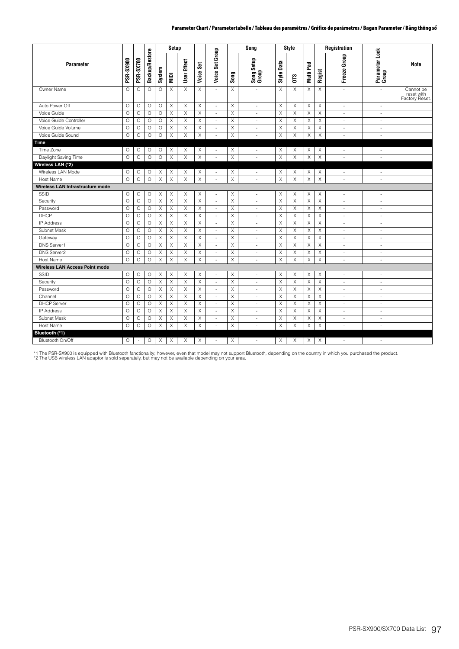|                                  |                  |                  |                       |          | Setup                     |                |             |                          |             | Song                     |             | Style       |                       |             | Registration                |                          |                                                 |
|----------------------------------|------------------|------------------|-----------------------|----------|---------------------------|----------------|-------------|--------------------------|-------------|--------------------------|-------------|-------------|-----------------------|-------------|-----------------------------|--------------------------|-------------------------------------------------|
| Parameter                        | <b>PSR-SX900</b> | <b>PSR-SX700</b> | <b>Backup/Restore</b> | System   | NIDI                      | User Effect    | Voice Set   | Voice Set Group          | Song        | Song Setup<br>Group      | Style Data  | <b>SLO</b>  | Multi Pad             | Regist      | Freeze Group                | Parameter Lock<br>Group  | Note                                            |
| Owner Name                       | $\circ$          | O                | $\circ$               | $\circ$  | X                         | $\overline{X}$ | $\mathsf X$ | ÷,                       | $\mathsf X$ | ÷,                       | $\mathsf X$ | X           | $\mathsf X$           | X           | $\omega$                    | $\overline{\phantom{a}}$ | Cannot be<br>reset with<br><b>Factory Reset</b> |
| Auto Power Off                   | $\circ$          | $\circ$          | $\circ$               | $\circ$  | X                         | X              | X           | ÷,                       | $\times$    | $\bar{a}$                | X           | X           | X                     | $\times$    | $\omega$                    | ×.                       |                                                 |
| Voice Guide                      | $\circ$          | $\circ$          | $\circ$               | $\circ$  | X                         | $\mathsf X$    | Χ           | $\overline{\phantom{a}}$ | X           | $\overline{\phantom{a}}$ | $\mathsf X$ | $\mathsf X$ | $\boldsymbol{\times}$ | $\mathsf X$ | $\sim$                      | $\bar{a}$                |                                                 |
| Voice Guide Controller           | $\circ$          | $\circ$          | $\circ$               | $\circ$  | X                         | X              | X           | $\overline{\phantom{a}}$ | X           | $\overline{\phantom{a}}$ | X           | X           | $\times$              | X           | $\overline{\phantom{a}}$    | $\overline{\phantom{a}}$ |                                                 |
| Voice Guide Volume               | $\circ$          | $\circ$          | $\circ$               | $\circ$  | X                         | $\mathsf X$    | $\mathsf X$ | $\bar{a}$                | $\mathsf X$ | ×,                       | X           | X           | X                     | $\mathsf X$ | $\overline{\phantom{a}}$    | $\overline{\phantom{a}}$ |                                                 |
| Voice Guide Sound                | $\circ$          | $\circ$          | $\circ$               | $\circ$  | $\boldsymbol{\mathsf{X}}$ | $\times$       | Χ           | $\sim$                   | $\mathsf X$ | $\sim$                   | X           | X           | $\times$              | $\mathsf X$ | $\overline{\phantom{a}}$    | ä,                       |                                                 |
| Time                             |                  |                  |                       |          |                           |                |             |                          |             |                          |             |             |                       |             |                             |                          |                                                 |
| Time Zone                        | O                | O                | O                     | O        | Χ                         | X              | Χ           | $\overline{\phantom{a}}$ | X           | $\overline{\phantom{a}}$ | Χ           | Χ           | Χ                     | X           | $\overline{\phantom{a}}$    | $\sim$                   |                                                 |
| Daylight Saving Time             | $\circ$          | $\circ$          | $\circ$               | $\circ$  | $\chi$                    | X              | X           | $\overline{\phantom{a}}$ | X           | $\overline{\phantom{a}}$ | X           | X           | X                     | $\times$    | $\overline{\phantom{a}}$    | $\overline{\phantom{a}}$ |                                                 |
| Wireless LAN (*2)                |                  |                  |                       |          |                           |                |             |                          |             |                          |             |             |                       |             |                             |                          |                                                 |
| Wireless LAN Mode                | $\circ$          | O                | O                     | Χ        | Χ                         | Χ              | X           | $\overline{\phantom{a}}$ | $\times$    | $\overline{\phantom{a}}$ | X           | Χ           | Χ                     | X           | $\bar{a}$                   | $\sim$                   |                                                 |
| <b>Host Name</b>                 | $\circ$          | O                | $\circ$               | X        | $\boldsymbol{\mathsf{X}}$ | X              | X           | $\sim$                   | $\mathsf X$ | ÷,                       | $\mathsf X$ | Χ           | $\mathsf X$           | $\mathsf X$ | $\mathcal{L}_{\mathcal{A}}$ | ×.                       |                                                 |
| Wireless LAN Infrastructure mode |                  |                  |                       |          |                           |                |             |                          |             |                          |             |             |                       |             |                             |                          |                                                 |
| SSID                             | O                | O                | O                     | Χ        | Χ                         | Χ              | Χ           | $\overline{\phantom{a}}$ | X           | $\overline{\phantom{a}}$ | Χ           | Χ           | X                     | Χ           | $\overline{\phantom{a}}$    | $\overline{\phantom{a}}$ |                                                 |
| Security                         | $\circ$          | $\circ$          | $\circ$               | $\times$ | X                         | $\times$       | $\mathsf X$ | ÷                        | $\times$    | ä,                       | $\times$    | Χ           | $\times$              | $\mathsf X$ | $\bar{a}$                   | $\sim$                   |                                                 |
| Password                         | $\circ$          | O                | O                     | X        | X                         | X              | X           | $\omega$                 | $\times$    | ä,                       | X           | X           | X                     | X           | $\overline{\phantom{a}}$    | $\overline{\phantom{a}}$ |                                                 |
| DHCP                             | $\circ$          | O                | O                     | Χ        | Χ                         | X              | Χ           | $\overline{\phantom{a}}$ | $\times$    | ÷.                       | X           | X           | X                     | $\mathsf X$ | $\sim$                      | $\sim$                   |                                                 |
| <b>IP Address</b>                | $\circ$          | $\circ$          | $\circ$               | X        | X                         | X              | X           | $\blacksquare$           | $\times$    | $\sim$                   | X           | $\times$    | X                     | X           | $\overline{\phantom{a}}$    | $\overline{\phantom{a}}$ |                                                 |
| Subnet Mask                      | $\circ$          | $\circ$          | O                     | X        | X                         | X              | X           | $\overline{\phantom{a}}$ | X           | ä,                       | Χ           | X           | X                     | X           | $\overline{\phantom{a}}$    | ä,                       |                                                 |
| Gateway                          | $\circ$          | $\circ$          | $\circ$               | X        | X                         | $\times$       | X           | $\overline{\phantom{a}}$ | $\mathsf X$ | $\sim$                   | $\mathsf X$ | $\mathsf X$ | $\times$              | $\mathsf X$ | $\sim$                      | $\sim$                   |                                                 |
| <b>DNS Server1</b>               | $\circ$          | $\circ$          | $\circ$               | $\times$ | $\boldsymbol{\mathsf{X}}$ | $\times$       | X           | $\sim$                   | $\times$    | ÷,                       | $\mathsf X$ | $\mathsf X$ | X                     | $\mathsf X$ | $\sim$                      | $\sim$                   |                                                 |
| <b>DNS Server2</b>               | $\circ$          | $\circ$          | O                     | X        | Χ                         | $\times$       | X           | $\overline{\phantom{a}}$ | $\mathsf X$ | $\overline{\phantom{a}}$ | $\times$    | X           | X                     | $\mathsf X$ | $\sim$                      | $\overline{\phantom{a}}$ |                                                 |
| <b>Host Name</b>                 | $\circ$          | $\circ$          | $\circ$               | X        | X                         | X              | X           | ÷,                       | $\times$    | $\bar{a}$                | $\mathsf X$ | X           | X                     | X           | $\overline{\phantom{a}}$    | ×.                       |                                                 |
| Wireless LAN Access Point mode   |                  |                  |                       |          |                           |                |             |                          |             |                          |             |             |                       |             |                             |                          |                                                 |
| SSID                             | O                | O                | O                     | X        | Χ                         | X              | X           | $\bar{a}$                | X           | $\overline{\phantom{a}}$ | X           | X           | X                     | Χ           | $\overline{\phantom{a}}$    | $\overline{\phantom{a}}$ |                                                 |
| Security                         | $\circ$          | $\circ$          | O                     | X        | X                         | X              | X           | ×.                       | $\mathsf X$ | ÷.                       | $\mathsf X$ | $\mathsf X$ | X                     | $\mathsf X$ | $\sim$                      | $\sim$                   |                                                 |
| Password                         | $\circ$          | $\circ$          | $\circ$               | X        | X                         | X              | X           | $\overline{\phantom{a}}$ | $\mathsf X$ | $\sim$                   | $\mathsf X$ | $\times$    | $\times$              | $\mathsf X$ | $\sim$                      | $\sim$                   |                                                 |
| Channel                          | $\circ$          | $\circ$          | $\circ$               | X        | X                         | X              | Χ           | $\bar{a}$                | X           | ÷,                       | $\mathsf X$ | X           | X                     | X           | ÷.                          | ×.                       |                                                 |
| <b>DHCP Server</b>               | $\circ$          | O                | $\circ$               | X        | X                         | $\mathsf X$    | X           | $\overline{\phantom{a}}$ | $\mathsf X$ | $\overline{\phantom{a}}$ | $\mathsf X$ | X           | $\mathsf X$           | $\mathsf X$ | $\sim$                      | $\sim$                   |                                                 |
| <b>IP Address</b>                | $\circ$          | O                | O                     | X        | Χ                         | X              | X           | $\overline{\phantom{a}}$ | Χ           | $\sim$                   | X           | X           | X                     | X           | $\sim$                      | $\sim$                   |                                                 |
| Subnet Mask                      | $\circ$          | O                | $\circ$               | X        | X                         | X              | X           | $\overline{\phantom{a}}$ | $\times$    | ÷.                       | X           | X           | X                     | $\mathsf X$ | $\sim$                      | $\sim$                   |                                                 |
| Host Name                        | $\circ$          | O                | $\circ$               | X        | X                         | X              | X           | $\bar{a}$                | $\times$    | $\sim$                   | X           | Χ           | X                     | X           | $\overline{\phantom{a}}$    | $\overline{\phantom{a}}$ |                                                 |
| Bluetooth (*1)                   |                  |                  |                       |          |                           |                |             |                          |             |                          |             |             |                       |             |                             |                          |                                                 |
| Bluetooth On/Off                 | 0                |                  | 0                     | Χ        | Χ                         | X              | X           | $\bar{a}$                | $\times$    | $\sim$                   | Χ           | X           | Χ                     | X           | $\overline{\phantom{a}}$    | $\overline{\phantom{a}}$ |                                                 |

\*1 The PSR-SX900 is equipped with Bluetooth fanctionality; however, even that model may not support Bluetooth, depending on the country in which you purchased the product.<br>\*2 The USB wireless LAN adaptor is sold separately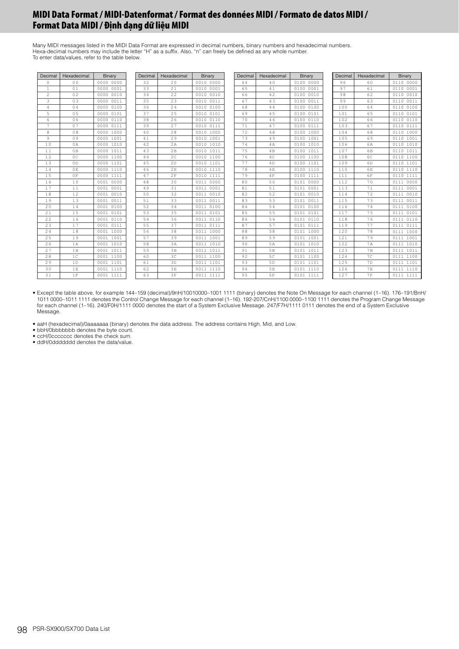Many MIDI messages listed in the MIDI Data Format are expressed in decimal numbers, binary numbers and hexadecimal numbers. Hexa-decimal numbers may include the letter "H" as a suffix. Also, "n" can freely be defined as any whole number. To enter data/values, refer to the table below.

| Decimal        | Hexadecimal    | Binary       | Decimal | Hexadecimal    | Binary       | Decimal | Hexadecimal    | Binary       | Decimal | Hexadecimal    | Binary       |
|----------------|----------------|--------------|---------|----------------|--------------|---------|----------------|--------------|---------|----------------|--------------|
| $\circ$        | 0 <sub>0</sub> | 0000 0000    | 32      | 20             | 0010 0000    | 64      | 40             | 0100 0000    | 96      | 60             | 0110 0000    |
| $\mathbf{1}$   | 01             | 0000 0001    | 33      | 21             | 0010 0001    | 65      | 41             | 0100 0001    | 97      | 61             | 0110 0001    |
| 2              | 02             | 0000 0010    | 34      | 22             | 0010 0010    | 66      | 42             | 0100 0010    | 98      | 62             | 0110 0010    |
| 3              | 03             | 0011<br>0000 | 35      | 23             | 0010 0011    | 67      | 43             | 0100 0011    | 99      | 63             | 0110 0011    |
| $\overline{4}$ | 04             | 0000 0100    | 36      | 24             | 0010 0100    | 68      | 44             | 0100 0100    | 100     | 64             | 0110 0100    |
| 5              | 0 <sub>5</sub> | 0000 0101    | 37      | 25             | 0010 0101    | 69      | 45             | 0100 0101    | 101     | 65             | 0110 0101    |
| 6              | 06             | 0000 0110    | 38      | 26             | 0010 0110    | 70      | 46             | 0100 0110    | 102     | 66             | 0110 0110    |
| 7              | 07             | 0000 0111    | 39      | 27             | 0010 0111    | 71      | 47             | 0100 0111    | 103     | 67             | 0110 0111    |
| 8              | 08             | 0000 1000    | 40      | 28             | 0010 1000    | 72      | 48             | 0100 1000    | 104     | 68             | 0110 1000    |
| 9              | 09             | 0000 1001    | 41      | 29             | 0010 1001    | 73      | 49             | 0100 1001    | 105     | 69             | 0110 1001    |
| 10             | 0A             | 0000 1010    | 42      | 2A             | 0010 1010    | 74      | 4A             | 0100 1010    | 106     | 6A             | 0110 1010    |
| 11             | 0B             | 0000 1011    | 43      | 2B             | 0010 1011    | 75      | 4B             | 0100 1011    | 107     | 6 <sub>B</sub> | 0110 1011    |
| 12             | 0 <sup>C</sup> | 0000 1100    | 44      | 2 <sup>c</sup> | 0010 1100    | 76      | 4C             | 0100 1100    | 108     | 6C             | 0110 1100    |
| 13             | 0 <sub>D</sub> | 0000 1101    | 45      | 2D             | 0010 1101    | 77      | 4 <sub>D</sub> | 0100 1101    | 109     | 6 <sub>D</sub> | 0110 1101    |
| 14             | 0E             | 0000 1110    | 46      | 2E             | 0010 1110    | 78      | 4E             | 0100 1110    | 110     | 6 <sub>F</sub> | 0110 1110    |
| 15             | 0 F            | 0000 1111    | 47      | 2F             | 0010 1111    | 79      | 4F             | 0100 1111    | 111     | 6F             | 0110 1111    |
| 16             | 10             | 0001 0000    | 48      | 30             | 0011 0000    | 80      | 50             | 0101 0000    | 112     | 70             | 0000<br>0111 |
| 17             | 11             | 0001 0001    | 49      | 31             | 0011 0001    | 81      | 51             | 0101 0001    | 113     | 71             | 0001<br>0111 |
| 18             | 12             | 0001<br>0010 | 50      | 32             | 0011 0010    | 82      | 52             | 0101 0010    | 114     | 72             | 0010<br>0111 |
| 19             | 13             | 0011<br>0001 | 51      | 33             | 0011<br>0011 | 83      | 53             | 0011<br>0101 | 115     | 73             | 0011<br>0111 |
| 20             | 14             | 0100<br>0001 | 52      | 34             | 0011 0100    | 84      | 54             | 0101 0100    | 116     | 74             | 0111 0100    |
| 21             | 15             | 0101<br>0001 | 53      | 35             | 0011 0101    | 85      | 55             | 0101 0101    | 117     | 75             | 0101<br>0111 |
| 22             | 16             | 0001 0110    | 54      | 36             | 0011 0110    | 86      | 56             | 0101 0110    | 118     | 76             | 0111 0110    |
| 23             | 17             | 0001 0111    | 55      | 37             | 0011 0111    | 87      | 57             | 0101 0111    | 119     | 77             | 0111<br>0111 |
| 24             | 18             | 0001 1000    | 56      | 38             | 0011 1000    | 88      | 58             | 0101 1000    | 120     | 78             | 0111 1000    |
| 25             | 19             | 0001 1001    | 57      | 39             | 0011 1001    | 89      | 59             | 0101 1001    | 121     | 79             | 0111 1001    |
| 26             | 1A             | 0001 1010    | 58      | 3A             | 0011 1010    | 90      | 5A             | 0101 1010    | 122     | 7A             | 0111 1010    |
| 27             | 1B             | 0001 1011    | 59      | 3B             | 0011 1011    | 91      | 5B             | 0101 1011    | 123     | 7B             | 0111 1011    |
| 28             | 1 <sup>c</sup> | 0001 1100    | 60      | 3 <sup>C</sup> | 0011 1100    | 92      | 5C             | 0101 1100    | 124     | 7 <sup>c</sup> | 0111 1100    |
| 29             | 1D             | 0001 1101    | 61      | 3D             | 0011 1101    | 93      | 5 <sub>D</sub> | 0101 1101    | 125     | 7D             | 0111 1101    |
| 30             | 1E             | 0001 1110    | 62      | 3E             | 0011 1110    | 94      | 5E             | 0101 1110    | 126     | 7E             | 0111 1110    |
| 31             | 1F             | 0001 1111    | 63      | 3F             | 0011 1111    | 95      | 5F             | 0101 1111    | 127     | <b>7F</b>      | 0111 1111    |

• Except the table above, for example 144–159 (decimal)/9nH/10010000–1001 1111 (binary) denotes the Note On Message for each channel (1–16). 176–191/BnH/ 1011 0000–1011 1111 denotes the Control Change Message for each channel (1–16). 192-207/CnH/1100 0000–1100 1111 denotes the Program Change Message for each channel (1–16). 240/F0H/1111 0000 denotes the start of a System Exclusive Message. 247/F7H/1111 0111 denotes the end of a System Exclusive Message.

• aaH (hexadecimal)/0aaaaaaa (binary) denotes the data address. The address contains High, Mid, and Low. • bbH/0bbbbbbb denotes the byte count. • ccH/0ccccccc denotes the check sum.

• ddH/0ddddddd denotes the data/value.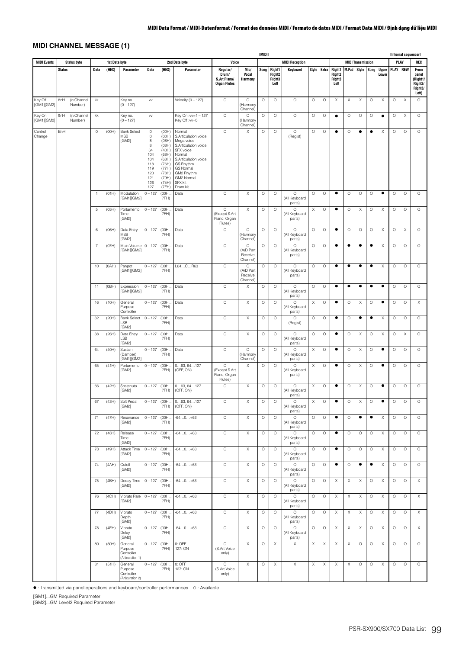# **MIDI CHANNEL MESSAGE (1)**

|                       |               |                       |                          |               |                                                      |                                                                                      |                                                                                                                   |                                                                                                                                                                                                         |                                                          |                                             | [MIDI]  |                                                |                                              |             |         |                                                |           |                          |           |                           |             | [Internal sequencer] |                                                                       |
|-----------------------|---------------|-----------------------|--------------------------|---------------|------------------------------------------------------|--------------------------------------------------------------------------------------|-------------------------------------------------------------------------------------------------------------------|---------------------------------------------------------------------------------------------------------------------------------------------------------------------------------------------------------|----------------------------------------------------------|---------------------------------------------|---------|------------------------------------------------|----------------------------------------------|-------------|---------|------------------------------------------------|-----------|--------------------------|-----------|---------------------------|-------------|----------------------|-----------------------------------------------------------------------|
| <b>MIDI Events</b>    |               | <b>Status byte</b>    |                          | 1st Data byte |                                                      |                                                                                      |                                                                                                                   | 2nd Data byte                                                                                                                                                                                           | Voice                                                    |                                             |         |                                                | <b>MIDI Reception</b>                        |             |         |                                                |           | <b>MIDI Transmission</b> |           |                           |             | PLAY                 | REC                                                                   |
|                       | <b>Status</b> |                       | Data                     | (HEX)         | Parameter                                            | <b>Data</b>                                                                          | (HEX)                                                                                                             | Parameter                                                                                                                                                                                               | Regular/<br>Drum/<br>S.Art Piano/<br><b>Organ Flutes</b> | Mic/<br>Vocal<br>Harmony                    | Song    | Right1<br>Right <sub>2</sub><br>Right3<br>Left | Keyboard                                     | Style Extra |         | Right1<br>Right <sub>2</sub><br>Right3<br>Left | M.Pad     | Style Song               |           | <b>Upper</b><br>Lower     | <b>PLAY</b> | <b>REW</b>           | From<br>panel<br>(Right1/<br>Right <sub>2</sub> /<br>Right3/<br>Left) |
| Key Off<br>[GM1][GM2] | 8nH           | (n:Channel<br>Number) | kk                       |               | Key no.<br>$(0 - 127)$                               | VV                                                                                   |                                                                                                                   | Velocity $(0 - 127)$                                                                                                                                                                                    | $\circ$                                                  | $\circ$<br>(Harmony<br>Channel)             | $\circ$ | $\circ$                                        | $\circ$                                      | $\circ$     | $\circ$ | X                                              | Χ         | Χ                        | $\circ$   | X                         | $\circ$     | $\times$             | $\circ$                                                               |
| Key On<br>[GM1][GM2]  | 9nH           | (n:Channel<br>Number) | kk                       |               | Key no.<br>$(0 - 127)$                               | VV                                                                                   |                                                                                                                   | Key On :vv=1 - 127<br>Key Off :vv=0                                                                                                                                                                     | $\circ$                                                  | $\circ$<br>(Harmony<br>Channel)             | $\circ$ | $\circ$                                        | $\circ$                                      | $\circ$     | $\circ$ | $\bullet$                                      | $\circ$   | $\circ$                  | $\circ$   | $\bullet$                 | $\circ$     | Χ                    | $\circ$                                                               |
| Control<br>Change     | BnH           |                       | $\circ$                  | (OOH)         | <b>Bank Select</b><br>MSB<br>[GM2]                   | $\circ$<br>0<br>8<br>8<br>64<br>104<br>104<br>118<br>119<br>120<br>121<br>126<br>127 | (OOH)<br>(OOH)<br>(08H)<br>(08H)<br>(40H)<br>(68H)<br>(68H)<br>(76H)<br>(77H)<br>(78H)<br>(79H)<br>(7EH)<br>(7FH) | Normal<br>S.Articulation voice<br>Mega voice<br>S.Articulation voice<br>SFX voice<br>Normal<br>S.Articulation voice<br>GS Rhythm<br>GS Normal<br>GM2 Rhythm<br>GM2 Normal<br><b>SFX kit</b><br>Drum kit | $\circ$                                                  | Χ                                           | $\circ$ | O                                              | $\circ$<br>(Regist)                          | $\circ$     | $\circ$ | $\bullet$                                      | O         | ٠                        | $\bullet$ | Χ                         | $\circ$     | $\circ$              | $\circ$                                                               |
|                       |               |                       | 1                        | (01H)         | Modulation<br>[GM1][GM2]                             | $0 - 127$                                                                            | (00H<br>7FH)                                                                                                      | Data                                                                                                                                                                                                    | $\circ$                                                  | X                                           | $\circ$ | $\circ$                                        | $\circ$<br>(All Keyboard                     | $\circ$     | $\circ$ | $\bullet$                                      | $\circ$   | $\circ$                  | $\circ$   | ٠                         | $\circ$     | $\circ$              | $\circ$                                                               |
|                       |               |                       | 5                        | (05H)         | Portamento<br>Time<br>[GM2]                          | $0 - 127$                                                                            | (00H<br>7FH)                                                                                                      | Data                                                                                                                                                                                                    | $\circ$<br>(Except S.Art<br>Piano, Organ<br>Flutes)      | X                                           | $\circ$ | $\circ$                                        | parts)<br>$\circ$<br>(All Keyboard<br>parts) | X           | O       | $\bullet$                                      | $\circ$   | X                        | $\circ$   | X                         | $\circ$     | $\circ$              | $\circ$                                                               |
|                       |               |                       | 6                        | (06H)         | Data Entry<br><b>MSB</b><br>[GM2]                    | $0 - 127$                                                                            | (00H.<br>7FH)                                                                                                     | Data                                                                                                                                                                                                    | O                                                        | $\circ$<br>(Harmony<br>Channel)             | $\circ$ | $\circ$                                        | $\circ$<br>(All Keyboard<br>parts)           | $\circ$     | $\circ$ | $\bullet$                                      | $\circ$   | $\circ$                  | $\circ$   | $\mathsf X$               | $\circ$     | $\times$             | $\circ$                                                               |
|                       |               |                       | $\overline{\mathcal{I}}$ | (07H)         | Main Volume 0 - 127<br>[GM1][GM2]                    |                                                                                      | (00H.<br>7FH)                                                                                                     | Data                                                                                                                                                                                                    | $\circ$                                                  | $\circ$<br>(A/D Part<br>Receive<br>Channel) | $\circ$ | $\circ$                                        | $\circ$<br>(All Keyboard<br>parts)           | $\circ$     | $\circ$ | $\bullet$                                      | ٠         | ٠                        | $\bullet$ | X                         | $\circ$     | $\circ$              | $\circ$                                                               |
|                       |               |                       | 10                       | (OAH)         | Panpot<br>[GM1][GM2]                                 | $0 - 127$                                                                            | (00H.<br>7FH)                                                                                                     | L64CR63                                                                                                                                                                                                 | $\circ$                                                  | $\circ$<br>(A/D Part<br>Receive<br>Channel) | $\circ$ | $\circ$                                        | $\circ$<br>(All Keyboard<br>parts)           | $\circ$     | $\circ$ | $\bullet$                                      | ٠         | ٠                        | $\bullet$ | $\boldsymbol{\mathsf{X}}$ | $\circ$     | $\circ$              | $\circ$                                                               |
|                       |               |                       | 11                       | (OBH)         | Expression<br>[GM1][GM2]                             | $0 - 127$                                                                            | (00H.<br>7FH)                                                                                                     | Data                                                                                                                                                                                                    | $\circ$                                                  | X                                           | $\circ$ | $\circ$                                        | $\circ$<br>(All Keyboard<br>parts)           | $\circ$     | $\circ$ | $\bullet$                                      | $\bullet$ | $\bullet$                | $\bullet$ | $\bullet$                 | $\circ$     | $\circ$              | $\circ$                                                               |
|                       |               |                       | 16                       | (10H)         | General<br>Purpose<br>Controller                     | $0 - 127$                                                                            | (00H.<br>7FH)                                                                                                     | Data                                                                                                                                                                                                    | $\circ$                                                  | X                                           | $\circ$ | $\circ$                                        | $\circ$<br>(All Keyboard<br>parts)           | Χ           | $\circ$ | $\bullet$                                      | $\circ$   | X                        | $\circ$   | ٠                         | $\circ$     | $\circ$              | Х                                                                     |
|                       |               |                       | 32                       | (20H)         | <b>Bank Select</b><br>LSB<br>[GM2]                   | $0 - 127$ (OOH                                                                       | 7FH)                                                                                                              | Data                                                                                                                                                                                                    | $\circ$                                                  | X                                           | $\circ$ | $\circ$                                        | $\circ$<br>(Regist)                          | $\circ$     | $\circ$ | $\bullet$                                      | $\circ$   | $\bullet$                | $\bullet$ | Χ                         | $\circ$     | $\circ$              | $\circ$                                                               |
|                       |               |                       | 38                       | (26H)         | Data Entry<br>LSB<br>[GM2]                           | $0 - 127$                                                                            | (00H.<br>7FH)                                                                                                     | Data                                                                                                                                                                                                    | $\circ$                                                  | $\mathsf X$                                 | $\circ$ | $\circ$                                        | $\circ$<br>(All Keyboard<br>parts)           | $\circ$     | $\circ$ | $\bullet$                                      | $\circ$   | X                        | $\circ$   | X                         | $\circ$     | X                    | $\circ$                                                               |
|                       |               |                       | 64                       | (40H)         | Sustain<br>(Damper)<br>[GM1][GM2]                    | $0 - 127$                                                                            | (00H.<br>7FH)                                                                                                     | Data                                                                                                                                                                                                    | $\circ$                                                  | $\circ$<br>(Harmony<br>Channel)             | $\circ$ | $\circ$                                        | $\circ$<br>(All Keyboard<br>parts)           | Χ           | $\circ$ | $\bullet$                                      | $\circ$   | X                        | $\circ$   | ٠                         | $\circ$     | $\circ$              | $\circ$                                                               |
|                       |               |                       | 65                       | (41H)         | Portamento<br>[GM2]                                  | $0 - 127$                                                                            | (00H.<br>7FH)                                                                                                     | 063, 64127<br>(OFF, ON)                                                                                                                                                                                 | $\circ$<br>(Except S.Art<br>Piano, Organ<br>Flutes)      | Χ                                           | $\circ$ | $\circ$                                        | $\circ$<br>(All Keyboard<br>parts)           | X           | $\circ$ | $\bullet$                                      | $\circ$   | Χ                        | $\circ$   | ٠                         | $\circ$     | $\circ$              | $\circ$                                                               |
|                       |               |                       | 66                       | (42H)         | Sostenuto<br>[GM2]                                   | $0 - 127$                                                                            | (00H)<br>7FH)                                                                                                     | 063, 64127<br>(OFF, ON)                                                                                                                                                                                 | O                                                        | X                                           | $\circ$ | $\circ$                                        | $\circ$<br>(All Keyboard<br>parts)           | X           | $\circ$ | $\bullet$                                      | $\circ$   | X                        | $\circ$   | ٠                         | O           | $\circ$              | $\circ$                                                               |
|                       |               |                       | 67                       | (43H)         | Soft Pedal<br>[GM2]                                  | $0 - 127$ (OOH                                                                       | 7FH)                                                                                                              | 063, 64127<br>(OFF, ON)                                                                                                                                                                                 | $\circ$                                                  | X                                           | $\circ$ | $\circ$                                        | O<br>(All Keyboard<br>parts)                 | X           | O       | ٠                                              | $\circ$   | Χ                        | $\circ$   | ٠                         | O           | $\circ$              | $\circ$                                                               |
|                       |               |                       | 71                       | (47H)         | Resonance<br>[GM2]                                   | $0 - 127$ (OOH                                                                       | 7FH)                                                                                                              | $-640+63$                                                                                                                                                                                               | $\circ$                                                  | $\chi$                                      | $\circ$ | $\circ$                                        | $\circ$<br>(All Keyboard<br>parts)           | $\circ$     | $\circ$ | $\bullet$                                      | $\circ$   | $\bullet$                | $\bullet$ | Χ                         | $\circ$     | $\circ$              | $\circ$                                                               |
|                       |               |                       | 72                       | (48H)         | Release<br>Time<br>[GM2]                             | $0 - 127$ (OOH                                                                       | 7FH)                                                                                                              | $-640+63$                                                                                                                                                                                               | $\circ$                                                  | $\mathsf X$                                 | $\circ$ | $\circ$                                        | $\circ$<br>(All Keyboard<br>parts)           | $\circ$     | $\circ$ | $\bullet$                                      | $\circ$   | $\circ$                  | $\circ$   | $\mathsf X$               | $\circ$     | $\circ$              | $\circ$                                                               |
|                       |               |                       | 73                       | (49H)         | Attack Time<br>[GM2]                                 | $0 - 127$ (OOH                                                                       | 7FH)                                                                                                              | $-640+63$                                                                                                                                                                                               | $\circ$                                                  | X                                           | $\circ$ | $\circ$                                        | $\circ$<br>(All Keyboard<br>parts)           | $\circ$     | $\circ$ | ٠<br>$\bullet$                                 | $\circ$   | $\circ$                  | $\circ$   | Χ                         | $\circ$     | $\circ$              | $\circ$                                                               |
|                       |               |                       | 74                       | (AAH)         | Cutoff<br>[GM2]                                      | $0 - 127$ (OOH                                                                       | 7FH)                                                                                                              | $-640+63$                                                                                                                                                                                               | $\circ$                                                  | X                                           | $\circ$ | $\circ$                                        | $\circ$<br>(All Keyboard<br>parts)           | O           | O       |                                                | O         | $\bullet$                | $\bullet$ | Χ                         | $\circ$     | $\circ$              | $\circ$                                                               |
|                       |               |                       | 75                       | (4BH)         | Decay Time<br>[GM2]                                  | $0 - 127$ (OOH                                                                       | 7FH)                                                                                                              | $-640+63$                                                                                                                                                                                               | $\circ$                                                  | X                                           | $\circ$ | $\circ$                                        | $\circ$<br>(All Keyboard<br>parts)           | $\circ$     | O       | Χ                                              | Χ         | Χ                        | $\circ$   | Χ                         | $\circ$     | $\circ$              | X                                                                     |
|                       |               |                       | 76                       | (4CH)         | Vibrato Rate $0 - 127$ (00H.,<br>[GM2]               |                                                                                      | 7FH)                                                                                                              | $-640+63$                                                                                                                                                                                               | $\circ$                                                  | X                                           | $\circ$ | $\circ$                                        | $\circ$<br>(All Keyboard<br>parts)           | $\circ$     | $\circ$ | X                                              | Χ         | Χ                        | $\circ$   | X                         | $\circ$     | $\circ$              | Х                                                                     |
|                       |               |                       | 77                       | (4DH)         | Vibrato<br>Depth<br>[GM2]                            | $0 - 127$ (OOH                                                                       | 7FH)                                                                                                              | $-640+63$                                                                                                                                                                                               | $\circ$                                                  | $\mathsf X$                                 | $\circ$ | $\circ$                                        | $\circ$<br>(All Keyboard<br>parts)           | $\circ$     | $\circ$ | Χ                                              | Χ         | Χ                        | $\circ$   | Χ                         | $\circ$     | $\circ$              | Χ                                                                     |
|                       |               |                       | 78                       | (4EH)         | Vibrato<br>Delay<br>[GM2]                            | $0 - 127$ (OOH                                                                       | 7FH)                                                                                                              | $-640+63$                                                                                                                                                                                               | $\circ$                                                  | $\mathsf X$                                 | $\circ$ | $\circ$                                        | $\circ$<br>(All Keyboard<br>parts)           | $\circ$     | $\circ$ | X                                              | Χ         | X                        | $\circ$   | $\times$                  | $\circ$     | $\circ$              | $\mathsf X$                                                           |
|                       |               |                       | 80                       | (50H)         | General<br>Purpose<br>Controller<br>(Articuration 1) | $0 - 127$ (OOH                                                                       | 7FH)                                                                                                              | 0: OFF<br>127: ON                                                                                                                                                                                       | $\circ$<br>(S.Art Voice<br>only)                         | X                                           | $\circ$ | Χ                                              | $\boldsymbol{\mathsf{X}}$                    | X           | X       | X                                              | X         | $\circ$                  | $\circ$   | Χ                         | $\circ$     | $\circ$              | $\circ$                                                               |
|                       |               |                       | 81                       | (51H)         | General<br>Purpose<br>Controller<br>(Articuration 2) | $0 - 127$ (OOH                                                                       | 7FH)                                                                                                              | 0: OFF<br>127: ON                                                                                                                                                                                       | $\circ$<br>(S.Art Voice<br>only)                         | X                                           | $\circ$ | Χ                                              | X                                            | X           | Χ       | Χ                                              | Χ         | $\circ$                  | $\circ$   | Χ                         | $\circ$     | $\circ$              | $\circ$                                                               |

: Transmitted via panel operations and keyboard/controller performances. O : Available

[GM1]...GM Required Parameter [GM2]...GM Level2 Required Parameter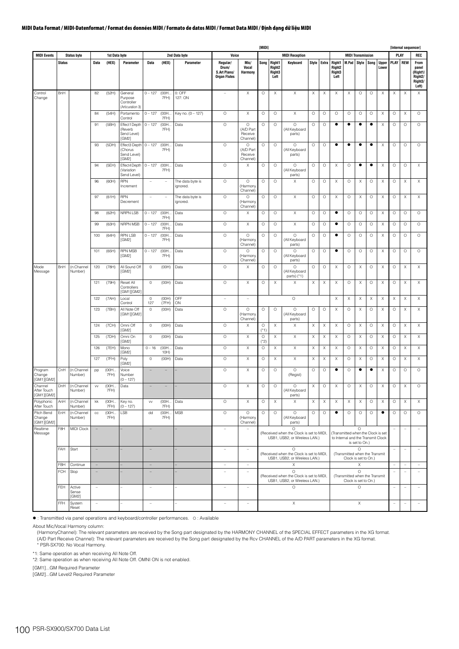|                                                    |                          |                       |                                                      |                |                                                      |                                |                |                              |                                                          |                                             | [MIDI]                     |                                                       |                                                                                      |                                          |                                  |                                                                          |                                                        |                                |                    |                                                    |                          |                           | [Internal sequencer]                                     |
|----------------------------------------------------|--------------------------|-----------------------|------------------------------------------------------|----------------|------------------------------------------------------|--------------------------------|----------------|------------------------------|----------------------------------------------------------|---------------------------------------------|----------------------------|-------------------------------------------------------|--------------------------------------------------------------------------------------|------------------------------------------|----------------------------------|--------------------------------------------------------------------------|--------------------------------------------------------|--------------------------------|--------------------|----------------------------------------------------|--------------------------|---------------------------|----------------------------------------------------------|
| <b>MIDI Events</b>                                 |                          | <b>Status byte</b>    |                                                      | 1st Data byte  |                                                      |                                |                | 2nd Data byte                | Voice                                                    |                                             |                            |                                                       | <b>MIDI Reception</b>                                                                |                                          |                                  |                                                                          |                                                        | <b>MIDI Transmission</b>       |                    |                                                    |                          | PLAY                      | REC                                                      |
|                                                    | <b>Status</b>            |                       | Data                                                 | (HEX)          | Parameter                                            | Data                           | (HEX)          | Parameter                    | Regular/<br>Drum/<br>S.Art Piano/<br><b>Organ Flutes</b> | Mic/<br>Vocal<br>Harmony                    | Song                       | <b>Right1</b><br>Right <sub>2</sub><br>Right3<br>Left | Keyboard                                                                             | Style                                    | Extra                            | Right1<br>Right <sub>2</sub><br>Right3<br>Left                           | M.Pad                                                  | Style                          | Song               | <b>Upper</b><br>Lower                              | PLAY REW                 |                           | From<br>panel<br>(Right1/<br>Right2/<br>Right3/<br>Left) |
| Control<br>Change                                  | BnH                      |                       | 82                                                   | (52H)          | General<br>Purpose<br>Controller<br>(Articuration 3) | $0 - 127$                      | (00H.<br>7FH)  | 0: OFF<br>127: ON            | $\overline{\phantom{a}}$                                 | Χ                                           | $\circ$                    | Χ                                                     | $\boldsymbol{\mathsf{X}}$                                                            | Х                                        | X                                | Χ                                                                        | Χ                                                      | O                              | $\circ$            | X                                                  | Χ                        | $\times$                  | $\boldsymbol{\mathsf{X}}$                                |
|                                                    |                          |                       | 84                                                   | (54H)          | Portamento<br>Control                                | $0 - 127$                      | (00H.<br>7FH)  | Key no. (0 - 127)            | $\circ$                                                  | X                                           | $\circ$                    | $\circ$                                               | $\boldsymbol{\times}$                                                                | $\circ$                                  | $\circ$                          | $\circ$                                                                  | $\circ$                                                | $\circ$                        | $\circ$            | $\boldsymbol{\mathsf{X}}$                          | $\circ$                  | $\times$                  | $\circ$                                                  |
|                                                    |                          |                       | 91                                                   | (BBH)          | Effect1Depth<br>(Reverb<br>Send Level)<br>[GM2]      | $0 - 127$                      | (00H.<br>7FH)  | Data                         | $\circ$                                                  | $\circ$<br>(A/D Part<br>Receive<br>Channel) | $\circ$                    | $\circ$                                               | $\circ$<br>(All Keyboard<br>parts)                                                   | $\circ$                                  | $\circ$                          | ٠                                                                        | $\bullet$                                              | ٠                              | $\bullet$          | $\boldsymbol{\mathsf{X}}$                          | $\circ$                  | $\circ$                   | $\circ$                                                  |
|                                                    |                          |                       | 93                                                   | (5DH)          | Effect3 Depth<br>(Chorus<br>Send Level)<br>[GM2]     | $0 - 127$                      | (00H<br>7FH)   | Data                         | $\circ$                                                  | O<br>(A/D Part<br>Receive<br>Channel)       | $\circ$                    | $\circ$                                               | $\circ$<br>(All Keyboard<br>parts)                                                   | $\circ$                                  | $\circ$                          | $\bullet$                                                                | $\bullet$                                              | ٠                              | $\bullet$          | $\boldsymbol{\mathsf{X}}$                          | $\circ$                  | $\circ$                   | $\circ$                                                  |
|                                                    |                          |                       | 94                                                   | (5EH)          | Effect4 Depth<br>(Variation<br>Send Level)           | $0 - 127$                      | (00H.<br>7FH)  | Data                         | $\circ$                                                  | X                                           | $\circ$                    | $\circ$                                               | $\circ$<br>(All Keyboard<br>parts)                                                   | $\circ$                                  | $\circ$                          | Χ                                                                        | $\circ$                                                | ٠                              | $\bullet$          | X                                                  | $\circ$                  | $\circ$                   | χ                                                        |
|                                                    |                          |                       | 96                                                   | (60H)          | <b>RPN</b><br>Increment                              | $\sim$                         | $\sim$         | The data byte is<br>ignored. | $\circ$                                                  | $\circ$<br>(Harmony<br>Channel)             | $\circ$                    | $\circ$                                               | X                                                                                    | $\circ$                                  | $\circ$                          | Χ                                                                        | $\circ$                                                | X                              | $\circ$            | $\boldsymbol{\mathsf{X}}$                          | $\circ$                  | $\boldsymbol{\mathsf{X}}$ | X                                                        |
|                                                    |                          |                       | 97                                                   | (61H)          | <b>RPN</b><br>Decrement                              | ÷,                             | $\sim$         | The data byte is<br>ignored. | $\circ$                                                  | O<br>(Harmony<br>Channel)                   | $\circ$                    | $\circ$                                               | X                                                                                    | $\circ$                                  | $\circ$                          | Χ                                                                        | $\circ$                                                | Χ                              | $\circ$            | $\boldsymbol{\mathsf{X}}$                          | $\circ$                  | X                         | X                                                        |
|                                                    |                          |                       | 98                                                   | (62H)          | NRPN LSB                                             | $0 - 127$                      | (00H)<br>7FH)  | Data                         | $\circ$                                                  | Χ                                           | $\circ$                    | $\circ$                                               | $\boldsymbol{\times}$                                                                | $\circ$                                  | $\circ$                          | $\bullet$                                                                | $\circ$                                                | $\circ$                        | $\circ$            | $\boldsymbol{\mathsf{X}}$                          | $\circ$                  | $\circ$                   | $\circ$                                                  |
|                                                    |                          |                       | 99                                                   | (63H)          | NRPN MSB                                             | $0 - 127$                      | (00H.<br>7FH)  | Data                         | $\circ$                                                  | X                                           | $\circ$                    | $\circ$                                               | $\boldsymbol{\mathsf{X}}$                                                            | $\circ$                                  | $\circ$                          | $\bullet$                                                                | $\circ$                                                | $\circ$                        | $\circ$            | $\boldsymbol{\mathsf{X}}$                          | $\circ$                  | $\circ$                   | $\circ$                                                  |
|                                                    |                          |                       | 100                                                  | (64H)          | <b>RPN LSB</b><br>[GM2]                              | $0 - 127$                      | (00H.<br>7FH)  | Data                         | $\circ$                                                  | $\circ$<br>(Harmony<br>Channel)             | $\circ$                    | $\circ$                                               | $\circ$<br>(All Keyboard<br>parts)                                                   | $\circ$                                  | $\circ$                          | $\bullet$                                                                | $\circ$                                                | $\circ$                        | $\circ$            | $\boldsymbol{\mathsf{X}}$                          | $\circ$                  | $\circ$                   | $\circ$                                                  |
|                                                    |                          |                       | 101                                                  | (65H)          | <b>RPN MSB</b><br>[GM2]                              | $0 - 127$                      | (00H.<br>7FH)  | Data                         | $\circ$                                                  | O<br>(Harmony<br>Channel                    | $\circ$                    | $\circ$                                               | O<br>(All Keyboard<br>parts)                                                         | $\circ$                                  | $\circ$                          | $\bullet$                                                                | $\circ$                                                | $\circ$                        | $\circ$            | $\boldsymbol{\mathsf{X}}$                          | $\circ$                  | $\circ$                   | $\circ$                                                  |
| Mode<br>Message                                    | BnH                      | (n:Channel<br>Number) | 120                                                  | (78H)          | All Sound Off<br>[GM2]                               | $\mathbb O$                    | (OOH)          | Data                         | $\circ$                                                  | X                                           | $\circ$                    | $\circ$                                               | $\circ$<br>(All Keyboard<br>parts) (*1)                                              | $\circ$                                  | $\circ$                          | Χ                                                                        | $\circ$                                                | X                              | $\circ$            | $\boldsymbol{\mathsf{X}}$                          | $\circ$                  | X                         | X                                                        |
|                                                    |                          |                       | 121                                                  | (79H)          | Reset All<br>Controllers<br>[GM1][GM2]               | $\circ$                        | (OOH)          | Data                         | $\circ$                                                  | Χ                                           | $\circ$                    | $\times$                                              | $\boldsymbol{\mathsf{X}}$                                                            | Х                                        | $\boldsymbol{\mathsf{X}}$        | Χ                                                                        | $\circ$                                                | X                              | $\circ$            | $\boldsymbol{\mathsf{X}}$                          | $\circ$                  | Χ                         | X                                                        |
|                                                    |                          |                       | 122                                                  | (7AH)          | Local<br>Control                                     | $\circ$<br>127                 | (OOH)<br>(7FH) | OFF<br>ON                    | $\overline{\phantom{0}}$                                 | $\hspace{1.0cm} - \hspace{1.0cm}$           |                            |                                                       | $\circ$                                                                              |                                          |                                  | X                                                                        | X                                                      | Χ                              | X                  | $\times$                                           | X                        | X                         | X                                                        |
|                                                    |                          |                       | 123                                                  | (7BH)          | All Note Off<br>[GM1][GM2]                           | $\circ$                        | (OOH)          | Data                         | $\circ$<br>$\circ$                                       | $\circ$<br>(Harmon)<br>Channel)             | $\circ$                    | $\circ$<br>$\mathsf X$                                | $\circ$<br>(All Keyboard<br>parts)                                                   | $\circ$                                  | $\circ$<br>$\boldsymbol{\times}$ | X                                                                        | $\circ$                                                | X                              | $\circ$            | $\boldsymbol{\mathsf{X}}$                          | $\circ$                  | $\boldsymbol{\mathsf{X}}$ | X<br>$\mathsf X$                                         |
|                                                    |                          |                       | 124<br>125                                           | (7CH)<br>(7DH) | Omni Off<br>[GM2]<br>Omni On                         | $\circ$<br>$\mathsf{O}\xspace$ | (OOH)<br>(OOH) | Data<br>Data                 | $\circ$                                                  | X<br>$\mathsf X$                            | $\circ$<br>(*1)<br>$\circ$ | $\mathsf X$                                           | $\boldsymbol{\mathsf{X}}$<br>X                                                       | $\boldsymbol{\mathsf{X}}$<br>$\mathsf X$ | $\mathsf X$                      | X<br>$\mathsf X$                                                         | $\circ$<br>$\circ$                                     | $\boldsymbol{\mathsf{X}}$<br>Χ | $\circ$<br>$\circ$ | $\boldsymbol{\mathsf{X}}$<br>$\boldsymbol{\times}$ | $\circ$<br>$\circ$       | $\times$<br>$\mathsf X$   | $\mathsf X$                                              |
|                                                    |                          |                       | 126                                                  | (7EH)          | [GM2]<br>Mono                                        | $0 - 16$                       | (00H.          | Data                         | $\circ$                                                  | X                                           | (*2)<br>$\circ$            | X                                                     | $\boldsymbol{\mathsf{X}}$                                                            | $\boldsymbol{\mathsf{X}}$                | X                                | Χ                                                                        | $\circ$                                                | X                              | $\circ$            | $\boldsymbol{\mathsf{X}}$                          | $\circ$                  | $\times$                  | X                                                        |
|                                                    |                          |                       | 127                                                  | (7FH)          | [GM2]<br>Poly                                        | $\mathbb O$                    | 10H)<br>(OOH)  | Data                         | $\circ$                                                  | X                                           | $\circ$                    | Χ                                                     | Χ                                                                                    | X                                        | $\boldsymbol{\mathsf{X}}$        | Χ                                                                        | $\circ$                                                | Χ                              | $\circ$            | X                                                  | $\circ$                  | X                         | Χ                                                        |
| Program<br>Change                                  | CnH                      | (n:Channel<br>Number) | pp                                                   | (00H.<br>7FH)  | [GM2]<br>Voice<br>Number                             |                                |                |                              | $\circ$                                                  | X                                           | $\circ$                    | $\circ$                                               | $\circ$<br>(Regist)                                                                  | $\circ$                                  | $\circ$                          | ٠                                                                        | $\circ$                                                | ٠                              | ٠                  | X                                                  | $\circ$                  | $\circ$                   | $\circ$                                                  |
| [GM1][GM2]<br>Channel<br>After Touch<br>[GM1][GM2] | DnH                      | (n:Channel<br>Number) | ${\sf V}{\sf V}$                                     | (00H<br>/HH)   | $(0 - 127)$<br>Data                                  | $\equiv$                       | -              |                              | $\circ$                                                  | X                                           | $\circ$                    | $\circ$                                               | $\circ$<br>(All Keyboard<br>parts)                                                   | Χ                                        | $\circ$                          | X                                                                        | $\circ$                                                | X                              | $\circ$            | X                                                  | $\circ$                  | $\boldsymbol{\mathsf{X}}$ | $\circ$                                                  |
| Polyphonic<br>After Touch                          | AnH                      | (n:Channel<br>Number) | kk                                                   | (00H<br>7FH)   | Key no.<br>$(0 - 127)$                               | VV                             | (00H.,<br>7FH) | Data                         | $\circ$                                                  | $\mathsf X$                                 | $\circ$                    | $\mathsf X$                                           | X                                                                                    | $\mathsf X$                              | $\mathsf X$                      | $\boldsymbol{\mathsf{X}}$                                                | $\boldsymbol{\mathsf{X}}$                              | $\mathsf X$                    | $\circ$            | $\boldsymbol{\times}$                              | $\circ$                  | $\mathsf X$               | $\mathsf X$                                              |
| Pitch Bend<br>Change<br>[GM1][GM2]                 | EnH                      | (n:Channel<br>Number) | $_{\rm CC}$                                          | (00H<br>7FH)   | LSB                                                  | dd                             | (00H.,<br>7FH) | <b>MSB</b>                   | $\circ$                                                  | $\circ$<br>(Harmony<br>Channel)             | $\circ$                    | $\circ$                                               | $\circ$<br>(All Keyboard<br>parts)                                                   | $\circ$                                  | $\circ$                          | $\bullet$                                                                | $\circ$                                                | $\circ$                        | $\circ$            | $\bullet$                                          | $\circ$                  | $\circ$                   | $\circ$                                                  |
| Realtime<br>Message                                | F8H                      | MIDI Clock            | $\overline{\phantom{a}}$                             |                |                                                      | $\equiv$                       |                |                              | $\overline{a}$                                           | $\bar{ }$                                   |                            |                                                       | $\circ$<br>(Received when the Clock is set to MIDI,<br>USB1, USB2, or Wireless LAN.) |                                          |                                  | (Transmitted when the Clock is set<br>to Internal and the Transmit Clock |                                                        | $\circ$<br>is set to On.)      |                    |                                                    |                          | ÷                         | ÷,                                                       |
|                                                    | FAH                      | Start                 | $\overline{\phantom{a}}$                             |                |                                                      | $\overline{a}$                 |                |                              | $\overline{\phantom{a}}$                                 | $\equiv$                                    |                            |                                                       | $\circ$<br>(Received when the Clock is set to MIDI,<br>USB1, USB2, or Wireless LAN.) |                                          |                                  |                                                                          | (Transmitted when the Transmit<br>Clock is set to On.) | $\circ$                        |                    |                                                    | $\overline{\phantom{a}}$ | $\overline{\phantom{a}}$  | $\overline{\phantom{0}}$                                 |
|                                                    | FBH                      | Continue              | $\overline{\phantom{a}}$                             |                |                                                      | $\equiv$                       |                |                              | $\overline{\phantom{a}}$                                 | $\bar{ }$                                   |                            |                                                       | X<br>$\circ$                                                                         |                                          |                                  |                                                                          |                                                        | $\mathsf X$<br>$\circ$         |                    |                                                    | Ĭ.                       | ÷                         | $\overline{\phantom{0}}$                                 |
|                                                    | <b>FCH</b><br><b>FEH</b> | Stop<br>Active        | $\overline{\phantom{a}}$<br>$\overline{\phantom{a}}$ |                |                                                      | $\qquad \qquad -$              |                |                              | $\overline{\phantom{a}}$                                 | $\overline{\phantom{a}}$                    |                            |                                                       | (Received when the Clock is set to MIDI,<br>USB1, USB2, or Wireless LAN.)<br>$\circ$ |                                          |                                  |                                                                          | (Transmitted when the Transmit<br>Clock is set to On.) | $\circ$                        |                    |                                                    | ÷,<br>$\overline{a}$     | $\overline{\phantom{a}}$  | $\overline{a}$<br>$\overline{\phantom{a}}$               |
|                                                    |                          | Sense<br>[GM2]        |                                                      |                |                                                      | $\overline{\phantom{a}}$       |                |                              | $\overline{\phantom{a}}$                                 | $\overline{\phantom{a}}$                    |                            |                                                       |                                                                                      |                                          |                                  |                                                                          |                                                        |                                |                    |                                                    |                          | $\overline{\phantom{0}}$  |                                                          |
|                                                    | FFH                      | System<br>Reset       | $\equiv$                                             |                |                                                      | $\overline{\phantom{a}}$       |                |                              | $\qquad \qquad -$                                        | $\bar{ }$                                   |                            |                                                       | $\mathsf X$                                                                          |                                          |                                  |                                                                          |                                                        | Χ                              |                    |                                                    |                          | -                         | $\overline{\phantom{a}}$                                 |

: Transmitted via panel operations and keyboard/controller performances. O : Available

About Mic/Vocal Harmony column:

(HarmonyChannel): The relevant parameters are received by the Song part designated by the HARMONY CHANNEL of the SPECIAL EFFECT parameters in the XG format.<br>(A/D Part Receive Channel): The relevant parameters are received

\* PSR-SX700: No Vocal Harmony.

\*1: Same operation as when receiving All Note Off.

\*2: Same operation as when receiving All Note Off. OMNI ON is not enabled.

[GM1]...GM Required Parameter

[GM2]...GM Level2 Required Parameter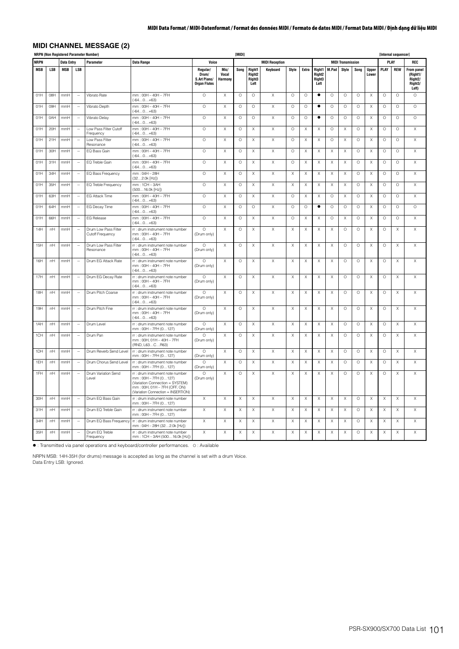# **MIDI CHANNEL MESSAGE (2)**

|             |                 |            |                          | <b>NRPN (Non Registered Parameter Number)</b> |                                                                                                                                                                       |                                                          |                           | [MIDI]  |                                                |                       |                           |                       |                                                |                           |                           |         |                           |                           | [Internal sequencer] |                                                                           |
|-------------|-----------------|------------|--------------------------|-----------------------------------------------|-----------------------------------------------------------------------------------------------------------------------------------------------------------------------|----------------------------------------------------------|---------------------------|---------|------------------------------------------------|-----------------------|---------------------------|-----------------------|------------------------------------------------|---------------------------|---------------------------|---------|---------------------------|---------------------------|----------------------|---------------------------------------------------------------------------|
| <b>NRPN</b> |                 | Data Entry |                          | Parameter                                     | <b>Data Range</b>                                                                                                                                                     | Voice                                                    |                           |         |                                                | <b>MIDI Reception</b> |                           |                       |                                                |                           | <b>MIDI Transmission</b>  |         |                           | PLAY                      |                      | <b>REC</b>                                                                |
| MSB         | LSB             | MSB        | <b>LSB</b>               |                                               |                                                                                                                                                                       | Regular/<br>Drum/<br>S.Art Piano/<br><b>Organ Flutes</b> | Mic/<br>Vocal<br>Harmony  | Song    | Right1<br>Right <sub>2</sub><br>Right3<br>Left | Keyboard              | Style                     | Extra                 | Right1<br>Right <sub>2</sub><br>Right3<br>Left | M.Pad                     | Style                     | Song    | <b>Upper</b><br>Lower     | <b>PLAY</b>               | <b>REW</b>           | <b>From panel</b><br>(Right1/<br>Right <sub>2</sub> /<br>Right3/<br>Left) |
| 01H         | O8H             | mmH        | ÷.                       | Vibrato Rate                                  | mm: 00H - 40H - 7FH<br>$(-640+63)$                                                                                                                                    | $\circ$                                                  | $\boldsymbol{\mathsf{X}}$ | $\circ$ | $\circ$                                        | $\mathsf{X}$          | $\circ$                   | $\circ$               | $\bullet$                                      | $\circ$                   | $\circ$                   | $\circ$ | X                         | $\circ$                   | $\circ$              | $\circ$                                                                   |
| 01H         | 09H             | mmH        | $\sim$                   | Vibrato Depth                                 | mm: 00H - 40H - 7FH<br>$(-640+63)$                                                                                                                                    | $\circ$                                                  | $\boldsymbol{\times}$     | $\circ$ | $\circ$                                        | Χ                     | $\circ$                   | $\circ$               | $\bullet$                                      | $\circ$                   | $\circ$                   | $\circ$ | X                         | $\circ$                   | $\circ$              | $\circ$                                                                   |
| 01H         | 0AH             | mmH        | ÷,                       | Vibrato Delay                                 | $mm:$ 00H $-$ 40H $-$ 7FH<br>$(-640+63)$                                                                                                                              | $\circ$                                                  | $\times$                  | $\circ$ | $\circ$                                        | X                     | $\circ$                   | $\circ$               | $\bullet$                                      | $\circ$                   | $\circ$                   | $\circ$ | $\times$                  | $\circ$                   | $\circ$              | $\circ$                                                                   |
| 01H         | 20H             | mmH        | $\overline{\phantom{a}}$ | Low Pass Filter Cutoff<br>Frequency           | mm: 00H - 40H - 7FH<br>$(-640+63)$                                                                                                                                    | $\circ$                                                  | $\boldsymbol{\times}$     | $\circ$ | Χ                                              | Χ                     | $\circ$                   | X                     | $\boldsymbol{\mathsf{X}}$                      | $\circ$                   | $\times$                  | $\circ$ | X                         | $\circ$                   | $\circ$              | X                                                                         |
| 01H         | 21H             | mmH        | $\sim$                   | I ow Pass Filter<br>Resonance                 | $mm:$ 00H $-$ 40H $-$ 7FH<br>$(-640+63)$                                                                                                                              | $\circ$                                                  | $\boldsymbol{\mathsf{X}}$ | $\circ$ | X                                              | X                     | $\circ$                   | X                     | X                                              | $\circ$                   | $\times$                  | $\circ$ | X                         | $\circ$                   | $\circ$              | $\times$                                                                  |
| 01H         | 30H             | mmH        | ÷.                       | EQ Bass Gain                                  | mm: 00H - 40H - 7FH<br>$(-640+63)$                                                                                                                                    | $\circ$                                                  | $\boldsymbol{\times}$     | $\circ$ | X                                              | Χ                     | $\circ$                   | $\boldsymbol{\times}$ | Х                                              | X                         | $\boldsymbol{\mathsf{X}}$ | $\circ$ | X                         | $\circ$                   | $\circ$              | $\boldsymbol{\times}$                                                     |
| 01H         | 31H             | mmH        | $\sim$                   | EQ Treble Gain                                | mm: 00H - 40H - 7FH<br>$(-640+63)$                                                                                                                                    | $\circ$                                                  | $\boldsymbol{\times}$     | $\circ$ | Χ                                              | Χ                     | $\circ$                   | Х                     | Х                                              | X                         | X                         | $\circ$ | X                         | $\circ$                   | $\circ$              | $\times$                                                                  |
| 01H         | 34H             | mmH        | $\sim$                   | EQ Bass Frequency                             | mm: 04H - 28H<br>(322.0k [Hz])                                                                                                                                        | $\circ$                                                  | Χ                         | O       | X                                              | X                     | X                         | Χ                     | X                                              | X                         | Χ                         | $\circ$ | Χ                         | $\circ$                   | O                    | Χ                                                                         |
| 01H         | 35H             | mmH        | ÷.                       | EQ Treble Frequency                           | mm: 1CH - 3AH<br>(50016.0k [Hz])                                                                                                                                      | $\circ$                                                  | $\boldsymbol{\mathsf{X}}$ | $\circ$ | X                                              | Χ                     | X                         | Χ                     | X                                              | X                         | X                         | $\circ$ | X                         | $\circ$                   | $\circ$              | $\times$                                                                  |
| 01H         | 63H             | mmH        | $\sim$                   | <b>EG Attack Time</b>                         | $mm: OOH - 4OH - 7FH$<br>$(-640+63)$                                                                                                                                  | $\circ$                                                  | $\mathsf X$               | $\circ$ | Χ                                              | Χ                     | $\circ$                   | X                     | X                                              | $\circ$                   | $\times$                  | $\circ$ | X                         | $\circ$                   | $\circ$              | Χ                                                                         |
| 01H         | 64H             | mmH        | $\sim$                   | EG Decay Time                                 | mm: 00H - 40H - 7FH<br>$(-640+63)$                                                                                                                                    | $\circ$                                                  | Χ                         | O       | O                                              | X                     | O                         | O                     | ٠                                              | O                         | $\circ$                   | $\circ$ | X                         | $\circ$                   | O                    | $\circ$                                                                   |
| 01H         | 66 <sup>H</sup> | mmH        | ÷.                       | EG Release                                    | mm: 00H - 40H - 7FH<br>$(-640+63)$                                                                                                                                    | $\circ$                                                  | $\boldsymbol{\times}$     | $\circ$ | Χ                                              | Χ                     | $\circ$                   | X                     | X                                              | $\circ$                   | $\times$                  | $\circ$ | X                         | $\circ$                   | $\circ$              | $\mathsf X$                                                               |
| 14H         | rrH             | mmH        | $\sim$                   | Drum Low Pass Filter<br>Cutoff Frequency      | rr : drum instrument note number<br>mm: 00H - 40H - 7FH<br>$(-64.0 + 63)$                                                                                             | $\circ$<br>(Drum only)                                   | $\boldsymbol{\mathsf{X}}$ | $\circ$ | X                                              | Χ                     | X                         | X                     | X                                              | X                         | $\circ$                   | $\circ$ | $\mathsf X$               | $\circ$                   | X                    | $\times$                                                                  |
| 15H         | rrH             | mmH        | $\sim$                   | Drum Low Pass Filter<br>Resonance             | rr : drum instrument note number<br>mm: 00H - 40H - 7FH<br>$(-640+63)$                                                                                                | $\Omega$<br>(Drum only)                                  | $\boldsymbol{\times}$     | $\circ$ | $\mathsf X$                                    | $\mathsf{X}$          | $\boldsymbol{\times}$     | $\mathsf X$           | $\mathsf X$                                    | $\boldsymbol{\mathsf{X}}$ | $\circ$                   | $\circ$ | $\boldsymbol{\mathsf{X}}$ | $\circ$                   | $\mathsf X$          | $\mathsf X$                                                               |
| 16H         | rrH             | mmH        | $\sim$                   | Drum EG Attack Rate                           | rr : drum instrument note number<br>mm: 00H - 40H - 7FH<br>$(-64.0 + 63)$                                                                                             | $\Omega$<br>(Drum only)                                  | $\mathsf X$               | $\circ$ | X                                              | X                     | $\mathsf X$               | Χ                     | $\mathsf X$                                    | X                         | $\circ$                   | $\circ$ | $\mathsf X$               | $\circ$                   | $\mathsf X$          | $\mathsf X$                                                               |
| 17H         | rrH             | mmH        | $\overline{\phantom{a}}$ | Drum EG Decay Rate                            | rr : drum instrument note number<br>mm: 00H - 40H - 7FH<br>$(-640+63)$                                                                                                | $\Omega$<br>(Drum only)                                  | X                         | O       | Х                                              | Χ                     | X                         | Χ                     | Χ                                              | X                         | $\circ$                   | $\circ$ | X                         | O                         | Χ                    | X                                                                         |
| 18H         | rrH             | mmH        |                          | Drum Pitch Coarse                             | rr : drum instrument note number<br>mm: 00H - 40H - 7FH<br>$(-640+63)$                                                                                                | $\circ$<br>(Drum only)                                   | Χ                         | O       | X                                              | X                     | X                         | Χ                     | X                                              | Χ                         | $\circ$                   | $\circ$ | X                         | $\circ$                   | Χ                    | Χ                                                                         |
| 19H         | rrH             | mmH        | ÷.                       | Drum Pitch Fine                               | rr : drum instrument note number<br>$mm:OOH - 4OH - 7FH$<br>$(-640+63)$                                                                                               | $\circ$<br>(Drum only)                                   | Χ                         | O       | X                                              | Χ                     | Χ                         | Χ                     | X                                              | Χ                         | $\circ$                   | O       | X                         | $\circ$                   | Χ                    | Χ                                                                         |
| 1AH         | rrH             | mmH        | ÷.                       | Drum Level                                    | rr : drum instrument note number<br>$mm:$ 00H $-$ 7FH (0127)                                                                                                          | $\circ$<br>(Drum only)                                   | Χ                         | $\circ$ | X                                              | X                     | $\boldsymbol{\mathsf{X}}$ | Χ                     | X                                              | Χ                         | $\circ$                   | $\circ$ | X                         | $\circ$                   | X                    | $\boldsymbol{\mathsf{X}}$                                                 |
| 1CH         | rrH             | mmH        | $\ddot{\phantom{a}}$     | Drum Pan                                      | rr : drum instrument note number<br>mm: 00H, 01H - 40H - 7FH<br>(RND, L63CR63)                                                                                        | $\circ$<br>(Drum only)                                   | $\mathsf X$               | $\circ$ | $\mathsf X$                                    | X                     | X                         | X                     | X                                              | X                         | $\circ$                   | $\circ$ | X                         | $\circ$                   | $\mathsf X$          | $\mathsf X$                                                               |
| 1DH         | rrH             | mmH        | $\sim$                   | Drum Reverb Send Level                        | rr : drum instrument note number<br>$mm:$ 00H $-$ 7FH (0127)                                                                                                          | $\Omega$<br>(Drum only)                                  | $\boldsymbol{\times}$     | $\circ$ | X                                              | X                     | X                         | X                     | X                                              | X                         | $\circ$                   | $\circ$ | X                         | $\circ$                   | X                    | X                                                                         |
| 1EH         | rrH             | mmH        | $\sim$                   | Drum Chorus Send Level                        | rr : drum instrument note number<br>mm: 00H - 7FH (0127)                                                                                                              | $\circ$<br>(Drum only)                                   | $\boldsymbol{\mathsf{X}}$ | $\circ$ | X                                              | Χ                     | X                         | Χ                     | X                                              | X                         | $\circ$                   | $\circ$ | X                         | $\circ$                   | X                    | $\times$                                                                  |
| 1FH         | rrH             | mmH        | ÷.                       | Drum Variation Send<br>Level                  | rr : drum instrument note number<br>$mm:$ 00H $-$ 7FH (0127)<br>(Variation Connection = SYSTEM)<br>mm: 00H, 01H - 7FH (OFF, ON)<br>(Variation Connection = INSERTION) | $\circ$<br>(Drum only)                                   | X                         | $\circ$ | Χ                                              | Χ                     | X                         | Χ                     | X                                              | Χ                         | $\circ$                   | $\circ$ | X                         | $\circ$                   | X                    | Χ                                                                         |
| 30H         | rrH             | mmH        | $\overline{\phantom{a}}$ | Drum EQ Bass Gain                             | rr : drum instrument note number<br>mm: 00H - 7FH (0127)                                                                                                              | X                                                        | $\boldsymbol{\mathsf{X}}$ | X       | $\boldsymbol{\mathsf{X}}$                      | X                     | $\mathsf X$               | Χ                     | Χ                                              | Χ                         | Χ                         | $\circ$ | X                         | $\boldsymbol{\mathsf{X}}$ | X                    | $\boldsymbol{\mathsf{X}}$                                                 |
| 31H         | rrH             | mmH        | $\ddot{\phantom{1}}$     | Drum EQ Treble Gain                           | rr : drum instrument note number<br>mm: 00H - 7FH (0127)                                                                                                              | Χ                                                        | X                         | Χ       | X                                              | Χ                     | X                         | Χ                     | X                                              | X                         | $\times$                  | $\circ$ | X                         | X                         | X                    | X                                                                         |
| $34$        | rrH             | mmH        | $\sim$                   | Drum EQ Bass Frequency                        | rr : drum instrument note number<br>mm: 04H - 28H (322.0k [Hz])                                                                                                       | X                                                        | $\boldsymbol{\mathsf{X}}$ | X       | X                                              | X                     | X                         | Χ                     | X                                              | Χ                         | $\times$                  | $\circ$ | X                         | Χ                         | X                    | X                                                                         |
| 35H         | rrH             | mmH        | $\overline{\phantom{a}}$ | Drum EQ Treble<br>Frequency                   | rr : drum instrument note number<br>mm: 1CH - 3AH (50016.0k [Hz])                                                                                                     | X                                                        | $\boldsymbol{\mathsf{X}}$ | X       | X                                              | Χ                     | X                         | X                     | X                                              | X                         | Χ                         | $\circ$ | X                         | $\boldsymbol{\mathsf{X}}$ | X                    | X                                                                         |

: Transmitted via panel operations and keyboard/controller performances. O : Available

NRPN MSB: 14H-35H (for drums) message is accepted as long as the channel is set with a drum Voice. Data Entry LSB: Ignored.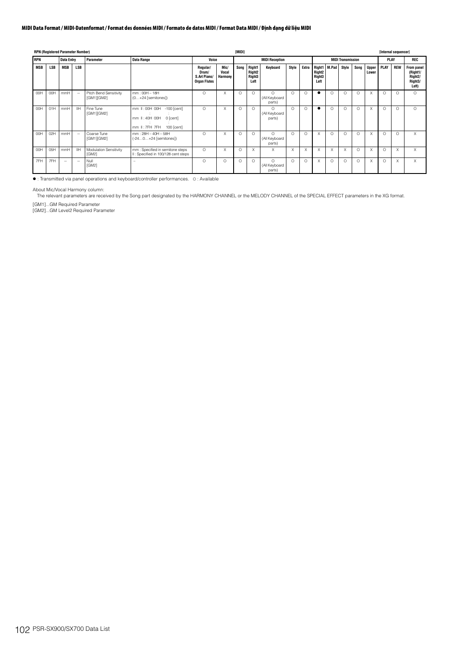|            |            | <b>RPN (Registered Parameter Number)</b> |            |                                        |                                                                                       |                                                          |                          | [MIDI]   |                                                       |                                     |          |          |                                                                   |          |                          |          |                       | [Internal sequencer] |            |                                                                    |
|------------|------------|------------------------------------------|------------|----------------------------------------|---------------------------------------------------------------------------------------|----------------------------------------------------------|--------------------------|----------|-------------------------------------------------------|-------------------------------------|----------|----------|-------------------------------------------------------------------|----------|--------------------------|----------|-----------------------|----------------------|------------|--------------------------------------------------------------------|
| <b>RPN</b> |            | Data Entry                               |            | <b>Parameter</b>                       | <b>Data Range</b>                                                                     | Voice                                                    |                          |          |                                                       | <b>MIDI Reception</b>               |          |          |                                                                   |          | <b>MIDI Transmission</b> |          |                       | <b>PLAY</b>          |            | REC                                                                |
| <b>MSB</b> | <b>LSB</b> | <b>MSB</b>                               | <b>LSB</b> |                                        |                                                                                       | Regular/<br>Drum/<br>S.Art Piano/<br><b>Organ Flutes</b> | Mic/<br>Vocal<br>Harmony | Song     | <b>Right1</b><br>Right <sub>2</sub><br>Right3<br>Left | Keyboard                            | Style    | Extra    | <b>Right1</b><br>Right <sub>2</sub><br>Right <sub>3</sub><br>Left | M.Pad    | Style                    | Song     | <b>Upper</b><br>Lower | PLAY                 | <b>REW</b> | From panel<br>(Right1/<br>Right <sub>2</sub> /<br>Right3/<br>Left) |
| OOH        | 00H        | mmH                                      | -          | Pitch Bend Sensitivity<br>[GM1][GM2]   | mm: 00H - 18H<br>$(0+24$ [semitones])                                                 | $\circ$                                                  | X                        | $\Omega$ | O                                                     | $\circ$<br>(All Keyboard<br>parts)  | $\Omega$ | $\Omega$ | C                                                                 | $\Omega$ | $\Omega$                 | ∩        | X                     | $\Omega$             | $\Omega$   | $\Omega$                                                           |
| OOH        | 01H        | mmH                                      | <b>IH</b>  | Fine Tune<br>[GM1][GM2]                | mm II: 00H 00H -100 [cent]<br>mm II: 40H 00H<br>0 [cent]<br>mm II: 7FH 7FH 100 [cent] | $\Omega$                                                 | X                        | $\Omega$ | $\Omega$                                              | $\Omega$<br>(All Keyboard<br>parts) | $\Omega$ | $\Omega$ | ٠                                                                 | $\Omega$ | $\Omega$                 | $\Omega$ | $\chi$                | $\Omega$             | $\Omega$   | O                                                                  |
| OOH        | 02H        | mmH                                      | $\sim$     | Coarse Tune<br>[GM1][GM2]              | mm: 28H - 40H - 58H<br>(-240+24 [semitones])                                          | $\Omega$                                                 | X                        | O        | $\cap$                                                | $\Omega$<br>(All Keyboard<br>parts) | $\cap$   | $\Omega$ | $\times$                                                          | $\cap$   | $\Omega$                 | Ö        | X                     | $\Omega$             | $\Omega$   | $\times$                                                           |
| OOH        | 05H        | mmH                                      | <b>IH</b>  | <b>Modulation Sensitivity</b><br>[GM2] | mm : Specified in semitone steps<br>II: Specified in 100/128 cent steps               | $\circ$                                                  | X                        | $\Omega$ | $\times$                                              | X                                   | $\times$ | X        | X                                                                 | X        | $\mathsf{x}$             | O        | $\times$              | $\Omega$             | $\chi$     | X                                                                  |
| 7FH        | 7FH        | $\overline{\phantom{a}}$                 | $\sim$     | Null<br>[GM2]                          | ۰                                                                                     | $\circ$                                                  | $\Omega$                 | $\Omega$ | $\Omega$                                              | $\Omega$<br>(All Keyboard<br>parts) | $\Omega$ | $\Omega$ | $\times$                                                          | $\Omega$ | $\Omega$                 | $\cap$   | X                     | $\Omega$             | X          | X                                                                  |

: Transmitted via panel operations and keyboard/controller performances. O : Available

About Mic/Vocal Harmony column:

The relevant parameters are received by the Song part designated by the HARMONY CHANNEL or the MELODY CHANNEL of the SPECIAL EFFECT parameters in the XG format.

[GM1]...GM Required Parameter [GM2]...GM Level2 Required Parameter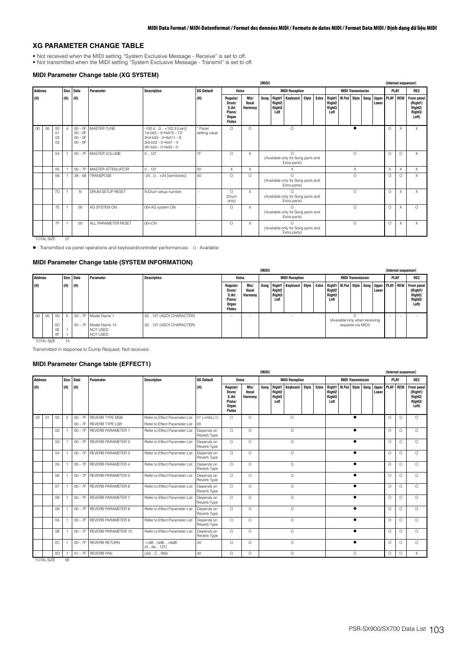# **XG PARAMETER CHANGE TABLE**

- 
- Not received when the MIDI setting "System Exclusive Message Receive" is set to off. Not transmitted when the MIDI setting "System Exclusive Message Transmit" is set to off.

# **MIDI Parameter Change table (XG SYSTEM)**

|                |    |                      |                |                                                  |                         |                                                                                                                                                                                           |                          |                                                                |                                                              | [MIDI]                                                                                                             |                                                |                                                                |  |       |                                                      |                          |          |            |                            | [Internal sequencer] |            |                                                                    |
|----------------|----|----------------------|----------------|--------------------------------------------------|-------------------------|-------------------------------------------------------------------------------------------------------------------------------------------------------------------------------------------|--------------------------|----------------------------------------------------------------|--------------------------------------------------------------|--------------------------------------------------------------------------------------------------------------------|------------------------------------------------|----------------------------------------------------------------|--|-------|------------------------------------------------------|--------------------------|----------|------------|----------------------------|----------------------|------------|--------------------------------------------------------------------|
| <b>Address</b> |    |                      | Size           | <b>Data</b>                                      | Parameter               | <b>Description</b>                                                                                                                                                                        | <b>XG Default</b>        | Voice                                                          |                                                              |                                                                                                                    |                                                | <b>MIDI Reception</b>                                          |  |       |                                                      | <b>MIDI Transmission</b> |          |            |                            | PLAY                 |            | <b>REC</b>                                                         |
| (H)            |    |                      | (H)            | (H)                                              |                         |                                                                                                                                                                                           | (H)                      | Regular/<br>Drum/<br>S.Art<br>Piano/<br>Organ<br><b>Flutes</b> | Mic/<br>Vocal<br><b>Harmony</b>                              | Song                                                                                                               | Right1<br>Right <sub>2</sub><br>Right3<br>Left | <b>Keyboard</b> Style                                          |  | Extra | Right1 M.Pad<br>Right <sub>2</sub><br>Right3<br>Left |                          |          | Style Song | <b>Upper PLAY</b><br>Lower |                      | <b>REW</b> | From panel<br>(Right1/<br>Right <sub>2</sub> /<br>Right3/<br>Left) |
| 00             | 00 | 00<br>01<br>02<br>03 | $\overline{4}$ | $00 - 0F$<br>$00 - 0F$<br>$00 - 0F$<br>$00 - 0F$ | <b>MASTER TUNE</b>      | $-102.40+102.3$ [cent]<br>1st bit $3 - 0 \rightarrow$ bit $15 - 12$<br>2nd bit3 - $0 \rightarrow$ bit11 - 8<br>3rd bit3 $-0 \rightarrow$ bit7 $-4$<br>4th bit3 - $0 \rightarrow$ bit3 - 0 | * Panel<br>setting value | $\circ$                                                        | $\Omega$                                                     |                                                                                                                    |                                                | $\circ$                                                        |  |       |                                                      |                          |          |            |                            | O                    | $\times$   | X                                                                  |
|                |    | 04                   |                | $00 - 7F$                                        | MASTER VOLUME           | 0127                                                                                                                                                                                      | 7F                       | $\Omega$                                                       | $\times$                                                     |                                                                                                                    |                                                | $\Omega$<br>(Available only for Song parts and<br>Extra parts) |  |       |                                                      |                          | $\Omega$ |            |                            | $\Omega$             | $\Omega$   | $\times$                                                           |
|                |    | 05                   |                | $00 - 7F$                                        | MASTER ATTENUATOR       | 0127                                                                                                                                                                                      | 00                       | X                                                              | X                                                            |                                                                                                                    |                                                | X                                                              |  |       |                                                      |                          | X        |            |                            | $\times$             | $\times$   | $\times$                                                           |
|                |    | 06                   |                |                                                  | 28-58 TRANSPOSE         | $-240+24$ [semitones]                                                                                                                                                                     | 40                       | $\Omega$                                                       | $\Omega$                                                     |                                                                                                                    |                                                | $\cap$                                                         |  |       |                                                      |                          | $\Omega$ |            |                            | $\Omega$             | ∩          | $\times$                                                           |
|                |    | 7D                   |                | N.                                               | <b>DRUM SETUP RESET</b> | N:Drum setup number                                                                                                                                                                       |                          | $\Omega$<br>(Drum<br>only)                                     | $\times$                                                     | (Available only for Song parts and<br>Extra parts)<br>$\cap$<br>(Available only for Song parts and<br>Extra parts) |                                                |                                                                |  |       |                                                      |                          | $\Omega$ |            |                            | $\circ$              | $\times$   | $\times$                                                           |
|                |    | 7E                   |                | $00\,$                                           | XG SYSTEM ON            | 00=XG system ON                                                                                                                                                                           | ۰                        | O                                                              | X<br>∩<br>(Available only for Song parts and<br>Extra parts) |                                                                                                                    |                                                |                                                                |  |       |                                                      |                          | $\Omega$ |            |                            | $\circ$              | $\times$   | $\Omega$                                                           |
|                |    | 7F                   |                | 00                                               | ALL PARAMETER RESET     | $00 = ON$                                                                                                                                                                                 | -                        | O                                                              | X                                                            |                                                                                                                    |                                                | $\Omega$<br>(Available only for Song parts and<br>Extra parts) |  |       |                                                      |                          | $\circ$  |            |                            | $\circ$              | X          | $\times$                                                           |

TOTAL SIZE 07

: Transmitted via panel operations and keyboard/controller performances. O : Available

### **MIDI Parameter Change table (SYSTEM INFORMATION)**

|  |                       |                                       |     |     |                                                                       |                                                    |                                                                |                          | [MIDI] |                          |                                  |  |                                 |                                                      |  |       |            | [Internal sequencer]                                                                                                  |
|--|-----------------------|---------------------------------------|-----|-----|-----------------------------------------------------------------------|----------------------------------------------------|----------------------------------------------------------------|--------------------------|--------|--------------------------|----------------------------------|--|---------------------------------|------------------------------------------------------|--|-------|------------|-----------------------------------------------------------------------------------------------------------------------|
|  | <b>Address</b>        | Size Data<br>Description<br>Parameter |     |     |                                                                       | Voice                                              |                                                                |                          |        | <b>MIDI Reception</b>    |                                  |  | <b>MIDI Transmission</b>        |                                                      |  | PLAY  | <b>REC</b> |                                                                                                                       |
|  | (H)                   |                                       | (H) | (H) |                                                                       |                                                    | Regular/<br>Drum/<br>S.Art<br>Piano/<br>Organ<br><b>Flutes</b> | Mic/<br>Vocal<br>Harmony |        | Right2<br>Right3<br>Left | Song   Right1   Keyboard   Style |  | <b>Right2</b><br>Right3<br>Left |                                                      |  | Lower |            | Extra Right1   M.Pad Style Song Upper PLAY   REW   From panel<br>(Right1/<br>Right <sub>2</sub> /<br>Right3/<br>Left) |
|  | 00 <sup>°</sup><br>00 | 00<br>0D<br>0E<br>0F                  |     |     | 20 - 7F Model Name 1<br>20 - 7F Model Name 14<br>NOT USED<br>NOT USED | 32127 (ASCII CHARACTER)<br>32127 (ASCII CHARACTER) | -                                                              | $\overline{\phantom{a}}$ |        |                          |                                  |  |                                 | (Available only when receiving<br>requests via MIDI) |  |       | -          |                                                                                                                       |

TOTAL SIZE 10

Transmitted in response to Dump Request. Not received.

# **MIDI Parameter Change table (EFFECT1)**

|                |                |                |                |           |                             |                                |                           |                                                                                                                                                                                                                               |                     | <b>TMIDI1</b>        |  |                       |  |  |                                                            |           |                          |      |                                |          |             | [Internal sequencer]                                               |
|----------------|----------------|----------------|----------------|-----------|-----------------------------|--------------------------------|---------------------------|-------------------------------------------------------------------------------------------------------------------------------------------------------------------------------------------------------------------------------|---------------------|----------------------|--|-----------------------|--|--|------------------------------------------------------------|-----------|--------------------------|------|--------------------------------|----------|-------------|--------------------------------------------------------------------|
| <b>Address</b> |                |                |                | Size Data | Parameter                   | <b>Description</b>             | <b>XG Default</b>         | Voice                                                                                                                                                                                                                         |                     |                      |  | <b>MIDI Reception</b> |  |  |                                                            |           | <b>MIDI Transmission</b> |      |                                |          | <b>PLAY</b> | REC                                                                |
| (H)            |                |                | (H)            | (H)       |                             |                                | (H)                       | Mic/<br>Right1<br>Keyboard Style<br>Extra<br>Regular/<br>Song<br>Right <sub>2</sub><br>Vocal<br>Drum/<br>Right <sub>3</sub><br>S.Art<br>Harmony<br>Piano/<br>Left<br>Organ<br><b>Flutes</b><br>$\circ$<br>$\Omega$<br>$\circ$ |                     |                      |  |                       |  |  | Right1<br>Right <sub>2</sub><br>Right <sub>3</sub><br>Left | M.Pad     | Style                    | Song | <b>Upper PLAY REW</b><br>Lower |          |             | From panel<br>(Right1/<br>Right <sub>2</sub> /<br>Right3/<br>Left) |
| 02             | O <sub>1</sub> | 00             | $\overline{2}$ | $00 - 7F$ | <b>REVERB TYPE MSB</b>      | Refer to Effect Parameter List | $01 (=HALL1)$             |                                                                                                                                                                                                                               |                     |                      |  |                       |  |  |                                                            |           | $\bullet$                |      |                                | $\Omega$ | $\Omega$    | $\Omega$                                                           |
|                |                |                |                |           | 00 - 7F REVERB TYPE LSB     | Refer to Effect Parameter List | 00                        |                                                                                                                                                                                                                               |                     |                      |  |                       |  |  |                                                            |           |                          |      |                                |          |             |                                                                    |
|                |                | 02             |                | $00 - 7F$ | <b>REVERB PARAMETER 1</b>   | Refer to Effect Parameter List | Depends on<br>Reverb Type | $\Omega$                                                                                                                                                                                                                      | $\Omega$            |                      |  | $\circ$               |  |  |                                                            | $\bullet$ |                          |      | $\Omega$                       | $\Omega$ | $\Omega$    |                                                                    |
|                |                | 03             |                | $00 - 7F$ | <b>REVERB PARAMETER 2</b>   | Refer to Effect Parameter List | Depends on<br>Reverb Type | $\Omega$                                                                                                                                                                                                                      | $\Omega$            | $\Omega$<br>$\Omega$ |  |                       |  |  |                                                            |           | $\bullet$                |      |                                | $\Omega$ | $\Omega$    | $\Omega$                                                           |
|                |                | 04             |                | $00 - 7F$ | <b>REVERB PARAMETER 3</b>   | Refer to Effect Parameter List | Depends on<br>Reverb Type | $\Omega$                                                                                                                                                                                                                      | $\Omega$            | $\Omega$             |  |                       |  |  |                                                            |           | $\bullet$                |      |                                | $\Omega$ | $\Omega$    | $\Omega$                                                           |
|                |                | 05             |                | $00 - 7F$ | REVERB PARAMETER 4          | Refer to Effect Parameter List | Depends on<br>Reverb Type | $\Omega$                                                                                                                                                                                                                      | $\Omega$            |                      |  |                       |  |  |                                                            |           | $\bullet$                |      |                                | $\Omega$ | $\Omega$    | $\Omega$                                                           |
|                |                | 06             |                |           | 00 - 7F REVERB PARAMETER 5  | Refer to Effect Parameter List | Depends on<br>Reverb Type | $\Omega$                                                                                                                                                                                                                      | $\Omega$            | $\circ$              |  |                       |  |  |                                                            |           | $\bullet$                |      |                                | $\Omega$ | $\Omega$    | $\Omega$                                                           |
|                |                | 07             |                | $00 - 7F$ | REVERB PARAMETER 6          | Refer to Effect Parameter List | Depends on<br>Reverb Type | $\Omega$                                                                                                                                                                                                                      | $\circ$             |                      |  | $\circ$               |  |  |                                                            |           | $\bullet$                |      |                                | $\circ$  | $\Omega$    | $\circ$                                                            |
|                |                | 08             |                | $00 - 7F$ | <b>REVERB PARAMETER 7</b>   | Refer to Effect Parameter List | Depends on<br>Reverb Type | $\Omega$                                                                                                                                                                                                                      | $\circ$             |                      |  | $\circ$               |  |  |                                                            |           | $\bullet$                |      |                                | $\circ$  | $\Omega$    | $\Omega$                                                           |
|                |                | 09             | -1             | $00 - 7F$ | REVERB PARAMETER 8          | Refer to Effect Parameter List | Depends on<br>Reverb Type | $\Omega$                                                                                                                                                                                                                      | $\Omega$            |                      |  | $\Omega$              |  |  |                                                            |           | $\bullet$                |      |                                | $\Omega$ | $\Omega$    | $\Omega$                                                           |
|                |                | 0A             | -1             | $00 - 7F$ | <b>REVERB PARAMETER 9</b>   | Refer to Effect Parameter List | Depends on<br>Reverb Type | $\Omega$                                                                                                                                                                                                                      | $\Omega$            | $\Omega$             |  |                       |  |  |                                                            |           |                          |      |                                | $\Omega$ | $\Omega$    | $\Omega$                                                           |
|                |                | 0 <sub>B</sub> |                |           | 00 - 7F REVERB PARAMETER 10 | Refer to Effect Parameter List | Depends on<br>Reverb Type | $\Omega$                                                                                                                                                                                                                      | $\circ$             |                      |  | $\circ$               |  |  |                                                            |           |                          |      |                                | $\Omega$ | $\Omega$    | $\circ$                                                            |
|                |                | <sub>0</sub> C |                | $00 - 7F$ | <b>REVERB RETURN</b>        | $-$ ∞dB0dB $+6$ dB<br>(064127) | 40                        | $\Omega$                                                                                                                                                                                                                      | $\circ$<br>$\Omega$ |                      |  |                       |  |  |                                                            |           | $\bullet$                |      |                                | $\Omega$ | $\Omega$    | $\Omega$                                                           |
|                |                | 0 <sub>D</sub> |                | $01 - 7F$ | <b>REVERB PAN</b>           | L63CR63                        | 40                        | $\Omega$<br>$\Omega$<br>$\Omega$                                                                                                                                                                                              |                     |                      |  |                       |  |  |                                                            |           | $\Omega$                 |      |                                | $\Omega$ | $\Omega$    | X                                                                  |

TOTAL SIZE 0E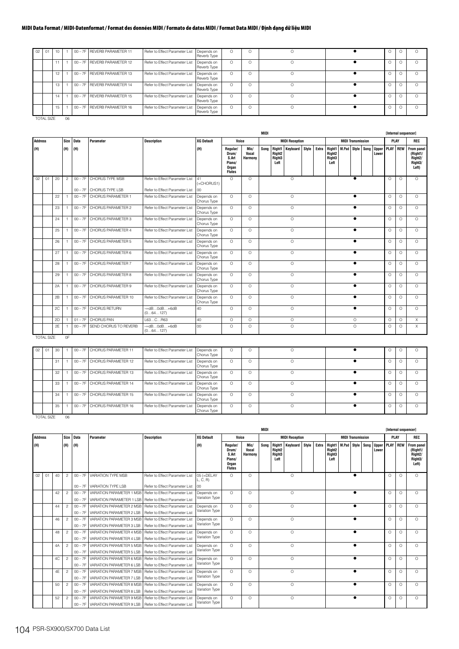| 02 | 01                |       |    | 00 - 7F REVERB PARAMETER 11 | Refer to Effect Parameter List | Depends on<br>Reverb Type | $\circ$ | $\circ$  |  | U        |          |
|----|-------------------|-------|----|-----------------------------|--------------------------------|---------------------------|---------|----------|--|----------|----------|
|    |                   | $+ +$ |    | 00 - 7F REVERB PARAMETER 12 | Refer to Effect Parameter List | Depends on<br>Reverb Type | $\circ$ | $\circ$  |  | $\Omega$ | $\Omega$ |
|    |                   | 12    |    | 00 - 7F REVERB PARAMETER 13 | Refer to Effect Parameter List | Depends on<br>Reverb Type | O       | $\circ$  |  | O        | $\Omega$ |
|    |                   | 13    |    | 00 - 7F REVERB PARAMETER 14 | Refer to Effect Parameter List | Depends on<br>Reverb Type | $\circ$ | $\circ$  |  | $\Omega$ | $\cap$   |
|    |                   |       |    | 00 - 7F REVERB PARAMETER 15 | Refer to Effect Parameter List | Depends on<br>Reverb Type | $\circ$ | $\circ$  |  | O        | $\Omega$ |
|    |                   | 15    |    | 00 - 7F REVERB PARAMETER 16 | Refer to Effect Parameter List | Depends on<br>Reverb Type | $\circ$ | $\Omega$ |  | O        | $\cap$   |
|    | <b>TOTAL SIZE</b> |       | 06 |                             |                                |                           |         |          |  |          |          |

|                |                   |    |                |           |                            |                                                 |                           |                                                                |                                 | MIDI |                                                  |                       |       |       |                                                                  |                          |            |                                | [Internal sequencer] |             |                                                                    |
|----------------|-------------------|----|----------------|-----------|----------------------------|-------------------------------------------------|---------------------------|----------------------------------------------------------------|---------------------------------|------|--------------------------------------------------|-----------------------|-------|-------|------------------------------------------------------------------|--------------------------|------------|--------------------------------|----------------------|-------------|--------------------------------------------------------------------|
| <b>Address</b> |                   |    | Size           | Data      | Parameter                  | <b>Description</b>                              | <b>XG Default</b>         | Voice                                                          |                                 |      |                                                  | <b>MIDI Reception</b> |       |       |                                                                  | <b>MIDI Transmission</b> |            |                                |                      | <b>PLAY</b> | REC                                                                |
| (H)            |                   |    | (H)            | (H)       |                            |                                                 | (H)                       | Regular/<br>Drum/<br>S.Art<br>Piano/<br>Organ<br><b>Flutes</b> | Mic/<br>Vocal<br><b>Harmony</b> | Sona | Right <sub>2</sub><br>Right <sub>3</sub><br>Left | Right1 Keyboard       | Style | Extra | Right1 M.Pad<br>Right <sub>2</sub><br>Right <sub>3</sub><br>Left |                          | Style Song | <b>Upper PLAY REW</b><br>Lower |                      |             | From panel<br>(Right1/<br>Right <sub>2</sub> /<br>Right3/<br>Left) |
| 02             | 01                | 20 | $\overline{c}$ | $00 - 7F$ | CHORUS TYPE MSB            | Refer to Effect Parameter List                  | 41<br>$(=\text{CHORUS1})$ | $\Omega$                                                       | $\Omega$                        |      |                                                  | $\Omega$              |       |       |                                                                  | $\bullet$                |            |                                | $\Omega$             | $\Omega$    | $\Omega$                                                           |
|                |                   |    |                |           | 00 - 7F CHORUS TYPE LSB    | Refer to Effect Parameter List                  | 00                        |                                                                |                                 |      |                                                  |                       |       |       |                                                                  |                          |            |                                |                      |             |                                                                    |
|                |                   | 22 |                |           | 00 - 7F CHORUS PARAMETER 1 | Refer to Effect Parameter List                  | Depends on<br>Chorus Type | $\Omega$                                                       | $\circ$                         |      |                                                  | $\circ$               |       |       |                                                                  | $\bullet$                |            |                                | $\Omega$             | $\Omega$    | $\Omega$                                                           |
|                |                   | 23 | $\overline{1}$ | $00 - 7F$ | CHORUS PARAMETER 2         | Refer to Effect Parameter List                  | Depends on<br>Chorus Type | $\Omega$                                                       | $\circ$                         |      |                                                  | $\circ$               |       |       |                                                                  | $\bullet$                |            |                                | $\Omega$             | $\Omega$    | $\Omega$                                                           |
|                |                   | 24 |                | $00 - 7F$ | CHORUS PARAMETER 3         | Refer to Effect Parameter List                  | Depends on<br>Chorus Type | $\Omega$                                                       | $\Omega$                        |      |                                                  | $\circ$               |       |       |                                                                  | $\bullet$                |            |                                | $\Omega$             | $\Omega$    | $\Omega$                                                           |
|                |                   | 25 |                | $00 - 7F$ | CHORUS PARAMETER 4         | Refer to Effect Parameter List                  | Depends on<br>Chorus Type | $\Omega$                                                       | $\circ$                         |      |                                                  | $\circ$               |       |       |                                                                  | $\bullet$                |            |                                | $\circ$              | $\circ$     | $\Omega$                                                           |
|                |                   | 26 |                | $00 - 7F$ | CHORUS PARAMETER 5         | Refer to Effect Parameter List                  | Depends on<br>Chorus Type | $\Omega$                                                       | $\circ$                         |      |                                                  | $\circ$               |       |       |                                                                  | $\bullet$                |            |                                | $\circ$              | $\circ$     | $\circ$                                                            |
|                |                   | 27 |                | $00 - 7F$ | CHORUS PARAMETER 6         | Refer to Effect Parameter List                  | Depends on<br>Chorus Type | $\Omega$                                                       | $\circ$                         |      |                                                  | $\circ$               |       |       |                                                                  |                          |            |                                | $\circ$              | $\circ$     | $\circ$                                                            |
|                |                   | 28 |                | $00 - 7F$ | CHORUS PARAMETER 7         | Refer to Effect Parameter List                  | Depends on<br>Chorus Type | $\Omega$                                                       | $\circ$                         |      |                                                  | $\circ$               |       |       |                                                                  |                          |            |                                | $\circ$              | $\circ$     | $\circ$                                                            |
|                |                   | 29 |                | $00 - 7F$ | CHORUS PARAMETER 8         | Refer to Effect Parameter List                  | Depends on<br>Chorus Type | $\Omega$                                                       | $\circ$                         |      |                                                  | $\circ$               |       |       |                                                                  | $\bullet$                |            |                                | $\circ$              | $\circ$     | $\circ$                                                            |
|                |                   | 2A |                | $00 - 7F$ | CHORUS PARAMETER 9         | Refer to Effect Parameter List                  | Depends on<br>Chorus Type | $\Omega$                                                       | $\circ$                         |      |                                                  | $\circ$               |       |       |                                                                  | $\bullet$                |            |                                | $\Omega$             | $\circ$     | $\circ$                                                            |
|                |                   | 2B |                | $00 - 7F$ | CHORUS PARAMETER 10        | Refer to Effect Parameter List                  | Depends on<br>Chorus Type | $\Omega$                                                       | $\circ$                         |      |                                                  | $\circ$               |       |       |                                                                  |                          |            |                                | $\Omega$             | $\Omega$    | $\Omega$                                                           |
|                |                   | 2C | $\overline{1}$ |           | 00 - 7F CHORUS RETURN      | $ \infty$ dB0dB $+6$ dB<br>(064127)             | 40                        | $\circ$                                                        | $\circ$                         |      |                                                  | $\circ$               |       |       |                                                                  | $\bullet$                |            |                                | $\circ$              | $\circ$     | $\circ$                                                            |
|                |                   | 2D |                |           | 01-7F CHORUS PAN           | L63CR63                                         | 40                        | $\circ$                                                        | $\circ$                         |      |                                                  | $\circ$               |       |       |                                                                  | $\circ$                  |            |                                | $\circ$              | $\Omega$    | $\times$                                                           |
|                |                   | 2E |                | $00 - 7F$ | SEND CHORUS TO REVERB      | $ \circ$ d $B$ $0$ d $B$ $+6$ d $B$<br>(064127) | 00                        | $\circ$                                                        | $\circ$                         |      |                                                  | $\circ$               |       |       |                                                                  | $\circ$                  |            |                                | $\circ$              | $\Omega$    | $\times$                                                           |
|                | <b>TOTAL SIZE</b> |    | 0F             |           |                            |                                                 |                           |                                                                |                                 |      |                                                  |                       |       |       |                                                                  |                          |            |                                |                      |             |                                                                    |

| 02 | 01                | 30 |    | 00 - 7F CHORUS PARAMETER 11 | Refer to Effect Parameter List   Depends on | Chorus Type               | $\circ$  | $\circ$  |  | U      |          |
|----|-------------------|----|----|-----------------------------|---------------------------------------------|---------------------------|----------|----------|--|--------|----------|
|    |                   | 31 |    | 00 - 7F CHORUS PARAMETER 12 | Refer to Effect Parameter List              | Depends on<br>Chorus Type | $\Omega$ | O        |  | $\cup$ | $\Omega$ |
|    |                   | 32 |    | 00 - 7F CHORUS PARAMETER 13 | Refer to Effect Parameter List              | Depends on<br>Chorus Type | $\Omega$ | $\Omega$ |  | $\cup$ | ∩        |
|    |                   | 33 |    | 00 - 7F CHORUS PARAMETER 14 | Refer to Effect Parameter List              | Depends on<br>Chorus Type | O        | O        |  | $\cup$ |          |
|    |                   | 34 |    | 00 - 7F CHORUS PARAMETER 15 | Refer to Effect Parameter List              | Depends on<br>Chorus Type | $\circ$  | O        |  | 0      | $\cap$   |
|    |                   | 35 |    | 00 - 7F CHORUS PARAMETER 16 | Refer to Effect Parameter List              | Depends on<br>Chorus Type | $\Omega$ | $\Omega$ |  |        | $\cap$   |
|    | <b>TOTAL SIZE</b> |    | 06 |                             |                                             |                           |          |          |  |        |          |

|                |    |    |                |                        |                                                                                                                          |                                |                              | <b>MIDI</b>                                                    |                                 |                     |                                                  |                       |       |       |                                                                  |   |                          |            |                                | <b>Internal sequencerl</b> |          |                                                                    |
|----------------|----|----|----------------|------------------------|--------------------------------------------------------------------------------------------------------------------------|--------------------------------|------------------------------|----------------------------------------------------------------|---------------------------------|---------------------|--------------------------------------------------|-----------------------|-------|-------|------------------------------------------------------------------|---|--------------------------|------------|--------------------------------|----------------------------|----------|--------------------------------------------------------------------|
| <b>Address</b> |    |    | Size           | <b>Data</b>            | Parameter                                                                                                                | <b>Description</b>             | <b>XG Default</b>            | Voice                                                          |                                 |                     |                                                  | <b>MIDI Reception</b> |       |       |                                                                  |   | <b>MIDI Transmission</b> |            |                                | PLAY                       |          | REC                                                                |
| (H)            |    |    | (H)            | (H)                    |                                                                                                                          |                                | (H)                          | Regular/<br>Drum/<br>S.Art<br>Piano/<br>Organ<br><b>Flutes</b> | Mic/<br>Vocal<br><b>Harmony</b> | Song                | Right <sub>2</sub><br>Right <sub>3</sub><br>Left | Right1 Keyboard       | Stvle | Extra | Right1 M.Pad<br>Right <sub>2</sub><br>Right <sub>3</sub><br>Left |   |                          | Style Song | <b>Upper PLAY REW</b><br>Lower |                            |          | From panel<br>(Right1/<br>Right <sub>2</sub> /<br>Right3/<br>Left) |
| 02             | 01 | 40 | $\overline{2}$ | $00 - 7F$              | <b>VARIATION TYPE MSB</b>                                                                                                | Refer to Effect Parameter List | $05$ (=DELAY<br>L, C, R      | $\Omega$                                                       | $\Omega$                        |                     |                                                  | $\circ$               |       |       |                                                                  |   | ∙                        |            |                                | $\Omega$                   | $\Omega$ | $\Omega$                                                           |
|                |    |    |                | $00 - 7F$              | <b>VARIATION TYPE LSB</b>                                                                                                | Refer to Effect Parameter List | 00                           | $\Omega$                                                       |                                 |                     |                                                  |                       |       |       |                                                                  |   |                          |            |                                |                            |          |                                                                    |
|                |    | 42 | $\overline{c}$ | $00 - 7F$              | VARIATION PARAMETER 1 MSB   Refer to Effect Parameter List<br>VARIATION PARAMETER 1 LSB   Refer to Effect Parameter List |                                | Depends on<br>Variation Type |                                                                | $\circ$                         | $\circ$<br>$\Omega$ |                                                  |                       |       |       |                                                                  |   |                          | $\Omega$   | $\cap$                         | $\Omega$                   |          |                                                                    |
|                |    | 44 | $\mathcal{P}$  | $00 - 7F$<br>$00 - 7F$ | VARIATION PARAMETER 2 MSB   Refer to Effect Parameter List                                                               |                                | Depends on                   | $\Omega$                                                       | $\Omega$                        |                     |                                                  |                       |       |       |                                                                  | ∙ |                          |            | $\Omega$                       | $\Omega$                   | $\Omega$ |                                                                    |
|                |    |    |                | $00 - 7F$              | VARIATION PARAMETER 2 LSB                                                                                                | Refer to Effect Parameter List | Variation Type               |                                                                |                                 | $\circ$             |                                                  |                       |       |       |                                                                  |   |                          |            |                                |                            |          |                                                                    |
|                |    | 46 | $\overline{2}$ | $00 - 7F$              | VARIATION PARAMETER 3 MSB                                                                                                | Refer to Effect Parameter List | Depends on                   | $\Omega$                                                       | $\Omega$                        |                     |                                                  |                       |       |       |                                                                  |   |                          | $\Omega$   | $\Omega$                       | $\Omega$                   |          |                                                                    |
|                |    |    |                | $00 - 7F$              | VARIATION PARAMETER 3 LSB                                                                                                | Refer to Effect Parameter List | Variation Type               |                                                                |                                 |                     |                                                  |                       |       |       |                                                                  |   |                          |            |                                |                            |          |                                                                    |
|                |    | 48 | $\mathcal{P}$  | $00 - 7F$              | VARIATION PARAMETER 4 MSB                                                                                                | Refer to Effect Parameter List | Depends on                   | $\Omega$                                                       | $\circ$                         |                     |                                                  | $\circ$               |       |       |                                                                  |   |                          |            |                                | $\Omega$                   | $\Omega$ | $\Omega$                                                           |
|                |    |    |                | $00 - 7F$              | VARIATION PARAMETER 4 LSB                                                                                                | Refer to Effect Parameter List | Variation Type               |                                                                |                                 |                     |                                                  |                       |       |       |                                                                  |   |                          |            |                                |                            |          |                                                                    |
|                |    | 4A | $\overline{c}$ | $00 - 7F$              | VARIATION PARAMETER 5 MSB   Refer to Effect Parameter List                                                               |                                | Depends on                   | $\Omega$                                                       | $\circ$                         |                     |                                                  | $\Omega$              |       |       |                                                                  |   |                          |            |                                | $\Omega$                   | $\Omega$ | $\Omega$                                                           |
|                |    |    |                | $00 - 7F$              | VARIATION PARAMETER 5 LSB                                                                                                | Refer to Effect Parameter List | Variation Type               |                                                                |                                 |                     |                                                  |                       |       |       |                                                                  |   |                          |            |                                |                            |          |                                                                    |
|                |    | 4C | $\overline{2}$ | $00 - 7F$              | VARIATION PARAMETER 6 MSB                                                                                                | Refer to Effect Parameter List | Depends on                   | $\Omega$                                                       | $\circ$                         |                     |                                                  | $\circ$               |       |       |                                                                  |   |                          |            |                                | $\Omega$                   | $\Omega$ | $\Omega$                                                           |
|                |    |    |                | $00 - 7F$              | VARIATION PARAMETER 6 LSB                                                                                                | Refer to Effect Parameter List | Variation Type               |                                                                |                                 |                     |                                                  |                       |       |       |                                                                  |   |                          |            |                                |                            |          |                                                                    |
|                |    | 4E | $\overline{2}$ | $00 - 7F$              | VARIATION PARAMETER 7 MSB                                                                                                | Refer to Effect Parameter List | Depends on                   | $\Omega$                                                       | $\circ$                         |                     |                                                  | $\circ$               |       |       |                                                                  |   |                          |            |                                | $\Omega$                   | $\Omega$ | $\Omega$                                                           |
|                |    |    |                | $00 - 7F$              | VARIATION PARAMETER 7 LSB                                                                                                | Refer to Effect Parameter List | Variation Type               |                                                                |                                 |                     |                                                  |                       |       |       |                                                                  |   |                          |            |                                |                            |          |                                                                    |
|                |    | 50 | $\mathcal{P}$  | $00 - 7F$              | VARIATION PARAMETER 8 MSB Refer to Effect Parameter List                                                                 |                                | Depends on                   | $\Omega$                                                       | $\Omega$                        |                     |                                                  | $\Omega$              |       |       |                                                                  |   |                          |            |                                | $\Omega$                   | $\Omega$ | $\bigcap$                                                          |
|                |    |    |                | $00 - 7F$              | VARIATION PARAMETER 8 LSB                                                                                                | Refer to Effect Parameter List | Variation Type               |                                                                |                                 |                     |                                                  |                       |       |       |                                                                  |   |                          |            |                                |                            |          |                                                                    |
|                |    | 52 | $\overline{2}$ | $00 - 7F$              | VARIATION PARAMETER 9 MSB                                                                                                | Refer to Effect Parameter List | Depends on<br>Variation Type | $\Omega$                                                       | $\Omega$                        |                     |                                                  | $\Omega$              |       |       |                                                                  |   |                          |            |                                | $\Omega$                   | $\Omega$ | $\Omega$                                                           |
|                |    |    |                | $00 - 7F$              | VARIATION PARAMETER 9 LSB   Refer to Effect Parameter List                                                               |                                |                              |                                                                |                                 |                     |                                                  |                       |       |       |                                                                  |   |                          |            |                                |                            |          |                                                                    |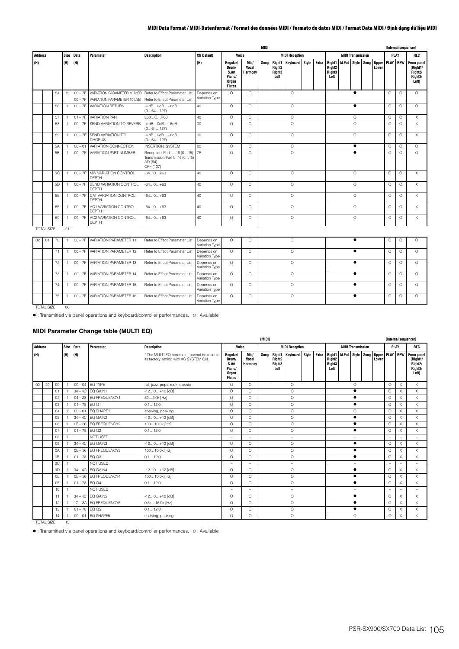|         |                   |                |                |           |                                                           |                                                                                    |                              | <b>MIDI</b>                                                    |                                 |                     |                                                            |                       |  |       |                                                            |       |                          |      |                                |          | <b>Internal sequencerl</b> |                                                                    |
|---------|-------------------|----------------|----------------|-----------|-----------------------------------------------------------|------------------------------------------------------------------------------------|------------------------------|----------------------------------------------------------------|---------------------------------|---------------------|------------------------------------------------------------|-----------------------|--|-------|------------------------------------------------------------|-------|--------------------------|------|--------------------------------|----------|----------------------------|--------------------------------------------------------------------|
| Address |                   |                | Size           | Data      | Parameter                                                 | <b>Description</b>                                                                 | <b>XG Default</b>            | Voice<br><b>MIDI Reception</b>                                 |                                 |                     |                                                            |                       |  |       |                                                            |       | <b>MIDI Transmission</b> |      |                                |          | PLAY                       | <b>REC</b>                                                         |
| (H)     |                   |                | (H)            | (H)       |                                                           |                                                                                    | (H)                          | Regular/<br>Drum/<br>S.Art<br>Piano/<br>Organ<br><b>Flutes</b> | Mic/<br>Vocal<br><b>Harmony</b> | Sona                | Right1<br>Right <sub>2</sub><br>Right <sub>3</sub><br>Left | <b>Keyboard</b> Style |  | Extra | Right1<br>Right <sub>2</sub><br>Right <sub>3</sub><br>Left | M.Pad | Style                    | Song | <b>Upper PLAY REW</b><br>Lower |          |                            | From panel<br>(Right1/<br>Right <sub>2</sub> /<br>Right3/<br>Left) |
|         |                   | 54             | $\overline{c}$ | $00 - 7F$ | VARIATION PARAMETER 10 MSB Refer to Effect Parameter List |                                                                                    | Depends on                   | $\circ$                                                        | $\circ$                         |                     |                                                            | $\Omega$              |  |       |                                                            |       | $\bullet$                |      |                                | $\circ$  | $\Omega$                   | $\circ$                                                            |
|         |                   |                |                | $00 - 7F$ | VARIATION PARAMETER 10 LSB                                | Refer to Effect Parameter List                                                     | Variation Type               |                                                                |                                 |                     |                                                            |                       |  |       |                                                            |       |                          |      |                                |          |                            |                                                                    |
|         |                   | 56             | $\overline{1}$ | $00 - 7F$ | <b>VARIATION RETURN</b>                                   | $-$ ∞dB0dB $+6$ dB<br>(064127)                                                     | 40                           | $\Omega$                                                       | $\Omega$                        |                     |                                                            | $\Omega$              |  |       |                                                            |       | $\bullet$                |      |                                | $\circ$  | $\Omega$                   | $\Omega$                                                           |
|         |                   | 57             | $\overline{1}$ | $01 - 7F$ | <b>VARIATION PAN</b>                                      | L63CR63                                                                            | 40                           | $\circ$                                                        | $\circ$                         |                     |                                                            | $\circ$               |  |       |                                                            |       | $\circ$                  |      |                                | $\circ$  | $\circ$                    | X                                                                  |
|         |                   | 58             | $\overline{1}$ | $00 - 7F$ | SEND VARIATION TO REVERB                                  | -∞dB0dB+6dB<br>(064127)                                                            | 00 <sub>0</sub>              | $\Omega$                                                       | $\Omega$                        |                     |                                                            | $\Omega$              |  |       |                                                            |       | $\Omega$                 |      |                                | $\Omega$ | $\Omega$                   | $\times$                                                           |
|         |                   | 59             | $\overline{1}$ | $00 - 7F$ | SEND VARIATION TO<br><b>CHORUS</b>                        | $-$ ∞dB0dB $+6$ dB<br>(064127)                                                     | 00                           | $\Omega$                                                       | $\circ$                         |                     |                                                            | $\circ$               |  |       |                                                            |       | $\circ$                  |      |                                | $\circ$  | $\circ$                    | $\times$                                                           |
|         |                   | <b>5A</b>      | $\overline{1}$ | $00 - 01$ | VARIATION CONNECTION                                      | <b>INSERTION, SYSTEM</b>                                                           | 00                           | $\circ$                                                        | $\circ$                         |                     |                                                            | $\circ$               |  |       |                                                            |       | $\bullet$                |      |                                | $\circ$  | $\circ$                    | $\circ$                                                            |
|         |                   | 5B             | $\overline{1}$ | $00 - 7F$ | VARIATION PART NUMBER                                     | Reception: Part116 (015) 7F<br>Transmission: Part116 (015)<br>AD (64)<br>OFF (127) |                              | $\Omega$                                                       | $\Omega$                        | $\Omega$<br>$\circ$ |                                                            |                       |  |       |                                                            |       | $\bullet$                |      |                                | $\Omega$ | $\Omega$                   | $\Omega$                                                           |
|         |                   | 5C             | $\overline{1}$ | $00 - 7F$ | MW VARIATION CONTROL<br><b>DEPTH</b>                      | $-640+63$                                                                          | 40                           | $\Omega$                                                       | $\circ$                         |                     |                                                            |                       |  |       |                                                            |       | $\circ$                  |      |                                | $\circ$  | $\Omega$                   | $\times$                                                           |
|         |                   | 5 <sub>D</sub> | $\overline{1}$ | $00 - 7F$ | <b>BEND VARIATION CONTROL</b><br><b>DEPTH</b>             | $-640+63$                                                                          | 40                           | $\Omega$                                                       | $\Omega$                        |                     |                                                            | $\Omega$              |  |       |                                                            |       | $\Omega$                 |      |                                | $\Omega$ | $\Omega$                   | $\times$                                                           |
|         |                   | 5E             | $\overline{1}$ | $00 - 7F$ | CAT VARIATION CONTROL<br><b>DEPTH</b>                     | $-640+63$                                                                          | 40                           | $\Omega$                                                       | $\Omega$                        |                     |                                                            | $\Omega$              |  |       |                                                            |       | $\Omega$                 |      |                                | $\circ$  | $\Omega$                   | $\times$                                                           |
|         |                   | 5F             | $\overline{1}$ | $00 - 7F$ | AC1 VARIATION CONTROL<br><b>DEPTH</b>                     | $-640+63$                                                                          | 40                           | $\Omega$                                                       | $\Omega$                        |                     |                                                            | $\Omega$              |  |       |                                                            |       | $\Omega$                 |      |                                | $\Omega$ | $\Omega$                   | $\times$                                                           |
|         |                   | 60             | $\overline{1}$ | $00 - 7F$ | AC2 VARIATION CONTROL<br><b>DEPTH</b>                     | $-640+63$                                                                          | 40                           | $\circ$                                                        | $\circ$                         |                     |                                                            | $\circ$               |  |       |                                                            |       | $\circ$                  |      |                                | $\circ$  | $\circ$                    | $\times$                                                           |
|         | <b>TOTAL SIZE</b> |                | 21             |           |                                                           |                                                                                    |                              |                                                                |                                 |                     |                                                            |                       |  |       |                                                            |       |                          |      |                                |          |                            |                                                                    |
| 02      | 01                | 70             | $\overline{1}$ | $00 - 7F$ | VARIATION PARAMETER 11                                    | Refer to Effect Parameter List                                                     | Depends on<br>Variation Type | $\Omega$                                                       | $\circ$                         |                     |                                                            | $\circ$               |  |       |                                                            |       | $\bullet$                |      |                                | $\circ$  | $\circ$                    | $\Omega$                                                           |
|         |                   | 71             | $\overline{1}$ | $00 - 7F$ | VARIATION PARAMETER 12                                    | Refer to Effect Parameter List                                                     | Depends on<br>Variation Type | $\Omega$                                                       | $\Omega$                        | $\circ$             |                                                            |                       |  |       |                                                            |       | $\bullet$                |      |                                | $\circ$  | $\Omega$                   | $\Omega$                                                           |
|         |                   | 72             | $\overline{1}$ | $00 - 7F$ | VARIATION PARAMETER 13                                    | Refer to Effect Parameter List                                                     | Depends on<br>Variation Type | $\Omega$                                                       | $\circ$                         |                     |                                                            | $\circ$               |  |       |                                                            |       | $\bullet$                |      |                                | $\circ$  | $\Omega$                   | $\Omega$                                                           |
|         |                   | 73             | $\overline{1}$ | $00 - 7F$ | VARIATION PARAMETER 14                                    | Refer to Effect Parameter List                                                     | Depends on<br>Variation Type | $\Omega$                                                       | $\circ$                         |                     |                                                            | $\circ$               |  |       |                                                            |       | $\bullet$                |      |                                | $\circ$  | $\circ$                    | $\circ$                                                            |
|         |                   | 74             | $\overline{1}$ | $00 - 7F$ | VARIATION PARAMETER 15                                    | Refer to Effect Parameter List                                                     | Depends on<br>Variation Type | $\Omega$                                                       | $\Omega$                        | $\circ$             |                                                            |                       |  |       |                                                            |       | $\bullet$                |      |                                | $\circ$  | $\Omega$                   | $\Omega$                                                           |
|         |                   | 75             | $\overline{1}$ | $00 - 7F$ | VARIATION PARAMETER 16                                    | Refer to Effect Parameter List                                                     | Depends on<br>Variation Type | $\Omega$                                                       | $\Omega$                        |                     |                                                            | $\Omega$              |  |       |                                                            |       | $\bullet$                |      |                                | $\circ$  | $\Omega$                   | $\Omega$                                                           |

TOTAL SIZE 06

: Transmitted via panel operations and keyboard/controller performances. O : Available

# **MIDI Parameter Change table (MULTI EQ)**

|                |                   |    |                |                 |                       |                                                                                       |                                                                |                          | [MIDI] |                                                  |                          |  |                                                                                   |                          |                          |                         | [Internal sequencer]     |          |                                                                    |
|----------------|-------------------|----|----------------|-----------------|-----------------------|---------------------------------------------------------------------------------------|----------------------------------------------------------------|--------------------------|--------|--------------------------------------------------|--------------------------|--|-----------------------------------------------------------------------------------|--------------------------|--------------------------|-------------------------|--------------------------|----------|--------------------------------------------------------------------|
| <b>Address</b> |                   |    |                | Size Data       | Parameter             | <b>Description</b>                                                                    | Voice                                                          |                          |        |                                                  | <b>MIDI Reception</b>    |  |                                                                                   | <b>MIDI Transmission</b> |                          |                         | <b>PLAY</b>              |          | <b>REC</b>                                                         |
| (H)            |                   |    | (H)            | (H)             |                       | * The MULTI EQ parameter cannot be reset to<br>its factory setting with XG SYSTEM ON. | Regular/<br>Drum/<br>S.Art<br>Piano/<br>Organ<br><b>Flutes</b> | Mic/<br>Vocal<br>Harmony | Song   | Right <sub>2</sub><br>Right <sub>3</sub><br>Left | Right1 Keyboard Style    |  | Extra Right1 M.Pad Style Song<br>Right <sub>2</sub><br>Right <sub>3</sub><br>Left |                          |                          | Upper PLAY REW<br>Lower |                          |          | From panel<br>(Right1/<br>Right <sub>2</sub> /<br>Right3/<br>Left) |
| 02             | 40                | 00 | 1              |                 | $00 - 04$ EQ TYPE     | flat, jazz, pops, rock, classic                                                       | $\circ$                                                        | $\Omega$                 |        |                                                  | $\circ$                  |  |                                                                                   |                          | O                        |                         | $\Omega$                 | $\times$ | $\times$                                                           |
|                |                   | 01 |                |                 | 34 - 4C EQ GAIN1      | $-120+12$ [dB]                                                                        | O                                                              | $\circ$                  |        |                                                  | $\circ$                  |  |                                                                                   |                          | ●                        |                         | $\circ$                  | X        | $\times$                                                           |
|                |                   | 02 |                |                 | 04 - 28 EQ FREQUENCY1 | 322.0k [Hz]                                                                           | $\Omega$                                                       | $\Omega$                 |        |                                                  | $\circ$                  |  |                                                                                   |                          | ●                        |                         | O                        | $\times$ | $\times$                                                           |
|                |                   | 03 |                | $01 - 78$ EQ Q1 |                       | 0.112.0                                                                               | $\circ$                                                        | $\circ$                  |        |                                                  | $\circ$                  |  |                                                                                   |                          | $\bullet$                |                         | $\circ$                  | X        | $\times$                                                           |
|                |                   | 04 |                |                 | 00-01 EQ SHAPE1       | shelving, peaking                                                                     | O                                                              | $\Omega$                 |        |                                                  | $\circ$                  |  |                                                                                   |                          | $\circ$                  |                         | O                        | $\times$ | $\times$                                                           |
|                |                   | 05 |                |                 | 34 - 4C EQ GAIN2      | $-120+12$ [dB]                                                                        | $\circ$                                                        | $\circ$                  |        |                                                  | $\circ$                  |  |                                                                                   |                          | $\bullet$                |                         | $\circ$                  | X        | $\times$                                                           |
|                |                   | 06 |                |                 | 0E-36 EQ FREQUENCY2   | 10010.0k [Hz]                                                                         | $\circ$                                                        | $\circ$                  |        |                                                  | $\circ$                  |  |                                                                                   |                          | $\bullet$                |                         | $\circ$                  | X        | $\times$                                                           |
|                |                   | 07 |                | $01 - 78$ EQ Q2 |                       | 0.112.0                                                                               | $\circ$                                                        | $\circ$                  |        |                                                  | $\circ$                  |  |                                                                                   |                          | $\bullet$                |                         | $\circ$                  | $\times$ | $\times$                                                           |
|                |                   | 08 |                |                 | NOT USED              |                                                                                       | ÷,                                                             | $\sim$                   |        |                                                  | $\sim$                   |  |                                                                                   |                          | $\overline{\phantom{0}}$ |                         | $\overline{\phantom{a}}$ |          | ۰                                                                  |
|                |                   | 09 | 1              |                 | $34 - 4C$ EQ GAIN3    | $-120+12$ [dB]                                                                        | O                                                              | $\circ$                  |        |                                                  | $\circ$                  |  |                                                                                   |                          |                          |                         | $\circ$                  | X        | $\times$                                                           |
|                |                   | 0A |                |                 | 0E-36 EQ FREQUENCY3   | 10010.0k [Hz]                                                                         | $\circ$                                                        | $\circ$                  |        |                                                  | $\circ$                  |  |                                                                                   |                          | $\bullet$                |                         | $\circ$                  | X        | $\times$                                                           |
|                |                   | 0B |                | $01 - 78$ EQ Q3 |                       | 0.112.0                                                                               | $\circ$                                                        | $\Omega$                 |        |                                                  | $\circ$                  |  |                                                                                   |                          | $\bullet$                |                         | $\circ$                  | $\times$ | $\times$                                                           |
|                |                   | 0C |                |                 | NOT USED              |                                                                                       | ۰                                                              | $\sim$                   |        |                                                  | $\overline{\phantom{a}}$ |  |                                                                                   |                          | $\overline{\phantom{0}}$ |                         | $\qquad \qquad -$        |          | -                                                                  |
|                |                   | 0D |                |                 | 34 - 4C EQ GAIN4      | $-120+12$ [dB]                                                                        | O                                                              | $\circ$                  |        |                                                  | $\circ$                  |  |                                                                                   |                          | ▲                        |                         | $\circ$                  | $\times$ | $\times$                                                           |
|                |                   | 0E |                |                 | 0E-36 EQ FREQUENCY4   | 10010.0k [Hz]                                                                         | $\circ$                                                        | $\Omega$                 |        |                                                  | $\circ$                  |  |                                                                                   |                          | $\bullet$                |                         | $\circ$                  | $\times$ | $\times$                                                           |
|                |                   | 0F |                | $01 - 78$ EQ Q4 |                       | 0.112.0                                                                               | $\circ$                                                        | $\circ$                  |        |                                                  | $\circ$                  |  |                                                                                   |                          | $\bullet$                |                         | $\circ$                  | X        | $\times$                                                           |
|                |                   | 10 |                |                 | NOT USED              |                                                                                       | ÷                                                              | $\sim$                   |        |                                                  | $\sim$                   |  |                                                                                   |                          | ٠                        |                         | $\sim$                   |          | $\equiv$                                                           |
|                |                   | 11 |                |                 | 34 - 4C EQ GAIN5      | $-120+12$ [dB]                                                                        | $\circ$                                                        | $\circ$                  |        |                                                  | $\circ$                  |  |                                                                                   |                          |                          |                         | $\circ$                  | X        | $\times$                                                           |
|                |                   | 12 |                |                 | 1C-3A EQ FREQUENCY5   | 0.5k16.0k [Hz]                                                                        | $\circ$                                                        | $\circ$                  |        |                                                  | $\circ$                  |  |                                                                                   |                          |                          |                         | $\circ$                  | $\times$ | $\times$                                                           |
|                |                   | 13 | $\overline{1}$ | $01 - 78$ EQ Q5 |                       | 0.112.0                                                                               | O                                                              | $\Omega$                 |        |                                                  | $\circ$                  |  |                                                                                   |                          |                          |                         | $\Omega$                 | $\times$ | $\times$                                                           |
|                |                   | 14 |                |                 | $00 - 01$ EQ SHAPE5   | shelving, peaking                                                                     | $\circ$                                                        | $\circ$                  |        |                                                  | $\circ$                  |  |                                                                                   |                          | $\circ$                  |                         | $\circ$                  | $\times$ | $\times$                                                           |
|                | <b>TOTAL SIZE</b> |    | 15             |                 |                       |                                                                                       |                                                                |                          |        |                                                  |                          |  |                                                                                   |                          |                          |                         |                          |          |                                                                    |

 $\bullet$ : Transmitted via panel operations and keyboard/controller performances.  $\circ$ : Available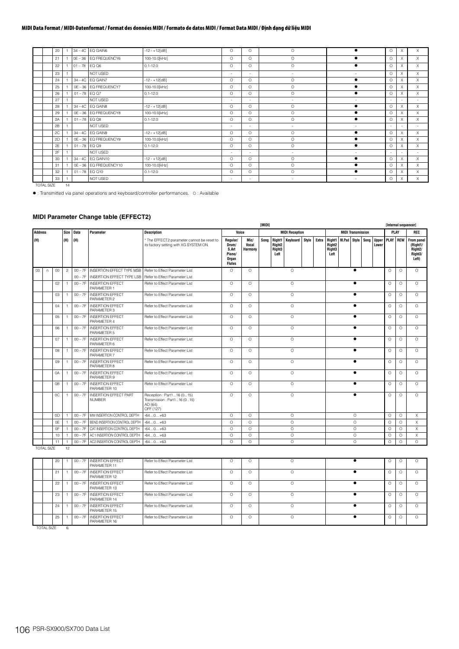|  | 20 |                 | 34 - 4C EQ GAIN6     | $-12 - +12[dB]$ | O                        | O        | O                        |                          | $\circ$  |   | X        |
|--|----|-----------------|----------------------|-----------------|--------------------------|----------|--------------------------|--------------------------|----------|---|----------|
|  | 21 |                 | 0E-36 EQ FREQUENCY6  | 100-10.0[kHz]   | $\Omega$                 | $\circ$  | $\circ$                  |                          | $\circ$  | X | X        |
|  | 22 | $01 - 78$ EQ Q6 |                      | $0.1 - 12.0$    | $\Omega$                 | $\Omega$ | $\circ$                  |                          | $\Omega$ | X | $\times$ |
|  | 23 |                 | NOT USED             |                 |                          | $\sim$   | ٠                        | $\sim$                   | $\circ$  | X | X        |
|  | 24 |                 | 34 - 4C EQ GAIN7     | $-12 - +12[dB]$ | $\Omega$                 | $\Omega$ | $\circ$                  |                          | $\circ$  | X | X        |
|  | 25 |                 | 0E-36 EQ FREQUENCY7  | 100-10.0[kHz]   | $\Omega$                 | $\Omega$ | $\circ$                  |                          | $\circ$  | X | X        |
|  | 26 | $01 - 78$ EQ Q7 |                      | $0.1 - 12.0$    | $\Omega$                 | $\circ$  | $\circ$                  | ٠                        | $\circ$  | X | X        |
|  | 27 |                 | NOT USED             |                 | $\overline{\phantom{a}}$ | $\sim$   | $\overline{\phantom{a}}$ | $\sim$                   | $\sim$   |   | $\sim$   |
|  | 28 |                 | 34-4C EQ GAIN8       | $-12 - +12[dB]$ | $\Omega$                 | $\circ$  | $\circ$                  | ٠                        | $\circ$  | X | X        |
|  | 29 |                 | 0E-36 EQ FREQUENCY8  | 100-10.0[kHz]   | O                        | $\circ$  | О                        |                          | $\circ$  | X | X        |
|  | 2A | $01 - 78$ EQ Q8 |                      | $0.1 - 12.0$    | $\Omega$                 | $\circ$  | $\circ$                  | ٠                        | $\circ$  | X | X        |
|  | 2B |                 | NOT USED             |                 | $\overline{\phantom{a}}$ | $\sim$   | $\overline{\phantom{a}}$ | $\overline{\phantom{a}}$ | ÷        |   | $\sim$   |
|  | 2C |                 | 34-4C EQ GAIN9       | $-12 - +12[dB]$ | $\Omega$                 | $\circ$  | $\circ$                  | ٠                        | $\circ$  | X | X        |
|  | 2D |                 | 0E-36 EQ FREQUENCY9  | 100-10.0[kHz]   | $\Omega$                 | $\Omega$ | $\circ$                  |                          | $\circ$  | X | X        |
|  | 2E | $01 - 78$ EQ Q9 |                      | $0.1 - 12.0$    | $\circ$                  | $\circ$  | O                        |                          | $\circ$  | X | X        |
|  | 2F |                 | NOT USED             |                 | $\sim$                   | $\sim$   | $\overline{\phantom{a}}$ | ٠                        |          |   | $\sim$   |
|  | 30 |                 | 34-4C EQ GAIN10      | $-12 - +12[dB]$ | $\Omega$                 | $\Omega$ | $\circ$                  |                          | $\circ$  | X | X        |
|  | 31 |                 | 0E-36 EQ FREQUENCY10 | 100-10.0[kHz]   | $\Omega$                 | $\circ$  | $\circ$                  | ٠                        | $\circ$  | X | X        |
|  | 32 |                 | $01 - 78$ EQ Q10     | $0.1 - 12.0$    | $\Omega$                 | $\Omega$ | $\circ$                  |                          | $\circ$  | X | $\times$ |
|  | 33 |                 | NOT USED             |                 | $\overline{\phantom{a}}$ | $\sim$   | $\overline{\phantom{a}}$ |                          | $\circ$  | X | X        |

TOTAL SIZE 14

: Transmitted via panel operations and keyboard/controller performances. O : Available

# **MIDI Parameter Change table (EFFECT2)**

|                |                   |    |                |           |                                               |                                                                                      | IMIDII                                                         |                                 |                                                           |                                      |          |  |       |                                                                       |                          |                       | [Internal sequencer] |          |                                                                    |
|----------------|-------------------|----|----------------|-----------|-----------------------------------------------|--------------------------------------------------------------------------------------|----------------------------------------------------------------|---------------------------------|-----------------------------------------------------------|--------------------------------------|----------|--|-------|-----------------------------------------------------------------------|--------------------------|-----------------------|----------------------|----------|--------------------------------------------------------------------|
| <b>Address</b> |                   |    |                | Size Data | Parameter                                     | <b>Description</b>                                                                   | Voice                                                          |                                 | <b>MIDI Reception</b><br>Right1<br>Keyboard Style<br>Sona |                                      |          |  |       |                                                                       | <b>MIDI Transmission</b> |                       |                      | PLAY     | REC                                                                |
| (H)            |                   |    | (H)            | (H)       |                                               | * The EFFECT2 parameter cannot be reset to<br>its factory setting with XG SYSTEM ON. | Regular/<br>Drum/<br>S.Art<br>Piano/<br>Organ<br><b>Flutes</b> | Mic/<br>Vocal<br><b>Harmony</b> |                                                           | Right <sub>2</sub><br>Right3<br>Left |          |  | Extra | Right1   M.Pad   Style   Song<br>Right <sub>2</sub><br>Right3<br>Left |                          | <b>Upper</b><br>Lower | PLAY REW             |          | From panel<br>(Right1/<br>Right <sub>2</sub> /<br>Right3/<br>Left) |
| 03             | $\sqrt{2}$        | 00 | $\overline{2}$ |           | 00 - 7F INSERTION EFFECT TYPE MSB             | Refer to Effect Parameter List                                                       | $\circ$                                                        | $\circ$                         |                                                           |                                      | $\circ$  |  |       |                                                                       | $\bullet$                |                       | $\circ$              | $\circ$  | $\circ$                                                            |
|                |                   |    |                | $00 - 7F$ | <b>INSERTION EFFECT TYPE LSB</b>              | Refer to Effect Parameter List                                                       |                                                                |                                 |                                                           |                                      |          |  |       |                                                                       |                          |                       |                      |          |                                                                    |
|                |                   | 02 |                | $00 - 7F$ | <b>INSERTION EFFECT</b><br>PARAMETER 1        | Refer to Effect Parameter List                                                       | $\circ$                                                        | $\circ$                         |                                                           |                                      | $\circ$  |  |       |                                                                       | $\bullet$                |                       | $\circ$              | O        | $\Omega$                                                           |
|                |                   | 03 | $\overline{1}$ | $00 - 7F$ | <b>INSERTION EFFECT</b><br>PARAMETER 2        | Refer to Effect Parameter List                                                       | $\circ$                                                        | $\circ$                         |                                                           |                                      | $\circ$  |  |       |                                                                       | $\bullet$                |                       | $\circ$              | $\circ$  | $\circ$                                                            |
|                |                   | 04 | $\overline{1}$ | $00 - 7F$ | <b>INSERTION EFFECT</b><br>PARAMETER 3        | Refer to Effect Parameter List                                                       | $\Omega$                                                       | $\circ$                         |                                                           |                                      | $\circ$  |  |       |                                                                       | $\bullet$                |                       | $\circ$              | $\circ$  | $\Omega$                                                           |
|                |                   | 05 | $\overline{1}$ | $00 - 7F$ | <b>INSERTION EFFECT</b><br>PARAMETER 4        | Refer to Fffect Parameter List                                                       | $\Omega$                                                       | $\Omega$                        |                                                           |                                      | $\circ$  |  |       |                                                                       | $\bullet$                |                       | $\Omega$             | $\Omega$ | $\Omega$                                                           |
|                |                   | 06 | $\overline{1}$ | $00 - 7F$ | <b>INSERTION EFFECT</b><br>PARAMETER 5        | Refer to Effect Parameter List                                                       | $\circ$                                                        | $\circ$                         |                                                           |                                      | $\circ$  |  |       |                                                                       | $\bullet$                |                       | $\circ$              | $\Omega$ | $\Omega$                                                           |
|                |                   | 07 | $\overline{1}$ | $00 - 7F$ | <b>INSERTION EFFECT</b><br>PARAMETER 6        | Refer to Effect Parameter List                                                       | $\Omega$                                                       | $\Omega$                        |                                                           |                                      | $\Omega$ |  |       |                                                                       | $\bullet$                |                       | $\Omega$             | $\Omega$ | $\Omega$                                                           |
|                |                   | 08 | $\overline{1}$ | $00 - 7F$ | <b>INSERTION EFFECT</b><br>PARAMETER 7        | Refer to Effect Parameter List                                                       | $\circ$                                                        | $\circ$                         |                                                           |                                      | $\circ$  |  |       |                                                                       | $\bullet$                |                       | $\circ$              | $\circ$  | $\circ$                                                            |
|                |                   | 09 | $\overline{1}$ | $00 - 7F$ | <b>INSERTION EFFECT</b><br>PARAMETER 8        | Refer to Effect Parameter List                                                       | $\Omega$                                                       | $\Omega$                        |                                                           |                                      | $\Omega$ |  |       |                                                                       | $\bullet$                |                       | $\Omega$             | $\Omega$ | $\Omega$                                                           |
|                |                   | 0A | $\overline{1}$ | $00 - 7F$ | <b>INSERTION EFFECT</b><br>PARAMETER 9        | Refer to Effect Parameter List                                                       | $\Omega$                                                       | $\circ$                         |                                                           |                                      | $\circ$  |  |       |                                                                       | $\bullet$                |                       | $\Omega$             | $\circ$  | $\circ$                                                            |
|                |                   | 0B | $\overline{1}$ | $00 - 7F$ | <b>INSERTION EFFECT</b><br>PARAMETER 10       | Refer to Effect Parameter List                                                       | $\Omega$                                                       | $\circ$                         |                                                           |                                      | $\circ$  |  |       |                                                                       | $\bullet$                |                       | $\circ$              | $\circ$  | $\Omega$                                                           |
|                |                   | 0C | $\overline{1}$ | $00 - 7F$ | <b>INSERTION EFFECT PART</b><br><b>NUMBER</b> | Reception: Part116 (015)<br>Transmission: Part116 (015)<br>AD (64)<br>OFF (127)      | $\circ$                                                        | $\circ$                         |                                                           |                                      | $\circ$  |  |       |                                                                       | $\bullet$                |                       | $\circ$              | O        | $\circ$                                                            |
|                |                   | 0D | $\overline{1}$ | $00 - 7F$ | MW INSERTION CONTROL DEPTH                    | $-640+63$                                                                            | $\Omega$                                                       | $\Omega$                        |                                                           |                                      | $\circ$  |  |       |                                                                       | $\circ$                  |                       | $\circ$              | $\circ$  | X                                                                  |
|                |                   | 0E |                | $00 - 7F$ | BEND INSERTION CONTROL DEPTH                  | $-640+63$                                                                            | $\circ$                                                        | $\circ$                         |                                                           |                                      | $\circ$  |  |       |                                                                       | $\circ$                  |                       | $\circ$              | $\Omega$ | X                                                                  |
|                |                   | 0F | $\mathbf{1}$   | $00 - 7F$ | CAT INSERTION CONTROL DEPTH                   | $-640+63$                                                                            | $\circ$                                                        | $\circ$                         |                                                           |                                      | $\circ$  |  |       |                                                                       | $\circ$                  |                       | $\circ$              | $\circ$  | $\times$                                                           |
|                |                   | 10 | $\mathbf{1}$   | $00 - 7F$ | AC1 INSERTION CONTROL DEPTH                   | $-640+63$                                                                            | $\Omega$                                                       | $\circ$                         |                                                           |                                      | $\circ$  |  |       |                                                                       | $\circ$                  |                       | $\circ$              | $\circ$  | X                                                                  |
|                |                   | 11 | 1              | $00 - 7F$ | AC2 INSERTION CONTROL DEPTH                   | $-640+63$                                                                            | $\Omega$                                                       | $\Omega$                        |                                                           |                                      | $\Omega$ |  |       |                                                                       | $\circ$                  |                       | $\circ$              | $\Omega$ | $\Omega$                                                           |
|                | <b>TOTAL SIZE</b> |    | 12             |           |                                               |                                                                                      |                                                                |                                 |                                                           |                                      |          |  |       |                                                                       |                          |                       |                      |          |                                                                    |
|                |                   | 20 | $\overline{1}$ | $00 - 7F$ | <b>INSERTION EFFECT</b><br>PARAMETER 11       | Refer to Fffect Parameter List                                                       | $\circ$                                                        | $\circ$                         |                                                           |                                      | $\Omega$ |  |       |                                                                       | $\bullet$                |                       | $\circ$              | O        | $\Omega$                                                           |
|                |                   | 21 | $\overline{1}$ | $00 - 7F$ | <b>INSERTION EFFECT</b><br>PARAMETER 12       | Refer to Effect Parameter List                                                       | $\circ$                                                        | $\circ$                         |                                                           |                                      | $\circ$  |  |       |                                                                       | $\bullet$                |                       | $\circ$              | O        | $\circ$                                                            |
|                |                   | 22 | $\overline{1}$ | $00 - 7F$ | <b>INSERTION EFFECT</b><br>PARAMETER 13       | Refer to Effect Parameter List                                                       | $\Omega$                                                       | $\Omega$                        |                                                           |                                      | $\Omega$ |  |       |                                                                       | $\bullet$                |                       | $\Omega$             | $\Omega$ | $\Omega$                                                           |

Refer to Effect Parameter List O O O OO O

Refer to Effect Parameter List O O O OO O

Refer to Effect Parameter List O O O OO O

|            |  | 00 - 7F LINSERTION EFFECT<br>PARAMETER 16 |
|------------|--|-------------------------------------------|
| TOTAL SIZE |  |                                           |

23 | 1 | 00 – 7F | INSERTION EFFECT<br>PARAMETER 14

24 | 1 | 00 – 7F |INSERTION EFFECT<br>PARAMETER 15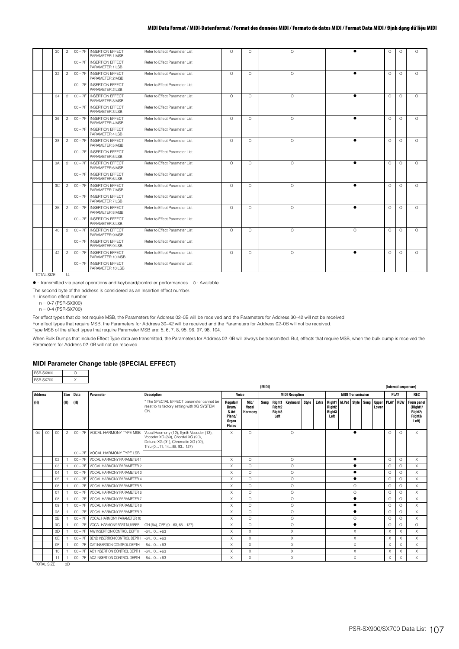| 30 | $\overline{c}$ | $00 - 7F$ | <b>INSERTION FFFECT</b><br>PARAMETER 1 MSB  | Refer to Fffect Parameter List | $\Omega$ | $\Omega$ | $\Omega$ |           | $\Omega$ | $\Omega$ | $\Omega$ |
|----|----------------|-----------|---------------------------------------------|--------------------------------|----------|----------|----------|-----------|----------|----------|----------|
|    |                | $00 - 7F$ | <b>INSERTION EFFECT</b><br>PARAMETER 1 LSB  | Refer to Effect Parameter List |          |          |          |           |          |          |          |
| 32 | $\overline{c}$ | $00 - 7F$ | <b>INSERTION EFFECT</b><br>PARAMETER 2 MSB  | Refer to Effect Parameter List | $\Omega$ | $\Omega$ | $\Omega$ | ▴         | $\Omega$ | $\Omega$ | $\Omega$ |
|    |                | $00 - 7F$ | <b>INSERTION EFFECT</b><br>PARAMETER 2 LSB  | Refer to Effect Parameter List |          |          |          |           |          |          |          |
| 34 | $\overline{2}$ | $00 - 7F$ | <b>INSERTION EFFECT</b><br>PARAMETER 3 MSB  | Refer to Effect Parameter List | $\circ$  | $\circ$  | $\circ$  |           | $\circ$  | $\circ$  | $\circ$  |
|    |                | $00 - 7F$ | <b>INSERTION EFFECT</b><br>PARAMETER 3 I SB | Refer to Effect Parameter List |          |          |          |           |          |          |          |
| 36 | $\overline{c}$ | $00 - 7F$ | <b>INSERTION FEFECT</b><br>PARAMETER 4 MSB  | Refer to Effect Parameter List | $\Omega$ | $\Omega$ | $\Omega$ |           | $\Omega$ | $\Omega$ | $\Omega$ |
|    |                | $00 - 7F$ | <b>INSERTION EFFECT</b><br>PARAMETER 4 LSB  | Refer to Effect Parameter List |          |          |          |           |          |          |          |
| 38 | $\overline{c}$ | $00 - 7F$ | <b>INSERTION EFFECT</b><br>PARAMETER 5 MSB  | Refer to Effect Parameter List | $\Omega$ | $\Omega$ | $\circ$  |           | $\Omega$ | $\Omega$ | $\Omega$ |
|    |                | $00 - 7F$ | <b>INSERTION EFFECT</b><br>PARAMETER 5 LSB  | Refer to Effect Parameter List |          |          |          |           |          |          |          |
| 3A | $\overline{c}$ | $00 - 7F$ | <b>INSERTION FFFECT</b><br>PARAMETER 6 MSB  | Refer to Effect Parameter List | $\Omega$ | $\Omega$ | $\Omega$ | $\bullet$ | $\Omega$ | $\Omega$ | $\Omega$ |
|    |                | $00 - 7F$ | <b>INSERTION EFFECT</b><br>PARAMETER 6 LSB  | Refer to Effect Parameter List |          |          |          |           |          |          |          |
| 3C | $\overline{c}$ | $00 - 7F$ | <b>INSERTION EFFECT</b><br>PARAMETER 7 MSB  | Refer to Effect Parameter List | $\Omega$ | $\circ$  | $\circ$  |           | $\Omega$ | $\Omega$ | $\Omega$ |
|    |                | $00 - 7F$ | <b>INSERTION EFFECT</b><br>PARAMETER 7 I SB | Refer to Effect Parameter List |          |          |          |           |          |          |          |
| 3E | $\overline{c}$ | $00 - 7F$ | <b>INSERTION EFFECT</b><br>PARAMETER 8 MSB  | Refer to Effect Parameter List | $\Omega$ | $\circ$  | $\circ$  |           | $\Omega$ | $\Omega$ | $\Omega$ |
|    |                | $00 - 7F$ | <b>INSERTION EFFECT</b><br>PARAMETER 8 LSB  | Refer to Effect Parameter List |          |          |          |           |          |          |          |
| 40 | $\overline{c}$ | $00 - 7F$ | <b>INSERTION EFFECT</b><br>PARAMETER 9 MSB  | Refer to Effect Parameter List | $\Omega$ | $\Omega$ | $\Omega$ | $\Omega$  | $\Omega$ | $\Omega$ | $\Omega$ |
|    |                | $00 - 7F$ | <b>INSERTION EFFECT</b><br>PARAMETER 9 LSB  | Refer to Effect Parameter List |          |          |          |           |          |          |          |
| 42 | $\overline{c}$ | $00 - 7F$ | <b>INSERTION EFFECT</b><br>PARAMETER 10 MSB | Refer to Effect Parameter List | $\Omega$ | $\circ$  | $\circ$  |           | $\Omega$ | $\Omega$ | $\Omega$ |
|    |                | $00 - 7F$ | <b>INSERTION EFFECT</b><br>PARAMETER 10 LSB | Refer to Effect Parameter List |          |          |          |           |          |          |          |

TOTAL SIZE 14

: Transmitted via panel operations and keyboard/controller performances. O : Available

The second byte of the address is considered as an Insertion effect number.

n : insertion effect number

n = 0-7 (PSR-SX900)  $n = 0-4$  (PSR-SX700)

For effect types that do not require MSB, the Parameters for Address 02–0B will be received and the Parameters for Address 30–42 will not be received.

For effect types that require MSB, the Parameters for Address 30–42 will be received and the Parameters for Address 02–0B will not be received.

Type MSB of the effect types that require Parameter MSB are: 5, 6, 7, 8, 95, 96, 97, 98, 104.

When Bulk Dumps that include Effect Type data are transmitted, the Parameters for Address 02-0B will always be transmitted. But, effects that require MSB, when the bulk dump is received the Parameters for Address 02–0B will not be received.

### **MIDI Parameter Change table (SPECIAL EFFECT)**

| PSB-SX900 |  |
|-----------|--|
| PSR-SX700 |  |

|                |                 |                |                |           |                                     |                                                                                                                                               | <b>TMIDII</b>                                                  |                                 |                       |                                      |                       |           |   |                                                                                   |  | [Internal sequencer] |          |          |          |          |                                                                                   |
|----------------|-----------------|----------------|----------------|-----------|-------------------------------------|-----------------------------------------------------------------------------------------------------------------------------------------------|----------------------------------------------------------------|---------------------------------|-----------------------|--------------------------------------|-----------------------|-----------|---|-----------------------------------------------------------------------------------|--|----------------------|----------|----------|----------|----------|-----------------------------------------------------------------------------------|
| <b>Address</b> |                 |                | Size           | Data      | Parameter                           | <b>Description</b>                                                                                                                            | Voice                                                          |                                 | <b>MIDI Reception</b> |                                      |                       |           |   | <b>MIDI Transmission</b>                                                          |  |                      |          |          | PLAY     |          | REC                                                                               |
| (H)            |                 |                | (H)            | (H)       |                                     | * The SPECIAL EFFECT parameter cannot be<br>reset to its factory setting with XG SYSTEM<br>ON.                                                | Regular/<br>Drum/<br>S.Art<br>Piano/<br>Organ<br><b>Flutes</b> | Mic/<br>Vocal<br><b>Harmony</b> | Song                  | Right <sub>2</sub><br>Right3<br>Left | Right1 Keyboard Style |           |   | Extra Right1 M.Pad Style Song<br>Right <sub>2</sub><br>Right <sub>3</sub><br>Left |  |                      |          | Lower    |          |          | Upper PLAY REW From panel<br>(Right1/<br>Right <sub>2</sub> /<br>Right3/<br>Left) |
| 04             | 00 <sup>0</sup> | 00             | $\overline{c}$ | $00 - 7F$ | <b>VOCAL HARMONY TYPE MSB</b>       | Vocal Haomony (12), Synth Vocoder (13),<br>Vocoder XG (89), Chordal XG (90),<br>Detune XG (91), Chromatic XG (92),<br>Thru (011, 1488, 93127) | X                                                              | $\Omega$                        | $\circ$               |                                      |                       |           |   |                                                                                   |  |                      |          | $\Omega$ | $\Omega$ | $\times$ |                                                                                   |
|                |                 |                |                |           | 00 - 7F VOCAL HARMONY TYPE LSB      |                                                                                                                                               |                                                                |                                 |                       |                                      |                       |           |   |                                                                                   |  |                      |          |          |          |          |                                                                                   |
|                |                 | 02             |                | $00 - 7F$ | VOCAL HARMONY PARAMETER 1           |                                                                                                                                               | $\times$                                                       | $\Omega$                        | $\circ$               |                                      |                       |           | ٠ |                                                                                   |  |                      |          | $\Omega$ | $\Omega$ | $\times$ |                                                                                   |
|                |                 | 03             |                | $00 - 7F$ | VOCAL HARMONY PARAMETER 2           |                                                                                                                                               | X                                                              | $\Omega$                        |                       | $\circ$                              |                       |           |   |                                                                                   |  |                      |          | $\Omega$ | $\cap$   | X        |                                                                                   |
|                |                 | 04             |                | $00 - 7F$ | VOCAL HARMONY PARAMETER 3           |                                                                                                                                               | X                                                              | O                               |                       | $\circ$                              |                       |           |   |                                                                                   |  |                      |          | $\Omega$ | $\cap$   | X        |                                                                                   |
|                |                 | 05             |                | $00 - 7F$ | VOCAL HARMONY PARAMETER 4           |                                                                                                                                               | X                                                              | $\Omega$                        |                       |                                      | $\circ$               |           |   |                                                                                   |  |                      |          |          | $\Omega$ | $\Omega$ | $\times$                                                                          |
|                |                 | 06             |                | $00 - 7F$ | VOCAL HARMONY PARAMETER 5           |                                                                                                                                               | X                                                              | O                               |                       |                                      | $\circ$               |           |   |                                                                                   |  | $\Omega$             |          |          | $\circ$  | $\Omega$ | X                                                                                 |
|                |                 | 07             |                | $00 - 7F$ | VOCAL HARMONY PARAMETER 6           |                                                                                                                                               | X                                                              | $\Omega$                        |                       |                                      | $\circ$               |           |   |                                                                                   |  | $\circ$              |          |          | $\Omega$ | $\Omega$ | X                                                                                 |
|                |                 | 08             |                | $00 - 7F$ | VOCAL HARMONY PARAMETER 7           |                                                                                                                                               | X                                                              | $\Omega$                        |                       |                                      | $\circ$               |           |   |                                                                                   |  |                      |          |          | $\Omega$ | $\cap$   | X                                                                                 |
|                |                 | 09             |                | $00 - 7F$ | VOCAL HARMONY PARAMETER 8           |                                                                                                                                               | X                                                              | $\Omega$                        |                       |                                      | $\circ$               |           |   |                                                                                   |  |                      |          |          | $\Omega$ | $\Omega$ | X                                                                                 |
|                |                 | 0A             |                | $00 - 7F$ | VOCAL HARMONY PARAMETER 9           |                                                                                                                                               | X                                                              | $\Omega$                        | $\circ$               |                                      |                       | $\bullet$ |   |                                                                                   |  |                      | $\Omega$ | $\cap$   | X        |          |                                                                                   |
|                |                 | 0 <sub>B</sub> |                | $00 - 7F$ | VOCAL HARMONY PARAMETER 10          |                                                                                                                                               | X                                                              | $\Omega$                        |                       |                                      | $\circ$               |           |   |                                                                                   |  | $\Omega$             |          |          | $\Omega$ | $\cap$   | X                                                                                 |
|                |                 | 0C             |                | $00 - 7F$ | VOCAL HARMONY PART NUMBER           | ON (64), OFF (063, 65127)                                                                                                                     | X                                                              | O                               | $\circ$               |                                      |                       |           |   |                                                                                   |  | $\Omega$             | $\Omega$ | $\circ$  |          |          |                                                                                   |
|                |                 | 0 <sub>D</sub> |                |           | 00 - 7F MW INSERTION CONTROL DEPTH  | $-640+63$                                                                                                                                     | X                                                              | X                               |                       |                                      | X                     |           |   |                                                                                   |  | X                    |          |          | $\times$ |          | X                                                                                 |
|                |                 | 0E             |                | $00 - 7F$ | BEND INSERTION CONTROL DEPTH        | $-640+63$                                                                                                                                     | X                                                              | X                               |                       |                                      | X                     |           |   |                                                                                   |  | X                    |          |          | X        | X        | X                                                                                 |
|                |                 | 0F             |                | $00 - 7F$ | CAT INSERTION CONTROL DEPTH         | $-640+63$                                                                                                                                     | X                                                              | $\times$                        |                       |                                      | X                     |           |   |                                                                                   |  | X                    |          |          | $\times$ | X        | X                                                                                 |
|                |                 | 10             |                | $00 - 7F$ | AC1 INSERTION CONTROL DEPTH         | $-640+63$                                                                                                                                     | X                                                              | X                               |                       |                                      | X                     |           |   |                                                                                   |  | X                    |          |          | X        | X        | X                                                                                 |
|                |                 | 11             |                |           | 00 - 7F AC2 INSERTION CONTROL DEPTH | $-640+63$                                                                                                                                     | X                                                              | $\times$                        |                       |                                      | X                     |           |   |                                                                                   |  | X                    |          |          | X        | X        | $\times$                                                                          |

TOTAL SIZE 0D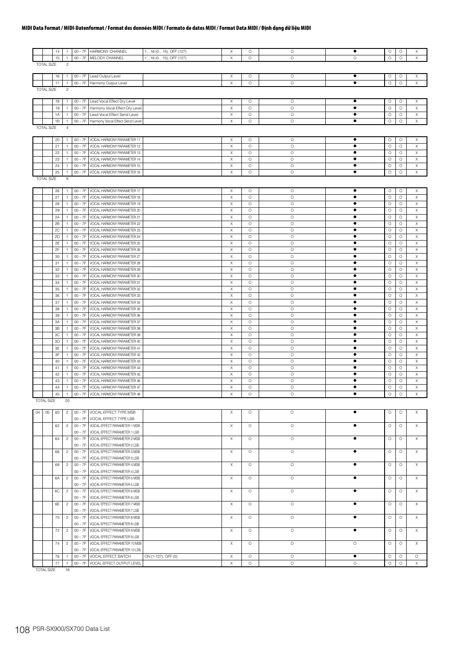|                                     |                   | 14       | -1                 | $00 - 7F$              | <b>HARMONY CHANNEL</b>                                           | 116 (015), OFF (127) | Х      | O            | O                  | ٠         | O            | 0            | X                          |
|-------------------------------------|-------------------|----------|--------------------|------------------------|------------------------------------------------------------------|----------------------|--------|--------------|--------------------|-----------|--------------|--------------|----------------------------|
|                                     |                   | 15       | 1                  | $00 - 7F$              | MELODY CHANNEL                                                   | 116 (015), OFF (127) | Χ      | $\circ$      | $\circ$            | O         | $\circ$      | $\circ$      | Χ                          |
| <b>TOTAL SIZE</b><br>$\overline{c}$ |                   |          |                    |                        |                                                                  |                      |        |              |                    |           |              |              |                            |
|                                     |                   |          | $\mathbf{1}$       | $00 - 7F$              | Lead Output Level                                                |                      | X      | 0            | O                  | ٠         | Ο            |              |                            |
|                                     |                   | 16<br>17 | $\mathbf{1}$       | $00 - 7F$              | Harmony Output Level                                             |                      | X      | $\circ$      | $\circ$            | $\bullet$ | $\circ$      | O<br>$\circ$ | Х<br>X                     |
|                                     | <b>TOTAL SIZE</b> |          | $\overline{c}$     |                        |                                                                  |                      |        |              |                    |           |              |              |                            |
|                                     |                   |          |                    |                        |                                                                  |                      |        |              |                    |           |              |              |                            |
|                                     |                   | 18       | -1                 | $00 - 7F$              | Lead Vocal Effect Dry Level                                      |                      | X      | O            | $\circ$            | ٠         | $\circ$      | O            | X                          |
|                                     |                   | 19       | $\overline{1}$     | $00 - 7F$              | Harmony Vocal Effect Dry Level                                   |                      | X      | O            | $\circ$            | $\bullet$ | $\circ$      | O            | X                          |
|                                     |                   | 1A       | $\overline{1}$     | $00 - 7F$              | Lead Vocal Effect Send Level                                     |                      | X      | O            | $\circ$            | ٠         | O            | О            | X                          |
|                                     |                   | 1B       | -1                 | $00 - 7F$              | Harmony Vocal Effect Send Level                                  |                      | Χ      | $\circ$      | $\circ$            | ٠         | $\circ$      | О            | X                          |
|                                     | <b>TOTAL SIZE</b> |          | $\overline{4}$     |                        |                                                                  |                      |        |              |                    |           |              |              |                            |
|                                     |                   |          |                    |                        |                                                                  |                      |        |              |                    |           |              |              |                            |
|                                     |                   | 20       | 1                  | $00 - 7F$              | VOCAL HARMONY PARAMETER 11                                       |                      | Χ      | O            | $\circ$            | ٠         | $\circ$      | O            | Х                          |
|                                     |                   | 21       | 1                  | $00 - 7F$              | VOCAL HARMONY PARAMETER 12                                       |                      | X      | $\circ$      | $\circ$            | ٠         | $\circ$      | $\circ$      | Χ                          |
|                                     |                   | 22       | $\overline{1}$     | $00 - 7F$              | VOCAL HARMONY PARAMETER 13                                       |                      | Χ      | O            | $\circ$            | $\bullet$ | $\circ$      | О            | Χ                          |
|                                     |                   | 23       | $\mathbf{1}$       | $00 - 7F$              | VOCAL HARMONY PARAMETER 14                                       |                      | X      | $\circ$      | $\circ$            | ٠         | $\circ$      | О            | X                          |
|                                     |                   | 24       | $\overline{1}$     | $00 - 7F$              | VOCAL HARMONY PARAMETER 15                                       |                      | X      | O            | $\circ$            | ٠         | O            | О            | X                          |
|                                     |                   | 25       | $\overline{1}$     | $00 - 7F$              | VOCAL HARMONY PARAMETER 16                                       |                      | X      | O            | $\circ$            | $\bullet$ | $\circ$      | O            | X                          |
| <b>TOTAL SIZE</b><br>6              |                   |          |                    |                        |                                                                  |                      |        |              |                    |           |              |              |                            |
|                                     |                   |          |                    |                        |                                                                  |                      |        |              |                    | ٠         |              |              |                            |
|                                     |                   | 26<br>27 | $\overline{1}$     | $00 - 7F$<br>$00 - 7F$ | VOCAL HARMONY PARAMETER 17                                       |                      | Χ      | О<br>$\circ$ | $\circ$<br>$\circ$ | $\bullet$ | Ο<br>$\circ$ | 0<br>$\circ$ | Χ                          |
|                                     |                   | 28       | -1                 | $00 - 7F$              | VOCAL HARMONY PARAMETER 18<br>VOCAL HARMONY PARAMETER 19         |                      | X      | $\circ$      | $\circ$            | $\bullet$ | O            |              | Χ                          |
|                                     |                   | 29       | -1<br>$\mathbf{1}$ | $00 - 7F$              |                                                                  |                      | X<br>Χ | $\circ$      | $\circ$            | ٠         | $\circ$      | O<br>O       | Χ<br>X                     |
|                                     |                   | 2A       | $\overline{1}$     | $00 - 7F$              | VOCAL HARMONY PARAMETER 20<br>VOCAL HARMONY PARAMETER 21         |                      | Χ      | $\circ$      | $\circ$            | ٠         | $\circ$      | O            | Χ                          |
|                                     |                   |          |                    |                        |                                                                  |                      | X      | $\circ$      |                    | $\bullet$ | $\circ$      |              |                            |
|                                     |                   | 2B<br>2C | $\overline{1}$     | $00 - 7F$<br>$00 - 7F$ | VOCAL HARMONY PARAMETER 22                                       |                      | Χ      | $\circ$      | $\circ$<br>$\circ$ | ٠         | $\circ$      | O            | $\boldsymbol{\times}$<br>X |
|                                     |                   |          | -1                 |                        | VOCAL HARMONY PARAMETER 23                                       |                      |        | $\circ$      |                    | ٠         |              | О            |                            |
|                                     |                   | 2D       | $\overline{1}$     | $00 - 7F$              | VOCAL HARMONY PARAMETER 24                                       |                      | Χ      |              | $\circ$            | ٠         | $\circ$      | O            | X                          |
|                                     |                   | 2E       | -1                 | $00 - 7F$              | VOCAL HARMONY PARAMETER 25                                       |                      | X      | O            | $\circ$            |           | O            | O            | Χ                          |
|                                     |                   | 2F       | $\overline{1}$     | $00 - 7F$              | VOCAL HARMONY PARAMETER 26<br>VOCAL HARMONY PARAMETER 27         |                      | Χ<br>Χ | O<br>$\circ$ | $\circ$<br>$\circ$ | ٠<br>٠    | O<br>$\circ$ | O            | Χ<br>Χ                     |
|                                     |                   | 30       | $\mathbf{1}$       | $00 - 7F$              |                                                                  |                      |        |              |                    |           |              | О            |                            |
|                                     |                   | 31       | $\overline{1}$     | $00 - 7F$              | VOCAL HARMONY PARAMETER 28                                       |                      | X      | $\circ$      | $\circ$            | ٠         | $\circ$      | O            | X                          |
|                                     |                   | 32       | $\overline{1}$     | $00 - 7F$              | VOCAL HARMONY PARAMETER 29                                       |                      | X      | $\circ$      | $\circ$            | ٠         | $\circ$      | O            | X                          |
|                                     |                   | 33       | $\overline{1}$     | $00 - 7F$              | VOCAL HARMONY PARAMETER 30                                       |                      | X      | $\circ$      | $\circ$            | ٠         | $\circ$      | О            | X                          |
|                                     |                   | 34       | $\overline{1}$     | $00 - 7F$              | VOCAL HARMONY PARAMETER 31                                       |                      | X      | O            | $\circ$            | ٠         | O            | O            | Χ                          |
|                                     |                   | 35       | $\overline{1}$     | $00 - 7F$              | VOCAL HARMONY PARAMETER 32                                       |                      | X      | O            | $\circ$            | ٠         | O            | O            | X                          |
|                                     |                   | 36       | $\overline{1}$     | $00 - 7F$              | VOCAL HARMONY PARAMETER 33                                       |                      | X      | $\circ$      | $\circ$            | ٠         | $\circ$      | О            | Χ                          |
|                                     |                   | 37       | $\overline{1}$     | $00 - 7F$              | VOCAL HARMONY PARAMETER 34                                       |                      | X      | $\circ$      | $\circ$            | $\bullet$ | $\circ$      | O            | $\boldsymbol{\times}$      |
|                                     |                   | 38       | $\mathbf{1}$       | $00 - 7F$              | VOCAL HARMONY PARAMETER 35                                       |                      | X      | $\circ$      | $\circ$            | ٠         | $\circ$      | O            | $\boldsymbol{\mathsf{X}}$  |
|                                     |                   | 39       | $\overline{1}$     | $00 - 7F$              | VOCAL HARMONY PARAMETER 36                                       |                      | X      | $\circ$      | $\circ$            | ٠         | $\circ$      | O            | X                          |
|                                     |                   | 3A       | -1                 | $00 - 7F$              | VOCAL HARMONY PARAMETER 37                                       |                      | X      | $\circ$      | $\circ$            | ٠         | $\circ$      | O            | Χ                          |
|                                     |                   | 3B       | $\overline{1}$     | $00 - 7F$              | VOCAL HARMONY PARAMETER 38                                       |                      | Χ      | O            | $\circ$            | ٠         | O            | O            | $\times$                   |
|                                     |                   | 3C       | $\mathbf{1}$       | $00 - 7F$              | VOCAL HARMONY PARAMETER 39                                       |                      | X      | $\circ$      | $\circ$            | ٠         | $\circ$      | $\circ$      | Χ                          |
|                                     |                   | 3D       | $\overline{1}$     | $00 - 7F$              | VOCAL HARMONY PARAMETER 40                                       |                      | X      | $\circ$      | $\circ$            | ٠         | $\circ$      | $\circ$      | X                          |
|                                     |                   | 3E       | $\overline{1}$     | $00 - 7F$              | VOCAL HARMONY PARAMETER 41                                       |                      | X      | O            | $\circ$            | ٠         | $\circ$      | O            | X                          |
|                                     |                   | 3F       | -1                 | $00 - 7F$              | VOCAL HARMONY PARAMETER 42                                       |                      | X      | $\circ$      | $\circ$            | ٠         | $\circ$      | О            | Χ                          |
|                                     |                   | 40       | -1                 | $00 - 7F$              | VOCAL HARMONY PARAMETER 43                                       |                      | X      | O            | $\circ$            | $\bullet$ | O            | $\circ$      | Χ                          |
|                                     |                   | 41       | $\overline{1}$     | $00 - 7F$              | VOCAL HARMONY PARAMETER 44                                       |                      | X      | O            | $\circ$            | ٠         | O            | O            | X                          |
|                                     |                   | 42       | $\mathbf{1}$       | $00 - 7F$              | VOCAL HARMONY PARAMETER 45                                       |                      | X      | $\circ$      | $\circ$            | ٠         | $\circ$      | О            | Χ                          |
|                                     |                   | 43       | $\overline{1}$     | $00 - 7F$              | VOCAL HARMONY PARAMETER 46                                       |                      | Χ      | $\circ$      | $\circ$            | ٠         | O            | O            | Χ                          |
|                                     |                   | 44       |                    | $00 - 7F$              | VOCAL HARMONY PARAMETER 47<br>00 - 7F VOCAL HARMONY PARAMETER 48 |                      | X<br>Χ | $\circ$<br>O | $\circ$<br>О       |           | O<br>$\circ$ | O<br>$\circ$ | X<br>X                     |
|                                     | <b>TOTAL SIZE</b> | 45       | 1<br>20            |                        |                                                                  |                      |        |              |                    |           |              |              |                            |
|                                     |                   |          |                    |                        |                                                                  |                      |        |              |                    |           |              |              |                            |
| 04                                  | 00                | 60       | $\overline{2}$     |                        | 00 - 7F VOCAL EFFECT TYPE MSB                                    |                      | Х      | $\circ$      | $\circ$            | ٠         | O            | О            | X                          |
|                                     |                   |          |                    | $00 - 7F$              | VOCAL EFFECT TYPE LSB                                            |                      |        |              |                    |           |              |              |                            |
|                                     |                   | 62       | $\overline{c}$     | $00 - 7F$              | VOCAL EFFECT PARAMETER 1 MSB                                     |                      | Χ      | $\circ$      | $\circ$            | ٠         | O            | $\circ$      | $\times$                   |
|                                     |                   |          |                    | $00 - 7F$              | VOCAL EFFECT PARAMETER 1 LSB                                     |                      |        |              |                    |           |              |              |                            |
|                                     |                   | 64       | $\overline{c}$     | $00 - 7F$              | VOCAL EFFECT PARAMETER 2 MSB                                     |                      | Χ      | $\circ$      | $\circ$            | ٠         | $\circ$      | $\circ$      | $\times$                   |
|                                     |                   |          |                    | $00 - 7F$              | VOCAL EFFECT PARAMETER 2 LSB                                     |                      |        |              |                    |           |              |              |                            |
|                                     |                   | 66       | $\overline{2}$     | $00 - 7F$              | VOCAL EFFECT PARAMETER 3 MSB                                     |                      | Χ      | О            | O                  | ٠         | O            | 0            | Х                          |
|                                     |                   |          |                    | $00 - 7F$              | VOCAL EFFECT PARAMETER 3 LSB                                     |                      |        |              |                    |           |              |              |                            |
|                                     |                   | 68       | $\overline{c}$     | $00 - 7F$              | VOCAL EFFECT PARAMETER 4 MSB                                     |                      | Χ      | O            | O                  | ٠         | O            | $\circ$      | Χ                          |
|                                     |                   |          |                    | $00 - 7F$              | VOCAL EFFECT PARAMETER 4 LSB                                     |                      |        |              |                    |           |              |              |                            |
|                                     |                   | 6A       | $\overline{c}$     | $00 - 7F$              | VOCAL EFFECT PARAMETER 5 MSB                                     |                      | Χ      | O            | O                  | ٠         | $\circ$      | O            | $\times$                   |
|                                     |                   |          |                    | $00 - 7F$              | VOCAL EFFECT PARAMETER 5 LSB                                     |                      |        |              |                    |           |              |              |                            |
|                                     |                   | 6C       | $\overline{c}$     | $00 - 7F$              | VOCAL EFFECT PARAMETER 6 MSB                                     |                      | Χ      | О            | O                  | ٠         | O            | 0            | X                          |
|                                     |                   |          |                    | $00 - 7F$              | VOCAL EFFECT PARAMETER 6 LSB                                     |                      |        |              |                    |           |              |              |                            |
|                                     |                   | 6E       | $\overline{2}$     | $00 - 7F$              | VOCAL EFFECT PARAMETER 7 MSB                                     |                      | Χ      | $\circ$      | O                  | ٠         | O            | $\circ$      | $\times$                   |
|                                     |                   |          |                    | $00 - 7F$              | VOCAL EFFECT PARAMETER 7 LSB                                     |                      |        |              |                    |           |              |              |                            |
|                                     |                   | 70       | $\overline{c}$     | $00 - 7F$              | VOCAL EFFECT PARAMETER 8 MSB                                     |                      | Χ      | O            | O                  | ٠         | $\circ$      | O            | $\times$                   |
|                                     |                   |          |                    | $00 - 7F$              | VOCAL EFFECT PARAMETER 8 LSB                                     |                      |        |              |                    |           |              |              |                            |
|                                     |                   | 72       | $\overline{2}$     | $00 - 7F$              | VOCAL EFFECT PARAMETER 9 MSB                                     |                      | Χ      | О            | O                  | ٠         | O            | $\circ$      | X                          |
|                                     |                   |          |                    | $00 - 7F$              | VOCAL EFFECT PARAMETER 9 LSB                                     |                      |        |              |                    |           |              |              |                            |
|                                     |                   | 74       | $\overline{c}$     | $00 - 7F$              | VOCAL EFFECT PARAMETER 10 MSB                                    |                      | Χ      | O            | O                  | O         | O            | $\circ$      | $\times$                   |
|                                     |                   |          |                    | $00 - 7F$              | VOCAL EFFECT PARAMETER 10 LSB                                    |                      |        |              |                    |           |              |              |                            |
|                                     |                   | 76       | $\overline{1}$     | $00 - 7F$              | VOCAL EFFECT SWTCH                                               | ON (1-127), OFF (0)  | Χ      | O            | O                  | $\bullet$ | O            | $\circ$      | $\circ$                    |
|                                     |                   | 77       | $\mathbf{1}$       | $00 - 7F$              | VOCAL EFFECT OUTPUT LEVEL                                        |                      | Χ      | $\circ$      | $\circ$            | $\circ$   | $\circ$      | $\circ$      | X                          |

TOTAL SIZE 18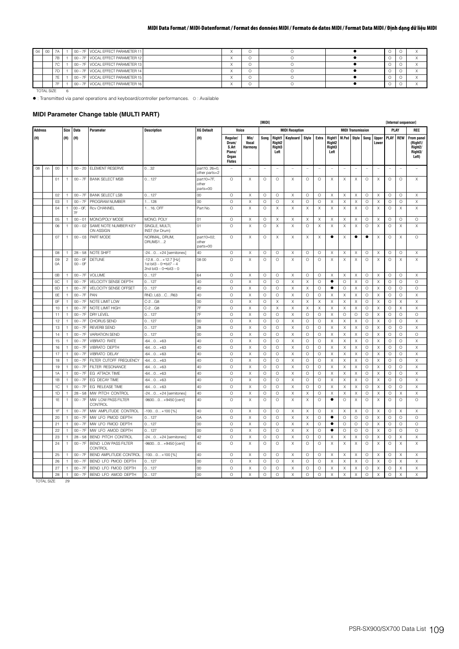| $04 \ 00$ |            |                          |  | 00 - 7F VOCAL EFFECT PARAMETER 11 |  |  |   |  |
|-----------|------------|--------------------------|--|-----------------------------------|--|--|---|--|
|           |            | 7B                       |  | 00 - 7F VOCAL EFFECT PARAMETER 12 |  |  | O |  |
|           |            | 7C                       |  | 00 - 7F VOCAL EFFECT PARAMETER 13 |  |  | Ő |  |
|           |            | 7D                       |  | 00 - 7F VOCAL EFFECT PARAMETER 14 |  |  |   |  |
|           |            | $\overline{\phantom{a}}$ |  | 00 - 7F VOCAL EFFECT PARAMETER 15 |  |  | O |  |
|           |            |                          |  | 00 - 7F VOCAL EFFECT PARAMETER 16 |  |  | O |  |
|           | TOTAL SIZE |                          |  |                                   |  |  |   |  |

: Transmitted via panel operations and keyboard/controller performances. O : Available

### **MIDI Parameter Change table (MULTI PART)**

|                |    |          |                     |                        |                                        |                                                                                                  |                                 |                                                                |                          | [MIDI]       |                                                |                                   |                    |                           |                                                    |         |                           |              |                           |                 | [Internal sequencer] |                                                                   |
|----------------|----|----------|---------------------|------------------------|----------------------------------------|--------------------------------------------------------------------------------------------------|---------------------------------|----------------------------------------------------------------|--------------------------|--------------|------------------------------------------------|-----------------------------------|--------------------|---------------------------|----------------------------------------------------|---------|---------------------------|--------------|---------------------------|-----------------|----------------------|-------------------------------------------------------------------|
| <b>Address</b> |    |          | Size                | Data                   | Parameter                              | <b>Description</b>                                                                               | <b>XG Default</b>               | Voice                                                          |                          |              |                                                | <b>MIDI Reception</b>             |                    |                           |                                                    |         | <b>MIDI Transmission</b>  |              |                           | <b>PLAY</b>     |                      | REC                                                               |
| (H)            |    |          | (H)                 | (H)                    |                                        |                                                                                                  | (H)                             | Regular/<br>Drum/<br>S.Art<br>Piano/<br>Organ<br><b>Flutes</b> | Mic/<br>Vocal<br>Harmony | Song         | Right1<br>Right <sub>2</sub><br>Right3<br>Left | Keyboard                          | Style              | Extra                     | Right1   M.Pad   Style<br>Right2<br>Right3<br>Left |         |                           | Song         | <b>Upper</b><br>Lower     | <b>PLAY REW</b> |                      | From pane<br>(Right1/<br>Right <sub>2</sub> /<br>Right3/<br>Left) |
| 08             | nn | 00       | $\mathbf{1}$        | $00 - 20$              | <b>ELEMENT RESERVE</b>                 | 032                                                                                              | part10, 26=0.<br>other parts=2  | ÷                                                              | $\overline{\phantom{0}}$ |              |                                                | $\hspace{1.0cm} - \hspace{1.0cm}$ |                    | $\overline{\phantom{0}}$  |                                                    |         |                           |              | $\overline{\phantom{a}}$  | ÷,              |                      | $\overline{\phantom{0}}$                                          |
|                |    | 01       | 1                   | $00 - 7F$              | <b>BANK SELECT MSB</b>                 | 0127                                                                                             | part10=7F,<br>other<br>parts=00 | O                                                              | Χ                        | O            | $\circ$                                        | X                                 | 0                  | 0                         | Χ                                                  | Χ       | Χ                         | 0            | X                         | O               | $\circ$              | X                                                                 |
|                |    | 02       | $\overline{1}$      | $00 - 7F$              | <b>BANK SELECT LSB</b>                 | 0127                                                                                             | 00                              | O                                                              | Χ                        | O            | $\circ$                                        | X                                 | O                  | $\circ$                   | X                                                  | X       | X                         | O            | X                         | O               | O                    | X                                                                 |
|                |    | 03       | $\mathbf{1}$        | $00 - 7F$              | PROGRAM NUMBER                         | 1128                                                                                             | 00                              | O                                                              | Χ                        | $\circ$      | $\circ$                                        | X                                 | $\circ$            | $\circ$                   | Χ                                                  | X       | X                         | $\circ$      | X                         | $\circ$         | $\circ$              | Χ                                                                 |
|                |    | 04       | $\mathbf{1}$        | $00 - 0F$ ,<br>7F      | <b>Rcv CHANNEL</b>                     | $116$ , OFF                                                                                      | Part No.                        | O                                                              | X                        | $\circ$      | $\mathsf X$                                    | Χ                                 | X                  | X                         | Χ                                                  | X       | X                         | $\circ$      | Χ                         | $\circ$         | X                    | Χ                                                                 |
|                |    | 05       | $\mathbf{1}$        | $00 - 01$              | MONO/POLY MODE                         | MONO, POLY                                                                                       | 01                              | O                                                              | Χ                        | $\circ$      | X                                              | X                                 | Χ                  | X                         | Χ                                                  | Χ       | Χ                         | $\circ$      | X                         | $\circ$         | $\circ$              | $\circ$                                                           |
|                |    | 06       | $\mathbf{1}$        | $00 - 02$              | SAME NOTE NUMBER KEY<br>ON ASSIGN      | SINGLE, MULTI<br>INST (for Drum)                                                                 | 01                              | $\circ$                                                        | Χ                        | $\circ$      | $\boldsymbol{\mathsf{X}}$                      | X                                 | $\circ$            | $\boldsymbol{\mathsf{X}}$ | Χ                                                  | X       | $\times$                  | $\circ$      | X                         | $\circ$         | Χ                    | X                                                                 |
|                |    | 07       | 1                   | $00 - 03$              | PART MODE                              | NORMAL, DRUM,<br>DRUMS12                                                                         | part10=02,<br>other<br>parts=00 | O                                                              | X                        | O            | Χ                                              | X                                 | Χ                  | Χ                         | $\bullet$                                          | Х       | $\bullet$                 | $\bullet$    | Χ                         | $\circ$         | Χ                    | $\circ$                                                           |
|                |    | 08       | $\mathbf{1}$        | $28 - 58$              | NOTE SHIFT                             | -240+24 [semitones]                                                                              | 40                              | O                                                              | Χ                        | O            | $\circ$                                        | Χ                                 | 0                  | $\circ$                   | Χ                                                  | Χ       | Х                         | 0            | Х                         | O               | O                    | X                                                                 |
|                |    | 09<br>0A | $\sqrt{2}$          | $00 - 0F$<br>$00 - 0F$ | <b>DETUNE</b>                          | $-12.80+12.7$ [Hz]<br>1st bit3 $-0 \rightarrow$ bit7 $-4$<br>2nd bit3 - $0 \rightarrow$ bit3 - 0 | 08 00                           | $\circ$                                                        | Χ                        | O            | $\circ$                                        | X                                 | $\circ$            | $\circ$                   | X                                                  | X       | Χ                         | $\circ$      | Χ                         | $\circ$         | X                    | X                                                                 |
|                |    | 0B       | $\overline{1}$      | $00 - 7F$              | VOLUME                                 | 0127                                                                                             | 64                              | $\circ$                                                        | X                        | $\circ$      | $\circ$                                        | X                                 | $\circ$            | $\circ$                   | Χ                                                  | X       | $\boldsymbol{\times}$     | $\circ$      | $\boldsymbol{\mathsf{X}}$ | $\circ$         | $\circ$              | Χ                                                                 |
|                |    | OC       | $\overline{1}$      | $00 - 7F$              | VELOCITY SENSE DEPTH                   | 0127                                                                                             | 40                              | O                                                              | Χ                        | $\circ$      | $\circ$                                        | X                                 | Χ                  | $\circ$                   | ٠                                                  | $\circ$ | X                         | O            | Χ                         | $\circ$         | O                    | O                                                                 |
|                |    | 0D       | $\mathbf{1}$        | $00 - 7F$              | VELOCITY SENSE OFFSET                  | 0127                                                                                             | 40                              | Ō                                                              | X                        | $\circ$      | $\circ$                                        | X                                 | X                  | $\circ$                   | ٠                                                  | $\circ$ | X                         | $\circ$      | X                         | $\circ$         | O                    | $\circ$                                                           |
|                |    | 0E       | $\mathbf{1}$        | $00 - 7F$              | PAN                                    | RND, L63CR63                                                                                     | 40                              | O                                                              | Χ                        | $\circ$      | $\circ$                                        | Χ                                 | $\circ$            | $\circ$                   | Χ                                                  | X       | X                         | O            | Χ                         | $\circ$         | O                    | Χ                                                                 |
|                |    | OF       | $\overline{1}$      | $00 - 7F$              | NOTE LIMIT LOW                         | $C-2GB$                                                                                          | 00                              | O                                                              | Χ                        | O            | X                                              | X                                 | X                  | X                         | X                                                  | X       | Χ                         | O            | X                         | O               | Χ                    | Χ                                                                 |
|                |    | 10       | $\mathbf{1}$        | $00 - 7F$              | NOTE LIMIT HIGH                        | $C-2G8$                                                                                          | 7F                              | $\circ$                                                        | Χ                        | $\circ$      | $\mathsf X$                                    | X                                 | X                  | $\boldsymbol{\mathsf{X}}$ | Χ                                                  | X       | $\boldsymbol{\times}$     | $\circ$      | X                         | $\circ$         | Χ                    | Χ                                                                 |
|                |    | 11       | $\mathbf{1}$        | $00 - 7F$              | DRY LEVEL                              | 0127                                                                                             | 7F                              | O                                                              | Χ                        | $\circ$      | $\circ$                                        | Χ                                 | $\circ$            | $\circ$                   | Χ                                                  | $\circ$ | $\circ$                   | O            | X                         | $\circ$         | $\circ$              | O                                                                 |
|                |    | 12       | $\mathbf{1}$        | $00 - 7F$              | CHORUS SEND                            | 0127                                                                                             | 00                              | O                                                              | Χ                        | $\circ$      | $\circ$                                        | X                                 | $\circ$            | $\circ$                   | X                                                  | X       | $\boldsymbol{\mathsf{X}}$ | O            | $\boldsymbol{\mathsf{X}}$ | $\circ$         | $\circ$              | X                                                                 |
|                |    | 13       | $\overline{1}$      | $00 - 7F$              | <b>REVERB SEND</b>                     | 0127                                                                                             | 28                              | O                                                              | Χ                        | O            | $\circ$                                        | X                                 | $\circ$            | $\circ$                   | X                                                  | Χ       | Χ                         | O            | Χ                         | $\circ$         | O                    | Χ                                                                 |
|                |    | 14       | 1                   | $00 - 7F$              | <b>VARIATION SEND</b>                  | 0127                                                                                             | 00                              | O                                                              | Χ                        | $\circ$      | $\circ$                                        | X                                 | $\circ$            | $\circ$                   | X                                                  | X       | $\boldsymbol{\mathsf{X}}$ | $\circ$      | X                         | O               | O                    | $\circ$                                                           |
|                |    | $15\,$   | $\overline{1}$      | $00 - 7F$              | <b>VIBRATO RATE</b>                    | $-640+63$                                                                                        | 40                              | Ō                                                              | Χ                        | $\circ$      | $\circ$                                        | Χ                                 | $\circ$            | $\circ$                   | Χ                                                  | X       | X                         | $\circ$      | X                         | $\circ$         | $\circ$              | Χ                                                                 |
|                |    | 16       | $\mathbf{1}$        | $00 - 7F$              | VIBRATO DEPTH                          | $-640+63$                                                                                        | 40                              | O                                                              | Χ                        | O            | $\circ$                                        | X                                 | O                  | $\circ$                   | X                                                  | X       | Χ                         | O            | X                         | O               | O                    | Χ                                                                 |
|                |    | 17       | $\overline{1}$      | $00 - 7F$              | <b>VIBRATO DELAY</b>                   | $-640+63$                                                                                        | 40                              | $\circ$                                                        | Χ                        | $\circ$      | $\circ$                                        | Χ                                 | $\circ$            | $\circ$                   | Χ                                                  | X       | X                         | $\circ$      | X                         | $\circ$         | $\circ$              | Χ                                                                 |
|                |    | 18       | $\mathbf{1}$        | $00 - 7F$              | FILTER CUTOFF FREQUENCY                | $-640+63$                                                                                        | 40                              | O                                                              | Χ                        | $\circ$      | $\circ$                                        | Χ                                 | $\circ$            | $\circ$                   | Χ                                                  | X       | Χ                         | O            | Χ                         | $\circ$         | $\circ$              | Χ                                                                 |
|                |    | 19       | $\mathbf{1}$        | $00 - 7F$              | FILTER RESONANCE                       | $-640+63$                                                                                        | 40                              | O                                                              | Χ                        | $\circ$      | $\circ$                                        | X                                 | $\circ$            | $\circ$                   | X                                                  | X       | $\boldsymbol{\mathsf{X}}$ | O            | X                         | $\circ$         | $\circ$              | X                                                                 |
|                |    | 1A       | $\overline{1}$      | $00 - 7F$              | EG ATTACK TIME                         | $-640+63$                                                                                        | 40                              | O<br>O                                                         | Χ                        | $\circ$      | $\circ$                                        | X                                 | $\circ$            | O                         | X                                                  | Χ       | Χ                         | O            | Χ                         | $\circ$         | O                    | Χ                                                                 |
|                |    | 1B<br>1C | 1<br>$\overline{1}$ | $00 - 7F$<br>$00 - 7F$ | EG DECAY TIME<br>EG RELEASE TIME       | $-640+63$                                                                                        | 40<br>40                        | Ō                                                              | Χ<br>Χ                   | O<br>$\circ$ | $\circ$<br>$\circ$                             | X<br>Χ                            | $\circ$<br>$\circ$ | $\circ$<br>$\circ$        | X<br>Χ                                             | X<br>X  | X<br>X                    | O<br>$\circ$ | X<br>X                    | O<br>$\circ$    | O<br>$\circ$         | Χ<br>Χ                                                            |
|                |    | 1D       | $\mathbf{1}$        | $28 - 58$              | MW PITCH CONTROL                       | $-640+63$<br>-240+24 [semitones]                                                                 | 40                              | O                                                              | Χ                        | O            | $\circ$                                        | X                                 | X                  | $\circ$                   | X                                                  | X       | Χ                         | O            | Χ                         | $\circ$         | Χ                    | X                                                                 |
|                |    | 1E       | $\mathbf{1}$        | $00 - 7F$              | MW LOW PASS FILTER<br>CONTROL          | -96000+9450 [cent]                                                                               | 40                              | O                                                              | Χ                        | $\circ$      | $\circ$                                        | X                                 | X                  | $\circ$                   | ٠                                                  | $\circ$ | $\boldsymbol{\mathsf{X}}$ | $\circ$      | $\boldsymbol{\mathsf{X}}$ | $\circ$         | O                    | $\circ$                                                           |
|                |    | 1F       | $\overline{1}$      | $00 - 7F$              | MW AMPLITUDE CONTROL                   | -1000+100 [%]                                                                                    | 40                              | $\circ$                                                        | X                        | $\circ$      | $\circ$                                        | X                                 | X                  | $\circ$                   | X                                                  | X       | X                         | $\circ$      | $\boldsymbol{\mathsf{X}}$ | $\circ$         | X                    | Χ                                                                 |
|                |    | 20       | $\overline{1}$      | $00 - 7F$              | MW LFO PMOD DEPTH                      | 0127                                                                                             | 0A                              | $\circ$                                                        | Χ                        | $\circ$      | $\circ$                                        | X                                 | X                  | $\circ$                   | ٠                                                  | $\circ$ | O                         | O            | X                         | $\circ$         | $\circ$              | $\circ$                                                           |
|                |    | 21       | 1                   | $00 - 7F$              | MW LFO FMOD DEPTH                      | 0127                                                                                             | 00                              | $\circ$                                                        | Χ                        | $\circ$      | $\circ$                                        | X                                 | X                  | $\circ$                   | ٠                                                  | $\circ$ | $\circ$                   | $\circ$      | X                         | O               | O                    | $\circ$                                                           |
|                |    | 22       | $\mathbf{1}$        | $00 - 7F$              | MW LFO AMOD DEPTH                      | 0127                                                                                             | 00                              | O                                                              | Χ                        | O            | $\circ$                                        | X                                 | X                  | 0                         | ٠                                                  | $\circ$ | O                         | 0            | X                         | O               | $\circ$              | O                                                                 |
|                |    | 23       | $\overline{1}$      | $28 - 58$              | BEND PITCH CONTROL                     | -240+24 [semitones]                                                                              | 42                              | O                                                              | Χ                        | $\circ$      | $\circ$                                        | Χ                                 | O                  | $\circ$                   | X                                                  | X       | X                         | $\circ$      | X                         | $\circ$         | X                    | X                                                                 |
|                |    | 24       | $\mathbf{1}$        | $00 - 7F$              | <b>BEND LOW PASS FILTER</b><br>CONTROL | -96000+9450 [cent]                                                                               | 40                              | Ō                                                              | Χ                        | O            | $\circ$                                        | X                                 | O                  | $\circ$                   | X                                                  | X       | X                         | O            | Χ                         | $\circ$         | Χ                    | X                                                                 |
|                |    | 25       | 1                   | $00 - 7F$              | BEND AMPLITUDE CONTROL                 | -1000+100 [%]                                                                                    | 40                              | O                                                              | Χ                        | O            | $\circ$                                        | Χ                                 | 0                  | 0                         | Χ                                                  | Х       | Χ                         | 0            | Х                         | O               | Χ                    | Χ                                                                 |
|                |    | 26       | $\mathbf{1}$        | $00 - 7F$              | BEND LFO PMOD DEPTH                    | 0127                                                                                             | 00                              | O                                                              | X                        | O            | $\circ$                                        | X                                 | O                  | $\circ$                   | X                                                  | X       | X                         | O            | X                         | $\circ$         | X                    | X                                                                 |
|                |    | 27       | 1                   | $00 - 7F$              | BEND LFO FMOD DEPTH                    | 0127                                                                                             | 00                              | O                                                              | Χ                        | Ο            | $\circ$                                        | X                                 | O                  | 0                         | X                                                  | Х       | X                         | О            | Χ                         | O               | Χ                    | Χ                                                                 |
|                |    | 28       | $\mathbf{1}$        | $00 - 7F$              | BEND LFO AMOD DEPTH                    | 0127                                                                                             | 00                              | $\circ$                                                        | Χ                        | $\circ$      | $\circ$                                        | X                                 | $\circ$            | $\circ$                   | X                                                  | X       | X                         | $\circ$      | Χ                         | O               | X                    | X                                                                 |

TOTAL SIZE 29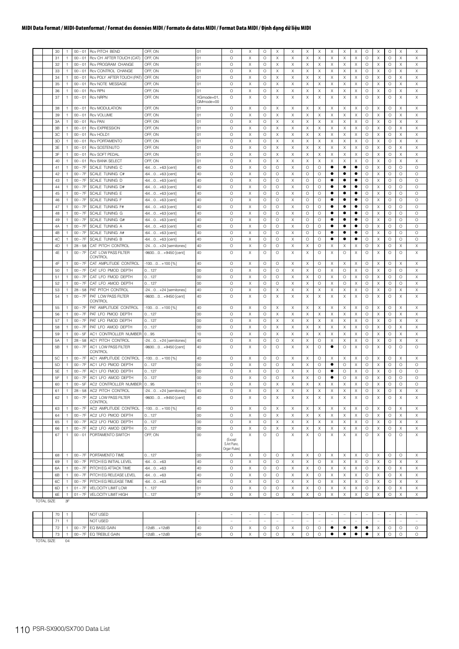|  | 30       | $\mathbf{1}$                   | $00 - 01$              | <b>Rcv PITCH BEND</b>               | OFF, ON                | O <sub>1</sub> | $\circ$                 | Χ                     | O            | X            | Χ        | Χ       | Χ            | X        | Х | Χ         | $\circ$            | X                         | $\circ$            | $\times$     | X                     |
|--|----------|--------------------------------|------------------------|-------------------------------------|------------------------|----------------|-------------------------|-----------------------|--------------|--------------|----------|---------|--------------|----------|---|-----------|--------------------|---------------------------|--------------------|--------------|-----------------------|
|  | 31       | 1                              | $00 - 01$              | Rcv CH AFTER TOUCH (CAT)            | OFF, ON                | 01             | $\circ$                 | $\boldsymbol{\times}$ | $\circ$      | X            | Χ        | Χ       | X            | X        | X | Χ         | $\circ$            | X                         | $\circ$            | $\times$     | Χ                     |
|  | 32       | $\overline{1}$                 | $00 - 01$              | Rcv PROGRAM CHANGE                  | OFF, ON                | 01             | $\circ$                 | Χ                     | O            | Χ            | Χ        | X       | $\times$     | Χ        | Χ | Χ         | $\circ$            | X                         | O                  | $\times$     | Χ                     |
|  | 33       | $\mathbf{1}$                   | $00 - 01$              | Rcv CONTROL CHANGE                  | OFF, ON                | 01             | $\circ$                 | Χ                     | O            | X            | Χ        | X       | Χ            | X        | Χ | Χ         | $\circ$            | X                         | $\circ$            | Χ            | X                     |
|  | 34       | $\mathbf{1}$                   | $00 - 01$              | Rcv POLY AFTER TOUCH (PAT)          | OFF, ON                | 01             | $\circ$                 | X                     | $\circ$      | Χ            | X        | Χ       | X            | X        | Χ | X         | O                  | Χ                         | $\circ$            | X            | Χ                     |
|  | 35       | $\overline{1}$                 | $00 - 01$              | Rcv NOTE MESSAGE                    | OFF, ON                | 01             | $\circ$                 | X                     | $\circ$      | $\times$     | $\times$ | X       | X            | X        | Χ | $\times$  | $\circ$            | $\times$                  | $\circ$            | Χ            | X                     |
|  | 36       | $\overline{1}$                 | $00 - 01$              | <b>Rcv RPN</b>                      | OFF, ON                | 01             | $\circ$                 | Χ                     | $\circ$      | X            | Χ        | X       | $\times$     | X        | Χ | X         | $\circ$            | X                         | $\circ$            | X            | Χ                     |
|  | 37       | $\overline{1}$                 | $00 - 01$              | <b>Rcv NRPN</b>                     | OFF, ON                | XGmode=01      | $\circ$                 | X                     | $\circ$      | Χ            | X        | X       | $\times$     | Χ        | х | X         | $\circ$            | X                         | $\circ$            | X            | X                     |
|  |          |                                |                        |                                     |                        | GMmode=00      |                         |                       |              |              |          |         |              |          |   |           |                    |                           |                    |              |                       |
|  | 38       | $\mathbf{1}$                   | $00 - 01$              | Rcv MODULATION                      | OFF, ON                | 01             | $\circ$                 | Χ                     | $\circ$      | $\times$     | Χ        | Χ       | X            | Χ        | Х | Χ         | $\circ$            | X                         | $\circ$            | Χ            | Χ                     |
|  | 39       | 1                              | $00 - 01$              | <b>Rcv VOLUME</b>                   | OFF, ON                | 01             | $\circ$                 | X                     | O            | X            | Χ        | X       | X            | X        | Χ | Χ         | $\circ$            | X                         | $\circ$            | X            | X                     |
|  | 3A       | 1                              | $00 - 01$              | <b>Rcv PAN</b>                      | OFF, ON                | O <sub>1</sub> | $\circ$                 | X                     | $\circ$      | Χ            | X        | X       | X            | X        | Χ | Χ         | $\circ$            | X                         | $\circ$            | X            | X                     |
|  | 3B       | $\overline{1}$                 | $00 - 01$              | <b>Rcv EXPRESSION</b>               | OFF, ON                | 01             | $\circ$                 | X                     | $\circ$      | X            | Χ        | X       | $\times$     | X        | Χ | X         | $\circ$            | X                         | $\circ$            | Χ            | $\boldsymbol{\times}$ |
|  | 3C       | $\overline{1}$                 | $00 - 01$              | Rcv HOLD1                           | OFF, ON                | 01             | $\circ$                 | Χ                     | $\circ$      | X            | Χ        | X       | X            | X        | Χ | Χ         | $\circ$            | X                         | $\circ$            | Χ            | X                     |
|  | 3D       | 1                              | $00 - 01$              | <b>Rcv PORTAMENTO</b>               | OFF, ON                | 01             | $\circ$                 | X                     | $\circ$      | X            | Χ        | X       | X            | X        | Χ | Χ         | $\circ$            | X                         | $\circ$            | X            | X                     |
|  | 3E       | $\mathbf{1}$                   | $00 - 01$              | <b>Rcv SOSTENUTO</b>                | OFF, ON                | 01             | $\circ$                 | Χ                     | O            | $\times$     | Χ        | X       | X            | Χ        | Χ | Χ         | $\circ$            | X                         | $\circ$            | $\times$     | Χ                     |
|  | 3F       | $\mathbf{1}$                   | $00 - 01$              | <b>Rcv SOFT PEDAL</b>               | OFF, ON                | 01             | $\circ$                 | Χ                     | O            | X            | Χ        | X       | X            | X        | Χ | Χ         | $\circ$            | X                         | $\circ$            | X            | Χ                     |
|  | 40       | $\mathbf{1}$                   | $00 - 01$              | <b>Rcv BANK SELECT</b>              | OFF, ON                | 01             | $\circ$                 | X                     | $\circ$      | Χ            | X        | Χ       | X            | X        | Χ | Χ         | $\circ$            | X                         | $\circ$            | X            | X                     |
|  | 41       | $\overline{1}$                 | $00 - 7F$              | SCALE TUNING C                      | -640+63 [cent]         | 40             | $\circ$                 | X                     | $\circ$      | $\circ$      | X        | $\circ$ | $\circ$      | ٠        | ٠ | ٠         | $\circ$            | $\times$                  | $\circ$            | $\circ$      | $\circ$               |
|  | 42       | $\overline{1}$                 | $00 - 7F$              | SCALE TUNING C#                     | -640+63 [cent]         | 40             | $\circ$                 | Χ                     | $\circ$      | O            | Χ        | O       | O            | ٠        | ٠ | ٠         | $\circ$            | X                         | $\circ$            | $\circ$      | $\circ$               |
|  | 43       | 1                              | $00 - 7F$              | SCALE TUNING D                      | $-640+63$ [cent]       | 40             | $\circ$                 | X                     | O            | O            | Χ        | O       | $\circ$      | ٠        | ٠ | ٠         | $\circ$            | X                         | $\circ$            | $\circ$      | $\circ$               |
|  | 44       | $\overline{1}$                 | $00 - 7F$              | SCALE TUNING D#                     | $-640+63$ [cent]       | 40             | $\circ$                 | Χ                     | $\circ$      | О            | Χ        | O       | O            | ٠        | ٠ | ٠         | $\circ$            | X                         | $\circ$            | $\circ$      | O                     |
|  | 45       | 1                              | $00 - 7F$              | SCALE TUNING E                      | $-640+63$ [cent]       | 40             | $\circ$                 | X                     | $\circ$      | $\circ$      | Χ        | O       | $\circ$      | ٠        | ٠ | ٠         | $\circ$            | X                         | $\circ$            | $\circ$      | $\circ$               |
|  | 46       | 1                              | $00 - 7F$              | SCALE TUNING F                      | -640+63 [cent]         | 40             | $\circ$                 | X                     | $\circ$      | O            | X        | O       | O            | ٠        | ٠ | $\bullet$ | $\circ$            | X                         | $\circ$            | $\circ$      | $\circ$               |
|  | 47       | $\overline{1}$                 | $00 - 7F$              | SCALE TUNING F#                     | -640+63 [cent]         | 40             | $\circ$                 | Χ                     | $\circ$      | O            | Χ        | O       | $\circ$      | ٠        | ٠ | ٠         | $\circ$            | X                         | $\circ$            | $\circ$      | O                     |
|  | 48       | $\mathbf{1}$                   | $00 - 7F$              | SCALE TUNING G                      | -640+63 [cent]         | 40             | $\circ$                 | Χ                     | $\circ$      | О            | Χ        | O       | $\circ$      | ٠        | ٠ | ٠         | $\circ$            | X                         | $\circ$            | $\circ$      | O                     |
|  | 49       | 1                              | $00 - 7F$              | SCALE TUNING G#                     | $-640+63$ [cent]       | 40             | $\circ$                 | X                     | $\circ$      | O            | X        | $\circ$ | O            | ٠        | ٠ | ٠         | $\circ$            | Χ                         | $\circ$            | $\circ$      | O                     |
|  | 4A       | $\overline{1}$                 | $00 - 7F$              | SCALE TUNING A                      | $-640+63$ [cent]       | 40             | $\circ$                 | Χ                     | O            | $\circ$      | Χ        | O       | $\circ$      | ٠        | ٠ | ٠         | $\circ$            | X                         | $\circ$            | $\circ$      | O                     |
|  | 4B       | $\mathbf{1}$                   | $00 - 7F$              | SCALE TUNING A#                     | $-640+63$ [cent]       | 40             | $\circ$                 | Χ                     | O            | O            | Χ        | O       | O            |          | ٠ | ٠         | $\circ$            | X                         | $\circ$            | $\circ$      | O                     |
|  |          |                                |                        |                                     |                        |                |                         |                       |              |              | X        |         |              |          | ٠ | ٠         |                    | Χ                         |                    |              | $\circ$               |
|  | 4C<br>4D | $\mathbf{1}$<br>$\overline{1}$ | $00 - 7F$<br>$28 - 58$ | SCALE TUNING B<br>CAT PITCH CONTROL | -640+63 [cent]         | 40<br>40       | $\circ$<br>$\circ$      | X<br>X                | O<br>$\circ$ | O<br>$\circ$ | Χ        | O<br>X  | O<br>$\circ$ | X        | Χ | X         | $\circ$<br>$\circ$ | X                         | $\circ$<br>$\circ$ | $\circ$<br>Χ |                       |
|  | 4E       |                                |                        |                                     | -240+24 [semitones]    |                | $\circ$                 |                       |              |              |          |         |              |          |   |           |                    |                           |                    | $\circ$      | X                     |
|  |          | $\overline{1}$                 | $00 - 7F$              | CAT LOW PASS FILTER<br>CONTROL      | -96000+9450 [cent]     | 40             |                         | Χ                     | $\circ$      | O            | Χ        | X       | $\circ$      | Χ        | O | X         | $\circ$            | X                         | $\circ$            |              | X                     |
|  | 4F       | -1                             | $00 - 7F$              | CAT AMPLITUDE CONTROL               | $-1000+100$ [%]        | 40             | $\circ$                 | Χ                     | O            | О            | Χ        | Х       | O            | Χ        | Х | Χ         | 0                  | Χ                         | $\circ$            | Χ            | Χ                     |
|  | 50       | $\overline{1}$                 | $00 - 7F$              | CAT LFO PMOD DEPTH                  | 0127                   | 00             | $\circ$                 | Χ                     | $\circ$      | O            | Χ        | Χ       | $\circ$      | Χ        | 0 | Χ         | $\circ$            | X                         | $\circ$            | $\circ$      | Χ                     |
|  | 51       | 1                              | $00 - 7F$              | CAT LFO FMOD DEPTH                  | 0127                   | 00             | $\circ$                 | Χ                     | O            | O            | Χ        | X       | O            | X        | O | Χ         | $\circ$            | X                         | $\circ$            | $\circ$      | X                     |
|  | 52       | $\mathbf{1}$                   | $00 - 7F$              | CAT LFO AMOD DEPTH                  | 0127                   | 00             | $\circ$                 | X                     | O            | O            | X        | X       | O            | X        | Ο | X         | $\circ$            | Χ                         | $\circ$            | O            | X                     |
|  | 53       | $\overline{1}$                 | $28 - 58$              | PAT PITCH CONTROL                   | -240+24 [semitones]    | 40             | $\circ$                 | Χ                     | $\circ$      | X            | Χ        | X       | $\times$     | X        | Χ | X         | $\circ$            | X                         | $\circ$            | Χ            | X                     |
|  | 54       | $\overline{1}$                 | $00 - 7F$              | PAT LOW PASS FILTER                 | -96000+9450 [cent]     | 40             | $\circ$                 | Χ                     | $\circ$      | X            | Χ        | X       | Χ            | Χ        | Χ | X         | $\circ$            | X                         | $\circ$            | X            | X                     |
|  |          |                                |                        | CONTROL                             |                        |                |                         |                       |              |              |          |         |              |          |   |           |                    |                           |                    |              |                       |
|  | 55       | 1                              | $00 - 7F$              | PAT AMPLITUDE CONTROL               | $-1000+100$ [%]        | 40             | $\circ$                 | Χ                     | O            | X            | Χ        | Х       | Χ            | Χ        | Χ | Χ         | O                  | Χ                         | O                  | X            | Χ                     |
|  | 56       | $\mathbf{1}$                   | $00 - 7F$              | PAT LFO PMOD DEPTH                  | 0127                   | 00             | $\circ$                 | Χ                     | O            | $\times$     | Χ        | Χ       | $\times$     | Χ        | Χ | Χ         | $\circ$            | X                         | O                  | $\times$     | X                     |
|  | 57       | $\mathbf{1}$                   | $00 - 7F$              | PAT LFO FMOD DEPTH                  | 0127                   | 00             | $\circ$                 | Χ                     | O            | X            | Χ        | X       | Χ            | X        | Χ | Χ         | $\circ$            | X                         | $\circ$            | X            | X                     |
|  | 58       | 1                              | $00 - 7F$              | PAT LFO AMOD DEPTH                  | 0127                   | 00             | $\circ$                 | Χ                     | O            | Χ            | X        | X       | X            | X        | Χ | Χ         | O                  | Χ                         | $\circ$            | Χ            | X                     |
|  | 59       | $\overline{1}$                 | $00 - 5F$              | AC1 CONTROLLER NUMBER 095           |                        | 10             | $\circ$                 | X                     | $\circ$      | $\times$     | Χ        | X       | $\times$     | X        | Χ | X         | $\circ$            | X                         | $\circ$            | Χ            | X                     |
|  | 5A       | $\overline{1}$                 | $28 - 58$              | AC1 PITCH CONTROL                   | -240+24 [semitones]    | 40             | $\circ$                 | Χ                     | $\circ$      | O            | $\times$ | Χ       | O            | Χ        | Χ | X         | $\circ$            | X                         | $\circ$            | Χ            | Χ                     |
|  | 5B       | $\overline{1}$                 | $00 - 7F$              | AC1 LOW PASS FILTER                 | -96000+9450 [cent]     | 40             | $\circ$                 | Χ                     | $\circ$      | O            | Χ        | Х       | O            | ٠        | 0 | Χ         | O                  | Х                         | $\circ$            | $\circ$      | O                     |
|  |          |                                |                        | CONTROL                             |                        |                |                         |                       |              |              |          |         |              |          |   |           |                    |                           |                    |              |                       |
|  | 5C       | $\mathbf{1}$                   | $00 - 7F$              | AC1 AMPLITUDE CONTROL               | $-1000+100$ [%]        | 40             | $\circ$                 | Χ                     | $\circ$      | O            | $\times$ | Χ       | O            | X        | Χ | X         | $\circ$            | X                         | O                  | Χ            | Χ                     |
|  | 5D       | 1                              | $00 - 7F$              | AC1 LFO PMOD DEPTH                  | 0127                   | 00             | $\circ$                 | Χ                     | O            | O            | Χ        | Χ       | O            | ٠        | O | Χ         | O                  | X                         | $\circ$            | $\circ$      | $\circ$               |
|  | 5E       | 1                              | $00 - 7F$              | AC1 LFO FMOD DEPTH                  | 0127                   | 00             | $\circ$                 | X                     | O            | O            | X        | X       | O            | ٠        | O | X         | $\circ$            | Χ                         | $\circ$            | O            | O                     |
|  | 5F       | $\overline{1}$                 | $00 - 7F$              | AC1 LFO AMOD DEPTH                  | 0127                   | 00             | $\circ$                 | X                     | O            | O            | Χ        | X       | $\circ$      | ٠        | O | X         | $\circ$            | X                         | $\circ$            | $\circ$      | $\circ$               |
|  | 60       | $\mathbf{1}$                   | $00 - 5F$              | AC2 CONTROLLER NUMBER 095           |                        | 11             | $\circ$                 | X                     | $\circ$      | X            | Χ        | X       | X            | X        | Χ | Χ         | $\circ$            | X                         | $\circ$            | $\circ$      | $\circ$               |
|  | 61       | -1                             |                        | 28-58 AC2 PITCH CONTROL             | $[-240+24$ [semitones] | 40             | $\circ$                 | X                     | O            |              | Χ        |         |              |          | X |           | $\circ$            |                           | O                  |              |                       |
|  | 62       | $\overline{1}$                 | $00 - 7F$              | AC2 LOW PASS FILTER                 | -96000+9450 [cent]     | 40             | $\circ$                 | Χ                     | O            | Χ            | Χ        | X       | $\times$     | Χ        | Χ | Χ         | $\circ$            | X                         | O                  | $\times$     | Χ                     |
|  |          |                                |                        | <b>CONTROL</b>                      |                        |                |                         |                       |              |              |          |         |              |          |   |           |                    |                           |                    |              |                       |
|  | 63       | $\mathbf{1}$                   |                        | 00 - 7F AC2 AMPLITUDE CONTROL       | $-1000+100$ [%]        | 40             | O                       | Χ                     | O            | X            | Χ        | Χ       | Χ            | Χ        | Х | Χ         | $\circ$            | Χ                         | O                  | $\times$     | Χ                     |
|  | 64       | $\mathbf{1}$                   |                        | 00 - 7F AC2 LFO PMOD DEPTH          | 0127                   | 00             | $\circ$                 | Χ                     | O            | Х            | Χ        | X       | Х            | Χ        | Χ | Χ         | $\circ$            | $\boldsymbol{\mathsf{X}}$ | O                  | Χ            | Χ                     |
|  | 65       | $\mathbf{1}$                   |                        | 00-7F AC2 LFO FMOD DEPTH            | 0127                   | 00             | $\circ$                 | Χ                     | O            | Χ            | Χ        | X       | Χ            | X        | Χ | Χ         | $\circ$            | X                         | $\circ$            | $\times$     | X                     |
|  | 66       | $\mathbf{1}$                   |                        | 00 - 7F AC2 LFO AMOD DEPTH          | 0127                   | $00\,$         | $\circ$                 | Χ                     | $\circ$      | X            | X        | X       | $\times$     | Χ        | Χ | X         | $\circ$            | Χ                         | $\circ$            | $\times$     | Χ                     |
|  | 67       | $\overline{1}$                 |                        | 00 - 01 PORTAMENTO SWITCH           | OFF, ON                | 00             | 0                       | Χ                     | O            | 0            | Χ        | Χ       | 0            | X        | Χ | Χ         | $\circ$            | Х                         | О                  | $\circ$      | Χ                     |
|  |          |                                |                        |                                     |                        |                | (Except<br>S.Art Piano, |                       |              |              |          |         |              |          |   |           |                    |                           |                    |              |                       |
|  |          |                                |                        |                                     |                        |                | Organ Flutes)           |                       |              |              |          |         |              |          |   |           |                    |                           |                    |              |                       |
|  | 68       | $\overline{1}$                 |                        | 00 - 7F PORTAMENTO TIME             | 0127                   | 00             | $\circ$                 | Χ                     | O            | $\circ$      | Χ        | Χ       | $\circ$      | Χ        | Χ | Χ         | $\circ$            | X                         | O                  | $\circ$      | Χ                     |
|  | 69       | $\mathbf{1}$                   |                        | 00 - 7F PITCH EG INITIAL LEVEL      | $-640+63$              | 40             | O                       | X                     | $\circ$      | $\circ$      | $\times$ | Х       | $\circ$      | $\times$ | X | X         | $\circ$            | Χ                         | $\circ$            | $\times$     | Χ                     |
|  | 6A       | $\mathbf{1}$                   |                        | 00 - 7F PITCH EG ATTACK TIME        | $-640+63$              | 40             | O                       | Χ                     | O            | O            | Χ        | Χ       | O            | Χ        | Χ | Χ         | 0                  | Х                         | O                  | X            | Χ                     |
|  | 6B       | $\overline{1}$                 |                        | 00 - 7F   PITCH EG RELEASE LEVEL    | $-640+63$              | 40             | $\circ$                 | Χ                     | O            | $\circ$      | Χ        | Χ       | $\circ$      | Χ        | Χ | Χ         | $\circ$            | X                         | O                  | Χ            | Χ                     |
|  | 6C       | $\mathbf{1}$                   |                        | 00 - 7F   PITCH EG RELEASE TIME     | $-640+63$              | 40             | O                       | X                     | O            | $\circ$      | $\times$ | Χ       | $\circ$      | Χ        | Χ | X         | $\circ$            | Χ                         | O                  | $\times$     | Χ                     |
|  | 6D       | $\mathbf{1}$                   |                        | 01 - 7F   VELOCITY LIMIT LOW        | 1127                   | 01             | $\circ$                 | Χ                     | O            | O            | Χ        | X       | O            | X        | Χ | Χ         | O                  | X                         | O                  | Χ            | Χ                     |
|  | 6E       | $\mathbf{1}$                   |                        | 01-7F VELOCITY LIMIT HIGH           | 1127                   | 7F             | $\circ$                 | X                     | $\circ$      | $\circ$      | Χ        | X       | $\circ$      | Χ        | Χ | X         | $\circ$            | X                         | $\circ$            | Χ            | Χ                     |
|  |          |                                |                        |                                     |                        |                |                         |                       |              |              |          |         |              |          |   |           |                    |                           |                    |              |                       |

TOTAL SIZE 3F

|            | $\rightarrow$<br>70         |    | NOT USED               |              | -                        |                          | - | $\overline{\phantom{a}}$ | - | -          | $\overline{\phantom{a}}$ | $\overline{\phantom{a}}$ | $\overline{\phantom{a}}$ | $\sim$                   | $\overline{\phantom{0}}$ | $\overline{\phantom{a}}$ | $\sim$                   | $\sim$                   |  |
|------------|-----------------------------|----|------------------------|--------------|--------------------------|--------------------------|---|--------------------------|---|------------|--------------------------|--------------------------|--------------------------|--------------------------|--------------------------|--------------------------|--------------------------|--------------------------|--|
|            | $\rightarrow$ $\rightarrow$ |    | NOT USED               |              | $\overline{\phantom{0}}$ | $\overline{\phantom{0}}$ | - | $\overline{\phantom{a}}$ | - | -          | $\overline{\phantom{a}}$ | $\overline{\phantom{a}}$ | $\overline{\phantom{a}}$ | $\overline{\phantom{a}}$ | $\overline{\phantom{a}}$ | $\overline{\phantom{0}}$ | $\overline{\phantom{a}}$ | $\overline{\phantom{a}}$ |  |
|            | $\rightarrow$<br>72         |    | 00 - 7F EQ BASS GAIN   | $-12dB+12dB$ | 40                       |                          |   | ◡                        |   |            |                          |                          |                          |                          |                          |                          | U                        |                          |  |
|            | 73                          |    | 00 - 7F EQ TREBLE GAIN | $-12dB+12dB$ | 40                       |                          |   | ◡                        |   | $\sqrt{2}$ | ◡                        |                          |                          |                          |                          |                          | ັ                        |                          |  |
| TOTAL SIZE |                             | 04 |                        |              |                          |                          |   |                          |   |            |                          |                          |                          |                          |                          |                          |                          |                          |  |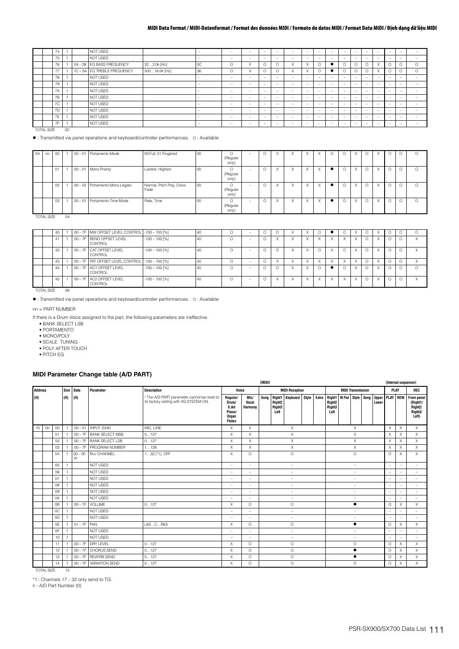|           | 74 |        | NOT USED                  |               | -                        | $\overline{\phantom{a}}$ | $\overline{\phantom{a}}$ | $\overline{\phantom{a}}$ | $\overline{\phantom{a}}$ | $\sim$                   | $\sim$                 | $\overline{\phantom{a}}$ | <b>1999</b>              | -                        | $\overline{\phantom{a}}$ | $\sim$                   | $\sim$                   | $\sim$                   | -                        |          |
|-----------|----|--------|---------------------------|---------------|--------------------------|--------------------------|--------------------------|--------------------------|--------------------------|--------------------------|------------------------|--------------------------|--------------------------|--------------------------|--------------------------|--------------------------|--------------------------|--------------------------|--------------------------|----------|
|           | 75 |        | NOT USED                  |               | $\overline{\phantom{a}}$ | $\overline{\phantom{a}}$ | $\overline{\phantom{a}}$ |                          | $\overline{\phantom{a}}$ | -                        | -                      | $\overline{\phantom{a}}$ | $\overline{\phantom{a}}$ | $\overline{\phantom{a}}$ | -                        | $\sim$                   | $\sim$                   | -                        | -                        |          |
|           | 76 |        | 04 - 28 EQ BASS FREQUENCY | 322.0k [Hz]   | <sub>0</sub> C           | Ω                        | $\sqrt{ }$<br>$\sim$     |                          | $\circ$                  | X                        | $\sqrt{}$<br>$\lambda$ | $\circ$                  | $\bullet$                | $\Omega$                 | $\circ$                  | $\sim$<br>╰              | $\sqrt{ }$<br><b>X</b>   |                          | $\Omega$                 | $\Omega$ |
|           | 77 |        | 1C-3A EQ TREBLE FREQUENCY | 50016.0k [Hz] | 36                       | $\Omega$                 | $\sqrt{ }$<br>∧          |                          | $\circ$                  | X                        | X                      | $\circ$                  | $\bullet$                | $\Omega$                 | $\circ$                  | $\sim$<br>J.             | $\sim$<br><b>X</b>       |                          | $\Omega$                 | $\circ$  |
|           | 78 |        | NOT USED                  |               | $\overline{\phantom{a}}$ | $\overline{\phantom{a}}$ | $\overline{\phantom{a}}$ | -                        | $\overline{\phantom{a}}$ | -                        | -                      | $\overline{\phantom{a}}$ | -                        | $\overline{\phantom{a}}$ | $\overline{\phantom{a}}$ | $\overline{\phantom{a}}$ | $\overline{\phantom{a}}$ | $\overline{\phantom{a}}$ | -                        |          |
|           | 79 |        | NOT USED                  |               | $\overline{\phantom{a}}$ | $\overline{\phantom{a}}$ | $\overline{\phantom{a}}$ | -                        | $\overline{\phantom{a}}$ | -                        | -                      | $\overline{\phantom{a}}$ | $\overline{\phantom{a}}$ | $\overline{\phantom{a}}$ | -                        | $\sim$                   | $\sim$                   | -                        | -                        |          |
|           | 7A |        | NOT USED                  |               | $\overline{\phantom{a}}$ | $\overline{\phantom{a}}$ | $\overline{\phantom{a}}$ | -                        | $\overline{\phantom{a}}$ | -                        | -                      | $\overline{\phantom{a}}$ | <b>1999</b>              | -                        | $\overline{\phantom{a}}$ | $\sim$                   | $\overline{\phantom{a}}$ | $\overline{\phantom{a}}$ | -                        |          |
|           | 7B |        | NOT USED                  |               | -                        | $\overline{\phantom{a}}$ | $\overline{\phantom{a}}$ | $\overline{\phantom{a}}$ | -                        | $\overline{\phantom{a}}$ | $\sim$                 | $\overline{\phantom{a}}$ | <b>1999</b>              | $\overline{\phantom{a}}$ | $\overline{\phantom{a}}$ | $\overline{\phantom{a}}$ | $\sim$                   | $\overline{\phantom{a}}$ | $\overline{\phantom{a}}$ | -        |
|           | 7C |        | NOT USED                  |               | -                        | $\overline{\phantom{a}}$ | $\overline{\phantom{a}}$ | $\overline{\phantom{a}}$ | -                        | $\overline{\phantom{a}}$ | $\sim$                 | $\overline{\phantom{a}}$ | $\overline{\phantom{0}}$ | -                        | -                        | $\overline{\phantom{a}}$ | $\sim$                   | -                        | $\overline{\phantom{a}}$ |          |
|           | 7D |        | NOT USED                  |               | $\overline{\phantom{a}}$ | $\overline{\phantom{a}}$ | $\sim$                   | $\overline{\phantom{a}}$ | $\overline{\phantom{a}}$ | $\sim$                   | $\sim$                 | $\overline{\phantom{a}}$ | <b>1999</b>              | $\overline{\phantom{a}}$ | -                        | $\sim$                   | $\sim$                   | $\overline{\phantom{a}}$ | -                        |          |
|           | 7E |        | NOT USED                  |               | $\overline{\phantom{a}}$ | $\overline{\phantom{a}}$ | $\overline{\phantom{a}}$ | $\overline{\phantom{a}}$ | $\overline{\phantom{a}}$ | $\overline{\phantom{a}}$ | $\sim$                 | $\sim$                   | <b>1999</b>              | $\overline{\phantom{a}}$ | -                        | $\overline{\phantom{a}}$ | $\overline{\phantom{a}}$ | $\overline{\phantom{a}}$ | -                        | -        |
|           | 7F |        | NOT USED                  |               | $\overline{\phantom{a}}$ | $\overline{\phantom{a}}$ | $\overline{\phantom{a}}$ | $\overline{\phantom{a}}$ | $\overline{\phantom{a}}$ | $\overline{\phantom{a}}$ | -                      | $\overline{\phantom{a}}$ | $\overline{\phantom{a}}$ | $\overline{\phantom{a}}$ | -                        | $\overline{\phantom{a}}$ | $\overline{\phantom{a}}$ | $\overline{\phantom{a}}$ | $\overline{\phantom{a}}$ | -        |
| TOTAL OUT |    | $\sim$ |                           |               |                          |                          |                          |                          |                          |                          |                        |                          |                          |                          |                          |                          |                          |                          |                          |          |

TOTAL SIZE 0C

: Transmitted via panel operations and keyboard/controller performances. O : Available

| 0A | nn                | $00\,$ |    | 00 - 01 Portamento Mode        | 00:Full, 01:Fingered              | 00 | $\Omega$                      | $\overline{\phantom{a}}$ | $\Omega$ | $\times$ |                        | $\times$ | $\times$ | $\circ$  | $\sqrt{}$<br>$\wedge$ | Ō        | $\sqrt{}$                 |          | O       | $\Omega$ |
|----|-------------------|--------|----|--------------------------------|-----------------------------------|----|-------------------------------|--------------------------|----------|----------|------------------------|----------|----------|----------|-----------------------|----------|---------------------------|----------|---------|----------|
|    |                   |        |    |                                |                                   |    | (Regular<br>only)             |                          |          |          |                        |          |          |          |                       |          |                           |          |         |          |
|    |                   | 01     |    | 00 - 01 Mono Priority          | Lastest, Highest                  | 00 | $\Omega$<br>(Regular<br>only) | $\overline{\phantom{a}}$ | $\circ$  | $\times$ | ᄉ                      | $\times$ | $\times$ | $\circ$  | X                     | $\circ$  | X                         |          | $\circ$ | 0        |
|    |                   | 02     |    | 00 - 02 Portamento Mono Legato | Normal, Pitch Poly, Cross<br>Fade | 00 | $\Omega$<br>(Regular<br>only) | $\overline{\phantom{a}}$ | $\Omega$ | $\times$ | $\checkmark$<br>⋏      | X        | $\times$ | $\circ$  | $\times$              | $\Omega$ | $\sqrt{}$<br>A            |          | O       | Ω        |
|    |                   | 03     |    | 00 - 01 Portamento Time Mode   | Rate, Time                        | 00 | $\Omega$<br>(Regular<br>only) | $\sim$                   | $\Omega$ | $\times$ | $\lambda$<br>$\lambda$ | $\times$ | $\times$ | $\Omega$ | X                     | $\Omega$ | $\boldsymbol{\mathsf{x}}$ | $\Omega$ | O       | $\Omega$ |
|    | <b>TOTAL SIZE</b> |        | 04 |                                |                                   |    |                               |                          |          |          |                        |          |          |          |                       |          |                           |          |         |          |

|                   | 40 |    | 00 - 7F MW OFFSET LEVEL CONTROL - 100 - 100 [%]  |                  | 40 |   |                          |          |                           |           |          |              |                         | $\checkmark$              |          |                           |  |                   |
|-------------------|----|----|--------------------------------------------------|------------------|----|---|--------------------------|----------|---------------------------|-----------|----------|--------------|-------------------------|---------------------------|----------|---------------------------|--|-------------------|
|                   | 41 |    | 00 - 7F BEND OFFSET LEVEL<br>CONTROL             | $-100 - 100$ [%] | 40 | C | $\overline{\phantom{a}}$ | X        | $\lambda$<br>$\lambda$    | $\lambda$ | X        |              | $\sqrt{ }$<br>$\lambda$ | $\times$                  | $\Omega$ | $\boldsymbol{\mathsf{x}}$ |  | $\checkmark$<br>⋏ |
|                   | 42 |    | 00 - 7F CAT OFFSET LEVEL<br>CONTROL              | $-100 - 100$ [%] | 40 |   | $\overline{\phantom{a}}$ | $\Omega$ | $\checkmark$<br>$\lambda$ |           | $\Omega$ |              | $\Omega$                | $\times$                  | $\circ$  | X                         |  | $\checkmark$      |
|                   | 43 |    | 00 - 7F PAT OFFSET LEVEL CONTROL - 100 - 100 [%] |                  | 40 |   | $\overline{\phantom{a}}$ | X        | $\lambda$<br>$\Lambda$    |           | X        |              | $\lambda$               | $\checkmark$<br>$\lambda$ | $\Omega$ | $\checkmark$              |  | $\lambda$         |
|                   | 44 |    | 00 - 7F AC1 OFFSET LEVEL<br>CONTROL              | $-100 - 100$ [%] | 40 |   | $\overline{\phantom{a}}$ | $\cap$   | $\sqrt{}$<br>$\Lambda$    |           | $\Omega$ |              | Ω                       | $\times$                  | $\Omega$ | X                         |  |                   |
|                   | 45 |    | 00 - 7F AC2 OFFSET LEVEL<br>CONTROL              | $-100 - 100$ [%] | 40 |   | $\overline{\phantom{a}}$ | X        | $\sqrt{}$<br>$\lambda$    | $\lambda$ | $\times$ | $\checkmark$ | $\checkmark$<br>$\sim$  | $\times$                  | $\circ$  | $\boldsymbol{\mathsf{x}}$ |  | $\sqrt{}$         |
| <b>TOTAL SIZE</b> |    | 06 |                                                  |                  |    |   |                          |          |                           |           |          |              |                         |                           |          |                           |  |                   |

: Transmitted via panel operations and keyboard/controller performances. O : Available

nn = PART NUMBER

If there is a Drum Voice assigned to the part, the following parameters are ineffective.

• BANK SELECT LSB

• PORTAMENTO

• MONO/POLY

• SCALE TUNING

• POLY AFTER TOUCH

• PITCH EG

### **MIDI Parameter Change table (A/D PART)**

|                |                   |        |                |                   |                         |                                                                                       |                                                                |                                 | <b>TMIDII</b> |                                      |                          |  |                                                                                   |                                                    |                          |  |       | [Internal sequencer] |                          |                                                                                   |
|----------------|-------------------|--------|----------------|-------------------|-------------------------|---------------------------------------------------------------------------------------|----------------------------------------------------------------|---------------------------------|---------------|--------------------------------------|--------------------------|--|-----------------------------------------------------------------------------------|----------------------------------------------------|--------------------------|--|-------|----------------------|--------------------------|-----------------------------------------------------------------------------------|
| <b>Address</b> |                   |        | Size           | <b>Data</b>       | Parameter               | <b>Description</b>                                                                    | Voice                                                          |                                 |               |                                      | <b>MIDI Reception</b>    |  |                                                                                   | <b>MIDI Transmission</b>                           |                          |  |       | PLAY                 |                          | REC                                                                               |
| (H)            |                   |        | (H)            | (H)               |                         | * The A/D PART parameter cannot be reset to<br>its factory setting with XG SYSTEM ON. | Regular/<br>Drum/<br>S.Art<br>Piano/<br>Organ<br><b>Flutes</b> | Mic/<br>Vocal<br><b>Harmony</b> | Song          | Right <sub>2</sub><br>Right3<br>Left | Right1 Keyboard Style    |  | Extra Right1 M.Pad Style Song<br>Right <sub>2</sub><br>Right <sub>3</sub><br>Left |                                                    |                          |  | Lower |                      |                          | Upper PLAY REW From panel<br>(Right1/<br>Right <sub>2</sub> /<br>Right3/<br>Left) |
| 10             | On                | $00\,$ |                | $00 - 01$         | INPUT GAIN              | MIC. LINE                                                                             | $\times$                                                       | X                               |               |                                      | X                        |  |                                                                                   |                                                    | X                        |  |       | $\times$             | $\times$                 | $\times$                                                                          |
|                |                   | 01     |                |                   | 00 - 7F BANK SELECT MSB | 0127                                                                                  | $\times$                                                       | $\times$                        |               |                                      | $\times$                 |  |                                                                                   |                                                    | X                        |  |       | $\times$             | $\times$                 | X                                                                                 |
|                |                   | 02     |                | $00 - 7F$         | <b>BANK SELECT LSB</b>  | 0127                                                                                  | $\times$                                                       | X                               |               |                                      | $\times$                 |  |                                                                                   |                                                    | $\times$                 |  |       | X                    | X                        | X                                                                                 |
|                |                   | 03     |                | $00 - 7F$         | PROGRAM NUMBER          | 1128                                                                                  | $\times$                                                       | X                               |               |                                      | X                        |  |                                                                                   |                                                    | X                        |  |       | $\times$             | X                        | X                                                                                 |
|                |                   | 04     |                | $00 - 0F$ .<br>7F | <b>Rcv CHANNEL</b>      | $132$ ( $*1$ ), OFF                                                                   | $\times$                                                       | $\circ$                         |               |                                      | $\circ$                  |  |                                                                                   | $\Omega$<br>$\qquad \qquad -$<br>$\qquad \qquad -$ |                          |  |       |                      | $\times$                 | $\times$                                                                          |
|                |                   | 05     |                |                   | NOT USED                |                                                                                       | ۰                                                              | $\overline{\phantom{a}}$        |               |                                      | $\overline{\phantom{a}}$ |  |                                                                                   |                                                    |                          |  |       | L,                   | $=$                      | -                                                                                 |
|                |                   | 06     |                |                   | NOT USED                |                                                                                       | ۰                                                              | $\sim$                          |               |                                      | $\overline{\phantom{a}}$ |  |                                                                                   |                                                    |                          |  |       | ÷,                   | $\equiv$                 | $\equiv$                                                                          |
|                |                   | 07     |                |                   | NOT USED                |                                                                                       | $\overline{\phantom{a}}$                                       | $\sim$                          |               |                                      | $\overline{\phantom{a}}$ |  |                                                                                   |                                                    | $\overline{\phantom{a}}$ |  |       | ۰                    | ÷                        | -                                                                                 |
|                |                   | 08     |                |                   | NOT USED                |                                                                                       | ۰                                                              | $\sim$                          |               |                                      | $\frac{1}{2}$            |  |                                                                                   |                                                    | $\overline{\phantom{a}}$ |  |       | ÷,                   | $\overline{\phantom{a}}$ | $\equiv$                                                                          |
|                |                   | 09     |                |                   | NOT USED                |                                                                                       | ۰                                                              | $\sim$                          |               |                                      | $\overline{\phantom{a}}$ |  |                                                                                   |                                                    | $\overline{\phantom{a}}$ |  |       | ۰                    |                          | $\equiv$                                                                          |
|                |                   | 0A     | $\overline{1}$ |                   | NOT USED                |                                                                                       | ۰                                                              | $\sim$                          |               |                                      | $\frac{1}{2}$            |  |                                                                                   |                                                    | $\overline{\phantom{a}}$ |  |       | ۰                    |                          | $\equiv$                                                                          |
|                |                   | 0B     |                | $00 - 7F$         | <b>VOLUME</b>           | 0127                                                                                  | X                                                              | $\circ$                         |               |                                      | $\circ$                  |  |                                                                                   |                                                    | ٠                        |  |       | $\circ$              | X                        | X                                                                                 |
|                |                   | 0C     |                |                   | NOT USED                |                                                                                       | ۰                                                              | $\sim$                          |               |                                      | ۰                        |  |                                                                                   |                                                    | ۰                        |  |       |                      |                          |                                                                                   |
|                |                   | 0D     |                |                   | NOT USED                |                                                                                       | ÷,                                                             | $\sim$                          |               |                                      | ۰                        |  |                                                                                   |                                                    | ۰                        |  |       | ۰                    | ۳                        | $\overline{\phantom{0}}$                                                          |
|                |                   | 0E     |                | $01 - 7F$ PAN     |                         | L63CR63                                                                               | X                                                              | $\circ$                         |               |                                      | $\circ$                  |  |                                                                                   |                                                    | $\bullet$                |  |       | $\circ$              | $\times$                 | $\times$                                                                          |
|                |                   | 0F     |                |                   | NOT USED                |                                                                                       | ۰                                                              | $\sim$                          |               |                                      | $\overline{\phantom{a}}$ |  |                                                                                   |                                                    | $\qquad \qquad -$        |  |       | ÷                    |                          | -                                                                                 |
|                |                   | 10     |                |                   | NOT USED                |                                                                                       | $\overline{\phantom{a}}$                                       | $\sim$                          |               |                                      | $\overline{\phantom{a}}$ |  |                                                                                   |                                                    | $\overline{\phantom{a}}$ |  |       | ۰                    |                          | ۰.                                                                                |
|                |                   | 11     |                | $00 - 7F$         | <b>DRY LEVEL</b>        | 0127                                                                                  | X                                                              | $\Omega$                        |               |                                      | $\circ$                  |  |                                                                                   |                                                    | $\circ$                  |  |       | $\Omega$             | $\times$                 | $\times$                                                                          |
|                |                   | 12     |                | $00 - 7F$         | CHORUS SEND             | 0127                                                                                  | X                                                              | $\circ$                         |               |                                      | $\circ$                  |  |                                                                                   |                                                    | $\bullet$                |  |       | $\Omega$             | $\times$                 | $\times$                                                                          |
|                |                   | 13     |                |                   | 00 - 7F REVERB SEND     | 0127                                                                                  | $\times$                                                       | $\circ$                         |               |                                      | $\circ$                  |  |                                                                                   |                                                    | $\bullet$                |  |       | $\circ$              | $\times$                 | X                                                                                 |
|                |                   | 14     |                | $00 - 7F$         | <b>VARIATION SEND</b>   | 0127                                                                                  | X                                                              | $\circ$                         |               |                                      | $\circ$                  |  |                                                                                   |                                                    | O                        |  |       | $\circ$              | $\times$                 | $\times$                                                                          |
|                | <b>TOTAL SIZE</b> |        | 15             |                   |                         |                                                                                       |                                                                |                                 |               |                                      |                          |  |                                                                                   |                                                    |                          |  |       |                      |                          |                                                                                   |

\*1 : Channels 17 – 32 only send to TG.

n : A/D Part Number (0)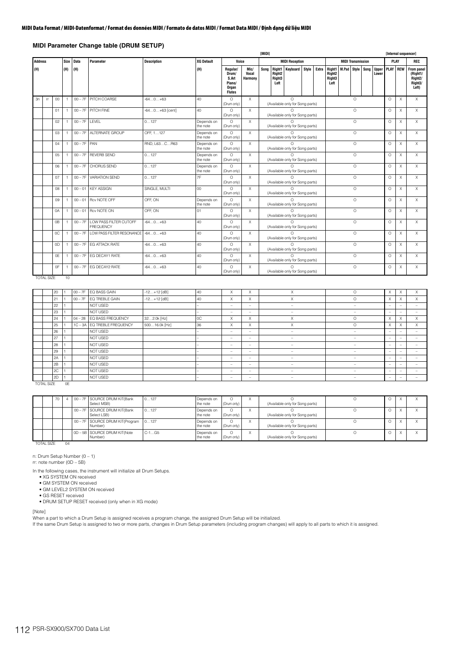### **MIDI Parameter Change table (DRUM SETUP)**

|                |           |                |      |             |                                            |                    |                        |                                                                |                          | <b>TMIDI1</b>                                                                                                                                                                                                  |  |                                           |  |       |                                                                   |                          |          |                |          |          | [Internal sequencer]                                               |
|----------------|-----------|----------------|------|-------------|--------------------------------------------|--------------------|------------------------|----------------------------------------------------------------|--------------------------|----------------------------------------------------------------------------------------------------------------------------------------------------------------------------------------------------------------|--|-------------------------------------------|--|-------|-------------------------------------------------------------------|--------------------------|----------|----------------|----------|----------|--------------------------------------------------------------------|
| <b>Address</b> |           |                | Size | <b>Data</b> | Parameter                                  | <b>Description</b> | <b>XG Default</b>      | Voice                                                          |                          |                                                                                                                                                                                                                |  | <b>MIDI Reception</b>                     |  |       |                                                                   | <b>MIDI Transmission</b> |          |                | PLAY     |          | <b>REC</b>                                                         |
| (H)            |           |                | (H)  | (H)         |                                            |                    | (H)                    | Regular/<br>Drum/<br>S.Art<br>Piano/<br>Organ<br><b>Flutes</b> | Mic/<br>Vocal<br>Harmony | Song<br>Right1<br><b>Keyboard</b> Style<br>Right <sub>2</sub><br>Right <sub>3</sub><br>Left<br>$\bigcap$<br>(Available only for Song parts)<br>$\Omega$<br>(Available only for Song parts)<br>$\cap$<br>$\cap$ |  |                                           |  | Extra | <b>Right1</b><br>Right <sub>2</sub><br>Right <sub>3</sub><br>Left | <b>M.Pad Style Song</b>  |          | Upper<br>Lower | PLAY REW |          | From panel<br>(Right1/<br>Right <sub>2</sub> /<br>Right3/<br>Left) |
| 3n             | <b>rr</b> | 00             |      |             | 00 - 7F PITCH COARSE                       | $-640+63$          | 40                     | $\Omega$<br>(Drum only)                                        | $\times$                 |                                                                                                                                                                                                                |  |                                           |  |       |                                                                   |                          | $\Omega$ |                | $\Omega$ | X        | $\times$                                                           |
|                |           | 01             |      | $00 - 7F$   | PITCH FINE                                 | $-640+63$ [cent]   | 40                     | $\Omega$<br>(Drum only)                                        | $\times$                 |                                                                                                                                                                                                                |  |                                           |  |       |                                                                   |                          | $\circ$  |                | $\circ$  | X        | X                                                                  |
|                |           | 02             |      | $00 - 7F$   | LEVEL                                      | 0127               | Depends on<br>the note | $\Omega$<br>(Drum only)                                        | $\times$                 |                                                                                                                                                                                                                |  |                                           |  |       |                                                                   |                          | $\circ$  |                | $\Omega$ | $\times$ | $\times$                                                           |
|                |           | 03             |      | $00 - 7F$   | ALTERNATE GROUP                            | OFF. 1127          | Depends on<br>the note | $\cap$<br>(Drum only)                                          | $\times$                 | (Available only for Song parts)<br>(Available only for Song parts)<br>(Available only for Song parts)                                                                                                          |  |                                           |  |       |                                                                   |                          | $\circ$  |                | $\circ$  | $\times$ | $\times$                                                           |
|                |           | 04             |      | $00 - 7F$   | PAN                                        | RND, L63CR63       | Depends on<br>the note | $\bigcap$<br>(Drum only)                                       | $\times$                 | (Available only for Song parts)<br>$\cap$                                                                                                                                                                      |  |                                           |  |       |                                                                   |                          | $\Omega$ |                | $\Omega$ | X        | $\times$                                                           |
|                |           | 05             |      | $00 - 7F$   | <b>REVERB SEND</b>                         | 0127               | Depends on<br>the note | $\Omega$<br>(Drum only)                                        | $\times$                 | $\times$                                                                                                                                                                                                       |  |                                           |  |       |                                                                   |                          | $\circ$  |                | $\circ$  | $\times$ | X                                                                  |
|                |           | 06             |      | $00 - 7F$   | <b>CHORUS SEND</b>                         | 0127               | Depends on<br>the note | $\Omega$<br>(Drum only)                                        |                          |                                                                                                                                                                                                                |  | (Available only for Song parts)           |  |       |                                                                   |                          | $\circ$  |                | $\circ$  | X        | X                                                                  |
|                |           | 07             |      | $00 - 7F$   | <b>VARIATION SEND</b>                      | 0127               | 7F                     | $\Omega$<br>(Drum only)                                        | $\times$                 |                                                                                                                                                                                                                |  | $\cap$<br>(Available only for Song parts) |  |       |                                                                   |                          | $\circ$  |                | $\circ$  | $\times$ | $\times$                                                           |
|                |           | 08             |      | $00 - 01$   | <b>KEY ASSIGN</b>                          | SINGLE, MULTI      | $00\,$                 | $\bigcap$<br>(Drum only)                                       | $\times$                 |                                                                                                                                                                                                                |  | $\cap$<br>(Available only for Song parts) |  |       |                                                                   |                          | $\circ$  |                | $\circ$  | X        | X                                                                  |
|                |           | 09             |      | $00 - 01$   | Rcv NOTE OFF                               | OFF ON             | Depends on<br>the note | $\circ$<br>(Drum only)                                         | $\times$                 |                                                                                                                                                                                                                |  | (Available only for Song parts)           |  |       |                                                                   |                          | $\circ$  |                | $\circ$  | X        | $\times$                                                           |
|                |           | 0A             |      | $00 - 01$   | <b>Rcv NOTE ON</b>                         | OFF, ON            | 01                     | $\Omega$<br>(Drum only)                                        | $\times$                 |                                                                                                                                                                                                                |  |                                           |  |       |                                                                   |                          | $\circ$  |                | $\Omega$ | $\times$ | $\times$                                                           |
|                |           | 0 <sub>B</sub> |      | $00 - 7F$   | LOW PASS FILTER CUTOFF<br><b>FREQUENCY</b> | $-640+63$          | 40                     | $\cap$<br>(Drum only)                                          | $\times$                 | (Available only for Song parts)<br>(Available only for Song parts)                                                                                                                                             |  |                                           |  |       |                                                                   |                          | $\Omega$ |                | $\Omega$ | $\times$ | $\times$                                                           |
|                |           | 0C             |      | $00 - 7F$   | LOW PASS FILTER RESONANCE                  | $-640+63$          | 40                     | $\bigcap$<br>(Drum only)                                       | $\times$                 | $\cap$<br>(Available only for Song parts)                                                                                                                                                                      |  |                                           |  |       |                                                                   |                          | $\circ$  |                | $\circ$  | X        | X                                                                  |
|                |           | 0D             |      | $00 - 7F$   | <b>EG ATTACK RATE</b>                      | $-640+63$          | 40                     | $\circ$<br>(Drum only)                                         | $\times$                 | $\cap$<br>(Available only for Song parts)                                                                                                                                                                      |  |                                           |  |       |                                                                   |                          | $\circ$  |                | $\circ$  | $\times$ | X                                                                  |
|                |           | 0E             |      | $00 - 7F$   | EG DECAY1 RATE                             | $-640+63$          | 40                     | $\Omega$<br>(Drum only)                                        | $\times$                 | $\cap$<br>(Available only for Song parts)                                                                                                                                                                      |  |                                           |  |       |                                                                   |                          | $\circ$  |                | $\circ$  | X        | X                                                                  |
|                |           | 0F             |      | $00 - 7F$   | EG DECAY2 RATE                             | $-640+63$          | 40                     | $\Omega$<br>(Drum only)                                        | $\times$                 | $\cap$<br>(Available only for Song parts)                                                                                                                                                                      |  |                                           |  |       |                                                                   |                          | $\Omega$ |                | $\Omega$ | $\times$ | $\times$                                                           |

TOTAL SIZE 10

|            | 20 |        | 00 - 7F EQ BASS GAIN      | $-12+12$ [dB] | 40             | X                        | X                        | X                        | $\circ$                  | X                        | X                         | X        |
|------------|----|--------|---------------------------|---------------|----------------|--------------------------|--------------------------|--------------------------|--------------------------|--------------------------|---------------------------|----------|
|            | 21 |        | 00 - 7F EQ TREBLE GAIN    | $-12+12$ [dB] | 40             | X                        | $\times$                 | X                        | $\Omega$                 | X                        | $\times$                  | $\times$ |
|            | 22 |        | NOT USED                  |               |                | $\sim$                   | $\overline{\phantom{a}}$ | $\overline{\phantom{a}}$ | $\overline{\phantom{a}}$ | $\overline{\phantom{a}}$ | $\overline{\phantom{a}}$  |          |
|            | 23 |        | NOT USED                  |               |                | -                        | $\overline{\phantom{a}}$ | $\overline{\phantom{a}}$ | -                        | -                        | $\overline{\phantom{a}}$  |          |
|            | 24 |        | 04 - 28 EQ BASS FREQUENCY | 322.0k [Hz]   | <sub>0</sub> C | X                        | X                        | X                        | O                        | X                        | X                         | $\times$ |
|            | 25 |        | 1C-3A EQ TREBLE FREQUENCY | 50016.0k [Hz] | 36             | X                        | X                        | X                        | $\circ$                  | X                        | $\checkmark$<br>$\lambda$ | $\times$ |
|            | 26 |        | NOT USED                  |               | -              | $\sim$                   | $\overline{\phantom{a}}$ | $\overline{\phantom{a}}$ | $\qquad \qquad =$        | -                        | -                         |          |
|            | 27 |        | NOT USED                  |               | -              | $\sim$                   | $\overline{\phantom{a}}$ | $\overline{\phantom{a}}$ | $\overline{\phantom{a}}$ | $\overline{\phantom{a}}$ | $\overline{\phantom{a}}$  |          |
|            | 28 |        | NOT USED                  |               |                | -                        | $-$                      | -                        | -                        | -                        | $\overline{\phantom{a}}$  |          |
|            | 29 |        | NOT USED                  |               |                | -                        | $\overline{\phantom{a}}$ | $\overline{\phantom{a}}$ | -                        | $\overline{\phantom{a}}$ | $\overline{\phantom{a}}$  |          |
|            | 2A |        | NOT USED                  |               |                | $\overline{\phantom{a}}$ | $\overline{\phantom{a}}$ | -                        |                          | -                        |                           |          |
|            | 2B |        | NOT USED                  |               | -              | $\sim$                   | $\overline{\phantom{a}}$ | $\overline{\phantom{a}}$ | $\qquad \qquad =$        | -                        | $\overline{\phantom{a}}$  |          |
|            | 2C |        | NOT USED                  |               | -              | $\overline{\phantom{a}}$ | $\overline{\phantom{a}}$ | $\overline{\phantom{a}}$ | $\qquad \qquad =$        | -                        | -                         |          |
|            | 2D |        | NOT USED                  |               | -              | -                        | $-$                      | -                        | -                        | $\overline{\phantom{a}}$ | $\overline{\phantom{a}}$  |          |
| TOTAL CIZE |    | $\cap$ |                           |               |                |                          |                          |                          |                          |                          |                           |          |

TOTAL SIZE 0E

|                   | 70 |    | 00 - 7F SOURCE DRUM KIT(Bank<br>Select MSB)     | 0127    | Depends on<br>the note | (Drum only) | (Available only for Song parts) |  |  |
|-------------------|----|----|-------------------------------------------------|---------|------------------------|-------------|---------------------------------|--|--|
|                   |    |    | 00 - 7F SOURCE DRUM KIT(Bank<br>Select LSB)     | 0127    | Depends on<br>the note | (Drum only) | (Available only for Song parts) |  |  |
|                   |    |    | 00 - 7F SOURCE DRUM KIT(Program 0127<br>Number) |         | Depends on<br>the note | (Drum only) | (Available only for Song parts) |  |  |
|                   |    |    | 0D - 5B SOURCE DRUM KIT(Note<br>Number)         | $C-1G5$ | Depends on<br>the note | (Drum only) | (Available only for Song parts) |  |  |
| <b>TOTAL SIZE</b> |    | 04 |                                                 |         |                        |             |                                 |  |  |

n: Drum Setup Number (0 – 1)

rr: note number (0D – 5B)

In the following cases, the instrument will initialize all Drum Setups.

• XG SYSTEM ON received • GM SYSTEM ON received

• GM LEVEL2 SYSTEM ON received

• GS RESET received

• DRUM SETUP RESET received (only when in XG mode)

#### [Note]

When a part to which a Drum Setup is assigned receives a program change, the assigned Drum Setup will be initialized.

If the same Drum Setup is assigned to two or more parts, changes in Drum Setup parameters (including program changes) will apply to all parts to which it is assigned.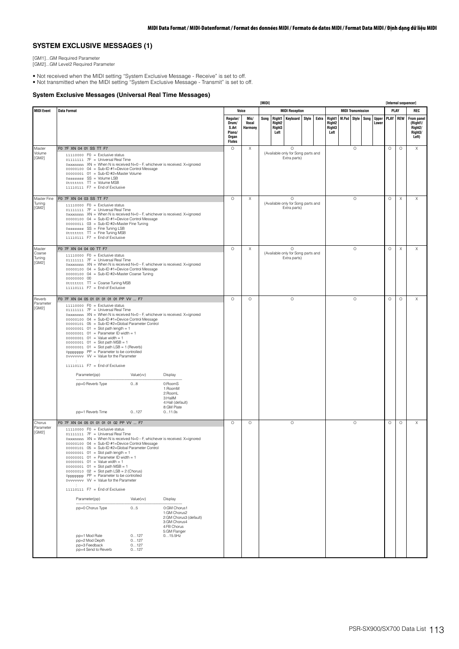## **SYSTEM EXCLUSIVE MESSAGES (1)**

[GM1]...GM Required Parameter

[GM2]...GM Level2 Required Parameter

• Not received when the MIDI setting "System Exclusive Message - Receive" is set to off. • Not transmitted when the MIDI setting "System Exclusive Message - Transmit" is set to off.

### **System Exclusive Messages (Universal Real Time Messages)**

|                                     |                                                                                                                                                                                                                                                                                                                                                                                                                                                                                                                                                                                                                                                                                                                                                                                                                                                                                                                                                    |                                                                |                          | [MIDI] |                                      |                                                               |       |       |                                                |                          |                       |                 |                           | [Internal sequencer]                                              |
|-------------------------------------|----------------------------------------------------------------------------------------------------------------------------------------------------------------------------------------------------------------------------------------------------------------------------------------------------------------------------------------------------------------------------------------------------------------------------------------------------------------------------------------------------------------------------------------------------------------------------------------------------------------------------------------------------------------------------------------------------------------------------------------------------------------------------------------------------------------------------------------------------------------------------------------------------------------------------------------------------|----------------------------------------------------------------|--------------------------|--------|--------------------------------------|---------------------------------------------------------------|-------|-------|------------------------------------------------|--------------------------|-----------------------|-----------------|---------------------------|-------------------------------------------------------------------|
| <b>MIDI Event</b>                   | <b>Data Format</b>                                                                                                                                                                                                                                                                                                                                                                                                                                                                                                                                                                                                                                                                                                                                                                                                                                                                                                                                 |                                                                | Voice                    |        |                                      | <b>MIDI Reception</b>                                         |       |       |                                                | <b>MIDI Transmission</b> |                       |                 | PLAY                      | REC                                                               |
|                                     |                                                                                                                                                                                                                                                                                                                                                                                                                                                                                                                                                                                                                                                                                                                                                                                                                                                                                                                                                    | Regular/<br>Drum/<br>S.Art<br>Piano/<br>Organ<br><b>Flutes</b> | Mic/<br>Vocal<br>Harmony | Song   | Right <sub>2</sub><br>Right3<br>Left | Right1 Keyboard                                               | Style | Extra | Right1<br>Right <sub>2</sub><br>Right3<br>Left | M.Pad Style Song         | <b>Upper</b><br>Lower | <b>PLAY REW</b> |                           | From pane<br>(Right1/<br>Right <sub>2</sub> /<br>Right3/<br>Left) |
| Master<br>Volume<br>[GM2]           | F0 7F XN 04 01 SS TT F7<br>$11110000$ FO = Exclusive status<br>01111111 7F = Universal Real Time<br>0xxxnnnn XN = When N is received N=0 - F, whichever is received. X=ignored<br>00000100 04 = Sub-ID #1=Device Control Message<br>00000001 01 = Sub-ID #2=Master Volume<br>0sssssss SS = Volume LSB<br>Ottttttt TT = Volume MSB<br>11110111    F7 = End of Exclusive                                                                                                                                                                                                                                                                                                                                                                                                                                                                                                                                                                             | $\circ$                                                        | Χ                        |        |                                      | $\circ$<br>(Available only for Song parts and<br>Extra parts) |       |       |                                                | $\circ$                  |                       | O               | O                         | Χ                                                                 |
| Master Fine<br>Tuning<br>[GM2]      | F0 7F XN 04 03 SS TT F7<br>$11110000$ FO = Exclusive status<br>01111111 7F = Universal Real Time<br>0xxxnnnn XN = When N is received N=0 - F, whichever is received. X=ignored<br>00000100 04 = Sub-ID #1=Device Control Message<br>00000011 03 = Sub-ID #2=Master Fine Tuning<br>0sssssss SS = Fine Tuning LSB<br>Ottttttt TT = Fine Tuning MSB<br>$11110111$ F7 = End of Exclusive                                                                                                                                                                                                                                                                                                                                                                                                                                                                                                                                                               | $\circ$                                                        | X                        |        |                                      | $\circ$<br>(Available only for Song parts and<br>Extra parts) |       |       |                                                | $\circ$                  |                       | $\circ$         | X                         | X                                                                 |
| Master<br>Coarse<br>Tuning<br>[GM2] | F0 7F XN 04 04 00 TT F7<br>$11110000$ FO = Exclusive status<br>01111111 7F = Universal Real Time<br>0xxxnnnn XN = When N is received N=0 - F, whichever is received. X=ignored<br>00000100 04 = Sub-ID #1=Device Control Message<br>00000100 04 = Sub-ID #2=Master Coarse Tuning<br>00000000 00<br>Otttttt TT = Coarse Tuning MSB<br>$11110111$ F7 = End of Exclusive                                                                                                                                                                                                                                                                                                                                                                                                                                                                                                                                                                              | $\circ$                                                        | $\times$                 |        |                                      | $\circ$<br>(Available only for Song parts and<br>Extra parts) |       |       |                                                | $\circ$                  |                       | $\circ$         | $\boldsymbol{\mathsf{X}}$ | X                                                                 |
| Reverb<br>Parameter<br>[GM2]        | F0 7F XN 04 05 01 01 01 01 01 PP VV  F7<br>$11110000$ F0 = Exclusive status<br>01111111 7F = Universal Real Time<br>0xxxnnnn XN = When N is received N=0 - F, whichever is received. X=ignored<br>00000100 04 = Sub-ID #1=Device Control Message<br>00000101 05 = Sub-ID #2=Global Parameter Control<br>$00000001$ $01 =$ Slot path length = 1<br>00000001 01 = Parameter ID width = 1<br>$00000001$ $01 =$ Value width = 1<br>$00000001$ $01 =$ Slot path MSB = 1<br>$00000001$ $01 =$ Slot path LSB = 1 (Reverb)<br>0ppppppp $PP = Parameter to be controlled$<br>0vvvvvvv VV = Value for the Parameter<br>11110111    F7 = End of Exclusive<br>Parameter(pp)<br>Value(vv)<br>Display<br>0:RoomS<br>pp=0 Reverb Type<br>08<br>1:RoomM<br>2:RoomL<br>3:HallM<br>4:Hall (default)<br>8:GM Plate<br>pp=1 Reverb Time<br>0127<br>011.0s                                                                                                              | $\circ$                                                        | $\circ$                  |        |                                      | $\circ$                                                       |       |       |                                                | $\circ$                  |                       | $\circ$         | $\circ$                   | X                                                                 |
| Chorus<br>Parameter<br>[GM2]        | F0 7F XN 04 05 01 01 01 01 02 PP VV  F7<br>$11110000$ FO = Exclusive status<br>01111111 7F = Universal Real Time<br>0xxxnnnn XN = When N is received N=0 - F, whichever is received. X=ignored<br>00000100 04 = Sub-ID #1=Device Control Message<br>00000101 05 = Sub-ID #2=Global Parameter Control<br>$00000001$ $01 =$ Slot path length = 1<br>$00000001$ $01$ = Parameter ID width = 1<br>$00000001$ $01 =$ Value width = 1<br>$00000001$ $01 =$ Slot path MSB = 1<br>$00000010$ $02 =$ Slot path LSB = 2 (Chorus)<br>0ppppppp PP = Parameter to be controlled<br>0vvvvvvv VV = Value for the Parameter<br>11110111    F7 = End of Exclusive<br>Parameter(pp)<br>Value(vv)<br>Display<br>0:GM Chorus1<br>pp=0 Chorus Type<br>05<br>1:GM Chorus2<br>2:GM Chorus3 (default)<br>3:GM Chorus4<br>4:FB Chorus<br>5:GM Flanger<br>pp=1 Mod Rate<br>015.5Hz<br>0127<br>pp=2 Mod Depth<br>0127<br>pp=3 Feedback<br>0127<br>pp=4 Send to Reverb<br>0127 | $\circ$                                                        | $\circ$                  |        |                                      | $\circ$                                                       |       |       |                                                | $\circ$                  |                       | $\circ$         | $\circ$                   | X                                                                 |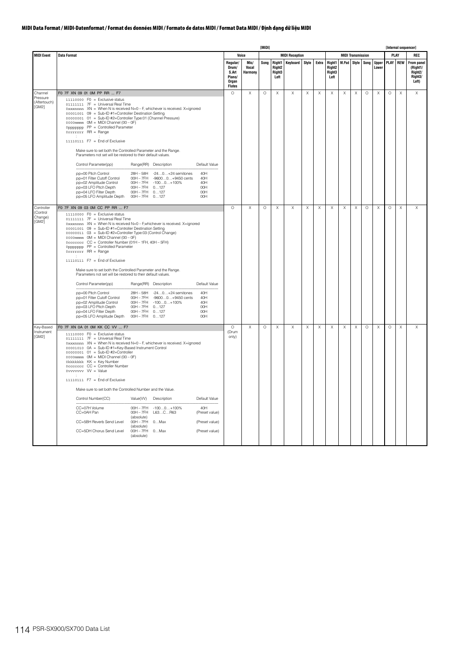|                                   |                                                                                                                                                                                                                                                                                                                                                                                                                                                                                                                                                                                                                                                                                                                                                                                                                                                                                                                                                                                                                                                                  | [MIDI]                                                         |                          |         |                                                  |                       |          |                           |                                                |          |                           |          | [Internal sequencer]  |          |             |                                                                           |  |  |
|-----------------------------------|------------------------------------------------------------------------------------------------------------------------------------------------------------------------------------------------------------------------------------------------------------------------------------------------------------------------------------------------------------------------------------------------------------------------------------------------------------------------------------------------------------------------------------------------------------------------------------------------------------------------------------------------------------------------------------------------------------------------------------------------------------------------------------------------------------------------------------------------------------------------------------------------------------------------------------------------------------------------------------------------------------------------------------------------------------------|----------------------------------------------------------------|--------------------------|---------|--------------------------------------------------|-----------------------|----------|---------------------------|------------------------------------------------|----------|---------------------------|----------|-----------------------|----------|-------------|---------------------------------------------------------------------------|--|--|
| <b>MIDI Event</b>                 | <b>Data Format</b>                                                                                                                                                                                                                                                                                                                                                                                                                                                                                                                                                                                                                                                                                                                                                                                                                                                                                                                                                                                                                                               |                                                                | Voice                    |         |                                                  | <b>MIDI Reception</b> |          |                           |                                                |          | <b>MIDI Transmission</b>  |          |                       |          | PLAY        | REC                                                                       |  |  |
|                                   |                                                                                                                                                                                                                                                                                                                                                                                                                                                                                                                                                                                                                                                                                                                                                                                                                                                                                                                                                                                                                                                                  | Regular/<br>Drum/<br>S.Art<br>Piano/<br>Organ<br><b>Flutes</b> | Mic/<br>Vocal<br>Harmony | Song    | Right <sub>2</sub><br>Right <sub>3</sub><br>Left | Right1 Keyboard       | Style    | Extra                     | Right1<br>Right <sub>2</sub><br>Right3<br>Left | M.Pad    | <b>Style</b>              | Song     | <b>Upper</b><br>Lower | PLAY REW |             | <b>From panel</b><br>(Right1/<br>Right <sub>2</sub> /<br>Right3/<br>Left) |  |  |
| Channel                           | F0 7F XN 09 01 0M PP RR  F7                                                                                                                                                                                                                                                                                                                                                                                                                                                                                                                                                                                                                                                                                                                                                                                                                                                                                                                                                                                                                                      | $\circ$                                                        | X                        | $\circ$ | $\times$                                         | X                     | X        | Χ                         | Χ                                              | X        | X                         | $\circ$  | Χ                     | $\circ$  | X           | X                                                                         |  |  |
| Pressure<br>(Aftertouch)<br>[GM2] | $11110000$ F0 = Exclusive status<br>01111111 7F = Universal Real Time<br>0xxxnnnn XN = When N is received N=0 - F, whichever is received. X=ignored<br>00001001 09 = Sub-ID #1=Controller Destination Setting<br>00000001 01 = Sub-ID #2=Controller Type:01 (Channel Pressure)<br>$0000$ mmmm $OM = MIDI$ Channel $(00 - OF)$<br>0ppppppp PP = Controlled Parameter<br>Orrrrrrr RR = Range<br>11110111   F7 = End of Exclusive                                                                                                                                                                                                                                                                                                                                                                                                                                                                                                                                                                                                                                   |                                                                |                          |         |                                                  |                       |          |                           |                                                |          |                           |          |                       |          |             |                                                                           |  |  |
|                                   | Make sure to set both the Controlled Parameter and the Range.<br>Parameters not set will be restored to their default values.                                                                                                                                                                                                                                                                                                                                                                                                                                                                                                                                                                                                                                                                                                                                                                                                                                                                                                                                    |                                                                |                          |         |                                                  |                       |          |                           |                                                |          |                           |          |                       |          |             |                                                                           |  |  |
|                                   | Control Parameter(pp)<br>Range(RR) Description<br>Default Value                                                                                                                                                                                                                                                                                                                                                                                                                                                                                                                                                                                                                                                                                                                                                                                                                                                                                                                                                                                                  |                                                                |                          |         |                                                  |                       |          |                           |                                                |          |                           |          |                       |          |             |                                                                           |  |  |
|                                   | pp=00 Pitch Control<br>28H - 58H - 24 0 + 24 semitones<br>40H<br>pp=01 Filter Cutoff Control<br>$OOH - 7FH$<br>-96000+9450 cents<br>40H<br>pp=02 Amplitude Control<br>00H - 7FH - 1000+100%<br>40H<br>pp=03 LFO Pitch Depth<br>00H - 7FH 0127<br>00H<br>pp=04 LFO Filter Depth<br>00H - 7FH 0127<br>00H<br>pp=05 LFO Amplitude Depth<br>00H - 7FH 0127<br>00H                                                                                                                                                                                                                                                                                                                                                                                                                                                                                                                                                                                                                                                                                                    |                                                                |                          |         |                                                  |                       |          |                           |                                                |          |                           |          |                       |          |             |                                                                           |  |  |
| Controller                        | F0 7F XN 09 03 0M CC PP RR  F7                                                                                                                                                                                                                                                                                                                                                                                                                                                                                                                                                                                                                                                                                                                                                                                                                                                                                                                                                                                                                                   | $\circ$                                                        | $\times$                 | $\circ$ | Χ                                                | X                     | X        | $\boldsymbol{\mathsf{X}}$ | X                                              | X        | $\boldsymbol{\mathsf{X}}$ | $\circ$  | X                     | $\circ$  | X           | X                                                                         |  |  |
| (Control<br>Change)<br>[GM2]      | $11110000$ F0 = Exclusive status<br>01111111 7F = Universal Real Time<br>0xxxnnnn XN = When N is received N=0 - F, whichever is received. X=ignored<br>00001001 09 = Sub-ID #1=Controller Destination Setting<br>00000011 03 = Sub-ID #2=Controller Type:03 (Control Change)<br>$0000$ mmmm $OM = MIDI Channel (OO - OF)$<br>0ccccccc CC = Controller Number (01H - 1FH, 40H - 5FH)<br>0ppppppp PP = Controlled Parameter<br>Orrrrrrr RR = Range<br>11110111 F7 = End of Exclusive<br>Make sure to set both the Controlled Parameter and the Range.<br>Parameters not set will be restored to their default values.<br>Control Parameter(pp)<br>Range(RR) Description<br>Default Value<br>pp=00 Pitch Control<br>28H - 58H - 240+24 semitones<br>40H<br>$OOH - 7FH$<br>pp=01 Filter Cutoff Control<br>-96000+9450 cents<br>40H<br>$00H - 7FH$<br>40H<br>pp=02 Amplitude Control<br>$-1000+100\%$<br>pp=03 LFO Pitch Depth<br>$00H - 7FH$<br>00H<br>0127<br>00H - 7FH 0127<br>pp=04 LFO Filter Depth<br>OOH<br>pp=05 LFO Amplitude Depth<br>00H - 7FH 0127<br>00H |                                                                |                          |         |                                                  |                       |          |                           |                                                |          |                           |          |                       |          |             |                                                                           |  |  |
| Key-Based<br>Instrument<br>[GM2]  | F0 7F XN 0A 01 0M KK CC VV  F7<br>$11110000$ F0 = Exclusive status<br>01111111 7F = Universal Real Time<br>0xxxnnnn XN = When N is received N=0 - F, whichever is received. X=ignored<br>00001010 OA = Sub-ID #1=Key-Based Instrument Control<br>00000001 01 = Sub-ID #2=Controller<br>0000mmmm OM = MIDI Channel (00 - 0F)<br>Okkkkkkk KK = Key Number<br>0ccccccc CC = Controller Number<br>0vvvvvvv VV = Value<br>$11110111$ F7 = End of Exclusive<br>Make sure to set both the Controlled Number and the Value.<br>Control Number(CC)<br>Value(VV)<br>Default Value<br>Description<br>CC=07H Volume<br>$00H - 7FH$<br>$-1000+100\%$<br>40H<br>CC=0AH Pan<br>$OOH - 7FH$<br>L63CR63<br>(Preset value)<br>(absolute)<br>CC=5BH Reverb Send Level<br>$OOH - 7FH$<br>0Max<br>(Preset value)<br>(absolute)<br>CC=5DH Chorus Send Level<br>00H - 7FH 0 Max<br>(Preset value)<br>(absolute)                                                                                                                                                                         | $\circ$<br>(Drum<br>only)                                      | $\times$                 | $\circ$ | X                                                | $\times$              | $\times$ | $\times$                  | $\times$                                       | $\times$ | $\times$                  | $\Omega$ | X                     | $\circ$  | $\mathsf X$ | $\times$                                                                  |  |  |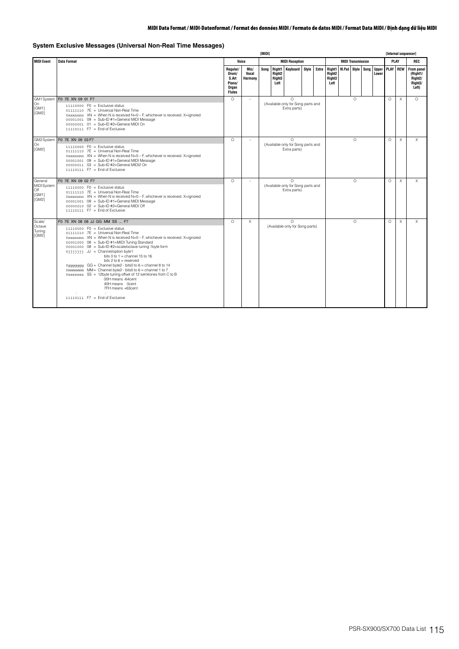## **System Exclusive Messages (Universal Non-Real Time Messages)**

|                                                 |                                                                                                                                                                                                                                                                                                                                                                                                                                                                                                                                                                                                                                              |                                                                |                                 |                       | <b>IMIDII</b>                                              |                                                                |  |  |                                                                        |                          |            |  |                       |          | [Internal sequencer] |                                                                                    |
|-------------------------------------------------|----------------------------------------------------------------------------------------------------------------------------------------------------------------------------------------------------------------------------------------------------------------------------------------------------------------------------------------------------------------------------------------------------------------------------------------------------------------------------------------------------------------------------------------------------------------------------------------------------------------------------------------------|----------------------------------------------------------------|---------------------------------|-----------------------|------------------------------------------------------------|----------------------------------------------------------------|--|--|------------------------------------------------------------------------|--------------------------|------------|--|-----------------------|----------|----------------------|------------------------------------------------------------------------------------|
| <b>MIDI Event</b>                               | <b>Data Format</b>                                                                                                                                                                                                                                                                                                                                                                                                                                                                                                                                                                                                                           |                                                                | Voice                           | <b>MIDI Reception</b> |                                                            |                                                                |  |  |                                                                        | <b>MIDI Transmission</b> |            |  |                       |          |                      | REC                                                                                |
|                                                 |                                                                                                                                                                                                                                                                                                                                                                                                                                                                                                                                                                                                                                              | Regular/<br>Drum/<br>S.Art<br>Piano/<br>Organ<br><b>Flutes</b> | Mic/<br>Vocal<br><b>Harmony</b> | Song                  | Right1<br>Right <sub>2</sub><br>Right <sub>3</sub><br>Left | <b>Keyboard Style</b>                                          |  |  | Extra Right1 M.Pad<br>Right <sub>2</sub><br>Right <sub>3</sub><br>Left |                          | Style Song |  | <b>Upper</b><br>Lower |          |                      | <b>PLAY REW From panel</b><br>(Right1/<br>Right <sub>2</sub> /<br>Right3/<br>Left) |
| On<br>[GM1]<br>GM21                             | GM1 System F0 7E XN 09 01 F7<br>$11110000$ FO = Exclusive status<br>01111110 7E = Universal Non-Real Time<br>$0$ xxxnnnn XN = When N is received N=0 - F, whichever is received. X=ignored<br>00001001 09 = Sub-ID #1=General MIDI Message<br>00000001 01 = Sub-ID #2=General MIDI On<br>$11110111$ F7 = End of Exclusive                                                                                                                                                                                                                                                                                                                    | $\Omega$                                                       | ÷                               |                       |                                                            | $\Omega$<br>(Available only for Song parts and<br>Extra parts) |  |  |                                                                        |                          | $\Omega$   |  |                       | $\Omega$ | $\times$             | $\Omega$                                                                           |
| On<br>[GM2]                                     | GM2System F0 7E XN 09 03 F7<br>$11110000$ F0 = Exclusive status<br>01111110 7E = Universal Non-Real Time<br>$0$ xxxnnnn XN = When N is received N=0 - F, whichever is received. X=ignored<br>00001001 09 = Sub-ID #1=General MIDI Message<br>00000011 03 = Sub-ID #2=General MIDI2 On<br>$11110111$ $F7 =$ Fnd of Exclusive                                                                                                                                                                                                                                                                                                                  | $\Omega$                                                       | ÷                               |                       |                                                            | $\Omega$<br>(Available only for Song parts and<br>Extra parts) |  |  |                                                                        |                          | $\Omega$   |  |                       | $\Omega$ | X                    | X                                                                                  |
| General<br>MIDI System<br>Off<br>[GM1]<br>[GM2] | F0 7E XN 09 02 F7<br>$11110000$ FO = Exclusive status<br>01111110 7E = Universal Non-Real Time<br>0xxxnnnn $XN =$ When N is received $N=0-F$ , whichever is received. X=ignored<br>00001001 09 = Sub-ID #1=General MIDI Message<br>00000010 02 = Sub-ID #2=General MIDI Off<br>$11110111$ F7 = End of Exclusive                                                                                                                                                                                                                                                                                                                              | $\Omega$                                                       | ÷                               |                       |                                                            | $\Omega$<br>(Available only for Song parts and<br>Extra parts) |  |  |                                                                        |                          | $\Omega$   |  |                       | $\Omega$ | $\times$             | $\times$                                                                           |
| Scale/<br>Octave<br>Tuning<br>[GM2]             | F0 7E XN 08 08 JJ GG MM SS  F7<br>$11110000$ FO = Exclusive status<br>01111110 7E = Universal Non-Real Time<br>0xxxnnnn $XN =$ When N is received $N=0-F$ , whichever is received. X=ignored<br>00001000 08 = Sub-ID #1=MIDI Tuning Standard<br>00001000 08 = Sub-ID #2=scale/octave tuning 1byte form<br>0jjjjjjj JJ = Channel/option byte1<br>bits 0 to $1$ = channel 15 to 16<br>bits $2$ to $6$ = reserved<br>0mmmmmm MM= Channel byte2 - bits0 to 6 = channel 1 to 7<br>0sssssss SS = 12byte tuning offset of 12 semitones from C to B<br>00H means -64cent<br>40H means 0cent<br>7FH means +63cent<br>$11110111$ F7 = End of Exclusive | $\cap$                                                         | $\times$                        |                       |                                                            | $\Omega$<br>(Available only for Song parts)                    |  |  |                                                                        |                          | $\Omega$   |  |                       | $\Omega$ | X                    | $\times$                                                                           |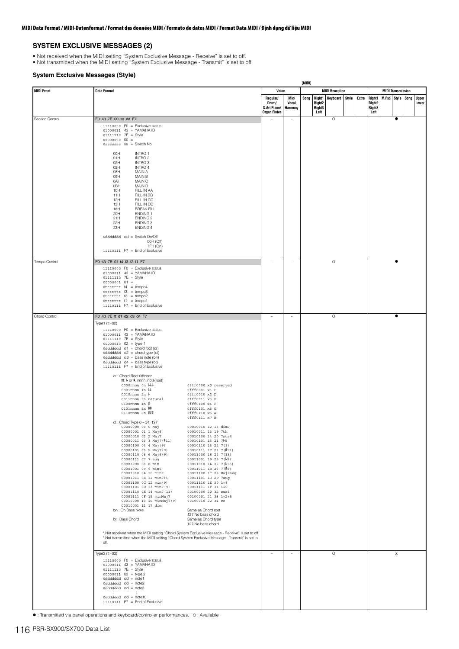### **SYSTEM EXCLUSIVE MESSAGES (2)**

- 
- Not received when the MIDI setting "System Exclusive Message Receive" is set to off. Not transmitted when the MIDI setting "System Exclusive Message Transmit" is set to off.

### **System Exclusive Messages (Style)**

|                   |                                                                                                                                                                                                                                                                                                                                                                                                                                                                                                                                                                                                                                                                                                                                                                                                                                                                                                                                                                                                                                                                                                                                                                                                                                                                                                                                                                                                                                                                                                                                                                                                                                                                                                                                                                                                                                                                                                           |                                            |                          | [MIDI] |                  |                                                |       |                                   |                         |                          |                       |
|-------------------|-----------------------------------------------------------------------------------------------------------------------------------------------------------------------------------------------------------------------------------------------------------------------------------------------------------------------------------------------------------------------------------------------------------------------------------------------------------------------------------------------------------------------------------------------------------------------------------------------------------------------------------------------------------------------------------------------------------------------------------------------------------------------------------------------------------------------------------------------------------------------------------------------------------------------------------------------------------------------------------------------------------------------------------------------------------------------------------------------------------------------------------------------------------------------------------------------------------------------------------------------------------------------------------------------------------------------------------------------------------------------------------------------------------------------------------------------------------------------------------------------------------------------------------------------------------------------------------------------------------------------------------------------------------------------------------------------------------------------------------------------------------------------------------------------------------------------------------------------------------------------------------------------------------|--------------------------------------------|--------------------------|--------|------------------|------------------------------------------------|-------|-----------------------------------|-------------------------|--------------------------|-----------------------|
| <b>MIDI Event</b> | <b>Data Format</b>                                                                                                                                                                                                                                                                                                                                                                                                                                                                                                                                                                                                                                                                                                                                                                                                                                                                                                                                                                                                                                                                                                                                                                                                                                                                                                                                                                                                                                                                                                                                                                                                                                                                                                                                                                                                                                                                                        | Voice<br>Regular/<br>Drum/<br>S.Art Piano/ | Mic/<br>Vocal<br>Harmony | Song   | Right2<br>Right3 | <b>MIDI Reception</b><br>Right1 Keyboard Style | Extra | <b>Right1</b><br>Right2<br>Right3 | <b>M.Pad Style Song</b> | <b>MIDI Transmission</b> | <b>Upper</b><br>Lower |
|                   |                                                                                                                                                                                                                                                                                                                                                                                                                                                                                                                                                                                                                                                                                                                                                                                                                                                                                                                                                                                                                                                                                                                                                                                                                                                                                                                                                                                                                                                                                                                                                                                                                                                                                                                                                                                                                                                                                                           | <b>Organ Flutes</b>                        |                          |        | Left             |                                                |       | Left                              |                         |                          |                       |
| Section Control   | F0 43 7E 00 ss dd F7<br>$11110000$ FO = Exclusive status<br>01000011 43 = YAMAHA ID<br>$01111110$ $7E = Style$<br>$000000000000 =$<br>0sssssss $ss =$ Switch No.                                                                                                                                                                                                                                                                                                                                                                                                                                                                                                                                                                                                                                                                                                                                                                                                                                                                                                                                                                                                                                                                                                                                                                                                                                                                                                                                                                                                                                                                                                                                                                                                                                                                                                                                          |                                            | $\overline{\phantom{a}}$ |        |                  | $\circ$                                        |       |                                   |                         | $\bullet$                |                       |
| Tempo Control     | 00H<br>INTRO 1<br>INTRO <sub>2</sub><br>01H<br>INTRO <sub>3</sub><br>02H<br>INTRO 4<br>03H<br>O8H<br>MAIN A<br>MAIN B<br>09H<br>MAIN C<br>0AH<br>MAIN D<br><b>OBH</b><br>10H<br>FILL IN AA<br>11H<br>FILL IN BB<br>12H<br>FILL IN CC<br>13H<br>FILL IN DD<br>18H<br><b>BREAK FILL</b><br>20H<br><b>ENDING 1</b><br>21H<br><b>ENDING 2</b><br>22H<br>ENDING 3<br>23H<br><b>ENDING 4</b><br>0dddddd dd = Switch On/Off<br>00H (Off)<br>7FH (On)<br>11110111    F7 = End of Exclusive<br>F0 43 7E 01 t4 t3 t2 t1 F7<br>$11110000$ F0 = Exclusive status<br>01000011 43 = YAMAHA ID<br>01111110 7E = Style<br>$00000001$ $01 =$                                                                                                                                                                                                                                                                                                                                                                                                                                                                                                                                                                                                                                                                                                                                                                                                                                                                                                                                                                                                                                                                                                                                                                                                                                                                               | ۰                                          | $\sim$                   |        |                  | $\circ$                                        |       |                                   |                         | $\bullet$                |                       |
| Chord Control     | $0$ ttttttt $14 = tempo4$<br>$0$ ttttttt $13$ = tempo3<br>$0$ tttttt $t2 = tempo2$<br>$0$ ttttttt $11$ = tempo1<br>$11110111$ F7 = End of Exclusive<br>F0 43 7E tt d1 d2 d3 d4 F7                                                                                                                                                                                                                                                                                                                                                                                                                                                                                                                                                                                                                                                                                                                                                                                                                                                                                                                                                                                                                                                                                                                                                                                                                                                                                                                                                                                                                                                                                                                                                                                                                                                                                                                         |                                            | $\overline{a}$           |        |                  | $\circ$                                        |       |                                   |                         | $\bullet$                |                       |
|                   | Type1 (tt=02)<br>$11110000$ FO = Exclusive status<br>01000011 43 = YAMAHA ID<br>01111110 7E = Style<br>$00000010$ $02 = type 1$<br>0dddddd $d$ d1 = chord root (cr)<br>0dddddd $d2$ = chord type (ct)<br>0dddddd $d3 =$ bass note (bn)<br>0dddddd $d4 =$ bass type (bt)<br>$11110111$ F7 = End of Exclusive<br>cr : Chord Root Offfnnnn<br>fff: b or #, nnnn: note(root)<br>0000nnnn 0n bbb<br>Offf0000 x0 reserved<br>0001nnnn 1n bb<br>0fff0001 x1 C<br>0010nnnn 2n b<br>0fff0010 x2 D<br>0011nnnn 3n natural<br>0fff0011 x3 E<br>0100nnnn 4n #<br>0fff0100 x4 F<br>0101nnnn 5n #<br>0fff0101 x5 G<br>0110nnnn 6n ##<br>0fff0110 x6 A<br>0fff0111 x7 B<br>ct: Chord Type 0 - 34, 127<br>00000000 00 0 Maj<br>00010010 12 18 dim7<br>00000001 01 1 Maj6<br>00010011 13 19 7th<br>00000010 02 2 Maj7<br>00010100 14 20 7sus4<br>00010101 15 21 765<br>00000011 03 3 Maj7(#11)<br>00000100 04 4 Maj (9)<br>00010110 16 22 7(9)<br>00010111 17 23 7(#11)<br>00000101 05 5 Maj7(9)<br>00000110 06 6 Maj6(9)<br>00011000 18 24 7 (13)<br>$00011001$ 19 25 7( $b9$ )<br>00000111 07 7 aug<br>00001000 08 8 min<br>$00011010$ 1A 26 7( $b13$ )<br>00001001 09 9 min6<br>00011011 1B 27 7(#9)<br>00001010 0A 10 min7<br>00011100 1C 28 Maj7aug<br>00001011 0B 11 min7 5<br>00011101 1D 29 7aug<br>00001100 0C 12 min(9)<br>00011110 1E 30 1+8<br>00011111 1F 31 1+5<br>00001101 0D 13 min7(9)<br>00001110 0E 14 min7(11)<br>00100000 20 32 sus4<br>00001111 OF 15 minMaj7<br>00100001 21 33 1+2+5<br>00100010 22 34 cc<br>00010000 10 16 minMaj7(9)<br>00010001 11 17 dim<br>bn: On Bass Note<br>Same as Chord root<br>127:No bass chord<br>bt: Bass Chord<br>Same as Chord type<br>127:No bass chord<br>* Not received when the MIDI setting "Chord System Exclusive Message - Receive" is set to off.<br>* Not transmitted when the MIDI setting "Chord System Exclusive Message - Transmit" is set to<br>off. |                                            |                          |        |                  |                                                |       |                                   |                         |                          |                       |
|                   | Type $2$ (tt=03)<br>$11110000$ F0 = Exclusive status<br>01000011 43 = YAMAHA ID<br>01111110 7E = Style<br>$00000011$ $03 = type2$<br>0ddddddd dd = note1<br>0dddddd dd = note2<br>0dddddd dd = note3<br><b>STAR</b><br>$\pm$<br>0dddddd dd = note10<br>11110111    F7 = End of Exclusive                                                                                                                                                                                                                                                                                                                                                                                                                                                                                                                                                                                                                                                                                                                                                                                                                                                                                                                                                                                                                                                                                                                                                                                                                                                                                                                                                                                                                                                                                                                                                                                                                  | $\overline{\phantom{0}}$                   | $\overline{\phantom{a}}$ |        |                  | $\circ$                                        |       |                                   |                         | Χ                        |                       |

: Transmitted via panel operations and keyboard/controller performances. O : Available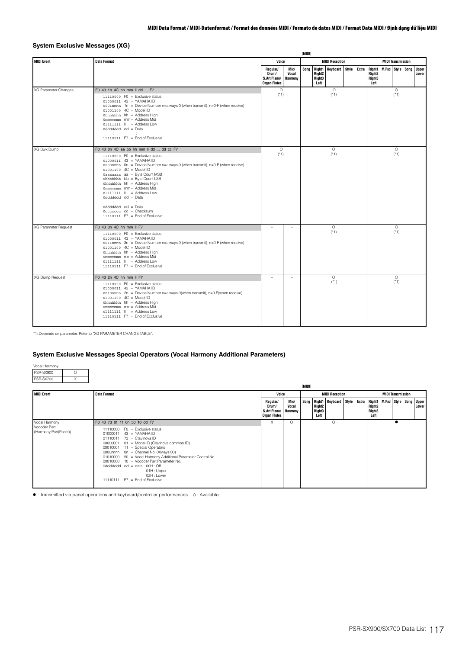## **System Exclusive Messages (XG)**

| <b>MIDI Event</b>    | <b>Data Format</b>                                                                                                                                                                                                                                                                                                                                                                                                                                                                                                           | Voice                                                    |                                 |      |                                                  | <b>MIDI Reception</b> |  |                                                                  | <b>MIDI Transmission</b> |                   |  |                       |  |
|----------------------|------------------------------------------------------------------------------------------------------------------------------------------------------------------------------------------------------------------------------------------------------------------------------------------------------------------------------------------------------------------------------------------------------------------------------------------------------------------------------------------------------------------------------|----------------------------------------------------------|---------------------------------|------|--------------------------------------------------|-----------------------|--|------------------------------------------------------------------|--------------------------|-------------------|--|-----------------------|--|
|                      |                                                                                                                                                                                                                                                                                                                                                                                                                                                                                                                              | Regular/<br>Drum/<br>S.Art Piano/<br><b>Organ Flutes</b> | Mic/<br>Vocal<br><b>Harmony</b> | Sona | Right <sub>2</sub><br>Right <sub>3</sub><br>Left | Right1 Keyboard Style |  | Extra Right1<br>Right <sub>2</sub><br>Right <sub>3</sub><br>Left | M.Pad Style Song         |                   |  | <b>Upper</b><br>Lower |  |
| XG Parameter Changes | F0 43 1n 4C hh mm II dd  F7<br>$11110000$ FO = Exclusive status<br>01000011 43 = YAMAHA ID<br>0001nnnn 1n = Device Number n=always 0 (when transmit), n=0-F (when receive)<br>$01001100$ $4C = Model ID$<br>0hhhhhhh hh = Address High<br>0mmmmmmm mm= Address Mid<br>$01111111$ $   =$ Address Low<br>$0d\ddot{d}d\ddot{d}d$ $dd = Data$<br>11110111    F7 = End of Exclusive                                                                                                                                               | $\circ$<br>$(*1)$                                        |                                 |      |                                                  | $\circ$<br>$(*1)$     |  |                                                                  |                          | $\circ$<br>$(*1)$ |  |                       |  |
| XG Bulk Dump         | F0 43 0n 4C aa bb hh mm ll dd  dd cc F7<br>$11110000$ FO = Exclusive status<br>01000011 43 = YAMAHA ID<br>0000nnnn On = Device Number n=always 0 (when transmit), n=0-F (when receive)<br>01001100 4C = Model ID<br>0aaaaaaa aa = Byte Count MSB<br>0bbbbbbb bb = Byte Count LSB<br>0hhhhhhh hh = Address High<br>0mmmmmmm mm= Address Mid<br>$01111111$ $   =$ Address Low<br>$0d\ddot{d}d\ddot{d}d$ $dd = Data$<br>$\pm$ .<br>100<br>0dddddd dd = Data<br>$0$ cccccccc $cc =$ Checksum<br>$11110111$ F7 = End of Exclusive | $\circ$<br>$(*1)$                                        |                                 |      |                                                  | $\circ$<br>$(*1)$     |  |                                                                  |                          | $\circ$<br>$(*1)$ |  |                       |  |
| XG Parameter Request | F0 43 3n 4C hh mm II F7<br>$11110000$ FO = Exclusive status<br>01000011 43 = YAMAHA ID<br>0011nnnn 3n = Device Number n=always 0 (when transmit), n=0-F (when receive)<br>01001100 4C = Model ID<br>0hhhhhhh hh = Address High<br>0mmmmmmm mm= Address Mid<br>01111111    = Address Low<br>$11110111$ F7 = End of Exclusive                                                                                                                                                                                                  |                                                          | $\sim$                          |      |                                                  | $\circ$<br>$(*1)$     |  |                                                                  |                          | $\circ$<br>$(*1)$ |  |                       |  |
| XG Dump Request      | F0 43 2n 4C hh mm II F7<br>$11110000$ FO = Exclusive status<br>01000011 43 = YAMAHA ID<br>0010nnnn 2n = Device Number n=always 0(when transmit), n=0-F(when receive)<br>01001100  4C = Model ID<br>0hhhhhhh hh = Address High<br>0mmmmmmm mm= Address Mid<br>01111111    = Address Low<br>$11110111$ F7 = End of Exclusive                                                                                                                                                                                                   | $\sim$                                                   | $\sim$                          |      |                                                  | $\circ$<br>$(*1)$     |  |                                                                  |                          | $\circ$<br>$(*1)$ |  |                       |  |

\*1: Depends on parameter. Refer to "XG PARAMETER CHANGE TABLE".

## **System Exclusive Messages Special Operators (Vocal Harmony Additional Parameters)**

| Vocal Harmony |  |
|---------------|--|
| PSR-SX900     |  |
| PSR-SX700     |  |

|                                                        |                                                                                                                                                                                                                                                                                                                                                                                                                                                                       | [MIDI]                                                   |                                 |  |                                      |                                                                          |  |                                                  |                          |                       |
|--------------------------------------------------------|-----------------------------------------------------------------------------------------------------------------------------------------------------------------------------------------------------------------------------------------------------------------------------------------------------------------------------------------------------------------------------------------------------------------------------------------------------------------------|----------------------------------------------------------|---------------------------------|--|--------------------------------------|--------------------------------------------------------------------------|--|--------------------------------------------------|--------------------------|-----------------------|
| <b>MIDI Event</b>                                      | <b>Data Format</b>                                                                                                                                                                                                                                                                                                                                                                                                                                                    | Voice                                                    |                                 |  |                                      | <b>MIDI Reception</b>                                                    |  |                                                  | <b>MIDI Transmission</b> |                       |
|                                                        |                                                                                                                                                                                                                                                                                                                                                                                                                                                                       | Regular/<br>Drum/<br>S.Art Piano/<br><b>Organ Flutes</b> | Mic/<br>Vocal<br><b>Harmony</b> |  | Right <sub>2</sub><br>Right3<br>Left | Song   Right1   Keyboard   Style   Extra   Right1   M.Pad   Style   Song |  | Right <sub>2</sub><br>Right <sub>3</sub><br>Left |                          | <b>Upper</b><br>Lower |
| Vocal Harmony<br>Vocoder Part<br>(Harmony Part(Panel)) | F0 43 73 01 11 0n 50 10 dd F7<br>$11110000$ F0 = Exclusive status<br>$01000011$ 43 = YAMAHA ID<br>01110011 73 = Clavinova ID<br>00000001 01 = Model ID (Clavinova common ID)<br>00010001 11 = Special Operators<br>0000nnnn 0n = Channel No. (Always 00)<br>01010000 50 = Vocal Harmony Additional Parameter Control No.<br>00010000 10 = Vocoder Part Parameter No.<br>0ddddddd dd = data $00H:$ Off<br>01H: Upper<br>02H: Lower<br>$11110111$ F7 = End of Exclusive | X                                                        | $\Omega$                        |  |                                      | $\Omega$                                                                 |  |                                                  |                          |                       |

: Transmitted via panel operations and keyboard/controller performances. O : Available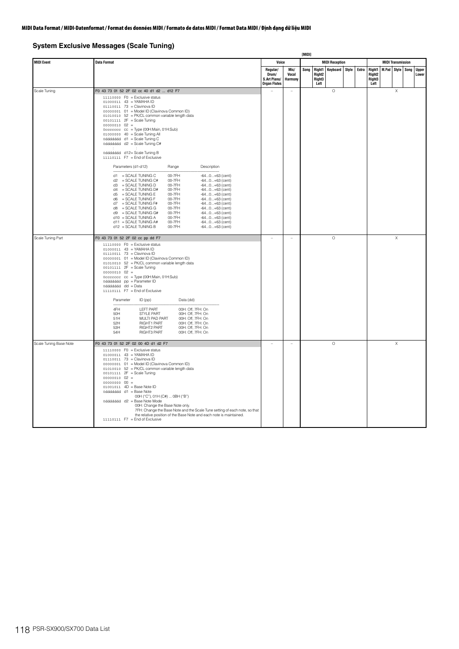## **System Exclusive Messages (Scale Tuning)**

|                        |                                                                                                                                                                                                                                                                                                                                                                                                                                                                                                                                                                                                                                                                                                                                                                                                                                                                                                                                                                                                                                                                                                                                                                                                                                               |                                                          |                          | <b>TMIDI1</b> |                                                |                       |       |                                                                       |  |                          |  |                |
|------------------------|-----------------------------------------------------------------------------------------------------------------------------------------------------------------------------------------------------------------------------------------------------------------------------------------------------------------------------------------------------------------------------------------------------------------------------------------------------------------------------------------------------------------------------------------------------------------------------------------------------------------------------------------------------------------------------------------------------------------------------------------------------------------------------------------------------------------------------------------------------------------------------------------------------------------------------------------------------------------------------------------------------------------------------------------------------------------------------------------------------------------------------------------------------------------------------------------------------------------------------------------------|----------------------------------------------------------|--------------------------|---------------|------------------------------------------------|-----------------------|-------|-----------------------------------------------------------------------|--|--------------------------|--|----------------|
| <b>MIDI Event</b>      | <b>Data Format</b>                                                                                                                                                                                                                                                                                                                                                                                                                                                                                                                                                                                                                                                                                                                                                                                                                                                                                                                                                                                                                                                                                                                                                                                                                            | Voice                                                    |                          |               |                                                | <b>MIDI Reception</b> |       |                                                                       |  | <b>MIDI Transmission</b> |  |                |
|                        |                                                                                                                                                                                                                                                                                                                                                                                                                                                                                                                                                                                                                                                                                                                                                                                                                                                                                                                                                                                                                                                                                                                                                                                                                                               | Regular/<br>Drum/<br>S.Art Piano/<br><b>Organ Flutes</b> | Mic/<br>Vocal<br>Harmony | Song          | Right1<br>Right <sub>2</sub><br>Right3<br>Left | <b>Keyboard Style</b> | Extra | Right1   M.Pad   Style   Song<br>Right <sub>2</sub><br>Right3<br>Left |  |                          |  | Upper<br>Lower |
| Scale Tuning           | F0 43 73 01 52 2F 02 cc 40 d1 d2  d12 F7<br>11110000 F0 = Exclusive status<br>01000011 43 = YAMAHA ID<br>01110011 73 = Clavinova ID<br>00000001 01 = Model ID (Clavinova Common ID)<br>01010010 52 = PK/CL common variable length data<br>$00101111$ $2F = Scale$ Tuning<br>$00000010$ $02 =$<br>0ccccccc cc = Type (00H:Main, 01H:Sub)<br>01000000  40 = Scale Tuning All<br>0dddddd d1 = Scale Tuning C<br>0dddddd $d2 = Scale$ Tuning C#<br>0dddddd d12= Scale Tuning B<br>11110111    F7 = End of Exclusive<br>Parameters (d1-d12)<br>Range<br>Description<br>$d1 = SCALE TUNING C$<br>00-7FH<br>$-640+63$ (cent)<br>d2<br>= SCALE TUNING C#<br>00-7FH<br>$-640+63$ (cent)<br>00-7FH<br>d3 = SCALE TUNING D<br>$-640+63$ (cent)<br>d4 = SCALE TUNING D#<br>00-7FH<br>$-640+63$ (cent)<br>d5 = SCALE TUNING E<br>00-7FH<br>$-640+63$ (cent)<br>00-7FH<br>$d6 = SCALE TUNING F$<br>$-640+63$ (cent)<br>d7 = SCALE TUNING F#<br>00-7FH<br>$-640+63$ (cent)<br>d8 = SCALE TUNING G<br>00-7FH<br>$-640+63$ (cent)<br>d9 = SCALE TUNING G#<br>00-7FH<br>$-640+63$ (cent)<br>d10 = SCALE TUNING A<br>00-7FH<br>$-640+63$ (cent)<br>$d11 = SCALE TUNING AH$<br>00-7FH<br>$-640+63$ (cent)<br>$d12 = SCALE TUNING B$<br>00-7FH<br>$-640+63$ (cent) |                                                          |                          |               |                                                | $\circ$               |       |                                                                       |  | X                        |  |                |
| Scale Tuning Part      | F0 43 73 01 52 2F 02 cc pp dd F7<br>$11110000$ FO = Exclusive status<br>01000011 43 = YAMAHA ID<br>01110011 73 = Clavinova ID<br>00000001 01 = Model ID (Clavinova Common ID)<br>01010010 52 = PK/CL common variable length data<br>$00101111$ $2F = Scale$ Tuning<br>$00000010$ $02 =$<br>0ccccccc cc = Type (00H:Main, 01H:Sub)<br>0dddddd pp = Parameter ID<br>0dddddd dd = Data<br>11110111 F7 = End of Exclusive<br>Parameter<br>ID (pp)<br>Data (dd)<br>4FH<br>00H: Off, 7FH: On<br><b>LEFT PART</b><br>50H<br><b>STYLE PART</b><br>00H: Off, 7FH: On<br>MULTI PAD PART<br>51H<br>00H: Off, 7FH: On<br>52H<br>RIGHT1 PART<br>00H: Off, 7FH: On<br>53H<br>RIGHT2 PART<br>00H: Off, 7FH: On<br>54H<br>RIGHT3 PART<br>00H: Off, 7FH: On                                                                                                                                                                                                                                                                                                                                                                                                                                                                                                    |                                                          | L.                       |               |                                                | $\circ$               |       |                                                                       |  | X                        |  |                |
| Scale Tuning Base Note | F0 43 73 01 52 2F 02 00 4D d1 d2 F7<br>$11110000$ FO = Exclusive status<br>01000011 43 = YAMAHA ID<br>01110011 73 = Clavinova ID<br>00000001 01 = Model ID (Clavinova Common ID)<br>01010010 52 = PK/CL common variable length data<br>$00101111$ $2F = Scale$ Tuning<br>$00000010 02 =$<br>$000000000000 =$<br>$01001011$ $4D = Base Note ID$<br>0dddddd d1 = Base Note<br>00H ("C"), 01H (C#)  0BH ("B")<br>0ddddddd d2 = Base Note Mode<br>00H: Change the Base Note only.<br>7FH: Change the Base Note and the Scale Tune setting of each note, so that<br>the relative position of the Base Note and each note is maintained.<br>11110111    F7 = End of Exclusive                                                                                                                                                                                                                                                                                                                                                                                                                                                                                                                                                                       |                                                          | $\overline{a}$           |               |                                                | $\circ$               |       |                                                                       |  | $\times$                 |  |                |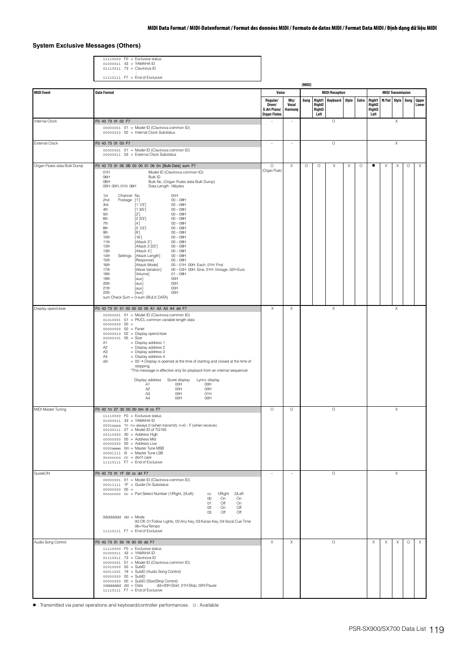## **System Exclusive Messages (Others)**

11110000 F0 = Exclusive status 01000011 43 = YAMAHA ID 01110011 73 = Clavinova ID : :

|                             | $11110111$ F7 = End of Exclusive                                                                                                                                                                                                                                                                                                                                                                                                                                                                                                                                                                                                                                                                                                                                                                                                                                                                                                                                                                                                                                  |                                                          |                                 |         |                                      | [MIDI]                |       |         |                                                       |          |                          |         |                       |  |  |  |  |
|-----------------------------|-------------------------------------------------------------------------------------------------------------------------------------------------------------------------------------------------------------------------------------------------------------------------------------------------------------------------------------------------------------------------------------------------------------------------------------------------------------------------------------------------------------------------------------------------------------------------------------------------------------------------------------------------------------------------------------------------------------------------------------------------------------------------------------------------------------------------------------------------------------------------------------------------------------------------------------------------------------------------------------------------------------------------------------------------------------------|----------------------------------------------------------|---------------------------------|---------|--------------------------------------|-----------------------|-------|---------|-------------------------------------------------------|----------|--------------------------|---------|-----------------------|--|--|--|--|
| <b>MIDI Event</b>           | <b>Data Format</b>                                                                                                                                                                                                                                                                                                                                                                                                                                                                                                                                                                                                                                                                                                                                                                                                                                                                                                                                                                                                                                                | Voice                                                    |                                 |         |                                      | <b>MIDI Reception</b> |       |         |                                                       |          | <b>MIDI Transmission</b> |         |                       |  |  |  |  |
|                             |                                                                                                                                                                                                                                                                                                                                                                                                                                                                                                                                                                                                                                                                                                                                                                                                                                                                                                                                                                                                                                                                   | Regular/<br>Drum/<br>S.Art Piano/<br><b>Organ Flutes</b> | Mic/<br>Vocal<br><b>Harmony</b> | Song    | Right <sub>2</sub><br>Right3<br>Left | Right1 Keyboard       | Style | Extra   | <b>Right1</b><br>Right <sub>2</sub><br>Right3<br>Left |          | M.Pad Style Song         |         | <b>Upper</b><br>Lower |  |  |  |  |
| Internal Clock              | F0 43 73 01 02 F7<br>00000001 01 = Model ID (Clavinova common ID)<br>00000010 02 = Internal Clock Substatus                                                                                                                                                                                                                                                                                                                                                                                                                                                                                                                                                                                                                                                                                                                                                                                                                                                                                                                                                       |                                                          |                                 |         |                                      | $\circ$               |       |         |                                                       |          | Χ                        |         |                       |  |  |  |  |
| <b>External Clock</b>       | F0 43 73 01 03 F7<br>00000001 01 = Model ID (Clavinova common ID)<br>00000011 03 = External Clock Substatus                                                                                                                                                                                                                                                                                                                                                                                                                                                                                                                                                                                                                                                                                                                                                                                                                                                                                                                                                       | $\overline{a}$                                           | ÷,                              |         |                                      | $\circ$               |       |         |                                                       |          | Χ                        |         |                       |  |  |  |  |
| Organ Flutes data Bulk Dump | F0 43 73 01 06 0B 00 00 01 06 0n [Bulk Data] sum F7<br>Model ID (Clavinova common ID)<br>01H<br>06H<br>Bulk ID<br>0BH<br>Bulk No. (Organ Flutes data Bulk Dump)<br>00H, 00H, 01H, 06H<br>Data Length: 16bytes<br>OnH<br>1st<br>Channel No.<br>Footage<br>$00 - 08H$<br>2nd<br>$[1']$<br>[1 1/3]<br>$00 - 08H$<br>3rd<br>4th<br>[13/5]<br>$00 - 08H$<br>5th<br>$00 - 08H$<br>[2]<br>6th<br>[2 2/3]<br>$00 - 08H$<br>7th<br>$00 - 08$ H<br>[4']<br>8th<br>[5 1/3]<br>$00 - 08H$<br>9th<br>$00 - 08$ H<br>[8]<br>10th<br>[16']<br>$00 - 08H$<br>11th<br>[Attack 2']<br>$00 - 08H$<br>12th<br>[Attack 2 2/3']<br>$00 - 08H$<br>13th<br>[Attack 4']<br>$00 - 08H$<br>14th<br>Settings<br>[Attack Length]<br>$00 - 08H$<br>15th<br>[Response]<br>$00 - 08H$<br>16th<br>[Attack Mode]<br>00 - 01H 00H: Each, 01H: First<br>17th<br>[Wave Variation]<br>00 - 02H 00H: Sine, 01H: Vintage, 02H Euro<br>18th<br>[Volume]<br>$01 - 09H$<br>19th<br>OOH<br>[aux]<br>20th<br>OOH<br>[aux]<br>21th<br>00H<br>[aux]<br>22th<br>00H<br>[aux]<br>sum Check Sum = 0-sum (BULK DATA) | $\circ$<br>(Organ Flute)                                 | $\mathsf X$                     | $\circ$ | $\circ$                              | Χ                     | Χ     | $\circ$ | ٠                                                     | X        | X                        | $\circ$ | Χ                     |  |  |  |  |
| Display open/close          | F0 43 73 01 51 00 00 02 05 A1 A2 A3 A4 dd F7<br>00000001 01 = Model ID (Clavinova common ID)<br>01010001 51 = PK/CL common variable length data<br>$000000000000 =$<br>00000000 00 = Panel<br>00000010 02 = Display open/close<br>$00000101$ $05 = Size$<br>= Display address 1<br>A1<br>$=$ Display address 2<br>A <sub>2</sub><br>A3<br>$=$ Display address 3<br>$=$ Display address 4<br>A4<br>$= 00 \rightarrow$ Display is opened at the time of starting and closed at the time of<br>dd<br>stopping.<br>*This message is effective only for playback from an internal sequencer.<br>Lyrics display<br>Display address<br>Score display<br>A1<br>00H<br>00H<br>00H<br>A <sub>2</sub><br>00H<br>A <sub>3</sub><br>00H<br>01H<br>00H<br>00H<br>A4                                                                                                                                                                                                                                                                                                             | X                                                        | $\mathsf X$                     |         |                                      | X                     |       |         |                                                       |          | X                        |         |                       |  |  |  |  |
| MIDI Master Tuning          | F0 43 1n 27 30 00 00 0m 0l cc F7<br>$11110000$ F0 = Exclusive status<br>01000011 43 = YAMAHA ID<br>0001nnnn 1n n= always 0 (when transmit), n=0 - F (when receive)<br>00100111 27 = Model ID of TG100<br>$00110000$ 30 = Address High<br>00000000 00 = Address Mid<br>$00000000000 =$ Address Low<br>0000mmmm Om = Master Tune MSB<br>00001111 OI = Master Tune LSB<br>$0$ cccccccc $cc =$ don't care<br>$11110111$ F7 = End of Exclusive                                                                                                                                                                                                                                                                                                                                                                                                                                                                                                                                                                                                                         | $\circ$                                                  | $\circ$                         |         |                                      | $\circ$               |       |         |                                                       |          | X                        |         |                       |  |  |  |  |
| GuideON                     | F0 43 73 01 1F 00 cc dd F7<br>00000001 01 = Model ID (Clavinova common ID)<br>00011111 1F = Guide On Substatus<br>$000000000000 =$<br>0ccccccc cc = Part Select Number (1/Right, 2/Left)<br>1/Right<br>2/Left<br>cc<br>$00\,$<br>On<br>On<br>Off<br>01<br>On<br>Off<br>02<br>On<br>Off<br>03<br>Off<br>Oddddddd dd = Mode<br>00:Off, 01:Follow Lights, 02:Any Key, 03:Karao Key, 04:Vocal Cue Time<br>06=YourTempo<br>11110111    F7 = End of Exclusive                                                                                                                                                                                                                                                                                                                                                                                                                                                                                                                                                                                                           | ÷                                                        | $\sim$                          |         |                                      | $\circ$               |       |         |                                                       |          | X                        |         |                       |  |  |  |  |
| Audio Song Control          | F0 43 73 01 50 19 00 00 dd F7<br>$11110000$ FO = Exclusive status<br>01000011 43 = YAMAHA ID<br>01110011 73 = Clavinova ID<br>00000001 01 = Model ID (Clavinova common ID)<br>$01010000 50 = SubID$<br>00011001 19 = SubID (Audio Song Control)<br>00000000 00 = SubID<br>00000000 00 = SubID (Start/Stop Control)<br>0dddddd dd = Data<br>dd=00H:Start, 01H:Stop, 02H:Pause<br>11110111    F7 = End of Exclusive                                                                                                                                                                                                                                                                                                                                                                                                                                                                                                                                                                                                                                                 | Χ                                                        | X                               |         |                                      | $\circ$               |       |         | Χ                                                     | $\times$ | $\times$                 | $\circ$ | X                     |  |  |  |  |

: Transmitted via panel operations and keyboard/controller performances. O : Available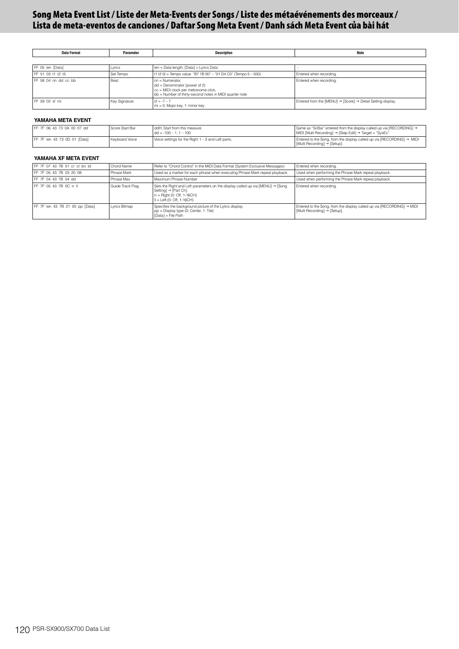# **Song Meta Event List / Liste der Meta-Events der Songs / Liste des métaévénements des morceaux / Lista de meta-eventos de canciones / Daftar Song Meta Event / Danh sách Meta Event của bài hát**

| Data Format            | Parameter     | <b>Description</b>                                                                                                                                    | <b>Note</b>                                                 |  |  |  |  |  |  |
|------------------------|---------------|-------------------------------------------------------------------------------------------------------------------------------------------------------|-------------------------------------------------------------|--|--|--|--|--|--|
|                        |               |                                                                                                                                                       |                                                             |  |  |  |  |  |  |
| FF 05 len [Data]       | Lyrics        | len = Data length, [Data] = Lyrics Data                                                                                                               |                                                             |  |  |  |  |  |  |
| FF 51 03 t1 t2 t3      | Set Tempo     | t1 t2 t3 = Tempo value: "B7 1B 00" - "01 D4 C0" (Tempo 5 - 500)                                                                                       | Entered when recording.                                     |  |  |  |  |  |  |
| $EF$ 58.04 nn dd cc bb | Beat          | nn = Numerator,<br>$dd = Denominator (power of 2)$<br>cc = MIDI clock per metronome click,<br>bb = Number of thirty-second notes in MIDI quarter note | Entered when recording.                                     |  |  |  |  |  |  |
| FF 59 02 sf mi         | Key Signature | $sf = -7 - 7$<br>mi = 0: Major key, 1: minor key                                                                                                      | Entered from the [MENU] → [Score] → Detail Setting display. |  |  |  |  |  |  |

### **YAMAHA META EVENT**

| FF 7F 06 43 73 0A 00 07 dd   | Score Start Bar | ddH: Start from this measure<br>$1$ dd = $-100 - 1$ , 1 – 100 | Same as "ScBar" entered from the display called up via [RECORDING] →<br>  MIDI [Multi Recording] → [Step Edit] → Target = "SysEx". |
|------------------------------|-----------------|---------------------------------------------------------------|------------------------------------------------------------------------------------------------------------------------------------|
| FF 7F len 43 73 0D 01 [Data] | Keyboard Voice  | Voice settings for the Right 1 - 3 and Left parts.            | Entered to the Song, from the display called up via $[RECORDING] \rightarrow MIDI$<br>  Multi Recordinal → [Setup].                |

### **YAMAHA XF META EVENT**

| FF 7F 07 43 7B 01 cr ct bn bt   | Chord Name       | Refer to "Chord Control" in the MIDI Data Format (System Exclusive Messages)                                                                                              | Entered when recording.                                                                                |
|---------------------------------|------------------|---------------------------------------------------------------------------------------------------------------------------------------------------------------------------|--------------------------------------------------------------------------------------------------------|
| FF 7F 05 43 7B 03 20 08         | Phrase Mark      | Used as a marker for each phrase when executing Phrase Mark repeat playback.                                                                                              | Used when performing the Phrase Mark repeat playback.                                                  |
| FF 7F 04 43 7B 04 dd            | Phrase Max       | Maximum Phrase Number                                                                                                                                                     | Used when performing the Phrase Mark repeat playback.                                                  |
| FF 7F 05 43 7B 0C rr II         | Guide Track Flag | Sets the Right and Left parameters on the display called up via [MENU] → [Song]<br>Setting] → [Part Ch].<br>$rr =$ Right (0: Off, 1-16CH)<br>$II = Left (0: Off. 1-16CH)$ | Entered when recording.                                                                                |
| FF 7F len 43 7B 21 00 pp [Data] | Lyrics Bitmap    | Specifies the background picture of the Lyrics display.<br>pp = Display type (0: Center, 1: Tile)<br>[Data] = File Path                                                   | Entered to the Song, from the display called up via [RECORDING] → MIDI<br>[Multi Recording] → [Setup]. |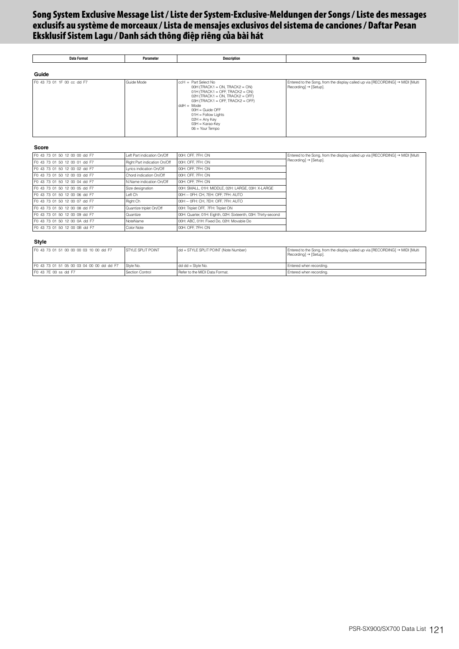# **Song System Exclusive Message List / Liste der System-Exclusive-Meldungen der Songs / Liste des messages exclusifs au système de morceaux / Lista de mensajes exclusivos del sistema de canciones / Daftar Pesan Eksklusif Sistem Lagu / Danh sách thông điệp riêng của bài hát**

| <b>Data Format</b>         | Parameter  | <b>Description</b>                                                                                                                                                                                                                                                                                  | <b>Note</b>                                                                                                                |
|----------------------------|------------|-----------------------------------------------------------------------------------------------------------------------------------------------------------------------------------------------------------------------------------------------------------------------------------------------------|----------------------------------------------------------------------------------------------------------------------------|
| Guide                      |            |                                                                                                                                                                                                                                                                                                     |                                                                                                                            |
| F0 43 73 01 1F 00 cc dd F7 | Guide Mode | $cch = Part Select No$<br>$00H$ (TRACK1 = ON, TRACK2 = ON)<br>$01H$ (TRACK1 = OFF, TRACK2 = ON)<br>$02H$ (TRACK1 = ON, TRACK2 = OFF)<br>$03H$ (TRACK1 = OFF, TRACK2 = OFF)<br>$ddH = Mode$<br>$00H = Guide OFF$<br>$01H =$ Follow Lights<br>$02H = Any Key$<br>03H = Karao-Key<br>$06 = Your Tempo$ | Entered to the Song, from the display called up via [RECORDING] → MIDI [Multi<br>$\text{Recording}$ $\rightarrow$ [Setup]. |

#### **Score**

| F0 43 73 01 50 12 00 00 dd F7 | Left Part indication On/Off  | 00H: OFF, 7FH: ON                                             | Entered to the Song, from the display called up via [RECORDING] → MIDI [Multi<br>Recording] → [Setup]. |
|-------------------------------|------------------------------|---------------------------------------------------------------|--------------------------------------------------------------------------------------------------------|
| F0 43 73 01 50 12 00 01 dd F7 | Right Part indication On/Off | 00H: OFF, 7FH: ON                                             |                                                                                                        |
| F0 43 73 01 50 12 00 02 dd F7 | Lyrics indication On/Off     | 00H: OFF, 7FH: ON                                             |                                                                                                        |
| F0 43 73 01 50 12 00 03 dd F7 | Chord indication On/Off      | 00H: OFF, 7FH: ON                                             |                                                                                                        |
| F0 43 73 01 50 12 00 04 dd F7 | N.Name indication On/Off     | 00H: OFF, 7FH: ON                                             |                                                                                                        |
| F0 43 73 01 50 12 00 05 dd F7 | Size designation             | 00H: SMALL, 01H: MIDDLE, 02H: LARGE, 03H: X-LARGE             |                                                                                                        |
| F0 43 73 01 50 12 00 06 dd F7 | Left Ch                      | 00H - 0FH: CH, 7EH: OFF, 7FH: AUTO                            |                                                                                                        |
| F0 43 73 01 50 12 00 07 dd F7 | Right Ch                     | 00H - 0FH: CH. 7EH: OFF. 7FH: AUTO                            |                                                                                                        |
| F0 43 73 01 50 12 00 08 dd F7 | Quantize triplet On/Off      | 00H: Triplet OFF, 7FH: Triplet ON                             |                                                                                                        |
| F0 43 73 01 50 12 00 09 dd F7 | Quantize                     | 00H: Quarter, 01H: Eighth, 02H: Sixteenth, 03H: Thirty-second |                                                                                                        |
| F0 43 73 01 50 12 00 0A dd F7 | NoteName                     | 00H: ABC, 01H: Fixed Do, 02H: Movable Do                      |                                                                                                        |
| F0 43 73 01 50 12 00 0B dd F7 | Color Note                   | 00H: OFF. 7FH: ON                                             |                                                                                                        |

#### **Style**

| F0 43 73 01 51 00 00 00 03 10 00 dd F7    | <b>STYLE SPLIT POINT</b> | dd = STYLE SPLIT POINT (Note Number) | Entered to the Song, from the display called up via [RECORDING] $\rightarrow$ MIDI [Multi<br>$Recording] \rightarrow [Setup]$ . |
|-------------------------------------------|--------------------------|--------------------------------------|---------------------------------------------------------------------------------------------------------------------------------|
| F0 43 73 01 51 05 00 03 04 00 00 dd dd F7 | Style No.                | $dd dd = Stvle No.$                  | Entered when recording.                                                                                                         |
| F0 43 7E 00 ss dd F7                      | Section Control          | Refer to the MIDI Data Format.       | Entered when recording.                                                                                                         |